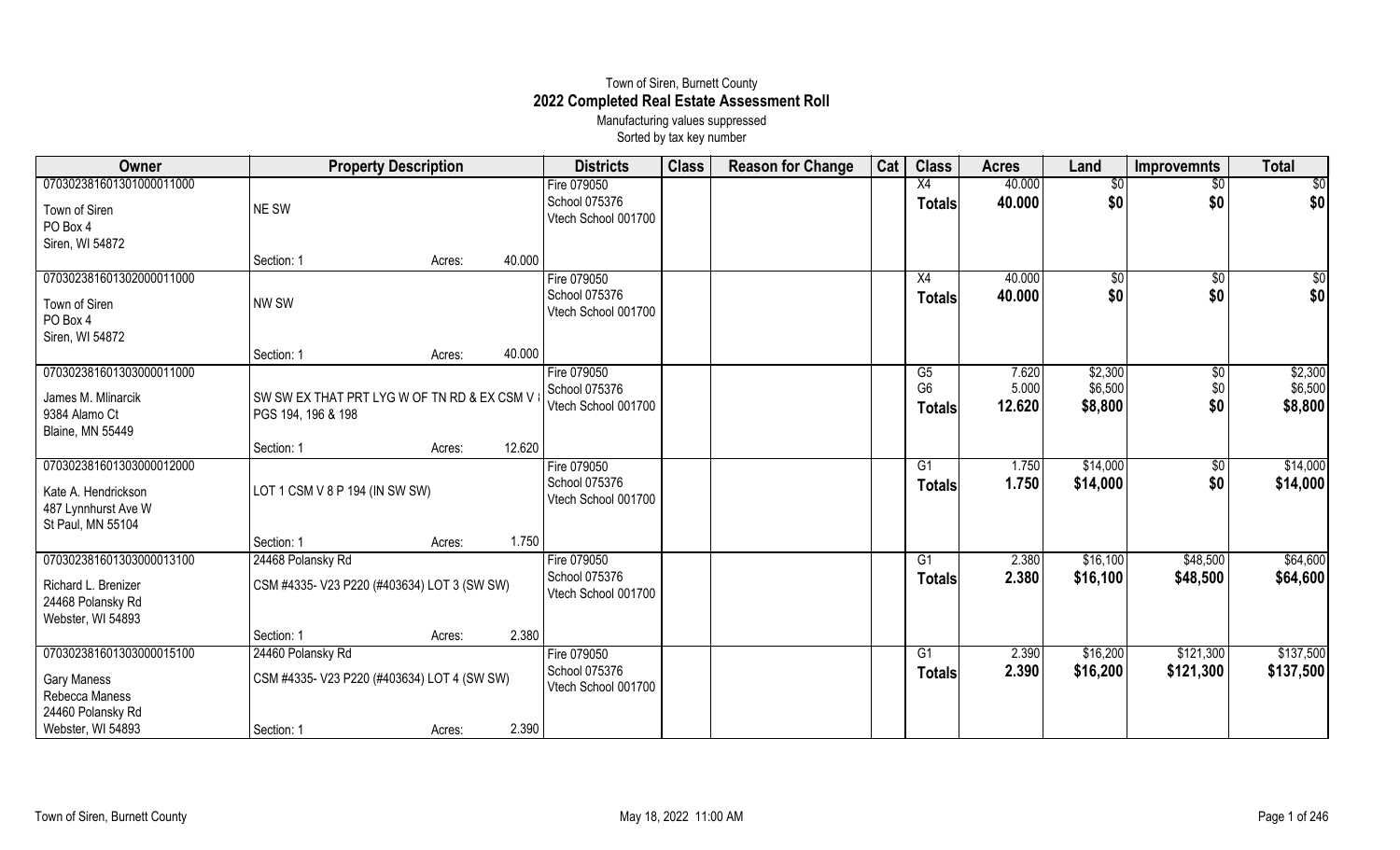## Town of Siren, Burnett County **2022 Completed Real Estate Assessment Roll** Manufacturing values suppressed

Sorted by tax key number

| Owner                                                                                               | <b>Property Description</b>                                                    |                  | <b>Districts</b>                                    | <b>Class</b> | <b>Reason for Change</b> | Cat | <b>Class</b>                          | <b>Acres</b>             | Land                          | <b>Improvemnts</b>           | <b>Total</b>                  |
|-----------------------------------------------------------------------------------------------------|--------------------------------------------------------------------------------|------------------|-----------------------------------------------------|--------------|--------------------------|-----|---------------------------------------|--------------------------|-------------------------------|------------------------------|-------------------------------|
| 070302381601301000011000<br>Town of Siren<br>PO Box 4                                               | NE SW                                                                          |                  | Fire 079050<br>School 075376<br>Vtech School 001700 |              |                          |     | X4<br><b>Totals</b>                   | 40.000<br>40.000         | \$0<br>\$0                    | $\overline{50}$<br>\$0       | $\frac{1}{6}$<br>\$0          |
| Siren, WI 54872                                                                                     | Section: 1                                                                     | 40.000<br>Acres: |                                                     |              |                          |     |                                       |                          |                               |                              |                               |
| 070302381601302000011000<br>Town of Siren<br>PO Box 4<br>Siren, WI 54872                            | NW SW                                                                          |                  | Fire 079050<br>School 075376<br>Vtech School 001700 |              |                          |     | X4<br><b>Totals</b>                   | 40.000<br>40.000         | $\frac{1}{6}$<br>\$0          | $\overline{50}$<br>\$0       | \$0<br>\$0                    |
|                                                                                                     | Section: 1                                                                     | 40.000<br>Acres: |                                                     |              |                          |     |                                       |                          |                               |                              |                               |
| 070302381601303000011000<br>James M. Mlinarcik<br>9384 Alamo Ct<br><b>Blaine, MN 55449</b>          | SW SW EX THAT PRT LYG W OF TN RD & EX CSM V<br>PGS 194, 196 & 198              |                  | Fire 079050<br>School 075376<br>Vtech School 001700 |              |                          |     | G5<br>G <sub>6</sub><br><b>Totals</b> | 7.620<br>5.000<br>12.620 | \$2,300<br>\$6,500<br>\$8,800 | $\sqrt[6]{30}$<br>\$0<br>\$0 | \$2,300<br>\$6,500<br>\$8,800 |
|                                                                                                     | Section: 1                                                                     | 12.620<br>Acres: |                                                     |              |                          |     |                                       |                          |                               |                              |                               |
| 070302381601303000012000<br>Kate A. Hendrickson<br>487 Lynnhurst Ave W<br>St Paul, MN 55104         | LOT 1 CSM V 8 P 194 (IN SW SW)                                                 |                  | Fire 079050<br>School 075376<br>Vtech School 001700 |              |                          |     | G1<br><b>Totals</b>                   | 1.750<br>1.750           | \$14,000<br>\$14,000          | \$0<br>\$0                   | \$14,000<br>\$14,000          |
|                                                                                                     | Section: 1                                                                     | 1.750<br>Acres:  |                                                     |              |                          |     |                                       |                          |                               |                              |                               |
| 070302381601303000013100<br>Richard L. Brenizer<br>24468 Polansky Rd<br>Webster, WI 54893           | 24468 Polansky Rd<br>CSM #4335- V23 P220 (#403634) LOT 3 (SW SW)               |                  | Fire 079050<br>School 075376<br>Vtech School 001700 |              |                          |     | G1<br><b>Totals</b>                   | 2.380<br>2.380           | \$16,100<br>\$16,100          | \$48,500<br>\$48,500         | \$64,600<br>\$64,600          |
|                                                                                                     | Section: 1                                                                     | 2.380<br>Acres:  |                                                     |              |                          |     |                                       |                          |                               |                              |                               |
| 070302381601303000015100<br>Gary Maness<br>Rebecca Maness<br>24460 Polansky Rd<br>Webster, WI 54893 | 24460 Polansky Rd<br>CSM #4335- V23 P220 (#403634) LOT 4 (SW SW)<br>Section: 1 | 2.390<br>Acres:  | Fire 079050<br>School 075376<br>Vtech School 001700 |              |                          |     | G1<br><b>Totals</b>                   | 2.390<br>2.390           | \$16,200<br>\$16,200          | \$121,300<br>\$121,300       | \$137,500<br>\$137,500        |
|                                                                                                     |                                                                                |                  |                                                     |              |                          |     |                                       |                          |                               |                              |                               |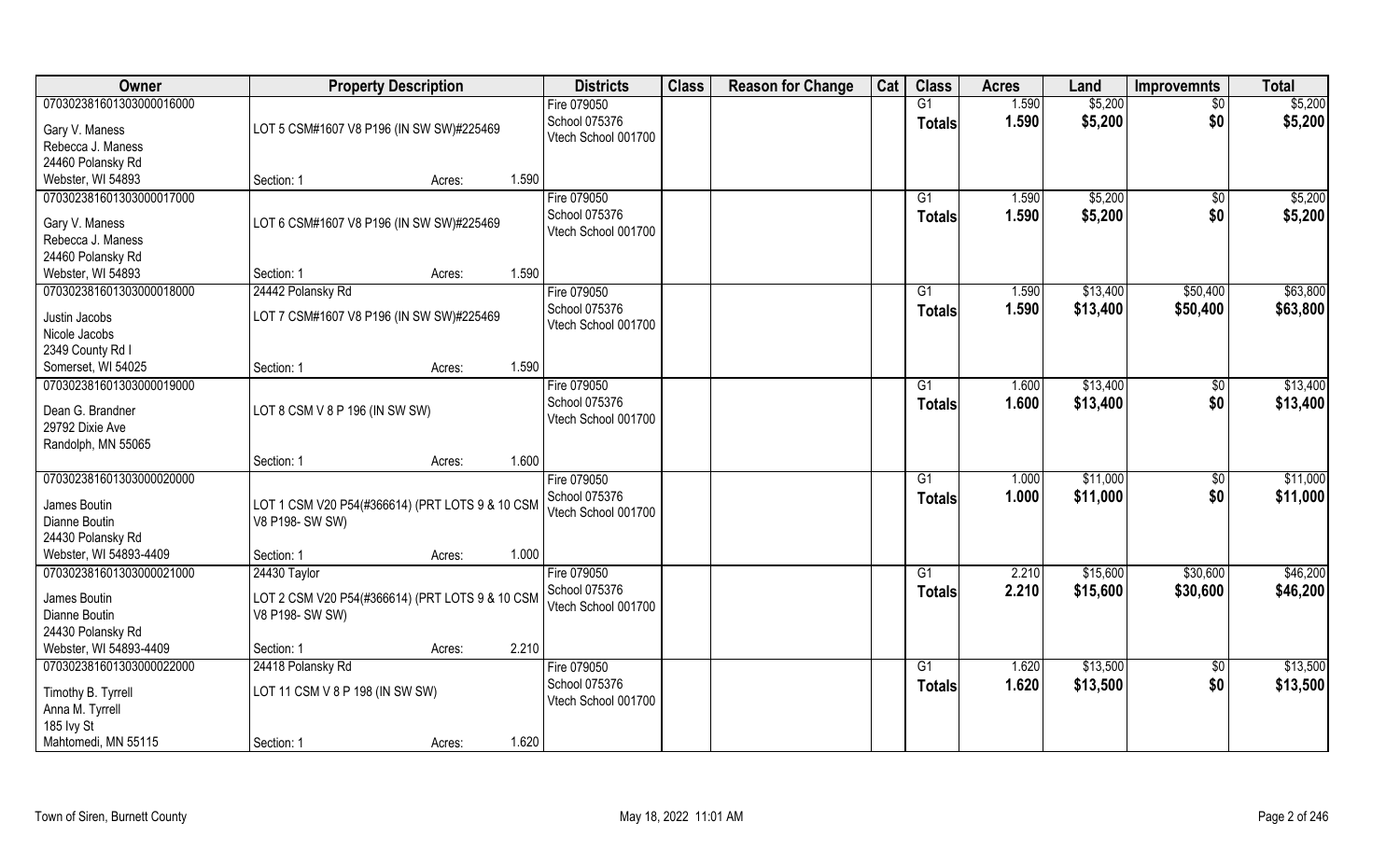| Owner                    |                                          | <b>Property Description</b>                     |       | <b>Districts</b>    | <b>Class</b> | <b>Reason for Change</b> | Cat | <b>Class</b>  | <b>Acres</b> | Land     | <b>Improvemnts</b> | <b>Total</b> |
|--------------------------|------------------------------------------|-------------------------------------------------|-------|---------------------|--------------|--------------------------|-----|---------------|--------------|----------|--------------------|--------------|
| 070302381601303000016000 |                                          |                                                 |       | Fire 079050         |              |                          |     | G1            | 1.590        | \$5,200  | $\sqrt{$0}$        | \$5,200      |
| Gary V. Maness           | LOT 5 CSM#1607 V8 P196 (IN SW SW)#225469 |                                                 |       | School 075376       |              |                          |     | <b>Totals</b> | 1.590        | \$5,200  | \$0                | \$5,200      |
| Rebecca J. Maness        |                                          |                                                 |       | Vtech School 001700 |              |                          |     |               |              |          |                    |              |
| 24460 Polansky Rd        |                                          |                                                 |       |                     |              |                          |     |               |              |          |                    |              |
| Webster, WI 54893        | Section: 1                               | Acres:                                          | 1.590 |                     |              |                          |     |               |              |          |                    |              |
| 070302381601303000017000 |                                          |                                                 |       | Fire 079050         |              |                          |     | G1            | 1.590        | \$5,200  | $\sqrt{$0}$        | \$5,200      |
| Gary V. Maness           | LOT 6 CSM#1607 V8 P196 (IN SW SW)#225469 |                                                 |       | School 075376       |              |                          |     | <b>Totals</b> | 1.590        | \$5,200  | \$0                | \$5,200      |
| Rebecca J. Maness        |                                          |                                                 |       | Vtech School 001700 |              |                          |     |               |              |          |                    |              |
| 24460 Polansky Rd        |                                          |                                                 |       |                     |              |                          |     |               |              |          |                    |              |
| Webster, WI 54893        | Section: 1                               | Acres:                                          | 1.590 |                     |              |                          |     |               |              |          |                    |              |
| 070302381601303000018000 | 24442 Polansky Rd                        |                                                 |       | Fire 079050         |              |                          |     | G1            | 1.590        | \$13,400 | \$50,400           | \$63,800     |
| Justin Jacobs            | LOT 7 CSM#1607 V8 P196 (IN SW SW)#225469 |                                                 |       | School 075376       |              |                          |     | <b>Totals</b> | 1.590        | \$13,400 | \$50,400           | \$63,800     |
| Nicole Jacobs            |                                          |                                                 |       | Vtech School 001700 |              |                          |     |               |              |          |                    |              |
| 2349 County Rd I         |                                          |                                                 |       |                     |              |                          |     |               |              |          |                    |              |
| Somerset, WI 54025       | Section: 1                               | Acres:                                          | 1.590 |                     |              |                          |     |               |              |          |                    |              |
| 070302381601303000019000 |                                          |                                                 |       | Fire 079050         |              |                          |     | G1            | 1.600        | \$13,400 | $\sqrt[6]{3}$      | \$13,400     |
| Dean G. Brandner         | LOT 8 CSM V 8 P 196 (IN SW SW)           |                                                 |       | School 075376       |              |                          |     | <b>Totals</b> | 1.600        | \$13,400 | \$0                | \$13,400     |
| 29792 Dixie Ave          |                                          |                                                 |       | Vtech School 001700 |              |                          |     |               |              |          |                    |              |
| Randolph, MN 55065       |                                          |                                                 |       |                     |              |                          |     |               |              |          |                    |              |
|                          | Section: 1                               | Acres:                                          | 1.600 |                     |              |                          |     |               |              |          |                    |              |
| 070302381601303000020000 |                                          |                                                 |       | Fire 079050         |              |                          |     | G1            | 1.000        | \$11,000 | \$0                | \$11,000     |
| James Boutin             |                                          | LOT 1 CSM V20 P54(#366614) (PRT LOTS 9 & 10 CSM |       | School 075376       |              |                          |     | <b>Totals</b> | 1.000        | \$11,000 | \$0                | \$11,000     |
| Dianne Boutin            | V8 P198- SW SW)                          |                                                 |       | Vtech School 001700 |              |                          |     |               |              |          |                    |              |
| 24430 Polansky Rd        |                                          |                                                 |       |                     |              |                          |     |               |              |          |                    |              |
| Webster, WI 54893-4409   | Section: 1                               | Acres:                                          | 1.000 |                     |              |                          |     |               |              |          |                    |              |
| 070302381601303000021000 | 24430 Taylor                             |                                                 |       | Fire 079050         |              |                          |     | G1            | 2.210        | \$15,600 | \$30,600           | \$46,200     |
| James Boutin             |                                          | LOT 2 CSM V20 P54(#366614) (PRT LOTS 9 & 10 CSM |       | School 075376       |              |                          |     | <b>Totals</b> | 2.210        | \$15,600 | \$30,600           | \$46,200     |
| Dianne Boutin            | V8 P198- SW SW)                          |                                                 |       | Vtech School 001700 |              |                          |     |               |              |          |                    |              |
| 24430 Polansky Rd        |                                          |                                                 |       |                     |              |                          |     |               |              |          |                    |              |
| Webster, WI 54893-4409   | Section: 1                               | Acres:                                          | 2.210 |                     |              |                          |     |               |              |          |                    |              |
| 070302381601303000022000 | 24418 Polansky Rd                        |                                                 |       | Fire 079050         |              |                          |     | G1            | 1.620        | \$13,500 | $\overline{50}$    | \$13,500     |
| Timothy B. Tyrrell       | LOT 11 CSM V 8 P 198 (IN SW SW)          |                                                 |       | School 075376       |              |                          |     | <b>Totals</b> | 1.620        | \$13,500 | \$0                | \$13,500     |
| Anna M. Tyrrell          |                                          |                                                 |       | Vtech School 001700 |              |                          |     |               |              |          |                    |              |
| 185 lvy St               |                                          |                                                 |       |                     |              |                          |     |               |              |          |                    |              |
| Mahtomedi, MN 55115      | Section: 1                               | Acres:                                          | 1.620 |                     |              |                          |     |               |              |          |                    |              |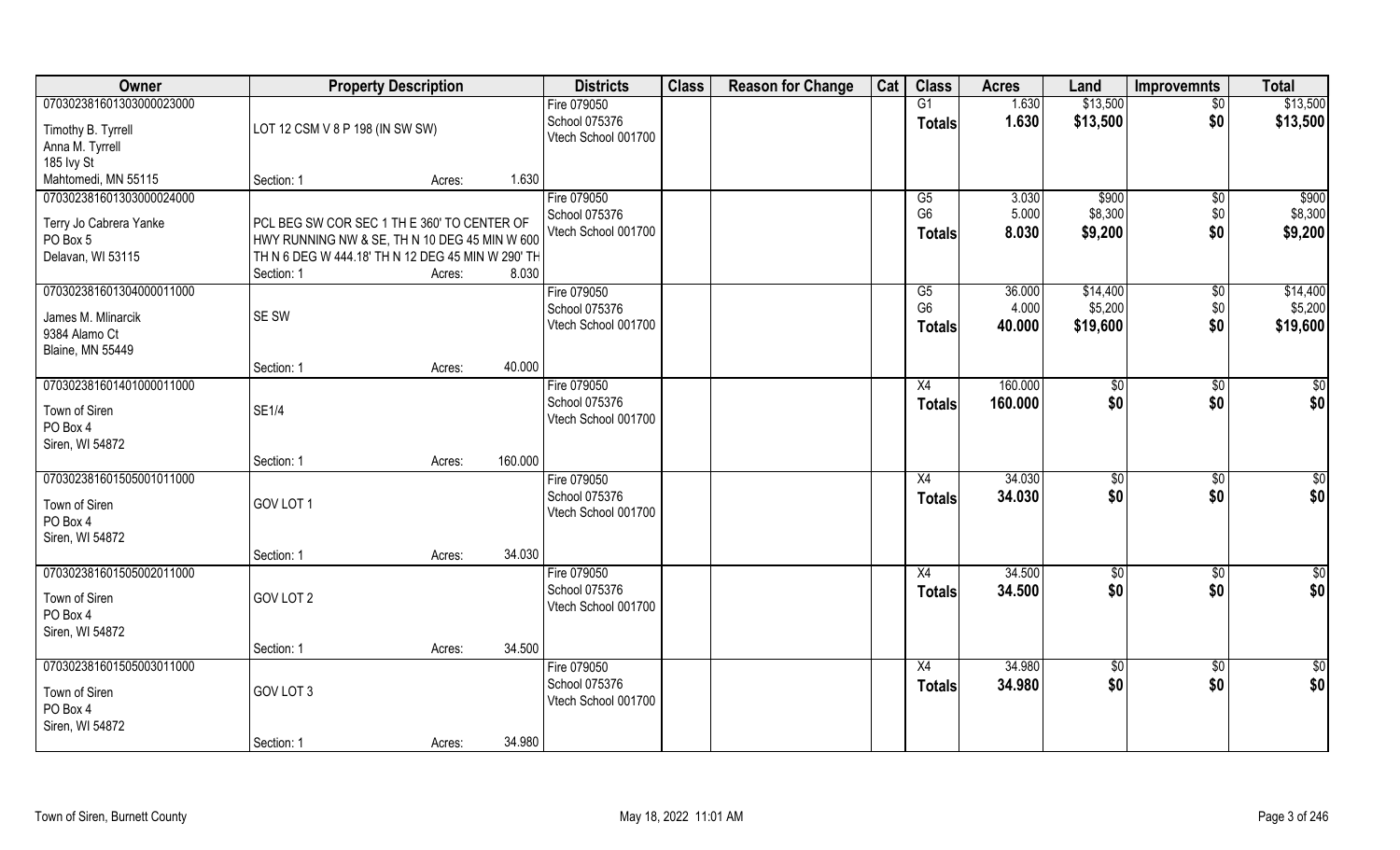| Owner                     |                                                   | <b>Property Description</b> |         | <b>Districts</b>    | <b>Class</b> | <b>Reason for Change</b> | Cat | <b>Class</b>   | <b>Acres</b> | Land           | <b>Improvemnts</b> | <b>Total</b>    |
|---------------------------|---------------------------------------------------|-----------------------------|---------|---------------------|--------------|--------------------------|-----|----------------|--------------|----------------|--------------------|-----------------|
| 070302381601303000023000  |                                                   |                             |         | Fire 079050         |              |                          |     | G1             | 1.630        | \$13,500       | $\overline{50}$    | \$13,500        |
| Timothy B. Tyrrell        | LOT 12 CSM V 8 P 198 (IN SW SW)                   |                             |         | School 075376       |              |                          |     | <b>Totals</b>  | 1.630        | \$13,500       | \$0                | \$13,500        |
| Anna M. Tyrrell           |                                                   |                             |         | Vtech School 001700 |              |                          |     |                |              |                |                    |                 |
| 185 lvy St                |                                                   |                             |         |                     |              |                          |     |                |              |                |                    |                 |
| Mahtomedi, MN 55115       | Section: 1                                        | Acres:                      | 1.630   |                     |              |                          |     |                |              |                |                    |                 |
| 070302381601303000024000  |                                                   |                             |         | Fire 079050         |              |                          |     | G5             | 3.030        | \$900          | $\sqrt{6}$         | \$900           |
| Terry Jo Cabrera Yanke    | PCL BEG SW COR SEC 1 TH E 360' TO CENTER OF       |                             |         | School 075376       |              |                          |     | G <sub>6</sub> | 5.000        | \$8,300        | \$0                | \$8,300         |
| PO Box 5                  | HWY RUNNING NW & SE, TH N 10 DEG 45 MIN W 600     |                             |         | Vtech School 001700 |              |                          |     | <b>Totals</b>  | 8.030        | \$9,200        | \$0                | \$9,200         |
| Delavan, WI 53115         | TH N 6 DEG W 444.18' TH N 12 DEG 45 MIN W 290' TH |                             |         |                     |              |                          |     |                |              |                |                    |                 |
|                           | Section: 1                                        | Acres:                      | 8.030   |                     |              |                          |     |                |              |                |                    |                 |
| 070302381601304000011000  |                                                   |                             |         | Fire 079050         |              |                          |     | G5             | 36.000       | \$14,400       | $\sqrt[6]{3}$      | \$14,400        |
| James M. Mlinarcik        | SE SW                                             |                             |         | School 075376       |              |                          |     | G <sub>6</sub> | 4.000        | \$5,200        | \$0                | \$5,200         |
| 9384 Alamo Ct             |                                                   |                             |         | Vtech School 001700 |              |                          |     | Totals         | 40.000       | \$19,600       | \$0                | \$19,600        |
| <b>Blaine, MN 55449</b>   |                                                   |                             |         |                     |              |                          |     |                |              |                |                    |                 |
|                           | Section: 1                                        | Acres:                      | 40.000  |                     |              |                          |     |                |              |                |                    |                 |
| 070302381601401000011000  |                                                   |                             |         | Fire 079050         |              |                          |     | X4             | 160.000      | $\frac{1}{20}$ | $\sqrt[6]{3}$      | \$0             |
| Town of Siren             | <b>SE1/4</b>                                      |                             |         | School 075376       |              |                          |     | <b>Totals</b>  | 160.000      | \$0            | \$0                | \$0             |
| PO Box 4                  |                                                   |                             |         | Vtech School 001700 |              |                          |     |                |              |                |                    |                 |
| Siren, WI 54872           |                                                   |                             |         |                     |              |                          |     |                |              |                |                    |                 |
|                           | Section: 1                                        | Acres:                      | 160.000 |                     |              |                          |     |                |              |                |                    |                 |
| 070302381601505001011000  |                                                   |                             |         | Fire 079050         |              |                          |     | X4             | 34.030       | $\sqrt[6]{3}$  | $\sqrt[6]{3}$      | \$0             |
|                           | GOV LOT 1                                         |                             |         | School 075376       |              |                          |     | <b>Totals</b>  | 34.030       | \$0            | \$0                | \$0             |
| Town of Siren<br>PO Box 4 |                                                   |                             |         | Vtech School 001700 |              |                          |     |                |              |                |                    |                 |
| Siren, WI 54872           |                                                   |                             |         |                     |              |                          |     |                |              |                |                    |                 |
|                           | Section: 1                                        | Acres:                      | 34.030  |                     |              |                          |     |                |              |                |                    |                 |
| 070302381601505002011000  |                                                   |                             |         | Fire 079050         |              |                          |     | X4             | 34.500       | \$0            | \$0                | $\overline{50}$ |
|                           |                                                   |                             |         | School 075376       |              |                          |     | <b>Totals</b>  | 34.500       | \$0            | \$0                | \$0             |
| Town of Siren<br>PO Box 4 | GOV LOT 2                                         |                             |         | Vtech School 001700 |              |                          |     |                |              |                |                    |                 |
| Siren, WI 54872           |                                                   |                             |         |                     |              |                          |     |                |              |                |                    |                 |
|                           | Section: 1                                        | Acres:                      | 34.500  |                     |              |                          |     |                |              |                |                    |                 |
| 070302381601505003011000  |                                                   |                             |         | Fire 079050         |              |                          |     | X4             | 34.980       | $\sqrt{6}$     | $\sqrt{$0}$        | \$0             |
|                           | GOV LOT 3                                         |                             |         | School 075376       |              |                          |     | <b>Totals</b>  | 34.980       | \$0            | \$0                | \$0             |
| Town of Siren<br>PO Box 4 |                                                   |                             |         | Vtech School 001700 |              |                          |     |                |              |                |                    |                 |
| Siren, WI 54872           |                                                   |                             |         |                     |              |                          |     |                |              |                |                    |                 |
|                           | Section: 1                                        | Acres:                      | 34.980  |                     |              |                          |     |                |              |                |                    |                 |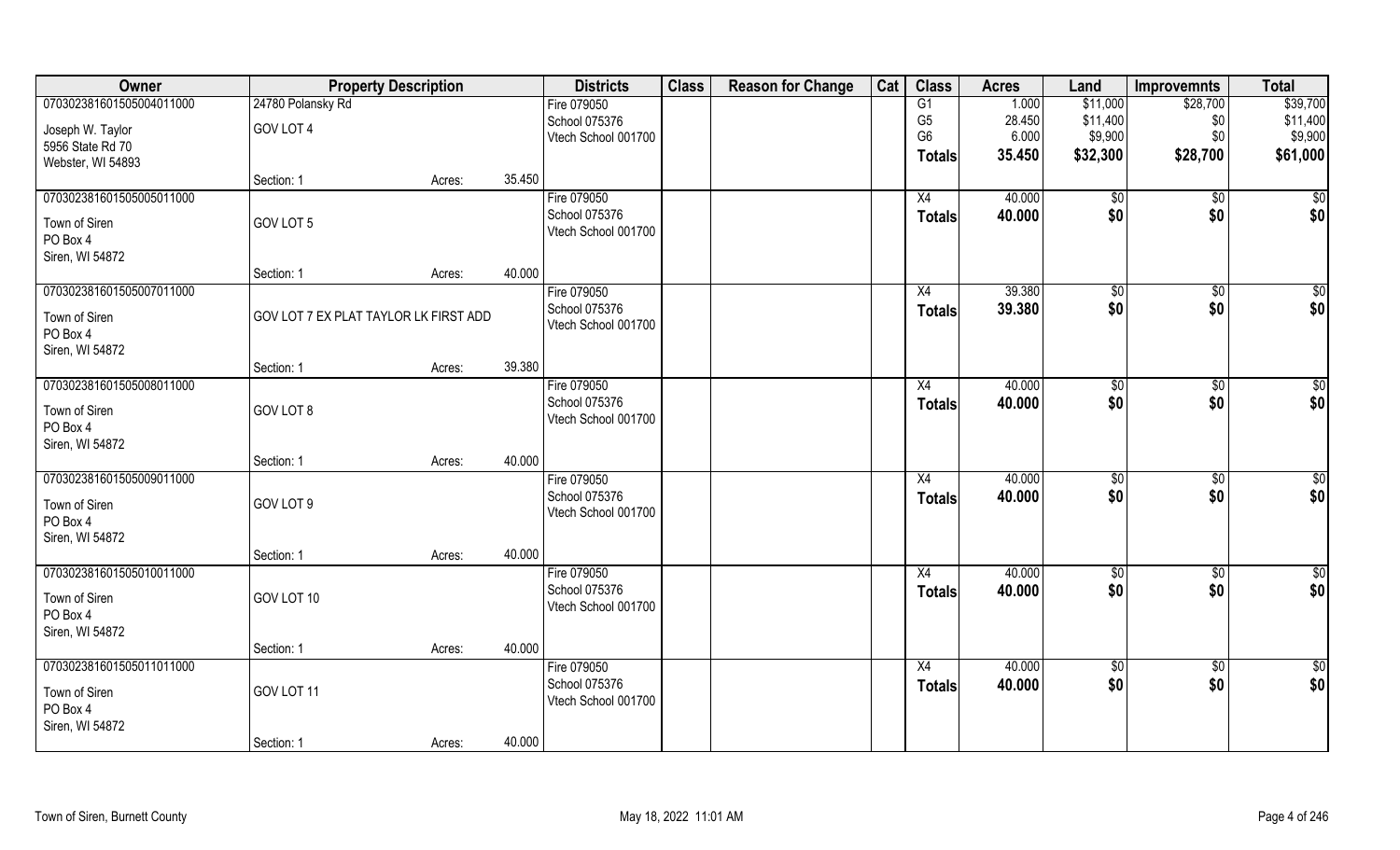| Owner                       | <b>Property Description</b>           |        |        | <b>Districts</b>                     | <b>Class</b> | <b>Reason for Change</b> | Cat | <b>Class</b>                     | <b>Acres</b>    | Land                  | <b>Improvemnts</b> | <b>Total</b>        |
|-----------------------------|---------------------------------------|--------|--------|--------------------------------------|--------------|--------------------------|-----|----------------------------------|-----------------|-----------------------|--------------------|---------------------|
| 070302381601505004011000    | 24780 Polansky Rd                     |        |        | Fire 079050                          |              |                          |     | G1                               | 1.000           | \$11,000              | \$28,700           | \$39,700            |
| Joseph W. Taylor            | GOV LOT 4                             |        |        | School 075376                        |              |                          |     | G <sub>5</sub><br>G <sub>6</sub> | 28.450<br>6.000 | \$11,400<br>\$9,900   | \$0<br>\$0         | \$11,400<br>\$9,900 |
| 5956 State Rd 70            |                                       |        |        | Vtech School 001700                  |              |                          |     | <b>Totals</b>                    | 35.450          | \$32,300              | \$28,700           | \$61,000            |
| Webster, WI 54893           |                                       |        |        |                                      |              |                          |     |                                  |                 |                       |                    |                     |
| 070302381601505005011000    | Section: 1                            | Acres: | 35.450 | Fire 079050                          |              |                          |     | X4                               | 40.000          | \$0                   | $\sqrt[6]{}$       | \$0                 |
|                             |                                       |        |        | School 075376                        |              |                          |     | <b>Totals</b>                    | 40.000          | \$0                   | \$0                | \$0                 |
| Town of Siren               | GOV LOT 5                             |        |        | Vtech School 001700                  |              |                          |     |                                  |                 |                       |                    |                     |
| PO Box 4<br>Siren, WI 54872 |                                       |        |        |                                      |              |                          |     |                                  |                 |                       |                    |                     |
|                             | Section: 1                            | Acres: | 40.000 |                                      |              |                          |     |                                  |                 |                       |                    |                     |
| 070302381601505007011000    |                                       |        |        | Fire 079050                          |              |                          |     | X4                               | 39.380          | \$0                   | \$0                | $\sqrt{50}$         |
| Town of Siren               | GOV LOT 7 EX PLAT TAYLOR LK FIRST ADD |        |        | School 075376                        |              |                          |     | <b>Totals</b>                    | 39.380          | \$0                   | \$0                | \$0                 |
| PO Box 4                    |                                       |        |        | Vtech School 001700                  |              |                          |     |                                  |                 |                       |                    |                     |
| Siren, WI 54872             |                                       |        |        |                                      |              |                          |     |                                  |                 |                       |                    |                     |
|                             | Section: 1                            | Acres: | 39.380 |                                      |              |                          |     |                                  |                 |                       |                    |                     |
| 070302381601505008011000    |                                       |        |        | Fire 079050<br>School 075376         |              |                          |     | X4                               | 40.000          | $\frac{1}{20}$<br>\$0 | \$0<br>\$0         | $\sqrt{50}$         |
| Town of Siren               | GOV LOT 8                             |        |        | Vtech School 001700                  |              |                          |     | Totals                           | 40.000          |                       |                    | \$0                 |
| PO Box 4                    |                                       |        |        |                                      |              |                          |     |                                  |                 |                       |                    |                     |
| Siren, WI 54872             | Section: 1                            | Acres: | 40.000 |                                      |              |                          |     |                                  |                 |                       |                    |                     |
| 070302381601505009011000    |                                       |        |        | Fire 079050                          |              |                          |     | X4                               | 40.000          | \$0                   | $\overline{50}$    | $\overline{50}$     |
| Town of Siren               | GOV LOT 9                             |        |        | School 075376                        |              |                          |     | <b>Totals</b>                    | 40.000          | \$0                   | \$0                | \$0                 |
| PO Box 4                    |                                       |        |        | Vtech School 001700                  |              |                          |     |                                  |                 |                       |                    |                     |
| Siren, WI 54872             |                                       |        |        |                                      |              |                          |     |                                  |                 |                       |                    |                     |
|                             | Section: 1                            | Acres: | 40.000 |                                      |              |                          |     |                                  |                 |                       |                    |                     |
| 070302381601505010011000    |                                       |        |        | Fire 079050                          |              |                          |     | X4                               | 40.000          | \$0                   | $\overline{30}$    | \$0                 |
| Town of Siren               | GOV LOT 10                            |        |        | School 075376<br>Vtech School 001700 |              |                          |     | <b>Totals</b>                    | 40.000          | \$0                   | \$0                | \$0                 |
| PO Box 4                    |                                       |        |        |                                      |              |                          |     |                                  |                 |                       |                    |                     |
| Siren, WI 54872             |                                       |        |        |                                      |              |                          |     |                                  |                 |                       |                    |                     |
| 070302381601505011011000    | Section: 1                            | Acres: | 40.000 | Fire 079050                          |              |                          |     | X4                               | 40.000          | $\sqrt{50}$           | $\overline{30}$    | \$0                 |
|                             |                                       |        |        | School 075376                        |              |                          |     | Totals                           | 40.000          | \$0                   | \$0                | \$0                 |
| Town of Siren<br>PO Box 4   | GOV LOT 11                            |        |        | Vtech School 001700                  |              |                          |     |                                  |                 |                       |                    |                     |
| Siren, WI 54872             |                                       |        |        |                                      |              |                          |     |                                  |                 |                       |                    |                     |
|                             | Section: 1                            | Acres: | 40.000 |                                      |              |                          |     |                                  |                 |                       |                    |                     |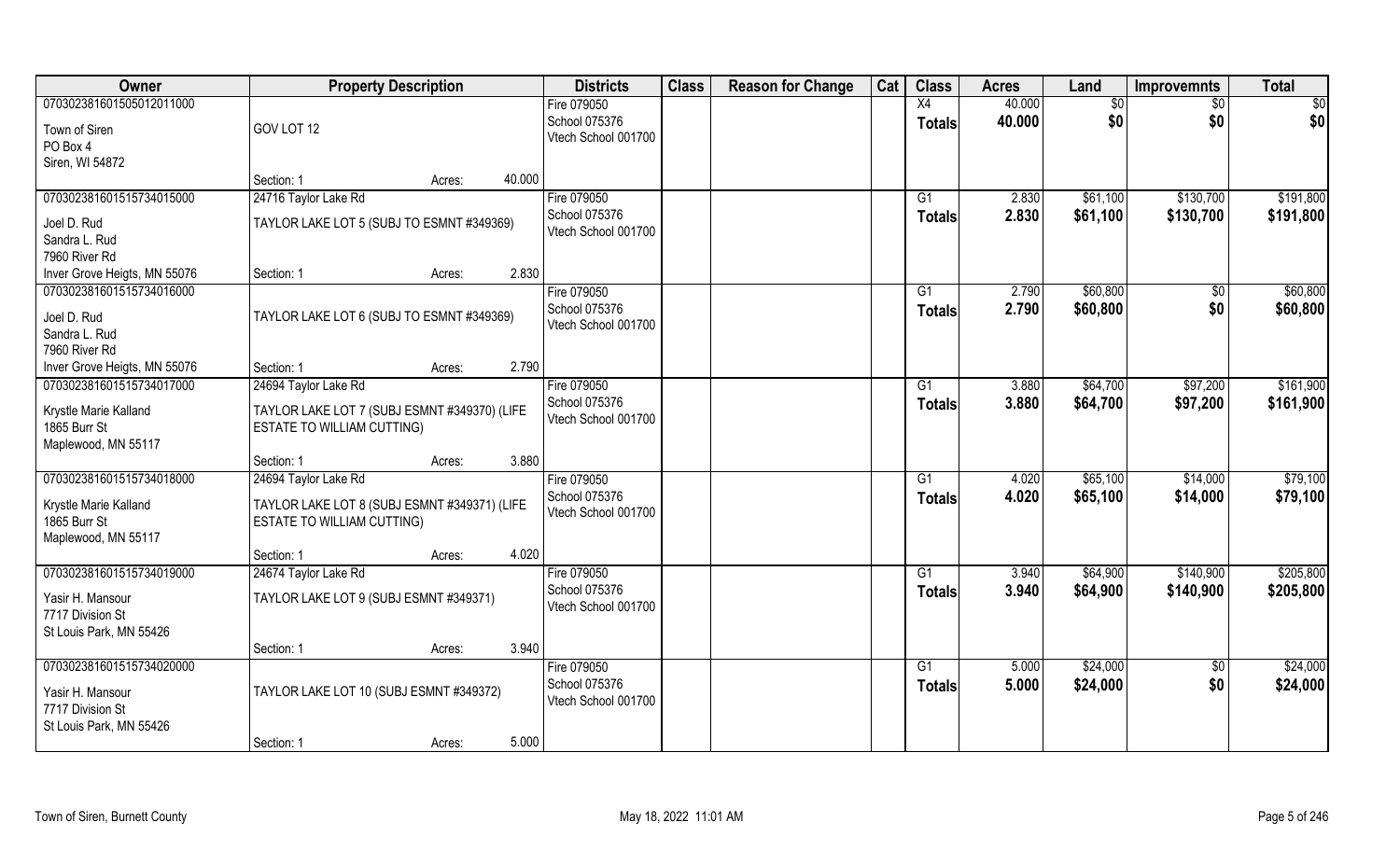| Owner                                                                                       | <b>Property Description</b>                                                                                             |        |        | <b>Districts</b>                                    | <b>Class</b> | <b>Reason for Change</b> | Cat | <b>Class</b>        | <b>Acres</b>     | Land                 | <b>Improvemnts</b>     | <b>Total</b>           |
|---------------------------------------------------------------------------------------------|-------------------------------------------------------------------------------------------------------------------------|--------|--------|-----------------------------------------------------|--------------|--------------------------|-----|---------------------|------------------|----------------------|------------------------|------------------------|
| 070302381601505012011000<br>Town of Siren<br>PO Box 4<br>Siren, WI 54872                    | GOV LOT 12                                                                                                              |        |        | Fire 079050<br>School 075376<br>Vtech School 001700 |              |                          |     | X4<br><b>Totals</b> | 40.000<br>40.000 | \$0<br>\$0           | \$0<br>\$0             | \$0<br>\$0             |
|                                                                                             | Section: 1                                                                                                              | Acres: | 40.000 |                                                     |              |                          |     |                     |                  |                      |                        |                        |
| 070302381601515734015000<br>Joel D. Rud<br>Sandra L. Rud<br>7960 River Rd                   | 24716 Taylor Lake Rd<br>TAYLOR LAKE LOT 5 (SUBJ TO ESMNT #349369)                                                       |        |        | Fire 079050<br>School 075376<br>Vtech School 001700 |              |                          |     | G1<br><b>Totals</b> | 2.830<br>2.830   | \$61,100<br>\$61,100 | \$130,700<br>\$130,700 | \$191,800<br>\$191,800 |
| Inver Grove Heigts, MN 55076                                                                | Section: 1                                                                                                              | Acres: | 2.830  |                                                     |              |                          |     |                     |                  |                      |                        |                        |
| 070302381601515734016000<br>Joel D. Rud<br>Sandra L. Rud<br>7960 River Rd                   | TAYLOR LAKE LOT 6 (SUBJ TO ESMNT #349369)                                                                               |        |        | Fire 079050<br>School 075376<br>Vtech School 001700 |              |                          |     | G1<br><b>Totals</b> | 2.790<br>2.790   | \$60,800<br>\$60,800 | \$0<br>\$0             | \$60,800<br>\$60,800   |
| Inver Grove Heigts, MN 55076                                                                | Section: 1                                                                                                              | Acres: | 2.790  |                                                     |              |                          |     |                     |                  |                      |                        |                        |
| 070302381601515734017000<br>Krystle Marie Kalland<br>1865 Burr St<br>Maplewood, MN 55117    | 24694 Taylor Lake Rd<br>TAYLOR LAKE LOT 7 (SUBJ ESMNT #349370) (LIFE<br>ESTATE TO WILLIAM CUTTING)                      |        |        | Fire 079050<br>School 075376<br>Vtech School 001700 |              |                          |     | G1<br><b>Totals</b> | 3.880<br>3.880   | \$64,700<br>\$64,700 | \$97,200<br>\$97,200   | \$161,900<br>\$161,900 |
|                                                                                             | Section: 1                                                                                                              | Acres: | 3.880  |                                                     |              |                          |     |                     |                  |                      |                        |                        |
| 070302381601515734018000<br>Krystle Marie Kalland<br>1865 Burr St<br>Maplewood, MN 55117    | 24694 Taylor Lake Rd<br>TAYLOR LAKE LOT 8 (SUBJ ESMNT #349371) (LIFE<br><b>ESTATE TO WILLIAM CUTTING)</b><br>Section: 1 | Acres: | 4.020  | Fire 079050<br>School 075376<br>Vtech School 001700 |              |                          |     | G1<br><b>Totals</b> | 4.020<br>4.020   | \$65,100<br>\$65,100 | \$14,000<br>\$14,000   | \$79,100<br>\$79,100   |
| 070302381601515734019000                                                                    | 24674 Taylor Lake Rd                                                                                                    |        |        | Fire 079050                                         |              |                          |     | G1                  | 3.940            | \$64,900             | \$140,900              | \$205,800              |
| Yasir H. Mansour<br>7717 Division St<br>St Louis Park, MN 55426                             | TAYLOR LAKE LOT 9 (SUBJ ESMNT #349371)                                                                                  |        |        | School 075376<br>Vtech School 001700                |              |                          |     | <b>Totals</b>       | 3.940            | \$64,900             | \$140,900              | \$205,800              |
|                                                                                             | Section: 1                                                                                                              | Acres: | 3.940  |                                                     |              |                          |     |                     |                  |                      |                        |                        |
| 070302381601515734020000<br>Yasir H. Mansour<br>7717 Division St<br>St Louis Park, MN 55426 | TAYLOR LAKE LOT 10 (SUBJ ESMNT #349372)<br>Section: 1                                                                   | Acres: | 5.000  | Fire 079050<br>School 075376<br>Vtech School 001700 |              |                          |     | G1<br><b>Totals</b> | 5.000<br>5.000   | \$24,000<br>\$24,000 | $\overline{50}$<br>\$0 | \$24,000<br>\$24,000   |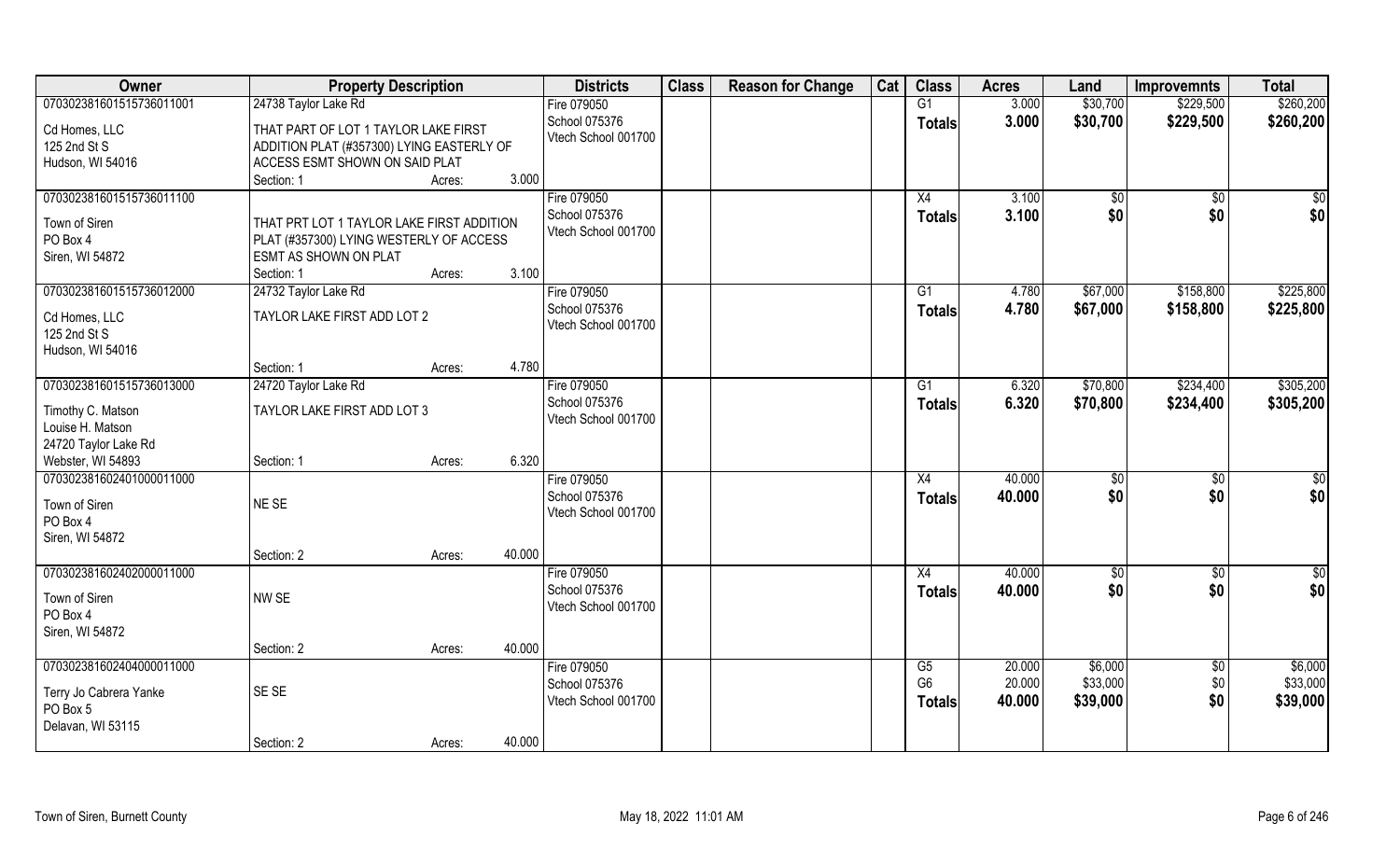| Owner                                                                               |                                                                                                                                   | <b>Property Description</b> |        | <b>Districts</b>                                    | <b>Class</b> | <b>Reason for Change</b> | Cat | <b>Class</b>                          | <b>Acres</b>               | Land                            | <b>Improvemnts</b>        | <b>Total</b>                    |
|-------------------------------------------------------------------------------------|-----------------------------------------------------------------------------------------------------------------------------------|-----------------------------|--------|-----------------------------------------------------|--------------|--------------------------|-----|---------------------------------------|----------------------------|---------------------------------|---------------------------|---------------------------------|
| 070302381601515736011001                                                            | 24738 Taylor Lake Rd                                                                                                              |                             |        | Fire 079050                                         |              |                          |     | G1                                    | 3.000                      | \$30,700                        | \$229,500                 | \$260,200                       |
| Cd Homes, LLC<br>125 2nd St S<br>Hudson, WI 54016                                   | THAT PART OF LOT 1 TAYLOR LAKE FIRST<br>ADDITION PLAT (#357300) LYING EASTERLY OF<br>ACCESS ESMT SHOWN ON SAID PLAT<br>Section: 1 | Acres:                      | 3.000  | School 075376<br>Vtech School 001700                |              |                          |     | <b>Totals</b>                         | 3.000                      | \$30,700                        | \$229,500                 | \$260,200                       |
| 070302381601515736011100                                                            |                                                                                                                                   |                             |        | Fire 079050                                         |              |                          |     | X4                                    | 3.100                      | $\sqrt{50}$                     | $\sqrt{$0}$               | \$0                             |
| Town of Siren<br>PO Box 4<br>Siren, WI 54872                                        | THAT PRT LOT 1 TAYLOR LAKE FIRST ADDITION<br>PLAT (#357300) LYING WESTERLY OF ACCESS<br>ESMT AS SHOWN ON PLAT<br>Section: 1       | Acres:                      | 3.100  | School 075376<br>Vtech School 001700                |              |                          |     | <b>Totals</b>                         | 3.100                      | \$0                             | \$0                       | \$0                             |
| 070302381601515736012000                                                            | 24732 Taylor Lake Rd                                                                                                              |                             |        | Fire 079050                                         |              |                          |     | G1                                    | 4.780                      | \$67,000                        | \$158,800                 | \$225,800                       |
| Cd Homes, LLC<br>125 2nd St S<br>Hudson, WI 54016                                   | TAYLOR LAKE FIRST ADD LOT 2                                                                                                       |                             |        | School 075376<br>Vtech School 001700                |              |                          |     | <b>Totals</b>                         | 4.780                      | \$67,000                        | \$158,800                 | \$225,800                       |
|                                                                                     | Section: 1                                                                                                                        | Acres:                      | 4.780  |                                                     |              |                          |     |                                       |                            |                                 |                           |                                 |
| 070302381601515736013000                                                            | 24720 Taylor Lake Rd                                                                                                              |                             |        | Fire 079050                                         |              |                          |     | G1                                    | 6.320                      | \$70,800                        | \$234,400                 | \$305,200                       |
| Timothy C. Matson<br>Louise H. Matson<br>24720 Taylor Lake Rd                       | TAYLOR LAKE FIRST ADD LOT 3                                                                                                       |                             |        | School 075376<br>Vtech School 001700                |              |                          |     | <b>Totals</b>                         | 6.320                      | \$70,800                        | \$234,400                 | \$305,200                       |
| Webster, WI 54893                                                                   | Section: 1                                                                                                                        | Acres:                      | 6.320  |                                                     |              |                          |     |                                       |                            |                                 |                           |                                 |
| 070302381602401000011000<br>Town of Siren<br>PO Box 4<br>Siren, WI 54872            | NE SE                                                                                                                             |                             | 40.000 | Fire 079050<br>School 075376<br>Vtech School 001700 |              |                          |     | X4<br><b>Totals</b>                   | 40.000<br>40.000           | \$0<br>\$0                      | $\overline{50}$<br>\$0    | $\sqrt{50}$<br>\$0              |
| 070302381602402000011000                                                            | Section: 2                                                                                                                        | Acres:                      |        | Fire 079050                                         |              |                          |     | X4                                    | 40.000                     | \$0                             | $\sqrt{$0}$               | \$0                             |
| Town of Siren<br>PO Box 4<br>Siren, WI 54872                                        | NW SE                                                                                                                             |                             |        | School 075376<br>Vtech School 001700                |              |                          |     | <b>Totals</b>                         | 40.000                     | \$0                             | \$0                       | \$0                             |
|                                                                                     | Section: 2                                                                                                                        | Acres:                      | 40.000 |                                                     |              |                          |     |                                       |                            |                                 |                           |                                 |
| 070302381602404000011000<br>Terry Jo Cabrera Yanke<br>PO Box 5<br>Delavan, WI 53115 | SE SE                                                                                                                             |                             |        | Fire 079050<br>School 075376<br>Vtech School 001700 |              |                          |     | G5<br>G <sub>6</sub><br><b>Totals</b> | 20.000<br>20.000<br>40.000 | \$6,000<br>\$33,000<br>\$39,000 | $\sqrt{$0}$<br>\$0<br>\$0 | \$6,000<br>\$33,000<br>\$39,000 |
|                                                                                     | Section: 2                                                                                                                        | Acres:                      | 40.000 |                                                     |              |                          |     |                                       |                            |                                 |                           |                                 |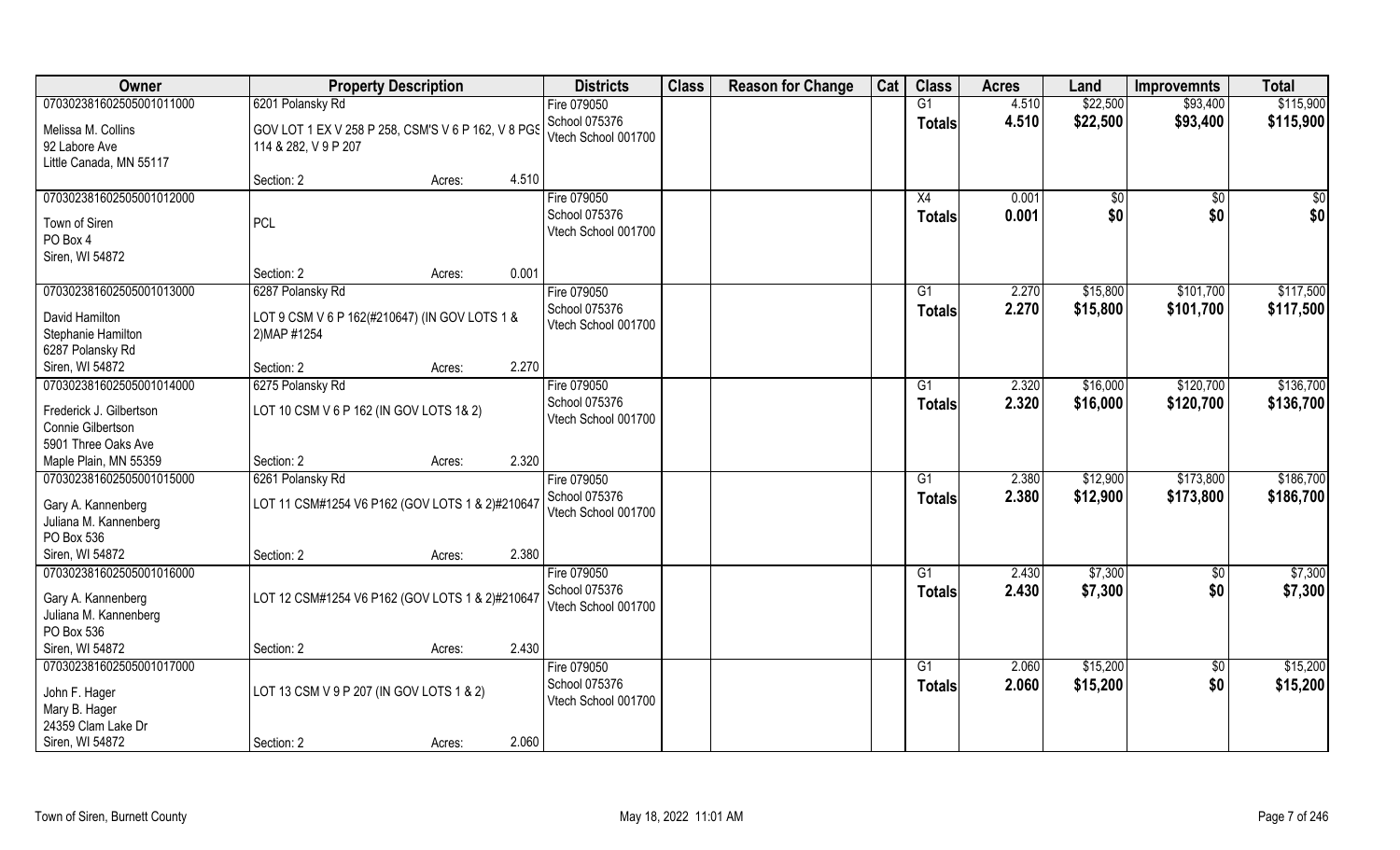| Owner                                                                    | <b>Property Description</b>                                                |        |       | <b>Districts</b>                                    | <b>Class</b> | <b>Reason for Change</b> | Cat | <b>Class</b>                     | <b>Acres</b>   | Land                 | <b>Improvemnts</b>     | <b>Total</b>           |
|--------------------------------------------------------------------------|----------------------------------------------------------------------------|--------|-------|-----------------------------------------------------|--------------|--------------------------|-----|----------------------------------|----------------|----------------------|------------------------|------------------------|
| 070302381602505001011000                                                 | 6201 Polansky Rd                                                           |        |       | Fire 079050                                         |              |                          |     | G1                               | 4.510          | \$22,500             | \$93,400               | \$115,900              |
| Melissa M. Collins<br>92 Labore Ave<br>Little Canada, MN 55117           | GOV LOT 1 EX V 258 P 258, CSM'S V 6 P 162, V 8 PGS<br>114 & 282, V 9 P 207 |        |       | School 075376<br>Vtech School 001700                |              |                          |     | <b>Totals</b>                    | 4.510          | \$22,500             | \$93,400               | \$115,900              |
|                                                                          | Section: 2                                                                 | Acres: | 4.510 |                                                     |              |                          |     |                                  |                |                      |                        |                        |
| 070302381602505001012000<br>Town of Siren<br>PO Box 4<br>Siren, WI 54872 | <b>PCL</b>                                                                 |        |       | Fire 079050<br>School 075376<br>Vtech School 001700 |              |                          |     | X4<br><b>Totals</b>              | 0.001<br>0.001 | \$0<br>\$0           | $\sqrt{$0}$<br>\$0     | \$0<br>\$0             |
|                                                                          | Section: 2                                                                 | Acres: | 0.001 |                                                     |              |                          |     |                                  |                |                      |                        |                        |
| 070302381602505001013000                                                 | 6287 Polansky Rd                                                           |        |       | Fire 079050                                         |              |                          |     | G1                               | 2.270          | \$15,800             | \$101,700              | \$117,500              |
| David Hamilton<br>Stephanie Hamilton<br>6287 Polansky Rd                 | LOT 9 CSM V 6 P 162(#210647) (IN GOV LOTS 1 &<br>2) MAP #1254              |        |       | School 075376<br>Vtech School 001700                |              |                          |     | <b>Totals</b>                    | 2.270          | \$15,800             | \$101,700              | \$117,500              |
| Siren, WI 54872                                                          | Section: 2                                                                 | Acres: | 2.270 |                                                     |              |                          |     |                                  |                |                      |                        |                        |
| 070302381602505001014000                                                 | 6275 Polansky Rd                                                           |        |       | Fire 079050<br>School 075376                        |              |                          |     | G1<br><b>Totals</b>              | 2.320<br>2.320 | \$16,000<br>\$16,000 | \$120,700<br>\$120,700 | \$136,700<br>\$136,700 |
| Frederick J. Gilbertson<br>Connie Gilbertson<br>5901 Three Oaks Ave      | LOT 10 CSM V 6 P 162 (IN GOV LOTS 1& 2)                                    |        |       | Vtech School 001700                                 |              |                          |     |                                  |                |                      |                        |                        |
| Maple Plain, MN 55359                                                    | Section: 2                                                                 | Acres: | 2.320 |                                                     |              |                          |     |                                  |                |                      |                        |                        |
| 070302381602505001015000<br>Gary A. Kannenberg                           | 6261 Polansky Rd<br>LOT 11 CSM#1254 V6 P162 (GOV LOTS 1 & 2)#210647        |        |       | Fire 079050<br>School 075376                        |              |                          |     | G1<br><b>Totals</b>              | 2.380<br>2.380 | \$12,900<br>\$12,900 | \$173,800<br>\$173,800 | \$186,700<br>\$186,700 |
| Juliana M. Kannenberg<br>PO Box 536                                      |                                                                            |        |       | Vtech School 001700                                 |              |                          |     |                                  |                |                      |                        |                        |
| Siren, WI 54872                                                          | Section: 2                                                                 | Acres: | 2.380 |                                                     |              |                          |     |                                  |                |                      |                        |                        |
| 070302381602505001016000                                                 |                                                                            |        |       | Fire 079050                                         |              |                          |     | G1                               | 2.430          | \$7,300              | \$0                    | \$7,300                |
| Gary A. Kannenberg<br>Juliana M. Kannenberg<br>PO Box 536                | LOT 12 CSM#1254 V6 P162 (GOV LOTS 1 & 2)#210647                            |        |       | School 075376<br>Vtech School 001700                |              |                          |     | <b>Totals</b>                    | 2.430          | \$7,300              | \$0                    | \$7,300                |
| Siren, WI 54872                                                          | Section: 2                                                                 | Acres: | 2.430 |                                                     |              |                          |     |                                  |                |                      |                        |                        |
| 070302381602505001017000<br>John F. Hager<br>Mary B. Hager               | LOT 13 CSM V 9 P 207 (IN GOV LOTS 1 & 2)                                   |        |       | Fire 079050<br>School 075376<br>Vtech School 001700 |              |                          |     | $\overline{G1}$<br><b>Totals</b> | 2.060<br>2.060 | \$15,200<br>\$15,200 | $\sqrt{$0}$<br>\$0     | \$15,200<br>\$15,200   |
| 24359 Clam Lake Dr<br>Siren, WI 54872                                    | Section: 2                                                                 | Acres: | 2.060 |                                                     |              |                          |     |                                  |                |                      |                        |                        |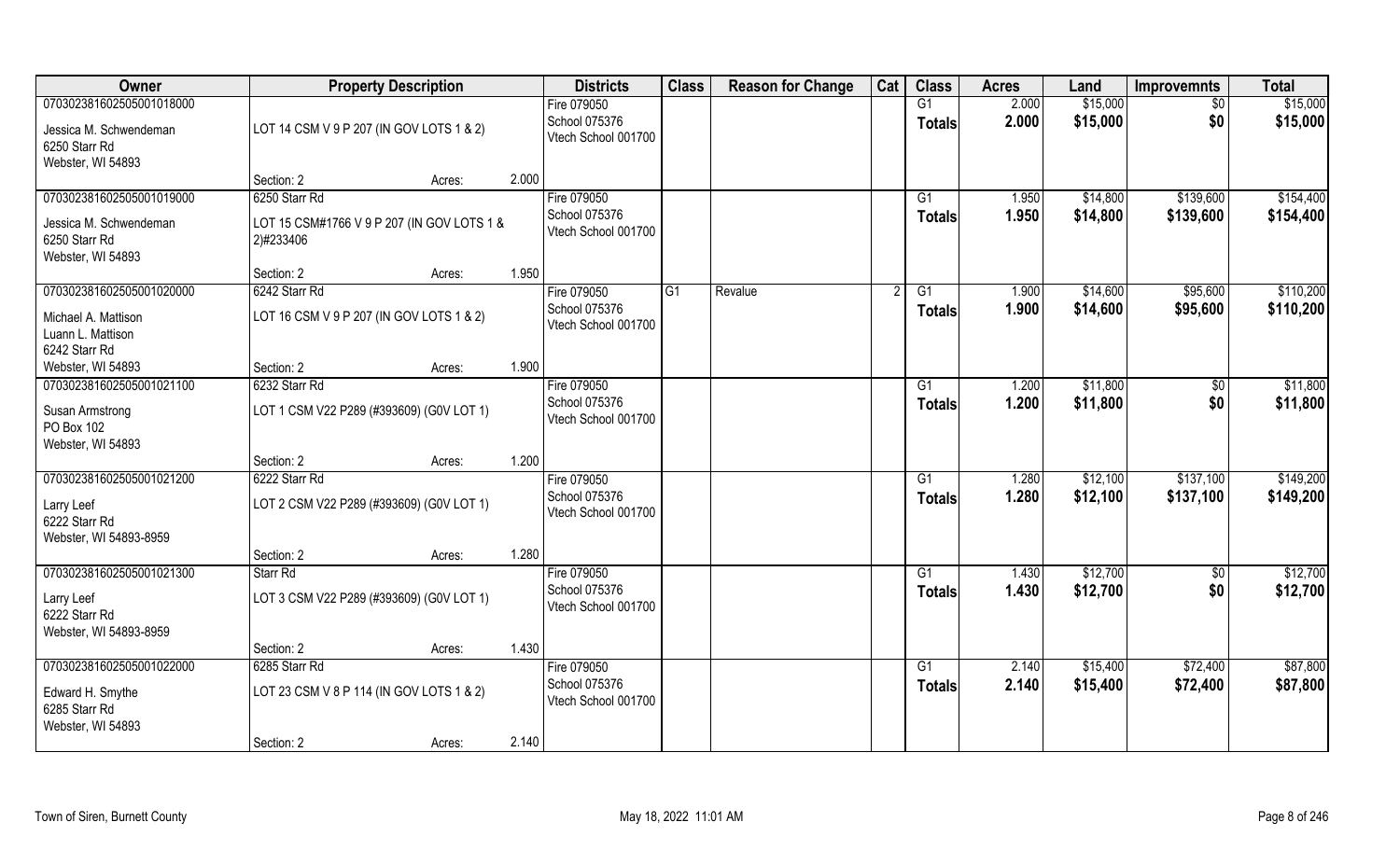| Owner                                   |                                            | <b>Property Description</b> |       | <b>Districts</b>                     | <b>Class</b> | <b>Reason for Change</b> | Cat | <b>Class</b>  | <b>Acres</b> | Land     | <b>Improvemnts</b> | <b>Total</b> |
|-----------------------------------------|--------------------------------------------|-----------------------------|-------|--------------------------------------|--------------|--------------------------|-----|---------------|--------------|----------|--------------------|--------------|
| 070302381602505001018000                |                                            |                             |       | Fire 079050                          |              |                          |     | G1            | 2.000        | \$15,000 | \$0                | \$15,000     |
| Jessica M. Schwendeman<br>6250 Starr Rd | LOT 14 CSM V 9 P 207 (IN GOV LOTS 1 & 2)   |                             |       | School 075376<br>Vtech School 001700 |              |                          |     | <b>Totals</b> | 2.000        | \$15,000 | \$0                | \$15,000     |
| Webster, WI 54893                       |                                            |                             |       |                                      |              |                          |     |               |              |          |                    |              |
|                                         | Section: 2                                 | Acres:                      | 2.000 |                                      |              |                          |     |               |              |          |                    |              |
| 070302381602505001019000                | 6250 Starr Rd                              |                             |       | Fire 079050                          |              |                          |     | G1            | 1.950        | \$14,800 | \$139,600          | \$154,400    |
| Jessica M. Schwendeman                  | LOT 15 CSM#1766 V 9 P 207 (IN GOV LOTS 1 & |                             |       | School 075376                        |              |                          |     | <b>Totals</b> | 1.950        | \$14,800 | \$139,600          | \$154,400    |
| 6250 Starr Rd                           | 2)#233406                                  |                             |       | Vtech School 001700                  |              |                          |     |               |              |          |                    |              |
| Webster, WI 54893                       |                                            |                             |       |                                      |              |                          |     |               |              |          |                    |              |
|                                         | Section: 2                                 | Acres:                      | 1.950 |                                      |              |                          |     |               |              |          |                    |              |
| 070302381602505001020000                | 6242 Starr Rd                              |                             |       | Fire 079050                          | G1           | Revalue                  |     | G1            | 1.900        | \$14,600 | \$95,600           | \$110,200    |
| Michael A. Mattison                     | LOT 16 CSM V 9 P 207 (IN GOV LOTS 1 & 2)   |                             |       | School 075376                        |              |                          |     | <b>Totals</b> | 1.900        | \$14,600 | \$95,600           | \$110,200    |
| Luann L. Mattison                       |                                            |                             |       | Vtech School 001700                  |              |                          |     |               |              |          |                    |              |
| 6242 Starr Rd                           |                                            |                             |       |                                      |              |                          |     |               |              |          |                    |              |
| Webster, WI 54893                       | Section: 2                                 | Acres:                      | 1.900 |                                      |              |                          |     |               |              |          |                    |              |
| 070302381602505001021100                | 6232 Starr Rd                              |                             |       | Fire 079050                          |              |                          |     | G1            | 1.200        | \$11,800 | \$0                | \$11,800     |
| Susan Armstrong                         | LOT 1 CSM V22 P289 (#393609) (G0V LOT 1)   |                             |       | School 075376                        |              |                          |     | <b>Totals</b> | 1.200        | \$11,800 | \$0                | \$11,800     |
| PO Box 102                              |                                            |                             |       | Vtech School 001700                  |              |                          |     |               |              |          |                    |              |
| Webster, WI 54893                       |                                            |                             |       |                                      |              |                          |     |               |              |          |                    |              |
|                                         | Section: 2                                 | Acres:                      | 1.200 |                                      |              |                          |     |               |              |          |                    |              |
| 070302381602505001021200                | 6222 Starr Rd                              |                             |       | Fire 079050                          |              |                          |     | G1            | 1.280        | \$12,100 | \$137,100          | \$149,200    |
| Larry Leef                              | LOT 2 CSM V22 P289 (#393609) (G0V LOT 1)   |                             |       | School 075376                        |              |                          |     | <b>Totals</b> | 1.280        | \$12,100 | \$137,100          | \$149,200    |
| 6222 Starr Rd                           |                                            |                             |       | Vtech School 001700                  |              |                          |     |               |              |          |                    |              |
| Webster, WI 54893-8959                  |                                            |                             |       |                                      |              |                          |     |               |              |          |                    |              |
|                                         | Section: 2                                 | Acres:                      | 1.280 |                                      |              |                          |     |               |              |          |                    |              |
| 070302381602505001021300                | Starr Rd                                   |                             |       | Fire 079050                          |              |                          |     | G1            | 1.430        | \$12,700 | $\overline{50}$    | \$12,700     |
| Larry Leef                              | LOT 3 CSM V22 P289 (#393609) (G0V LOT 1)   |                             |       | School 075376                        |              |                          |     | <b>Totals</b> | 1.430        | \$12,700 | \$0                | \$12,700     |
| 6222 Starr Rd                           |                                            |                             |       | Vtech School 001700                  |              |                          |     |               |              |          |                    |              |
| Webster, WI 54893-8959                  |                                            |                             |       |                                      |              |                          |     |               |              |          |                    |              |
|                                         | Section: 2                                 | Acres:                      | 1.430 |                                      |              |                          |     |               |              |          |                    |              |
| 070302381602505001022000                | 6285 Starr Rd                              |                             |       | Fire 079050                          |              |                          |     | G1            | 2.140        | \$15,400 | \$72,400           | \$87,800     |
| Edward H. Smythe                        | LOT 23 CSM V 8 P 114 (IN GOV LOTS 1 & 2)   |                             |       | School 075376                        |              |                          |     | <b>Totals</b> | 2.140        | \$15,400 | \$72,400           | \$87,800     |
| 6285 Starr Rd                           |                                            |                             |       | Vtech School 001700                  |              |                          |     |               |              |          |                    |              |
| Webster, WI 54893                       |                                            |                             |       |                                      |              |                          |     |               |              |          |                    |              |
|                                         | Section: 2                                 | Acres:                      | 2.140 |                                      |              |                          |     |               |              |          |                    |              |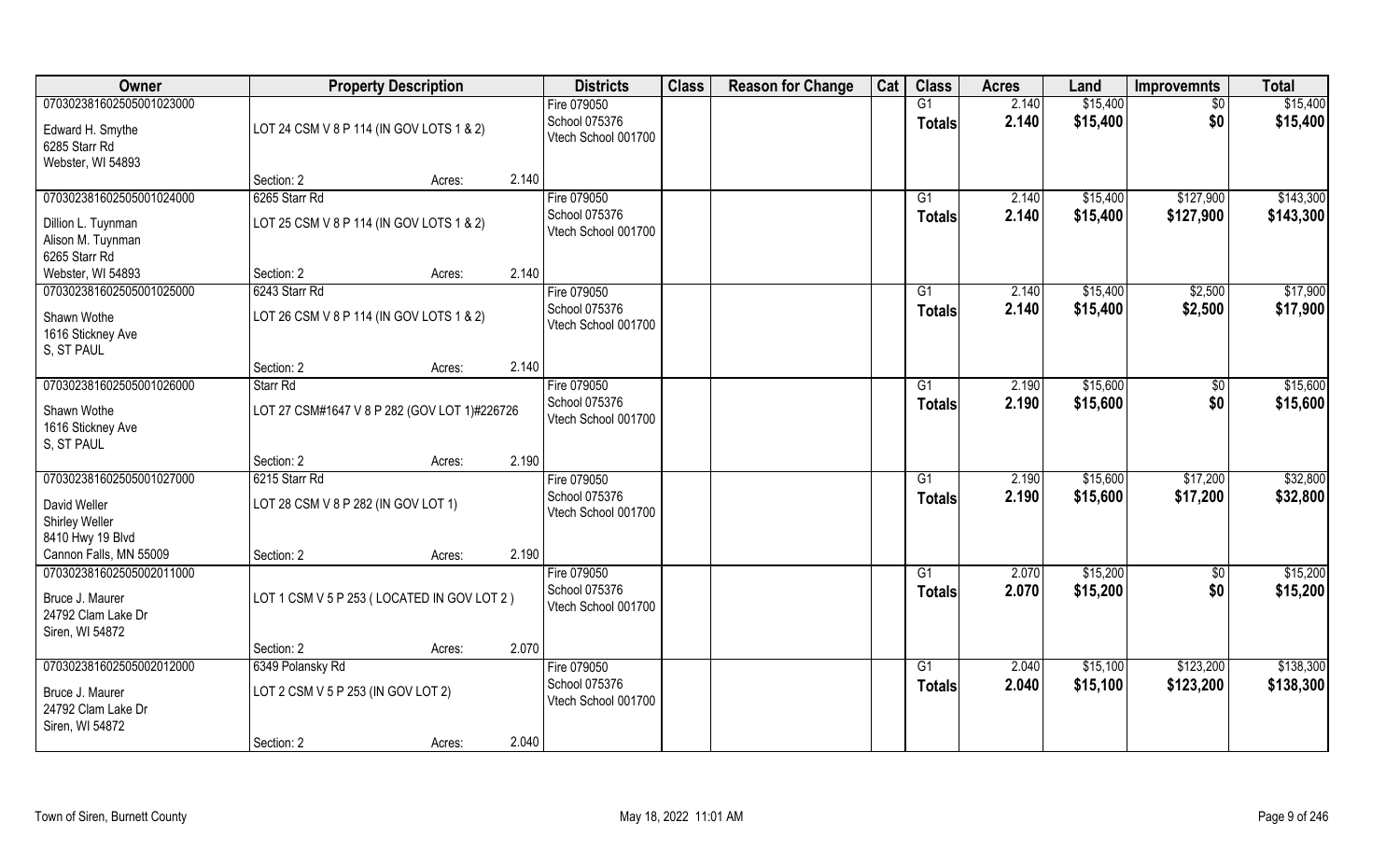| Owner                                                                                 |                                                           | <b>Property Description</b> |       | <b>Districts</b>                                    | <b>Class</b> | <b>Reason for Change</b> | Cat | <b>Class</b>        | <b>Acres</b>   | Land                 | <b>Improvemnts</b>     | <b>Total</b>           |
|---------------------------------------------------------------------------------------|-----------------------------------------------------------|-----------------------------|-------|-----------------------------------------------------|--------------|--------------------------|-----|---------------------|----------------|----------------------|------------------------|------------------------|
| 070302381602505001023000<br>Edward H. Smythe<br>6285 Starr Rd<br>Webster, WI 54893    | LOT 24 CSM V 8 P 114 (IN GOV LOTS 1 & 2)                  |                             |       | Fire 079050<br>School 075376<br>Vtech School 001700 |              |                          |     | G1<br><b>Totals</b> | 2.140<br>2.140 | \$15,400<br>\$15,400 | $\sqrt{6}$<br>\$0      | \$15,400<br>\$15,400   |
|                                                                                       | Section: 2                                                | Acres:                      | 2.140 |                                                     |              |                          |     |                     |                |                      |                        |                        |
| 070302381602505001024000<br>Dillion L. Tuynman<br>Alison M. Tuynman<br>6265 Starr Rd  | 6265 Starr Rd<br>LOT 25 CSM V 8 P 114 (IN GOV LOTS 1 & 2) |                             |       | Fire 079050<br>School 075376<br>Vtech School 001700 |              |                          |     | G1<br><b>Totals</b> | 2.140<br>2.140 | \$15,400<br>\$15,400 | \$127,900<br>\$127,900 | \$143,300<br>\$143,300 |
| Webster, WI 54893                                                                     | Section: 2                                                | Acres:                      | 2.140 |                                                     |              |                          |     |                     |                |                      |                        |                        |
| 070302381602505001025000<br>Shawn Wothe<br>1616 Stickney Ave<br>S, ST PAUL            | 6243 Starr Rd<br>LOT 26 CSM V 8 P 114 (IN GOV LOTS 1 & 2) |                             |       | Fire 079050<br>School 075376<br>Vtech School 001700 |              |                          |     | G1<br><b>Totals</b> | 2.140<br>2.140 | \$15,400<br>\$15,400 | \$2,500<br>\$2,500     | \$17,900<br>\$17,900   |
|                                                                                       | Section: 2                                                | Acres:                      | 2.140 |                                                     |              |                          |     |                     |                |                      |                        |                        |
| 070302381602505001026000                                                              | Starr Rd                                                  |                             |       | Fire 079050                                         |              |                          |     | G1                  | 2.190          | \$15,600             | \$0                    | \$15,600               |
| Shawn Wothe<br>1616 Stickney Ave<br>S, ST PAUL                                        | LOT 27 CSM#1647 V 8 P 282 (GOV LOT 1)#226726              |                             |       | School 075376<br>Vtech School 001700                |              |                          |     | <b>Totals</b>       | 2.190          | \$15,600             | \$0                    | \$15,600               |
|                                                                                       | Section: 2                                                | Acres:                      | 2.190 |                                                     |              |                          |     |                     |                |                      |                        |                        |
| 070302381602505001027000<br>David Weller<br><b>Shirley Weller</b><br>8410 Hwy 19 Blvd | 6215 Starr Rd<br>LOT 28 CSM V 8 P 282 (IN GOV LOT 1)      |                             |       | Fire 079050<br>School 075376<br>Vtech School 001700 |              |                          |     | G1<br><b>Totals</b> | 2.190<br>2.190 | \$15,600<br>\$15,600 | \$17,200<br>\$17,200   | \$32,800<br>\$32,800   |
| Cannon Falls, MN 55009<br>070302381602505002011000                                    | Section: 2                                                | Acres:                      | 2.190 | Fire 079050                                         |              |                          |     | G1                  | 2.070          | \$15,200             |                        | \$15,200               |
| Bruce J. Maurer<br>24792 Clam Lake Dr<br>Siren, WI 54872                              | LOT 1 CSM V 5 P 253 (LOCATED IN GOV LOT 2)                |                             |       | School 075376<br>Vtech School 001700                |              |                          |     | <b>Totals</b>       | 2.070          | \$15,200             | $\overline{50}$<br>\$0 | \$15,200               |
|                                                                                       | Section: 2                                                | Acres:                      | 2.070 |                                                     |              |                          |     |                     |                |                      |                        |                        |
| 070302381602505002012000                                                              | 6349 Polansky Rd                                          |                             |       | Fire 079050                                         |              |                          |     | $\overline{G1}$     | 2.040          | \$15,100             | \$123,200              | \$138,300              |
| Bruce J. Maurer<br>24792 Clam Lake Dr<br>Siren, WI 54872                              | LOT 2 CSM V 5 P 253 (IN GOV LOT 2)                        |                             |       | School 075376<br>Vtech School 001700                |              |                          |     | <b>Totals</b>       | 2.040          | \$15,100             | \$123,200              | \$138,300              |
|                                                                                       | Section: 2                                                | Acres:                      | 2.040 |                                                     |              |                          |     |                     |                |                      |                        |                        |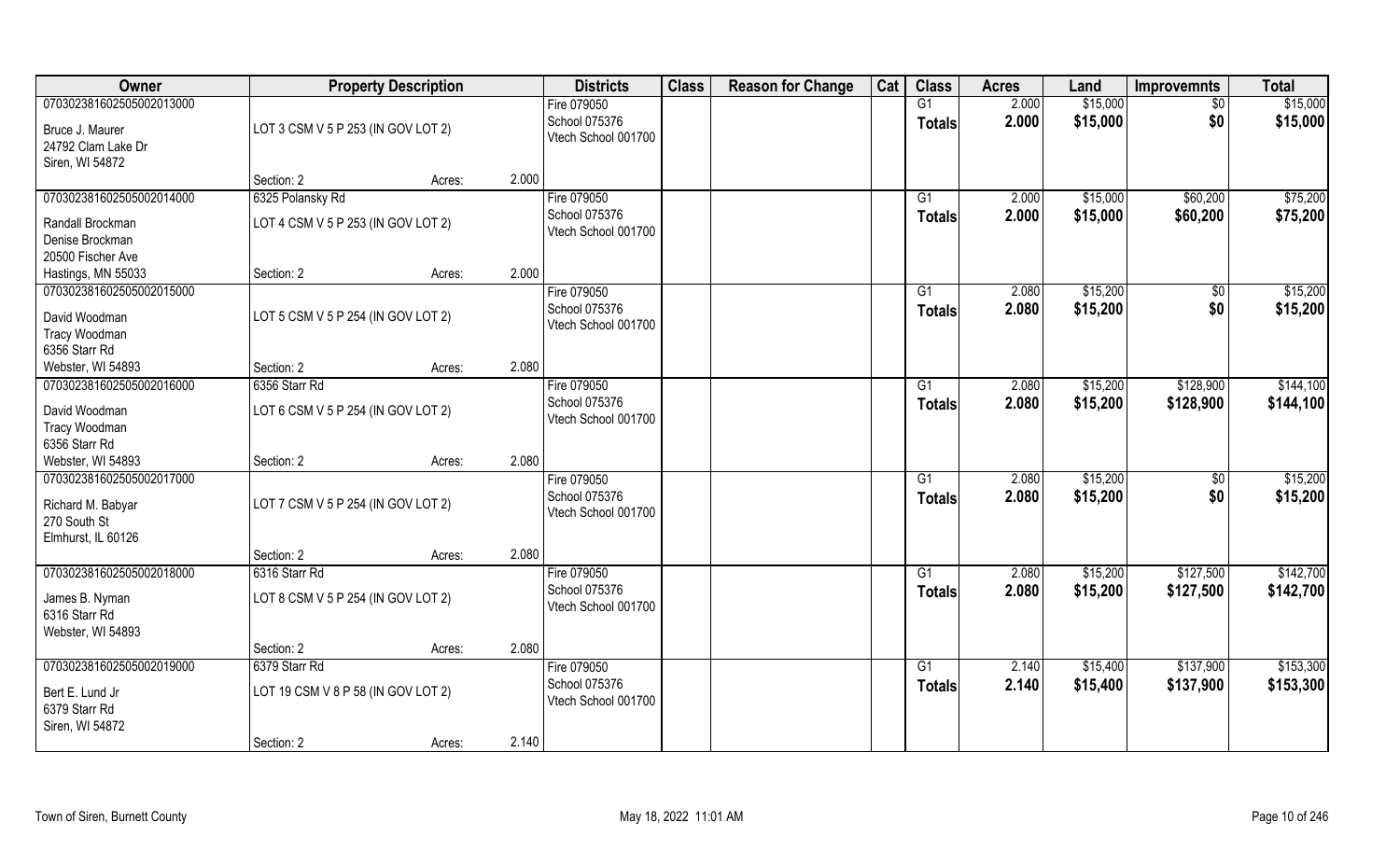| Owner                                                    |                                    | <b>Property Description</b> |       | <b>Districts</b>                     | <b>Class</b> | <b>Reason for Change</b> | Cat | <b>Class</b>        | <b>Acres</b>   | Land                 | <b>Improvemnts</b>   | <b>Total</b>         |
|----------------------------------------------------------|------------------------------------|-----------------------------|-------|--------------------------------------|--------------|--------------------------|-----|---------------------|----------------|----------------------|----------------------|----------------------|
| 070302381602505002013000                                 |                                    |                             |       | Fire 079050                          |              |                          |     | G1                  | 2.000          | \$15,000             | \$0                  | \$15,000             |
| Bruce J. Maurer<br>24792 Clam Lake Dr<br>Siren, WI 54872 | LOT 3 CSM V 5 P 253 (IN GOV LOT 2) |                             |       | School 075376<br>Vtech School 001700 |              |                          |     | <b>Totals</b>       | 2.000          | \$15,000             | \$0                  | \$15,000             |
|                                                          | Section: 2                         | Acres:                      | 2.000 |                                      |              |                          |     |                     |                |                      |                      |                      |
| 070302381602505002014000                                 | 6325 Polansky Rd                   |                             |       | Fire 079050<br>School 075376         |              |                          |     | G1<br><b>Totals</b> | 2.000<br>2.000 | \$15,000<br>\$15,000 | \$60,200<br>\$60,200 | \$75,200<br>\$75,200 |
| Randall Brockman                                         | LOT 4 CSM V 5 P 253 (IN GOV LOT 2) |                             |       | Vtech School 001700                  |              |                          |     |                     |                |                      |                      |                      |
| Denise Brockman<br>20500 Fischer Ave                     |                                    |                             |       |                                      |              |                          |     |                     |                |                      |                      |                      |
| Hastings, MN 55033                                       | Section: 2                         | Acres:                      | 2.000 |                                      |              |                          |     |                     |                |                      |                      |                      |
| 070302381602505002015000                                 |                                    |                             |       | Fire 079050                          |              |                          |     | G1                  | 2.080          | \$15,200             | \$0                  | \$15,200             |
| David Woodman                                            | LOT 5 CSM V 5 P 254 (IN GOV LOT 2) |                             |       | School 075376<br>Vtech School 001700 |              |                          |     | <b>Totals</b>       | 2.080          | \$15,200             | \$0                  | \$15,200             |
| Tracy Woodman                                            |                                    |                             |       |                                      |              |                          |     |                     |                |                      |                      |                      |
| 6356 Starr Rd                                            |                                    |                             | 2.080 |                                      |              |                          |     |                     |                |                      |                      |                      |
| Webster, WI 54893<br>070302381602505002016000            | Section: 2<br>6356 Starr Rd        | Acres:                      |       | Fire 079050                          |              |                          |     | G1                  | 2.080          | \$15,200             | \$128,900            | \$144,100            |
|                                                          |                                    |                             |       | School 075376                        |              |                          |     | <b>Totals</b>       | 2.080          | \$15,200             | \$128,900            | \$144,100            |
| David Woodman<br>Tracy Woodman                           | LOT 6 CSM V 5 P 254 (IN GOV LOT 2) |                             |       | Vtech School 001700                  |              |                          |     |                     |                |                      |                      |                      |
| 6356 Starr Rd                                            |                                    |                             |       |                                      |              |                          |     |                     |                |                      |                      |                      |
| Webster, WI 54893                                        | Section: 2                         | Acres:                      | 2.080 |                                      |              |                          |     |                     |                |                      |                      |                      |
| 070302381602505002017000                                 |                                    |                             |       | Fire 079050<br>School 075376         |              |                          |     | G1                  | 2.080          | \$15,200             | \$0                  | \$15,200             |
| Richard M. Babyar                                        | LOT 7 CSM V 5 P 254 (IN GOV LOT 2) |                             |       | Vtech School 001700                  |              |                          |     | <b>Totals</b>       | 2.080          | \$15,200             | \$0                  | \$15,200             |
| 270 South St                                             |                                    |                             |       |                                      |              |                          |     |                     |                |                      |                      |                      |
| Elmhurst, IL 60126                                       |                                    |                             |       |                                      |              |                          |     |                     |                |                      |                      |                      |
|                                                          | Section: 2                         | Acres:                      | 2.080 |                                      |              |                          |     |                     |                |                      |                      |                      |
| 070302381602505002018000                                 | 6316 Starr Rd                      |                             |       | Fire 079050<br>School 075376         |              |                          |     | G1                  | 2.080          | \$15,200             | \$127,500            | \$142,700            |
| James B. Nyman<br>6316 Starr Rd                          | LOT 8 CSM V 5 P 254 (IN GOV LOT 2) |                             |       | Vtech School 001700                  |              |                          |     | <b>Totals</b>       | 2.080          | \$15,200             | \$127,500            | \$142,700            |
| Webster, WI 54893                                        |                                    |                             |       |                                      |              |                          |     |                     |                |                      |                      |                      |
|                                                          | Section: 2                         | Acres:                      | 2.080 |                                      |              |                          |     |                     |                |                      |                      |                      |
| 070302381602505002019000                                 | 6379 Starr Rd                      |                             |       | Fire 079050                          |              |                          |     | $\overline{G1}$     | 2.140          | \$15,400             | \$137,900            | \$153,300            |
| Bert E. Lund Jr<br>6379 Starr Rd                         | LOT 19 CSM V 8 P 58 (IN GOV LOT 2) |                             |       | School 075376<br>Vtech School 001700 |              |                          |     | <b>Totals</b>       | 2.140          | \$15,400             | \$137,900            | \$153,300            |
| Siren, WI 54872                                          | Section: 2                         | Acres:                      | 2.140 |                                      |              |                          |     |                     |                |                      |                      |                      |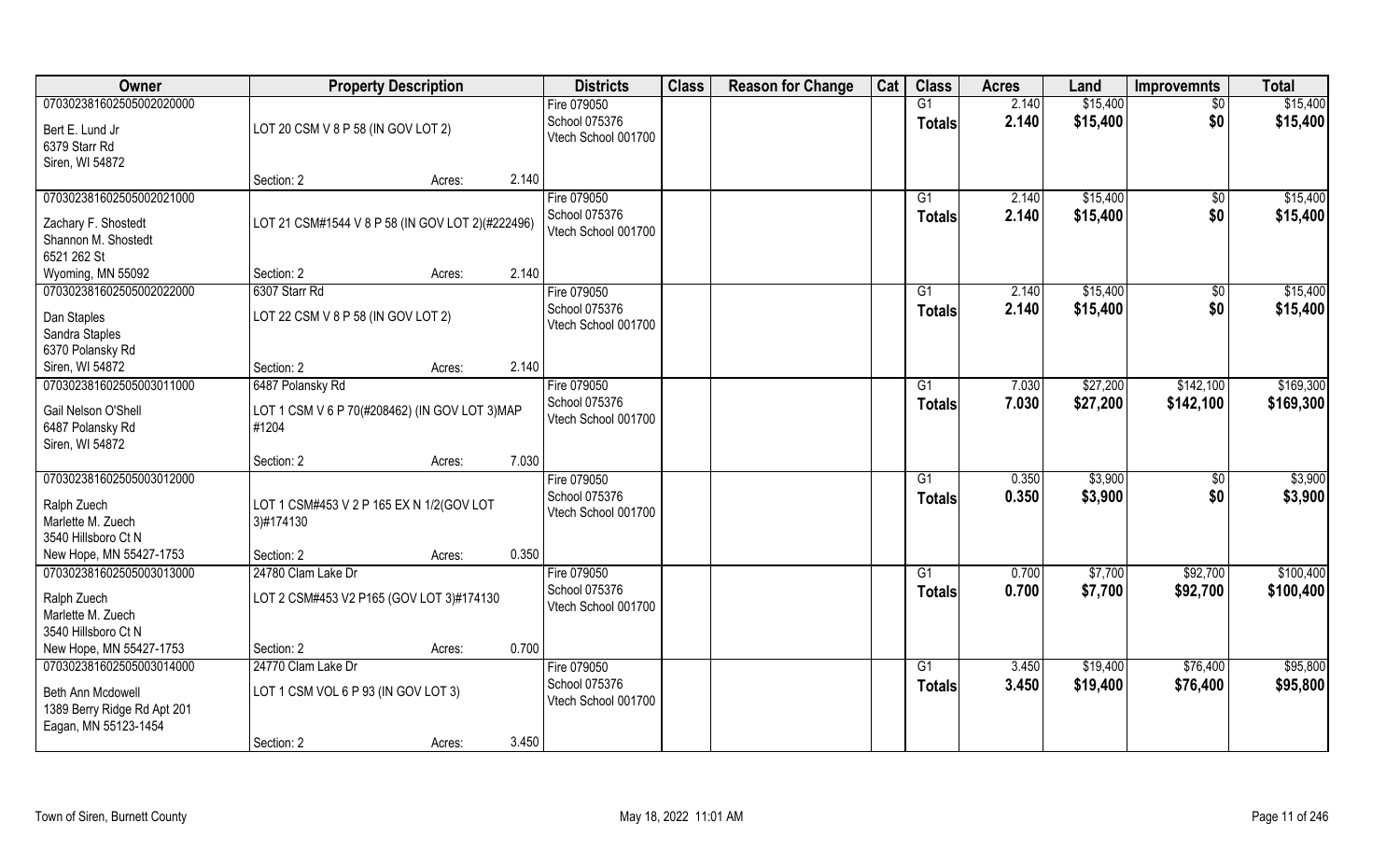| Owner                                                                                 |                                                                | <b>Property Description</b> |       | <b>Districts</b>                                    | <b>Class</b> | <b>Reason for Change</b> | Cat | <b>Class</b>                     | <b>Acres</b>   | Land                 | <b>Improvemnts</b>     | <b>Total</b>           |
|---------------------------------------------------------------------------------------|----------------------------------------------------------------|-----------------------------|-------|-----------------------------------------------------|--------------|--------------------------|-----|----------------------------------|----------------|----------------------|------------------------|------------------------|
| 070302381602505002020000                                                              |                                                                |                             |       | Fire 079050                                         |              |                          |     | G1                               | 2.140          | \$15,400             | $\sqrt{50}$            | \$15,400               |
| Bert E. Lund Jr<br>6379 Starr Rd<br>Siren, WI 54872                                   | LOT 20 CSM V 8 P 58 (IN GOV LOT 2)                             |                             |       | School 075376<br>Vtech School 001700                |              |                          |     | <b>Totals</b>                    | 2.140          | \$15,400             | \$0                    | \$15,400               |
|                                                                                       | Section: 2                                                     | Acres:                      | 2.140 |                                                     |              |                          |     |                                  |                |                      |                        |                        |
| 070302381602505002021000<br>Zachary F. Shostedt<br>Shannon M. Shostedt<br>6521 262 St | LOT 21 CSM#1544 V 8 P 58 (IN GOV LOT 2) (#222496)              |                             |       | Fire 079050<br>School 075376<br>Vtech School 001700 |              |                          |     | G1<br>Totals                     | 2.140<br>2.140 | \$15,400<br>\$15,400 | $\overline{50}$<br>\$0 | \$15,400<br>\$15,400   |
| Wyoming, MN 55092                                                                     | Section: 2                                                     | Acres:                      | 2.140 |                                                     |              |                          |     |                                  |                |                      |                        |                        |
| 070302381602505002022000                                                              | 6307 Starr Rd                                                  |                             |       | Fire 079050                                         |              |                          |     | G1                               | 2.140          | \$15,400             | \$0                    | \$15,400               |
| Dan Staples<br>Sandra Staples<br>6370 Polansky Rd                                     | LOT 22 CSM V 8 P 58 (IN GOV LOT 2)                             |                             |       | School 075376<br>Vtech School 001700                |              |                          |     | <b>Totals</b>                    | 2.140          | \$15,400             | \$0                    | \$15,400               |
| Siren, WI 54872                                                                       | Section: 2                                                     | Acres:                      | 2.140 |                                                     |              |                          |     |                                  |                |                      |                        |                        |
| 070302381602505003011000                                                              | 6487 Polansky Rd                                               |                             |       | Fire 079050                                         |              |                          |     | G1                               | 7.030          | \$27,200             | \$142,100              | \$169,300              |
| Gail Nelson O'Shell<br>6487 Polansky Rd<br>Siren, WI 54872                            | LOT 1 CSM V 6 P 70(#208462) (IN GOV LOT 3) MAP<br>#1204        |                             |       | School 075376<br>Vtech School 001700                |              |                          |     | Totals                           | 7.030          | \$27,200             | \$142,100              | \$169,300              |
|                                                                                       | Section: 2                                                     | Acres:                      | 7.030 |                                                     |              |                          |     |                                  |                |                      |                        |                        |
| 070302381602505003012000<br>Ralph Zuech<br>Marlette M. Zuech<br>3540 Hillsboro Ct N   | LOT 1 CSM#453 V 2 P 165 EX N 1/2(GOV LOT<br>3)#174130          |                             |       | Fire 079050<br>School 075376<br>Vtech School 001700 |              |                          |     | $\overline{G1}$<br><b>Totals</b> | 0.350<br>0.350 | \$3,900<br>\$3,900   | $\overline{50}$<br>\$0 | \$3,900<br>\$3,900     |
| New Hope, MN 55427-1753                                                               | Section: 2                                                     | Acres:                      | 0.350 |                                                     |              |                          |     |                                  |                |                      |                        |                        |
| 070302381602505003013000<br>Ralph Zuech<br>Marlette M. Zuech<br>3540 Hillsboro Ct N   | 24780 Clam Lake Dr<br>LOT 2 CSM#453 V2 P165 (GOV LOT 3)#174130 |                             |       | Fire 079050<br>School 075376<br>Vtech School 001700 |              |                          |     | G1<br><b>Totals</b>              | 0.700<br>0.700 | \$7,700<br>\$7,700   | \$92,700<br>\$92,700   | \$100,400<br>\$100,400 |
| New Hope, MN 55427-1753                                                               | Section: 2                                                     | Acres:                      | 0.700 |                                                     |              |                          |     |                                  |                |                      |                        |                        |
| 070302381602505003014000                                                              | 24770 Clam Lake Dr                                             |                             |       | Fire 079050                                         |              |                          |     | $\overline{G1}$                  | 3.450          | \$19,400             | \$76,400               | \$95,800               |
| Beth Ann Mcdowell<br>1389 Berry Ridge Rd Apt 201<br>Eagan, MN 55123-1454              | LOT 1 CSM VOL 6 P 93 (IN GOV LOT 3)                            |                             |       | School 075376<br>Vtech School 001700                |              |                          |     | <b>Totals</b>                    | 3.450          | \$19,400             | \$76,400               | \$95,800               |
|                                                                                       | Section: 2                                                     | Acres:                      | 3.450 |                                                     |              |                          |     |                                  |                |                      |                        |                        |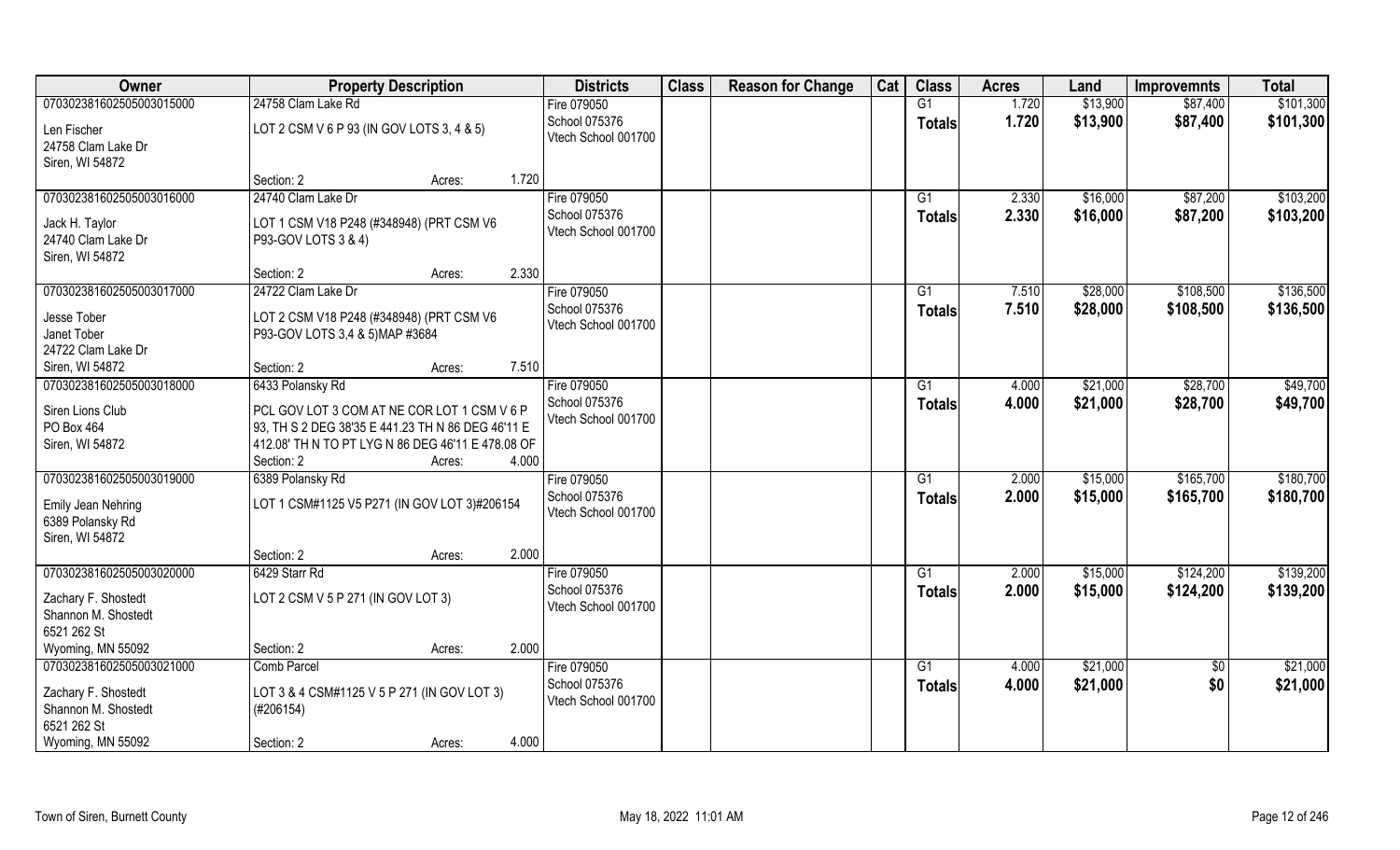| Owner                                                                                                      | <b>Property Description</b>                                                                                                                                                                                | <b>Districts</b>                                    | <b>Class</b> | <b>Reason for Change</b> | Cat | <b>Class</b>                     | <b>Acres</b>   | Land                 | <b>Improvemnts</b>     | <b>Total</b>           |
|------------------------------------------------------------------------------------------------------------|------------------------------------------------------------------------------------------------------------------------------------------------------------------------------------------------------------|-----------------------------------------------------|--------------|--------------------------|-----|----------------------------------|----------------|----------------------|------------------------|------------------------|
| 070302381602505003015000                                                                                   | 24758 Clam Lake Rd                                                                                                                                                                                         | Fire 079050                                         |              |                          |     | G1                               | 1.720          | \$13,900             | \$87,400               | \$101,300              |
| Len Fischer<br>24758 Clam Lake Dr<br>Siren, WI 54872                                                       | LOT 2 CSM V 6 P 93 (IN GOV LOTS 3, 4 & 5)                                                                                                                                                                  | School 075376<br>Vtech School 001700                |              |                          |     | <b>Totals</b>                    | 1.720          | \$13,900             | \$87,400               | \$101,300              |
|                                                                                                            | 1.720<br>Section: 2<br>Acres:                                                                                                                                                                              |                                                     |              |                          |     |                                  |                |                      |                        |                        |
| 070302381602505003016000<br>Jack H. Taylor<br>24740 Clam Lake Dr<br>Siren, WI 54872                        | 24740 Clam Lake Dr<br>LOT 1 CSM V18 P248 (#348948) (PRT CSM V6<br>P93-GOV LOTS 3 & 4)                                                                                                                      | Fire 079050<br>School 075376<br>Vtech School 001700 |              |                          |     | G <sub>1</sub><br><b>Totals</b>  | 2.330<br>2.330 | \$16,000<br>\$16,000 | \$87,200<br>\$87,200   | \$103,200<br>\$103,200 |
|                                                                                                            | 2.330<br>Section: 2<br>Acres:                                                                                                                                                                              |                                                     |              |                          |     |                                  |                |                      |                        |                        |
| 070302381602505003017000<br>Jesse Tober<br>Janet Tober<br>24722 Clam Lake Dr                               | 24722 Clam Lake Dr<br>LOT 2 CSM V18 P248 (#348948) (PRT CSM V6<br>P93-GOV LOTS 3,4 & 5)MAP #3684                                                                                                           | Fire 079050<br>School 075376<br>Vtech School 001700 |              |                          |     | G1<br><b>Totals</b>              | 7.510<br>7.510 | \$28,000<br>\$28,000 | \$108,500<br>\$108,500 | \$136,500<br>\$136,500 |
| Siren, WI 54872                                                                                            | 7.510<br>Section: 2<br>Acres:                                                                                                                                                                              |                                                     |              |                          |     |                                  |                |                      |                        |                        |
| 070302381602505003018000<br>Siren Lions Club<br>PO Box 464<br>Siren, WI 54872                              | 6433 Polansky Rd<br>PCL GOV LOT 3 COM AT NE COR LOT 1 CSM V 6 P<br>93, TH S 2 DEG 38'35 E 441.23 TH N 86 DEG 46'11 E<br>412.08' TH N TO PT LYG N 86 DEG 46'11 E 478.08 OF<br>4.000<br>Section: 2<br>Acres: | Fire 079050<br>School 075376<br>Vtech School 001700 |              |                          |     | G1<br><b>Totals</b>              | 4.000<br>4.000 | \$21,000<br>\$21,000 | \$28,700<br>\$28,700   | \$49,700<br>\$49,700   |
| 070302381602505003019000<br>Emily Jean Nehring<br>6389 Polansky Rd<br>Siren, WI 54872                      | 6389 Polansky Rd<br>LOT 1 CSM#1125 V5 P271 (IN GOV LOT 3)#206154<br>Section: 2<br>2.000<br>Acres:                                                                                                          | Fire 079050<br>School 075376<br>Vtech School 001700 |              |                          |     | G1<br><b>Totals</b>              | 2.000<br>2.000 | \$15,000<br>\$15,000 | \$165,700<br>\$165,700 | \$180,700<br>\$180,700 |
| 070302381602505003020000<br>Zachary F. Shostedt<br>Shannon M. Shostedt<br>6521 262 St<br>Wyoming, MN 55092 | 6429 Starr Rd<br>LOT 2 CSM V 5 P 271 (IN GOV LOT 3)<br>2.000<br>Section: 2<br>Acres:                                                                                                                       | Fire 079050<br>School 075376<br>Vtech School 001700 |              |                          |     | $\overline{G1}$<br><b>Totals</b> | 2.000<br>2.000 | \$15,000<br>\$15,000 | \$124,200<br>\$124,200 | \$139,200<br>\$139,200 |
| 070302381602505003021000<br>Zachary F. Shostedt<br>Shannon M. Shostedt<br>6521 262 St<br>Wyoming, MN 55092 | Comb Parcel<br>LOT 3 & 4 CSM#1125 V 5 P 271 (IN GOV LOT 3)<br>(H206154)<br>4.000<br>Section: 2<br>Acres:                                                                                                   | Fire 079050<br>School 075376<br>Vtech School 001700 |              |                          |     | G1<br><b>Totals</b>              | 4.000<br>4.000 | \$21,000<br>\$21,000 | $\overline{50}$<br>\$0 | \$21,000<br>\$21,000   |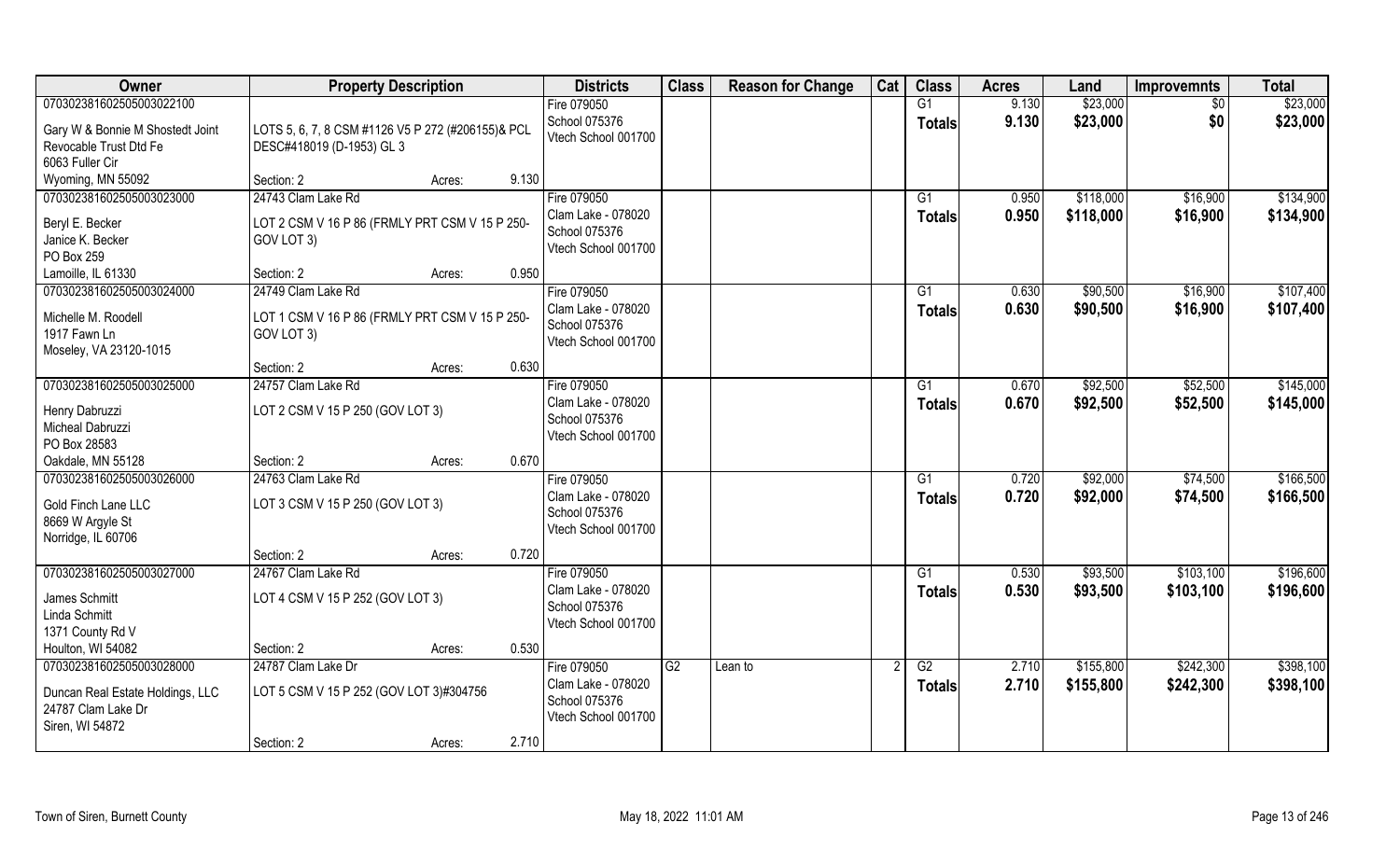| Owner                                         | <b>Property Description</b>                                  |        |       | <b>Districts</b>                     | <b>Class</b> | <b>Reason for Change</b> | Cat | <b>Class</b>  | <b>Acres</b> | Land      | <b>Improvemnts</b> | <b>Total</b> |
|-----------------------------------------------|--------------------------------------------------------------|--------|-------|--------------------------------------|--------------|--------------------------|-----|---------------|--------------|-----------|--------------------|--------------|
| 070302381602505003022100                      |                                                              |        |       | Fire 079050                          |              |                          |     | G1            | 9.130        | \$23,000  | \$0                | \$23,000     |
| Gary W & Bonnie M Shostedt Joint              | LOTS 5, 6, 7, 8 CSM #1126 V5 P 272 (#206155)& PCL            |        |       | School 075376                        |              |                          |     | <b>Totals</b> | 9.130        | \$23,000  | \$0                | \$23,000     |
| Revocable Trust Dtd Fe                        | DESC#418019 (D-1953) GL 3                                    |        |       | Vtech School 001700                  |              |                          |     |               |              |           |                    |              |
| 6063 Fuller Cir                               |                                                              |        |       |                                      |              |                          |     |               |              |           |                    |              |
| Wyoming, MN 55092                             | Section: 2                                                   | Acres: | 9.130 |                                      |              |                          |     |               |              |           |                    |              |
| 070302381602505003023000                      | 24743 Clam Lake Rd                                           |        |       | Fire 079050                          |              |                          |     | G1            | 0.950        | \$118,000 | \$16,900           | \$134,900    |
| Beryl E. Becker                               | LOT 2 CSM V 16 P 86 (FRMLY PRT CSM V 15 P 250-               |        |       | Clam Lake - 078020                   |              |                          |     | <b>Totals</b> | 0.950        | \$118,000 | \$16,900           | \$134,900    |
| Janice K. Becker                              | GOV LOT 3)                                                   |        |       | School 075376                        |              |                          |     |               |              |           |                    |              |
| PO Box 259                                    |                                                              |        |       | Vtech School 001700                  |              |                          |     |               |              |           |                    |              |
| Lamoille, IL 61330                            | Section: 2                                                   | Acres: | 0.950 |                                      |              |                          |     |               |              |           |                    |              |
| 070302381602505003024000                      | 24749 Clam Lake Rd                                           |        |       | Fire 079050                          |              |                          |     | G1            | 0.630        | \$90,500  | \$16,900           | \$107,400    |
|                                               |                                                              |        |       | Clam Lake - 078020                   |              |                          |     | <b>Totals</b> | 0.630        | \$90,500  | \$16,900           | \$107,400    |
| Michelle M. Roodell<br>1917 Fawn Ln           | LOT 1 CSM V 16 P 86 (FRMLY PRT CSM V 15 P 250-<br>GOV LOT 3) |        |       | School 075376                        |              |                          |     |               |              |           |                    |              |
| Moseley, VA 23120-1015                        |                                                              |        |       | Vtech School 001700                  |              |                          |     |               |              |           |                    |              |
|                                               | Section: 2                                                   | Acres: | 0.630 |                                      |              |                          |     |               |              |           |                    |              |
| 070302381602505003025000                      | 24757 Clam Lake Rd                                           |        |       | Fire 079050                          |              |                          |     | G1            | 0.670        | \$92,500  | \$52,500           | \$145,000    |
|                                               |                                                              |        |       | Clam Lake - 078020                   |              |                          |     | <b>Totals</b> | 0.670        | \$92,500  | \$52,500           | \$145,000    |
| Henry Dabruzzi                                | LOT 2 CSM V 15 P 250 (GOV LOT 3)                             |        |       | School 075376                        |              |                          |     |               |              |           |                    |              |
| Micheal Dabruzzi                              |                                                              |        |       | Vtech School 001700                  |              |                          |     |               |              |           |                    |              |
| PO Box 28583                                  | Section: 2                                                   |        | 0.670 |                                      |              |                          |     |               |              |           |                    |              |
| Oakdale, MN 55128<br>070302381602505003026000 | 24763 Clam Lake Rd                                           | Acres: |       | Fire 079050                          |              |                          |     | G1            | 0.720        | \$92,000  | \$74,500           | \$166,500    |
|                                               |                                                              |        |       | Clam Lake - 078020                   |              |                          |     |               | 0.720        | \$92,000  | \$74,500           | \$166,500    |
| Gold Finch Lane LLC                           | LOT 3 CSM V 15 P 250 (GOV LOT 3)                             |        |       | School 075376                        |              |                          |     | <b>Totals</b> |              |           |                    |              |
| 8669 W Argyle St                              |                                                              |        |       | Vtech School 001700                  |              |                          |     |               |              |           |                    |              |
| Norridge, IL 60706                            |                                                              |        |       |                                      |              |                          |     |               |              |           |                    |              |
|                                               | Section: 2                                                   | Acres: | 0.720 |                                      |              |                          |     |               |              |           |                    |              |
| 070302381602505003027000                      | 24767 Clam Lake Rd                                           |        |       | Fire 079050                          |              |                          |     | G1            | 0.530        | \$93,500  | \$103,100          | \$196,600    |
| James Schmitt                                 | LOT 4 CSM V 15 P 252 (GOV LOT 3)                             |        |       | Clam Lake - 078020                   |              |                          |     | <b>Totals</b> | 0.530        | \$93,500  | \$103,100          | \$196,600    |
| Linda Schmitt                                 |                                                              |        |       | School 075376<br>Vtech School 001700 |              |                          |     |               |              |           |                    |              |
| 1371 County Rd V                              |                                                              |        |       |                                      |              |                          |     |               |              |           |                    |              |
| Houlton, WI 54082                             | Section: 2                                                   | Acres: | 0.530 |                                      |              |                          |     |               |              |           |                    |              |
| 070302381602505003028000                      | 24787 Clam Lake Dr                                           |        |       | Fire 079050                          | G2           | Lean to                  |     | G2            | 2.710        | \$155,800 | \$242,300          | \$398,100    |
| Duncan Real Estate Holdings, LLC              | LOT 5 CSM V 15 P 252 (GOV LOT 3)#304756                      |        |       | Clam Lake - 078020                   |              |                          |     | <b>Totals</b> | 2.710        | \$155,800 | \$242,300          | \$398,100    |
| 24787 Clam Lake Dr                            |                                                              |        |       | School 075376                        |              |                          |     |               |              |           |                    |              |
| Siren, WI 54872                               |                                                              |        |       | Vtech School 001700                  |              |                          |     |               |              |           |                    |              |
|                                               | Section: 2                                                   | Acres: | 2.710 |                                      |              |                          |     |               |              |           |                    |              |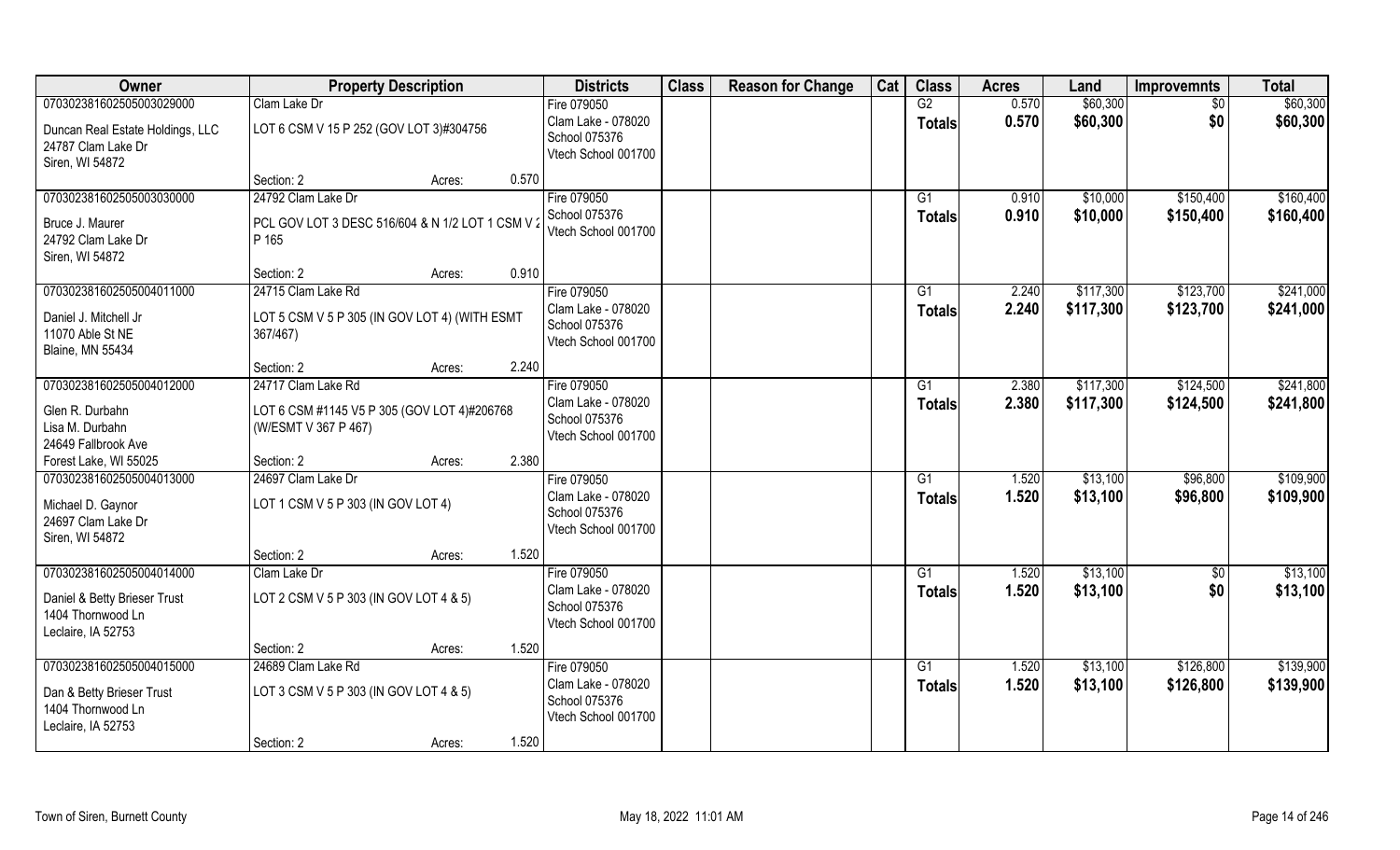| Owner                                                                                               | <b>Property Description</b>                                                               |        |       | <b>Districts</b>                                                          | <b>Class</b> | <b>Reason for Change</b> | Cat | <b>Class</b>        | <b>Acres</b>   | Land                   | <b>Improvemnts</b>     | <b>Total</b>           |
|-----------------------------------------------------------------------------------------------------|-------------------------------------------------------------------------------------------|--------|-------|---------------------------------------------------------------------------|--------------|--------------------------|-----|---------------------|----------------|------------------------|------------------------|------------------------|
| 070302381602505003029000                                                                            | Clam Lake Dr                                                                              |        |       | Fire 079050                                                               |              |                          |     | G2                  | 0.570          | \$60,300               | $\sqrt{6}$             | \$60,300               |
| Duncan Real Estate Holdings, LLC<br>24787 Clam Lake Dr<br>Siren, WI 54872                           | LOT 6 CSM V 15 P 252 (GOV LOT 3)#304756                                                   |        |       | Clam Lake - 078020<br>School 075376<br>Vtech School 001700                |              |                          |     | <b>Totals</b>       | 0.570          | \$60,300               | \$0                    | \$60,300               |
|                                                                                                     | Section: 2                                                                                | Acres: | 0.570 |                                                                           |              |                          |     |                     |                |                        |                        |                        |
| 070302381602505003030000<br>Bruce J. Maurer<br>24792 Clam Lake Dr<br>Siren, WI 54872                | 24792 Clam Lake Dr<br>PCL GOV LOT 3 DESC 516/604 & N 1/2 LOT 1 CSM V 2<br>P 165           |        |       | Fire 079050<br>School 075376<br>Vtech School 001700                       |              |                          |     | G1<br>Totals        | 0.910<br>0.910 | \$10,000<br>\$10,000   | \$150,400<br>\$150,400 | \$160,400<br>\$160,400 |
|                                                                                                     | Section: 2                                                                                | Acres: | 0.910 |                                                                           |              |                          |     |                     |                |                        |                        |                        |
| 070302381602505004011000                                                                            | 24715 Clam Lake Rd                                                                        |        |       | Fire 079050                                                               |              |                          |     | G1                  | 2.240          | \$117,300              | \$123,700              | \$241,000              |
| Daniel J. Mitchell Jr<br>11070 Able St NE<br><b>Blaine, MN 55434</b>                                | LOT 5 CSM V 5 P 305 (IN GOV LOT 4) (WITH ESMT<br>367/467)                                 |        |       | Clam Lake - 078020<br>School 075376<br>Vtech School 001700                |              |                          |     | <b>Totals</b>       | 2.240          | \$117,300              | \$123,700              | \$241,000              |
|                                                                                                     | Section: 2                                                                                | Acres: | 2.240 |                                                                           |              |                          |     |                     |                |                        |                        |                        |
| 070302381602505004012000<br>Glen R. Durbahn<br>Lisa M. Durbahn<br>24649 Fallbrook Ave               | 24717 Clam Lake Rd<br>LOT 6 CSM #1145 V5 P 305 (GOV LOT 4)#206768<br>(W/ESMT V 367 P 467) |        |       | Fire 079050<br>Clam Lake - 078020<br>School 075376<br>Vtech School 001700 |              |                          |     | G1<br><b>Totals</b> | 2.380<br>2.380 | \$117,300<br>\$117,300 | \$124,500<br>\$124,500 | \$241,800<br>\$241,800 |
| Forest Lake, WI 55025                                                                               | Section: 2                                                                                | Acres: | 2.380 |                                                                           |              |                          |     |                     |                |                        |                        |                        |
| 070302381602505004013000<br>Michael D. Gaynor<br>24697 Clam Lake Dr<br>Siren, WI 54872              | 24697 Clam Lake Dr<br>LOT 1 CSM V 5 P 303 (IN GOV LOT 4)                                  |        |       | Fire 079050<br>Clam Lake - 078020<br>School 075376<br>Vtech School 001700 |              |                          |     | G1<br><b>Totals</b> | 1.520<br>1.520 | \$13,100<br>\$13,100   | \$96,800<br>\$96,800   | \$109,900<br>\$109,900 |
|                                                                                                     | Section: 2                                                                                | Acres: | 1.520 |                                                                           |              |                          |     |                     |                |                        |                        |                        |
| 070302381602505004014000<br>Daniel & Betty Brieser Trust<br>1404 Thornwood Ln<br>Leclaire, IA 52753 | Clam Lake Dr<br>LOT 2 CSM V 5 P 303 (IN GOV LOT 4 & 5)                                    |        |       | Fire 079050<br>Clam Lake - 078020<br>School 075376<br>Vtech School 001700 |              |                          |     | G1<br><b>Totals</b> | 1.520<br>1.520 | \$13,100<br>\$13,100   | $\overline{50}$<br>\$0 | \$13,100<br>\$13,100   |
|                                                                                                     | Section: 2                                                                                | Acres: | 1.520 |                                                                           |              |                          |     |                     |                |                        |                        |                        |
| 070302381602505004015000<br>Dan & Betty Brieser Trust<br>1404 Thornwood Ln<br>Leclaire, IA 52753    | 24689 Clam Lake Rd<br>LOT 3 CSM V 5 P 303 (IN GOV LOT 4 & 5)<br>Section: 2                | Acres: | 1.520 | Fire 079050<br>Clam Lake - 078020<br>School 075376<br>Vtech School 001700 |              |                          |     | G1<br><b>Totals</b> | 1.520<br>1.520 | \$13,100<br>\$13,100   | \$126,800<br>\$126,800 | \$139,900<br>\$139,900 |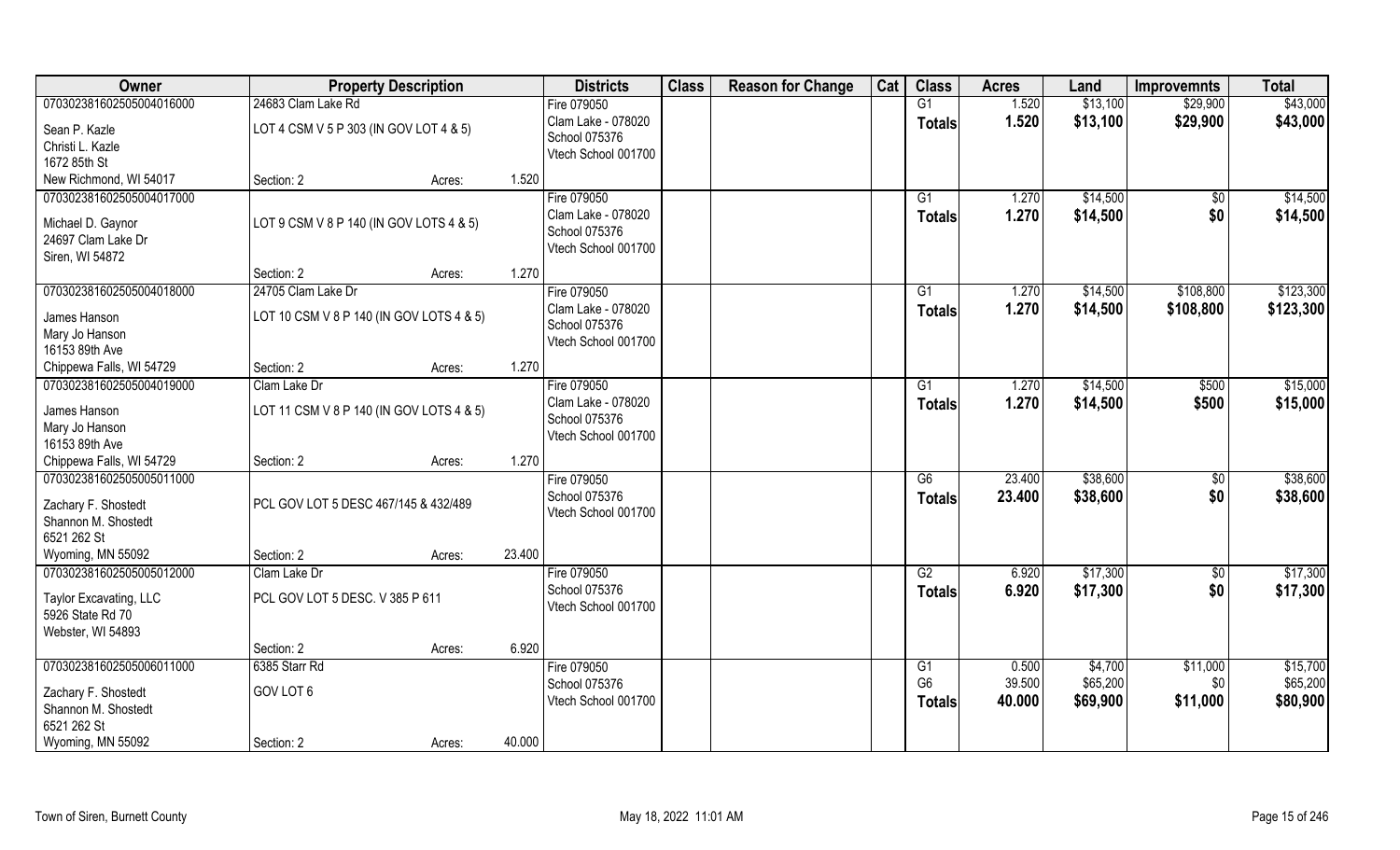| Owner                                                                                       | <b>Property Description</b>                                  |        | <b>Districts</b> | <b>Class</b>                                                              | <b>Reason for Change</b> | Cat | <b>Class</b> | <b>Acres</b>                     | Land             | <b>Improvemnts</b>   | <b>Total</b>           |                      |
|---------------------------------------------------------------------------------------------|--------------------------------------------------------------|--------|------------------|---------------------------------------------------------------------------|--------------------------|-----|--------------|----------------------------------|------------------|----------------------|------------------------|----------------------|
| 070302381602505004016000<br>Sean P. Kazle<br>Christi L. Kazle<br>1672 85th St               | 24683 Clam Lake Rd<br>LOT 4 CSM V 5 P 303 (IN GOV LOT 4 & 5) |        |                  | Fire 079050<br>Clam Lake - 078020<br>School 075376<br>Vtech School 001700 |                          |     |              | G1<br><b>Totals</b>              | 1.520<br>1.520   | \$13,100<br>\$13,100 | \$29,900<br>\$29,900   | \$43,000<br>\$43,000 |
| New Richmond, WI 54017                                                                      | Section: 2                                                   | Acres: | 1.520            |                                                                           |                          |     |              |                                  |                  |                      |                        |                      |
| 070302381602505004017000<br>Michael D. Gaynor<br>24697 Clam Lake Dr<br>Siren, WI 54872      | LOT 9 CSM V 8 P 140 (IN GOV LOTS 4 & 5)                      |        |                  | Fire 079050<br>Clam Lake - 078020<br>School 075376<br>Vtech School 001700 |                          |     |              | $\overline{G1}$<br>Totals        | 1.270<br>1.270   | \$14,500<br>\$14,500 | $\overline{50}$<br>\$0 | \$14,500<br>\$14,500 |
|                                                                                             | Section: 2                                                   | Acres: | 1.270            |                                                                           |                          |     |              |                                  |                  |                      |                        |                      |
| 070302381602505004018000                                                                    | 24705 Clam Lake Dr                                           |        |                  | Fire 079050                                                               |                          |     |              | G1                               | 1.270            | \$14,500             | \$108,800              | \$123,300            |
| James Hanson<br>Mary Jo Hanson<br>16153 89th Ave                                            | LOT 10 CSM V 8 P 140 (IN GOV LOTS 4 & 5)                     |        |                  | Clam Lake - 078020<br>School 075376<br>Vtech School 001700                |                          |     |              | <b>Totals</b>                    | 1.270            | \$14,500             | \$108,800              | \$123,300            |
| Chippewa Falls, WI 54729                                                                    | Section: 2                                                   | Acres: | 1.270            |                                                                           |                          |     |              |                                  |                  |                      |                        |                      |
| 070302381602505004019000                                                                    | Clam Lake Dr                                                 |        |                  | Fire 079050                                                               |                          |     |              | G1                               | 1.270            | \$14,500             | \$500                  | \$15,000             |
| James Hanson<br>Mary Jo Hanson<br>16153 89th Ave                                            | LOT 11 CSM V 8 P 140 (IN GOV LOTS 4 & 5)                     |        |                  | Clam Lake - 078020<br>School 075376<br>Vtech School 001700                |                          |     |              | <b>Totals</b>                    | 1.270            | \$14,500             | \$500                  | \$15,000             |
| Chippewa Falls, WI 54729                                                                    | Section: 2                                                   | Acres: | 1.270            |                                                                           |                          |     |              |                                  |                  |                      |                        |                      |
| 070302381602505005011000<br>Zachary F. Shostedt<br>Shannon M. Shostedt<br>6521 262 St       | PCL GOV LOT 5 DESC 467/145 & 432/489                         |        |                  | Fire 079050<br>School 075376<br>Vtech School 001700                       |                          |     |              | $\overline{G6}$<br><b>Totals</b> | 23.400<br>23.400 | \$38,600<br>\$38,600 | $\overline{50}$<br>\$0 | \$38,600<br>\$38,600 |
| Wyoming, MN 55092                                                                           | Section: 2                                                   | Acres: | 23.400           |                                                                           |                          |     |              |                                  |                  |                      |                        |                      |
| 070302381602505005012000<br>Taylor Excavating, LLC<br>5926 State Rd 70<br>Webster, WI 54893 | Clam Lake Dr<br>PCL GOV LOT 5 DESC. V 385 P 611              |        |                  | Fire 079050<br>School 075376<br>Vtech School 001700                       |                          |     |              | G2<br><b>Totals</b>              | 6.920<br>6.920   | \$17,300<br>\$17,300 | $\overline{50}$<br>\$0 | \$17,300<br>\$17,300 |
|                                                                                             | Section: 2                                                   | Acres: | 6.920            |                                                                           |                          |     |              |                                  |                  |                      |                        |                      |
| 070302381602505006011000                                                                    | 6385 Starr Rd                                                |        |                  | Fire 079050                                                               |                          |     |              | G1                               | 0.500            | \$4,700              | \$11,000               | \$15,700             |
| Zachary F. Shostedt<br>Shannon M. Shostedt<br>6521 262 St                                   | GOV LOT 6                                                    |        |                  | School 075376<br>Vtech School 001700                                      |                          |     |              | G <sub>6</sub><br><b>Totals</b>  | 39.500<br>40.000 | \$65,200<br>\$69,900 | \$0<br>\$11,000        | \$65,200<br>\$80,900 |
| Wyoming, MN 55092                                                                           | Section: 2                                                   | Acres: | 40.000           |                                                                           |                          |     |              |                                  |                  |                      |                        |                      |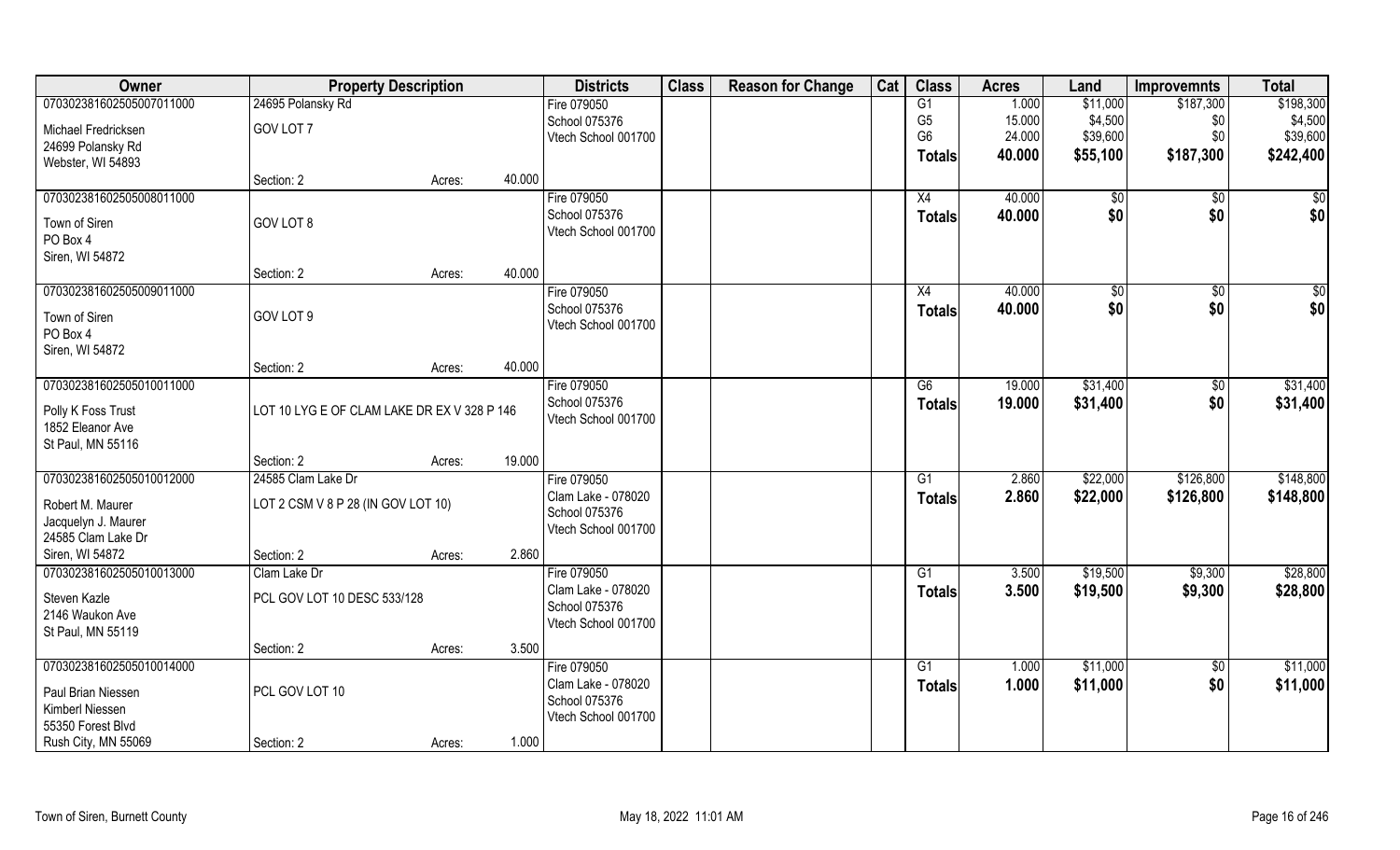| Owner                    | <b>Property Description</b>                 |        |        | <b>Districts</b>                     | <b>Class</b> | <b>Reason for Change</b> | Cat | <b>Class</b>    | <b>Acres</b> | Land     | <b>Improvemnts</b> | <b>Total</b> |
|--------------------------|---------------------------------------------|--------|--------|--------------------------------------|--------------|--------------------------|-----|-----------------|--------------|----------|--------------------|--------------|
| 070302381602505007011000 | 24695 Polansky Rd                           |        |        | Fire 079050                          |              |                          |     | G1              | 1.000        | \$11,000 | \$187,300          | \$198,300    |
| Michael Fredricksen      | GOV LOT 7                                   |        |        | School 075376                        |              |                          |     | G <sub>5</sub>  | 15.000       | \$4,500  | \$0                | \$4,500      |
| 24699 Polansky Rd        |                                             |        |        | Vtech School 001700                  |              |                          |     | G <sub>6</sub>  | 24.000       | \$39,600 | \$0                | \$39,600     |
| Webster, WI 54893        |                                             |        |        |                                      |              |                          |     | <b>Totals</b>   | 40.000       | \$55,100 | \$187,300          | \$242,400    |
|                          | Section: 2                                  | Acres: | 40.000 |                                      |              |                          |     |                 |              |          |                    |              |
| 070302381602505008011000 |                                             |        |        | Fire 079050                          |              |                          |     | X4              | 40.000       | \$0      | \$0                | \$0          |
| Town of Siren            | GOV LOT 8                                   |        |        | School 075376                        |              |                          |     | <b>Totals</b>   | 40.000       | \$0      | \$0                | \$0          |
| PO Box 4                 |                                             |        |        | Vtech School 001700                  |              |                          |     |                 |              |          |                    |              |
| Siren, WI 54872          |                                             |        |        |                                      |              |                          |     |                 |              |          |                    |              |
|                          | Section: 2                                  | Acres: | 40.000 |                                      |              |                          |     |                 |              |          |                    |              |
| 070302381602505009011000 |                                             |        |        | Fire 079050                          |              |                          |     | X4              | 40.000       | \$0      | \$0                | \$0          |
| Town of Siren            | GOV LOT 9                                   |        |        | School 075376                        |              |                          |     | <b>Totals</b>   | 40.000       | \$0      | \$0                | \$0          |
| PO Box 4                 |                                             |        |        | Vtech School 001700                  |              |                          |     |                 |              |          |                    |              |
| Siren, WI 54872          |                                             |        |        |                                      |              |                          |     |                 |              |          |                    |              |
|                          | Section: 2                                  | Acres: | 40.000 |                                      |              |                          |     |                 |              |          |                    |              |
| 070302381602505010011000 |                                             |        |        | Fire 079050                          |              |                          |     | G6              | 19.000       | \$31,400 | $\sqrt[6]{}$       | \$31,400     |
| Polly K Foss Trust       | LOT 10 LYG E OF CLAM LAKE DR EX V 328 P 146 |        |        | School 075376<br>Vtech School 001700 |              |                          |     | <b>Totals</b>   | 19.000       | \$31,400 | \$0                | \$31,400     |
| 1852 Eleanor Ave         |                                             |        |        |                                      |              |                          |     |                 |              |          |                    |              |
| St Paul, MN 55116        |                                             |        |        |                                      |              |                          |     |                 |              |          |                    |              |
|                          | Section: 2                                  | Acres: | 19.000 |                                      |              |                          |     |                 |              |          |                    |              |
| 070302381602505010012000 | 24585 Clam Lake Dr                          |        |        | Fire 079050                          |              |                          |     | G1              | 2.860        | \$22,000 | \$126,800          | \$148,800    |
| Robert M. Maurer         | LOT 2 CSM V 8 P 28 (IN GOV LOT 10)          |        |        | Clam Lake - 078020<br>School 075376  |              |                          |     | <b>Totals</b>   | 2.860        | \$22,000 | \$126,800          | \$148,800    |
| Jacquelyn J. Maurer      |                                             |        |        | Vtech School 001700                  |              |                          |     |                 |              |          |                    |              |
| 24585 Clam Lake Dr       |                                             |        |        |                                      |              |                          |     |                 |              |          |                    |              |
| Siren, WI 54872          | Section: 2                                  | Acres: | 2.860  |                                      |              |                          |     |                 |              |          |                    |              |
| 070302381602505010013000 | Clam Lake Dr                                |        |        | Fire 079050                          |              |                          |     | G1              | 3.500        | \$19,500 | \$9,300            | \$28,800     |
| Steven Kazle             | PCL GOV LOT 10 DESC 533/128                 |        |        | Clam Lake - 078020<br>School 075376  |              |                          |     | <b>Totals</b>   | 3.500        | \$19,500 | \$9,300            | \$28,800     |
| 2146 Waukon Ave          |                                             |        |        | Vtech School 001700                  |              |                          |     |                 |              |          |                    |              |
| St Paul, MN 55119        |                                             |        |        |                                      |              |                          |     |                 |              |          |                    |              |
|                          | Section: 2                                  | Acres: | 3.500  |                                      |              |                          |     |                 |              |          |                    |              |
| 070302381602505010014000 |                                             |        |        | Fire 079050<br>Clam Lake - 078020    |              |                          |     | $\overline{G1}$ | 1.000        | \$11,000 | $\overline{50}$    | \$11,000     |
| Paul Brian Niessen       | PCL GOV LOT 10                              |        |        | School 075376                        |              |                          |     | <b>Totals</b>   | 1.000        | \$11,000 | \$0                | \$11,000     |
| Kimberl Niessen          |                                             |        |        | Vtech School 001700                  |              |                          |     |                 |              |          |                    |              |
| 55350 Forest Blvd        |                                             |        |        |                                      |              |                          |     |                 |              |          |                    |              |
| Rush City, MN 55069      | Section: 2                                  | Acres: | 1.000  |                                      |              |                          |     |                 |              |          |                    |              |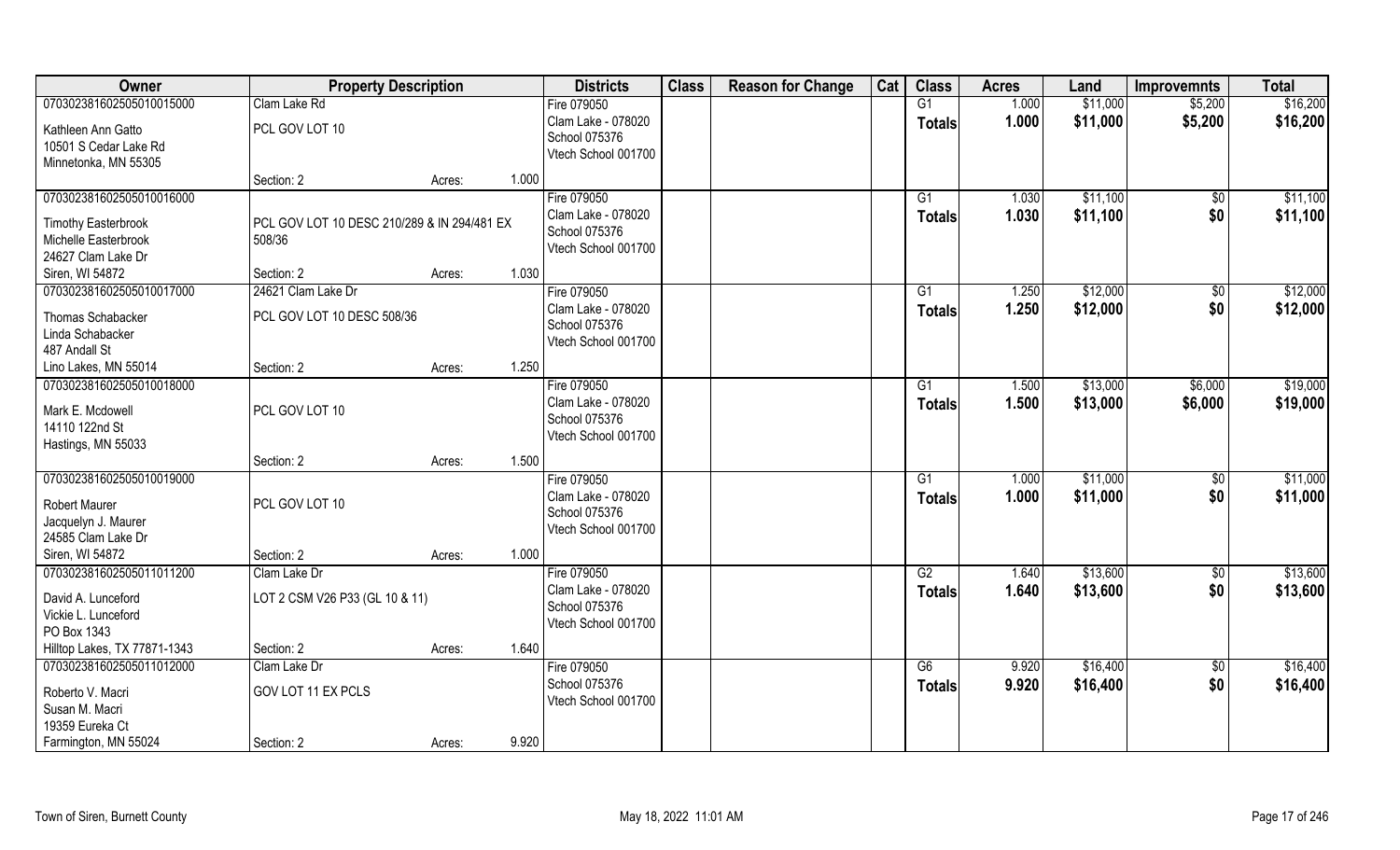| Owner                              | <b>Property Description</b>                 |        |       | <b>Districts</b>                     | <b>Class</b> | <b>Reason for Change</b> | Cat | <b>Class</b>    | <b>Acres</b> | Land     | <b>Improvemnts</b> | <b>Total</b> |
|------------------------------------|---------------------------------------------|--------|-------|--------------------------------------|--------------|--------------------------|-----|-----------------|--------------|----------|--------------------|--------------|
| 070302381602505010015000           | Clam Lake Rd                                |        |       | Fire 079050                          |              |                          |     | G1              | 1.000        | \$11,000 | \$5,200            | \$16,200     |
| Kathleen Ann Gatto                 | PCL GOV LOT 10                              |        |       | Clam Lake - 078020                   |              |                          |     | <b>Totals</b>   | 1.000        | \$11,000 | \$5,200            | \$16,200     |
| 10501 S Cedar Lake Rd              |                                             |        |       | School 075376<br>Vtech School 001700 |              |                          |     |                 |              |          |                    |              |
| Minnetonka, MN 55305               |                                             |        |       |                                      |              |                          |     |                 |              |          |                    |              |
|                                    | Section: 2                                  | Acres: | 1.000 |                                      |              |                          |     |                 |              |          |                    |              |
| 070302381602505010016000           |                                             |        |       | Fire 079050                          |              |                          |     | G1              | 1.030        | \$11,100 | $\sqrt{6}$         | \$11,100     |
| <b>Timothy Easterbrook</b>         | PCL GOV LOT 10 DESC 210/289 & IN 294/481 EX |        |       | Clam Lake - 078020                   |              |                          |     | Totals          | 1.030        | \$11,100 | \$0                | \$11,100     |
| Michelle Easterbrook               | 508/36                                      |        |       | School 075376                        |              |                          |     |                 |              |          |                    |              |
| 24627 Clam Lake Dr                 |                                             |        |       | Vtech School 001700                  |              |                          |     |                 |              |          |                    |              |
| Siren, WI 54872                    | Section: 2                                  | Acres: | 1.030 |                                      |              |                          |     |                 |              |          |                    |              |
| 070302381602505010017000           | 24621 Clam Lake Dr                          |        |       | Fire 079050                          |              |                          |     | G1              | 1.250        | \$12,000 | \$0                | \$12,000     |
| Thomas Schabacker                  | PCL GOV LOT 10 DESC 508/36                  |        |       | Clam Lake - 078020                   |              |                          |     | <b>Totals</b>   | 1.250        | \$12,000 | \$0                | \$12,000     |
| Linda Schabacker                   |                                             |        |       | School 075376                        |              |                          |     |                 |              |          |                    |              |
| 487 Andall St                      |                                             |        |       | Vtech School 001700                  |              |                          |     |                 |              |          |                    |              |
| Lino Lakes, MN 55014               | Section: 2                                  | Acres: | 1.250 |                                      |              |                          |     |                 |              |          |                    |              |
| 070302381602505010018000           |                                             |        |       | Fire 079050                          |              |                          |     | G1              | 1.500        | \$13,000 | \$6,000            | \$19,000     |
| Mark E. Mcdowell                   | PCL GOV LOT 10                              |        |       | Clam Lake - 078020                   |              |                          |     | <b>Totals</b>   | 1.500        | \$13,000 | \$6,000            | \$19,000     |
| 14110 122nd St                     |                                             |        |       | School 075376                        |              |                          |     |                 |              |          |                    |              |
| Hastings, MN 55033                 |                                             |        |       | Vtech School 001700                  |              |                          |     |                 |              |          |                    |              |
|                                    | Section: 2                                  | Acres: | 1.500 |                                      |              |                          |     |                 |              |          |                    |              |
| 070302381602505010019000           |                                             |        |       | Fire 079050                          |              |                          |     | $\overline{G1}$ | 1.000        | \$11,000 | \$0                | \$11,000     |
| Robert Maurer                      | PCL GOV LOT 10                              |        |       | Clam Lake - 078020                   |              |                          |     | <b>Totals</b>   | 1.000        | \$11,000 | \$0                | \$11,000     |
| Jacquelyn J. Maurer                |                                             |        |       | School 075376                        |              |                          |     |                 |              |          |                    |              |
| 24585 Clam Lake Dr                 |                                             |        |       | Vtech School 001700                  |              |                          |     |                 |              |          |                    |              |
| Siren, WI 54872                    | Section: 2                                  | Acres: | 1.000 |                                      |              |                          |     |                 |              |          |                    |              |
| 070302381602505011011200           | Clam Lake Dr                                |        |       | Fire 079050                          |              |                          |     | G2              | 1.640        | \$13,600 | $\sqrt{50}$        | \$13,600     |
| David A. Lunceford                 | LOT 2 CSM V26 P33 (GL 10 & 11)              |        |       | Clam Lake - 078020                   |              |                          |     | <b>Totals</b>   | 1.640        | \$13,600 | \$0                | \$13,600     |
| Vickie L. Lunceford                |                                             |        |       | School 075376                        |              |                          |     |                 |              |          |                    |              |
| PO Box 1343                        |                                             |        |       | Vtech School 001700                  |              |                          |     |                 |              |          |                    |              |
| Hilltop Lakes, TX 77871-1343       | Section: 2                                  | Acres: | 1.640 |                                      |              |                          |     |                 |              |          |                    |              |
| 070302381602505011012000           | Clam Lake Dr                                |        |       | Fire 079050                          |              |                          |     | G6              | 9.920        | \$16,400 | $\overline{50}$    | \$16,400     |
|                                    | GOV LOT 11 EX PCLS                          |        |       | School 075376                        |              |                          |     | <b>Totals</b>   | 9.920        | \$16,400 | \$0                | \$16,400     |
| Roberto V. Macri<br>Susan M. Macri |                                             |        |       | Vtech School 001700                  |              |                          |     |                 |              |          |                    |              |
| 19359 Eureka Ct                    |                                             |        |       |                                      |              |                          |     |                 |              |          |                    |              |
| Farmington, MN 55024               | Section: 2                                  | Acres: | 9.920 |                                      |              |                          |     |                 |              |          |                    |              |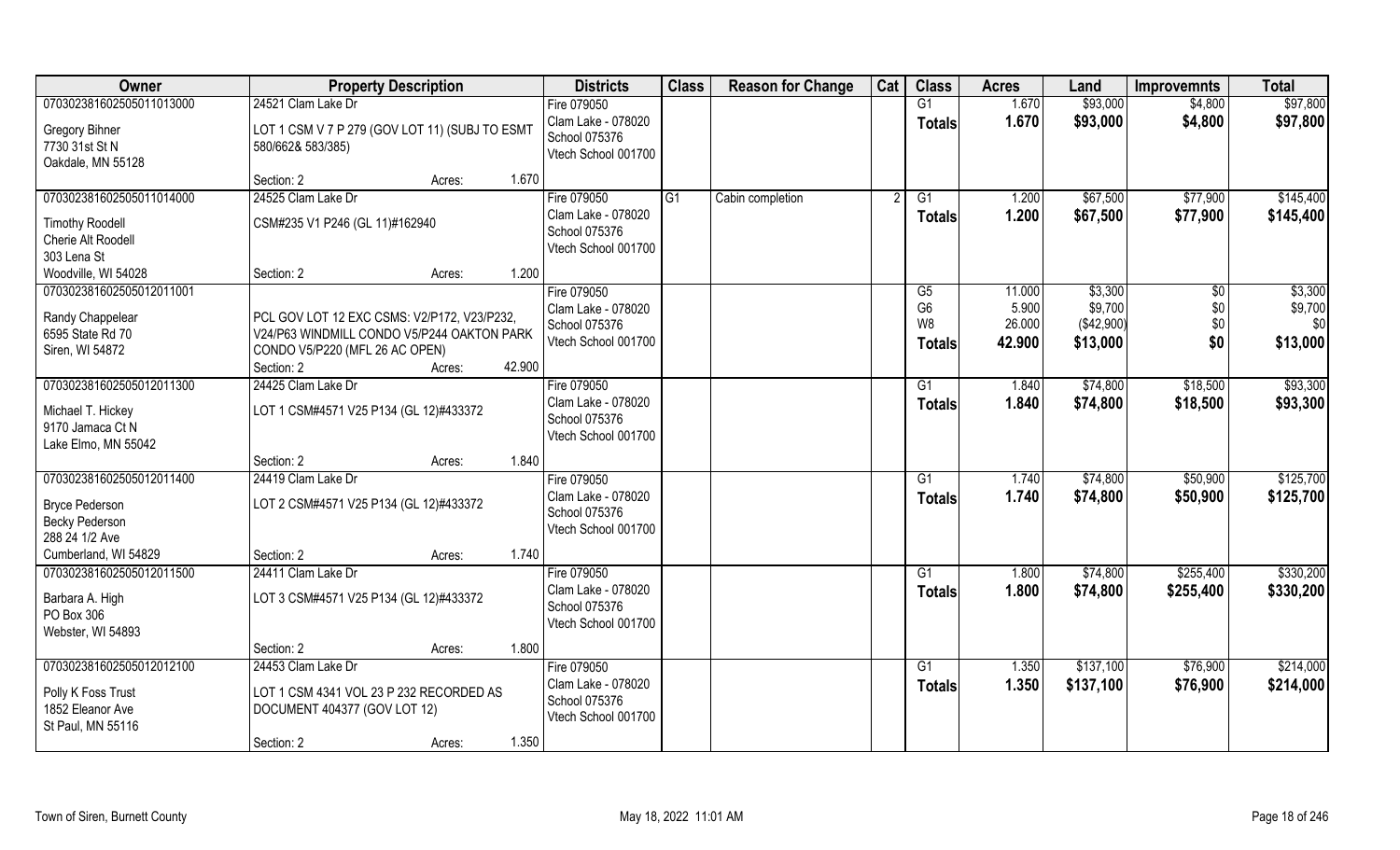| Owner                                      | <b>Property Description</b>                                          | <b>Districts</b>                                           | <b>Class</b> | <b>Reason for Change</b> | Cat | <b>Class</b>        | <b>Acres</b>   | Land                 | <b>Improvemnts</b> | <b>Total</b>         |
|--------------------------------------------|----------------------------------------------------------------------|------------------------------------------------------------|--------------|--------------------------|-----|---------------------|----------------|----------------------|--------------------|----------------------|
| 070302381602505011013000<br>Gregory Bihner | 24521 Clam Lake Dr<br>LOT 1 CSM V 7 P 279 (GOV LOT 11) (SUBJ TO ESMT | Fire 079050<br>Clam Lake - 078020<br>School 075376         |              |                          |     | G1<br><b>Totals</b> | 1.670<br>1.670 | \$93,000<br>\$93,000 | \$4,800<br>\$4,800 | \$97,800<br>\$97,800 |
| 7730 31st St N<br>Oakdale, MN 55128        | 580/662& 583/385)                                                    | Vtech School 001700                                        |              |                          |     |                     |                |                      |                    |                      |
|                                            | Section: 2<br>1.670<br>Acres:                                        |                                                            |              |                          |     |                     |                |                      |                    |                      |
| 070302381602505011014000                   | 24525 Clam Lake Dr                                                   | Fire 079050                                                | G1           | Cabin completion         |     | G1                  | 1.200          | \$67,500             | \$77,900           | \$145,400            |
| <b>Timothy Roodell</b>                     | CSM#235 V1 P246 (GL 11)#162940                                       | Clam Lake - 078020                                         |              |                          |     | Totals              | 1.200          | \$67,500             | \$77,900           | \$145,400            |
| Cherie Alt Roodell                         |                                                                      | School 075376<br>Vtech School 001700                       |              |                          |     |                     |                |                      |                    |                      |
| 303 Lena St                                |                                                                      |                                                            |              |                          |     |                     |                |                      |                    |                      |
| Woodville, WI 54028                        | 1.200<br>Section: 2<br>Acres:                                        |                                                            |              |                          |     |                     |                |                      |                    |                      |
| 070302381602505012011001                   |                                                                      | Fire 079050                                                |              |                          |     | G5                  | 11.000         | \$3,300              | \$0                | \$3,300              |
| Randy Chappelear                           | PCL GOV LOT 12 EXC CSMS: V2/P172, V23/P232,                          | Clam Lake - 078020                                         |              |                          |     | G <sub>6</sub>      | 5.900          | \$9,700              | \$0\$              | \$9,700              |
| 6595 State Rd 70                           | V24/P63 WINDMILL CONDO V5/P244 OAKTON PARK                           | School 075376                                              |              |                          |     | W8                  | 26.000         | (\$42,900)           | \$0                | \$0                  |
| Siren, WI 54872                            | CONDO V5/P220 (MFL 26 AC OPEN)                                       | Vtech School 001700                                        |              |                          |     | Totals              | 42.900         | \$13,000             | \$0                | \$13,000             |
|                                            | 42.900<br>Section: 2<br>Acres:                                       |                                                            |              |                          |     |                     |                |                      |                    |                      |
| 070302381602505012011300                   | 24425 Clam Lake Dr                                                   | Fire 079050                                                |              |                          |     | G1                  | 1.840          | \$74,800             | \$18,500           | \$93,300             |
| Michael T. Hickey<br>9170 Jamaca Ct N      | LOT 1 CSM#4571 V25 P134 (GL 12)#433372                               | Clam Lake - 078020<br>School 075376<br>Vtech School 001700 |              |                          |     | <b>Totals</b>       | 1.840          | \$74,800             | \$18,500           | \$93,300             |
| Lake Elmo, MN 55042                        |                                                                      |                                                            |              |                          |     |                     |                |                      |                    |                      |
|                                            | 1.840<br>Section: 2<br>Acres:                                        |                                                            |              |                          |     |                     |                |                      |                    |                      |
| 070302381602505012011400                   | 24419 Clam Lake Dr                                                   | Fire 079050                                                |              |                          |     | G1                  | 1.740          | \$74,800             | \$50,900           | \$125,700            |
| <b>Bryce Pederson</b>                      | LOT 2 CSM#4571 V25 P134 (GL 12)#433372                               | Clam Lake - 078020                                         |              |                          |     | <b>Totals</b>       | 1.740          | \$74,800             | \$50,900           | \$125,700            |
| <b>Becky Pederson</b>                      |                                                                      | School 075376<br>Vtech School 001700                       |              |                          |     |                     |                |                      |                    |                      |
| 288 24 1/2 Ave                             |                                                                      |                                                            |              |                          |     |                     |                |                      |                    |                      |
| Cumberland, WI 54829                       | Section: 2<br>1.740<br>Acres:                                        |                                                            |              |                          |     |                     |                |                      |                    |                      |
| 070302381602505012011500                   | 24411 Clam Lake Dr                                                   | Fire 079050                                                |              |                          |     | G1                  | 1.800          | \$74,800             | \$255,400          | \$330,200            |
| Barbara A. High                            | LOT 3 CSM#4571 V25 P134 (GL 12)#433372                               | Clam Lake - 078020                                         |              |                          |     | <b>Totals</b>       | 1.800          | \$74,800             | \$255,400          | \$330,200            |
| PO Box 306                                 |                                                                      | School 075376                                              |              |                          |     |                     |                |                      |                    |                      |
| Webster, WI 54893                          |                                                                      | Vtech School 001700                                        |              |                          |     |                     |                |                      |                    |                      |
|                                            | 1.800<br>Section: 2<br>Acres:                                        |                                                            |              |                          |     |                     |                |                      |                    |                      |
| 070302381602505012012100                   | 24453 Clam Lake Dr                                                   | Fire 079050                                                |              |                          |     | G1                  | 1.350          | \$137,100            | \$76,900           | \$214,000            |
| Polly K Foss Trust                         | LOT 1 CSM 4341 VOL 23 P 232 RECORDED AS                              | Clam Lake - 078020                                         |              |                          |     | <b>Totals</b>       | 1.350          | \$137,100            | \$76,900           | \$214,000            |
| 1852 Eleanor Ave                           | DOCUMENT 404377 (GOV LOT 12)                                         | School 075376                                              |              |                          |     |                     |                |                      |                    |                      |
| St Paul, MN 55116                          |                                                                      | Vtech School 001700                                        |              |                          |     |                     |                |                      |                    |                      |
|                                            | 1.350<br>Section: 2<br>Acres:                                        |                                                            |              |                          |     |                     |                |                      |                    |                      |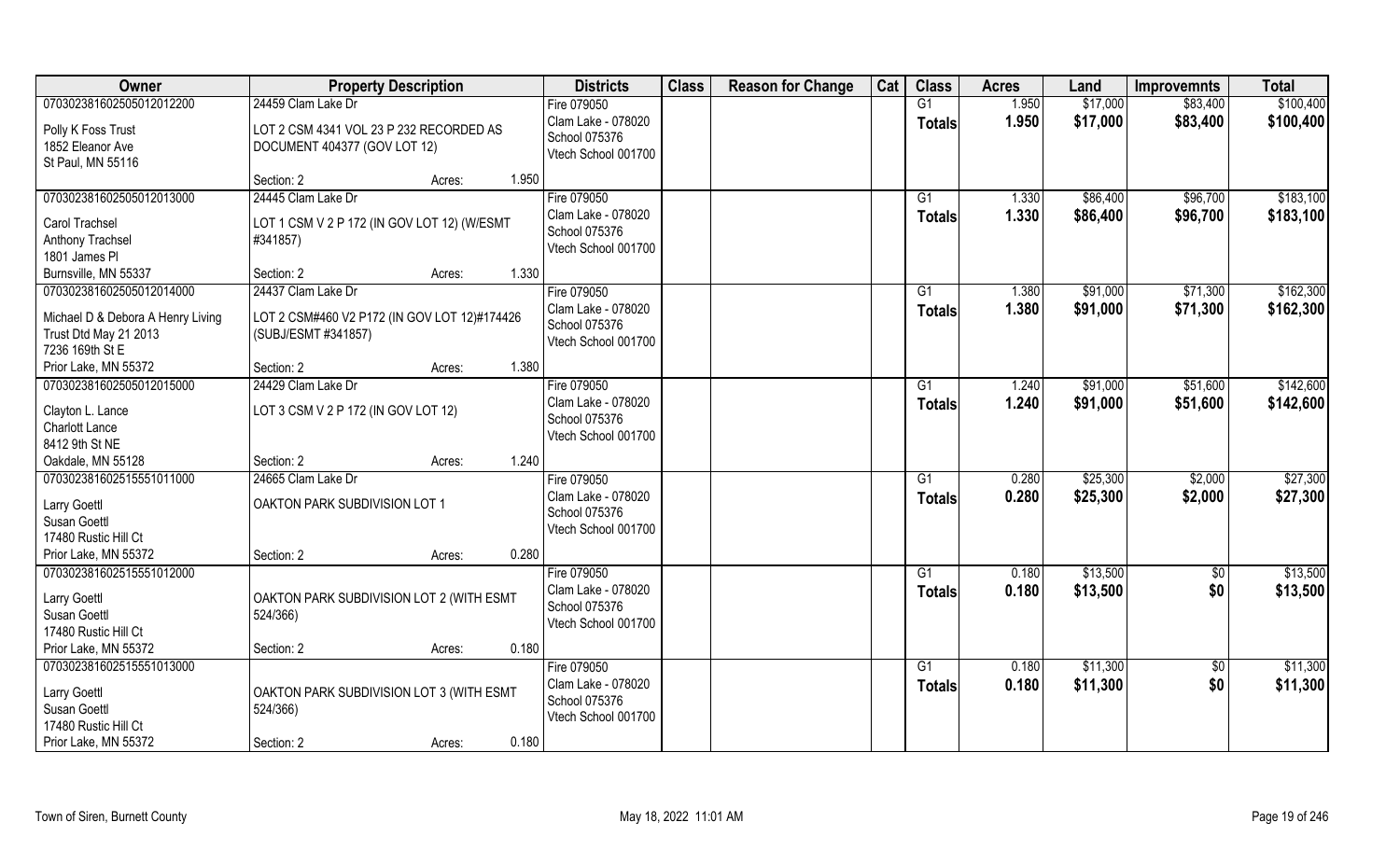| Owner                                                                                                    | <b>Property Description</b>                                                           | <b>Districts</b>                                                          | <b>Class</b> | <b>Reason for Change</b> | Cat | <b>Class</b>        | <b>Acres</b>   | Land                 | <b>Improvemnts</b>     | <b>Total</b>           |
|----------------------------------------------------------------------------------------------------------|---------------------------------------------------------------------------------------|---------------------------------------------------------------------------|--------------|--------------------------|-----|---------------------|----------------|----------------------|------------------------|------------------------|
| 070302381602505012012200                                                                                 | 24459 Clam Lake Dr                                                                    | Fire 079050                                                               |              |                          |     | G1                  | 1.950          | \$17,000             | \$83,400               | \$100,400              |
| Polly K Foss Trust<br>1852 Eleanor Ave<br>St Paul, MN 55116                                              | LOT 2 CSM 4341 VOL 23 P 232 RECORDED AS<br>DOCUMENT 404377 (GOV LOT 12)               | Clam Lake - 078020<br>School 075376<br>Vtech School 001700                |              |                          |     | <b>Totals</b>       | 1.950          | \$17,000             | \$83,400               | \$100,400              |
|                                                                                                          | Section: 2<br>1.950<br>Acres:                                                         |                                                                           |              |                          |     |                     |                |                      |                        |                        |
| 070302381602505012013000<br>Carol Trachsel<br>Anthony Trachsel<br>1801 James PI                          | 24445 Clam Lake Dr<br>LOT 1 CSM V 2 P 172 (IN GOV LOT 12) (W/ESMT<br>#341857)         | Fire 079050<br>Clam Lake - 078020<br>School 075376<br>Vtech School 001700 |              |                          |     | G1<br><b>Totals</b> | 1.330<br>1.330 | \$86,400<br>\$86,400 | \$96,700<br>\$96,700   | \$183,100<br>\$183,100 |
| Burnsville, MN 55337                                                                                     | 1.330<br>Section: 2<br>Acres:                                                         |                                                                           |              |                          |     |                     |                |                      |                        |                        |
| 070302381602505012014000                                                                                 | 24437 Clam Lake Dr                                                                    | Fire 079050                                                               |              |                          |     | G1                  | 1.380          | \$91,000             | \$71,300               | \$162,300              |
| Michael D & Debora A Henry Living<br>Trust Dtd May 21 2013<br>7236 169th St E                            | LOT 2 CSM#460 V2 P172 (IN GOV LOT 12)#174426<br>(SUBJ/ESMT #341857)                   | Clam Lake - 078020<br>School 075376<br>Vtech School 001700                |              |                          |     | <b>Totals</b>       | 1.380          | \$91,000             | \$71,300               | \$162,300              |
| Prior Lake, MN 55372                                                                                     | 1.380<br>Section: 2<br>Acres:                                                         |                                                                           |              |                          |     |                     |                |                      |                        |                        |
| 070302381602505012015000                                                                                 | 24429 Clam Lake Dr                                                                    | Fire 079050                                                               |              |                          |     | G1                  | 1.240          | \$91,000             | \$51,600               | \$142,600              |
| Clayton L. Lance<br><b>Charlott Lance</b><br>8412 9th St NE                                              | LOT 3 CSM V 2 P 172 (IN GOV LOT 12)                                                   | Clam Lake - 078020<br>School 075376<br>Vtech School 001700                |              |                          |     | <b>Totals</b>       | 1.240          | \$91,000             | \$51,600               | \$142,600              |
| Oakdale, MN 55128                                                                                        | 1.240<br>Section: 2<br>Acres:                                                         |                                                                           |              |                          |     |                     |                |                      |                        |                        |
| 070302381602515551011000<br><b>Larry Goettl</b><br>Susan Goettl<br>17480 Rustic Hill Ct                  | 24665 Clam Lake Dr<br>OAKTON PARK SUBDIVISION LOT 1                                   | Fire 079050<br>Clam Lake - 078020<br>School 075376<br>Vtech School 001700 |              |                          |     | G1<br><b>Totals</b> | 0.280<br>0.280 | \$25,300<br>\$25,300 | \$2,000<br>\$2,000     | \$27,300<br>\$27,300   |
| Prior Lake, MN 55372                                                                                     | 0.280<br>Section: 2<br>Acres:                                                         |                                                                           |              |                          |     |                     |                |                      |                        |                        |
| 070302381602515551012000<br>Larry Goettl<br>Susan Goettl<br>17480 Rustic Hill Ct                         | OAKTON PARK SUBDIVISION LOT 2 (WITH ESMT<br>524/366)                                  | Fire 079050<br>Clam Lake - 078020<br>School 075376<br>Vtech School 001700 |              |                          |     | G1<br><b>Totals</b> | 0.180<br>0.180 | \$13,500<br>\$13,500 | \$0<br>\$0             | \$13,500<br>\$13,500   |
| Prior Lake, MN 55372                                                                                     | 0.180<br>Section: 2<br>Acres:                                                         |                                                                           |              |                          |     |                     |                |                      |                        |                        |
| 070302381602515551013000<br>Larry Goettl<br>Susan Goettl<br>17480 Rustic Hill Ct<br>Prior Lake, MN 55372 | OAKTON PARK SUBDIVISION LOT 3 (WITH ESMT<br>524/366)<br>0.180<br>Section: 2<br>Acres: | Fire 079050<br>Clam Lake - 078020<br>School 075376<br>Vtech School 001700 |              |                          |     | G1<br><b>Totals</b> | 0.180<br>0.180 | \$11,300<br>\$11,300 | $\overline{50}$<br>\$0 | \$11,300<br>\$11,300   |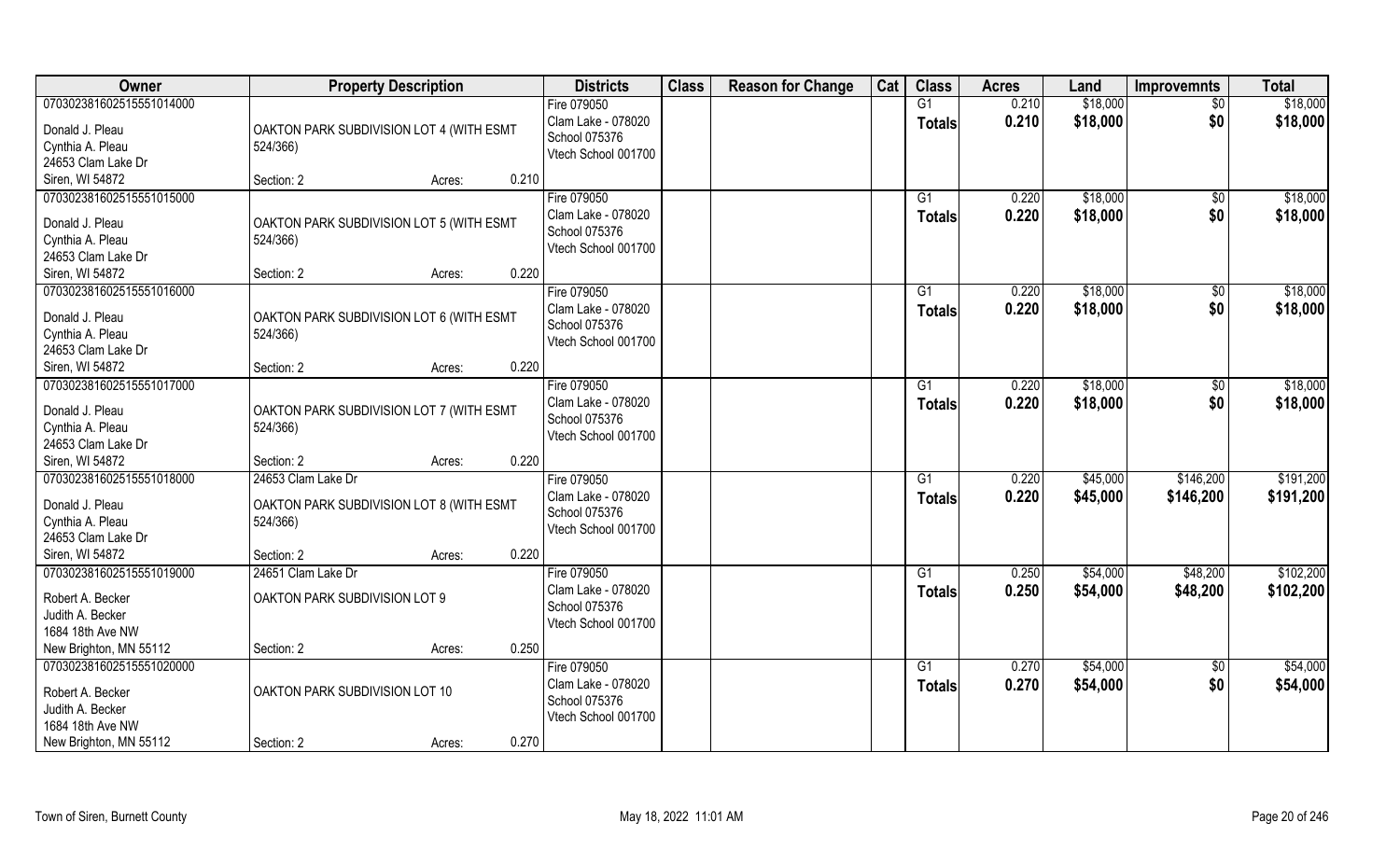| <b>Owner</b>                                | <b>Property Description</b>              |       | <b>Districts</b>                  | <b>Class</b> | <b>Reason for Change</b> | Cat | <b>Class</b>        | <b>Acres</b>   | Land                 | <b>Improvemnts</b> | <b>Total</b>         |
|---------------------------------------------|------------------------------------------|-------|-----------------------------------|--------------|--------------------------|-----|---------------------|----------------|----------------------|--------------------|----------------------|
| 070302381602515551014000<br>Donald J. Pleau | OAKTON PARK SUBDIVISION LOT 4 (WITH ESMT |       | Fire 079050<br>Clam Lake - 078020 |              |                          |     | G1<br><b>Totals</b> | 0.210<br>0.210 | \$18,000<br>\$18,000 | \$0<br>\$0         | \$18,000<br>\$18,000 |
| Cynthia A. Pleau                            | 524/366)                                 |       | School 075376                     |              |                          |     |                     |                |                      |                    |                      |
| 24653 Clam Lake Dr                          |                                          |       | Vtech School 001700               |              |                          |     |                     |                |                      |                    |                      |
| Siren, WI 54872                             | Section: 2<br>Acres:                     | 0.210 |                                   |              |                          |     |                     |                |                      |                    |                      |
| 070302381602515551015000                    |                                          |       | Fire 079050                       |              |                          |     | G1                  | 0.220          | \$18,000             | $\sqrt{$0}$        | \$18,000             |
| Donald J. Pleau                             | OAKTON PARK SUBDIVISION LOT 5 (WITH ESMT |       | Clam Lake - 078020                |              |                          |     | <b>Totals</b>       | 0.220          | \$18,000             | \$0                | \$18,000             |
| Cynthia A. Pleau                            | 524/366)                                 |       | School 075376                     |              |                          |     |                     |                |                      |                    |                      |
| 24653 Clam Lake Dr                          |                                          |       | Vtech School 001700               |              |                          |     |                     |                |                      |                    |                      |
| Siren, WI 54872                             | Section: 2<br>Acres:                     | 0.220 |                                   |              |                          |     |                     |                |                      |                    |                      |
| 070302381602515551016000                    |                                          |       | Fire 079050                       |              |                          |     | G1                  | 0.220          | \$18,000             | \$0                | \$18,000             |
| Donald J. Pleau                             | OAKTON PARK SUBDIVISION LOT 6 (WITH ESMT |       | Clam Lake - 078020                |              |                          |     | <b>Totals</b>       | 0.220          | \$18,000             | \$0                | \$18,000             |
| Cynthia A. Pleau                            | 524/366)                                 |       | School 075376                     |              |                          |     |                     |                |                      |                    |                      |
| 24653 Clam Lake Dr                          |                                          |       | Vtech School 001700               |              |                          |     |                     |                |                      |                    |                      |
| Siren, WI 54872                             | Section: 2<br>Acres:                     | 0.220 |                                   |              |                          |     |                     |                |                      |                    |                      |
| 070302381602515551017000                    |                                          |       | Fire 079050                       |              |                          |     | G1                  | 0.220          | \$18,000             | $\sqrt[6]{3}$      | \$18,000             |
| Donald J. Pleau                             | OAKTON PARK SUBDIVISION LOT 7 (WITH ESMT |       | Clam Lake - 078020                |              |                          |     | <b>Totals</b>       | 0.220          | \$18,000             | \$0                | \$18,000             |
| Cynthia A. Pleau                            | 524/366)                                 |       | School 075376                     |              |                          |     |                     |                |                      |                    |                      |
| 24653 Clam Lake Dr                          |                                          |       | Vtech School 001700               |              |                          |     |                     |                |                      |                    |                      |
| Siren, WI 54872                             | Section: 2<br>Acres:                     | 0.220 |                                   |              |                          |     |                     |                |                      |                    |                      |
| 070302381602515551018000                    | 24653 Clam Lake Dr                       |       | Fire 079050                       |              |                          |     | G1                  | 0.220          | \$45,000             | \$146,200          | \$191,200            |
| Donald J. Pleau                             | OAKTON PARK SUBDIVISION LOT 8 (WITH ESMT |       | Clam Lake - 078020                |              |                          |     | <b>Totals</b>       | 0.220          | \$45,000             | \$146,200          | \$191,200            |
| Cynthia A. Pleau                            | 524/366)                                 |       | School 075376                     |              |                          |     |                     |                |                      |                    |                      |
| 24653 Clam Lake Dr                          |                                          |       | Vtech School 001700               |              |                          |     |                     |                |                      |                    |                      |
| Siren, WI 54872                             | Section: 2<br>Acres:                     | 0.220 |                                   |              |                          |     |                     |                |                      |                    |                      |
| 070302381602515551019000                    | 24651 Clam Lake Dr                       |       | Fire 079050                       |              |                          |     | G1                  | 0.250          | \$54,000             | \$48,200           | \$102,200            |
| Robert A. Becker                            | OAKTON PARK SUBDIVISION LOT 9            |       | Clam Lake - 078020                |              |                          |     | <b>Totals</b>       | 0.250          | \$54,000             | \$48,200           | \$102,200            |
| Judith A. Becker                            |                                          |       | School 075376                     |              |                          |     |                     |                |                      |                    |                      |
| 1684 18th Ave NW                            |                                          |       | Vtech School 001700               |              |                          |     |                     |                |                      |                    |                      |
| New Brighton, MN 55112                      | Section: 2<br>Acres:                     | 0.250 |                                   |              |                          |     |                     |                |                      |                    |                      |
| 070302381602515551020000                    |                                          |       | Fire 079050                       |              |                          |     | $\overline{G1}$     | 0.270          | \$54,000             | $\overline{50}$    | \$54,000             |
| Robert A. Becker                            | OAKTON PARK SUBDIVISION LOT 10           |       | Clam Lake - 078020                |              |                          |     | <b>Totals</b>       | 0.270          | \$54,000             | \$0                | \$54,000             |
| Judith A. Becker                            |                                          |       | School 075376                     |              |                          |     |                     |                |                      |                    |                      |
| 1684 18th Ave NW                            |                                          |       | Vtech School 001700               |              |                          |     |                     |                |                      |                    |                      |
| New Brighton, MN 55112                      | Section: 2<br>Acres:                     | 0.270 |                                   |              |                          |     |                     |                |                      |                    |                      |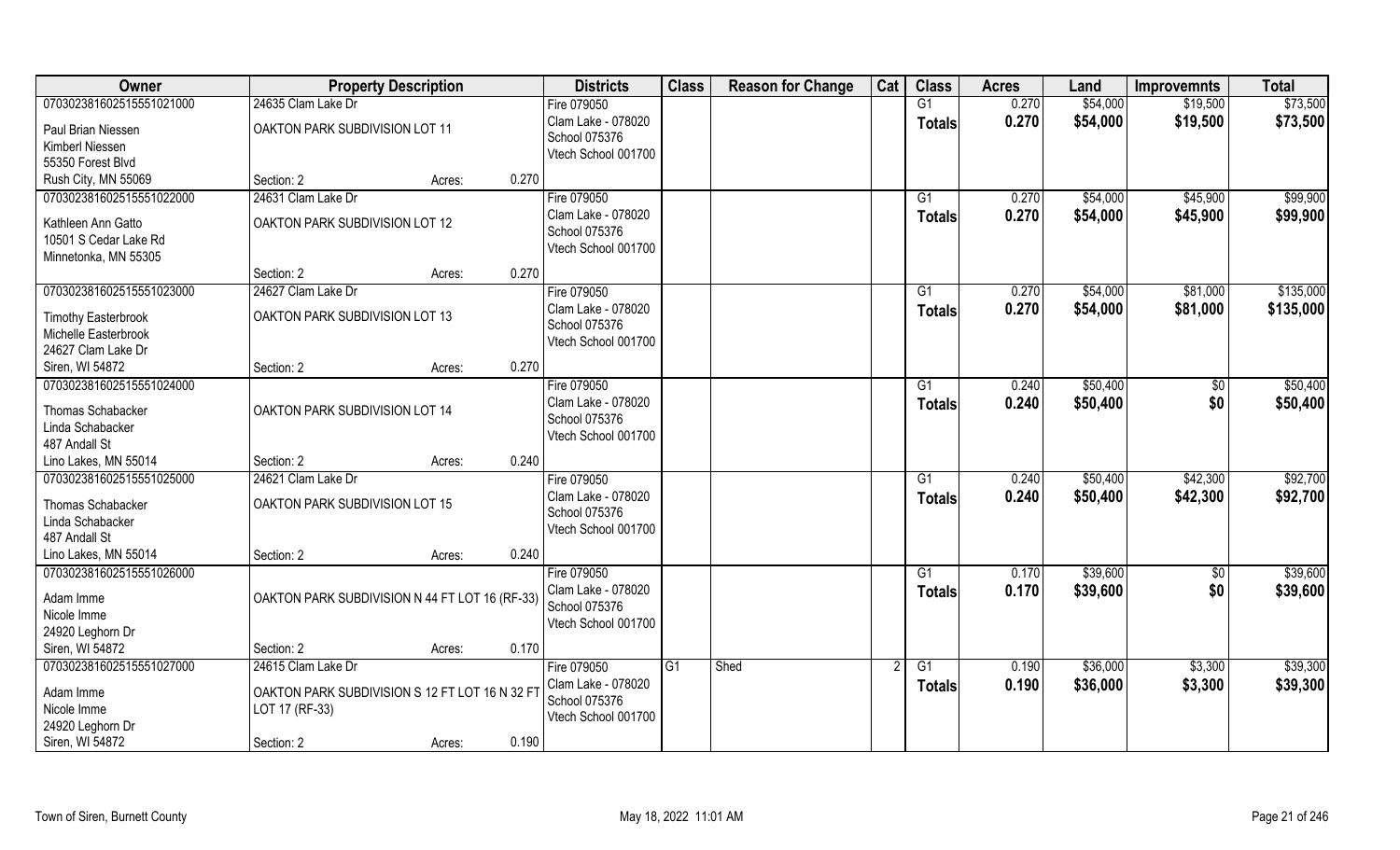| <b>Owner</b>                                | <b>Property Description</b>                    |        |       | <b>Districts</b>     | <b>Class</b> | <b>Reason for Change</b> | Cat | <b>Class</b>  | <b>Acres</b> | Land                 | <b>Improvemnts</b> | <b>Total</b> |
|---------------------------------------------|------------------------------------------------|--------|-------|----------------------|--------------|--------------------------|-----|---------------|--------------|----------------------|--------------------|--------------|
| 070302381602515551021000                    | 24635 Clam Lake Dr                             |        |       | Fire 079050          |              |                          |     | G1            | 0.270        | \$54,000             | \$19,500           | \$73,500     |
| Paul Brian Niessen                          | OAKTON PARK SUBDIVISION LOT 11                 |        |       | Clam Lake - 078020   |              |                          |     | <b>Totals</b> | 0.270        | \$54,000             | \$19,500           | \$73,500     |
| Kimberl Niessen                             |                                                |        |       | School 075376        |              |                          |     |               |              |                      |                    |              |
| 55350 Forest Blvd                           |                                                |        |       | Vtech School 001700  |              |                          |     |               |              |                      |                    |              |
| Rush City, MN 55069                         | Section: 2                                     | Acres: | 0.270 |                      |              |                          |     |               |              |                      |                    |              |
| 070302381602515551022000                    | 24631 Clam Lake Dr                             |        |       | Fire 079050          |              |                          |     | G1            | 0.270        | \$54,000             | \$45,900           | \$99,900     |
| Kathleen Ann Gatto                          | OAKTON PARK SUBDIVISION LOT 12                 |        |       | Clam Lake - 078020   |              |                          |     | Totals        | 0.270        | \$54,000             | \$45,900           | \$99,900     |
| 10501 S Cedar Lake Rd                       |                                                |        |       | School 075376        |              |                          |     |               |              |                      |                    |              |
| Minnetonka, MN 55305                        |                                                |        |       | Vtech School 001700  |              |                          |     |               |              |                      |                    |              |
|                                             | Section: 2                                     | Acres: | 0.270 |                      |              |                          |     |               |              |                      |                    |              |
| 070302381602515551023000                    | 24627 Clam Lake Dr                             |        |       | Fire 079050          |              |                          |     | G1            | 0.270        | \$54,000             | \$81,000           | \$135,000    |
| <b>Timothy Easterbrook</b>                  | OAKTON PARK SUBDIVISION LOT 13                 |        |       | Clam Lake - 078020   |              |                          |     | <b>Totals</b> | 0.270        | \$54,000             | \$81,000           | \$135,000    |
| Michelle Easterbrook                        |                                                |        |       | School 075376        |              |                          |     |               |              |                      |                    |              |
| 24627 Clam Lake Dr                          |                                                |        |       | Vtech School 001700  |              |                          |     |               |              |                      |                    |              |
| Siren, WI 54872                             | Section: 2                                     | Acres: | 0.270 |                      |              |                          |     |               |              |                      |                    |              |
| 070302381602515551024000                    |                                                |        |       | Fire 079050          |              |                          |     | G1            | 0.240        | \$50,400             | \$0                | \$50,400     |
| Thomas Schabacker                           | OAKTON PARK SUBDIVISION LOT 14                 |        |       | Clam Lake - 078020   |              |                          |     | <b>Totals</b> | 0.240        | \$50,400             | \$0                | \$50,400     |
| Linda Schabacker                            |                                                |        |       | School 075376        |              |                          |     |               |              |                      |                    |              |
| 487 Andall St                               |                                                |        |       | Vtech School 001700  |              |                          |     |               |              |                      |                    |              |
| Lino Lakes, MN 55014                        | Section: 2                                     | Acres: | 0.240 |                      |              |                          |     |               |              |                      |                    |              |
| 070302381602515551025000                    | 24621 Clam Lake Dr                             |        |       | Fire 079050          |              |                          |     | G1            | 0.240        | \$50,400             | \$42,300           | \$92,700     |
|                                             | OAKTON PARK SUBDIVISION LOT 15                 |        |       | Clam Lake - 078020   |              |                          |     | <b>Totals</b> | 0.240        | \$50,400             | \$42,300           | \$92,700     |
| Thomas Schabacker<br>Linda Schabacker       |                                                |        |       | School 075376        |              |                          |     |               |              |                      |                    |              |
| 487 Andall St                               |                                                |        |       | Vtech School 001700  |              |                          |     |               |              |                      |                    |              |
| Lino Lakes, MN 55014                        | Section: 2                                     | Acres: | 0.240 |                      |              |                          |     |               |              |                      |                    |              |
| 070302381602515551026000                    |                                                |        |       | Fire 079050          |              |                          |     | G1            | 0.170        | \$39,600             | $\sqrt{50}$        | \$39,600     |
|                                             |                                                |        |       | Clam Lake - 078020   |              |                          |     | <b>Totals</b> | 0.170        | \$39,600             | \$0                | \$39,600     |
| Adam Imme                                   | OAKTON PARK SUBDIVISION N 44 FT LOT 16 (RF-33) |        |       | School 075376        |              |                          |     |               |              |                      |                    |              |
| Nicole Imme                                 |                                                |        |       | Vtech School 001700  |              |                          |     |               |              |                      |                    |              |
| 24920 Leghorn Dr                            |                                                |        | 0.170 |                      |              |                          |     |               |              |                      |                    |              |
| Siren, WI 54872<br>070302381602515551027000 | Section: 2<br>24615 Clam Lake Dr               | Acres: |       | Fire 079050          | G1           | Shed                     |     | G1            | 0.190        |                      |                    | \$39,300     |
|                                             |                                                |        |       | Clam Lake - 078020   |              |                          |     |               | 0.190        | \$36,000<br>\$36,000 | \$3,300            | \$39,300     |
| Adam Imme                                   | OAKTON PARK SUBDIVISION S 12 FT LOT 16 N 32 FT |        |       | <b>School 075376</b> |              |                          |     | <b>Totals</b> |              |                      | \$3,300            |              |
| Nicole Imme                                 | LOT 17 (RF-33)                                 |        |       | Vtech School 001700  |              |                          |     |               |              |                      |                    |              |
| 24920 Leghorn Dr                            |                                                |        |       |                      |              |                          |     |               |              |                      |                    |              |
| Siren, WI 54872                             | Section: 2                                     | Acres: | 0.190 |                      |              |                          |     |               |              |                      |                    |              |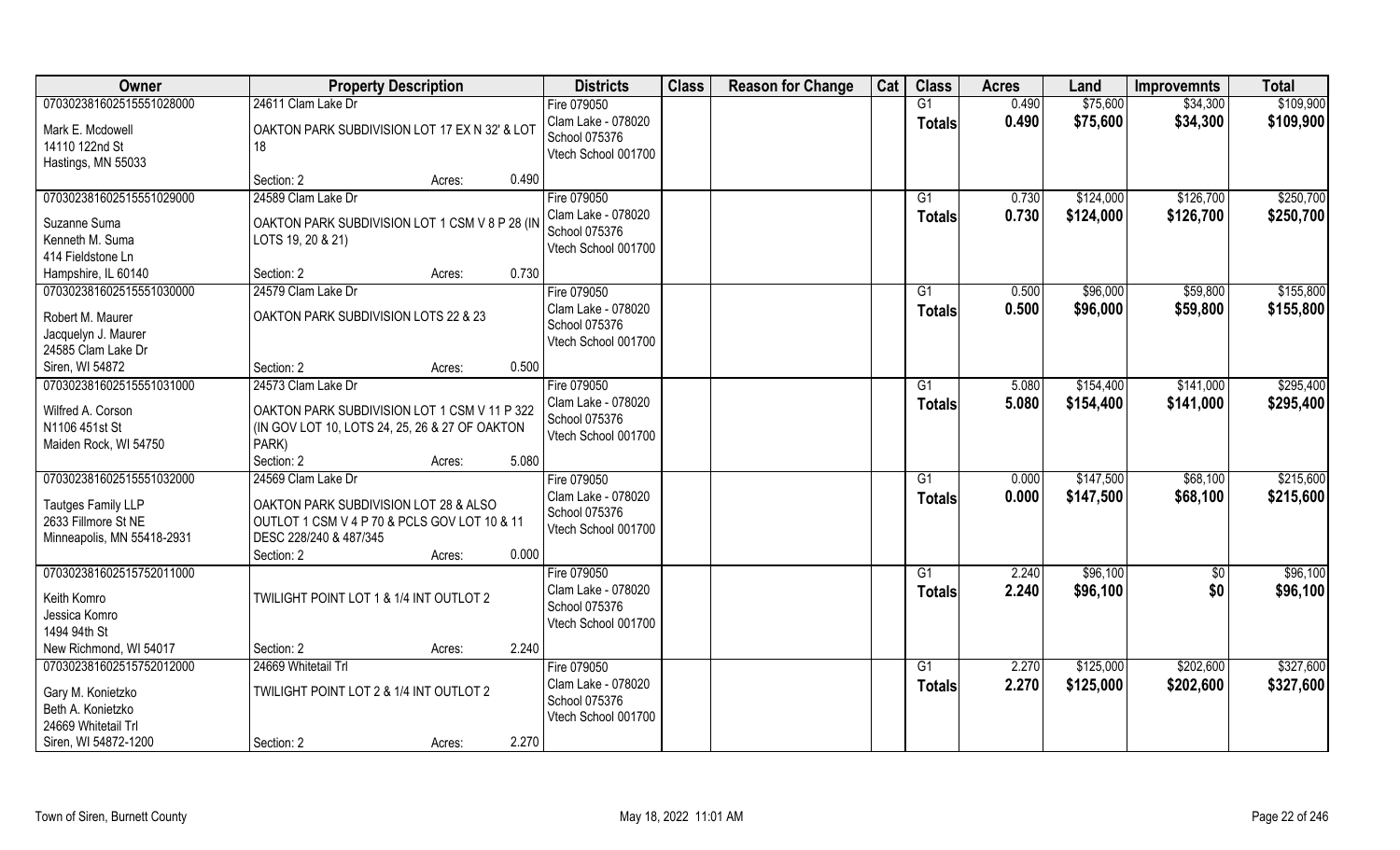| Owner                                                                                               | <b>Property Description</b>                                                                                                                                            | <b>Districts</b>                                                                 | <b>Class</b> | <b>Reason for Change</b> | Cat | <b>Class</b>        | <b>Acres</b>   | Land                   | <b>Improvemnts</b>     | <b>Total</b>           |
|-----------------------------------------------------------------------------------------------------|------------------------------------------------------------------------------------------------------------------------------------------------------------------------|----------------------------------------------------------------------------------|--------------|--------------------------|-----|---------------------|----------------|------------------------|------------------------|------------------------|
| 070302381602515551028000<br>Mark E. Mcdowell<br>14110 122nd St<br>Hastings, MN 55033                | 24611 Clam Lake Dr<br>OAKTON PARK SUBDIVISION LOT 17 EX N 32' & LOT<br>18                                                                                              | Fire 079050<br>Clam Lake - 078020<br>School 075376<br>Vtech School 001700        |              |                          |     | G1<br><b>Totals</b> | 0.490<br>0.490 | \$75,600<br>\$75,600   | \$34,300<br>\$34,300   | \$109,900<br>\$109,900 |
|                                                                                                     | 0.490<br>Section: 2<br>Acres:                                                                                                                                          |                                                                                  |              |                          |     |                     |                |                        |                        |                        |
| 070302381602515551029000<br>Suzanne Suma<br>Kenneth M. Suma<br>414 Fieldstone Ln                    | 24589 Clam Lake Dr<br>OAKTON PARK SUBDIVISION LOT 1 CSM V 8 P 28 (IN<br>LOTS 19, 20 & 21)                                                                              | Fire 079050<br>Clam Lake - 078020<br><b>School 075376</b><br>Vtech School 001700 |              |                          |     | G1<br><b>Totals</b> | 0.730<br>0.730 | \$124,000<br>\$124,000 | \$126,700<br>\$126,700 | \$250,700<br>\$250,700 |
| Hampshire, IL 60140                                                                                 | 0.730<br>Section: 2<br>Acres:                                                                                                                                          |                                                                                  |              |                          |     |                     |                |                        |                        |                        |
| 070302381602515551030000<br>Robert M. Maurer<br>Jacquelyn J. Maurer<br>24585 Clam Lake Dr           | 24579 Clam Lake Dr<br>OAKTON PARK SUBDIVISION LOTS 22 & 23                                                                                                             | Fire 079050<br>Clam Lake - 078020<br>School 075376<br>Vtech School 001700        |              |                          |     | G1<br><b>Totals</b> | 0.500<br>0.500 | \$96,000<br>\$96,000   | \$59,800<br>\$59,800   | \$155,800<br>\$155,800 |
| Siren, WI 54872                                                                                     | 0.500<br>Section: 2<br>Acres:                                                                                                                                          |                                                                                  |              |                          |     |                     |                |                        |                        |                        |
| 070302381602515551031000<br>Wilfred A. Corson<br>N1106 451st St<br>Maiden Rock, WI 54750            | 24573 Clam Lake Dr<br>OAKTON PARK SUBDIVISION LOT 1 CSM V 11 P 322<br>(IN GOV LOT 10, LOTS 24, 25, 26 & 27 OF OAKTON<br>PARK)                                          | Fire 079050<br>Clam Lake - 078020<br>School 075376<br>Vtech School 001700        |              |                          |     | G1<br><b>Totals</b> | 5.080<br>5.080 | \$154,400<br>\$154,400 | \$141,000<br>\$141,000 | \$295,400<br>\$295,400 |
|                                                                                                     | 5.080<br>Section: 2<br>Acres:                                                                                                                                          |                                                                                  |              |                          |     |                     |                |                        |                        |                        |
| 070302381602515551032000<br>Tautges Family LLP<br>2633 Fillmore St NE<br>Minneapolis, MN 55418-2931 | 24569 Clam Lake Dr<br>OAKTON PARK SUBDIVISION LOT 28 & ALSO<br>OUTLOT 1 CSM V 4 P 70 & PCLS GOV LOT 10 & 11<br>DESC 228/240 & 487/345<br>0.000<br>Section: 2<br>Acres: | Fire 079050<br>Clam Lake - 078020<br>School 075376<br>Vtech School 001700        |              |                          |     | G1<br><b>Totals</b> | 0.000<br>0.000 | \$147,500<br>\$147,500 | \$68,100<br>\$68,100   | \$215,600<br>\$215,600 |
| 070302381602515752011000<br>Keith Komro<br>Jessica Komro<br>1494 94th St<br>New Richmond, WI 54017  | TWILIGHT POINT LOT 1 & 1/4 INT OUTLOT 2<br>2.240<br>Section: 2<br>Acres:                                                                                               | Fire 079050<br>Clam Lake - 078020<br>School 075376<br>Vtech School 001700        |              |                          |     | G1<br><b>Totals</b> | 2.240<br>2.240 | \$96,100<br>\$96,100   | \$0<br>\$0             | \$96,100<br>\$96,100   |
| 070302381602515752012000                                                                            | 24669 Whitetail Trl                                                                                                                                                    | Fire 079050                                                                      |              |                          |     | $\overline{G1}$     | 2.270          | \$125,000              | \$202,600              | \$327,600              |
| Gary M. Konietzko<br>Beth A. Konietzko<br>24669 Whitetail Trl<br>Siren, WI 54872-1200               | TWILIGHT POINT LOT 2 & 1/4 INT OUTLOT 2<br>2.270<br>Section: 2<br>Acres:                                                                                               | Clam Lake - 078020<br>School 075376<br>Vtech School 001700                       |              |                          |     | <b>Totals</b>       | 2.270          | \$125,000              | \$202,600              | \$327,600              |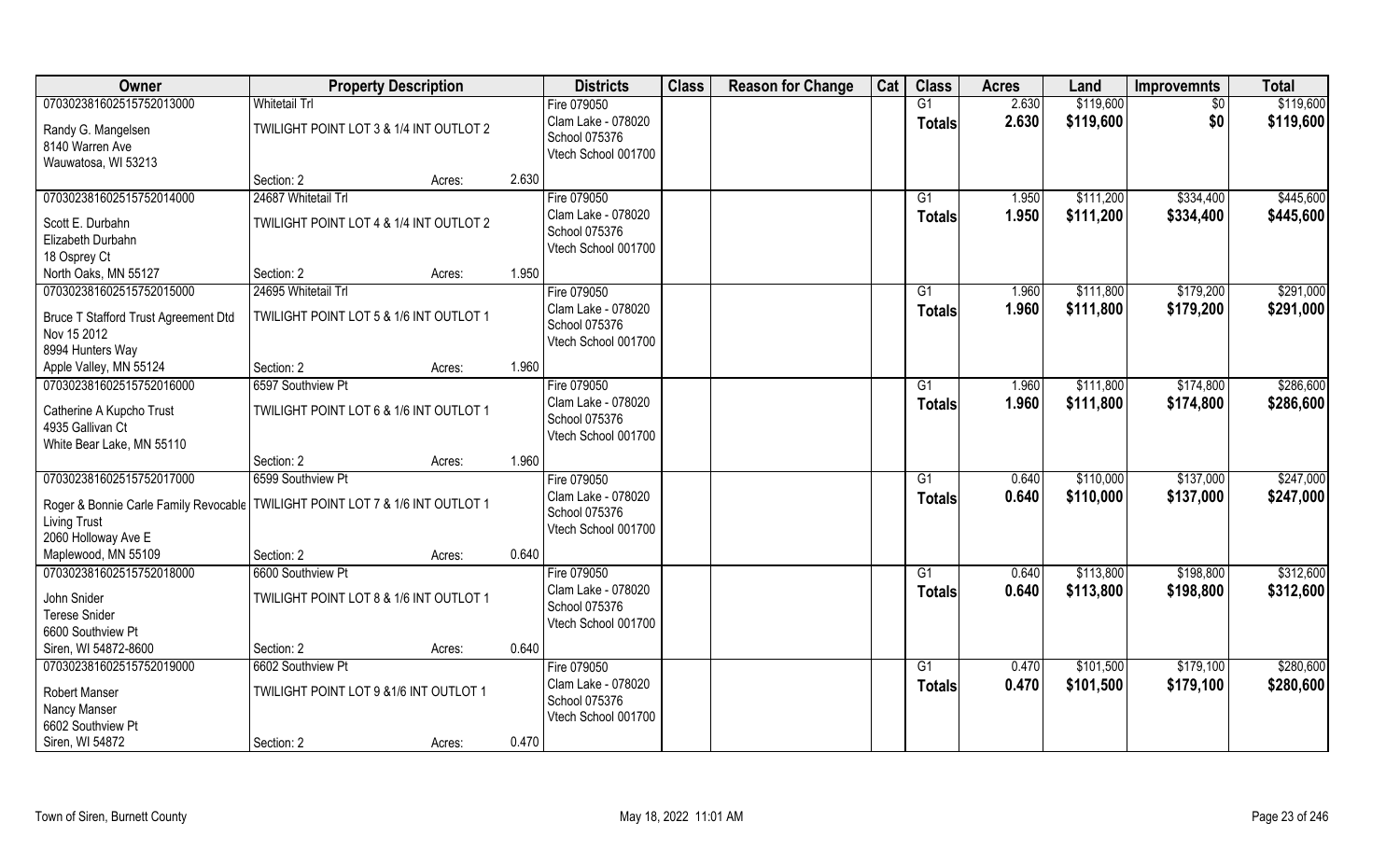| Owner                                                                                                                                                     | <b>Property Description</b>                                                |        |       | <b>Districts</b>                                                          | <b>Class</b> | <b>Reason for Change</b> | Cat | <b>Class</b>                     | <b>Acres</b>   | Land                   | <b>Improvemnts</b>     | <b>Total</b>           |
|-----------------------------------------------------------------------------------------------------------------------------------------------------------|----------------------------------------------------------------------------|--------|-------|---------------------------------------------------------------------------|--------------|--------------------------|-----|----------------------------------|----------------|------------------------|------------------------|------------------------|
| 070302381602515752013000<br>Randy G. Mangelsen<br>8140 Warren Ave<br>Wauwatosa, WI 53213                                                                  | <b>Whitetail Trl</b><br>TWILIGHT POINT LOT 3 & 1/4 INT OUTLOT 2            |        |       | Fire 079050<br>Clam Lake - 078020<br>School 075376<br>Vtech School 001700 |              |                          |     | G1<br><b>Totals</b>              | 2.630<br>2.630 | \$119,600<br>\$119,600 | $\sqrt{6}$<br>\$0      | \$119,600<br>\$119,600 |
|                                                                                                                                                           | Section: 2                                                                 | Acres: | 2.630 |                                                                           |              |                          |     |                                  |                |                        |                        |                        |
| 070302381602515752014000<br>Scott E. Durbahn<br>Elizabeth Durbahn<br>18 Osprey Ct                                                                         | 24687 Whitetail Trl<br>TWILIGHT POINT LOT 4 & 1/4 INT OUTLOT 2             |        |       | Fire 079050<br>Clam Lake - 078020<br>School 075376<br>Vtech School 001700 |              |                          |     | G1<br><b>Totals</b>              | 1.950<br>1.950 | \$111,200<br>\$111,200 | \$334,400<br>\$334,400 | \$445,600<br>\$445,600 |
| North Oaks, MN 55127                                                                                                                                      | Section: 2                                                                 | Acres: | 1.950 |                                                                           |              |                          |     |                                  |                |                        |                        |                        |
| 070302381602515752015000                                                                                                                                  | 24695 Whitetail Trl                                                        |        |       | Fire 079050                                                               |              |                          |     | G1                               | 1.960          | \$111,800              | \$179,200              | \$291,000              |
| Bruce T Stafford Trust Agreement Dtd<br>Nov 15 2012<br>8994 Hunters Way                                                                                   | TWILIGHT POINT LOT 5 & 1/6 INT OUTLOT 1                                    |        |       | Clam Lake - 078020<br>School 075376<br>Vtech School 001700                |              |                          |     | <b>Totals</b>                    | 1.960          | \$111,800              | \$179,200              | \$291,000              |
| Apple Valley, MN 55124                                                                                                                                    | Section: 2                                                                 | Acres: | 1.960 |                                                                           |              |                          |     |                                  |                |                        |                        |                        |
| 070302381602515752016000                                                                                                                                  | 6597 Southview Pt                                                          |        |       | Fire 079050                                                               |              |                          |     | G1                               | 1.960          | \$111,800              | \$174,800              | \$286,600              |
| Catherine A Kupcho Trust<br>4935 Gallivan Ct<br>White Bear Lake, MN 55110                                                                                 | TWILIGHT POINT LOT 6 & 1/6 INT OUTLOT 1                                    |        |       | Clam Lake - 078020<br>School 075376<br>Vtech School 001700                |              |                          |     | <b>Totals</b>                    | 1.960          | \$111,800              | \$174,800              | \$286,600              |
|                                                                                                                                                           | Section: 2                                                                 | Acres: | 1.960 |                                                                           |              |                          |     |                                  |                |                        |                        |                        |
| 070302381602515752017000<br>Roger & Bonnie Carle Family Revocable   TWILIGHT POINT LOT 7 & 1/6 INT OUTLOT 1<br><b>Living Trust</b><br>2060 Holloway Ave E | 6599 Southview Pt                                                          |        |       | Fire 079050<br>Clam Lake - 078020<br>School 075376<br>Vtech School 001700 |              |                          |     | $\overline{G1}$<br><b>Totals</b> | 0.640<br>0.640 | \$110,000<br>\$110,000 | \$137,000<br>\$137,000 | \$247,000<br>\$247,000 |
| Maplewood, MN 55109                                                                                                                                       | Section: 2                                                                 | Acres: | 0.640 |                                                                           |              |                          |     |                                  |                |                        |                        |                        |
| 070302381602515752018000                                                                                                                                  | 6600 Southview Pt                                                          |        |       | Fire 079050                                                               |              |                          |     | G1                               | 0.640          | \$113,800              | \$198,800              | \$312,600              |
| John Snider<br><b>Terese Snider</b><br>6600 Southview Pt                                                                                                  | TWILIGHT POINT LOT 8 & 1/6 INT OUTLOT 1                                    |        |       | Clam Lake - 078020<br>School 075376<br>Vtech School 001700                |              |                          |     | <b>Totals</b>                    | 0.640          | \$113,800              | \$198,800              | \$312,600              |
| Siren, WI 54872-8600                                                                                                                                      | Section: 2                                                                 | Acres: | 0.640 |                                                                           |              |                          |     |                                  |                |                        |                        |                        |
| 070302381602515752019000<br>Robert Manser<br>Nancy Manser<br>6602 Southview Pt<br>Siren, WI 54872                                                         | 6602 Southview Pt<br>TWILIGHT POINT LOT 9 & 1/6 INT OUTLOT 1<br>Section: 2 | Acres: | 0.470 | Fire 079050<br>Clam Lake - 078020<br>School 075376<br>Vtech School 001700 |              |                          |     | $\overline{G1}$<br><b>Totals</b> | 0.470<br>0.470 | \$101,500<br>\$101,500 | \$179,100<br>\$179,100 | \$280,600<br>\$280,600 |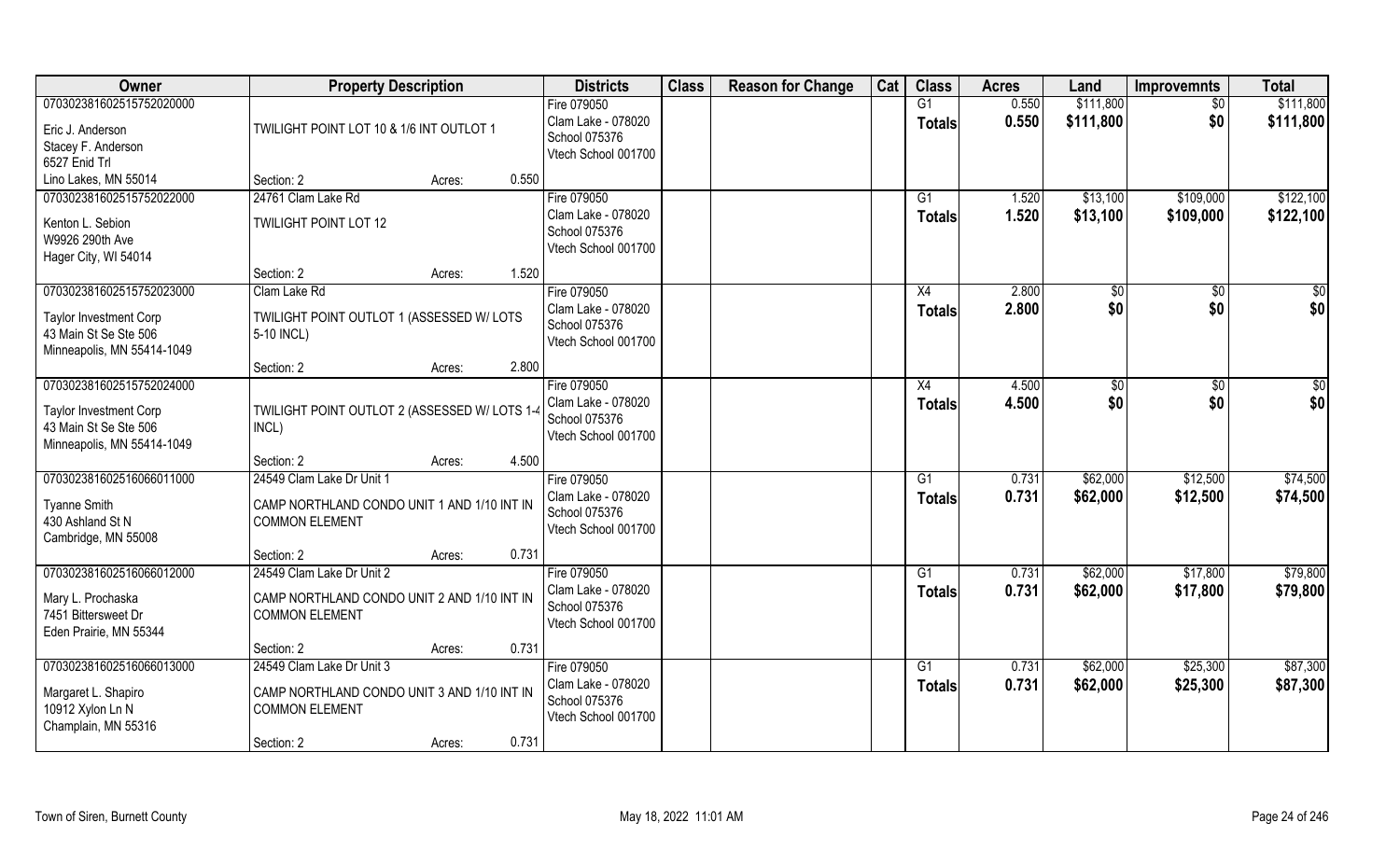| Owner                                                                                                            | <b>Property Description</b>                                                                                     |        | <b>Districts</b> | <b>Class</b>                                                              | <b>Reason for Change</b> | Cat | <b>Class</b> | <b>Acres</b>        | Land           | <b>Improvemnts</b>     | <b>Total</b>           |                        |
|------------------------------------------------------------------------------------------------------------------|-----------------------------------------------------------------------------------------------------------------|--------|------------------|---------------------------------------------------------------------------|--------------------------|-----|--------------|---------------------|----------------|------------------------|------------------------|------------------------|
| 070302381602515752020000<br>Eric J. Anderson<br>Stacey F. Anderson<br>6527 Enid Trl                              | TWILIGHT POINT LOT 10 & 1/6 INT OUTLOT 1                                                                        |        |                  | Fire 079050<br>Clam Lake - 078020<br>School 075376<br>Vtech School 001700 |                          |     |              | G1<br><b>Totals</b> | 0.550<br>0.550 | \$111,800<br>\$111,800 | \$0<br>\$0             | \$111,800<br>\$111,800 |
| Lino Lakes, MN 55014                                                                                             | Section: 2                                                                                                      | Acres: | 0.550            |                                                                           |                          |     |              |                     |                |                        |                        |                        |
| 070302381602515752022000<br>Kenton L. Sebion<br>W9926 290th Ave<br>Hager City, WI 54014                          | 24761 Clam Lake Rd<br><b>TWILIGHT POINT LOT 12</b>                                                              |        |                  | Fire 079050<br>Clam Lake - 078020<br>School 075376<br>Vtech School 001700 |                          |     |              | G1<br>Totals        | 1.520<br>1.520 | \$13,100<br>\$13,100   | \$109,000<br>\$109,000 | \$122,100<br>\$122,100 |
|                                                                                                                  | Section: 2                                                                                                      | Acres: | 1.520            |                                                                           |                          |     |              |                     |                |                        |                        |                        |
| 070302381602515752023000<br><b>Taylor Investment Corp</b><br>43 Main St Se Ste 506<br>Minneapolis, MN 55414-1049 | Clam Lake Rd<br>TWILIGHT POINT OUTLOT 1 (ASSESSED W/ LOTS<br>5-10 INCL)                                         |        |                  | Fire 079050<br>Clam Lake - 078020<br>School 075376<br>Vtech School 001700 |                          |     |              | X4<br><b>Totals</b> | 2.800<br>2.800 | \$0<br>\$0             | \$0<br>\$0             | \$0<br>\$0             |
|                                                                                                                  | Section: 2                                                                                                      | Acres: | 2.800            |                                                                           |                          |     |              |                     |                |                        |                        |                        |
| 070302381602515752024000<br>Taylor Investment Corp<br>43 Main St Se Ste 506<br>Minneapolis, MN 55414-1049        | TWILIGHT POINT OUTLOT 2 (ASSESSED W/ LOTS 1-4<br>INCL)                                                          |        |                  | Fire 079050<br>Clam Lake - 078020<br>School 075376<br>Vtech School 001700 |                          |     |              | X4<br><b>Totals</b> | 4.500<br>4.500 | \$0<br>\$0             | $\sqrt{50}$<br>\$0     | \$0<br>\$0             |
|                                                                                                                  | Section: 2                                                                                                      | Acres: | 4.500            |                                                                           |                          |     |              |                     |                |                        |                        |                        |
| 070302381602516066011000<br><b>Tyanne Smith</b><br>430 Ashland St N<br>Cambridge, MN 55008                       | 24549 Clam Lake Dr Unit 1<br>CAMP NORTHLAND CONDO UNIT 1 AND 1/10 INT IN<br><b>COMMON ELEMENT</b>               |        |                  | Fire 079050<br>Clam Lake - 078020<br>School 075376<br>Vtech School 001700 |                          |     |              | G1<br><b>Totals</b> | 0.731<br>0.731 | \$62,000<br>\$62,000   | \$12,500<br>\$12,500   | \$74,500<br>\$74,500   |
|                                                                                                                  | Section: 2                                                                                                      | Acres: | 0.731            |                                                                           |                          |     |              |                     |                |                        |                        |                        |
| 070302381602516066012000                                                                                         | 24549 Clam Lake Dr Unit 2                                                                                       |        |                  | Fire 079050                                                               |                          |     |              | G1                  | 0.731          | \$62,000               | \$17,800               | \$79,800               |
| Mary L. Prochaska<br>7451 Bittersweet Dr<br>Eden Prairie, MN 55344                                               | CAMP NORTHLAND CONDO UNIT 2 AND 1/10 INT IN<br><b>COMMON ELEMENT</b>                                            |        |                  | Clam Lake - 078020<br>School 075376<br>Vtech School 001700                |                          |     |              | <b>Totals</b>       | 0.731          | \$62,000               | \$17,800               | \$79,800               |
|                                                                                                                  | Section: 2                                                                                                      | Acres: | 0.731            |                                                                           |                          |     |              |                     |                |                        |                        |                        |
| 070302381602516066013000<br>Margaret L. Shapiro<br>10912 Xylon Ln N<br>Champlain, MN 55316                       | 24549 Clam Lake Dr Unit 3<br>CAMP NORTHLAND CONDO UNIT 3 AND 1/10 INT IN<br><b>COMMON ELEMENT</b><br>Section: 2 | Acres: | 0.731            | Fire 079050<br>Clam Lake - 078020<br>School 075376<br>Vtech School 001700 |                          |     |              | G1<br><b>Totals</b> | 0.731<br>0.731 | \$62,000<br>\$62,000   | \$25,300<br>\$25,300   | \$87,300<br>\$87,300   |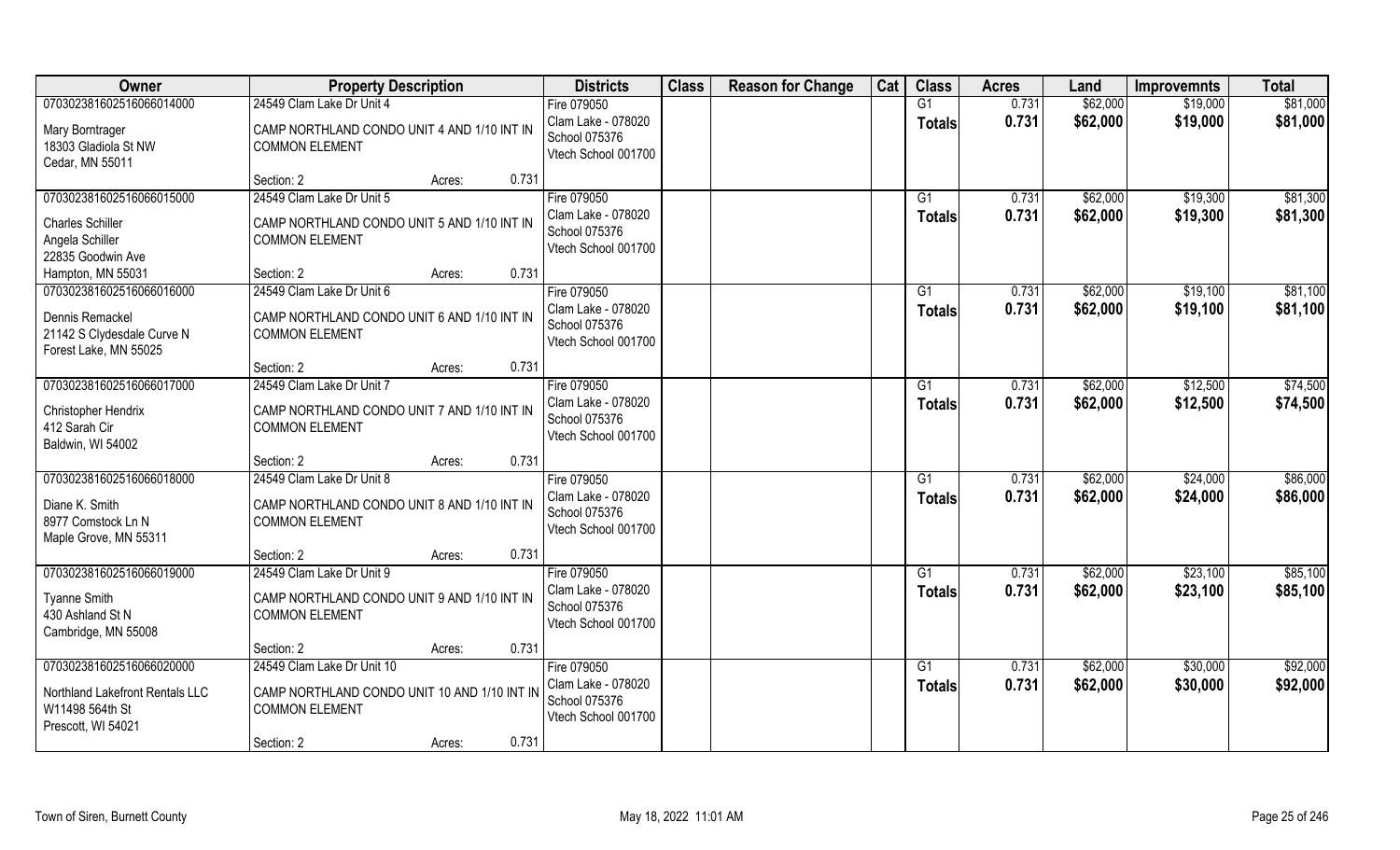| Owner                                                                                                | <b>Property Description</b>                                                                                                          | <b>Districts</b>                                                                 | <b>Class</b> | <b>Reason for Change</b> | Cat | <b>Class</b>        | <b>Acres</b>   | Land                 | <b>Improvemnts</b>   | <b>Total</b>         |
|------------------------------------------------------------------------------------------------------|--------------------------------------------------------------------------------------------------------------------------------------|----------------------------------------------------------------------------------|--------------|--------------------------|-----|---------------------|----------------|----------------------|----------------------|----------------------|
| 070302381602516066014000<br>Mary Borntrager<br>18303 Gladiola St NW<br>Cedar, MN 55011               | 24549 Clam Lake Dr Unit 4<br>CAMP NORTHLAND CONDO UNIT 4 AND 1/10 INT IN<br><b>COMMON ELEMENT</b>                                    | Fire 079050<br>Clam Lake - 078020<br><b>School 075376</b><br>Vtech School 001700 |              |                          |     | G1<br><b>Totals</b> | 0.731<br>0.731 | \$62,000<br>\$62,000 | \$19,000<br>\$19,000 | \$81,000<br>\$81,000 |
|                                                                                                      | Section: 2<br>0.731<br>Acres:                                                                                                        |                                                                                  |              |                          |     |                     |                |                      |                      |                      |
| 070302381602516066015000<br><b>Charles Schiller</b><br>Angela Schiller<br>22835 Goodwin Ave          | 24549 Clam Lake Dr Unit 5<br>CAMP NORTHLAND CONDO UNIT 5 AND 1/10 INT IN<br><b>COMMON ELEMENT</b>                                    | Fire 079050<br>Clam Lake - 078020<br>School 075376<br>Vtech School 001700        |              |                          |     | G1<br>Totals        | 0.731<br>0.731 | \$62,000<br>\$62,000 | \$19,300<br>\$19,300 | \$81,300<br>\$81,300 |
| Hampton, MN 55031                                                                                    | 0.731<br>Section: 2<br>Acres:                                                                                                        |                                                                                  |              |                          |     |                     |                |                      |                      |                      |
| 070302381602516066016000<br>Dennis Remackel<br>21142 S Clydesdale Curve N<br>Forest Lake, MN 55025   | 24549 Clam Lake Dr Unit 6<br>CAMP NORTHLAND CONDO UNIT 6 AND 1/10 INT IN<br><b>COMMON ELEMENT</b>                                    | Fire 079050<br>Clam Lake - 078020<br><b>School 075376</b><br>Vtech School 001700 |              |                          |     | G1<br><b>Totals</b> | 0.731<br>0.731 | \$62,000<br>\$62,000 | \$19,100<br>\$19,100 | \$81,100<br>\$81,100 |
|                                                                                                      | 0.731<br>Section: 2<br>Acres:                                                                                                        |                                                                                  |              |                          |     |                     |                |                      |                      |                      |
| 070302381602516066017000<br>Christopher Hendrix<br>412 Sarah Cir<br>Baldwin, WI 54002                | 24549 Clam Lake Dr Unit 7<br>CAMP NORTHLAND CONDO UNIT 7 AND 1/10 INT IN<br><b>COMMON ELEMENT</b>                                    | Fire 079050<br>Clam Lake - 078020<br>School 075376<br>Vtech School 001700        |              |                          |     | G1<br><b>Totals</b> | 0.731<br>0.731 | \$62,000<br>\$62,000 | \$12,500<br>\$12,500 | \$74,500<br>\$74,500 |
|                                                                                                      | 0.731<br>Section: 2<br>Acres:                                                                                                        |                                                                                  |              |                          |     |                     |                |                      |                      |                      |
| 070302381602516066018000<br>Diane K. Smith<br>8977 Comstock Ln N<br>Maple Grove, MN 55311            | 24549 Clam Lake Dr Unit 8<br>CAMP NORTHLAND CONDO UNIT 8 AND 1/10 INT IN<br><b>COMMON ELEMENT</b>                                    | Fire 079050<br>Clam Lake - 078020<br>School 075376<br>Vtech School 001700        |              |                          |     | G1<br><b>Totals</b> | 0.731<br>0.731 | \$62,000<br>\$62,000 | \$24,000<br>\$24,000 | \$86,000<br>\$86,000 |
|                                                                                                      | 0.731<br>Section: 2<br>Acres:                                                                                                        |                                                                                  |              |                          |     |                     |                |                      |                      |                      |
| 070302381602516066019000<br><b>Tyanne Smith</b><br>430 Ashland St N<br>Cambridge, MN 55008           | 24549 Clam Lake Dr Unit 9<br>CAMP NORTHLAND CONDO UNIT 9 AND 1/10 INT IN<br><b>COMMON ELEMENT</b>                                    | Fire 079050<br>Clam Lake - 078020<br>School 075376<br>Vtech School 001700        |              |                          |     | G1<br><b>Totals</b> | 0.731<br>0.731 | \$62,000<br>\$62,000 | \$23,100<br>\$23,100 | \$85,100<br>\$85,100 |
|                                                                                                      | 0.731<br>Section: 2<br>Acres:                                                                                                        |                                                                                  |              |                          |     |                     |                |                      |                      |                      |
| 070302381602516066020000<br>Northland Lakefront Rentals LLC<br>W11498 564th St<br>Prescott, WI 54021 | 24549 Clam Lake Dr Unit 10<br>CAMP NORTHLAND CONDO UNIT 10 AND 1/10 INT IN<br><b>COMMON ELEMENT</b><br>0.731<br>Section: 2<br>Acres: | Fire 079050<br>Clam Lake - 078020<br>School 075376<br>Vtech School 001700        |              |                          |     | G1<br><b>Totals</b> | 0.731<br>0.731 | \$62,000<br>\$62,000 | \$30,000<br>\$30,000 | \$92,000<br>\$92,000 |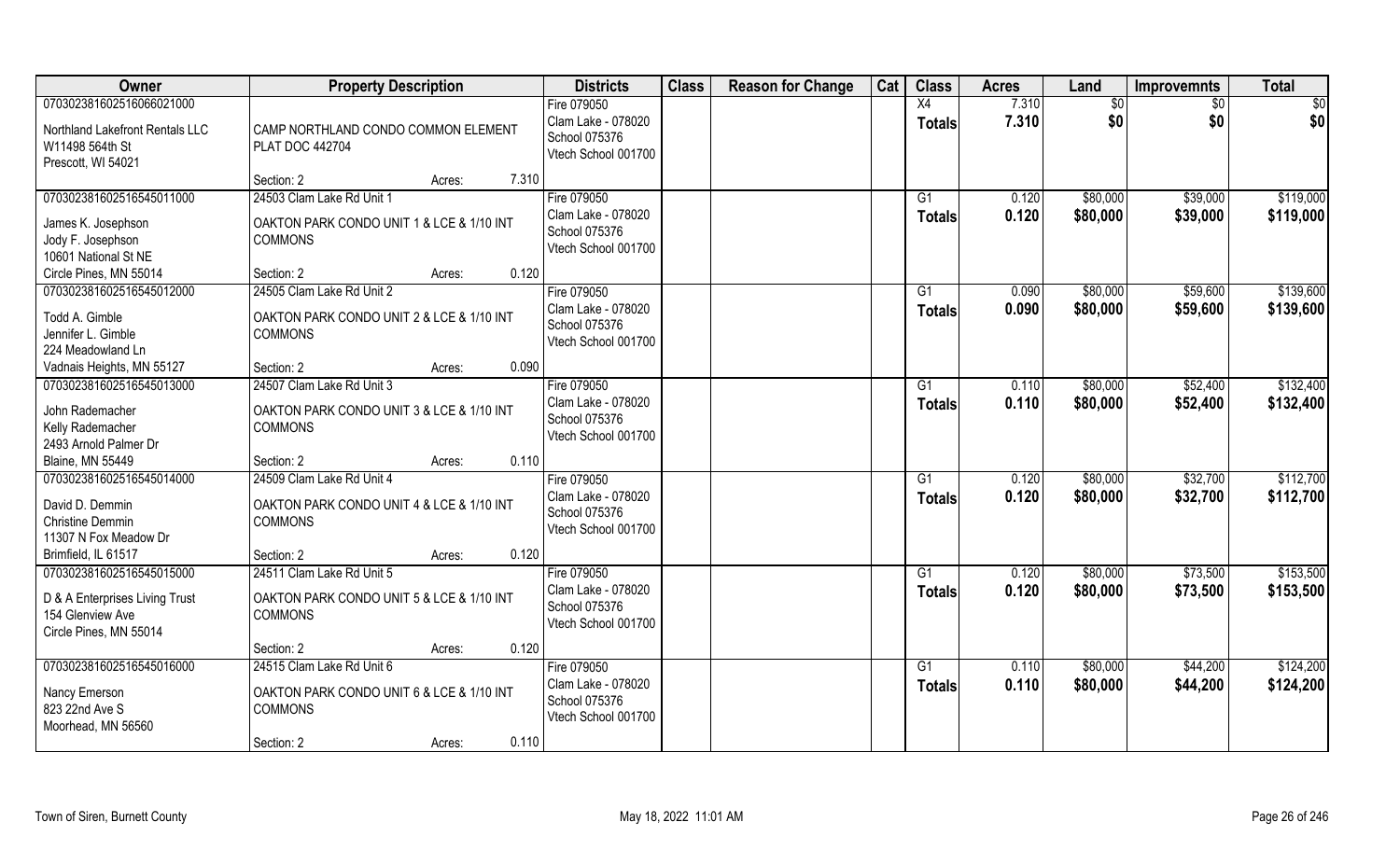| Owner                                                                                                                           | <b>Property Description</b>                                                                                                                                | <b>Districts</b>                                                          | <b>Class</b> | <b>Reason for Change</b> | Cat | <b>Class</b>        | <b>Acres</b>   | Land                 | <b>Improvemnts</b>   | <b>Total</b>           |
|---------------------------------------------------------------------------------------------------------------------------------|------------------------------------------------------------------------------------------------------------------------------------------------------------|---------------------------------------------------------------------------|--------------|--------------------------|-----|---------------------|----------------|----------------------|----------------------|------------------------|
| 070302381602516066021000<br>Northland Lakefront Rentals LLC<br>W11498 564th St<br>Prescott, WI 54021                            | CAMP NORTHLAND CONDO COMMON ELEMENT<br><b>PLAT DOC 442704</b><br>7.310<br>Section: 2<br>Acres:                                                             | Fire 079050<br>Clam Lake - 078020<br>School 075376<br>Vtech School 001700 |              |                          |     | X4<br><b>Totals</b> | 7.310<br>7.310 | \$0<br>\$0           | \$0<br>\$0           | \$0<br>\$0             |
| 070302381602516545011000<br>James K. Josephson<br>Jody F. Josephson<br>10601 National St NE<br>Circle Pines, MN 55014           | 24503 Clam Lake Rd Unit 1<br>OAKTON PARK CONDO UNIT 1 & LCE & 1/10 INT<br><b>COMMONS</b><br>0.120<br>Section: 2<br>Acres:                                  | Fire 079050<br>Clam Lake - 078020<br>School 075376<br>Vtech School 001700 |              |                          |     | G1<br><b>Totals</b> | 0.120<br>0.120 | \$80,000<br>\$80,000 | \$39,000<br>\$39,000 | \$119,000<br>\$119,000 |
| 070302381602516545012000<br>Todd A. Gimble<br>Jennifer L. Gimble<br>224 Meadowland Ln<br>Vadnais Heights, MN 55127              | 24505 Clam Lake Rd Unit 2<br>OAKTON PARK CONDO UNIT 2 & LCE & 1/10 INT<br><b>COMMONS</b><br>0.090<br>Section: 2<br>Acres:                                  | Fire 079050<br>Clam Lake - 078020<br>School 075376<br>Vtech School 001700 |              |                          |     | G1<br><b>Totals</b> | 0.090<br>0.090 | \$80,000<br>\$80,000 | \$59,600<br>\$59,600 | \$139,600<br>\$139,600 |
| 070302381602516545013000<br>John Rademacher<br>Kelly Rademacher<br>2493 Arnold Palmer Dr                                        | 24507 Clam Lake Rd Unit 3<br>OAKTON PARK CONDO UNIT 3 & LCE & 1/10 INT<br><b>COMMONS</b>                                                                   | Fire 079050<br>Clam Lake - 078020<br>School 075376<br>Vtech School 001700 |              |                          |     | G1<br><b>Totals</b> | 0.110<br>0.110 | \$80,000<br>\$80,000 | \$52,400<br>\$52,400 | \$132,400<br>\$132,400 |
| <b>Blaine, MN 55449</b><br>070302381602516545014000<br>David D. Demmin<br><b>Christine Demmin</b><br>11307 N Fox Meadow Dr      | 0.110<br>Section: 2<br>Acres:<br>24509 Clam Lake Rd Unit 4<br>OAKTON PARK CONDO UNIT 4 & LCE & 1/10 INT<br><b>COMMONS</b>                                  | Fire 079050<br>Clam Lake - 078020<br>School 075376<br>Vtech School 001700 |              |                          |     | G1<br><b>Totals</b> | 0.120<br>0.120 | \$80,000<br>\$80,000 | \$32,700<br>\$32,700 | \$112,700<br>\$112,700 |
| Brimfield, IL 61517<br>070302381602516545015000<br>D & A Enterprises Living Trust<br>154 Glenview Ave<br>Circle Pines, MN 55014 | 0.120<br>Section: 2<br>Acres:<br>24511 Clam Lake Rd Unit 5<br>OAKTON PARK CONDO UNIT 5 & LCE & 1/10 INT<br><b>COMMONS</b><br>0.120<br>Section: 2<br>Acres: | Fire 079050<br>Clam Lake - 078020<br>School 075376<br>Vtech School 001700 |              |                          |     | G1<br><b>Totals</b> | 0.120<br>0.120 | \$80,000<br>\$80,000 | \$73,500<br>\$73,500 | \$153,500<br>\$153,500 |
| 070302381602516545016000<br>Nancy Emerson<br>823 22nd Ave S<br>Moorhead, MN 56560                                               | 24515 Clam Lake Rd Unit 6<br>OAKTON PARK CONDO UNIT 6 & LCE & 1/10 INT<br><b>COMMONS</b><br>0.110<br>Section: 2<br>Acres:                                  | Fire 079050<br>Clam Lake - 078020<br>School 075376<br>Vtech School 001700 |              |                          |     | G1<br><b>Totals</b> | 0.110<br>0.110 | \$80,000<br>\$80,000 | \$44,200<br>\$44,200 | \$124,200<br>\$124,200 |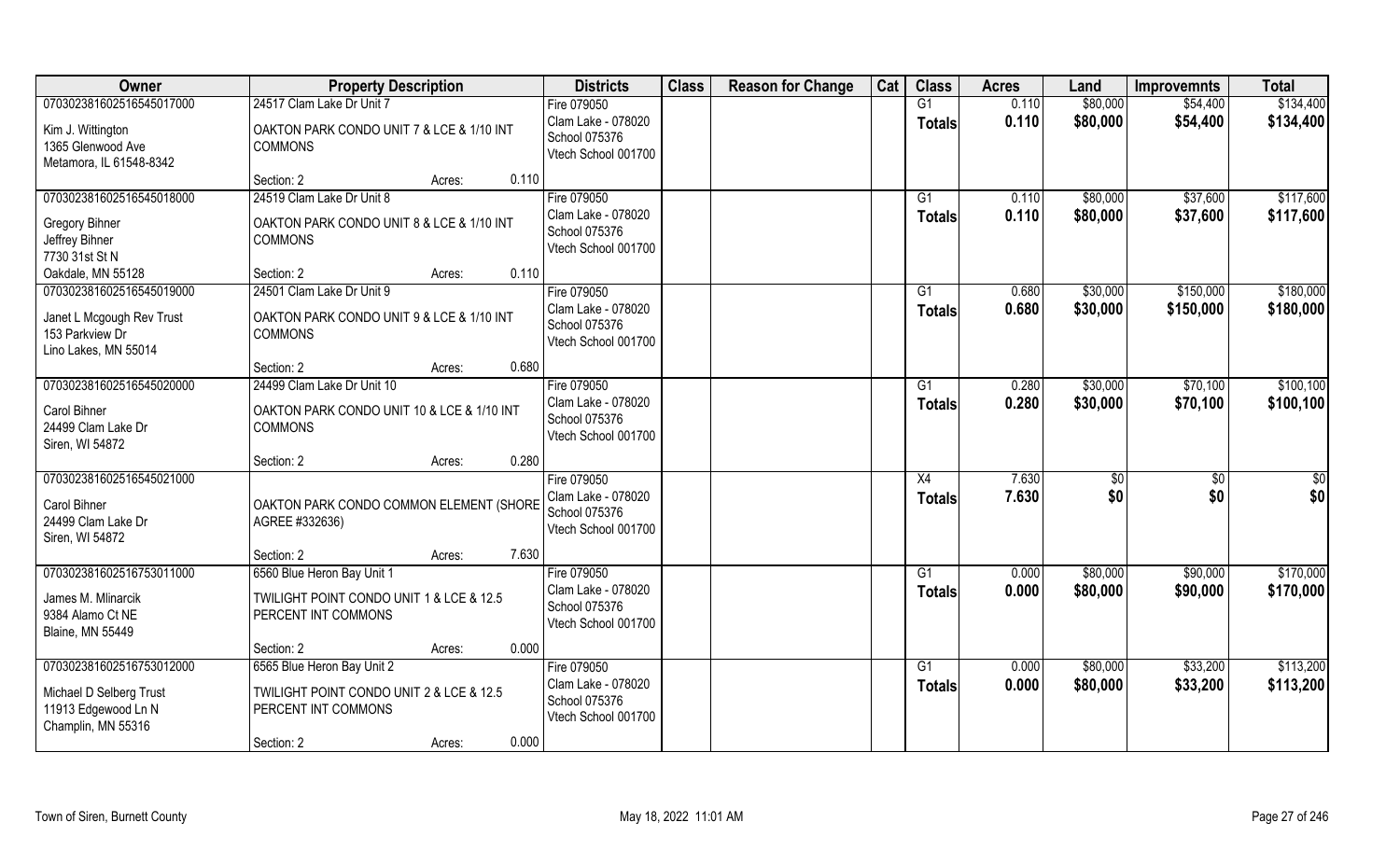| Owner                                                                                            | <b>Property Description</b>                                                                                                    | <b>Districts</b>                                                                 | <b>Class</b> | <b>Reason for Change</b> | Cat | <b>Class</b>        | <b>Acres</b>   | Land                 | <b>Improvemnts</b>     | <b>Total</b>            |
|--------------------------------------------------------------------------------------------------|--------------------------------------------------------------------------------------------------------------------------------|----------------------------------------------------------------------------------|--------------|--------------------------|-----|---------------------|----------------|----------------------|------------------------|-------------------------|
| 070302381602516545017000<br>Kim J. Wittington<br>1365 Glenwood Ave<br>Metamora, IL 61548-8342    | 24517 Clam Lake Dr Unit 7<br>OAKTON PARK CONDO UNIT 7 & LCE & 1/10 INT<br><b>COMMONS</b>                                       | Fire 079050<br>Clam Lake - 078020<br>School 075376<br>Vtech School 001700        |              |                          |     | G1<br><b>Totals</b> | 0.110<br>0.110 | \$80,000<br>\$80,000 | \$54,400<br>\$54,400   | \$134,400<br>\$134,400  |
|                                                                                                  | 0.110<br>Section: 2<br>Acres:                                                                                                  |                                                                                  |              |                          |     |                     |                |                      |                        |                         |
| 070302381602516545018000<br>Gregory Bihner<br>Jeffrey Bihner<br>7730 31st St N                   | 24519 Clam Lake Dr Unit 8<br>OAKTON PARK CONDO UNIT 8 & LCE & 1/10 INT<br><b>COMMONS</b>                                       | Fire 079050<br>Clam Lake - 078020<br>School 075376<br>Vtech School 001700        |              |                          |     | G1<br>Totals        | 0.110<br>0.110 | \$80,000<br>\$80,000 | \$37,600<br>\$37,600   | \$117,600<br>\$117,600  |
| Oakdale, MN 55128                                                                                | 0.110<br>Section: 2<br>Acres:                                                                                                  |                                                                                  |              |                          |     |                     |                |                      |                        |                         |
| 070302381602516545019000<br>Janet L Mcgough Rev Trust<br>153 Parkview Dr<br>Lino Lakes, MN 55014 | 24501 Clam Lake Dr Unit 9<br>OAKTON PARK CONDO UNIT 9 & LCE & 1/10 INT<br><b>COMMONS</b>                                       | Fire 079050<br>Clam Lake - 078020<br>School 075376<br>Vtech School 001700        |              |                          |     | G1<br><b>Totals</b> | 0.680<br>0.680 | \$30,000<br>\$30,000 | \$150,000<br>\$150,000 | \$180,000<br>\$180,000  |
|                                                                                                  | 0.680<br>Section: 2<br>Acres:                                                                                                  |                                                                                  |              |                          |     |                     |                |                      |                        |                         |
| 070302381602516545020000<br>Carol Bihner<br>24499 Clam Lake Dr<br>Siren, WI 54872                | 24499 Clam Lake Dr Unit 10<br>OAKTON PARK CONDO UNIT 10 & LCE & 1/10 INT<br><b>COMMONS</b>                                     | Fire 079050<br>Clam Lake - 078020<br>School 075376<br>Vtech School 001700        |              |                          |     | G1<br><b>Totals</b> | 0.280<br>0.280 | \$30,000<br>\$30,000 | \$70,100<br>\$70,100   | \$100, 100<br>\$100,100 |
|                                                                                                  | 0.280<br>Section: 2<br>Acres:                                                                                                  |                                                                                  |              |                          |     |                     |                |                      |                        |                         |
| 070302381602516545021000<br>Carol Bihner<br>24499 Clam Lake Dr<br>Siren, WI 54872                | OAKTON PARK CONDO COMMON ELEMENT (SHORE<br>AGREE #332636)                                                                      | Fire 079050<br>Clam Lake - 078020<br><b>School 075376</b><br>Vtech School 001700 |              |                          |     | X4<br><b>Totals</b> | 7.630<br>7.630 | \$0<br>\$0           | $\overline{50}$<br>\$0 | \$0<br>\$0              |
|                                                                                                  | Section: 2<br>7.630<br>Acres:                                                                                                  |                                                                                  |              |                          |     |                     |                |                      |                        |                         |
| 070302381602516753011000<br>James M. Mlinarcik<br>9384 Alamo Ct NE<br><b>Blaine, MN 55449</b>    | 6560 Blue Heron Bay Unit 1<br>TWILIGHT POINT CONDO UNIT 1 & LCE & 12.5<br>PERCENT INT COMMONS                                  | Fire 079050<br>Clam Lake - 078020<br>School 075376<br>Vtech School 001700        |              |                          |     | G1<br><b>Totals</b> | 0.000<br>0.000 | \$80,000<br>\$80,000 | \$90,000<br>\$90,000   | \$170,000<br>\$170,000  |
|                                                                                                  | 0.000<br>Section: 2<br>Acres:                                                                                                  |                                                                                  |              |                          |     |                     |                |                      |                        |                         |
| 070302381602516753012000<br>Michael D Selberg Trust<br>11913 Edgewood Ln N<br>Champlin, MN 55316 | 6565 Blue Heron Bay Unit 2<br>TWILIGHT POINT CONDO UNIT 2 & LCE & 12.5<br>PERCENT INT COMMONS<br>0.000<br>Section: 2<br>Acres: | Fire 079050<br>Clam Lake - 078020<br>School 075376<br>Vtech School 001700        |              |                          |     | G1<br><b>Totals</b> | 0.000<br>0.000 | \$80,000<br>\$80,000 | \$33,200<br>\$33,200   | \$113,200<br>\$113,200  |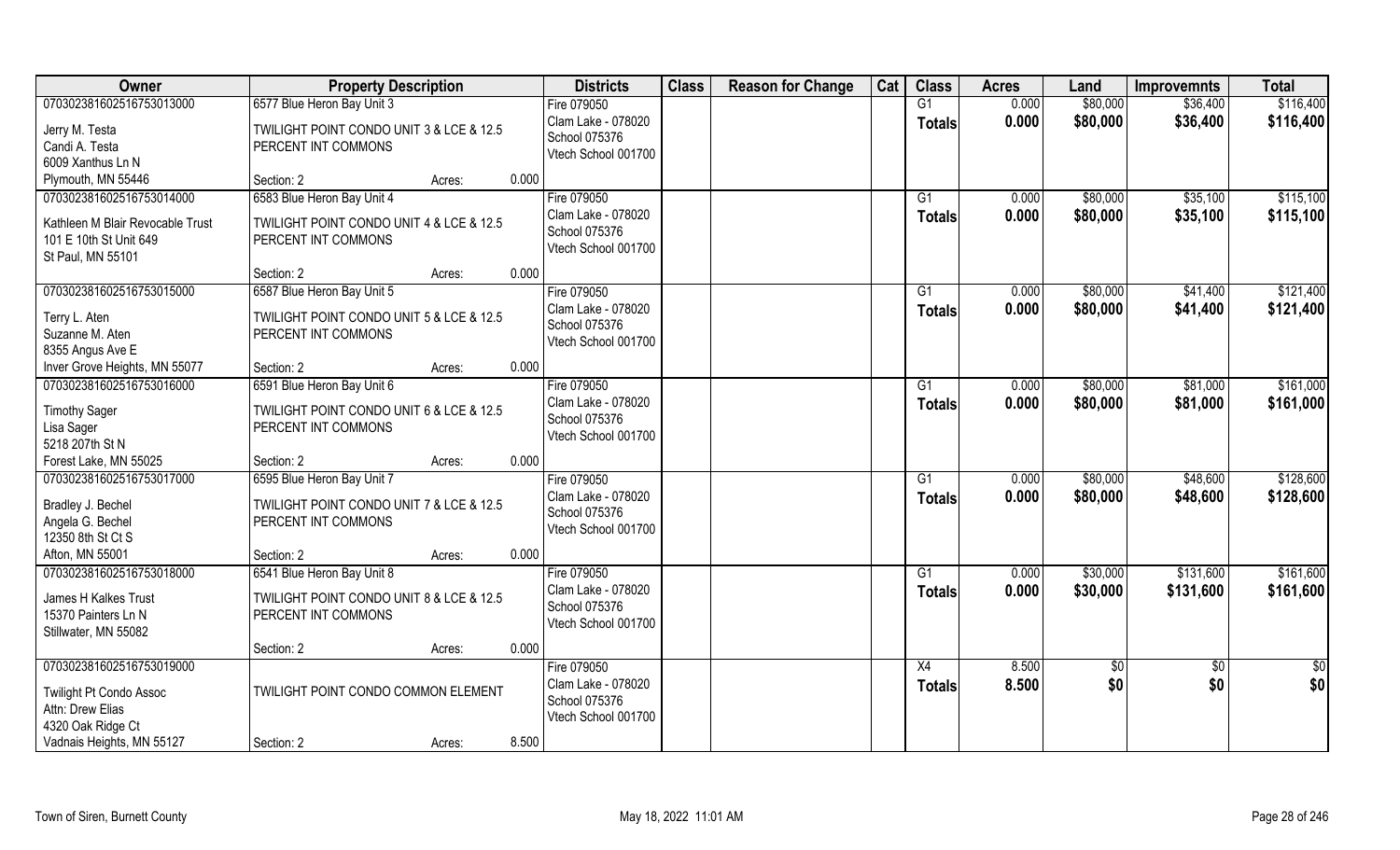| Owner                                                                                                                            | <b>Property Description</b>                                                                   |        | <b>Districts</b>                                                                   | <b>Class</b> | <b>Reason for Change</b> | Cat | <b>Class</b>        | <b>Acres</b>   | Land                 | <b>Improvemnts</b>     | <b>Total</b>           |
|----------------------------------------------------------------------------------------------------------------------------------|-----------------------------------------------------------------------------------------------|--------|------------------------------------------------------------------------------------|--------------|--------------------------|-----|---------------------|----------------|----------------------|------------------------|------------------------|
| 070302381602516753013000                                                                                                         | 6577 Blue Heron Bay Unit 3                                                                    |        | Fire 079050                                                                        |              |                          |     | G1                  | 0.000          | \$80,000             | \$36,400               | \$116,400              |
| Jerry M. Testa<br>Candi A. Testa<br>6009 Xanthus Ln N                                                                            | TWILIGHT POINT CONDO UNIT 3 & LCE & 12.5<br>PERCENT INT COMMONS                               |        | Clam Lake - 078020<br>School 075376<br>Vtech School 001700                         |              |                          |     | <b>Totals</b>       | 0.000          | \$80,000             | \$36,400               | \$116,400              |
| Plymouth, MN 55446                                                                                                               | Section: 2                                                                                    | Acres: | 0.000                                                                              |              |                          |     |                     |                |                      |                        |                        |
| 070302381602516753014000<br>Kathleen M Blair Revocable Trust<br>101 E 10th St Unit 649<br>St Paul, MN 55101                      | 6583 Blue Heron Bay Unit 4<br>TWILIGHT POINT CONDO UNIT 4 & LCE & 12.5<br>PERCENT INT COMMONS |        | Fire 079050<br>Clam Lake - 078020<br>School 075376<br>Vtech School 001700          |              |                          |     | G1<br><b>Totals</b> | 0.000<br>0.000 | \$80,000<br>\$80,000 | \$35,100<br>\$35,100   | \$115,100<br>\$115,100 |
|                                                                                                                                  | Section: 2                                                                                    | Acres: | 0.000                                                                              |              |                          |     |                     |                |                      |                        |                        |
| 070302381602516753015000                                                                                                         | 6587 Blue Heron Bay Unit 5                                                                    |        | Fire 079050                                                                        |              |                          |     | G1                  | 0.000          | \$80,000             | \$41,400               | \$121,400              |
| Terry L. Aten<br>Suzanne M. Aten<br>8355 Angus Ave E                                                                             | TWILIGHT POINT CONDO UNIT 5 & LCE & 12.5<br>PERCENT INT COMMONS                               |        | Clam Lake - 078020<br>School 075376<br>Vtech School 001700                         |              |                          |     | <b>Totals</b>       | 0.000          | \$80,000             | \$41,400               | \$121,400              |
| Inver Grove Heights, MN 55077                                                                                                    | Section: 2                                                                                    | Acres: | 0.000                                                                              |              |                          |     |                     |                |                      |                        |                        |
| 070302381602516753016000                                                                                                         | 6591 Blue Heron Bay Unit 6                                                                    |        | Fire 079050                                                                        |              |                          |     | G1                  | 0.000          | \$80,000             | \$81,000               | \$161,000              |
| <b>Timothy Sager</b><br>Lisa Sager<br>5218 207th St N                                                                            | TWILIGHT POINT CONDO UNIT 6 & LCE & 12.5<br>PERCENT INT COMMONS                               |        | Clam Lake - 078020<br>School 075376<br>Vtech School 001700                         |              |                          |     | <b>Totals</b>       | 0.000          | \$80,000             | \$81,000               | \$161,000              |
| Forest Lake, MN 55025                                                                                                            | Section: 2                                                                                    | Acres: | 0.000                                                                              |              |                          |     |                     |                |                      |                        |                        |
| 070302381602516753017000<br>Bradley J. Bechel<br>Angela G. Bechel<br>12350 8th St Ct S                                           | 6595 Blue Heron Bay Unit 7<br>TWILIGHT POINT CONDO UNIT 7 & LCE & 12.5<br>PERCENT INT COMMONS |        | Fire 079050<br>Clam Lake - 078020<br>School 075376<br>Vtech School 001700          |              |                          |     | G1<br><b>Totals</b> | 0.000<br>0.000 | \$80,000<br>\$80,000 | \$48,600<br>\$48,600   | \$128,600<br>\$128,600 |
| Afton, MN 55001                                                                                                                  | Section: 2                                                                                    | Acres: | 0.000                                                                              |              |                          |     |                     |                |                      |                        |                        |
| 070302381602516753018000                                                                                                         | 6541 Blue Heron Bay Unit 8                                                                    |        | Fire 079050                                                                        |              |                          |     | G1                  | 0.000          | \$30,000             | \$131,600              | \$161,600              |
| James H Kalkes Trust<br>15370 Painters Ln N<br>Stillwater, MN 55082                                                              | TWILIGHT POINT CONDO UNIT 8 & LCE & 12.5<br>PERCENT INT COMMONS                               |        | Clam Lake - 078020<br>School 075376<br>Vtech School 001700                         |              |                          |     | <b>Totals</b>       | 0.000          | \$30,000             | \$131,600              | \$161,600              |
|                                                                                                                                  | Section: 2                                                                                    | Acres: | 0.000                                                                              |              |                          |     |                     |                |                      |                        |                        |
| 070302381602516753019000<br><b>Twilight Pt Condo Assoc</b><br>Attn: Drew Elias<br>4320 Oak Ridge Ct<br>Vadnais Heights, MN 55127 | TWILIGHT POINT CONDO COMMON ELEMENT<br>Section: 2                                             |        | Fire 079050<br>Clam Lake - 078020<br>School 075376<br>Vtech School 001700<br>8.500 |              |                          |     | X4<br><b>Totals</b> | 8.500<br>8.500 | $\sqrt{6}$<br>\$0    | $\overline{50}$<br>\$0 | $\frac{1}{2}$<br>\$0   |
|                                                                                                                                  |                                                                                               | Acres: |                                                                                    |              |                          |     |                     |                |                      |                        |                        |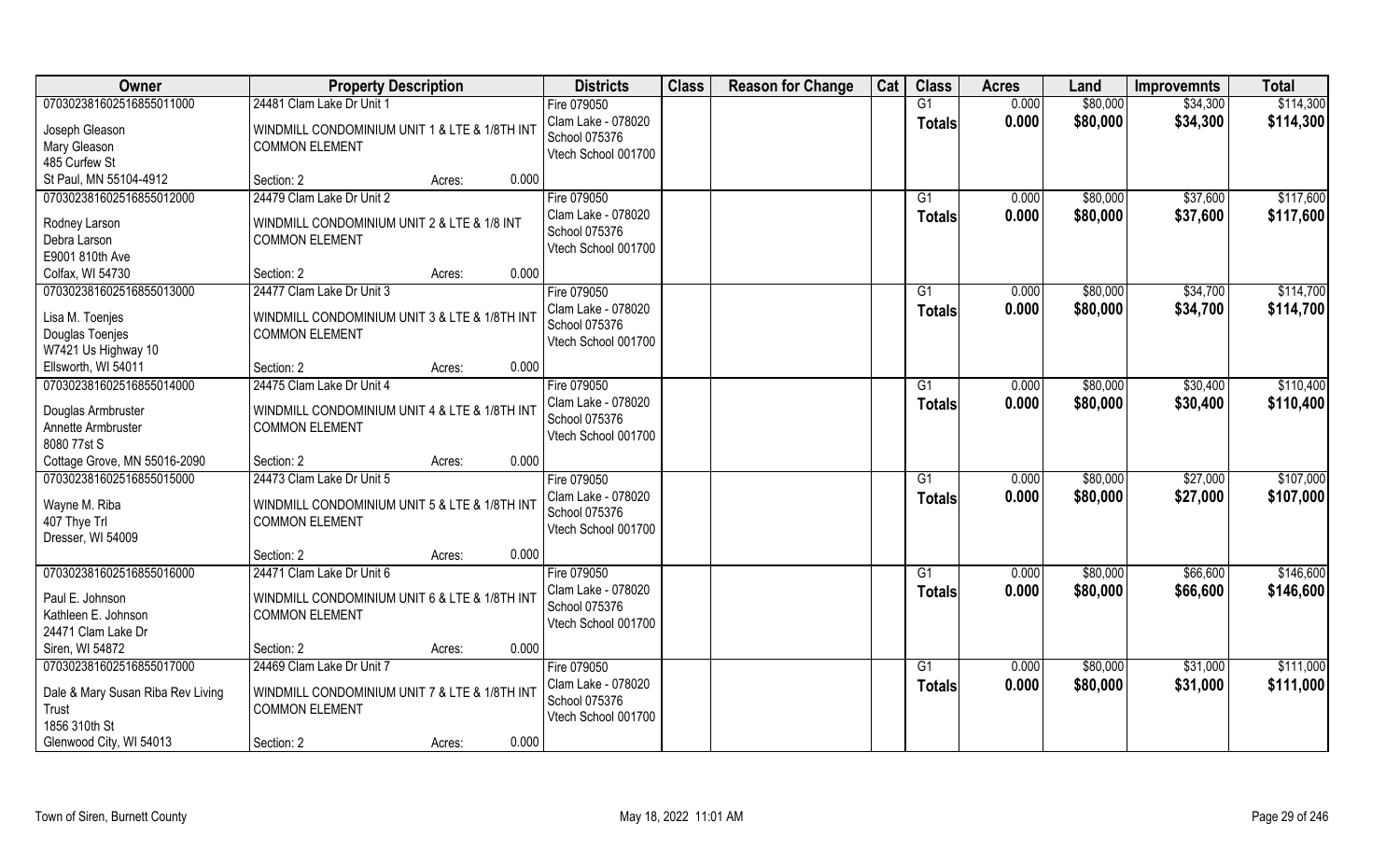| Owner                                                                                   | <b>Property Description</b>                                                                         |                 | <b>Districts</b>                                                                 | <b>Class</b> | <b>Reason for Change</b> | Cat | <b>Class</b>        | <b>Acres</b>   | Land                 | <b>Improvemnts</b>   | <b>Total</b>           |
|-----------------------------------------------------------------------------------------|-----------------------------------------------------------------------------------------------------|-----------------|----------------------------------------------------------------------------------|--------------|--------------------------|-----|---------------------|----------------|----------------------|----------------------|------------------------|
| 070302381602516855011000                                                                | 24481 Clam Lake Dr Unit 1                                                                           |                 | Fire 079050                                                                      |              |                          |     | G1                  | 0.000          | \$80,000             | \$34,300             | \$114,300              |
| Joseph Gleason<br>Mary Gleason<br>485 Curfew St                                         | WINDMILL CONDOMINIUM UNIT 1 & LTE & 1/8TH INT<br><b>COMMON ELEMENT</b>                              |                 | Clam Lake - 078020<br><b>School 075376</b><br>Vtech School 001700                |              |                          |     | <b>Totals</b>       | 0.000          | \$80,000             | \$34,300             | \$114,300              |
| St Paul, MN 55104-4912                                                                  | Section: 2                                                                                          | 0.000<br>Acres: |                                                                                  |              |                          |     |                     |                |                      |                      |                        |
| 070302381602516855012000<br>Rodney Larson<br>Debra Larson<br>E9001 810th Ave            | 24479 Clam Lake Dr Unit 2<br>WINDMILL CONDOMINIUM UNIT 2 & LTE & 1/8 INT<br><b>COMMON ELEMENT</b>   |                 | Fire 079050<br>Clam Lake - 078020<br>School 075376<br>Vtech School 001700        |              |                          |     | G1<br>Totals        | 0.000<br>0.000 | \$80,000<br>\$80,000 | \$37,600<br>\$37,600 | \$117,600<br>\$117,600 |
| Colfax, WI 54730                                                                        | Section: 2                                                                                          | 0.000<br>Acres: |                                                                                  |              |                          |     |                     |                |                      |                      |                        |
| 070302381602516855013000                                                                | 24477 Clam Lake Dr Unit 3                                                                           |                 | Fire 079050                                                                      |              |                          |     | G1                  | 0.000          | \$80,000             | \$34,700             | \$114,700              |
| Lisa M. Toenjes<br>Douglas Toenjes<br>W7421 Us Highway 10                               | WINDMILL CONDOMINIUM UNIT 3 & LTE & 1/8TH INT<br><b>COMMON ELEMENT</b>                              |                 | Clam Lake - 078020<br>School 075376<br>Vtech School 001700                       |              |                          |     | <b>Totals</b>       | 0.000          | \$80,000             | \$34,700             | \$114,700              |
| Ellsworth, WI 54011                                                                     | Section: 2                                                                                          | 0.000<br>Acres: |                                                                                  |              |                          |     |                     |                |                      |                      |                        |
| 070302381602516855014000                                                                | 24475 Clam Lake Dr Unit 4                                                                           |                 | Fire 079050                                                                      |              |                          |     | G1                  | 0.000          | \$80,000             | \$30,400             | \$110,400              |
| Douglas Armbruster<br>Annette Armbruster<br>8080 77st S                                 | WINDMILL CONDOMINIUM UNIT 4 & LTE & 1/8TH INT<br><b>COMMON ELEMENT</b>                              |                 | Clam Lake - 078020<br>School 075376<br>Vtech School 001700                       |              |                          |     | <b>Totals</b>       | 0.000          | \$80,000             | \$30,400             | \$110,400              |
| Cottage Grove, MN 55016-2090                                                            | Section: 2                                                                                          | 0.000<br>Acres: |                                                                                  |              |                          |     |                     |                |                      |                      |                        |
| 070302381602516855015000<br>Wayne M. Riba<br>407 Thye Trl<br>Dresser, WI 54009          | 24473 Clam Lake Dr Unit 5<br>WINDMILL CONDOMINIUM UNIT 5 & LTE & 1/8TH INT<br><b>COMMON ELEMENT</b> |                 | Fire 079050<br>Clam Lake - 078020<br>School 075376<br>Vtech School 001700        |              |                          |     | G1<br><b>Totals</b> | 0.000<br>0.000 | \$80,000<br>\$80,000 | \$27,000<br>\$27,000 | \$107,000<br>\$107,000 |
|                                                                                         | Section: 2                                                                                          | 0.000<br>Acres: |                                                                                  |              |                          |     |                     |                |                      |                      |                        |
| 070302381602516855016000                                                                | 24471 Clam Lake Dr Unit 6                                                                           |                 | Fire 079050                                                                      |              |                          |     | G1                  | 0.000          | \$80,000             | \$66,600             | \$146,600              |
| Paul E. Johnson<br>Kathleen E. Johnson<br>24471 Clam Lake Dr                            | WINDMILL CONDOMINIUM UNIT 6 & LTE & 1/8TH INT<br><b>COMMON ELEMENT</b>                              |                 | Clam Lake - 078020<br>School 075376<br>Vtech School 001700                       |              |                          |     | <b>Totals</b>       | 0.000          | \$80,000             | \$66,600             | \$146,600              |
| Siren, WI 54872                                                                         | Section: 2                                                                                          | 0.000<br>Acres: |                                                                                  |              |                          |     |                     |                |                      |                      |                        |
| 070302381602516855017000<br>Dale & Mary Susan Riba Rev Living<br>Trust<br>1856 310th St | 24469 Clam Lake Dr Unit 7<br>WINDMILL CONDOMINIUM UNIT 7 & LTE & 1/8TH INT<br><b>COMMON ELEMENT</b> |                 | Fire 079050<br>Clam Lake - 078020<br><b>School 075376</b><br>Vtech School 001700 |              |                          |     | G1<br><b>Totals</b> | 0.000<br>0.000 | \$80,000<br>\$80,000 | \$31,000<br>\$31,000 | \$111,000<br>\$111,000 |
| Glenwood City, WI 54013                                                                 | Section: 2                                                                                          | 0.000<br>Acres: |                                                                                  |              |                          |     |                     |                |                      |                      |                        |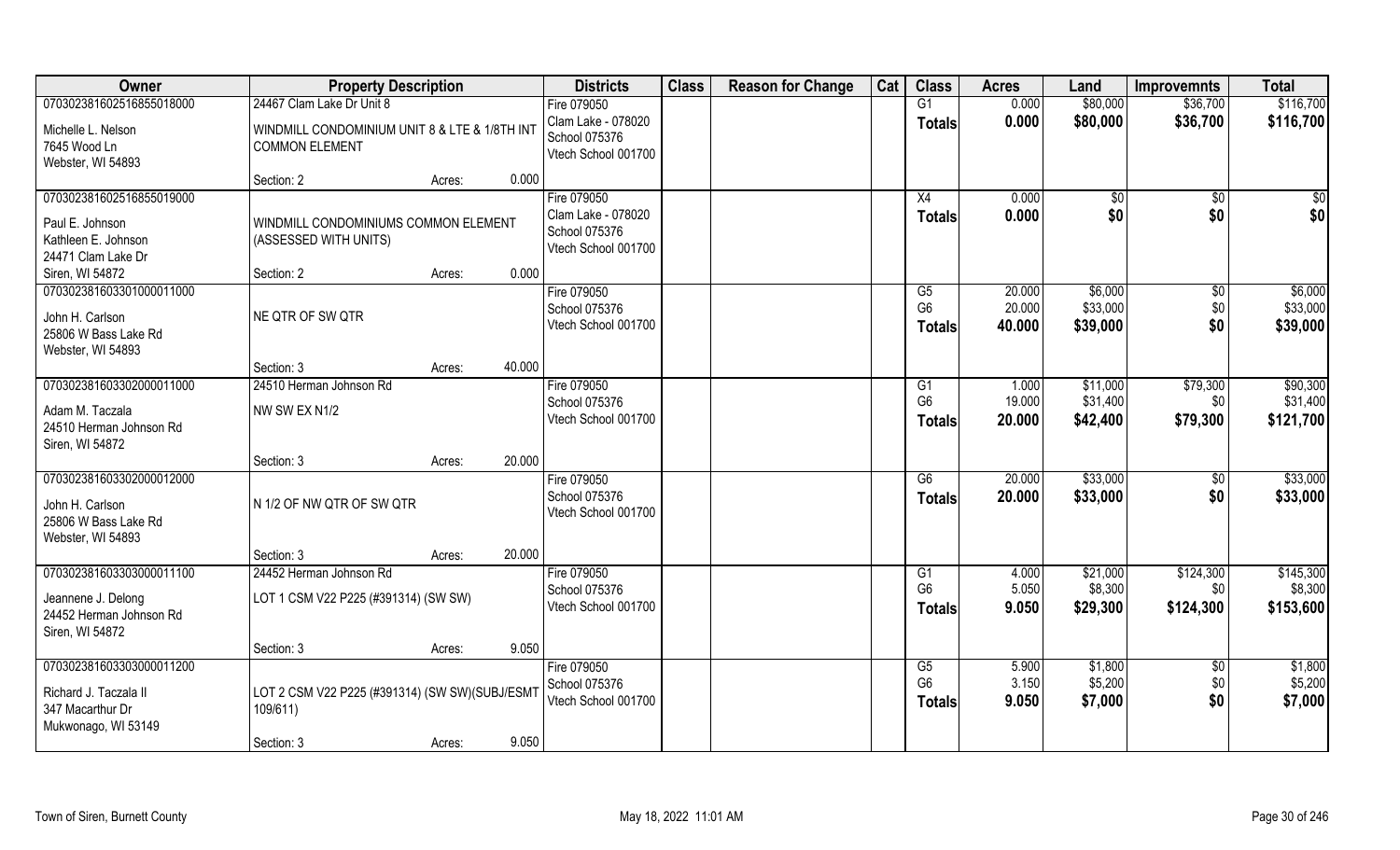| Owner                                                         | <b>Property Description</b>                                            | <b>Districts</b> | <b>Class</b>                         | <b>Reason for Change</b> | Cat | <b>Class</b> | <b>Acres</b>         | Land           | <b>Improvemnts</b>   | <b>Total</b>         |                        |
|---------------------------------------------------------------|------------------------------------------------------------------------|------------------|--------------------------------------|--------------------------|-----|--------------|----------------------|----------------|----------------------|----------------------|------------------------|
| 070302381602516855018000                                      | 24467 Clam Lake Dr Unit 8                                              |                  | Fire 079050<br>Clam Lake - 078020    |                          |     |              | G1<br><b>Totals</b>  | 0.000<br>0.000 | \$80,000<br>\$80,000 | \$36,700<br>\$36,700 | \$116,700<br>\$116,700 |
| Michelle L. Nelson<br>7645 Wood Ln                            | WINDMILL CONDOMINIUM UNIT 8 & LTE & 1/8TH INT<br><b>COMMON ELEMENT</b> |                  | School 075376                        |                          |     |              |                      |                |                      |                      |                        |
| Webster, WI 54893                                             |                                                                        |                  | Vtech School 001700                  |                          |     |              |                      |                |                      |                      |                        |
|                                                               | Section: 2                                                             | 0.000<br>Acres:  |                                      |                          |     |              |                      |                |                      |                      |                        |
| 070302381602516855019000                                      |                                                                        |                  | Fire 079050                          |                          |     |              | X4                   | 0.000          | $\sqrt{50}$          | \$0                  | $\sqrt{50}$            |
| Paul E. Johnson                                               | WINDMILL CONDOMINIUMS COMMON ELEMENT                                   |                  | Clam Lake - 078020<br>School 075376  |                          |     |              | Totals               | 0.000          | \$0                  | \$0                  | \$0                    |
| Kathleen E. Johnson<br>24471 Clam Lake Dr                     | (ASSESSED WITH UNITS)                                                  |                  | Vtech School 001700                  |                          |     |              |                      |                |                      |                      |                        |
| Siren, WI 54872                                               | Section: 2                                                             | 0.000<br>Acres:  |                                      |                          |     |              |                      |                |                      |                      |                        |
| 070302381603301000011000                                      |                                                                        |                  | Fire 079050                          |                          |     |              | G5                   | 20.000         | \$6,000              | \$0                  | \$6,000                |
| John H. Carlson                                               | NE QTR OF SW QTR                                                       |                  | School 075376                        |                          |     |              | G <sub>6</sub>       | 20.000         | \$33,000             | \$0                  | \$33,000               |
| 25806 W Bass Lake Rd                                          |                                                                        |                  | Vtech School 001700                  |                          |     |              | Totals               | 40.000         | \$39,000             | \$0                  | \$39,000               |
| Webster, WI 54893                                             |                                                                        |                  |                                      |                          |     |              |                      |                |                      |                      |                        |
| 070302381603302000011000                                      | Section: 3<br>24510 Herman Johnson Rd                                  | 40.000<br>Acres: | Fire 079050                          |                          |     |              | G1                   | 1.000          | \$11,000             | \$79,300             | \$90,300               |
|                                                               |                                                                        |                  | School 075376                        |                          |     |              | G <sub>6</sub>       | 19.000         | \$31,400             | \$0                  | \$31,400               |
| Adam M. Taczala<br>24510 Herman Johnson Rd<br>Siren, WI 54872 | NW SW EX N1/2                                                          |                  | Vtech School 001700                  |                          |     |              | Totals               | 20.000         | \$42,400             | \$79,300             | \$121,700              |
|                                                               | Section: 3                                                             | 20.000<br>Acres: |                                      |                          |     |              |                      |                |                      |                      |                        |
| 070302381603302000012000                                      |                                                                        |                  | Fire 079050                          |                          |     |              | $\overline{G6}$      | 20.000         | \$33,000             | \$0                  | \$33,000               |
| John H. Carlson                                               | N 1/2 OF NW QTR OF SW QTR                                              |                  | School 075376<br>Vtech School 001700 |                          |     |              | <b>Totals</b>        | 20.000         | \$33,000             | \$0                  | \$33,000               |
| 25806 W Bass Lake Rd                                          |                                                                        |                  |                                      |                          |     |              |                      |                |                      |                      |                        |
| Webster, WI 54893                                             | Section: 3                                                             | 20.000<br>Acres: |                                      |                          |     |              |                      |                |                      |                      |                        |
| 070302381603303000011100                                      | 24452 Herman Johnson Rd                                                |                  | Fire 079050                          |                          |     |              | G1                   | 4.000          | \$21,000             | \$124,300            | \$145,300              |
| Jeannene J. Delong                                            | LOT 1 CSM V22 P225 (#391314) (SW SW)                                   |                  | School 075376                        |                          |     |              | G <sub>6</sub>       | 5.050          | \$8,300              | \$0                  | \$8,300                |
| 24452 Herman Johnson Rd                                       |                                                                        |                  | Vtech School 001700                  |                          |     |              | <b>Totals</b>        | 9.050          | \$29,300             | \$124,300            | \$153,600              |
| Siren, WI 54872                                               |                                                                        |                  |                                      |                          |     |              |                      |                |                      |                      |                        |
|                                                               | Section: 3                                                             | 9.050<br>Acres:  |                                      |                          |     |              |                      |                |                      |                      |                        |
| 070302381603303000011200                                      |                                                                        |                  | Fire 079050<br>School 075376         |                          |     |              | G5<br>G <sub>6</sub> | 5.900<br>3.150 | \$1,800<br>\$5,200   | $\sqrt[6]{}$<br>\$0  | \$1,800<br>\$5,200     |
| Richard J. Taczala II                                         | LOT 2 CSM V22 P225 (#391314) (SW SW)(SUBJ/ESMT                         |                  | Vtech School 001700                  |                          |     |              | <b>Totals</b>        | 9.050          | \$7,000              | \$0                  | \$7,000                |
| 347 Macarthur Dr<br>Mukwonago, WI 53149                       | 109/611)                                                               |                  |                                      |                          |     |              |                      |                |                      |                      |                        |
|                                                               | Section: 3                                                             | 9.050<br>Acres:  |                                      |                          |     |              |                      |                |                      |                      |                        |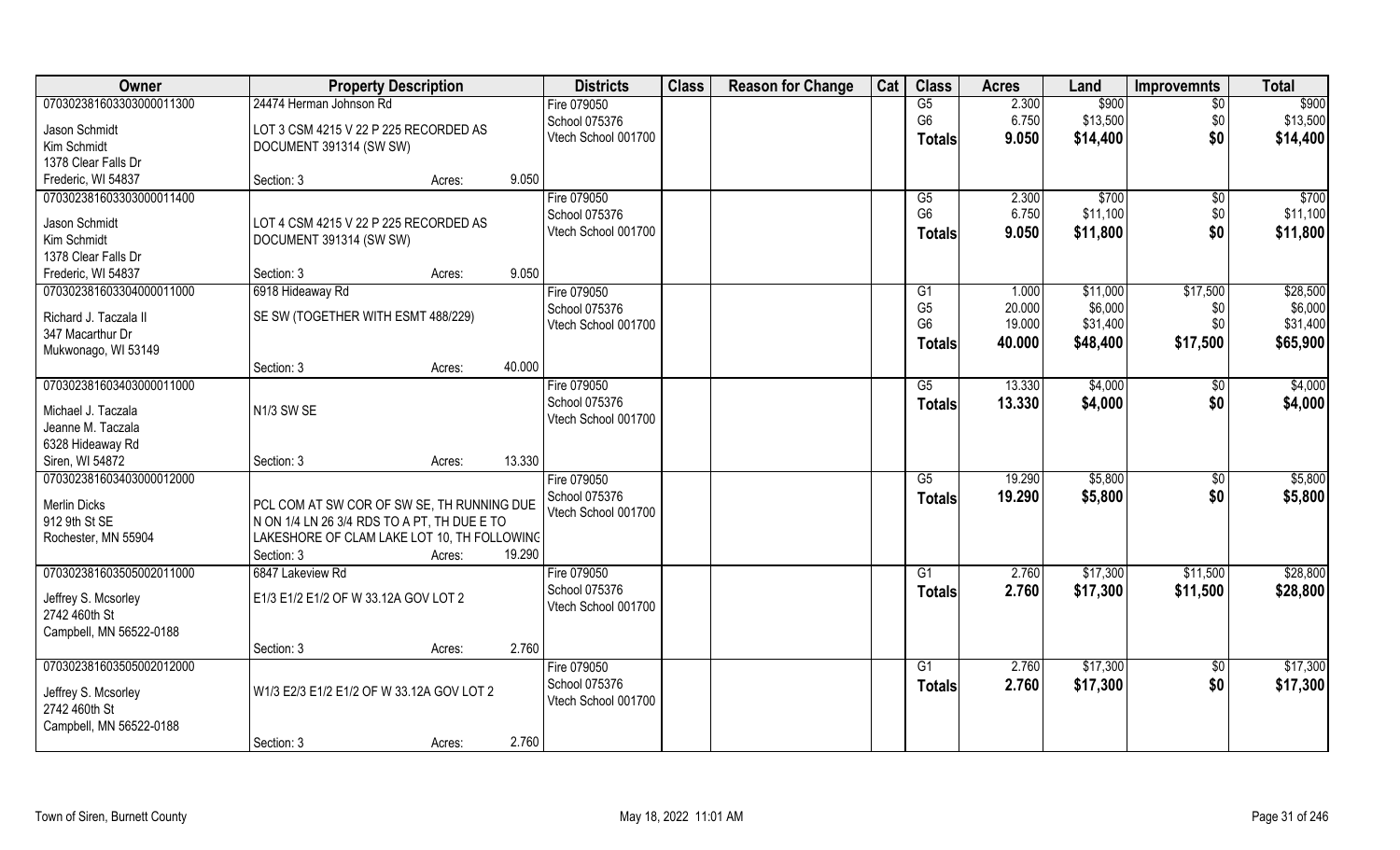| Owner                                | <b>Property Description</b>                 |        |        | <b>Districts</b>    | <b>Class</b> | <b>Reason for Change</b> | Cat | <b>Class</b>           | <b>Acres</b> | Land     | <b>Improvemnts</b> | <b>Total</b> |
|--------------------------------------|---------------------------------------------|--------|--------|---------------------|--------------|--------------------------|-----|------------------------|--------------|----------|--------------------|--------------|
| 070302381603303000011300             | 24474 Herman Johnson Rd                     |        |        | Fire 079050         |              |                          |     | G5                     | 2.300        | \$900    | $\sqrt{6}$         | \$900        |
| Jason Schmidt                        | LOT 3 CSM 4215 V 22 P 225 RECORDED AS       |        |        | School 075376       |              |                          |     | G <sub>6</sub>         | 6.750        | \$13,500 | \$0                | \$13,500     |
| Kim Schmidt                          | DOCUMENT 391314 (SW SW)                     |        |        | Vtech School 001700 |              |                          |     | Totals                 | 9.050        | \$14,400 | \$0                | \$14,400     |
| 1378 Clear Falls Dr                  |                                             |        |        |                     |              |                          |     |                        |              |          |                    |              |
| Frederic, WI 54837                   | Section: 3                                  | Acres: | 9.050  |                     |              |                          |     |                        |              |          |                    |              |
| 070302381603303000011400             |                                             |        |        | Fire 079050         |              |                          |     | G5                     | 2.300        | \$700    | $\sqrt{$0}$        | \$700        |
|                                      |                                             |        |        | School 075376       |              |                          |     | G <sub>6</sub>         | 6.750        | \$11,100 | \$0                | \$11,100     |
| Jason Schmidt                        | LOT 4 CSM 4215 V 22 P 225 RECORDED AS       |        |        | Vtech School 001700 |              |                          |     | Totals                 | 9.050        | \$11,800 | \$0                | \$11,800     |
| Kim Schmidt                          | DOCUMENT 391314 (SW SW)                     |        |        |                     |              |                          |     |                        |              |          |                    |              |
| 1378 Clear Falls Dr                  |                                             |        |        |                     |              |                          |     |                        |              |          |                    |              |
| Frederic, WI 54837                   | Section: 3                                  | Acres: | 9.050  |                     |              |                          |     |                        |              |          |                    |              |
| 070302381603304000011000             | 6918 Hideaway Rd                            |        |        | Fire 079050         |              |                          |     | G1                     | 1.000        | \$11,000 | \$17,500           | \$28,500     |
| Richard J. Taczala II                | SE SW (TOGETHER WITH ESMT 488/229)          |        |        | School 075376       |              |                          |     | G <sub>5</sub>         | 20.000       | \$6,000  | \$0                | \$6,000      |
| 347 Macarthur Dr                     |                                             |        |        | Vtech School 001700 |              |                          |     | G <sub>6</sub>         | 19.000       | \$31,400 | \$0                | \$31,400     |
| Mukwonago, WI 53149                  |                                             |        |        |                     |              |                          |     | <b>Totals</b>          | 40.000       | \$48,400 | \$17,500           | \$65,900     |
|                                      | Section: 3                                  | Acres: | 40.000 |                     |              |                          |     |                        |              |          |                    |              |
| 070302381603403000011000             |                                             |        |        | Fire 079050         |              |                          |     | G5                     | 13.330       | \$4,000  | $\sqrt[6]{3}$      | \$4,000      |
|                                      |                                             |        |        | School 075376       |              |                          |     | <b>Totals</b>          | 13.330       | \$4,000  | \$0                | \$4,000      |
| Michael J. Taczala                   | N1/3 SW SE                                  |        |        | Vtech School 001700 |              |                          |     |                        |              |          |                    |              |
| Jeanne M. Taczala                    |                                             |        |        |                     |              |                          |     |                        |              |          |                    |              |
| 6328 Hideaway Rd                     |                                             |        | 13.330 |                     |              |                          |     |                        |              |          |                    |              |
| Siren, WI 54872                      | Section: 3                                  | Acres: |        |                     |              |                          |     |                        |              |          |                    |              |
| 070302381603403000012000             |                                             |        |        | Fire 079050         |              |                          |     | $\overline{\text{G5}}$ | 19.290       | \$5,800  | $\overline{30}$    | \$5,800      |
| Merlin Dicks                         | PCL COM AT SW COR OF SW SE, TH RUNNING DUE  |        |        | School 075376       |              |                          |     | <b>Totals</b>          | 19.290       | \$5,800  | \$0                | \$5,800      |
| 912 9th St SE                        | N ON 1/4 LN 26 3/4 RDS TO A PT, TH DUE E TO |        |        | Vtech School 001700 |              |                          |     |                        |              |          |                    |              |
| Rochester, MN 55904                  | LAKESHORE OF CLAM LAKE LOT 10, TH FOLLOWING |        |        |                     |              |                          |     |                        |              |          |                    |              |
|                                      | Section: 3                                  | Acres: | 19.290 |                     |              |                          |     |                        |              |          |                    |              |
| 070302381603505002011000             | 6847 Lakeview Rd                            |        |        | Fire 079050         |              |                          |     | G1                     | 2.760        | \$17,300 | \$11,500           | \$28,800     |
|                                      | E1/3 E1/2 E1/2 OF W 33.12A GOV LOT 2        |        |        | School 075376       |              |                          |     | <b>Totals</b>          | 2.760        | \$17,300 | \$11,500           | \$28,800     |
| Jeffrey S. Mcsorley<br>2742 460th St |                                             |        |        | Vtech School 001700 |              |                          |     |                        |              |          |                    |              |
| Campbell, MN 56522-0188              |                                             |        |        |                     |              |                          |     |                        |              |          |                    |              |
|                                      | Section: 3                                  | Acres: | 2.760  |                     |              |                          |     |                        |              |          |                    |              |
| 070302381603505002012000             |                                             |        |        | Fire 079050         |              |                          |     | $\overline{G1}$        | 2.760        | \$17,300 | $\sqrt{$0}$        | \$17,300     |
|                                      |                                             |        |        | School 075376       |              |                          |     |                        | 2.760        |          | \$0                |              |
| Jeffrey S. Mcsorley                  | W1/3 E2/3 E1/2 E1/2 OF W 33.12A GOV LOT 2   |        |        | Vtech School 001700 |              |                          |     | <b>Totals</b>          |              | \$17,300 |                    | \$17,300     |
| 2742 460th St                        |                                             |        |        |                     |              |                          |     |                        |              |          |                    |              |
| Campbell, MN 56522-0188              |                                             |        |        |                     |              |                          |     |                        |              |          |                    |              |
|                                      | Section: 3                                  | Acres: | 2.760  |                     |              |                          |     |                        |              |          |                    |              |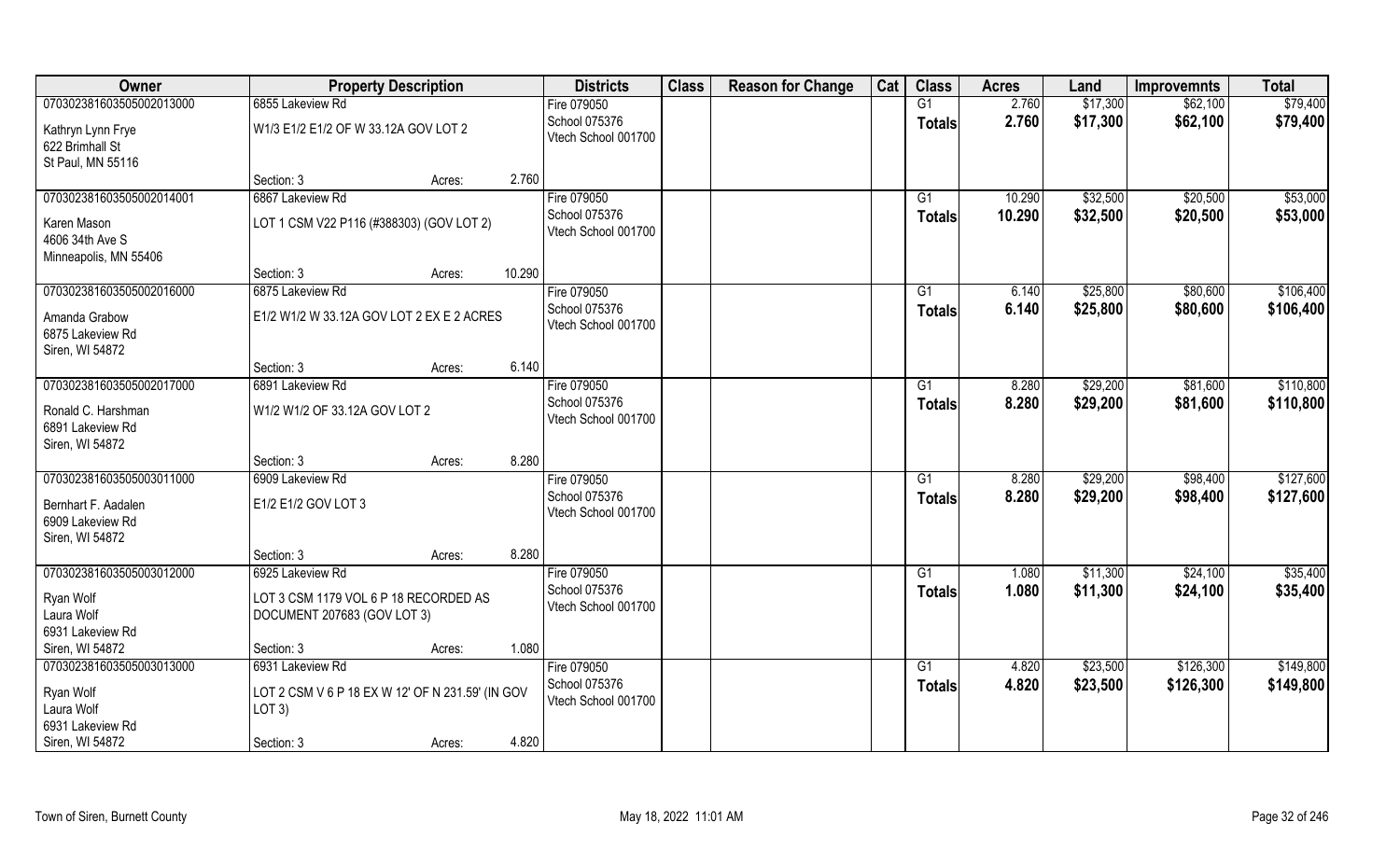| Owner                                                                                      | <b>Property Description</b>                                                                  |        |        | <b>Districts</b>                                    | <b>Class</b> | <b>Reason for Change</b> | Cat | <b>Class</b>                     | <b>Acres</b>     | Land                 | <b>Improvemnts</b>     | <b>Total</b>           |
|--------------------------------------------------------------------------------------------|----------------------------------------------------------------------------------------------|--------|--------|-----------------------------------------------------|--------------|--------------------------|-----|----------------------------------|------------------|----------------------|------------------------|------------------------|
| 070302381603505002013000                                                                   | 6855 Lakeview Rd                                                                             |        |        | Fire 079050                                         |              |                          |     | G1                               | 2.760            | \$17,300             | \$62,100               | \$79,400               |
| Kathryn Lynn Frye<br>622 Brimhall St<br>St Paul, MN 55116                                  | W1/3 E1/2 E1/2 OF W 33.12A GOV LOT 2                                                         |        |        | School 075376<br>Vtech School 001700                |              |                          |     | <b>Totals</b>                    | 2.760            | \$17,300             | \$62,100               | \$79,400               |
|                                                                                            | Section: 3                                                                                   | Acres: | 2.760  |                                                     |              |                          |     |                                  |                  |                      |                        |                        |
| 070302381603505002014001<br>Karen Mason<br>4606 34th Ave S<br>Minneapolis, MN 55406        | 6867 Lakeview Rd<br>LOT 1 CSM V22 P116 (#388303) (GOV LOT 2)                                 |        |        | Fire 079050<br>School 075376<br>Vtech School 001700 |              |                          |     | G1<br><b>Totals</b>              | 10.290<br>10.290 | \$32,500<br>\$32,500 | \$20,500<br>\$20,500   | \$53,000<br>\$53,000   |
|                                                                                            | Section: 3                                                                                   | Acres: | 10.290 |                                                     |              |                          |     |                                  |                  |                      |                        |                        |
| 070302381603505002016000<br>Amanda Grabow<br>6875 Lakeview Rd<br>Siren, WI 54872           | 6875 Lakeview Rd<br>E1/2 W1/2 W 33.12A GOV LOT 2 EX E 2 ACRES                                |        |        | Fire 079050<br>School 075376<br>Vtech School 001700 |              |                          |     | G1<br><b>Totals</b>              | 6.140<br>6.140   | \$25,800<br>\$25,800 | \$80,600<br>\$80,600   | \$106,400<br>\$106,400 |
|                                                                                            | Section: 3                                                                                   | Acres: | 6.140  |                                                     |              |                          |     |                                  |                  |                      |                        |                        |
| 070302381603505002017000<br>Ronald C. Harshman<br>6891 Lakeview Rd<br>Siren, WI 54872      | 6891 Lakeview Rd<br>W1/2 W1/2 OF 33.12A GOV LOT 2                                            |        |        | Fire 079050<br>School 075376<br>Vtech School 001700 |              |                          |     | G1<br><b>Totals</b>              | 8.280<br>8.280   | \$29,200<br>\$29,200 | \$81,600<br>\$81,600   | \$110,800<br>\$110,800 |
|                                                                                            | Section: 3                                                                                   | Acres: | 8.280  |                                                     |              |                          |     |                                  |                  |                      |                        |                        |
| 070302381603505003011000<br>Bernhart F. Aadalen<br>6909 Lakeview Rd<br>Siren, WI 54872     | 6909 Lakeview Rd<br>E1/2 E1/2 GOV LOT 3                                                      |        |        | Fire 079050<br>School 075376<br>Vtech School 001700 |              |                          |     | G1<br><b>Totals</b>              | 8.280<br>8.280   | \$29,200<br>\$29,200 | \$98,400<br>\$98,400   | \$127,600<br>\$127,600 |
|                                                                                            | Section: 3                                                                                   | Acres: | 8.280  |                                                     |              |                          |     |                                  |                  |                      |                        |                        |
| 070302381603505003012000<br>Ryan Wolf<br>Laura Wolf<br>6931 Lakeview Rd                    | 6925 Lakeview Rd<br>LOT 3 CSM 1179 VOL 6 P 18 RECORDED AS<br>DOCUMENT 207683 (GOV LOT 3)     |        |        | Fire 079050<br>School 075376<br>Vtech School 001700 |              |                          |     | $\overline{G1}$<br><b>Totals</b> | 1.080<br>1.080   | \$11,300<br>\$11,300 | \$24,100<br>\$24,100   | \$35,400<br>\$35,400   |
| Siren, WI 54872                                                                            | Section: 3                                                                                   | Acres: | 1.080  |                                                     |              |                          |     |                                  |                  |                      |                        |                        |
| 070302381603505003013000<br>Ryan Wolf<br>Laura Wolf<br>6931 Lakeview Rd<br>Siren, WI 54872 | 6931 Lakeview Rd<br>LOT 2 CSM V 6 P 18 EX W 12' OF N 231.59' (IN GOV<br>LOT 3)<br>Section: 3 | Acres: | 4.820  | Fire 079050<br>School 075376<br>Vtech School 001700 |              |                          |     | G1<br><b>Totals</b>              | 4.820<br>4.820   | \$23,500<br>\$23,500 | \$126,300<br>\$126,300 | \$149,800<br>\$149,800 |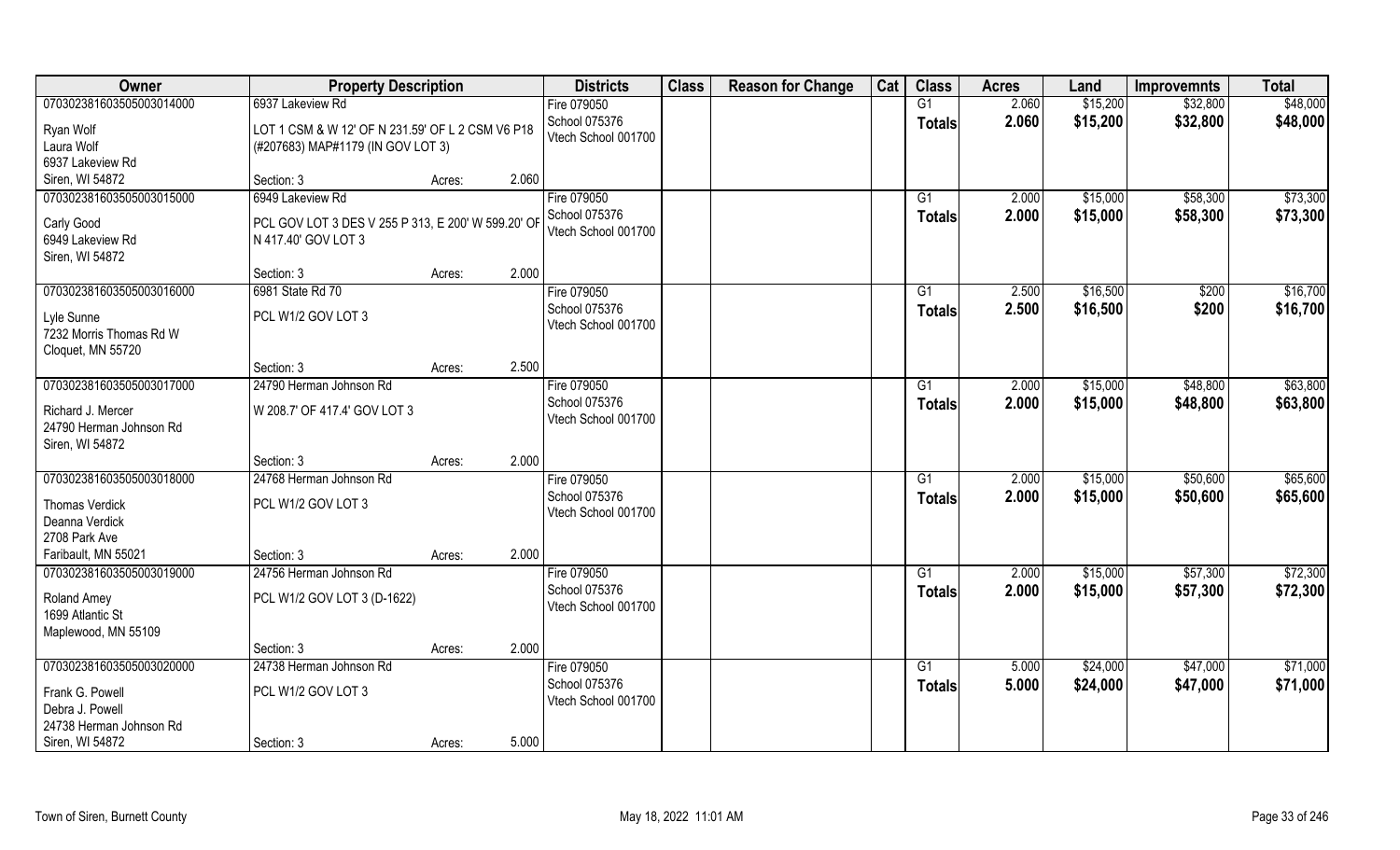| Owner                                        | <b>Property Description</b>                                               |        |       | <b>Districts</b>             | <b>Class</b> | <b>Reason for Change</b> | Cat | <b>Class</b>  | <b>Acres</b> | Land     | <b>Improvemnts</b> | <b>Total</b> |
|----------------------------------------------|---------------------------------------------------------------------------|--------|-------|------------------------------|--------------|--------------------------|-----|---------------|--------------|----------|--------------------|--------------|
| 070302381603505003014000                     | 6937 Lakeview Rd                                                          |        |       | Fire 079050                  |              |                          |     | G1            | 2.060        | \$15,200 | \$32,800           | \$48,000     |
| Ryan Wolf                                    | LOT 1 CSM & W 12' OF N 231.59' OF L 2 CSM V6 P18                          |        |       | School 075376                |              |                          |     | <b>Totals</b> | 2.060        | \$15,200 | \$32,800           | \$48,000     |
| Laura Wolf                                   | (#207683) MAP#1179 (IN GOV LOT 3)                                         |        |       | Vtech School 001700          |              |                          |     |               |              |          |                    |              |
| 6937 Lakeview Rd                             |                                                                           |        |       |                              |              |                          |     |               |              |          |                    |              |
| Siren, WI 54872                              | Section: 3                                                                | Acres: | 2.060 |                              |              |                          |     |               |              |          |                    |              |
| 070302381603505003015000                     | 6949 Lakeview Rd                                                          |        |       | Fire 079050                  |              |                          |     | G1            | 2.000        | \$15,000 | \$58,300           | \$73,300     |
|                                              |                                                                           |        |       | School 075376                |              |                          |     | <b>Totals</b> | 2.000        | \$15,000 | \$58,300           | \$73,300     |
| Carly Good<br>6949 Lakeview Rd               | PCL GOV LOT 3 DES V 255 P 313, E 200' W 599.20' OF<br>N 417.40' GOV LOT 3 |        |       | Vtech School 001700          |              |                          |     |               |              |          |                    |              |
| Siren, WI 54872                              |                                                                           |        |       |                              |              |                          |     |               |              |          |                    |              |
|                                              | Section: 3                                                                | Acres: | 2.000 |                              |              |                          |     |               |              |          |                    |              |
| 070302381603505003016000                     | 6981 State Rd 70                                                          |        |       | Fire 079050                  |              |                          |     | G1            | 2.500        | \$16,500 | \$200              | \$16,700     |
|                                              |                                                                           |        |       | School 075376                |              |                          |     | <b>Totals</b> | 2.500        | \$16,500 | \$200              | \$16,700     |
| Lyle Sunne                                   | PCL W1/2 GOV LOT 3                                                        |        |       | Vtech School 001700          |              |                          |     |               |              |          |                    |              |
| 7232 Morris Thomas Rd W<br>Cloquet, MN 55720 |                                                                           |        |       |                              |              |                          |     |               |              |          |                    |              |
|                                              | Section: 3                                                                | Acres: | 2.500 |                              |              |                          |     |               |              |          |                    |              |
| 070302381603505003017000                     | 24790 Herman Johnson Rd                                                   |        |       | Fire 079050                  |              |                          |     | G1            | 2.000        | \$15,000 | \$48,800           | \$63,800     |
|                                              |                                                                           |        |       | School 075376                |              |                          |     | <b>Totals</b> | 2.000        | \$15,000 | \$48,800           | \$63,800     |
| Richard J. Mercer                            | W 208.7' OF 417.4' GOV LOT 3                                              |        |       | Vtech School 001700          |              |                          |     |               |              |          |                    |              |
| 24790 Herman Johnson Rd                      |                                                                           |        |       |                              |              |                          |     |               |              |          |                    |              |
| Siren, WI 54872                              |                                                                           |        |       |                              |              |                          |     |               |              |          |                    |              |
| 070302381603505003018000                     | Section: 3<br>24768 Herman Johnson Rd                                     | Acres: | 2.000 |                              |              |                          |     | G1            | 2.000        | \$15,000 | \$50,600           | \$65,600     |
|                                              |                                                                           |        |       | Fire 079050<br>School 075376 |              |                          |     |               |              |          |                    |              |
| <b>Thomas Verdick</b>                        | PCL W1/2 GOV LOT 3                                                        |        |       | Vtech School 001700          |              |                          |     | <b>Totals</b> | 2.000        | \$15,000 | \$50,600           | \$65,600     |
| Deanna Verdick                               |                                                                           |        |       |                              |              |                          |     |               |              |          |                    |              |
| 2708 Park Ave                                |                                                                           |        |       |                              |              |                          |     |               |              |          |                    |              |
| Faribault, MN 55021                          | Section: 3                                                                | Acres: | 2.000 |                              |              |                          |     |               |              |          |                    |              |
| 070302381603505003019000                     | 24756 Herman Johnson Rd                                                   |        |       | Fire 079050                  |              |                          |     | G1            | 2.000        | \$15,000 | \$57,300           | \$72,300     |
| Roland Amey                                  | PCL W1/2 GOV LOT 3 (D-1622)                                               |        |       | School 075376                |              |                          |     | <b>Totals</b> | 2.000        | \$15,000 | \$57,300           | \$72,300     |
| 1699 Atlantic St                             |                                                                           |        |       | Vtech School 001700          |              |                          |     |               |              |          |                    |              |
| Maplewood, MN 55109                          |                                                                           |        |       |                              |              |                          |     |               |              |          |                    |              |
|                                              | Section: 3                                                                | Acres: | 2.000 |                              |              |                          |     |               |              |          |                    |              |
| 070302381603505003020000                     | 24738 Herman Johnson Rd                                                   |        |       | Fire 079050                  |              |                          |     | G1            | 5.000        | \$24,000 | \$47,000           | \$71,000     |
| Frank G. Powell                              | PCL W1/2 GOV LOT 3                                                        |        |       | School 075376                |              |                          |     | <b>Totals</b> | 5.000        | \$24,000 | \$47,000           | \$71,000     |
| Debra J. Powell                              |                                                                           |        |       | Vtech School 001700          |              |                          |     |               |              |          |                    |              |
| 24738 Herman Johnson Rd                      |                                                                           |        |       |                              |              |                          |     |               |              |          |                    |              |
| Siren, WI 54872                              | Section: 3                                                                | Acres: | 5.000 |                              |              |                          |     |               |              |          |                    |              |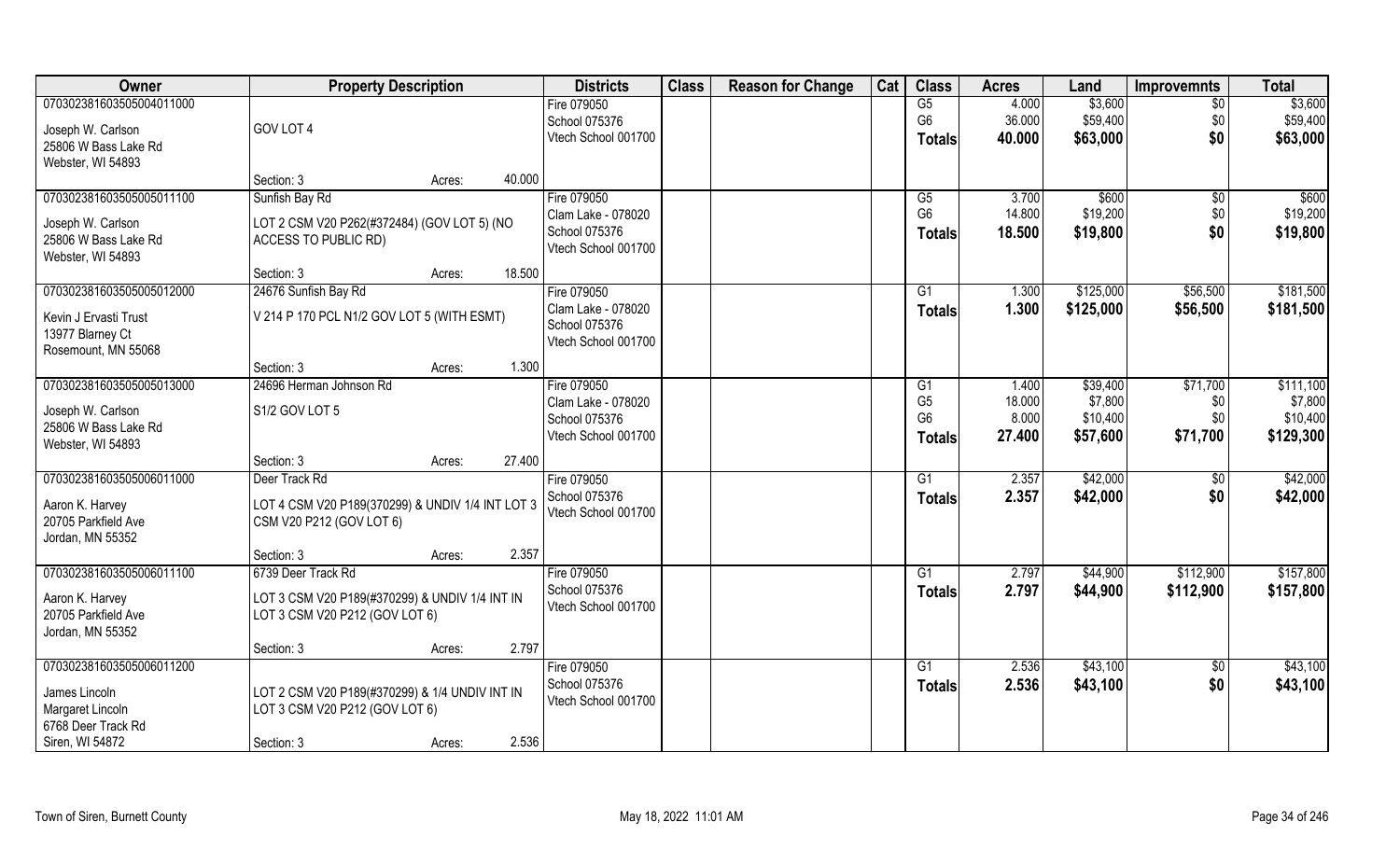| Owner                                                                                                  | <b>Property Description</b>                                                                            |                  | <b>Districts</b>                                                          | <b>Class</b> | <b>Reason for Change</b> | Cat | <b>Class</b>                                            | <b>Acres</b>                       | Land                                        | <b>Improvemnts</b>                 | <b>Total</b>                                  |
|--------------------------------------------------------------------------------------------------------|--------------------------------------------------------------------------------------------------------|------------------|---------------------------------------------------------------------------|--------------|--------------------------|-----|---------------------------------------------------------|------------------------------------|---------------------------------------------|------------------------------------|-----------------------------------------------|
| 070302381603505004011000<br>Joseph W. Carlson<br>25806 W Bass Lake Rd<br>Webster, WI 54893             | GOV LOT 4                                                                                              |                  | Fire 079050<br>School 075376<br>Vtech School 001700                       |              |                          |     | $\overline{G5}$<br>G <sub>6</sub><br><b>Totals</b>      | 4.000<br>36.000<br>40.000          | \$3,600<br>\$59,400<br>\$63,000             | $\overline{30}$<br>\$0<br>\$0      | \$3,600<br>\$59,400<br>\$63,000               |
|                                                                                                        | Section: 3                                                                                             | 40.000<br>Acres: |                                                                           |              |                          |     |                                                         |                                    |                                             |                                    |                                               |
| 070302381603505005011100<br>Joseph W. Carlson<br>25806 W Bass Lake Rd<br>Webster, WI 54893             | Sunfish Bay Rd<br>LOT 2 CSM V20 P262(#372484) (GOV LOT 5) (NO<br>ACCESS TO PUBLIC RD)<br>Section: 3    | 18.500<br>Acres: | Fire 079050<br>Clam Lake - 078020<br>School 075376<br>Vtech School 001700 |              |                          |     | $\overline{G5}$<br>G <sub>6</sub><br><b>Totals</b>      | 3.700<br>14.800<br>18.500          | \$600<br>\$19,200<br>\$19,800               | $\overline{50}$<br>\$0<br>\$0      | \$600<br>\$19,200<br>\$19,800                 |
| 070302381603505005012000                                                                               | 24676 Sunfish Bay Rd                                                                                   |                  | Fire 079050                                                               |              |                          |     | G1                                                      | 1.300                              | \$125,000                                   | \$56,500                           | \$181,500                                     |
| Kevin J Ervasti Trust<br>13977 Blarney Ct<br>Rosemount, MN 55068                                       | V 214 P 170 PCL N1/2 GOV LOT 5 (WITH ESMT)                                                             |                  | Clam Lake - 078020<br>School 075376<br>Vtech School 001700                |              |                          |     | <b>Totals</b>                                           | 1.300                              | \$125,000                                   | \$56,500                           | \$181,500                                     |
|                                                                                                        | Section: 3                                                                                             | 1.300<br>Acres:  |                                                                           |              |                          |     |                                                         |                                    |                                             |                                    |                                               |
| 070302381603505005013000<br>Joseph W. Carlson<br>25806 W Bass Lake Rd<br>Webster, WI 54893             | 24696 Herman Johnson Rd<br>S1/2 GOV LOT 5                                                              |                  | Fire 079050<br>Clam Lake - 078020<br>School 075376<br>Vtech School 001700 |              |                          |     | G1<br>G <sub>5</sub><br>G <sub>6</sub><br><b>Totals</b> | 1.400<br>18.000<br>8.000<br>27.400 | \$39,400<br>\$7,800<br>\$10,400<br>\$57,600 | \$71,700<br>\$0<br>\$0<br>\$71,700 | \$111,100<br>\$7,800<br>\$10,400<br>\$129,300 |
|                                                                                                        | Section: 3                                                                                             | 27.400<br>Acres: |                                                                           |              |                          |     |                                                         |                                    |                                             |                                    |                                               |
| 070302381603505006011000<br>Aaron K. Harvey<br>20705 Parkfield Ave<br>Jordan, MN 55352                 | Deer Track Rd<br>LOT 4 CSM V20 P189(370299) & UNDIV 1/4 INT LOT 3<br>CSM V20 P212 (GOV LOT 6)          |                  | Fire 079050<br>School 075376<br>Vtech School 001700                       |              |                          |     | G1<br><b>Totals</b>                                     | 2.357<br>2.357                     | \$42,000<br>\$42,000                        | \$0<br>\$0                         | \$42,000<br>\$42,000                          |
|                                                                                                        | Section: 3                                                                                             | 2.357<br>Acres:  |                                                                           |              |                          |     |                                                         |                                    |                                             |                                    |                                               |
| 070302381603505006011100<br>Aaron K. Harvey<br>20705 Parkfield Ave<br>Jordan, MN 55352                 | 6739 Deer Track Rd<br>LOT 3 CSM V20 P189(#370299) & UNDIV 1/4 INT IN<br>LOT 3 CSM V20 P212 (GOV LOT 6) |                  | Fire 079050<br>School 075376<br>Vtech School 001700                       |              |                          |     | G1<br><b>Totals</b>                                     | 2.797<br>2.797                     | \$44,900<br>\$44,900                        | \$112,900<br>\$112,900             | \$157,800<br>\$157,800                        |
|                                                                                                        | Section: 3                                                                                             | 2.797<br>Acres:  |                                                                           |              |                          |     |                                                         |                                    |                                             |                                    |                                               |
| 070302381603505006011200<br>James Lincoln<br>Margaret Lincoln<br>6768 Deer Track Rd<br>Siren, WI 54872 | LOT 2 CSM V20 P189(#370299) & 1/4 UNDIV INT IN<br>LOT 3 CSM V20 P212 (GOV LOT 6)<br>Section: 3         | 2.536<br>Acres:  | Fire 079050<br>School 075376<br>Vtech School 001700                       |              |                          |     | G1<br><b>Totals</b>                                     | 2.536<br>2.536                     | \$43,100<br>\$43,100                        | $\overline{50}$<br>\$0             | \$43,100<br>\$43,100                          |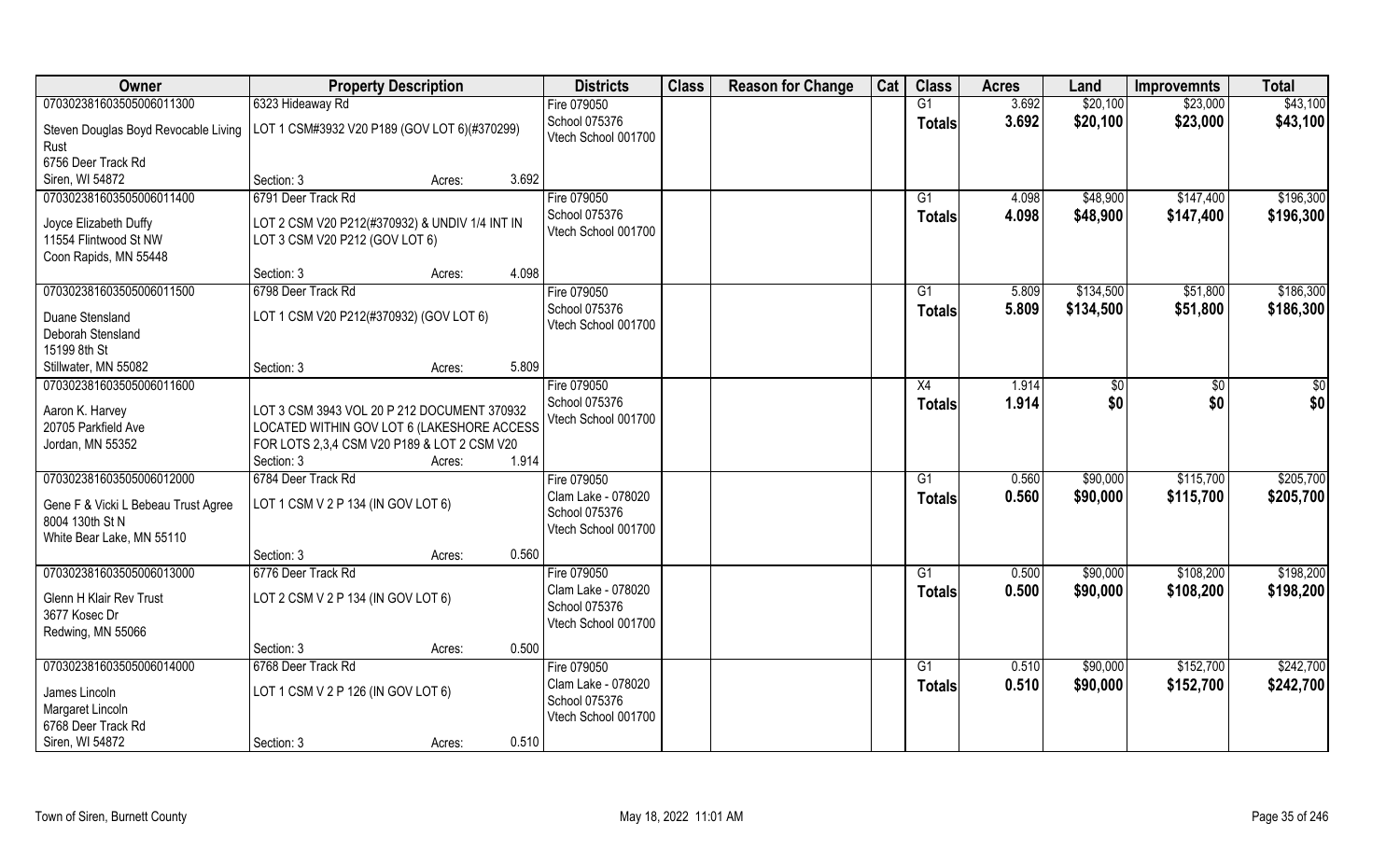| Owner                                          | <b>Property Description</b>                    |        |       | <b>Districts</b>                     | <b>Class</b> | <b>Reason for Change</b> | Cat | <b>Class</b>  | <b>Acres</b> | Land      | <b>Improvemnts</b> | <b>Total</b> |
|------------------------------------------------|------------------------------------------------|--------|-------|--------------------------------------|--------------|--------------------------|-----|---------------|--------------|-----------|--------------------|--------------|
| 070302381603505006011300                       | 6323 Hideaway Rd                               |        |       | Fire 079050                          |              |                          |     | G1            | 3.692        | \$20,100  | \$23,000           | \$43,100     |
| Steven Douglas Boyd Revocable Living<br>Rust   | LOT 1 CSM#3932 V20 P189 (GOV LOT 6)(#370299)   |        |       | School 075376<br>Vtech School 001700 |              |                          |     | <b>Totals</b> | 3.692        | \$20,100  | \$23,000           | \$43,100     |
| 6756 Deer Track Rd                             |                                                |        |       |                                      |              |                          |     |               |              |           |                    |              |
| Siren, WI 54872                                | Section: 3                                     | Acres: | 3.692 |                                      |              |                          |     |               |              |           |                    |              |
| 070302381603505006011400                       | 6791 Deer Track Rd                             |        |       | Fire 079050                          |              |                          |     | G1            | 4.098        | \$48,900  | \$147,400          | \$196,300    |
|                                                | LOT 2 CSM V20 P212(#370932) & UNDIV 1/4 INT IN |        |       | School 075376                        |              |                          |     | <b>Totals</b> | 4.098        | \$48,900  | \$147,400          | \$196,300    |
| Joyce Elizabeth Duffy<br>11554 Flintwood St NW | LOT 3 CSM V20 P212 (GOV LOT 6)                 |        |       | Vtech School 001700                  |              |                          |     |               |              |           |                    |              |
| Coon Rapids, MN 55448                          |                                                |        |       |                                      |              |                          |     |               |              |           |                    |              |
|                                                | Section: 3                                     | Acres: | 4.098 |                                      |              |                          |     |               |              |           |                    |              |
| 070302381603505006011500                       | 6798 Deer Track Rd                             |        |       | Fire 079050                          |              |                          |     | G1            | 5.809        | \$134,500 | \$51,800           | \$186,300    |
|                                                |                                                |        |       | School 075376                        |              |                          |     |               | 5.809        |           |                    |              |
| Duane Stensland                                | LOT 1 CSM V20 P212(#370932) (GOV LOT 6)        |        |       | Vtech School 001700                  |              |                          |     | <b>Totals</b> |              | \$134,500 | \$51,800           | \$186,300    |
| Deborah Stensland                              |                                                |        |       |                                      |              |                          |     |               |              |           |                    |              |
| 15199 8th St                                   |                                                |        |       |                                      |              |                          |     |               |              |           |                    |              |
| Stillwater, MN 55082                           | Section: 3                                     | Acres: | 5.809 |                                      |              |                          |     |               |              |           |                    |              |
| 070302381603505006011600                       |                                                |        |       | Fire 079050                          |              |                          |     | X4            | 1.914        | \$0       | \$0                | \$0          |
| Aaron K. Harvey                                | LOT 3 CSM 3943 VOL 20 P 212 DOCUMENT 370932    |        |       | School 075376                        |              |                          |     | <b>Totals</b> | 1.914        | \$0       | \$0                | \$0          |
| 20705 Parkfield Ave                            | LOCATED WITHIN GOV LOT 6 (LAKESHORE ACCESS     |        |       | Vtech School 001700                  |              |                          |     |               |              |           |                    |              |
| Jordan, MN 55352                               | FOR LOTS 2,3,4 CSM V20 P189 & LOT 2 CSM V20    |        |       |                                      |              |                          |     |               |              |           |                    |              |
|                                                | Section: 3                                     | Acres: | 1.914 |                                      |              |                          |     |               |              |           |                    |              |
| 070302381603505006012000                       | 6784 Deer Track Rd                             |        |       | Fire 079050                          |              |                          |     | G1            | 0.560        | \$90,000  | \$115,700          | \$205,700    |
|                                                |                                                |        |       | Clam Lake - 078020                   |              |                          |     |               | 0.560        | \$90,000  | \$115,700          | \$205,700    |
| Gene F & Vicki L Bebeau Trust Agree            | LOT 1 CSM V 2 P 134 (IN GOV LOT 6)             |        |       | School 075376                        |              |                          |     | <b>Totals</b> |              |           |                    |              |
| 8004 130th St N                                |                                                |        |       | Vtech School 001700                  |              |                          |     |               |              |           |                    |              |
| White Bear Lake, MN 55110                      |                                                |        |       |                                      |              |                          |     |               |              |           |                    |              |
|                                                | Section: 3                                     | Acres: | 0.560 |                                      |              |                          |     |               |              |           |                    |              |
| 070302381603505006013000                       | 6776 Deer Track Rd                             |        |       | Fire 079050                          |              |                          |     | G1            | 0.500        | \$90,000  | \$108,200          | \$198,200    |
| <b>Glenn H Klair Rev Trust</b>                 | LOT 2 CSM V 2 P 134 (IN GOV LOT 6)             |        |       | Clam Lake - 078020                   |              |                          |     | <b>Totals</b> | 0.500        | \$90,000  | \$108,200          | \$198,200    |
| 3677 Kosec Dr                                  |                                                |        |       | School 075376                        |              |                          |     |               |              |           |                    |              |
| Redwing, MN 55066                              |                                                |        |       | Vtech School 001700                  |              |                          |     |               |              |           |                    |              |
|                                                | Section: 3                                     | Acres: | 0.500 |                                      |              |                          |     |               |              |           |                    |              |
| 070302381603505006014000                       | 6768 Deer Track Rd                             |        |       | Fire 079050                          |              |                          |     | G1            | 0.510        | \$90,000  | \$152,700          | \$242,700    |
|                                                |                                                |        |       | Clam Lake - 078020                   |              |                          |     | <b>Totals</b> | 0.510        | \$90,000  | \$152,700          | \$242,700    |
| James Lincoln                                  | LOT 1 CSM V 2 P 126 (IN GOV LOT 6)             |        |       | School 075376                        |              |                          |     |               |              |           |                    |              |
| Margaret Lincoln                               |                                                |        |       | Vtech School 001700                  |              |                          |     |               |              |           |                    |              |
| 6768 Deer Track Rd                             |                                                |        |       |                                      |              |                          |     |               |              |           |                    |              |
| Siren, WI 54872                                | Section: 3                                     | Acres: | 0.510 |                                      |              |                          |     |               |              |           |                    |              |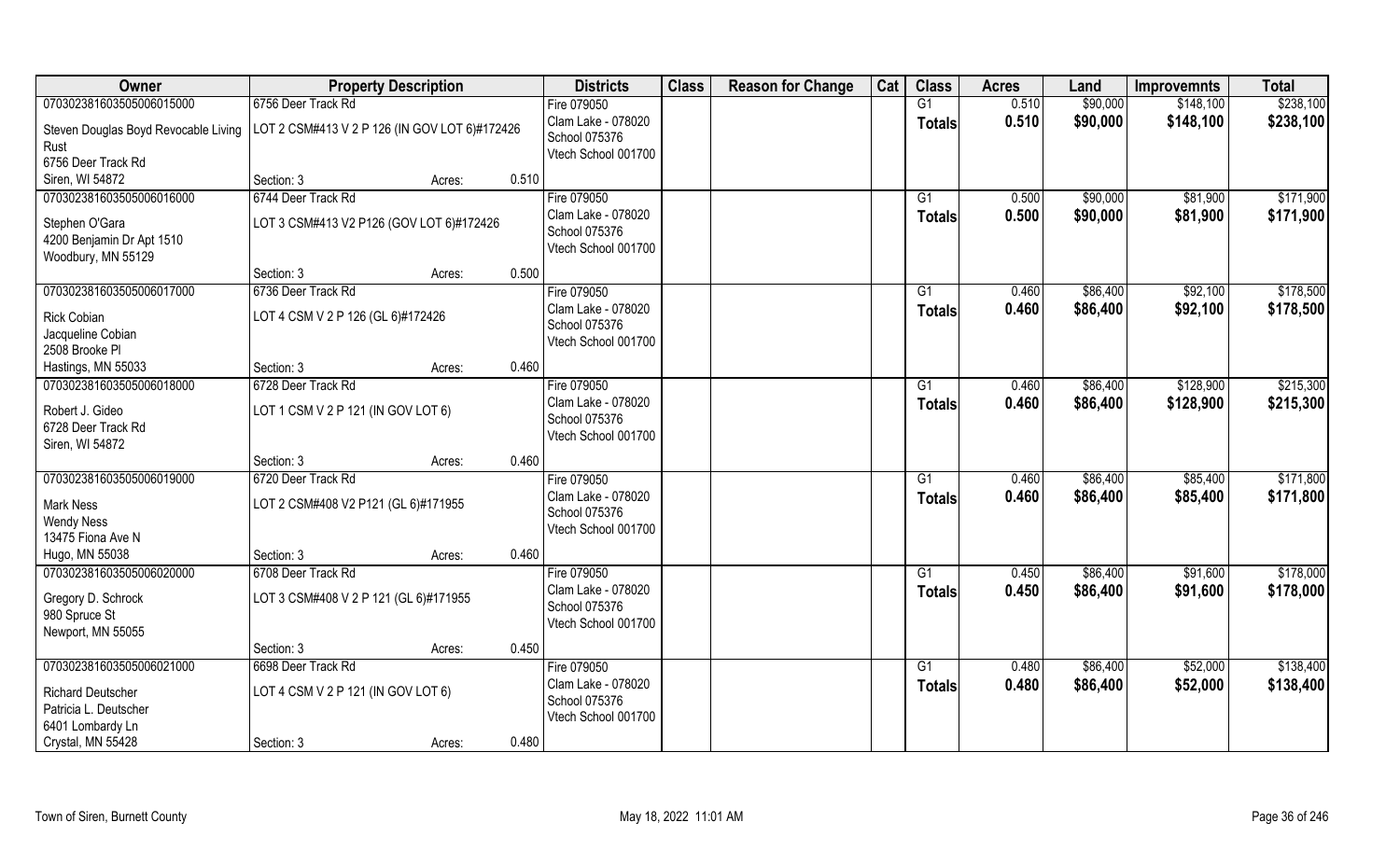| Owner                                                                                         |                                                                | <b>Property Description</b> |       | <b>Districts</b>                                                          | <b>Class</b> | <b>Reason for Change</b> | Cat | <b>Class</b>        | <b>Acres</b>   | Land                 | <b>Improvemnts</b>     | <b>Total</b>           |
|-----------------------------------------------------------------------------------------------|----------------------------------------------------------------|-----------------------------|-------|---------------------------------------------------------------------------|--------------|--------------------------|-----|---------------------|----------------|----------------------|------------------------|------------------------|
| 070302381603505006015000                                                                      | 6756 Deer Track Rd                                             |                             |       | Fire 079050                                                               |              |                          |     | G1                  | 0.510          | \$90,000             | \$148,100              | \$238,100              |
| Steven Douglas Boyd Revocable Living<br>Rust<br>6756 Deer Track Rd                            | LOT 2 CSM#413 V 2 P 126 (IN GOV LOT 6)#172426                  |                             |       | Clam Lake - 078020<br>School 075376<br>Vtech School 001700                |              |                          |     | <b>Totals</b>       | 0.510          | \$90,000             | \$148,100              | \$238,100              |
| Siren, WI 54872                                                                               | Section: 3                                                     | Acres:                      | 0.510 |                                                                           |              |                          |     |                     |                |                      |                        |                        |
| 070302381603505006016000<br>Stephen O'Gara<br>4200 Benjamin Dr Apt 1510<br>Woodbury, MN 55129 | 6744 Deer Track Rd<br>LOT 3 CSM#413 V2 P126 (GOV LOT 6)#172426 |                             |       | Fire 079050<br>Clam Lake - 078020<br>School 075376<br>Vtech School 001700 |              |                          |     | G1<br><b>Totals</b> | 0.500<br>0.500 | \$90,000<br>\$90,000 | \$81,900<br>\$81,900   | \$171,900<br>\$171,900 |
|                                                                                               | Section: 3                                                     | Acres:                      | 0.500 |                                                                           |              |                          |     |                     |                |                      |                        |                        |
| 070302381603505006017000                                                                      | 6736 Deer Track Rd                                             |                             |       | Fire 079050                                                               |              |                          |     | G1                  | 0.460          | \$86,400             | \$92,100               | \$178,500              |
| <b>Rick Cobian</b><br>Jacqueline Cobian<br>2508 Brooke Pl                                     | LOT 4 CSM V 2 P 126 (GL 6)#172426                              |                             |       | Clam Lake - 078020<br>School 075376<br>Vtech School 001700                |              |                          |     | <b>Totals</b>       | 0.460          | \$86,400             | \$92,100               | \$178,500              |
| Hastings, MN 55033                                                                            | Section: 3                                                     | Acres:                      | 0.460 |                                                                           |              |                          |     |                     |                |                      |                        |                        |
| 070302381603505006018000<br>Robert J. Gideo<br>6728 Deer Track Rd                             | 6728 Deer Track Rd<br>LOT 1 CSM V 2 P 121 (IN GOV LOT 6)       |                             |       | Fire 079050<br>Clam Lake - 078020<br>School 075376<br>Vtech School 001700 |              |                          |     | G1<br><b>Totals</b> | 0.460<br>0.460 | \$86,400<br>\$86,400 | \$128,900<br>\$128,900 | \$215,300<br>\$215,300 |
| Siren, WI 54872                                                                               | Section: 3                                                     |                             | 0.460 |                                                                           |              |                          |     |                     |                |                      |                        |                        |
| 070302381603505006019000                                                                      | 6720 Deer Track Rd                                             | Acres:                      |       | Fire 079050                                                               |              |                          |     | G1                  | 0.460          | \$86,400             | \$85,400               | \$171,800              |
| <b>Mark Ness</b><br><b>Wendy Ness</b><br>13475 Fiona Ave N                                    | LOT 2 CSM#408 V2 P121 (GL 6)#171955                            |                             |       | Clam Lake - 078020<br>School 075376<br>Vtech School 001700                |              |                          |     | <b>Totals</b>       | 0.460          | \$86,400             | \$85,400               | \$171,800              |
| Hugo, MN 55038                                                                                | Section: 3                                                     | Acres:                      | 0.460 |                                                                           |              |                          |     |                     |                |                      |                        |                        |
| 070302381603505006020000                                                                      | 6708 Deer Track Rd                                             |                             |       | Fire 079050                                                               |              |                          |     | G1                  | 0.450          | \$86,400             | \$91,600               | \$178,000              |
| Gregory D. Schrock<br>980 Spruce St<br>Newport, MN 55055                                      | LOT 3 CSM#408 V 2 P 121 (GL 6)#171955                          |                             |       | Clam Lake - 078020<br>School 075376<br>Vtech School 001700                |              |                          |     | <b>Totals</b>       | 0.450          | \$86,400             | \$91,600               | \$178,000              |
|                                                                                               | Section: 3                                                     | Acres:                      | 0.450 |                                                                           |              |                          |     |                     |                |                      |                        |                        |
| 070302381603505006021000                                                                      | 6698 Deer Track Rd                                             |                             |       | Fire 079050                                                               |              |                          |     | $\overline{G1}$     | 0.480          | \$86,400             | \$52,000               | \$138,400              |
| <b>Richard Deutscher</b><br>Patricia L. Deutscher<br>6401 Lombardy Ln                         | LOT 4 CSM V 2 P 121 (IN GOV LOT 6)                             |                             |       | Clam Lake - 078020<br>School 075376<br>Vtech School 001700                |              |                          |     | <b>Totals</b>       | 0.480          | \$86,400             | \$52,000               | \$138,400              |
| Crystal, MN 55428                                                                             | Section: 3                                                     | Acres:                      | 0.480 |                                                                           |              |                          |     |                     |                |                      |                        |                        |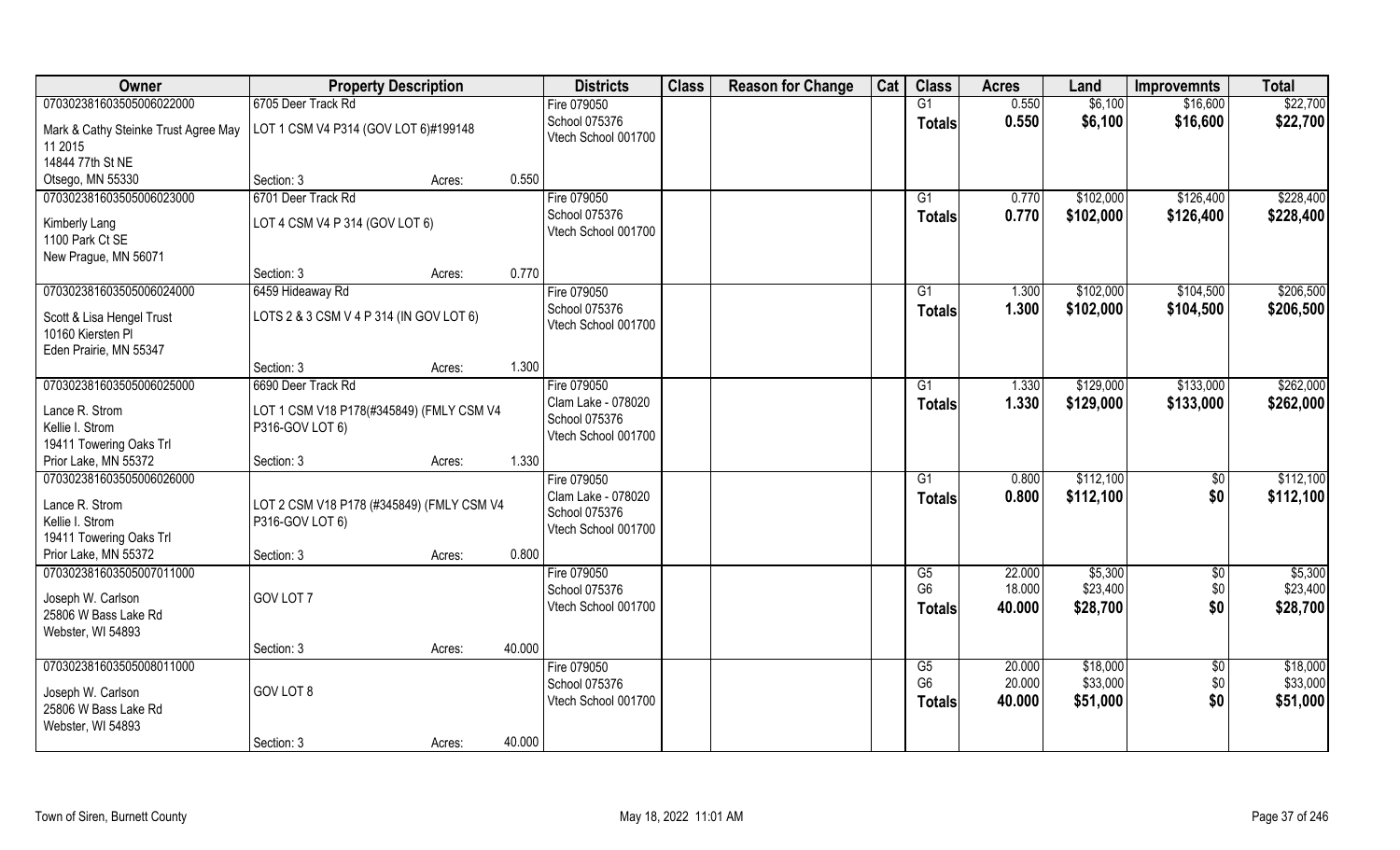| Owner                                           | <b>Property Description</b>               |        |        | <b>Districts</b>                     | <b>Class</b> | <b>Reason for Change</b> | Cat | <b>Class</b>         | <b>Acres</b>     | Land                 | <b>Improvemnts</b>     | <b>Total</b>         |
|-------------------------------------------------|-------------------------------------------|--------|--------|--------------------------------------|--------------|--------------------------|-----|----------------------|------------------|----------------------|------------------------|----------------------|
| 070302381603505006022000                        | 6705 Deer Track Rd                        |        |        | Fire 079050                          |              |                          |     | G1                   | 0.550            | \$6,100              | \$16,600               | \$22,700             |
| Mark & Cathy Steinke Trust Agree May<br>11 2015 | LOT 1 CSM V4 P314 (GOV LOT 6)#199148      |        |        | School 075376<br>Vtech School 001700 |              |                          |     | <b>Totals</b>        | 0.550            | \$6,100              | \$16,600               | \$22,700             |
| 14844 77th St NE                                |                                           |        |        |                                      |              |                          |     |                      |                  |                      |                        |                      |
| Otsego, MN 55330                                | Section: 3                                | Acres: | 0.550  |                                      |              |                          |     |                      |                  |                      |                        |                      |
| 070302381603505006023000                        | 6701 Deer Track Rd                        |        |        | Fire 079050                          |              |                          |     | G1                   | 0.770            | \$102,000            | \$126,400              | \$228,400            |
| Kimberly Lang<br>1100 Park Ct SE                | LOT 4 CSM V4 P 314 (GOV LOT 6)            |        |        | School 075376<br>Vtech School 001700 |              |                          |     | <b>Totals</b>        | 0.770            | \$102,000            | \$126,400              | \$228,400            |
| New Prague, MN 56071                            |                                           |        |        |                                      |              |                          |     |                      |                  |                      |                        |                      |
|                                                 | Section: 3                                | Acres: | 0.770  |                                      |              |                          |     |                      |                  |                      |                        |                      |
| 070302381603505006024000                        | 6459 Hideaway Rd                          |        |        | Fire 079050                          |              |                          |     | G1                   | 1.300            | \$102,000            | \$104,500              | \$206,500            |
| Scott & Lisa Hengel Trust<br>10160 Kiersten Pl  | LOTS 2 & 3 CSM V 4 P 314 (IN GOV LOT 6)   |        |        | School 075376<br>Vtech School 001700 |              |                          |     | <b>Totals</b>        | 1.300            | \$102,000            | \$104,500              | \$206,500            |
| Eden Prairie, MN 55347                          |                                           |        | 1.300  |                                      |              |                          |     |                      |                  |                      |                        |                      |
|                                                 | Section: 3                                | Acres: |        |                                      |              |                          |     |                      |                  |                      |                        |                      |
| 070302381603505006025000                        | 6690 Deer Track Rd                        |        |        | Fire 079050                          |              |                          |     | G1                   | 1.330            | \$129,000            | \$133,000              | \$262,000            |
| Lance R. Strom                                  | LOT 1 CSM V18 P178(#345849) (FMLY CSM V4  |        |        | Clam Lake - 078020<br>School 075376  |              |                          |     | <b>Totals</b>        | 1.330            | \$129,000            | \$133,000              | \$262,000            |
| Kellie I. Strom                                 | P316-GOV LOT 6)                           |        |        | Vtech School 001700                  |              |                          |     |                      |                  |                      |                        |                      |
| 19411 Towering Oaks Trl                         |                                           |        |        |                                      |              |                          |     |                      |                  |                      |                        |                      |
| Prior Lake, MN 55372                            | Section: 3                                | Acres: | 1.330  |                                      |              |                          |     |                      |                  |                      |                        |                      |
| 070302381603505006026000                        |                                           |        |        | Fire 079050                          |              |                          |     | G1                   | 0.800            | \$112,100            | $\overline{50}$        | \$112,100            |
| Lance R. Strom                                  | LOT 2 CSM V18 P178 (#345849) (FMLY CSM V4 |        |        | Clam Lake - 078020                   |              |                          |     | <b>Totals</b>        | 0.800            | \$112,100            | \$0                    | \$112,100            |
| Kellie I. Strom                                 | P316-GOV LOT 6)                           |        |        | School 075376                        |              |                          |     |                      |                  |                      |                        |                      |
| 19411 Towering Oaks Trl                         |                                           |        |        | Vtech School 001700                  |              |                          |     |                      |                  |                      |                        |                      |
| Prior Lake, MN 55372                            | Section: 3                                | Acres: | 0.800  |                                      |              |                          |     |                      |                  |                      |                        |                      |
| 070302381603505007011000                        |                                           |        |        | Fire 079050                          |              |                          |     | G5                   | 22.000           | \$5,300              | \$0                    | \$5,300              |
|                                                 |                                           |        |        | School 075376                        |              |                          |     | G <sub>6</sub>       | 18.000           | \$23,400             | \$0                    | \$23,400             |
| Joseph W. Carlson                               | GOV LOT 7                                 |        |        | Vtech School 001700                  |              |                          |     | <b>Totals</b>        | 40.000           | \$28,700             | \$0                    | \$28,700             |
| 25806 W Bass Lake Rd                            |                                           |        |        |                                      |              |                          |     |                      |                  |                      |                        |                      |
| Webster, WI 54893                               |                                           |        | 40.000 |                                      |              |                          |     |                      |                  |                      |                        |                      |
|                                                 | Section: 3                                | Acres: |        |                                      |              |                          |     |                      |                  |                      |                        |                      |
| 070302381603505008011000                        |                                           |        |        | Fire 079050<br>School 075376         |              |                          |     | G5<br>G <sub>6</sub> | 20.000<br>20.000 | \$18,000<br>\$33,000 | $\overline{60}$<br>\$0 | \$18,000<br>\$33,000 |
| Joseph W. Carlson                               | GOV LOT 8                                 |        |        | Vtech School 001700                  |              |                          |     |                      | 40.000           |                      | \$0                    |                      |
| 25806 W Bass Lake Rd                            |                                           |        |        |                                      |              |                          |     | <b>Totals</b>        |                  | \$51,000             |                        | \$51,000             |
| Webster, WI 54893                               |                                           |        |        |                                      |              |                          |     |                      |                  |                      |                        |                      |
|                                                 | Section: 3                                | Acres: | 40.000 |                                      |              |                          |     |                      |                  |                      |                        |                      |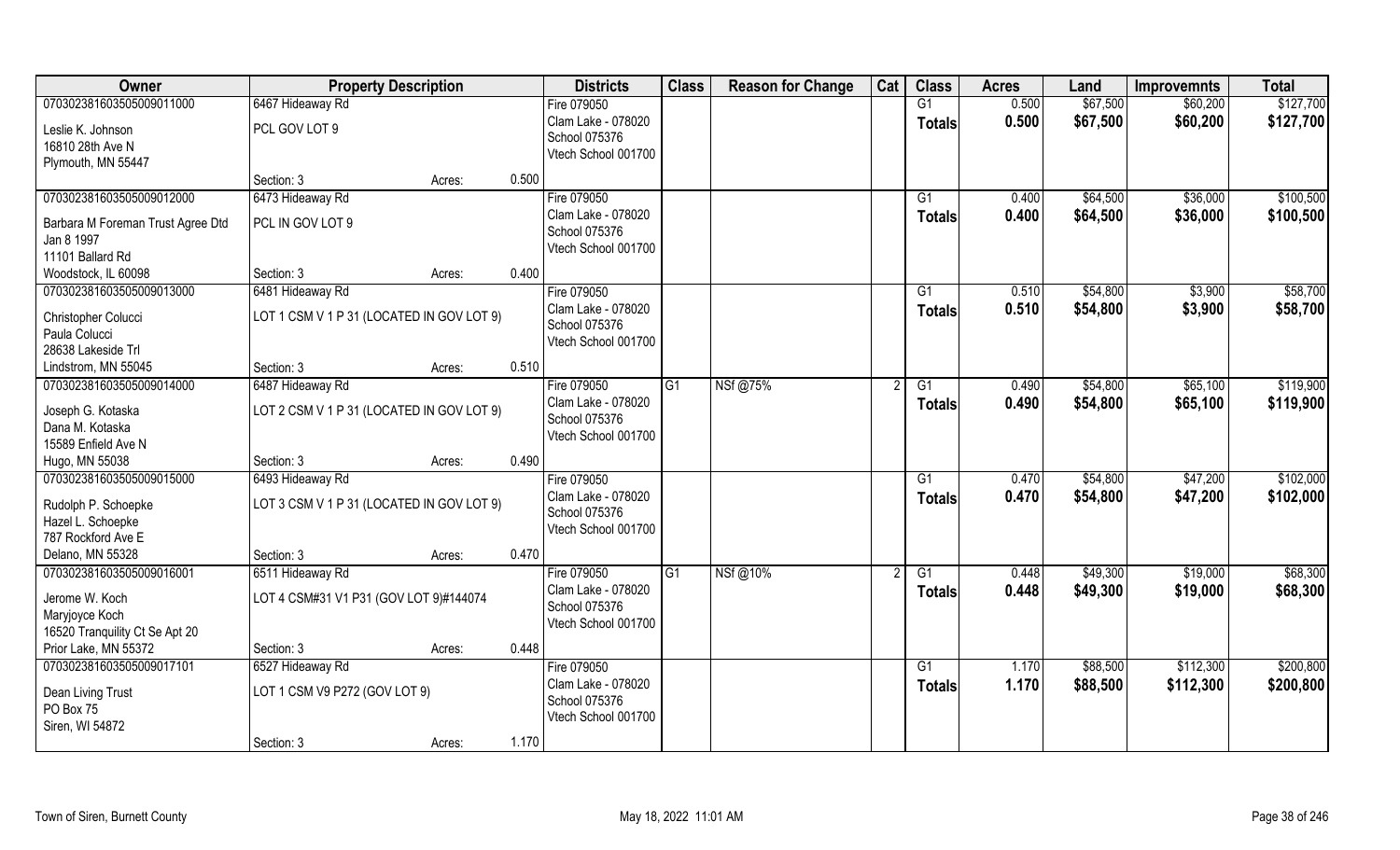| Owner                             | <b>Property Description</b>               |        |       | <b>Districts</b>    | <b>Class</b>    | <b>Reason for Change</b> | Cat | <b>Class</b>  | <b>Acres</b> | Land     | <b>Improvemnts</b> | <b>Total</b> |
|-----------------------------------|-------------------------------------------|--------|-------|---------------------|-----------------|--------------------------|-----|---------------|--------------|----------|--------------------|--------------|
| 070302381603505009011000          | 6467 Hideaway Rd                          |        |       | Fire 079050         |                 |                          |     | G1            | 0.500        | \$67,500 | \$60,200           | \$127,700    |
| Leslie K. Johnson                 | PCL GOV LOT 9                             |        |       | Clam Lake - 078020  |                 |                          |     | <b>Totals</b> | 0.500        | \$67,500 | \$60,200           | \$127,700    |
| 16810 28th Ave N                  |                                           |        |       | School 075376       |                 |                          |     |               |              |          |                    |              |
| Plymouth, MN 55447                |                                           |        |       | Vtech School 001700 |                 |                          |     |               |              |          |                    |              |
|                                   | Section: 3                                | Acres: | 0.500 |                     |                 |                          |     |               |              |          |                    |              |
| 070302381603505009012000          | 6473 Hideaway Rd                          |        |       | Fire 079050         |                 |                          |     | G1            | 0.400        | \$64,500 | \$36,000           | \$100,500    |
| Barbara M Foreman Trust Agree Dtd | PCL IN GOV LOT 9                          |        |       | Clam Lake - 078020  |                 |                          |     | Totals        | 0.400        | \$64,500 | \$36,000           | \$100,500    |
| Jan 8 1997                        |                                           |        |       | School 075376       |                 |                          |     |               |              |          |                    |              |
| 11101 Ballard Rd                  |                                           |        |       | Vtech School 001700 |                 |                          |     |               |              |          |                    |              |
| Woodstock, IL 60098               | Section: 3                                | Acres: | 0.400 |                     |                 |                          |     |               |              |          |                    |              |
| 070302381603505009013000          | 6481 Hideaway Rd                          |        |       | Fire 079050         |                 |                          |     | G1            | 0.510        | \$54,800 | \$3,900            | \$58,700     |
| Christopher Colucci               | LOT 1 CSM V 1 P 31 (LOCATED IN GOV LOT 9) |        |       | Clam Lake - 078020  |                 |                          |     | <b>Totals</b> | 0.510        | \$54,800 | \$3,900            | \$58,700     |
| Paula Colucci                     |                                           |        |       | School 075376       |                 |                          |     |               |              |          |                    |              |
| 28638 Lakeside Trl                |                                           |        |       | Vtech School 001700 |                 |                          |     |               |              |          |                    |              |
| Lindstrom, MN 55045               | Section: 3                                | Acres: | 0.510 |                     |                 |                          |     |               |              |          |                    |              |
| 070302381603505009014000          | 6487 Hideaway Rd                          |        |       | Fire 079050         | $\overline{G1}$ | NSf@75%                  |     | G1            | 0.490        | \$54,800 | \$65,100           | \$119,900    |
| Joseph G. Kotaska                 | LOT 2 CSM V 1 P 31 (LOCATED IN GOV LOT 9) |        |       | Clam Lake - 078020  |                 |                          |     | <b>Totals</b> | 0.490        | \$54,800 | \$65,100           | \$119,900    |
| Dana M. Kotaska                   |                                           |        |       | School 075376       |                 |                          |     |               |              |          |                    |              |
| 15589 Enfield Ave N               |                                           |        |       | Vtech School 001700 |                 |                          |     |               |              |          |                    |              |
| Hugo, MN 55038                    | Section: 3                                | Acres: | 0.490 |                     |                 |                          |     |               |              |          |                    |              |
| 070302381603505009015000          | 6493 Hideaway Rd                          |        |       | Fire 079050         |                 |                          |     | G1            | 0.470        | \$54,800 | \$47,200           | \$102,000    |
| Rudolph P. Schoepke               | LOT 3 CSM V 1 P 31 (LOCATED IN GOV LOT 9) |        |       | Clam Lake - 078020  |                 |                          |     | <b>Totals</b> | 0.470        | \$54,800 | \$47,200           | \$102,000    |
| Hazel L. Schoepke                 |                                           |        |       | School 075376       |                 |                          |     |               |              |          |                    |              |
| 787 Rockford Ave E                |                                           |        |       | Vtech School 001700 |                 |                          |     |               |              |          |                    |              |
| Delano, MN 55328                  | Section: 3                                | Acres: | 0.470 |                     |                 |                          |     |               |              |          |                    |              |
| 070302381603505009016001          | 6511 Hideaway Rd                          |        |       | Fire 079050         | G1              | NSf@10%                  |     | G1            | 0.448        | \$49,300 | \$19,000           | \$68,300     |
| Jerome W. Koch                    | LOT 4 CSM#31 V1 P31 (GOV LOT 9)#144074    |        |       | Clam Lake - 078020  |                 |                          |     | <b>Totals</b> | 0.448        | \$49,300 | \$19,000           | \$68,300     |
| Maryjoyce Koch                    |                                           |        |       | School 075376       |                 |                          |     |               |              |          |                    |              |
| 16520 Tranquility Ct Se Apt 20    |                                           |        |       | Vtech School 001700 |                 |                          |     |               |              |          |                    |              |
| Prior Lake, MN 55372              | Section: 3                                | Acres: | 0.448 |                     |                 |                          |     |               |              |          |                    |              |
| 070302381603505009017101          | 6527 Hideaway Rd                          |        |       | Fire 079050         |                 |                          |     | G1            | 1.170        | \$88,500 | \$112,300          | \$200,800    |
|                                   |                                           |        |       | Clam Lake - 078020  |                 |                          |     | <b>Totals</b> | 1.170        | \$88,500 | \$112,300          | \$200,800    |
| Dean Living Trust<br>PO Box 75    | LOT 1 CSM V9 P272 (GOV LOT 9)             |        |       | School 075376       |                 |                          |     |               |              |          |                    |              |
| Siren, WI 54872                   |                                           |        |       | Vtech School 001700 |                 |                          |     |               |              |          |                    |              |
|                                   | Section: 3                                | Acres: | 1.170 |                     |                 |                          |     |               |              |          |                    |              |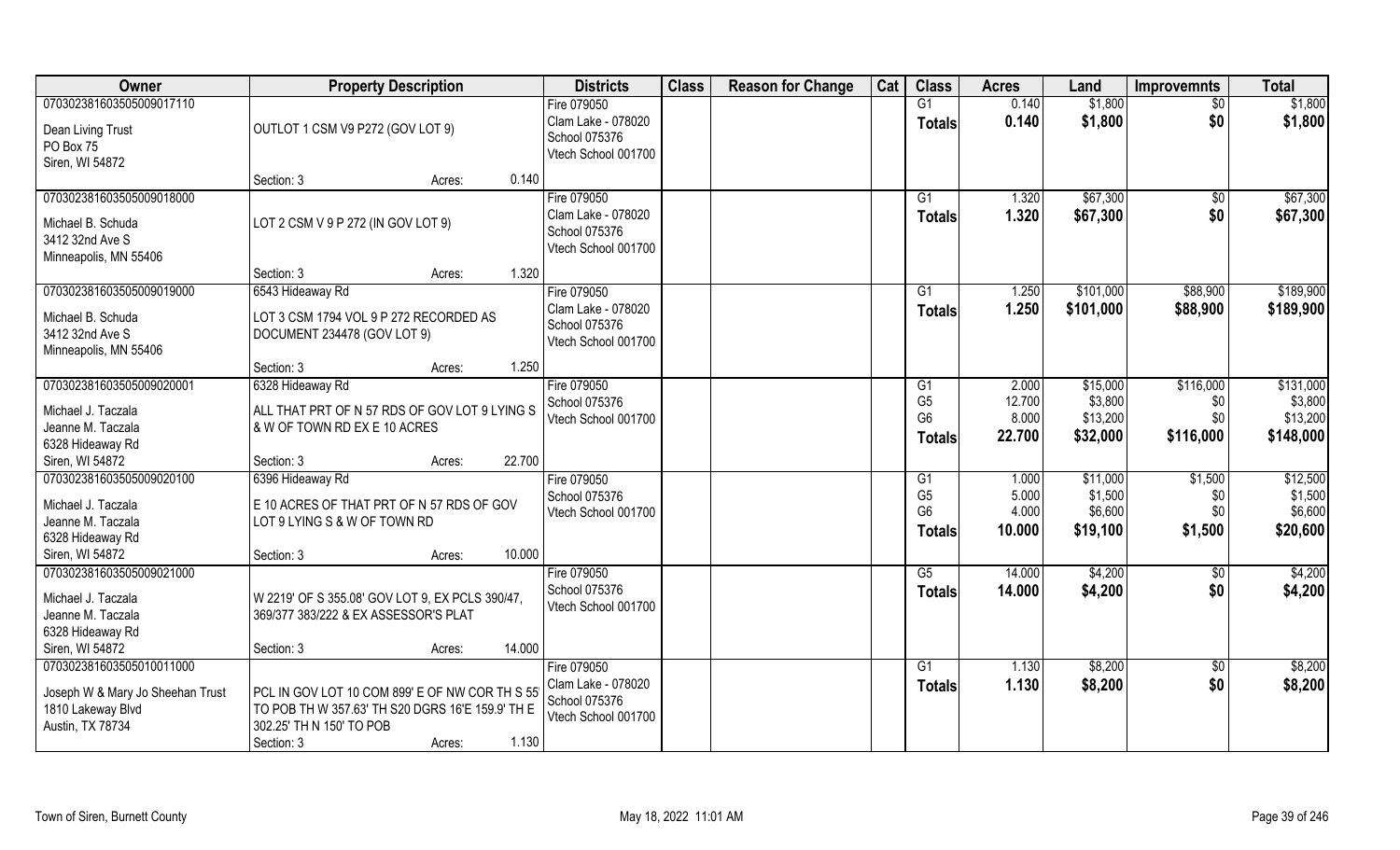| Owner                            |                                                  | <b>Property Description</b> |        | <b>Districts</b>    | <b>Class</b> | <b>Reason for Change</b> | Cat | <b>Class</b>    | <b>Acres</b> | Land      | <b>Improvemnts</b> | <b>Total</b> |
|----------------------------------|--------------------------------------------------|-----------------------------|--------|---------------------|--------------|--------------------------|-----|-----------------|--------------|-----------|--------------------|--------------|
| 070302381603505009017110         |                                                  |                             |        | Fire 079050         |              |                          |     | G1              | 0.140        | \$1,800   | $\sqrt{$0}$        | \$1,800      |
| Dean Living Trust                | OUTLOT 1 CSM V9 P272 (GOV LOT 9)                 |                             |        | Clam Lake - 078020  |              |                          |     | <b>Totals</b>   | 0.140        | \$1,800   | \$0                | \$1,800      |
| PO Box 75                        |                                                  |                             |        | School 075376       |              |                          |     |                 |              |           |                    |              |
| Siren, WI 54872                  |                                                  |                             |        | Vtech School 001700 |              |                          |     |                 |              |           |                    |              |
|                                  | Section: 3                                       | Acres:                      | 0.140  |                     |              |                          |     |                 |              |           |                    |              |
| 070302381603505009018000         |                                                  |                             |        | Fire 079050         |              |                          |     | $\overline{G1}$ | 1.320        | \$67,300  | \$0                | \$67,300     |
| Michael B. Schuda                | LOT 2 CSM V 9 P 272 (IN GOV LOT 9)               |                             |        | Clam Lake - 078020  |              |                          |     | Totals          | 1.320        | \$67,300  | \$0                | \$67,300     |
| 3412 32nd Ave S                  |                                                  |                             |        | School 075376       |              |                          |     |                 |              |           |                    |              |
| Minneapolis, MN 55406            |                                                  |                             |        | Vtech School 001700 |              |                          |     |                 |              |           |                    |              |
|                                  | Section: 3                                       | Acres:                      | 1.320  |                     |              |                          |     |                 |              |           |                    |              |
| 070302381603505009019000         | 6543 Hideaway Rd                                 |                             |        | Fire 079050         |              |                          |     | G1              | 1.250        | \$101,000 | \$88,900           | \$189,900    |
| Michael B. Schuda                | LOT 3 CSM 1794 VOL 9 P 272 RECORDED AS           |                             |        | Clam Lake - 078020  |              |                          |     | <b>Totals</b>   | 1.250        | \$101,000 | \$88,900           | \$189,900    |
| 3412 32nd Ave S                  | DOCUMENT 234478 (GOV LOT 9)                      |                             |        | School 075376       |              |                          |     |                 |              |           |                    |              |
| Minneapolis, MN 55406            |                                                  |                             |        | Vtech School 001700 |              |                          |     |                 |              |           |                    |              |
|                                  | Section: 3                                       | Acres:                      | 1.250  |                     |              |                          |     |                 |              |           |                    |              |
| 070302381603505009020001         | 6328 Hideaway Rd                                 |                             |        | Fire 079050         |              |                          |     | G1              | 2.000        | \$15,000  | \$116,000          | \$131,000    |
| Michael J. Taczala               | ALL THAT PRT OF N 57 RDS OF GOV LOT 9 LYING S    |                             |        | School 075376       |              |                          |     | G <sub>5</sub>  | 12.700       | \$3,800   | \$0                | \$3,800      |
| Jeanne M. Taczala                | & W OF TOWN RD EX E 10 ACRES                     |                             |        | Vtech School 001700 |              |                          |     | G <sub>6</sub>  | 8.000        | \$13,200  | \$0\$              | \$13,200     |
| 6328 Hideaway Rd                 |                                                  |                             |        |                     |              |                          |     | Totals          | 22.700       | \$32,000  | \$116,000          | \$148,000    |
| Siren, WI 54872                  | Section: 3                                       | Acres:                      | 22.700 |                     |              |                          |     |                 |              |           |                    |              |
| 070302381603505009020100         | 6396 Hideaway Rd                                 |                             |        | Fire 079050         |              |                          |     | G1              | 1.000        | \$11,000  | \$1,500            | \$12,500     |
| Michael J. Taczala               | E 10 ACRES OF THAT PRT OF N 57 RDS OF GOV        |                             |        | School 075376       |              |                          |     | G <sub>5</sub>  | 5.000        | \$1,500   | \$0                | \$1,500      |
| Jeanne M. Taczala                | LOT 9 LYING S & W OF TOWN RD                     |                             |        | Vtech School 001700 |              |                          |     | G <sub>6</sub>  | 4.000        | \$6,600   | \$0\$              | \$6,600      |
| 6328 Hideaway Rd                 |                                                  |                             |        |                     |              |                          |     | <b>Totals</b>   | 10.000       | \$19,100  | \$1,500            | \$20,600     |
| Siren, WI 54872                  | Section: 3                                       | Acres:                      | 10.000 |                     |              |                          |     |                 |              |           |                    |              |
| 070302381603505009021000         |                                                  |                             |        | Fire 079050         |              |                          |     | G5              | 14.000       | \$4,200   | $\overline{30}$    | \$4,200      |
| Michael J. Taczala               | W 2219' OF S 355.08' GOV LOT 9, EX PCLS 390/47,  |                             |        | School 075376       |              |                          |     | <b>Totals</b>   | 14.000       | \$4,200   | \$0                | \$4,200      |
| Jeanne M. Taczala                | 369/377 383/222 & EX ASSESSOR'S PLAT             |                             |        | Vtech School 001700 |              |                          |     |                 |              |           |                    |              |
| 6328 Hideaway Rd                 |                                                  |                             |        |                     |              |                          |     |                 |              |           |                    |              |
| Siren, WI 54872                  | Section: 3                                       | Acres:                      | 14.000 |                     |              |                          |     |                 |              |           |                    |              |
| 070302381603505010011000         |                                                  |                             |        | Fire 079050         |              |                          |     | G1              | 1.130        | \$8,200   | $\overline{50}$    | \$8,200      |
| Joseph W & Mary Jo Sheehan Trust | PCL IN GOV LOT 10 COM 899' E OF NW COR TH S 55'  |                             |        | Clam Lake - 078020  |              |                          |     | <b>Totals</b>   | 1.130        | \$8,200   | \$0                | \$8,200      |
| 1810 Lakeway Blvd                | TO POB TH W 357.63' TH S20 DGRS 16'E 159.9' TH E |                             |        | School 075376       |              |                          |     |                 |              |           |                    |              |
| Austin, TX 78734                 | 302.25' TH N 150' TO POB                         |                             |        | Vtech School 001700 |              |                          |     |                 |              |           |                    |              |
|                                  | Section: 3                                       | Acres:                      | 1.130  |                     |              |                          |     |                 |              |           |                    |              |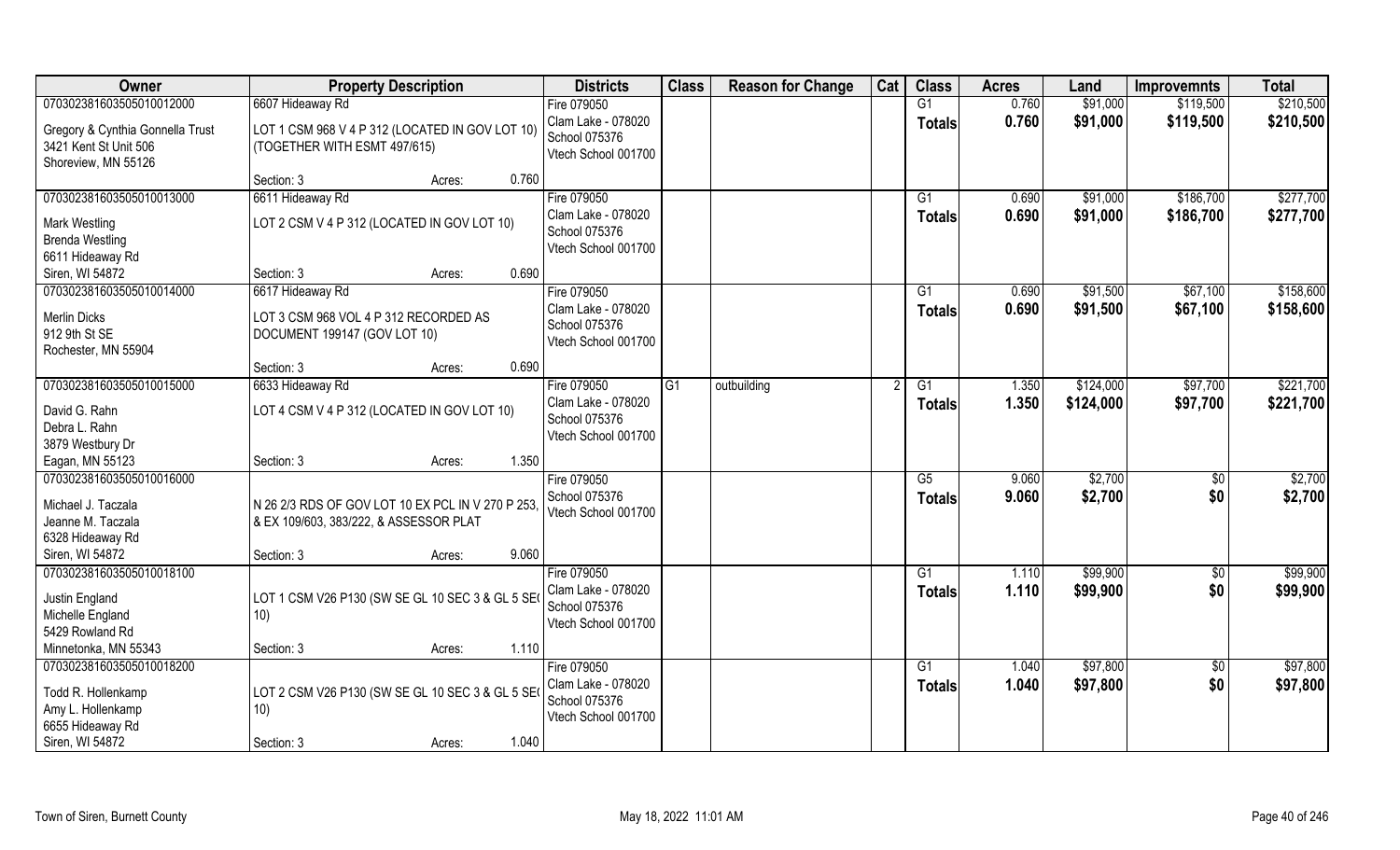| Owner                               | <b>Property Description</b>                      |        |       | <b>Districts</b>                     | <b>Class</b>   | <b>Reason for Change</b> | Cat | <b>Class</b>    | <b>Acres</b> | Land      | <b>Improvemnts</b> | <b>Total</b> |
|-------------------------------------|--------------------------------------------------|--------|-------|--------------------------------------|----------------|--------------------------|-----|-----------------|--------------|-----------|--------------------|--------------|
| 070302381603505010012000            | 6607 Hideaway Rd                                 |        |       | Fire 079050                          |                |                          |     | G1              | 0.760        | \$91,000  | \$119,500          | \$210,500    |
| Gregory & Cynthia Gonnella Trust    | LOT 1 CSM 968 V 4 P 312 (LOCATED IN GOV LOT 10)  |        |       | Clam Lake - 078020                   |                |                          |     | <b>Totals</b>   | 0.760        | \$91,000  | \$119,500          | \$210,500    |
| 3421 Kent St Unit 506               | (TOGETHER WITH ESMT 497/615)                     |        |       | School 075376                        |                |                          |     |                 |              |           |                    |              |
| Shoreview, MN 55126                 |                                                  |        |       | Vtech School 001700                  |                |                          |     |                 |              |           |                    |              |
|                                     | Section: 3                                       | Acres: | 0.760 |                                      |                |                          |     |                 |              |           |                    |              |
| 070302381603505010013000            | 6611 Hideaway Rd                                 |        |       | Fire 079050                          |                |                          |     | G1              | 0.690        | \$91,000  | \$186,700          | \$277,700    |
| <b>Mark Westling</b>                | LOT 2 CSM V 4 P 312 (LOCATED IN GOV LOT 10)      |        |       | Clam Lake - 078020                   |                |                          |     | <b>Totals</b>   | 0.690        | \$91,000  | \$186,700          | \$277,700    |
| <b>Brenda Westling</b>              |                                                  |        |       | School 075376                        |                |                          |     |                 |              |           |                    |              |
| 6611 Hideaway Rd                    |                                                  |        |       | Vtech School 001700                  |                |                          |     |                 |              |           |                    |              |
| Siren, WI 54872                     | Section: 3                                       | Acres: | 0.690 |                                      |                |                          |     |                 |              |           |                    |              |
| 070302381603505010014000            | 6617 Hideaway Rd                                 |        |       | Fire 079050                          |                |                          |     | G1              | 0.690        | \$91,500  | \$67,100           | \$158,600    |
| <b>Merlin Dicks</b>                 | LOT 3 CSM 968 VOL 4 P 312 RECORDED AS            |        |       | Clam Lake - 078020                   |                |                          |     | <b>Totals</b>   | 0.690        | \$91,500  | \$67,100           | \$158,600    |
| 912 9th St SE                       | DOCUMENT 199147 (GOV LOT 10)                     |        |       | School 075376                        |                |                          |     |                 |              |           |                    |              |
| Rochester, MN 55904                 |                                                  |        |       | Vtech School 001700                  |                |                          |     |                 |              |           |                    |              |
|                                     | Section: 3                                       | Acres: | 0.690 |                                      |                |                          |     |                 |              |           |                    |              |
| 070302381603505010015000            | 6633 Hideaway Rd                                 |        |       | Fire 079050                          | G <sub>1</sub> | outbuilding              |     | G1              | 1.350        | \$124,000 | \$97,700           | \$221,700    |
|                                     |                                                  |        |       | Clam Lake - 078020                   |                |                          |     | <b>Totals</b>   | 1.350        | \$124,000 | \$97,700           | \$221,700    |
| David G. Rahn<br>Debra L. Rahn      | LOT 4 CSM V 4 P 312 (LOCATED IN GOV LOT 10)      |        |       | School 075376                        |                |                          |     |                 |              |           |                    |              |
| 3879 Westbury Dr                    |                                                  |        |       | Vtech School 001700                  |                |                          |     |                 |              |           |                    |              |
| Eagan, MN 55123                     | Section: 3                                       | Acres: | 1.350 |                                      |                |                          |     |                 |              |           |                    |              |
| 070302381603505010016000            |                                                  |        |       | Fire 079050                          |                |                          |     | $\overline{G5}$ | 9.060        | \$2,700   | \$0                | \$2,700      |
|                                     |                                                  |        |       | School 075376                        |                |                          |     | <b>Totals</b>   | 9.060        | \$2,700   | \$0                | \$2,700      |
| Michael J. Taczala                  | N 26 2/3 RDS OF GOV LOT 10 EX PCL IN V 270 P 253 |        |       | Vtech School 001700                  |                |                          |     |                 |              |           |                    |              |
| Jeanne M. Taczala                   | & EX 109/603, 383/222, & ASSESSOR PLAT           |        |       |                                      |                |                          |     |                 |              |           |                    |              |
| 6328 Hideaway Rd<br>Siren, WI 54872 | Section: 3                                       | Acres: | 9.060 |                                      |                |                          |     |                 |              |           |                    |              |
| 070302381603505010018100            |                                                  |        |       | Fire 079050                          |                |                          |     | G1              | 1.110        | \$99,900  | \$0                | \$99,900     |
|                                     |                                                  |        |       | Clam Lake - 078020                   |                |                          |     | <b>Totals</b>   | 1.110        | \$99,900  | \$0                | \$99,900     |
| Justin England                      | LOT 1 CSM V26 P130 (SW SE GL 10 SEC 3 & GL 5 SE  |        |       | School 075376                        |                |                          |     |                 |              |           |                    |              |
| Michelle England                    | 10)                                              |        |       | Vtech School 001700                  |                |                          |     |                 |              |           |                    |              |
| 5429 Rowland Rd                     |                                                  |        |       |                                      |                |                          |     |                 |              |           |                    |              |
| Minnetonka, MN 55343                | Section: 3                                       | Acres: | 1.110 |                                      |                |                          |     |                 |              |           |                    |              |
| 070302381603505010018200            |                                                  |        |       | Fire 079050                          |                |                          |     | G1              | 1.040        | \$97,800  | $\sqrt{6}$         | \$97,800     |
| Todd R. Hollenkamp                  | LOT 2 CSM V26 P130 (SW SE GL 10 SEC 3 & GL 5 SE  |        |       | Clam Lake - 078020                   |                |                          |     | <b>Totals</b>   | 1.040        | \$97,800  | \$0                | \$97,800     |
| Amy L. Hollenkamp                   | 10)                                              |        |       | School 075376<br>Vtech School 001700 |                |                          |     |                 |              |           |                    |              |
| 6655 Hideaway Rd                    |                                                  |        |       |                                      |                |                          |     |                 |              |           |                    |              |
| Siren, WI 54872                     | Section: 3                                       | Acres: | 1.040 |                                      |                |                          |     |                 |              |           |                    |              |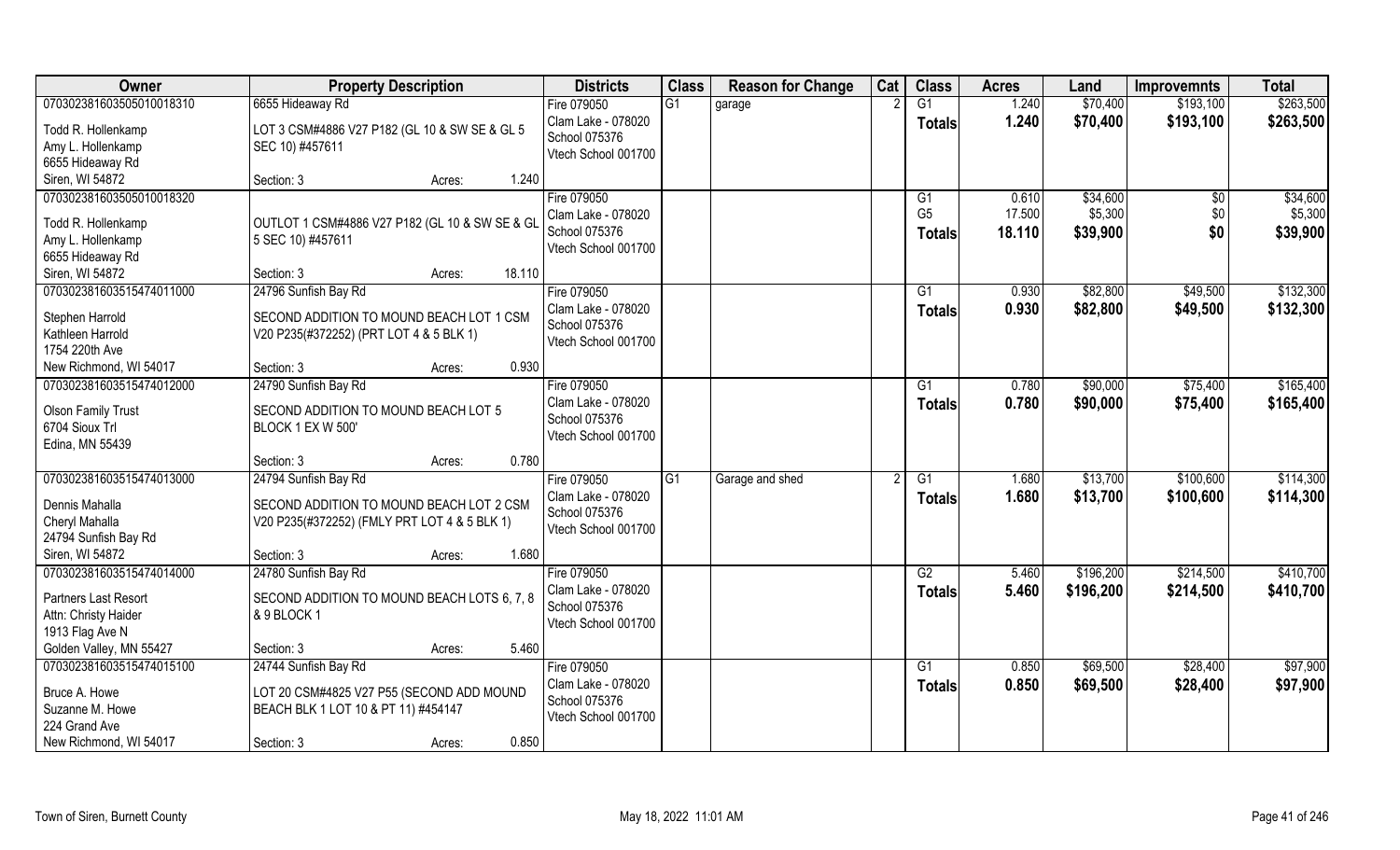| <b>Owner</b>                                                                                            | <b>Property Description</b>                                                                                                               | <b>Districts</b>                                                          | <b>Class</b>    | <b>Reason for Change</b> | Cat | <b>Class</b>                   | <b>Acres</b>              | Land                            | <b>Improvemnts</b>     | <b>Total</b>                    |
|---------------------------------------------------------------------------------------------------------|-------------------------------------------------------------------------------------------------------------------------------------------|---------------------------------------------------------------------------|-----------------|--------------------------|-----|--------------------------------|---------------------------|---------------------------------|------------------------|---------------------------------|
| 070302381603505010018310                                                                                | 6655 Hideaway Rd                                                                                                                          | Fire 079050                                                               | $\overline{G1}$ | garage                   |     | $\overline{G1}$                | 1.240                     | \$70,400                        | \$193,100              | \$263,500                       |
| Todd R. Hollenkamp<br>Amy L. Hollenkamp<br>6655 Hideaway Rd                                             | LOT 3 CSM#4886 V27 P182 (GL 10 & SW SE & GL 5<br>SEC 10) #457611                                                                          | Clam Lake - 078020<br>School 075376<br>Vtech School 001700                |                 |                          |     | <b>Totals</b>                  | 1.240                     | \$70,400                        | \$193,100              | \$263,500                       |
| Siren, WI 54872                                                                                         | 1.240<br>Section: 3<br>Acres:                                                                                                             |                                                                           |                 |                          |     |                                |                           |                                 |                        |                                 |
| 070302381603505010018320<br>Todd R. Hollenkamp<br>Amy L. Hollenkamp<br>6655 Hideaway Rd                 | OUTLOT 1 CSM#4886 V27 P182 (GL 10 & SW SE & GL<br>5 SEC 10) #457611                                                                       | Fire 079050<br>Clam Lake - 078020<br>School 075376<br>Vtech School 001700 |                 |                          |     | G1<br>G <sub>5</sub><br>Totals | 0.610<br>17.500<br>18.110 | \$34,600<br>\$5,300<br>\$39,900 | \$0<br>\$0<br>\$0      | \$34,600<br>\$5,300<br>\$39,900 |
| Siren, WI 54872                                                                                         | 18.110<br>Section: 3<br>Acres:                                                                                                            |                                                                           |                 |                          |     |                                |                           |                                 |                        |                                 |
| 070302381603515474011000<br>Stephen Harrold<br>Kathleen Harrold<br>1754 220th Ave                       | 24796 Sunfish Bay Rd<br>SECOND ADDITION TO MOUND BEACH LOT 1 CSM<br>V20 P235(#372252) (PRT LOT 4 & 5 BLK 1)                               | Fire 079050<br>Clam Lake - 078020<br>School 075376<br>Vtech School 001700 |                 |                          |     | G1<br><b>Totals</b>            | 0.930<br>0.930            | \$82,800<br>\$82,800            | \$49,500<br>\$49,500   | \$132,300<br>\$132,300          |
| New Richmond, WI 54017                                                                                  | 0.930<br>Section: 3<br>Acres:                                                                                                             |                                                                           |                 |                          |     |                                |                           |                                 |                        |                                 |
| 070302381603515474012000<br><b>Olson Family Trust</b><br>6704 Sioux Trl<br>Edina, MN 55439              | 24790 Sunfish Bay Rd<br>SECOND ADDITION TO MOUND BEACH LOT 5<br>BLOCK 1 EX W 500'                                                         | Fire 079050<br>Clam Lake - 078020<br>School 075376<br>Vtech School 001700 |                 |                          |     | G1<br><b>Totals</b>            | 0.780<br>0.780            | \$90,000<br>\$90,000            | \$75,400<br>\$75,400   | \$165,400<br>\$165,400          |
|                                                                                                         | 0.780<br>Section: 3<br>Acres:                                                                                                             |                                                                           |                 |                          |     |                                |                           |                                 |                        |                                 |
| 070302381603515474013000<br>Dennis Mahalla<br>Cheryl Mahalla<br>24794 Sunfish Bay Rd                    | 24794 Sunfish Bay Rd<br>SECOND ADDITION TO MOUND BEACH LOT 2 CSM<br>V20 P235(#372252) (FMLY PRT LOT 4 & 5 BLK 1)                          | Fire 079050<br>Clam Lake - 078020<br>School 075376<br>Vtech School 001700 | $\overline{G1}$ | Garage and shed          |     | $\overline{G1}$<br>Totals      | 1.680<br>1.680            | \$13,700<br>\$13,700            | \$100,600<br>\$100,600 | \$114,300<br>\$114,300          |
| Siren, WI 54872                                                                                         | 1.680<br>Section: 3<br>Acres:                                                                                                             |                                                                           |                 |                          |     |                                |                           |                                 |                        |                                 |
| 070302381603515474014000<br>Partners Last Resort<br>Attn: Christy Haider<br>1913 Flag Ave N             | 24780 Sunfish Bay Rd<br>SECOND ADDITION TO MOUND BEACH LOTS 6, 7, 8<br>& 9 BLOCK 1                                                        | Fire 079050<br>Clam Lake - 078020<br>School 075376<br>Vtech School 001700 |                 |                          |     | G2<br><b>Totals</b>            | 5.460<br>5.460            | \$196,200<br>\$196,200          | \$214,500<br>\$214,500 | \$410,700<br>\$410,700          |
| Golden Valley, MN 55427                                                                                 | 5.460<br>Section: 3<br>Acres:                                                                                                             |                                                                           |                 |                          |     |                                |                           |                                 |                        |                                 |
| 070302381603515474015100<br>Bruce A. Howe<br>Suzanne M. Howe<br>224 Grand Ave<br>New Richmond, WI 54017 | 24744 Sunfish Bay Rd<br>LOT 20 CSM#4825 V27 P55 (SECOND ADD MOUND<br>BEACH BLK 1 LOT 10 & PT 11) #454147<br>0.850<br>Section: 3<br>Acres: | Fire 079050<br>Clam Lake - 078020<br>School 075376<br>Vtech School 001700 |                 |                          |     | G1<br><b>Totals</b>            | 0.850<br>0.850            | \$69,500<br>\$69,500            | \$28,400<br>\$28,400   | \$97,900<br>\$97,900            |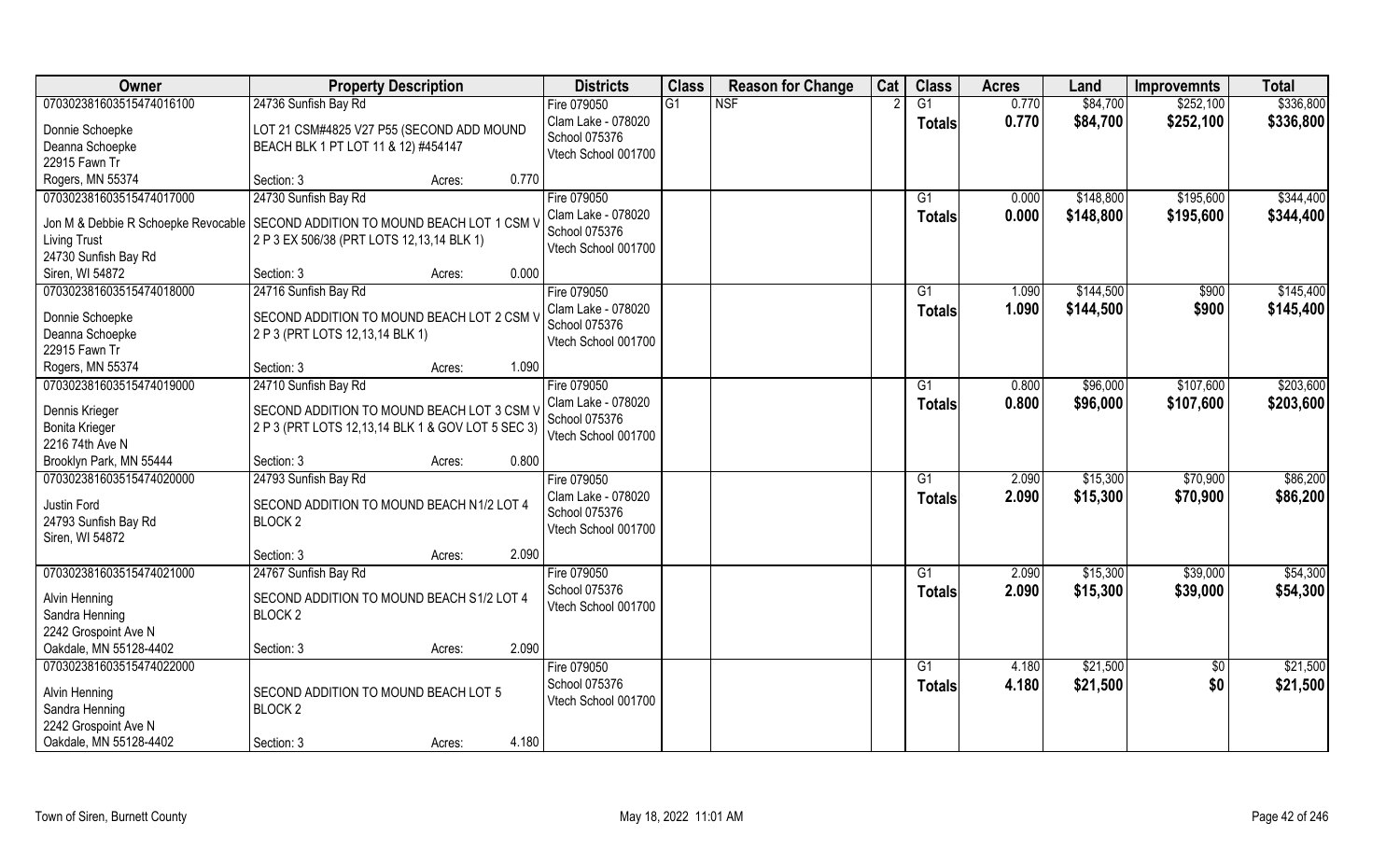| Owner                                                                            | <b>Property Description</b>                       |        |       | <b>Districts</b>                           | <b>Class</b>    | <b>Reason for Change</b> | Cat | <b>Class</b>    | <b>Acres</b> | Land      | <b>Improvemnts</b> | <b>Total</b> |
|----------------------------------------------------------------------------------|---------------------------------------------------|--------|-------|--------------------------------------------|-----------------|--------------------------|-----|-----------------|--------------|-----------|--------------------|--------------|
| 070302381603515474016100                                                         | 24736 Sunfish Bay Rd                              |        |       | Fire 079050                                | $\overline{G1}$ | <b>NSF</b>               |     | $\overline{G1}$ | 0.770        | \$84,700  | \$252,100          | \$336,800    |
| Donnie Schoepke                                                                  | LOT 21 CSM#4825 V27 P55 (SECOND ADD MOUND         |        |       | Clam Lake - 078020<br>School 075376        |                 |                          |     | <b>Totals</b>   | 0.770        | \$84,700  | \$252,100          | \$336,800    |
| Deanna Schoepke                                                                  | BEACH BLK 1 PT LOT 11 & 12) #454147               |        |       | Vtech School 001700                        |                 |                          |     |                 |              |           |                    |              |
| 22915 Fawn Tr                                                                    |                                                   |        |       |                                            |                 |                          |     |                 |              |           |                    |              |
| Rogers, MN 55374                                                                 | Section: 3                                        | Acres: | 0.770 |                                            |                 |                          |     |                 |              |           |                    |              |
| 070302381603515474017000                                                         | 24730 Sunfish Bay Rd                              |        |       | Fire 079050                                |                 |                          |     | $\overline{G1}$ | 0.000        | \$148,800 | \$195,600          | \$344,400    |
| Jon M & Debbie R Schoepke Revocable   SECOND ADDITION TO MOUND BEACH LOT 1 CSM V |                                                   |        |       | Clam Lake - 078020<br><b>School 075376</b> |                 |                          |     | Totals          | 0.000        | \$148,800 | \$195,600          | \$344,400    |
| <b>Living Trust</b>                                                              | 2 P 3 EX 506/38 (PRT LOTS 12,13,14 BLK 1)         |        |       | Vtech School 001700                        |                 |                          |     |                 |              |           |                    |              |
| 24730 Sunfish Bay Rd                                                             |                                                   |        |       |                                            |                 |                          |     |                 |              |           |                    |              |
| Siren, WI 54872                                                                  | Section: 3                                        | Acres: | 0.000 |                                            |                 |                          |     |                 |              |           |                    |              |
| 070302381603515474018000                                                         | 24716 Sunfish Bay Rd                              |        |       | Fire 079050                                |                 |                          |     | G1              | 1.090        | \$144,500 | \$900              | \$145,400    |
| Donnie Schoepke                                                                  | SECOND ADDITION TO MOUND BEACH LOT 2 CSM V        |        |       | Clam Lake - 078020<br><b>School 075376</b> |                 |                          |     | <b>Totals</b>   | 1.090        | \$144,500 | \$900              | \$145,400    |
| Deanna Schoepke                                                                  | 2 P 3 (PRT LOTS 12,13,14 BLK 1)                   |        |       | Vtech School 001700                        |                 |                          |     |                 |              |           |                    |              |
| 22915 Fawn Tr                                                                    |                                                   |        |       |                                            |                 |                          |     |                 |              |           |                    |              |
| Rogers, MN 55374                                                                 | Section: 3                                        | Acres: | 1.090 |                                            |                 |                          |     |                 |              |           |                    |              |
| 070302381603515474019000                                                         | 24710 Sunfish Bay Rd                              |        |       | Fire 079050                                |                 |                          |     | G1              | 0.800        | \$96,000  | \$107,600          | \$203,600    |
| Dennis Krieger                                                                   | SECOND ADDITION TO MOUND BEACH LOT 3 CSM V        |        |       | Clam Lake - 078020                         |                 |                          |     | <b>Totals</b>   | 0.800        | \$96,000  | \$107,600          | \$203,600    |
| <b>Bonita Krieger</b>                                                            | 2 P 3 (PRT LOTS 12,13,14 BLK 1 & GOV LOT 5 SEC 3) |        |       | School 075376                              |                 |                          |     |                 |              |           |                    |              |
| 2216 74th Ave N                                                                  |                                                   |        |       | Vtech School 001700                        |                 |                          |     |                 |              |           |                    |              |
| Brooklyn Park, MN 55444                                                          | Section: 3                                        | Acres: | 0.800 |                                            |                 |                          |     |                 |              |           |                    |              |
| 070302381603515474020000                                                         | 24793 Sunfish Bay Rd                              |        |       | Fire 079050                                |                 |                          |     | $\overline{G1}$ | 2.090        | \$15,300  | \$70,900           | \$86,200     |
| Justin Ford                                                                      | SECOND ADDITION TO MOUND BEACH N1/2 LOT 4         |        |       | Clam Lake - 078020                         |                 |                          |     | Totals          | 2.090        | \$15,300  | \$70,900           | \$86,200     |
| 24793 Sunfish Bay Rd                                                             | BLOCK <sub>2</sub>                                |        |       | School 075376                              |                 |                          |     |                 |              |           |                    |              |
| Siren, WI 54872                                                                  |                                                   |        |       | Vtech School 001700                        |                 |                          |     |                 |              |           |                    |              |
|                                                                                  | Section: 3                                        | Acres: | 2.090 |                                            |                 |                          |     |                 |              |           |                    |              |
| 070302381603515474021000                                                         | 24767 Sunfish Bay Rd                              |        |       | Fire 079050                                |                 |                          |     | G1              | 2.090        | \$15,300  | \$39,000           | \$54,300     |
| Alvin Henning                                                                    | SECOND ADDITION TO MOUND BEACH S1/2 LOT 4         |        |       | School 075376<br>Vtech School 001700       |                 |                          |     | Totals          | 2.090        | \$15,300  | \$39,000           | \$54,300     |
| Sandra Henning                                                                   | BLOCK <sub>2</sub>                                |        |       |                                            |                 |                          |     |                 |              |           |                    |              |
| 2242 Grospoint Ave N                                                             |                                                   |        |       |                                            |                 |                          |     |                 |              |           |                    |              |
| Oakdale, MN 55128-4402                                                           | Section: 3                                        | Acres: | 2.090 |                                            |                 |                          |     |                 |              |           |                    |              |
| 070302381603515474022000                                                         |                                                   |        |       | Fire 079050                                |                 |                          |     | G1              | 4.180        | \$21,500  | $\sqrt{6}$         | \$21,500     |
| Alvin Henning                                                                    | SECOND ADDITION TO MOUND BEACH LOT 5              |        |       | School 075376                              |                 |                          |     | <b>Totals</b>   | 4.180        | \$21,500  | \$0                | \$21,500     |
| Sandra Henning                                                                   | BLOCK <sub>2</sub>                                |        |       | Vtech School 001700                        |                 |                          |     |                 |              |           |                    |              |
| 2242 Grospoint Ave N                                                             |                                                   |        |       |                                            |                 |                          |     |                 |              |           |                    |              |
| Oakdale, MN 55128-4402                                                           | Section: 3                                        | Acres: | 4.180 |                                            |                 |                          |     |                 |              |           |                    |              |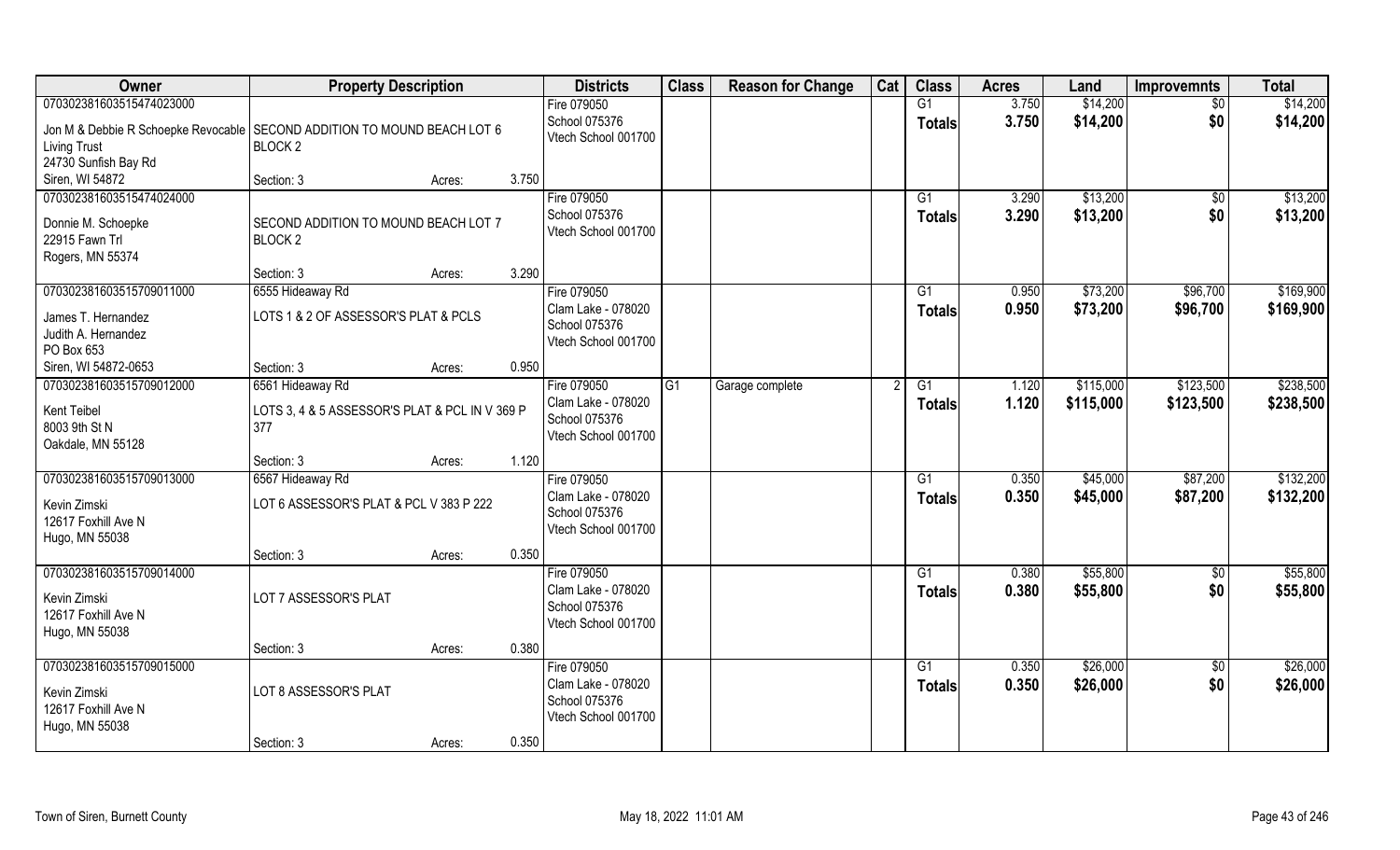| Owner                                                                      | <b>Property Description</b>                    |        |       | <b>Districts</b>                     | <b>Class</b>   | <b>Reason for Change</b> | Cat | <b>Class</b>  | <b>Acres</b> | Land      | <b>Improvemnts</b> | <b>Total</b> |
|----------------------------------------------------------------------------|------------------------------------------------|--------|-------|--------------------------------------|----------------|--------------------------|-----|---------------|--------------|-----------|--------------------|--------------|
| 070302381603515474023000                                                   |                                                |        |       | Fire 079050                          |                |                          |     | G1            | 3.750        | \$14,200  | \$0                | \$14,200     |
| Jon M & Debbie R Schoepke Revocable   SECOND ADDITION TO MOUND BEACH LOT 6 |                                                |        |       | School 075376<br>Vtech School 001700 |                |                          |     | <b>Totals</b> | 3.750        | \$14,200  | \$0                | \$14,200     |
| <b>Living Trust</b>                                                        | BLOCK <sub>2</sub>                             |        |       |                                      |                |                          |     |               |              |           |                    |              |
| 24730 Sunfish Bay Rd                                                       |                                                |        |       |                                      |                |                          |     |               |              |           |                    |              |
| Siren, WI 54872<br>070302381603515474024000                                | Section: 3                                     | Acres: | 3.750 | Fire 079050                          |                |                          |     | G1            | 3.290        | \$13,200  | $\overline{50}$    | \$13,200     |
|                                                                            |                                                |        |       | School 075376                        |                |                          |     | <b>Totals</b> | 3.290        | \$13,200  | \$0                | \$13,200     |
| Donnie M. Schoepke                                                         | SECOND ADDITION TO MOUND BEACH LOT 7           |        |       | Vtech School 001700                  |                |                          |     |               |              |           |                    |              |
| 22915 Fawn Trl                                                             | BLOCK <sub>2</sub>                             |        |       |                                      |                |                          |     |               |              |           |                    |              |
| Rogers, MN 55374                                                           | Section: 3                                     | Acres: | 3.290 |                                      |                |                          |     |               |              |           |                    |              |
| 070302381603515709011000                                                   | 6555 Hideaway Rd                               |        |       | Fire 079050                          |                |                          |     | G1            | 0.950        | \$73,200  | \$96,700           | \$169,900    |
|                                                                            |                                                |        |       | Clam Lake - 078020                   |                |                          |     | <b>Totals</b> | 0.950        | \$73,200  | \$96,700           | \$169,900    |
| James T. Hernandez                                                         | LOTS 1 & 2 OF ASSESSOR'S PLAT & PCLS           |        |       | School 075376                        |                |                          |     |               |              |           |                    |              |
| Judith A. Hernandez                                                        |                                                |        |       | Vtech School 001700                  |                |                          |     |               |              |           |                    |              |
| PO Box 653<br>Siren, WI 54872-0653                                         | Section: 3                                     | Acres: | 0.950 |                                      |                |                          |     |               |              |           |                    |              |
| 070302381603515709012000                                                   | 6561 Hideaway Rd                               |        |       | Fire 079050                          | G <sub>1</sub> | Garage complete          |     | G1            | 1.120        | \$115,000 | \$123,500          | \$238,500    |
|                                                                            |                                                |        |       | Clam Lake - 078020                   |                |                          |     | <b>Totals</b> | 1.120        | \$115,000 | \$123,500          | \$238,500    |
| Kent Teibel                                                                | LOTS 3, 4 & 5 ASSESSOR'S PLAT & PCL IN V 369 P |        |       | School 075376                        |                |                          |     |               |              |           |                    |              |
| 8003 9th St N                                                              | 377                                            |        |       | Vtech School 001700                  |                |                          |     |               |              |           |                    |              |
| Oakdale, MN 55128                                                          | Section: 3                                     | Acres: | 1.120 |                                      |                |                          |     |               |              |           |                    |              |
| 070302381603515709013000                                                   | 6567 Hideaway Rd                               |        |       | Fire 079050                          |                |                          |     | G1            | 0.350        | \$45,000  | \$87,200           | \$132,200    |
|                                                                            |                                                |        |       | Clam Lake - 078020                   |                |                          |     | <b>Totals</b> | 0.350        | \$45,000  | \$87,200           | \$132,200    |
| Kevin Zimski                                                               | LOT 6 ASSESSOR'S PLAT & PCL V 383 P 222        |        |       | School 075376                        |                |                          |     |               |              |           |                    |              |
| 12617 Foxhill Ave N<br>Hugo, MN 55038                                      |                                                |        |       | Vtech School 001700                  |                |                          |     |               |              |           |                    |              |
|                                                                            | Section: 3                                     | Acres: | 0.350 |                                      |                |                          |     |               |              |           |                    |              |
| 070302381603515709014000                                                   |                                                |        |       | Fire 079050                          |                |                          |     | G1            | 0.380        | \$55,800  | \$0                | \$55,800     |
|                                                                            |                                                |        |       | Clam Lake - 078020                   |                |                          |     | <b>Totals</b> | 0.380        | \$55,800  | \$0                | \$55,800     |
| Kevin Zimski<br>12617 Foxhill Ave N                                        | LOT 7 ASSESSOR'S PLAT                          |        |       | School 075376                        |                |                          |     |               |              |           |                    |              |
| Hugo, MN 55038                                                             |                                                |        |       | Vtech School 001700                  |                |                          |     |               |              |           |                    |              |
|                                                                            | Section: 3                                     | Acres: | 0.380 |                                      |                |                          |     |               |              |           |                    |              |
| 070302381603515709015000                                                   |                                                |        |       | Fire 079050                          |                |                          |     | G1            | 0.350        | \$26,000  | $\overline{50}$    | \$26,000     |
|                                                                            |                                                |        |       | Clam Lake - 078020                   |                |                          |     | <b>Totals</b> | 0.350        | \$26,000  | \$0                | \$26,000     |
| Kevin Zimski<br>12617 Foxhill Ave N                                        | LOT 8 ASSESSOR'S PLAT                          |        |       | School 075376                        |                |                          |     |               |              |           |                    |              |
| Hugo, MN 55038                                                             |                                                |        |       | Vtech School 001700                  |                |                          |     |               |              |           |                    |              |
|                                                                            | Section: 3                                     | Acres: | 0.350 |                                      |                |                          |     |               |              |           |                    |              |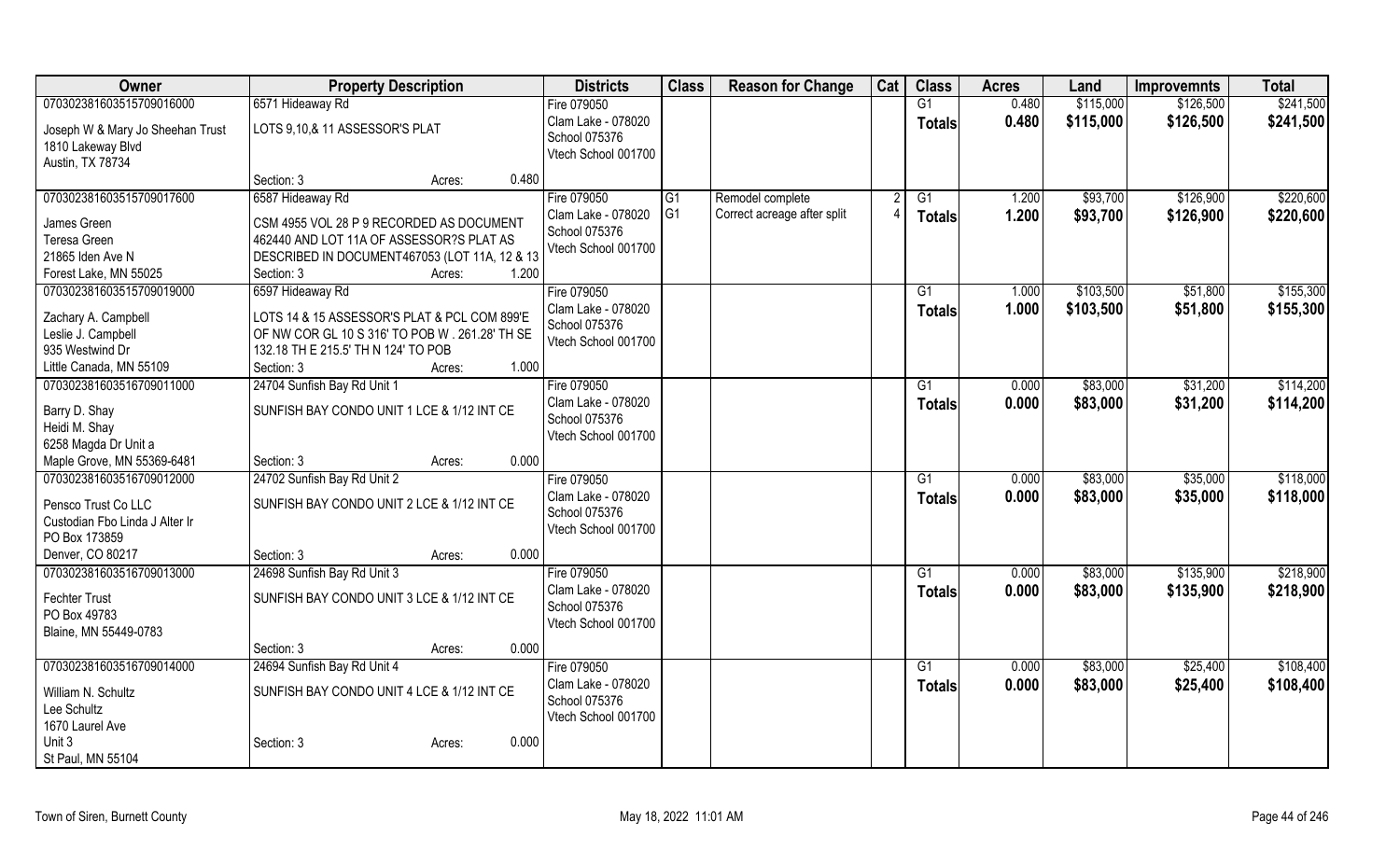| Owner                                                  | <b>Property Description</b>                                 |                 | <b>Districts</b>    | <b>Class</b>    | <b>Reason for Change</b>    | Cat | <b>Class</b>    | <b>Acres</b> | Land      | <b>Improvemnts</b> | <b>Total</b> |
|--------------------------------------------------------|-------------------------------------------------------------|-----------------|---------------------|-----------------|-----------------------------|-----|-----------------|--------------|-----------|--------------------|--------------|
| 070302381603515709016000                               | 6571 Hideaway Rd                                            |                 | Fire 079050         |                 |                             |     | G1              | 0.480        | \$115,000 | \$126,500          | \$241,500    |
| Joseph W & Mary Jo Sheehan Trust                       | LOTS 9,10,& 11 ASSESSOR'S PLAT                              |                 | Clam Lake - 078020  |                 |                             |     | <b>Totals</b>   | 0.480        | \$115,000 | \$126,500          | \$241,500    |
| 1810 Lakeway Blvd                                      |                                                             |                 | School 075376       |                 |                             |     |                 |              |           |                    |              |
| Austin, TX 78734                                       |                                                             |                 | Vtech School 001700 |                 |                             |     |                 |              |           |                    |              |
|                                                        | Section: 3                                                  | 0.480<br>Acres: |                     |                 |                             |     |                 |              |           |                    |              |
| 070302381603515709017600                               | 6587 Hideaway Rd                                            |                 | Fire 079050         | $\overline{G1}$ | Remodel complete            |     | G1              | 1.200        | \$93,700  | \$126,900          | \$220,600    |
|                                                        |                                                             |                 | Clam Lake - 078020  | G <sub>1</sub>  | Correct acreage after split |     | <b>Totals</b>   | 1.200        | \$93,700  | \$126,900          | \$220,600    |
| James Green<br>Teresa Green                            | CSM 4955 VOL 28 P 9 RECORDED AS DOCUMENT                    |                 | School 075376       |                 |                             |     |                 |              |           |                    |              |
| 21865 Iden Ave N                                       | 462440 AND LOT 11A OF ASSESSOR?S PLAT AS                    |                 | Vtech School 001700 |                 |                             |     |                 |              |           |                    |              |
|                                                        | DESCRIBED IN DOCUMENT467053 (LOT 11A, 12 & 13<br>Section: 3 | 1.200           |                     |                 |                             |     |                 |              |           |                    |              |
| Forest Lake, MN 55025                                  |                                                             | Acres:          |                     |                 |                             |     |                 |              |           |                    |              |
| 070302381603515709019000                               | 6597 Hideaway Rd                                            |                 | Fire 079050         |                 |                             |     | G1              | 1.000        | \$103,500 | \$51,800           | \$155,300    |
| Zachary A. Campbell                                    | LOTS 14 & 15 ASSESSOR'S PLAT & PCL COM 899'E                |                 | Clam Lake - 078020  |                 |                             |     | <b>Totals</b>   | 1.000        | \$103,500 | \$51,800           | \$155,300    |
| Leslie J. Campbell                                     | OF NW COR GL 10 S 316' TO POB W. 261.28' TH SE              |                 | School 075376       |                 |                             |     |                 |              |           |                    |              |
| 935 Westwind Dr                                        | 132.18 TH E 215.5' TH N 124' TO POB                         |                 | Vtech School 001700 |                 |                             |     |                 |              |           |                    |              |
| Little Canada, MN 55109                                | Section: 3                                                  | 1.000<br>Acres: |                     |                 |                             |     |                 |              |           |                    |              |
| 070302381603516709011000                               | 24704 Sunfish Bay Rd Unit 1                                 |                 | Fire 079050         |                 |                             |     | G1              | 0.000        | \$83,000  | \$31,200           | \$114,200    |
|                                                        | SUNFISH BAY CONDO UNIT 1 LCE & 1/12 INT CE                  |                 | Clam Lake - 078020  |                 |                             |     | <b>Totals</b>   | 0.000        | \$83,000  | \$31,200           | \$114,200    |
| Barry D. Shay                                          |                                                             |                 | School 075376       |                 |                             |     |                 |              |           |                    |              |
| Heidi M. Shay                                          |                                                             |                 | Vtech School 001700 |                 |                             |     |                 |              |           |                    |              |
| 6258 Magda Dr Unit a                                   | Section: 3                                                  | 0.000           |                     |                 |                             |     |                 |              |           |                    |              |
| Maple Grove, MN 55369-6481<br>070302381603516709012000 |                                                             | Acres:          | Fire 079050         |                 |                             |     |                 | 0.000        | \$83,000  | \$35,000           | \$118,000    |
|                                                        | 24702 Sunfish Bay Rd Unit 2                                 |                 | Clam Lake - 078020  |                 |                             |     | G1              |              |           |                    |              |
| Pensco Trust Co LLC                                    | SUNFISH BAY CONDO UNIT 2 LCE & 1/12 INT CE                  |                 | School 075376       |                 |                             |     | <b>Totals</b>   | 0.000        | \$83,000  | \$35,000           | \$118,000    |
| Custodian Fbo Linda J Alter Ir                         |                                                             |                 |                     |                 |                             |     |                 |              |           |                    |              |
| PO Box 173859                                          |                                                             |                 | Vtech School 001700 |                 |                             |     |                 |              |           |                    |              |
| Denver, CO 80217                                       | Section: 3                                                  | 0.000<br>Acres: |                     |                 |                             |     |                 |              |           |                    |              |
| 070302381603516709013000                               | 24698 Sunfish Bay Rd Unit 3                                 |                 | Fire 079050         |                 |                             |     | G1              | 0.000        | \$83,000  | \$135,900          | \$218,900    |
| <b>Fechter Trust</b>                                   | SUNFISH BAY CONDO UNIT 3 LCE & 1/12 INT CE                  |                 | Clam Lake - 078020  |                 |                             |     | <b>Totals</b>   | 0.000        | \$83,000  | \$135,900          | \$218,900    |
| PO Box 49783                                           |                                                             |                 | School 075376       |                 |                             |     |                 |              |           |                    |              |
| Blaine, MN 55449-0783                                  |                                                             |                 | Vtech School 001700 |                 |                             |     |                 |              |           |                    |              |
|                                                        | Section: 3                                                  | 0.000<br>Acres: |                     |                 |                             |     |                 |              |           |                    |              |
| 070302381603516709014000                               | 24694 Sunfish Bay Rd Unit 4                                 |                 | Fire 079050         |                 |                             |     | $\overline{G1}$ | 0.000        | \$83,000  | \$25,400           | \$108,400    |
|                                                        |                                                             |                 | Clam Lake - 078020  |                 |                             |     | <b>Totals</b>   | 0.000        | \$83,000  | \$25,400           | \$108,400    |
| William N. Schultz                                     | SUNFISH BAY CONDO UNIT 4 LCE & 1/12 INT CE                  |                 | School 075376       |                 |                             |     |                 |              |           |                    |              |
| Lee Schultz                                            |                                                             |                 | Vtech School 001700 |                 |                             |     |                 |              |           |                    |              |
| 1670 Laurel Ave                                        |                                                             |                 |                     |                 |                             |     |                 |              |           |                    |              |
| Unit 3                                                 | Section: 3                                                  | 0.000<br>Acres: |                     |                 |                             |     |                 |              |           |                    |              |
| St Paul, MN 55104                                      |                                                             |                 |                     |                 |                             |     |                 |              |           |                    |              |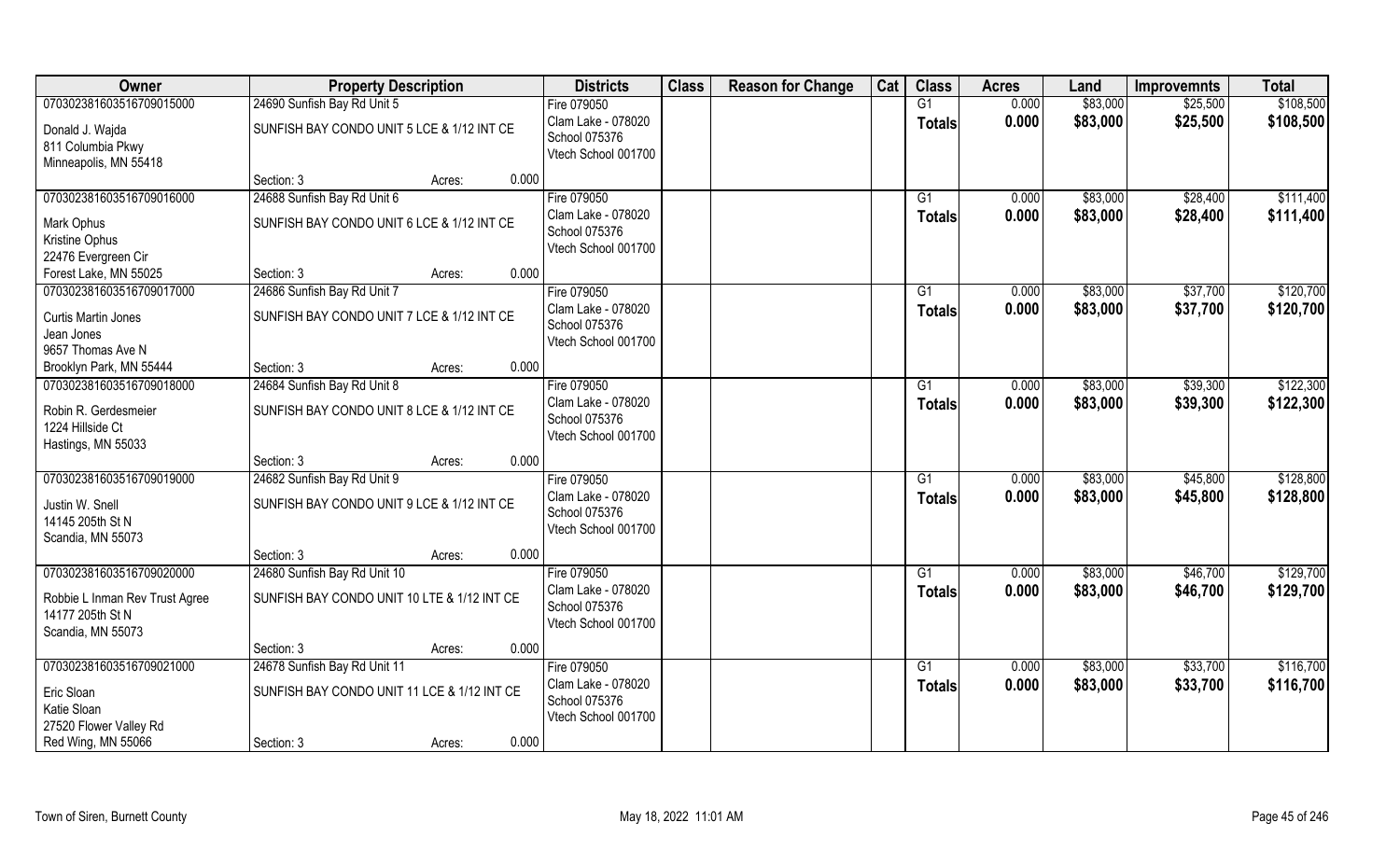| Owner                                                                                                 | <b>Property Description</b>                                                                                  | <b>Districts</b>                                                          | <b>Class</b> | <b>Reason for Change</b> | Cat | <b>Class</b>        | <b>Acres</b>   | Land                 | <b>Improvemnts</b>   | <b>Total</b>           |
|-------------------------------------------------------------------------------------------------------|--------------------------------------------------------------------------------------------------------------|---------------------------------------------------------------------------|--------------|--------------------------|-----|---------------------|----------------|----------------------|----------------------|------------------------|
| 070302381603516709015000<br>Donald J. Wajda<br>811 Columbia Pkwy<br>Minneapolis, MN 55418             | 24690 Sunfish Bay Rd Unit 5<br>SUNFISH BAY CONDO UNIT 5 LCE & 1/12 INT CE                                    | Fire 079050<br>Clam Lake - 078020<br>School 075376<br>Vtech School 001700 |              |                          |     | G1<br><b>Totals</b> | 0.000<br>0.000 | \$83,000<br>\$83,000 | \$25,500<br>\$25,500 | \$108,500<br>\$108,500 |
|                                                                                                       | Section: 3<br>0.000<br>Acres:                                                                                |                                                                           |              |                          |     |                     |                |                      |                      |                        |
| 070302381603516709016000<br>Mark Ophus<br>Kristine Ophus<br>22476 Evergreen Cir                       | 24688 Sunfish Bay Rd Unit 6<br>SUNFISH BAY CONDO UNIT 6 LCE & 1/12 INT CE                                    | Fire 079050<br>Clam Lake - 078020<br>School 075376<br>Vtech School 001700 |              |                          |     | G1<br>Totals        | 0.000<br>0.000 | \$83,000<br>\$83,000 | \$28,400<br>\$28,400 | \$111,400<br>\$111,400 |
| Forest Lake, MN 55025                                                                                 | 0.000<br>Section: 3<br>Acres:                                                                                |                                                                           |              |                          |     |                     |                |                      |                      |                        |
| 070302381603516709017000<br>Curtis Martin Jones<br>Jean Jones<br>9657 Thomas Ave N                    | 24686 Sunfish Bay Rd Unit 7<br>SUNFISH BAY CONDO UNIT 7 LCE & 1/12 INT CE                                    | Fire 079050<br>Clam Lake - 078020<br>School 075376<br>Vtech School 001700 |              |                          |     | G1<br><b>Totals</b> | 0.000<br>0.000 | \$83,000<br>\$83,000 | \$37,700<br>\$37,700 | \$120,700<br>\$120,700 |
| Brooklyn Park, MN 55444                                                                               | 0.000<br>Section: 3<br>Acres:                                                                                |                                                                           |              |                          |     |                     |                |                      |                      |                        |
| 070302381603516709018000<br>Robin R. Gerdesmeier<br>1224 Hillside Ct<br>Hastings, MN 55033            | 24684 Sunfish Bay Rd Unit 8<br>SUNFISH BAY CONDO UNIT 8 LCE & 1/12 INT CE                                    | Fire 079050<br>Clam Lake - 078020<br>School 075376<br>Vtech School 001700 |              |                          |     | G1<br><b>Totals</b> | 0.000<br>0.000 | \$83,000<br>\$83,000 | \$39,300<br>\$39,300 | \$122,300<br>\$122,300 |
|                                                                                                       | 0.000<br>Section: 3<br>Acres:                                                                                |                                                                           |              |                          |     |                     |                |                      |                      |                        |
| 070302381603516709019000<br>Justin W. Snell<br>14145 205th St N<br>Scandia, MN 55073                  | 24682 Sunfish Bay Rd Unit 9<br>SUNFISH BAY CONDO UNIT 9 LCE & 1/12 INT CE                                    | Fire 079050<br>Clam Lake - 078020<br>School 075376<br>Vtech School 001700 |              |                          |     | G1<br><b>Totals</b> | 0.000<br>0.000 | \$83,000<br>\$83,000 | \$45,800<br>\$45,800 | \$128,800<br>\$128,800 |
|                                                                                                       | 0.000<br>Section: 3<br>Acres:                                                                                |                                                                           |              |                          |     |                     |                |                      |                      |                        |
| 070302381603516709020000<br>Robbie L Inman Rev Trust Agree<br>14177 205th St N<br>Scandia, MN 55073   | 24680 Sunfish Bay Rd Unit 10<br>SUNFISH BAY CONDO UNIT 10 LTE & 1/12 INT CE                                  | Fire 079050<br>Clam Lake - 078020<br>School 075376<br>Vtech School 001700 |              |                          |     | G1<br><b>Totals</b> | 0.000<br>0.000 | \$83,000<br>\$83,000 | \$46,700<br>\$46,700 | \$129,700<br>\$129,700 |
|                                                                                                       | 0.000<br>Section: 3<br>Acres:                                                                                |                                                                           |              |                          |     |                     |                |                      |                      |                        |
| 070302381603516709021000<br>Eric Sloan<br>Katie Sloan<br>27520 Flower Valley Rd<br>Red Wing, MN 55066 | 24678 Sunfish Bay Rd Unit 11<br>SUNFISH BAY CONDO UNIT 11 LCE & 1/12 INT CE<br>0.000<br>Section: 3<br>Acres: | Fire 079050<br>Clam Lake - 078020<br>School 075376<br>Vtech School 001700 |              |                          |     | G1<br><b>Totals</b> | 0.000<br>0.000 | \$83,000<br>\$83,000 | \$33,700<br>\$33,700 | \$116,700<br>\$116,700 |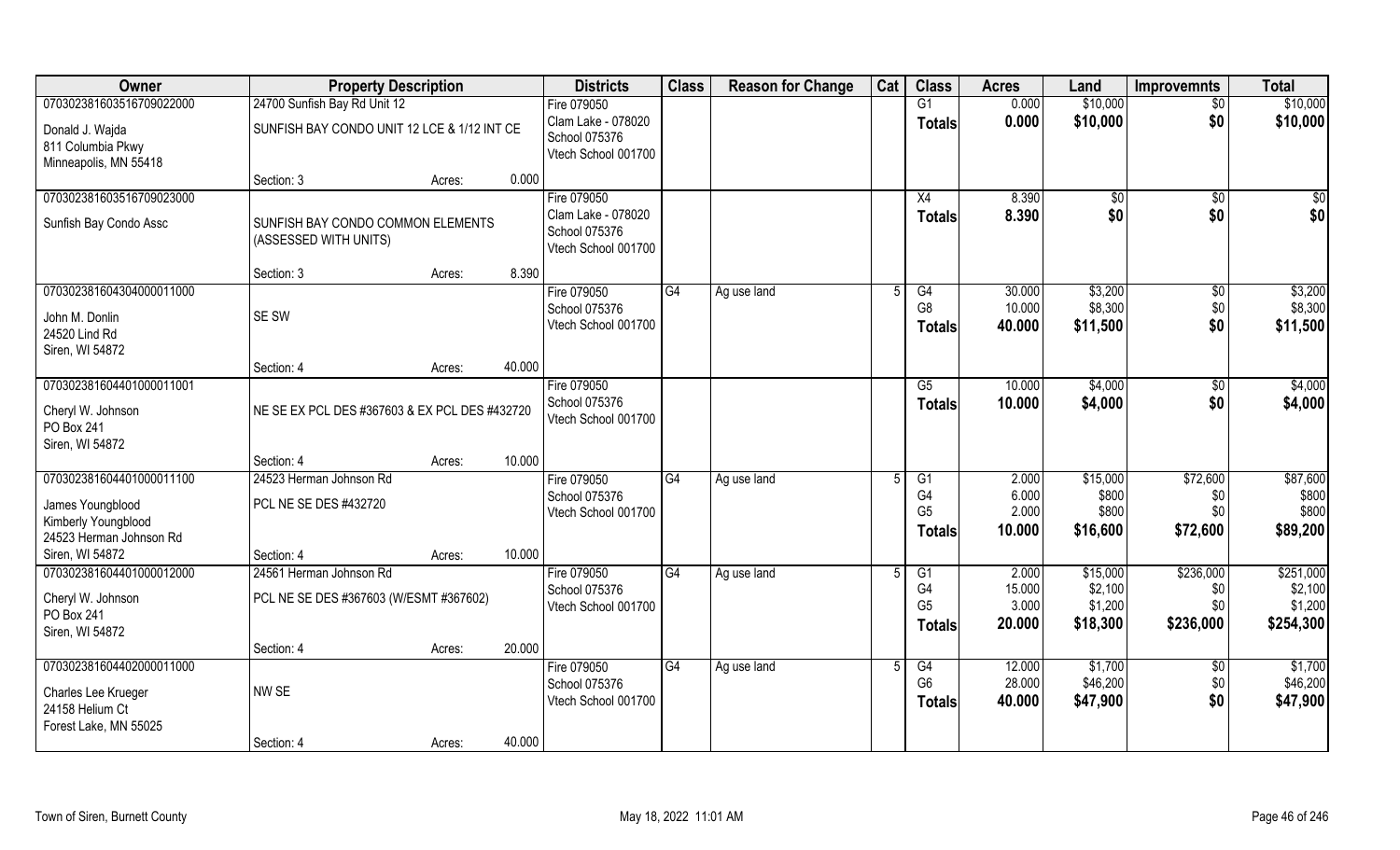| Owner                                                                                                             | <b>Property Description</b>                                    |        |        | <b>Districts</b>                                                          | <b>Class</b> | <b>Reason for Change</b> | Cat | <b>Class</b>                                             | <b>Acres</b>                      | Land                                   | <b>Improvemnts</b>                 | <b>Total</b>                           |
|-------------------------------------------------------------------------------------------------------------------|----------------------------------------------------------------|--------|--------|---------------------------------------------------------------------------|--------------|--------------------------|-----|----------------------------------------------------------|-----------------------------------|----------------------------------------|------------------------------------|----------------------------------------|
| 070302381603516709022000                                                                                          | 24700 Sunfish Bay Rd Unit 12                                   |        |        | Fire 079050                                                               |              |                          |     | G1                                                       | 0.000                             | \$10,000                               | $\overline{50}$                    | \$10,000                               |
| Donald J. Wajda<br>811 Columbia Pkwy<br>Minneapolis, MN 55418                                                     | SUNFISH BAY CONDO UNIT 12 LCE & 1/12 INT CE                    |        |        | Clam Lake - 078020<br>School 075376<br>Vtech School 001700                |              |                          |     | <b>Totals</b>                                            | 0.000                             | \$10,000                               | \$0                                | \$10,000                               |
|                                                                                                                   | Section: 3                                                     | Acres: | 0.000  |                                                                           |              |                          |     |                                                          |                                   |                                        |                                    |                                        |
| 070302381603516709023000<br>Sunfish Bay Condo Assc                                                                | SUNFISH BAY CONDO COMMON ELEMENTS<br>(ASSESSED WITH UNITS)     |        |        | Fire 079050<br>Clam Lake - 078020<br>School 075376<br>Vtech School 001700 |              |                          |     | X4<br><b>Totals</b>                                      | 8.390<br>8.390                    | $\sqrt[6]{}$<br>\$0                    | $\overline{50}$<br>\$0             | \$0<br>\$0                             |
|                                                                                                                   | Section: 3                                                     | Acres: | 8.390  |                                                                           |              |                          |     |                                                          |                                   |                                        |                                    |                                        |
| 070302381604304000011000<br>John M. Donlin<br>24520 Lind Rd<br>Siren, WI 54872                                    | SE SW                                                          |        |        | Fire 079050<br>School 075376<br>Vtech School 001700                       | G4           | Ag use land              | 5   | G4<br>G <sub>8</sub><br><b>Totals</b>                    | 30.000<br>10.000<br>40.000        | \$3,200<br>\$8,300<br>\$11,500         | $\sqrt[6]{30}$<br>\$0<br>\$0       | \$3,200<br>\$8,300<br>\$11,500         |
|                                                                                                                   | Section: 4                                                     | Acres: | 40.000 |                                                                           |              |                          |     |                                                          |                                   |                                        |                                    |                                        |
| 070302381604401000011001<br>Cheryl W. Johnson<br>PO Box 241<br>Siren, WI 54872                                    | NE SE EX PCL DES #367603 & EX PCL DES #432720                  |        |        | Fire 079050<br>School 075376<br>Vtech School 001700                       |              |                          |     | G5<br><b>Totals</b>                                      | 10.000<br>10.000                  | \$4,000<br>\$4,000                     | $\sqrt[6]{3}$<br>\$0               | \$4,000<br>\$4,000                     |
|                                                                                                                   | Section: 4                                                     | Acres: | 10.000 |                                                                           |              |                          |     |                                                          |                                   |                                        |                                    |                                        |
| 070302381604401000011100<br>James Youngblood<br>Kimberly Youngblood<br>24523 Herman Johnson Rd<br>Siren, WI 54872 | 24523 Herman Johnson Rd<br>PCL NE SE DES #432720<br>Section: 4 | Acres: | 10.000 | Fire 079050<br>School 075376<br>Vtech School 001700                       | G4           | Ag use land              | 5   | $\overline{G1}$<br>G4<br>G <sub>5</sub><br><b>Totals</b> | 2.000<br>6.000<br>2.000<br>10.000 | \$15,000<br>\$800<br>\$800<br>\$16,600 | \$72,600<br>\$0<br>\$0<br>\$72,600 | \$87,600<br>\$800<br>\$800<br>\$89,200 |
| 070302381604401000012000                                                                                          | 24561 Herman Johnson Rd                                        |        |        | Fire 079050                                                               | G4           | Ag use land              |     | G1                                                       | 2.000                             | \$15,000                               | \$236,000                          | \$251,000                              |
| Cheryl W. Johnson<br>PO Box 241<br>Siren, WI 54872                                                                | PCL NE SE DES #367603 (W/ESMT #367602)                         |        |        | School 075376<br>Vtech School 001700                                      |              |                          |     | G4<br>G <sub>5</sub><br><b>Totals</b>                    | 15.000<br>3.000<br>20.000         | \$2,100<br>\$1,200<br>\$18,300         | \$0<br>\$0<br>\$236,000            | \$2,100<br>\$1,200<br>\$254,300        |
|                                                                                                                   | Section: 4                                                     | Acres: | 20.000 |                                                                           |              |                          |     |                                                          |                                   |                                        |                                    |                                        |
| 070302381604402000011000<br>Charles Lee Krueger<br>24158 Helium Ct<br>Forest Lake, MN 55025                       | NW SE<br>Section: 4                                            | Acres: | 40.000 | Fire 079050<br>School 075376<br>Vtech School 001700                       | G4           | Ag use land              |     | G4<br>G <sub>6</sub><br><b>Totals</b>                    | 12.000<br>28.000<br>40.000        | \$1,700<br>\$46,200<br>\$47,900        | $\overline{30}$<br>\$0<br>\$0      | \$1,700<br>\$46,200<br>\$47,900        |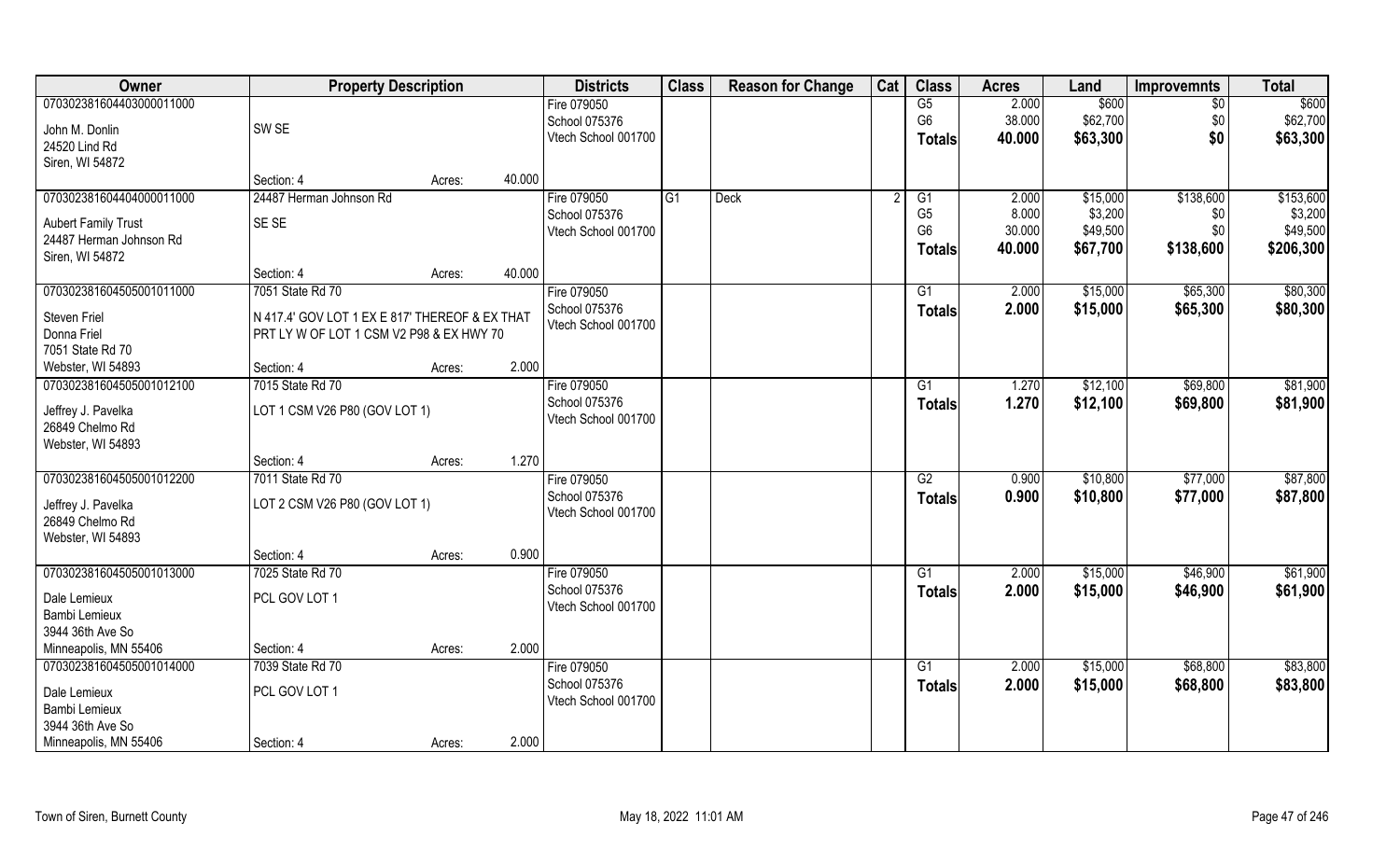| Owner                                 | <b>Property Description</b>                    |        |        | <b>Districts</b>    | <b>Class</b> | <b>Reason for Change</b> | Cat | <b>Class</b>    | <b>Acres</b> | Land     | <b>Improvemnts</b> | <b>Total</b> |
|---------------------------------------|------------------------------------------------|--------|--------|---------------------|--------------|--------------------------|-----|-----------------|--------------|----------|--------------------|--------------|
| 070302381604403000011000              |                                                |        |        | Fire 079050         |              |                          |     | $\overline{G5}$ | 2.000        | \$600    | $\sqrt{6}$         | \$600        |
| John M. Donlin                        | SW <sub>SE</sub>                               |        |        | School 075376       |              |                          |     | G <sub>6</sub>  | 38.000       | \$62,700 | \$0                | \$62,700     |
| 24520 Lind Rd                         |                                                |        |        | Vtech School 001700 |              |                          |     | <b>Totals</b>   | 40.000       | \$63,300 | \$0                | \$63,300     |
| Siren, WI 54872                       |                                                |        |        |                     |              |                          |     |                 |              |          |                    |              |
|                                       | Section: 4                                     | Acres: | 40.000 |                     |              |                          |     |                 |              |          |                    |              |
| 070302381604404000011000              | 24487 Herman Johnson Rd                        |        |        | Fire 079050         | G1           | <b>Deck</b>              |     | G1              | 2.000        | \$15,000 | \$138,600          | \$153,600    |
| <b>Aubert Family Trust</b>            | SE SE                                          |        |        | School 075376       |              |                          |     | G <sub>5</sub>  | 8.000        | \$3,200  | \$0                | \$3,200      |
| 24487 Herman Johnson Rd               |                                                |        |        | Vtech School 001700 |              |                          |     | G <sub>6</sub>  | 30.000       | \$49,500 | \$0                | \$49,500     |
| Siren, WI 54872                       |                                                |        |        |                     |              |                          |     | <b>Totals</b>   | 40.000       | \$67,700 | \$138,600          | \$206,300    |
|                                       | Section: 4                                     | Acres: | 40.000 |                     |              |                          |     |                 |              |          |                    |              |
| 070302381604505001011000              | 7051 State Rd 70                               |        |        | Fire 079050         |              |                          |     | G1              | 2.000        | \$15,000 | \$65,300           | \$80,300     |
| Steven Friel                          | N 417.4' GOV LOT 1 EX E 817' THEREOF & EX THAT |        |        | School 075376       |              |                          |     | <b>Totals</b>   | 2.000        | \$15,000 | \$65,300           | \$80,300     |
| Donna Friel                           | PRT LY W OF LOT 1 CSM V2 P98 & EX HWY 70       |        |        | Vtech School 001700 |              |                          |     |                 |              |          |                    |              |
| 7051 State Rd 70                      |                                                |        |        |                     |              |                          |     |                 |              |          |                    |              |
| Webster, WI 54893                     | Section: 4                                     | Acres: | 2.000  |                     |              |                          |     |                 |              |          |                    |              |
| 070302381604505001012100              | 7015 State Rd 70                               |        |        | Fire 079050         |              |                          |     | G1              | 1.270        | \$12,100 | \$69,800           | \$81,900     |
| Jeffrey J. Pavelka                    | LOT 1 CSM V26 P80 (GOV LOT 1)                  |        |        | School 075376       |              |                          |     | <b>Totals</b>   | 1.270        | \$12,100 | \$69,800           | \$81,900     |
| 26849 Chelmo Rd                       |                                                |        |        | Vtech School 001700 |              |                          |     |                 |              |          |                    |              |
| Webster, WI 54893                     |                                                |        |        |                     |              |                          |     |                 |              |          |                    |              |
|                                       | Section: 4                                     | Acres: | 1.270  |                     |              |                          |     |                 |              |          |                    |              |
| 070302381604505001012200              | 7011 State Rd 70                               |        |        | Fire 079050         |              |                          |     | $\overline{G2}$ | 0.900        | \$10,800 | \$77,000           | \$87,800     |
|                                       | LOT 2 CSM V26 P80 (GOV LOT 1)                  |        |        | School 075376       |              |                          |     | <b>Totals</b>   | 0.900        | \$10,800 | \$77,000           | \$87,800     |
| Jeffrey J. Pavelka<br>26849 Chelmo Rd |                                                |        |        | Vtech School 001700 |              |                          |     |                 |              |          |                    |              |
| Webster, WI 54893                     |                                                |        |        |                     |              |                          |     |                 |              |          |                    |              |
|                                       | Section: 4                                     | Acres: | 0.900  |                     |              |                          |     |                 |              |          |                    |              |
| 070302381604505001013000              | 7025 State Rd 70                               |        |        | Fire 079050         |              |                          |     | G1              | 2.000        | \$15,000 | \$46,900           | \$61,900     |
| Dale Lemieux                          | PCL GOV LOT 1                                  |        |        | School 075376       |              |                          |     | <b>Totals</b>   | 2.000        | \$15,000 | \$46,900           | \$61,900     |
| Bambi Lemieux                         |                                                |        |        | Vtech School 001700 |              |                          |     |                 |              |          |                    |              |
| 3944 36th Ave So                      |                                                |        |        |                     |              |                          |     |                 |              |          |                    |              |
| Minneapolis, MN 55406                 | Section: 4                                     | Acres: | 2.000  |                     |              |                          |     |                 |              |          |                    |              |
| 070302381604505001014000              | 7039 State Rd 70                               |        |        | Fire 079050         |              |                          |     | $\overline{G1}$ | 2.000        | \$15,000 | \$68,800           | \$83,800     |
| Dale Lemieux                          | PCL GOV LOT 1                                  |        |        | School 075376       |              |                          |     | <b>Totals</b>   | 2.000        | \$15,000 | \$68,800           | \$83,800     |
| Bambi Lemieux                         |                                                |        |        | Vtech School 001700 |              |                          |     |                 |              |          |                    |              |
| 3944 36th Ave So                      |                                                |        |        |                     |              |                          |     |                 |              |          |                    |              |
| Minneapolis, MN 55406                 | Section: 4                                     | Acres: | 2.000  |                     |              |                          |     |                 |              |          |                    |              |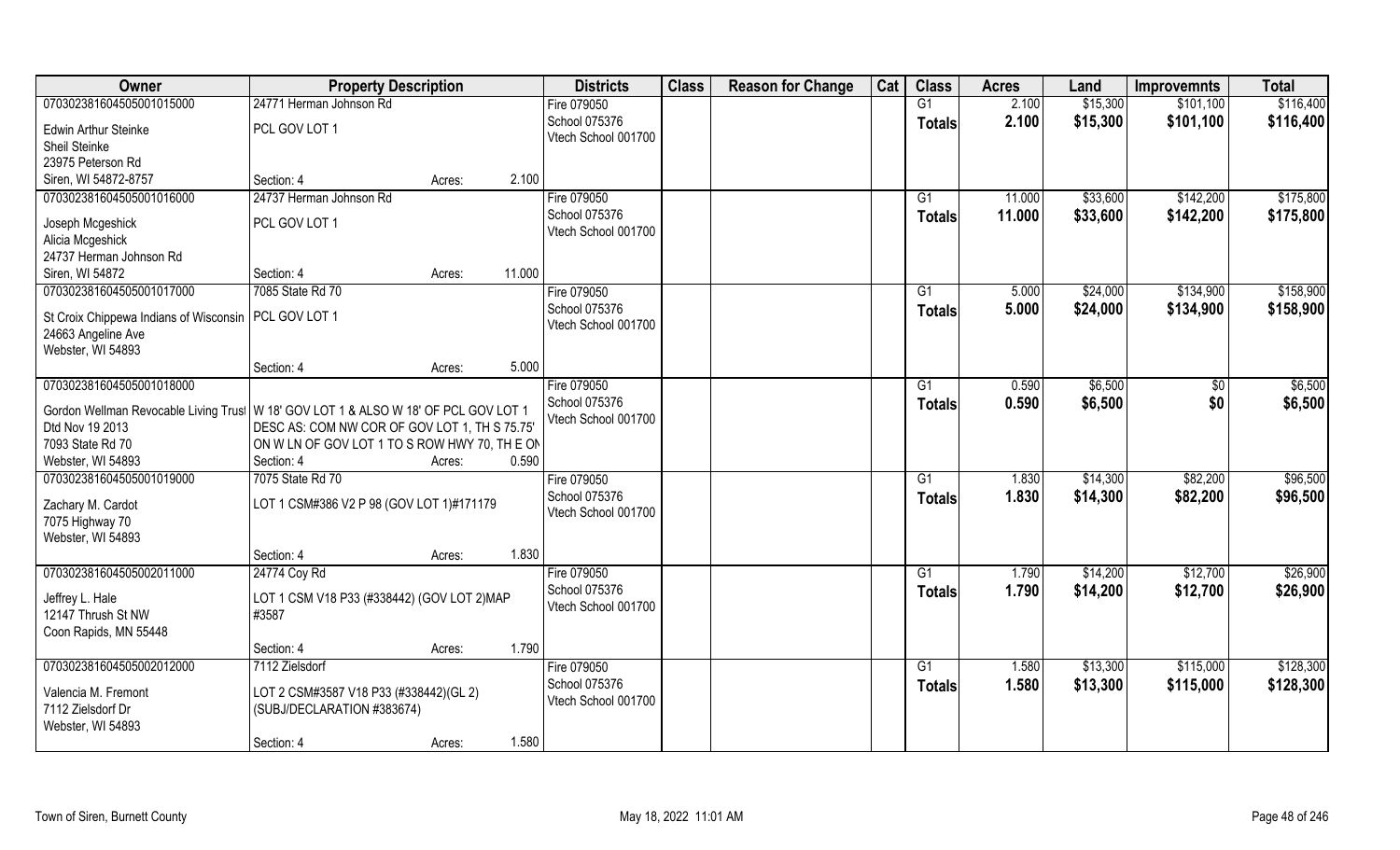| Owner                                                                                 | <b>Property Description</b>                   |                  | <b>Districts</b>             | <b>Class</b> | <b>Reason for Change</b> | Cat | <b>Class</b>    | <b>Acres</b> | Land     | <b>Improvemnts</b> | <b>Total</b> |
|---------------------------------------------------------------------------------------|-----------------------------------------------|------------------|------------------------------|--------------|--------------------------|-----|-----------------|--------------|----------|--------------------|--------------|
| 070302381604505001015000                                                              | 24771 Herman Johnson Rd                       |                  | Fire 079050                  |              |                          |     | G1              | 2.100        | \$15,300 | \$101,100          | \$116,400    |
| Edwin Arthur Steinke                                                                  | PCL GOV LOT 1                                 |                  | School 075376                |              |                          |     | <b>Totals</b>   | 2.100        | \$15,300 | \$101,100          | \$116,400    |
| Sheil Steinke                                                                         |                                               |                  | Vtech School 001700          |              |                          |     |                 |              |          |                    |              |
| 23975 Peterson Rd                                                                     |                                               |                  |                              |              |                          |     |                 |              |          |                    |              |
| Siren, WI 54872-8757                                                                  | Section: 4                                    | 2.100<br>Acres:  |                              |              |                          |     |                 |              |          |                    |              |
| 070302381604505001016000                                                              | 24737 Herman Johnson Rd                       |                  | Fire 079050<br>School 075376 |              |                          |     | G1              | 11.000       | \$33,600 | \$142,200          | \$175,800    |
| Joseph Mcgeshick                                                                      | PCL GOV LOT 1                                 |                  | Vtech School 001700          |              |                          |     | <b>Totals</b>   | 11.000       | \$33,600 | \$142,200          | \$175,800    |
| Alicia Mcgeshick                                                                      |                                               |                  |                              |              |                          |     |                 |              |          |                    |              |
| 24737 Herman Johnson Rd                                                               |                                               |                  |                              |              |                          |     |                 |              |          |                    |              |
| Siren, WI 54872                                                                       | Section: 4                                    | 11.000<br>Acres: |                              |              |                          |     |                 |              |          |                    |              |
| 070302381604505001017000                                                              | 7085 State Rd 70                              |                  | Fire 079050                  |              |                          |     | G1              | 5.000        | \$24,000 | \$134,900          | \$158,900    |
|                                                                                       |                                               |                  | School 075376                |              |                          |     | <b>Totals</b>   | 5.000        | \$24,000 | \$134,900          | \$158,900    |
| St Croix Chippewa Indians of Wisconsin   PCL GOV LOT 1                                |                                               |                  | Vtech School 001700          |              |                          |     |                 |              |          |                    |              |
| 24663 Angeline Ave                                                                    |                                               |                  |                              |              |                          |     |                 |              |          |                    |              |
| Webster, WI 54893                                                                     | Section: 4                                    | 5.000<br>Acres:  |                              |              |                          |     |                 |              |          |                    |              |
| 070302381604505001018000                                                              |                                               |                  | Fire 079050                  |              |                          |     |                 | 0.590        | \$6,500  |                    | \$6,500      |
|                                                                                       |                                               |                  | School 075376                |              |                          |     | G1              |              |          | $\sqrt[6]{}$       |              |
| Gordon Wellman Revocable Living Trus!   W 18' GOV LOT 1 & ALSO W 18' OF PCL GOV LOT 1 |                                               |                  | Vtech School 001700          |              |                          |     | <b>Totals</b>   | 0.590        | \$6,500  | \$0                | \$6,500      |
| Dtd Nov 19 2013                                                                       | DESC AS: COM NW COR OF GOV LOT 1, TH S 75.75' |                  |                              |              |                          |     |                 |              |          |                    |              |
| 7093 State Rd 70                                                                      | ON W LN OF GOV LOT 1 TO S ROW HWY 70, TH E ON |                  |                              |              |                          |     |                 |              |          |                    |              |
| Webster, WI 54893                                                                     | Section: 4                                    | 0.590<br>Acres:  |                              |              |                          |     |                 |              |          |                    |              |
| 070302381604505001019000                                                              | 7075 State Rd 70                              |                  | Fire 079050                  |              |                          |     | G1              | 1.830        | \$14,300 | \$82,200           | \$96,500     |
|                                                                                       |                                               |                  | School 075376                |              |                          |     | <b>Totals</b>   | 1.830        | \$14,300 | \$82,200           | \$96,500     |
| Zachary M. Cardot                                                                     | LOT 1 CSM#386 V2 P 98 (GOV LOT 1)#171179      |                  | Vtech School 001700          |              |                          |     |                 |              |          |                    |              |
| 7075 Highway 70                                                                       |                                               |                  |                              |              |                          |     |                 |              |          |                    |              |
| Webster, WI 54893                                                                     |                                               |                  |                              |              |                          |     |                 |              |          |                    |              |
|                                                                                       | Section: 4                                    | 1.830<br>Acres:  |                              |              |                          |     |                 |              |          |                    |              |
| 070302381604505002011000                                                              | 24774 Coy Rd                                  |                  | Fire 079050                  |              |                          |     | G1              | 1.790        | \$14,200 | \$12,700           | \$26,900     |
| Jeffrey L. Hale                                                                       | LOT 1 CSM V18 P33 (#338442) (GOV LOT 2) MAP   |                  | School 075376                |              |                          |     | <b>Totals</b>   | 1.790        | \$14,200 | \$12,700           | \$26,900     |
| 12147 Thrush St NW                                                                    | #3587                                         |                  | Vtech School 001700          |              |                          |     |                 |              |          |                    |              |
| Coon Rapids, MN 55448                                                                 |                                               |                  |                              |              |                          |     |                 |              |          |                    |              |
|                                                                                       | Section: 4                                    | 1.790<br>Acres:  |                              |              |                          |     |                 |              |          |                    |              |
| 070302381604505002012000                                                              | 7112 Zielsdorf                                |                  | Fire 079050                  |              |                          |     | $\overline{G1}$ | 1.580        | \$13,300 | \$115,000          | \$128,300    |
|                                                                                       |                                               |                  | School 075376                |              |                          |     | <b>Totals</b>   | 1.580        | \$13,300 | \$115,000          | \$128,300    |
| Valencia M. Fremont                                                                   | LOT 2 CSM#3587 V18 P33 (#338442)(GL 2)        |                  | Vtech School 001700          |              |                          |     |                 |              |          |                    |              |
| 7112 Zielsdorf Dr                                                                     | (SUBJ/DECLARATION #383674)                    |                  |                              |              |                          |     |                 |              |          |                    |              |
| Webster, WI 54893                                                                     |                                               |                  |                              |              |                          |     |                 |              |          |                    |              |
|                                                                                       | Section: 4                                    | 1.580<br>Acres:  |                              |              |                          |     |                 |              |          |                    |              |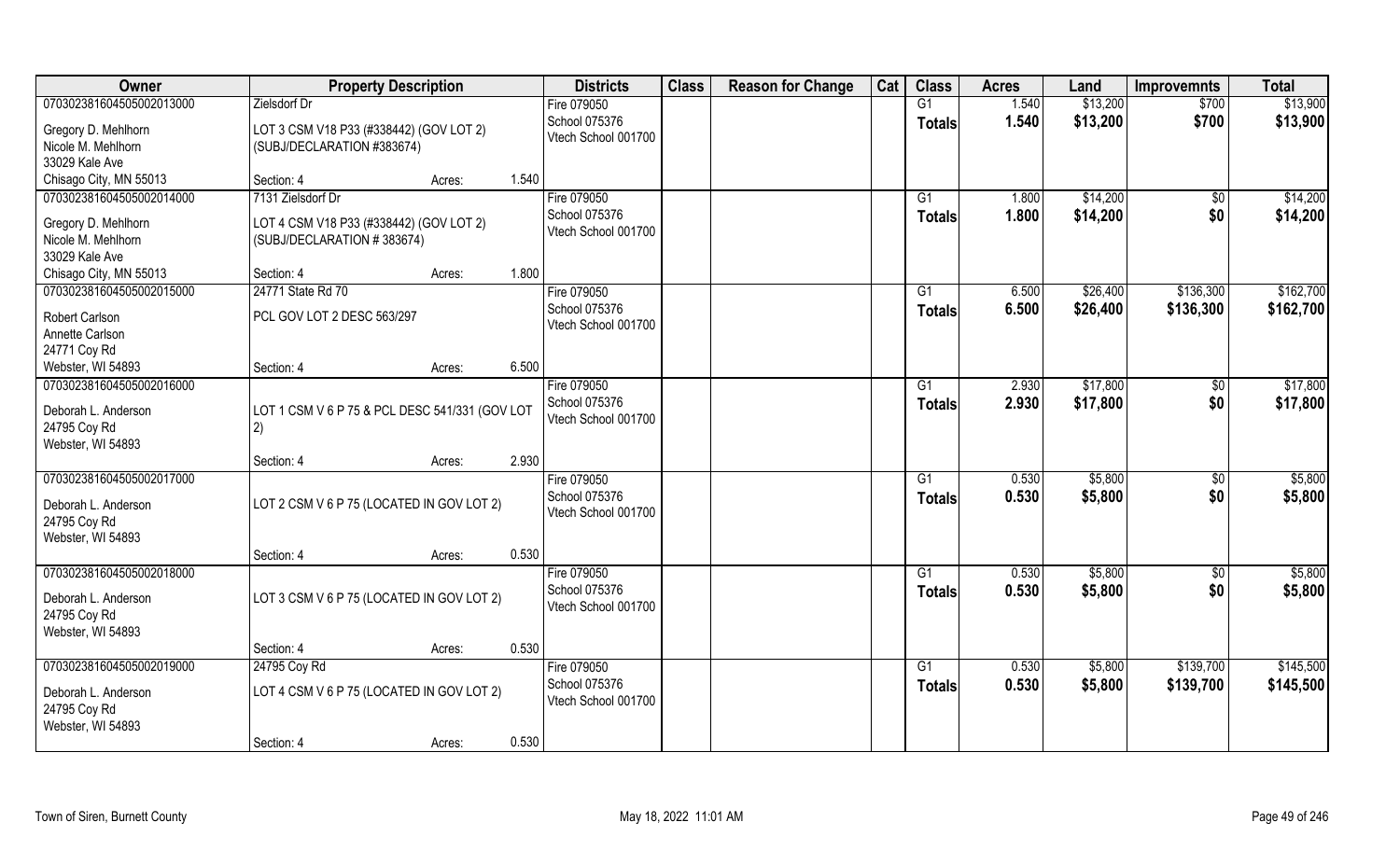| Owner                    | <b>Property Description</b>                    |        |       | <b>Districts</b>    | <b>Class</b> | <b>Reason for Change</b> | Cat | <b>Class</b>   | <b>Acres</b> | Land     | <b>Improvemnts</b> | <b>Total</b> |
|--------------------------|------------------------------------------------|--------|-------|---------------------|--------------|--------------------------|-----|----------------|--------------|----------|--------------------|--------------|
| 070302381604505002013000 | Zielsdorf Dr                                   |        |       | Fire 079050         |              |                          |     | G1             | 1.540        | \$13,200 | \$700              | \$13,900     |
| Gregory D. Mehlhorn      | LOT 3 CSM V18 P33 (#338442) (GOV LOT 2)        |        |       | School 075376       |              |                          |     | <b>Totals</b>  | 1.540        | \$13,200 | \$700              | \$13,900     |
| Nicole M. Mehlhorn       | (SUBJ/DECLARATION #383674)                     |        |       | Vtech School 001700 |              |                          |     |                |              |          |                    |              |
| 33029 Kale Ave           |                                                |        |       |                     |              |                          |     |                |              |          |                    |              |
| Chisago City, MN 55013   | Section: 4                                     | Acres: | 1.540 |                     |              |                          |     |                |              |          |                    |              |
| 070302381604505002014000 | 7131 Zielsdorf Dr                              |        |       | Fire 079050         |              |                          |     | G <sub>1</sub> | 1.800        | \$14,200 | $\overline{50}$    | \$14,200     |
| Gregory D. Mehlhorn      | LOT 4 CSM V18 P33 (#338442) (GOV LOT 2)        |        |       | School 075376       |              |                          |     | <b>Totals</b>  | 1.800        | \$14,200 | \$0                | \$14,200     |
| Nicole M. Mehlhorn       | (SUBJ/DECLARATION #383674)                     |        |       | Vtech School 001700 |              |                          |     |                |              |          |                    |              |
| 33029 Kale Ave           |                                                |        |       |                     |              |                          |     |                |              |          |                    |              |
| Chisago City, MN 55013   | Section: 4                                     | Acres: | 1.800 |                     |              |                          |     |                |              |          |                    |              |
| 070302381604505002015000 | 24771 State Rd 70                              |        |       | Fire 079050         |              |                          |     | G <sub>1</sub> | 6.500        | \$26,400 | \$136,300          | \$162,700    |
| Robert Carlson           | PCL GOV LOT 2 DESC 563/297                     |        |       | School 075376       |              |                          |     | <b>Totals</b>  | 6.500        | \$26,400 | \$136,300          | \$162,700    |
| Annette Carlson          |                                                |        |       | Vtech School 001700 |              |                          |     |                |              |          |                    |              |
| 24771 Coy Rd             |                                                |        |       |                     |              |                          |     |                |              |          |                    |              |
| Webster, WI 54893        | Section: 4                                     | Acres: | 6.500 |                     |              |                          |     |                |              |          |                    |              |
| 070302381604505002016000 |                                                |        |       | Fire 079050         |              |                          |     | G <sub>1</sub> | 2.930        | \$17,800 | \$0                | \$17,800     |
| Deborah L. Anderson      | LOT 1 CSM V 6 P 75 & PCL DESC 541/331 (GOV LOT |        |       | School 075376       |              |                          |     | <b>Totals</b>  | 2.930        | \$17,800 | \$0                | \$17,800     |
| 24795 Coy Rd             | 2)                                             |        |       | Vtech School 001700 |              |                          |     |                |              |          |                    |              |
| Webster, WI 54893        |                                                |        |       |                     |              |                          |     |                |              |          |                    |              |
|                          | Section: 4                                     | Acres: | 2.930 |                     |              |                          |     |                |              |          |                    |              |
| 070302381604505002017000 |                                                |        |       | Fire 079050         |              |                          |     | G1             | 0.530        | \$5,800  | $\sqrt[6]{3}$      | \$5,800      |
| Deborah L. Anderson      | LOT 2 CSM V 6 P 75 (LOCATED IN GOV LOT 2)      |        |       | School 075376       |              |                          |     | <b>Totals</b>  | 0.530        | \$5,800  | \$0                | \$5,800      |
| 24795 Coy Rd             |                                                |        |       | Vtech School 001700 |              |                          |     |                |              |          |                    |              |
| Webster, WI 54893        |                                                |        |       |                     |              |                          |     |                |              |          |                    |              |
|                          | Section: 4                                     | Acres: | 0.530 |                     |              |                          |     |                |              |          |                    |              |
| 070302381604505002018000 |                                                |        |       | Fire 079050         |              |                          |     | G <sub>1</sub> | 0.530        | \$5,800  | \$0                | \$5,800      |
| Deborah L. Anderson      | LOT 3 CSM V 6 P 75 (LOCATED IN GOV LOT 2)      |        |       | School 075376       |              |                          |     | <b>Totals</b>  | 0.530        | \$5,800  | \$0                | \$5,800      |
| 24795 Coy Rd             |                                                |        |       | Vtech School 001700 |              |                          |     |                |              |          |                    |              |
| Webster, WI 54893        |                                                |        |       |                     |              |                          |     |                |              |          |                    |              |
|                          | Section: 4                                     | Acres: | 0.530 |                     |              |                          |     |                |              |          |                    |              |
| 070302381604505002019000 | 24795 Coy Rd                                   |        |       | Fire 079050         |              |                          |     | G1             | 0.530        | \$5,800  | \$139,700          | \$145,500    |
| Deborah L. Anderson      | LOT 4 CSM V 6 P 75 (LOCATED IN GOV LOT 2)      |        |       | School 075376       |              |                          |     | <b>Totals</b>  | 0.530        | \$5,800  | \$139,700          | \$145,500    |
| 24795 Coy Rd             |                                                |        |       | Vtech School 001700 |              |                          |     |                |              |          |                    |              |
| Webster, WI 54893        |                                                |        |       |                     |              |                          |     |                |              |          |                    |              |
|                          | Section: 4                                     | Acres: | 0.530 |                     |              |                          |     |                |              |          |                    |              |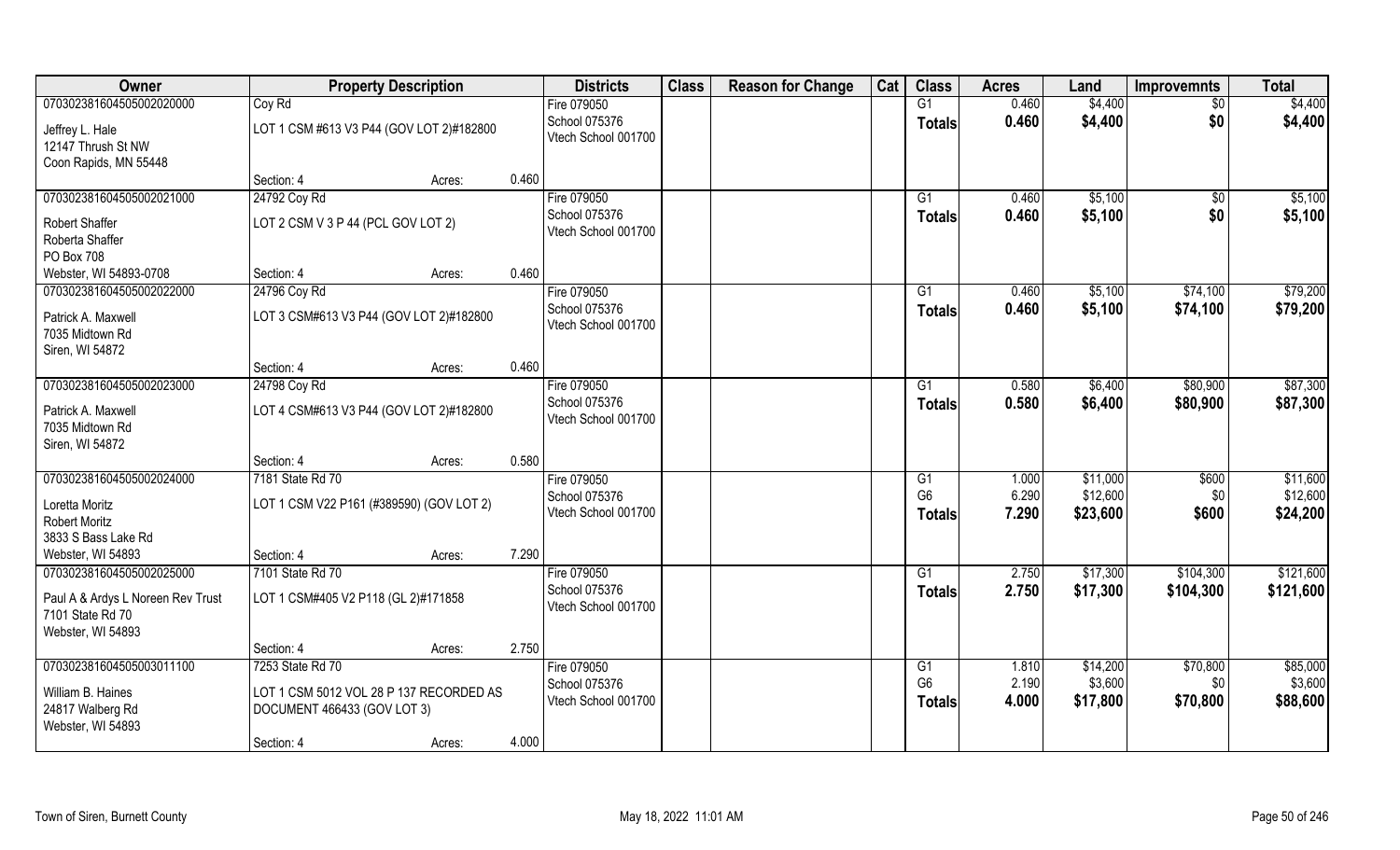| Owner                                                                      | <b>Property Description</b>                                            |             | <b>Districts</b>                     | <b>Class</b> | <b>Reason for Change</b> | Cat | <b>Class</b>                          | <b>Acres</b>            | Land                             | <b>Improvemnts</b>    | <b>Total</b>                     |
|----------------------------------------------------------------------------|------------------------------------------------------------------------|-------------|--------------------------------------|--------------|--------------------------|-----|---------------------------------------|-------------------------|----------------------------------|-----------------------|----------------------------------|
| 070302381604505002020000                                                   | Coy Rd                                                                 | Fire 079050 |                                      |              |                          |     | G1                                    | 0.460                   | \$4,400                          | $\overline{50}$       | \$4,400                          |
| Jeffrey L. Hale<br>12147 Thrush St NW<br>Coon Rapids, MN 55448             | LOT 1 CSM #613 V3 P44 (GOV LOT 2)#182800                               |             | School 075376<br>Vtech School 001700 |              |                          |     | <b>Totals</b>                         | 0.460                   | \$4,400                          | \$0                   | \$4,400                          |
|                                                                            | Section: 4<br>Acres:                                                   | 0.460       |                                      |              |                          |     |                                       |                         |                                  |                       |                                  |
| 070302381604505002021000<br><b>Robert Shaffer</b><br>Roberta Shaffer       | 24792 Coy Rd<br>LOT 2 CSM V 3 P 44 (PCL GOV LOT 2)                     | Fire 079050 | School 075376<br>Vtech School 001700 |              |                          |     | G1<br><b>Totals</b>                   | 0.460<br>0.460          | \$5,100<br>\$5,100               | \$0<br>\$0            | \$5,100<br>\$5,100               |
| PO Box 708<br>Webster, WI 54893-0708                                       | Section: 4<br>Acres:                                                   | 0.460       |                                      |              |                          |     |                                       |                         |                                  |                       |                                  |
| 070302381604505002022000                                                   | 24796 Coy Rd                                                           | Fire 079050 |                                      |              |                          |     | G1                                    | 0.460                   | \$5,100                          | \$74,100              | \$79,200                         |
| Patrick A. Maxwell<br>7035 Midtown Rd<br>Siren, WI 54872                   | LOT 3 CSM#613 V3 P44 (GOV LOT 2)#182800                                |             | School 075376<br>Vtech School 001700 |              |                          |     | <b>Totals</b>                         | 0.460                   | \$5,100                          | \$74,100              | \$79,200                         |
|                                                                            | Section: 4<br>Acres:                                                   | 0.460       |                                      |              |                          |     |                                       |                         |                                  |                       |                                  |
| 070302381604505002023000                                                   | 24798 Coy Rd                                                           | Fire 079050 |                                      |              |                          |     | G1                                    | 0.580                   | \$6,400                          | \$80,900              | \$87,300                         |
| Patrick A. Maxwell<br>7035 Midtown Rd<br>Siren, WI 54872                   | LOT 4 CSM#613 V3 P44 (GOV LOT 2)#182800                                |             | School 075376<br>Vtech School 001700 |              |                          |     | <b>Totals</b>                         | 0.580                   | \$6,400                          | \$80,900              | \$87,300                         |
|                                                                            | Section: 4<br>Acres:                                                   | 0.580       |                                      |              |                          |     |                                       |                         |                                  |                       |                                  |
| 070302381604505002024000<br>Loretta Moritz<br><b>Robert Moritz</b>         | 7181 State Rd 70<br>LOT 1 CSM V22 P161 (#389590) (GOV LOT 2)           | Fire 079050 | School 075376<br>Vtech School 001700 |              |                          |     | G1<br>G <sub>6</sub><br><b>Totals</b> | 1.000<br>6.290<br>7.290 | \$11,000<br>\$12,600<br>\$23,600 | \$600<br>\$0<br>\$600 | \$11,600<br>\$12,600<br>\$24,200 |
| 3833 S Bass Lake Rd                                                        |                                                                        |             |                                      |              |                          |     |                                       |                         |                                  |                       |                                  |
| Webster, WI 54893                                                          | Section: 4<br>Acres:                                                   | 7.290       |                                      |              |                          |     |                                       |                         |                                  |                       |                                  |
| 070302381604505002025000                                                   | 7101 State Rd 70                                                       | Fire 079050 |                                      |              |                          |     | $\overline{G1}$                       | 2.750                   | \$17,300                         | \$104,300             | \$121,600                        |
| Paul A & Ardys L Noreen Rev Trust<br>7101 State Rd 70<br>Webster, WI 54893 | LOT 1 CSM#405 V2 P118 (GL 2)#171858                                    |             | School 075376<br>Vtech School 001700 |              |                          |     | <b>Totals</b>                         | 2.750                   | \$17,300                         | \$104,300             | \$121,600                        |
|                                                                            | Section: 4<br>Acres:                                                   | 2.750       |                                      |              |                          |     |                                       |                         |                                  |                       |                                  |
| 070302381604505003011100                                                   | 7253 State Rd 70                                                       | Fire 079050 |                                      |              |                          |     | G <sub>1</sub>                        | 1.810                   | \$14,200                         | \$70,800              | \$85,000                         |
| William B. Haines<br>24817 Walberg Rd<br>Webster, WI 54893                 | LOT 1 CSM 5012 VOL 28 P 137 RECORDED AS<br>DOCUMENT 466433 (GOV LOT 3) |             | School 075376<br>Vtech School 001700 |              |                          |     | G <sub>6</sub><br><b>Totals</b>       | 2.190<br>4.000          | \$3,600<br>\$17,800              | \$0<br>\$70,800       | \$3,600<br>\$88,600              |
|                                                                            | Section: 4<br>Acres:                                                   | 4.000       |                                      |              |                          |     |                                       |                         |                                  |                       |                                  |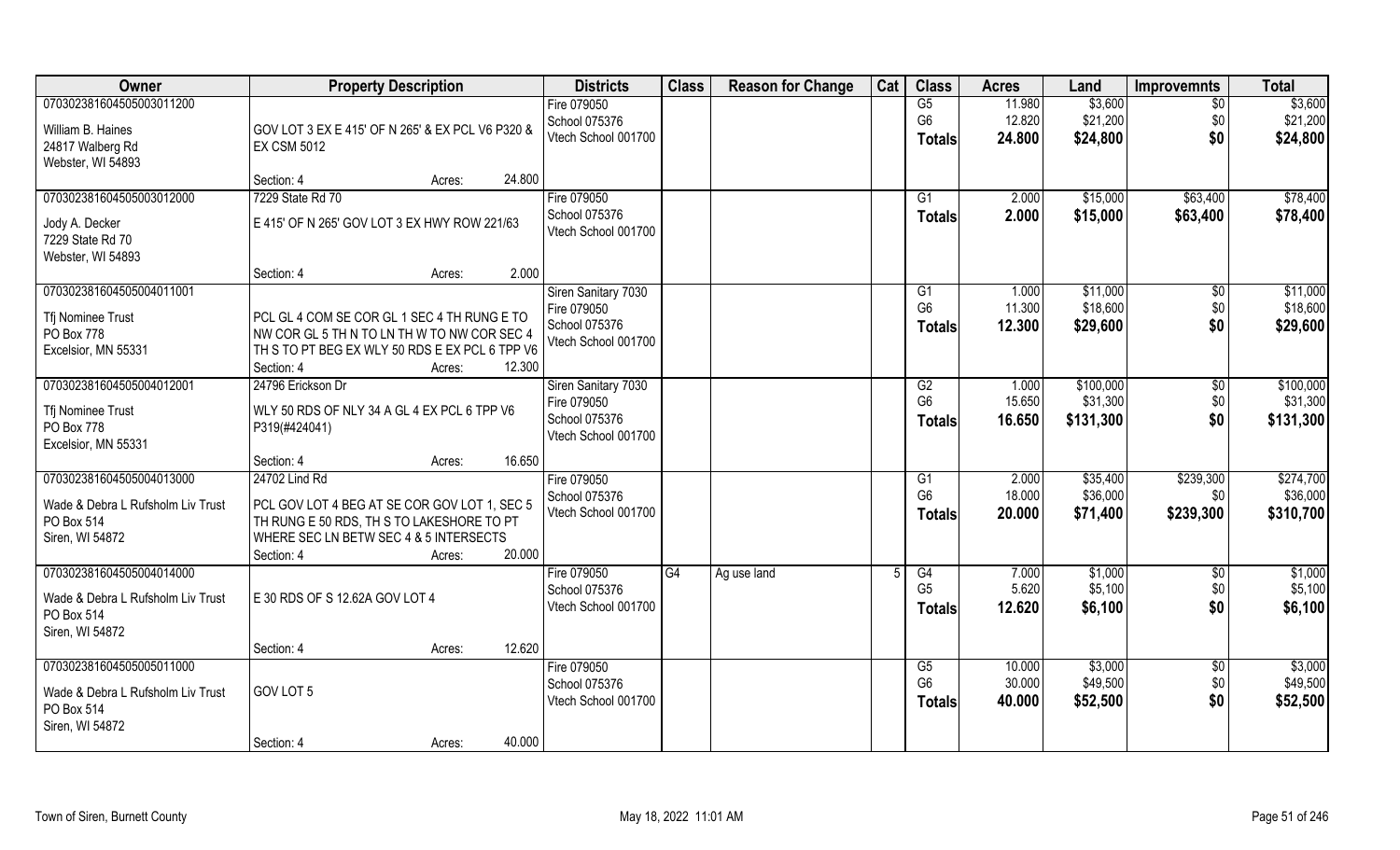| Owner                                                                                          | <b>Property Description</b>                                                                                                                                        |                  | <b>Districts</b>                                                           | <b>Class</b> | <b>Reason for Change</b> | Cat | <b>Class</b>                          | <b>Acres</b>               | Land                               | <b>Improvemnts</b>            | <b>Total</b>                       |
|------------------------------------------------------------------------------------------------|--------------------------------------------------------------------------------------------------------------------------------------------------------------------|------------------|----------------------------------------------------------------------------|--------------|--------------------------|-----|---------------------------------------|----------------------------|------------------------------------|-------------------------------|------------------------------------|
| 070302381604505003011200<br>William B. Haines<br>24817 Walberg Rd                              | GOV LOT 3 EX E 415' OF N 265' & EX PCL V6 P320 &<br><b>EX CSM 5012</b>                                                                                             |                  | Fire 079050<br>School 075376<br>Vtech School 001700                        |              |                          |     | G5<br>G <sub>6</sub><br><b>Totals</b> | 11.980<br>12.820<br>24.800 | \$3,600<br>\$21,200<br>\$24,800    | $\sqrt{6}$<br>\$0<br>\$0      | \$3,600<br>\$21,200<br>\$24,800    |
| Webster, WI 54893                                                                              | Section: 4                                                                                                                                                         | 24.800<br>Acres: |                                                                            |              |                          |     |                                       |                            |                                    |                               |                                    |
| 070302381604505003012000<br>Jody A. Decker<br>7229 State Rd 70<br>Webster, WI 54893            | 7229 State Rd 70<br>E 415' OF N 265' GOV LOT 3 EX HWY ROW 221/63                                                                                                   |                  | Fire 079050<br>School 075376<br>Vtech School 001700                        |              |                          |     | G1<br>Totals                          | 2.000<br>2.000             | \$15,000<br>\$15,000               | \$63,400<br>\$63,400          | \$78,400<br>\$78,400               |
|                                                                                                | Section: 4                                                                                                                                                         | 2.000<br>Acres:  |                                                                            |              |                          |     |                                       |                            |                                    |                               |                                    |
| 070302381604505004011001<br>Tfj Nominee Trust<br>PO Box 778<br>Excelsior, MN 55331             | PCL GL 4 COM SE COR GL 1 SEC 4 TH RUNG E TO<br>NW COR GL 5 TH N TO LN TH W TO NW COR SEC 4<br>TH S TO PT BEG EX WLY 50 RDS E EX PCL 6 TPP V6<br>Section: 4         | 12.300<br>Acres: | Siren Sanitary 7030<br>Fire 079050<br>School 075376<br>Vtech School 001700 |              |                          |     | G1<br>G <sub>6</sub><br><b>Totals</b> | 1.000<br>11.300<br>12.300  | \$11,000<br>\$18,600<br>\$29,600   | $\sqrt[6]{3}$<br>\$0<br>\$0   | \$11,000<br>\$18,600<br>\$29,600   |
| 070302381604505004012001<br>Tfj Nominee Trust<br>PO Box 778<br>Excelsior, MN 55331             | 24796 Erickson Dr<br>WLY 50 RDS OF NLY 34 A GL 4 EX PCL 6 TPP V6<br>P319(#424041)                                                                                  |                  | Siren Sanitary 7030<br>Fire 079050<br>School 075376<br>Vtech School 001700 |              |                          |     | G2<br>G <sub>6</sub><br><b>Totals</b> | 1.000<br>15.650<br>16.650  | \$100,000<br>\$31,300<br>\$131,300 | \$0<br>\$0<br>\$0             | \$100,000<br>\$31,300<br>\$131,300 |
|                                                                                                | Section: 4                                                                                                                                                         | 16.650<br>Acres: |                                                                            |              |                          |     |                                       |                            |                                    |                               |                                    |
| 070302381604505004013000<br>Wade & Debra L Rufsholm Liv Trust<br>PO Box 514<br>Siren, WI 54872 | 24702 Lind Rd<br>PCL GOV LOT 4 BEG AT SE COR GOV LOT 1, SEC 5<br>TH RUNG E 50 RDS, TH S TO LAKESHORE TO PT<br>WHERE SEC LN BETW SEC 4 & 5 INTERSECTS<br>Section: 4 | 20.000<br>Acres: | Fire 079050<br>School 075376<br>Vtech School 001700                        |              |                          |     | G1<br>G <sub>6</sub><br>Totals        | 2.000<br>18.000<br>20.000  | \$35,400<br>\$36,000<br>\$71,400   | \$239,300<br>\$0<br>\$239,300 | \$274,700<br>\$36,000<br>\$310,700 |
| 070302381604505004014000<br>Wade & Debra L Rufsholm Liv Trust<br>PO Box 514<br>Siren, WI 54872 | E 30 RDS OF S 12.62A GOV LOT 4                                                                                                                                     |                  | Fire 079050<br>School 075376<br>Vtech School 001700                        | G4           | Ag use land              |     | G4<br>G <sub>5</sub><br><b>Totals</b> | 7.000<br>5.620<br>12.620   | \$1,000<br>\$5,100<br>\$6,100      | \$0<br>\$0<br>\$0             | \$1,000<br>\$5,100<br>\$6,100      |
|                                                                                                | Section: 4                                                                                                                                                         | 12.620<br>Acres: |                                                                            |              |                          |     |                                       |                            |                                    |                               |                                    |
| 070302381604505005011000<br>Wade & Debra L Rufsholm Liv Trust<br>PO Box 514<br>Siren, WI 54872 | GOV LOT 5                                                                                                                                                          |                  | Fire 079050<br>School 075376<br>Vtech School 001700                        |              |                          |     | G5<br>G <sub>6</sub><br><b>Totals</b> | 10.000<br>30.000<br>40.000 | \$3,000<br>\$49,500<br>\$52,500    | $\sqrt{$0}$<br>\$0<br>\$0     | \$3,000<br>\$49,500<br>\$52,500    |
|                                                                                                | Section: 4                                                                                                                                                         | 40.000<br>Acres: |                                                                            |              |                          |     |                                       |                            |                                    |                               |                                    |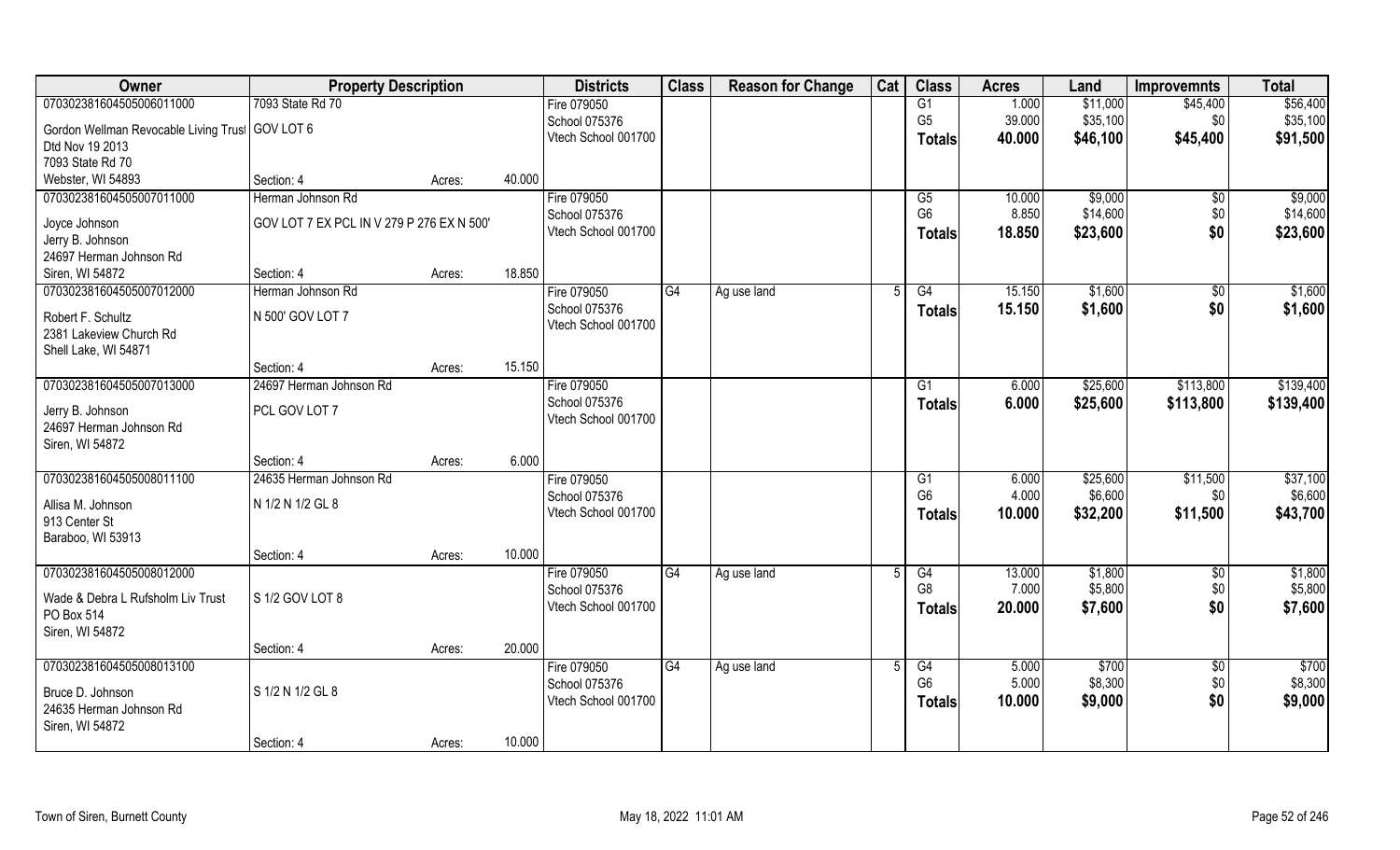| Owner                                           | <b>Property Description</b>               |        |        | <b>Districts</b>    | <b>Class</b> | <b>Reason for Change</b> | Cat | <b>Class</b>         | <b>Acres</b>   | Land     | <b>Improvemnts</b>  | <b>Total</b> |
|-------------------------------------------------|-------------------------------------------|--------|--------|---------------------|--------------|--------------------------|-----|----------------------|----------------|----------|---------------------|--------------|
| 070302381604505006011000                        | 7093 State Rd 70                          |        |        | Fire 079050         |              |                          |     | G1                   | 1.000          | \$11,000 | \$45,400            | \$56,400     |
| Gordon Wellman Revocable Living Trust GOV LOT 6 |                                           |        |        | School 075376       |              |                          |     | G <sub>5</sub>       | 39.000         | \$35,100 | \$0                 | \$35,100     |
| Dtd Nov 19 2013                                 |                                           |        |        | Vtech School 001700 |              |                          |     | <b>Totals</b>        | 40.000         | \$46,100 | \$45,400            | \$91,500     |
| 7093 State Rd 70                                |                                           |        |        |                     |              |                          |     |                      |                |          |                     |              |
| Webster, WI 54893                               | Section: 4                                | Acres: | 40.000 |                     |              |                          |     |                      |                |          |                     |              |
| 070302381604505007011000                        | Herman Johnson Rd                         |        |        | Fire 079050         |              |                          |     | G5                   | 10.000         | \$9,000  | $\sqrt{$0}$         | \$9,000      |
| Joyce Johnson                                   | GOV LOT 7 EX PCL IN V 279 P 276 EX N 500' |        |        | School 075376       |              |                          |     | G <sub>6</sub>       | 8.850          | \$14,600 | \$0                 | \$14,600     |
| Jerry B. Johnson                                |                                           |        |        | Vtech School 001700 |              |                          |     | <b>Totals</b>        | 18.850         | \$23,600 | \$0                 | \$23,600     |
| 24697 Herman Johnson Rd                         |                                           |        |        |                     |              |                          |     |                      |                |          |                     |              |
| Siren, WI 54872                                 | Section: 4                                | Acres: | 18.850 |                     |              |                          |     |                      |                |          |                     |              |
| 070302381604505007012000                        | Herman Johnson Rd                         |        |        | Fire 079050         | G4           | Ag use land              | 5   | G4                   | 15.150         | \$1,600  | $\sqrt[6]{}$        | \$1,600      |
| Robert F. Schultz                               | N 500' GOV LOT 7                          |        |        | School 075376       |              |                          |     | <b>Totals</b>        | 15.150         | \$1,600  | \$0                 | \$1,600      |
| 2381 Lakeview Church Rd                         |                                           |        |        | Vtech School 001700 |              |                          |     |                      |                |          |                     |              |
| Shell Lake, WI 54871                            |                                           |        |        |                     |              |                          |     |                      |                |          |                     |              |
|                                                 | Section: 4                                | Acres: | 15.150 |                     |              |                          |     |                      |                |          |                     |              |
| 070302381604505007013000                        | 24697 Herman Johnson Rd                   |        |        | Fire 079050         |              |                          |     | G1                   | 6.000          | \$25,600 | \$113,800           | \$139,400    |
|                                                 |                                           |        |        | School 075376       |              |                          |     | <b>Totals</b>        | 6.000          | \$25,600 | \$113,800           | \$139,400    |
| Jerry B. Johnson<br>24697 Herman Johnson Rd     | PCL GOV LOT 7                             |        |        | Vtech School 001700 |              |                          |     |                      |                |          |                     |              |
| Siren, WI 54872                                 |                                           |        |        |                     |              |                          |     |                      |                |          |                     |              |
|                                                 | Section: 4                                | Acres: | 6.000  |                     |              |                          |     |                      |                |          |                     |              |
| 070302381604505008011100                        | 24635 Herman Johnson Rd                   |        |        | Fire 079050         |              |                          |     | G1                   | 6.000          | \$25,600 | \$11,500            | \$37,100     |
|                                                 |                                           |        |        | School 075376       |              |                          |     | G <sub>6</sub>       | 4.000          | \$6,600  | \$0                 | \$6,600      |
| Allisa M. Johnson                               | N 1/2 N 1/2 GL 8                          |        |        | Vtech School 001700 |              |                          |     | <b>Totals</b>        | 10.000         | \$32,200 | \$11,500            | \$43,700     |
| 913 Center St                                   |                                           |        |        |                     |              |                          |     |                      |                |          |                     |              |
| Baraboo, WI 53913                               | Section: 4                                | Acres: | 10.000 |                     |              |                          |     |                      |                |          |                     |              |
| 070302381604505008012000                        |                                           |        |        | Fire 079050         | G4           | Ag use land              |     | G4                   | 13.000         | \$1,800  | \$0                 | \$1,800      |
|                                                 |                                           |        |        | School 075376       |              |                          |     | G <sub>8</sub>       | 7.000          | \$5,800  | \$0                 | \$5,800      |
| Wade & Debra L Rufsholm Liv Trust               | S 1/2 GOV LOT 8                           |        |        | Vtech School 001700 |              |                          |     | <b>Totals</b>        | 20.000         | \$7,600  | \$0                 | \$7,600      |
| PO Box 514                                      |                                           |        |        |                     |              |                          |     |                      |                |          |                     |              |
| Siren, WI 54872                                 |                                           |        |        |                     |              |                          |     |                      |                |          |                     |              |
| 070302381604505008013100                        | Section: 4                                | Acres: | 20.000 | Fire 079050         | G4           |                          |     |                      |                | \$700    |                     | \$700        |
|                                                 |                                           |        |        | School 075376       |              | Ag use land              |     | G4<br>G <sub>6</sub> | 5.000<br>5.000 | \$8,300  | $\sqrt[6]{}$<br>\$0 | \$8,300      |
| Bruce D. Johnson                                | S 1/2 N 1/2 GL 8                          |        |        | Vtech School 001700 |              |                          |     | <b>Totals</b>        | 10.000         | \$9,000  | \$0                 | \$9,000      |
| 24635 Herman Johnson Rd                         |                                           |        |        |                     |              |                          |     |                      |                |          |                     |              |
| Siren, WI 54872                                 |                                           |        |        |                     |              |                          |     |                      |                |          |                     |              |
|                                                 | Section: 4                                | Acres: | 10.000 |                     |              |                          |     |                      |                |          |                     |              |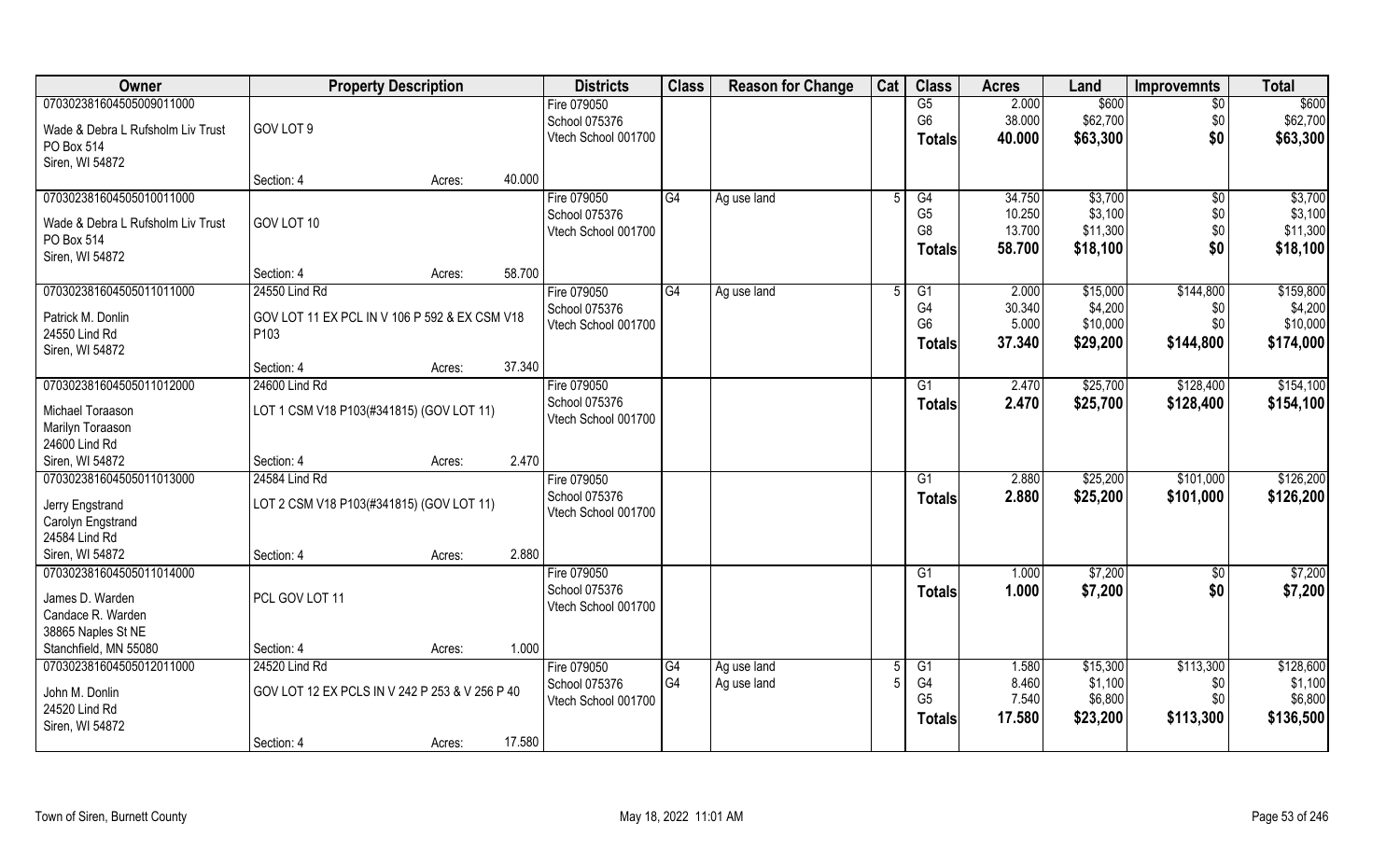| Owner                             | <b>Property Description</b>                    |        |        | <b>Districts</b>    | <b>Class</b>   | <b>Reason for Change</b> | Cat | <b>Class</b>    | <b>Acres</b> | Land     | <b>Improvemnts</b> | <b>Total</b> |
|-----------------------------------|------------------------------------------------|--------|--------|---------------------|----------------|--------------------------|-----|-----------------|--------------|----------|--------------------|--------------|
| 070302381604505009011000          |                                                |        |        | Fire 079050         |                |                          |     | G5              | 2.000        | \$600    | $\overline{30}$    | \$600        |
| Wade & Debra L Rufsholm Liv Trust | GOV LOT 9                                      |        |        | School 075376       |                |                          |     | G <sub>6</sub>  | 38.000       | \$62,700 | \$0                | \$62,700     |
| PO Box 514                        |                                                |        |        | Vtech School 001700 |                |                          |     | Totals          | 40.000       | \$63,300 | \$0                | \$63,300     |
| Siren, WI 54872                   |                                                |        |        |                     |                |                          |     |                 |              |          |                    |              |
|                                   | Section: 4                                     | Acres: | 40.000 |                     |                |                          |     |                 |              |          |                    |              |
| 070302381604505010011000          |                                                |        |        | Fire 079050         | G4             | Ag use land              |     | G4              | 34.750       | \$3,700  | \$0                | \$3,700      |
| Wade & Debra L Rufsholm Liv Trust | GOV LOT 10                                     |        |        | School 075376       |                |                          |     | G <sub>5</sub>  | 10.250       | \$3,100  | \$0                | \$3,100      |
| PO Box 514                        |                                                |        |        | Vtech School 001700 |                |                          |     | G <sub>8</sub>  | 13.700       | \$11,300 | \$0                | \$11,300     |
| Siren, WI 54872                   |                                                |        |        |                     |                |                          |     | <b>Totals</b>   | 58.700       | \$18,100 | \$0                | \$18,100     |
|                                   | Section: 4                                     | Acres: | 58.700 |                     |                |                          |     |                 |              |          |                    |              |
| 070302381604505011011000          | 24550 Lind Rd                                  |        |        | Fire 079050         | G4             | Ag use land              | .5  | G1              | 2.000        | \$15,000 | \$144,800          | \$159,800    |
| Patrick M. Donlin                 | GOV LOT 11 EX PCL IN V 106 P 592 & EX CSM V18  |        |        | School 075376       |                |                          |     | G4              | 30.340       | \$4,200  | \$0                | \$4,200      |
| 24550 Lind Rd                     | P103                                           |        |        | Vtech School 001700 |                |                          |     | G <sub>6</sub>  | 5.000        | \$10,000 | \$0                | \$10,000     |
| Siren, WI 54872                   |                                                |        |        |                     |                |                          |     | Totals          | 37.340       | \$29,200 | \$144,800          | \$174,000    |
|                                   | Section: 4                                     | Acres: | 37.340 |                     |                |                          |     |                 |              |          |                    |              |
| 070302381604505011012000          | 24600 Lind Rd                                  |        |        | Fire 079050         |                |                          |     | G1              | 2.470        | \$25,700 | \$128,400          | \$154,100    |
| Michael Toraason                  | LOT 1 CSM V18 P103(#341815) (GOV LOT 11)       |        |        | School 075376       |                |                          |     | Totals          | 2.470        | \$25,700 | \$128,400          | \$154,100    |
| Marilyn Toraason                  |                                                |        |        | Vtech School 001700 |                |                          |     |                 |              |          |                    |              |
| 24600 Lind Rd                     |                                                |        |        |                     |                |                          |     |                 |              |          |                    |              |
| Siren, WI 54872                   | Section: 4                                     | Acres: | 2.470  |                     |                |                          |     |                 |              |          |                    |              |
| 070302381604505011013000          | 24584 Lind Rd                                  |        |        | Fire 079050         |                |                          |     | $\overline{G1}$ | 2.880        | \$25,200 | \$101,000          | \$126,200    |
| Jerry Engstrand                   | LOT 2 CSM V18 P103(#341815) (GOV LOT 11)       |        |        | School 075376       |                |                          |     | <b>Totals</b>   | 2.880        | \$25,200 | \$101,000          | \$126,200    |
| Carolyn Engstrand                 |                                                |        |        | Vtech School 001700 |                |                          |     |                 |              |          |                    |              |
| 24584 Lind Rd                     |                                                |        |        |                     |                |                          |     |                 |              |          |                    |              |
| Siren, WI 54872                   | Section: 4                                     | Acres: | 2.880  |                     |                |                          |     |                 |              |          |                    |              |
| 070302381604505011014000          |                                                |        |        | Fire 079050         |                |                          |     | G1              | 1.000        | \$7,200  | \$0                | \$7,200      |
| James D. Warden                   | PCL GOV LOT 11                                 |        |        | School 075376       |                |                          |     | <b>Totals</b>   | 1.000        | \$7,200  | \$0                | \$7,200      |
| Candace R. Warden                 |                                                |        |        | Vtech School 001700 |                |                          |     |                 |              |          |                    |              |
| 38865 Naples St NE                |                                                |        |        |                     |                |                          |     |                 |              |          |                    |              |
| Stanchfield, MN 55080             | Section: 4                                     | Acres: | 1.000  |                     |                |                          |     |                 |              |          |                    |              |
| 070302381604505012011000          | 24520 Lind Rd                                  |        |        | Fire 079050         | G4             | Ag use land              |     | G1              | 1.580        | \$15,300 | \$113,300          | \$128,600    |
| John M. Donlin                    | GOV LOT 12 EX PCLS IN V 242 P 253 & V 256 P 40 |        |        | School 075376       | G <sub>4</sub> | Ag use land              |     | G4              | 8.460        | \$1,100  | \$0                | \$1,100      |
| 24520 Lind Rd                     |                                                |        |        | Vtech School 001700 |                |                          |     | G <sub>5</sub>  | 7.540        | \$6,800  | \$0                | \$6,800      |
| Siren, WI 54872                   |                                                |        |        |                     |                |                          |     | <b>Totals</b>   | 17.580       | \$23,200 | \$113,300          | \$136,500    |
|                                   | Section: 4                                     | Acres: | 17.580 |                     |                |                          |     |                 |              |          |                    |              |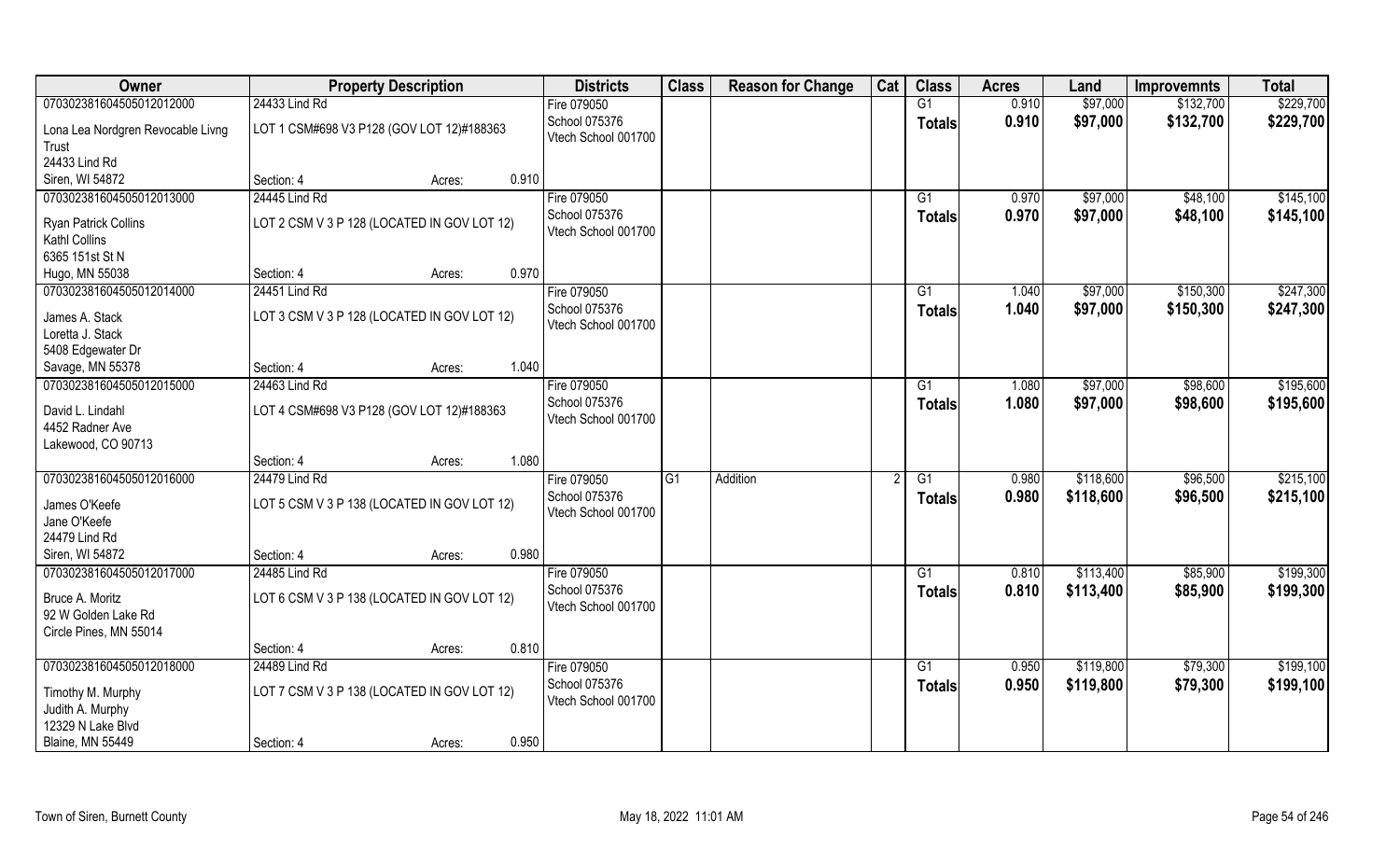| Owner                                      | <b>Property Description</b>                 |                 | <b>Districts</b>                     | <b>Class</b> | <b>Reason for Change</b> | Cat | <b>Class</b>  | <b>Acres</b> | Land      | <b>Improvemnts</b> | <b>Total</b> |
|--------------------------------------------|---------------------------------------------|-----------------|--------------------------------------|--------------|--------------------------|-----|---------------|--------------|-----------|--------------------|--------------|
| 070302381604505012012000                   | 24433 Lind Rd                               |                 | Fire 079050                          |              |                          |     | G1            | 0.910        | \$97,000  | \$132,700          | \$229,700    |
| Lona Lea Nordgren Revocable Livng<br>Trust | LOT 1 CSM#698 V3 P128 (GOV LOT 12)#188363   |                 | School 075376<br>Vtech School 001700 |              |                          |     | <b>Totals</b> | 0.910        | \$97,000  | \$132,700          | \$229,700    |
| 24433 Lind Rd                              |                                             |                 |                                      |              |                          |     |               |              |           |                    |              |
| Siren, WI 54872                            | Section: 4                                  | 0.910<br>Acres: |                                      |              |                          |     |               |              |           |                    |              |
| 070302381604505012013000                   | 24445 Lind Rd                               |                 | Fire 079050                          |              |                          |     | G1            | 0.970        | \$97,000  | \$48,100           | \$145,100    |
| <b>Ryan Patrick Collins</b>                | LOT 2 CSM V 3 P 128 (LOCATED IN GOV LOT 12) |                 | School 075376                        |              |                          |     | <b>Totals</b> | 0.970        | \$97,000  | \$48,100           | \$145,100    |
| Kathl Collins                              |                                             |                 | Vtech School 001700                  |              |                          |     |               |              |           |                    |              |
| 6365 151st St N                            |                                             |                 |                                      |              |                          |     |               |              |           |                    |              |
| Hugo, MN 55038                             | Section: 4                                  | 0.970<br>Acres: |                                      |              |                          |     |               |              |           |                    |              |
| 070302381604505012014000                   | 24451 Lind Rd                               |                 | Fire 079050                          |              |                          |     | G1            | 1.040        | \$97,000  | \$150,300          | \$247,300    |
|                                            |                                             |                 | School 075376                        |              |                          |     | <b>Totals</b> | 1.040        | \$97,000  | \$150,300          | \$247,300    |
| James A. Stack                             | LOT 3 CSM V 3 P 128 (LOCATED IN GOV LOT 12) |                 | Vtech School 001700                  |              |                          |     |               |              |           |                    |              |
| Loretta J. Stack                           |                                             |                 |                                      |              |                          |     |               |              |           |                    |              |
| 5408 Edgewater Dr<br>Savage, MN 55378      | Section: 4                                  | 1.040<br>Acres: |                                      |              |                          |     |               |              |           |                    |              |
| 070302381604505012015000                   | 24463 Lind Rd                               |                 | Fire 079050                          |              |                          |     |               |              | \$97,000  | \$98,600           | \$195,600    |
|                                            |                                             |                 | School 075376                        |              |                          |     | G1            | 1.080        |           |                    |              |
| David L. Lindahl                           | LOT 4 CSM#698 V3 P128 (GOV LOT 12)#188363   |                 | Vtech School 001700                  |              |                          |     | <b>Totals</b> | 1.080        | \$97,000  | \$98,600           | \$195,600    |
| 4452 Radner Ave                            |                                             |                 |                                      |              |                          |     |               |              |           |                    |              |
| Lakewood, CO 90713                         |                                             |                 |                                      |              |                          |     |               |              |           |                    |              |
|                                            | Section: 4                                  | 1.080<br>Acres: |                                      |              |                          |     |               |              |           |                    |              |
| 070302381604505012016000                   | 24479 Lind Rd                               |                 | Fire 079050                          | G1           | Addition                 |     | G1            | 0.980        | \$118,600 | \$96,500           | \$215,100    |
| James O'Keefe                              | LOT 5 CSM V 3 P 138 (LOCATED IN GOV LOT 12) |                 | School 075376                        |              |                          |     | <b>Totals</b> | 0.980        | \$118,600 | \$96,500           | \$215,100    |
| Jane O'Keefe                               |                                             |                 | Vtech School 001700                  |              |                          |     |               |              |           |                    |              |
| 24479 Lind Rd                              |                                             |                 |                                      |              |                          |     |               |              |           |                    |              |
| Siren, WI 54872                            | Section: 4                                  | 0.980<br>Acres: |                                      |              |                          |     |               |              |           |                    |              |
| 070302381604505012017000                   | 24485 Lind Rd                               |                 | Fire 079050                          |              |                          |     | G1            | 0.810        | \$113,400 | \$85,900           | \$199,300    |
|                                            |                                             |                 | School 075376                        |              |                          |     | <b>Totals</b> | 0.810        | \$113,400 | \$85,900           | \$199,300    |
| Bruce A. Moritz                            | LOT 6 CSM V 3 P 138 (LOCATED IN GOV LOT 12) |                 | Vtech School 001700                  |              |                          |     |               |              |           |                    |              |
| 92 W Golden Lake Rd                        |                                             |                 |                                      |              |                          |     |               |              |           |                    |              |
| Circle Pines, MN 55014                     | Section: 4                                  | 0.810           |                                      |              |                          |     |               |              |           |                    |              |
| 070302381604505012018000                   | 24489 Lind Rd                               | Acres:          |                                      |              |                          |     |               |              |           |                    | \$199,100    |
|                                            |                                             |                 | Fire 079050<br>School 075376         |              |                          |     | G1            | 0.950        | \$119,800 | \$79,300           |              |
| Timothy M. Murphy                          | LOT 7 CSM V 3 P 138 (LOCATED IN GOV LOT 12) |                 | Vtech School 001700                  |              |                          |     | <b>Totals</b> | 0.950        | \$119,800 | \$79,300           | \$199,100    |
| Judith A. Murphy                           |                                             |                 |                                      |              |                          |     |               |              |           |                    |              |
| 12329 N Lake Blvd                          |                                             |                 |                                      |              |                          |     |               |              |           |                    |              |
| <b>Blaine, MN 55449</b>                    | Section: 4                                  | 0.950<br>Acres: |                                      |              |                          |     |               |              |           |                    |              |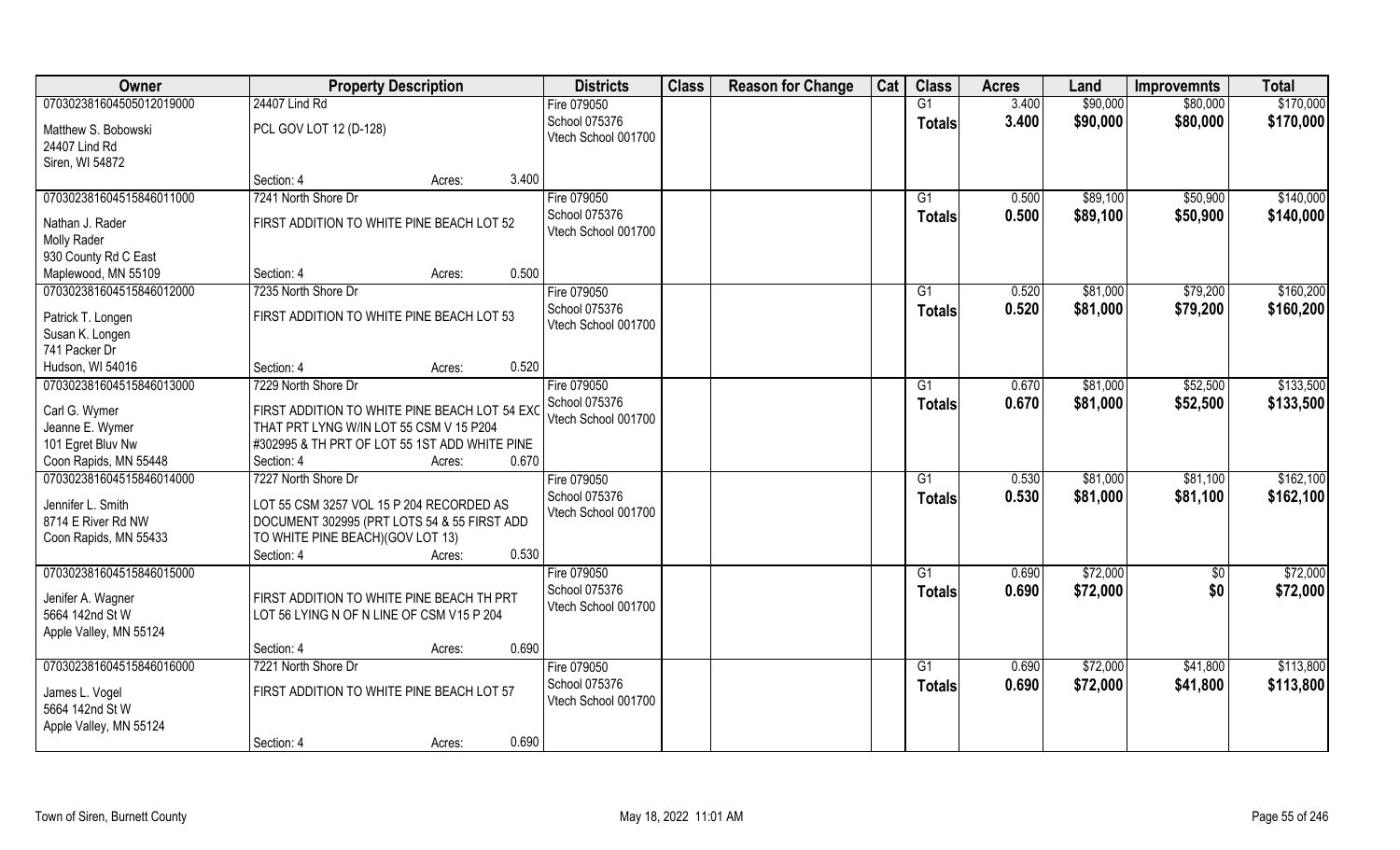| Owner                             | <b>Property Description</b>                   |                 | <b>Districts</b>    | <b>Class</b> | <b>Reason for Change</b> | Cat | <b>Class</b>  | <b>Acres</b> | Land     | <b>Improvemnts</b> | <b>Total</b> |
|-----------------------------------|-----------------------------------------------|-----------------|---------------------|--------------|--------------------------|-----|---------------|--------------|----------|--------------------|--------------|
| 070302381604505012019000          | 24407 Lind Rd                                 |                 | Fire 079050         |              |                          |     | G1            | 3.400        | \$90,000 | \$80,000           | \$170,000    |
| Matthew S. Bobowski               | PCL GOV LOT 12 (D-128)                        |                 | School 075376       |              |                          |     | <b>Totals</b> | 3.400        | \$90,000 | \$80,000           | \$170,000    |
| 24407 Lind Rd                     |                                               |                 | Vtech School 001700 |              |                          |     |               |              |          |                    |              |
| Siren, WI 54872                   |                                               |                 |                     |              |                          |     |               |              |          |                    |              |
|                                   | Section: 4                                    | 3.400<br>Acres: |                     |              |                          |     |               |              |          |                    |              |
| 070302381604515846011000          | 7241 North Shore Dr                           |                 | Fire 079050         |              |                          |     | G1            | 0.500        | \$89,100 | \$50,900           | \$140,000    |
| Nathan J. Rader                   | FIRST ADDITION TO WHITE PINE BEACH LOT 52     |                 | School 075376       |              |                          |     | <b>Totals</b> | 0.500        | \$89,100 | \$50,900           | \$140,000    |
| Molly Rader                       |                                               |                 | Vtech School 001700 |              |                          |     |               |              |          |                    |              |
| 930 County Rd C East              |                                               |                 |                     |              |                          |     |               |              |          |                    |              |
| Maplewood, MN 55109               | Section: 4                                    | 0.500<br>Acres: |                     |              |                          |     |               |              |          |                    |              |
| 070302381604515846012000          | 7235 North Shore Dr                           |                 | Fire 079050         |              |                          |     | G1            | 0.520        | \$81,000 | \$79,200           | \$160,200    |
|                                   |                                               |                 | School 075376       |              |                          |     | <b>Totals</b> | 0.520        | \$81,000 | \$79,200           | \$160,200    |
| Patrick T. Longen                 | FIRST ADDITION TO WHITE PINE BEACH LOT 53     |                 | Vtech School 001700 |              |                          |     |               |              |          |                    |              |
| Susan K. Longen                   |                                               |                 |                     |              |                          |     |               |              |          |                    |              |
| 741 Packer Dr<br>Hudson, WI 54016 | Section: 4                                    | 0.520           |                     |              |                          |     |               |              |          |                    |              |
| 070302381604515846013000          | 7229 North Shore Dr                           | Acres:          | Fire 079050         |              |                          |     | G1            | 0.670        | \$81,000 | \$52,500           | \$133,500    |
|                                   |                                               |                 | School 075376       |              |                          |     |               | 0.670        |          |                    |              |
| Carl G. Wymer                     | FIRST ADDITION TO WHITE PINE BEACH LOT 54 EXC |                 | Vtech School 001700 |              |                          |     | <b>Totals</b> |              | \$81,000 | \$52,500           | \$133,500    |
| Jeanne E. Wymer                   | THAT PRT LYNG W/IN LOT 55 CSM V 15 P204       |                 |                     |              |                          |     |               |              |          |                    |              |
| 101 Egret Bluv Nw                 | #302995 & TH PRT OF LOT 55 1ST ADD WHITE PINE |                 |                     |              |                          |     |               |              |          |                    |              |
| Coon Rapids, MN 55448             | Section: 4                                    | 0.670<br>Acres: |                     |              |                          |     |               |              |          |                    |              |
| 070302381604515846014000          | 7227 North Shore Dr                           |                 | Fire 079050         |              |                          |     | G1            | 0.530        | \$81,000 | \$81,100           | \$162,100    |
| Jennifer L. Smith                 | LOT 55 CSM 3257 VOL 15 P 204 RECORDED AS      |                 | School 075376       |              |                          |     | <b>Totals</b> | 0.530        | \$81,000 | \$81,100           | \$162,100    |
| 8714 E River Rd NW                | DOCUMENT 302995 (PRT LOTS 54 & 55 FIRST ADD   |                 | Vtech School 001700 |              |                          |     |               |              |          |                    |              |
| Coon Rapids, MN 55433             | TO WHITE PINE BEACH)(GOV LOT 13)              |                 |                     |              |                          |     |               |              |          |                    |              |
|                                   | Section: 4                                    | 0.530<br>Acres: |                     |              |                          |     |               |              |          |                    |              |
| 070302381604515846015000          |                                               |                 | Fire 079050         |              |                          |     | G1            | 0.690        | \$72,000 | \$0                | \$72,000     |
| Jenifer A. Wagner                 | FIRST ADDITION TO WHITE PINE BEACH TH PRT     |                 | School 075376       |              |                          |     | <b>Totals</b> | 0.690        | \$72,000 | \$0                | \$72,000     |
| 5664 142nd St W                   | LOT 56 LYING N OF N LINE OF CSM V15 P 204     |                 | Vtech School 001700 |              |                          |     |               |              |          |                    |              |
| Apple Valley, MN 55124            |                                               |                 |                     |              |                          |     |               |              |          |                    |              |
|                                   | Section: 4                                    | 0.690<br>Acres: |                     |              |                          |     |               |              |          |                    |              |
| 070302381604515846016000          | 7221 North Shore Dr                           |                 | Fire 079050         |              |                          |     | G1            | 0.690        | \$72,000 | \$41,800           | \$113,800    |
|                                   |                                               |                 | School 075376       |              |                          |     | Totals        | 0.690        | \$72,000 | \$41,800           | \$113,800    |
| James L. Vogel                    | FIRST ADDITION TO WHITE PINE BEACH LOT 57     |                 | Vtech School 001700 |              |                          |     |               |              |          |                    |              |
| 5664 142nd St W                   |                                               |                 |                     |              |                          |     |               |              |          |                    |              |
| Apple Valley, MN 55124            | Section: 4                                    | 0.690           |                     |              |                          |     |               |              |          |                    |              |
|                                   |                                               | Acres:          |                     |              |                          |     |               |              |          |                    |              |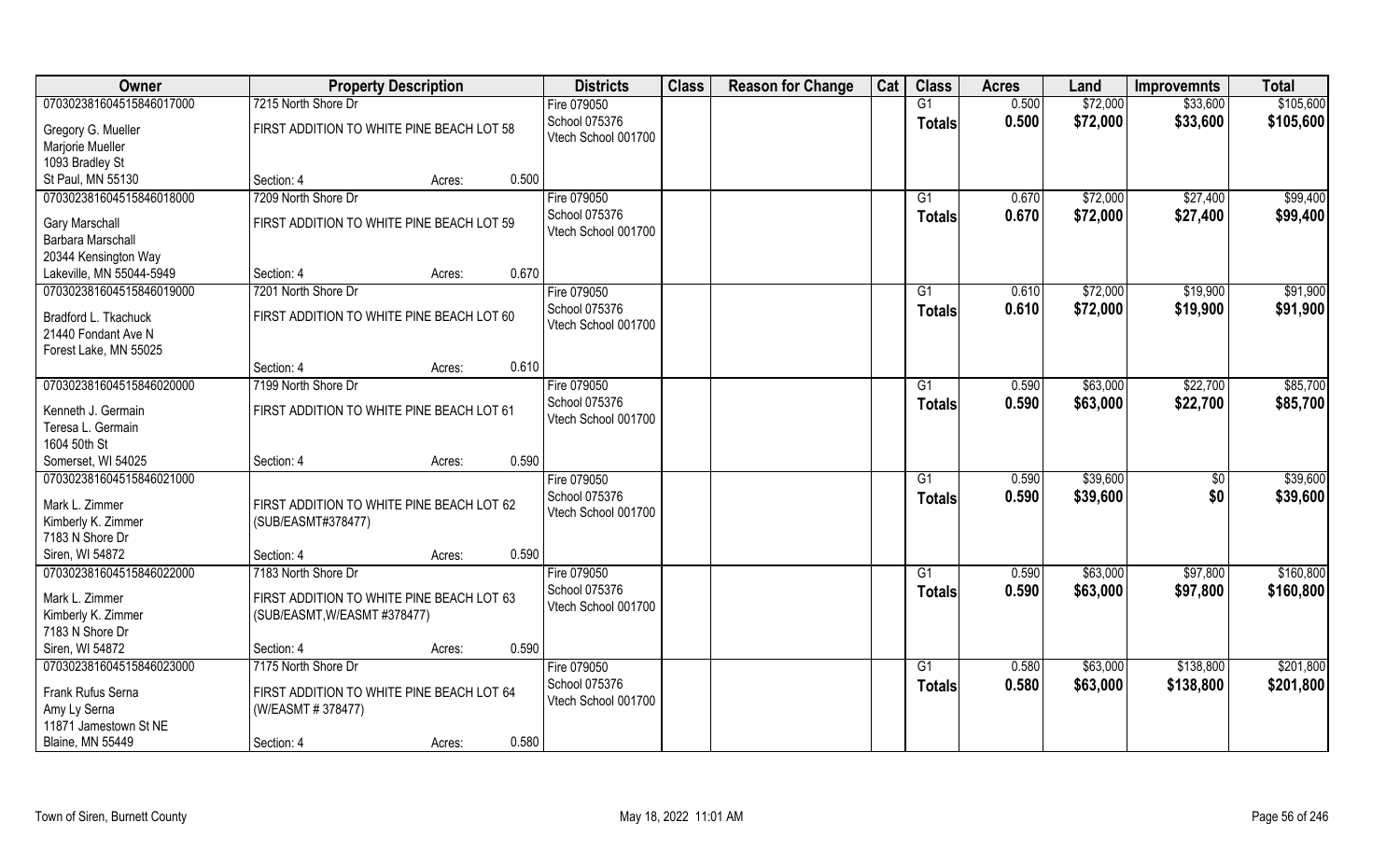| Owner                                                                                                  | <b>Property Description</b>                                                   |        |       | <b>Districts</b>                                    | <b>Class</b> | <b>Reason for Change</b> | Cat | <b>Class</b>        | <b>Acres</b>   | Land                 | <b>Improvemnts</b>   | <b>Total</b>         |
|--------------------------------------------------------------------------------------------------------|-------------------------------------------------------------------------------|--------|-------|-----------------------------------------------------|--------------|--------------------------|-----|---------------------|----------------|----------------------|----------------------|----------------------|
| 070302381604515846017000                                                                               | 7215 North Shore Dr                                                           |        |       | Fire 079050                                         |              |                          |     | G1                  | 0.500          | \$72,000             | \$33,600             | \$105,600            |
| Gregory G. Mueller<br>Marjorie Mueller<br>1093 Bradley St                                              | FIRST ADDITION TO WHITE PINE BEACH LOT 58                                     |        |       | School 075376<br>Vtech School 001700                |              |                          |     | <b>Totals</b>       | 0.500          | \$72,000             | \$33,600             | \$105,600            |
| St Paul, MN 55130                                                                                      | Section: 4                                                                    | Acres: | 0.500 |                                                     |              |                          |     |                     |                |                      |                      |                      |
| 070302381604515846018000<br>Gary Marschall<br><b>Barbara Marschall</b>                                 | 7209 North Shore Dr<br>FIRST ADDITION TO WHITE PINE BEACH LOT 59              |        |       | Fire 079050<br>School 075376<br>Vtech School 001700 |              |                          |     | G1<br><b>Totals</b> | 0.670<br>0.670 | \$72,000<br>\$72,000 | \$27,400<br>\$27,400 | \$99,400<br>\$99,400 |
| 20344 Kensington Way<br>Lakeville, MN 55044-5949                                                       | Section: 4                                                                    | Acres: | 0.670 |                                                     |              |                          |     |                     |                |                      |                      |                      |
| 070302381604515846019000                                                                               | 7201 North Shore Dr                                                           |        |       | Fire 079050<br>School 075376                        |              |                          |     | G1                  | 0.610          | \$72,000             | \$19,900             | \$91,900             |
| Bradford L. Tkachuck<br>21440 Fondant Ave N<br>Forest Lake, MN 55025                                   | FIRST ADDITION TO WHITE PINE BEACH LOT 60                                     |        |       | Vtech School 001700                                 |              |                          |     | <b>Totals</b>       | 0.610          | \$72,000             | \$19,900             | \$91,900             |
|                                                                                                        | Section: 4                                                                    | Acres: | 0.610 |                                                     |              |                          |     |                     |                |                      |                      |                      |
| 070302381604515846020000                                                                               | 7199 North Shore Dr                                                           |        |       | Fire 079050                                         |              |                          |     | G1                  | 0.590          | \$63,000             | \$22,700             | \$85,700             |
| Kenneth J. Germain<br>Teresa L. Germain<br>1604 50th St                                                | FIRST ADDITION TO WHITE PINE BEACH LOT 61                                     |        |       | School 075376<br>Vtech School 001700                |              |                          |     | <b>Totals</b>       | 0.590          | \$63,000             | \$22,700             | \$85,700             |
| Somerset, WI 54025                                                                                     | Section: 4                                                                    | Acres: | 0.590 |                                                     |              |                          |     |                     |                |                      |                      |                      |
| 070302381604515846021000<br>Mark L. Zimmer<br>Kimberly K. Zimmer<br>7183 N Shore Dr<br>Siren, WI 54872 | FIRST ADDITION TO WHITE PINE BEACH LOT 62<br>(SUB/EASMT#378477)<br>Section: 4 | Acres: | 0.590 | Fire 079050<br>School 075376<br>Vtech School 001700 |              |                          |     | G1<br><b>Totals</b> | 0.590<br>0.590 | \$39,600<br>\$39,600 | \$0<br>\$0           | \$39,600<br>\$39,600 |
| 070302381604515846022000                                                                               | 7183 North Shore Dr                                                           |        |       | Fire 079050                                         |              |                          |     | G1                  | 0.590          | \$63,000             | \$97,800             | \$160,800            |
| Mark L. Zimmer<br>Kimberly K. Zimmer<br>7183 N Shore Dr                                                | FIRST ADDITION TO WHITE PINE BEACH LOT 63<br>(SUB/EASMT, W/EASMT #378477)     |        |       | School 075376<br>Vtech School 001700                |              |                          |     | <b>Totals</b>       | 0.590          | \$63,000             | \$97,800             | \$160,800            |
| Siren, WI 54872                                                                                        | Section: 4                                                                    | Acres: | 0.590 |                                                     |              |                          |     |                     |                |                      |                      |                      |
| 070302381604515846023000                                                                               | 7175 North Shore Dr                                                           |        |       | Fire 079050                                         |              |                          |     | $\overline{G1}$     | 0.580          | \$63,000             | \$138,800            | \$201,800            |
| Frank Rufus Serna<br>Amy Ly Serna<br>11871 Jamestown St NE                                             | FIRST ADDITION TO WHITE PINE BEACH LOT 64<br>(W/EASMT #378477)                |        |       | School 075376<br>Vtech School 001700                |              |                          |     | <b>Totals</b>       | 0.580          | \$63,000             | \$138,800            | \$201,800            |
| <b>Blaine, MN 55449</b>                                                                                | Section: 4                                                                    | Acres: | 0.580 |                                                     |              |                          |     |                     |                |                      |                      |                      |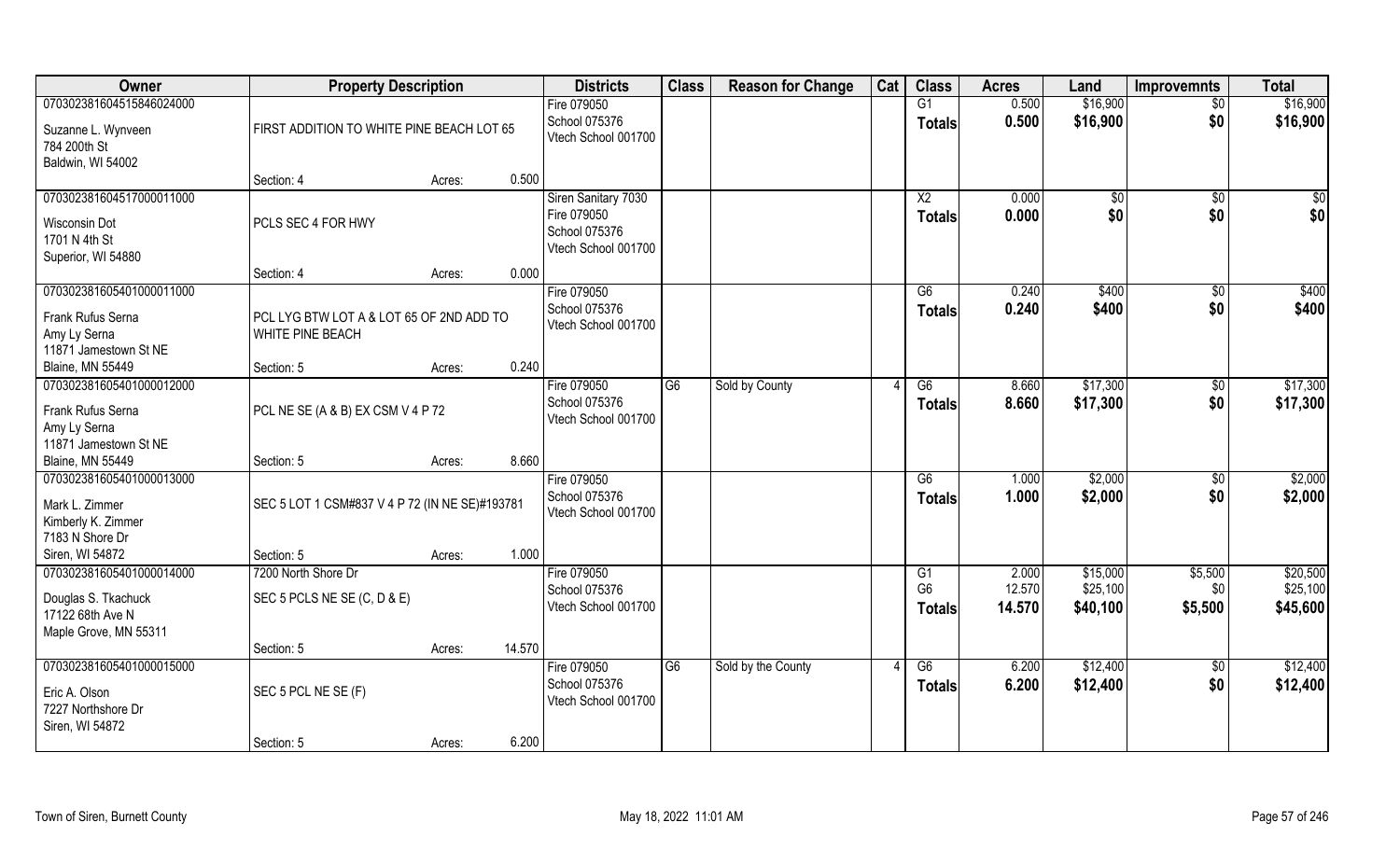| Owner                                                                                        | <b>Property Description</b>                                  |        |        | <b>Districts</b>                                                           | <b>Class</b>    | <b>Reason for Change</b> | Cat                       | <b>Class</b>                          | <b>Acres</b>              | Land                             | <b>Improvemnts</b>        | <b>Total</b>                     |
|----------------------------------------------------------------------------------------------|--------------------------------------------------------------|--------|--------|----------------------------------------------------------------------------|-----------------|--------------------------|---------------------------|---------------------------------------|---------------------------|----------------------------------|---------------------------|----------------------------------|
| 070302381604515846024000<br>Suzanne L. Wynveen<br>784 200th St<br>Baldwin, WI 54002          | FIRST ADDITION TO WHITE PINE BEACH LOT 65                    |        |        | Fire 079050<br>School 075376<br>Vtech School 001700                        |                 |                          |                           | G1<br><b>Totals</b>                   | 0.500<br>0.500            | \$16,900<br>\$16,900             | $\overline{50}$<br>\$0    | \$16,900<br>\$16,900             |
|                                                                                              | Section: 4                                                   | Acres: | 0.500  |                                                                            |                 |                          |                           |                                       |                           |                                  |                           |                                  |
| 070302381604517000011000<br>Wisconsin Dot<br>1701 N 4th St<br>Superior, WI 54880             | PCLS SEC 4 FOR HWY                                           |        |        | Siren Sanitary 7030<br>Fire 079050<br>School 075376<br>Vtech School 001700 |                 |                          |                           | X2<br><b>Totals</b>                   | 0.000<br>0.000            | $\sqrt[6]{}$<br>\$0              | $\overline{50}$<br>\$0    | $\overline{\$0}$<br>\$0          |
|                                                                                              | Section: 4                                                   | Acres: | 0.000  |                                                                            |                 |                          |                           |                                       |                           |                                  |                           |                                  |
| 070302381605401000011000<br>Frank Rufus Serna<br>Amy Ly Serna<br>11871 Jamestown St NE       | PCL LYG BTW LOT A & LOT 65 OF 2ND ADD TO<br>WHITE PINE BEACH |        |        | Fire 079050<br>School 075376<br>Vtech School 001700                        |                 |                          |                           | G6<br><b>Totals</b>                   | 0.240<br>0.240            | \$400<br>\$400                   | $\sqrt[6]{30}$<br>\$0     | \$400<br>\$400                   |
| <b>Blaine, MN 55449</b>                                                                      | Section: 5                                                   | Acres: | 0.240  |                                                                            |                 |                          |                           |                                       |                           |                                  |                           |                                  |
| 070302381605401000012000<br>Frank Rufus Serna<br>Amy Ly Serna<br>11871 Jamestown St NE       | PCL NE SE (A & B) EX CSM V 4 P 72                            |        |        | Fire 079050<br>School 075376<br>Vtech School 001700                        | G6              | Sold by County           |                           | G6<br><b>Totals</b>                   | 8.660<br>8.660            | \$17,300<br>\$17,300             | $\sqrt[6]{3}$<br>\$0      | \$17,300<br>\$17,300             |
| <b>Blaine, MN 55449</b>                                                                      | Section: 5                                                   | Acres: | 8.660  |                                                                            |                 |                          |                           |                                       |                           |                                  |                           |                                  |
| 070302381605401000013000<br>Mark L. Zimmer<br>Kimberly K. Zimmer<br>7183 N Shore Dr          | SEC 5 LOT 1 CSM#837 V 4 P 72 (IN NE SE)#193781               |        |        | Fire 079050<br>School 075376<br>Vtech School 001700                        |                 |                          |                           | $\overline{G6}$<br><b>Totals</b>      | 1.000<br>1.000            | \$2,000<br>\$2,000               | $\sqrt[6]{30}$<br>\$0     | \$2,000<br>\$2,000               |
| Siren, WI 54872                                                                              | Section: 5                                                   | Acres: | 1.000  |                                                                            |                 |                          |                           |                                       |                           |                                  |                           |                                  |
| 070302381605401000014000<br>Douglas S. Tkachuck<br>17122 68th Ave N<br>Maple Grove, MN 55311 | 7200 North Shore Dr<br>SEC 5 PCLS NE SE (C, D & E)           |        |        | Fire 079050<br>School 075376<br>Vtech School 001700                        |                 |                          |                           | G1<br>G <sub>6</sub><br><b>Totals</b> | 2.000<br>12.570<br>14.570 | \$15,000<br>\$25,100<br>\$40,100 | \$5,500<br>\$0<br>\$5,500 | \$20,500<br>\$25,100<br>\$45,600 |
|                                                                                              | Section: 5                                                   | Acres: | 14.570 |                                                                            |                 |                          |                           |                                       |                           |                                  |                           |                                  |
| 070302381605401000015000<br>Eric A. Olson<br>7227 Northshore Dr<br>Siren, WI 54872           | SEC 5 PCL NE SE (F)<br>Section: 5                            | Acres: | 6.200  | Fire 079050<br>School 075376<br>Vtech School 001700                        | $\overline{G6}$ | Sold by the County       | $\boldsymbol{\varLambda}$ | G6<br><b>Totals</b>                   | 6.200<br>6.200            | \$12,400<br>\$12,400             | $\sqrt{$0}$<br>\$0        | \$12,400<br>\$12,400             |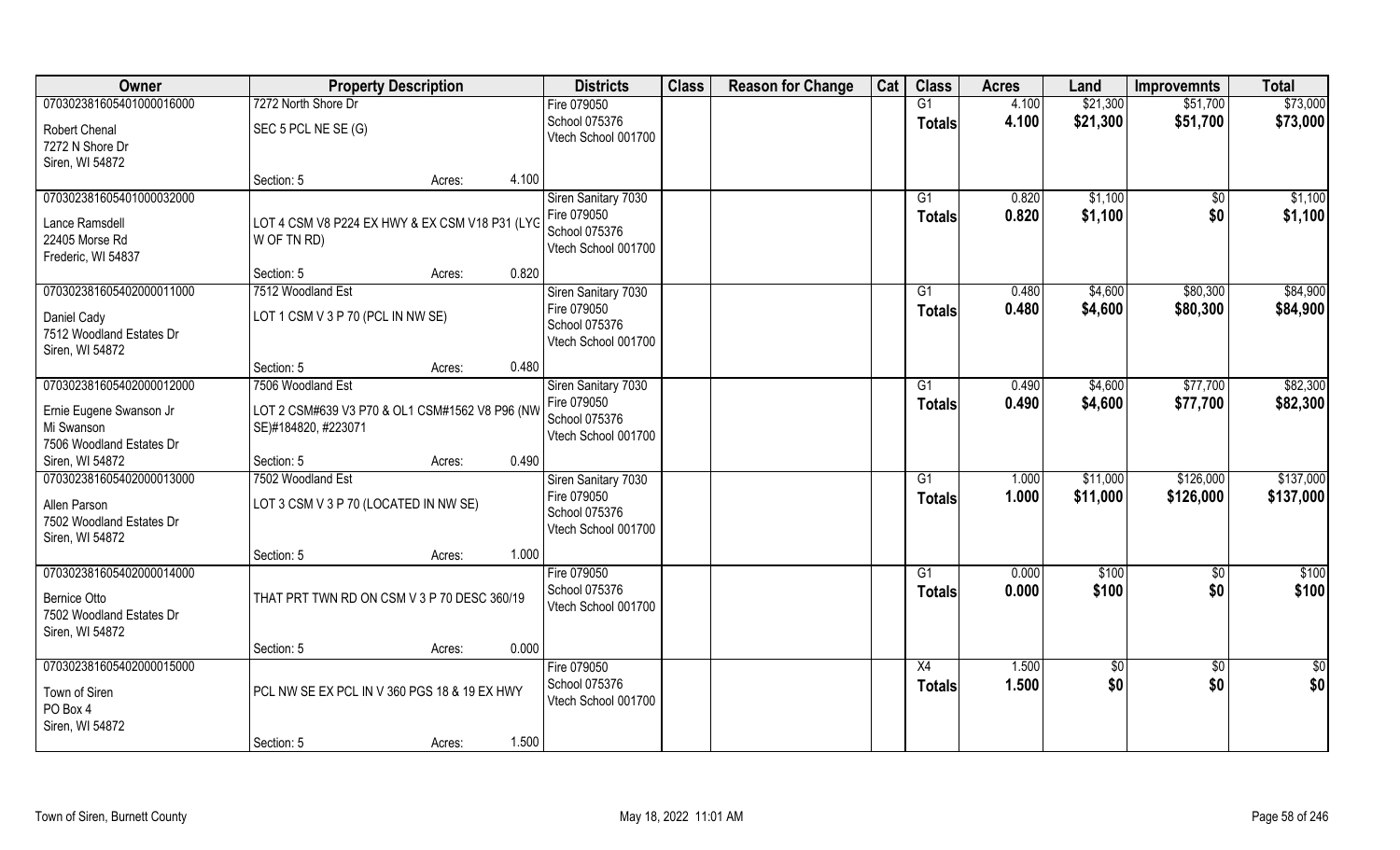| Owner                                                                                   | <b>Property Description</b>                                           |        |       | <b>Districts</b>                                                           | <b>Class</b> | <b>Reason for Change</b> | Cat | <b>Class</b>        | <b>Acres</b>   | Land                 | <b>Improvemnts</b>     | <b>Total</b>           |
|-----------------------------------------------------------------------------------------|-----------------------------------------------------------------------|--------|-------|----------------------------------------------------------------------------|--------------|--------------------------|-----|---------------------|----------------|----------------------|------------------------|------------------------|
| 070302381605401000016000                                                                | 7272 North Shore Dr                                                   |        |       | Fire 079050                                                                |              |                          |     | G1                  | 4.100          | \$21,300             | \$51,700               | \$73,000               |
| Robert Chenal<br>7272 N Shore Dr                                                        | SEC 5 PCL NE SE (G)                                                   |        |       | School 075376<br>Vtech School 001700                                       |              |                          |     | <b>Totals</b>       | 4.100          | \$21,300             | \$51,700               | \$73,000               |
| Siren, WI 54872                                                                         |                                                                       |        |       |                                                                            |              |                          |     |                     |                |                      |                        |                        |
|                                                                                         | Section: 5                                                            | Acres: | 4.100 |                                                                            |              |                          |     |                     |                |                      |                        |                        |
| 070302381605401000032000<br>Lance Ramsdell<br>22405 Morse Rd<br>Frederic, WI 54837      | LOT 4 CSM V8 P224 EX HWY & EX CSM V18 P31 (LYG<br>W OF TN RD)         |        |       | Siren Sanitary 7030<br>Fire 079050<br>School 075376<br>Vtech School 001700 |              |                          |     | G1<br><b>Totals</b> | 0.820<br>0.820 | \$1,100<br>\$1,100   | $\sqrt{$0}$<br>\$0     | \$1,100<br>\$1,100     |
|                                                                                         | Section: 5                                                            | Acres: | 0.820 |                                                                            |              |                          |     |                     |                |                      |                        |                        |
| 070302381605402000011000                                                                | 7512 Woodland Est                                                     |        |       | Siren Sanitary 7030                                                        |              |                          |     | G1                  | 0.480          | \$4,600              | \$80,300               | \$84,900               |
| Daniel Cady<br>7512 Woodland Estates Dr<br>Siren, WI 54872                              | LOT 1 CSM V 3 P 70 (PCL IN NW SE)                                     |        |       | Fire 079050<br>School 075376<br>Vtech School 001700                        |              |                          |     | <b>Totals</b>       | 0.480          | \$4,600              | \$80,300               | \$84,900               |
|                                                                                         | Section: 5                                                            | Acres: | 0.480 |                                                                            |              |                          |     |                     |                |                      |                        |                        |
| 070302381605402000012000                                                                | 7506 Woodland Est                                                     |        |       | Siren Sanitary 7030                                                        |              |                          |     | G1                  | 0.490          | \$4,600              | \$77,700               | \$82,300               |
| Ernie Eugene Swanson Jr<br>Mi Swanson<br>7506 Woodland Estates Dr                       | LOT 2 CSM#639 V3 P70 & OL1 CSM#1562 V8 P96 (NW<br>SE)#184820, #223071 |        |       | Fire 079050<br>School 075376<br>Vtech School 001700                        |              |                          |     | <b>Totals</b>       | 0.490          | \$4,600              | \$77,700               | \$82,300               |
| Siren, WI 54872                                                                         | Section: 5                                                            | Acres: | 0.490 |                                                                            |              |                          |     |                     |                |                      |                        |                        |
| 070302381605402000013000<br>Allen Parson<br>7502 Woodland Estates Dr<br>Siren, WI 54872 | 7502 Woodland Est<br>LOT 3 CSM V 3 P 70 (LOCATED IN NW SE)            |        |       | Siren Sanitary 7030<br>Fire 079050<br>School 075376<br>Vtech School 001700 |              |                          |     | G1<br><b>Totals</b> | 1.000<br>1.000 | \$11,000<br>\$11,000 | \$126,000<br>\$126,000 | \$137,000<br>\$137,000 |
|                                                                                         | Section: 5                                                            | Acres: | 1.000 |                                                                            |              |                          |     |                     |                |                      |                        |                        |
| 070302381605402000014000                                                                |                                                                       |        |       | Fire 079050                                                                |              |                          |     | G1                  | 0.000          | \$100                | \$0                    | \$100                  |
| <b>Bernice Otto</b><br>7502 Woodland Estates Dr<br>Siren, WI 54872                      | THAT PRT TWN RD ON CSM V 3 P 70 DESC 360/19                           |        |       | School 075376<br>Vtech School 001700                                       |              |                          |     | <b>Totals</b>       | 0.000          | \$100                | \$0                    | \$100                  |
|                                                                                         | Section: 5                                                            | Acres: | 0.000 |                                                                            |              |                          |     |                     |                |                      |                        |                        |
| 070302381605402000015000<br>Town of Siren<br>PO Box 4<br>Siren, WI 54872                | PCL NW SE EX PCL IN V 360 PGS 18 & 19 EX HWY                          |        |       | Fire 079050<br>School 075376<br>Vtech School 001700                        |              |                          |     | X4<br><b>Totals</b> | 1.500<br>1.500 | $\sqrt{6}$<br>\$0    | $\overline{50}$<br>\$0 | $\frac{1}{2}$<br>\$0   |
|                                                                                         | Section: 5                                                            | Acres: | 1.500 |                                                                            |              |                          |     |                     |                |                      |                        |                        |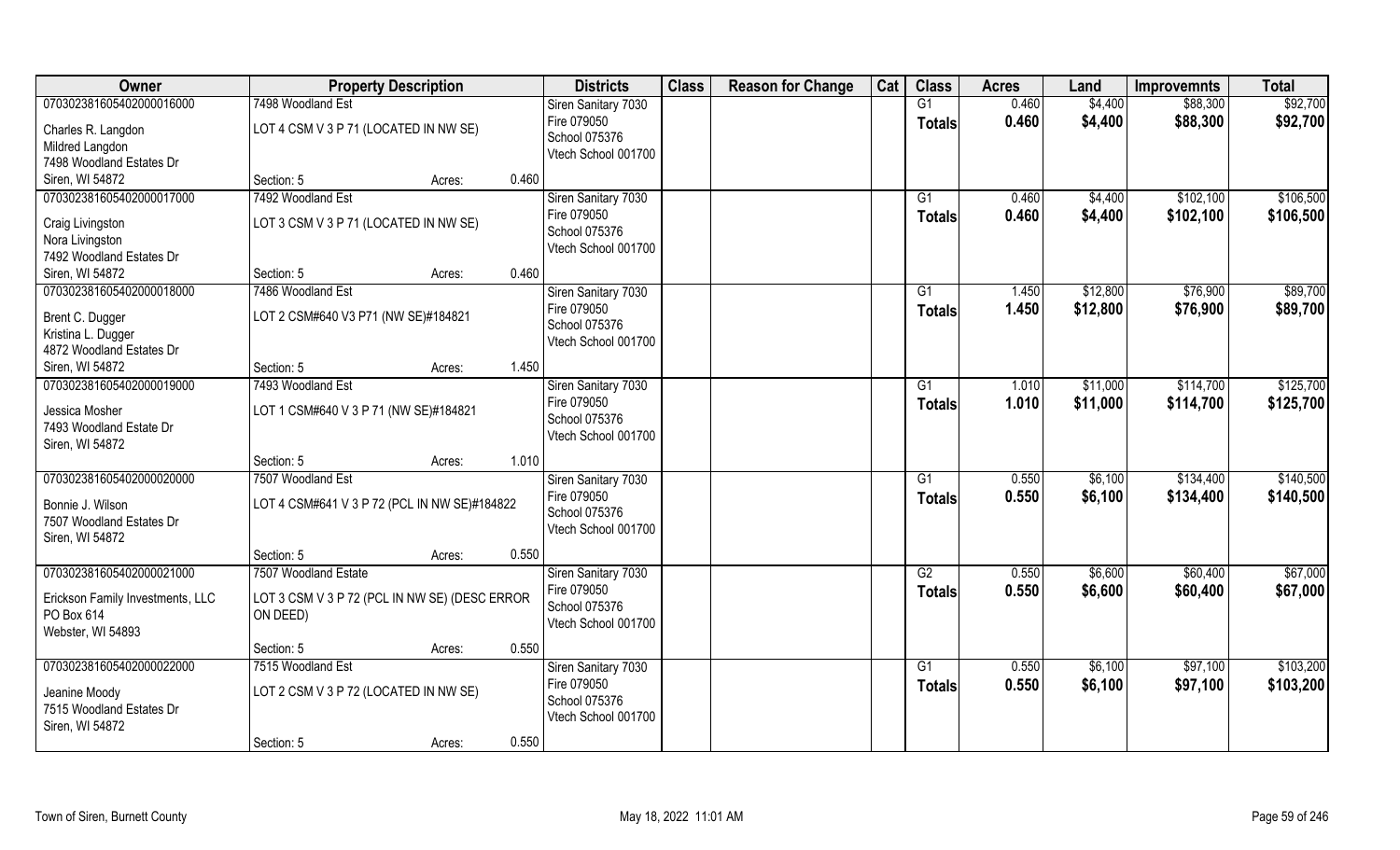| Owner                            |                                               | <b>Property Description</b> |       | <b>Districts</b>             | <b>Class</b> | <b>Reason for Change</b> | Cat | <b>Class</b>  | <b>Acres</b> | Land     | <b>Improvemnts</b> | <b>Total</b> |
|----------------------------------|-----------------------------------------------|-----------------------------|-------|------------------------------|--------------|--------------------------|-----|---------------|--------------|----------|--------------------|--------------|
| 070302381605402000016000         | 7498 Woodland Est                             |                             |       | Siren Sanitary 7030          |              |                          |     | G1            | 0.460        | \$4,400  | \$88,300           | \$92,700     |
| Charles R. Langdon               | LOT 4 CSM V 3 P 71 (LOCATED IN NW SE)         |                             |       | Fire 079050<br>School 075376 |              |                          |     | <b>Totals</b> | 0.460        | \$4,400  | \$88,300           | \$92,700     |
| Mildred Langdon                  |                                               |                             |       | Vtech School 001700          |              |                          |     |               |              |          |                    |              |
| 7498 Woodland Estates Dr         |                                               |                             |       |                              |              |                          |     |               |              |          |                    |              |
| Siren, WI 54872                  | Section: 5                                    | Acres:                      | 0.460 |                              |              |                          |     |               |              |          |                    |              |
| 070302381605402000017000         | 7492 Woodland Est                             |                             |       | Siren Sanitary 7030          |              |                          |     | G1            | 0.460        | \$4,400  | \$102,100          | \$106,500    |
| Craig Livingston                 | LOT 3 CSM V 3 P 71 (LOCATED IN NW SE)         |                             |       | Fire 079050                  |              |                          |     | Totals        | 0.460        | \$4,400  | \$102,100          | \$106,500    |
| Nora Livingston                  |                                               |                             |       | School 075376                |              |                          |     |               |              |          |                    |              |
| 7492 Woodland Estates Dr         |                                               |                             |       | Vtech School 001700          |              |                          |     |               |              |          |                    |              |
| Siren, WI 54872                  | Section: 5                                    | Acres:                      | 0.460 |                              |              |                          |     |               |              |          |                    |              |
| 070302381605402000018000         | 7486 Woodland Est                             |                             |       | Siren Sanitary 7030          |              |                          |     | G1            | 1.450        | \$12,800 | \$76,900           | \$89,700     |
| Brent C. Dugger                  | LOT 2 CSM#640 V3 P71 (NW SE)#184821           |                             |       | Fire 079050                  |              |                          |     | <b>Totals</b> | 1.450        | \$12,800 | \$76,900           | \$89,700     |
| Kristina L. Dugger               |                                               |                             |       | School 075376                |              |                          |     |               |              |          |                    |              |
| 4872 Woodland Estates Dr         |                                               |                             |       | Vtech School 001700          |              |                          |     |               |              |          |                    |              |
| Siren, WI 54872                  | Section: 5                                    | Acres:                      | 1.450 |                              |              |                          |     |               |              |          |                    |              |
| 070302381605402000019000         | 7493 Woodland Est                             |                             |       | Siren Sanitary 7030          |              |                          |     | G1            | 1.010        | \$11,000 | \$114,700          | \$125,700    |
|                                  |                                               |                             |       | Fire 079050                  |              |                          |     | <b>Totals</b> | 1.010        | \$11,000 | \$114,700          | \$125,700    |
| Jessica Mosher                   | LOT 1 CSM#640 V 3 P 71 (NW SE)#184821         |                             |       | School 075376                |              |                          |     |               |              |          |                    |              |
| 7493 Woodland Estate Dr          |                                               |                             |       | Vtech School 001700          |              |                          |     |               |              |          |                    |              |
| Siren, WI 54872                  |                                               |                             |       |                              |              |                          |     |               |              |          |                    |              |
|                                  | Section: 5                                    | Acres:                      | 1.010 |                              |              |                          |     |               |              |          |                    |              |
| 070302381605402000020000         | 7507 Woodland Est                             |                             |       | Siren Sanitary 7030          |              |                          |     | G1            | 0.550        | \$6,100  | \$134,400          | \$140,500    |
| Bonnie J. Wilson                 | LOT 4 CSM#641 V 3 P 72 (PCL IN NW SE)#184822  |                             |       | Fire 079050<br>School 075376 |              |                          |     | <b>Totals</b> | 0.550        | \$6,100  | \$134,400          | \$140,500    |
| 7507 Woodland Estates Dr         |                                               |                             |       | Vtech School 001700          |              |                          |     |               |              |          |                    |              |
| Siren, WI 54872                  |                                               |                             |       |                              |              |                          |     |               |              |          |                    |              |
|                                  | Section: 5                                    | Acres:                      | 0.550 |                              |              |                          |     |               |              |          |                    |              |
| 070302381605402000021000         | 7507 Woodland Estate                          |                             |       | Siren Sanitary 7030          |              |                          |     | G2            | 0.550        | \$6,600  | \$60,400           | \$67,000     |
| Erickson Family Investments, LLC | LOT 3 CSM V 3 P 72 (PCL IN NW SE) (DESC ERROR |                             |       | Fire 079050                  |              |                          |     | <b>Totals</b> | 0.550        | \$6,600  | \$60,400           | \$67,000     |
| PO Box 614                       | ON DEED)                                      |                             |       | School 075376                |              |                          |     |               |              |          |                    |              |
| Webster, WI 54893                |                                               |                             |       | Vtech School 001700          |              |                          |     |               |              |          |                    |              |
|                                  | Section: 5                                    | Acres:                      | 0.550 |                              |              |                          |     |               |              |          |                    |              |
| 070302381605402000022000         | 7515 Woodland Est                             |                             |       | Siren Sanitary 7030          |              |                          |     | G1            | 0.550        | \$6,100  | \$97,100           | \$103,200    |
| Jeanine Moody                    | LOT 2 CSM V 3 P 72 (LOCATED IN NW SE)         |                             |       | Fire 079050                  |              |                          |     | <b>Totals</b> | 0.550        | \$6,100  | \$97,100           | \$103,200    |
| 7515 Woodland Estates Dr         |                                               |                             |       | School 075376                |              |                          |     |               |              |          |                    |              |
| Siren, WI 54872                  |                                               |                             |       | Vtech School 001700          |              |                          |     |               |              |          |                    |              |
|                                  | Section: 5                                    | Acres:                      | 0.550 |                              |              |                          |     |               |              |          |                    |              |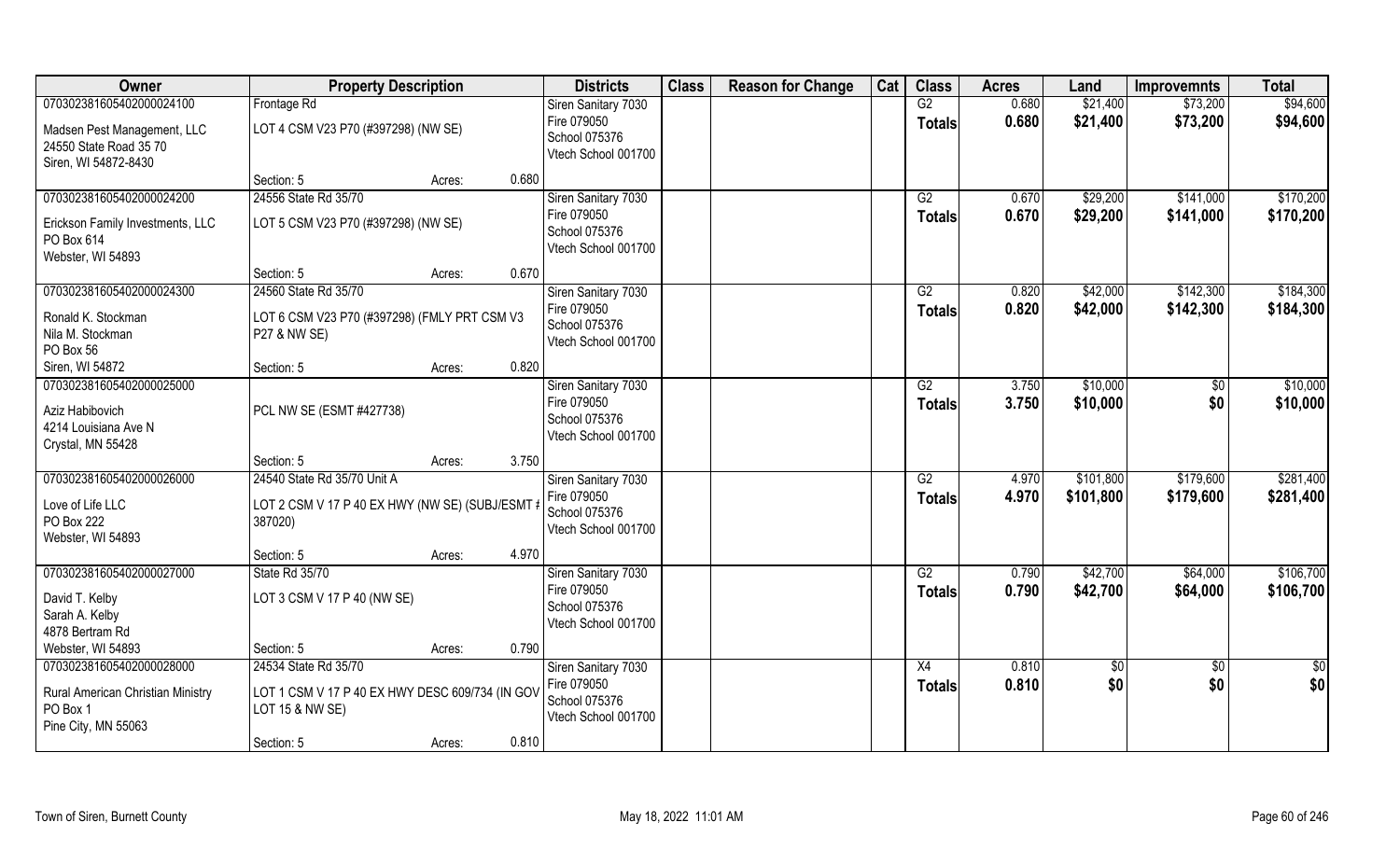| Owner                                                                                                     | <b>Property Description</b>                                                                              |                 | <b>Districts</b>                                                           | <b>Class</b> | <b>Reason for Change</b> | Cat | <b>Class</b>                     | <b>Acres</b>   | Land                   | <b>Improvemnts</b>     | <b>Total</b>           |
|-----------------------------------------------------------------------------------------------------------|----------------------------------------------------------------------------------------------------------|-----------------|----------------------------------------------------------------------------|--------------|--------------------------|-----|----------------------------------|----------------|------------------------|------------------------|------------------------|
| 070302381605402000024100<br>Madsen Pest Management, LLC<br>24550 State Road 35 70<br>Siren, WI 54872-8430 | Frontage Rd<br>LOT 4 CSM V23 P70 (#397298) (NW SE)                                                       |                 | Siren Sanitary 7030<br>Fire 079050<br>School 075376<br>Vtech School 001700 |              |                          |     | G2<br><b>Totals</b>              | 0.680<br>0.680 | \$21,400<br>\$21,400   | \$73,200<br>\$73,200   | \$94,600<br>\$94,600   |
|                                                                                                           | Section: 5                                                                                               | 0.680<br>Acres: |                                                                            |              |                          |     |                                  |                |                        |                        |                        |
| 070302381605402000024200<br>Erickson Family Investments, LLC<br>PO Box 614<br>Webster, WI 54893           | 24556 State Rd 35/70<br>LOT 5 CSM V23 P70 (#397298) (NW SE)                                              |                 | Siren Sanitary 7030<br>Fire 079050<br>School 075376<br>Vtech School 001700 |              |                          |     | G2<br><b>Totals</b>              | 0.670<br>0.670 | \$29,200<br>\$29,200   | \$141,000<br>\$141,000 | \$170,200<br>\$170,200 |
|                                                                                                           | Section: 5                                                                                               | 0.670<br>Acres: |                                                                            |              |                          |     |                                  |                |                        |                        |                        |
| 070302381605402000024300<br>Ronald K. Stockman<br>Nila M. Stockman<br>PO Box 56                           | 24560 State Rd 35/70<br>LOT 6 CSM V23 P70 (#397298) (FMLY PRT CSM V3<br>P27 & NW SE)                     |                 | Siren Sanitary 7030<br>Fire 079050<br>School 075376<br>Vtech School 001700 |              |                          |     | G2<br><b>Totals</b>              | 0.820<br>0.820 | \$42,000<br>\$42,000   | \$142,300<br>\$142,300 | \$184,300<br>\$184,300 |
| Siren, WI 54872                                                                                           | Section: 5                                                                                               | 0.820<br>Acres: |                                                                            |              |                          |     |                                  |                |                        |                        |                        |
| 070302381605402000025000<br>Aziz Habibovich<br>4214 Louisiana Ave N<br>Crystal, MN 55428                  | PCL NW SE (ESMT #427738)                                                                                 |                 | Siren Sanitary 7030<br>Fire 079050<br>School 075376<br>Vtech School 001700 |              |                          |     | G2<br><b>Totals</b>              | 3.750<br>3.750 | \$10,000<br>\$10,000   | \$0<br>\$0             | \$10,000<br>\$10,000   |
|                                                                                                           | Section: 5                                                                                               | 3.750<br>Acres: |                                                                            |              |                          |     |                                  |                |                        |                        |                        |
| 070302381605402000026000<br>Love of Life LLC<br>PO Box 222<br>Webster, WI 54893                           | 24540 State Rd 35/70 Unit A<br>LOT 2 CSM V 17 P 40 EX HWY (NW SE) (SUBJ/ESMT #<br>387020)                |                 | Siren Sanitary 7030<br>Fire 079050<br>School 075376<br>Vtech School 001700 |              |                          |     | $\overline{G2}$<br><b>Totals</b> | 4.970<br>4.970 | \$101,800<br>\$101,800 | \$179,600<br>\$179,600 | \$281,400<br>\$281,400 |
|                                                                                                           | Section: 5                                                                                               | 4.970<br>Acres: |                                                                            |              |                          |     |                                  |                |                        |                        |                        |
| 070302381605402000027000<br>David T. Kelby<br>Sarah A. Kelby<br>4878 Bertram Rd                           | State Rd 35/70<br>LOT 3 CSM V 17 P 40 (NW SE)                                                            |                 | Siren Sanitary 7030<br>Fire 079050<br>School 075376<br>Vtech School 001700 |              |                          |     | G2<br><b>Totals</b>              | 0.790<br>0.790 | \$42,700<br>\$42,700   | \$64,000<br>\$64,000   | \$106,700<br>\$106,700 |
| Webster, WI 54893                                                                                         | Section: 5                                                                                               | 0.790<br>Acres: |                                                                            |              |                          |     |                                  |                |                        |                        |                        |
| 070302381605402000028000<br>Rural American Christian Ministry<br>PO Box 1<br>Pine City, MN 55063          | 24534 State Rd 35/70<br>LOT 1 CSM V 17 P 40 EX HWY DESC 609/734 (IN GOV<br>LOT 15 & NW SE)<br>Section: 5 | 0.810<br>Acres: | Siren Sanitary 7030<br>Fire 079050<br>School 075376<br>Vtech School 001700 |              |                          |     | X4<br><b>Totals</b>              | 0.810<br>0.810 | \$0<br>\$0             | $\sqrt[6]{}$<br>\$0    | $\frac{1}{2}$<br>\$0   |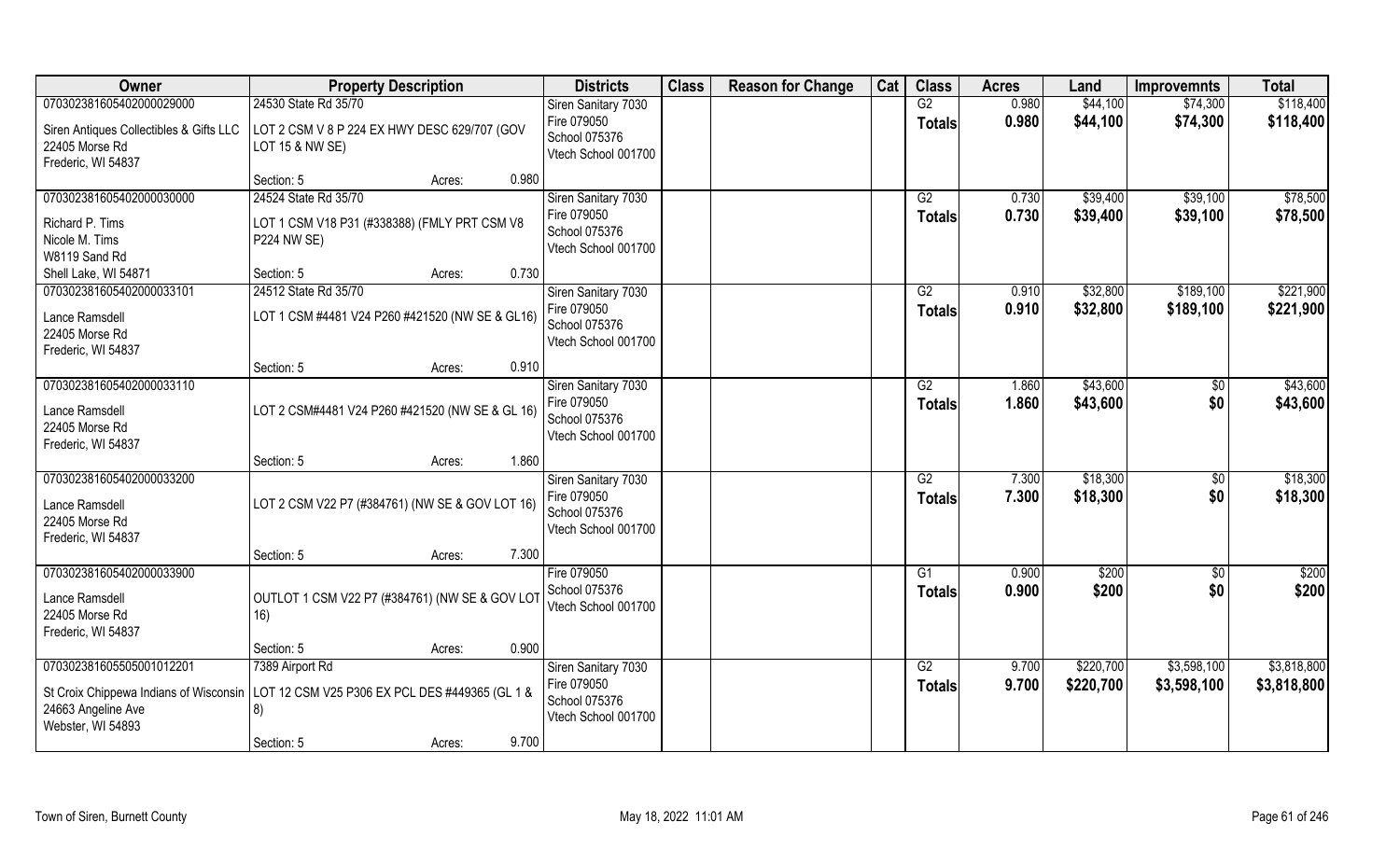| Owner                                                                                                       | <b>Property Description</b>                                                                                                                       | <b>Districts</b>                                                           | <b>Class</b> | <b>Reason for Change</b> | Cat | <b>Class</b>                     | <b>Acres</b>   | Land                   | <b>Improvemnts</b>         | <b>Total</b>               |
|-------------------------------------------------------------------------------------------------------------|---------------------------------------------------------------------------------------------------------------------------------------------------|----------------------------------------------------------------------------|--------------|--------------------------|-----|----------------------------------|----------------|------------------------|----------------------------|----------------------------|
| 070302381605402000029000<br>Siren Antiques Collectibles & Gifts LLC<br>22405 Morse Rd<br>Frederic, WI 54837 | 24530 State Rd 35/70<br>LOT 2 CSM V 8 P 224 EX HWY DESC 629/707 (GOV<br>LOT 15 & NW SE)                                                           | Siren Sanitary 7030<br>Fire 079050<br>School 075376<br>Vtech School 001700 |              |                          |     | G2<br><b>Totals</b>              | 0.980<br>0.980 | \$44,100<br>\$44,100   | \$74,300<br>\$74,300       | \$118,400<br>\$118,400     |
|                                                                                                             | 0.980<br>Section: 5<br>Acres:                                                                                                                     |                                                                            |              |                          |     |                                  |                |                        |                            |                            |
| 070302381605402000030000<br>Richard P. Tims<br>Nicole M. Tims<br>W8119 Sand Rd                              | 24524 State Rd 35/70<br>LOT 1 CSM V18 P31 (#338388) (FMLY PRT CSM V8<br><b>P224 NW SE)</b>                                                        | Siren Sanitary 7030<br>Fire 079050<br>School 075376<br>Vtech School 001700 |              |                          |     | G2<br><b>Totals</b>              | 0.730<br>0.730 | \$39,400<br>\$39,400   | \$39,100<br>\$39,100       | \$78,500<br>\$78,500       |
| Shell Lake, WI 54871                                                                                        | 0.730<br>Section: 5<br>Acres:                                                                                                                     |                                                                            |              |                          |     |                                  |                |                        |                            |                            |
| 070302381605402000033101<br>Lance Ramsdell<br>22405 Morse Rd<br>Frederic, WI 54837                          | 24512 State Rd 35/70<br>LOT 1 CSM #4481 V24 P260 #421520 (NW SE & GL16)                                                                           | Siren Sanitary 7030<br>Fire 079050<br>School 075376<br>Vtech School 001700 |              |                          |     | G2<br><b>Totals</b>              | 0.910<br>0.910 | \$32,800<br>\$32,800   | \$189,100<br>\$189,100     | \$221,900<br>\$221,900     |
|                                                                                                             | 0.910<br>Section: 5<br>Acres:                                                                                                                     |                                                                            |              |                          |     |                                  |                |                        |                            |                            |
| 070302381605402000033110<br>Lance Ramsdell<br>22405 Morse Rd<br>Frederic, WI 54837                          | LOT 2 CSM#4481 V24 P260 #421520 (NW SE & GL 16)                                                                                                   | Siren Sanitary 7030<br>Fire 079050<br>School 075376<br>Vtech School 001700 |              |                          |     | G2<br><b>Totals</b>              | 1.860<br>1.860 | \$43,600<br>\$43,600   | $\sqrt[6]{}$<br>\$0        | \$43,600<br>\$43,600       |
|                                                                                                             | 1.860<br>Section: 5<br>Acres:                                                                                                                     |                                                                            |              |                          |     |                                  |                |                        |                            |                            |
| 070302381605402000033200<br>Lance Ramsdell<br>22405 Morse Rd<br>Frederic, WI 54837                          | LOT 2 CSM V22 P7 (#384761) (NW SE & GOV LOT 16)                                                                                                   | Siren Sanitary 7030<br>Fire 079050<br>School 075376<br>Vtech School 001700 |              |                          |     | $\overline{G2}$<br><b>Totals</b> | 7.300<br>7.300 | \$18,300<br>\$18,300   | \$0<br>\$0                 | \$18,300<br>\$18,300       |
|                                                                                                             | 7.300<br>Section: 5<br>Acres:                                                                                                                     |                                                                            |              |                          |     |                                  |                |                        |                            |                            |
| 070302381605402000033900<br>Lance Ramsdell<br>22405 Morse Rd<br>Frederic, WI 54837                          | OUTLOT 1 CSM V22 P7 (#384761) (NW SE & GOV LOT<br>16)                                                                                             | Fire 079050<br>School 075376<br>Vtech School 001700                        |              |                          |     | G1<br><b>Totals</b>              | 0.900<br>0.900 | \$200<br>\$200         | \$0<br>\$0                 | \$200<br>\$200             |
|                                                                                                             | 0.900<br>Section: 5<br>Acres:                                                                                                                     |                                                                            |              |                          |     |                                  |                |                        |                            |                            |
| 070302381605505001012201<br>24663 Angeline Ave<br>Webster, WI 54893                                         | 7389 Airport Rd<br>St Croix Chippewa Indians of Wisconsin   LOT 12 CSM V25 P306 EX PCL DES #449365 (GL 1 &<br>8)<br>9.700<br>Section: 5<br>Acres: | Siren Sanitary 7030<br>Fire 079050<br>School 075376<br>Vtech School 001700 |              |                          |     | G2<br><b>Totals</b>              | 9.700<br>9.700 | \$220,700<br>\$220,700 | \$3,598,100<br>\$3,598,100 | \$3,818,800<br>\$3,818,800 |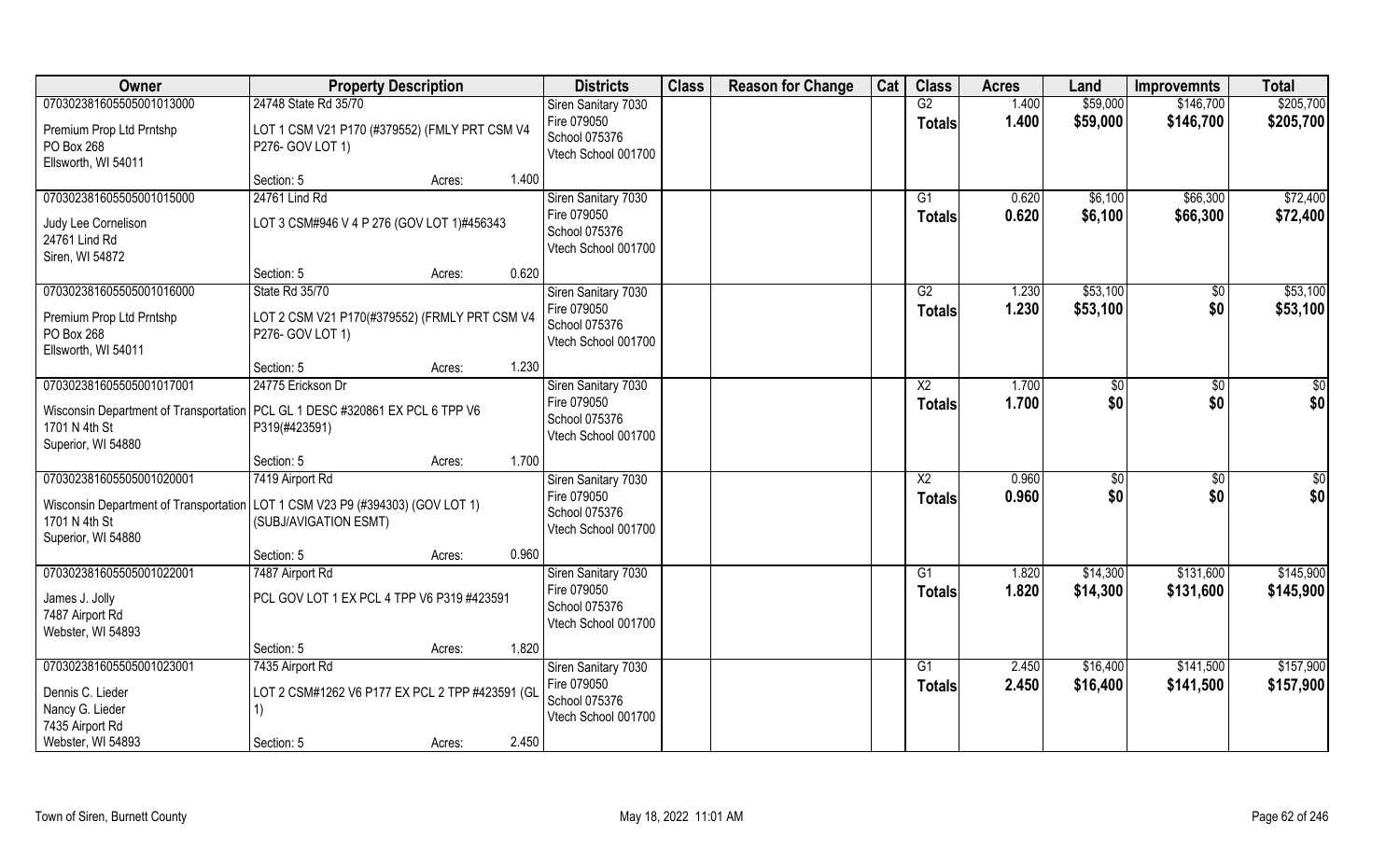| Owner                                                                                                     | <b>Property Description</b>                                                                                          | <b>Districts</b>                                                           | <b>Class</b> | <b>Reason for Change</b> | Cat | <b>Class</b>                     | <b>Acres</b>   | Land                 | <b>Improvemnts</b>     | <b>Total</b>           |
|-----------------------------------------------------------------------------------------------------------|----------------------------------------------------------------------------------------------------------------------|----------------------------------------------------------------------------|--------------|--------------------------|-----|----------------------------------|----------------|----------------------|------------------------|------------------------|
| 070302381605505001013000<br>Premium Prop Ltd Prntshp<br>PO Box 268<br>Ellsworth, WI 54011                 | 24748 State Rd 35/70<br>LOT 1 CSM V21 P170 (#379552) (FMLY PRT CSM V4<br>P276- GOV LOT 1)                            | Siren Sanitary 7030<br>Fire 079050<br>School 075376<br>Vtech School 001700 |              |                          |     | G2<br><b>Totals</b>              | 1.400<br>1.400 | \$59,000<br>\$59,000 | \$146,700<br>\$146,700 | \$205,700<br>\$205,700 |
|                                                                                                           | 1.400<br>Section: 5<br>Acres:                                                                                        |                                                                            |              |                          |     |                                  |                |                      |                        |                        |
| 070302381605505001015000<br>Judy Lee Cornelison<br>24761 Lind Rd<br>Siren, WI 54872                       | 24761 Lind Rd<br>LOT 3 CSM#946 V 4 P 276 (GOV LOT 1)#456343                                                          | Siren Sanitary 7030<br>Fire 079050<br>School 075376<br>Vtech School 001700 |              |                          |     | G1<br>Totals                     | 0.620<br>0.620 | \$6,100<br>\$6,100   | \$66,300<br>\$66,300   | \$72,400<br>\$72,400   |
|                                                                                                           | 0.620<br>Section: 5<br>Acres:                                                                                        |                                                                            |              |                          |     |                                  |                |                      |                        |                        |
| 070302381605505001016000<br>Premium Prop Ltd Prntshp<br>PO Box 268<br>Ellsworth, WI 54011                 | State Rd 35/70<br>LOT 2 CSM V21 P170(#379552) (FRMLY PRT CSM V4<br>P276- GOV LOT 1)                                  | Siren Sanitary 7030<br>Fire 079050<br>School 075376<br>Vtech School 001700 |              |                          |     | G2<br><b>Totals</b>              | 1.230<br>1.230 | \$53,100<br>\$53,100 | \$0<br>\$0             | \$53,100<br>\$53,100   |
|                                                                                                           | 1.230<br>Section: 5<br>Acres:                                                                                        |                                                                            |              |                          |     |                                  |                |                      |                        |                        |
| 070302381605505001017001<br>1701 N 4th St<br>Superior, WI 54880                                           | 24775 Erickson Dr<br>Wisconsin Department of Transportation   PCL GL 1 DESC #320861 EX PCL 6 TPP V6<br>P319(#423591) | Siren Sanitary 7030<br>Fire 079050<br>School 075376<br>Vtech School 001700 |              |                          |     | X <sub>2</sub><br><b>Totals</b>  | 1.700<br>1.700 | \$0<br>\$0           | $\sqrt{50}$<br>\$0     | \$0<br>\$0             |
|                                                                                                           | 1.700<br>Section: 5<br>Acres:                                                                                        |                                                                            |              |                          |     |                                  |                |                      |                        |                        |
| 070302381605505001020001<br>Wisconsin Department of Transportation<br>1701 N 4th St<br>Superior, WI 54880 | 7419 Airport Rd<br>LOT 1 CSM V23 P9 (#394303) (GOV LOT 1)<br>(SUBJ/AVIGATION ESMT)                                   | Siren Sanitary 7030<br>Fire 079050<br>School 075376<br>Vtech School 001700 |              |                          |     | X <sub>2</sub><br><b>Totals</b>  | 0.960<br>0.960 | \$0<br>\$0           | \$0<br>\$0             | \$0<br>\$0             |
|                                                                                                           | 0.960<br>Section: 5<br>Acres:                                                                                        |                                                                            |              |                          |     |                                  |                |                      |                        |                        |
| 070302381605505001022001<br>James J. Jolly<br>7487 Airport Rd<br>Webster, WI 54893                        | 7487 Airport Rd<br>PCL GOV LOT 1 EX PCL 4 TPP V6 P319 #423591                                                        | Siren Sanitary 7030<br>Fire 079050<br>School 075376<br>Vtech School 001700 |              |                          |     | $\overline{G1}$<br><b>Totals</b> | 1.820<br>1.820 | \$14,300<br>\$14,300 | \$131,600<br>\$131,600 | \$145,900<br>\$145,900 |
|                                                                                                           | 1.820<br>Section: 5<br>Acres:                                                                                        |                                                                            |              |                          |     |                                  |                |                      |                        |                        |
| 070302381605505001023001<br>Dennis C. Lieder<br>Nancy G. Lieder<br>7435 Airport Rd<br>Webster, WI 54893   | 7435 Airport Rd<br>LOT 2 CSM#1262 V6 P177 EX PCL 2 TPP #423591 (GL<br>1).<br>2.450<br>Section: 5<br>Acres:           | Siren Sanitary 7030<br>Fire 079050<br>School 075376<br>Vtech School 001700 |              |                          |     | G1<br><b>Totals</b>              | 2.450<br>2.450 | \$16,400<br>\$16,400 | \$141,500<br>\$141,500 | \$157,900<br>\$157,900 |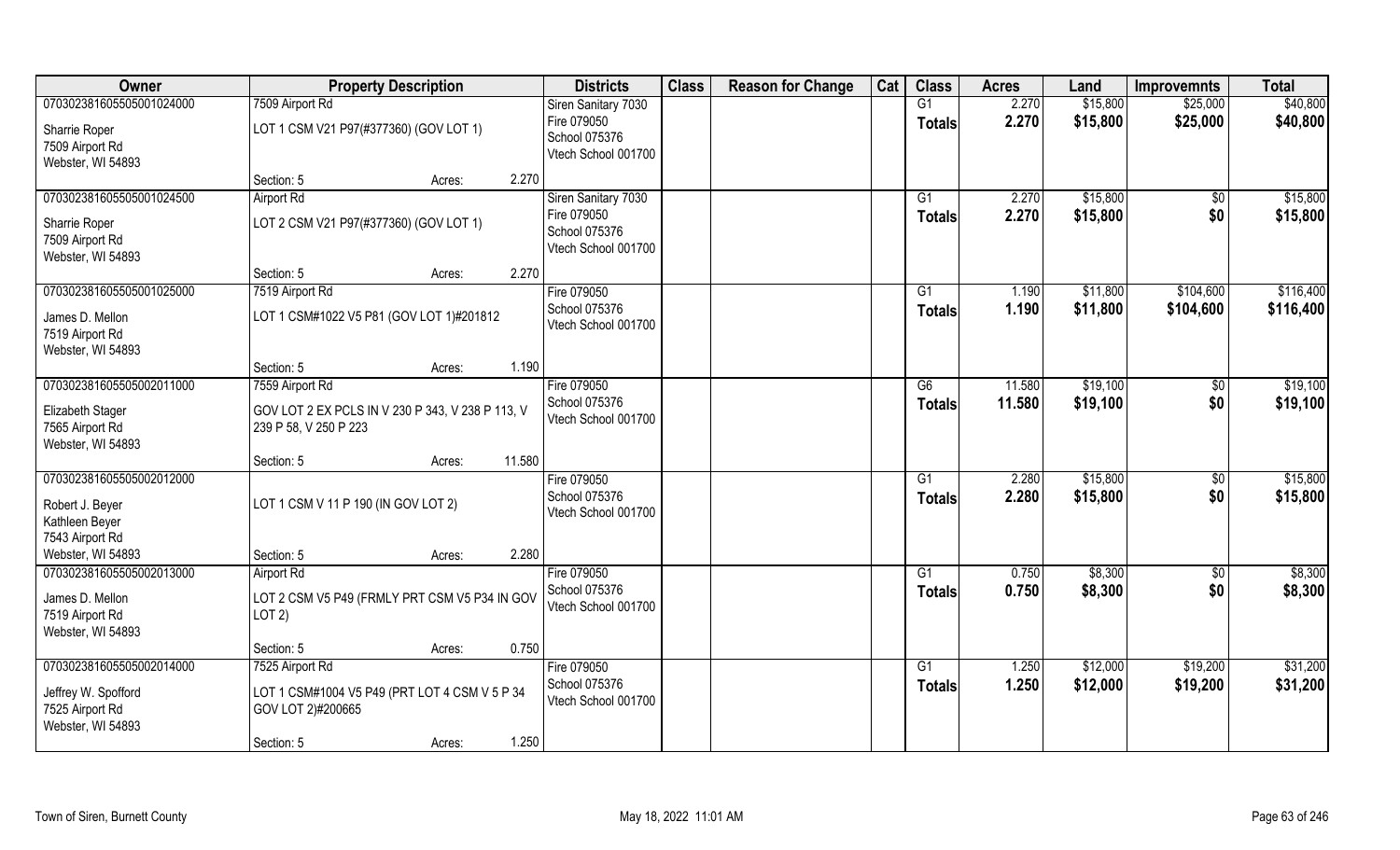| Owner                    | <b>Property Description</b>                      |        | <b>Districts</b>                     | <b>Class</b> | <b>Reason for Change</b> | Cat | <b>Class</b>    | <b>Acres</b> | Land     | <b>Improvemnts</b> | <b>Total</b> |
|--------------------------|--------------------------------------------------|--------|--------------------------------------|--------------|--------------------------|-----|-----------------|--------------|----------|--------------------|--------------|
| 070302381605505001024000 | 7509 Airport Rd                                  |        | Siren Sanitary 7030                  |              |                          |     | G1              | 2.270        | \$15,800 | \$25,000           | \$40,800     |
| Sharrie Roper            | LOT 1 CSM V21 P97(#377360) (GOV LOT 1)           |        | Fire 079050                          |              |                          |     | <b>Totals</b>   | 2.270        | \$15,800 | \$25,000           | \$40,800     |
| 7509 Airport Rd          |                                                  |        | School 075376                        |              |                          |     |                 |              |          |                    |              |
| Webster, WI 54893        |                                                  |        | Vtech School 001700                  |              |                          |     |                 |              |          |                    |              |
|                          | Section: 5<br>Acres:                             | 2.270  |                                      |              |                          |     |                 |              |          |                    |              |
| 070302381605505001024500 | <b>Airport Rd</b>                                |        | Siren Sanitary 7030                  |              |                          |     | $\overline{G1}$ | 2.270        | \$15,800 | \$0                | \$15,800     |
| Sharrie Roper            | LOT 2 CSM V21 P97(#377360) (GOV LOT 1)           |        | Fire 079050                          |              |                          |     | Totals          | 2.270        | \$15,800 | \$0                | \$15,800     |
| 7509 Airport Rd          |                                                  |        | School 075376<br>Vtech School 001700 |              |                          |     |                 |              |          |                    |              |
| Webster, WI 54893        |                                                  |        |                                      |              |                          |     |                 |              |          |                    |              |
|                          | Section: 5<br>Acres:                             | 2.270  |                                      |              |                          |     |                 |              |          |                    |              |
| 070302381605505001025000 | 7519 Airport Rd                                  |        | Fire 079050                          |              |                          |     | G1              | 1.190        | \$11,800 | \$104,600          | \$116,400    |
| James D. Mellon          | LOT 1 CSM#1022 V5 P81 (GOV LOT 1)#201812         |        | School 075376                        |              |                          |     | <b>Totals</b>   | 1.190        | \$11,800 | \$104,600          | \$116,400    |
| 7519 Airport Rd          |                                                  |        | Vtech School 001700                  |              |                          |     |                 |              |          |                    |              |
| Webster, WI 54893        |                                                  |        |                                      |              |                          |     |                 |              |          |                    |              |
|                          | Section: 5<br>Acres:                             | 1.190  |                                      |              |                          |     |                 |              |          |                    |              |
| 070302381605505002011000 | 7559 Airport Rd                                  |        | Fire 079050                          |              |                          |     | G6              | 11.580       | \$19,100 | $\sqrt[6]{30}$     | \$19,100     |
| Elizabeth Stager         | GOV LOT 2 EX PCLS IN V 230 P 343, V 238 P 113, V |        | School 075376                        |              |                          |     | <b>Totals</b>   | 11.580       | \$19,100 | \$0                | \$19,100     |
| 7565 Airport Rd          | 239 P 58, V 250 P 223                            |        | Vtech School 001700                  |              |                          |     |                 |              |          |                    |              |
| Webster, WI 54893        |                                                  |        |                                      |              |                          |     |                 |              |          |                    |              |
|                          | Section: 5<br>Acres:                             | 11.580 |                                      |              |                          |     |                 |              |          |                    |              |
| 070302381605505002012000 |                                                  |        | Fire 079050                          |              |                          |     | G1              | 2.280        | \$15,800 | $\sqrt[6]{}$       | \$15,800     |
| Robert J. Beyer          | LOT 1 CSM V 11 P 190 (IN GOV LOT 2)              |        | School 075376                        |              |                          |     | Totals          | 2.280        | \$15,800 | \$0                | \$15,800     |
| Kathleen Beyer           |                                                  |        | Vtech School 001700                  |              |                          |     |                 |              |          |                    |              |
| 7543 Airport Rd          |                                                  |        |                                      |              |                          |     |                 |              |          |                    |              |
| Webster, WI 54893        | Section: 5<br>Acres:                             | 2.280  |                                      |              |                          |     |                 |              |          |                    |              |
| 070302381605505002013000 | Airport Rd                                       |        | Fire 079050                          |              |                          |     | G1              | 0.750        | \$8,300  | $\sqrt{6}$         | \$8,300      |
| James D. Mellon          | LOT 2 CSM V5 P49 (FRMLY PRT CSM V5 P34 IN GOV    |        | School 075376                        |              |                          |     | <b>Totals</b>   | 0.750        | \$8,300  | \$0                | \$8,300      |
| 7519 Airport Rd          | LOT 2)                                           |        | Vtech School 001700                  |              |                          |     |                 |              |          |                    |              |
| Webster, WI 54893        |                                                  |        |                                      |              |                          |     |                 |              |          |                    |              |
|                          | Section: 5<br>Acres:                             | 0.750  |                                      |              |                          |     |                 |              |          |                    |              |
| 070302381605505002014000 | 7525 Airport Rd                                  |        | Fire 079050                          |              |                          |     | G1              | 1.250        | \$12,000 | \$19,200           | \$31,200     |
| Jeffrey W. Spofford      | LOT 1 CSM#1004 V5 P49 (PRT LOT 4 CSM V 5 P 34    |        | School 075376                        |              |                          |     | <b>Totals</b>   | 1.250        | \$12,000 | \$19,200           | \$31,200     |
| 7525 Airport Rd          | GOV LOT 2)#200665                                |        | Vtech School 001700                  |              |                          |     |                 |              |          |                    |              |
| Webster, WI 54893        |                                                  |        |                                      |              |                          |     |                 |              |          |                    |              |
|                          | Section: 5<br>Acres:                             | 1.250  |                                      |              |                          |     |                 |              |          |                    |              |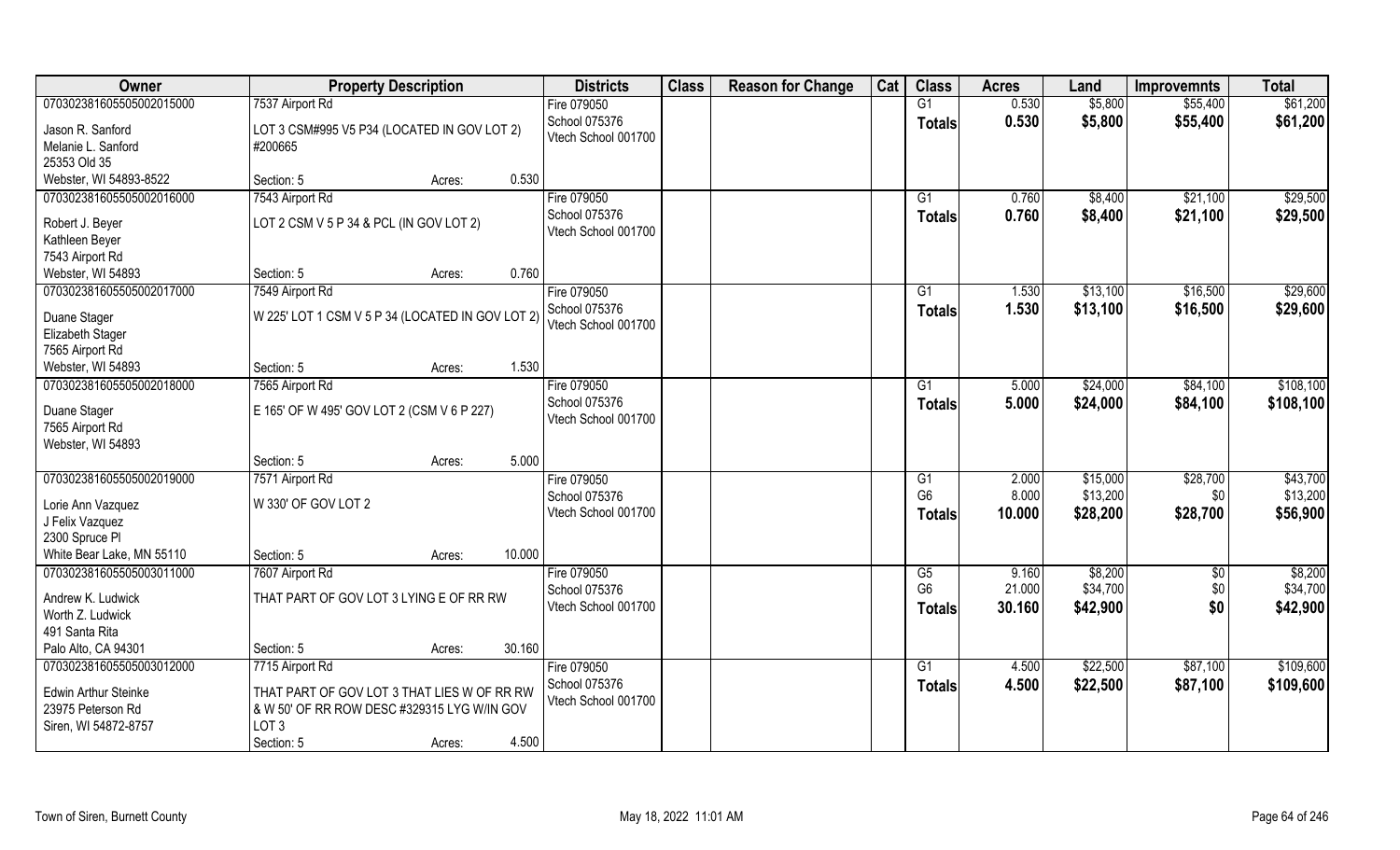| Owner                             | <b>Property Description</b>                      |        | <b>Districts</b>    | <b>Class</b> | <b>Reason for Change</b> | Cat | <b>Class</b>   | <b>Acres</b> | Land     | <b>Improvemnts</b> | <b>Total</b> |
|-----------------------------------|--------------------------------------------------|--------|---------------------|--------------|--------------------------|-----|----------------|--------------|----------|--------------------|--------------|
| 070302381605505002015000          | 7537 Airport Rd                                  |        | Fire 079050         |              |                          |     | G1             | 0.530        | \$5,800  | \$55,400           | \$61,200     |
| Jason R. Sanford                  | LOT 3 CSM#995 V5 P34 (LOCATED IN GOV LOT 2)      |        | School 075376       |              |                          |     | <b>Totals</b>  | 0.530        | \$5,800  | \$55,400           | \$61,200     |
| Melanie L. Sanford                | #200665                                          |        | Vtech School 001700 |              |                          |     |                |              |          |                    |              |
| 25353 Old 35                      |                                                  |        |                     |              |                          |     |                |              |          |                    |              |
| Webster, WI 54893-8522            | Section: 5<br>Acres:                             | 0.530  |                     |              |                          |     |                |              |          |                    |              |
| 070302381605505002016000          | 7543 Airport Rd                                  |        | Fire 079050         |              |                          |     | G1             | 0.760        | \$8,400  | \$21,100           | \$29,500     |
|                                   | LOT 2 CSM V 5 P 34 & PCL (IN GOV LOT 2)          |        | School 075376       |              |                          |     | Totals         | 0.760        | \$8,400  | \$21,100           | \$29,500     |
| Robert J. Beyer<br>Kathleen Beyer |                                                  |        | Vtech School 001700 |              |                          |     |                |              |          |                    |              |
| 7543 Airport Rd                   |                                                  |        |                     |              |                          |     |                |              |          |                    |              |
| Webster, WI 54893                 | Section: 5<br>Acres:                             | 0.760  |                     |              |                          |     |                |              |          |                    |              |
| 070302381605505002017000          | 7549 Airport Rd                                  |        | Fire 079050         |              |                          |     | G1             | 1.530        | \$13,100 | \$16,500           | \$29,600     |
|                                   |                                                  |        | School 075376       |              |                          |     | <b>Totals</b>  | 1.530        | \$13,100 | \$16,500           | \$29,600     |
| Duane Stager                      | W 225' LOT 1 CSM V 5 P 34 (LOCATED IN GOV LOT 2) |        | Vtech School 001700 |              |                          |     |                |              |          |                    |              |
| Elizabeth Stager                  |                                                  |        |                     |              |                          |     |                |              |          |                    |              |
| 7565 Airport Rd                   |                                                  |        |                     |              |                          |     |                |              |          |                    |              |
| Webster, WI 54893                 | Section: 5<br>Acres:                             | 1.530  |                     |              |                          |     |                |              |          |                    |              |
| 070302381605505002018000          | 7565 Airport Rd                                  |        | Fire 079050         |              |                          |     | G1             | 5.000        | \$24,000 | \$84,100           | \$108,100    |
| Duane Stager                      | E 165' OF W 495' GOV LOT 2 (CSM V 6 P 227)       |        | School 075376       |              |                          |     | <b>Totals</b>  | 5.000        | \$24,000 | \$84,100           | \$108,100    |
| 7565 Airport Rd                   |                                                  |        | Vtech School 001700 |              |                          |     |                |              |          |                    |              |
| Webster, WI 54893                 |                                                  |        |                     |              |                          |     |                |              |          |                    |              |
|                                   | Section: 5<br>Acres:                             | 5.000  |                     |              |                          |     |                |              |          |                    |              |
| 070302381605505002019000          | 7571 Airport Rd                                  |        | Fire 079050         |              |                          |     | G1             | 2.000        | \$15,000 | \$28,700           | \$43,700     |
| Lorie Ann Vazquez                 | W 330' OF GOV LOT 2                              |        | School 075376       |              |                          |     | G <sub>6</sub> | 8.000        | \$13,200 | \$0                | \$13,200     |
| J Felix Vazquez                   |                                                  |        | Vtech School 001700 |              |                          |     | <b>Totals</b>  | 10.000       | \$28,200 | \$28,700           | \$56,900     |
| 2300 Spruce PI                    |                                                  |        |                     |              |                          |     |                |              |          |                    |              |
| White Bear Lake, MN 55110         | Section: 5<br>Acres:                             | 10.000 |                     |              |                          |     |                |              |          |                    |              |
| 070302381605505003011000          | 7607 Airport Rd                                  |        | Fire 079050         |              |                          |     | G5             | 9.160        | \$8,200  | $\sqrt{$0}$        | \$8,200      |
| Andrew K. Ludwick                 | THAT PART OF GOV LOT 3 LYING E OF RR RW          |        | School 075376       |              |                          |     | G <sub>6</sub> | 21.000       | \$34,700 | \$0                | \$34,700     |
| Worth Z. Ludwick                  |                                                  |        | Vtech School 001700 |              |                          |     | <b>Totals</b>  | 30.160       | \$42,900 | \$0                | \$42,900     |
| 491 Santa Rita                    |                                                  |        |                     |              |                          |     |                |              |          |                    |              |
| Palo Alto, CA 94301               | Section: 5<br>Acres:                             | 30.160 |                     |              |                          |     |                |              |          |                    |              |
| 070302381605505003012000          | 7715 Airport Rd                                  |        | Fire 079050         |              |                          |     | G1             | 4.500        | \$22,500 | \$87,100           | \$109,600    |
|                                   |                                                  |        | School 075376       |              |                          |     | Totals         | 4.500        | \$22,500 | \$87,100           | \$109,600    |
| <b>Edwin Arthur Steinke</b>       | THAT PART OF GOV LOT 3 THAT LIES W OF RR RW      |        | Vtech School 001700 |              |                          |     |                |              |          |                    |              |
| 23975 Peterson Rd                 | & W 50' OF RR ROW DESC #329315 LYG W/IN GOV      |        |                     |              |                          |     |                |              |          |                    |              |
| Siren, WI 54872-8757              | LOT <sub>3</sub>                                 |        |                     |              |                          |     |                |              |          |                    |              |
|                                   | Section: 5<br>Acres:                             | 4.500  |                     |              |                          |     |                |              |          |                    |              |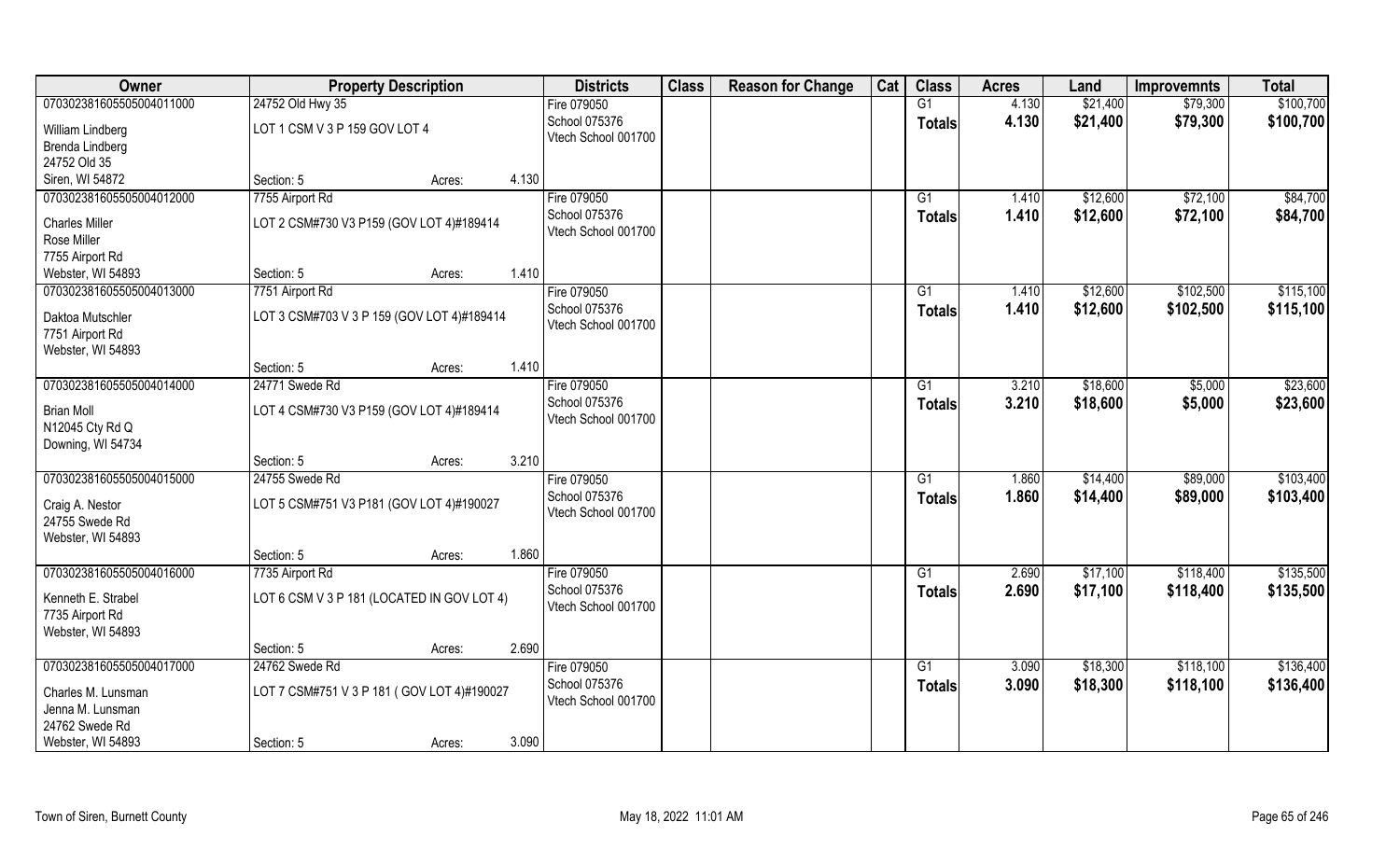| Owner                                | <b>Property Description</b>                |        |       | <b>Districts</b>             | <b>Class</b> | <b>Reason for Change</b> | Cat | <b>Class</b>   | <b>Acres</b> | Land     | <b>Improvemnts</b> | <b>Total</b> |
|--------------------------------------|--------------------------------------------|--------|-------|------------------------------|--------------|--------------------------|-----|----------------|--------------|----------|--------------------|--------------|
| 070302381605505004011000             | 24752 Old Hwy 35                           |        |       | Fire 079050                  |              |                          |     | G1             | 4.130        | \$21,400 | \$79,300           | \$100,700    |
| William Lindberg                     | LOT 1 CSM V 3 P 159 GOV LOT 4              |        |       | School 075376                |              |                          |     | <b>Totals</b>  | 4.130        | \$21,400 | \$79,300           | \$100,700    |
| <b>Brenda Lindberg</b>               |                                            |        |       | Vtech School 001700          |              |                          |     |                |              |          |                    |              |
| 24752 Old 35                         |                                            |        |       |                              |              |                          |     |                |              |          |                    |              |
| Siren, WI 54872                      | Section: 5                                 | Acres: | 4.130 |                              |              |                          |     |                |              |          |                    |              |
| 070302381605505004012000             | 7755 Airport Rd                            |        |       | Fire 079050                  |              |                          |     | G1             | 1.410        | \$12,600 | \$72,100           | \$84,700     |
|                                      |                                            |        |       | School 075376                |              |                          |     | <b>Totals</b>  | 1.410        | \$12,600 | \$72,100           | \$84,700     |
| <b>Charles Miller</b><br>Rose Miller | LOT 2 CSM#730 V3 P159 (GOV LOT 4)#189414   |        |       | Vtech School 001700          |              |                          |     |                |              |          |                    |              |
| 7755 Airport Rd                      |                                            |        |       |                              |              |                          |     |                |              |          |                    |              |
| Webster, WI 54893                    | Section: 5                                 | Acres: | 1.410 |                              |              |                          |     |                |              |          |                    |              |
| 070302381605505004013000             | 7751 Airport Rd                            |        |       | Fire 079050                  |              |                          |     | G1             | 1.410        | \$12,600 | \$102,500          | \$115,100    |
|                                      |                                            |        |       | School 075376                |              |                          |     | <b>Totals</b>  | 1.410        | \$12,600 | \$102,500          | \$115,100    |
| Daktoa Mutschler                     | LOT 3 CSM#703 V 3 P 159 (GOV LOT 4)#189414 |        |       | Vtech School 001700          |              |                          |     |                |              |          |                    |              |
| 7751 Airport Rd                      |                                            |        |       |                              |              |                          |     |                |              |          |                    |              |
| Webster, WI 54893                    | Section: 5                                 | Acres: | 1.410 |                              |              |                          |     |                |              |          |                    |              |
| 070302381605505004014000             | 24771 Swede Rd                             |        |       | Fire 079050                  |              |                          |     | G <sub>1</sub> | 3.210        | \$18,600 | \$5,000            | \$23,600     |
|                                      |                                            |        |       | School 075376                |              |                          |     | <b>Totals</b>  | 3.210        | \$18,600 | \$5,000            | \$23,600     |
| <b>Brian Moll</b>                    | LOT 4 CSM#730 V3 P159 (GOV LOT 4)#189414   |        |       | Vtech School 001700          |              |                          |     |                |              |          |                    |              |
| N12045 Cty Rd Q                      |                                            |        |       |                              |              |                          |     |                |              |          |                    |              |
| Downing, WI 54734                    |                                            |        |       |                              |              |                          |     |                |              |          |                    |              |
| 070302381605505004015000             | Section: 5                                 | Acres: | 3.210 |                              |              |                          |     |                |              |          |                    | \$103,400    |
|                                      | 24755 Swede Rd                             |        |       | Fire 079050<br>School 075376 |              |                          |     | G1             | 1.860        | \$14,400 | \$89,000           |              |
| Craig A. Nestor                      | LOT 5 CSM#751 V3 P181 (GOV LOT 4)#190027   |        |       | Vtech School 001700          |              |                          |     | <b>Totals</b>  | 1.860        | \$14,400 | \$89,000           | \$103,400    |
| 24755 Swede Rd                       |                                            |        |       |                              |              |                          |     |                |              |          |                    |              |
| Webster, WI 54893                    |                                            |        |       |                              |              |                          |     |                |              |          |                    |              |
|                                      | Section: 5                                 | Acres: | 1.860 |                              |              |                          |     |                |              |          |                    |              |
| 070302381605505004016000             | 7735 Airport Rd                            |        |       | Fire 079050                  |              |                          |     | G1             | 2.690        | \$17,100 | \$118,400          | \$135,500    |
| Kenneth E. Strabel                   | LOT 6 CSM V 3 P 181 (LOCATED IN GOV LOT 4) |        |       | School 075376                |              |                          |     | <b>Totals</b>  | 2.690        | \$17,100 | \$118,400          | \$135,500    |
| 7735 Airport Rd                      |                                            |        |       | Vtech School 001700          |              |                          |     |                |              |          |                    |              |
| Webster, WI 54893                    |                                            |        |       |                              |              |                          |     |                |              |          |                    |              |
|                                      | Section: 5                                 | Acres: | 2.690 |                              |              |                          |     |                |              |          |                    |              |
| 070302381605505004017000             | 24762 Swede Rd                             |        |       | Fire 079050                  |              |                          |     | G1             | 3.090        | \$18,300 | \$118,100          | \$136,400    |
| Charles M. Lunsman                   | LOT 7 CSM#751 V 3 P 181 (GOV LOT 4)#190027 |        |       | School 075376                |              |                          |     | <b>Totals</b>  | 3.090        | \$18,300 | \$118,100          | \$136,400    |
| Jenna M. Lunsman                     |                                            |        |       | Vtech School 001700          |              |                          |     |                |              |          |                    |              |
| 24762 Swede Rd                       |                                            |        |       |                              |              |                          |     |                |              |          |                    |              |
| Webster, WI 54893                    | Section: 5                                 | Acres: | 3.090 |                              |              |                          |     |                |              |          |                    |              |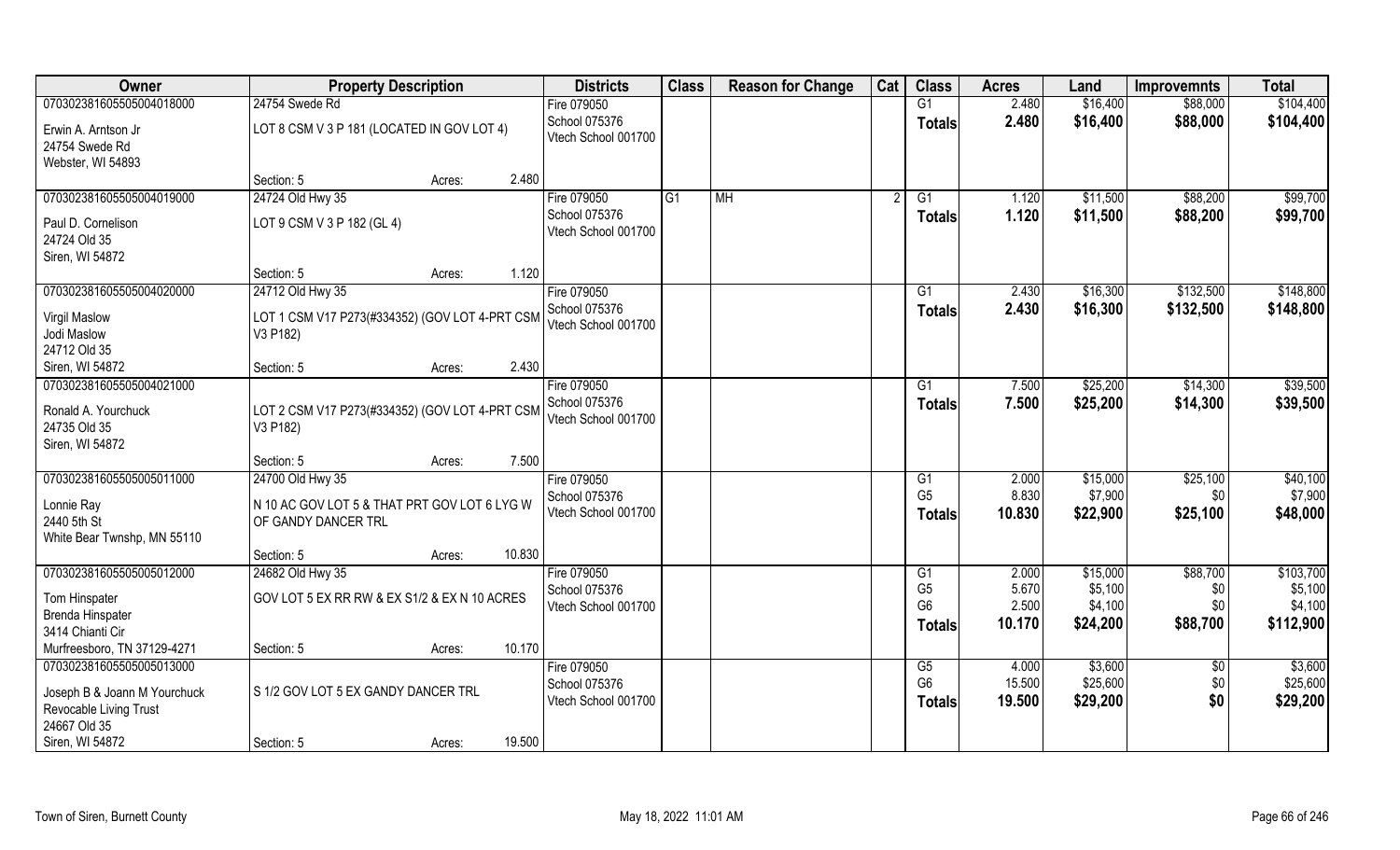| Owner                                    | <b>Property Description</b>                    |                  | <b>Districts</b>    | <b>Class</b>   | <b>Reason for Change</b> | Cat | <b>Class</b>   | <b>Acres</b> | Land     | <b>Improvemnts</b> | <b>Total</b> |
|------------------------------------------|------------------------------------------------|------------------|---------------------|----------------|--------------------------|-----|----------------|--------------|----------|--------------------|--------------|
| 070302381605505004018000                 | 24754 Swede Rd                                 |                  | Fire 079050         |                |                          |     | G1             | 2.480        | \$16,400 | \$88,000           | \$104,400    |
| Erwin A. Arntson Jr                      | LOT 8 CSM V 3 P 181 (LOCATED IN GOV LOT 4)     |                  | School 075376       |                |                          |     | <b>Totals</b>  | 2.480        | \$16,400 | \$88,000           | \$104,400    |
| 24754 Swede Rd                           |                                                |                  | Vtech School 001700 |                |                          |     |                |              |          |                    |              |
| Webster, WI 54893                        |                                                |                  |                     |                |                          |     |                |              |          |                    |              |
|                                          | Section: 5                                     | 2.480<br>Acres:  |                     |                |                          |     |                |              |          |                    |              |
| 070302381605505004019000                 | 24724 Old Hwy 35                               |                  | Fire 079050         | G <sub>1</sub> | <b>MH</b>                |     | G1             | 1.120        | \$11,500 | \$88,200           | \$99,700     |
| Paul D. Cornelison                       | LOT 9 CSM V 3 P 182 (GL 4)                     |                  | School 075376       |                |                          |     | <b>Totals</b>  | 1.120        | \$11,500 | \$88,200           | \$99,700     |
| 24724 Old 35                             |                                                |                  | Vtech School 001700 |                |                          |     |                |              |          |                    |              |
| Siren, WI 54872                          |                                                |                  |                     |                |                          |     |                |              |          |                    |              |
|                                          | Section: 5                                     | 1.120<br>Acres:  |                     |                |                          |     |                |              |          |                    |              |
| 070302381605505004020000                 | 24712 Old Hwy 35                               |                  | Fire 079050         |                |                          |     | G1             | 2.430        | \$16,300 | \$132,500          | \$148,800    |
| Virgil Maslow                            | LOT 1 CSM V17 P273(#334352) (GOV LOT 4-PRT CSM |                  | School 075376       |                |                          |     | <b>Totals</b>  | 2.430        | \$16,300 | \$132,500          | \$148,800    |
| Jodi Maslow                              | V3 P182)                                       |                  | Vtech School 001700 |                |                          |     |                |              |          |                    |              |
| 24712 Old 35                             |                                                |                  |                     |                |                          |     |                |              |          |                    |              |
| Siren, WI 54872                          | Section: 5                                     | 2.430<br>Acres:  |                     |                |                          |     |                |              |          |                    |              |
| 070302381605505004021000                 |                                                |                  | Fire 079050         |                |                          |     | G1             | 7.500        | \$25,200 | \$14,300           | \$39,500     |
| Ronald A. Yourchuck                      | LOT 2 CSM V17 P273(#334352) (GOV LOT 4-PRT CSM |                  | School 075376       |                |                          |     | <b>Totals</b>  | 7.500        | \$25,200 | \$14,300           | \$39,500     |
| 24735 Old 35                             | V3 P182)                                       |                  | Vtech School 001700 |                |                          |     |                |              |          |                    |              |
| Siren, WI 54872                          |                                                |                  |                     |                |                          |     |                |              |          |                    |              |
|                                          | Section: 5                                     | 7.500<br>Acres:  |                     |                |                          |     |                |              |          |                    |              |
| 070302381605505005011000                 | 24700 Old Hwy 35                               |                  | Fire 079050         |                |                          |     | G1             | 2.000        | \$15,000 | \$25,100           | \$40,100     |
| Lonnie Ray                               | N 10 AC GOV LOT 5 & THAT PRT GOV LOT 6 LYG W   |                  | School 075376       |                |                          |     | G <sub>5</sub> | 8.830        | \$7,900  | \$0                | \$7,900      |
| 2440 5th St                              | OF GANDY DANCER TRL                            |                  | Vtech School 001700 |                |                          |     | Totals         | 10.830       | \$22,900 | \$25,100           | \$48,000     |
| White Bear Twnshp, MN 55110              |                                                |                  |                     |                |                          |     |                |              |          |                    |              |
|                                          | Section: 5                                     | 10.830<br>Acres: |                     |                |                          |     |                |              |          |                    |              |
| 070302381605505005012000                 | 24682 Old Hwy 35                               |                  | Fire 079050         |                |                          |     | G1             | 2.000        | \$15,000 | \$88,700           | \$103,700    |
|                                          |                                                |                  | School 075376       |                |                          |     | G <sub>5</sub> | 5.670        | \$5,100  | \$0                | \$5,100      |
| Tom Hinspater<br><b>Brenda Hinspater</b> | GOV LOT 5 EX RR RW & EX S1/2 & EX N 10 ACRES   |                  | Vtech School 001700 |                |                          |     | G <sub>6</sub> | 2.500        | \$4,100  | \$0                | \$4,100      |
| 3414 Chianti Cir                         |                                                |                  |                     |                |                          |     | <b>Totals</b>  | 10.170       | \$24,200 | \$88,700           | \$112,900    |
| Murfreesboro, TN 37129-4271              | Section: 5                                     | 10.170<br>Acres: |                     |                |                          |     |                |              |          |                    |              |
| 070302381605505005013000                 |                                                |                  | Fire 079050         |                |                          |     | G5             | 4.000        | \$3,600  | \$0                | \$3,600      |
|                                          |                                                |                  | School 075376       |                |                          |     | G <sub>6</sub> | 15.500       | \$25,600 | \$0                | \$25,600     |
| Joseph B & Joann M Yourchuck             | S 1/2 GOV LOT 5 EX GANDY DANCER TRL            |                  | Vtech School 001700 |                |                          |     | <b>Totals</b>  | 19.500       | \$29,200 | \$0                | \$29,200     |
| Revocable Living Trust<br>24667 Old 35   |                                                |                  |                     |                |                          |     |                |              |          |                    |              |
| Siren, WI 54872                          | Section: 5                                     | 19.500<br>Acres: |                     |                |                          |     |                |              |          |                    |              |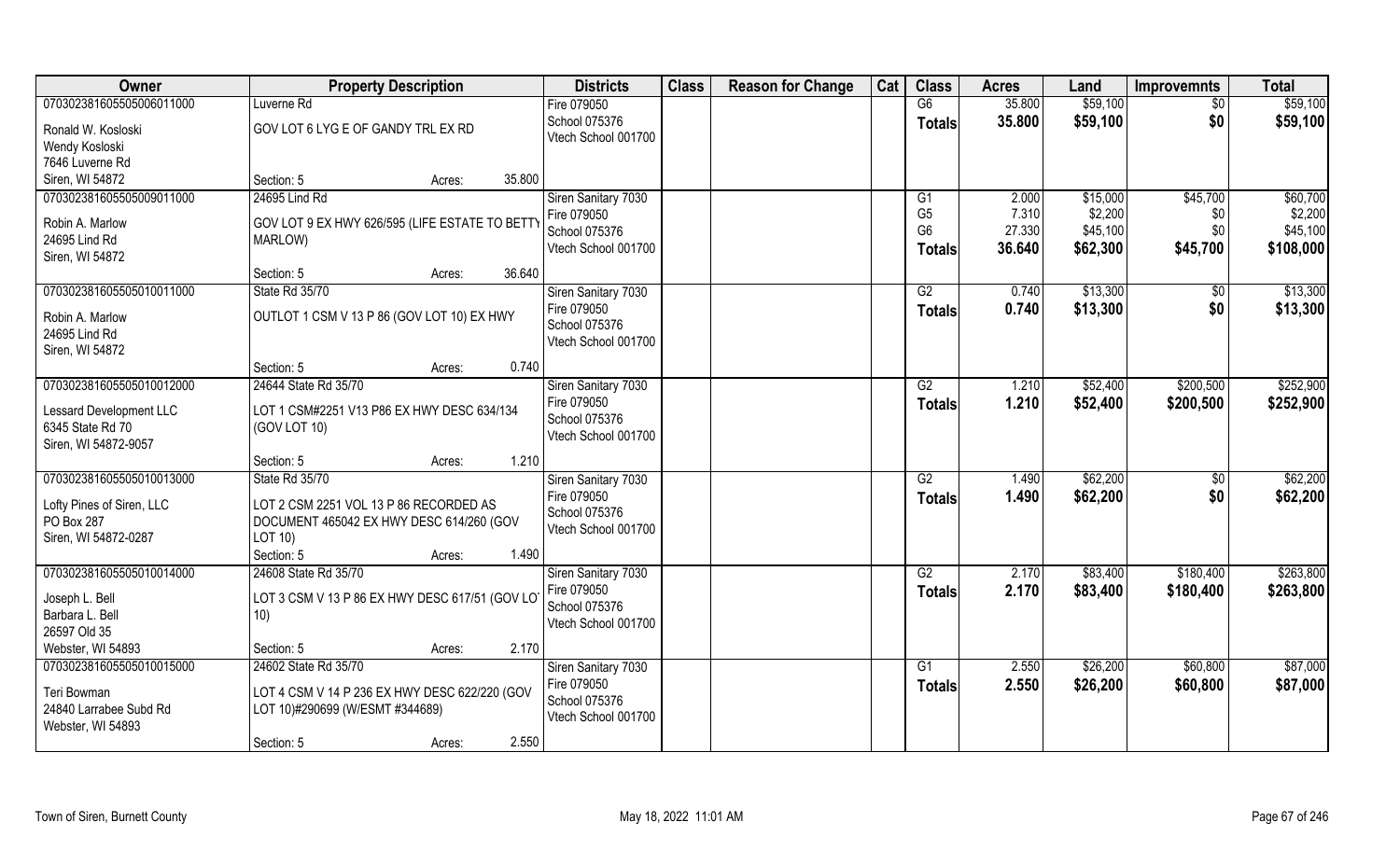| Owner                             | <b>Property Description</b>                               |                  | <b>Districts</b>                     | <b>Class</b> | <b>Reason for Change</b> | Cat | <b>Class</b>    | <b>Acres</b> | Land     | <b>Improvemnts</b> | <b>Total</b> |
|-----------------------------------|-----------------------------------------------------------|------------------|--------------------------------------|--------------|--------------------------|-----|-----------------|--------------|----------|--------------------|--------------|
| 070302381605505006011000          | Luverne Rd                                                |                  | Fire 079050                          |              |                          |     | G6              | 35.800       | \$59,100 | $\sqrt{$0}$        | \$59,100     |
| Ronald W. Kosloski                | GOV LOT 6 LYG E OF GANDY TRL EX RD                        |                  | School 075376                        |              |                          |     | <b>Totals</b>   | 35.800       | \$59,100 | \$0                | \$59,100     |
| Wendy Kosloski                    |                                                           |                  | Vtech School 001700                  |              |                          |     |                 |              |          |                    |              |
| 7646 Luverne Rd                   |                                                           |                  |                                      |              |                          |     |                 |              |          |                    |              |
| Siren, WI 54872                   | Section: 5                                                | 35.800<br>Acres: |                                      |              |                          |     |                 |              |          |                    |              |
| 070302381605505009011000          | 24695 Lind Rd                                             |                  | Siren Sanitary 7030                  |              |                          |     | G1              | 2.000        | \$15,000 | \$45,700           | \$60,700     |
|                                   |                                                           |                  | Fire 079050                          |              |                          |     | G <sub>5</sub>  | 7.310        | \$2,200  | \$0                | \$2,200      |
| Robin A. Marlow<br>24695 Lind Rd  | GOV LOT 9 EX HWY 626/595 (LIFE ESTATE TO BETTY<br>MARLOW) |                  | School 075376                        |              |                          |     | G <sub>6</sub>  | 27.330       | \$45,100 | \$0                | \$45,100     |
| Siren, WI 54872                   |                                                           |                  | Vtech School 001700                  |              |                          |     | <b>Totals</b>   | 36.640       | \$62,300 | \$45,700           | \$108,000    |
|                                   | Section: 5                                                | 36.640<br>Acres: |                                      |              |                          |     |                 |              |          |                    |              |
| 070302381605505010011000          | State Rd 35/70                                            |                  | Siren Sanitary 7030                  |              |                          |     | G2              | 0.740        | \$13,300 | $\sqrt[6]{30}$     | \$13,300     |
|                                   |                                                           |                  | Fire 079050                          |              |                          |     | <b>Totals</b>   | 0.740        | \$13,300 | \$0                | \$13,300     |
| Robin A. Marlow                   | OUTLOT 1 CSM V 13 P 86 (GOV LOT 10) EX HWY                |                  | School 075376                        |              |                          |     |                 |              |          |                    |              |
| 24695 Lind Rd                     |                                                           |                  | Vtech School 001700                  |              |                          |     |                 |              |          |                    |              |
| Siren, WI 54872                   |                                                           |                  |                                      |              |                          |     |                 |              |          |                    |              |
|                                   | Section: 5                                                | 0.740<br>Acres:  |                                      |              |                          |     |                 |              |          |                    |              |
| 070302381605505010012000          | 24644 State Rd 35/70                                      |                  | Siren Sanitary 7030                  |              |                          |     | G2              | 1.210        | \$52,400 | \$200,500          | \$252,900    |
| Lessard Development LLC           | LOT 1 CSM#2251 V13 P86 EX HWY DESC 634/134                |                  | Fire 079050                          |              |                          |     | <b>Totals</b>   | 1.210        | \$52,400 | \$200,500          | \$252,900    |
| 6345 State Rd 70                  | (GOV LOT 10)                                              |                  | School 075376<br>Vtech School 001700 |              |                          |     |                 |              |          |                    |              |
| Siren, WI 54872-9057              |                                                           |                  |                                      |              |                          |     |                 |              |          |                    |              |
|                                   | Section: 5                                                | 1.210<br>Acres:  |                                      |              |                          |     |                 |              |          |                    |              |
| 070302381605505010013000          | State Rd 35/70                                            |                  | Siren Sanitary 7030                  |              |                          |     | $\overline{G2}$ | 1.490        | \$62,200 | $\sqrt[6]{30}$     | \$62,200     |
| Lofty Pines of Siren, LLC         | LOT 2 CSM 2251 VOL 13 P 86 RECORDED AS                    |                  | Fire 079050                          |              |                          |     | <b>Totals</b>   | 1.490        | \$62,200 | \$0                | \$62,200     |
| PO Box 287                        | DOCUMENT 465042 EX HWY DESC 614/260 (GOV                  |                  | School 075376                        |              |                          |     |                 |              |          |                    |              |
| Siren, WI 54872-0287              | LOT 10                                                    |                  | Vtech School 001700                  |              |                          |     |                 |              |          |                    |              |
|                                   | Section: 5                                                | 1.490<br>Acres:  |                                      |              |                          |     |                 |              |          |                    |              |
| 070302381605505010014000          | 24608 State Rd 35/70                                      |                  | Siren Sanitary 7030                  |              |                          |     | G2              | 2.170        | \$83,400 | \$180,400          | \$263,800    |
|                                   |                                                           |                  | Fire 079050                          |              |                          |     | <b>Totals</b>   | 2.170        | \$83,400 | \$180,400          | \$263,800    |
| Joseph L. Bell<br>Barbara L. Bell | LOT 3 CSM V 13 P 86 EX HWY DESC 617/51 (GOV LO<br>10)     |                  | School 075376                        |              |                          |     |                 |              |          |                    |              |
| 26597 Old 35                      |                                                           |                  | Vtech School 001700                  |              |                          |     |                 |              |          |                    |              |
| Webster, WI 54893                 | Section: 5                                                | 2.170<br>Acres:  |                                      |              |                          |     |                 |              |          |                    |              |
| 070302381605505010015000          | 24602 State Rd 35/70                                      |                  | Siren Sanitary 7030                  |              |                          |     | G1              | 2.550        | \$26,200 | \$60,800           | \$87,000     |
|                                   |                                                           |                  | Fire 079050                          |              |                          |     | <b>Totals</b>   | 2.550        | \$26,200 | \$60,800           | \$87,000     |
| Teri Bowman                       | LOT 4 CSM V 14 P 236 EX HWY DESC 622/220 (GOV             |                  | School 075376                        |              |                          |     |                 |              |          |                    |              |
| 24840 Larrabee Subd Rd            | LOT 10)#290699 (W/ESMT #344689)                           |                  | Vtech School 001700                  |              |                          |     |                 |              |          |                    |              |
| Webster, WI 54893                 |                                                           |                  |                                      |              |                          |     |                 |              |          |                    |              |
|                                   | Section: 5                                                | 2.550<br>Acres:  |                                      |              |                          |     |                 |              |          |                    |              |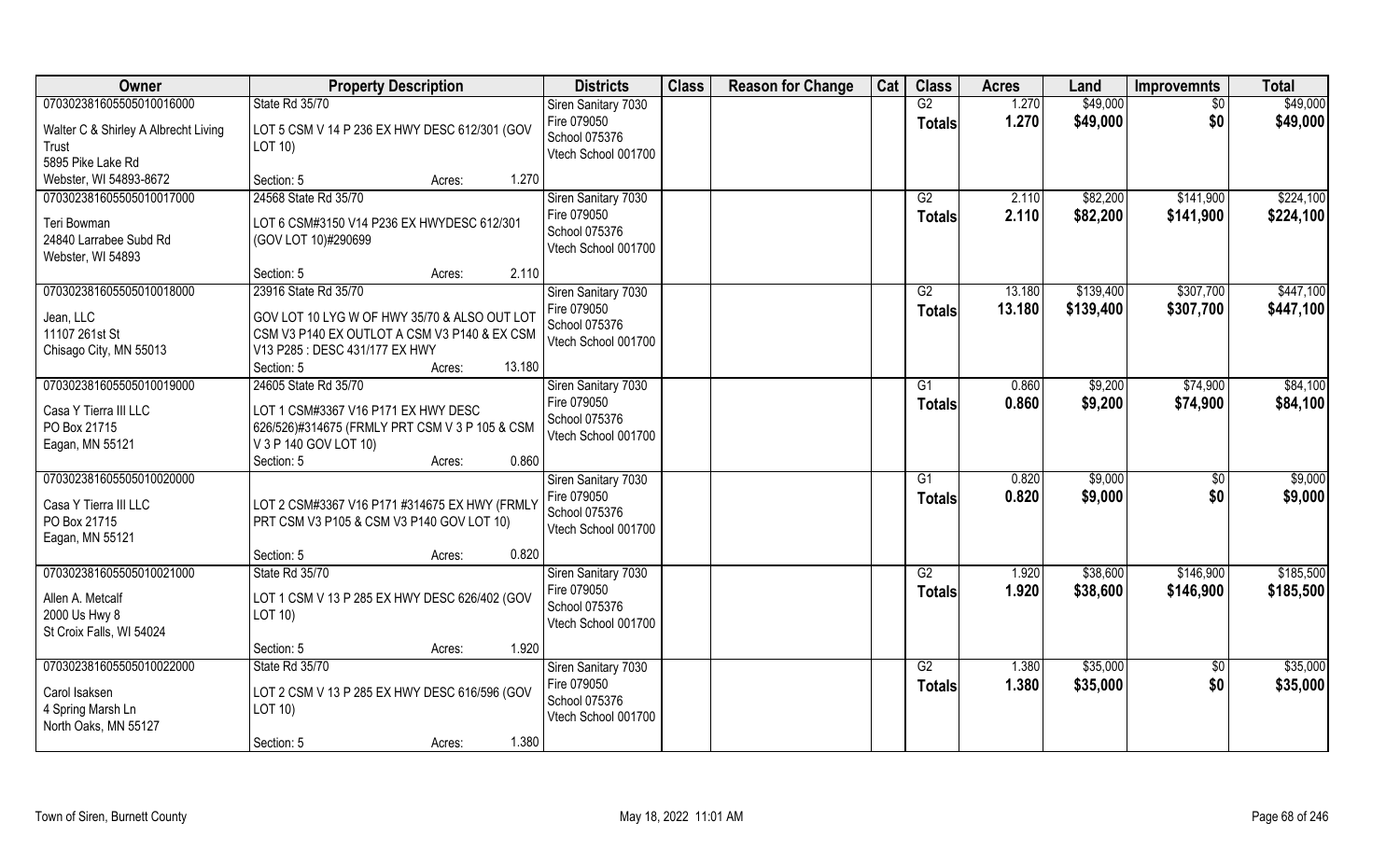| \$49,000<br>070302381605505010016000<br>State Rd 35/70<br>G2<br>1.270<br>\$49,000<br>Siren Sanitary 7030<br>\$0<br>1.270<br>\$49,000<br>\$0<br>Fire 079050<br>\$49,000<br><b>Totals</b><br>Walter C & Shirley A Albrecht Living<br>LOT 5 CSM V 14 P 236 EX HWY DESC 612/301 (GOV<br>School 075376<br>LOT 10)<br>Trust<br>Vtech School 001700<br>5895 Pike Lake Rd<br>Webster, WI 54893-8672<br>1.270<br>Section: 5<br>Acres:<br>070302381605505010017000<br>24568 State Rd 35/70<br>Siren Sanitary 7030<br>G2<br>\$82,200<br>\$141,900<br>2.110<br>Fire 079050<br>2.110<br>\$82,200<br>\$141,900<br><b>Totals</b><br>Teri Bowman<br>LOT 6 CSM#3150 V14 P236 EX HWYDESC 612/301<br>School 075376<br>24840 Larrabee Subd Rd<br>(GOV LOT 10)#290699<br>Vtech School 001700<br>Webster, WI 54893<br>2.110<br>Section: 5<br>Acres:<br>070302381605505010018000<br>23916 State Rd 35/70<br>G2<br>13.180<br>\$139,400<br>\$307,700<br>Siren Sanitary 7030<br>Fire 079050<br>\$139,400<br>13.180<br>\$307,700<br><b>Totals</b><br>Jean, LLC<br>GOV LOT 10 LYG W OF HWY 35/70 & ALSO OUT LOT<br>School 075376<br>11107 261st St<br>CSM V3 P140 EX OUTLOT A CSM V3 P140 & EX CSM<br>Vtech School 001700<br>V13 P285: DESC 431/177 EX HWY<br>Chisago City, MN 55013<br>13.180<br>Section: 5<br>Acres:<br>070302381605505010019000<br>24605 State Rd 35/70<br>Siren Sanitary 7030<br>0.860<br>\$9,200<br>\$74,900<br>G1<br>Fire 079050<br>0.860<br>\$9,200<br>\$74,900<br><b>Totals</b><br>Casa Y Tierra III LLC<br>LOT 1 CSM#3367 V16 P171 EX HWY DESC<br>School 075376<br>PO Box 21715<br>626/526)#314675 (FRMLY PRT CSM V 3 P 105 & CSM<br>Vtech School 001700<br>V 3 P 140 GOV LOT 10)<br>Eagan, MN 55121<br>0.860<br>Section: 5<br>Acres:<br>070302381605505010020000<br>0.820<br>\$9,000<br>G1<br>$\sqrt[6]{}$<br>Siren Sanitary 7030<br>Fire 079050<br>\$9,000<br>0.820<br>\$0<br><b>Totals</b><br>Casa Y Tierra III LLC<br>LOT 2 CSM#3367 V16 P171 #314675 EX HWY (FRMLY<br>School 075376<br>PO Box 21715<br>PRT CSM V3 P105 & CSM V3 P140 GOV LOT 10)<br>Vtech School 001700<br>Eagan, MN 55121<br>0.820<br>Section: 5<br>Acres:<br>070302381605505010021000<br>State Rd 35/70<br>G2<br>\$38,600<br>\$146,900<br>Siren Sanitary 7030<br>1.920<br>Fire 079050<br>1.920<br>\$38,600<br>\$146,900<br><b>Totals</b><br>Allen A. Metcalf<br>LOT 1 CSM V 13 P 285 EX HWY DESC 626/402 (GOV<br>School 075376<br>2000 Us Hwy 8<br>LOT 10)<br>Vtech School 001700<br>St Croix Falls, WI 54024<br>1.920<br>Section: 5<br>Acres:<br>070302381605505010022000<br>State Rd 35/70<br>Siren Sanitary 7030<br>G2<br>1.380<br>\$35,000<br>$\overline{50}$<br>\$0<br>Fire 079050<br>\$35,000<br>1.380<br><b>Totals</b><br>Carol Isaksen<br>LOT 2 CSM V 13 P 285 EX HWY DESC 616/596 (GOV<br>School 075376<br>4 Spring Marsh Ln<br>LOT 10)<br>Vtech School 001700<br>North Oaks, MN 55127 | Owner | <b>Property Description</b>   | <b>Districts</b> | <b>Class</b> | <b>Reason for Change</b> | Cat | <b>Class</b> | <b>Acres</b> | Land | <b>Improvemnts</b> | <b>Total</b> |
|---------------------------------------------------------------------------------------------------------------------------------------------------------------------------------------------------------------------------------------------------------------------------------------------------------------------------------------------------------------------------------------------------------------------------------------------------------------------------------------------------------------------------------------------------------------------------------------------------------------------------------------------------------------------------------------------------------------------------------------------------------------------------------------------------------------------------------------------------------------------------------------------------------------------------------------------------------------------------------------------------------------------------------------------------------------------------------------------------------------------------------------------------------------------------------------------------------------------------------------------------------------------------------------------------------------------------------------------------------------------------------------------------------------------------------------------------------------------------------------------------------------------------------------------------------------------------------------------------------------------------------------------------------------------------------------------------------------------------------------------------------------------------------------------------------------------------------------------------------------------------------------------------------------------------------------------------------------------------------------------------------------------------------------------------------------------------------------------------------------------------------------------------------------------------------------------------------------------------------------------------------------------------------------------------------------------------------------------------------------------------------------------------------------------------------------------------------------------------------------------------------------------------------------------------------------------------------------------------------------------------------------------------------------------------------------------------------------------------------------------------------------------------------------------------------------------------------------------------------------------|-------|-------------------------------|------------------|--------------|--------------------------|-----|--------------|--------------|------|--------------------|--------------|
|                                                                                                                                                                                                                                                                                                                                                                                                                                                                                                                                                                                                                                                                                                                                                                                                                                                                                                                                                                                                                                                                                                                                                                                                                                                                                                                                                                                                                                                                                                                                                                                                                                                                                                                                                                                                                                                                                                                                                                                                                                                                                                                                                                                                                                                                                                                                                                                                                                                                                                                                                                                                                                                                                                                                                                                                                                                                     |       |                               |                  |              |                          |     |              |              |      |                    |              |
|                                                                                                                                                                                                                                                                                                                                                                                                                                                                                                                                                                                                                                                                                                                                                                                                                                                                                                                                                                                                                                                                                                                                                                                                                                                                                                                                                                                                                                                                                                                                                                                                                                                                                                                                                                                                                                                                                                                                                                                                                                                                                                                                                                                                                                                                                                                                                                                                                                                                                                                                                                                                                                                                                                                                                                                                                                                                     |       |                               |                  |              |                          |     |              |              |      |                    |              |
|                                                                                                                                                                                                                                                                                                                                                                                                                                                                                                                                                                                                                                                                                                                                                                                                                                                                                                                                                                                                                                                                                                                                                                                                                                                                                                                                                                                                                                                                                                                                                                                                                                                                                                                                                                                                                                                                                                                                                                                                                                                                                                                                                                                                                                                                                                                                                                                                                                                                                                                                                                                                                                                                                                                                                                                                                                                                     |       |                               |                  |              |                          |     |              |              |      |                    |              |
| \$224,100<br>\$224,100<br>\$447,100<br>\$447,100<br>\$84,100<br>\$84,100<br>\$9,000<br>\$9,000<br>\$185,500<br>\$185,500<br>\$35,000<br>\$35,000                                                                                                                                                                                                                                                                                                                                                                                                                                                                                                                                                                                                                                                                                                                                                                                                                                                                                                                                                                                                                                                                                                                                                                                                                                                                                                                                                                                                                                                                                                                                                                                                                                                                                                                                                                                                                                                                                                                                                                                                                                                                                                                                                                                                                                                                                                                                                                                                                                                                                                                                                                                                                                                                                                                    |       |                               |                  |              |                          |     |              |              |      |                    |              |
|                                                                                                                                                                                                                                                                                                                                                                                                                                                                                                                                                                                                                                                                                                                                                                                                                                                                                                                                                                                                                                                                                                                                                                                                                                                                                                                                                                                                                                                                                                                                                                                                                                                                                                                                                                                                                                                                                                                                                                                                                                                                                                                                                                                                                                                                                                                                                                                                                                                                                                                                                                                                                                                                                                                                                                                                                                                                     |       |                               |                  |              |                          |     |              |              |      |                    |              |
|                                                                                                                                                                                                                                                                                                                                                                                                                                                                                                                                                                                                                                                                                                                                                                                                                                                                                                                                                                                                                                                                                                                                                                                                                                                                                                                                                                                                                                                                                                                                                                                                                                                                                                                                                                                                                                                                                                                                                                                                                                                                                                                                                                                                                                                                                                                                                                                                                                                                                                                                                                                                                                                                                                                                                                                                                                                                     |       |                               |                  |              |                          |     |              |              |      |                    |              |
|                                                                                                                                                                                                                                                                                                                                                                                                                                                                                                                                                                                                                                                                                                                                                                                                                                                                                                                                                                                                                                                                                                                                                                                                                                                                                                                                                                                                                                                                                                                                                                                                                                                                                                                                                                                                                                                                                                                                                                                                                                                                                                                                                                                                                                                                                                                                                                                                                                                                                                                                                                                                                                                                                                                                                                                                                                                                     |       |                               |                  |              |                          |     |              |              |      |                    |              |
|                                                                                                                                                                                                                                                                                                                                                                                                                                                                                                                                                                                                                                                                                                                                                                                                                                                                                                                                                                                                                                                                                                                                                                                                                                                                                                                                                                                                                                                                                                                                                                                                                                                                                                                                                                                                                                                                                                                                                                                                                                                                                                                                                                                                                                                                                                                                                                                                                                                                                                                                                                                                                                                                                                                                                                                                                                                                     |       |                               |                  |              |                          |     |              |              |      |                    |              |
|                                                                                                                                                                                                                                                                                                                                                                                                                                                                                                                                                                                                                                                                                                                                                                                                                                                                                                                                                                                                                                                                                                                                                                                                                                                                                                                                                                                                                                                                                                                                                                                                                                                                                                                                                                                                                                                                                                                                                                                                                                                                                                                                                                                                                                                                                                                                                                                                                                                                                                                                                                                                                                                                                                                                                                                                                                                                     |       |                               |                  |              |                          |     |              |              |      |                    |              |
|                                                                                                                                                                                                                                                                                                                                                                                                                                                                                                                                                                                                                                                                                                                                                                                                                                                                                                                                                                                                                                                                                                                                                                                                                                                                                                                                                                                                                                                                                                                                                                                                                                                                                                                                                                                                                                                                                                                                                                                                                                                                                                                                                                                                                                                                                                                                                                                                                                                                                                                                                                                                                                                                                                                                                                                                                                                                     |       |                               |                  |              |                          |     |              |              |      |                    |              |
|                                                                                                                                                                                                                                                                                                                                                                                                                                                                                                                                                                                                                                                                                                                                                                                                                                                                                                                                                                                                                                                                                                                                                                                                                                                                                                                                                                                                                                                                                                                                                                                                                                                                                                                                                                                                                                                                                                                                                                                                                                                                                                                                                                                                                                                                                                                                                                                                                                                                                                                                                                                                                                                                                                                                                                                                                                                                     |       |                               |                  |              |                          |     |              |              |      |                    |              |
|                                                                                                                                                                                                                                                                                                                                                                                                                                                                                                                                                                                                                                                                                                                                                                                                                                                                                                                                                                                                                                                                                                                                                                                                                                                                                                                                                                                                                                                                                                                                                                                                                                                                                                                                                                                                                                                                                                                                                                                                                                                                                                                                                                                                                                                                                                                                                                                                                                                                                                                                                                                                                                                                                                                                                                                                                                                                     |       |                               |                  |              |                          |     |              |              |      |                    |              |
|                                                                                                                                                                                                                                                                                                                                                                                                                                                                                                                                                                                                                                                                                                                                                                                                                                                                                                                                                                                                                                                                                                                                                                                                                                                                                                                                                                                                                                                                                                                                                                                                                                                                                                                                                                                                                                                                                                                                                                                                                                                                                                                                                                                                                                                                                                                                                                                                                                                                                                                                                                                                                                                                                                                                                                                                                                                                     |       |                               |                  |              |                          |     |              |              |      |                    |              |
|                                                                                                                                                                                                                                                                                                                                                                                                                                                                                                                                                                                                                                                                                                                                                                                                                                                                                                                                                                                                                                                                                                                                                                                                                                                                                                                                                                                                                                                                                                                                                                                                                                                                                                                                                                                                                                                                                                                                                                                                                                                                                                                                                                                                                                                                                                                                                                                                                                                                                                                                                                                                                                                                                                                                                                                                                                                                     |       |                               |                  |              |                          |     |              |              |      |                    |              |
|                                                                                                                                                                                                                                                                                                                                                                                                                                                                                                                                                                                                                                                                                                                                                                                                                                                                                                                                                                                                                                                                                                                                                                                                                                                                                                                                                                                                                                                                                                                                                                                                                                                                                                                                                                                                                                                                                                                                                                                                                                                                                                                                                                                                                                                                                                                                                                                                                                                                                                                                                                                                                                                                                                                                                                                                                                                                     |       |                               |                  |              |                          |     |              |              |      |                    |              |
|                                                                                                                                                                                                                                                                                                                                                                                                                                                                                                                                                                                                                                                                                                                                                                                                                                                                                                                                                                                                                                                                                                                                                                                                                                                                                                                                                                                                                                                                                                                                                                                                                                                                                                                                                                                                                                                                                                                                                                                                                                                                                                                                                                                                                                                                                                                                                                                                                                                                                                                                                                                                                                                                                                                                                                                                                                                                     |       |                               |                  |              |                          |     |              |              |      |                    |              |
|                                                                                                                                                                                                                                                                                                                                                                                                                                                                                                                                                                                                                                                                                                                                                                                                                                                                                                                                                                                                                                                                                                                                                                                                                                                                                                                                                                                                                                                                                                                                                                                                                                                                                                                                                                                                                                                                                                                                                                                                                                                                                                                                                                                                                                                                                                                                                                                                                                                                                                                                                                                                                                                                                                                                                                                                                                                                     |       |                               |                  |              |                          |     |              |              |      |                    |              |
|                                                                                                                                                                                                                                                                                                                                                                                                                                                                                                                                                                                                                                                                                                                                                                                                                                                                                                                                                                                                                                                                                                                                                                                                                                                                                                                                                                                                                                                                                                                                                                                                                                                                                                                                                                                                                                                                                                                                                                                                                                                                                                                                                                                                                                                                                                                                                                                                                                                                                                                                                                                                                                                                                                                                                                                                                                                                     |       |                               |                  |              |                          |     |              |              |      |                    |              |
|                                                                                                                                                                                                                                                                                                                                                                                                                                                                                                                                                                                                                                                                                                                                                                                                                                                                                                                                                                                                                                                                                                                                                                                                                                                                                                                                                                                                                                                                                                                                                                                                                                                                                                                                                                                                                                                                                                                                                                                                                                                                                                                                                                                                                                                                                                                                                                                                                                                                                                                                                                                                                                                                                                                                                                                                                                                                     |       |                               |                  |              |                          |     |              |              |      |                    |              |
|                                                                                                                                                                                                                                                                                                                                                                                                                                                                                                                                                                                                                                                                                                                                                                                                                                                                                                                                                                                                                                                                                                                                                                                                                                                                                                                                                                                                                                                                                                                                                                                                                                                                                                                                                                                                                                                                                                                                                                                                                                                                                                                                                                                                                                                                                                                                                                                                                                                                                                                                                                                                                                                                                                                                                                                                                                                                     |       |                               |                  |              |                          |     |              |              |      |                    |              |
|                                                                                                                                                                                                                                                                                                                                                                                                                                                                                                                                                                                                                                                                                                                                                                                                                                                                                                                                                                                                                                                                                                                                                                                                                                                                                                                                                                                                                                                                                                                                                                                                                                                                                                                                                                                                                                                                                                                                                                                                                                                                                                                                                                                                                                                                                                                                                                                                                                                                                                                                                                                                                                                                                                                                                                                                                                                                     |       |                               |                  |              |                          |     |              |              |      |                    |              |
|                                                                                                                                                                                                                                                                                                                                                                                                                                                                                                                                                                                                                                                                                                                                                                                                                                                                                                                                                                                                                                                                                                                                                                                                                                                                                                                                                                                                                                                                                                                                                                                                                                                                                                                                                                                                                                                                                                                                                                                                                                                                                                                                                                                                                                                                                                                                                                                                                                                                                                                                                                                                                                                                                                                                                                                                                                                                     |       |                               |                  |              |                          |     |              |              |      |                    |              |
|                                                                                                                                                                                                                                                                                                                                                                                                                                                                                                                                                                                                                                                                                                                                                                                                                                                                                                                                                                                                                                                                                                                                                                                                                                                                                                                                                                                                                                                                                                                                                                                                                                                                                                                                                                                                                                                                                                                                                                                                                                                                                                                                                                                                                                                                                                                                                                                                                                                                                                                                                                                                                                                                                                                                                                                                                                                                     |       |                               |                  |              |                          |     |              |              |      |                    |              |
|                                                                                                                                                                                                                                                                                                                                                                                                                                                                                                                                                                                                                                                                                                                                                                                                                                                                                                                                                                                                                                                                                                                                                                                                                                                                                                                                                                                                                                                                                                                                                                                                                                                                                                                                                                                                                                                                                                                                                                                                                                                                                                                                                                                                                                                                                                                                                                                                                                                                                                                                                                                                                                                                                                                                                                                                                                                                     |       |                               |                  |              |                          |     |              |              |      |                    |              |
|                                                                                                                                                                                                                                                                                                                                                                                                                                                                                                                                                                                                                                                                                                                                                                                                                                                                                                                                                                                                                                                                                                                                                                                                                                                                                                                                                                                                                                                                                                                                                                                                                                                                                                                                                                                                                                                                                                                                                                                                                                                                                                                                                                                                                                                                                                                                                                                                                                                                                                                                                                                                                                                                                                                                                                                                                                                                     |       |                               |                  |              |                          |     |              |              |      |                    |              |
|                                                                                                                                                                                                                                                                                                                                                                                                                                                                                                                                                                                                                                                                                                                                                                                                                                                                                                                                                                                                                                                                                                                                                                                                                                                                                                                                                                                                                                                                                                                                                                                                                                                                                                                                                                                                                                                                                                                                                                                                                                                                                                                                                                                                                                                                                                                                                                                                                                                                                                                                                                                                                                                                                                                                                                                                                                                                     |       |                               |                  |              |                          |     |              |              |      |                    |              |
|                                                                                                                                                                                                                                                                                                                                                                                                                                                                                                                                                                                                                                                                                                                                                                                                                                                                                                                                                                                                                                                                                                                                                                                                                                                                                                                                                                                                                                                                                                                                                                                                                                                                                                                                                                                                                                                                                                                                                                                                                                                                                                                                                                                                                                                                                                                                                                                                                                                                                                                                                                                                                                                                                                                                                                                                                                                                     |       |                               |                  |              |                          |     |              |              |      |                    |              |
|                                                                                                                                                                                                                                                                                                                                                                                                                                                                                                                                                                                                                                                                                                                                                                                                                                                                                                                                                                                                                                                                                                                                                                                                                                                                                                                                                                                                                                                                                                                                                                                                                                                                                                                                                                                                                                                                                                                                                                                                                                                                                                                                                                                                                                                                                                                                                                                                                                                                                                                                                                                                                                                                                                                                                                                                                                                                     |       |                               |                  |              |                          |     |              |              |      |                    |              |
|                                                                                                                                                                                                                                                                                                                                                                                                                                                                                                                                                                                                                                                                                                                                                                                                                                                                                                                                                                                                                                                                                                                                                                                                                                                                                                                                                                                                                                                                                                                                                                                                                                                                                                                                                                                                                                                                                                                                                                                                                                                                                                                                                                                                                                                                                                                                                                                                                                                                                                                                                                                                                                                                                                                                                                                                                                                                     |       |                               |                  |              |                          |     |              |              |      |                    |              |
|                                                                                                                                                                                                                                                                                                                                                                                                                                                                                                                                                                                                                                                                                                                                                                                                                                                                                                                                                                                                                                                                                                                                                                                                                                                                                                                                                                                                                                                                                                                                                                                                                                                                                                                                                                                                                                                                                                                                                                                                                                                                                                                                                                                                                                                                                                                                                                                                                                                                                                                                                                                                                                                                                                                                                                                                                                                                     |       |                               |                  |              |                          |     |              |              |      |                    |              |
|                                                                                                                                                                                                                                                                                                                                                                                                                                                                                                                                                                                                                                                                                                                                                                                                                                                                                                                                                                                                                                                                                                                                                                                                                                                                                                                                                                                                                                                                                                                                                                                                                                                                                                                                                                                                                                                                                                                                                                                                                                                                                                                                                                                                                                                                                                                                                                                                                                                                                                                                                                                                                                                                                                                                                                                                                                                                     |       |                               |                  |              |                          |     |              |              |      |                    |              |
|                                                                                                                                                                                                                                                                                                                                                                                                                                                                                                                                                                                                                                                                                                                                                                                                                                                                                                                                                                                                                                                                                                                                                                                                                                                                                                                                                                                                                                                                                                                                                                                                                                                                                                                                                                                                                                                                                                                                                                                                                                                                                                                                                                                                                                                                                                                                                                                                                                                                                                                                                                                                                                                                                                                                                                                                                                                                     |       |                               |                  |              |                          |     |              |              |      |                    |              |
|                                                                                                                                                                                                                                                                                                                                                                                                                                                                                                                                                                                                                                                                                                                                                                                                                                                                                                                                                                                                                                                                                                                                                                                                                                                                                                                                                                                                                                                                                                                                                                                                                                                                                                                                                                                                                                                                                                                                                                                                                                                                                                                                                                                                                                                                                                                                                                                                                                                                                                                                                                                                                                                                                                                                                                                                                                                                     |       |                               |                  |              |                          |     |              |              |      |                    |              |
|                                                                                                                                                                                                                                                                                                                                                                                                                                                                                                                                                                                                                                                                                                                                                                                                                                                                                                                                                                                                                                                                                                                                                                                                                                                                                                                                                                                                                                                                                                                                                                                                                                                                                                                                                                                                                                                                                                                                                                                                                                                                                                                                                                                                                                                                                                                                                                                                                                                                                                                                                                                                                                                                                                                                                                                                                                                                     |       |                               |                  |              |                          |     |              |              |      |                    |              |
|                                                                                                                                                                                                                                                                                                                                                                                                                                                                                                                                                                                                                                                                                                                                                                                                                                                                                                                                                                                                                                                                                                                                                                                                                                                                                                                                                                                                                                                                                                                                                                                                                                                                                                                                                                                                                                                                                                                                                                                                                                                                                                                                                                                                                                                                                                                                                                                                                                                                                                                                                                                                                                                                                                                                                                                                                                                                     |       | 1.380<br>Section: 5<br>Acres: |                  |              |                          |     |              |              |      |                    |              |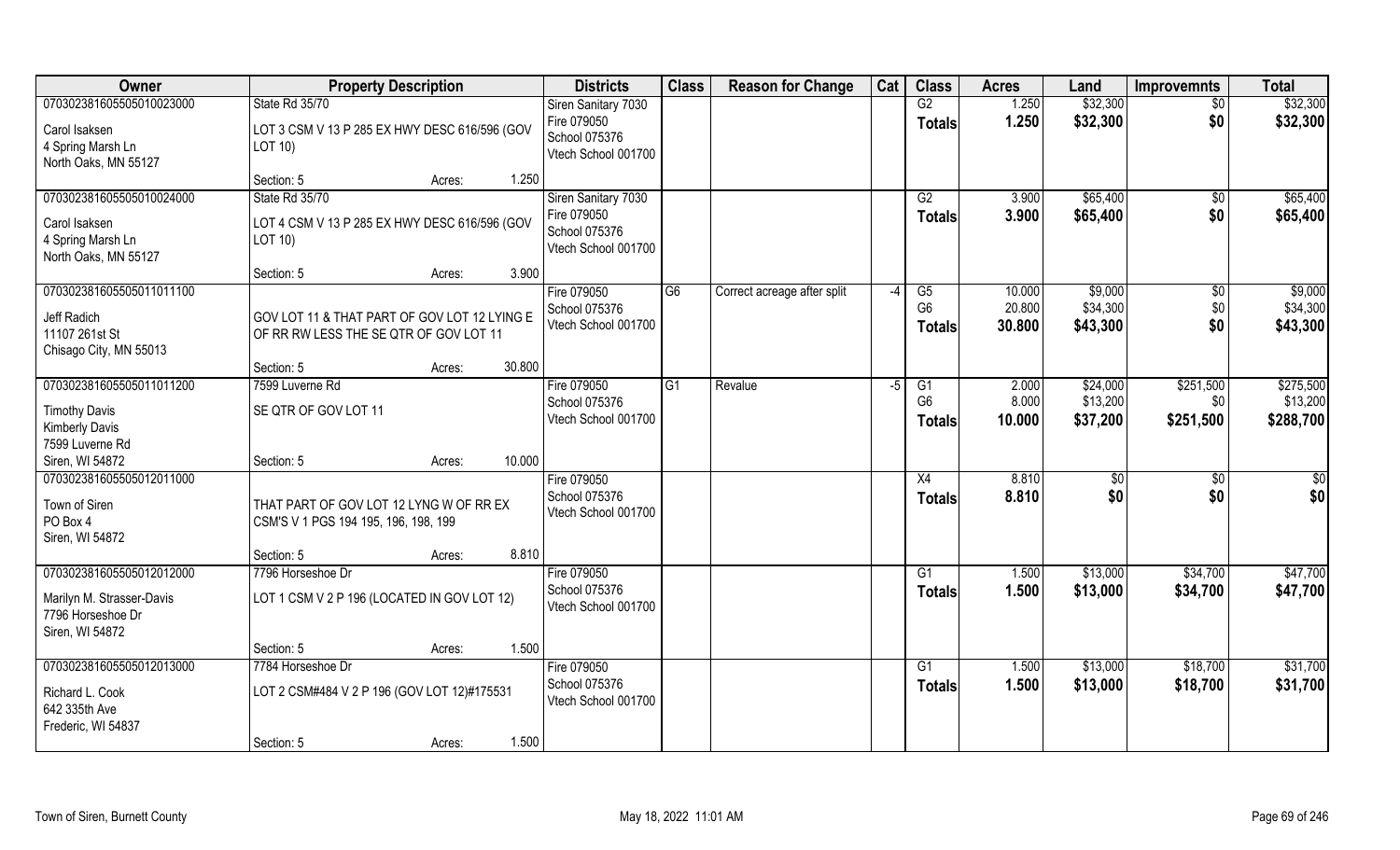| Owner                                                                                        | <b>Property Description</b>                                                                                      | <b>Districts</b>                                                           | <b>Class</b>   | <b>Reason for Change</b>    | Cat  | <b>Class</b>                          | <b>Acres</b>               | Land                             | <b>Improvemnts</b>            | <b>Total</b>                       |
|----------------------------------------------------------------------------------------------|------------------------------------------------------------------------------------------------------------------|----------------------------------------------------------------------------|----------------|-----------------------------|------|---------------------------------------|----------------------------|----------------------------------|-------------------------------|------------------------------------|
| 070302381605505010023000<br>Carol Isaksen<br>4 Spring Marsh Ln<br>North Oaks, MN 55127       | State Rd 35/70<br>LOT 3 CSM V 13 P 285 EX HWY DESC 616/596 (GOV<br>LOT 10)                                       | Siren Sanitary 7030<br>Fire 079050<br>School 075376<br>Vtech School 001700 |                |                             |      | G2<br><b>Totals</b>                   | 1.250<br>1.250             | \$32,300<br>\$32,300             | $\sqrt{$0}$<br>\$0            | \$32,300<br>\$32,300               |
|                                                                                              | 1.250<br>Section: 5<br>Acres:                                                                                    |                                                                            |                |                             |      |                                       |                            |                                  |                               |                                    |
| 070302381605505010024000<br>Carol Isaksen<br>4 Spring Marsh Ln<br>North Oaks, MN 55127       | State Rd 35/70<br>LOT 4 CSM V 13 P 285 EX HWY DESC 616/596 (GOV<br>LOT 10)                                       | Siren Sanitary 7030<br>Fire 079050<br>School 075376<br>Vtech School 001700 |                |                             |      | $\overline{G2}$<br><b>Totals</b>      | 3.900<br>3.900             | \$65,400<br>\$65,400             | \$0<br>\$0                    | \$65,400<br>\$65,400               |
|                                                                                              | 3.900<br>Section: 5<br>Acres:                                                                                    |                                                                            |                |                             |      |                                       |                            |                                  |                               |                                    |
| 070302381605505011011100<br>Jeff Radich<br>11107 261st St<br>Chisago City, MN 55013          | GOV LOT 11 & THAT PART OF GOV LOT 12 LYING E<br>OF RR RW LESS THE SE QTR OF GOV LOT 11                           | Fire 079050<br>School 075376<br>Vtech School 001700                        | G <sub>6</sub> | Correct acreage after split | $-4$ | G5<br>G <sub>6</sub><br><b>Totals</b> | 10.000<br>20.800<br>30.800 | \$9,000<br>\$34,300<br>\$43,300  | $\sqrt[6]{3}$<br>\$0<br>\$0   | \$9,000<br>\$34,300<br>\$43,300    |
|                                                                                              | 30.800<br>Section: 5<br>Acres:                                                                                   |                                                                            |                |                             |      |                                       |                            |                                  |                               |                                    |
| 070302381605505011011200<br><b>Timothy Davis</b><br><b>Kimberly Davis</b><br>7599 Luverne Rd | 7599 Luverne Rd<br>SE QTR OF GOV LOT 11                                                                          | Fire 079050<br>School 075376<br>Vtech School 001700                        | $\overline{G}$ | Revalue                     | -5   | G1<br>G <sub>6</sub><br><b>Totals</b> | 2.000<br>8.000<br>10.000   | \$24,000<br>\$13,200<br>\$37,200 | \$251,500<br>\$0<br>\$251,500 | \$275,500<br>\$13,200<br>\$288,700 |
| Siren, WI 54872                                                                              | 10.000<br>Section: 5<br>Acres:                                                                                   |                                                                            |                |                             |      |                                       |                            |                                  |                               |                                    |
| 070302381605505012011000<br>Town of Siren<br>PO Box 4<br>Siren, WI 54872                     | THAT PART OF GOV LOT 12 LYNG W OF RR EX<br>CSM'S V 1 PGS 194 195, 196, 198, 199<br>8.810<br>Section: 5<br>Acres: | Fire 079050<br>School 075376<br>Vtech School 001700                        |                |                             |      | X4<br><b>Totals</b>                   | 8.810<br>8.810             | \$0<br>\$0                       | $\overline{60}$<br>\$0        | $\overline{50}$<br>\$0             |
| 070302381605505012012000                                                                     | 7796 Horseshoe Dr                                                                                                | Fire 079050                                                                |                |                             |      | G1                                    | 1.500                      | \$13,000                         | \$34,700                      | \$47,700                           |
| Marilyn M. Strasser-Davis<br>7796 Horseshoe Dr<br>Siren, WI 54872                            | LOT 1 CSM V 2 P 196 (LOCATED IN GOV LOT 12)                                                                      | School 075376<br>Vtech School 001700                                       |                |                             |      | <b>Totals</b>                         | 1.500                      | \$13,000                         | \$34,700                      | \$47,700                           |
|                                                                                              | 1.500<br>Section: 5<br>Acres:                                                                                    |                                                                            |                |                             |      |                                       |                            |                                  |                               |                                    |
| 070302381605505012013000<br>Richard L. Cook<br>642 335th Ave<br>Frederic, WI 54837           | 7784 Horseshoe Dr<br>LOT 2 CSM#484 V 2 P 196 (GOV LOT 12)#175531<br>1.500<br>Section: 5<br>Acres:                | Fire 079050<br>School 075376<br>Vtech School 001700                        |                |                             |      | $\overline{G1}$<br><b>Totals</b>      | 1.500<br>1.500             | \$13,000<br>\$13,000             | \$18,700<br>\$18,700          | \$31,700<br>\$31,700               |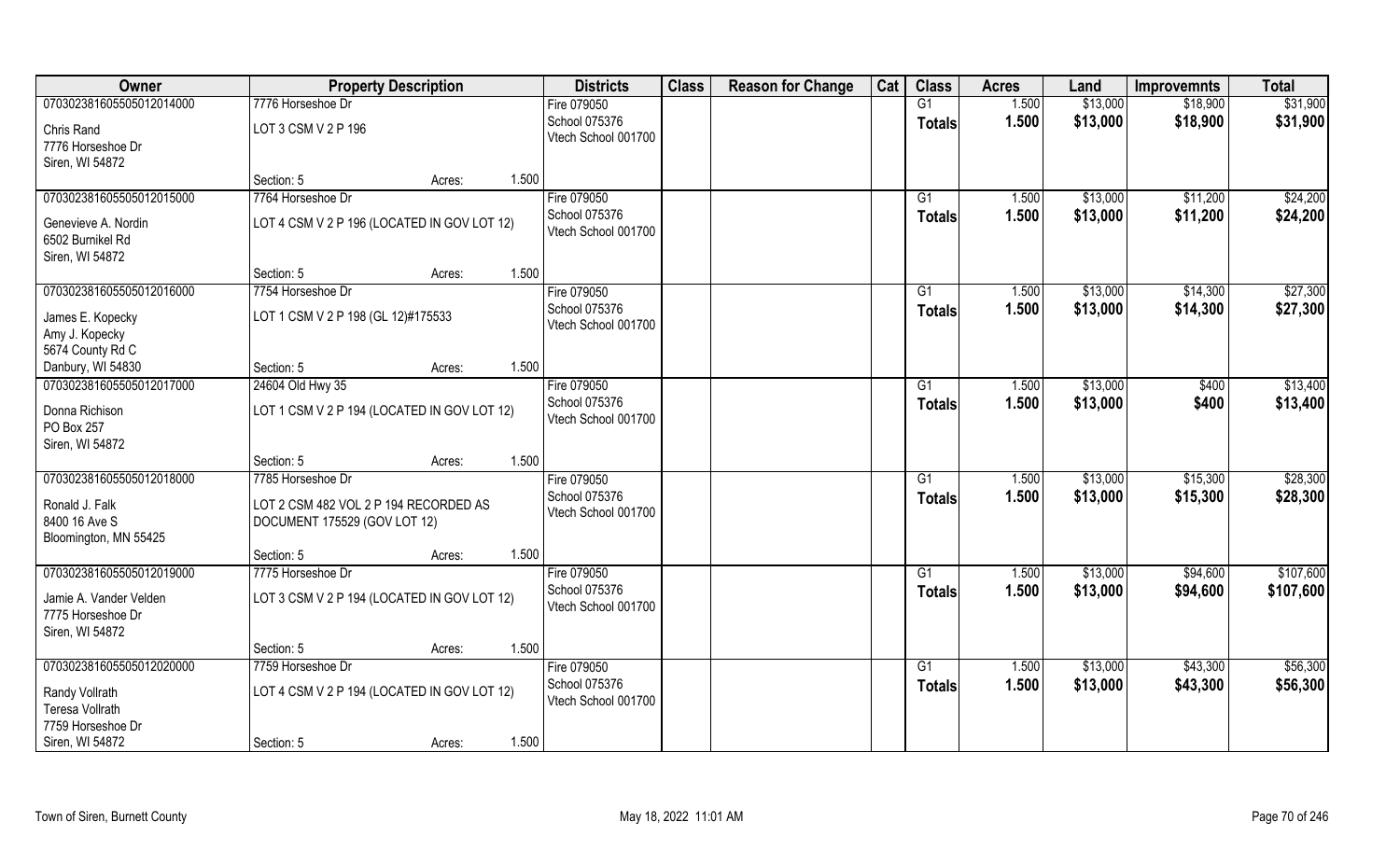| Owner                           | <b>Property Description</b>                 |        |       | <b>Districts</b>    | <b>Class</b> | <b>Reason for Change</b> | Cat | <b>Class</b>   | <b>Acres</b> | Land     | <b>Improvemnts</b> | <b>Total</b> |
|---------------------------------|---------------------------------------------|--------|-------|---------------------|--------------|--------------------------|-----|----------------|--------------|----------|--------------------|--------------|
| 070302381605505012014000        | 7776 Horseshoe Dr                           |        |       | Fire 079050         |              |                          |     | G1             | 1.500        | \$13,000 | \$18,900           | \$31,900     |
| Chris Rand                      | LOT 3 CSM V 2 P 196                         |        |       | School 075376       |              |                          |     | <b>Totals</b>  | 1.500        | \$13,000 | \$18,900           | \$31,900     |
| 7776 Horseshoe Dr               |                                             |        |       | Vtech School 001700 |              |                          |     |                |              |          |                    |              |
| Siren, WI 54872                 |                                             |        |       |                     |              |                          |     |                |              |          |                    |              |
|                                 | Section: 5                                  | Acres: | 1.500 |                     |              |                          |     |                |              |          |                    |              |
| 070302381605505012015000        | 7764 Horseshoe Dr                           |        |       | Fire 079050         |              |                          |     | G1             | 1.500        | \$13,000 | \$11,200           | \$24,200     |
| Genevieve A. Nordin             | LOT 4 CSM V 2 P 196 (LOCATED IN GOV LOT 12) |        |       | School 075376       |              |                          |     | <b>Totals</b>  | 1.500        | \$13,000 | \$11,200           | \$24,200     |
| 6502 Burnikel Rd                |                                             |        |       | Vtech School 001700 |              |                          |     |                |              |          |                    |              |
| Siren, WI 54872                 |                                             |        |       |                     |              |                          |     |                |              |          |                    |              |
|                                 | Section: 5                                  | Acres: | 1.500 |                     |              |                          |     |                |              |          |                    |              |
| 070302381605505012016000        | 7754 Horseshoe Dr                           |        |       | Fire 079050         |              |                          |     | G1             | 1.500        | \$13,000 | \$14,300           | \$27,300     |
| James E. Kopecky                | LOT 1 CSM V 2 P 198 (GL 12)#175533          |        |       | School 075376       |              |                          |     | <b>Totals</b>  | 1.500        | \$13,000 | \$14,300           | \$27,300     |
| Amy J. Kopecky                  |                                             |        |       | Vtech School 001700 |              |                          |     |                |              |          |                    |              |
| 5674 County Rd C                |                                             |        |       |                     |              |                          |     |                |              |          |                    |              |
| Danbury, WI 54830               | Section: 5                                  | Acres: | 1.500 |                     |              |                          |     |                |              |          |                    |              |
| 070302381605505012017000        | 24604 Old Hwy 35                            |        |       | Fire 079050         |              |                          |     | G <sub>1</sub> | 1.500        | \$13,000 | \$400              | \$13,400     |
| Donna Richison                  | LOT 1 CSM V 2 P 194 (LOCATED IN GOV LOT 12) |        |       | School 075376       |              |                          |     | <b>Totals</b>  | 1.500        | \$13,000 | \$400              | \$13,400     |
| PO Box 257                      |                                             |        |       | Vtech School 001700 |              |                          |     |                |              |          |                    |              |
| Siren, WI 54872                 |                                             |        |       |                     |              |                          |     |                |              |          |                    |              |
|                                 | Section: 5                                  | Acres: | 1.500 |                     |              |                          |     |                |              |          |                    |              |
| 070302381605505012018000        | 7785 Horseshoe Dr                           |        |       | Fire 079050         |              |                          |     | G1             | 1.500        | \$13,000 | \$15,300           | \$28,300     |
|                                 |                                             |        |       | School 075376       |              |                          |     | <b>Totals</b>  | 1.500        | \$13,000 | \$15,300           | \$28,300     |
| Ronald J. Falk<br>8400 16 Ave S | LOT 2 CSM 482 VOL 2 P 194 RECORDED AS       |        |       | Vtech School 001700 |              |                          |     |                |              |          |                    |              |
| Bloomington, MN 55425           | DOCUMENT 175529 (GOV LOT 12)                |        |       |                     |              |                          |     |                |              |          |                    |              |
|                                 | Section: 5                                  | Acres: | 1.500 |                     |              |                          |     |                |              |          |                    |              |
| 070302381605505012019000        | 7775 Horseshoe Dr                           |        |       | Fire 079050         |              |                          |     | G1             | 1.500        | \$13,000 | \$94,600           | \$107,600    |
|                                 |                                             |        |       | School 075376       |              |                          |     | <b>Totals</b>  | 1.500        | \$13,000 | \$94,600           | \$107,600    |
| Jamie A. Vander Velden          | LOT 3 CSM V 2 P 194 (LOCATED IN GOV LOT 12) |        |       | Vtech School 001700 |              |                          |     |                |              |          |                    |              |
| 7775 Horseshoe Dr               |                                             |        |       |                     |              |                          |     |                |              |          |                    |              |
| Siren, WI 54872                 | Section: 5                                  | Acres: | 1.500 |                     |              |                          |     |                |              |          |                    |              |
| 070302381605505012020000        | 7759 Horseshoe Dr                           |        |       | Fire 079050         |              |                          |     | G1             | 1.500        | \$13,000 | \$43,300           | \$56,300     |
|                                 |                                             |        |       | School 075376       |              |                          |     | <b>Totals</b>  | 1.500        | \$13,000 | \$43,300           | \$56,300     |
| Randy Vollrath                  | LOT 4 CSM V 2 P 194 (LOCATED IN GOV LOT 12) |        |       | Vtech School 001700 |              |                          |     |                |              |          |                    |              |
| Teresa Vollrath                 |                                             |        |       |                     |              |                          |     |                |              |          |                    |              |
| 7759 Horseshoe Dr               |                                             |        |       |                     |              |                          |     |                |              |          |                    |              |
| Siren, WI 54872                 | Section: 5                                  | Acres: | 1.500 |                     |              |                          |     |                |              |          |                    |              |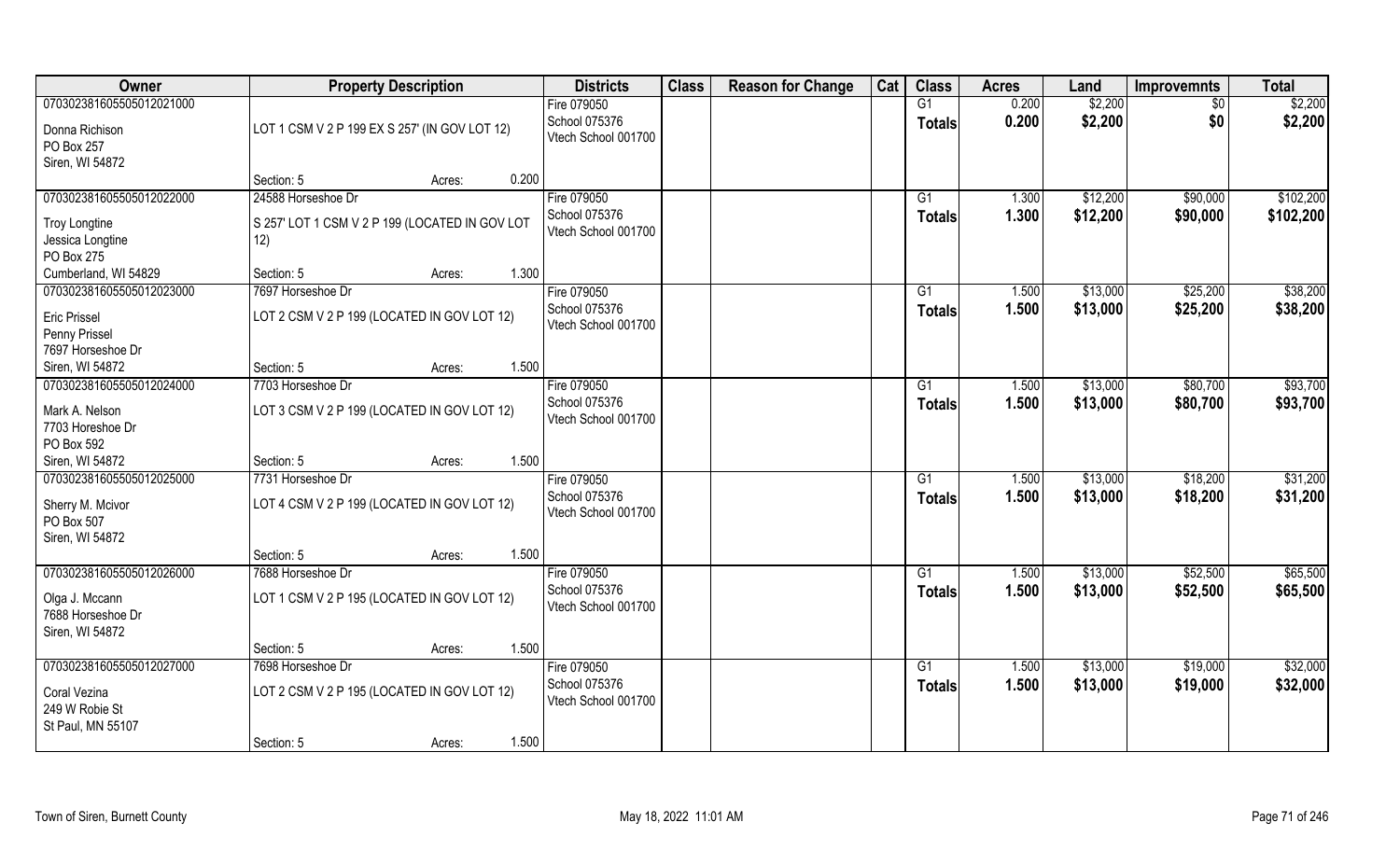| Owner                                                                                 | <b>Property Description</b>                                                    |                 | <b>Districts</b>                                    | <b>Class</b> | <b>Reason for Change</b> | Cat | <b>Class</b>        | <b>Acres</b>   | Land                 | <b>Improvemnts</b>   | <b>Total</b>           |
|---------------------------------------------------------------------------------------|--------------------------------------------------------------------------------|-----------------|-----------------------------------------------------|--------------|--------------------------|-----|---------------------|----------------|----------------------|----------------------|------------------------|
| 070302381605505012021000<br>Donna Richison<br>PO Box 257<br>Siren, WI 54872           | LOT 1 CSM V 2 P 199 EX S 257' (IN GOV LOT 12)                                  |                 | Fire 079050<br>School 075376<br>Vtech School 001700 |              |                          |     | G1<br><b>Totals</b> | 0.200<br>0.200 | \$2,200<br>\$2,200   | \$0<br>\$0           | \$2,200<br>\$2,200     |
|                                                                                       | Section: 5                                                                     | 0.200<br>Acres: |                                                     |              |                          |     |                     |                |                      |                      |                        |
| 070302381605505012022000<br><b>Troy Longtine</b><br>Jessica Longtine<br>PO Box 275    | 24588 Horseshoe Dr<br>S 257' LOT 1 CSM V 2 P 199 (LOCATED IN GOV LOT<br>12)    |                 | Fire 079050<br>School 075376<br>Vtech School 001700 |              |                          |     | G1<br><b>Totals</b> | 1.300<br>1.300 | \$12,200<br>\$12,200 | \$90,000<br>\$90,000 | \$102,200<br>\$102,200 |
| Cumberland, WI 54829                                                                  | Section: 5                                                                     | 1.300<br>Acres: |                                                     |              |                          |     |                     |                |                      |                      |                        |
| 070302381605505012023000<br><b>Eric Prissel</b><br>Penny Prissel<br>7697 Horseshoe Dr | 7697 Horseshoe Dr<br>LOT 2 CSM V 2 P 199 (LOCATED IN GOV LOT 12)               |                 | Fire 079050<br>School 075376<br>Vtech School 001700 |              |                          |     | G1<br><b>Totals</b> | 1.500<br>1.500 | \$13,000<br>\$13,000 | \$25,200<br>\$25,200 | \$38,200<br>\$38,200   |
| Siren, WI 54872                                                                       | Section: 5                                                                     | 1.500<br>Acres: |                                                     |              |                          |     |                     |                |                      |                      |                        |
| 070302381605505012024000<br>Mark A. Nelson<br>7703 Horeshoe Dr<br>PO Box 592          | 7703 Horseshoe Dr<br>LOT 3 CSM V 2 P 199 (LOCATED IN GOV LOT 12)               |                 | Fire 079050<br>School 075376<br>Vtech School 001700 |              |                          |     | G1<br><b>Totals</b> | 1.500<br>1.500 | \$13,000<br>\$13,000 | \$80,700<br>\$80,700 | \$93,700<br>\$93,700   |
| Siren, WI 54872                                                                       | Section: 5                                                                     | 1.500<br>Acres: |                                                     |              |                          |     |                     |                |                      |                      |                        |
| 070302381605505012025000<br>Sherry M. Mcivor<br>PO Box 507<br>Siren, WI 54872         | 7731 Horseshoe Dr<br>LOT 4 CSM V 2 P 199 (LOCATED IN GOV LOT 12)               |                 | Fire 079050<br>School 075376<br>Vtech School 001700 |              |                          |     | G1<br><b>Totals</b> | 1.500<br>1.500 | \$13,000<br>\$13,000 | \$18,200<br>\$18,200 | \$31,200<br>\$31,200   |
|                                                                                       | Section: 5                                                                     | 1.500<br>Acres: |                                                     |              |                          |     |                     |                |                      |                      |                        |
| 070302381605505012026000<br>Olga J. Mccann<br>7688 Horseshoe Dr<br>Siren, WI 54872    | 7688 Horseshoe Dr<br>LOT 1 CSM V 2 P 195 (LOCATED IN GOV LOT 12)               |                 | Fire 079050<br>School 075376<br>Vtech School 001700 |              |                          |     | G1<br><b>Totals</b> | 1.500<br>1.500 | \$13,000<br>\$13,000 | \$52,500<br>\$52,500 | \$65,500<br>\$65,500   |
|                                                                                       | Section: 5                                                                     | 1.500<br>Acres: |                                                     |              |                          |     |                     |                |                      |                      |                        |
| 070302381605505012027000<br>Coral Vezina<br>249 W Robie St<br>St Paul, MN 55107       | 7698 Horseshoe Dr<br>LOT 2 CSM V 2 P 195 (LOCATED IN GOV LOT 12)<br>Section: 5 | 1.500<br>Acres: | Fire 079050<br>School 075376<br>Vtech School 001700 |              |                          |     | G1<br><b>Totals</b> | 1.500<br>1.500 | \$13,000<br>\$13,000 | \$19,000<br>\$19,000 | \$32,000<br>\$32,000   |
|                                                                                       |                                                                                |                 |                                                     |              |                          |     |                     |                |                      |                      |                        |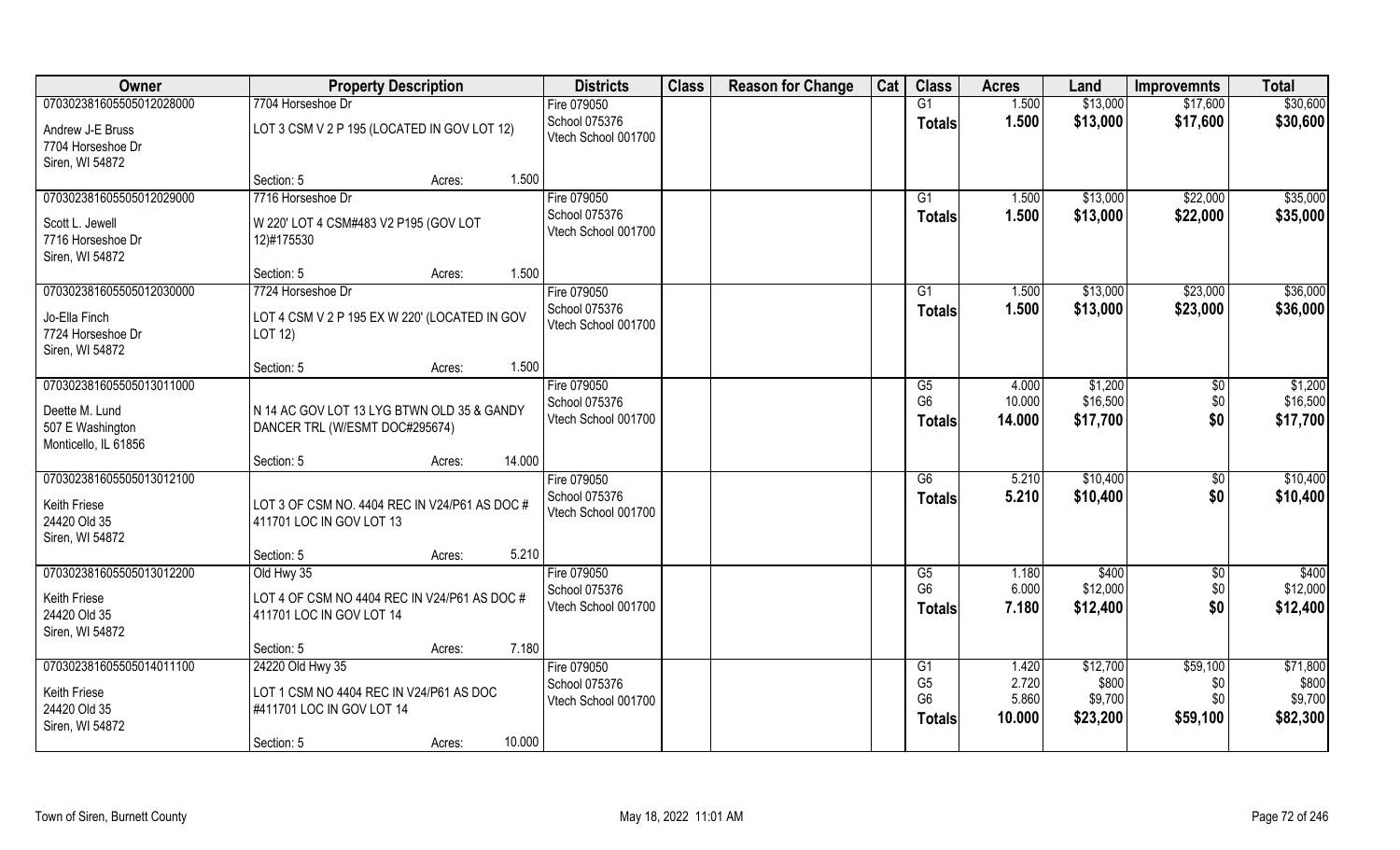| Owner                    | <b>Property Description</b>                   | <b>Districts</b>    | <b>Class</b> | <b>Reason for Change</b> | Cat | <b>Class</b>    | <b>Acres</b>    | Land     | <b>Improvemnts</b> | <b>Total</b> |
|--------------------------|-----------------------------------------------|---------------------|--------------|--------------------------|-----|-----------------|-----------------|----------|--------------------|--------------|
| 070302381605505012028000 | 7704 Horseshoe Dr                             | Fire 079050         |              |                          |     | G1              | 1.500           | \$13,000 | \$17,600           | \$30,600     |
| Andrew J-E Bruss         | LOT 3 CSM V 2 P 195 (LOCATED IN GOV LOT 12)   | School 075376       |              |                          |     | <b>Totals</b>   | 1.500           | \$13,000 | \$17,600           | \$30,600     |
| 7704 Horseshoe Dr        |                                               | Vtech School 001700 |              |                          |     |                 |                 |          |                    |              |
| Siren, WI 54872          |                                               |                     |              |                          |     |                 |                 |          |                    |              |
|                          | 1.500<br>Section: 5<br>Acres:                 |                     |              |                          |     |                 |                 |          |                    |              |
| 070302381605505012029000 | 7716 Horseshoe Dr                             | Fire 079050         |              |                          |     | $\overline{G1}$ | 1.500           | \$13,000 | \$22,000           | \$35,000     |
| Scott L. Jewell          | W 220' LOT 4 CSM#483 V2 P195 (GOV LOT         | School 075376       |              |                          |     | Totals          | 1.500           | \$13,000 | \$22,000           | \$35,000     |
| 7716 Horseshoe Dr        | 12)#175530                                    | Vtech School 001700 |              |                          |     |                 |                 |          |                    |              |
| Siren, WI 54872          |                                               |                     |              |                          |     |                 |                 |          |                    |              |
|                          | 1.500<br>Section: 5<br>Acres:                 |                     |              |                          |     |                 |                 |          |                    |              |
| 070302381605505012030000 | 7724 Horseshoe Dr                             | Fire 079050         |              |                          |     | G1              | 1.500           | \$13,000 | \$23,000           | \$36,000     |
| Jo-Ella Finch            | LOT 4 CSM V 2 P 195 EX W 220' (LOCATED IN GOV | School 075376       |              |                          |     | <b>Totals</b>   | 1.500           | \$13,000 | \$23,000           | \$36,000     |
| 7724 Horseshoe Dr        | LOT 12)                                       | Vtech School 001700 |              |                          |     |                 |                 |          |                    |              |
| Siren, WI 54872          |                                               |                     |              |                          |     |                 |                 |          |                    |              |
|                          | 1.500<br>Section: 5<br>Acres:                 |                     |              |                          |     |                 |                 |          |                    |              |
| 070302381605505013011000 |                                               | Fire 079050         |              |                          |     | G5              | 4.000           | \$1,200  | $\sqrt[6]{3}$      | \$1,200      |
| Deette M. Lund           | N 14 AC GOV LOT 13 LYG BTWN OLD 35 & GANDY    | School 075376       |              |                          |     | G <sub>6</sub>  | 10.000          | \$16,500 | \$0                | \$16,500     |
| 507 E Washington         | DANCER TRL (W/ESMT DOC#295674)                | Vtech School 001700 |              |                          |     | <b>Totals</b>   | 14.000          | \$17,700 | \$0                | \$17,700     |
| Monticello, IL 61856     |                                               |                     |              |                          |     |                 |                 |          |                    |              |
|                          | 14.000<br>Section: 5<br>Acres:                |                     |              |                          |     |                 |                 |          |                    |              |
| 070302381605505013012100 |                                               | Fire 079050         |              |                          |     | $\overline{G6}$ | 5.210           | \$10,400 | \$0                | \$10,400     |
| Keith Friese             | LOT 3 OF CSM NO. 4404 REC IN V24/P61 AS DOC # | School 075376       |              |                          |     | <b>Totals</b>   | 5.210           | \$10,400 | \$0                | \$10,400     |
| 24420 Old 35             | 411701 LOC IN GOV LOT 13                      | Vtech School 001700 |              |                          |     |                 |                 |          |                    |              |
| Siren, WI 54872          |                                               |                     |              |                          |     |                 |                 |          |                    |              |
|                          | 5.210<br>Section: 5<br>Acres:                 |                     |              |                          |     |                 |                 |          |                    |              |
| 070302381605505013012200 | Old Hwy 35                                    | Fire 079050         |              |                          |     | G5              | 1.180           | \$400    | \$0                | \$400        |
| Keith Friese             | LOT 4 OF CSM NO 4404 REC IN V24/P61 AS DOC #  | School 075376       |              |                          |     | G <sub>6</sub>  | 6.000           | \$12,000 | \$0                | \$12,000     |
| 24420 Old 35             | 411701 LOC IN GOV LOT 14                      | Vtech School 001700 |              |                          |     | <b>Totals</b>   | 7.180           | \$12,400 | \$0                | \$12,400     |
| Siren, WI 54872          |                                               |                     |              |                          |     |                 |                 |          |                    |              |
|                          | 7.180<br>Section: 5<br>Acres:                 |                     |              |                          |     |                 |                 |          |                    |              |
| 070302381605505014011100 | 24220 Old Hwy 35                              | Fire 079050         |              |                          |     | G1              | 1.420           | \$12,700 | \$59,100           | \$71,800     |
| Keith Friese             | LOT 1 CSM NO 4404 REC IN V24/P61 AS DOC       | School 075376       |              |                          |     | G <sub>5</sub>  | 2.720           | \$800    | \$0                | \$800        |
| 24420 Old 35             | #411701 LOC IN GOV LOT 14                     | Vtech School 001700 |              |                          |     | G <sub>6</sub>  | 5.860<br>10.000 | \$9,700  | \$0                | \$9,700      |
| Siren, WI 54872          |                                               |                     |              |                          |     | <b>Totals</b>   |                 | \$23,200 | \$59,100           | \$82,300     |
|                          | 10.000<br>Section: 5<br>Acres:                |                     |              |                          |     |                 |                 |          |                    |              |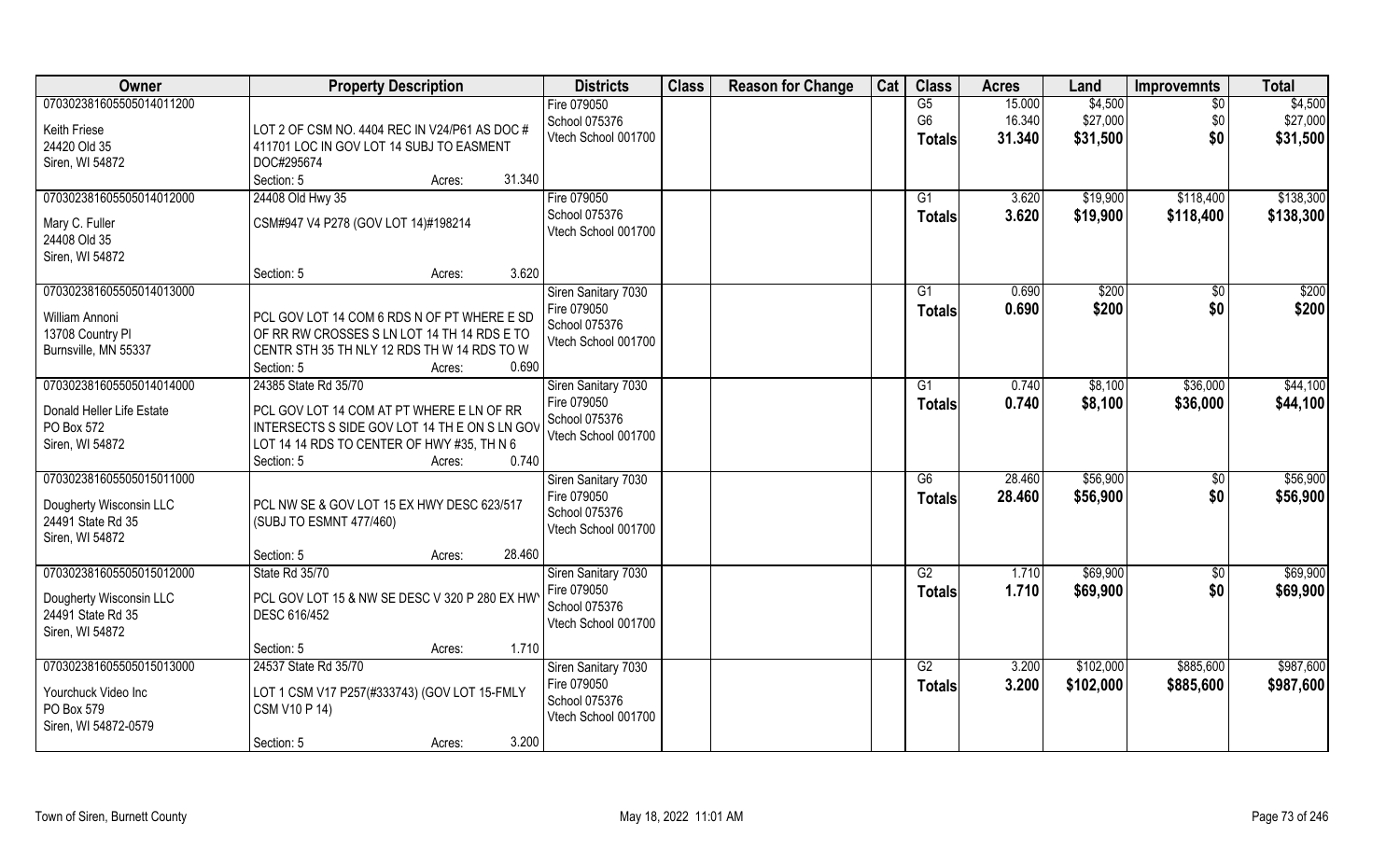| Owner                                        | <b>Property Description</b>                                   | <b>Districts</b>    | <b>Class</b> | <b>Reason for Change</b> | Cat | <b>Class</b>    | <b>Acres</b> | Land      | <b>Improvemnts</b> | <b>Total</b> |
|----------------------------------------------|---------------------------------------------------------------|---------------------|--------------|--------------------------|-----|-----------------|--------------|-----------|--------------------|--------------|
| 070302381605505014011200                     |                                                               | Fire 079050         |              |                          |     | G5              | 15.000       | \$4,500   | $\sqrt{6}$         | \$4,500      |
| Keith Friese                                 | LOT 2 OF CSM NO. 4404 REC IN V24/P61 AS DOC #                 | School 075376       |              |                          |     | G <sub>6</sub>  | 16.340       | \$27,000  | \$0                | \$27,000     |
| 24420 Old 35                                 | 411701 LOC IN GOV LOT 14 SUBJ TO EASMENT                      | Vtech School 001700 |              |                          |     | <b>Totals</b>   | 31.340       | \$31,500  | \$0                | \$31,500     |
| Siren, WI 54872                              | DOC#295674                                                    |                     |              |                          |     |                 |              |           |                    |              |
|                                              | Section: 5<br>31.340<br>Acres:                                |                     |              |                          |     |                 |              |           |                    |              |
| 070302381605505014012000                     | 24408 Old Hwy 35                                              | Fire 079050         |              |                          |     | G1              | 3.620        | \$19,900  | \$118,400          | \$138,300    |
|                                              |                                                               | School 075376       |              |                          |     | <b>Totals</b>   | 3.620        | \$19,900  | \$118,400          | \$138,300    |
| Mary C. Fuller                               | CSM#947 V4 P278 (GOV LOT 14)#198214                           | Vtech School 001700 |              |                          |     |                 |              |           |                    |              |
| 24408 Old 35                                 |                                                               |                     |              |                          |     |                 |              |           |                    |              |
| Siren, WI 54872                              |                                                               |                     |              |                          |     |                 |              |           |                    |              |
|                                              | 3.620<br>Section: 5<br>Acres:                                 |                     |              |                          |     |                 |              |           |                    |              |
| 070302381605505014013000                     |                                                               | Siren Sanitary 7030 |              |                          |     | G1              | 0.690        | \$200     | $\sqrt[6]{30}$     | \$200        |
| William Annoni                               | PCL GOV LOT 14 COM 6 RDS N OF PT WHERE E SD                   | Fire 079050         |              |                          |     | <b>Totals</b>   | 0.690        | \$200     | \$0                | \$200        |
| 13708 Country PI                             | OF RR RW CROSSES S LN LOT 14 TH 14 RDS E TO                   | School 075376       |              |                          |     |                 |              |           |                    |              |
| Burnsville, MN 55337                         | CENTR STH 35 TH NLY 12 RDS TH W 14 RDS TO W                   | Vtech School 001700 |              |                          |     |                 |              |           |                    |              |
|                                              | 0.690<br>Section: 5<br>Acres:                                 |                     |              |                          |     |                 |              |           |                    |              |
| 070302381605505014014000                     | 24385 State Rd 35/70                                          | Siren Sanitary 7030 |              |                          |     | G1              | 0.740        | \$8,100   | \$36,000           | \$44,100     |
|                                              |                                                               | Fire 079050         |              |                          |     | <b>Totals</b>   | 0.740        | \$8,100   | \$36,000           | \$44,100     |
| Donald Heller Life Estate                    | PCL GOV LOT 14 COM AT PT WHERE E LN OF RR                     | School 075376       |              |                          |     |                 |              |           |                    |              |
| PO Box 572                                   | INTERSECTS S SIDE GOV LOT 14 TH E ON S LN GOV                 | Vtech School 001700 |              |                          |     |                 |              |           |                    |              |
| Siren, WI 54872                              | LOT 14 14 RDS TO CENTER OF HWY #35, TH N 6                    |                     |              |                          |     |                 |              |           |                    |              |
|                                              | 0.740<br>Section: 5<br>Acres:                                 |                     |              |                          |     |                 |              |           |                    |              |
| 070302381605505015011000                     |                                                               | Siren Sanitary 7030 |              |                          |     | $\overline{G6}$ | 28.460       | \$56,900  | \$0                | \$56,900     |
| Dougherty Wisconsin LLC                      | PCL NW SE & GOV LOT 15 EX HWY DESC 623/517                    | Fire 079050         |              |                          |     | <b>Totals</b>   | 28.460       | \$56,900  | \$0                | \$56,900     |
| 24491 State Rd 35                            | (SUBJ TO ESMNT 477/460)                                       | School 075376       |              |                          |     |                 |              |           |                    |              |
| Siren, WI 54872                              |                                                               | Vtech School 001700 |              |                          |     |                 |              |           |                    |              |
|                                              | 28.460<br>Section: 5<br>Acres:                                |                     |              |                          |     |                 |              |           |                    |              |
| 070302381605505015012000                     | State Rd 35/70                                                | Siren Sanitary 7030 |              |                          |     | G2              | 1.710        | \$69,900  | \$0                | \$69,900     |
|                                              |                                                               | Fire 079050         |              |                          |     | <b>Totals</b>   | 1.710        | \$69,900  | \$0                | \$69,900     |
| Dougherty Wisconsin LLC<br>24491 State Rd 35 | PCL GOV LOT 15 & NW SE DESC V 320 P 280 EX HW<br>DESC 616/452 | School 075376       |              |                          |     |                 |              |           |                    |              |
| Siren, WI 54872                              |                                                               | Vtech School 001700 |              |                          |     |                 |              |           |                    |              |
|                                              | 1.710<br>Section: 5<br>Acres:                                 |                     |              |                          |     |                 |              |           |                    |              |
| 070302381605505015013000                     | 24537 State Rd 35/70                                          | Siren Sanitary 7030 |              |                          |     | G2              | 3.200        | \$102,000 | \$885,600          | \$987,600    |
|                                              |                                                               | Fire 079050         |              |                          |     |                 | 3.200        | \$102,000 |                    | \$987,600    |
| Yourchuck Video Inc                          | LOT 1 CSM V17 P257(#333743) (GOV LOT 15-FMLY                  | School 075376       |              |                          |     | <b>Totals</b>   |              |           | \$885,600          |              |
| PO Box 579                                   | <b>CSM V10 P 14)</b>                                          | Vtech School 001700 |              |                          |     |                 |              |           |                    |              |
| Siren, WI 54872-0579                         |                                                               |                     |              |                          |     |                 |              |           |                    |              |
|                                              | 3.200<br>Section: 5<br>Acres:                                 |                     |              |                          |     |                 |              |           |                    |              |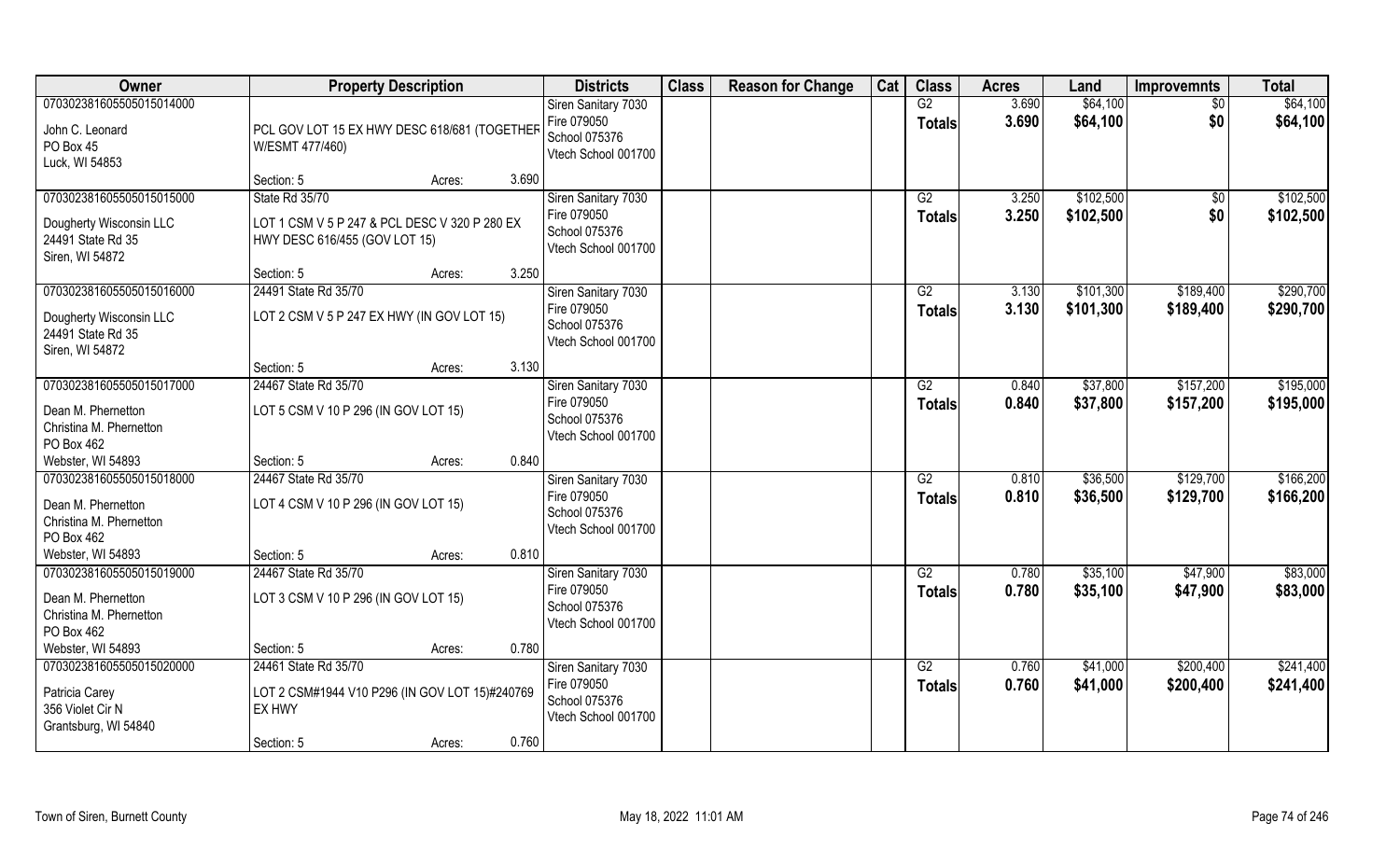| Owner                                                                                       | <b>Property Description</b>                                                                                       | <b>Districts</b>                                                           | <b>Class</b> | <b>Reason for Change</b> | Cat | <b>Class</b>        | <b>Acres</b>   | Land                   | <b>Improvemnts</b>     | <b>Total</b>           |
|---------------------------------------------------------------------------------------------|-------------------------------------------------------------------------------------------------------------------|----------------------------------------------------------------------------|--------------|--------------------------|-----|---------------------|----------------|------------------------|------------------------|------------------------|
| 070302381605505015014000<br>John C. Leonard<br>PO Box 45<br>Luck, WI 54853                  | PCL GOV LOT 15 EX HWY DESC 618/681 (TOGETHER<br>W/ESMT 477/460)                                                   | Siren Sanitary 7030<br>Fire 079050<br>School 075376<br>Vtech School 001700 |              |                          |     | G2<br><b>Totals</b> | 3.690<br>3.690 | \$64,100<br>\$64,100   | $\sqrt{$0}$<br>\$0     | \$64,100<br>\$64,100   |
|                                                                                             | 3.690<br>Section: 5<br>Acres:                                                                                     |                                                                            |              |                          |     |                     |                |                        |                        |                        |
| 070302381605505015015000<br>Dougherty Wisconsin LLC<br>24491 State Rd 35<br>Siren, WI 54872 | State Rd 35/70<br>LOT 1 CSM V 5 P 247 & PCL DESC V 320 P 280 EX<br>HWY DESC 616/455 (GOV LOT 15)                  | Siren Sanitary 7030<br>Fire 079050<br>School 075376<br>Vtech School 001700 |              |                          |     | G2<br>Totals        | 3.250<br>3.250 | \$102,500<br>\$102,500 | $\sqrt{$0}$<br>\$0     | \$102,500<br>\$102,500 |
|                                                                                             | 3.250<br>Section: 5<br>Acres:                                                                                     |                                                                            |              |                          |     |                     |                |                        |                        |                        |
| 070302381605505015016000<br>Dougherty Wisconsin LLC<br>24491 State Rd 35<br>Siren, WI 54872 | 24491 State Rd 35/70<br>LOT 2 CSM V 5 P 247 EX HWY (IN GOV LOT 15)                                                | Siren Sanitary 7030<br>Fire 079050<br>School 075376<br>Vtech School 001700 |              |                          |     | G2<br>Totals        | 3.130<br>3.130 | \$101,300<br>\$101,300 | \$189,400<br>\$189,400 | \$290,700<br>\$290,700 |
|                                                                                             | 3.130<br>Section: 5<br>Acres:                                                                                     |                                                                            |              |                          |     |                     |                |                        |                        |                        |
| 070302381605505015017000<br>Dean M. Phernetton<br>Christina M. Phernetton                   | 24467 State Rd 35/70<br>LOT 5 CSM V 10 P 296 (IN GOV LOT 15)                                                      | Siren Sanitary 7030<br>Fire 079050<br>School 075376<br>Vtech School 001700 |              |                          |     | G2<br>Totals        | 0.840<br>0.840 | \$37,800<br>\$37,800   | \$157,200<br>\$157,200 | \$195,000<br>\$195,000 |
| PO Box 462<br>Webster, WI 54893                                                             | 0.840<br>Section: 5<br>Acres:                                                                                     |                                                                            |              |                          |     |                     |                |                        |                        |                        |
| 070302381605505015018000<br>Dean M. Phernetton<br>Christina M. Phernetton<br>PO Box 462     | 24467 State Rd 35/70<br>LOT 4 CSM V 10 P 296 (IN GOV LOT 15)                                                      | Siren Sanitary 7030<br>Fire 079050<br>School 075376<br>Vtech School 001700 |              |                          |     | G2<br><b>Totals</b> | 0.810<br>0.810 | \$36,500<br>\$36,500   | \$129,700<br>\$129,700 | \$166,200<br>\$166,200 |
| Webster, WI 54893                                                                           | 0.810<br>Section: 5<br>Acres:                                                                                     |                                                                            |              |                          |     |                     |                |                        |                        |                        |
| 070302381605505015019000                                                                    | 24467 State Rd 35/70                                                                                              | Siren Sanitary 7030                                                        |              |                          |     | G2                  | 0.780          | \$35,100               | \$47,900               | \$83,000               |
| Dean M. Phernetton<br>Christina M. Phernetton<br>PO Box 462                                 | LOT 3 CSM V 10 P 296 (IN GOV LOT 15)                                                                              | Fire 079050<br>School 075376<br>Vtech School 001700                        |              |                          |     | <b>Totals</b>       | 0.780          | \$35,100               | \$47,900               | \$83,000               |
| Webster, WI 54893                                                                           | 0.780<br>Section: 5<br>Acres:                                                                                     |                                                                            |              |                          |     |                     |                |                        |                        |                        |
| 070302381605505015020000<br>Patricia Carey<br>356 Violet Cir N<br>Grantsburg, WI 54840      | 24461 State Rd 35/70<br>LOT 2 CSM#1944 V10 P296 (IN GOV LOT 15)#240769<br>EX HWY<br>0.760<br>Section: 5<br>Acres: | Siren Sanitary 7030<br>Fire 079050<br>School 075376<br>Vtech School 001700 |              |                          |     | G2<br><b>Totals</b> | 0.760<br>0.760 | \$41,000<br>\$41,000   | \$200,400<br>\$200,400 | \$241,400<br>\$241,400 |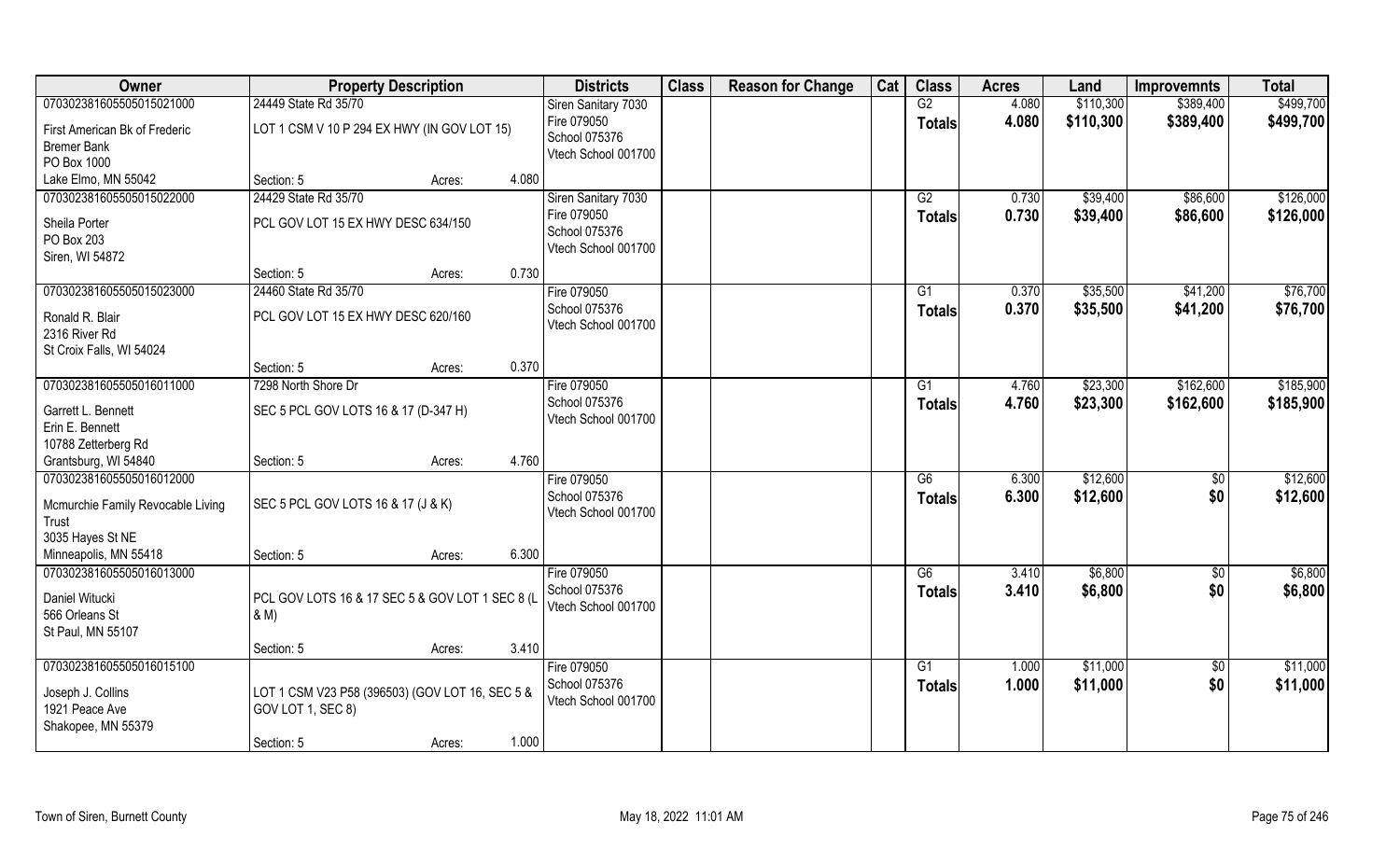| \$499,700<br>070302381605505015021000<br>24449 State Rd 35/70<br>G2<br>4.080<br>\$110,300<br>\$389,400<br>Siren Sanitary 7030<br>Fire 079050<br>4.080<br>\$110,300<br>\$389,400<br>\$499,700<br><b>Totals</b><br>LOT 1 CSM V 10 P 294 EX HWY (IN GOV LOT 15)<br>First American Bk of Frederic<br>School 075376<br><b>Bremer Bank</b><br>Vtech School 001700<br>PO Box 1000<br>Lake Elmo, MN 55042<br>Section: 5<br>4.080<br>Acres:<br>24429 State Rd 35/70<br>070302381605505015022000<br>Siren Sanitary 7030<br>G2<br>0.730<br>\$39,400<br>\$86,600<br>Fire 079050<br>0.730<br>\$39,400<br>\$86,600<br><b>Totals</b><br>PCL GOV LOT 15 EX HWY DESC 634/150<br>Sheila Porter<br>School 075376<br>PO Box 203<br>Vtech School 001700<br>Siren, WI 54872<br>0.730<br>Section: 5<br>Acres:<br>070302381605505015023000<br>24460 State Rd 35/70<br>Fire 079050<br>G1<br>0.370<br>\$35,500<br>\$41,200<br>School 075376<br>\$41,200<br>0.370<br>\$35,500<br><b>Totals</b><br>PCL GOV LOT 15 EX HWY DESC 620/160<br>Ronald R. Blair<br>Vtech School 001700<br>2316 River Rd<br>St Croix Falls, WI 54024<br>0.370<br>Section: 5<br>Acres:<br>070302381605505016011000<br>Fire 079050<br>\$23,300<br>\$162,600<br>7298 North Shore Dr<br>4.760<br>G1<br>School 075376<br>4.760<br>\$23,300<br>\$162,600<br><b>Totals</b><br>SEC 5 PCL GOV LOTS 16 & 17 (D-347 H)<br>Garrett L. Bennett<br>Vtech School 001700<br>Erin E. Bennett<br>10788 Zetterberg Rd<br>4.760<br>Grantsburg, WI 54840<br>Section: 5<br>Acres:<br>070302381605505016012000<br>$\overline{G6}$<br>6.300<br>\$12,600<br>Fire 079050<br>\$0<br>\$12,600<br>\$0<br>School 075376<br>6.300<br><b>Totals</b><br>SEC 5 PCL GOV LOTS 16 & 17 (J & K)<br>Mcmurchie Family Revocable Living<br>Vtech School 001700<br>Trust | Owner | <b>Property Description</b> |  | <b>Districts</b> | <b>Class</b> | <b>Reason for Change</b> | Cat | <b>Class</b> | <b>Acres</b> | Land | <b>Improvemnts</b> | <b>Total</b> |
|----------------------------------------------------------------------------------------------------------------------------------------------------------------------------------------------------------------------------------------------------------------------------------------------------------------------------------------------------------------------------------------------------------------------------------------------------------------------------------------------------------------------------------------------------------------------------------------------------------------------------------------------------------------------------------------------------------------------------------------------------------------------------------------------------------------------------------------------------------------------------------------------------------------------------------------------------------------------------------------------------------------------------------------------------------------------------------------------------------------------------------------------------------------------------------------------------------------------------------------------------------------------------------------------------------------------------------------------------------------------------------------------------------------------------------------------------------------------------------------------------------------------------------------------------------------------------------------------------------------------------------------------------------------------------------------------------------------------------------------------------------------------------|-------|-----------------------------|--|------------------|--------------|--------------------------|-----|--------------|--------------|------|--------------------|--------------|
|                                                                                                                                                                                                                                                                                                                                                                                                                                                                                                                                                                                                                                                                                                                                                                                                                                                                                                                                                                                                                                                                                                                                                                                                                                                                                                                                                                                                                                                                                                                                                                                                                                                                                                                                                                            |       |                             |  |                  |              |                          |     |              |              |      |                    |              |
|                                                                                                                                                                                                                                                                                                                                                                                                                                                                                                                                                                                                                                                                                                                                                                                                                                                                                                                                                                                                                                                                                                                                                                                                                                                                                                                                                                                                                                                                                                                                                                                                                                                                                                                                                                            |       |                             |  |                  |              |                          |     |              |              |      |                    |              |
| \$126,000<br>\$126,000<br>\$76,700<br>\$76,700<br>\$185,900<br>\$185,900<br>\$12,600<br>\$12,600                                                                                                                                                                                                                                                                                                                                                                                                                                                                                                                                                                                                                                                                                                                                                                                                                                                                                                                                                                                                                                                                                                                                                                                                                                                                                                                                                                                                                                                                                                                                                                                                                                                                           |       |                             |  |                  |              |                          |     |              |              |      |                    |              |
|                                                                                                                                                                                                                                                                                                                                                                                                                                                                                                                                                                                                                                                                                                                                                                                                                                                                                                                                                                                                                                                                                                                                                                                                                                                                                                                                                                                                                                                                                                                                                                                                                                                                                                                                                                            |       |                             |  |                  |              |                          |     |              |              |      |                    |              |
|                                                                                                                                                                                                                                                                                                                                                                                                                                                                                                                                                                                                                                                                                                                                                                                                                                                                                                                                                                                                                                                                                                                                                                                                                                                                                                                                                                                                                                                                                                                                                                                                                                                                                                                                                                            |       |                             |  |                  |              |                          |     |              |              |      |                    |              |
|                                                                                                                                                                                                                                                                                                                                                                                                                                                                                                                                                                                                                                                                                                                                                                                                                                                                                                                                                                                                                                                                                                                                                                                                                                                                                                                                                                                                                                                                                                                                                                                                                                                                                                                                                                            |       |                             |  |                  |              |                          |     |              |              |      |                    |              |
|                                                                                                                                                                                                                                                                                                                                                                                                                                                                                                                                                                                                                                                                                                                                                                                                                                                                                                                                                                                                                                                                                                                                                                                                                                                                                                                                                                                                                                                                                                                                                                                                                                                                                                                                                                            |       |                             |  |                  |              |                          |     |              |              |      |                    |              |
|                                                                                                                                                                                                                                                                                                                                                                                                                                                                                                                                                                                                                                                                                                                                                                                                                                                                                                                                                                                                                                                                                                                                                                                                                                                                                                                                                                                                                                                                                                                                                                                                                                                                                                                                                                            |       |                             |  |                  |              |                          |     |              |              |      |                    |              |
|                                                                                                                                                                                                                                                                                                                                                                                                                                                                                                                                                                                                                                                                                                                                                                                                                                                                                                                                                                                                                                                                                                                                                                                                                                                                                                                                                                                                                                                                                                                                                                                                                                                                                                                                                                            |       |                             |  |                  |              |                          |     |              |              |      |                    |              |
|                                                                                                                                                                                                                                                                                                                                                                                                                                                                                                                                                                                                                                                                                                                                                                                                                                                                                                                                                                                                                                                                                                                                                                                                                                                                                                                                                                                                                                                                                                                                                                                                                                                                                                                                                                            |       |                             |  |                  |              |                          |     |              |              |      |                    |              |
|                                                                                                                                                                                                                                                                                                                                                                                                                                                                                                                                                                                                                                                                                                                                                                                                                                                                                                                                                                                                                                                                                                                                                                                                                                                                                                                                                                                                                                                                                                                                                                                                                                                                                                                                                                            |       |                             |  |                  |              |                          |     |              |              |      |                    |              |
|                                                                                                                                                                                                                                                                                                                                                                                                                                                                                                                                                                                                                                                                                                                                                                                                                                                                                                                                                                                                                                                                                                                                                                                                                                                                                                                                                                                                                                                                                                                                                                                                                                                                                                                                                                            |       |                             |  |                  |              |                          |     |              |              |      |                    |              |
|                                                                                                                                                                                                                                                                                                                                                                                                                                                                                                                                                                                                                                                                                                                                                                                                                                                                                                                                                                                                                                                                                                                                                                                                                                                                                                                                                                                                                                                                                                                                                                                                                                                                                                                                                                            |       |                             |  |                  |              |                          |     |              |              |      |                    |              |
|                                                                                                                                                                                                                                                                                                                                                                                                                                                                                                                                                                                                                                                                                                                                                                                                                                                                                                                                                                                                                                                                                                                                                                                                                                                                                                                                                                                                                                                                                                                                                                                                                                                                                                                                                                            |       |                             |  |                  |              |                          |     |              |              |      |                    |              |
|                                                                                                                                                                                                                                                                                                                                                                                                                                                                                                                                                                                                                                                                                                                                                                                                                                                                                                                                                                                                                                                                                                                                                                                                                                                                                                                                                                                                                                                                                                                                                                                                                                                                                                                                                                            |       |                             |  |                  |              |                          |     |              |              |      |                    |              |
|                                                                                                                                                                                                                                                                                                                                                                                                                                                                                                                                                                                                                                                                                                                                                                                                                                                                                                                                                                                                                                                                                                                                                                                                                                                                                                                                                                                                                                                                                                                                                                                                                                                                                                                                                                            |       |                             |  |                  |              |                          |     |              |              |      |                    |              |
|                                                                                                                                                                                                                                                                                                                                                                                                                                                                                                                                                                                                                                                                                                                                                                                                                                                                                                                                                                                                                                                                                                                                                                                                                                                                                                                                                                                                                                                                                                                                                                                                                                                                                                                                                                            |       |                             |  |                  |              |                          |     |              |              |      |                    |              |
|                                                                                                                                                                                                                                                                                                                                                                                                                                                                                                                                                                                                                                                                                                                                                                                                                                                                                                                                                                                                                                                                                                                                                                                                                                                                                                                                                                                                                                                                                                                                                                                                                                                                                                                                                                            |       |                             |  |                  |              |                          |     |              |              |      |                    |              |
|                                                                                                                                                                                                                                                                                                                                                                                                                                                                                                                                                                                                                                                                                                                                                                                                                                                                                                                                                                                                                                                                                                                                                                                                                                                                                                                                                                                                                                                                                                                                                                                                                                                                                                                                                                            |       |                             |  |                  |              |                          |     |              |              |      |                    |              |
|                                                                                                                                                                                                                                                                                                                                                                                                                                                                                                                                                                                                                                                                                                                                                                                                                                                                                                                                                                                                                                                                                                                                                                                                                                                                                                                                                                                                                                                                                                                                                                                                                                                                                                                                                                            |       |                             |  |                  |              |                          |     |              |              |      |                    |              |
|                                                                                                                                                                                                                                                                                                                                                                                                                                                                                                                                                                                                                                                                                                                                                                                                                                                                                                                                                                                                                                                                                                                                                                                                                                                                                                                                                                                                                                                                                                                                                                                                                                                                                                                                                                            |       |                             |  |                  |              |                          |     |              |              |      |                    |              |
|                                                                                                                                                                                                                                                                                                                                                                                                                                                                                                                                                                                                                                                                                                                                                                                                                                                                                                                                                                                                                                                                                                                                                                                                                                                                                                                                                                                                                                                                                                                                                                                                                                                                                                                                                                            |       |                             |  |                  |              |                          |     |              |              |      |                    |              |
|                                                                                                                                                                                                                                                                                                                                                                                                                                                                                                                                                                                                                                                                                                                                                                                                                                                                                                                                                                                                                                                                                                                                                                                                                                                                                                                                                                                                                                                                                                                                                                                                                                                                                                                                                                            |       |                             |  |                  |              |                          |     |              |              |      |                    |              |
| 3035 Hayes St NE                                                                                                                                                                                                                                                                                                                                                                                                                                                                                                                                                                                                                                                                                                                                                                                                                                                                                                                                                                                                                                                                                                                                                                                                                                                                                                                                                                                                                                                                                                                                                                                                                                                                                                                                                           |       |                             |  |                  |              |                          |     |              |              |      |                    |              |
| 6.300<br>Minneapolis, MN 55418<br>Section: 5<br>Acres:                                                                                                                                                                                                                                                                                                                                                                                                                                                                                                                                                                                                                                                                                                                                                                                                                                                                                                                                                                                                                                                                                                                                                                                                                                                                                                                                                                                                                                                                                                                                                                                                                                                                                                                     |       |                             |  |                  |              |                          |     |              |              |      |                    |              |
| \$6,800<br>$\overline{50}$<br>\$6,800<br>070302381605505016013000<br>Fire 079050<br>G6<br>3.410                                                                                                                                                                                                                                                                                                                                                                                                                                                                                                                                                                                                                                                                                                                                                                                                                                                                                                                                                                                                                                                                                                                                                                                                                                                                                                                                                                                                                                                                                                                                                                                                                                                                            |       |                             |  |                  |              |                          |     |              |              |      |                    |              |
| \$0<br>School 075376<br>\$6,800<br>\$6,800<br>3.410<br><b>Totals</b><br>Daniel Witucki<br>PCL GOV LOTS 16 & 17 SEC 5 & GOV LOT 1 SEC 8 (L                                                                                                                                                                                                                                                                                                                                                                                                                                                                                                                                                                                                                                                                                                                                                                                                                                                                                                                                                                                                                                                                                                                                                                                                                                                                                                                                                                                                                                                                                                                                                                                                                                  |       |                             |  |                  |              |                          |     |              |              |      |                    |              |
| Vtech School 001700<br>& M)<br>566 Orleans St                                                                                                                                                                                                                                                                                                                                                                                                                                                                                                                                                                                                                                                                                                                                                                                                                                                                                                                                                                                                                                                                                                                                                                                                                                                                                                                                                                                                                                                                                                                                                                                                                                                                                                                              |       |                             |  |                  |              |                          |     |              |              |      |                    |              |
| St Paul, MN 55107                                                                                                                                                                                                                                                                                                                                                                                                                                                                                                                                                                                                                                                                                                                                                                                                                                                                                                                                                                                                                                                                                                                                                                                                                                                                                                                                                                                                                                                                                                                                                                                                                                                                                                                                                          |       |                             |  |                  |              |                          |     |              |              |      |                    |              |
| 3.410<br>Section: 5<br>Acres:                                                                                                                                                                                                                                                                                                                                                                                                                                                                                                                                                                                                                                                                                                                                                                                                                                                                                                                                                                                                                                                                                                                                                                                                                                                                                                                                                                                                                                                                                                                                                                                                                                                                                                                                              |       |                             |  |                  |              |                          |     |              |              |      |                    |              |
| 070302381605505016015100<br>\$11,000<br>\$11,000<br>Fire 079050<br>G1<br>1.000<br>$\overline{50}$                                                                                                                                                                                                                                                                                                                                                                                                                                                                                                                                                                                                                                                                                                                                                                                                                                                                                                                                                                                                                                                                                                                                                                                                                                                                                                                                                                                                                                                                                                                                                                                                                                                                          |       |                             |  |                  |              |                          |     |              |              |      |                    |              |
| \$0<br>School 075376<br>\$11,000<br>1.000<br>\$11,000<br><b>Totals</b>                                                                                                                                                                                                                                                                                                                                                                                                                                                                                                                                                                                                                                                                                                                                                                                                                                                                                                                                                                                                                                                                                                                                                                                                                                                                                                                                                                                                                                                                                                                                                                                                                                                                                                     |       |                             |  |                  |              |                          |     |              |              |      |                    |              |
| LOT 1 CSM V23 P58 (396503) (GOV LOT 16, SEC 5 &<br>Joseph J. Collins<br>Vtech School 001700<br>1921 Peace Ave                                                                                                                                                                                                                                                                                                                                                                                                                                                                                                                                                                                                                                                                                                                                                                                                                                                                                                                                                                                                                                                                                                                                                                                                                                                                                                                                                                                                                                                                                                                                                                                                                                                              |       |                             |  |                  |              |                          |     |              |              |      |                    |              |
| GOV LOT 1, SEC 8)<br>Shakopee, MN 55379                                                                                                                                                                                                                                                                                                                                                                                                                                                                                                                                                                                                                                                                                                                                                                                                                                                                                                                                                                                                                                                                                                                                                                                                                                                                                                                                                                                                                                                                                                                                                                                                                                                                                                                                    |       |                             |  |                  |              |                          |     |              |              |      |                    |              |
| 1.000<br>Section: 5<br>Acres:                                                                                                                                                                                                                                                                                                                                                                                                                                                                                                                                                                                                                                                                                                                                                                                                                                                                                                                                                                                                                                                                                                                                                                                                                                                                                                                                                                                                                                                                                                                                                                                                                                                                                                                                              |       |                             |  |                  |              |                          |     |              |              |      |                    |              |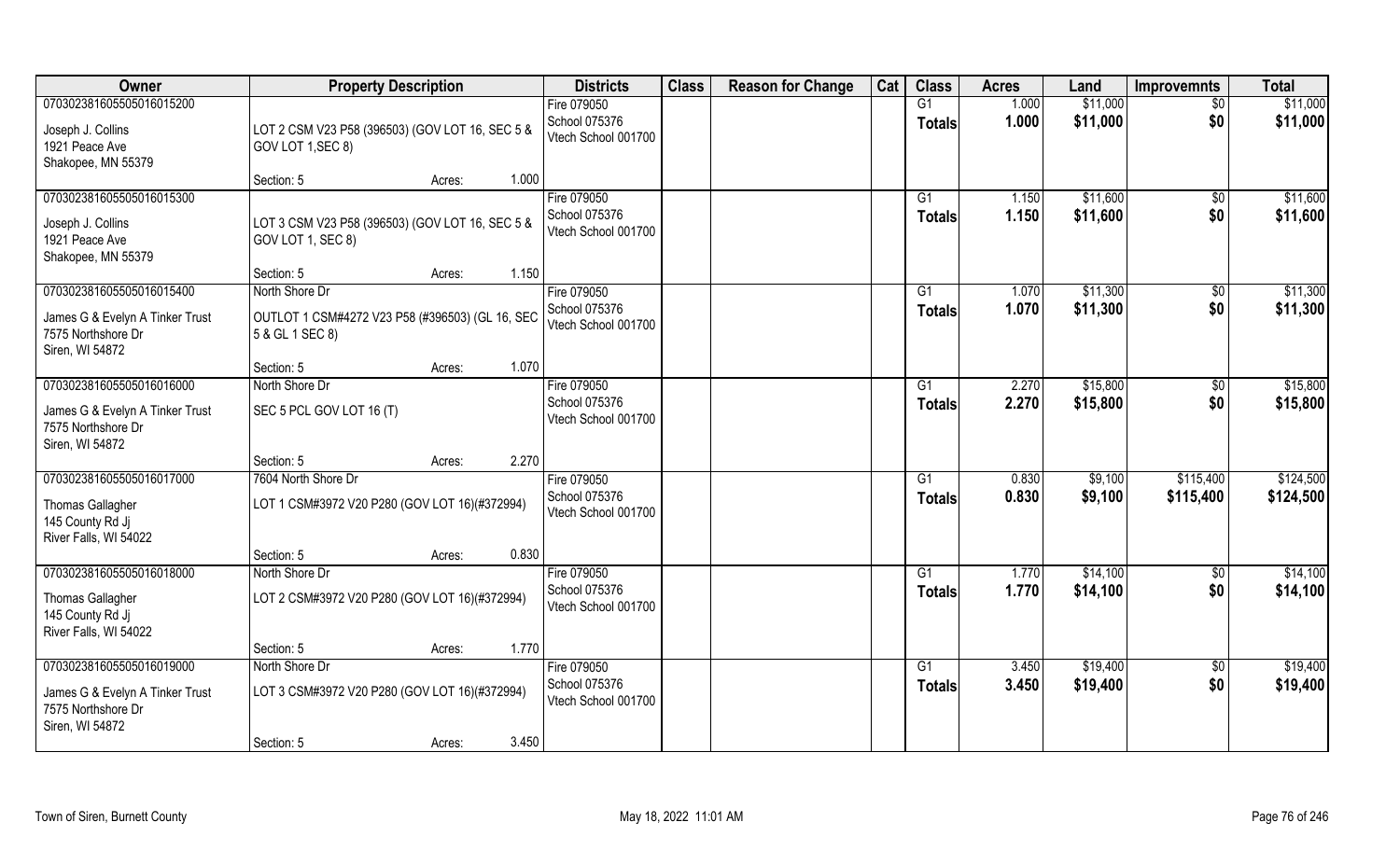| Owner                                                                                                | <b>Property Description</b>                                                                      | <b>Districts</b>                                    | <b>Class</b> | <b>Reason for Change</b> | Cat | <b>Class</b>                     | <b>Acres</b>   | Land                 | <b>Improvemnts</b>     | <b>Total</b>           |
|------------------------------------------------------------------------------------------------------|--------------------------------------------------------------------------------------------------|-----------------------------------------------------|--------------|--------------------------|-----|----------------------------------|----------------|----------------------|------------------------|------------------------|
| 070302381605505016015200                                                                             |                                                                                                  | Fire 079050                                         |              |                          |     | G1                               | 1.000          | \$11,000             | $\overline{50}$        | \$11,000               |
| Joseph J. Collins<br>1921 Peace Ave<br>Shakopee, MN 55379                                            | LOT 2 CSM V23 P58 (396503) (GOV LOT 16, SEC 5 &<br>GOV LOT 1, SEC 8)                             | School 075376<br>Vtech School 001700                |              |                          |     | <b>Totals</b>                    | 1.000          | \$11,000             | \$0                    | \$11,000               |
|                                                                                                      | 1.000<br>Section: 5<br>Acres:                                                                    |                                                     |              |                          |     |                                  |                |                      |                        |                        |
| 070302381605505016015300<br>Joseph J. Collins<br>1921 Peace Ave<br>Shakopee, MN 55379                | LOT 3 CSM V23 P58 (396503) (GOV LOT 16, SEC 5 &<br>GOV LOT 1, SEC 8)                             | Fire 079050<br>School 075376<br>Vtech School 001700 |              |                          |     | G1<br><b>Totals</b>              | 1.150<br>1.150 | \$11,600<br>\$11,600 | \$0<br>\$0             | \$11,600<br>\$11,600   |
|                                                                                                      | 1.150<br>Section: 5<br>Acres:                                                                    |                                                     |              |                          |     |                                  |                |                      |                        |                        |
| 070302381605505016015400<br>James G & Evelyn A Tinker Trust<br>7575 Northshore Dr<br>Siren, WI 54872 | North Shore Dr<br>OUTLOT 1 CSM#4272 V23 P58 (#396503) (GL 16, SEC<br>5 & GL 1 SEC 8)             | Fire 079050<br>School 075376<br>Vtech School 001700 |              |                          |     | G1<br><b>Totals</b>              | 1.070<br>1.070 | \$11,300<br>\$11,300 | \$0<br>\$0             | \$11,300<br>\$11,300   |
|                                                                                                      | 1.070<br>Section: 5<br>Acres:                                                                    |                                                     |              |                          |     |                                  |                |                      |                        |                        |
| 070302381605505016016000<br>James G & Evelyn A Tinker Trust<br>7575 Northshore Dr<br>Siren, WI 54872 | North Shore Dr<br>SEC 5 PCL GOV LOT 16 (T)                                                       | Fire 079050<br>School 075376<br>Vtech School 001700 |              |                          |     | G1<br><b>Totals</b>              | 2.270<br>2.270 | \$15,800<br>\$15,800 | \$0<br>\$0             | \$15,800<br>\$15,800   |
|                                                                                                      | 2.270<br>Section: 5<br>Acres:                                                                    |                                                     |              |                          |     |                                  |                |                      |                        |                        |
| 070302381605505016017000<br><b>Thomas Gallagher</b><br>145 County Rd Jj<br>River Falls, WI 54022     | 7604 North Shore Dr<br>LOT 1 CSM#3972 V20 P280 (GOV LOT 16)(#372994)                             | Fire 079050<br>School 075376<br>Vtech School 001700 |              |                          |     | G1<br><b>Totals</b>              | 0.830<br>0.830 | \$9,100<br>\$9,100   | \$115,400<br>\$115,400 | \$124,500<br>\$124,500 |
|                                                                                                      | 0.830<br>Section: 5<br>Acres:                                                                    |                                                     |              |                          |     |                                  |                |                      |                        |                        |
| 070302381605505016018000<br><b>Thomas Gallagher</b><br>145 County Rd Jj<br>River Falls, WI 54022     | North Shore Dr<br>LOT 2 CSM#3972 V20 P280 (GOV LOT 16)(#372994)                                  | Fire 079050<br>School 075376<br>Vtech School 001700 |              |                          |     | $\overline{G1}$<br><b>Totals</b> | 1.770<br>1.770 | \$14,100<br>\$14,100 | \$0<br>\$0             | \$14,100<br>\$14,100   |
|                                                                                                      | 1.770<br>Section: 5<br>Acres:                                                                    |                                                     |              |                          |     |                                  |                |                      |                        |                        |
| 070302381605505016019000<br>James G & Evelyn A Tinker Trust<br>7575 Northshore Dr<br>Siren, WI 54872 | North Shore Dr<br>LOT 3 CSM#3972 V20 P280 (GOV LOT 16)(#372994)<br>3.450<br>Section: 5<br>Acres: | Fire 079050<br>School 075376<br>Vtech School 001700 |              |                          |     | G1<br>Totals                     | 3.450<br>3.450 | \$19,400<br>\$19,400 | $\overline{50}$<br>\$0 | \$19,400<br>\$19,400   |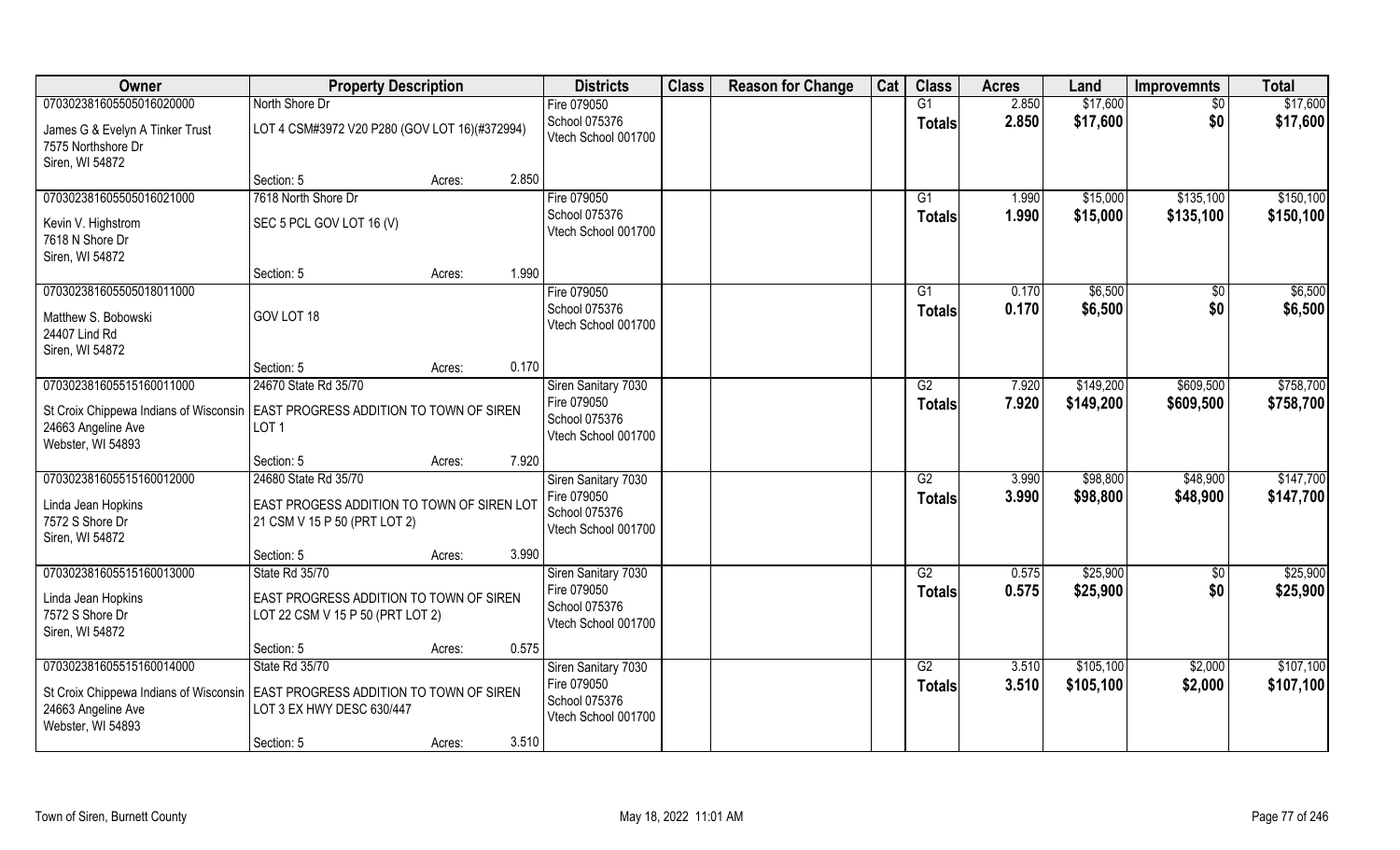| Owner                                                                                                                                                   | <b>Property Description</b>                                                                        |        |       | <b>Districts</b>                                                           | <b>Class</b> | <b>Reason for Change</b> | Cat | <b>Class</b>                     | <b>Acres</b>   | Land                   | <b>Improvemnts</b>     | <b>Total</b>           |
|---------------------------------------------------------------------------------------------------------------------------------------------------------|----------------------------------------------------------------------------------------------------|--------|-------|----------------------------------------------------------------------------|--------------|--------------------------|-----|----------------------------------|----------------|------------------------|------------------------|------------------------|
| 070302381605505016020000                                                                                                                                | North Shore Dr                                                                                     |        |       | Fire 079050                                                                |              |                          |     | G1                               | 2.850          | \$17,600               | $\sqrt{6}$             | \$17,600               |
| James G & Evelyn A Tinker Trust<br>7575 Northshore Dr<br>Siren, WI 54872                                                                                | LOT 4 CSM#3972 V20 P280 (GOV LOT 16)(#372994)                                                      |        |       | School 075376<br>Vtech School 001700                                       |              |                          |     | <b>Totals</b>                    | 2.850          | \$17,600               | \$0                    | \$17,600               |
|                                                                                                                                                         | Section: 5                                                                                         | Acres: | 2.850 |                                                                            |              |                          |     |                                  |                |                        |                        |                        |
| 070302381605505016021000<br>Kevin V. Highstrom<br>7618 N Shore Dr                                                                                       | 7618 North Shore Dr<br>SEC 5 PCL GOV LOT 16 (V)                                                    |        |       | Fire 079050<br>School 075376<br>Vtech School 001700                        |              |                          |     | G1<br>Totals                     | 1.990<br>1.990 | \$15,000<br>\$15,000   | \$135,100<br>\$135,100 | \$150,100<br>\$150,100 |
| Siren, WI 54872                                                                                                                                         | Section: 5                                                                                         | Acres: | 1.990 |                                                                            |              |                          |     |                                  |                |                        |                        |                        |
| 070302381605505018011000                                                                                                                                |                                                                                                    |        |       | Fire 079050                                                                |              |                          |     | G1                               | 0.170          | \$6,500                | \$0                    | \$6,500                |
| Matthew S. Bobowski<br>24407 Lind Rd<br>Siren, WI 54872                                                                                                 | GOV LOT 18                                                                                         |        |       | School 075376<br>Vtech School 001700                                       |              |                          |     | <b>Totals</b>                    | 0.170          | \$6,500                | \$0                    | \$6,500                |
|                                                                                                                                                         | Section: 5                                                                                         | Acres: | 0.170 |                                                                            |              |                          |     |                                  |                |                        |                        |                        |
| 070302381605515160011000                                                                                                                                | 24670 State Rd 35/70                                                                               |        |       | Siren Sanitary 7030                                                        |              |                          |     | G2                               | 7.920          | \$149,200              | \$609,500              | \$758,700              |
| St Croix Chippewa Indians of Wisconsin<br>24663 Angeline Ave<br>Webster, WI 54893                                                                       | <b>EAST PROGRESS ADDITION TO TOWN OF SIREN</b><br>LOT <sub>1</sub>                                 |        |       | Fire 079050<br>School 075376<br>Vtech School 001700                        |              |                          |     | <b>Totals</b>                    | 7.920          | \$149,200              | \$609,500              | \$758,700              |
|                                                                                                                                                         | Section: 5                                                                                         | Acres: | 7.920 |                                                                            |              |                          |     |                                  |                |                        |                        |                        |
| 070302381605515160012000<br>Linda Jean Hopkins<br>7572 S Shore Dr<br>Siren, WI 54872                                                                    | 24680 State Rd 35/70<br>EAST PROGESS ADDITION TO TOWN OF SIREN LOT<br>21 CSM V 15 P 50 (PRT LOT 2) |        |       | Siren Sanitary 7030<br>Fire 079050<br>School 075376<br>Vtech School 001700 |              |                          |     | $\overline{G2}$<br><b>Totals</b> | 3.990<br>3.990 | \$98,800<br>\$98,800   | \$48,900<br>\$48,900   | \$147,700<br>\$147,700 |
|                                                                                                                                                         | Section: 5                                                                                         | Acres: | 3.990 |                                                                            |              |                          |     |                                  |                |                        |                        |                        |
| 070302381605515160013000                                                                                                                                | State Rd 35/70                                                                                     |        |       | Siren Sanitary 7030                                                        |              |                          |     | G2                               | 0.575          | \$25,900               | \$0                    | \$25,900               |
| Linda Jean Hopkins<br>7572 S Shore Dr<br>Siren, WI 54872                                                                                                | EAST PROGRESS ADDITION TO TOWN OF SIREN<br>LOT 22 CSM V 15 P 50 (PRT LOT 2)                        |        |       | Fire 079050<br>School 075376<br>Vtech School 001700                        |              |                          |     | <b>Totals</b>                    | 0.575          | \$25,900               | \$0                    | \$25,900               |
|                                                                                                                                                         | Section: 5                                                                                         | Acres: | 0.575 |                                                                            |              |                          |     |                                  |                |                        |                        |                        |
| 070302381605515160014000<br>St Croix Chippewa Indians of Wisconsin   EAST PROGRESS ADDITION TO TOWN OF SIREN<br>24663 Angeline Ave<br>Webster, WI 54893 | State Rd 35/70<br>LOT 3 EX HWY DESC 630/447<br>Section: 5                                          | Acres: | 3.510 | Siren Sanitary 7030<br>Fire 079050<br>School 075376<br>Vtech School 001700 |              |                          |     | G2<br><b>Totals</b>              | 3.510<br>3.510 | \$105,100<br>\$105,100 | \$2,000<br>\$2,000     | \$107,100<br>\$107,100 |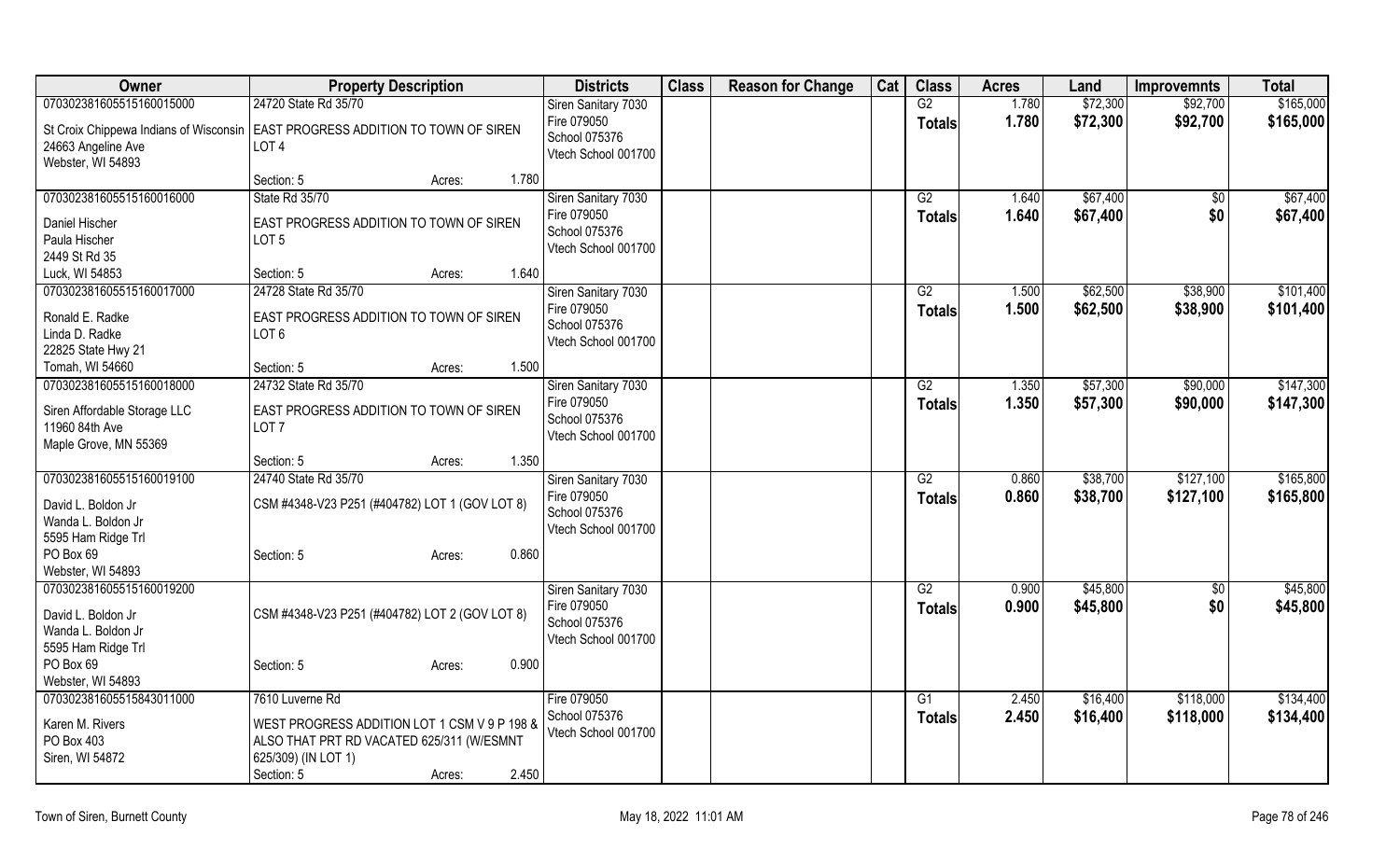| Owner                                  | <b>Property Description</b>                    | <b>Districts</b>    | <b>Class</b> | <b>Reason for Change</b> | Cat | <b>Class</b>    | <b>Acres</b> | Land     | <b>Improvemnts</b> | <b>Total</b> |
|----------------------------------------|------------------------------------------------|---------------------|--------------|--------------------------|-----|-----------------|--------------|----------|--------------------|--------------|
| 070302381605515160015000               | 24720 State Rd 35/70                           | Siren Sanitary 7030 |              |                          |     | G2              | 1.780        | \$72,300 | \$92,700           | \$165,000    |
| St Croix Chippewa Indians of Wisconsin | EAST PROGRESS ADDITION TO TOWN OF SIREN        | Fire 079050         |              |                          |     | <b>Totals</b>   | 1.780        | \$72,300 | \$92,700           | \$165,000    |
| 24663 Angeline Ave                     | LOT <sub>4</sub>                               | School 075376       |              |                          |     |                 |              |          |                    |              |
| Webster, WI 54893                      |                                                | Vtech School 001700 |              |                          |     |                 |              |          |                    |              |
|                                        | 1.780<br>Section: 5<br>Acres:                  |                     |              |                          |     |                 |              |          |                    |              |
| 070302381605515160016000               | State Rd 35/70                                 | Siren Sanitary 7030 |              |                          |     | G2              | 1.640        | \$67,400 | \$0                | \$67,400     |
| Daniel Hischer                         | EAST PROGRESS ADDITION TO TOWN OF SIREN        | Fire 079050         |              |                          |     | <b>Totals</b>   | 1.640        | \$67,400 | \$0                | \$67,400     |
| Paula Hischer                          | LOT <sub>5</sub>                               | School 075376       |              |                          |     |                 |              |          |                    |              |
| 2449 St Rd 35                          |                                                | Vtech School 001700 |              |                          |     |                 |              |          |                    |              |
| Luck, WI 54853                         | 1.640<br>Section: 5<br>Acres:                  |                     |              |                          |     |                 |              |          |                    |              |
| 070302381605515160017000               | 24728 State Rd 35/70                           | Siren Sanitary 7030 |              |                          |     | G2              | 1.500        | \$62,500 | \$38,900           | \$101,400    |
| Ronald E. Radke                        | EAST PROGRESS ADDITION TO TOWN OF SIREN        | Fire 079050         |              |                          |     | <b>Totals</b>   | 1.500        | \$62,500 | \$38,900           | \$101,400    |
| Linda D. Radke                         | LOT <sub>6</sub>                               | School 075376       |              |                          |     |                 |              |          |                    |              |
| 22825 State Hwy 21                     |                                                | Vtech School 001700 |              |                          |     |                 |              |          |                    |              |
| Tomah, WI 54660                        | 1.500<br>Section: 5<br>Acres:                  |                     |              |                          |     |                 |              |          |                    |              |
| 070302381605515160018000               | 24732 State Rd 35/70                           | Siren Sanitary 7030 |              |                          |     | G2              | 1.350        | \$57,300 | \$90,000           | \$147,300    |
| Siren Affordable Storage LLC           | EAST PROGRESS ADDITION TO TOWN OF SIREN        | Fire 079050         |              |                          |     | <b>Totals</b>   | 1.350        | \$57,300 | \$90,000           | \$147,300    |
| 11960 84th Ave                         | LOT <sub>7</sub>                               | School 075376       |              |                          |     |                 |              |          |                    |              |
| Maple Grove, MN 55369                  |                                                | Vtech School 001700 |              |                          |     |                 |              |          |                    |              |
|                                        | 1.350<br>Section: 5<br>Acres:                  |                     |              |                          |     |                 |              |          |                    |              |
| 070302381605515160019100               | 24740 State Rd 35/70                           | Siren Sanitary 7030 |              |                          |     | $\overline{G2}$ | 0.860        | \$38,700 | \$127,100          | \$165,800    |
| David L. Boldon Jr                     | CSM #4348-V23 P251 (#404782) LOT 1 (GOV LOT 8) | Fire 079050         |              |                          |     | Totals          | 0.860        | \$38,700 | \$127,100          | \$165,800    |
| Wanda L. Boldon Jr                     |                                                | School 075376       |              |                          |     |                 |              |          |                    |              |
| 5595 Ham Ridge Trl                     |                                                | Vtech School 001700 |              |                          |     |                 |              |          |                    |              |
| PO Box 69                              | 0.860<br>Section: 5<br>Acres:                  |                     |              |                          |     |                 |              |          |                    |              |
| Webster, WI 54893                      |                                                |                     |              |                          |     |                 |              |          |                    |              |
| 070302381605515160019200               |                                                | Siren Sanitary 7030 |              |                          |     | G2              | 0.900        | \$45,800 | \$0                | \$45,800     |
| David L. Boldon Jr                     | CSM #4348-V23 P251 (#404782) LOT 2 (GOV LOT 8) | Fire 079050         |              |                          |     | <b>Totals</b>   | 0.900        | \$45,800 | \$0                | \$45,800     |
| Wanda L. Boldon Jr                     |                                                | School 075376       |              |                          |     |                 |              |          |                    |              |
| 5595 Ham Ridge Trl                     |                                                | Vtech School 001700 |              |                          |     |                 |              |          |                    |              |
| PO Box 69                              | 0.900<br>Section: 5<br>Acres:                  |                     |              |                          |     |                 |              |          |                    |              |
| Webster, WI 54893                      |                                                |                     |              |                          |     |                 |              |          |                    |              |
| 070302381605515843011000               | 7610 Luverne Rd                                | Fire 079050         |              |                          |     | G1              | 2.450        | \$16,400 | \$118,000          | \$134,400    |
| Karen M. Rivers                        | WEST PROGRESS ADDITION LOT 1 CSM V 9 P 198 &   | School 075376       |              |                          |     | <b>Totals</b>   | 2.450        | \$16,400 | \$118,000          | \$134,400    |
| PO Box 403                             | ALSO THAT PRT RD VACATED 625/311 (W/ESMNT      | Vtech School 001700 |              |                          |     |                 |              |          |                    |              |
| Siren, WI 54872                        | 625/309) (IN LOT 1)                            |                     |              |                          |     |                 |              |          |                    |              |
|                                        | 2.450<br>Section: 5<br>Acres:                  |                     |              |                          |     |                 |              |          |                    |              |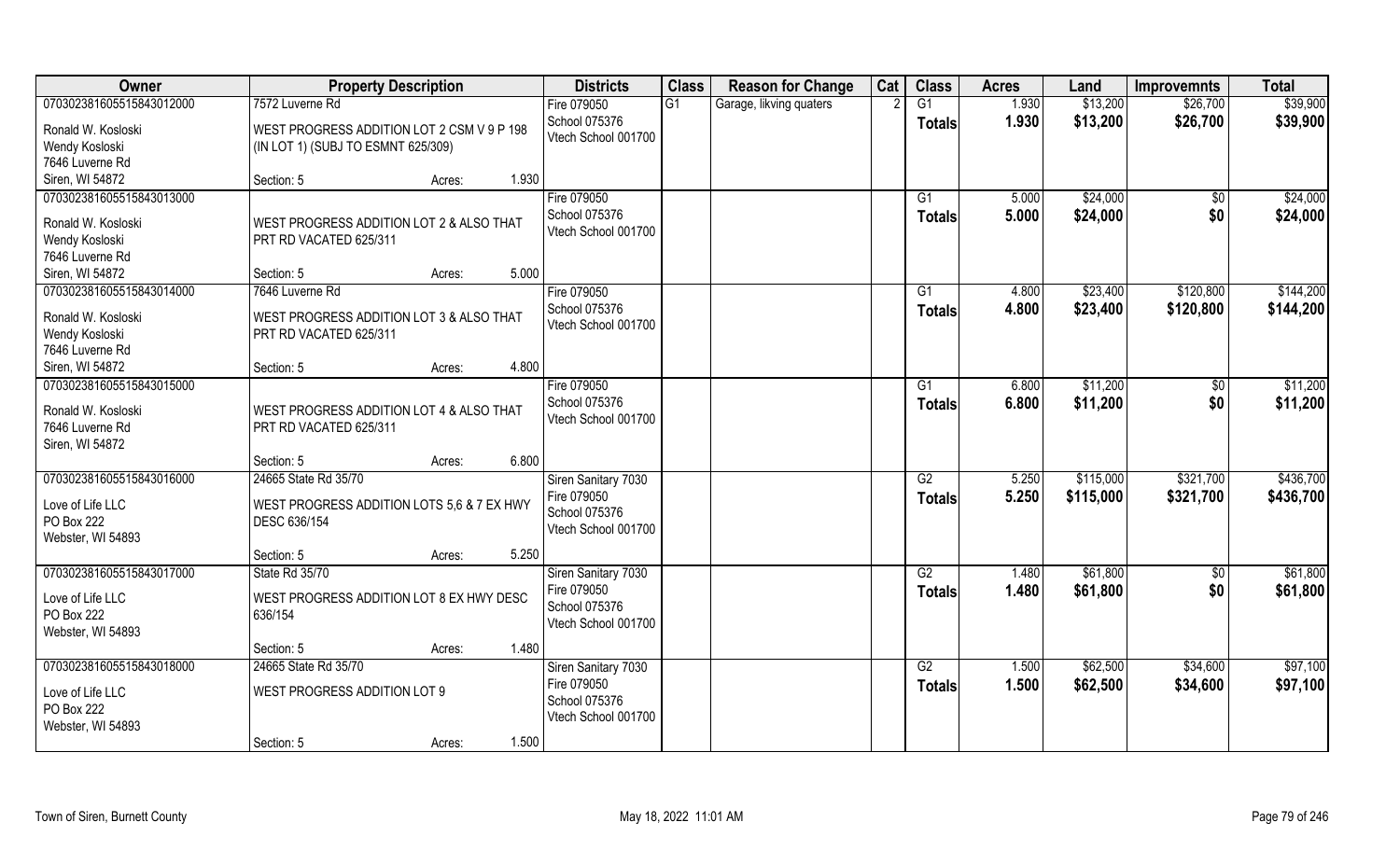| Owner                                                    | <b>Property Description</b>                                                      |        |       | <b>Districts</b>                                    | <b>Class</b> | <b>Reason for Change</b> | Cat | <b>Class</b>    | <b>Acres</b> | Land      | <b>Improvemnts</b> | <b>Total</b> |
|----------------------------------------------------------|----------------------------------------------------------------------------------|--------|-------|-----------------------------------------------------|--------------|--------------------------|-----|-----------------|--------------|-----------|--------------------|--------------|
| 070302381605515843012000                                 | 7572 Luverne Rd                                                                  |        |       | Fire 079050                                         | G1           | Garage, likving quaters  |     | G1              | 1.930        | \$13,200  | \$26,700           | \$39,900     |
| Ronald W. Kosloski<br>Wendy Kosloski<br>7646 Luverne Rd  | WEST PROGRESS ADDITION LOT 2 CSM V 9 P 198<br>(IN LOT 1) (SUBJ TO ESMNT 625/309) |        |       | School 075376<br>Vtech School 001700                |              |                          |     | <b>Totals</b>   | 1.930        | \$13,200  | \$26,700           | \$39,900     |
| Siren, WI 54872                                          | Section: 5                                                                       | Acres: | 1.930 |                                                     |              |                          |     |                 |              |           |                    |              |
| 070302381605515843013000                                 |                                                                                  |        |       | Fire 079050                                         |              |                          |     | G1              | 5.000        | \$24,000  | $\overline{50}$    | \$24,000     |
| Ronald W. Kosloski<br>Wendy Kosloski<br>7646 Luverne Rd  | WEST PROGRESS ADDITION LOT 2 & ALSO THAT<br>PRT RD VACATED 625/311               |        |       | School 075376<br>Vtech School 001700                |              |                          |     | <b>Totals</b>   | 5.000        | \$24,000  | \$0                | \$24,000     |
| Siren, WI 54872                                          | Section: 5                                                                       | Acres: | 5.000 |                                                     |              |                          |     |                 |              |           |                    |              |
| 070302381605515843014000                                 | 7646 Luverne Rd                                                                  |        |       | Fire 079050                                         |              |                          |     | G1              | 4.800        | \$23,400  | \$120,800          | \$144,200    |
| Ronald W. Kosloski<br>Wendy Kosloski<br>7646 Luverne Rd  | WEST PROGRESS ADDITION LOT 3 & ALSO THAT<br>PRT RD VACATED 625/311               |        |       | School 075376<br>Vtech School 001700                |              |                          |     | <b>Totals</b>   | 4.800        | \$23,400  | \$120,800          | \$144,200    |
| Siren, WI 54872                                          | Section: 5                                                                       | Acres: | 4.800 |                                                     |              |                          |     |                 |              |           |                    |              |
| 070302381605515843015000                                 |                                                                                  |        |       | Fire 079050                                         |              |                          |     | G1              | 6.800        | \$11,200  | \$0                | \$11,200     |
| Ronald W. Kosloski<br>7646 Luverne Rd<br>Siren, WI 54872 | WEST PROGRESS ADDITION LOT 4 & ALSO THAT<br>PRT RD VACATED 625/311               |        |       | School 075376<br>Vtech School 001700                |              |                          |     | <b>Totals</b>   | 6.800        | \$11,200  | \$0                | \$11,200     |
|                                                          | Section: 5                                                                       | Acres: | 6.800 |                                                     |              |                          |     |                 |              |           |                    |              |
| 070302381605515843016000                                 | 24665 State Rd 35/70                                                             |        |       | Siren Sanitary 7030                                 |              |                          |     | $\overline{G2}$ | 5.250        | \$115,000 | \$321,700          | \$436,700    |
| Love of Life LLC<br>PO Box 222<br>Webster, WI 54893      | WEST PROGRESS ADDITION LOTS 5,6 & 7 EX HWY<br>DESC 636/154                       |        |       | Fire 079050<br>School 075376<br>Vtech School 001700 |              |                          |     | <b>Totals</b>   | 5.250        | \$115,000 | \$321,700          | \$436,700    |
|                                                          | Section: 5                                                                       | Acres: | 5.250 |                                                     |              |                          |     |                 |              |           |                    |              |
| 070302381605515843017000                                 | State Rd 35/70                                                                   |        |       | Siren Sanitary 7030                                 |              |                          |     | G2              | 1.480        | \$61,800  | $\overline{50}$    | \$61,800     |
| Love of Life LLC<br>PO Box 222<br>Webster, WI 54893      | WEST PROGRESS ADDITION LOT 8 EX HWY DESC<br>636/154                              |        |       | Fire 079050<br>School 075376<br>Vtech School 001700 |              |                          |     | <b>Totals</b>   | 1.480        | \$61,800  | \$0                | \$61,800     |
|                                                          | Section: 5                                                                       | Acres: | 1.480 |                                                     |              |                          |     |                 |              |           |                    |              |
| 070302381605515843018000                                 | 24665 State Rd 35/70                                                             |        |       | Siren Sanitary 7030                                 |              |                          |     | G2              | 1.500        | \$62,500  | \$34,600           | \$97,100     |
| Love of Life LLC<br>PO Box 222<br>Webster, WI 54893      | WEST PROGRESS ADDITION LOT 9                                                     |        |       | Fire 079050<br>School 075376<br>Vtech School 001700 |              |                          |     | <b>Totals</b>   | 1.500        | \$62,500  | \$34,600           | \$97,100     |
|                                                          | Section: 5                                                                       | Acres: | 1.500 |                                                     |              |                          |     |                 |              |           |                    |              |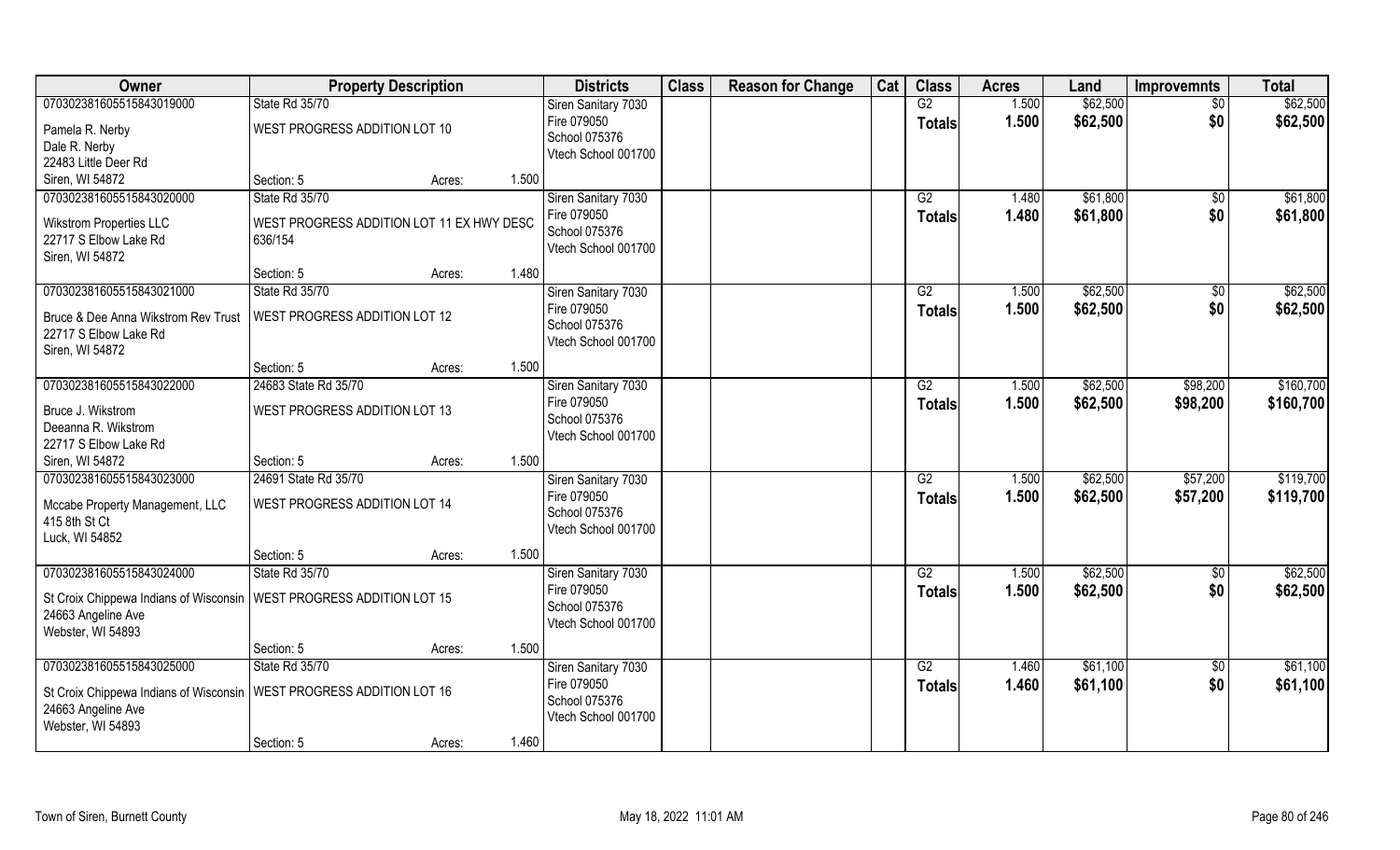| Owner                                                                  | <b>Property Description</b>               |        |       | <b>Districts</b>                     | <b>Class</b> | <b>Reason for Change</b> | Cat | <b>Class</b>    | <b>Acres</b> | Land     | <b>Improvemnts</b> | <b>Total</b> |
|------------------------------------------------------------------------|-------------------------------------------|--------|-------|--------------------------------------|--------------|--------------------------|-----|-----------------|--------------|----------|--------------------|--------------|
| 070302381605515843019000                                               | State Rd 35/70                            |        |       | Siren Sanitary 7030                  |              |                          |     | G2              | 1.500        | \$62,500 | $\sqrt{6}$         | \$62,500     |
| Pamela R. Nerby                                                        | WEST PROGRESS ADDITION LOT 10             |        |       | Fire 079050                          |              |                          |     | <b>Totals</b>   | 1.500        | \$62,500 | \$0                | \$62,500     |
| Dale R. Nerby                                                          |                                           |        |       | School 075376                        |              |                          |     |                 |              |          |                    |              |
| 22483 Little Deer Rd                                                   |                                           |        |       | Vtech School 001700                  |              |                          |     |                 |              |          |                    |              |
| Siren, WI 54872                                                        | Section: 5                                | Acres: | 1.500 |                                      |              |                          |     |                 |              |          |                    |              |
| 070302381605515843020000                                               | State Rd 35/70                            |        |       | Siren Sanitary 7030                  |              |                          |     | G2              | 1.480        | \$61,800 | $\sqrt{6}$         | \$61,800     |
| <b>Wikstrom Properties LLC</b>                                         | WEST PROGRESS ADDITION LOT 11 EX HWY DESC |        |       | Fire 079050                          |              |                          |     | Totals          | 1.480        | \$61,800 | \$0                | \$61,800     |
| 22717 S Elbow Lake Rd                                                  | 636/154                                   |        |       | School 075376                        |              |                          |     |                 |              |          |                    |              |
| Siren, WI 54872                                                        |                                           |        |       | Vtech School 001700                  |              |                          |     |                 |              |          |                    |              |
|                                                                        | Section: 5                                | Acres: | 1.480 |                                      |              |                          |     |                 |              |          |                    |              |
| 070302381605515843021000                                               | State Rd 35/70                            |        |       | Siren Sanitary 7030                  |              |                          |     | G2              | 1.500        | \$62,500 | \$0                | \$62,500     |
| Bruce & Dee Anna Wikstrom Rev Trust                                    | WEST PROGRESS ADDITION LOT 12             |        |       | Fire 079050                          |              |                          |     | <b>Totals</b>   | 1.500        | \$62,500 | \$0                | \$62,500     |
| 22717 S Elbow Lake Rd                                                  |                                           |        |       | School 075376                        |              |                          |     |                 |              |          |                    |              |
| Siren, WI 54872                                                        |                                           |        |       | Vtech School 001700                  |              |                          |     |                 |              |          |                    |              |
|                                                                        | Section: 5                                | Acres: | 1.500 |                                      |              |                          |     |                 |              |          |                    |              |
| 070302381605515843022000                                               | 24683 State Rd 35/70                      |        |       | Siren Sanitary 7030                  |              |                          |     | G2              | 1.500        | \$62,500 | \$98,200           | \$160,700    |
| Bruce J. Wikstrom                                                      | WEST PROGRESS ADDITION LOT 13             |        |       | Fire 079050                          |              |                          |     | <b>Totals</b>   | 1.500        | \$62,500 | \$98,200           | \$160,700    |
| Deeanna R. Wikstrom                                                    |                                           |        |       | School 075376                        |              |                          |     |                 |              |          |                    |              |
| 22717 S Elbow Lake Rd                                                  |                                           |        |       | Vtech School 001700                  |              |                          |     |                 |              |          |                    |              |
| Siren, WI 54872                                                        | Section: 5                                | Acres: | 1.500 |                                      |              |                          |     |                 |              |          |                    |              |
| 070302381605515843023000                                               | 24691 State Rd 35/70                      |        |       | Siren Sanitary 7030                  |              |                          |     | $\overline{G2}$ | 1.500        | \$62,500 | \$57,200           | \$119,700    |
|                                                                        |                                           |        |       | Fire 079050                          |              |                          |     | <b>Totals</b>   | 1.500        | \$62,500 | \$57,200           | \$119,700    |
| Mccabe Property Management, LLC                                        | WEST PROGRESS ADDITION LOT 14             |        |       | School 075376                        |              |                          |     |                 |              |          |                    |              |
| 415 8th St Ct                                                          |                                           |        |       | Vtech School 001700                  |              |                          |     |                 |              |          |                    |              |
| Luck, WI 54852                                                         | Section: 5                                | Acres: | 1.500 |                                      |              |                          |     |                 |              |          |                    |              |
| 070302381605515843024000                                               | State Rd 35/70                            |        |       | Siren Sanitary 7030                  |              |                          |     | G2              | 1.500        | \$62,500 | \$0                | \$62,500     |
|                                                                        |                                           |        |       | Fire 079050                          |              |                          |     | <b>Totals</b>   | 1.500        | \$62,500 | \$0                | \$62,500     |
| St Croix Chippewa Indians of Wisconsin                                 | WEST PROGRESS ADDITION LOT 15             |        |       | School 075376                        |              |                          |     |                 |              |          |                    |              |
| 24663 Angeline Ave                                                     |                                           |        |       | Vtech School 001700                  |              |                          |     |                 |              |          |                    |              |
| Webster, WI 54893                                                      |                                           |        |       |                                      |              |                          |     |                 |              |          |                    |              |
|                                                                        | Section: 5                                | Acres: | 1.500 |                                      |              |                          |     |                 |              |          |                    |              |
| 070302381605515843025000                                               | State Rd 35/70                            |        |       | Siren Sanitary 7030                  |              |                          |     | G2              | 1.460        | \$61,100 | $\overline{50}$    | \$61,100     |
| St Croix Chippewa Indians of Wisconsin   WEST PROGRESS ADDITION LOT 16 |                                           |        |       | Fire 079050                          |              |                          |     | <b>Totals</b>   | 1.460        | \$61,100 | \$0                | \$61,100     |
| 24663 Angeline Ave                                                     |                                           |        |       | School 075376<br>Vtech School 001700 |              |                          |     |                 |              |          |                    |              |
| Webster, WI 54893                                                      |                                           |        |       |                                      |              |                          |     |                 |              |          |                    |              |
|                                                                        | Section: 5                                | Acres: | 1.460 |                                      |              |                          |     |                 |              |          |                    |              |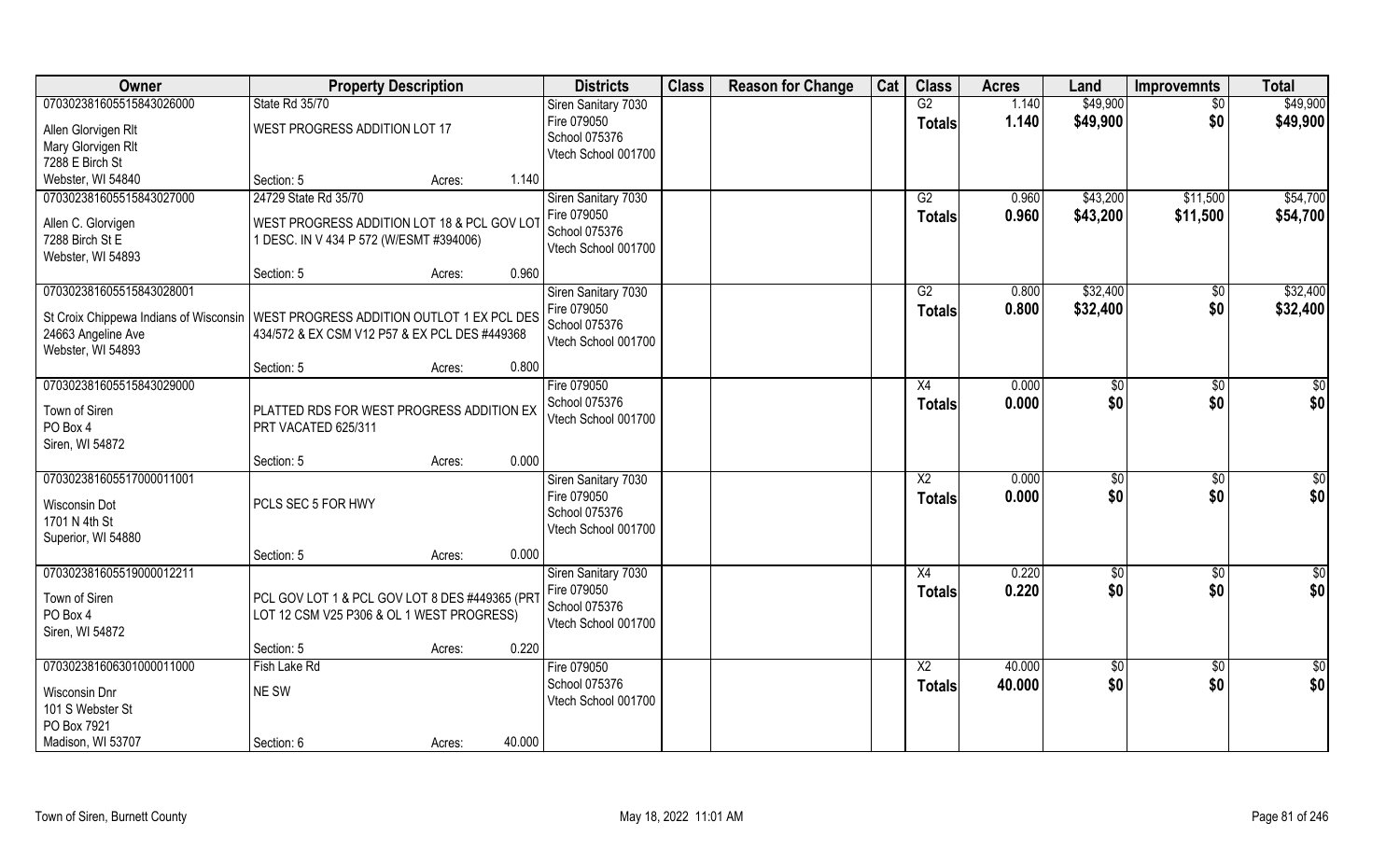| Owner                                  | <b>Property Description</b>                    |        |        | <b>Districts</b>    | <b>Class</b> | <b>Reason for Change</b> | Cat | <b>Class</b>           | <b>Acres</b> | Land       | <b>Improvemnts</b> | <b>Total</b>  |
|----------------------------------------|------------------------------------------------|--------|--------|---------------------|--------------|--------------------------|-----|------------------------|--------------|------------|--------------------|---------------|
| 070302381605515843026000               | State Rd 35/70                                 |        |        | Siren Sanitary 7030 |              |                          |     | G2                     | 1.140        | \$49,900   | \$0                | \$49,900      |
| Allen Glorvigen Rlt                    | WEST PROGRESS ADDITION LOT 17                  |        |        | Fire 079050         |              |                          |     | <b>Totals</b>          | 1.140        | \$49,900   | \$0                | \$49,900      |
| Mary Glorvigen Rlt                     |                                                |        |        | School 075376       |              |                          |     |                        |              |            |                    |               |
| 7288 E Birch St                        |                                                |        |        | Vtech School 001700 |              |                          |     |                        |              |            |                    |               |
| Webster, WI 54840                      | Section: 5                                     | Acres: | 1.140  |                     |              |                          |     |                        |              |            |                    |               |
| 070302381605515843027000               | 24729 State Rd 35/70                           |        |        | Siren Sanitary 7030 |              |                          |     | G2                     | 0.960        | \$43,200   | \$11,500           | \$54,700      |
| Allen C. Glorvigen                     | WEST PROGRESS ADDITION LOT 18 & PCL GOV LOT    |        |        | Fire 079050         |              |                          |     | <b>Totals</b>          | 0.960        | \$43,200   | \$11,500           | \$54,700      |
| 7288 Birch St E                        | 1 DESC. IN V 434 P 572 (W/ESMT #394006)        |        |        | School 075376       |              |                          |     |                        |              |            |                    |               |
| Webster, WI 54893                      |                                                |        |        | Vtech School 001700 |              |                          |     |                        |              |            |                    |               |
|                                        | Section: 5                                     | Acres: | 0.960  |                     |              |                          |     |                        |              |            |                    |               |
| 070302381605515843028001               |                                                |        |        | Siren Sanitary 7030 |              |                          |     | G2                     | 0.800        | \$32,400   | \$0                | \$32,400      |
| St Croix Chippewa Indians of Wisconsin | WEST PROGRESS ADDITION OUTLOT 1 EX PCL DES     |        |        | Fire 079050         |              |                          |     | <b>Totals</b>          | 0.800        | \$32,400   | \$0                | \$32,400      |
| 24663 Angeline Ave                     | 434/572 & EX CSM V12 P57 & EX PCL DES #449368  |        |        | School 075376       |              |                          |     |                        |              |            |                    |               |
| Webster, WI 54893                      |                                                |        |        | Vtech School 001700 |              |                          |     |                        |              |            |                    |               |
|                                        | Section: 5                                     | Acres: | 0.800  |                     |              |                          |     |                        |              |            |                    |               |
| 070302381605515843029000               |                                                |        |        | Fire 079050         |              |                          |     | X4                     | 0.000        | \$0        | $\sqrt[6]{}$       | \$0           |
| Town of Siren                          | PLATTED RDS FOR WEST PROGRESS ADDITION EX      |        |        | School 075376       |              |                          |     | <b>Totals</b>          | 0.000        | \$0        | \$0                | \$0           |
| PO Box 4                               | PRT VACATED 625/311                            |        |        | Vtech School 001700 |              |                          |     |                        |              |            |                    |               |
| Siren, WI 54872                        |                                                |        |        |                     |              |                          |     |                        |              |            |                    |               |
|                                        | Section: 5                                     | Acres: | 0.000  |                     |              |                          |     |                        |              |            |                    |               |
| 070302381605517000011001               |                                                |        |        | Siren Sanitary 7030 |              |                          |     | $\overline{\text{X2}}$ | 0.000        | \$0        | \$0                | \$0           |
| Wisconsin Dot                          | PCLS SEC 5 FOR HWY                             |        |        | Fire 079050         |              |                          |     | <b>Totals</b>          | 0.000        | \$0        | \$0                | \$0           |
| 1701 N 4th St                          |                                                |        |        | School 075376       |              |                          |     |                        |              |            |                    |               |
| Superior, WI 54880                     |                                                |        |        | Vtech School 001700 |              |                          |     |                        |              |            |                    |               |
|                                        | Section: 5                                     | Acres: | 0.000  |                     |              |                          |     |                        |              |            |                    |               |
| 070302381605519000012211               |                                                |        |        | Siren Sanitary 7030 |              |                          |     | X4                     | 0.220        | \$0        | \$0                | $\frac{1}{2}$ |
| Town of Siren                          | PCL GOV LOT 1 & PCL GOV LOT 8 DES #449365 (PRT |        |        | Fire 079050         |              |                          |     | <b>Totals</b>          | 0.220        | \$0        | \$0                | \$0           |
| PO Box 4                               | LOT 12 CSM V25 P306 & OL 1 WEST PROGRESS)      |        |        | School 075376       |              |                          |     |                        |              |            |                    |               |
| Siren, WI 54872                        |                                                |        |        | Vtech School 001700 |              |                          |     |                        |              |            |                    |               |
|                                        | Section: 5                                     | Acres: | 0.220  |                     |              |                          |     |                        |              |            |                    |               |
| 070302381606301000011000               | Fish Lake Rd                                   |        |        | Fire 079050         |              |                          |     | $\overline{X2}$        | 40.000       | $\sqrt{6}$ | $\overline{50}$    | $\frac{1}{2}$ |
| Wisconsin Dnr                          | NE SW                                          |        |        | School 075376       |              |                          |     | <b>Totals</b>          | 40.000       | \$0        | \$0                | \$0           |
| 101 S Webster St                       |                                                |        |        | Vtech School 001700 |              |                          |     |                        |              |            |                    |               |
| PO Box 7921                            |                                                |        |        |                     |              |                          |     |                        |              |            |                    |               |
| Madison, WI 53707                      | Section: 6                                     | Acres: | 40.000 |                     |              |                          |     |                        |              |            |                    |               |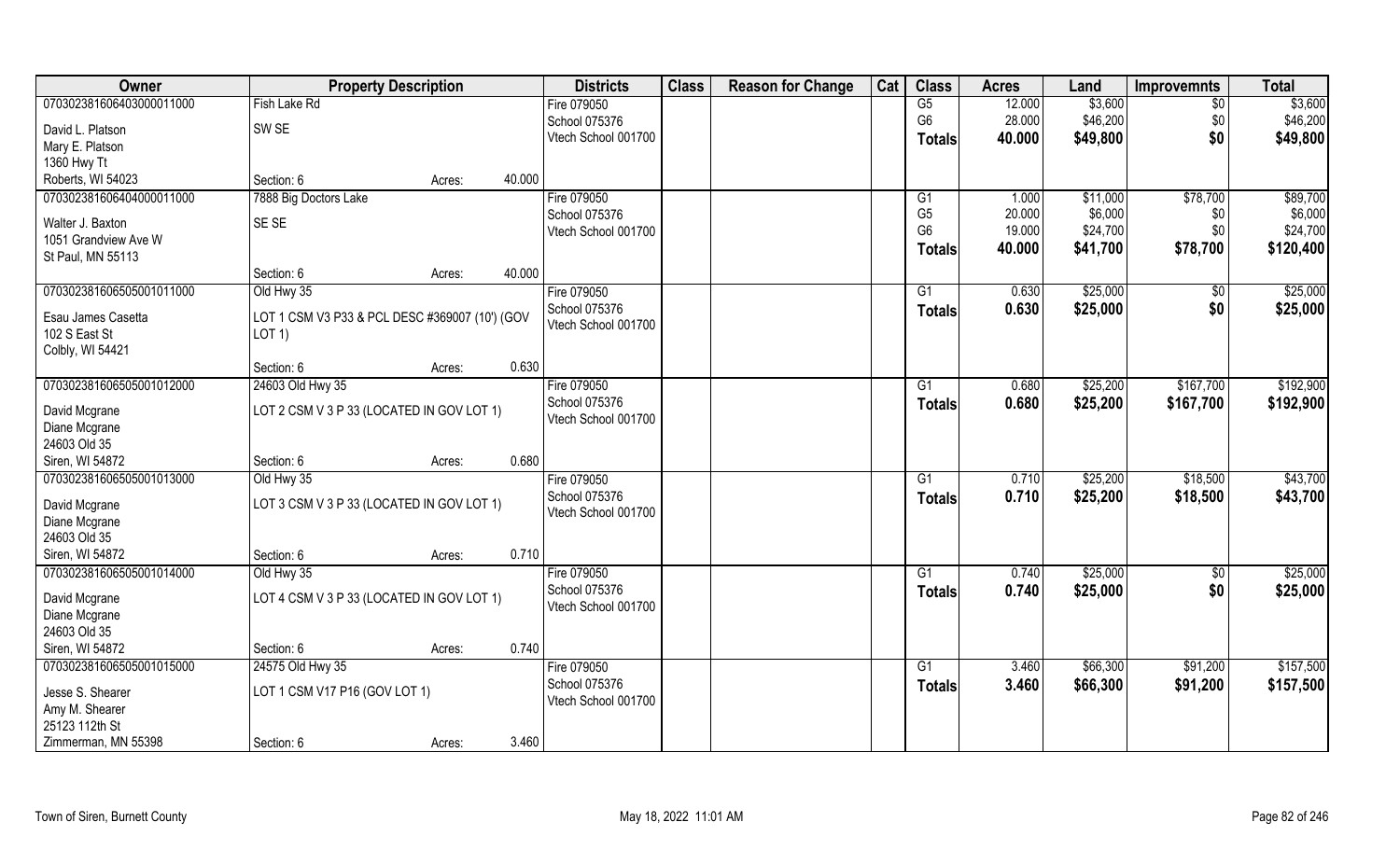| Owner                    | <b>Property Description</b>                    |        |        | <b>Districts</b>    | <b>Class</b> | <b>Reason for Change</b> | Cat | <b>Class</b>    | <b>Acres</b> | Land     | <b>Improvemnts</b> | <b>Total</b> |
|--------------------------|------------------------------------------------|--------|--------|---------------------|--------------|--------------------------|-----|-----------------|--------------|----------|--------------------|--------------|
| 070302381606403000011000 | Fish Lake Rd                                   |        |        | Fire 079050         |              |                          |     | G5              | 12.000       | \$3,600  | $\sqrt{6}$         | \$3,600      |
| David L. Platson         | SW SE                                          |        |        | School 075376       |              |                          |     | G <sub>6</sub>  | 28.000       | \$46,200 | \$0                | \$46,200     |
| Mary E. Platson          |                                                |        |        | Vtech School 001700 |              |                          |     | Totals          | 40.000       | \$49,800 | \$0                | \$49,800     |
| 1360 Hwy Tt              |                                                |        |        |                     |              |                          |     |                 |              |          |                    |              |
| Roberts, WI 54023        | Section: 6                                     | Acres: | 40.000 |                     |              |                          |     |                 |              |          |                    |              |
| 070302381606404000011000 | 7888 Big Doctors Lake                          |        |        | Fire 079050         |              |                          |     | G1              | 1.000        | \$11,000 | \$78,700           | \$89,700     |
|                          |                                                |        |        | School 075376       |              |                          |     | G <sub>5</sub>  | 20.000       | \$6,000  | \$0                | \$6,000      |
| Walter J. Baxton         | SE SE                                          |        |        | Vtech School 001700 |              |                          |     | G <sub>6</sub>  | 19.000       | \$24,700 | \$0                | \$24,700     |
| 1051 Grandview Ave W     |                                                |        |        |                     |              |                          |     | Totals          | 40.000       | \$41,700 | \$78,700           | \$120,400    |
| St Paul, MN 55113        |                                                |        |        |                     |              |                          |     |                 |              |          |                    |              |
|                          | Section: 6                                     | Acres: | 40.000 |                     |              |                          |     |                 |              |          |                    |              |
| 070302381606505001011000 | Old Hwy 35                                     |        |        | Fire 079050         |              |                          |     | G1              | 0.630        | \$25,000 | $\sqrt[6]{3}$      | \$25,000     |
| Esau James Casetta       | LOT 1 CSM V3 P33 & PCL DESC #369007 (10') (GOV |        |        | School 075376       |              |                          |     | <b>Totals</b>   | 0.630        | \$25,000 | \$0                | \$25,000     |
| 102 S East St            | LOT 1)                                         |        |        | Vtech School 001700 |              |                          |     |                 |              |          |                    |              |
| Colbly, WI 54421         |                                                |        |        |                     |              |                          |     |                 |              |          |                    |              |
|                          | Section: 6                                     | Acres: | 0.630  |                     |              |                          |     |                 |              |          |                    |              |
| 070302381606505001012000 | 24603 Old Hwy 35                               |        |        | Fire 079050         |              |                          |     | G1              | 0.680        | \$25,200 | \$167,700          | \$192,900    |
| David Mcgrane            | LOT 2 CSM V 3 P 33 (LOCATED IN GOV LOT 1)      |        |        | School 075376       |              |                          |     | <b>Totals</b>   | 0.680        | \$25,200 | \$167,700          | \$192,900    |
| Diane Mcgrane            |                                                |        |        | Vtech School 001700 |              |                          |     |                 |              |          |                    |              |
| 24603 Old 35             |                                                |        |        |                     |              |                          |     |                 |              |          |                    |              |
| Siren, WI 54872          | Section: 6                                     | Acres: | 0.680  |                     |              |                          |     |                 |              |          |                    |              |
| 070302381606505001013000 | Old Hwy 35                                     |        |        | Fire 079050         |              |                          |     | $\overline{G1}$ | 0.710        | \$25,200 | \$18,500           | \$43,700     |
|                          |                                                |        |        | School 075376       |              |                          |     | <b>Totals</b>   | 0.710        | \$25,200 | \$18,500           | \$43,700     |
| David Mcgrane            | LOT 3 CSM V 3 P 33 (LOCATED IN GOV LOT 1)      |        |        | Vtech School 001700 |              |                          |     |                 |              |          |                    |              |
| Diane Mcgrane            |                                                |        |        |                     |              |                          |     |                 |              |          |                    |              |
| 24603 Old 35             |                                                |        |        |                     |              |                          |     |                 |              |          |                    |              |
| Siren, WI 54872          | Section: 6                                     | Acres: | 0.710  |                     |              |                          |     |                 |              |          |                    |              |
| 070302381606505001014000 | Old Hwy 35                                     |        |        | Fire 079050         |              |                          |     | G1              | 0.740        | \$25,000 | $\sqrt{$0}$        | \$25,000     |
| David Mcgrane            | LOT 4 CSM V 3 P 33 (LOCATED IN GOV LOT 1)      |        |        | School 075376       |              |                          |     | <b>Totals</b>   | 0.740        | \$25,000 | \$0                | \$25,000     |
| Diane Mcgrane            |                                                |        |        | Vtech School 001700 |              |                          |     |                 |              |          |                    |              |
| 24603 Old 35             |                                                |        |        |                     |              |                          |     |                 |              |          |                    |              |
| Siren, WI 54872          | Section: 6                                     | Acres: | 0.740  |                     |              |                          |     |                 |              |          |                    |              |
| 070302381606505001015000 | 24575 Old Hwy 35                               |        |        | Fire 079050         |              |                          |     | $\overline{G1}$ | 3.460        | \$66,300 | \$91,200           | \$157,500    |
| Jesse S. Shearer         | LOT 1 CSM V17 P16 (GOV LOT 1)                  |        |        | School 075376       |              |                          |     | Totals          | 3.460        | \$66,300 | \$91,200           | \$157,500    |
| Amy M. Shearer           |                                                |        |        | Vtech School 001700 |              |                          |     |                 |              |          |                    |              |
| 25123 112th St           |                                                |        |        |                     |              |                          |     |                 |              |          |                    |              |
| Zimmerman, MN 55398      | Section: 6                                     | Acres: | 3.460  |                     |              |                          |     |                 |              |          |                    |              |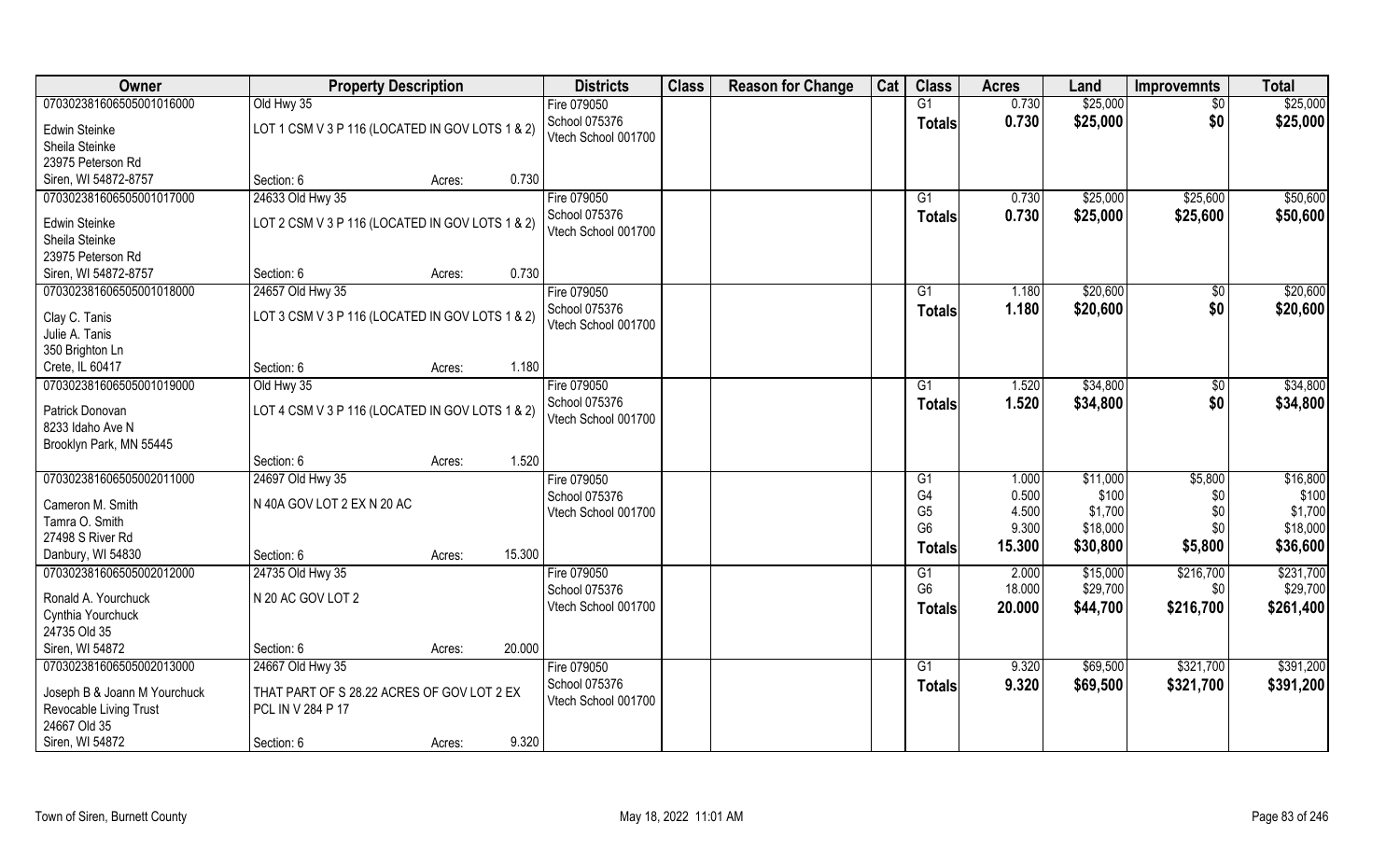| Owner                                            | <b>Property Description</b>                     |                  | <b>Districts</b>             | <b>Class</b> | <b>Reason for Change</b> | Cat | <b>Class</b>   | <b>Acres</b> | Land     | <b>Improvemnts</b> | <b>Total</b> |
|--------------------------------------------------|-------------------------------------------------|------------------|------------------------------|--------------|--------------------------|-----|----------------|--------------|----------|--------------------|--------------|
| 070302381606505001016000                         | Old Hwy 35                                      |                  | Fire 079050                  |              |                          |     | G1             | 0.730        | \$25,000 | $\sqrt{$0}$        | \$25,000     |
| <b>Edwin Steinke</b>                             | LOT 1 CSM V 3 P 116 (LOCATED IN GOV LOTS 1 & 2) |                  | School 075376                |              |                          |     | <b>Totals</b>  | 0.730        | \$25,000 | \$0                | \$25,000     |
| Sheila Steinke                                   |                                                 |                  | Vtech School 001700          |              |                          |     |                |              |          |                    |              |
| 23975 Peterson Rd                                |                                                 |                  |                              |              |                          |     |                |              |          |                    |              |
| Siren, WI 54872-8757                             | Section: 6                                      | 0.730<br>Acres:  |                              |              |                          |     |                |              |          |                    |              |
| 070302381606505001017000                         | 24633 Old Hwy 35                                |                  | Fire 079050                  |              |                          |     | G1             | 0.730        | \$25,000 | \$25,600           | \$50,600     |
|                                                  |                                                 |                  | School 075376                |              |                          |     | Totals         | 0.730        | \$25,000 | \$25,600           | \$50,600     |
| Edwin Steinke                                    | LOT 2 CSM V 3 P 116 (LOCATED IN GOV LOTS 1 & 2) |                  | Vtech School 001700          |              |                          |     |                |              |          |                    |              |
| Sheila Steinke                                   |                                                 |                  |                              |              |                          |     |                |              |          |                    |              |
| 23975 Peterson Rd                                | Section: 6                                      | 0.730            |                              |              |                          |     |                |              |          |                    |              |
| Siren, WI 54872-8757<br>070302381606505001018000 |                                                 | Acres:           |                              |              |                          |     | G1             |              | \$20,600 |                    | \$20,600     |
|                                                  | 24657 Old Hwy 35                                |                  | Fire 079050<br>School 075376 |              |                          |     |                | 1.180        |          | \$0                |              |
| Clay C. Tanis                                    | LOT 3 CSM V 3 P 116 (LOCATED IN GOV LOTS 1 & 2) |                  | Vtech School 001700          |              |                          |     | <b>Totals</b>  | 1.180        | \$20,600 | \$0                | \$20,600     |
| Julie A. Tanis                                   |                                                 |                  |                              |              |                          |     |                |              |          |                    |              |
| 350 Brighton Ln                                  |                                                 |                  |                              |              |                          |     |                |              |          |                    |              |
| Crete, IL 60417                                  | Section: 6                                      | 1.180<br>Acres:  |                              |              |                          |     |                |              |          |                    |              |
| 070302381606505001019000                         | Old Hwy 35                                      |                  | Fire 079050                  |              |                          |     | G1             | 1.520        | \$34,800 | \$0                | \$34,800     |
| Patrick Donovan                                  | LOT 4 CSM V 3 P 116 (LOCATED IN GOV LOTS 1 & 2) |                  | <b>School 075376</b>         |              |                          |     | <b>Totals</b>  | 1.520        | \$34,800 | \$0                | \$34,800     |
| 8233 Idaho Ave N                                 |                                                 |                  | Vtech School 001700          |              |                          |     |                |              |          |                    |              |
| Brooklyn Park, MN 55445                          |                                                 |                  |                              |              |                          |     |                |              |          |                    |              |
|                                                  | Section: 6                                      | 1.520<br>Acres:  |                              |              |                          |     |                |              |          |                    |              |
| 070302381606505002011000                         | 24697 Old Hwy 35                                |                  | Fire 079050                  |              |                          |     | G1             | 1.000        | \$11,000 | \$5,800            | \$16,800     |
|                                                  |                                                 |                  | School 075376                |              |                          |     | G <sub>4</sub> | 0.500        | \$100    | \$0                | \$100        |
| Cameron M. Smith                                 | N 40A GOV LOT 2 EX N 20 AC                      |                  | Vtech School 001700          |              |                          |     | G <sub>5</sub> | 4.500        | \$1,700  | \$0\$              | \$1,700      |
| Tamra O. Smith                                   |                                                 |                  |                              |              |                          |     | G <sub>6</sub> | 9.300        | \$18,000 | \$0                | \$18,000     |
| 27498 S River Rd                                 |                                                 |                  |                              |              |                          |     | <b>Totals</b>  | 15.300       | \$30,800 | \$5,800            | \$36,600     |
| Danbury, WI 54830                                | Section: 6                                      | 15.300<br>Acres: |                              |              |                          |     |                |              |          |                    |              |
| 070302381606505002012000                         | 24735 Old Hwy 35                                |                  | Fire 079050                  |              |                          |     | G1             | 2.000        | \$15,000 | \$216,700          | \$231,700    |
| Ronald A. Yourchuck                              | N 20 AC GOV LOT 2                               |                  | School 075376                |              |                          |     | G <sub>6</sub> | 18.000       | \$29,700 | \$0                | \$29,700     |
| Cynthia Yourchuck                                |                                                 |                  | Vtech School 001700          |              |                          |     | Totals         | 20.000       | \$44,700 | \$216,700          | \$261,400    |
| 24735 Old 35                                     |                                                 |                  |                              |              |                          |     |                |              |          |                    |              |
| Siren, WI 54872                                  | Section: 6                                      | 20.000<br>Acres: |                              |              |                          |     |                |              |          |                    |              |
| 070302381606505002013000                         | 24667 Old Hwy 35                                |                  | Fire 079050                  |              |                          |     | G1             | 9.320        | \$69,500 | \$321,700          | \$391,200    |
|                                                  |                                                 |                  | School 075376                |              |                          |     | <b>Totals</b>  | 9.320        | \$69,500 | \$321,700          | \$391,200    |
| Joseph B & Joann M Yourchuck                     | THAT PART OF S 28.22 ACRES OF GOV LOT 2 EX      |                  | Vtech School 001700          |              |                          |     |                |              |          |                    |              |
| Revocable Living Trust<br>24667 Old 35           | PCL IN V 284 P 17                               |                  |                              |              |                          |     |                |              |          |                    |              |
| Siren, WI 54872                                  |                                                 | 9.320            |                              |              |                          |     |                |              |          |                    |              |
|                                                  | Section: 6                                      | Acres:           |                              |              |                          |     |                |              |          |                    |              |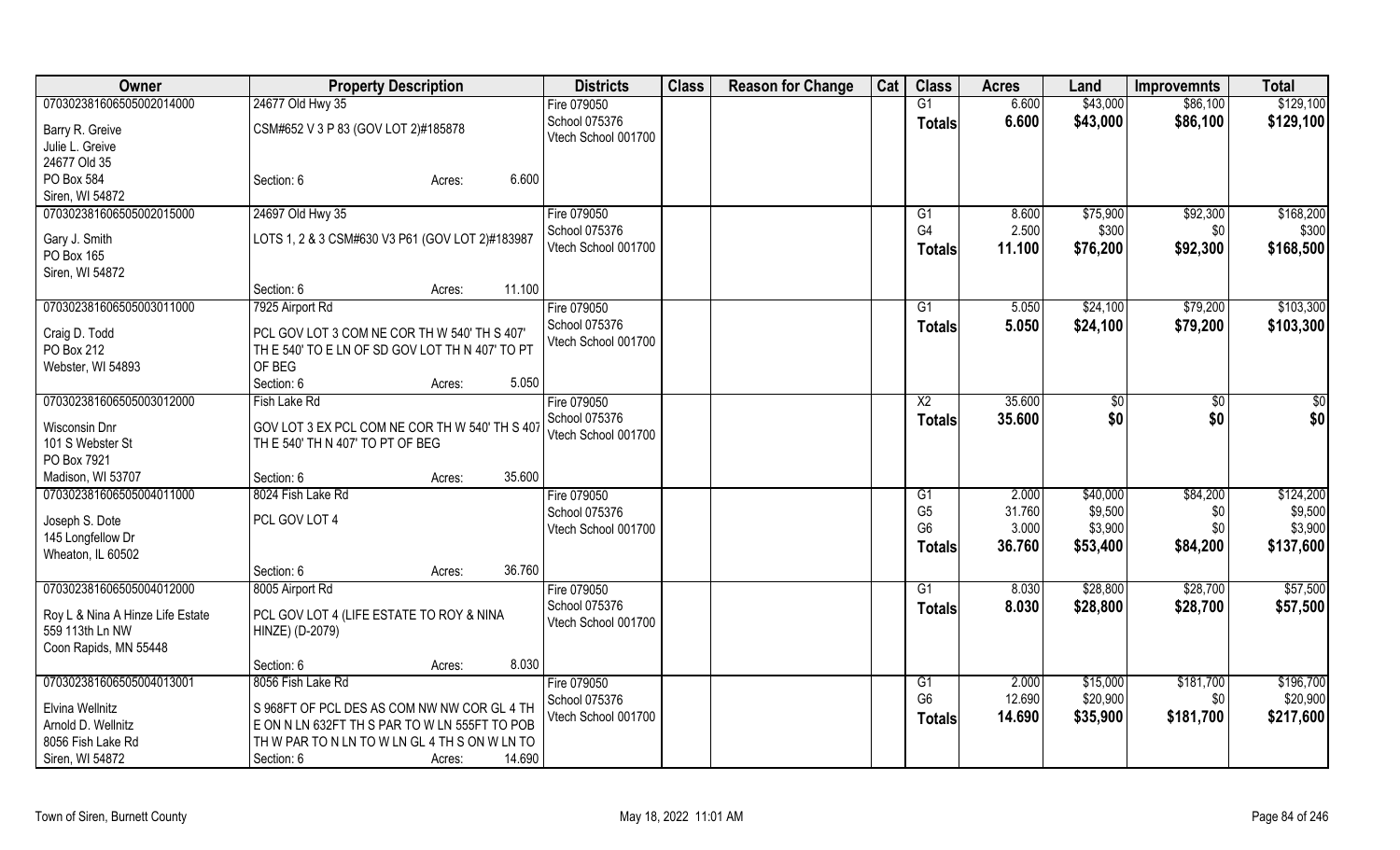| Owner                            | <b>Property Description</b>                     | <b>Districts</b>             | <b>Class</b> | <b>Reason for Change</b> | Cat | <b>Class</b>   | <b>Acres</b> | Land     | <b>Improvemnts</b> | <b>Total</b>   |
|----------------------------------|-------------------------------------------------|------------------------------|--------------|--------------------------|-----|----------------|--------------|----------|--------------------|----------------|
| 070302381606505002014000         | 24677 Old Hwy 35                                | Fire 079050                  |              |                          |     | G1             | 6.600        | \$43,000 | \$86,100           | \$129,100      |
| Barry R. Greive                  | CSM#652 V 3 P 83 (GOV LOT 2)#185878             | School 075376                |              |                          |     | <b>Totals</b>  | 6.600        | \$43,000 | \$86,100           | \$129,100      |
| Julie L. Greive                  |                                                 | Vtech School 001700          |              |                          |     |                |              |          |                    |                |
| 24677 Old 35                     |                                                 |                              |              |                          |     |                |              |          |                    |                |
| PO Box 584                       | 6.600<br>Section: 6<br>Acres:                   |                              |              |                          |     |                |              |          |                    |                |
| Siren, WI 54872                  |                                                 |                              |              |                          |     |                |              |          |                    |                |
| 070302381606505002015000         | 24697 Old Hwy 35                                | Fire 079050                  |              |                          |     | G1             | 8.600        | \$75,900 | \$92,300           | \$168,200      |
|                                  |                                                 | School 075376                |              |                          |     | G <sub>4</sub> | 2.500        | \$300    | \$0                | \$300          |
| Gary J. Smith<br>PO Box 165      | LOTS 1, 2 & 3 CSM#630 V3 P61 (GOV LOT 2)#183987 | Vtech School 001700          |              |                          |     | <b>Totals</b>  | 11.100       | \$76,200 | \$92,300           | \$168,500      |
| Siren, WI 54872                  |                                                 |                              |              |                          |     |                |              |          |                    |                |
|                                  | 11.100<br>Section: 6<br>Acres:                  |                              |              |                          |     |                |              |          |                    |                |
| 070302381606505003011000         | 7925 Airport Rd                                 | Fire 079050                  |              |                          |     | G1             | 5.050        | \$24,100 | \$79,200           | \$103,300      |
|                                  |                                                 | School 075376                |              |                          |     |                | 5.050        | \$24,100 | \$79,200           | \$103,300      |
| Craig D. Todd                    | PCL GOV LOT 3 COM NE COR TH W 540' TH S 407'    | Vtech School 001700          |              |                          |     | <b>Totals</b>  |              |          |                    |                |
| PO Box 212                       | TH E 540' TO E LN OF SD GOV LOT TH N 407' TO PT |                              |              |                          |     |                |              |          |                    |                |
| Webster, WI 54893                | OF BEG                                          |                              |              |                          |     |                |              |          |                    |                |
|                                  | 5.050<br>Section: 6<br>Acres:                   |                              |              |                          |     |                |              |          |                    |                |
| 070302381606505003012000         | Fish Lake Rd                                    | Fire 079050                  |              |                          |     | X <sub>2</sub> | 35.600       | \$0      | $\sqrt[6]{30}$     | $\frac{6}{30}$ |
| Wisconsin Dnr                    | GOV LOT 3 EX PCL COM NE COR TH W 540' TH S 407  | School 075376                |              |                          |     | <b>Totals</b>  | 35.600       | \$0      | \$0                | \$0            |
| 101 S Webster St                 | TH E 540' TH N 407' TO PT OF BEG                | Vtech School 001700          |              |                          |     |                |              |          |                    |                |
| PO Box 7921                      |                                                 |                              |              |                          |     |                |              |          |                    |                |
| Madison, WI 53707                | 35.600<br>Section: 6<br>Acres:                  |                              |              |                          |     |                |              |          |                    |                |
| 070302381606505004011000         | 8024 Fish Lake Rd                               | Fire 079050                  |              |                          |     | G1             | 2.000        | \$40,000 | \$84,200           | \$124,200      |
|                                  |                                                 | School 075376                |              |                          |     | G <sub>5</sub> | 31.760       | \$9,500  | \$0                | \$9,500        |
| Joseph S. Dote                   | PCL GOV LOT 4                                   | Vtech School 001700          |              |                          |     | G <sub>6</sub> | 3.000        | \$3,900  | \$0                | \$3,900        |
| 145 Longfellow Dr                |                                                 |                              |              |                          |     | <b>Totals</b>  | 36.760       | \$53,400 | \$84,200           | \$137,600      |
| Wheaton, IL 60502                | 36.760                                          |                              |              |                          |     |                |              |          |                    |                |
| 070302381606505004012000         | Section: 6<br>Acres:                            |                              |              |                          |     | G1             |              | \$28,800 |                    | \$57,500       |
|                                  | 8005 Airport Rd                                 | Fire 079050<br>School 075376 |              |                          |     |                | 8.030        |          | \$28,700           |                |
| Roy L & Nina A Hinze Life Estate | PCL GOV LOT 4 (LIFE ESTATE TO ROY & NINA        | Vtech School 001700          |              |                          |     | <b>Totals</b>  | 8.030        | \$28,800 | \$28,700           | \$57,500       |
| 559 113th Ln NW                  | HINZE) (D-2079)                                 |                              |              |                          |     |                |              |          |                    |                |
| Coon Rapids, MN 55448            |                                                 |                              |              |                          |     |                |              |          |                    |                |
|                                  | 8.030<br>Section: 6<br>Acres:                   |                              |              |                          |     |                |              |          |                    |                |
| 070302381606505004013001         | 8056 Fish Lake Rd                               | Fire 079050                  |              |                          |     | G1             | 2.000        | \$15,000 | \$181,700          | \$196,700      |
| Elvina Wellnitz                  | S 968FT OF PCL DES AS COM NW NW COR GL 4 TH     | School 075376                |              |                          |     | G <sub>6</sub> | 12.690       | \$20,900 | \$0                | \$20,900       |
| Arnold D. Wellnitz               | E ON N LN 632FT TH S PAR TO W LN 555FT TO POB   | Vtech School 001700          |              |                          |     | <b>Totals</b>  | 14.690       | \$35,900 | \$181,700          | \$217,600      |
| 8056 Fish Lake Rd                | TH W PAR TO N LN TO W LN GL 4 TH S ON W LN TO   |                              |              |                          |     |                |              |          |                    |                |
| Siren, WI 54872                  | 14.690<br>Section: 6<br>Acres:                  |                              |              |                          |     |                |              |          |                    |                |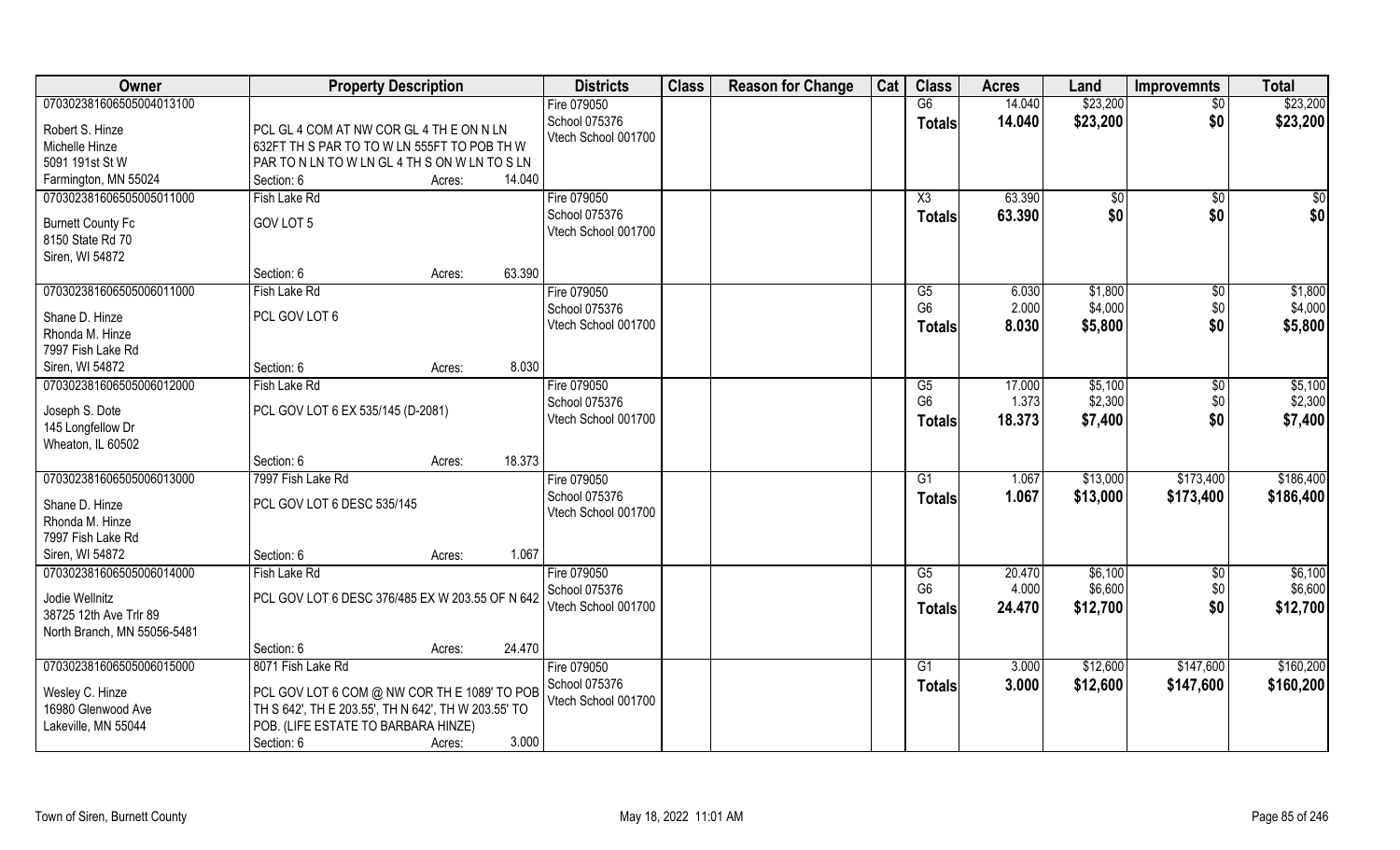| Owner                       | <b>Property Description</b>                                                                         |                  | <b>Districts</b>    | <b>Class</b> | <b>Reason for Change</b> | Cat | <b>Class</b>   | <b>Acres</b> | Land     | <b>Improvemnts</b> | <b>Total</b> |
|-----------------------------|-----------------------------------------------------------------------------------------------------|------------------|---------------------|--------------|--------------------------|-----|----------------|--------------|----------|--------------------|--------------|
| 070302381606505004013100    |                                                                                                     |                  | Fire 079050         |              |                          |     | G6             | 14.040       | \$23,200 | $\overline{50}$    | \$23,200     |
| Robert S. Hinze             | PCL GL 4 COM AT NW COR GL 4 TH E ON N LN                                                            |                  | School 075376       |              |                          |     | <b>Totals</b>  | 14.040       | \$23,200 | \$0                | \$23,200     |
| Michelle Hinze              | 632FT TH S PAR TO TO W LN 555FT TO POB TH W                                                         |                  | Vtech School 001700 |              |                          |     |                |              |          |                    |              |
| 5091 191st St W             | PAR TO N LN TO W LN GL 4 TH S ON W LN TO S LN                                                       |                  |                     |              |                          |     |                |              |          |                    |              |
| Farmington, MN 55024        | Section: 6                                                                                          | 14.040<br>Acres: |                     |              |                          |     |                |              |          |                    |              |
| 070302381606505005011000    | Fish Lake Rd                                                                                        |                  | Fire 079050         |              |                          |     | X3             | 63.390       | \$0      | \$0                | \$0          |
|                             |                                                                                                     |                  | School 075376       |              |                          |     |                | 63.390       | \$0      | \$0                | \$0          |
| <b>Burnett County Fc</b>    | GOV LOT 5                                                                                           |                  | Vtech School 001700 |              |                          |     | <b>Totals</b>  |              |          |                    |              |
| 8150 State Rd 70            |                                                                                                     |                  |                     |              |                          |     |                |              |          |                    |              |
| Siren, WI 54872             |                                                                                                     |                  |                     |              |                          |     |                |              |          |                    |              |
|                             | Section: 6                                                                                          | 63.390<br>Acres: |                     |              |                          |     |                |              |          |                    |              |
| 070302381606505006011000    | Fish Lake Rd                                                                                        |                  | Fire 079050         |              |                          |     | G5             | 6.030        | \$1,800  | $\sqrt[6]{3}$      | \$1,800      |
| Shane D. Hinze              | PCL GOV LOT 6                                                                                       |                  | School 075376       |              |                          |     | G <sub>6</sub> | 2.000        | \$4,000  | \$0                | \$4,000      |
| Rhonda M. Hinze             |                                                                                                     |                  | Vtech School 001700 |              |                          |     | <b>Totals</b>  | 8.030        | \$5,800  | \$0                | \$5,800      |
| 7997 Fish Lake Rd           |                                                                                                     |                  |                     |              |                          |     |                |              |          |                    |              |
| Siren, WI 54872             | Section: 6                                                                                          | 8.030<br>Acres:  |                     |              |                          |     |                |              |          |                    |              |
| 070302381606505006012000    | Fish Lake Rd                                                                                        |                  | Fire 079050         |              |                          |     | G5             | 17.000       | \$5,100  |                    | \$5,100      |
|                             |                                                                                                     |                  | School 075376       |              |                          |     | G <sub>6</sub> | 1.373        | \$2,300  | \$0<br>\$0         | \$2,300      |
| Joseph S. Dote              | PCL GOV LOT 6 EX 535/145 (D-2081)                                                                   |                  | Vtech School 001700 |              |                          |     |                |              |          | \$0                |              |
| 145 Longfellow Dr           |                                                                                                     |                  |                     |              |                          |     | <b>Totals</b>  | 18.373       | \$7,400  |                    | \$7,400      |
| Wheaton, IL 60502           |                                                                                                     |                  |                     |              |                          |     |                |              |          |                    |              |
|                             | Section: 6                                                                                          | 18.373<br>Acres: |                     |              |                          |     |                |              |          |                    |              |
| 070302381606505006013000    | 7997 Fish Lake Rd                                                                                   |                  | Fire 079050         |              |                          |     | G1             | 1.067        | \$13,000 | \$173,400          | \$186,400    |
| Shane D. Hinze              | PCL GOV LOT 6 DESC 535/145                                                                          |                  | School 075376       |              |                          |     | <b>Totals</b>  | 1.067        | \$13,000 | \$173,400          | \$186,400    |
| Rhonda M. Hinze             |                                                                                                     |                  | Vtech School 001700 |              |                          |     |                |              |          |                    |              |
| 7997 Fish Lake Rd           |                                                                                                     |                  |                     |              |                          |     |                |              |          |                    |              |
| Siren, WI 54872             | Section: 6                                                                                          | 1.067<br>Acres:  |                     |              |                          |     |                |              |          |                    |              |
| 070302381606505006014000    | Fish Lake Rd                                                                                        |                  | Fire 079050         |              |                          |     | G5             | 20.470       | \$6,100  |                    | \$6,100      |
|                             |                                                                                                     |                  | School 075376       |              |                          |     | G <sub>6</sub> | 4.000        | \$6,600  | \$0<br>\$0         | \$6,600      |
| Jodie Wellnitz              | PCL GOV LOT 6 DESC 376/485 EX W 203.55 OF N 642                                                     |                  | Vtech School 001700 |              |                          |     |                |              | \$12,700 | \$0                |              |
| 38725 12th Ave Trlr 89      |                                                                                                     |                  |                     |              |                          |     | Totals         | 24.470       |          |                    | \$12,700     |
| North Branch, MN 55056-5481 |                                                                                                     |                  |                     |              |                          |     |                |              |          |                    |              |
|                             | Section: 6                                                                                          | 24.470<br>Acres: |                     |              |                          |     |                |              |          |                    |              |
| 070302381606505006015000    | 8071 Fish Lake Rd                                                                                   |                  | Fire 079050         |              |                          |     | G1             | 3.000        | \$12,600 | \$147,600          | \$160,200    |
| Wesley C. Hinze             |                                                                                                     |                  | School 075376       |              |                          |     | <b>Totals</b>  | 3.000        | \$12,600 | \$147,600          | \$160,200    |
| 16980 Glenwood Ave          | PCL GOV LOT 6 COM @ NW COR TH E 1089' TO POB<br>TH S 642', TH E 203.55', TH N 642', TH W 203.55' TO |                  | Vtech School 001700 |              |                          |     |                |              |          |                    |              |
| Lakeville, MN 55044         | POB. (LIFE ESTATE TO BARBARA HINZE)                                                                 |                  |                     |              |                          |     |                |              |          |                    |              |
|                             | Section: 6                                                                                          | 3.000            |                     |              |                          |     |                |              |          |                    |              |
|                             |                                                                                                     | Acres:           |                     |              |                          |     |                |              |          |                    |              |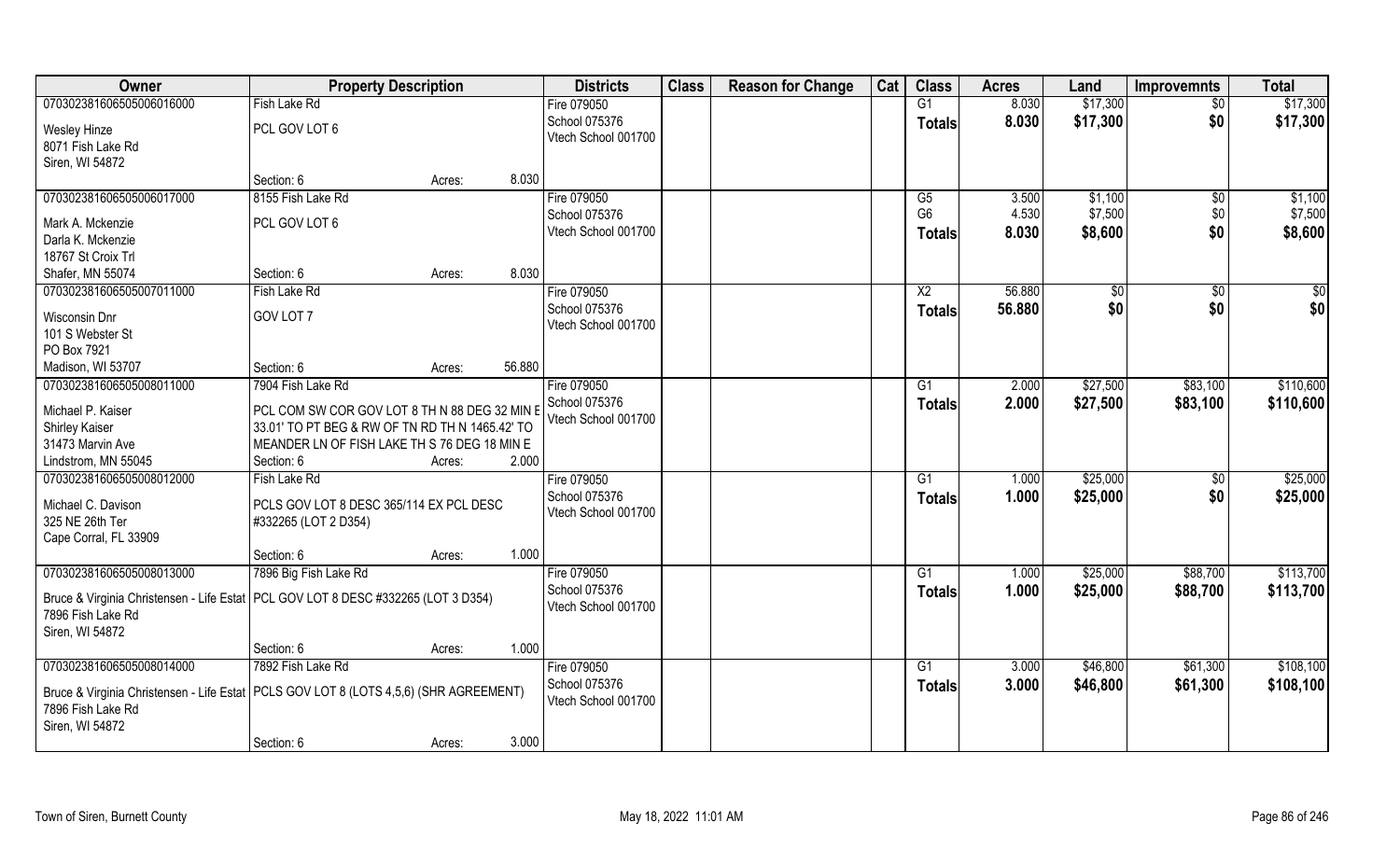| Owner                                                                                                        | <b>Property Description</b>                                                                      |        |        | <b>Districts</b>    | <b>Class</b> | <b>Reason for Change</b> | Cat | <b>Class</b>    | <b>Acres</b> | Land     | <b>Improvemnts</b> | <b>Total</b> |
|--------------------------------------------------------------------------------------------------------------|--------------------------------------------------------------------------------------------------|--------|--------|---------------------|--------------|--------------------------|-----|-----------------|--------------|----------|--------------------|--------------|
| 070302381606505006016000                                                                                     | Fish Lake Rd                                                                                     |        |        | Fire 079050         |              |                          |     | G1              | 8.030        | \$17,300 | \$0                | \$17,300     |
| <b>Wesley Hinze</b>                                                                                          | PCL GOV LOT 6                                                                                    |        |        | School 075376       |              |                          |     | <b>Totals</b>   | 8.030        | \$17,300 | \$0                | \$17,300     |
| 8071 Fish Lake Rd                                                                                            |                                                                                                  |        |        | Vtech School 001700 |              |                          |     |                 |              |          |                    |              |
| Siren, WI 54872                                                                                              |                                                                                                  |        |        |                     |              |                          |     |                 |              |          |                    |              |
|                                                                                                              | Section: 6                                                                                       | Acres: | 8.030  |                     |              |                          |     |                 |              |          |                    |              |
| 070302381606505006017000                                                                                     | 8155 Fish Lake Rd                                                                                |        |        | Fire 079050         |              |                          |     | G5              | 3.500        | \$1,100  | $\sqrt[6]{}$       | \$1,100      |
| Mark A. Mckenzie                                                                                             | PCL GOV LOT 6                                                                                    |        |        | School 075376       |              |                          |     | G <sub>6</sub>  | 4.530        | \$7,500  | \$0                | \$7,500      |
| Darla K. Mckenzie                                                                                            |                                                                                                  |        |        | Vtech School 001700 |              |                          |     | Totals          | 8.030        | \$8,600  | \$0                | \$8,600      |
| 18767 St Croix Trl                                                                                           |                                                                                                  |        |        |                     |              |                          |     |                 |              |          |                    |              |
| Shafer, MN 55074                                                                                             | Section: 6                                                                                       | Acres: | 8.030  |                     |              |                          |     |                 |              |          |                    |              |
| 070302381606505007011000                                                                                     | Fish Lake Rd                                                                                     |        |        | Fire 079050         |              |                          |     | $\overline{X2}$ | 56.880       | \$0      | $\sqrt[6]{}$       | \$0          |
| Wisconsin Dnr                                                                                                | GOV LOT 7                                                                                        |        |        | School 075376       |              |                          |     | <b>Totals</b>   | 56.880       | \$0      | \$0                | \$0          |
| 101 S Webster St                                                                                             |                                                                                                  |        |        | Vtech School 001700 |              |                          |     |                 |              |          |                    |              |
| PO Box 7921                                                                                                  |                                                                                                  |        |        |                     |              |                          |     |                 |              |          |                    |              |
| Madison, WI 53707                                                                                            | Section: 6                                                                                       | Acres: | 56.880 |                     |              |                          |     |                 |              |          |                    |              |
| 070302381606505008011000                                                                                     | 7904 Fish Lake Rd                                                                                |        |        | Fire 079050         |              |                          |     | G1              | 2.000        | \$27,500 | \$83,100           | \$110,600    |
|                                                                                                              |                                                                                                  |        |        | School 075376       |              |                          |     | <b>Totals</b>   | 2.000        | \$27,500 | \$83,100           | \$110,600    |
| Michael P. Kaiser<br>Shirley Kaiser                                                                          | PCL COM SW COR GOV LOT 8 TH N 88 DEG 32 MIN E<br>33.01' TO PT BEG & RW OF TN RD TH N 1465.42' TO |        |        | Vtech School 001700 |              |                          |     |                 |              |          |                    |              |
| 31473 Marvin Ave                                                                                             | MEANDER LN OF FISH LAKE TH S 76 DEG 18 MIN E                                                     |        |        |                     |              |                          |     |                 |              |          |                    |              |
| Lindstrom, MN 55045                                                                                          | Section: 6                                                                                       | Acres: | 2.000  |                     |              |                          |     |                 |              |          |                    |              |
| 070302381606505008012000                                                                                     | Fish Lake Rd                                                                                     |        |        | Fire 079050         |              |                          |     | G1              | 1.000        | \$25,000 | \$0                | \$25,000     |
|                                                                                                              |                                                                                                  |        |        | School 075376       |              |                          |     |                 | 1.000        | \$25,000 | \$0                | \$25,000     |
| Michael C. Davison                                                                                           | PCLS GOV LOT 8 DESC 365/114 EX PCL DESC                                                          |        |        | Vtech School 001700 |              |                          |     | <b>Totals</b>   |              |          |                    |              |
| 325 NE 26th Ter                                                                                              | #332265 (LOT 2 D354)                                                                             |        |        |                     |              |                          |     |                 |              |          |                    |              |
| Cape Corral, FL 33909                                                                                        |                                                                                                  |        |        |                     |              |                          |     |                 |              |          |                    |              |
|                                                                                                              | Section: 6                                                                                       | Acres: | 1.000  |                     |              |                          |     |                 |              |          |                    |              |
| 070302381606505008013000                                                                                     | 7896 Big Fish Lake Rd                                                                            |        |        | Fire 079050         |              |                          |     | G1              | 1.000        | \$25,000 | \$88,700           | \$113,700    |
| Bruce & Virginia Christensen - Life Estat   PCL GOV LOT 8 DESC #332265 (LOT 3 D354)                          |                                                                                                  |        |        | School 075376       |              |                          |     | <b>Totals</b>   | 1.000        | \$25,000 | \$88,700           | \$113,700    |
| 7896 Fish Lake Rd                                                                                            |                                                                                                  |        |        | Vtech School 001700 |              |                          |     |                 |              |          |                    |              |
| Siren, WI 54872                                                                                              |                                                                                                  |        |        |                     |              |                          |     |                 |              |          |                    |              |
|                                                                                                              | Section: 6                                                                                       | Acres: | 1.000  |                     |              |                          |     |                 |              |          |                    |              |
| 070302381606505008014000                                                                                     | 7892 Fish Lake Rd                                                                                |        |        | Fire 079050         |              |                          |     | $\overline{G1}$ | 3.000        | \$46,800 | \$61,300           | \$108,100    |
|                                                                                                              |                                                                                                  |        |        | School 075376       |              |                          |     | <b>Totals</b>   | 3.000        | \$46,800 | \$61,300           | \$108,100    |
| Bruce & Virginia Christensen - Life Estat   PCLS GOV LOT 8 (LOTS 4,5,6) (SHR AGREEMENT)<br>7896 Fish Lake Rd |                                                                                                  |        |        | Vtech School 001700 |              |                          |     |                 |              |          |                    |              |
| Siren, WI 54872                                                                                              |                                                                                                  |        |        |                     |              |                          |     |                 |              |          |                    |              |
|                                                                                                              | Section: 6                                                                                       | Acres: | 3.000  |                     |              |                          |     |                 |              |          |                    |              |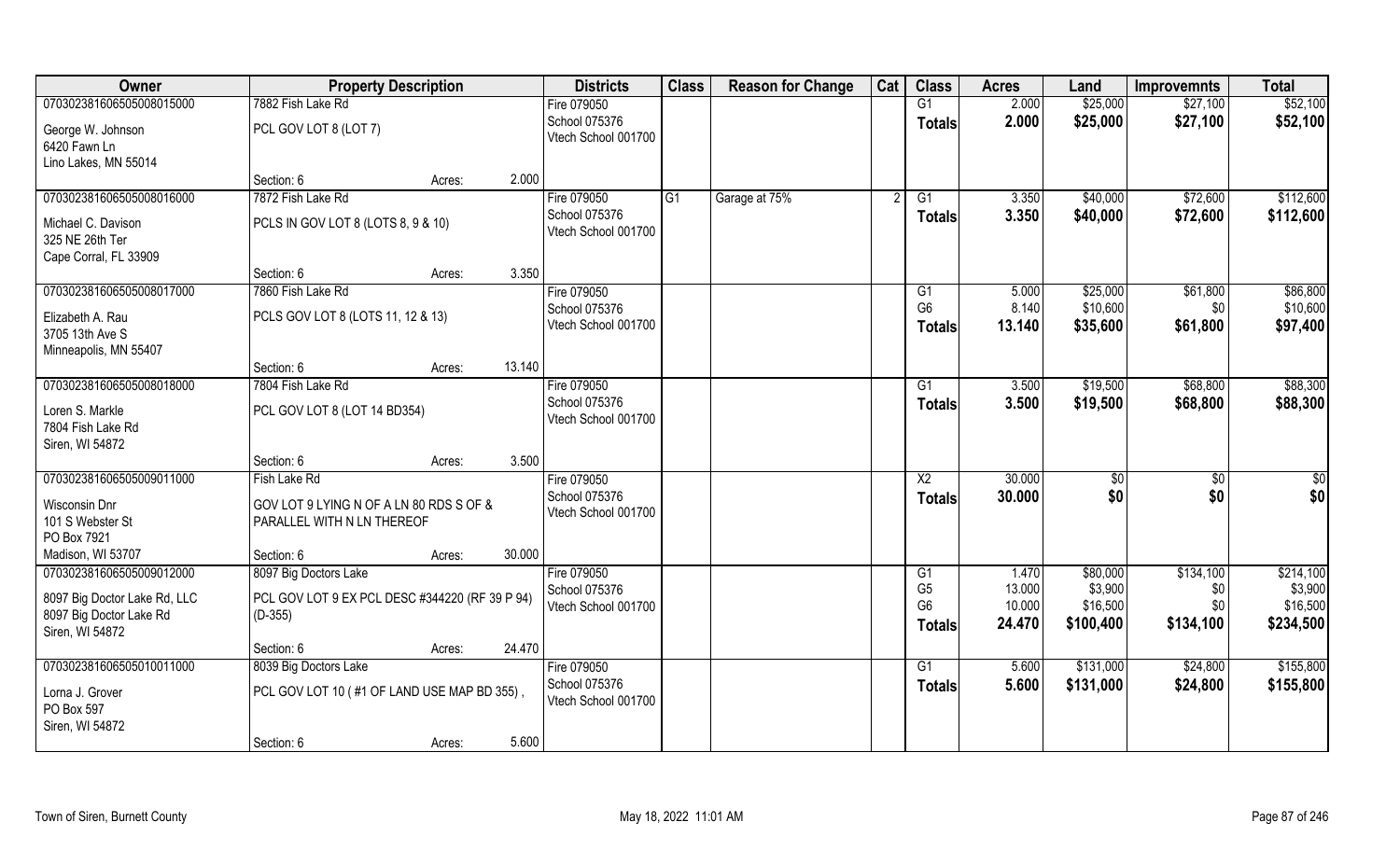| Owner                        | <b>Property Description</b>                    |        |        | <b>Districts</b>                     | <b>Class</b> | <b>Reason for Change</b> | Cat | <b>Class</b>           | <b>Acres</b>    | Land                | <b>Improvemnts</b> | <b>Total</b>         |
|------------------------------|------------------------------------------------|--------|--------|--------------------------------------|--------------|--------------------------|-----|------------------------|-----------------|---------------------|--------------------|----------------------|
| 070302381606505008015000     | 7882 Fish Lake Rd                              |        |        | Fire 079050                          |              |                          |     | G1                     | 2.000           | \$25,000            | \$27,100           | \$52,100             |
| George W. Johnson            | PCL GOV LOT 8 (LOT 7)                          |        |        | School 075376                        |              |                          |     | <b>Totals</b>          | 2.000           | \$25,000            | \$27,100           | \$52,100             |
| 6420 Fawn Ln                 |                                                |        |        | Vtech School 001700                  |              |                          |     |                        |                 |                     |                    |                      |
| Lino Lakes, MN 55014         |                                                |        |        |                                      |              |                          |     |                        |                 |                     |                    |                      |
|                              | Section: 6                                     | Acres: | 2.000  |                                      |              |                          |     |                        |                 |                     |                    |                      |
| 070302381606505008016000     | 7872 Fish Lake Rd                              |        |        | Fire 079050                          | G1           | Garage at 75%            |     | G1                     | 3.350           | \$40,000            | \$72,600           | \$112,600            |
| Michael C. Davison           | PCLS IN GOV LOT 8 (LOTS 8, 9 & 10)             |        |        | School 075376                        |              |                          |     | Totals                 | 3.350           | \$40,000            | \$72,600           | \$112,600            |
| 325 NE 26th Ter              |                                                |        |        | Vtech School 001700                  |              |                          |     |                        |                 |                     |                    |                      |
| Cape Corral, FL 33909        |                                                |        |        |                                      |              |                          |     |                        |                 |                     |                    |                      |
|                              | Section: 6                                     | Acres: | 3.350  |                                      |              |                          |     |                        |                 |                     |                    |                      |
| 070302381606505008017000     | 7860 Fish Lake Rd                              |        |        | Fire 079050                          |              |                          |     | G1                     | 5.000           | \$25,000            | \$61,800           | \$86,800             |
| Elizabeth A. Rau             | PCLS GOV LOT 8 (LOTS 11, 12 & 13)              |        |        | School 075376<br>Vtech School 001700 |              |                          |     | G <sub>6</sub>         | 8.140           | \$10,600            | \$0                | \$10,600             |
| 3705 13th Ave S              |                                                |        |        |                                      |              |                          |     | <b>Totals</b>          | 13.140          | \$35,600            | \$61,800           | \$97,400             |
| Minneapolis, MN 55407        |                                                |        |        |                                      |              |                          |     |                        |                 |                     |                    |                      |
|                              | Section: 6                                     | Acres: | 13.140 |                                      |              |                          |     |                        |                 |                     |                    |                      |
| 070302381606505008018000     | 7804 Fish Lake Rd                              |        |        | Fire 079050                          |              |                          |     | G1                     | 3.500           | \$19,500            | \$68,800           | \$88,300             |
| Loren S. Markle              | PCL GOV LOT 8 (LOT 14 BD354)                   |        |        | School 075376<br>Vtech School 001700 |              |                          |     | <b>Totals</b>          | 3.500           | \$19,500            | \$68,800           | \$88,300             |
| 7804 Fish Lake Rd            |                                                |        |        |                                      |              |                          |     |                        |                 |                     |                    |                      |
| Siren, WI 54872              |                                                |        |        |                                      |              |                          |     |                        |                 |                     |                    |                      |
|                              | Section: 6                                     | Acres: | 3.500  |                                      |              |                          |     |                        |                 |                     |                    |                      |
| 070302381606505009011000     | Fish Lake Rd                                   |        |        | Fire 079050                          |              |                          |     | $\overline{\text{X2}}$ | 30.000          | \$0                 | \$0                | \$0                  |
| Wisconsin Dnr                | GOV LOT 9 LYING N OF A LN 80 RDS S OF &        |        |        | School 075376<br>Vtech School 001700 |              |                          |     | <b>Totals</b>          | 30.000          | \$0                 | \$0                | \$0                  |
| 101 S Webster St             | PARALLEL WITH N LN THEREOF                     |        |        |                                      |              |                          |     |                        |                 |                     |                    |                      |
| PO Box 7921                  |                                                |        |        |                                      |              |                          |     |                        |                 |                     |                    |                      |
| Madison, WI 53707            | Section: 6                                     | Acres: | 30.000 |                                      |              |                          |     |                        |                 |                     |                    |                      |
| 070302381606505009012000     | 8097 Big Doctors Lake                          |        |        | Fire 079050<br>School 075376         |              |                          |     | G1<br>G <sub>5</sub>   | 1.470<br>13.000 | \$80,000<br>\$3,900 | \$134,100<br>\$0   | \$214,100<br>\$3,900 |
| 8097 Big Doctor Lake Rd, LLC | PCL GOV LOT 9 EX PCL DESC #344220 (RF 39 P 94) |        |        | Vtech School 001700                  |              |                          |     | G <sub>6</sub>         | 10.000          | \$16,500            | \$0                | \$16,500             |
| 8097 Big Doctor Lake Rd      | $(D-355)$                                      |        |        |                                      |              |                          |     | <b>Totals</b>          | 24.470          | \$100,400           | \$134,100          | \$234,500            |
| Siren, WI 54872              |                                                |        |        |                                      |              |                          |     |                        |                 |                     |                    |                      |
| 070302381606505010011000     | Section: 6<br>8039 Big Doctors Lake            | Acres: | 24.470 | Fire 079050                          |              |                          |     | $\overline{G1}$        | 5.600           | \$131,000           | \$24,800           | \$155,800            |
|                              |                                                |        |        | School 075376                        |              |                          |     | <b>Totals</b>          | 5.600           | \$131,000           | \$24,800           | \$155,800            |
| Lorna J. Grover              | PCL GOV LOT 10 (#1 OF LAND USE MAP BD 355),    |        |        | Vtech School 001700                  |              |                          |     |                        |                 |                     |                    |                      |
| PO Box 597                   |                                                |        |        |                                      |              |                          |     |                        |                 |                     |                    |                      |
| Siren, WI 54872              |                                                |        |        |                                      |              |                          |     |                        |                 |                     |                    |                      |
|                              | Section: 6                                     | Acres: | 5.600  |                                      |              |                          |     |                        |                 |                     |                    |                      |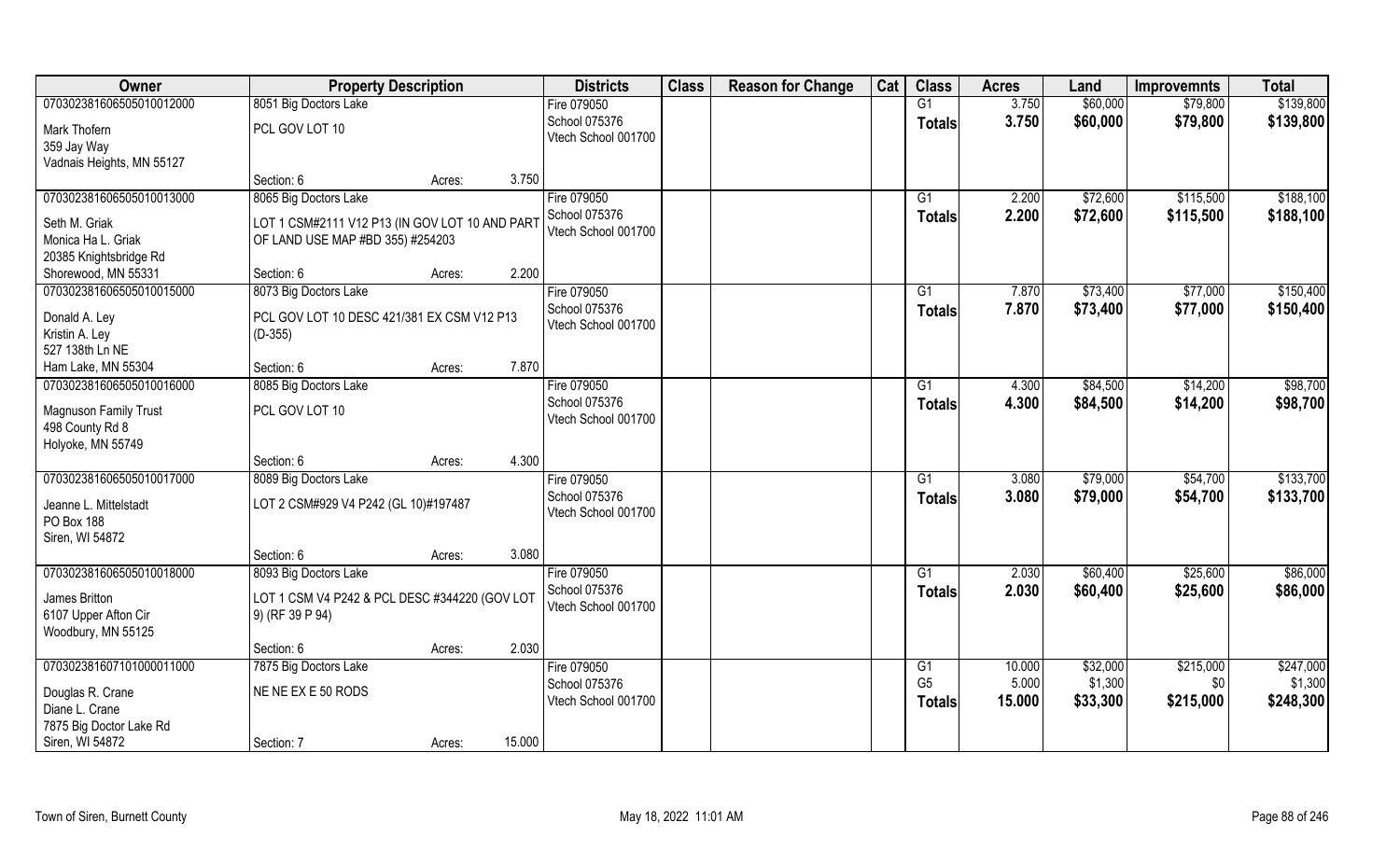| Owner                               | <b>Property Description</b>                    |        |        | <b>Districts</b>    | <b>Class</b> | <b>Reason for Change</b> | Cat | <b>Class</b>    | <b>Acres</b> | Land     | <b>Improvemnts</b> | <b>Total</b> |
|-------------------------------------|------------------------------------------------|--------|--------|---------------------|--------------|--------------------------|-----|-----------------|--------------|----------|--------------------|--------------|
| 070302381606505010012000            | 8051 Big Doctors Lake                          |        |        | Fire 079050         |              |                          |     | G1              | 3.750        | \$60,000 | \$79,800           | \$139,800    |
| Mark Thofern                        | PCL GOV LOT 10                                 |        |        | School 075376       |              |                          |     | <b>Totals</b>   | 3.750        | \$60,000 | \$79,800           | \$139,800    |
| 359 Jay Way                         |                                                |        |        | Vtech School 001700 |              |                          |     |                 |              |          |                    |              |
| Vadnais Heights, MN 55127           |                                                |        |        |                     |              |                          |     |                 |              |          |                    |              |
|                                     | Section: 6                                     | Acres: | 3.750  |                     |              |                          |     |                 |              |          |                    |              |
| 070302381606505010013000            | 8065 Big Doctors Lake                          |        |        | Fire 079050         |              |                          |     | G <sub>1</sub>  | 2.200        | \$72,600 | \$115,500          | \$188,100    |
| Seth M. Griak                       | LOT 1 CSM#2111 V12 P13 (IN GOV LOT 10 AND PART |        |        | School 075376       |              |                          |     | <b>Totals</b>   | 2.200        | \$72,600 | \$115,500          | \$188,100    |
| Monica Ha L. Griak                  | OF LAND USE MAP #BD 355) #254203               |        |        | Vtech School 001700 |              |                          |     |                 |              |          |                    |              |
| 20385 Knightsbridge Rd              |                                                |        |        |                     |              |                          |     |                 |              |          |                    |              |
| Shorewood, MN 55331                 | Section: 6                                     | Acres: | 2.200  |                     |              |                          |     |                 |              |          |                    |              |
| 070302381606505010015000            | 8073 Big Doctors Lake                          |        |        | Fire 079050         |              |                          |     | G1              | 7.870        | \$73,400 | \$77,000           | \$150,400    |
| Donald A. Ley                       | PCL GOV LOT 10 DESC 421/381 EX CSM V12 P13     |        |        | School 075376       |              |                          |     | <b>Totals</b>   | 7.870        | \$73,400 | \$77,000           | \$150,400    |
| Kristin A. Ley                      | $(D-355)$                                      |        |        | Vtech School 001700 |              |                          |     |                 |              |          |                    |              |
| 527 138th Ln NE                     |                                                |        |        |                     |              |                          |     |                 |              |          |                    |              |
| Ham Lake, MN 55304                  | Section: 6                                     | Acres: | 7.870  |                     |              |                          |     |                 |              |          |                    |              |
| 070302381606505010016000            | 8085 Big Doctors Lake                          |        |        | Fire 079050         |              |                          |     | G1              | 4.300        | \$84,500 | \$14,200           | \$98,700     |
| Magnuson Family Trust               | PCL GOV LOT 10                                 |        |        | School 075376       |              |                          |     | <b>Totals</b>   | 4.300        | \$84,500 | \$14,200           | \$98,700     |
| 498 County Rd 8                     |                                                |        |        | Vtech School 001700 |              |                          |     |                 |              |          |                    |              |
| Holyoke, MN 55749                   |                                                |        |        |                     |              |                          |     |                 |              |          |                    |              |
|                                     | Section: 6                                     | Acres: | 4.300  |                     |              |                          |     |                 |              |          |                    |              |
| 070302381606505010017000            | 8089 Big Doctors Lake                          |        |        | Fire 079050         |              |                          |     | G1              | 3.080        | \$79,000 | \$54,700           | \$133,700    |
|                                     |                                                |        |        | School 075376       |              |                          |     | <b>Totals</b>   | 3.080        | \$79,000 | \$54,700           | \$133,700    |
| Jeanne L. Mittelstadt<br>PO Box 188 | LOT 2 CSM#929 V4 P242 (GL 10)#197487           |        |        | Vtech School 001700 |              |                          |     |                 |              |          |                    |              |
| Siren, WI 54872                     |                                                |        |        |                     |              |                          |     |                 |              |          |                    |              |
|                                     | Section: 6                                     | Acres: | 3.080  |                     |              |                          |     |                 |              |          |                    |              |
| 070302381606505010018000            | 8093 Big Doctors Lake                          |        |        | Fire 079050         |              |                          |     | $\overline{G1}$ | 2.030        | \$60,400 | \$25,600           | \$86,000     |
|                                     |                                                |        |        | School 075376       |              |                          |     | <b>Totals</b>   | 2.030        | \$60,400 | \$25,600           | \$86,000     |
| James Britton                       | LOT 1 CSM V4 P242 & PCL DESC #344220 (GOV LOT  |        |        | Vtech School 001700 |              |                          |     |                 |              |          |                    |              |
| 6107 Upper Afton Cir                | 9) (RF 39 P 94)                                |        |        |                     |              |                          |     |                 |              |          |                    |              |
| Woodbury, MN 55125                  | Section: 6                                     | Acres: | 2.030  |                     |              |                          |     |                 |              |          |                    |              |
| 070302381607101000011000            | 7875 Big Doctors Lake                          |        |        | Fire 079050         |              |                          |     | G1              | 10.000       | \$32,000 | \$215,000          | \$247,000    |
|                                     |                                                |        |        | School 075376       |              |                          |     | G <sub>5</sub>  | 5.000        | \$1,300  | \$0                | \$1,300      |
| Douglas R. Crane                    | NE NE EX E 50 RODS                             |        |        | Vtech School 001700 |              |                          |     | <b>Totals</b>   | 15.000       | \$33,300 | \$215,000          | \$248,300    |
| Diane L. Crane                      |                                                |        |        |                     |              |                          |     |                 |              |          |                    |              |
| 7875 Big Doctor Lake Rd             |                                                |        | 15.000 |                     |              |                          |     |                 |              |          |                    |              |
| Siren, WI 54872                     | Section: 7                                     | Acres: |        |                     |              |                          |     |                 |              |          |                    |              |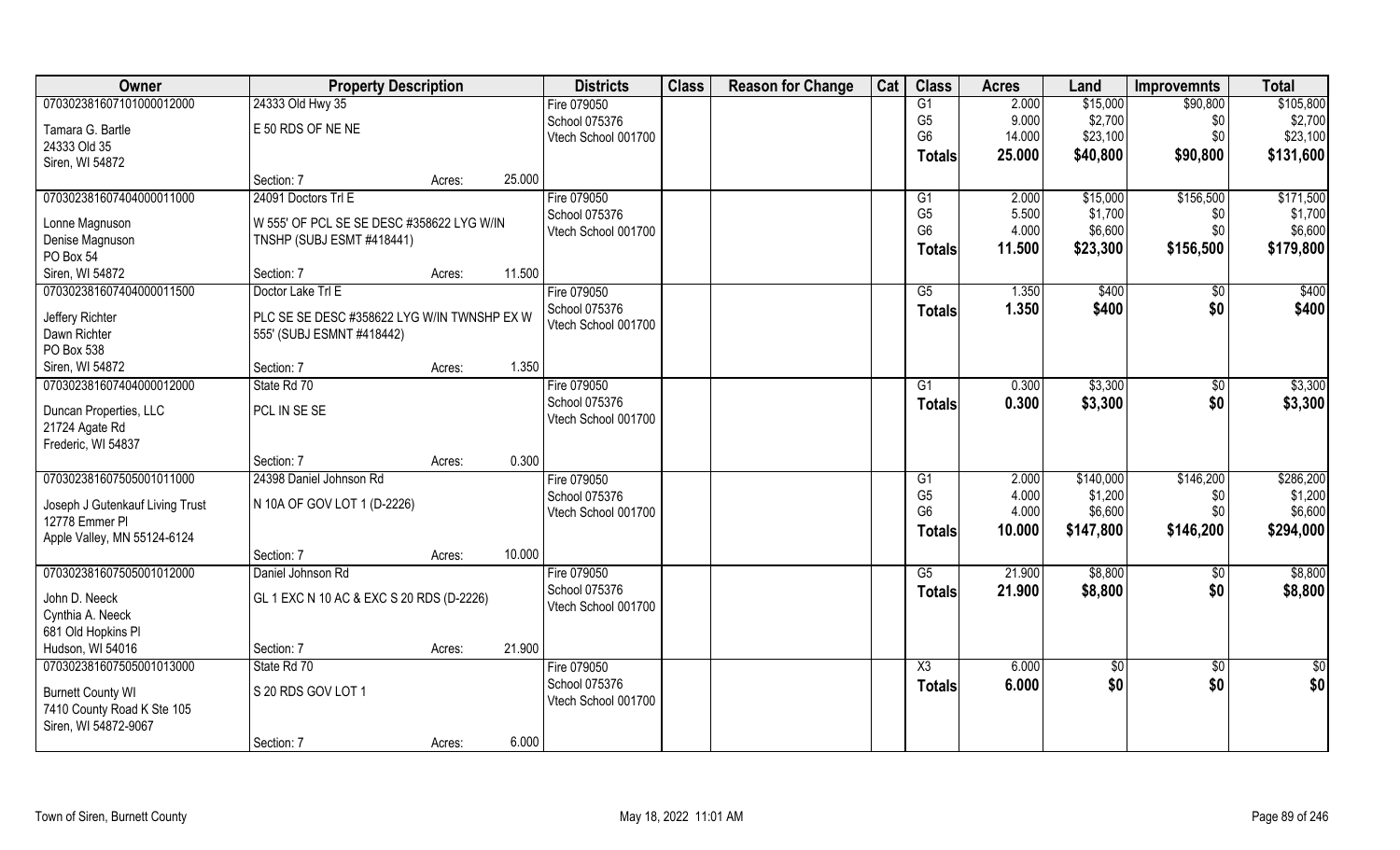| Owner                                | <b>Property Description</b>                 |        |        | <b>Districts</b>    | <b>Class</b> | <b>Reason for Change</b> | Cat | <b>Class</b>   | <b>Acres</b> | Land            | <b>Improvemnts</b> | <b>Total</b>    |
|--------------------------------------|---------------------------------------------|--------|--------|---------------------|--------------|--------------------------|-----|----------------|--------------|-----------------|--------------------|-----------------|
| 070302381607101000012000             | 24333 Old Hwy 35                            |        |        | Fire 079050         |              |                          |     | G1             | 2.000        | \$15,000        | \$90,800           | \$105,800       |
| Tamara G. Bartle                     | E 50 RDS OF NE NE                           |        |        | School 075376       |              |                          |     | G <sub>5</sub> | 9.000        | \$2,700         | \$0                | \$2,700         |
| 24333 Old 35                         |                                             |        |        | Vtech School 001700 |              |                          |     | G <sub>6</sub> | 14.000       | \$23,100        | \$0                | \$23,100        |
| Siren, WI 54872                      |                                             |        |        |                     |              |                          |     | <b>Totals</b>  | 25.000       | \$40,800        | \$90,800           | \$131,600       |
|                                      | Section: 7                                  | Acres: | 25.000 |                     |              |                          |     |                |              |                 |                    |                 |
| 070302381607404000011000             | 24091 Doctors Trl E                         |        |        | Fire 079050         |              |                          |     | G1             | 2.000        | \$15,000        | \$156,500          | \$171,500       |
| Lonne Magnuson                       | W 555' OF PCL SE SE DESC #358622 LYG W/IN   |        |        | School 075376       |              |                          |     | G <sub>5</sub> | 5.500        | \$1,700         | \$0                | \$1,700         |
| Denise Magnuson                      | TNSHP (SUBJ ESMT #418441)                   |        |        | Vtech School 001700 |              |                          |     | G <sub>6</sub> | 4.000        | \$6,600         | \$0                | \$6,600         |
| PO Box 54                            |                                             |        |        |                     |              |                          |     | <b>Totals</b>  | 11.500       | \$23,300        | \$156,500          | \$179,800       |
| Siren, WI 54872                      | Section: 7                                  | Acres: | 11.500 |                     |              |                          |     |                |              |                 |                    |                 |
| 070302381607404000011500             | Doctor Lake Trl E                           |        |        | Fire 079050         |              |                          |     | G5             | 1.350        | \$400           | \$0                | \$400           |
| Jeffery Richter                      | PLC SE SE DESC #358622 LYG W/IN TWNSHP EX W |        |        | School 075376       |              |                          |     | <b>Totals</b>  | 1.350        | \$400           | \$0                | \$400           |
| Dawn Richter                         | 555' (SUBJ ESMNT #418442)                   |        |        | Vtech School 001700 |              |                          |     |                |              |                 |                    |                 |
| PO Box 538                           |                                             |        |        |                     |              |                          |     |                |              |                 |                    |                 |
| Siren, WI 54872                      | Section: 7                                  | Acres: | 1.350  |                     |              |                          |     |                |              |                 |                    |                 |
| 070302381607404000012000             | State Rd 70                                 |        |        | Fire 079050         |              |                          |     | G1             | 0.300        | \$3,300         | \$0                | \$3,300         |
|                                      |                                             |        |        | School 075376       |              |                          |     | <b>Totals</b>  | 0.300        | \$3,300         | \$0                | \$3,300         |
| Duncan Properties, LLC               | PCL IN SE SE                                |        |        | Vtech School 001700 |              |                          |     |                |              |                 |                    |                 |
| 21724 Agate Rd<br>Frederic, WI 54837 |                                             |        |        |                     |              |                          |     |                |              |                 |                    |                 |
|                                      | Section: 7                                  | Acres: | 0.300  |                     |              |                          |     |                |              |                 |                    |                 |
| 070302381607505001011000             | 24398 Daniel Johnson Rd                     |        |        | Fire 079050         |              |                          |     | G1             | 2.000        | \$140,000       | \$146,200          | \$286,200       |
|                                      |                                             |        |        | School 075376       |              |                          |     | G <sub>5</sub> | 4.000        | \$1,200         | \$0                | \$1,200         |
| Joseph J Gutenkauf Living Trust      | N 10A OF GOV LOT 1 (D-2226)                 |        |        | Vtech School 001700 |              |                          |     | G <sub>6</sub> | 4.000        | \$6,600         | \$0                | \$6,600         |
| 12778 Emmer Pl                       |                                             |        |        |                     |              |                          |     | <b>Totals</b>  | 10.000       | \$147,800       | \$146,200          | \$294,000       |
| Apple Valley, MN 55124-6124          |                                             |        |        |                     |              |                          |     |                |              |                 |                    |                 |
|                                      | Section: 7                                  | Acres: | 10.000 |                     |              |                          |     |                |              |                 |                    |                 |
| 070302381607505001012000             | Daniel Johnson Rd                           |        |        | Fire 079050         |              |                          |     | G5             | 21.900       | \$8,800         | $\sqrt{6}$         | \$8,800         |
| John D. Neeck                        | GL 1 EXC N 10 AC & EXC S 20 RDS (D-2226)    |        |        | School 075376       |              |                          |     | <b>Totals</b>  | 21.900       | \$8,800         | \$0                | \$8,800         |
| Cynthia A. Neeck                     |                                             |        |        | Vtech School 001700 |              |                          |     |                |              |                 |                    |                 |
| 681 Old Hopkins Pl                   |                                             |        |        |                     |              |                          |     |                |              |                 |                    |                 |
| Hudson, WI 54016                     | Section: 7                                  | Acres: | 21.900 |                     |              |                          |     |                |              |                 |                    |                 |
| 070302381607505001013000             | State Rd 70                                 |        |        | Fire 079050         |              |                          |     | X3             | 6.000        | $\overline{50}$ | \$0                | $\overline{50}$ |
| <b>Burnett County WI</b>             | S 20 RDS GOV LOT 1                          |        |        | School 075376       |              |                          |     | <b>Totals</b>  | 6.000        | \$0             | \$0                | \$0             |
| 7410 County Road K Ste 105           |                                             |        |        | Vtech School 001700 |              |                          |     |                |              |                 |                    |                 |
| Siren, WI 54872-9067                 |                                             |        |        |                     |              |                          |     |                |              |                 |                    |                 |
|                                      | Section: 7                                  | Acres: | 6.000  |                     |              |                          |     |                |              |                 |                    |                 |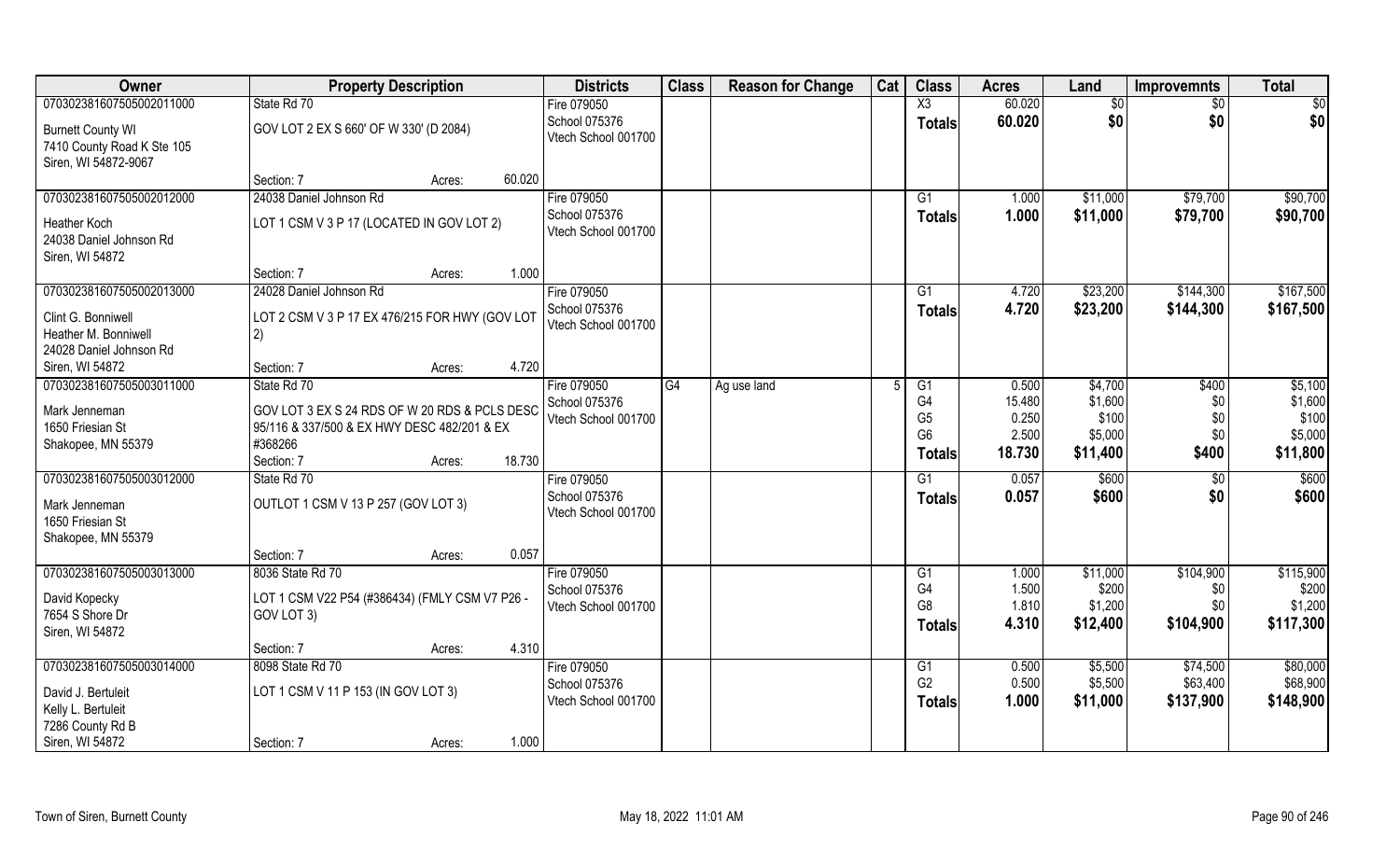| Owner                                                                                                       | <b>Property Description</b>                                                                                                                              | <b>Districts</b>                                    | <b>Class</b> | <b>Reason for Change</b> | Cat | <b>Class</b>                                                  | <b>Acres</b>                                | Land                                               | <b>Improvemnts</b>                    | <b>Total</b>                                       |
|-------------------------------------------------------------------------------------------------------------|----------------------------------------------------------------------------------------------------------------------------------------------------------|-----------------------------------------------------|--------------|--------------------------|-----|---------------------------------------------------------------|---------------------------------------------|----------------------------------------------------|---------------------------------------|----------------------------------------------------|
| 070302381607505002011000                                                                                    | State Rd 70                                                                                                                                              | Fire 079050                                         |              |                          |     | X3                                                            | 60.020                                      | \$0                                                | $\sqrt{6}$                            | \$0                                                |
| <b>Burnett County WI</b><br>7410 County Road K Ste 105<br>Siren, WI 54872-9067                              | GOV LOT 2 EX S 660' OF W 330' (D 2084)                                                                                                                   | School 075376<br>Vtech School 001700                |              |                          |     | <b>Totals</b>                                                 | 60.020                                      | \$0                                                | \$0                                   | \$0                                                |
|                                                                                                             | 60.020<br>Section: 7<br>Acres:                                                                                                                           |                                                     |              |                          |     |                                                               |                                             |                                                    |                                       |                                                    |
| 070302381607505002012000<br>Heather Koch<br>24038 Daniel Johnson Rd<br>Siren, WI 54872                      | 24038 Daniel Johnson Rd<br>LOT 1 CSM V 3 P 17 (LOCATED IN GOV LOT 2)                                                                                     | Fire 079050<br>School 075376<br>Vtech School 001700 |              |                          |     | G1<br>Totals                                                  | 1.000<br>1.000                              | \$11,000<br>\$11,000                               | \$79,700<br>\$79,700                  | \$90,700<br>\$90,700                               |
|                                                                                                             | 1.000<br>Section: 7<br>Acres:                                                                                                                            |                                                     |              |                          |     |                                                               |                                             |                                                    |                                       |                                                    |
| 070302381607505002013000                                                                                    | 24028 Daniel Johnson Rd                                                                                                                                  | Fire 079050                                         |              |                          |     | G1                                                            | 4.720                                       | \$23,200                                           | \$144,300                             | \$167,500                                          |
| Clint G. Bonniwell<br>Heather M. Bonniwell<br>24028 Daniel Johnson Rd                                       | LOT 2 CSM V 3 P 17 EX 476/215 FOR HWY (GOV LOT<br>2)                                                                                                     | School 075376<br>Vtech School 001700                |              |                          |     | <b>Totals</b>                                                 | 4.720                                       | \$23,200                                           | \$144,300                             | \$167,500                                          |
| Siren, WI 54872                                                                                             | 4.720<br>Section: 7<br>Acres:                                                                                                                            |                                                     |              |                          |     |                                                               |                                             |                                                    |                                       |                                                    |
| 070302381607505003011000<br>Mark Jenneman<br>1650 Friesian St<br>Shakopee, MN 55379                         | State Rd 70<br>GOV LOT 3 EX S 24 RDS OF W 20 RDS & PCLS DESC<br>95/116 & 337/500 & EX HWY DESC 482/201 & EX<br>#368266<br>18.730<br>Section: 7<br>Acres: | Fire 079050<br>School 075376<br>Vtech School 001700 | G4           | Ag use land              |     | G1<br>G4<br>G <sub>5</sub><br>G <sub>6</sub><br><b>Totals</b> | 0.500<br>15.480<br>0.250<br>2.500<br>18.730 | \$4,700<br>\$1,600<br>\$100<br>\$5,000<br>\$11,400 | \$400<br>\$0<br>\$0<br>\$0\$<br>\$400 | \$5,100<br>\$1,600<br>\$100<br>\$5,000<br>\$11,800 |
| 070302381607505003012000<br>Mark Jenneman<br>1650 Friesian St<br>Shakopee, MN 55379                         | State Rd 70<br>OUTLOT 1 CSM V 13 P 257 (GOV LOT 3)<br>0.057<br>Section: 7<br>Acres:                                                                      | Fire 079050<br>School 075376<br>Vtech School 001700 |              |                          |     | G1<br><b>Totals</b>                                           | 0.057<br>0.057                              | \$600<br>\$600                                     | \$0<br>\$0                            | \$600<br>\$600                                     |
| 070302381607505003013000                                                                                    | 8036 State Rd 70                                                                                                                                         | Fire 079050                                         |              |                          |     | G1                                                            | 1.000                                       | \$11,000                                           | \$104,900                             | \$115,900                                          |
| David Kopecky<br>7654 S Shore Dr<br>Siren, WI 54872                                                         | LOT 1 CSM V22 P54 (#386434) (FMLY CSM V7 P26 -<br>GOV LOT 3)                                                                                             | School 075376<br>Vtech School 001700                |              |                          |     | G <sub>4</sub><br>G <sub>8</sub><br><b>Totals</b>             | 1.500<br>1.810<br>4.310                     | \$200<br>\$1,200<br>\$12,400                       | \$0<br>\$0<br>\$104,900               | \$200<br>\$1,200<br>\$117,300                      |
|                                                                                                             | 4.310<br>Section: 7<br>Acres:                                                                                                                            |                                                     |              |                          |     |                                                               |                                             |                                                    |                                       |                                                    |
| 070302381607505003014000<br>David J. Bertuleit<br>Kelly L. Bertuleit<br>7286 County Rd B<br>Siren, WI 54872 | 8098 State Rd 70<br>LOT 1 CSM V 11 P 153 (IN GOV LOT 3)<br>1.000<br>Section: 7<br>Acres:                                                                 | Fire 079050<br>School 075376<br>Vtech School 001700 |              |                          |     | G1<br>G <sub>2</sub><br><b>Totals</b>                         | 0.500<br>0.500<br>1.000                     | \$5,500<br>\$5,500<br>\$11,000                     | \$74,500<br>\$63,400<br>\$137,900     | \$80,000<br>\$68,900<br>\$148,900                  |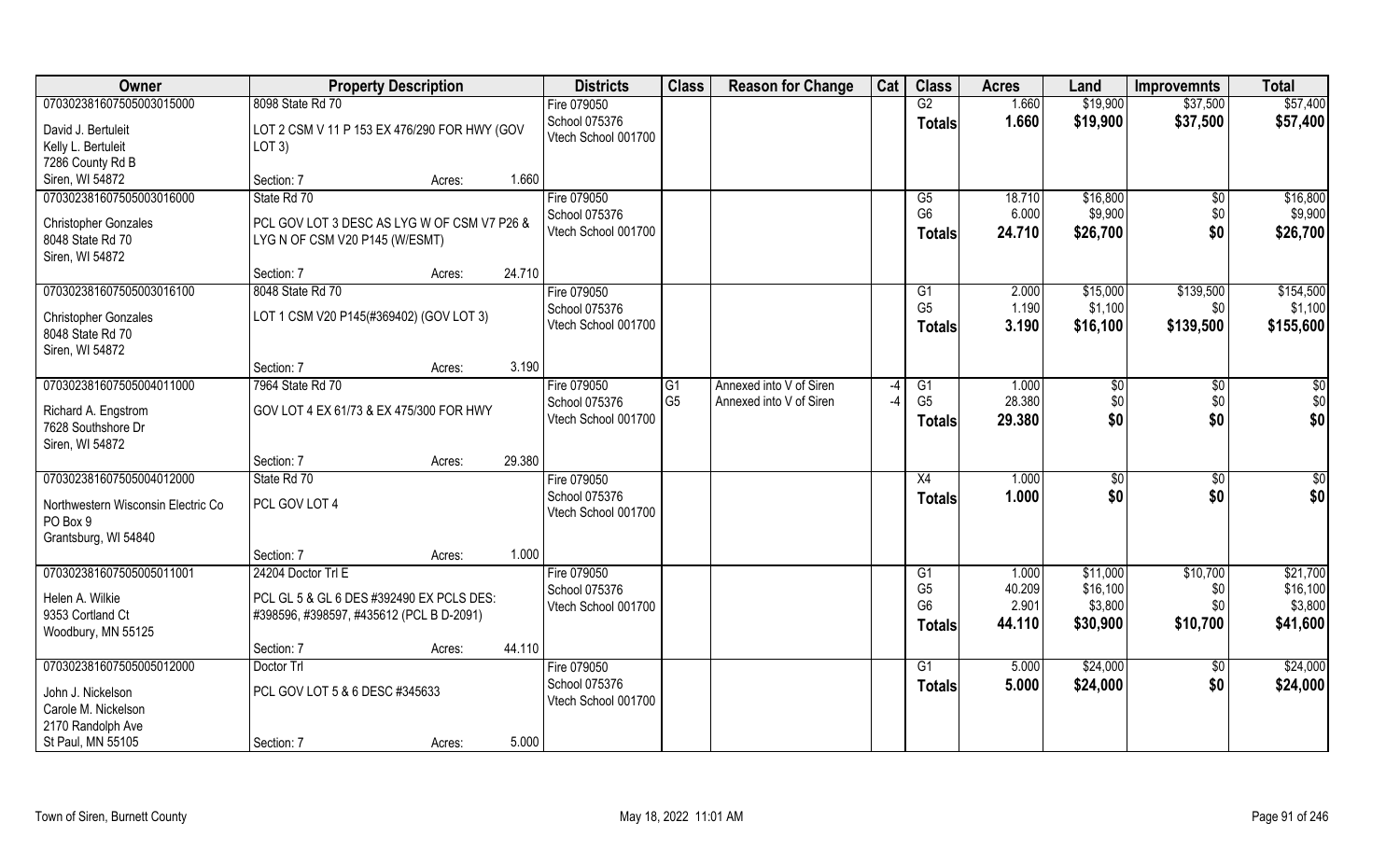| Owner                                           | <b>Property Description</b>                  |        |        | <b>Districts</b>    | <b>Class</b>   | <b>Reason for Change</b> | Cat | <b>Class</b>    | <b>Acres</b> | Land     | <b>Improvemnts</b> | <b>Total</b>    |
|-------------------------------------------------|----------------------------------------------|--------|--------|---------------------|----------------|--------------------------|-----|-----------------|--------------|----------|--------------------|-----------------|
| 070302381607505003015000                        | 8098 State Rd 70                             |        |        | Fire 079050         |                |                          |     | G2              | 1.660        | \$19,900 | \$37,500           | \$57,400        |
| David J. Bertuleit                              | LOT 2 CSM V 11 P 153 EX 476/290 FOR HWY (GOV |        |        | School 075376       |                |                          |     | <b>Totals</b>   | 1.660        | \$19,900 | \$37,500           | \$57,400        |
| Kelly L. Bertuleit                              | LOT 3)                                       |        |        | Vtech School 001700 |                |                          |     |                 |              |          |                    |                 |
| 7286 County Rd B                                |                                              |        |        |                     |                |                          |     |                 |              |          |                    |                 |
| Siren, WI 54872                                 | Section: 7                                   | Acres: | 1.660  |                     |                |                          |     |                 |              |          |                    |                 |
| 070302381607505003016000                        | State Rd 70                                  |        |        | Fire 079050         |                |                          |     | $\overline{G5}$ | 18.710       | \$16,800 | $\sqrt[6]{}$       | \$16,800        |
| <b>Christopher Gonzales</b>                     | PCL GOV LOT 3 DESC AS LYG W OF CSM V7 P26 &  |        |        | School 075376       |                |                          |     | G <sub>6</sub>  | 6.000        | \$9,900  | \$0                | \$9,900         |
| 8048 State Rd 70                                | LYG N OF CSM V20 P145 (W/ESMT)               |        |        | Vtech School 001700 |                |                          |     | <b>Totals</b>   | 24.710       | \$26,700 | \$0                | \$26,700        |
| Siren, WI 54872                                 |                                              |        |        |                     |                |                          |     |                 |              |          |                    |                 |
|                                                 | Section: 7                                   | Acres: | 24.710 |                     |                |                          |     |                 |              |          |                    |                 |
| 070302381607505003016100                        | 8048 State Rd 70                             |        |        | Fire 079050         |                |                          |     | G1              | 2.000        | \$15,000 | \$139,500          | \$154,500       |
|                                                 |                                              |        |        | School 075376       |                |                          |     | G <sub>5</sub>  | 1.190        | \$1,100  | \$0                | \$1,100         |
| <b>Christopher Gonzales</b><br>8048 State Rd 70 | LOT 1 CSM V20 P145(#369402) (GOV LOT 3)      |        |        | Vtech School 001700 |                |                          |     | <b>Totals</b>   | 3.190        | \$16,100 | \$139,500          | \$155,600       |
| Siren, WI 54872                                 |                                              |        |        |                     |                |                          |     |                 |              |          |                    |                 |
|                                                 | Section: 7                                   | Acres: | 3.190  |                     |                |                          |     |                 |              |          |                    |                 |
| 070302381607505004011000                        | 7964 State Rd 70                             |        |        | Fire 079050         | G <sub>1</sub> | Annexed into V of Siren  |     | G1              | 1.000        | \$0      | $\sqrt[6]{3}$      | $\overline{60}$ |
|                                                 |                                              |        |        | School 075376       | G <sub>5</sub> | Annexed into V of Siren  |     | G <sub>5</sub>  | 28.380       | \$0      | \$0                | \$0             |
| Richard A. Engstrom                             | GOV LOT 4 EX 61/73 & EX 475/300 FOR HWY      |        |        | Vtech School 001700 |                |                          |     | <b>Totals</b>   | 29.380       | \$0      | \$0                | \$0             |
| 7628 Southshore Dr                              |                                              |        |        |                     |                |                          |     |                 |              |          |                    |                 |
| Siren, WI 54872                                 |                                              |        |        |                     |                |                          |     |                 |              |          |                    |                 |
|                                                 | Section: 7                                   | Acres: | 29.380 |                     |                |                          |     |                 |              |          |                    |                 |
| 070302381607505004012000                        | State Rd 70                                  |        |        | Fire 079050         |                |                          |     | X4              | 1.000        | \$       | \$0                | \$0             |
| Northwestern Wisconsin Electric Co              | PCL GOV LOT 4                                |        |        | School 075376       |                |                          |     | <b>Totals</b>   | 1.000        | \$0      | \$0                | \$0             |
| PO Box 9                                        |                                              |        |        | Vtech School 001700 |                |                          |     |                 |              |          |                    |                 |
| Grantsburg, WI 54840                            |                                              |        |        |                     |                |                          |     |                 |              |          |                    |                 |
|                                                 | Section: 7                                   | Acres: | 1.000  |                     |                |                          |     |                 |              |          |                    |                 |
| 070302381607505005011001                        | 24204 Doctor Trl E                           |        |        | Fire 079050         |                |                          |     | G1              | 1.000        | \$11,000 | \$10,700           | \$21,700        |
| Helen A. Wilkie                                 | PCL GL 5 & GL 6 DES #392490 EX PCLS DES:     |        |        | School 075376       |                |                          |     | G <sub>5</sub>  | 40.209       | \$16,100 | \$0                | \$16,100        |
| 9353 Cortland Ct                                | #398596, #398597, #435612 (PCL B D-2091)     |        |        | Vtech School 001700 |                |                          |     | G <sub>6</sub>  | 2.901        | \$3,800  | \$0\$              | \$3,800         |
| Woodbury, MN 55125                              |                                              |        |        |                     |                |                          |     | <b>Totals</b>   | 44.110       | \$30,900 | \$10,700           | \$41,600        |
|                                                 | Section: 7                                   | Acres: | 44.110 |                     |                |                          |     |                 |              |          |                    |                 |
| 070302381607505005012000                        | Doctor Trl                                   |        |        | Fire 079050         |                |                          |     | $\overline{G1}$ | 5.000        | \$24,000 | $\overline{60}$    | \$24,000        |
|                                                 |                                              |        |        | School 075376       |                |                          |     | <b>Totals</b>   | 5.000        | \$24,000 | \$0                | \$24,000        |
| John J. Nickelson                               | PCL GOV LOT 5 & 6 DESC #345633               |        |        | Vtech School 001700 |                |                          |     |                 |              |          |                    |                 |
| Carole M. Nickelson                             |                                              |        |        |                     |                |                          |     |                 |              |          |                    |                 |
| 2170 Randolph Ave                               |                                              |        |        |                     |                |                          |     |                 |              |          |                    |                 |
| St Paul, MN 55105                               | Section: 7                                   | Acres: | 5.000  |                     |                |                          |     |                 |              |          |                    |                 |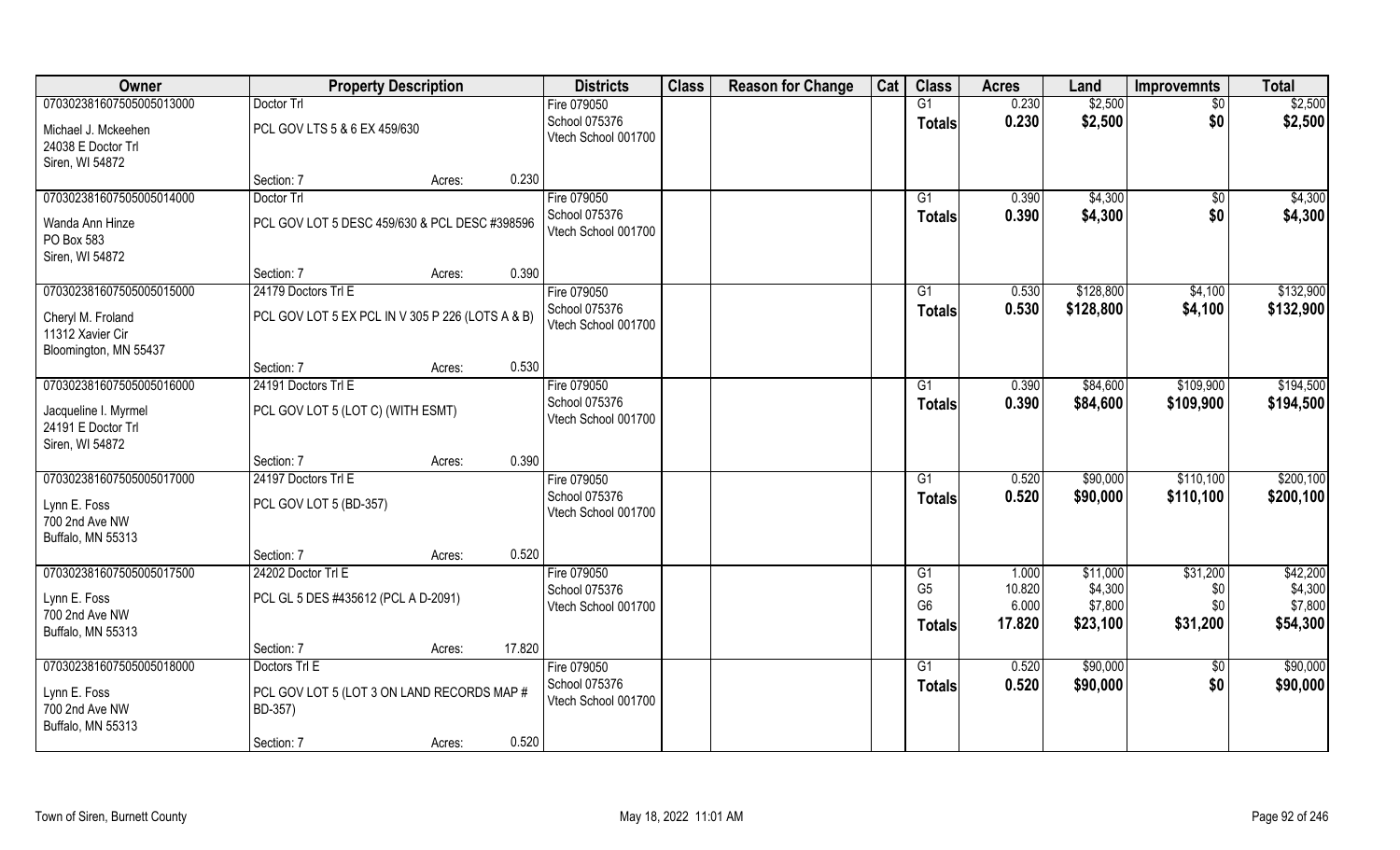| Owner                                                          | <b>Property Description</b>                                 |        | <b>Districts</b>                                    | <b>Class</b> | <b>Reason for Change</b> | Cat | <b>Class</b>                                      | <b>Acres</b>              | Land                           | <b>Improvemnts</b>     | <b>Total</b>                   |
|----------------------------------------------------------------|-------------------------------------------------------------|--------|-----------------------------------------------------|--------------|--------------------------|-----|---------------------------------------------------|---------------------------|--------------------------------|------------------------|--------------------------------|
| 070302381607505005013000                                       | Doctor Trl                                                  |        | Fire 079050                                         |              |                          |     | G1                                                | 0.230                     | \$2,500                        | $\sqrt{6}$             | \$2,500                        |
| Michael J. Mckeehen<br>24038 E Doctor Trl<br>Siren, WI 54872   | PCL GOV LTS 5 & 6 EX 459/630                                |        | School 075376<br>Vtech School 001700                |              |                          |     | <b>Totals</b>                                     | 0.230                     | \$2,500                        | \$0                    | \$2,500                        |
|                                                                | Section: 7<br>Acres:                                        | 0.230  |                                                     |              |                          |     |                                                   |                           |                                |                        |                                |
| 070302381607505005014000<br>Wanda Ann Hinze                    | Doctor Trl<br>PCL GOV LOT 5 DESC 459/630 & PCL DESC #398596 |        | Fire 079050<br>School 075376<br>Vtech School 001700 |              |                          |     | G1<br><b>Totals</b>                               | 0.390<br>0.390            | \$4,300<br>\$4,300             | \$0<br>\$0             | \$4,300<br>\$4,300             |
| PO Box 583<br>Siren, WI 54872                                  | Section: 7<br>Acres:                                        | 0.390  |                                                     |              |                          |     |                                                   |                           |                                |                        |                                |
| 070302381607505005015000                                       | 24179 Doctors Trl E                                         |        | Fire 079050                                         |              |                          |     | G1                                                | 0.530                     | \$128,800                      | \$4,100                | \$132,900                      |
| Cheryl M. Froland<br>11312 Xavier Cir<br>Bloomington, MN 55437 | PCL GOV LOT 5 EX PCL IN V 305 P 226 (LOTS A & B)            |        | School 075376<br>Vtech School 001700                |              |                          |     | <b>Totals</b>                                     | 0.530                     | \$128,800                      | \$4,100                | \$132,900                      |
|                                                                | Section: 7<br>Acres:                                        | 0.530  |                                                     |              |                          |     |                                                   |                           |                                |                        |                                |
| 070302381607505005016000                                       | 24191 Doctors Trl E                                         |        | Fire 079050                                         |              |                          |     | G1                                                | 0.390                     | \$84,600                       | \$109,900              | \$194,500                      |
| Jacqueline I. Myrmel<br>24191 E Doctor Trl<br>Siren, WI 54872  | PCL GOV LOT 5 (LOT C) (WITH ESMT)                           |        | School 075376<br>Vtech School 001700                |              |                          |     | <b>Totals</b>                                     | 0.390                     | \$84,600                       | \$109,900              | \$194,500                      |
|                                                                | Section: 7<br>Acres:                                        | 0.390  |                                                     |              |                          |     |                                                   |                           |                                |                        |                                |
| 070302381607505005017000<br>Lynn E. Foss                       | 24197 Doctors Trl E<br>PCL GOV LOT 5 (BD-357)               |        | Fire 079050<br>School 075376<br>Vtech School 001700 |              |                          |     | $\overline{G1}$<br><b>Totals</b>                  | 0.520<br>0.520            | \$90,000<br>\$90,000           | \$110,100<br>\$110,100 | \$200,100<br>\$200,100         |
| 700 2nd Ave NW<br>Buffalo, MN 55313                            |                                                             |        |                                                     |              |                          |     |                                                   |                           |                                |                        |                                |
|                                                                | Section: 7<br>Acres:                                        | 0.520  |                                                     |              |                          |     |                                                   |                           |                                |                        |                                |
| 070302381607505005017500                                       | 24202 Doctor Trl E                                          |        | Fire 079050                                         |              |                          |     | G1                                                | 1.000                     | \$11,000                       | \$31,200               | \$42,200                       |
| Lynn E. Foss<br>700 2nd Ave NW<br>Buffalo, MN 55313            | PCL GL 5 DES #435612 (PCL A D-2091)                         |        | School 075376<br>Vtech School 001700                |              |                          |     | G <sub>5</sub><br>G <sub>6</sub><br><b>Totals</b> | 10.820<br>6.000<br>17.820 | \$4,300<br>\$7,800<br>\$23,100 | \$0<br>\$0<br>\$31,200 | \$4,300<br>\$7,800<br>\$54,300 |
|                                                                | Section: 7<br>Acres:                                        | 17.820 |                                                     |              |                          |     |                                                   |                           |                                |                        |                                |
| 070302381607505005018000                                       | Doctors Trl E                                               |        | Fire 079050                                         |              |                          |     | G1                                                | 0.520                     | \$90,000                       | $\sqrt{6}$             | \$90,000                       |
| Lynn E. Foss<br>700 2nd Ave NW<br>Buffalo, MN 55313            | PCL GOV LOT 5 (LOT 3 ON LAND RECORDS MAP #<br>BD-357)       |        | School 075376<br>Vtech School 001700                |              |                          |     | <b>Totals</b>                                     | 0.520                     | \$90,000                       | \$0                    | \$90,000                       |
|                                                                | Section: 7<br>Acres:                                        | 0.520  |                                                     |              |                          |     |                                                   |                           |                                |                        |                                |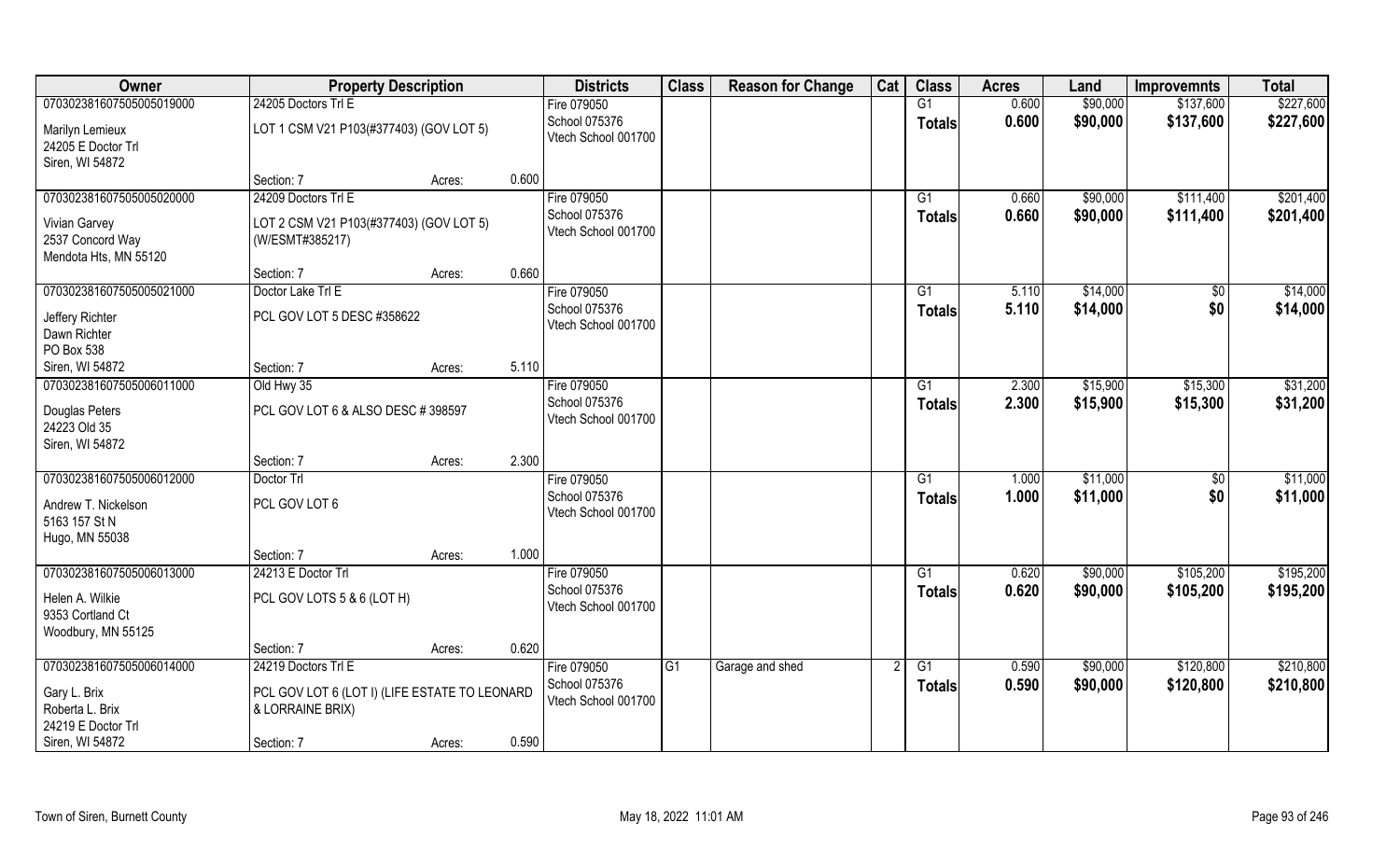| Owner                                                                                  | <b>Property Description</b>                                                       |        |       | <b>Districts</b>                                    | <b>Class</b> | <b>Reason for Change</b> | Cat | <b>Class</b>                    | <b>Acres</b>   | Land                 | <b>Improvemnts</b>     | <b>Total</b>           |
|----------------------------------------------------------------------------------------|-----------------------------------------------------------------------------------|--------|-------|-----------------------------------------------------|--------------|--------------------------|-----|---------------------------------|----------------|----------------------|------------------------|------------------------|
| 070302381607505005019000                                                               | 24205 Doctors Trl E                                                               |        |       | Fire 079050                                         |              |                          |     | G1                              | 0.600          | \$90,000             | \$137,600              | \$227,600              |
| Marilyn Lemieux<br>24205 E Doctor Trl<br>Siren, WI 54872                               | LOT 1 CSM V21 P103(#377403) (GOV LOT 5)                                           |        |       | School 075376<br>Vtech School 001700                |              |                          |     | <b>Totals</b>                   | 0.600          | \$90,000             | \$137,600              | \$227,600              |
|                                                                                        | Section: 7                                                                        | Acres: | 0.600 |                                                     |              |                          |     |                                 |                |                      |                        |                        |
| 070302381607505005020000<br>Vivian Garvey<br>2537 Concord Way<br>Mendota Hts, MN 55120 | 24209 Doctors Trl E<br>LOT 2 CSM V21 P103(#377403) (GOV LOT 5)<br>(W/ESMT#385217) |        |       | Fire 079050<br>School 075376<br>Vtech School 001700 |              |                          |     | G <sub>1</sub><br><b>Totals</b> | 0.660<br>0.660 | \$90,000<br>\$90,000 | \$111,400<br>\$111,400 | \$201,400<br>\$201,400 |
|                                                                                        | Section: 7                                                                        | Acres: | 0.660 |                                                     |              |                          |     |                                 |                |                      |                        |                        |
| 070302381607505005021000                                                               | Doctor Lake Trl E                                                                 |        |       | Fire 079050                                         |              |                          |     | G1                              | 5.110          | \$14,000             | \$0                    | \$14,000               |
| Jeffery Richter<br>Dawn Richter<br>PO Box 538                                          | PCL GOV LOT 5 DESC #358622                                                        |        |       | School 075376<br>Vtech School 001700                |              |                          |     | <b>Totals</b>                   | 5.110          | \$14,000             | \$0                    | \$14,000               |
| Siren, WI 54872                                                                        | Section: 7                                                                        | Acres: | 5.110 |                                                     |              |                          |     |                                 |                |                      |                        |                        |
| 070302381607505006011000<br>Douglas Peters<br>24223 Old 35                             | Old Hwy 35<br>PCL GOV LOT 6 & ALSO DESC #398597                                   |        |       | Fire 079050<br>School 075376<br>Vtech School 001700 |              |                          |     | G1<br><b>Totals</b>             | 2.300<br>2.300 | \$15,900<br>\$15,900 | \$15,300<br>\$15,300   | \$31,200<br>\$31,200   |
| Siren, WI 54872                                                                        | Section: 7                                                                        | Acres: | 2.300 |                                                     |              |                          |     |                                 |                |                      |                        |                        |
| 070302381607505006012000                                                               | Doctor Trl                                                                        |        |       | Fire 079050                                         |              |                          |     | G1                              | 1.000          | \$11,000             | \$0                    | \$11,000               |
| Andrew T. Nickelson<br>5163 157 St N<br>Hugo, MN 55038                                 | PCL GOV LOT 6                                                                     |        |       | School 075376<br>Vtech School 001700                |              |                          |     | <b>Totals</b>                   | 1.000          | \$11,000             | \$0                    | \$11,000               |
|                                                                                        | Section: 7                                                                        | Acres: | 1.000 |                                                     |              |                          |     |                                 |                |                      |                        |                        |
| 070302381607505006013000                                                               | 24213 E Doctor Trl                                                                |        |       | Fire 079050                                         |              |                          |     | G1                              | 0.620          | \$90,000             | \$105,200              | \$195,200              |
| Helen A. Wilkie<br>9353 Cortland Ct<br>Woodbury, MN 55125                              | PCL GOV LOTS 5 & 6 (LOT H)                                                        |        |       | School 075376<br>Vtech School 001700                |              |                          |     | <b>Totals</b>                   | 0.620          | \$90,000             | \$105,200              | \$195,200              |
|                                                                                        | Section: 7                                                                        | Acres: | 0.620 |                                                     |              |                          |     |                                 |                |                      |                        |                        |
| 070302381607505006014000<br>Gary L. Brix                                               | 24219 Doctors Trl E<br>PCL GOV LOT 6 (LOT I) (LIFE ESTATE TO LEONARD              |        |       | Fire 079050<br>School 075376<br>Vtech School 001700 | IG1          | Garage and shed          |     | G1<br><b>Totals</b>             | 0.590<br>0.590 | \$90,000<br>\$90,000 | \$120,800<br>\$120,800 | \$210,800<br>\$210,800 |
| Roberta L. Brix<br>24219 E Doctor Trl                                                  | & LORRAINE BRIX)                                                                  |        |       |                                                     |              |                          |     |                                 |                |                      |                        |                        |
| Siren, WI 54872                                                                        | Section: 7                                                                        | Acres: | 0.590 |                                                     |              |                          |     |                                 |                |                      |                        |                        |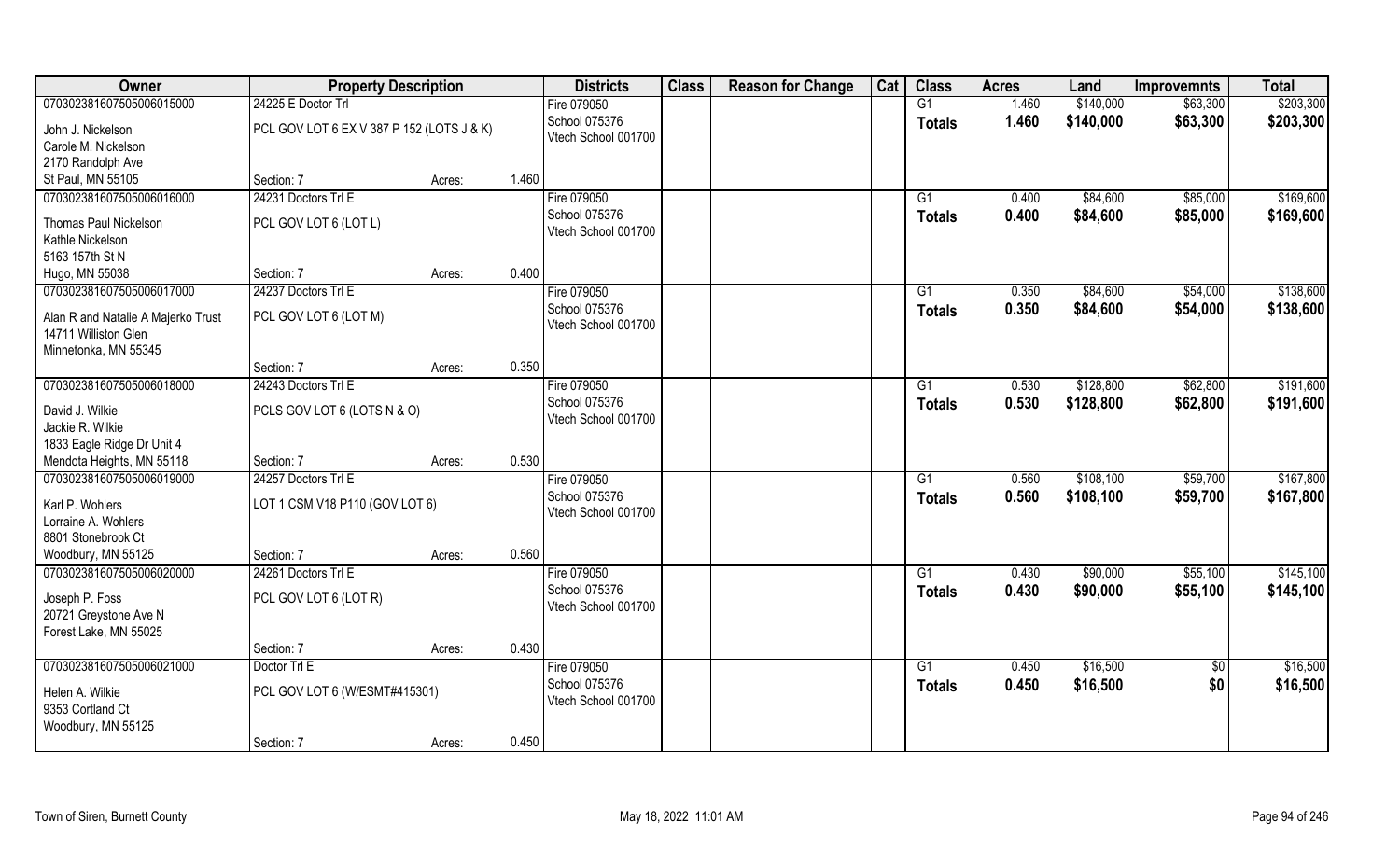| Owner                               | <b>Property Description</b>               |        |       | <b>Districts</b>    | <b>Class</b> | <b>Reason for Change</b> | Cat | <b>Class</b>    | <b>Acres</b> | Land      | <b>Improvemnts</b> | <b>Total</b> |
|-------------------------------------|-------------------------------------------|--------|-------|---------------------|--------------|--------------------------|-----|-----------------|--------------|-----------|--------------------|--------------|
| 070302381607505006015000            | 24225 E Doctor Trl                        |        |       | Fire 079050         |              |                          |     | G1              | 1.460        | \$140,000 | \$63,300           | \$203,300    |
| John J. Nickelson                   | PCL GOV LOT 6 EX V 387 P 152 (LOTS J & K) |        |       | School 075376       |              |                          |     | <b>Totals</b>   | 1.460        | \$140,000 | \$63,300           | \$203,300    |
| Carole M. Nickelson                 |                                           |        |       | Vtech School 001700 |              |                          |     |                 |              |           |                    |              |
| 2170 Randolph Ave                   |                                           |        |       |                     |              |                          |     |                 |              |           |                    |              |
| St Paul, MN 55105                   | Section: 7                                | Acres: | 1.460 |                     |              |                          |     |                 |              |           |                    |              |
| 070302381607505006016000            | 24231 Doctors Trl E                       |        |       | Fire 079050         |              |                          |     | G1              | 0.400        | \$84,600  | \$85,000           | \$169,600    |
| <b>Thomas Paul Nickelson</b>        | PCL GOV LOT 6 (LOT L)                     |        |       | School 075376       |              |                          |     | Totals          | 0.400        | \$84,600  | \$85,000           | \$169,600    |
| Kathle Nickelson                    |                                           |        |       | Vtech School 001700 |              |                          |     |                 |              |           |                    |              |
| 5163 157th St N                     |                                           |        |       |                     |              |                          |     |                 |              |           |                    |              |
| Hugo, MN 55038                      | Section: 7                                | Acres: | 0.400 |                     |              |                          |     |                 |              |           |                    |              |
| 070302381607505006017000            | 24237 Doctors Trl E                       |        |       | Fire 079050         |              |                          |     | G1              | 0.350        | \$84,600  | \$54,000           | \$138,600    |
|                                     |                                           |        |       | School 075376       |              |                          |     | <b>Totals</b>   | 0.350        | \$84,600  | \$54,000           | \$138,600    |
| Alan R and Natalie A Majerko Trust  | PCL GOV LOT 6 (LOT M)                     |        |       | Vtech School 001700 |              |                          |     |                 |              |           |                    |              |
| 14711 Williston Glen                |                                           |        |       |                     |              |                          |     |                 |              |           |                    |              |
| Minnetonka, MN 55345                | Section: 7                                | Acres: | 0.350 |                     |              |                          |     |                 |              |           |                    |              |
| 070302381607505006018000            | 24243 Doctors Trl E                       |        |       | Fire 079050         |              |                          |     | G1              | 0.530        | \$128,800 | \$62,800           | \$191,600    |
|                                     |                                           |        |       | School 075376       |              |                          |     | <b>Totals</b>   | 0.530        | \$128,800 | \$62,800           | \$191,600    |
| David J. Wilkie                     | PCLS GOV LOT 6 (LOTS N & O)               |        |       | Vtech School 001700 |              |                          |     |                 |              |           |                    |              |
| Jackie R. Wilkie                    |                                           |        |       |                     |              |                          |     |                 |              |           |                    |              |
| 1833 Eagle Ridge Dr Unit 4          |                                           |        |       |                     |              |                          |     |                 |              |           |                    |              |
| Mendota Heights, MN 55118           | Section: 7                                | Acres: | 0.530 |                     |              |                          |     |                 |              |           |                    |              |
| 070302381607505006019000            | 24257 Doctors Trl E                       |        |       | Fire 079050         |              |                          |     | $\overline{G1}$ | 0.560        | \$108,100 | \$59,700           | \$167,800    |
| Karl P. Wohlers                     | LOT 1 CSM V18 P110 (GOV LOT 6)            |        |       | School 075376       |              |                          |     | <b>Totals</b>   | 0.560        | \$108,100 | \$59,700           | \$167,800    |
| Lorraine A. Wohlers                 |                                           |        |       | Vtech School 001700 |              |                          |     |                 |              |           |                    |              |
| 8801 Stonebrook Ct                  |                                           |        |       |                     |              |                          |     |                 |              |           |                    |              |
| Woodbury, MN 55125                  | Section: 7                                | Acres: | 0.560 |                     |              |                          |     |                 |              |           |                    |              |
| 070302381607505006020000            | 24261 Doctors Trl E                       |        |       | Fire 079050         |              |                          |     | G1              | 0.430        | \$90,000  | \$55,100           | \$145,100    |
| Joseph P. Foss                      | PCL GOV LOT 6 (LOT R)                     |        |       | School 075376       |              |                          |     | <b>Totals</b>   | 0.430        | \$90,000  | \$55,100           | \$145,100    |
| 20721 Greystone Ave N               |                                           |        |       | Vtech School 001700 |              |                          |     |                 |              |           |                    |              |
| Forest Lake, MN 55025               |                                           |        |       |                     |              |                          |     |                 |              |           |                    |              |
|                                     | Section: 7                                | Acres: | 0.430 |                     |              |                          |     |                 |              |           |                    |              |
| 070302381607505006021000            | Doctor Trl E                              |        |       | Fire 079050         |              |                          |     | G1              | 0.450        | \$16,500  | $\overline{50}$    | \$16,500     |
|                                     |                                           |        |       | School 075376       |              |                          |     | Totals          | 0.450        | \$16,500  | \$0                | \$16,500     |
| Helen A. Wilkie<br>9353 Cortland Ct | PCL GOV LOT 6 (W/ESMT#415301)             |        |       | Vtech School 001700 |              |                          |     |                 |              |           |                    |              |
| Woodbury, MN 55125                  |                                           |        |       |                     |              |                          |     |                 |              |           |                    |              |
|                                     | Section: 7                                | Acres: | 0.450 |                     |              |                          |     |                 |              |           |                    |              |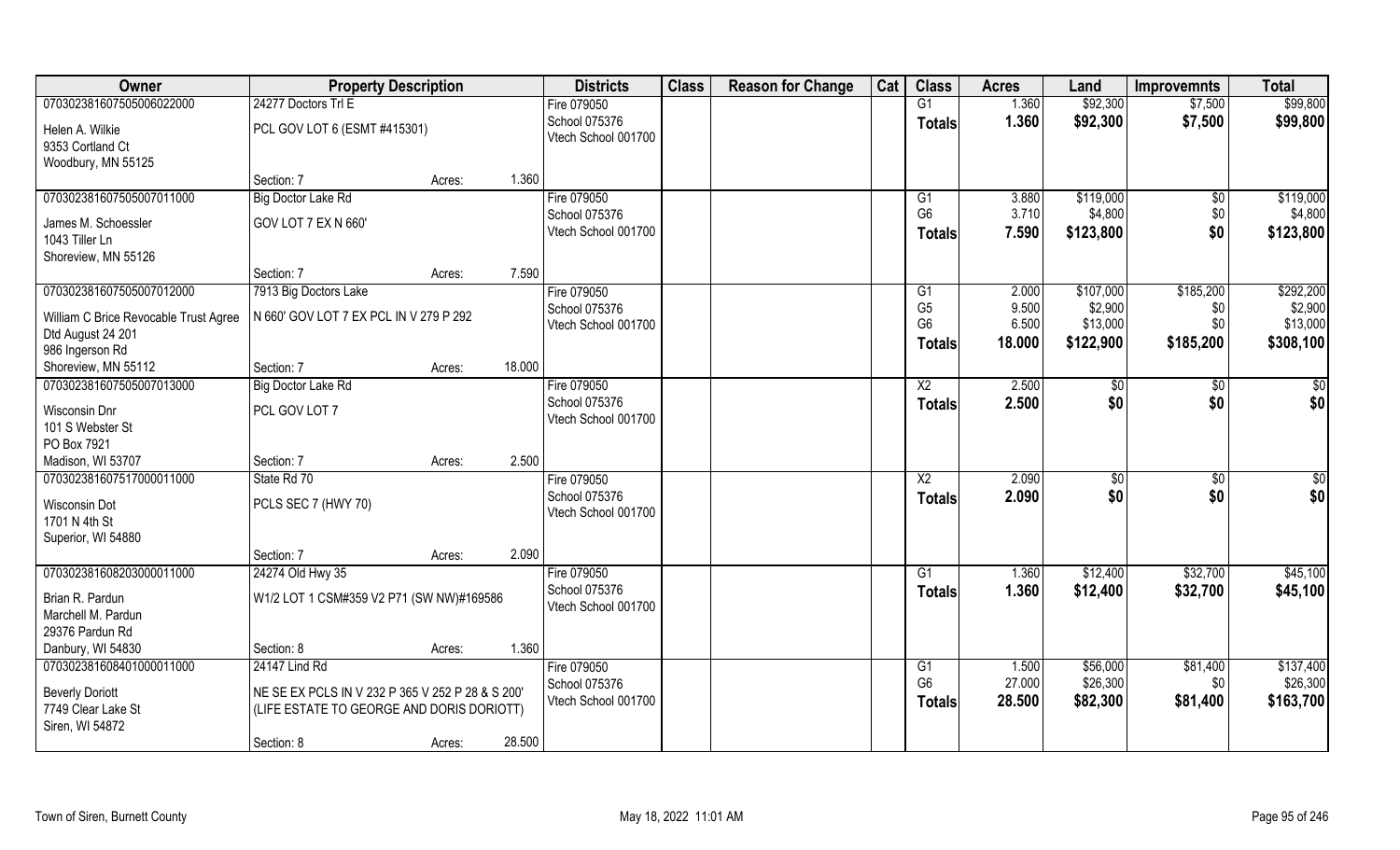| Owner                                 | <b>Property Description</b>                      |        |        | <b>Districts</b>    | <b>Class</b> | <b>Reason for Change</b> | Cat | <b>Class</b>           | <b>Acres</b> | Land      | <b>Improvemnts</b> | <b>Total</b>    |
|---------------------------------------|--------------------------------------------------|--------|--------|---------------------|--------------|--------------------------|-----|------------------------|--------------|-----------|--------------------|-----------------|
| 070302381607505006022000              | 24277 Doctors Trl E                              |        |        | Fire 079050         |              |                          |     | G1                     | 1.360        | \$92,300  | \$7,500            | \$99,800        |
| Helen A. Wilkie                       | PCL GOV LOT 6 (ESMT #415301)                     |        |        | School 075376       |              |                          |     | <b>Totals</b>          | 1.360        | \$92,300  | \$7,500            | \$99,800        |
| 9353 Cortland Ct                      |                                                  |        |        | Vtech School 001700 |              |                          |     |                        |              |           |                    |                 |
| Woodbury, MN 55125                    |                                                  |        |        |                     |              |                          |     |                        |              |           |                    |                 |
|                                       | Section: 7                                       | Acres: | 1.360  |                     |              |                          |     |                        |              |           |                    |                 |
| 070302381607505007011000              | <b>Big Doctor Lake Rd</b>                        |        |        | Fire 079050         |              |                          |     | G1                     | 3.880        | \$119,000 | \$0                | \$119,000       |
| James M. Schoessler                   | GOV LOT 7 EX N 660'                              |        |        | School 075376       |              |                          |     | G <sub>6</sub>         | 3.710        | \$4,800   | \$0                | \$4,800         |
| 1043 Tiller Ln                        |                                                  |        |        | Vtech School 001700 |              |                          |     | <b>Totals</b>          | 7.590        | \$123,800 | \$0                | \$123,800       |
| Shoreview, MN 55126                   |                                                  |        |        |                     |              |                          |     |                        |              |           |                    |                 |
|                                       | Section: 7                                       | Acres: | 7.590  |                     |              |                          |     |                        |              |           |                    |                 |
| 070302381607505007012000              | 7913 Big Doctors Lake                            |        |        | Fire 079050         |              |                          |     | G1                     | 2.000        | \$107,000 | \$185,200          | \$292,200       |
| William C Brice Revocable Trust Agree | N 660' GOV LOT 7 EX PCL IN V 279 P 292           |        |        | School 075376       |              |                          |     | G <sub>5</sub>         | 9.500        | \$2,900   | \$0                | \$2,900         |
| Dtd August 24 201                     |                                                  |        |        | Vtech School 001700 |              |                          |     | G <sub>6</sub>         | 6.500        | \$13,000  | \$0                | \$13,000        |
| 986 Ingerson Rd                       |                                                  |        |        |                     |              |                          |     | <b>Totals</b>          | 18,000       | \$122,900 | \$185,200          | \$308,100       |
| Shoreview, MN 55112                   | Section: 7                                       | Acres: | 18.000 |                     |              |                          |     |                        |              |           |                    |                 |
| 070302381607505007013000              | Big Doctor Lake Rd                               |        |        | Fire 079050         |              |                          |     | X <sub>2</sub>         | 2.500        | $ $ \$0   | \$0                | \$0             |
| Wisconsin Dnr                         | PCL GOV LOT 7                                    |        |        | School 075376       |              |                          |     | <b>Totals</b>          | 2.500        | \$0       | \$0                | \$0             |
| 101 S Webster St                      |                                                  |        |        | Vtech School 001700 |              |                          |     |                        |              |           |                    |                 |
| PO Box 7921                           |                                                  |        |        |                     |              |                          |     |                        |              |           |                    |                 |
| Madison, WI 53707                     | Section: 7                                       | Acres: | 2.500  |                     |              |                          |     |                        |              |           |                    |                 |
| 070302381607517000011000              | State Rd 70                                      |        |        | Fire 079050         |              |                          |     | $\overline{\text{X2}}$ | 2.090        | \$0       | \$0                | $\overline{50}$ |
| Wisconsin Dot                         | PCLS SEC 7 (HWY 70)                              |        |        | School 075376       |              |                          |     | <b>Totals</b>          | 2.090        | \$0       | \$0                | \$0             |
| 1701 N 4th St                         |                                                  |        |        | Vtech School 001700 |              |                          |     |                        |              |           |                    |                 |
| Superior, WI 54880                    |                                                  |        |        |                     |              |                          |     |                        |              |           |                    |                 |
|                                       | Section: 7                                       | Acres: | 2.090  |                     |              |                          |     |                        |              |           |                    |                 |
| 070302381608203000011000              | 24274 Old Hwy 35                                 |        |        | Fire 079050         |              |                          |     | G1                     | 1.360        | \$12,400  | \$32,700           | \$45,100        |
|                                       |                                                  |        |        | School 075376       |              |                          |     | <b>Totals</b>          | 1.360        | \$12,400  | \$32,700           | \$45,100        |
| Brian R. Pardun<br>Marchell M. Pardun | W1/2 LOT 1 CSM#359 V2 P71 (SW NW)#169586         |        |        | Vtech School 001700 |              |                          |     |                        |              |           |                    |                 |
| 29376 Pardun Rd                       |                                                  |        |        |                     |              |                          |     |                        |              |           |                    |                 |
| Danbury, WI 54830                     | Section: 8                                       | Acres: | 1.360  |                     |              |                          |     |                        |              |           |                    |                 |
| 070302381608401000011000              | 24147 Lind Rd                                    |        |        | Fire 079050         |              |                          |     | G1                     | 1.500        | \$56,000  | \$81,400           | \$137,400       |
|                                       |                                                  |        |        | School 075376       |              |                          |     | G <sub>6</sub>         | 27.000       | \$26,300  | \$0\$              | \$26,300        |
| <b>Beverly Doriott</b>                | NE SE EX PCLS IN V 232 P 365 V 252 P 28 & S 200' |        |        | Vtech School 001700 |              |                          |     | <b>Totals</b>          | 28.500       | \$82,300  | \$81,400           | \$163,700       |
| 7749 Clear Lake St                    | (LIFE ESTATE TO GEORGE AND DORIS DORIOTT)        |        |        |                     |              |                          |     |                        |              |           |                    |                 |
| Siren, WI 54872                       | Section: 8                                       | Acres: | 28.500 |                     |              |                          |     |                        |              |           |                    |                 |
|                                       |                                                  |        |        |                     |              |                          |     |                        |              |           |                    |                 |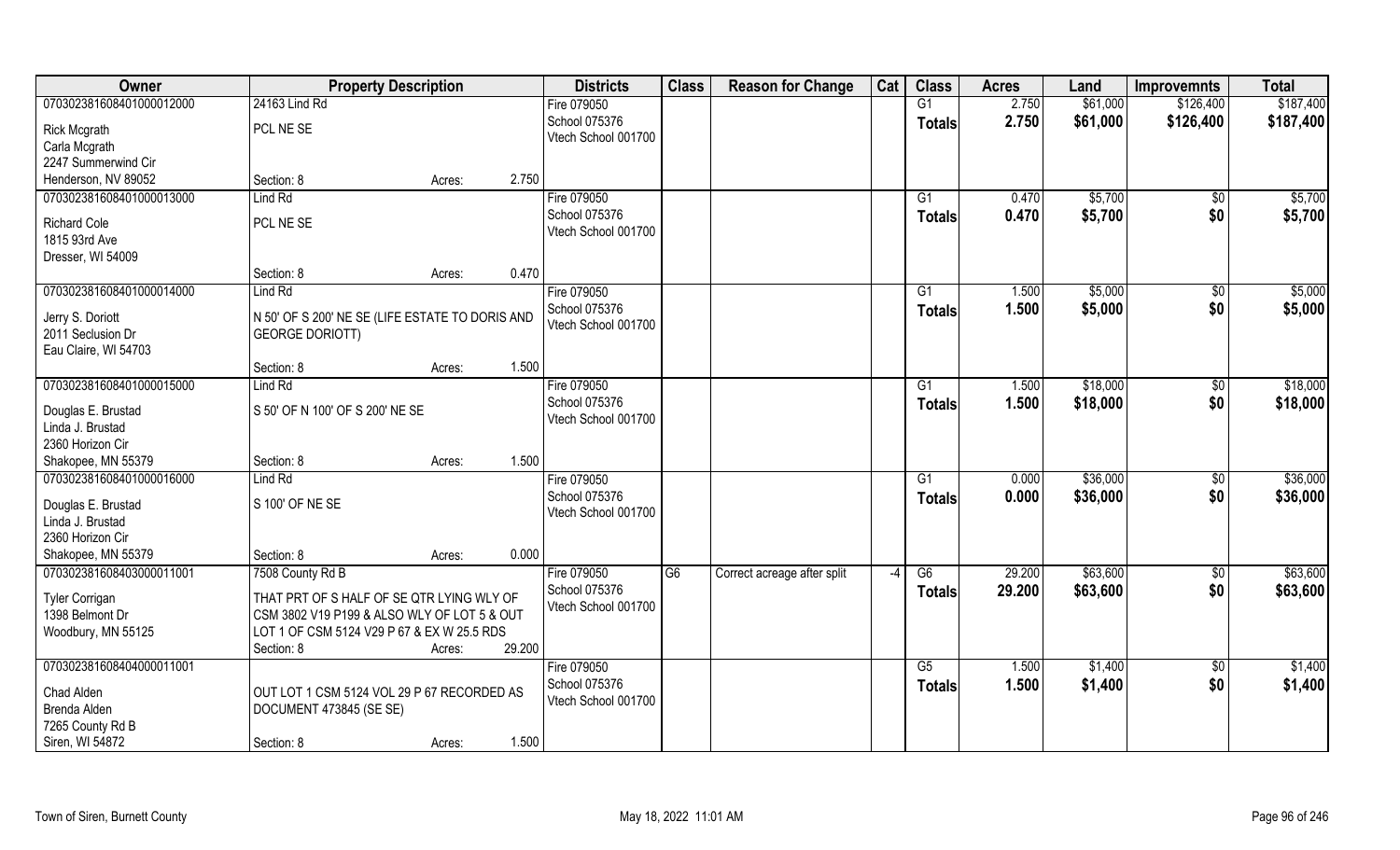| 2.750<br>\$187,400<br>070302381608401000012000<br>24163 Lind Rd<br>Fire 079050<br>G1<br>\$61,000<br>\$126,400<br>2.750<br>School 075376<br>\$61,000<br>\$126,400<br>\$187,400<br><b>Totals</b><br>PCL NE SE<br><b>Rick Mcgrath</b><br>Vtech School 001700<br>Carla Mcgrath<br>2247 Summerwind Cir<br>Henderson, NV 89052<br>2.750<br>Section: 8<br>Acres:<br>Lind Rd<br>\$5,700<br>070302381608401000013000<br>Fire 079050<br>0.470<br>\$5,700<br>\$0<br>G1<br>School 075376<br>0.470<br>\$5,700<br>\$0<br>\$5,700<br><b>Totals</b><br>PCL NE SE<br><b>Richard Cole</b><br>Vtech School 001700<br>1815 93rd Ave<br>Dresser, WI 54009<br>0.470<br>Section: 8<br>Acres:<br>\$5,000<br>070302381608401000014000<br>Lind Rd<br>Fire 079050<br>G1<br>1.500<br>\$5,000<br>$\sqrt[6]{3}$<br>\$0<br>School 075376<br>1.500<br>\$5,000<br>\$5,000<br><b>Totals</b><br>Jerry S. Doriott<br>N 50' OF S 200' NE SE (LIFE ESTATE TO DORIS AND<br>Vtech School 001700<br>2011 Seclusion Dr<br><b>GEORGE DORIOTT)</b><br>Eau Claire, WI 54703<br>1.500<br>Section: 8<br>Acres:<br>\$18,000<br>070302381608401000015000<br>Fire 079050<br>\$18,000<br>Lind Rd<br>G1<br>1.500<br>\$0<br>School 075376<br>1.500<br>\$0<br>\$18,000<br>\$18,000<br><b>Totals</b><br>S 50' OF N 100' OF S 200' NE SE<br>Douglas E. Brustad<br>Vtech School 001700<br>Linda J. Brustad<br>2360 Horizon Cir<br>1.500<br>Shakopee, MN 55379<br>Section: 8<br>Acres:<br>\$36,000<br>\$36,000<br>Lind Rd<br>$\overline{G1}$<br>0.000<br>$\overline{50}$<br>Fire 079050<br>School 075376<br>0.000<br>\$36,000<br>\$36,000<br>\$0<br>Totals<br>Douglas E. Brustad<br>S 100' OF NE SE<br>Vtech School 001700<br>Linda J. Brustad<br>2360 Horizon Cir<br>0.000<br>Shakopee, MN 55379<br>Section: 8<br>Acres:<br>\$63,600<br>\$63,600<br>070302381608403000011001<br>Fire 079050<br>G <sub>6</sub><br>G6<br>29.200<br>$\sqrt{$0}$<br>7508 County Rd B<br>Correct acreage after split<br>$-4$<br>School 075376<br>\$63,600<br>\$0<br>\$63,600<br>29.200<br><b>Totals</b><br>THAT PRT OF S HALF OF SE QTR LYING WLY OF<br>Tyler Corrigan<br>Vtech School 001700<br>1398 Belmont Dr<br>CSM 3802 V19 P199 & ALSO WLY OF LOT 5 & OUT<br>LOT 1 OF CSM 5124 V29 P 67 & EX W 25.5 RDS<br>Woodbury, MN 55125<br>29.200<br>Section: 8<br>Acres:<br>070302381608404000011001<br>Fire 079050<br>\$1,400<br>G5<br>1.500<br>\$1,400<br>$\sqrt{$0}$<br>School 075376<br>1.500<br>\$1,400<br>\$0<br>\$1,400<br><b>Totals</b><br>Chad Alden<br>OUT LOT 1 CSM 5124 VOL 29 P 67 RECORDED AS<br>Vtech School 001700<br>Brenda Alden<br>DOCUMENT 473845 (SE SE)<br>7265 County Rd B | Owner                    | <b>Property Description</b> | <b>Districts</b> | <b>Class</b> | <b>Reason for Change</b> | Cat | <b>Class</b> | <b>Acres</b> | Land | <b>Improvemnts</b> | <b>Total</b> |
|------------------------------------------------------------------------------------------------------------------------------------------------------------------------------------------------------------------------------------------------------------------------------------------------------------------------------------------------------------------------------------------------------------------------------------------------------------------------------------------------------------------------------------------------------------------------------------------------------------------------------------------------------------------------------------------------------------------------------------------------------------------------------------------------------------------------------------------------------------------------------------------------------------------------------------------------------------------------------------------------------------------------------------------------------------------------------------------------------------------------------------------------------------------------------------------------------------------------------------------------------------------------------------------------------------------------------------------------------------------------------------------------------------------------------------------------------------------------------------------------------------------------------------------------------------------------------------------------------------------------------------------------------------------------------------------------------------------------------------------------------------------------------------------------------------------------------------------------------------------------------------------------------------------------------------------------------------------------------------------------------------------------------------------------------------------------------------------------------------------------------------------------------------------------------------------------------------------------------------------------------------------------------------------------------------------------------------------------------------------------------------------------------------------------------------------------------------------------------------------------------------------------------------------------------------------------------------------------------------------|--------------------------|-----------------------------|------------------|--------------|--------------------------|-----|--------------|--------------|------|--------------------|--------------|
|                                                                                                                                                                                                                                                                                                                                                                                                                                                                                                                                                                                                                                                                                                                                                                                                                                                                                                                                                                                                                                                                                                                                                                                                                                                                                                                                                                                                                                                                                                                                                                                                                                                                                                                                                                                                                                                                                                                                                                                                                                                                                                                                                                                                                                                                                                                                                                                                                                                                                                                                                                                                                  |                          |                             |                  |              |                          |     |              |              |      |                    |              |
|                                                                                                                                                                                                                                                                                                                                                                                                                                                                                                                                                                                                                                                                                                                                                                                                                                                                                                                                                                                                                                                                                                                                                                                                                                                                                                                                                                                                                                                                                                                                                                                                                                                                                                                                                                                                                                                                                                                                                                                                                                                                                                                                                                                                                                                                                                                                                                                                                                                                                                                                                                                                                  |                          |                             |                  |              |                          |     |              |              |      |                    |              |
|                                                                                                                                                                                                                                                                                                                                                                                                                                                                                                                                                                                                                                                                                                                                                                                                                                                                                                                                                                                                                                                                                                                                                                                                                                                                                                                                                                                                                                                                                                                                                                                                                                                                                                                                                                                                                                                                                                                                                                                                                                                                                                                                                                                                                                                                                                                                                                                                                                                                                                                                                                                                                  |                          |                             |                  |              |                          |     |              |              |      |                    |              |
|                                                                                                                                                                                                                                                                                                                                                                                                                                                                                                                                                                                                                                                                                                                                                                                                                                                                                                                                                                                                                                                                                                                                                                                                                                                                                                                                                                                                                                                                                                                                                                                                                                                                                                                                                                                                                                                                                                                                                                                                                                                                                                                                                                                                                                                                                                                                                                                                                                                                                                                                                                                                                  |                          |                             |                  |              |                          |     |              |              |      |                    |              |
|                                                                                                                                                                                                                                                                                                                                                                                                                                                                                                                                                                                                                                                                                                                                                                                                                                                                                                                                                                                                                                                                                                                                                                                                                                                                                                                                                                                                                                                                                                                                                                                                                                                                                                                                                                                                                                                                                                                                                                                                                                                                                                                                                                                                                                                                                                                                                                                                                                                                                                                                                                                                                  |                          |                             |                  |              |                          |     |              |              |      |                    |              |
|                                                                                                                                                                                                                                                                                                                                                                                                                                                                                                                                                                                                                                                                                                                                                                                                                                                                                                                                                                                                                                                                                                                                                                                                                                                                                                                                                                                                                                                                                                                                                                                                                                                                                                                                                                                                                                                                                                                                                                                                                                                                                                                                                                                                                                                                                                                                                                                                                                                                                                                                                                                                                  |                          |                             |                  |              |                          |     |              |              |      |                    |              |
|                                                                                                                                                                                                                                                                                                                                                                                                                                                                                                                                                                                                                                                                                                                                                                                                                                                                                                                                                                                                                                                                                                                                                                                                                                                                                                                                                                                                                                                                                                                                                                                                                                                                                                                                                                                                                                                                                                                                                                                                                                                                                                                                                                                                                                                                                                                                                                                                                                                                                                                                                                                                                  |                          |                             |                  |              |                          |     |              |              |      |                    |              |
|                                                                                                                                                                                                                                                                                                                                                                                                                                                                                                                                                                                                                                                                                                                                                                                                                                                                                                                                                                                                                                                                                                                                                                                                                                                                                                                                                                                                                                                                                                                                                                                                                                                                                                                                                                                                                                                                                                                                                                                                                                                                                                                                                                                                                                                                                                                                                                                                                                                                                                                                                                                                                  |                          |                             |                  |              |                          |     |              |              |      |                    |              |
|                                                                                                                                                                                                                                                                                                                                                                                                                                                                                                                                                                                                                                                                                                                                                                                                                                                                                                                                                                                                                                                                                                                                                                                                                                                                                                                                                                                                                                                                                                                                                                                                                                                                                                                                                                                                                                                                                                                                                                                                                                                                                                                                                                                                                                                                                                                                                                                                                                                                                                                                                                                                                  |                          |                             |                  |              |                          |     |              |              |      |                    |              |
|                                                                                                                                                                                                                                                                                                                                                                                                                                                                                                                                                                                                                                                                                                                                                                                                                                                                                                                                                                                                                                                                                                                                                                                                                                                                                                                                                                                                                                                                                                                                                                                                                                                                                                                                                                                                                                                                                                                                                                                                                                                                                                                                                                                                                                                                                                                                                                                                                                                                                                                                                                                                                  |                          |                             |                  |              |                          |     |              |              |      |                    |              |
|                                                                                                                                                                                                                                                                                                                                                                                                                                                                                                                                                                                                                                                                                                                                                                                                                                                                                                                                                                                                                                                                                                                                                                                                                                                                                                                                                                                                                                                                                                                                                                                                                                                                                                                                                                                                                                                                                                                                                                                                                                                                                                                                                                                                                                                                                                                                                                                                                                                                                                                                                                                                                  |                          |                             |                  |              |                          |     |              |              |      |                    |              |
|                                                                                                                                                                                                                                                                                                                                                                                                                                                                                                                                                                                                                                                                                                                                                                                                                                                                                                                                                                                                                                                                                                                                                                                                                                                                                                                                                                                                                                                                                                                                                                                                                                                                                                                                                                                                                                                                                                                                                                                                                                                                                                                                                                                                                                                                                                                                                                                                                                                                                                                                                                                                                  |                          |                             |                  |              |                          |     |              |              |      |                    |              |
|                                                                                                                                                                                                                                                                                                                                                                                                                                                                                                                                                                                                                                                                                                                                                                                                                                                                                                                                                                                                                                                                                                                                                                                                                                                                                                                                                                                                                                                                                                                                                                                                                                                                                                                                                                                                                                                                                                                                                                                                                                                                                                                                                                                                                                                                                                                                                                                                                                                                                                                                                                                                                  |                          |                             |                  |              |                          |     |              |              |      |                    |              |
|                                                                                                                                                                                                                                                                                                                                                                                                                                                                                                                                                                                                                                                                                                                                                                                                                                                                                                                                                                                                                                                                                                                                                                                                                                                                                                                                                                                                                                                                                                                                                                                                                                                                                                                                                                                                                                                                                                                                                                                                                                                                                                                                                                                                                                                                                                                                                                                                                                                                                                                                                                                                                  |                          |                             |                  |              |                          |     |              |              |      |                    |              |
|                                                                                                                                                                                                                                                                                                                                                                                                                                                                                                                                                                                                                                                                                                                                                                                                                                                                                                                                                                                                                                                                                                                                                                                                                                                                                                                                                                                                                                                                                                                                                                                                                                                                                                                                                                                                                                                                                                                                                                                                                                                                                                                                                                                                                                                                                                                                                                                                                                                                                                                                                                                                                  |                          |                             |                  |              |                          |     |              |              |      |                    |              |
|                                                                                                                                                                                                                                                                                                                                                                                                                                                                                                                                                                                                                                                                                                                                                                                                                                                                                                                                                                                                                                                                                                                                                                                                                                                                                                                                                                                                                                                                                                                                                                                                                                                                                                                                                                                                                                                                                                                                                                                                                                                                                                                                                                                                                                                                                                                                                                                                                                                                                                                                                                                                                  |                          |                             |                  |              |                          |     |              |              |      |                    |              |
|                                                                                                                                                                                                                                                                                                                                                                                                                                                                                                                                                                                                                                                                                                                                                                                                                                                                                                                                                                                                                                                                                                                                                                                                                                                                                                                                                                                                                                                                                                                                                                                                                                                                                                                                                                                                                                                                                                                                                                                                                                                                                                                                                                                                                                                                                                                                                                                                                                                                                                                                                                                                                  |                          |                             |                  |              |                          |     |              |              |      |                    |              |
|                                                                                                                                                                                                                                                                                                                                                                                                                                                                                                                                                                                                                                                                                                                                                                                                                                                                                                                                                                                                                                                                                                                                                                                                                                                                                                                                                                                                                                                                                                                                                                                                                                                                                                                                                                                                                                                                                                                                                                                                                                                                                                                                                                                                                                                                                                                                                                                                                                                                                                                                                                                                                  |                          |                             |                  |              |                          |     |              |              |      |                    |              |
|                                                                                                                                                                                                                                                                                                                                                                                                                                                                                                                                                                                                                                                                                                                                                                                                                                                                                                                                                                                                                                                                                                                                                                                                                                                                                                                                                                                                                                                                                                                                                                                                                                                                                                                                                                                                                                                                                                                                                                                                                                                                                                                                                                                                                                                                                                                                                                                                                                                                                                                                                                                                                  |                          |                             |                  |              |                          |     |              |              |      |                    |              |
|                                                                                                                                                                                                                                                                                                                                                                                                                                                                                                                                                                                                                                                                                                                                                                                                                                                                                                                                                                                                                                                                                                                                                                                                                                                                                                                                                                                                                                                                                                                                                                                                                                                                                                                                                                                                                                                                                                                                                                                                                                                                                                                                                                                                                                                                                                                                                                                                                                                                                                                                                                                                                  |                          |                             |                  |              |                          |     |              |              |      |                    |              |
|                                                                                                                                                                                                                                                                                                                                                                                                                                                                                                                                                                                                                                                                                                                                                                                                                                                                                                                                                                                                                                                                                                                                                                                                                                                                                                                                                                                                                                                                                                                                                                                                                                                                                                                                                                                                                                                                                                                                                                                                                                                                                                                                                                                                                                                                                                                                                                                                                                                                                                                                                                                                                  | 070302381608401000016000 |                             |                  |              |                          |     |              |              |      |                    |              |
|                                                                                                                                                                                                                                                                                                                                                                                                                                                                                                                                                                                                                                                                                                                                                                                                                                                                                                                                                                                                                                                                                                                                                                                                                                                                                                                                                                                                                                                                                                                                                                                                                                                                                                                                                                                                                                                                                                                                                                                                                                                                                                                                                                                                                                                                                                                                                                                                                                                                                                                                                                                                                  |                          |                             |                  |              |                          |     |              |              |      |                    |              |
|                                                                                                                                                                                                                                                                                                                                                                                                                                                                                                                                                                                                                                                                                                                                                                                                                                                                                                                                                                                                                                                                                                                                                                                                                                                                                                                                                                                                                                                                                                                                                                                                                                                                                                                                                                                                                                                                                                                                                                                                                                                                                                                                                                                                                                                                                                                                                                                                                                                                                                                                                                                                                  |                          |                             |                  |              |                          |     |              |              |      |                    |              |
|                                                                                                                                                                                                                                                                                                                                                                                                                                                                                                                                                                                                                                                                                                                                                                                                                                                                                                                                                                                                                                                                                                                                                                                                                                                                                                                                                                                                                                                                                                                                                                                                                                                                                                                                                                                                                                                                                                                                                                                                                                                                                                                                                                                                                                                                                                                                                                                                                                                                                                                                                                                                                  |                          |                             |                  |              |                          |     |              |              |      |                    |              |
|                                                                                                                                                                                                                                                                                                                                                                                                                                                                                                                                                                                                                                                                                                                                                                                                                                                                                                                                                                                                                                                                                                                                                                                                                                                                                                                                                                                                                                                                                                                                                                                                                                                                                                                                                                                                                                                                                                                                                                                                                                                                                                                                                                                                                                                                                                                                                                                                                                                                                                                                                                                                                  |                          |                             |                  |              |                          |     |              |              |      |                    |              |
|                                                                                                                                                                                                                                                                                                                                                                                                                                                                                                                                                                                                                                                                                                                                                                                                                                                                                                                                                                                                                                                                                                                                                                                                                                                                                                                                                                                                                                                                                                                                                                                                                                                                                                                                                                                                                                                                                                                                                                                                                                                                                                                                                                                                                                                                                                                                                                                                                                                                                                                                                                                                                  |                          |                             |                  |              |                          |     |              |              |      |                    |              |
|                                                                                                                                                                                                                                                                                                                                                                                                                                                                                                                                                                                                                                                                                                                                                                                                                                                                                                                                                                                                                                                                                                                                                                                                                                                                                                                                                                                                                                                                                                                                                                                                                                                                                                                                                                                                                                                                                                                                                                                                                                                                                                                                                                                                                                                                                                                                                                                                                                                                                                                                                                                                                  |                          |                             |                  |              |                          |     |              |              |      |                    |              |
|                                                                                                                                                                                                                                                                                                                                                                                                                                                                                                                                                                                                                                                                                                                                                                                                                                                                                                                                                                                                                                                                                                                                                                                                                                                                                                                                                                                                                                                                                                                                                                                                                                                                                                                                                                                                                                                                                                                                                                                                                                                                                                                                                                                                                                                                                                                                                                                                                                                                                                                                                                                                                  |                          |                             |                  |              |                          |     |              |              |      |                    |              |
|                                                                                                                                                                                                                                                                                                                                                                                                                                                                                                                                                                                                                                                                                                                                                                                                                                                                                                                                                                                                                                                                                                                                                                                                                                                                                                                                                                                                                                                                                                                                                                                                                                                                                                                                                                                                                                                                                                                                                                                                                                                                                                                                                                                                                                                                                                                                                                                                                                                                                                                                                                                                                  |                          |                             |                  |              |                          |     |              |              |      |                    |              |
|                                                                                                                                                                                                                                                                                                                                                                                                                                                                                                                                                                                                                                                                                                                                                                                                                                                                                                                                                                                                                                                                                                                                                                                                                                                                                                                                                                                                                                                                                                                                                                                                                                                                                                                                                                                                                                                                                                                                                                                                                                                                                                                                                                                                                                                                                                                                                                                                                                                                                                                                                                                                                  |                          |                             |                  |              |                          |     |              |              |      |                    |              |
|                                                                                                                                                                                                                                                                                                                                                                                                                                                                                                                                                                                                                                                                                                                                                                                                                                                                                                                                                                                                                                                                                                                                                                                                                                                                                                                                                                                                                                                                                                                                                                                                                                                                                                                                                                                                                                                                                                                                                                                                                                                                                                                                                                                                                                                                                                                                                                                                                                                                                                                                                                                                                  |                          |                             |                  |              |                          |     |              |              |      |                    |              |
|                                                                                                                                                                                                                                                                                                                                                                                                                                                                                                                                                                                                                                                                                                                                                                                                                                                                                                                                                                                                                                                                                                                                                                                                                                                                                                                                                                                                                                                                                                                                                                                                                                                                                                                                                                                                                                                                                                                                                                                                                                                                                                                                                                                                                                                                                                                                                                                                                                                                                                                                                                                                                  |                          |                             |                  |              |                          |     |              |              |      |                    |              |
|                                                                                                                                                                                                                                                                                                                                                                                                                                                                                                                                                                                                                                                                                                                                                                                                                                                                                                                                                                                                                                                                                                                                                                                                                                                                                                                                                                                                                                                                                                                                                                                                                                                                                                                                                                                                                                                                                                                                                                                                                                                                                                                                                                                                                                                                                                                                                                                                                                                                                                                                                                                                                  |                          |                             |                  |              |                          |     |              |              |      |                    |              |
|                                                                                                                                                                                                                                                                                                                                                                                                                                                                                                                                                                                                                                                                                                                                                                                                                                                                                                                                                                                                                                                                                                                                                                                                                                                                                                                                                                                                                                                                                                                                                                                                                                                                                                                                                                                                                                                                                                                                                                                                                                                                                                                                                                                                                                                                                                                                                                                                                                                                                                                                                                                                                  |                          |                             |                  |              |                          |     |              |              |      |                    |              |
| Siren, WI 54872<br>1.500<br>Section: 8<br>Acres:                                                                                                                                                                                                                                                                                                                                                                                                                                                                                                                                                                                                                                                                                                                                                                                                                                                                                                                                                                                                                                                                                                                                                                                                                                                                                                                                                                                                                                                                                                                                                                                                                                                                                                                                                                                                                                                                                                                                                                                                                                                                                                                                                                                                                                                                                                                                                                                                                                                                                                                                                                 |                          |                             |                  |              |                          |     |              |              |      |                    |              |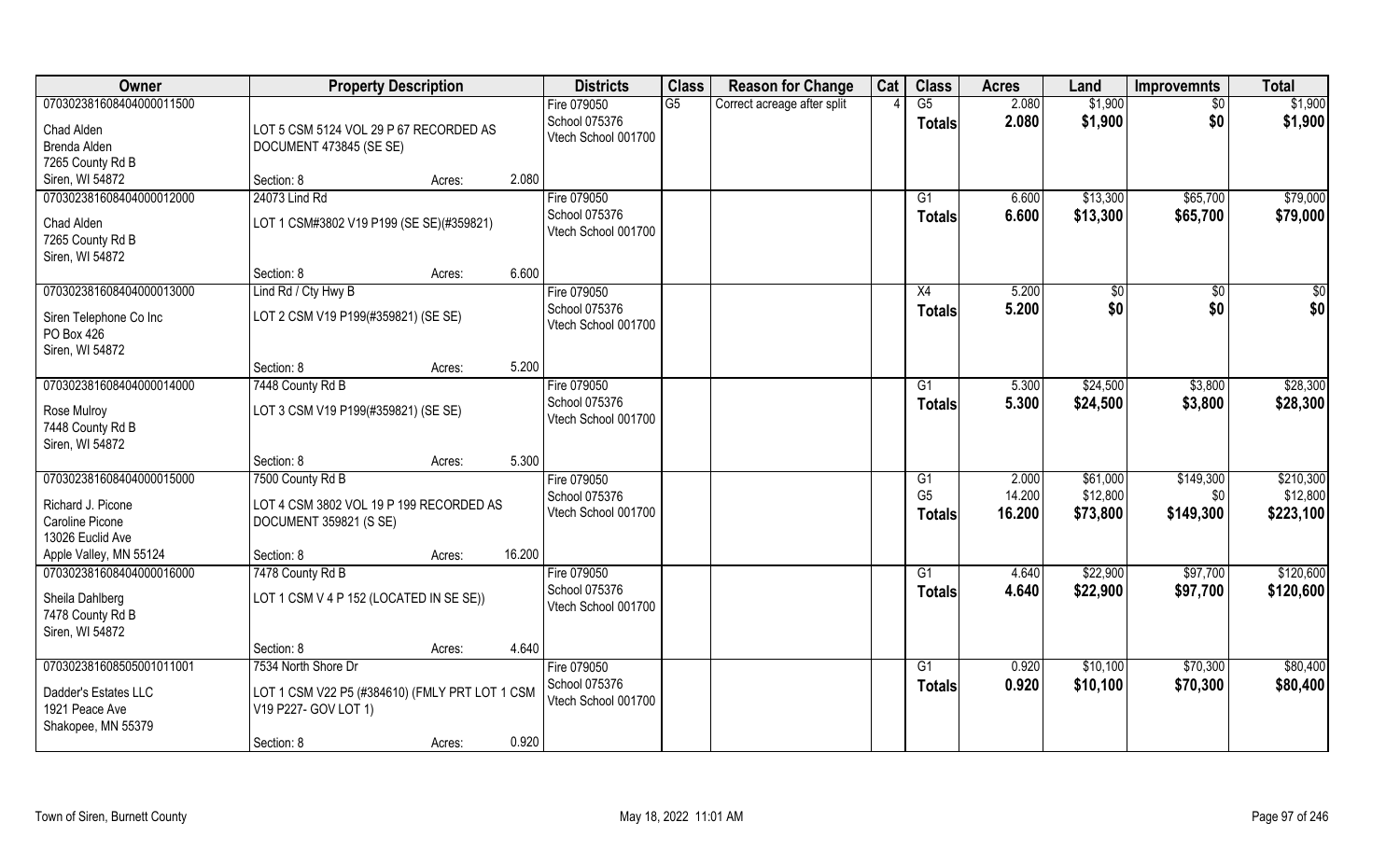| 070302381608404000011500<br>G5<br>2.080<br>\$1,900<br>\$1,900<br>Fire 079050<br>$\overline{G5}$<br>Correct acreage after split<br>\$0<br>2.080<br>\$1,900<br>\$0<br>\$1,900<br>School 075376<br><b>Totals</b><br>Chad Alden<br>LOT 5 CSM 5124 VOL 29 P 67 RECORDED AS<br>Vtech School 001700<br>Brenda Alden<br>DOCUMENT 473845 (SE SE)<br>7265 County Rd B<br>Siren, WI 54872<br>2.080<br>Section: 8<br>Acres:<br>Fire 079050<br>070302381608404000012000<br>24073 Lind Rd<br>\$13,300<br>\$65,700<br>\$79,000<br>G1<br>6.600<br>School 075376<br>6.600<br>\$13,300<br>\$65,700<br>\$79,000<br><b>Totals</b><br>LOT 1 CSM#3802 V19 P199 (SE SE)(#359821)<br>Chad Alden<br>Vtech School 001700<br>7265 County Rd B<br>Siren, WI 54872<br>6.600<br>Section: 8<br>Acres:<br>070302381608404000013000<br>Lind Rd / Cty Hwy B<br>Fire 079050<br>X4<br>5.200<br>\$0<br>\$0<br>\$0<br>\$0<br>School 075376<br>\$0<br>\$0<br>5.200<br><b>Totals</b><br>LOT 2 CSM V19 P199(#359821) (SE SE)<br>Siren Telephone Co Inc<br>Vtech School 001700<br>PO Box 426<br>Siren, WI 54872<br>5.200<br>Section: 8<br>Acres:<br>070302381608404000014000<br>7448 County Rd B<br>Fire 079050<br>\$24,500<br>\$28,300<br>5.300<br>\$3,800<br>G1<br>School 075376<br>5.300<br>\$24,500<br>\$3,800<br>\$28,300<br><b>Totals</b><br>LOT 3 CSM V19 P199(#359821) (SE SE)<br>Rose Mulroy<br>Vtech School 001700<br>7448 County Rd B<br>Siren, WI 54872<br>5.300<br>Section: 8<br>Acres:<br>\$210,300<br>070302381608404000015000<br>2.000<br>\$61,000<br>\$149,300<br>7500 County Rd B<br>Fire 079050<br>G1<br>G <sub>5</sub><br>14.200<br>\$12,800<br>\$12,800<br>\$0<br>School 075376<br>Richard J. Picone<br>LOT 4 CSM 3802 VOL 19 P 199 RECORDED AS<br>16.200<br>\$73,800<br>\$149,300<br>\$223,100<br>Vtech School 001700<br><b>Totals</b><br>Caroline Picone<br>DOCUMENT 359821 (S SE)<br>13026 Euclid Ave<br>16.200<br>Apple Valley, MN 55124<br>Section: 8<br>Acres:<br>\$120,600<br>070302381608404000016000<br>7478 County Rd B<br>Fire 079050<br>\$22,900<br>\$97,700<br>G1<br>4.640<br>\$97,700<br>School 075376<br>4.640<br>\$22,900<br>\$120,600<br><b>Totals</b><br>LOT 1 CSM V 4 P 152 (LOCATED IN SE SE))<br>Sheila Dahlberg<br>Vtech School 001700<br>7478 County Rd B<br>Siren, WI 54872<br>4.640<br>Section: 8<br>Acres:<br>070302381608505001011001<br>\$80,400<br>7534 North Shore Dr<br>Fire 079050<br>$\overline{G1}$<br>\$10,100<br>\$70,300<br>0.920<br>School 075376<br>0.920<br>\$70,300<br>\$80,400<br>\$10,100<br><b>Totals</b><br>Dadder's Estates LLC<br>LOT 1 CSM V22 P5 (#384610) (FMLY PRT LOT 1 CSM<br>Vtech School 001700<br>1921 Peace Ave<br>V19 P227- GOV LOT 1)<br>Shakopee, MN 55379<br>0.920 | Owner | <b>Property Description</b> |        | <b>Districts</b> | <b>Class</b> | <b>Reason for Change</b> | Cat | <b>Class</b> | <b>Acres</b> | Land | <b>Improvemnts</b> | <b>Total</b> |
|------------------------------------------------------------------------------------------------------------------------------------------------------------------------------------------------------------------------------------------------------------------------------------------------------------------------------------------------------------------------------------------------------------------------------------------------------------------------------------------------------------------------------------------------------------------------------------------------------------------------------------------------------------------------------------------------------------------------------------------------------------------------------------------------------------------------------------------------------------------------------------------------------------------------------------------------------------------------------------------------------------------------------------------------------------------------------------------------------------------------------------------------------------------------------------------------------------------------------------------------------------------------------------------------------------------------------------------------------------------------------------------------------------------------------------------------------------------------------------------------------------------------------------------------------------------------------------------------------------------------------------------------------------------------------------------------------------------------------------------------------------------------------------------------------------------------------------------------------------------------------------------------------------------------------------------------------------------------------------------------------------------------------------------------------------------------------------------------------------------------------------------------------------------------------------------------------------------------------------------------------------------------------------------------------------------------------------------------------------------------------------------------------------------------------------------------------------------------------------------------------------------------------------------------------------------------------------------------------------------------------------------------------------------------------------------------------------|-------|-----------------------------|--------|------------------|--------------|--------------------------|-----|--------------|--------------|------|--------------------|--------------|
|                                                                                                                                                                                                                                                                                                                                                                                                                                                                                                                                                                                                                                                                                                                                                                                                                                                                                                                                                                                                                                                                                                                                                                                                                                                                                                                                                                                                                                                                                                                                                                                                                                                                                                                                                                                                                                                                                                                                                                                                                                                                                                                                                                                                                                                                                                                                                                                                                                                                                                                                                                                                                                                                                                            |       |                             |        |                  |              |                          |     |              |              |      |                    |              |
|                                                                                                                                                                                                                                                                                                                                                                                                                                                                                                                                                                                                                                                                                                                                                                                                                                                                                                                                                                                                                                                                                                                                                                                                                                                                                                                                                                                                                                                                                                                                                                                                                                                                                                                                                                                                                                                                                                                                                                                                                                                                                                                                                                                                                                                                                                                                                                                                                                                                                                                                                                                                                                                                                                            |       |                             |        |                  |              |                          |     |              |              |      |                    |              |
|                                                                                                                                                                                                                                                                                                                                                                                                                                                                                                                                                                                                                                                                                                                                                                                                                                                                                                                                                                                                                                                                                                                                                                                                                                                                                                                                                                                                                                                                                                                                                                                                                                                                                                                                                                                                                                                                                                                                                                                                                                                                                                                                                                                                                                                                                                                                                                                                                                                                                                                                                                                                                                                                                                            |       |                             |        |                  |              |                          |     |              |              |      |                    |              |
|                                                                                                                                                                                                                                                                                                                                                                                                                                                                                                                                                                                                                                                                                                                                                                                                                                                                                                                                                                                                                                                                                                                                                                                                                                                                                                                                                                                                                                                                                                                                                                                                                                                                                                                                                                                                                                                                                                                                                                                                                                                                                                                                                                                                                                                                                                                                                                                                                                                                                                                                                                                                                                                                                                            |       |                             |        |                  |              |                          |     |              |              |      |                    |              |
|                                                                                                                                                                                                                                                                                                                                                                                                                                                                                                                                                                                                                                                                                                                                                                                                                                                                                                                                                                                                                                                                                                                                                                                                                                                                                                                                                                                                                                                                                                                                                                                                                                                                                                                                                                                                                                                                                                                                                                                                                                                                                                                                                                                                                                                                                                                                                                                                                                                                                                                                                                                                                                                                                                            |       |                             |        |                  |              |                          |     |              |              |      |                    |              |
|                                                                                                                                                                                                                                                                                                                                                                                                                                                                                                                                                                                                                                                                                                                                                                                                                                                                                                                                                                                                                                                                                                                                                                                                                                                                                                                                                                                                                                                                                                                                                                                                                                                                                                                                                                                                                                                                                                                                                                                                                                                                                                                                                                                                                                                                                                                                                                                                                                                                                                                                                                                                                                                                                                            |       |                             |        |                  |              |                          |     |              |              |      |                    |              |
|                                                                                                                                                                                                                                                                                                                                                                                                                                                                                                                                                                                                                                                                                                                                                                                                                                                                                                                                                                                                                                                                                                                                                                                                                                                                                                                                                                                                                                                                                                                                                                                                                                                                                                                                                                                                                                                                                                                                                                                                                                                                                                                                                                                                                                                                                                                                                                                                                                                                                                                                                                                                                                                                                                            |       |                             |        |                  |              |                          |     |              |              |      |                    |              |
|                                                                                                                                                                                                                                                                                                                                                                                                                                                                                                                                                                                                                                                                                                                                                                                                                                                                                                                                                                                                                                                                                                                                                                                                                                                                                                                                                                                                                                                                                                                                                                                                                                                                                                                                                                                                                                                                                                                                                                                                                                                                                                                                                                                                                                                                                                                                                                                                                                                                                                                                                                                                                                                                                                            |       |                             |        |                  |              |                          |     |              |              |      |                    |              |
|                                                                                                                                                                                                                                                                                                                                                                                                                                                                                                                                                                                                                                                                                                                                                                                                                                                                                                                                                                                                                                                                                                                                                                                                                                                                                                                                                                                                                                                                                                                                                                                                                                                                                                                                                                                                                                                                                                                                                                                                                                                                                                                                                                                                                                                                                                                                                                                                                                                                                                                                                                                                                                                                                                            |       |                             |        |                  |              |                          |     |              |              |      |                    |              |
|                                                                                                                                                                                                                                                                                                                                                                                                                                                                                                                                                                                                                                                                                                                                                                                                                                                                                                                                                                                                                                                                                                                                                                                                                                                                                                                                                                                                                                                                                                                                                                                                                                                                                                                                                                                                                                                                                                                                                                                                                                                                                                                                                                                                                                                                                                                                                                                                                                                                                                                                                                                                                                                                                                            |       |                             |        |                  |              |                          |     |              |              |      |                    |              |
|                                                                                                                                                                                                                                                                                                                                                                                                                                                                                                                                                                                                                                                                                                                                                                                                                                                                                                                                                                                                                                                                                                                                                                                                                                                                                                                                                                                                                                                                                                                                                                                                                                                                                                                                                                                                                                                                                                                                                                                                                                                                                                                                                                                                                                                                                                                                                                                                                                                                                                                                                                                                                                                                                                            |       |                             |        |                  |              |                          |     |              |              |      |                    |              |
|                                                                                                                                                                                                                                                                                                                                                                                                                                                                                                                                                                                                                                                                                                                                                                                                                                                                                                                                                                                                                                                                                                                                                                                                                                                                                                                                                                                                                                                                                                                                                                                                                                                                                                                                                                                                                                                                                                                                                                                                                                                                                                                                                                                                                                                                                                                                                                                                                                                                                                                                                                                                                                                                                                            |       |                             |        |                  |              |                          |     |              |              |      |                    |              |
|                                                                                                                                                                                                                                                                                                                                                                                                                                                                                                                                                                                                                                                                                                                                                                                                                                                                                                                                                                                                                                                                                                                                                                                                                                                                                                                                                                                                                                                                                                                                                                                                                                                                                                                                                                                                                                                                                                                                                                                                                                                                                                                                                                                                                                                                                                                                                                                                                                                                                                                                                                                                                                                                                                            |       |                             |        |                  |              |                          |     |              |              |      |                    |              |
|                                                                                                                                                                                                                                                                                                                                                                                                                                                                                                                                                                                                                                                                                                                                                                                                                                                                                                                                                                                                                                                                                                                                                                                                                                                                                                                                                                                                                                                                                                                                                                                                                                                                                                                                                                                                                                                                                                                                                                                                                                                                                                                                                                                                                                                                                                                                                                                                                                                                                                                                                                                                                                                                                                            |       |                             |        |                  |              |                          |     |              |              |      |                    |              |
|                                                                                                                                                                                                                                                                                                                                                                                                                                                                                                                                                                                                                                                                                                                                                                                                                                                                                                                                                                                                                                                                                                                                                                                                                                                                                                                                                                                                                                                                                                                                                                                                                                                                                                                                                                                                                                                                                                                                                                                                                                                                                                                                                                                                                                                                                                                                                                                                                                                                                                                                                                                                                                                                                                            |       |                             |        |                  |              |                          |     |              |              |      |                    |              |
|                                                                                                                                                                                                                                                                                                                                                                                                                                                                                                                                                                                                                                                                                                                                                                                                                                                                                                                                                                                                                                                                                                                                                                                                                                                                                                                                                                                                                                                                                                                                                                                                                                                                                                                                                                                                                                                                                                                                                                                                                                                                                                                                                                                                                                                                                                                                                                                                                                                                                                                                                                                                                                                                                                            |       |                             |        |                  |              |                          |     |              |              |      |                    |              |
|                                                                                                                                                                                                                                                                                                                                                                                                                                                                                                                                                                                                                                                                                                                                                                                                                                                                                                                                                                                                                                                                                                                                                                                                                                                                                                                                                                                                                                                                                                                                                                                                                                                                                                                                                                                                                                                                                                                                                                                                                                                                                                                                                                                                                                                                                                                                                                                                                                                                                                                                                                                                                                                                                                            |       |                             |        |                  |              |                          |     |              |              |      |                    |              |
|                                                                                                                                                                                                                                                                                                                                                                                                                                                                                                                                                                                                                                                                                                                                                                                                                                                                                                                                                                                                                                                                                                                                                                                                                                                                                                                                                                                                                                                                                                                                                                                                                                                                                                                                                                                                                                                                                                                                                                                                                                                                                                                                                                                                                                                                                                                                                                                                                                                                                                                                                                                                                                                                                                            |       |                             |        |                  |              |                          |     |              |              |      |                    |              |
|                                                                                                                                                                                                                                                                                                                                                                                                                                                                                                                                                                                                                                                                                                                                                                                                                                                                                                                                                                                                                                                                                                                                                                                                                                                                                                                                                                                                                                                                                                                                                                                                                                                                                                                                                                                                                                                                                                                                                                                                                                                                                                                                                                                                                                                                                                                                                                                                                                                                                                                                                                                                                                                                                                            |       |                             |        |                  |              |                          |     |              |              |      |                    |              |
|                                                                                                                                                                                                                                                                                                                                                                                                                                                                                                                                                                                                                                                                                                                                                                                                                                                                                                                                                                                                                                                                                                                                                                                                                                                                                                                                                                                                                                                                                                                                                                                                                                                                                                                                                                                                                                                                                                                                                                                                                                                                                                                                                                                                                                                                                                                                                                                                                                                                                                                                                                                                                                                                                                            |       |                             |        |                  |              |                          |     |              |              |      |                    |              |
|                                                                                                                                                                                                                                                                                                                                                                                                                                                                                                                                                                                                                                                                                                                                                                                                                                                                                                                                                                                                                                                                                                                                                                                                                                                                                                                                                                                                                                                                                                                                                                                                                                                                                                                                                                                                                                                                                                                                                                                                                                                                                                                                                                                                                                                                                                                                                                                                                                                                                                                                                                                                                                                                                                            |       |                             |        |                  |              |                          |     |              |              |      |                    |              |
|                                                                                                                                                                                                                                                                                                                                                                                                                                                                                                                                                                                                                                                                                                                                                                                                                                                                                                                                                                                                                                                                                                                                                                                                                                                                                                                                                                                                                                                                                                                                                                                                                                                                                                                                                                                                                                                                                                                                                                                                                                                                                                                                                                                                                                                                                                                                                                                                                                                                                                                                                                                                                                                                                                            |       |                             |        |                  |              |                          |     |              |              |      |                    |              |
|                                                                                                                                                                                                                                                                                                                                                                                                                                                                                                                                                                                                                                                                                                                                                                                                                                                                                                                                                                                                                                                                                                                                                                                                                                                                                                                                                                                                                                                                                                                                                                                                                                                                                                                                                                                                                                                                                                                                                                                                                                                                                                                                                                                                                                                                                                                                                                                                                                                                                                                                                                                                                                                                                                            |       |                             |        |                  |              |                          |     |              |              |      |                    |              |
|                                                                                                                                                                                                                                                                                                                                                                                                                                                                                                                                                                                                                                                                                                                                                                                                                                                                                                                                                                                                                                                                                                                                                                                                                                                                                                                                                                                                                                                                                                                                                                                                                                                                                                                                                                                                                                                                                                                                                                                                                                                                                                                                                                                                                                                                                                                                                                                                                                                                                                                                                                                                                                                                                                            |       |                             |        |                  |              |                          |     |              |              |      |                    |              |
|                                                                                                                                                                                                                                                                                                                                                                                                                                                                                                                                                                                                                                                                                                                                                                                                                                                                                                                                                                                                                                                                                                                                                                                                                                                                                                                                                                                                                                                                                                                                                                                                                                                                                                                                                                                                                                                                                                                                                                                                                                                                                                                                                                                                                                                                                                                                                                                                                                                                                                                                                                                                                                                                                                            |       |                             |        |                  |              |                          |     |              |              |      |                    |              |
|                                                                                                                                                                                                                                                                                                                                                                                                                                                                                                                                                                                                                                                                                                                                                                                                                                                                                                                                                                                                                                                                                                                                                                                                                                                                                                                                                                                                                                                                                                                                                                                                                                                                                                                                                                                                                                                                                                                                                                                                                                                                                                                                                                                                                                                                                                                                                                                                                                                                                                                                                                                                                                                                                                            |       |                             |        |                  |              |                          |     |              |              |      |                    |              |
|                                                                                                                                                                                                                                                                                                                                                                                                                                                                                                                                                                                                                                                                                                                                                                                                                                                                                                                                                                                                                                                                                                                                                                                                                                                                                                                                                                                                                                                                                                                                                                                                                                                                                                                                                                                                                                                                                                                                                                                                                                                                                                                                                                                                                                                                                                                                                                                                                                                                                                                                                                                                                                                                                                            |       |                             |        |                  |              |                          |     |              |              |      |                    |              |
|                                                                                                                                                                                                                                                                                                                                                                                                                                                                                                                                                                                                                                                                                                                                                                                                                                                                                                                                                                                                                                                                                                                                                                                                                                                                                                                                                                                                                                                                                                                                                                                                                                                                                                                                                                                                                                                                                                                                                                                                                                                                                                                                                                                                                                                                                                                                                                                                                                                                                                                                                                                                                                                                                                            |       |                             |        |                  |              |                          |     |              |              |      |                    |              |
|                                                                                                                                                                                                                                                                                                                                                                                                                                                                                                                                                                                                                                                                                                                                                                                                                                                                                                                                                                                                                                                                                                                                                                                                                                                                                                                                                                                                                                                                                                                                                                                                                                                                                                                                                                                                                                                                                                                                                                                                                                                                                                                                                                                                                                                                                                                                                                                                                                                                                                                                                                                                                                                                                                            |       |                             |        |                  |              |                          |     |              |              |      |                    |              |
|                                                                                                                                                                                                                                                                                                                                                                                                                                                                                                                                                                                                                                                                                                                                                                                                                                                                                                                                                                                                                                                                                                                                                                                                                                                                                                                                                                                                                                                                                                                                                                                                                                                                                                                                                                                                                                                                                                                                                                                                                                                                                                                                                                                                                                                                                                                                                                                                                                                                                                                                                                                                                                                                                                            |       |                             |        |                  |              |                          |     |              |              |      |                    |              |
|                                                                                                                                                                                                                                                                                                                                                                                                                                                                                                                                                                                                                                                                                                                                                                                                                                                                                                                                                                                                                                                                                                                                                                                                                                                                                                                                                                                                                                                                                                                                                                                                                                                                                                                                                                                                                                                                                                                                                                                                                                                                                                                                                                                                                                                                                                                                                                                                                                                                                                                                                                                                                                                                                                            |       |                             |        |                  |              |                          |     |              |              |      |                    |              |
|                                                                                                                                                                                                                                                                                                                                                                                                                                                                                                                                                                                                                                                                                                                                                                                                                                                                                                                                                                                                                                                                                                                                                                                                                                                                                                                                                                                                                                                                                                                                                                                                                                                                                                                                                                                                                                                                                                                                                                                                                                                                                                                                                                                                                                                                                                                                                                                                                                                                                                                                                                                                                                                                                                            |       |                             |        |                  |              |                          |     |              |              |      |                    |              |
|                                                                                                                                                                                                                                                                                                                                                                                                                                                                                                                                                                                                                                                                                                                                                                                                                                                                                                                                                                                                                                                                                                                                                                                                                                                                                                                                                                                                                                                                                                                                                                                                                                                                                                                                                                                                                                                                                                                                                                                                                                                                                                                                                                                                                                                                                                                                                                                                                                                                                                                                                                                                                                                                                                            |       |                             |        |                  |              |                          |     |              |              |      |                    |              |
|                                                                                                                                                                                                                                                                                                                                                                                                                                                                                                                                                                                                                                                                                                                                                                                                                                                                                                                                                                                                                                                                                                                                                                                                                                                                                                                                                                                                                                                                                                                                                                                                                                                                                                                                                                                                                                                                                                                                                                                                                                                                                                                                                                                                                                                                                                                                                                                                                                                                                                                                                                                                                                                                                                            |       |                             |        |                  |              |                          |     |              |              |      |                    |              |
|                                                                                                                                                                                                                                                                                                                                                                                                                                                                                                                                                                                                                                                                                                                                                                                                                                                                                                                                                                                                                                                                                                                                                                                                                                                                                                                                                                                                                                                                                                                                                                                                                                                                                                                                                                                                                                                                                                                                                                                                                                                                                                                                                                                                                                                                                                                                                                                                                                                                                                                                                                                                                                                                                                            |       | Section: 8                  | Acres: |                  |              |                          |     |              |              |      |                    |              |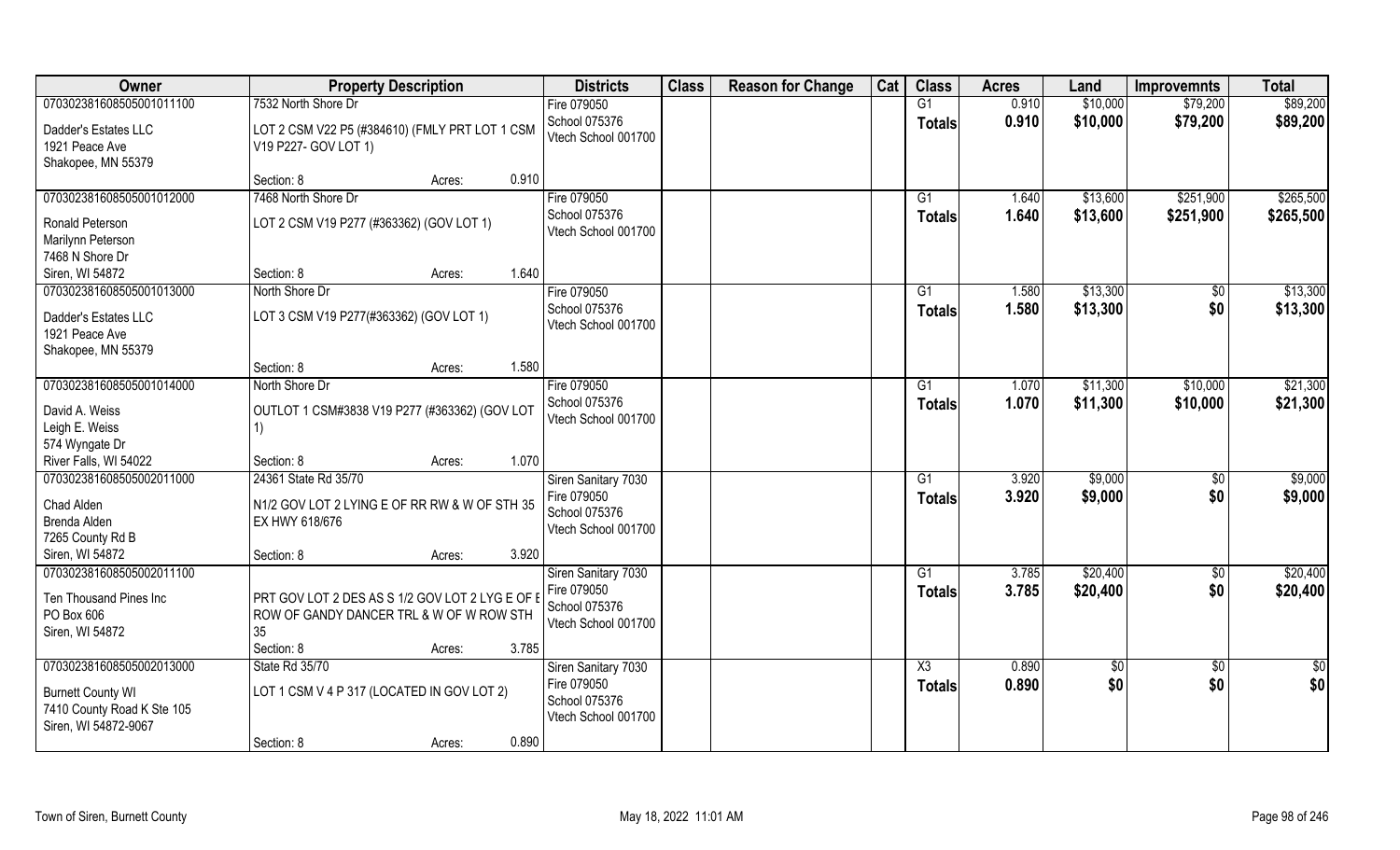| Owner                                                                          | <b>Property Description</b>                                                                                     |        |       | <b>Districts</b>                                    | <b>Class</b> | <b>Reason for Change</b> | Cat | <b>Class</b>           | <b>Acres</b> | Land       | <b>Improvemnts</b> | <b>Total</b>  |
|--------------------------------------------------------------------------------|-----------------------------------------------------------------------------------------------------------------|--------|-------|-----------------------------------------------------|--------------|--------------------------|-----|------------------------|--------------|------------|--------------------|---------------|
| 070302381608505001011100                                                       | 7532 North Shore Dr                                                                                             |        |       | Fire 079050                                         |              |                          |     | G1                     | 0.910        | \$10,000   | \$79,200           | \$89,200      |
| Dadder's Estates LLC<br>1921 Peace Ave                                         | LOT 2 CSM V22 P5 (#384610) (FMLY PRT LOT 1 CSM<br>V19 P227- GOV LOT 1)                                          |        |       | School 075376<br>Vtech School 001700                |              |                          |     | <b>Totals</b>          | 0.910        | \$10,000   | \$79,200           | \$89,200      |
| Shakopee, MN 55379                                                             | Section: 8                                                                                                      | Acres: | 0.910 |                                                     |              |                          |     |                        |              |            |                    |               |
| 070302381608505001012000                                                       | 7468 North Shore Dr                                                                                             |        |       | Fire 079050                                         |              |                          |     | G1                     | 1.640        | \$13,600   | \$251,900          | \$265,500     |
| Ronald Peterson<br>Marilynn Peterson<br>7468 N Shore Dr                        | LOT 2 CSM V19 P277 (#363362) (GOV LOT 1)                                                                        |        |       | School 075376<br>Vtech School 001700                |              |                          |     | <b>Totals</b>          | 1.640        | \$13,600   | \$251,900          | \$265,500     |
| Siren, WI 54872                                                                | Section: 8                                                                                                      | Acres: | 1.640 |                                                     |              |                          |     |                        |              |            |                    |               |
| 070302381608505001013000                                                       | North Shore Dr                                                                                                  |        |       | Fire 079050                                         |              |                          |     | G1                     | 1.580        | \$13,300   | $\sqrt[6]{}$       | \$13,300      |
| Dadder's Estates LLC<br>1921 Peace Ave                                         | LOT 3 CSM V19 P277(#363362) (GOV LOT 1)                                                                         |        |       | School 075376<br>Vtech School 001700                |              |                          |     | <b>Totals</b>          | 1.580        | \$13,300   | \$0                | \$13,300      |
| Shakopee, MN 55379                                                             | Section: 8                                                                                                      | Acres: | 1.580 |                                                     |              |                          |     |                        |              |            |                    |               |
| 070302381608505001014000                                                       | North Shore Dr                                                                                                  |        |       | Fire 079050                                         |              |                          |     | G <sub>1</sub>         | 1.070        | \$11,300   | \$10,000           | \$21,300      |
| David A. Weiss<br>Leigh E. Weiss<br>574 Wyngate Dr                             | OUTLOT 1 CSM#3838 V19 P277 (#363362) (GOV LOT                                                                   |        |       | School 075376<br>Vtech School 001700                |              |                          |     | <b>Totals</b>          | 1.070        | \$11,300   | \$10,000           | \$21,300      |
| River Falls, WI 54022                                                          | Section: 8                                                                                                      | Acres: | 1.070 |                                                     |              |                          |     |                        |              |            |                    |               |
| 070302381608505002011000                                                       | 24361 State Rd 35/70                                                                                            |        |       | Siren Sanitary 7030                                 |              |                          |     | G1                     | 3.920        | \$9,000    | \$0                | \$9,000       |
| Chad Alden<br>Brenda Alden<br>7265 County Rd B                                 | N1/2 GOV LOT 2 LYING E OF RR RW & W OF STH 35<br>EX HWY 618/676                                                 |        |       | Fire 079050<br>School 075376<br>Vtech School 001700 |              |                          |     | <b>Totals</b>          | 3.920        | \$9,000    | \$0                | \$9,000       |
| Siren, WI 54872                                                                | Section: 8                                                                                                      | Acres: | 3.920 |                                                     |              |                          |     |                        |              |            |                    |               |
| 070302381608505002011100                                                       |                                                                                                                 |        |       | Siren Sanitary 7030                                 |              |                          |     | G1                     | 3.785        | \$20,400   | \$0                | \$20,400      |
| Ten Thousand Pines Inc<br>PO Box 606<br>Siren, WI 54872                        | PRT GOV LOT 2 DES AS S 1/2 GOV LOT 2 LYG E OF I<br>ROW OF GANDY DANCER TRL & W OF W ROW STH<br>35<br>Section: 8 | Acres: | 3.785 | Fire 079050<br>School 075376<br>Vtech School 001700 |              |                          |     | <b>Totals</b>          | 3.785        | \$20,400   | \$0                | \$20,400      |
| 070302381608505002013000                                                       | State Rd 35/70                                                                                                  |        |       | Siren Sanitary 7030                                 |              |                          |     | $\overline{\text{X3}}$ | 0.890        | $\sqrt{6}$ | $\overline{50}$    | $\frac{1}{2}$ |
| <b>Burnett County WI</b><br>7410 County Road K Ste 105<br>Siren, WI 54872-9067 | LOT 1 CSM V 4 P 317 (LOCATED IN GOV LOT 2)                                                                      |        |       | Fire 079050<br>School 075376<br>Vtech School 001700 |              |                          |     | <b>Totals</b>          | 0.890        | \$0        | \$0                | \$0           |
|                                                                                | Section: 8                                                                                                      | Acres: | 0.890 |                                                     |              |                          |     |                        |              |            |                    |               |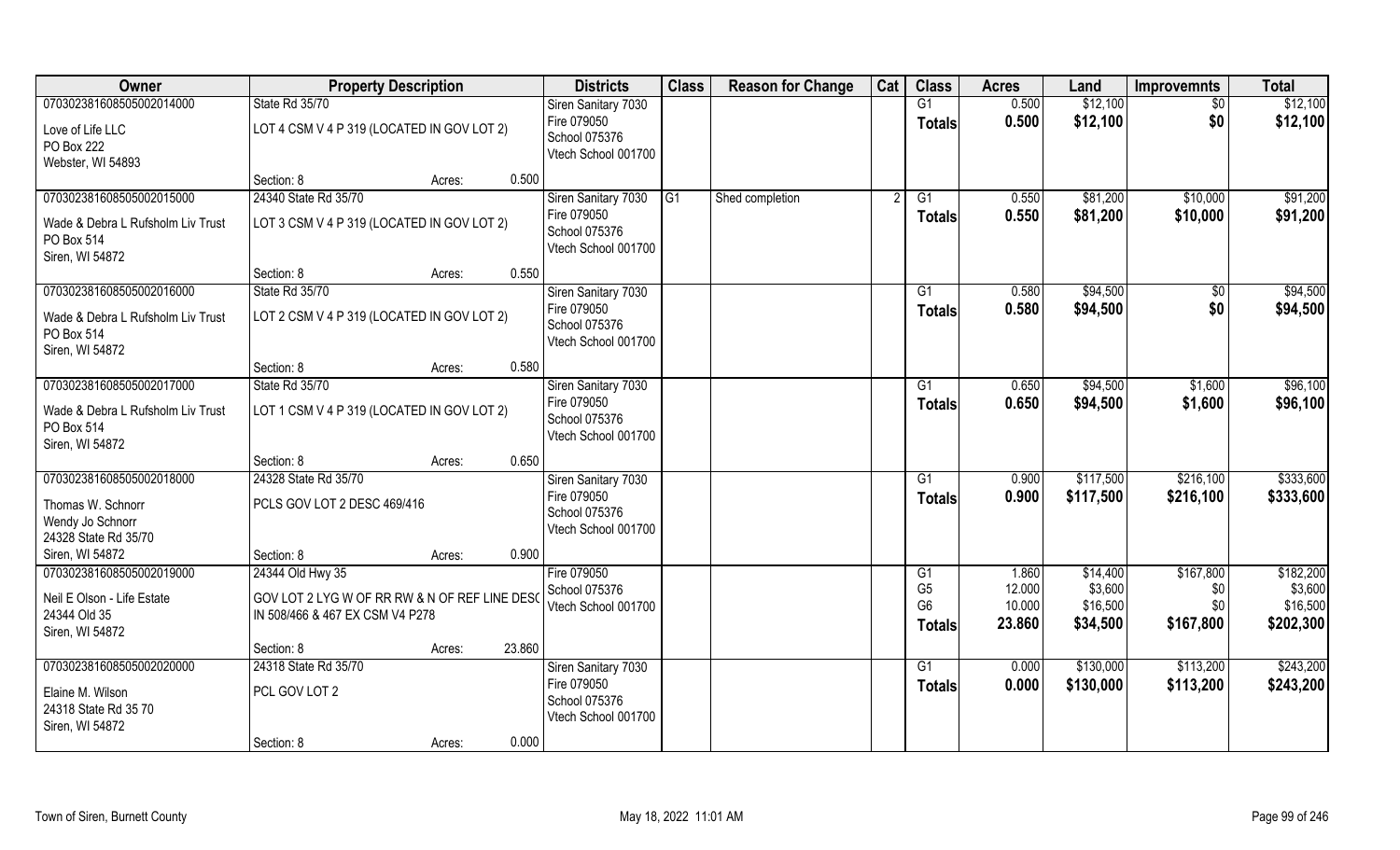| Owner                             | <b>Property Description</b>                   |        | <b>Districts</b>                     | <b>Class</b>    | <b>Reason for Change</b> | Cat | <b>Class</b>                     | <b>Acres</b>     | Land                | <b>Improvemnts</b> | <b>Total</b>        |
|-----------------------------------|-----------------------------------------------|--------|--------------------------------------|-----------------|--------------------------|-----|----------------------------------|------------------|---------------------|--------------------|---------------------|
| 070302381608505002014000          | State Rd 35/70                                |        | Siren Sanitary 7030                  |                 |                          |     | G1                               | 0.500            | \$12,100            | $\sqrt{6}$         | \$12,100            |
| Love of Life LLC                  | LOT 4 CSM V 4 P 319 (LOCATED IN GOV LOT 2)    |        | Fire 079050                          |                 |                          |     | <b>Totals</b>                    | 0.500            | \$12,100            | \$0                | \$12,100            |
| PO Box 222                        |                                               |        | School 075376                        |                 |                          |     |                                  |                  |                     |                    |                     |
| Webster, WI 54893                 |                                               |        | Vtech School 001700                  |                 |                          |     |                                  |                  |                     |                    |                     |
|                                   | Section: 8<br>Acres:                          | 0.500  |                                      |                 |                          |     |                                  |                  |                     |                    |                     |
| 070302381608505002015000          | 24340 State Rd 35/70                          |        | Siren Sanitary 7030                  | $\overline{G1}$ | Shed completion          |     | G1                               | 0.550            | \$81,200            | \$10,000           | \$91,200            |
| Wade & Debra L Rufsholm Liv Trust | LOT 3 CSM V 4 P 319 (LOCATED IN GOV LOT 2)    |        | Fire 079050                          |                 |                          |     | <b>Totals</b>                    | 0.550            | \$81,200            | \$10,000           | \$91,200            |
| PO Box 514                        |                                               |        | School 075376<br>Vtech School 001700 |                 |                          |     |                                  |                  |                     |                    |                     |
| Siren, WI 54872                   |                                               |        |                                      |                 |                          |     |                                  |                  |                     |                    |                     |
|                                   | Section: 8<br>Acres:                          | 0.550  |                                      |                 |                          |     |                                  |                  |                     |                    |                     |
| 070302381608505002016000          | State Rd 35/70                                |        | Siren Sanitary 7030                  |                 |                          |     | G1                               | 0.580            | \$94,500            | $\sqrt[6]{}$       | \$94,500            |
| Wade & Debra L Rufsholm Liv Trust | LOT 2 CSM V 4 P 319 (LOCATED IN GOV LOT 2)    |        | Fire 079050                          |                 |                          |     | <b>Totals</b>                    | 0.580            | \$94,500            | \$0                | \$94,500            |
| PO Box 514                        |                                               |        | School 075376<br>Vtech School 001700 |                 |                          |     |                                  |                  |                     |                    |                     |
| Siren, WI 54872                   |                                               |        |                                      |                 |                          |     |                                  |                  |                     |                    |                     |
|                                   | Section: 8<br>Acres:                          | 0.580  |                                      |                 |                          |     |                                  |                  |                     |                    |                     |
| 070302381608505002017000          | State Rd 35/70                                |        | Siren Sanitary 7030                  |                 |                          |     | G1                               | 0.650            | \$94,500            | \$1,600            | \$96,100            |
| Wade & Debra L Rufsholm Liv Trust | LOT 1 CSM V 4 P 319 (LOCATED IN GOV LOT 2)    |        | Fire 079050                          |                 |                          |     | <b>Totals</b>                    | 0.650            | \$94,500            | \$1,600            | \$96,100            |
| PO Box 514                        |                                               |        | School 075376<br>Vtech School 001700 |                 |                          |     |                                  |                  |                     |                    |                     |
| Siren, WI 54872                   |                                               |        |                                      |                 |                          |     |                                  |                  |                     |                    |                     |
|                                   | Section: 8<br>Acres:                          | 0.650  |                                      |                 |                          |     |                                  |                  |                     |                    |                     |
| 070302381608505002018000          | 24328 State Rd 35/70                          |        | Siren Sanitary 7030                  |                 |                          |     | G1                               | 0.900            | \$117,500           | \$216,100          | \$333,600           |
| Thomas W. Schnorr                 | PCLS GOV LOT 2 DESC 469/416                   |        | Fire 079050                          |                 |                          |     | <b>Totals</b>                    | 0.900            | \$117,500           | \$216,100          | \$333,600           |
| Wendy Jo Schnorr                  |                                               |        | School 075376<br>Vtech School 001700 |                 |                          |     |                                  |                  |                     |                    |                     |
| 24328 State Rd 35/70              |                                               |        |                                      |                 |                          |     |                                  |                  |                     |                    |                     |
| Siren, WI 54872                   | Section: 8<br>Acres:                          | 0.900  |                                      |                 |                          |     |                                  |                  |                     |                    |                     |
| 070302381608505002019000          | 24344 Old Hwy 35                              |        | Fire 079050                          |                 |                          |     | G1                               | 1.860            | \$14,400            | \$167,800          | \$182,200           |
| Neil E Olson - Life Estate        | GOV LOT 2 LYG W OF RR RW & N OF REF LINE DESO |        | School 075376<br>Vtech School 001700 |                 |                          |     | G <sub>5</sub><br>G <sub>6</sub> | 12.000<br>10.000 | \$3,600<br>\$16,500 | \$0<br>\$0         | \$3,600<br>\$16,500 |
| 24344 Old 35                      | IN 508/466 & 467 EX CSM V4 P278               |        |                                      |                 |                          |     | <b>Totals</b>                    | 23.860           | \$34,500            | \$167,800          | \$202,300           |
| Siren, WI 54872                   |                                               |        |                                      |                 |                          |     |                                  |                  |                     |                    |                     |
|                                   | Section: 8<br>Acres:                          | 23.860 |                                      |                 |                          |     |                                  |                  |                     |                    |                     |
| 070302381608505002020000          | 24318 State Rd 35/70                          |        | Siren Sanitary 7030                  |                 |                          |     | G1                               | 0.000            | \$130,000           | \$113,200          | \$243,200           |
| Elaine M. Wilson                  | PCL GOV LOT 2                                 |        | Fire 079050<br>School 075376         |                 |                          |     | <b>Totals</b>                    | 0.000            | \$130,000           | \$113,200          | \$243,200           |
| 24318 State Rd 35 70              |                                               |        | Vtech School 001700                  |                 |                          |     |                                  |                  |                     |                    |                     |
| Siren, WI 54872                   |                                               |        |                                      |                 |                          |     |                                  |                  |                     |                    |                     |
|                                   | Section: 8<br>Acres:                          | 0.000  |                                      |                 |                          |     |                                  |                  |                     |                    |                     |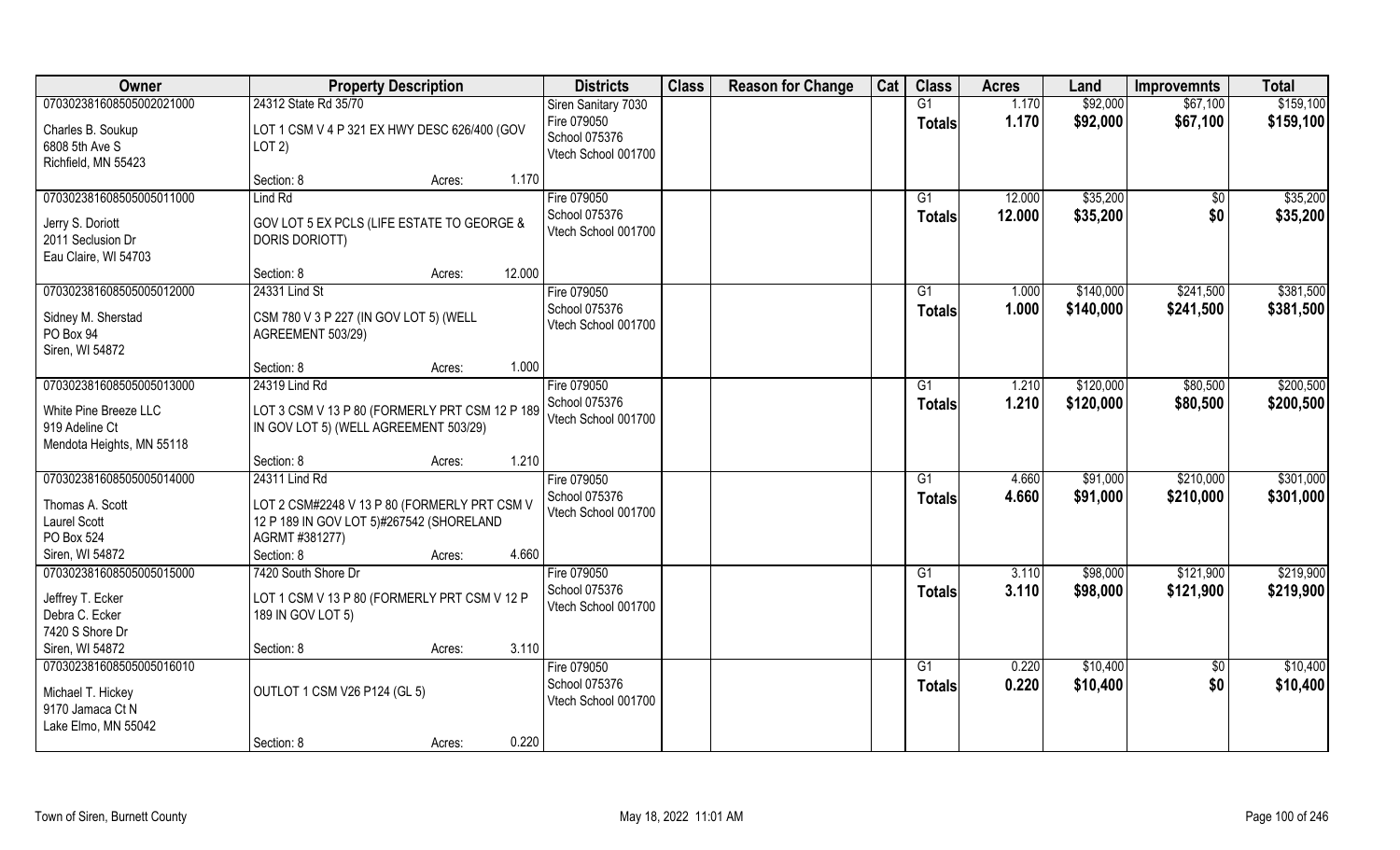| Owner                                                                                            | <b>Property Description</b>                                                                                                                                  | <b>Districts</b>                                    | <b>Class</b> | <b>Reason for Change</b> | Cat | <b>Class</b>                     | <b>Acres</b>     | Land                   | <b>Improvemnts</b>     | <b>Total</b>           |
|--------------------------------------------------------------------------------------------------|--------------------------------------------------------------------------------------------------------------------------------------------------------------|-----------------------------------------------------|--------------|--------------------------|-----|----------------------------------|------------------|------------------------|------------------------|------------------------|
| 070302381608505002021000                                                                         | 24312 State Rd 35/70                                                                                                                                         | Siren Sanitary 7030                                 |              |                          |     | G1                               | 1.170            | \$92,000               | \$67,100               | \$159,100              |
| Charles B. Soukup<br>6808 5th Ave S<br>Richfield, MN 55423                                       | LOT 1 CSM V 4 P 321 EX HWY DESC 626/400 (GOV<br>LOT 2)                                                                                                       | Fire 079050<br>School 075376<br>Vtech School 001700 |              |                          |     | <b>Totals</b>                    | 1.170            | \$92,000               | \$67,100               | \$159,100              |
|                                                                                                  | 1.170<br>Section: 8<br>Acres:                                                                                                                                |                                                     |              |                          |     |                                  |                  |                        |                        |                        |
| 070302381608505005011000<br>Jerry S. Doriott<br>2011 Seclusion Dr<br>Eau Claire, WI 54703        | Lind Rd<br>GOV LOT 5 EX PCLS (LIFE ESTATE TO GEORGE &<br>DORIS DORIOTT)                                                                                      | Fire 079050<br>School 075376<br>Vtech School 001700 |              |                          |     | G1<br>Totals                     | 12.000<br>12.000 | \$35,200<br>\$35,200   | $\sqrt{6}$<br>\$0      | \$35,200<br>\$35,200   |
|                                                                                                  | 12.000<br>Section: 8<br>Acres:                                                                                                                               |                                                     |              |                          |     |                                  |                  |                        |                        |                        |
| 070302381608505005012000<br>Sidney M. Sherstad<br>PO Box 94<br>Siren, WI 54872                   | 24331 Lind St<br>CSM 780 V 3 P 227 (IN GOV LOT 5) (WELL<br>AGREEMENT 503/29)                                                                                 | Fire 079050<br>School 075376<br>Vtech School 001700 |              |                          |     | G1<br><b>Totals</b>              | 1.000<br>1.000   | \$140,000<br>\$140,000 | \$241,500<br>\$241,500 | \$381,500<br>\$381,500 |
|                                                                                                  | 1.000<br>Section: 8<br>Acres:                                                                                                                                |                                                     |              |                          |     |                                  |                  |                        |                        |                        |
| 070302381608505005013000<br>White Pine Breeze LLC<br>919 Adeline Ct<br>Mendota Heights, MN 55118 | 24319 Lind Rd<br>LOT 3 CSM V 13 P 80 (FORMERLY PRT CSM 12 P 189<br>IN GOV LOT 5) (WELL AGREEMENT 503/29)                                                     | Fire 079050<br>School 075376<br>Vtech School 001700 |              |                          |     | G1<br><b>Totals</b>              | 1.210<br>1.210   | \$120,000<br>\$120,000 | \$80,500<br>\$80,500   | \$200,500<br>\$200,500 |
|                                                                                                  | 1.210<br>Section: 8<br>Acres:                                                                                                                                |                                                     |              |                          |     |                                  |                  |                        |                        |                        |
| 070302381608505005014000<br>Thomas A. Scott<br>Laurel Scott<br>PO Box 524<br>Siren, WI 54872     | 24311 Lind Rd<br>LOT 2 CSM#2248 V 13 P 80 (FORMERLY PRT CSM V<br>12 P 189 IN GOV LOT 5)#267542 (SHORELAND<br>AGRMT #381277)<br>4.660<br>Section: 8<br>Acres: | Fire 079050<br>School 075376<br>Vtech School 001700 |              |                          |     | $\overline{G1}$<br><b>Totals</b> | 4.660<br>4.660   | \$91,000<br>\$91,000   | \$210,000<br>\$210,000 | \$301,000<br>\$301,000 |
| 070302381608505005015000                                                                         | 7420 South Shore Dr                                                                                                                                          | Fire 079050                                         |              |                          |     | G1                               | 3.110            | \$98,000               | \$121,900              | \$219,900              |
| Jeffrey T. Ecker<br>Debra C. Ecker<br>7420 S Shore Dr                                            | LOT 1 CSM V 13 P 80 (FORMERLY PRT CSM V 12 P<br>189 IN GOV LOT 5)                                                                                            | School 075376<br>Vtech School 001700                |              |                          |     | <b>Totals</b>                    | 3.110            | \$98,000               | \$121,900              | \$219,900              |
| Siren, WI 54872                                                                                  | 3.110<br>Section: 8<br>Acres:                                                                                                                                |                                                     |              |                          |     |                                  |                  |                        |                        |                        |
| 070302381608505005016010<br>Michael T. Hickey<br>9170 Jamaca Ct N<br>Lake Elmo, MN 55042         | OUTLOT 1 CSM V26 P124 (GL 5)<br>0.220<br>Section: 8<br>Acres:                                                                                                | Fire 079050<br>School 075376<br>Vtech School 001700 |              |                          |     | $\overline{G1}$<br><b>Totals</b> | 0.220<br>0.220   | \$10,400<br>\$10,400   | $\overline{50}$<br>\$0 | \$10,400<br>\$10,400   |
|                                                                                                  |                                                                                                                                                              |                                                     |              |                          |     |                                  |                  |                        |                        |                        |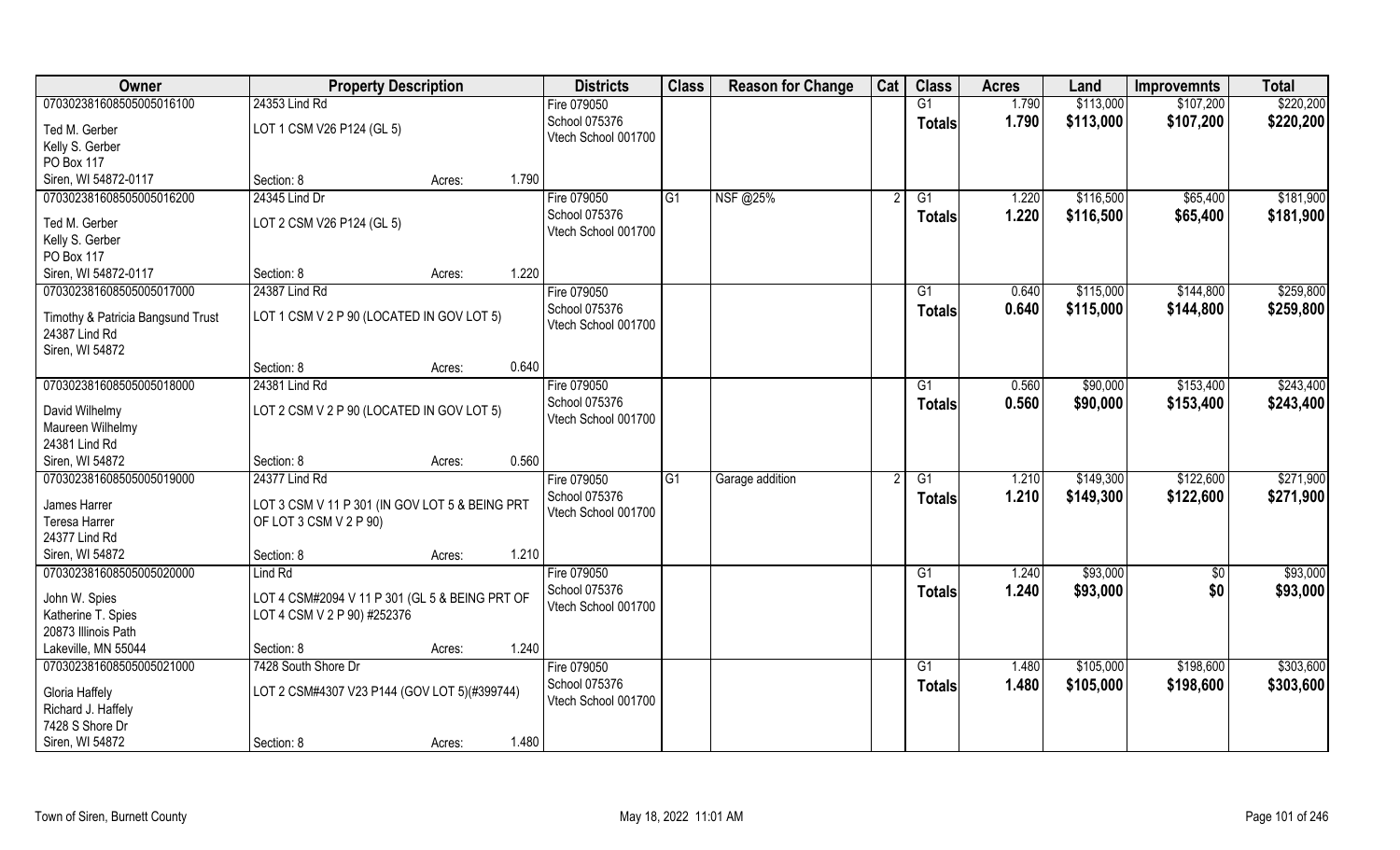| Owner                              | <b>Property Description</b>                    |                 | <b>Districts</b>             | <b>Class</b>    | <b>Reason for Change</b> | Cat | <b>Class</b>    | <b>Acres</b> | Land      | <b>Improvemnts</b> | <b>Total</b> |
|------------------------------------|------------------------------------------------|-----------------|------------------------------|-----------------|--------------------------|-----|-----------------|--------------|-----------|--------------------|--------------|
| 070302381608505005016100           | 24353 Lind Rd                                  |                 | Fire 079050                  |                 |                          |     | G1              | 1.790        | \$113,000 | \$107,200          | \$220,200    |
| Ted M. Gerber                      | LOT 1 CSM V26 P124 (GL 5)                      |                 | School 075376                |                 |                          |     | <b>Totals</b>   | 1.790        | \$113,000 | \$107,200          | \$220,200    |
| Kelly S. Gerber                    |                                                |                 | Vtech School 001700          |                 |                          |     |                 |              |           |                    |              |
| PO Box 117                         |                                                |                 |                              |                 |                          |     |                 |              |           |                    |              |
| Siren, WI 54872-0117               | Section: 8                                     | 1.790<br>Acres: |                              |                 |                          |     |                 |              |           |                    |              |
| 070302381608505005016200           | 24345 Lind Dr                                  |                 | Fire 079050                  | G1              | NSF @25%                 |     | G1              | 1.220        | \$116,500 | \$65,400           | \$181,900    |
|                                    |                                                |                 | School 075376                |                 |                          |     | Totals          | 1.220        | \$116,500 | \$65,400           | \$181,900    |
| Ted M. Gerber                      | LOT 2 CSM V26 P124 (GL 5)                      |                 | Vtech School 001700          |                 |                          |     |                 |              |           |                    |              |
| Kelly S. Gerber                    |                                                |                 |                              |                 |                          |     |                 |              |           |                    |              |
| PO Box 117<br>Siren, WI 54872-0117 | Section: 8                                     | 1.220           |                              |                 |                          |     |                 |              |           |                    |              |
| 070302381608505005017000           | 24387 Lind Rd                                  | Acres:          | Fire 079050                  |                 |                          |     | G1              | 0.640        | \$115,000 | \$144,800          | \$259,800    |
|                                    |                                                |                 | School 075376                |                 |                          |     |                 |              |           |                    |              |
| Timothy & Patricia Bangsund Trust  | LOT 1 CSM V 2 P 90 (LOCATED IN GOV LOT 5)      |                 | Vtech School 001700          |                 |                          |     | <b>Totals</b>   | 0.640        | \$115,000 | \$144,800          | \$259,800    |
| 24387 Lind Rd                      |                                                |                 |                              |                 |                          |     |                 |              |           |                    |              |
| Siren, WI 54872                    |                                                |                 |                              |                 |                          |     |                 |              |           |                    |              |
|                                    | Section: 8                                     | 0.640<br>Acres: |                              |                 |                          |     |                 |              |           |                    |              |
| 070302381608505005018000           | 24381 Lind Rd                                  |                 | Fire 079050                  |                 |                          |     | G1              | 0.560        | \$90,000  | \$153,400          | \$243,400    |
| David Wilhelmy                     | LOT 2 CSM V 2 P 90 (LOCATED IN GOV LOT 5)      |                 | School 075376                |                 |                          |     | <b>Totals</b>   | 0.560        | \$90,000  | \$153,400          | \$243,400    |
| Maureen Wilhelmy                   |                                                |                 | Vtech School 001700          |                 |                          |     |                 |              |           |                    |              |
| 24381 Lind Rd                      |                                                |                 |                              |                 |                          |     |                 |              |           |                    |              |
| Siren, WI 54872                    | Section: 8                                     | 0.560<br>Acres: |                              |                 |                          |     |                 |              |           |                    |              |
| 070302381608505005019000           | 24377 Lind Rd                                  |                 | Fire 079050                  | $\overline{G1}$ | Garage addition          |     | $\overline{G1}$ | 1.210        | \$149,300 | \$122,600          | \$271,900    |
|                                    |                                                |                 | School 075376                |                 |                          |     | <b>Totals</b>   | 1.210        | \$149,300 | \$122,600          | \$271,900    |
| James Harrer                       | LOT 3 CSM V 11 P 301 (IN GOV LOT 5 & BEING PRT |                 | Vtech School 001700          |                 |                          |     |                 |              |           |                    |              |
| Teresa Harrer                      | OF LOT 3 CSM V 2 P 90)                         |                 |                              |                 |                          |     |                 |              |           |                    |              |
| 24377 Lind Rd<br>Siren, WI 54872   |                                                | 1.210           |                              |                 |                          |     |                 |              |           |                    |              |
| 070302381608505005020000           | Section: 8<br>Lind Rd                          | Acres:          |                              |                 |                          |     |                 |              | \$93,000  |                    | \$93,000     |
|                                    |                                                |                 | Fire 079050<br>School 075376 |                 |                          |     | G1              | 1.240        |           | $\overline{50}$    |              |
| John W. Spies                      | LOT 4 CSM#2094 V 11 P 301 (GL 5 & BEING PRT OF |                 | Vtech School 001700          |                 |                          |     | <b>Totals</b>   | 1.240        | \$93,000  | \$0                | \$93,000     |
| Katherine T. Spies                 | LOT 4 CSM V 2 P 90) #252376                    |                 |                              |                 |                          |     |                 |              |           |                    |              |
| 20873 Illinois Path                |                                                |                 |                              |                 |                          |     |                 |              |           |                    |              |
| Lakeville, MN 55044                | Section: 8                                     | 1.240<br>Acres: |                              |                 |                          |     |                 |              |           |                    |              |
| 070302381608505005021000           | 7428 South Shore Dr                            |                 | Fire 079050                  |                 |                          |     | $\overline{G1}$ | 1.480        | \$105,000 | \$198,600          | \$303,600    |
| Gloria Haffely                     | LOT 2 CSM#4307 V23 P144 (GOV LOT 5)(#399744)   |                 | School 075376                |                 |                          |     | <b>Totals</b>   | 1.480        | \$105,000 | \$198,600          | \$303,600    |
| Richard J. Haffely                 |                                                |                 | Vtech School 001700          |                 |                          |     |                 |              |           |                    |              |
| 7428 S Shore Dr                    |                                                |                 |                              |                 |                          |     |                 |              |           |                    |              |
| Siren, WI 54872                    | Section: 8                                     | 1.480<br>Acres: |                              |                 |                          |     |                 |              |           |                    |              |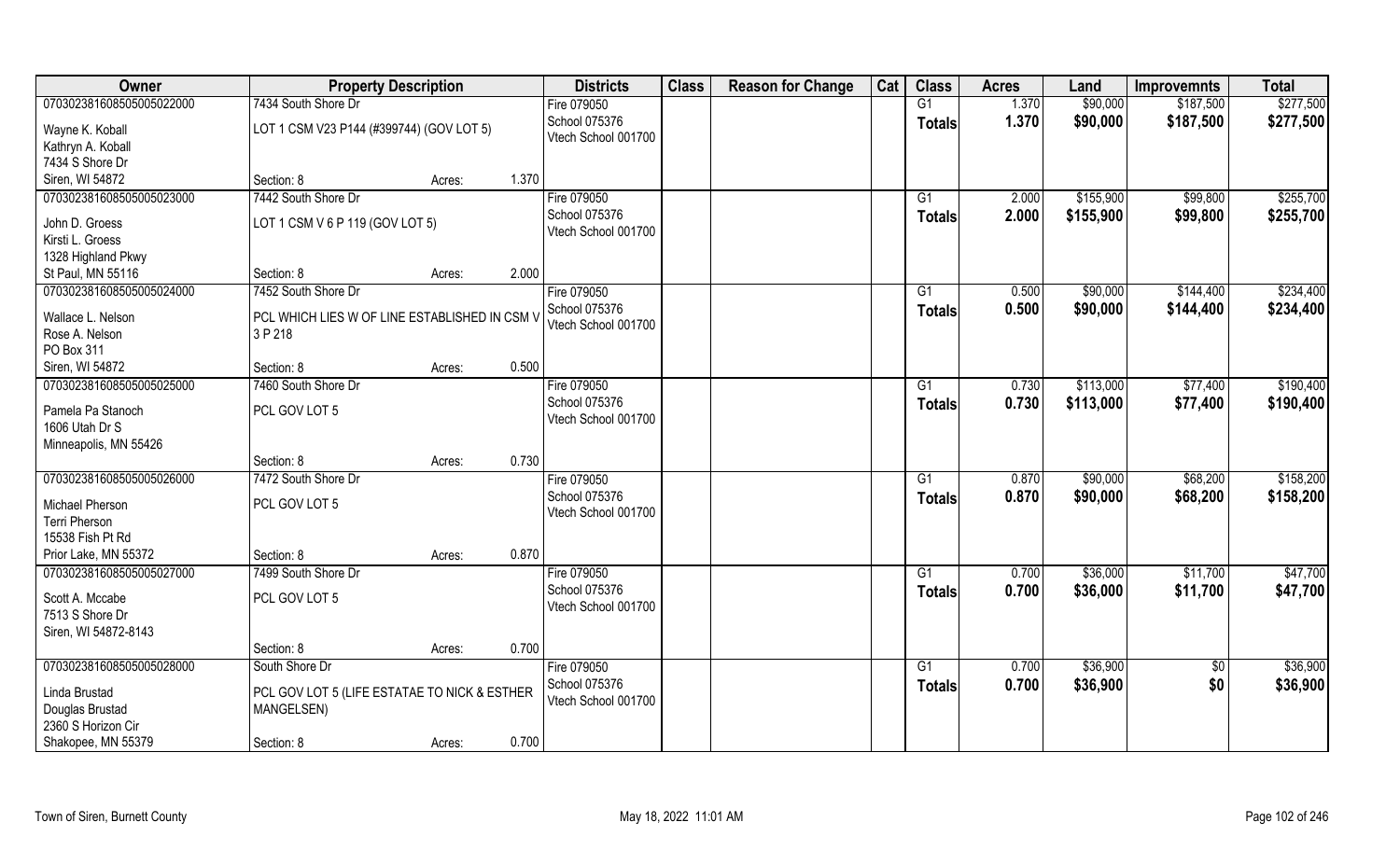| Owner                               | <b>Property Description</b>                   |        |       | <b>Districts</b>    | <b>Class</b> | <b>Reason for Change</b> | Cat | <b>Class</b>   | <b>Acres</b> | Land      | <b>Improvemnts</b> | <b>Total</b> |
|-------------------------------------|-----------------------------------------------|--------|-------|---------------------|--------------|--------------------------|-----|----------------|--------------|-----------|--------------------|--------------|
| 070302381608505005022000            | 7434 South Shore Dr                           |        |       | Fire 079050         |              |                          |     | G1             | 1.370        | \$90,000  | \$187,500          | \$277,500    |
| Wayne K. Koball                     | LOT 1 CSM V23 P144 (#399744) (GOV LOT 5)      |        |       | School 075376       |              |                          |     | <b>Totals</b>  | 1.370        | \$90,000  | \$187,500          | \$277,500    |
| Kathryn A. Koball                   |                                               |        |       | Vtech School 001700 |              |                          |     |                |              |           |                    |              |
| 7434 S Shore Dr                     |                                               |        |       |                     |              |                          |     |                |              |           |                    |              |
| Siren, WI 54872                     | Section: 8                                    | Acres: | 1.370 |                     |              |                          |     |                |              |           |                    |              |
| 070302381608505005023000            | 7442 South Shore Dr                           |        |       | Fire 079050         |              |                          |     | G <sub>1</sub> | 2.000        | \$155,900 | \$99,800           | \$255,700    |
|                                     |                                               |        |       | School 075376       |              |                          |     | <b>Totals</b>  | 2.000        | \$155,900 | \$99,800           | \$255,700    |
| John D. Groess                      | LOT 1 CSM V 6 P 119 (GOV LOT 5)               |        |       | Vtech School 001700 |              |                          |     |                |              |           |                    |              |
| Kirsti L. Groess                    |                                               |        |       |                     |              |                          |     |                |              |           |                    |              |
| 1328 Highland Pkwy                  |                                               |        |       |                     |              |                          |     |                |              |           |                    |              |
| St Paul, MN 55116                   | Section: 8                                    | Acres: | 2.000 |                     |              |                          |     |                |              |           |                    |              |
| 070302381608505005024000            | 7452 South Shore Dr                           |        |       | Fire 079050         |              |                          |     | G1             | 0.500        | \$90,000  | \$144,400          | \$234,400    |
| Wallace L. Nelson                   | PCL WHICH LIES W OF LINE ESTABLISHED IN CSM V |        |       | School 075376       |              |                          |     | <b>Totals</b>  | 0.500        | \$90,000  | \$144,400          | \$234,400    |
| Rose A. Nelson                      | 3 P 218                                       |        |       | Vtech School 001700 |              |                          |     |                |              |           |                    |              |
| PO Box 311                          |                                               |        |       |                     |              |                          |     |                |              |           |                    |              |
| Siren, WI 54872                     | Section: 8                                    | Acres: | 0.500 |                     |              |                          |     |                |              |           |                    |              |
| 070302381608505005025000            | 7460 South Shore Dr                           |        |       | Fire 079050         |              |                          |     | G1             | 0.730        | \$113,000 | \$77,400           | \$190,400    |
|                                     |                                               |        |       | School 075376       |              |                          |     | <b>Totals</b>  | 0.730        | \$113,000 | \$77,400           | \$190,400    |
| Pamela Pa Stanoch<br>1606 Utah Dr S | PCL GOV LOT 5                                 |        |       | Vtech School 001700 |              |                          |     |                |              |           |                    |              |
|                                     |                                               |        |       |                     |              |                          |     |                |              |           |                    |              |
| Minneapolis, MN 55426               | Section: 8                                    |        | 0.730 |                     |              |                          |     |                |              |           |                    |              |
| 070302381608505005026000            | 7472 South Shore Dr                           | Acres: |       | Fire 079050         |              |                          |     | G1             | 0.870        | \$90,000  | \$68,200           | \$158,200    |
|                                     |                                               |        |       | School 075376       |              |                          |     |                |              |           |                    |              |
| Michael Pherson                     | PCL GOV LOT 5                                 |        |       | Vtech School 001700 |              |                          |     | <b>Totals</b>  | 0.870        | \$90,000  | \$68,200           | \$158,200    |
| Terri Pherson                       |                                               |        |       |                     |              |                          |     |                |              |           |                    |              |
| 15538 Fish Pt Rd                    |                                               |        |       |                     |              |                          |     |                |              |           |                    |              |
| Prior Lake, MN 55372                | Section: 8                                    | Acres: | 0.870 |                     |              |                          |     |                |              |           |                    |              |
| 070302381608505005027000            | 7499 South Shore Dr                           |        |       | Fire 079050         |              |                          |     | G1             | 0.700        | \$36,000  | \$11,700           | \$47,700     |
| Scott A. Mccabe                     | PCL GOV LOT 5                                 |        |       | School 075376       |              |                          |     | <b>Totals</b>  | 0.700        | \$36,000  | \$11,700           | \$47,700     |
| 7513 S Shore Dr                     |                                               |        |       | Vtech School 001700 |              |                          |     |                |              |           |                    |              |
| Siren, WI 54872-8143                |                                               |        |       |                     |              |                          |     |                |              |           |                    |              |
|                                     | Section: 8                                    | Acres: | 0.700 |                     |              |                          |     |                |              |           |                    |              |
| 070302381608505005028000            | South Shore Dr                                |        |       | Fire 079050         |              |                          |     | G1             | 0.700        | \$36,900  | $\overline{50}$    | \$36,900     |
|                                     |                                               |        |       | School 075376       |              |                          |     |                | 0.700        | \$36,900  | \$0                | \$36,900     |
| Linda Brustad                       | PCL GOV LOT 5 (LIFE ESTATAE TO NICK & ESTHER  |        |       | Vtech School 001700 |              |                          |     | <b>Totals</b>  |              |           |                    |              |
| Douglas Brustad                     | MANGELSEN)                                    |        |       |                     |              |                          |     |                |              |           |                    |              |
| 2360 S Horizon Cir                  |                                               |        |       |                     |              |                          |     |                |              |           |                    |              |
| Shakopee, MN 55379                  | Section: 8                                    | Acres: | 0.700 |                     |              |                          |     |                |              |           |                    |              |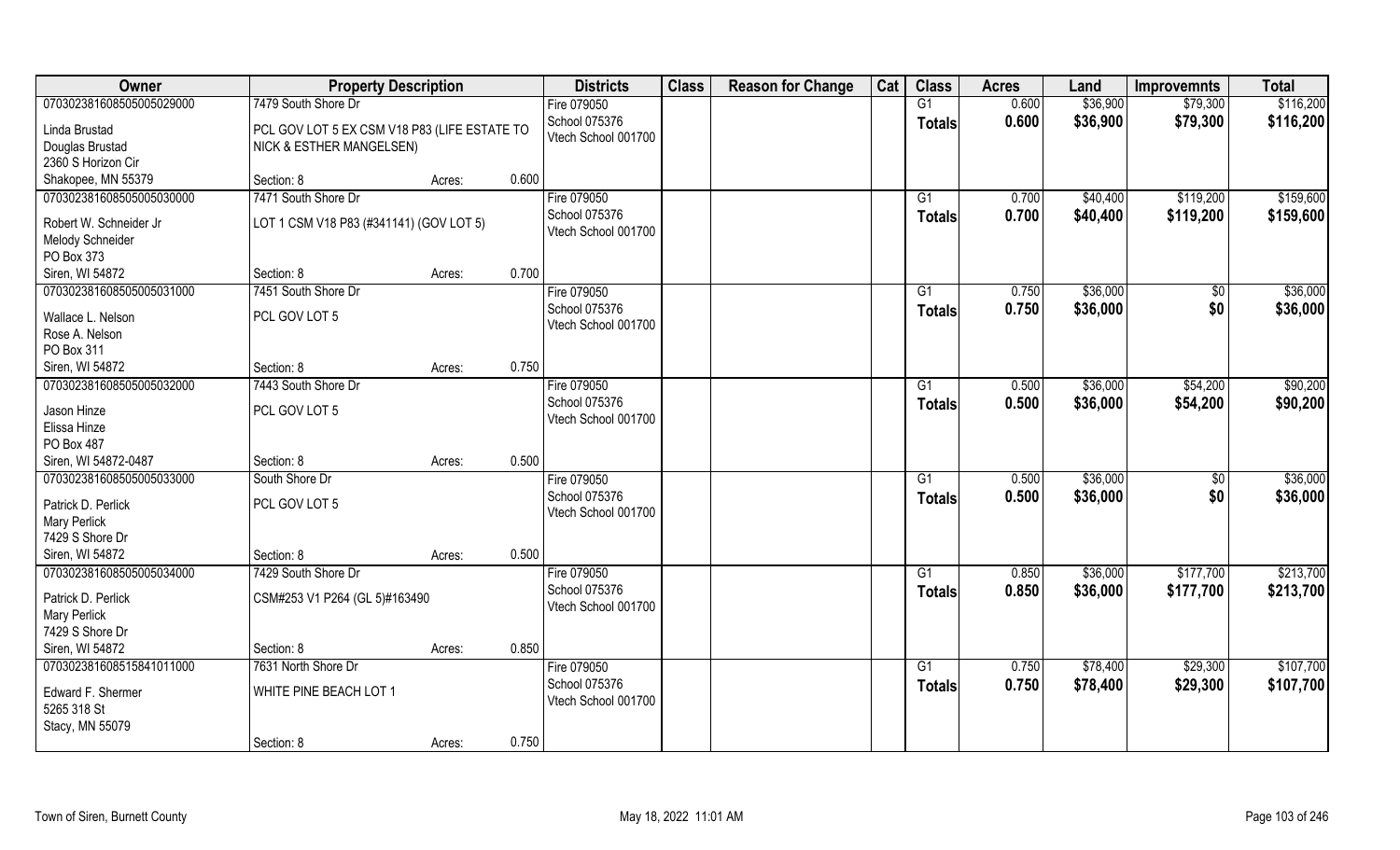| <b>Owner</b>                                           | <b>Property Description</b>                                              |        |       | <b>Districts</b>                     | <b>Class</b> | <b>Reason for Change</b> | Cat | <b>Class</b>        | <b>Acres</b>   | Land                 | <b>Improvemnts</b>     | <b>Total</b>           |
|--------------------------------------------------------|--------------------------------------------------------------------------|--------|-------|--------------------------------------|--------------|--------------------------|-----|---------------------|----------------|----------------------|------------------------|------------------------|
| 070302381608505005029000                               | 7479 South Shore Dr                                                      |        |       | Fire 079050                          |              |                          |     | G1                  | 0.600          | \$36,900             | \$79,300               | \$116,200              |
| Linda Brustad<br>Douglas Brustad<br>2360 S Horizon Cir | PCL GOV LOT 5 EX CSM V18 P83 (LIFE ESTATE TO<br>NICK & ESTHER MANGELSEN) |        |       | School 075376<br>Vtech School 001700 |              |                          |     | <b>Totals</b>       | 0.600          | \$36,900             | \$79,300               | \$116,200              |
| Shakopee, MN 55379                                     | Section: 8                                                               | Acres: | 0.600 |                                      |              |                          |     |                     |                |                      |                        |                        |
| 070302381608505005030000<br>Robert W. Schneider Jr     | 7471 South Shore Dr<br>LOT 1 CSM V18 P83 (#341141) (GOV LOT 5)           |        |       | Fire 079050<br>School 075376         |              |                          |     | G1<br><b>Totals</b> | 0.700<br>0.700 | \$40,400<br>\$40,400 | \$119,200<br>\$119,200 | \$159,600<br>\$159,600 |
| Melody Schneider<br>PO Box 373                         |                                                                          |        |       | Vtech School 001700                  |              |                          |     |                     |                |                      |                        |                        |
| Siren, WI 54872                                        | Section: 8                                                               | Acres: | 0.700 |                                      |              |                          |     |                     |                |                      |                        |                        |
| 070302381608505005031000                               | 7451 South Shore Dr                                                      |        |       | Fire 079050                          |              |                          |     | G1                  | 0.750          | \$36,000             | \$0                    | \$36,000               |
| Wallace L. Nelson<br>Rose A. Nelson                    | PCL GOV LOT 5                                                            |        |       | School 075376<br>Vtech School 001700 |              |                          |     | <b>Totals</b>       | 0.750          | \$36,000             | \$0                    | \$36,000               |
| PO Box 311<br>Siren, WI 54872                          | Section: 8                                                               |        | 0.750 |                                      |              |                          |     |                     |                |                      |                        |                        |
| 070302381608505005032000                               | 7443 South Shore Dr                                                      | Acres: |       | Fire 079050                          |              |                          |     |                     | 0.500          | \$36,000             | \$54,200               | \$90,200               |
|                                                        |                                                                          |        |       | School 075376                        |              |                          |     | G1                  |                |                      |                        |                        |
| Jason Hinze<br>Elissa Hinze<br>PO Box 487              | PCL GOV LOT 5                                                            |        |       | Vtech School 001700                  |              |                          |     | <b>Totals</b>       | 0.500          | \$36,000             | \$54,200               | \$90,200               |
| Siren, WI 54872-0487                                   | Section: 8                                                               | Acres: | 0.500 |                                      |              |                          |     |                     |                |                      |                        |                        |
| 070302381608505005033000                               | South Shore Dr                                                           |        |       | Fire 079050                          |              |                          |     | G1                  | 0.500          | \$36,000             | $\overline{50}$        | \$36,000               |
|                                                        |                                                                          |        |       | School 075376                        |              |                          |     | <b>Totals</b>       | 0.500          | \$36,000             | \$0                    | \$36,000               |
| Patrick D. Perlick                                     | PCL GOV LOT 5                                                            |        |       | Vtech School 001700                  |              |                          |     |                     |                |                      |                        |                        |
| <b>Mary Perlick</b>                                    |                                                                          |        |       |                                      |              |                          |     |                     |                |                      |                        |                        |
| 7429 S Shore Dr                                        |                                                                          |        |       |                                      |              |                          |     |                     |                |                      |                        |                        |
| Siren, WI 54872                                        | Section: 8                                                               | Acres: | 0.500 |                                      |              |                          |     |                     |                |                      |                        |                        |
| 070302381608505005034000                               | 7429 South Shore Dr                                                      |        |       | Fire 079050                          |              |                          |     | G1                  | 0.850          | \$36,000             | \$177,700              | \$213,700              |
| Patrick D. Perlick<br><b>Mary Perlick</b>              | CSM#253 V1 P264 (GL 5)#163490                                            |        |       | School 075376<br>Vtech School 001700 |              |                          |     | <b>Totals</b>       | 0.850          | \$36,000             | \$177,700              | \$213,700              |
| 7429 S Shore Dr                                        |                                                                          |        |       |                                      |              |                          |     |                     |                |                      |                        |                        |
| Siren, WI 54872                                        | Section: 8                                                               | Acres: | 0.850 |                                      |              |                          |     |                     |                |                      |                        |                        |
| 070302381608515841011000                               | 7631 North Shore Dr                                                      |        |       | Fire 079050                          |              |                          |     | $\overline{G1}$     | 0.750          | \$78,400             | \$29,300               | \$107,700              |
| Edward F. Shermer<br>5265 318 St                       | WHITE PINE BEACH LOT 1                                                   |        |       | School 075376<br>Vtech School 001700 |              |                          |     | <b>Totals</b>       | 0.750          | \$78,400             | \$29,300               | \$107,700              |
| Stacy, MN 55079                                        | Section: 8                                                               | Acres: | 0.750 |                                      |              |                          |     |                     |                |                      |                        |                        |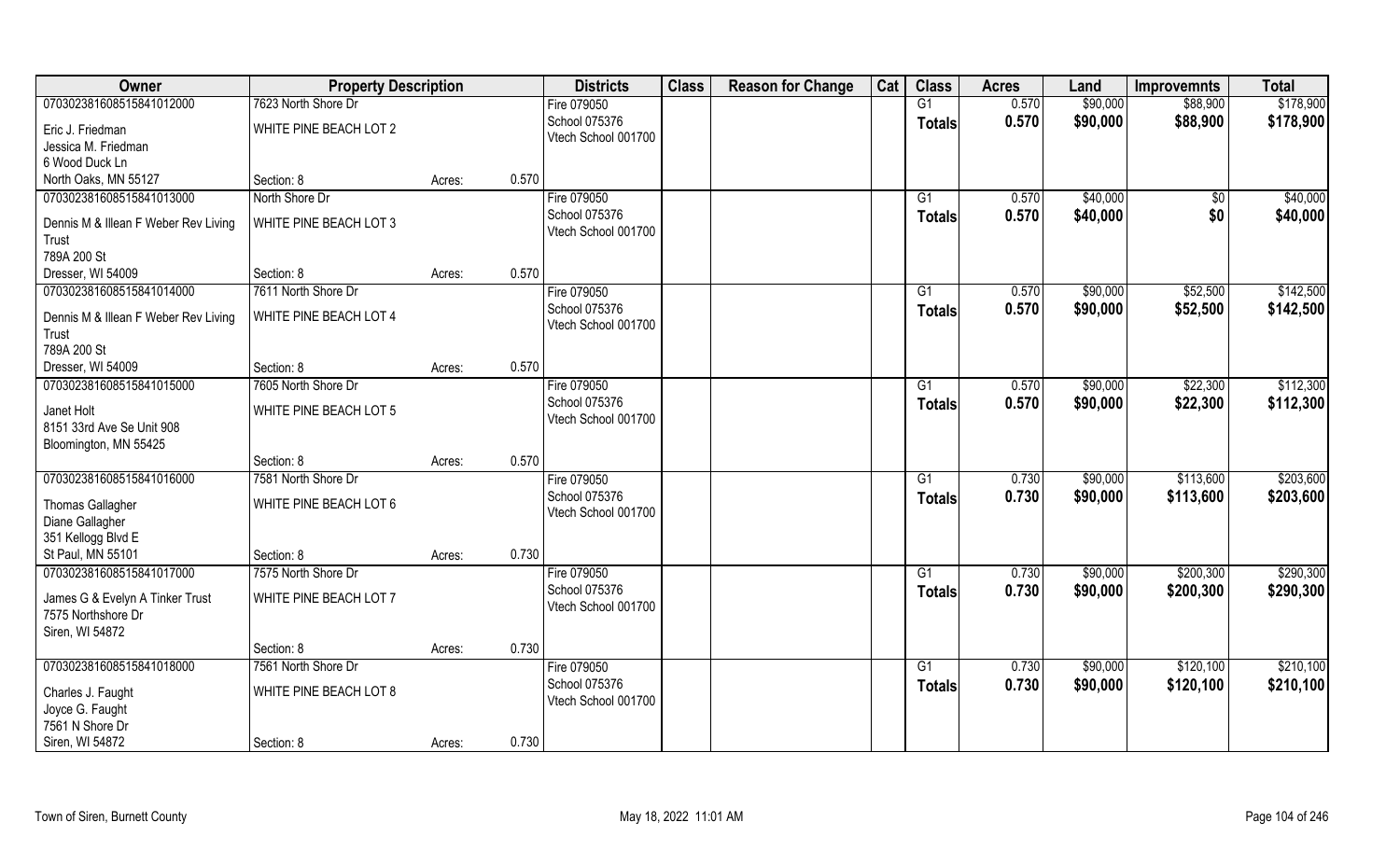| Owner                                                 | <b>Property Description</b> |        |       | <b>Districts</b>    | <b>Class</b> | <b>Reason for Change</b> | Cat | <b>Class</b>    | <b>Acres</b> | Land     | <b>Improvemnts</b> | <b>Total</b> |
|-------------------------------------------------------|-----------------------------|--------|-------|---------------------|--------------|--------------------------|-----|-----------------|--------------|----------|--------------------|--------------|
| 070302381608515841012000                              | 7623 North Shore Dr         |        |       | Fire 079050         |              |                          |     | G1              | 0.570        | \$90,000 | \$88,900           | \$178,900    |
| Eric J. Friedman                                      | WHITE PINE BEACH LOT 2      |        |       | School 075376       |              |                          |     | <b>Totals</b>   | 0.570        | \$90,000 | \$88,900           | \$178,900    |
| Jessica M. Friedman                                   |                             |        |       | Vtech School 001700 |              |                          |     |                 |              |          |                    |              |
| 6 Wood Duck Ln                                        |                             |        |       |                     |              |                          |     |                 |              |          |                    |              |
| North Oaks, MN 55127                                  | Section: 8                  | Acres: | 0.570 |                     |              |                          |     |                 |              |          |                    |              |
| 070302381608515841013000                              | North Shore Dr              |        |       | Fire 079050         |              |                          |     | G1              | 0.570        | \$40,000 | \$0                | \$40,000     |
| Dennis M & Illean F Weber Rev Living                  | WHITE PINE BEACH LOT 3      |        |       | School 075376       |              |                          |     | <b>Totals</b>   | 0.570        | \$40,000 | \$0                | \$40,000     |
| Trust                                                 |                             |        |       | Vtech School 001700 |              |                          |     |                 |              |          |                    |              |
| 789A 200 St                                           |                             |        |       |                     |              |                          |     |                 |              |          |                    |              |
| Dresser, WI 54009                                     | Section: 8                  | Acres: | 0.570 |                     |              |                          |     |                 |              |          |                    |              |
| 070302381608515841014000                              | 7611 North Shore Dr         |        |       | Fire 079050         |              |                          |     | G1              | 0.570        | \$90,000 | \$52,500           | \$142,500    |
| Dennis M & Illean F Weber Rev Living                  | WHITE PINE BEACH LOT 4      |        |       | School 075376       |              |                          |     | <b>Totals</b>   | 0.570        | \$90,000 | \$52,500           | \$142,500    |
| Trust                                                 |                             |        |       | Vtech School 001700 |              |                          |     |                 |              |          |                    |              |
| 789A 200 St                                           |                             |        |       |                     |              |                          |     |                 |              |          |                    |              |
| Dresser, WI 54009                                     | Section: 8                  | Acres: | 0.570 |                     |              |                          |     |                 |              |          |                    |              |
| 070302381608515841015000                              | 7605 North Shore Dr         |        |       | Fire 079050         |              |                          |     | G1              | 0.570        | \$90,000 | \$22,300           | \$112,300    |
| Janet Holt                                            | WHITE PINE BEACH LOT 5      |        |       | School 075376       |              |                          |     | <b>Totals</b>   | 0.570        | \$90,000 | \$22,300           | \$112,300    |
| 8151 33rd Ave Se Unit 908                             |                             |        |       | Vtech School 001700 |              |                          |     |                 |              |          |                    |              |
| Bloomington, MN 55425                                 |                             |        |       |                     |              |                          |     |                 |              |          |                    |              |
|                                                       | Section: 8                  | Acres: | 0.570 |                     |              |                          |     |                 |              |          |                    |              |
| 070302381608515841016000                              | 7581 North Shore Dr         |        |       | Fire 079050         |              |                          |     | $\overline{G1}$ | 0.730        | \$90,000 | \$113,600          | \$203,600    |
|                                                       | WHITE PINE BEACH LOT 6      |        |       | School 075376       |              |                          |     | <b>Totals</b>   | 0.730        | \$90,000 | \$113,600          | \$203,600    |
| <b>Thomas Gallagher</b><br>Diane Gallagher            |                             |        |       | Vtech School 001700 |              |                          |     |                 |              |          |                    |              |
| 351 Kellogg Blvd E                                    |                             |        |       |                     |              |                          |     |                 |              |          |                    |              |
| St Paul, MN 55101                                     | Section: 8                  | Acres: | 0.730 |                     |              |                          |     |                 |              |          |                    |              |
| 070302381608515841017000                              | 7575 North Shore Dr         |        |       | Fire 079050         |              |                          |     | G1              | 0.730        | \$90,000 | \$200,300          | \$290,300    |
|                                                       |                             |        |       | School 075376       |              |                          |     | <b>Totals</b>   | 0.730        | \$90,000 | \$200,300          | \$290,300    |
| James G & Evelyn A Tinker Trust<br>7575 Northshore Dr | WHITE PINE BEACH LOT 7      |        |       | Vtech School 001700 |              |                          |     |                 |              |          |                    |              |
| Siren, WI 54872                                       |                             |        |       |                     |              |                          |     |                 |              |          |                    |              |
|                                                       | Section: 8                  | Acres: | 0.730 |                     |              |                          |     |                 |              |          |                    |              |
| 070302381608515841018000                              | 7561 North Shore Dr         |        |       | Fire 079050         |              |                          |     | $\overline{G1}$ | 0.730        | \$90,000 | \$120,100          | \$210,100    |
|                                                       |                             |        |       | School 075376       |              |                          |     | <b>Totals</b>   | 0.730        | \$90,000 | \$120,100          | \$210,100    |
| Charles J. Faught<br>Joyce G. Faught                  | WHITE PINE BEACH LOT 8      |        |       | Vtech School 001700 |              |                          |     |                 |              |          |                    |              |
| 7561 N Shore Dr                                       |                             |        |       |                     |              |                          |     |                 |              |          |                    |              |
| Siren, WI 54872                                       | Section: 8                  | Acres: | 0.730 |                     |              |                          |     |                 |              |          |                    |              |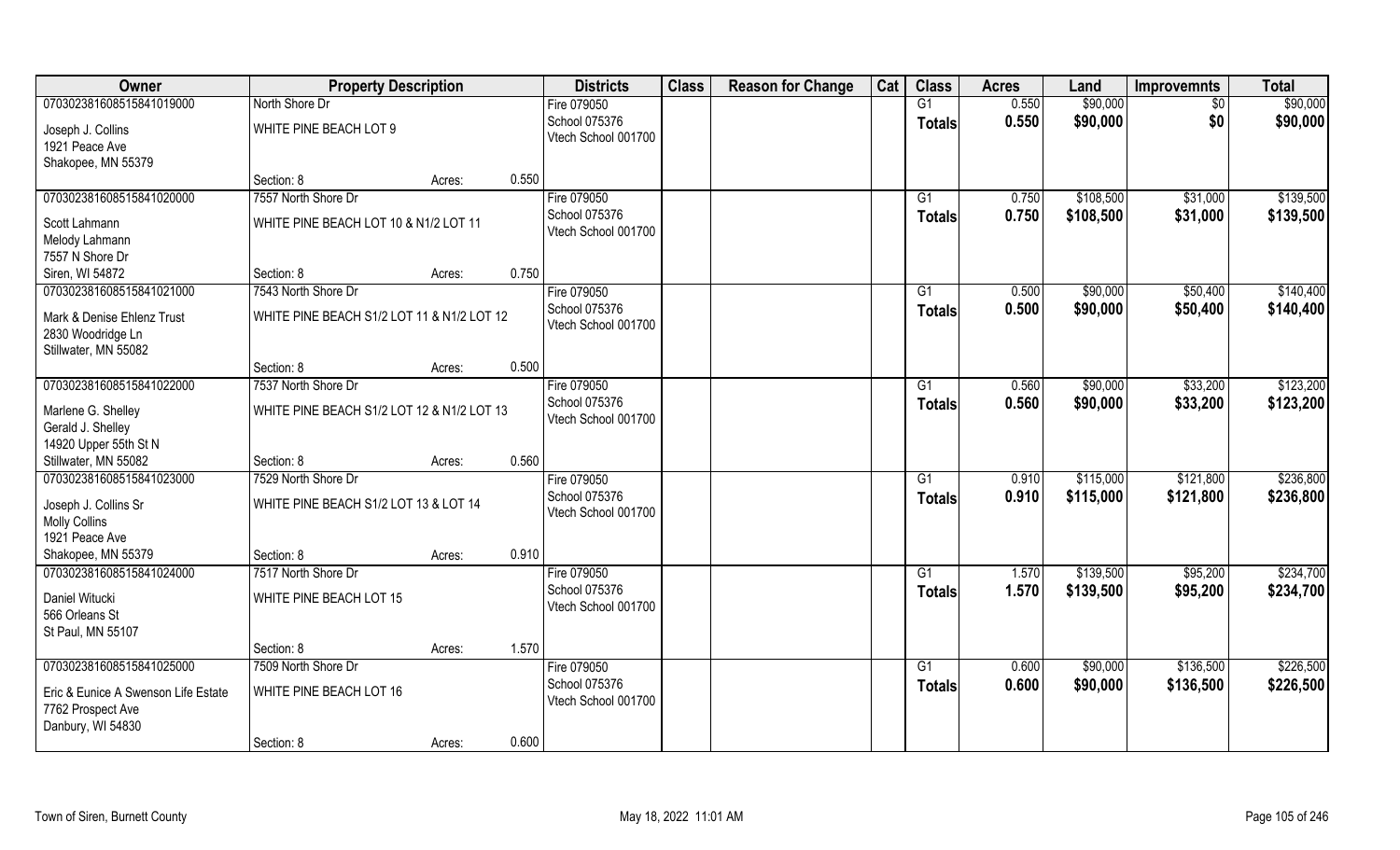| Owner                                   | <b>Property Description</b>                |        |       | <b>Districts</b>                     | <b>Class</b> | <b>Reason for Change</b> | Cat | <b>Class</b>    | <b>Acres</b> | Land      | <b>Improvemnts</b> | <b>Total</b> |
|-----------------------------------------|--------------------------------------------|--------|-------|--------------------------------------|--------------|--------------------------|-----|-----------------|--------------|-----------|--------------------|--------------|
| 070302381608515841019000                | North Shore Dr                             |        |       | Fire 079050                          |              |                          |     | G1              | 0.550        | \$90,000  | $\sqrt{6}$         | \$90,000     |
| Joseph J. Collins<br>1921 Peace Ave     | WHITE PINE BEACH LOT 9                     |        |       | School 075376<br>Vtech School 001700 |              |                          |     | <b>Totals</b>   | 0.550        | \$90,000  | \$0                | \$90,000     |
| Shakopee, MN 55379                      |                                            |        |       |                                      |              |                          |     |                 |              |           |                    |              |
|                                         | Section: 8                                 | Acres: | 0.550 |                                      |              |                          |     |                 |              |           |                    |              |
| 070302381608515841020000                | 7557 North Shore Dr                        |        |       | Fire 079050                          |              |                          |     | G1              | 0.750        | \$108,500 | \$31,000           | \$139,500    |
| Scott Lahmann                           | WHITE PINE BEACH LOT 10 & N1/2 LOT 11      |        |       | School 075376                        |              |                          |     | <b>Totals</b>   | 0.750        | \$108,500 | \$31,000           | \$139,500    |
| Melody Lahmann                          |                                            |        |       | Vtech School 001700                  |              |                          |     |                 |              |           |                    |              |
| 7557 N Shore Dr                         |                                            |        |       |                                      |              |                          |     |                 |              |           |                    |              |
| Siren, WI 54872                         | Section: 8                                 | Acres: | 0.750 |                                      |              |                          |     |                 |              |           |                    |              |
| 070302381608515841021000                | 7543 North Shore Dr                        |        |       | Fire 079050                          |              |                          |     | G1              | 0.500        | \$90,000  | \$50,400           | \$140,400    |
| Mark & Denise Ehlenz Trust              | WHITE PINE BEACH S1/2 LOT 11 & N1/2 LOT 12 |        |       | School 075376                        |              |                          |     | <b>Totals</b>   | 0.500        | \$90,000  | \$50,400           | \$140,400    |
| 2830 Woodridge Ln                       |                                            |        |       | Vtech School 001700                  |              |                          |     |                 |              |           |                    |              |
| Stillwater, MN 55082                    |                                            |        |       |                                      |              |                          |     |                 |              |           |                    |              |
|                                         | Section: 8                                 | Acres: | 0.500 |                                      |              |                          |     |                 |              |           |                    |              |
| 070302381608515841022000                | 7537 North Shore Dr                        |        |       | Fire 079050                          |              |                          |     | G1              | 0.560        | \$90,000  | \$33,200           | \$123,200    |
|                                         | WHITE PINE BEACH S1/2 LOT 12 & N1/2 LOT 13 |        |       | School 075376                        |              |                          |     | <b>Totals</b>   | 0.560        | \$90,000  | \$33,200           | \$123,200    |
| Marlene G. Shelley<br>Gerald J. Shelley |                                            |        |       | Vtech School 001700                  |              |                          |     |                 |              |           |                    |              |
| 14920 Upper 55th St N                   |                                            |        |       |                                      |              |                          |     |                 |              |           |                    |              |
| Stillwater, MN 55082                    | Section: 8                                 | Acres: | 0.560 |                                      |              |                          |     |                 |              |           |                    |              |
| 070302381608515841023000                | 7529 North Shore Dr                        |        |       | Fire 079050                          |              |                          |     | G1              | 0.910        | \$115,000 | \$121,800          | \$236,800    |
|                                         |                                            |        |       | School 075376                        |              |                          |     | <b>Totals</b>   | 0.910        | \$115,000 | \$121,800          | \$236,800    |
| Joseph J. Collins Sr                    | WHITE PINE BEACH S1/2 LOT 13 & LOT 14      |        |       | Vtech School 001700                  |              |                          |     |                 |              |           |                    |              |
| <b>Molly Collins</b><br>1921 Peace Ave  |                                            |        |       |                                      |              |                          |     |                 |              |           |                    |              |
| Shakopee, MN 55379                      | Section: 8                                 | Acres: | 0.910 |                                      |              |                          |     |                 |              |           |                    |              |
| 070302381608515841024000                | 7517 North Shore Dr                        |        |       | Fire 079050                          |              |                          |     | G1              | 1.570        | \$139,500 | \$95,200           | \$234,700    |
|                                         |                                            |        |       | School 075376                        |              |                          |     | <b>Totals</b>   | 1.570        | \$139,500 | \$95,200           | \$234,700    |
| Daniel Witucki                          | WHITE PINE BEACH LOT 15                    |        |       | Vtech School 001700                  |              |                          |     |                 |              |           |                    |              |
| 566 Orleans St                          |                                            |        |       |                                      |              |                          |     |                 |              |           |                    |              |
| St Paul, MN 55107                       |                                            |        |       |                                      |              |                          |     |                 |              |           |                    |              |
| 070302381608515841025000                | Section: 8<br>7509 North Shore Dr          | Acres: | 1.570 | Fire 079050                          |              |                          |     | $\overline{G1}$ | 0.600        | \$90,000  | \$136,500          | \$226,500    |
|                                         |                                            |        |       | School 075376                        |              |                          |     |                 | 0.600        |           |                    |              |
| Eric & Eunice A Swenson Life Estate     | WHITE PINE BEACH LOT 16                    |        |       | Vtech School 001700                  |              |                          |     | <b>Totals</b>   |              | \$90,000  | \$136,500          | \$226,500    |
| 7762 Prospect Ave                       |                                            |        |       |                                      |              |                          |     |                 |              |           |                    |              |
| Danbury, WI 54830                       |                                            |        |       |                                      |              |                          |     |                 |              |           |                    |              |
|                                         | Section: 8                                 | Acres: | 0.600 |                                      |              |                          |     |                 |              |           |                    |              |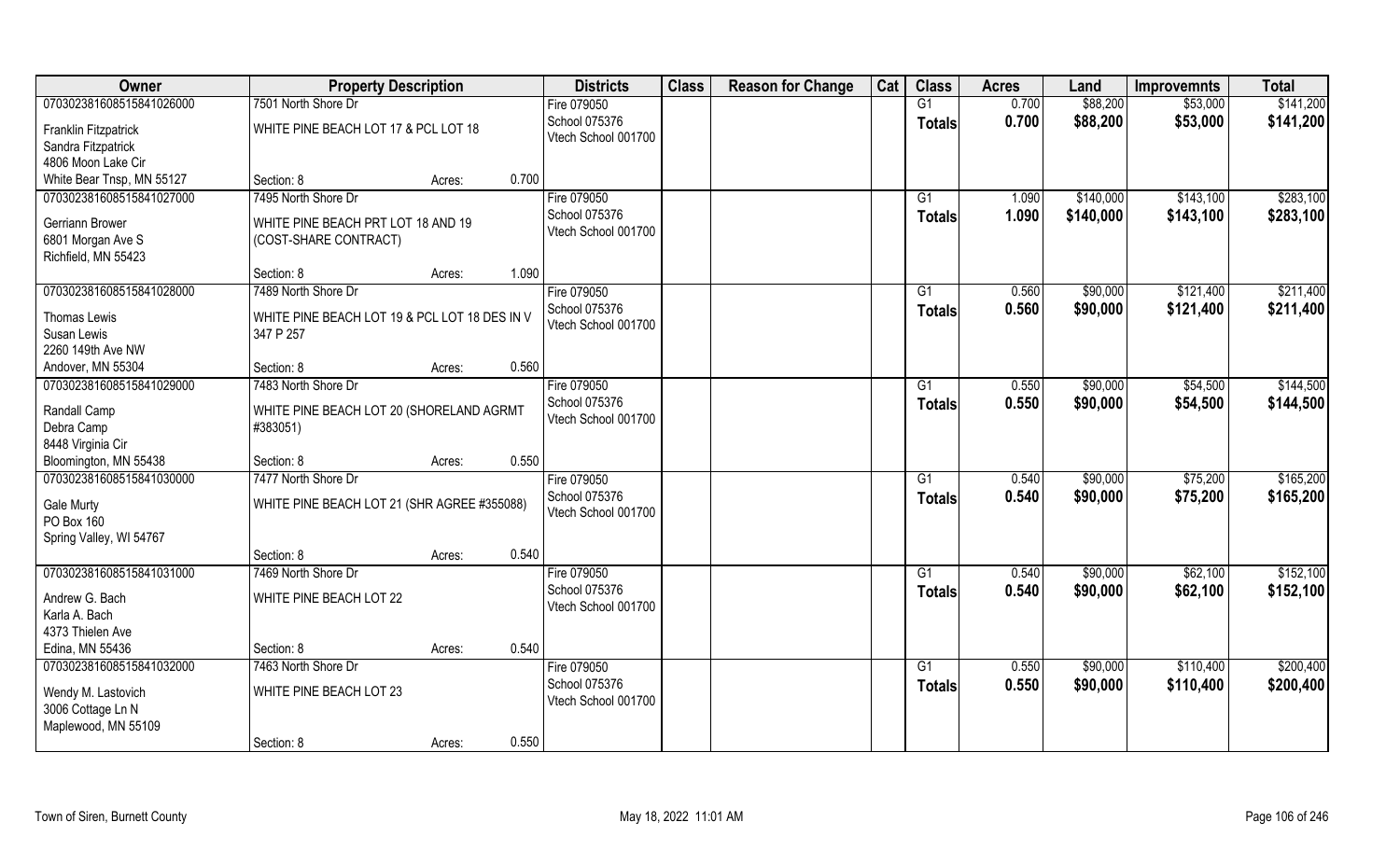| 070302381608515841026000<br>G1<br>0.700<br>\$88,200<br>\$53,000<br>7501 North Shore Dr<br>Fire 079050                                                                        | \$141,200 |
|------------------------------------------------------------------------------------------------------------------------------------------------------------------------------|-----------|
|                                                                                                                                                                              |           |
| 0.700<br>School 075376<br>\$88,200<br>\$53,000<br><b>Totals</b><br>WHITE PINE BEACH LOT 17 & PCL LOT 18<br>Franklin Fitzpatrick<br>Vtech School 001700<br>Sandra Fitzpatrick | \$141,200 |
| 4806 Moon Lake Cir                                                                                                                                                           |           |
| White Bear Tnsp, MN 55127<br>0.700<br>Section: 8<br>Acres:                                                                                                                   |           |
| 070302381608515841027000<br>Fire 079050<br>7495 North Shore Dr<br>\$140,000<br>\$143,100<br>G1<br>1.090                                                                      | \$283,100 |
| School 075376<br>1.090<br>\$140,000<br>\$143,100<br><b>Totals</b><br>Gerriann Brower<br>WHITE PINE BEACH PRT LOT 18 AND 19                                                   | \$283,100 |
| Vtech School 001700<br>6801 Morgan Ave S<br>(COST-SHARE CONTRACT)                                                                                                            |           |
| Richfield, MN 55423                                                                                                                                                          |           |
| 1.090<br>Section: 8<br>Acres:                                                                                                                                                |           |
| 070302381608515841028000<br>Fire 079050<br>7489 North Shore Dr<br>G1<br>0.560<br>\$90,000<br>\$121,400                                                                       | \$211,400 |
| School 075376<br>0.560<br>\$90,000<br>\$121,400<br><b>Totals</b>                                                                                                             | \$211,400 |
| WHITE PINE BEACH LOT 19 & PCL LOT 18 DES IN V<br>Thomas Lewis<br>Vtech School 001700                                                                                         |           |
| Susan Lewis<br>347 P 257                                                                                                                                                     |           |
| 2260 149th Ave NW                                                                                                                                                            |           |
| 0.560<br>Andover, MN 55304<br>Section: 8<br>Acres:                                                                                                                           |           |
| 070302381608515841029000<br>7483 North Shore Dr<br>Fire 079050<br>\$90,000<br>\$54,500<br>0.550<br>G1                                                                        | \$144,500 |
| School 075376<br>0.550<br>\$90,000<br>\$54,500<br><b>Totals</b><br>Randall Camp<br>WHITE PINE BEACH LOT 20 (SHORELAND AGRMT                                                  | \$144,500 |
| Vtech School 001700<br>Debra Camp<br>#383051)                                                                                                                                |           |
| 8448 Virginia Cir                                                                                                                                                            |           |
| 0.550<br>Bloomington, MN 55438<br>Section: 8<br>Acres:                                                                                                                       |           |
| 070302381608515841030000<br>7477 North Shore Dr<br>Fire 079050<br>0.540<br>\$90,000<br>\$75,200<br>G1                                                                        | \$165,200 |
| \$90,000<br>School 075376<br>0.540<br>\$75,200<br><b>Totals</b>                                                                                                              | \$165,200 |
| WHITE PINE BEACH LOT 21 (SHR AGREE #355088)<br>Gale Murty<br>Vtech School 001700<br>PO Box 160                                                                               |           |
|                                                                                                                                                                              |           |
| Spring Valley, WI 54767<br>0.540<br>Section: 8<br>Acres:                                                                                                                     |           |
| 070302381608515841031000<br>7469 North Shore Dr<br>Fire 079050<br>\$90,000<br>\$62,100<br>G1<br>0.540                                                                        | \$152,100 |
| School 075376                                                                                                                                                                |           |
| \$90,000<br>0.540<br>\$62,100<br><b>Totals</b><br>Andrew G. Bach<br>WHITE PINE BEACH LOT 22<br>Vtech School 001700                                                           | \$152,100 |
| Karla A. Bach                                                                                                                                                                |           |
| 4373 Thielen Ave                                                                                                                                                             |           |
| 0.540<br>Edina, MN 55436<br>Section: 8<br>Acres:                                                                                                                             |           |
| 070302381608515841032000<br>7463 North Shore Dr<br>Fire 079050<br>$\overline{G1}$<br>0.550<br>\$90,000<br>\$110,400                                                          | \$200,400 |
| School 075376<br>0.550<br>\$90,000<br>\$110,400<br><b>Totals</b><br>WHITE PINE BEACH LOT 23<br>Wendy M. Lastovich                                                            | \$200,400 |
| Vtech School 001700<br>3006 Cottage Ln N                                                                                                                                     |           |
| Maplewood, MN 55109                                                                                                                                                          |           |
| 0.550<br>Section: 8<br>Acres:                                                                                                                                                |           |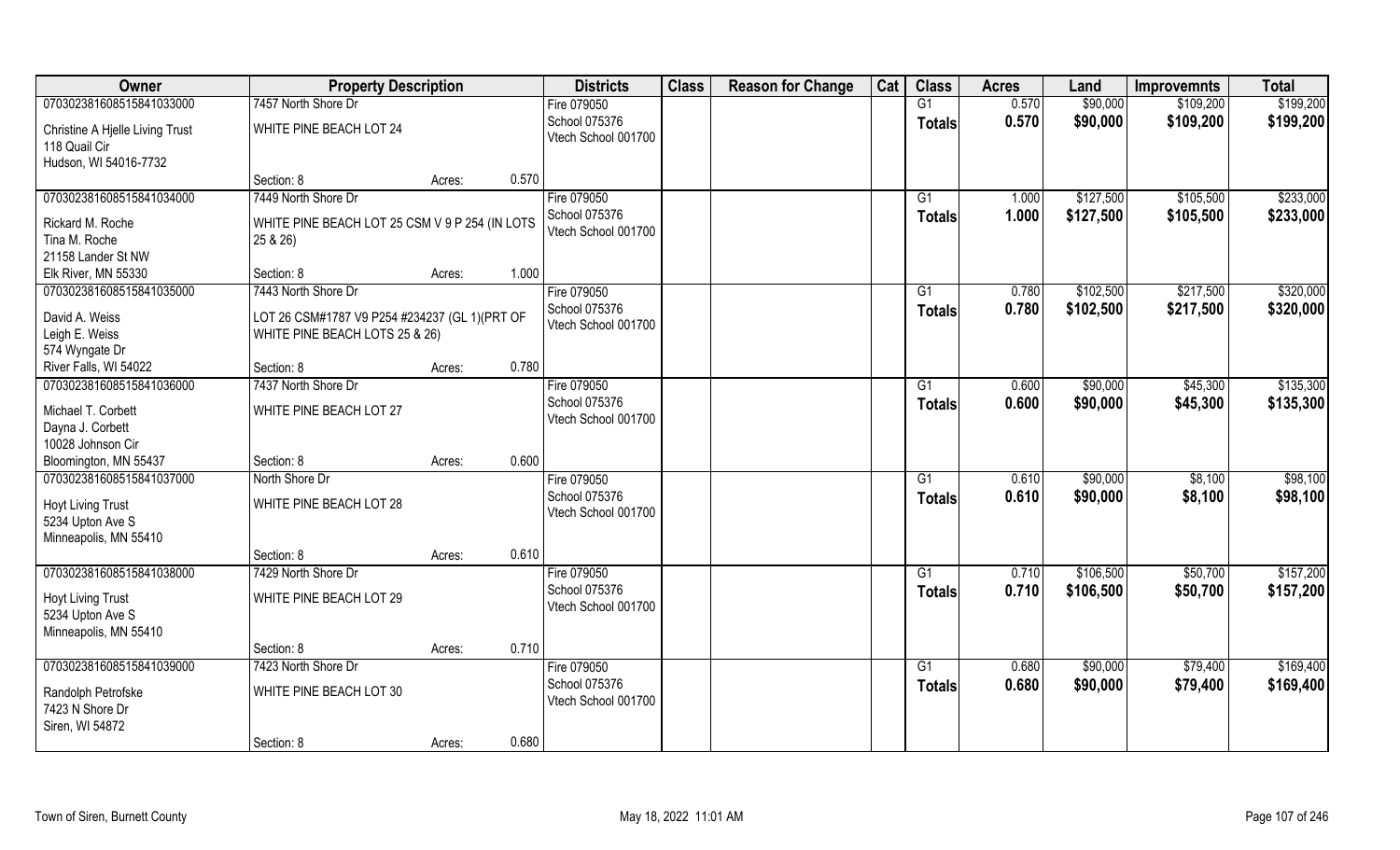| Owner                                  | <b>Property Description</b>                    |        |       | <b>Districts</b>    | <b>Class</b> | <b>Reason for Change</b> | Cat | <b>Class</b>  | <b>Acres</b> | Land      | <b>Improvemnts</b> | <b>Total</b> |
|----------------------------------------|------------------------------------------------|--------|-------|---------------------|--------------|--------------------------|-----|---------------|--------------|-----------|--------------------|--------------|
| 070302381608515841033000               | 7457 North Shore Dr                            |        |       | Fire 079050         |              |                          |     | G1            | 0.570        | \$90,000  | \$109,200          | \$199,200    |
| Christine A Hjelle Living Trust        | WHITE PINE BEACH LOT 24                        |        |       | School 075376       |              |                          |     | <b>Totals</b> | 0.570        | \$90,000  | \$109,200          | \$199,200    |
| 118 Quail Cir                          |                                                |        |       | Vtech School 001700 |              |                          |     |               |              |           |                    |              |
| Hudson, WI 54016-7732                  |                                                |        |       |                     |              |                          |     |               |              |           |                    |              |
|                                        | Section: 8                                     | Acres: | 0.570 |                     |              |                          |     |               |              |           |                    |              |
| 070302381608515841034000               | 7449 North Shore Dr                            |        |       | Fire 079050         |              |                          |     | G1            | 1.000        | \$127,500 | \$105,500          | \$233,000    |
| Rickard M. Roche                       | WHITE PINE BEACH LOT 25 CSM V 9 P 254 (IN LOTS |        |       | School 075376       |              |                          |     | <b>Totals</b> | 1.000        | \$127,500 | \$105,500          | \$233,000    |
| Tina M. Roche                          | 25 & 26)                                       |        |       | Vtech School 001700 |              |                          |     |               |              |           |                    |              |
| 21158 Lander St NW                     |                                                |        |       |                     |              |                          |     |               |              |           |                    |              |
| Elk River, MN 55330                    | Section: 8                                     | Acres: | 1.000 |                     |              |                          |     |               |              |           |                    |              |
| 070302381608515841035000               | 7443 North Shore Dr                            |        |       | Fire 079050         |              |                          |     | G1            | 0.780        | \$102,500 | \$217,500          | \$320,000    |
| David A. Weiss                         | LOT 26 CSM#1787 V9 P254 #234237 (GL 1)(PRT OF  |        |       | School 075376       |              |                          |     | <b>Totals</b> | 0.780        | \$102,500 | \$217,500          | \$320,000    |
| Leigh E. Weiss                         | WHITE PINE BEACH LOTS 25 & 26)                 |        |       | Vtech School 001700 |              |                          |     |               |              |           |                    |              |
| 574 Wyngate Dr                         |                                                |        |       |                     |              |                          |     |               |              |           |                    |              |
| River Falls, WI 54022                  | Section: 8                                     | Acres: | 0.780 |                     |              |                          |     |               |              |           |                    |              |
| 070302381608515841036000               | 7437 North Shore Dr                            |        |       | Fire 079050         |              |                          |     | G1            | 0.600        | \$90,000  | \$45,300           | \$135,300    |
|                                        |                                                |        |       | School 075376       |              |                          |     | <b>Totals</b> | 0.600        | \$90,000  | \$45,300           | \$135,300    |
| Michael T. Corbett<br>Dayna J. Corbett | WHITE PINE BEACH LOT 27                        |        |       | Vtech School 001700 |              |                          |     |               |              |           |                    |              |
| 10028 Johnson Cir                      |                                                |        |       |                     |              |                          |     |               |              |           |                    |              |
| Bloomington, MN 55437                  | Section: 8                                     | Acres: | 0.600 |                     |              |                          |     |               |              |           |                    |              |
| 070302381608515841037000               | North Shore Dr                                 |        |       | Fire 079050         |              |                          |     | G1            | 0.610        | \$90,000  | \$8,100            | \$98,100     |
|                                        |                                                |        |       | School 075376       |              |                          |     | <b>Totals</b> | 0.610        | \$90,000  | \$8,100            | \$98,100     |
| <b>Hoyt Living Trust</b>               | WHITE PINE BEACH LOT 28                        |        |       | Vtech School 001700 |              |                          |     |               |              |           |                    |              |
| 5234 Upton Ave S                       |                                                |        |       |                     |              |                          |     |               |              |           |                    |              |
| Minneapolis, MN 55410                  |                                                |        | 0.610 |                     |              |                          |     |               |              |           |                    |              |
| 070302381608515841038000               | Section: 8<br>7429 North Shore Dr              | Acres: |       | Fire 079050         |              |                          |     |               | 0.710        | \$106,500 | \$50,700           | \$157,200    |
|                                        |                                                |        |       | School 075376       |              |                          |     | G1            | 0.710        |           |                    |              |
| <b>Hoyt Living Trust</b>               | WHITE PINE BEACH LOT 29                        |        |       | Vtech School 001700 |              |                          |     | <b>Totals</b> |              | \$106,500 | \$50,700           | \$157,200    |
| 5234 Upton Ave S                       |                                                |        |       |                     |              |                          |     |               |              |           |                    |              |
| Minneapolis, MN 55410                  |                                                |        |       |                     |              |                          |     |               |              |           |                    |              |
|                                        | Section: 8                                     | Acres: | 0.710 |                     |              |                          |     |               |              |           |                    |              |
| 070302381608515841039000               | 7423 North Shore Dr                            |        |       | Fire 079050         |              |                          |     | G1            | 0.680        | \$90,000  | \$79,400           | \$169,400    |
| Randolph Petrofske                     | WHITE PINE BEACH LOT 30                        |        |       | School 075376       |              |                          |     | <b>Totals</b> | 0.680        | \$90,000  | \$79,400           | \$169,400    |
| 7423 N Shore Dr                        |                                                |        |       | Vtech School 001700 |              |                          |     |               |              |           |                    |              |
| Siren, WI 54872                        |                                                |        |       |                     |              |                          |     |               |              |           |                    |              |
|                                        | Section: 8                                     | Acres: | 0.680 |                     |              |                          |     |               |              |           |                    |              |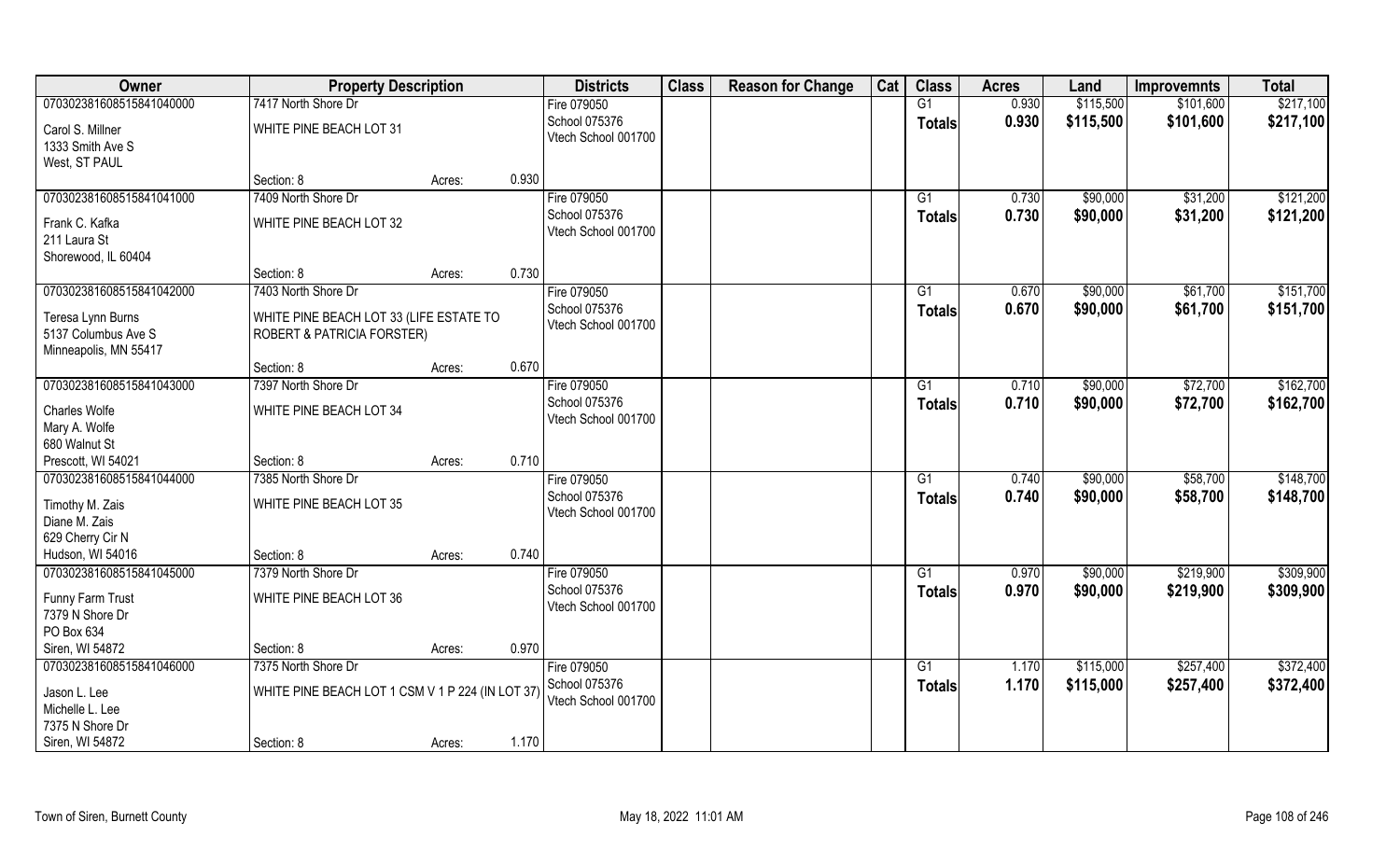| Owner                    | <b>Property Description</b>                      |        |       | <b>Districts</b>                     | <b>Class</b> | <b>Reason for Change</b> | Cat | <b>Class</b>    | <b>Acres</b> | Land      | <b>Improvemnts</b> | <b>Total</b> |
|--------------------------|--------------------------------------------------|--------|-------|--------------------------------------|--------------|--------------------------|-----|-----------------|--------------|-----------|--------------------|--------------|
| 070302381608515841040000 | 7417 North Shore Dr                              |        |       | Fire 079050                          |              |                          |     | G1              | 0.930        | \$115,500 | \$101,600          | \$217,100    |
| Carol S. Millner         | WHITE PINE BEACH LOT 31                          |        |       | School 075376                        |              |                          |     | <b>Totals</b>   | 0.930        | \$115,500 | \$101,600          | \$217,100    |
| 1333 Smith Ave S         |                                                  |        |       | Vtech School 001700                  |              |                          |     |                 |              |           |                    |              |
| West, ST PAUL            |                                                  |        |       |                                      |              |                          |     |                 |              |           |                    |              |
|                          | Section: 8                                       | Acres: | 0.930 |                                      |              |                          |     |                 |              |           |                    |              |
| 070302381608515841041000 | 7409 North Shore Dr                              |        |       | Fire 079050                          |              |                          |     | G1              | 0.730        | \$90,000  | \$31,200           | \$121,200    |
| Frank C. Kafka           | WHITE PINE BEACH LOT 32                          |        |       | School 075376                        |              |                          |     | <b>Totals</b>   | 0.730        | \$90,000  | \$31,200           | \$121,200    |
| 211 Laura St             |                                                  |        |       | Vtech School 001700                  |              |                          |     |                 |              |           |                    |              |
| Shorewood, IL 60404      |                                                  |        |       |                                      |              |                          |     |                 |              |           |                    |              |
|                          | Section: 8                                       | Acres: | 0.730 |                                      |              |                          |     |                 |              |           |                    |              |
| 070302381608515841042000 | 7403 North Shore Dr                              |        |       | Fire 079050                          |              |                          |     | G1              | 0.670        | \$90,000  | \$61,700           | \$151,700    |
| Teresa Lynn Burns        | WHITE PINE BEACH LOT 33 (LIFE ESTATE TO          |        |       | School 075376                        |              |                          |     | <b>Totals</b>   | 0.670        | \$90,000  | \$61,700           | \$151,700    |
| 5137 Columbus Ave S      | ROBERT & PATRICIA FORSTER)                       |        |       | Vtech School 001700                  |              |                          |     |                 |              |           |                    |              |
| Minneapolis, MN 55417    |                                                  |        |       |                                      |              |                          |     |                 |              |           |                    |              |
|                          | Section: 8                                       | Acres: | 0.670 |                                      |              |                          |     |                 |              |           |                    |              |
| 070302381608515841043000 | 7397 North Shore Dr                              |        |       | Fire 079050                          |              |                          |     | G1              | 0.710        | \$90,000  | \$72,700           | \$162,700    |
| <b>Charles Wolfe</b>     | WHITE PINE BEACH LOT 34                          |        |       | School 075376<br>Vtech School 001700 |              |                          |     | <b>Totals</b>   | 0.710        | \$90,000  | \$72,700           | \$162,700    |
| Mary A. Wolfe            |                                                  |        |       |                                      |              |                          |     |                 |              |           |                    |              |
| 680 Walnut St            |                                                  |        |       |                                      |              |                          |     |                 |              |           |                    |              |
| Prescott, WI 54021       | Section: 8                                       | Acres: | 0.710 |                                      |              |                          |     |                 |              |           |                    |              |
| 070302381608515841044000 | 7385 North Shore Dr                              |        |       | Fire 079050                          |              |                          |     | $\overline{G1}$ | 0.740        | \$90,000  | \$58,700           | \$148,700    |
| Timothy M. Zais          | WHITE PINE BEACH LOT 35                          |        |       | School 075376<br>Vtech School 001700 |              |                          |     | <b>Totals</b>   | 0.740        | \$90,000  | \$58,700           | \$148,700    |
| Diane M. Zais            |                                                  |        |       |                                      |              |                          |     |                 |              |           |                    |              |
| 629 Cherry Cir N         |                                                  |        |       |                                      |              |                          |     |                 |              |           |                    |              |
| Hudson, WI 54016         | Section: 8                                       | Acres: | 0.740 |                                      |              |                          |     |                 |              |           |                    |              |
| 070302381608515841045000 | 7379 North Shore Dr                              |        |       | Fire 079050                          |              |                          |     | G1              | 0.970        | \$90,000  | \$219,900          | \$309,900    |
| Funny Farm Trust         | WHITE PINE BEACH LOT 36                          |        |       | School 075376<br>Vtech School 001700 |              |                          |     | <b>Totals</b>   | 0.970        | \$90,000  | \$219,900          | \$309,900    |
| 7379 N Shore Dr          |                                                  |        |       |                                      |              |                          |     |                 |              |           |                    |              |
| PO Box 634               |                                                  |        |       |                                      |              |                          |     |                 |              |           |                    |              |
| Siren, WI 54872          | Section: 8                                       | Acres: | 0.970 |                                      |              |                          |     |                 |              |           |                    |              |
| 070302381608515841046000 | 7375 North Shore Dr                              |        |       | Fire 079050                          |              |                          |     | G1              | 1.170        | \$115,000 | \$257,400          | \$372,400    |
| Jason L. Lee             | WHITE PINE BEACH LOT 1 CSM V 1 P 224 (IN LOT 37) |        |       | School 075376<br>Vtech School 001700 |              |                          |     | <b>Totals</b>   | 1.170        | \$115,000 | \$257,400          | \$372,400    |
| Michelle L. Lee          |                                                  |        |       |                                      |              |                          |     |                 |              |           |                    |              |
| 7375 N Shore Dr          |                                                  |        |       |                                      |              |                          |     |                 |              |           |                    |              |
| Siren, WI 54872          | Section: 8                                       | Acres: | 1.170 |                                      |              |                          |     |                 |              |           |                    |              |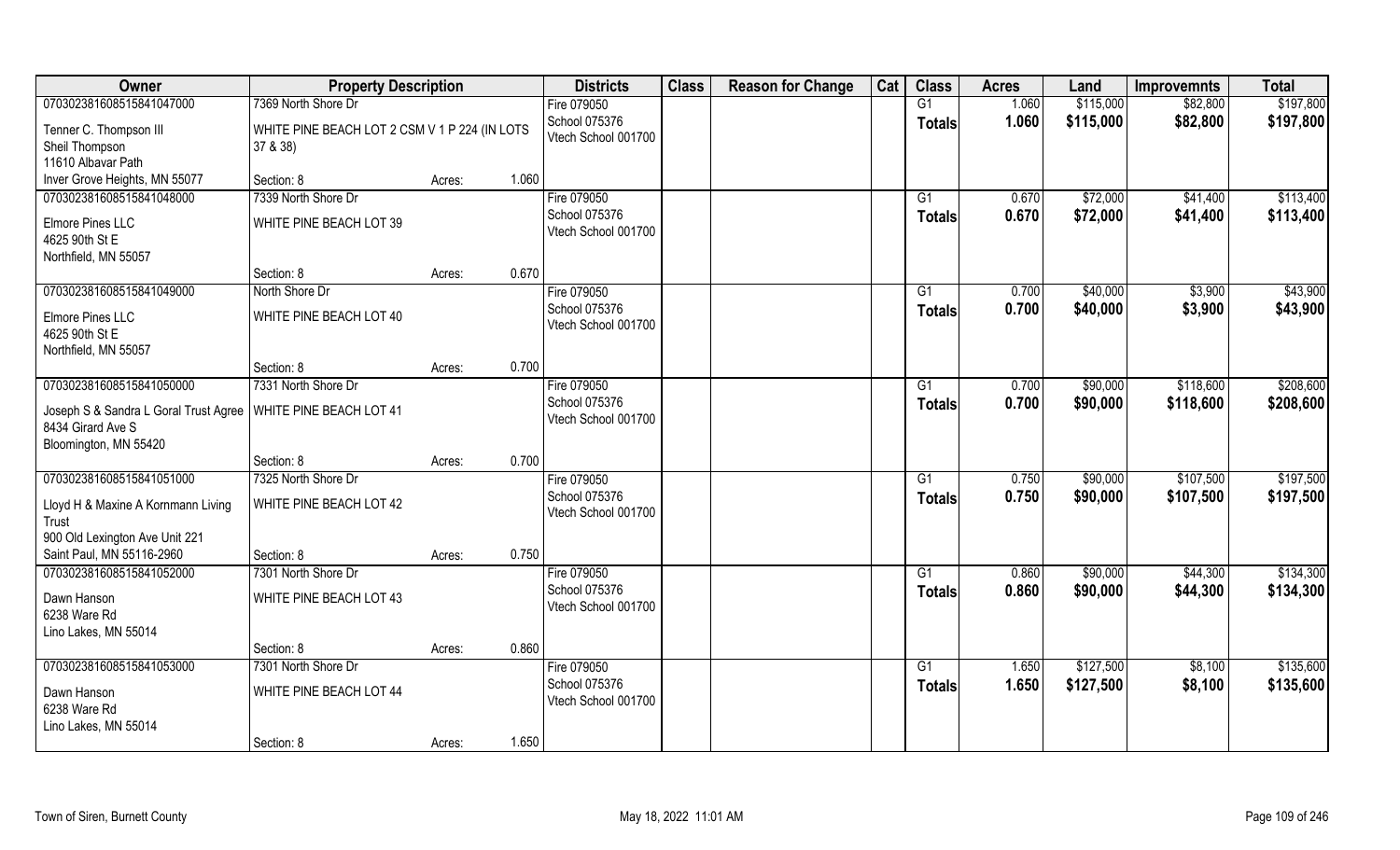| Owner                                                                               | <b>Property Description</b>                               |        |       | <b>Districts</b>                     | <b>Class</b> | <b>Reason for Change</b> | Cat | <b>Class</b>    | <b>Acres</b>   | Land                 | <b>Improvemnts</b>   | <b>Total</b>           |
|-------------------------------------------------------------------------------------|-----------------------------------------------------------|--------|-------|--------------------------------------|--------------|--------------------------|-----|-----------------|----------------|----------------------|----------------------|------------------------|
| 070302381608515841047000                                                            | 7369 North Shore Dr                                       |        |       | Fire 079050                          |              |                          |     | G1              | 1.060          | \$115,000            | \$82,800             | \$197,800              |
| Tenner C. Thompson III<br>Sheil Thompson<br>11610 Albavar Path                      | WHITE PINE BEACH LOT 2 CSM V 1 P 224 (IN LOTS<br>37 & 38) |        |       | School 075376<br>Vtech School 001700 |              |                          |     | <b>Totals</b>   | 1.060          | \$115,000            | \$82,800             | \$197,800              |
| Inver Grove Heights, MN 55077                                                       | Section: 8                                                | Acres: | 1.060 |                                      |              |                          |     |                 |                |                      |                      |                        |
| 070302381608515841048000                                                            | 7339 North Shore Dr                                       |        |       | Fire 079050<br>School 075376         |              |                          |     | G1              | 0.670<br>0.670 | \$72,000<br>\$72,000 | \$41,400<br>\$41,400 | \$113,400<br>\$113,400 |
| Elmore Pines LLC<br>4625 90th St E<br>Northfield, MN 55057                          | WHITE PINE BEACH LOT 39                                   |        |       | Vtech School 001700                  |              |                          |     | <b>Totals</b>   |                |                      |                      |                        |
|                                                                                     | Section: 8                                                | Acres: | 0.670 |                                      |              |                          |     |                 |                |                      |                      |                        |
| 070302381608515841049000                                                            | North Shore Dr                                            |        |       | Fire 079050                          |              |                          |     | G1              | 0.700          | \$40,000             | \$3,900              | \$43,900               |
| Elmore Pines LLC<br>4625 90th St E<br>Northfield, MN 55057                          | WHITE PINE BEACH LOT 40                                   |        |       | School 075376<br>Vtech School 001700 |              |                          |     | <b>Totals</b>   | 0.700          | \$40,000             | \$3,900              | \$43,900               |
|                                                                                     | Section: 8                                                | Acres: | 0.700 |                                      |              |                          |     |                 |                |                      |                      |                        |
| 070302381608515841050000                                                            | 7331 North Shore Dr                                       |        |       | Fire 079050                          |              |                          |     | G1              | 0.700          | \$90,000             | \$118,600            | \$208,600              |
| Joseph S & Sandra L Goral Trust Agree<br>8434 Girard Ave S<br>Bloomington, MN 55420 | WHITE PINE BEACH LOT 41                                   |        |       | School 075376<br>Vtech School 001700 |              |                          |     | <b>Totals</b>   | 0.700          | \$90,000             | \$118,600            | \$208,600              |
|                                                                                     | Section: 8                                                | Acres: | 0.700 |                                      |              |                          |     |                 |                |                      |                      |                        |
| 070302381608515841051000                                                            | 7325 North Shore Dr                                       |        |       | Fire 079050                          |              |                          |     | $\overline{G1}$ | 0.750          | \$90,000             | \$107,500            | \$197,500              |
| Lloyd H & Maxine A Kornmann Living<br>Trust                                         | WHITE PINE BEACH LOT 42                                   |        |       | School 075376<br>Vtech School 001700 |              |                          |     | <b>Totals</b>   | 0.750          | \$90,000             | \$107,500            | \$197,500              |
| 900 Old Lexington Ave Unit 221<br>Saint Paul, MN 55116-2960                         | Section: 8                                                | Acres: | 0.750 |                                      |              |                          |     |                 |                |                      |                      |                        |
| 070302381608515841052000                                                            | 7301 North Shore Dr                                       |        |       | Fire 079050                          |              |                          |     | G1              | 0.860          | \$90,000             | \$44,300             | \$134,300              |
| Dawn Hanson<br>6238 Ware Rd<br>Lino Lakes, MN 55014                                 | WHITE PINE BEACH LOT 43                                   |        |       | School 075376<br>Vtech School 001700 |              |                          |     | <b>Totals</b>   | 0.860          | \$90,000             | \$44,300             | \$134,300              |
|                                                                                     | Section: 8                                                | Acres: | 0.860 |                                      |              |                          |     |                 |                |                      |                      |                        |
| 070302381608515841053000                                                            | 7301 North Shore Dr                                       |        |       | Fire 079050                          |              |                          |     | G1              | 1.650          | \$127,500            | \$8,100              | \$135,600              |
| Dawn Hanson<br>6238 Ware Rd<br>Lino Lakes, MN 55014                                 | WHITE PINE BEACH LOT 44                                   |        |       | School 075376<br>Vtech School 001700 |              |                          |     | <b>Totals</b>   | 1.650          | \$127,500            | \$8,100              | \$135,600              |
|                                                                                     | Section: 8                                                | Acres: | 1.650 |                                      |              |                          |     |                 |                |                      |                      |                        |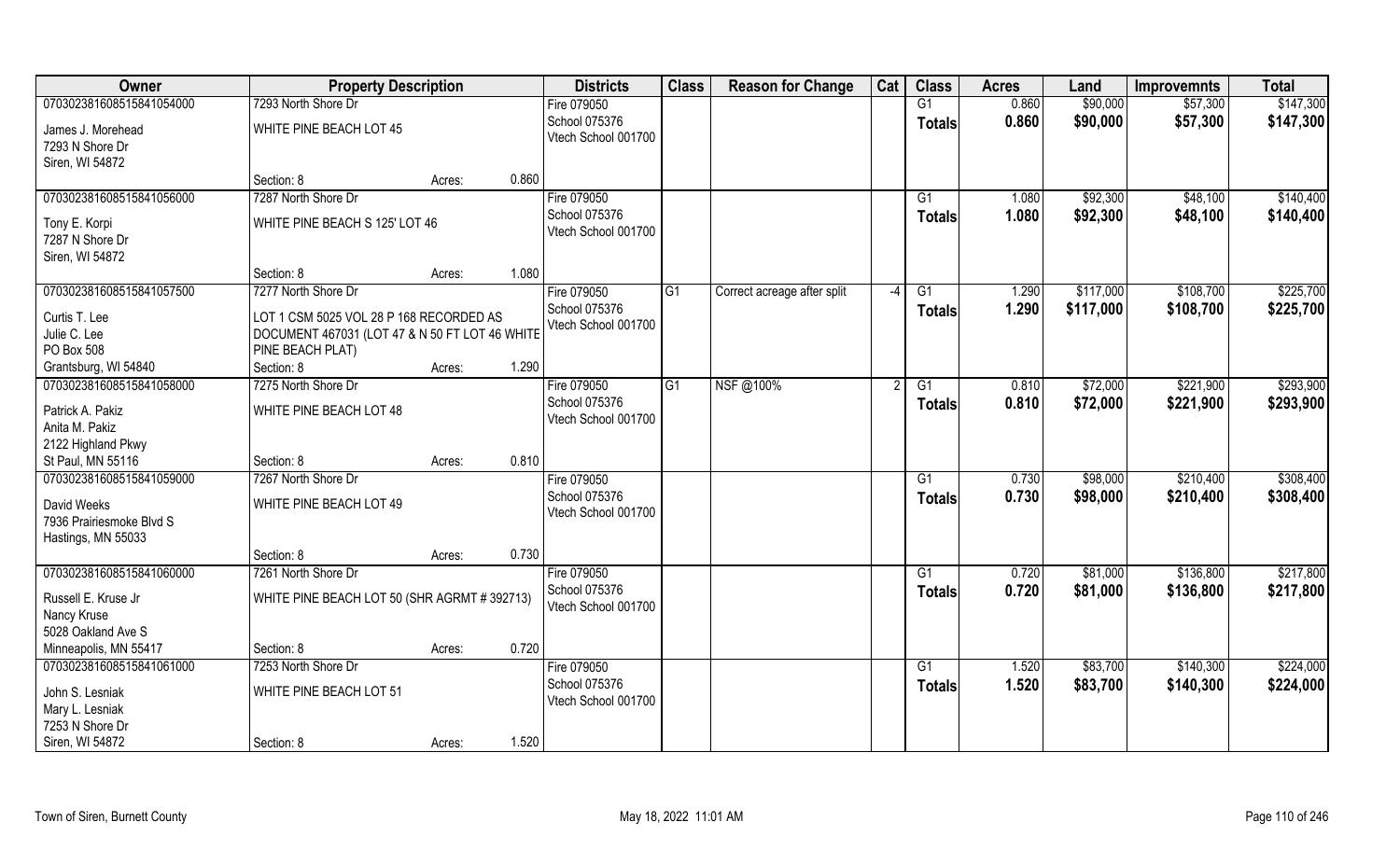| Owner                                                   | <b>Property Description</b>                                        |        | <b>Districts</b>                     | <b>Class</b>    | <b>Reason for Change</b>    | Cat  | <b>Class</b>        | <b>Acres</b>   | Land                 | <b>Improvemnts</b>     | <b>Total</b>           |
|---------------------------------------------------------|--------------------------------------------------------------------|--------|--------------------------------------|-----------------|-----------------------------|------|---------------------|----------------|----------------------|------------------------|------------------------|
| 070302381608515841054000                                | 7293 North Shore Dr                                                |        | Fire 079050                          |                 |                             |      | G1                  | 0.860          | \$90,000             | \$57,300               | \$147,300              |
| James J. Morehead<br>7293 N Shore Dr<br>Siren, WI 54872 | WHITE PINE BEACH LOT 45                                            |        | School 075376<br>Vtech School 001700 |                 |                             |      | <b>Totals</b>       | 0.860          | \$90,000             | \$57,300               | \$147,300              |
|                                                         | Section: 8                                                         | Acres: | 0.860                                |                 |                             |      |                     |                |                      |                        |                        |
| 070302381608515841056000<br>Tony E. Korpi               | 7287 North Shore Dr<br>WHITE PINE BEACH S 125' LOT 46              |        | Fire 079050<br>School 075376         |                 |                             |      | G1<br><b>Totals</b> | 1.080<br>1.080 | \$92,300<br>\$92,300 | \$48,100<br>\$48,100   | \$140,400<br>\$140,400 |
| 7287 N Shore Dr<br>Siren, WI 54872                      |                                                                    |        | Vtech School 001700                  |                 |                             |      |                     |                |                      |                        |                        |
|                                                         | Section: 8                                                         | Acres: | 1.080                                |                 |                             |      |                     |                |                      |                        |                        |
| 070302381608515841057500                                | 7277 North Shore Dr                                                |        | Fire 079050                          | IG <sub>1</sub> | Correct acreage after split | $-4$ | G1                  | 1.290          | \$117,000            | \$108,700              | \$225,700              |
| Curtis T. Lee                                           | LOT 1 CSM 5025 VOL 28 P 168 RECORDED AS                            |        | School 075376<br>Vtech School 001700 |                 |                             |      | <b>Totals</b>       | 1.290          | \$117,000            | \$108,700              | \$225,700              |
| Julie C. Lee<br>PO Box 508                              | DOCUMENT 467031 (LOT 47 & N 50 FT LOT 46 WHITE<br>PINE BEACH PLAT) |        |                                      |                 |                             |      |                     |                |                      |                        |                        |
| Grantsburg, WI 54840                                    | Section: 8                                                         | Acres: | 1.290                                |                 |                             |      |                     |                |                      |                        |                        |
| 070302381608515841058000                                | 7275 North Shore Dr                                                |        | Fire 079050                          | G <sub>1</sub>  | NSF@100%                    |      | G1                  | 0.810          | \$72,000             | \$221,900              | \$293,900              |
| Patrick A. Pakiz<br>Anita M. Pakiz                      | WHITE PINE BEACH LOT 48                                            |        | School 075376<br>Vtech School 001700 |                 |                             |      | <b>Totals</b>       | 0.810          | \$72,000             | \$221,900              | \$293,900              |
| 2122 Highland Pkwy<br>St Paul, MN 55116                 | Section: 8                                                         | Acres: | 0.810                                |                 |                             |      |                     |                |                      |                        |                        |
| 070302381608515841059000                                | 7267 North Shore Dr                                                |        | Fire 079050                          |                 |                             |      | G1                  | 0.730          | \$98,000             | \$210,400              | \$308,400              |
| David Weeks                                             | WHITE PINE BEACH LOT 49                                            |        | School 075376                        |                 |                             |      | <b>Totals</b>       | 0.730          | \$98,000             | \$210,400              | \$308,400              |
| 7936 Prairiesmoke Blvd S                                |                                                                    |        | Vtech School 001700                  |                 |                             |      |                     |                |                      |                        |                        |
| Hastings, MN 55033                                      |                                                                    |        |                                      |                 |                             |      |                     |                |                      |                        |                        |
|                                                         | Section: 8                                                         | Acres: | 0.730                                |                 |                             |      |                     |                |                      |                        |                        |
| 070302381608515841060000                                | 7261 North Shore Dr                                                |        | Fire 079050                          |                 |                             |      | G1                  | 0.720          | \$81,000             | \$136,800              | \$217,800              |
| Russell E. Kruse Jr<br>Nancy Kruse                      | WHITE PINE BEACH LOT 50 (SHR AGRMT #392713)                        |        | School 075376<br>Vtech School 001700 |                 |                             |      | <b>Totals</b>       | 0.720          | \$81,000             | \$136,800              | \$217,800              |
| 5028 Oakland Ave S                                      |                                                                    |        |                                      |                 |                             |      |                     |                |                      |                        |                        |
| Minneapolis, MN 55417<br>070302381608515841061000       | Section: 8                                                         | Acres: | 0.720<br>Fire 079050                 |                 |                             |      |                     |                |                      |                        | \$224,000              |
|                                                         | 7253 North Shore Dr                                                |        | School 075376                        |                 |                             |      | G1<br><b>Totals</b> | 1.520<br>1.520 | \$83,700<br>\$83,700 | \$140,300<br>\$140,300 | \$224,000              |
| John S. Lesniak                                         | WHITE PINE BEACH LOT 51                                            |        | Vtech School 001700                  |                 |                             |      |                     |                |                      |                        |                        |
| Mary L. Lesniak                                         |                                                                    |        |                                      |                 |                             |      |                     |                |                      |                        |                        |
| 7253 N Shore Dr<br>Siren, WI 54872                      | Section: 8                                                         | Acres: | 1.520                                |                 |                             |      |                     |                |                      |                        |                        |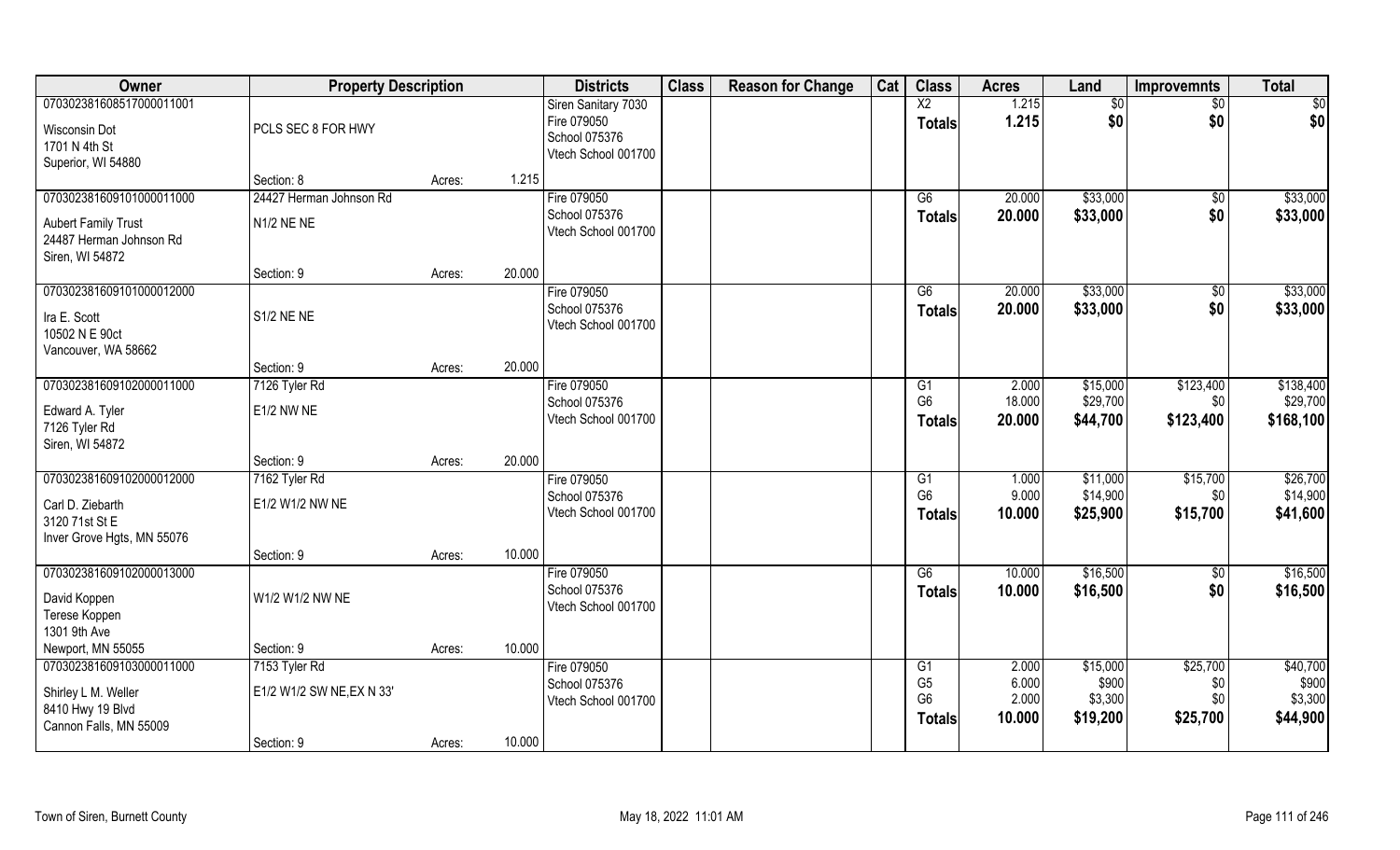| Owner                                                                                                | <b>Property Description</b>                              |        |        | <b>Districts</b>                                                           | <b>Class</b> | <b>Reason for Change</b> | Cat | <b>Class</b>                                            | <b>Acres</b>                      | Land                                     | <b>Improvemnts</b>                 | <b>Total</b>                             |
|------------------------------------------------------------------------------------------------------|----------------------------------------------------------|--------|--------|----------------------------------------------------------------------------|--------------|--------------------------|-----|---------------------------------------------------------|-----------------------------------|------------------------------------------|------------------------------------|------------------------------------------|
| 070302381608517000011001<br>Wisconsin Dot<br>1701 N 4th St<br>Superior, WI 54880                     | PCLS SEC 8 FOR HWY                                       |        |        | Siren Sanitary 7030<br>Fire 079050<br>School 075376<br>Vtech School 001700 |              |                          |     | $\overline{\mathsf{X2}}$<br><b>Totals</b>               | 1.215<br>1.215                    | \$0<br>\$0                               | $\sqrt{6}$<br>\$0                  | \$0<br>\$0                               |
|                                                                                                      | Section: 8                                               | Acres: | 1.215  |                                                                            |              |                          |     |                                                         |                                   |                                          |                                    |                                          |
| 070302381609101000011000<br><b>Aubert Family Trust</b><br>24487 Herman Johnson Rd<br>Siren, WI 54872 | 24427 Herman Johnson Rd<br><b>N1/2 NE NE</b>             |        |        | Fire 079050<br>School 075376<br>Vtech School 001700                        |              |                          |     | $\overline{G6}$<br><b>Totals</b>                        | 20.000<br>20.000                  | \$33,000<br>\$33,000                     | \$0<br>\$0                         | \$33,000<br>\$33,000                     |
|                                                                                                      | Section: 9                                               | Acres: | 20.000 |                                                                            |              |                          |     |                                                         |                                   |                                          |                                    |                                          |
| 070302381609101000012000<br>Ira E. Scott<br>10502 N E 90ct<br>Vancouver, WA 58662                    | S1/2 NE NE                                               |        |        | Fire 079050<br>School 075376<br>Vtech School 001700                        |              |                          |     | G6<br><b>Totals</b>                                     | 20.000<br>20.000                  | \$33,000<br>\$33,000                     | \$0<br>\$0                         | \$33,000<br>\$33,000                     |
|                                                                                                      | Section: 9                                               | Acres: | 20.000 |                                                                            |              |                          |     |                                                         |                                   |                                          |                                    |                                          |
| 070302381609102000011000<br>Edward A. Tyler<br>7126 Tyler Rd<br>Siren, WI 54872                      | 7126 Tyler Rd<br><b>E1/2 NW NE</b>                       |        |        | Fire 079050<br>School 075376<br>Vtech School 001700                        |              |                          |     | G1<br>G <sub>6</sub><br><b>Totals</b>                   | 2.000<br>18.000<br>20.000         | \$15,000<br>\$29,700<br>\$44,700         | \$123,400<br>\$0<br>\$123,400      | \$138,400<br>\$29,700<br>\$168,100       |
|                                                                                                      | Section: 9                                               | Acres: | 20.000 |                                                                            |              |                          |     |                                                         |                                   |                                          |                                    |                                          |
| 070302381609102000012000<br>Carl D. Ziebarth<br>3120 71st St E<br>Inver Grove Hgts, MN 55076         | 7162 Tyler Rd<br>E1/2 W1/2 NW NE                         |        |        | Fire 079050<br>School 075376<br>Vtech School 001700                        |              |                          |     | $\overline{G1}$<br>G <sub>6</sub><br>Totals             | 1.000<br>9.000<br>10.000          | \$11,000<br>\$14,900<br>\$25,900         | \$15,700<br>\$0<br>\$15,700        | \$26,700<br>\$14,900<br>\$41,600         |
|                                                                                                      | Section: 9                                               | Acres: | 10.000 |                                                                            |              |                          |     |                                                         |                                   |                                          |                                    |                                          |
| 070302381609102000013000<br>David Koppen<br>Terese Koppen<br>1301 9th Ave                            | W1/2 W1/2 NW NE                                          |        |        | Fire 079050<br>School 075376<br>Vtech School 001700                        |              |                          |     | G6<br><b>Totals</b>                                     | 10.000<br>10.000                  | \$16,500<br>\$16,500                     | $\sqrt{50}$<br>\$0                 | \$16,500<br>\$16,500                     |
| Newport, MN 55055                                                                                    | Section: 9                                               | Acres: | 10.000 |                                                                            |              |                          |     |                                                         |                                   |                                          |                                    |                                          |
| 070302381609103000011000<br>Shirley L M. Weller<br>8410 Hwy 19 Blvd<br>Cannon Falls, MN 55009        | 7153 Tyler Rd<br>E1/2 W1/2 SW NE, EX N 33'<br>Section: 9 | Acres: | 10.000 | Fire 079050<br>School 075376<br>Vtech School 001700                        |              |                          |     | G1<br>G <sub>5</sub><br>G <sub>6</sub><br><b>Totals</b> | 2.000<br>6.000<br>2.000<br>10.000 | \$15,000<br>\$900<br>\$3,300<br>\$19,200 | \$25,700<br>\$0<br>\$0<br>\$25,700 | \$40,700<br>\$900<br>\$3,300<br>\$44,900 |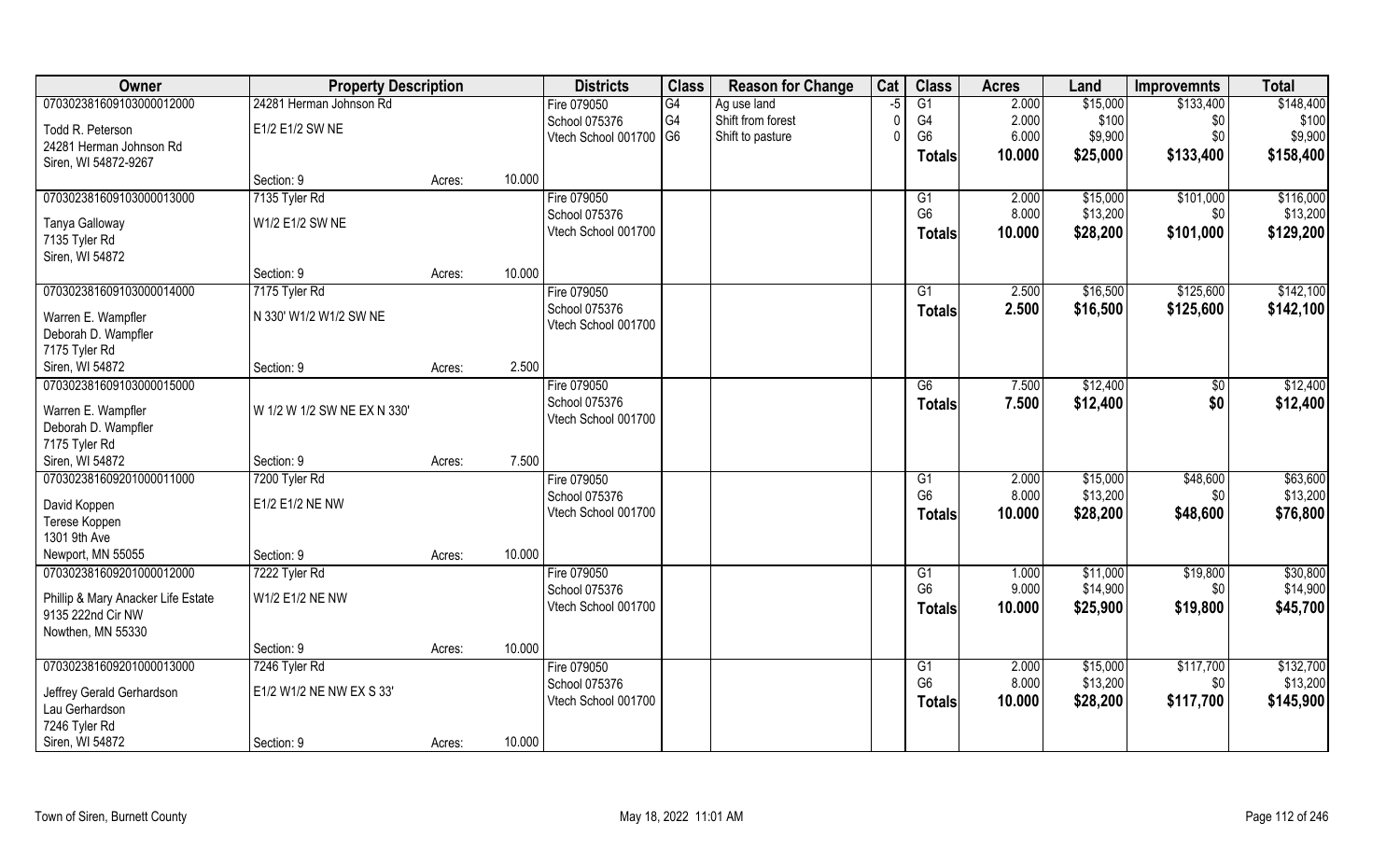| Owner                                                   | <b>Property Description</b> |        |        | <b>Districts</b>       | <b>Class</b>   | <b>Reason for Change</b> | Cat      | <b>Class</b>    | <b>Acres</b> | Land     | <b>Improvemnts</b> | <b>Total</b> |
|---------------------------------------------------------|-----------------------------|--------|--------|------------------------|----------------|--------------------------|----------|-----------------|--------------|----------|--------------------|--------------|
| 070302381609103000012000                                | 24281 Herman Johnson Rd     |        |        | Fire 079050            | G4             | Ag use land              | -5       | $\overline{G1}$ | 2.000        | \$15,000 | \$133,400          | \$148,400    |
| Todd R. Peterson                                        | E1/2 E1/2 SW NE             |        |        | School 075376          | G <sub>4</sub> | Shift from forest        | $\Omega$ | G4              | 2.000        | \$100    | \$0                | \$100        |
| 24281 Herman Johnson Rd                                 |                             |        |        | Vtech School 001700 G6 |                | Shift to pasture         |          | G <sub>6</sub>  | 6.000        | \$9,900  | \$0                | \$9,900      |
| Siren, WI 54872-9267                                    |                             |        |        |                        |                |                          |          | <b>Totals</b>   | 10.000       | \$25,000 | \$133,400          | \$158,400    |
|                                                         | Section: 9                  | Acres: | 10.000 |                        |                |                          |          |                 |              |          |                    |              |
| 070302381609103000013000                                | 7135 Tyler Rd               |        |        | Fire 079050            |                |                          |          | G1              | 2.000        | \$15,000 | \$101,000          | \$116,000    |
| Tanya Galloway                                          | W1/2 E1/2 SW NE             |        |        | School 075376          |                |                          |          | G <sub>6</sub>  | 8.000        | \$13,200 | \$0                | \$13,200     |
| 7135 Tyler Rd                                           |                             |        |        | Vtech School 001700    |                |                          |          | <b>Totals</b>   | 10.000       | \$28,200 | \$101,000          | \$129,200    |
| Siren, WI 54872                                         |                             |        |        |                        |                |                          |          |                 |              |          |                    |              |
|                                                         | Section: 9                  | Acres: | 10.000 |                        |                |                          |          |                 |              |          |                    |              |
| 070302381609103000014000                                | 7175 Tyler Rd               |        |        | Fire 079050            |                |                          |          | G1              | 2.500        | \$16,500 | \$125,600          | \$142,100    |
| Warren E. Wampfler                                      | N 330' W1/2 W1/2 SW NE      |        |        | School 075376          |                |                          |          | <b>Totals</b>   | 2.500        | \$16,500 | \$125,600          | \$142,100    |
| Deborah D. Wampfler                                     |                             |        |        | Vtech School 001700    |                |                          |          |                 |              |          |                    |              |
| 7175 Tyler Rd                                           |                             |        |        |                        |                |                          |          |                 |              |          |                    |              |
| Siren, WI 54872                                         | Section: 9                  | Acres: | 2.500  |                        |                |                          |          |                 |              |          |                    |              |
| 070302381609103000015000                                |                             |        |        | Fire 079050            |                |                          |          | G6              | 7.500        | \$12,400 | $\sqrt{50}$        | \$12,400     |
| Warren E. Wampfler                                      | W 1/2 W 1/2 SW NE EX N 330' |        |        | School 075376          |                |                          |          | <b>Totals</b>   | 7.500        | \$12,400 | \$0                | \$12,400     |
| Deborah D. Wampfler                                     |                             |        |        | Vtech School 001700    |                |                          |          |                 |              |          |                    |              |
| 7175 Tyler Rd                                           |                             |        |        |                        |                |                          |          |                 |              |          |                    |              |
| Siren, WI 54872                                         | Section: 9                  | Acres: | 7.500  |                        |                |                          |          |                 |              |          |                    |              |
| 070302381609201000011000                                | 7200 Tyler Rd               |        |        | Fire 079050            |                |                          |          | G1              | 2.000        | \$15,000 | \$48,600           | \$63,600     |
| David Koppen                                            | E1/2 E1/2 NE NW             |        |        | School 075376          |                |                          |          | G <sub>6</sub>  | 8.000        | \$13,200 | \$0                | \$13,200     |
| Terese Koppen                                           |                             |        |        | Vtech School 001700    |                |                          |          | <b>Totals</b>   | 10.000       | \$28,200 | \$48,600           | \$76,800     |
| 1301 9th Ave                                            |                             |        |        |                        |                |                          |          |                 |              |          |                    |              |
| Newport, MN 55055                                       | Section: 9                  | Acres: | 10.000 |                        |                |                          |          |                 |              |          |                    |              |
| 070302381609201000012000                                | 7222 Tyler Rd               |        |        | Fire 079050            |                |                          |          | G1              | 1.000        | \$11,000 | \$19,800           | \$30,800     |
|                                                         |                             |        |        | School 075376          |                |                          |          | G <sub>6</sub>  | 9.000        | \$14,900 | \$0                | \$14,900     |
| Phillip & Mary Anacker Life Estate<br>9135 222nd Cir NW | W1/2 E1/2 NE NW             |        |        | Vtech School 001700    |                |                          |          | <b>Totals</b>   | 10.000       | \$25,900 | \$19,800           | \$45,700     |
| Nowthen, MN 55330                                       |                             |        |        |                        |                |                          |          |                 |              |          |                    |              |
|                                                         | Section: 9                  | Acres: | 10.000 |                        |                |                          |          |                 |              |          |                    |              |
| 070302381609201000013000                                | 7246 Tyler Rd               |        |        | Fire 079050            |                |                          |          | G1              | 2.000        | \$15,000 | \$117,700          | \$132,700    |
| Jeffrey Gerald Gerhardson                               | E1/2 W1/2 NE NW EX S 33'    |        |        | School 075376          |                |                          |          | G <sub>6</sub>  | 8.000        | \$13,200 | \$0                | \$13,200     |
| Lau Gerhardson                                          |                             |        |        | Vtech School 001700    |                |                          |          | <b>Totals</b>   | 10.000       | \$28,200 | \$117,700          | \$145,900    |
| 7246 Tyler Rd                                           |                             |        |        |                        |                |                          |          |                 |              |          |                    |              |
| Siren, WI 54872                                         | Section: 9                  | Acres: | 10.000 |                        |                |                          |          |                 |              |          |                    |              |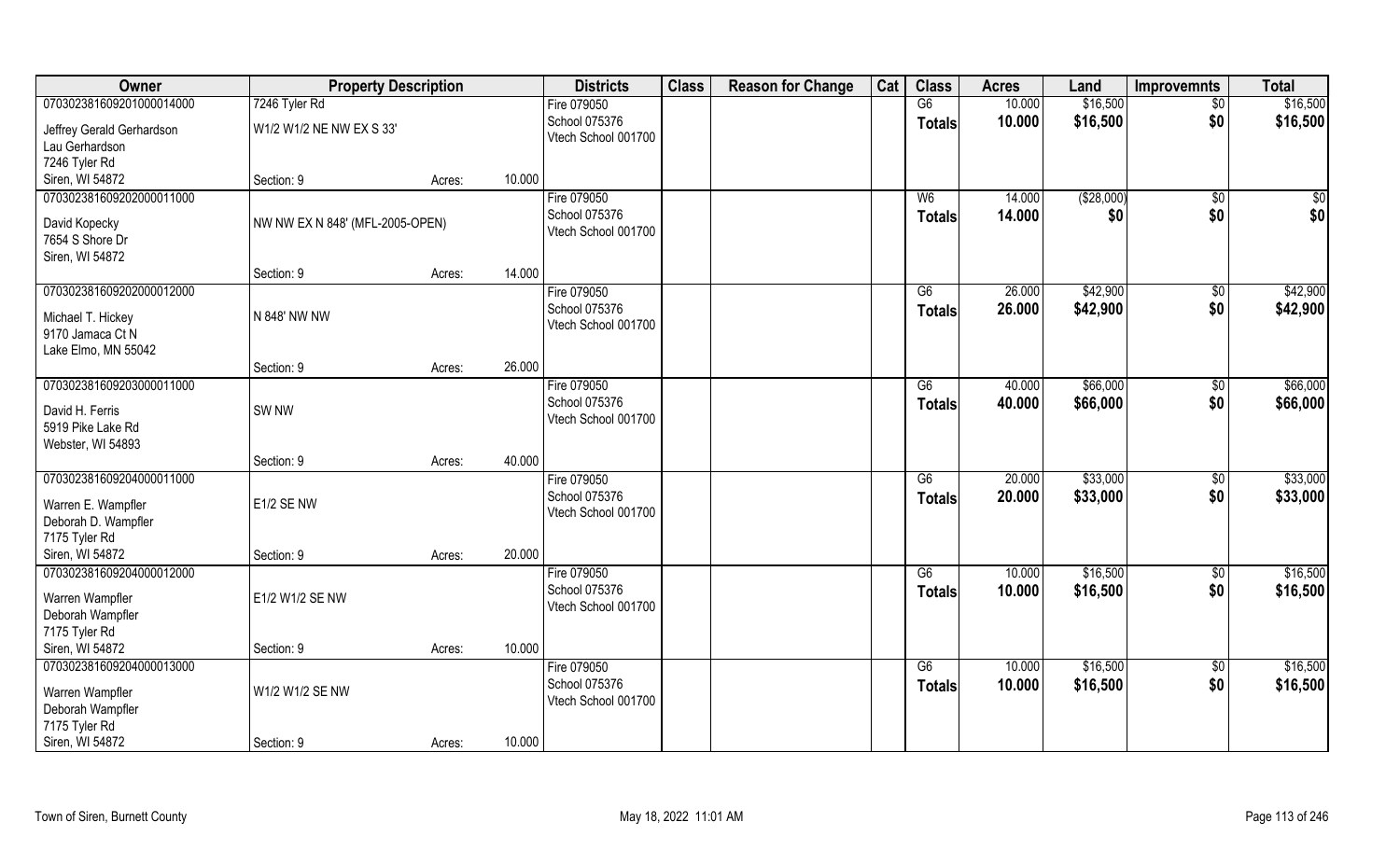| 070302381609201000014000<br>7246 Tyler Rd<br>Fire 079050<br>G6<br>10.000<br>\$16,500<br>$\sqrt{$0}$<br>School 075376<br>10.000<br>\$0<br>\$16,500<br><b>Totals</b><br>W1/2 W1/2 NE NW EX S 33'<br>Jeffrey Gerald Gerhardson<br>Vtech School 001700<br>Lau Gerhardson<br>7246 Tyler Rd<br>Siren, WI 54872<br>10.000<br>Section: 9<br>Acres:<br>070302381609202000011000<br>Fire 079050<br>( \$28,000)<br>14.000<br>W <sub>6</sub><br>$\sqrt{$0}$<br>\$0<br>School 075376<br>14.000<br>\$0<br>Totals<br>NW NW EX N 848' (MFL-2005-OPEN)<br>David Kopecky<br>Vtech School 001700<br>7654 S Shore Dr<br>Siren, WI 54872<br>14.000<br>Section: 9<br>Acres:<br>Fire 079050<br>\$42,900<br>$\overline{30}$<br>070302381609202000012000<br>G6<br>26.000 | Owner | <b>Property Description</b> | <b>Districts</b> | <b>Class</b> | <b>Reason for Change</b> | Cat | <b>Class</b> | <b>Acres</b> | Land     | <b>Improvemnts</b> | <b>Total</b> |
|-------------------------------------------------------------------------------------------------------------------------------------------------------------------------------------------------------------------------------------------------------------------------------------------------------------------------------------------------------------------------------------------------------------------------------------------------------------------------------------------------------------------------------------------------------------------------------------------------------------------------------------------------------------------------------------------------------------------------------------------------|-------|-----------------------------|------------------|--------------|--------------------------|-----|--------------|--------------|----------|--------------------|--------------|
|                                                                                                                                                                                                                                                                                                                                                                                                                                                                                                                                                                                                                                                                                                                                                 |       |                             |                  |              |                          |     |              |              |          |                    | \$16,500     |
|                                                                                                                                                                                                                                                                                                                                                                                                                                                                                                                                                                                                                                                                                                                                                 |       |                             |                  |              |                          |     |              |              |          |                    | \$16,500     |
|                                                                                                                                                                                                                                                                                                                                                                                                                                                                                                                                                                                                                                                                                                                                                 |       |                             |                  |              |                          |     |              |              |          |                    |              |
|                                                                                                                                                                                                                                                                                                                                                                                                                                                                                                                                                                                                                                                                                                                                                 |       |                             |                  |              |                          |     |              |              |          |                    |              |
|                                                                                                                                                                                                                                                                                                                                                                                                                                                                                                                                                                                                                                                                                                                                                 |       |                             |                  |              |                          |     |              |              |          |                    |              |
|                                                                                                                                                                                                                                                                                                                                                                                                                                                                                                                                                                                                                                                                                                                                                 |       |                             |                  |              |                          |     |              |              |          |                    | \$0          |
|                                                                                                                                                                                                                                                                                                                                                                                                                                                                                                                                                                                                                                                                                                                                                 |       |                             |                  |              |                          |     |              |              |          |                    | \$0          |
|                                                                                                                                                                                                                                                                                                                                                                                                                                                                                                                                                                                                                                                                                                                                                 |       |                             |                  |              |                          |     |              |              |          |                    |              |
|                                                                                                                                                                                                                                                                                                                                                                                                                                                                                                                                                                                                                                                                                                                                                 |       |                             |                  |              |                          |     |              |              |          |                    |              |
|                                                                                                                                                                                                                                                                                                                                                                                                                                                                                                                                                                                                                                                                                                                                                 |       |                             |                  |              |                          |     |              |              |          |                    |              |
|                                                                                                                                                                                                                                                                                                                                                                                                                                                                                                                                                                                                                                                                                                                                                 |       |                             |                  |              |                          |     |              |              |          |                    | \$42,900     |
| <b>Totals</b><br>N 848' NW NW<br>Michael T. Hickey                                                                                                                                                                                                                                                                                                                                                                                                                                                                                                                                                                                                                                                                                              |       |                             | School 075376    |              |                          |     |              | 26.000       | \$42,900 | \$0                | \$42,900     |
| Vtech School 001700<br>9170 Jamaca Ct N                                                                                                                                                                                                                                                                                                                                                                                                                                                                                                                                                                                                                                                                                                         |       |                             |                  |              |                          |     |              |              |          |                    |              |
| Lake Elmo, MN 55042                                                                                                                                                                                                                                                                                                                                                                                                                                                                                                                                                                                                                                                                                                                             |       |                             |                  |              |                          |     |              |              |          |                    |              |
| 26.000<br>Section: 9<br>Acres:                                                                                                                                                                                                                                                                                                                                                                                                                                                                                                                                                                                                                                                                                                                  |       |                             |                  |              |                          |     |              |              |          |                    |              |
| 070302381609203000011000<br>\$66,000<br>Fire 079050<br>40.000<br>G6<br>$\sqrt[6]{3}$                                                                                                                                                                                                                                                                                                                                                                                                                                                                                                                                                                                                                                                            |       |                             |                  |              |                          |     |              |              |          |                    | \$66,000     |
| School 075376<br>\$0<br>40.000<br>\$66,000<br><b>Totals</b><br>David H. Ferris<br>SW <sub>NW</sub>                                                                                                                                                                                                                                                                                                                                                                                                                                                                                                                                                                                                                                              |       |                             |                  |              |                          |     |              |              |          |                    | \$66,000     |
| Vtech School 001700<br>5919 Pike Lake Rd                                                                                                                                                                                                                                                                                                                                                                                                                                                                                                                                                                                                                                                                                                        |       |                             |                  |              |                          |     |              |              |          |                    |              |
| Webster, WI 54893                                                                                                                                                                                                                                                                                                                                                                                                                                                                                                                                                                                                                                                                                                                               |       |                             |                  |              |                          |     |              |              |          |                    |              |
| 40.000<br>Section: 9<br>Acres:                                                                                                                                                                                                                                                                                                                                                                                                                                                                                                                                                                                                                                                                                                                  |       |                             |                  |              |                          |     |              |              |          |                    |              |
| 070302381609204000011000<br>$\overline{G6}$<br>20.000<br>\$33,000<br>$\overline{50}$<br>Fire 079050                                                                                                                                                                                                                                                                                                                                                                                                                                                                                                                                                                                                                                             |       |                             |                  |              |                          |     |              |              |          |                    | \$33,000     |
| \$33,000<br>School 075376<br>20.000<br>\$0<br><b>Totals</b><br>E1/2 SE NW<br>Warren E. Wampfler                                                                                                                                                                                                                                                                                                                                                                                                                                                                                                                                                                                                                                                 |       |                             |                  |              |                          |     |              |              |          |                    | \$33,000     |
| Vtech School 001700<br>Deborah D. Wampfler                                                                                                                                                                                                                                                                                                                                                                                                                                                                                                                                                                                                                                                                                                      |       |                             |                  |              |                          |     |              |              |          |                    |              |
| 7175 Tyler Rd                                                                                                                                                                                                                                                                                                                                                                                                                                                                                                                                                                                                                                                                                                                                   |       |                             |                  |              |                          |     |              |              |          |                    |              |
| Siren, WI 54872<br>20.000<br>Section: 9<br>Acres:                                                                                                                                                                                                                                                                                                                                                                                                                                                                                                                                                                                                                                                                                               |       |                             |                  |              |                          |     |              |              |          |                    |              |
| \$16,500<br>070302381609204000012000<br>Fire 079050<br>G6<br>10.000<br>$\sqrt{$0}$                                                                                                                                                                                                                                                                                                                                                                                                                                                                                                                                                                                                                                                              |       |                             |                  |              |                          |     |              |              |          |                    | \$16,500     |
| \$0<br>School 075376<br>10.000<br>\$16,500<br><b>Totals</b>                                                                                                                                                                                                                                                                                                                                                                                                                                                                                                                                                                                                                                                                                     |       |                             |                  |              |                          |     |              |              |          |                    | \$16,500     |
| E1/2 W1/2 SE NW<br>Warren Wampfler<br>Vtech School 001700<br>Deborah Wampfler                                                                                                                                                                                                                                                                                                                                                                                                                                                                                                                                                                                                                                                                   |       |                             |                  |              |                          |     |              |              |          |                    |              |
| 7175 Tyler Rd                                                                                                                                                                                                                                                                                                                                                                                                                                                                                                                                                                                                                                                                                                                                   |       |                             |                  |              |                          |     |              |              |          |                    |              |
| Siren, WI 54872<br>10.000<br>Section: 9<br>Acres:                                                                                                                                                                                                                                                                                                                                                                                                                                                                                                                                                                                                                                                                                               |       |                             |                  |              |                          |     |              |              |          |                    |              |
| Fire 079050<br>\$16,500<br>070302381609204000013000<br>G6<br>10.000<br>$\sqrt{$0}$                                                                                                                                                                                                                                                                                                                                                                                                                                                                                                                                                                                                                                                              |       |                             |                  |              |                          |     |              |              |          |                    | \$16,500     |
| School 075376<br>10.000<br>\$16,500<br>\$0<br><b>Totals</b>                                                                                                                                                                                                                                                                                                                                                                                                                                                                                                                                                                                                                                                                                     |       |                             |                  |              |                          |     |              |              |          |                    | \$16,500     |
| W1/2 W1/2 SE NW<br>Warren Wampfler<br>Vtech School 001700                                                                                                                                                                                                                                                                                                                                                                                                                                                                                                                                                                                                                                                                                       |       |                             |                  |              |                          |     |              |              |          |                    |              |
| Deborah Wampfler<br>7175 Tyler Rd                                                                                                                                                                                                                                                                                                                                                                                                                                                                                                                                                                                                                                                                                                               |       |                             |                  |              |                          |     |              |              |          |                    |              |
| Siren, WI 54872<br>10.000<br>Section: 9<br>Acres:                                                                                                                                                                                                                                                                                                                                                                                                                                                                                                                                                                                                                                                                                               |       |                             |                  |              |                          |     |              |              |          |                    |              |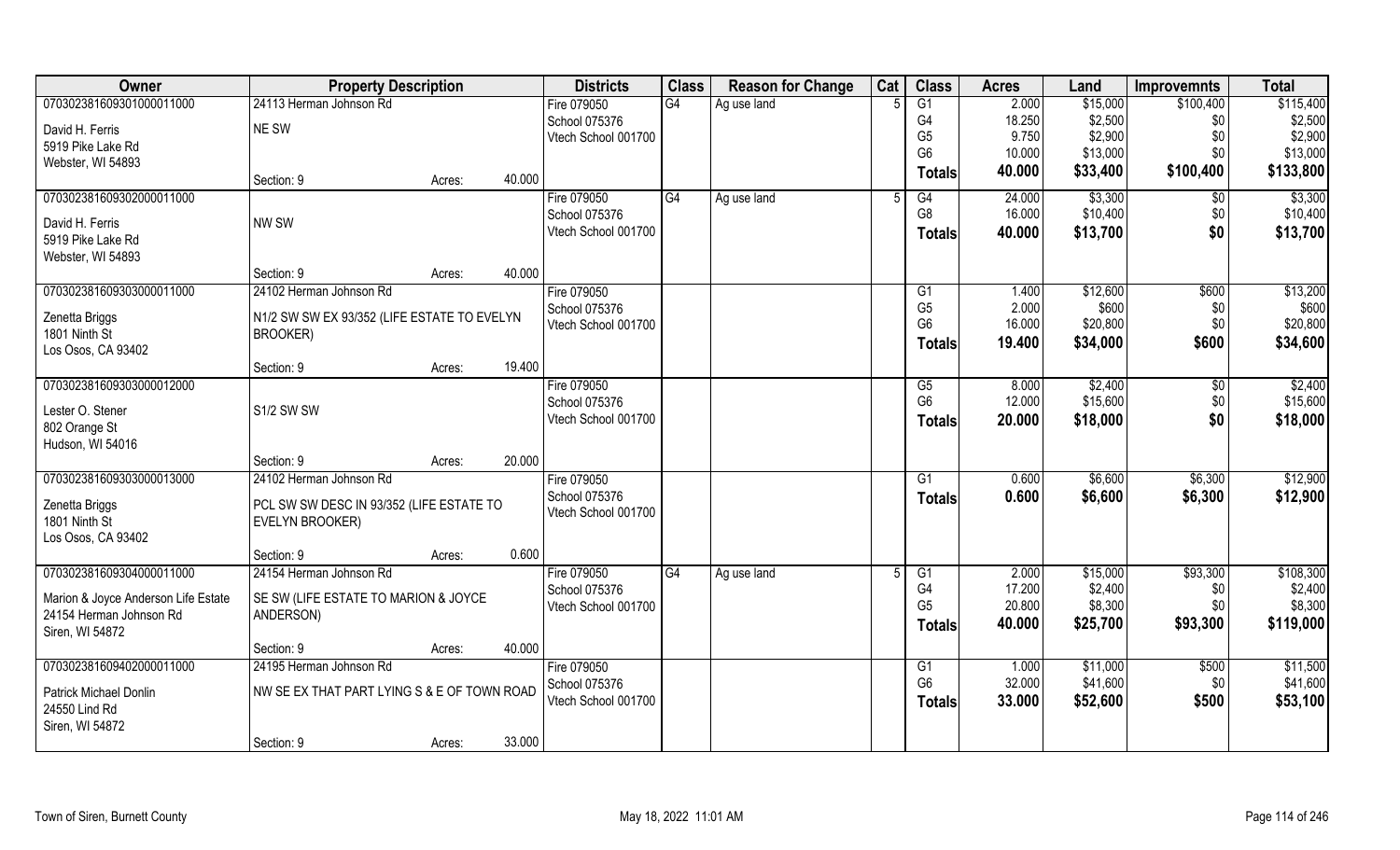| Owner                               | <b>Property Description</b>                 |        |        | <b>Districts</b>    | <b>Class</b> | <b>Reason for Change</b> | Cat | <b>Class</b>         | <b>Acres</b>    | Land                 | <b>Improvemnts</b> | <b>Total</b> |
|-------------------------------------|---------------------------------------------|--------|--------|---------------------|--------------|--------------------------|-----|----------------------|-----------------|----------------------|--------------------|--------------|
| 070302381609301000011000            | 24113 Herman Johnson Rd                     |        |        | Fire 079050         | G4           | Ag use land              |     | $\overline{G1}$      | 2.000           | \$15,000             | \$100,400          | \$115,400    |
| David H. Ferris                     | NE SW                                       |        |        | School 075376       |              |                          |     | G4                   | 18.250          | \$2,500              | \$0                | \$2,500      |
| 5919 Pike Lake Rd                   |                                             |        |        | Vtech School 001700 |              |                          |     | G <sub>5</sub>       | 9.750           | \$2,900              | \$0                | \$2,900      |
| Webster, WI 54893                   |                                             |        |        |                     |              |                          |     | G <sub>6</sub>       | 10.000          | \$13,000             | \$0                | \$13,000     |
|                                     | Section: 9                                  | Acres: | 40.000 |                     |              |                          |     | <b>Totals</b>        | 40.000          | \$33,400             | \$100,400          | \$133,800    |
| 070302381609302000011000            |                                             |        |        | Fire 079050         | G4           | Ag use land              |     | G4                   | 24.000          | \$3,300              | $\sqrt[6]{}$       | \$3,300      |
| David H. Ferris                     | NW SW                                       |        |        | School 075376       |              |                          |     | G <sub>8</sub>       | 16.000          | \$10,400             | \$0                | \$10,400     |
| 5919 Pike Lake Rd                   |                                             |        |        | Vtech School 001700 |              |                          |     | <b>Totals</b>        | 40.000          | \$13,700             | \$0                | \$13,700     |
| Webster, WI 54893                   |                                             |        |        |                     |              |                          |     |                      |                 |                      |                    |              |
|                                     | Section: 9                                  | Acres: | 40.000 |                     |              |                          |     |                      |                 |                      |                    |              |
| 070302381609303000011000            | 24102 Herman Johnson Rd                     |        |        | Fire 079050         |              |                          |     | G1                   | 1.400           | \$12,600             | \$600              | \$13,200     |
| Zenetta Briggs                      | N1/2 SW SW EX 93/352 (LIFE ESTATE TO EVELYN |        |        | School 075376       |              |                          |     | G <sub>5</sub>       | 2.000           | \$600                | \$0                | \$600        |
| 1801 Ninth St                       | BROOKER)                                    |        |        | Vtech School 001700 |              |                          |     | G <sub>6</sub>       | 16.000          | \$20,800             | \$0                | \$20,800     |
| Los Osos, CA 93402                  |                                             |        |        |                     |              |                          |     | <b>Totals</b>        | 19.400          | \$34,000             | \$600              | \$34,600     |
|                                     | Section: 9                                  | Acres: | 19.400 |                     |              |                          |     |                      |                 |                      |                    |              |
| 070302381609303000012000            |                                             |        |        | Fire 079050         |              |                          |     | G5                   | 8.000           | \$2,400              | \$0                | \$2,400      |
| Lester O. Stener                    | S1/2 SW SW                                  |        |        | School 075376       |              |                          |     | G <sub>6</sub>       | 12.000          | \$15,600             | \$0                | \$15,600     |
| 802 Orange St                       |                                             |        |        | Vtech School 001700 |              |                          |     | <b>Totals</b>        | 20.000          | \$18,000             | \$0                | \$18,000     |
| Hudson, WI 54016                    |                                             |        |        |                     |              |                          |     |                      |                 |                      |                    |              |
|                                     | Section: 9                                  | Acres: | 20.000 |                     |              |                          |     |                      |                 |                      |                    |              |
| 070302381609303000013000            | 24102 Herman Johnson Rd                     |        |        | Fire 079050         |              |                          |     | $\overline{G1}$      | 0.600           | \$6,600              | \$6,300            | \$12,900     |
|                                     |                                             |        |        | School 075376       |              |                          |     | <b>Totals</b>        | 0.600           | \$6,600              | \$6,300            | \$12,900     |
| Zenetta Briggs                      | PCL SW SW DESC IN 93/352 (LIFE ESTATE TO    |        |        | Vtech School 001700 |              |                          |     |                      |                 |                      |                    |              |
| 1801 Ninth St                       | EVELYN BROOKER)                             |        |        |                     |              |                          |     |                      |                 |                      |                    |              |
| Los Osos, CA 93402                  | Section: 9                                  |        | 0.600  |                     |              |                          |     |                      |                 |                      |                    |              |
| 070302381609304000011000            | 24154 Herman Johnson Rd                     | Acres: |        | Fire 079050         | G4           | Ag use land              |     | G1                   | 2.000           | \$15,000             | \$93,300           | \$108,300    |
|                                     |                                             |        |        | School 075376       |              |                          |     | G4                   | 17.200          | \$2,400              | \$0                | \$2,400      |
| Marion & Joyce Anderson Life Estate | SE SW (LIFE ESTATE TO MARION & JOYCE        |        |        | Vtech School 001700 |              |                          |     | G <sub>5</sub>       | 20.800          | \$8,300              | \$0\$              | \$8,300      |
| 24154 Herman Johnson Rd             | ANDERSON)                                   |        |        |                     |              |                          |     | <b>Totals</b>        | 40.000          | \$25,700             | \$93,300           | \$119,000    |
| Siren, WI 54872                     |                                             |        |        |                     |              |                          |     |                      |                 |                      |                    |              |
|                                     | Section: 9                                  | Acres: | 40.000 |                     |              |                          |     |                      |                 |                      |                    |              |
| 070302381609402000011000            | 24195 Herman Johnson Rd                     |        |        | Fire 079050         |              |                          |     | G1<br>G <sub>6</sub> | 1.000<br>32.000 | \$11,000<br>\$41,600 | \$500              | \$11,500     |
| Patrick Michael Donlin              | NW SE EX THAT PART LYING S & E OF TOWN ROAD |        |        | School 075376       |              |                          |     |                      |                 |                      | \$0                | \$41,600     |
| 24550 Lind Rd                       |                                             |        |        | Vtech School 001700 |              |                          |     | <b>Totals</b>        | 33.000          | \$52,600             | \$500              | \$53,100     |
| Siren, WI 54872                     |                                             |        |        |                     |              |                          |     |                      |                 |                      |                    |              |
|                                     | Section: 9                                  | Acres: | 33.000 |                     |              |                          |     |                      |                 |                      |                    |              |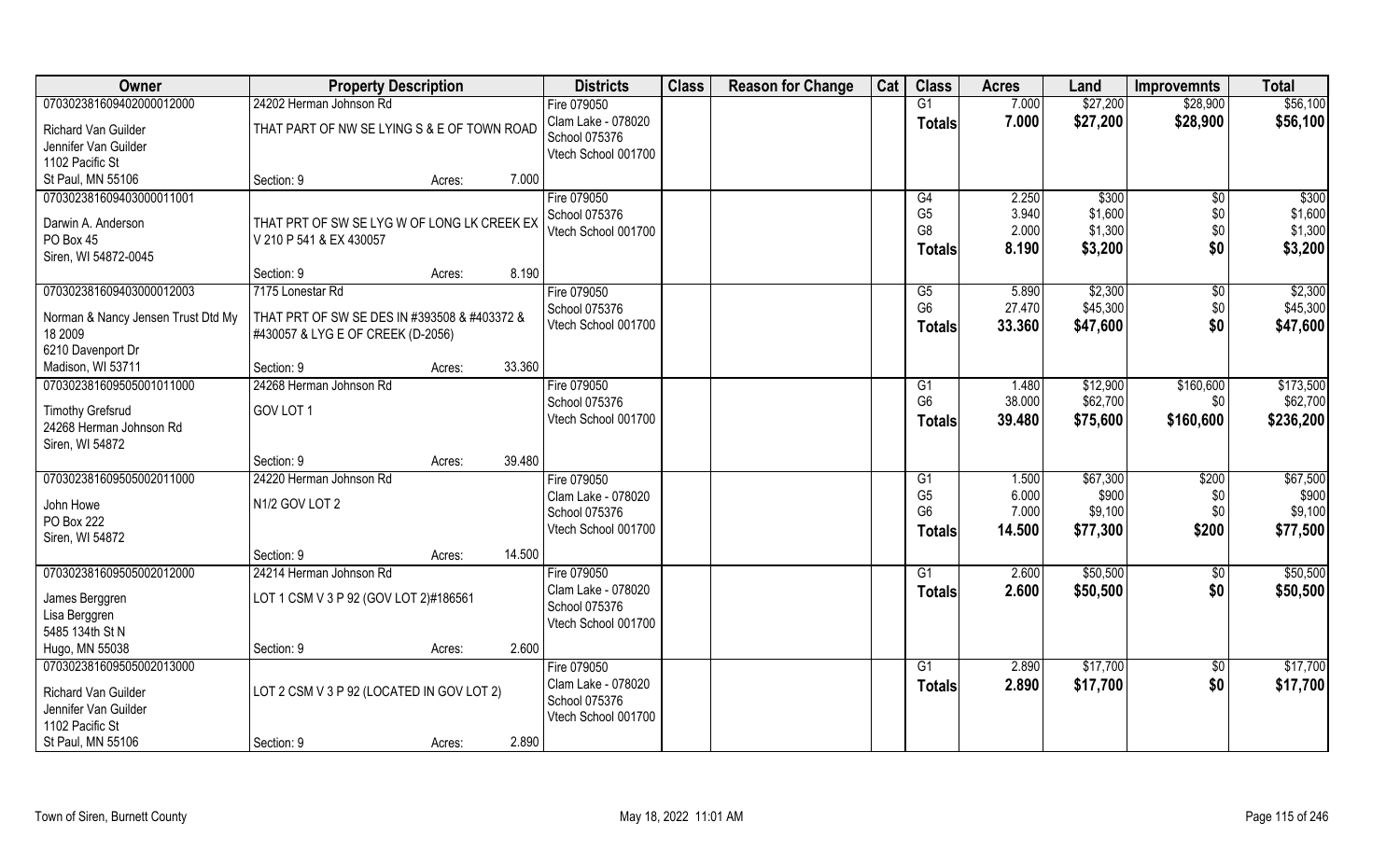| Owner                              | <b>Property Description</b>                  |        | <b>Districts</b>                  | <b>Class</b> | <b>Reason for Change</b> | Cat | <b>Class</b>   | <b>Acres</b> | Land     | <b>Improvemnts</b> | <b>Total</b> |
|------------------------------------|----------------------------------------------|--------|-----------------------------------|--------------|--------------------------|-----|----------------|--------------|----------|--------------------|--------------|
| 070302381609402000012000           | 24202 Herman Johnson Rd                      |        | Fire 079050                       |              |                          |     | G1             | 7.000        | \$27,200 | \$28,900           | \$56,100     |
| Richard Van Guilder                | THAT PART OF NW SE LYING S & E OF TOWN ROAD  |        | Clam Lake - 078020                |              |                          |     | <b>Totals</b>  | 7.000        | \$27,200 | \$28,900           | \$56,100     |
| Jennifer Van Guilder               |                                              |        | School 075376                     |              |                          |     |                |              |          |                    |              |
| 1102 Pacific St                    |                                              |        | Vtech School 001700               |              |                          |     |                |              |          |                    |              |
| St Paul, MN 55106                  | Section: 9                                   | Acres: | 7.000                             |              |                          |     |                |              |          |                    |              |
| 070302381609403000011001           |                                              |        | Fire 079050                       |              |                          |     | G4             | 2.250        | \$300    | $\overline{50}$    | \$300        |
| Darwin A. Anderson                 | THAT PRT OF SW SE LYG W OF LONG LK CREEK EX  |        | School 075376                     |              |                          |     | G <sub>5</sub> | 3.940        | \$1,600  | \$0                | \$1,600      |
| PO Box 45                          | V 210 P 541 & EX 430057                      |        | Vtech School 001700               |              |                          |     | G <sub>8</sub> | 2.000        | \$1,300  | \$0                | \$1,300      |
| Siren, WI 54872-0045               |                                              |        |                                   |              |                          |     | <b>Totals</b>  | 8.190        | \$3,200  | \$0                | \$3,200      |
|                                    | Section: 9                                   | Acres: | 8.190                             |              |                          |     |                |              |          |                    |              |
| 070302381609403000012003           | 7175 Lonestar Rd                             |        | Fire 079050                       |              |                          |     | G5             | 5.890        | \$2,300  | $\sqrt[6]{30}$     | \$2,300      |
| Norman & Nancy Jensen Trust Dtd My | THAT PRT OF SW SE DES IN #393508 & #403372 & |        | School 075376                     |              |                          |     | G <sub>6</sub> | 27.470       | \$45,300 | \$0                | \$45,300     |
| 18 2009                            | #430057 & LYG E OF CREEK (D-2056)            |        | Vtech School 001700               |              |                          |     | <b>Totals</b>  | 33.360       | \$47,600 | \$0                | \$47,600     |
| 6210 Davenport Dr                  |                                              |        |                                   |              |                          |     |                |              |          |                    |              |
| Madison, WI 53711                  | Section: 9                                   | Acres: | 33.360                            |              |                          |     |                |              |          |                    |              |
| 070302381609505001011000           | 24268 Herman Johnson Rd                      |        | Fire 079050                       |              |                          |     | G1             | 1.480        | \$12,900 | \$160,600          | \$173,500    |
| <b>Timothy Grefsrud</b>            | GOV LOT 1                                    |        | School 075376                     |              |                          |     | G <sub>6</sub> | 38.000       | \$62,700 | \$0                | \$62,700     |
| 24268 Herman Johnson Rd            |                                              |        | Vtech School 001700               |              |                          |     | <b>Totals</b>  | 39.480       | \$75,600 | \$160,600          | \$236,200    |
| Siren, WI 54872                    |                                              |        |                                   |              |                          |     |                |              |          |                    |              |
|                                    | Section: 9                                   | Acres: | 39.480                            |              |                          |     |                |              |          |                    |              |
| 070302381609505002011000           | 24220 Herman Johnson Rd                      |        | Fire 079050                       |              |                          |     | G1             | 1.500        | \$67,300 | \$200              | \$67,500     |
|                                    |                                              |        | Clam Lake - 078020                |              |                          |     | G <sub>5</sub> | 6.000        | \$900    | \$0                | \$900        |
| John Howe                          | N1/2 GOV LOT 2                               |        | School 075376                     |              |                          |     | G <sub>6</sub> | 7.000        | \$9,100  | \$0                | \$9,100      |
| PO Box 222<br>Siren, WI 54872      |                                              |        | Vtech School 001700               |              |                          |     | <b>Totals</b>  | 14.500       | \$77,300 | \$200              | \$77,500     |
|                                    | Section: 9                                   | Acres: | 14.500                            |              |                          |     |                |              |          |                    |              |
| 070302381609505002012000           | 24214 Herman Johnson Rd                      |        | Fire 079050                       |              |                          |     | G1             | 2.600        | \$50,500 | \$0                | \$50,500     |
|                                    |                                              |        | Clam Lake - 078020                |              |                          |     | <b>Totals</b>  | 2.600        | \$50,500 | \$0                | \$50,500     |
| James Berggren                     | LOT 1 CSM V 3 P 92 (GOV LOT 2)#186561        |        | School 075376                     |              |                          |     |                |              |          |                    |              |
| Lisa Berggren                      |                                              |        | Vtech School 001700               |              |                          |     |                |              |          |                    |              |
| 5485 134th St N                    |                                              |        |                                   |              |                          |     |                |              |          |                    |              |
| Hugo, MN 55038                     | Section: 9                                   | Acres: | 2.600                             |              |                          |     |                |              |          |                    |              |
| 070302381609505002013000           |                                              |        | Fire 079050<br>Clam Lake - 078020 |              |                          |     | G1             | 2.890        | \$17,700 | $\sqrt{$0}$        | \$17,700     |
| Richard Van Guilder                | LOT 2 CSM V 3 P 92 (LOCATED IN GOV LOT 2)    |        | School 075376                     |              |                          |     | <b>Totals</b>  | 2.890        | \$17,700 | \$0                | \$17,700     |
| Jennifer Van Guilder               |                                              |        | Vtech School 001700               |              |                          |     |                |              |          |                    |              |
| 1102 Pacific St                    |                                              |        |                                   |              |                          |     |                |              |          |                    |              |
| St Paul, MN 55106                  | Section: 9                                   | Acres: | 2.890                             |              |                          |     |                |              |          |                    |              |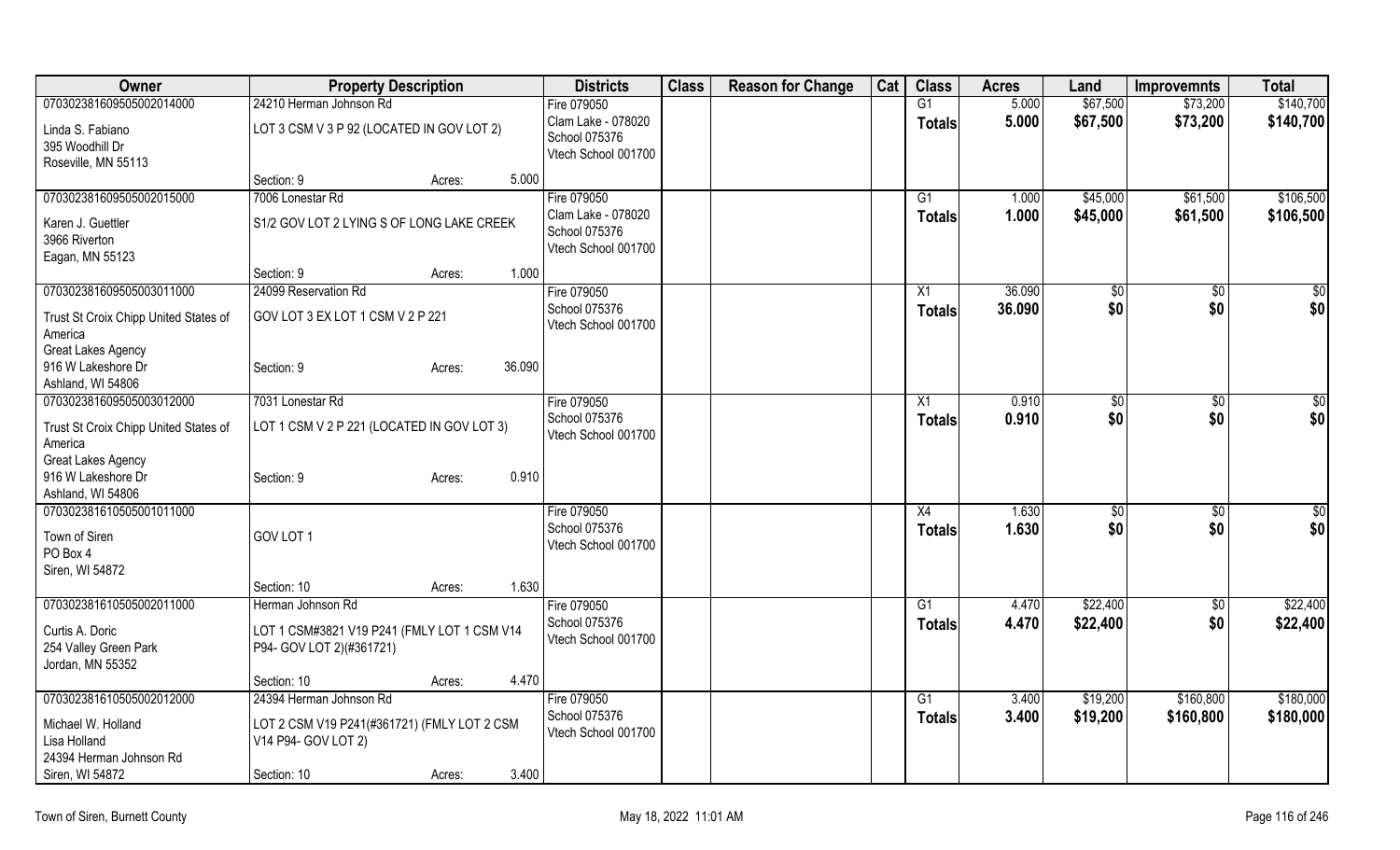| Owner                                 | <b>Property Description</b>                 |                  | <b>Districts</b>    | <b>Class</b> | <b>Reason for Change</b> | Cat | <b>Class</b>  | <b>Acres</b> | Land          | <b>Improvemnts</b> | <b>Total</b> |
|---------------------------------------|---------------------------------------------|------------------|---------------------|--------------|--------------------------|-----|---------------|--------------|---------------|--------------------|--------------|
| 070302381609505002014000              | 24210 Herman Johnson Rd                     |                  | Fire 079050         |              |                          |     | G1            | 5.000        | \$67,500      | \$73,200           | \$140,700    |
| Linda S. Fabiano                      | LOT 3 CSM V 3 P 92 (LOCATED IN GOV LOT 2)   |                  | Clam Lake - 078020  |              |                          |     | <b>Totals</b> | 5.000        | \$67,500      | \$73,200           | \$140,700    |
| 395 Woodhill Dr                       |                                             |                  | School 075376       |              |                          |     |               |              |               |                    |              |
| Roseville, MN 55113                   |                                             |                  | Vtech School 001700 |              |                          |     |               |              |               |                    |              |
|                                       | Section: 9                                  | 5.000<br>Acres:  |                     |              |                          |     |               |              |               |                    |              |
| 070302381609505002015000              | 7006 Lonestar Rd                            |                  | Fire 079050         |              |                          |     | G1            | 1.000        | \$45,000      | \$61,500           | \$106,500    |
| Karen J. Guettler                     | S1/2 GOV LOT 2 LYING S OF LONG LAKE CREEK   |                  | Clam Lake - 078020  |              |                          |     | <b>Totals</b> | 1.000        | \$45,000      | \$61,500           | \$106,500    |
| 3966 Riverton                         |                                             |                  | School 075376       |              |                          |     |               |              |               |                    |              |
| Eagan, MN 55123                       |                                             |                  | Vtech School 001700 |              |                          |     |               |              |               |                    |              |
|                                       | Section: 9                                  | 1.000<br>Acres:  |                     |              |                          |     |               |              |               |                    |              |
| 070302381609505003011000              | 24099 Reservation Rd                        |                  | Fire 079050         |              |                          |     | X1            | 36.090       | \$0           | $\overline{50}$    | \$0          |
| Trust St Croix Chipp United States of | GOV LOT 3 EX LOT 1 CSM V 2 P 221            |                  | School 075376       |              |                          |     | <b>Totals</b> | 36.090       | \$0           | \$0                | \$0          |
| America                               |                                             |                  | Vtech School 001700 |              |                          |     |               |              |               |                    |              |
| <b>Great Lakes Agency</b>             |                                             |                  |                     |              |                          |     |               |              |               |                    |              |
| 916 W Lakeshore Dr                    | Section: 9                                  | 36.090<br>Acres: |                     |              |                          |     |               |              |               |                    |              |
| Ashland, WI 54806                     |                                             |                  |                     |              |                          |     |               |              |               |                    |              |
| 070302381609505003012000              | 7031 Lonestar Rd                            |                  | Fire 079050         |              |                          |     | X1            | 0.910        | $\sqrt[6]{3}$ | \$0                | \$0          |
| Trust St Croix Chipp United States of | LOT 1 CSM V 2 P 221 (LOCATED IN GOV LOT 3)  |                  | School 075376       |              |                          |     | <b>Totals</b> | 0.910        | \$0           | \$0                | \$0          |
| America                               |                                             |                  | Vtech School 001700 |              |                          |     |               |              |               |                    |              |
| <b>Great Lakes Agency</b>             |                                             |                  |                     |              |                          |     |               |              |               |                    |              |
| 916 W Lakeshore Dr                    | Section: 9                                  | 0.910<br>Acres:  |                     |              |                          |     |               |              |               |                    |              |
| Ashland, WI 54806                     |                                             |                  |                     |              |                          |     |               |              |               |                    |              |
| 070302381610505001011000              |                                             |                  | Fire 079050         |              |                          |     | X4            | 1.630        | \$0           | $\sqrt[6]{3}$      | \$0          |
| Town of Siren                         | GOV LOT 1                                   |                  | School 075376       |              |                          |     | <b>Totals</b> | 1.630        | \$0           | \$0                | \$0          |
| PO Box 4                              |                                             |                  | Vtech School 001700 |              |                          |     |               |              |               |                    |              |
| Siren, WI 54872                       |                                             |                  |                     |              |                          |     |               |              |               |                    |              |
|                                       | Section: 10                                 | 1.630<br>Acres:  |                     |              |                          |     |               |              |               |                    |              |
| 070302381610505002011000              | Herman Johnson Rd                           |                  | Fire 079050         |              |                          |     | G1            | 4.470        | \$22,400      | \$0                | \$22,400     |
| Curtis A. Doric                       | LOT 1 CSM#3821 V19 P241 (FMLY LOT 1 CSM V14 |                  | School 075376       |              |                          |     | <b>Totals</b> | 4.470        | \$22,400      | \$0                | \$22,400     |
| 254 Valley Green Park                 | P94- GOV LOT 2)(#361721)                    |                  | Vtech School 001700 |              |                          |     |               |              |               |                    |              |
| Jordan, MN 55352                      |                                             |                  |                     |              |                          |     |               |              |               |                    |              |
|                                       | Section: 10                                 | 4.470<br>Acres:  |                     |              |                          |     |               |              |               |                    |              |
| 070302381610505002012000              | 24394 Herman Johnson Rd                     |                  | Fire 079050         |              |                          |     | G1            | 3.400        | \$19,200      | \$160,800          | \$180,000    |
| Michael W. Holland                    | LOT 2 CSM V19 P241(#361721) (FMLY LOT 2 CSM |                  | School 075376       |              |                          |     | <b>Totals</b> | 3.400        | \$19,200      | \$160,800          | \$180,000    |
| Lisa Holland                          | V14 P94- GOV LOT 2)                         |                  | Vtech School 001700 |              |                          |     |               |              |               |                    |              |
| 24394 Herman Johnson Rd               |                                             |                  |                     |              |                          |     |               |              |               |                    |              |
| Siren, WI 54872                       | Section: 10                                 | 3.400<br>Acres:  |                     |              |                          |     |               |              |               |                    |              |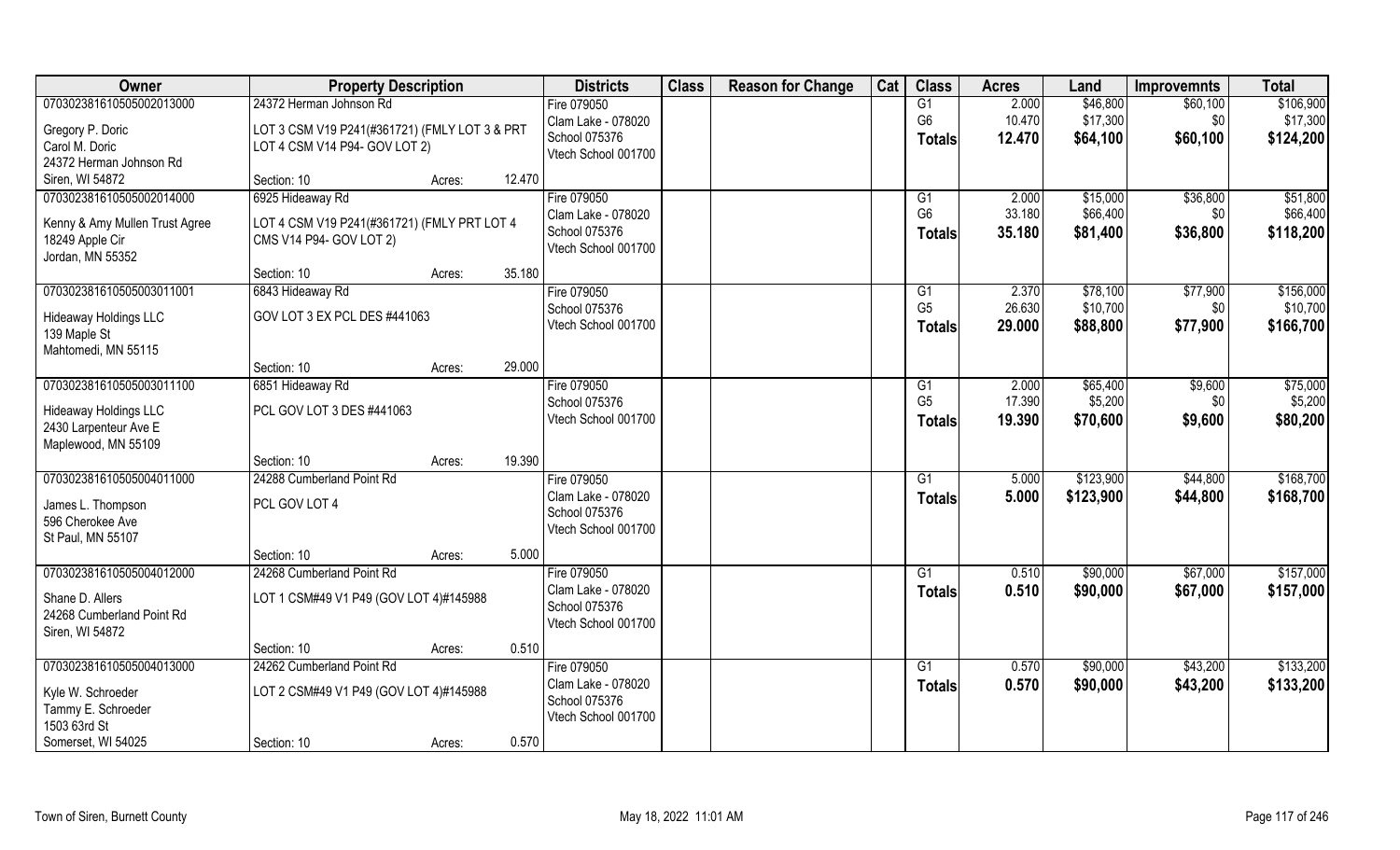| 070302381610505002013000<br>24372 Herman Johnson Rd<br>Fire 079050<br>2.000<br>\$46,800<br>\$60,100<br>G1<br>10.470<br>\$17,300<br>Clam Lake - 078020<br>G <sub>6</sub><br>\$0<br>LOT 3 CSM V19 P241(#361721) (FMLY LOT 3 & PRT<br>Gregory P. Doric<br>School 075376<br>12.470<br>\$64,100<br>\$60,100<br>Totals<br>Carol M. Doric<br>LOT 4 CSM V14 P94- GOV LOT 2)<br>Vtech School 001700<br>24372 Herman Johnson Rd<br>Siren, WI 54872<br>12.470<br>Section: 10<br>Acres:<br>070302381610505002014000<br>6925 Hideaway Rd<br>Fire 079050<br>2.000<br>\$15,000<br>\$36,800<br>G1<br>G <sub>6</sub><br>33.180<br>\$66,400<br>\$0<br>Clam Lake - 078020<br>LOT 4 CSM V19 P241(#361721) (FMLY PRT LOT 4<br>Kenny & Amy Mullen Trust Agree<br>School 075376<br>\$36,800<br>35.180<br>\$81,400<br><b>Totals</b><br>18249 Apple Cir<br>CMS V14 P94- GOV LOT 2)<br>Vtech School 001700<br>Jordan, MN 55352<br>35.180<br>Section: 10<br>Acres: | Owner                    | <b>Property Description</b> |  | <b>Districts</b> | <b>Class</b> | <b>Reason for Change</b> | Cat | <b>Class</b> | <b>Acres</b> | Land     | <b>Improvemnts</b> | <b>Total</b> |
|-----------------------------------------------------------------------------------------------------------------------------------------------------------------------------------------------------------------------------------------------------------------------------------------------------------------------------------------------------------------------------------------------------------------------------------------------------------------------------------------------------------------------------------------------------------------------------------------------------------------------------------------------------------------------------------------------------------------------------------------------------------------------------------------------------------------------------------------------------------------------------------------------------------------------------------------|--------------------------|-----------------------------|--|------------------|--------------|--------------------------|-----|--------------|--------------|----------|--------------------|--------------|
|                                                                                                                                                                                                                                                                                                                                                                                                                                                                                                                                                                                                                                                                                                                                                                                                                                                                                                                                         |                          |                             |  |                  |              |                          |     |              |              |          |                    | \$106,900    |
|                                                                                                                                                                                                                                                                                                                                                                                                                                                                                                                                                                                                                                                                                                                                                                                                                                                                                                                                         |                          |                             |  |                  |              |                          |     |              |              |          |                    | \$17,300     |
|                                                                                                                                                                                                                                                                                                                                                                                                                                                                                                                                                                                                                                                                                                                                                                                                                                                                                                                                         |                          |                             |  |                  |              |                          |     |              |              |          |                    | \$124,200    |
|                                                                                                                                                                                                                                                                                                                                                                                                                                                                                                                                                                                                                                                                                                                                                                                                                                                                                                                                         |                          |                             |  |                  |              |                          |     |              |              |          |                    |              |
|                                                                                                                                                                                                                                                                                                                                                                                                                                                                                                                                                                                                                                                                                                                                                                                                                                                                                                                                         |                          |                             |  |                  |              |                          |     |              |              |          |                    |              |
|                                                                                                                                                                                                                                                                                                                                                                                                                                                                                                                                                                                                                                                                                                                                                                                                                                                                                                                                         |                          |                             |  |                  |              |                          |     |              |              |          |                    | \$51,800     |
|                                                                                                                                                                                                                                                                                                                                                                                                                                                                                                                                                                                                                                                                                                                                                                                                                                                                                                                                         |                          |                             |  |                  |              |                          |     |              |              |          |                    | \$66,400     |
|                                                                                                                                                                                                                                                                                                                                                                                                                                                                                                                                                                                                                                                                                                                                                                                                                                                                                                                                         |                          |                             |  |                  |              |                          |     |              |              |          |                    | \$118,200    |
|                                                                                                                                                                                                                                                                                                                                                                                                                                                                                                                                                                                                                                                                                                                                                                                                                                                                                                                                         |                          |                             |  |                  |              |                          |     |              |              |          |                    |              |
|                                                                                                                                                                                                                                                                                                                                                                                                                                                                                                                                                                                                                                                                                                                                                                                                                                                                                                                                         |                          |                             |  |                  |              |                          |     |              |              |          |                    |              |
|                                                                                                                                                                                                                                                                                                                                                                                                                                                                                                                                                                                                                                                                                                                                                                                                                                                                                                                                         | 070302381610505003011001 | 6843 Hideaway Rd            |  | Fire 079050      |              |                          |     | G1           | 2.370        | \$78,100 | \$77,900           | \$156,000    |
| G <sub>5</sub><br>26.630<br>\$10,700<br>School 075376<br>\$0<br>GOV LOT 3 EX PCL DES #441063                                                                                                                                                                                                                                                                                                                                                                                                                                                                                                                                                                                                                                                                                                                                                                                                                                            |                          |                             |  |                  |              |                          |     |              |              |          |                    | \$10,700     |
| <b>Hideaway Holdings LLC</b><br>\$77,900<br>Vtech School 001700<br>29.000<br>\$88,800<br><b>Totals</b><br>139 Maple St                                                                                                                                                                                                                                                                                                                                                                                                                                                                                                                                                                                                                                                                                                                                                                                                                  |                          |                             |  |                  |              |                          |     |              |              |          |                    | \$166,700    |
| Mahtomedi, MN 55115                                                                                                                                                                                                                                                                                                                                                                                                                                                                                                                                                                                                                                                                                                                                                                                                                                                                                                                     |                          |                             |  |                  |              |                          |     |              |              |          |                    |              |
| 29.000<br>Section: 10<br>Acres:                                                                                                                                                                                                                                                                                                                                                                                                                                                                                                                                                                                                                                                                                                                                                                                                                                                                                                         |                          |                             |  |                  |              |                          |     |              |              |          |                    |              |
| 070302381610505003011100<br>6851 Hideaway Rd<br>Fire 079050<br>\$65,400<br>\$9,600<br>2.000<br>G <sub>1</sub>                                                                                                                                                                                                                                                                                                                                                                                                                                                                                                                                                                                                                                                                                                                                                                                                                           |                          |                             |  |                  |              |                          |     |              |              |          |                    | \$75,000     |
| G <sub>5</sub><br>17.390<br>School 075376<br>\$5,200<br>\$0                                                                                                                                                                                                                                                                                                                                                                                                                                                                                                                                                                                                                                                                                                                                                                                                                                                                             |                          |                             |  |                  |              |                          |     |              |              |          |                    | \$5,200      |
| PCL GOV LOT 3 DES #441063<br><b>Hideaway Holdings LLC</b><br>Vtech School 001700<br>\$9,600<br>19.390<br>\$70,600<br><b>Totals</b><br>2430 Larpenteur Ave E                                                                                                                                                                                                                                                                                                                                                                                                                                                                                                                                                                                                                                                                                                                                                                             |                          |                             |  |                  |              |                          |     |              |              |          |                    | \$80,200     |
| Maplewood, MN 55109                                                                                                                                                                                                                                                                                                                                                                                                                                                                                                                                                                                                                                                                                                                                                                                                                                                                                                                     |                          |                             |  |                  |              |                          |     |              |              |          |                    |              |
| 19.390<br>Section: 10<br>Acres:                                                                                                                                                                                                                                                                                                                                                                                                                                                                                                                                                                                                                                                                                                                                                                                                                                                                                                         |                          |                             |  |                  |              |                          |     |              |              |          |                    |              |
| 070302381610505004011000<br>\$123,900<br>24288 Cumberland Point Rd<br>Fire 079050<br>G1<br>5.000<br>\$44,800                                                                                                                                                                                                                                                                                                                                                                                                                                                                                                                                                                                                                                                                                                                                                                                                                            |                          |                             |  |                  |              |                          |     |              |              |          |                    | \$168,700    |
| Clam Lake - 078020<br>5.000<br>\$123,900<br>\$44,800<br><b>Totals</b>                                                                                                                                                                                                                                                                                                                                                                                                                                                                                                                                                                                                                                                                                                                                                                                                                                                                   |                          |                             |  |                  |              |                          |     |              |              |          |                    | \$168,700    |
| PCL GOV LOT 4<br>James L. Thompson<br>School 075376                                                                                                                                                                                                                                                                                                                                                                                                                                                                                                                                                                                                                                                                                                                                                                                                                                                                                     |                          |                             |  |                  |              |                          |     |              |              |          |                    |              |
| 596 Cherokee Ave<br>Vtech School 001700<br>St Paul, MN 55107                                                                                                                                                                                                                                                                                                                                                                                                                                                                                                                                                                                                                                                                                                                                                                                                                                                                            |                          |                             |  |                  |              |                          |     |              |              |          |                    |              |
| 5.000<br>Section: 10<br>Acres:                                                                                                                                                                                                                                                                                                                                                                                                                                                                                                                                                                                                                                                                                                                                                                                                                                                                                                          |                          |                             |  |                  |              |                          |     |              |              |          |                    |              |
| 24268 Cumberland Point Rd<br>Fire 079050<br>\$67,000<br>070302381610505004012000<br>G1<br>0.510<br>\$90,000                                                                                                                                                                                                                                                                                                                                                                                                                                                                                                                                                                                                                                                                                                                                                                                                                             |                          |                             |  |                  |              |                          |     |              |              |          |                    | \$157,000    |
| Clam Lake - 078020<br>0.510<br>\$90,000<br>\$67,000<br><b>Totals</b>                                                                                                                                                                                                                                                                                                                                                                                                                                                                                                                                                                                                                                                                                                                                                                                                                                                                    |                          |                             |  |                  |              |                          |     |              |              |          |                    | \$157,000    |
| LOT 1 CSM#49 V1 P49 (GOV LOT 4)#145988<br>Shane D. Allers<br>School 075376                                                                                                                                                                                                                                                                                                                                                                                                                                                                                                                                                                                                                                                                                                                                                                                                                                                              |                          |                             |  |                  |              |                          |     |              |              |          |                    |              |
| 24268 Cumberland Point Rd<br>Vtech School 001700                                                                                                                                                                                                                                                                                                                                                                                                                                                                                                                                                                                                                                                                                                                                                                                                                                                                                        |                          |                             |  |                  |              |                          |     |              |              |          |                    |              |
| Siren, WI 54872<br>0.510<br>Section: 10<br>Acres:                                                                                                                                                                                                                                                                                                                                                                                                                                                                                                                                                                                                                                                                                                                                                                                                                                                                                       |                          |                             |  |                  |              |                          |     |              |              |          |                    |              |
| 070302381610505004013000<br>Fire 079050<br>\$43,200<br>24262 Cumberland Point Rd<br>G1<br>0.570<br>\$90,000                                                                                                                                                                                                                                                                                                                                                                                                                                                                                                                                                                                                                                                                                                                                                                                                                             |                          |                             |  |                  |              |                          |     |              |              |          |                    | \$133,200    |
| Clam Lake - 078020<br>0.570<br>\$90,000<br>\$43,200<br><b>Totals</b>                                                                                                                                                                                                                                                                                                                                                                                                                                                                                                                                                                                                                                                                                                                                                                                                                                                                    |                          |                             |  |                  |              |                          |     |              |              |          |                    | \$133,200    |
| Kyle W. Schroeder<br>LOT 2 CSM#49 V1 P49 (GOV LOT 4)#145988<br>School 075376                                                                                                                                                                                                                                                                                                                                                                                                                                                                                                                                                                                                                                                                                                                                                                                                                                                            |                          |                             |  |                  |              |                          |     |              |              |          |                    |              |
| Tammy E. Schroeder<br>Vtech School 001700<br>1503 63rd St                                                                                                                                                                                                                                                                                                                                                                                                                                                                                                                                                                                                                                                                                                                                                                                                                                                                               |                          |                             |  |                  |              |                          |     |              |              |          |                    |              |
| Somerset, WI 54025<br>0.570<br>Section: 10<br>Acres:                                                                                                                                                                                                                                                                                                                                                                                                                                                                                                                                                                                                                                                                                                                                                                                                                                                                                    |                          |                             |  |                  |              |                          |     |              |              |          |                    |              |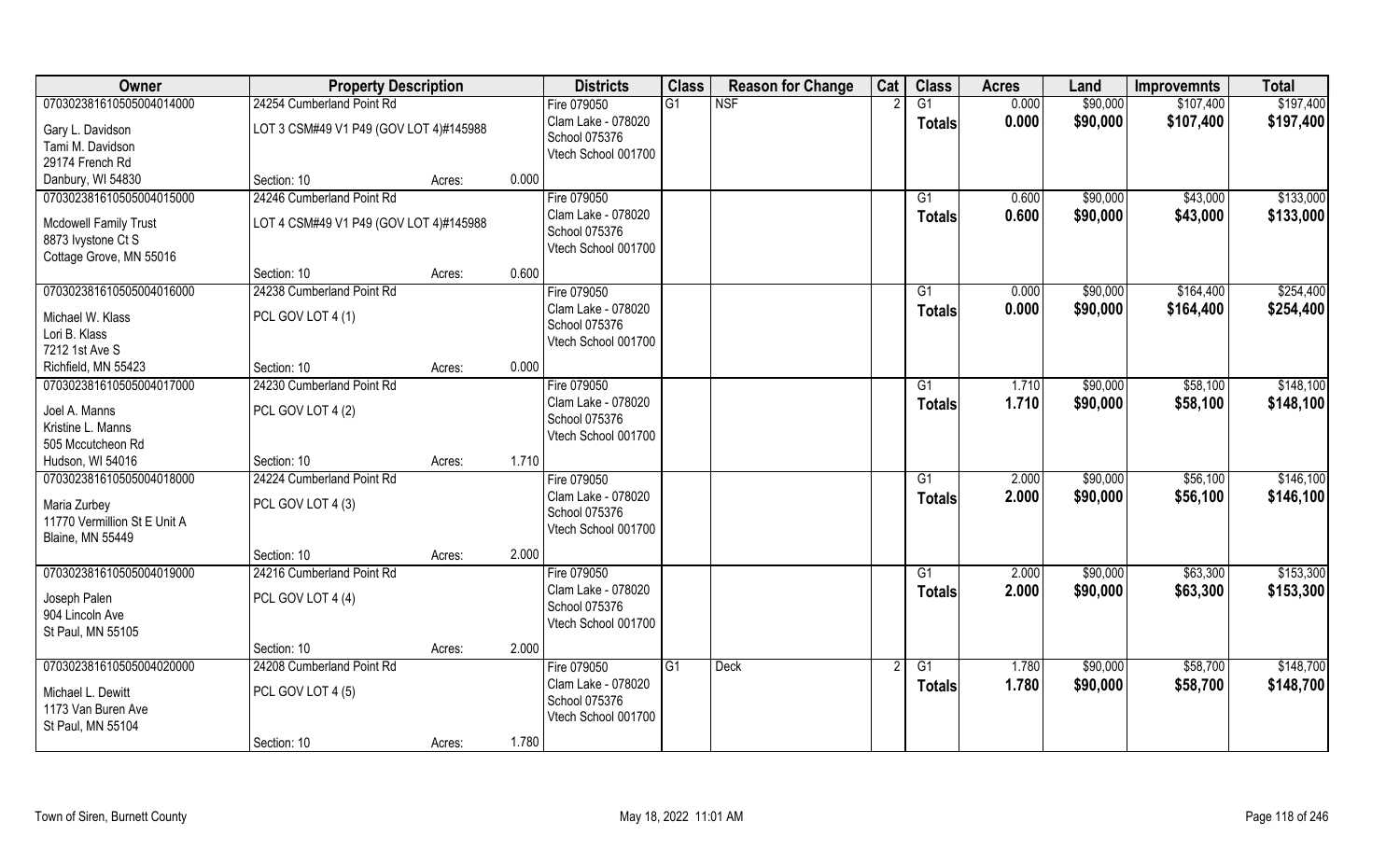| Owner                                                                                                     | <b>Property Description</b>                                         |        |       | <b>Districts</b>                                                          | <b>Class</b>    |             | <b>Reason for Change</b> | Cat | <b>Class</b>                     | <b>Acres</b>   | Land                 | <b>Improvemnts</b>     | <b>Total</b>           |
|-----------------------------------------------------------------------------------------------------------|---------------------------------------------------------------------|--------|-------|---------------------------------------------------------------------------|-----------------|-------------|--------------------------|-----|----------------------------------|----------------|----------------------|------------------------|------------------------|
| 070302381610505004014000                                                                                  | 24254 Cumberland Point Rd                                           |        |       | Fire 079050                                                               | G1              | <b>NSF</b>  |                          |     | $\overline{G1}$                  | 0.000          | \$90,000             | \$107,400              | \$197,400              |
| Gary L. Davidson<br>Tami M. Davidson<br>29174 French Rd                                                   | LOT 3 CSM#49 V1 P49 (GOV LOT 4)#145988                              |        |       | Clam Lake - 078020<br>School 075376<br>Vtech School 001700                |                 |             |                          |     | <b>Totals</b>                    | 0.000          | \$90,000             | \$107,400              | \$197,400              |
| Danbury, WI 54830                                                                                         | Section: 10                                                         | Acres: | 0.000 |                                                                           |                 |             |                          |     |                                  |                |                      |                        |                        |
| 070302381610505004015000<br><b>Mcdowell Family Trust</b><br>8873 lvystone Ct S<br>Cottage Grove, MN 55016 | 24246 Cumberland Point Rd<br>LOT 4 CSM#49 V1 P49 (GOV LOT 4)#145988 |        |       | Fire 079050<br>Clam Lake - 078020<br>School 075376<br>Vtech School 001700 |                 |             |                          |     | G1<br>Totals                     | 0.600<br>0.600 | \$90,000<br>\$90,000 | \$43,000<br>\$43,000   | \$133,000<br>\$133,000 |
|                                                                                                           | Section: 10                                                         | Acres: | 0.600 |                                                                           |                 |             |                          |     |                                  |                |                      |                        |                        |
| 070302381610505004016000<br>Michael W. Klass<br>Lori B. Klass<br>7212 1st Ave S                           | 24238 Cumberland Point Rd<br>PCL GOV LOT 4 (1)                      |        |       | Fire 079050<br>Clam Lake - 078020<br>School 075376<br>Vtech School 001700 |                 |             |                          |     | G1<br><b>Totals</b>              | 0.000<br>0.000 | \$90,000<br>\$90,000 | \$164,400<br>\$164,400 | \$254,400<br>\$254,400 |
| Richfield, MN 55423                                                                                       | Section: 10                                                         | Acres: | 0.000 |                                                                           |                 |             |                          |     |                                  |                |                      |                        |                        |
| 070302381610505004017000                                                                                  | 24230 Cumberland Point Rd                                           |        |       | Fire 079050                                                               |                 |             |                          |     | G1                               | 1.710          | \$90,000             | \$58,100               | \$148,100              |
| Joel A. Manns<br>Kristine L. Manns<br>505 Mccutcheon Rd                                                   | PCL GOV LOT 4 (2)                                                   |        |       | Clam Lake - 078020<br>School 075376<br>Vtech School 001700                |                 |             |                          |     | Totals                           | 1.710          | \$90,000             | \$58,100               | \$148,100              |
| Hudson, WI 54016                                                                                          | Section: 10                                                         | Acres: | 1.710 |                                                                           |                 |             |                          |     |                                  |                |                      |                        |                        |
| 070302381610505004018000<br>Maria Zurbey<br>11770 Vermillion St E Unit A<br><b>Blaine, MN 55449</b>       | 24224 Cumberland Point Rd<br>PCL GOV LOT 4 (3)                      |        |       | Fire 079050<br>Clam Lake - 078020<br>School 075376<br>Vtech School 001700 |                 |             |                          |     | $\overline{G1}$<br><b>Totals</b> | 2.000<br>2.000 | \$90,000<br>\$90,000 | \$56,100<br>\$56,100   | \$146,100<br>\$146,100 |
|                                                                                                           | Section: 10                                                         | Acres: | 2.000 |                                                                           |                 |             |                          |     |                                  |                |                      |                        |                        |
| 070302381610505004019000                                                                                  | 24216 Cumberland Point Rd                                           |        |       | Fire 079050                                                               |                 |             |                          |     | G1                               | 2.000          | \$90,000             | \$63,300               | \$153,300              |
| Joseph Palen<br>904 Lincoln Ave<br>St Paul, MN 55105                                                      | PCL GOV LOT 4 (4)                                                   |        |       | Clam Lake - 078020<br>School 075376<br>Vtech School 001700                |                 |             |                          |     | <b>Totals</b>                    | 2.000          | \$90,000             | \$63,300               | \$153,300              |
|                                                                                                           | Section: 10                                                         | Acres: | 2.000 |                                                                           |                 |             |                          |     |                                  |                |                      |                        |                        |
| 070302381610505004020000                                                                                  | 24208 Cumberland Point Rd                                           |        |       | Fire 079050                                                               | $\overline{G1}$ | <b>Deck</b> |                          |     | $\overline{G1}$                  | 1.780          | \$90,000             | \$58,700               | \$148,700              |
| Michael L. Dewitt<br>1173 Van Buren Ave<br>St Paul, MN 55104                                              | PCL GOV LOT 4 (5)                                                   |        |       | Clam Lake - 078020<br>School 075376<br>Vtech School 001700                |                 |             |                          |     | <b>Totals</b>                    | 1.780          | \$90,000             | \$58,700               | \$148,700              |
|                                                                                                           | Section: 10                                                         | Acres: | 1.780 |                                                                           |                 |             |                          |     |                                  |                |                      |                        |                        |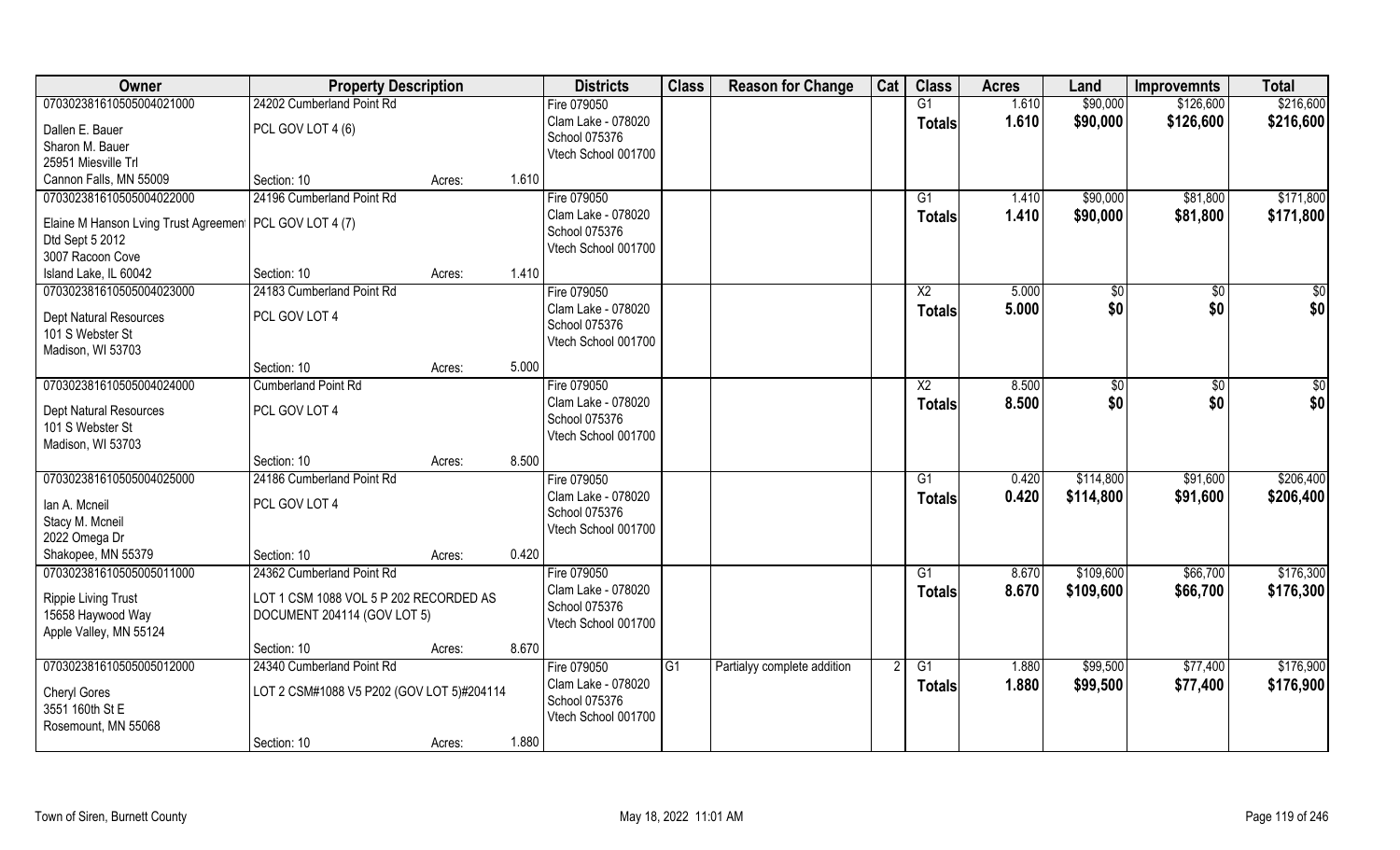| Owner                                      | <b>Property Description</b>               |        |       | <b>Districts</b>                  | <b>Class</b>    | <b>Reason for Change</b>    | Cat | <b>Class</b>    | <b>Acres</b> | Land           | <b>Improvemnts</b> | <b>Total</b> |
|--------------------------------------------|-------------------------------------------|--------|-------|-----------------------------------|-----------------|-----------------------------|-----|-----------------|--------------|----------------|--------------------|--------------|
| 070302381610505004021000                   | 24202 Cumberland Point Rd                 |        |       | Fire 079050                       |                 |                             |     | G1              | 1.610        | \$90,000       | \$126,600          | \$216,600    |
| Dallen E. Bauer                            | PCL GOV LOT 4 (6)                         |        |       | Clam Lake - 078020                |                 |                             |     | <b>Totals</b>   | 1.610        | \$90,000       | \$126,600          | \$216,600    |
| Sharon M. Bauer                            |                                           |        |       | School 075376                     |                 |                             |     |                 |              |                |                    |              |
| 25951 Miesville Trl                        |                                           |        |       | Vtech School 001700               |                 |                             |     |                 |              |                |                    |              |
| Cannon Falls, MN 55009                     | Section: 10                               | Acres: | 1.610 |                                   |                 |                             |     |                 |              |                |                    |              |
| 070302381610505004022000                   | 24196 Cumberland Point Rd                 |        |       | Fire 079050                       |                 |                             |     | G1              | 1.410        | \$90,000       | \$81,800           | \$171,800    |
| Elaine M Hanson Lving Trust Agreemen       | PCL GOV LOT 4 (7)                         |        |       | Clam Lake - 078020                |                 |                             |     | <b>Totals</b>   | 1.410        | \$90,000       | \$81,800           | \$171,800    |
| Dtd Sept 5 2012                            |                                           |        |       | School 075376                     |                 |                             |     |                 |              |                |                    |              |
| 3007 Racoon Cove                           |                                           |        |       | Vtech School 001700               |                 |                             |     |                 |              |                |                    |              |
| Island Lake, IL 60042                      | Section: 10                               | Acres: | 1.410 |                                   |                 |                             |     |                 |              |                |                    |              |
| 070302381610505004023000                   | 24183 Cumberland Point Rd                 |        |       | Fire 079050                       |                 |                             |     | $\overline{X2}$ | 5.000        | \$0            | \$0                | $\sqrt{50}$  |
| <b>Dept Natural Resources</b>              | PCL GOV LOT 4                             |        |       | Clam Lake - 078020                |                 |                             |     | <b>Totals</b>   | 5.000        | \$0            | \$0                | \$0          |
| 101 S Webster St                           |                                           |        |       | School 075376                     |                 |                             |     |                 |              |                |                    |              |
| Madison, WI 53703                          |                                           |        |       | Vtech School 001700               |                 |                             |     |                 |              |                |                    |              |
|                                            | Section: 10                               | Acres: | 5.000 |                                   |                 |                             |     |                 |              |                |                    |              |
| 070302381610505004024000                   | <b>Cumberland Point Rd</b>                |        |       | Fire 079050                       |                 |                             |     | $\overline{X2}$ | 8.500        | $\frac{1}{20}$ | $\sqrt[6]{30}$     | \$0          |
|                                            | PCL GOV LOT 4                             |        |       | Clam Lake - 078020                |                 |                             |     | Totals          | 8.500        | \$0            | \$0                | \$0          |
| Dept Natural Resources<br>101 S Webster St |                                           |        |       | School 075376                     |                 |                             |     |                 |              |                |                    |              |
| Madison, WI 53703                          |                                           |        |       | Vtech School 001700               |                 |                             |     |                 |              |                |                    |              |
|                                            | Section: 10                               | Acres: | 8.500 |                                   |                 |                             |     |                 |              |                |                    |              |
| 070302381610505004025000                   | 24186 Cumberland Point Rd                 |        |       | Fire 079050                       |                 |                             |     | $\overline{G1}$ | 0.420        | \$114,800      | \$91,600           | \$206,400    |
|                                            |                                           |        |       | Clam Lake - 078020                |                 |                             |     | Totals          | 0.420        | \$114,800      | \$91,600           | \$206,400    |
| Ian A. Mcneil                              | PCL GOV LOT 4                             |        |       | School 075376                     |                 |                             |     |                 |              |                |                    |              |
| Stacy M. Mcneil<br>2022 Omega Dr           |                                           |        |       | Vtech School 001700               |                 |                             |     |                 |              |                |                    |              |
| Shakopee, MN 55379                         | Section: 10                               | Acres: | 0.420 |                                   |                 |                             |     |                 |              |                |                    |              |
| 070302381610505005011000                   | 24362 Cumberland Point Rd                 |        |       | Fire 079050                       |                 |                             |     | G1              | 8.670        | \$109,600      | \$66,700           | \$176,300    |
|                                            |                                           |        |       | Clam Lake - 078020                |                 |                             |     | <b>Totals</b>   | 8.670        | \$109,600      | \$66,700           | \$176,300    |
| <b>Rippie Living Trust</b>                 | LOT 1 CSM 1088 VOL 5 P 202 RECORDED AS    |        |       | School 075376                     |                 |                             |     |                 |              |                |                    |              |
| 15658 Haywood Way                          | DOCUMENT 204114 (GOV LOT 5)               |        |       | Vtech School 001700               |                 |                             |     |                 |              |                |                    |              |
| Apple Valley, MN 55124                     |                                           |        |       |                                   |                 |                             |     |                 |              |                |                    |              |
|                                            | Section: 10                               | Acres: | 8.670 |                                   | $\overline{G1}$ |                             |     |                 |              |                |                    |              |
| 070302381610505005012000                   | 24340 Cumberland Point Rd                 |        |       | Fire 079050<br>Clam Lake - 078020 |                 | Partialyy complete addition |     | $\overline{G1}$ | 1.880        | \$99,500       | \$77,400           | \$176,900    |
| <b>Cheryl Gores</b>                        | LOT 2 CSM#1088 V5 P202 (GOV LOT 5)#204114 |        |       | School 075376                     |                 |                             |     | Totals          | 1.880        | \$99,500       | \$77,400           | \$176,900    |
| 3551 160th St E                            |                                           |        |       | Vtech School 001700               |                 |                             |     |                 |              |                |                    |              |
| Rosemount, MN 55068                        |                                           |        |       |                                   |                 |                             |     |                 |              |                |                    |              |
|                                            | Section: 10                               | Acres: | 1.880 |                                   |                 |                             |     |                 |              |                |                    |              |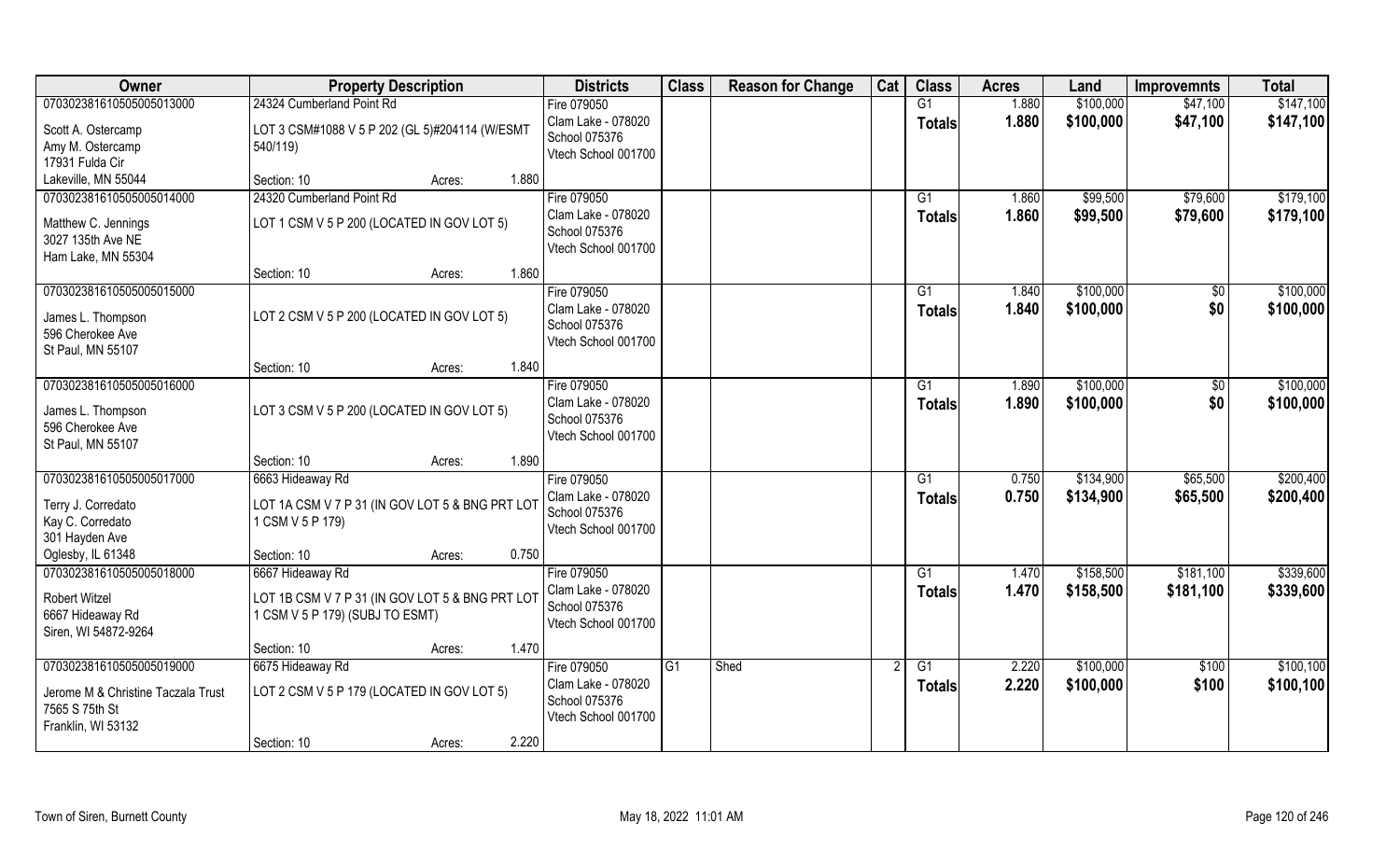| Owner                                    | <b>Property Description</b>                     |       | <b>Districts</b>    | <b>Class</b> | <b>Reason for Change</b> | Cat | <b>Class</b>    | <b>Acres</b> | Land      | <b>Improvemnts</b> | <b>Total</b> |
|------------------------------------------|-------------------------------------------------|-------|---------------------|--------------|--------------------------|-----|-----------------|--------------|-----------|--------------------|--------------|
| 070302381610505005013000                 | 24324 Cumberland Point Rd                       |       | Fire 079050         |              |                          |     | G1              | 1.880        | \$100,000 | \$47,100           | \$147,100    |
| Scott A. Ostercamp                       | LOT 3 CSM#1088 V 5 P 202 (GL 5)#204114 (W/ESMT  |       | Clam Lake - 078020  |              |                          |     | <b>Totals</b>   | 1.880        | \$100,000 | \$47,100           | \$147,100    |
| Amy M. Ostercamp                         | 540/119)                                        |       | School 075376       |              |                          |     |                 |              |           |                    |              |
| 17931 Fulda Cir                          |                                                 |       | Vtech School 001700 |              |                          |     |                 |              |           |                    |              |
| Lakeville, MN 55044                      | Section: 10<br>Acres:                           | 1.880 |                     |              |                          |     |                 |              |           |                    |              |
| 070302381610505005014000                 | 24320 Cumberland Point Rd                       |       | Fire 079050         |              |                          |     | G1              | 1.860        | \$99,500  | \$79,600           | \$179,100    |
| Matthew C. Jennings                      | LOT 1 CSM V 5 P 200 (LOCATED IN GOV LOT 5)      |       | Clam Lake - 078020  |              |                          |     | <b>Totals</b>   | 1.860        | \$99,500  | \$79,600           | \$179,100    |
| 3027 135th Ave NE                        |                                                 |       | School 075376       |              |                          |     |                 |              |           |                    |              |
| Ham Lake, MN 55304                       |                                                 |       | Vtech School 001700 |              |                          |     |                 |              |           |                    |              |
|                                          | Section: 10<br>Acres:                           | 1.860 |                     |              |                          |     |                 |              |           |                    |              |
| 070302381610505005015000                 |                                                 |       | Fire 079050         |              |                          |     | G1              | 1.840        | \$100,000 | \$0                | \$100,000    |
| James L. Thompson                        | LOT 2 CSM V 5 P 200 (LOCATED IN GOV LOT 5)      |       | Clam Lake - 078020  |              |                          |     | <b>Totals</b>   | 1.840        | \$100,000 | \$0                | \$100,000    |
| 596 Cherokee Ave                         |                                                 |       | School 075376       |              |                          |     |                 |              |           |                    |              |
| St Paul, MN 55107                        |                                                 |       | Vtech School 001700 |              |                          |     |                 |              |           |                    |              |
|                                          | Section: 10<br>Acres:                           | 1.840 |                     |              |                          |     |                 |              |           |                    |              |
| 070302381610505005016000                 |                                                 |       | Fire 079050         |              |                          |     | G1              | 1.890        | \$100,000 | $\sqrt{50}$        | \$100,000    |
| James L. Thompson                        | LOT 3 CSM V 5 P 200 (LOCATED IN GOV LOT 5)      |       | Clam Lake - 078020  |              |                          |     | <b>Totals</b>   | 1.890        | \$100,000 | \$0                | \$100,000    |
| 596 Cherokee Ave                         |                                                 |       | School 075376       |              |                          |     |                 |              |           |                    |              |
| St Paul, MN 55107                        |                                                 |       | Vtech School 001700 |              |                          |     |                 |              |           |                    |              |
|                                          | Section: 10<br>Acres:                           | 1.890 |                     |              |                          |     |                 |              |           |                    |              |
| 070302381610505005017000                 | 6663 Hideaway Rd                                |       | Fire 079050         |              |                          |     | G1              | 0.750        | \$134,900 | \$65,500           | \$200,400    |
| Terry J. Corredato                       | LOT 1A CSM V 7 P 31 (IN GOV LOT 5 & BNG PRT LOT |       | Clam Lake - 078020  |              |                          |     | <b>Totals</b>   | 0.750        | \$134,900 | \$65,500           | \$200,400    |
| Kay C. Corredato                         | 1 CSM V 5 P 179)                                |       | School 075376       |              |                          |     |                 |              |           |                    |              |
| 301 Hayden Ave                           |                                                 |       | Vtech School 001700 |              |                          |     |                 |              |           |                    |              |
| Oglesby, IL 61348                        | Section: 10<br>Acres:                           | 0.750 |                     |              |                          |     |                 |              |           |                    |              |
| 070302381610505005018000                 | 6667 Hideaway Rd                                |       | Fire 079050         |              |                          |     | G1              | 1.470        | \$158,500 | \$181,100          | \$339,600    |
|                                          |                                                 |       | Clam Lake - 078020  |              |                          |     | <b>Totals</b>   | 1.470        | \$158,500 | \$181,100          | \$339,600    |
| <b>Robert Witzel</b>                     | LOT 1B CSM V 7 P 31 (IN GOV LOT 5 & BNG PRT LOT |       | School 075376       |              |                          |     |                 |              |           |                    |              |
| 6667 Hideaway Rd<br>Siren, WI 54872-9264 | 1 CSM V 5 P 179) (SUBJ TO ESMT)                 |       | Vtech School 001700 |              |                          |     |                 |              |           |                    |              |
|                                          | Section: 10<br>Acres:                           | 1.470 |                     |              |                          |     |                 |              |           |                    |              |
| 070302381610505005019000                 | 6675 Hideaway Rd                                |       | Fire 079050         | G1           | Shed                     |     | $\overline{G1}$ | 2.220        | \$100,000 | \$100              | \$100, 100   |
|                                          |                                                 |       | Clam Lake - 078020  |              |                          |     | <b>Totals</b>   | 2.220        | \$100,000 | \$100              | \$100,100    |
| Jerome M & Christine Taczala Trust       | LOT 2 CSM V 5 P 179 (LOCATED IN GOV LOT 5)      |       | School 075376       |              |                          |     |                 |              |           |                    |              |
| 7565 S 75th St                           |                                                 |       | Vtech School 001700 |              |                          |     |                 |              |           |                    |              |
| Franklin, WI 53132                       |                                                 | 2.220 |                     |              |                          |     |                 |              |           |                    |              |
|                                          | Section: 10<br>Acres:                           |       |                     |              |                          |     |                 |              |           |                    |              |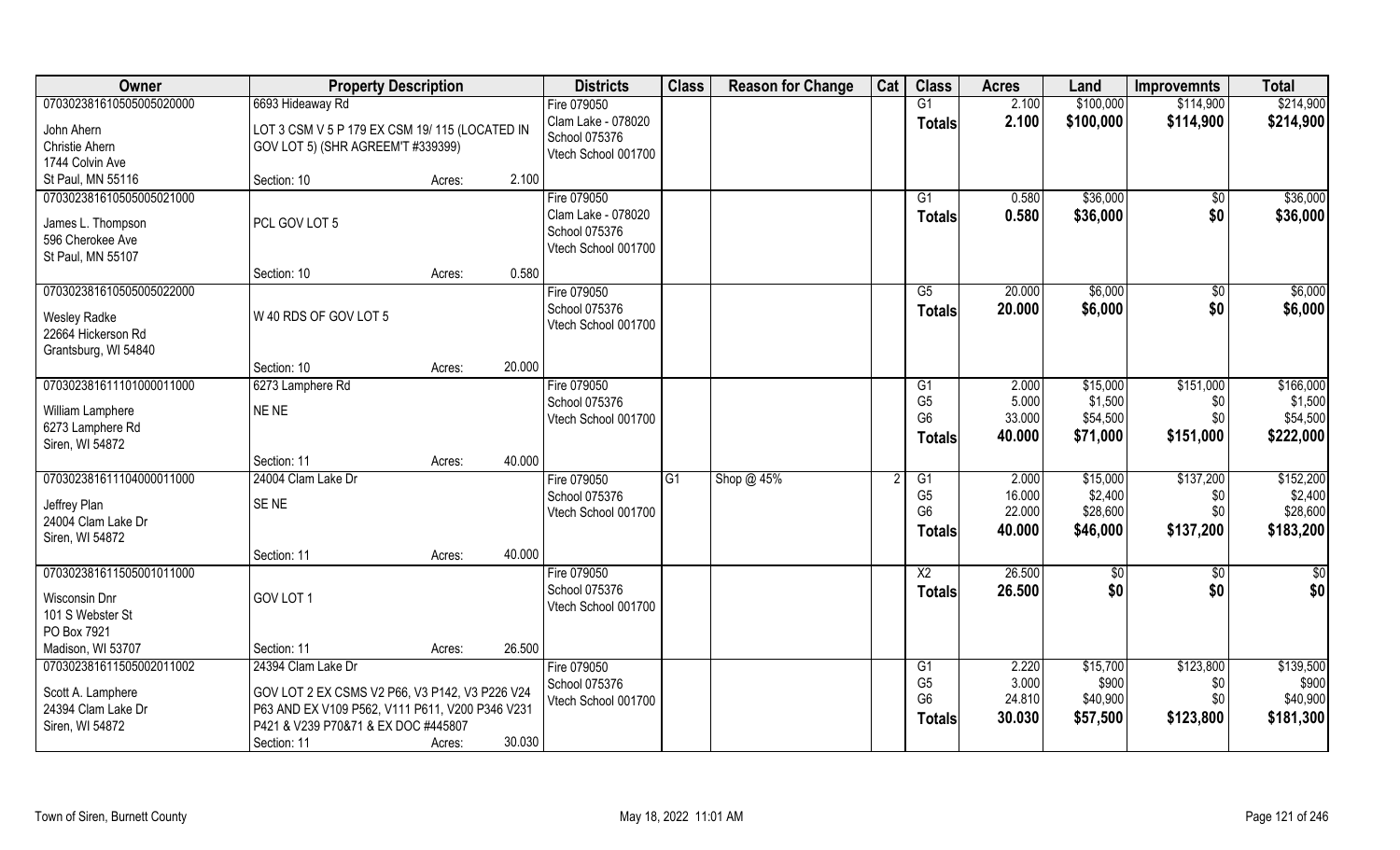| Owner                              | <b>Property Description</b>                     |                  | <b>Districts</b>     | <b>Class</b> | <b>Reason for Change</b> | Cat | <b>Class</b>    | <b>Acres</b> | Land      | <b>Improvemnts</b> | <b>Total</b> |
|------------------------------------|-------------------------------------------------|------------------|----------------------|--------------|--------------------------|-----|-----------------|--------------|-----------|--------------------|--------------|
| 070302381610505005020000           | 6693 Hideaway Rd                                |                  | Fire 079050          |              |                          |     | G1              | 2.100        | \$100,000 | \$114,900          | \$214,900    |
| John Ahern                         | LOT 3 CSM V 5 P 179 EX CSM 19/ 115 (LOCATED IN  |                  | Clam Lake - 078020   |              |                          |     | <b>Totals</b>   | 2.100        | \$100,000 | \$114,900          | \$214,900    |
| Christie Ahern                     | GOV LOT 5) (SHR AGREEM'T #339399)               |                  | School 075376        |              |                          |     |                 |              |           |                    |              |
| 1744 Colvin Ave                    |                                                 |                  | Vtech School 001700  |              |                          |     |                 |              |           |                    |              |
| St Paul, MN 55116                  | Section: 10                                     | 2.100<br>Acres:  |                      |              |                          |     |                 |              |           |                    |              |
| 070302381610505005021000           |                                                 |                  | Fire 079050          |              |                          |     | $\overline{G1}$ | 0.580        | \$36,000  | $\overline{50}$    | \$36,000     |
| James L. Thompson                  | PCL GOV LOT 5                                   |                  | Clam Lake - 078020   |              |                          |     | Totals          | 0.580        | \$36,000  | \$0                | \$36,000     |
| 596 Cherokee Ave                   |                                                 |                  | School 075376        |              |                          |     |                 |              |           |                    |              |
| St Paul, MN 55107                  |                                                 |                  | Vtech School 001700  |              |                          |     |                 |              |           |                    |              |
|                                    | Section: 10                                     | 0.580<br>Acres:  |                      |              |                          |     |                 |              |           |                    |              |
| 070302381610505005022000           |                                                 |                  | Fire 079050          |              |                          |     | G5              | 20.000       | \$6,000   | \$0                | \$6,000      |
| Wesley Radke                       | W 40 RDS OF GOV LOT 5                           |                  | School 075376        |              |                          |     | <b>Totals</b>   | 20.000       | \$6,000   | \$0                | \$6,000      |
| 22664 Hickerson Rd                 |                                                 |                  | Vtech School 001700  |              |                          |     |                 |              |           |                    |              |
| Grantsburg, WI 54840               |                                                 |                  |                      |              |                          |     |                 |              |           |                    |              |
|                                    | Section: 10                                     | 20.000<br>Acres: |                      |              |                          |     |                 |              |           |                    |              |
| 070302381611101000011000           | 6273 Lamphere Rd                                |                  | Fire 079050          |              |                          |     | G1              | 2.000        | \$15,000  | \$151,000          | \$166,000    |
| William Lamphere                   | NE NE                                           |                  | School 075376        |              |                          |     | G <sub>5</sub>  | 5.000        | \$1,500   | \$0                | \$1,500      |
| 6273 Lamphere Rd                   |                                                 |                  | Vtech School 001700  |              |                          |     | G <sub>6</sub>  | 33.000       | \$54,500  | \$0                | \$54,500     |
| Siren, WI 54872                    |                                                 |                  |                      |              |                          |     | <b>Totals</b>   | 40.000       | \$71,000  | \$151,000          | \$222,000    |
|                                    | Section: 11                                     | 40.000<br>Acres: |                      |              |                          |     |                 |              |           |                    |              |
| 070302381611104000011000           | 24004 Clam Lake Dr                              |                  | Fire 079050          | G1           | Shop @ 45%               |     | G1              | 2.000        | \$15,000  | \$137,200          | \$152,200    |
|                                    | SE <sub>NE</sub>                                |                  | School 075376        |              |                          |     | G <sub>5</sub>  | 16.000       | \$2,400   | \$0                | \$2,400      |
| Jeffrey Plan<br>24004 Clam Lake Dr |                                                 |                  | Vtech School 001700  |              |                          |     | G <sub>6</sub>  | 22.000       | \$28,600  | \$0                | \$28,600     |
| Siren, WI 54872                    |                                                 |                  |                      |              |                          |     | <b>Totals</b>   | 40.000       | \$46,000  | \$137,200          | \$183,200    |
|                                    | Section: 11                                     | 40.000<br>Acres: |                      |              |                          |     |                 |              |           |                    |              |
| 070302381611505001011000           |                                                 |                  | Fire 079050          |              |                          |     | X <sub>2</sub>  | 26.500       | \$0       | \$0                | \$0          |
|                                    |                                                 |                  | School 075376        |              |                          |     | <b>Totals</b>   | 26.500       | \$0       | \$0                | \$0          |
| Wisconsin Dnr<br>101 S Webster St  | GOV LOT 1                                       |                  | Vtech School 001700  |              |                          |     |                 |              |           |                    |              |
| PO Box 7921                        |                                                 |                  |                      |              |                          |     |                 |              |           |                    |              |
| Madison, WI 53707                  | Section: 11                                     | 26.500<br>Acres: |                      |              |                          |     |                 |              |           |                    |              |
| 070302381611505002011002           | 24394 Clam Lake Dr                              |                  | Fire 079050          |              |                          |     | G1              | 2.220        | \$15,700  | \$123,800          | \$139,500    |
|                                    |                                                 |                  | <b>School 075376</b> |              |                          |     | G <sub>5</sub>  | 3.000        | \$900     | \$0                | \$900        |
| Scott A. Lamphere                  | GOV LOT 2 EX CSMS V2 P66, V3 P142, V3 P226 V24  |                  | Vtech School 001700  |              |                          |     | G <sub>6</sub>  | 24.810       | \$40,900  | \$0                | \$40,900     |
| 24394 Clam Lake Dr                 | P63 AND EX V109 P562, V111 P611, V200 P346 V231 |                  |                      |              |                          |     | Totals          | 30.030       | \$57,500  | \$123,800          | \$181,300    |
| Siren, WI 54872                    | P421 & V239 P70&71 & EX DOC #445807             |                  |                      |              |                          |     |                 |              |           |                    |              |
|                                    | Section: 11                                     | 30.030<br>Acres: |                      |              |                          |     |                 |              |           |                    |              |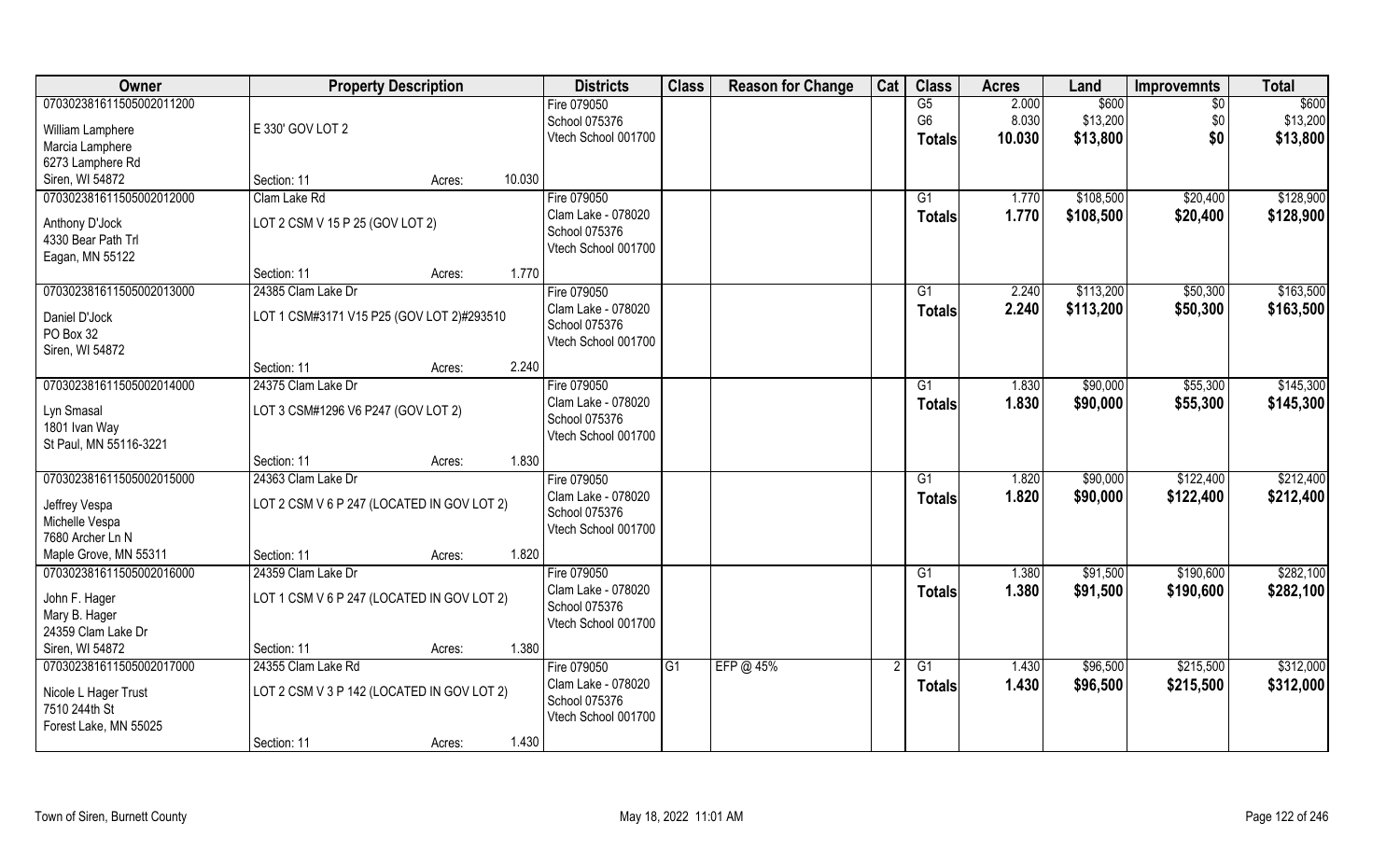| Owner                                 | <b>Property Description</b>                |        |        | <b>Districts</b>    | <b>Class</b>    | <b>Reason for Change</b> | Cat | <b>Class</b>    | <b>Acres</b> | Land      | <b>Improvemnts</b> | <b>Total</b> |
|---------------------------------------|--------------------------------------------|--------|--------|---------------------|-----------------|--------------------------|-----|-----------------|--------------|-----------|--------------------|--------------|
| 070302381611505002011200              |                                            |        |        | Fire 079050         |                 |                          |     | G5              | 2.000        | \$600     | $\sqrt{6}$         | \$600        |
| William Lamphere                      | E 330' GOV LOT 2                           |        |        | School 075376       |                 |                          |     | G <sub>6</sub>  | 8.030        | \$13,200  | \$0                | \$13,200     |
| Marcia Lamphere                       |                                            |        |        | Vtech School 001700 |                 |                          |     | <b>Totals</b>   | 10.030       | \$13,800  | \$0                | \$13,800     |
| 6273 Lamphere Rd                      |                                            |        |        |                     |                 |                          |     |                 |              |           |                    |              |
| Siren, WI 54872                       | Section: 11                                | Acres: | 10.030 |                     |                 |                          |     |                 |              |           |                    |              |
| 070302381611505002012000              | Clam Lake Rd                               |        |        | Fire 079050         |                 |                          |     | G1              | 1.770        | \$108,500 | \$20,400           | \$128,900    |
| Anthony D'Jock                        | LOT 2 CSM V 15 P 25 (GOV LOT 2)            |        |        | Clam Lake - 078020  |                 |                          |     | Totals          | 1.770        | \$108,500 | \$20,400           | \$128,900    |
| 4330 Bear Path Trl                    |                                            |        |        | School 075376       |                 |                          |     |                 |              |           |                    |              |
| Eagan, MN 55122                       |                                            |        |        | Vtech School 001700 |                 |                          |     |                 |              |           |                    |              |
|                                       | Section: 11                                | Acres: | 1.770  |                     |                 |                          |     |                 |              |           |                    |              |
| 070302381611505002013000              | 24385 Clam Lake Dr                         |        |        | Fire 079050         |                 |                          |     | G1              | 2.240        | \$113,200 | \$50,300           | \$163,500    |
| Daniel D'Jock                         | LOT 1 CSM#3171 V15 P25 (GOV LOT 2)#293510  |        |        | Clam Lake - 078020  |                 |                          |     | <b>Totals</b>   | 2.240        | \$113,200 | \$50,300           | \$163,500    |
| PO Box 32                             |                                            |        |        | School 075376       |                 |                          |     |                 |              |           |                    |              |
| Siren, WI 54872                       |                                            |        |        | Vtech School 001700 |                 |                          |     |                 |              |           |                    |              |
|                                       | Section: 11                                | Acres: | 2.240  |                     |                 |                          |     |                 |              |           |                    |              |
| 070302381611505002014000              | 24375 Clam Lake Dr                         |        |        | Fire 079050         |                 |                          |     | G1              | 1.830        | \$90,000  | \$55,300           | \$145,300    |
| Lyn Smasal                            | LOT 3 CSM#1296 V6 P247 (GOV LOT 2)         |        |        | Clam Lake - 078020  |                 |                          |     | <b>Totals</b>   | 1.830        | \$90,000  | \$55,300           | \$145,300    |
| 1801 Ivan Way                         |                                            |        |        | School 075376       |                 |                          |     |                 |              |           |                    |              |
| St Paul, MN 55116-3221                |                                            |        |        | Vtech School 001700 |                 |                          |     |                 |              |           |                    |              |
|                                       | Section: 11                                | Acres: | 1.830  |                     |                 |                          |     |                 |              |           |                    |              |
| 070302381611505002015000              | 24363 Clam Lake Dr                         |        |        | Fire 079050         |                 |                          |     | $\overline{G1}$ | 1.820        | \$90,000  | \$122,400          | \$212,400    |
|                                       |                                            |        |        | Clam Lake - 078020  |                 |                          |     | <b>Totals</b>   | 1.820        | \$90,000  | \$122,400          | \$212,400    |
| Jeffrey Vespa<br>Michelle Vespa       | LOT 2 CSM V 6 P 247 (LOCATED IN GOV LOT 2) |        |        | School 075376       |                 |                          |     |                 |              |           |                    |              |
| 7680 Archer Ln N                      |                                            |        |        | Vtech School 001700 |                 |                          |     |                 |              |           |                    |              |
| Maple Grove, MN 55311                 | Section: 11                                | Acres: | 1.820  |                     |                 |                          |     |                 |              |           |                    |              |
| 070302381611505002016000              | 24359 Clam Lake Dr                         |        |        | Fire 079050         |                 |                          |     | G1              | 1.380        | \$91,500  | \$190,600          | \$282,100    |
|                                       |                                            |        |        | Clam Lake - 078020  |                 |                          |     | <b>Totals</b>   | 1.380        | \$91,500  | \$190,600          | \$282,100    |
| John F. Hager<br>Mary B. Hager        | LOT 1 CSM V 6 P 247 (LOCATED IN GOV LOT 2) |        |        | School 075376       |                 |                          |     |                 |              |           |                    |              |
| 24359 Clam Lake Dr                    |                                            |        |        | Vtech School 001700 |                 |                          |     |                 |              |           |                    |              |
| Siren, WI 54872                       | Section: 11                                | Acres: | 1.380  |                     |                 |                          |     |                 |              |           |                    |              |
| 070302381611505002017000              | 24355 Clam Lake Rd                         |        |        | Fire 079050         | $\overline{G1}$ | EFP @ 45%                |     | $\overline{G1}$ | 1.430        | \$96,500  | \$215,500          | \$312,000    |
|                                       |                                            |        |        | Clam Lake - 078020  |                 |                          |     | Totals          | 1.430        | \$96,500  | \$215,500          | \$312,000    |
| Nicole L Hager Trust<br>7510 244th St | LOT 2 CSM V 3 P 142 (LOCATED IN GOV LOT 2) |        |        | School 075376       |                 |                          |     |                 |              |           |                    |              |
| Forest Lake, MN 55025                 |                                            |        |        | Vtech School 001700 |                 |                          |     |                 |              |           |                    |              |
|                                       | Section: 11                                | Acres: | 1.430  |                     |                 |                          |     |                 |              |           |                    |              |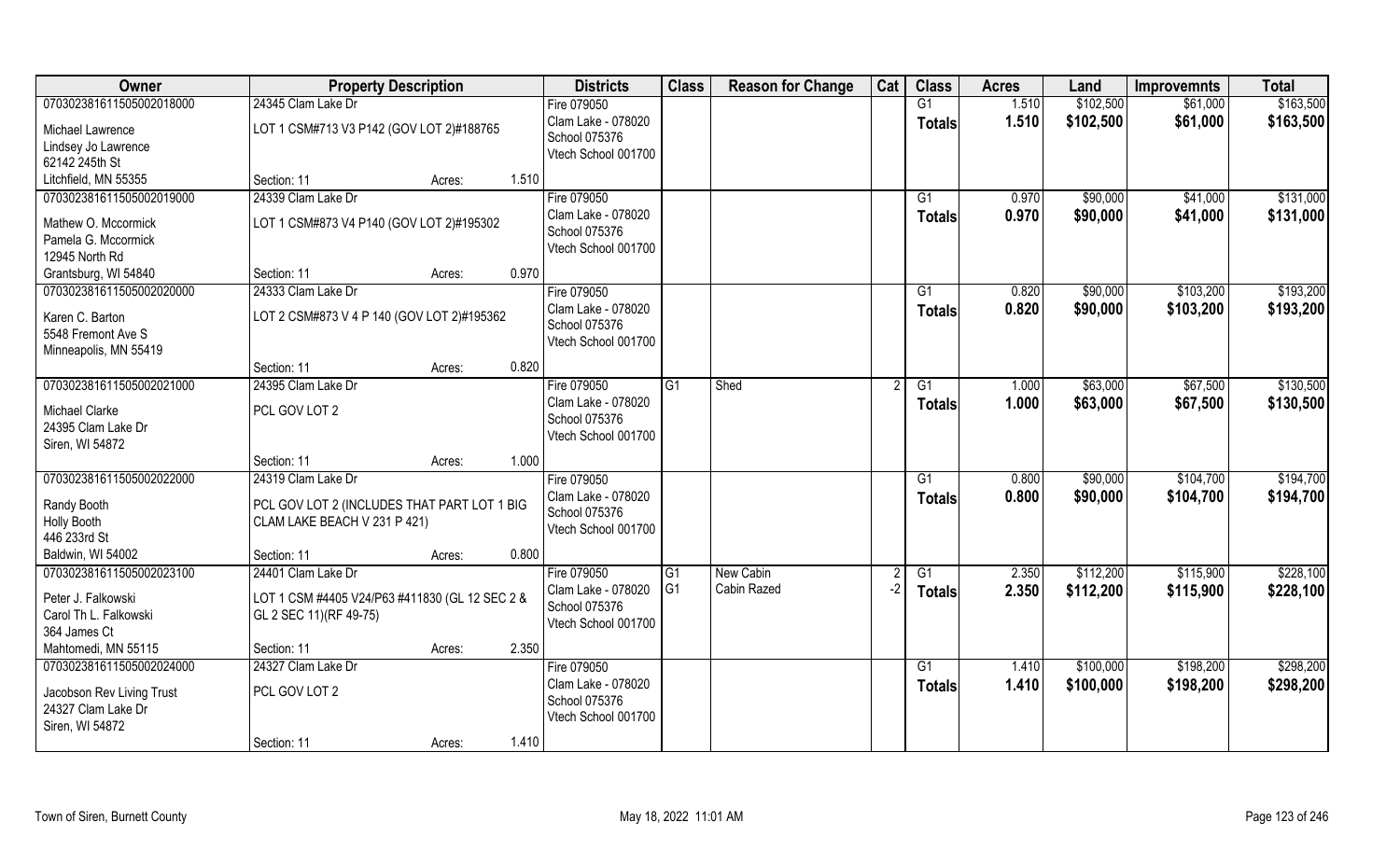| Owner                               | <b>Property Description</b>                    |                 | <b>Districts</b>                  | <b>Class</b>    | <b>Reason for Change</b> | Cat  | <b>Class</b>    | <b>Acres</b> | Land      | <b>Improvemnts</b> | <b>Total</b> |
|-------------------------------------|------------------------------------------------|-----------------|-----------------------------------|-----------------|--------------------------|------|-----------------|--------------|-----------|--------------------|--------------|
| 070302381611505002018000            | 24345 Clam Lake Dr                             |                 | Fire 079050                       |                 |                          |      | G1              | 1.510        | \$102,500 | \$61,000           | \$163,500    |
| Michael Lawrence                    | LOT 1 CSM#713 V3 P142 (GOV LOT 2)#188765       |                 | Clam Lake - 078020                |                 |                          |      | <b>Totals</b>   | 1.510        | \$102,500 | \$61,000           | \$163,500    |
| Lindsey Jo Lawrence                 |                                                |                 | School 075376                     |                 |                          |      |                 |              |           |                    |              |
| 62142 245th St                      |                                                |                 | Vtech School 001700               |                 |                          |      |                 |              |           |                    |              |
| Litchfield, MN 55355                | Section: 11                                    | 1.510<br>Acres: |                                   |                 |                          |      |                 |              |           |                    |              |
| 070302381611505002019000            | 24339 Clam Lake Dr                             |                 | Fire 079050                       |                 |                          |      | G1              | 0.970        | \$90,000  | \$41,000           | \$131,000    |
| Mathew O. Mccormick                 | LOT 1 CSM#873 V4 P140 (GOV LOT 2)#195302       |                 | Clam Lake - 078020                |                 |                          |      | Totals          | 0.970        | \$90,000  | \$41,000           | \$131,000    |
| Pamela G. Mccormick                 |                                                |                 | School 075376                     |                 |                          |      |                 |              |           |                    |              |
| 12945 North Rd                      |                                                |                 | Vtech School 001700               |                 |                          |      |                 |              |           |                    |              |
| Grantsburg, WI 54840                | Section: 11                                    | 0.970<br>Acres: |                                   |                 |                          |      |                 |              |           |                    |              |
| 070302381611505002020000            | 24333 Clam Lake Dr                             |                 | Fire 079050                       |                 |                          |      | G1              | 0.820        | \$90,000  | \$103,200          | \$193,200    |
|                                     |                                                |                 | Clam Lake - 078020                |                 |                          |      | <b>Totals</b>   | 0.820        | \$90,000  | \$103,200          | \$193,200    |
| Karen C. Barton                     | LOT 2 CSM#873 V 4 P 140 (GOV LOT 2)#195362     |                 | School 075376                     |                 |                          |      |                 |              |           |                    |              |
| 5548 Fremont Ave S                  |                                                |                 | Vtech School 001700               |                 |                          |      |                 |              |           |                    |              |
| Minneapolis, MN 55419               |                                                | 0.820           |                                   |                 |                          |      |                 |              |           |                    |              |
| 070302381611505002021000            | Section: 11                                    | Acres:          |                                   |                 |                          |      |                 |              |           |                    |              |
|                                     | 24395 Clam Lake Dr                             |                 | Fire 079050<br>Clam Lake - 078020 | G <sub>1</sub>  | Shed                     |      | G1              | 1.000        | \$63,000  | \$67,500           | \$130,500    |
| <b>Michael Clarke</b>               | PCL GOV LOT 2                                  |                 | School 075376                     |                 |                          |      | <b>Totals</b>   | 1.000        | \$63,000  | \$67,500           | \$130,500    |
| 24395 Clam Lake Dr                  |                                                |                 | Vtech School 001700               |                 |                          |      |                 |              |           |                    |              |
| Siren, WI 54872                     |                                                |                 |                                   |                 |                          |      |                 |              |           |                    |              |
|                                     | Section: 11                                    | 1.000<br>Acres: |                                   |                 |                          |      |                 |              |           |                    |              |
| 070302381611505002022000            | 24319 Clam Lake Dr                             |                 | Fire 079050                       |                 |                          |      | $\overline{G1}$ | 0.800        | \$90,000  | \$104,700          | \$194,700    |
| Randy Booth                         | PCL GOV LOT 2 (INCLUDES THAT PART LOT 1 BIG    |                 | Clam Lake - 078020                |                 |                          |      | <b>Totals</b>   | 0.800        | \$90,000  | \$104,700          | \$194,700    |
| <b>Holly Booth</b>                  | CLAM LAKE BEACH V 231 P 421)                   |                 | School 075376                     |                 |                          |      |                 |              |           |                    |              |
| 446 233rd St                        |                                                |                 | Vtech School 001700               |                 |                          |      |                 |              |           |                    |              |
| Baldwin, WI 54002                   | Section: 11                                    | 0.800<br>Acres: |                                   |                 |                          |      |                 |              |           |                    |              |
| 070302381611505002023100            | 24401 Clam Lake Dr                             |                 | Fire 079050                       | $\overline{G1}$ | New Cabin                |      | G1              | 2.350        | \$112,200 | \$115,900          | \$228,100    |
|                                     |                                                |                 | Clam Lake - 078020                | G1              | Cabin Razed              | $-2$ | <b>Totals</b>   | 2.350        | \$112,200 | \$115,900          | \$228,100    |
| Peter J. Falkowski                  | LOT 1 CSM #4405 V24/P63 #411830 (GL 12 SEC 2 & |                 | School 075376                     |                 |                          |      |                 |              |           |                    |              |
| Carol Th L. Falkowski               | GL 2 SEC 11)(RF 49-75)                         |                 | Vtech School 001700               |                 |                          |      |                 |              |           |                    |              |
| 364 James Ct<br>Mahtomedi, MN 55115 | Section: 11                                    | 2.350<br>Acres: |                                   |                 |                          |      |                 |              |           |                    |              |
| 070302381611505002024000            | 24327 Clam Lake Dr                             |                 | Fire 079050                       |                 |                          |      | G1              | 1.410        | \$100,000 | \$198,200          | \$298,200    |
|                                     |                                                |                 | Clam Lake - 078020                |                 |                          |      |                 | 1.410        | \$100,000 |                    | \$298,200    |
| Jacobson Rev Living Trust           | PCL GOV LOT 2                                  |                 | School 075376                     |                 |                          |      | <b>Totals</b>   |              |           | \$198,200          |              |
| 24327 Clam Lake Dr                  |                                                |                 | Vtech School 001700               |                 |                          |      |                 |              |           |                    |              |
| Siren, WI 54872                     |                                                |                 |                                   |                 |                          |      |                 |              |           |                    |              |
|                                     | Section: 11                                    | 1.410<br>Acres: |                                   |                 |                          |      |                 |              |           |                    |              |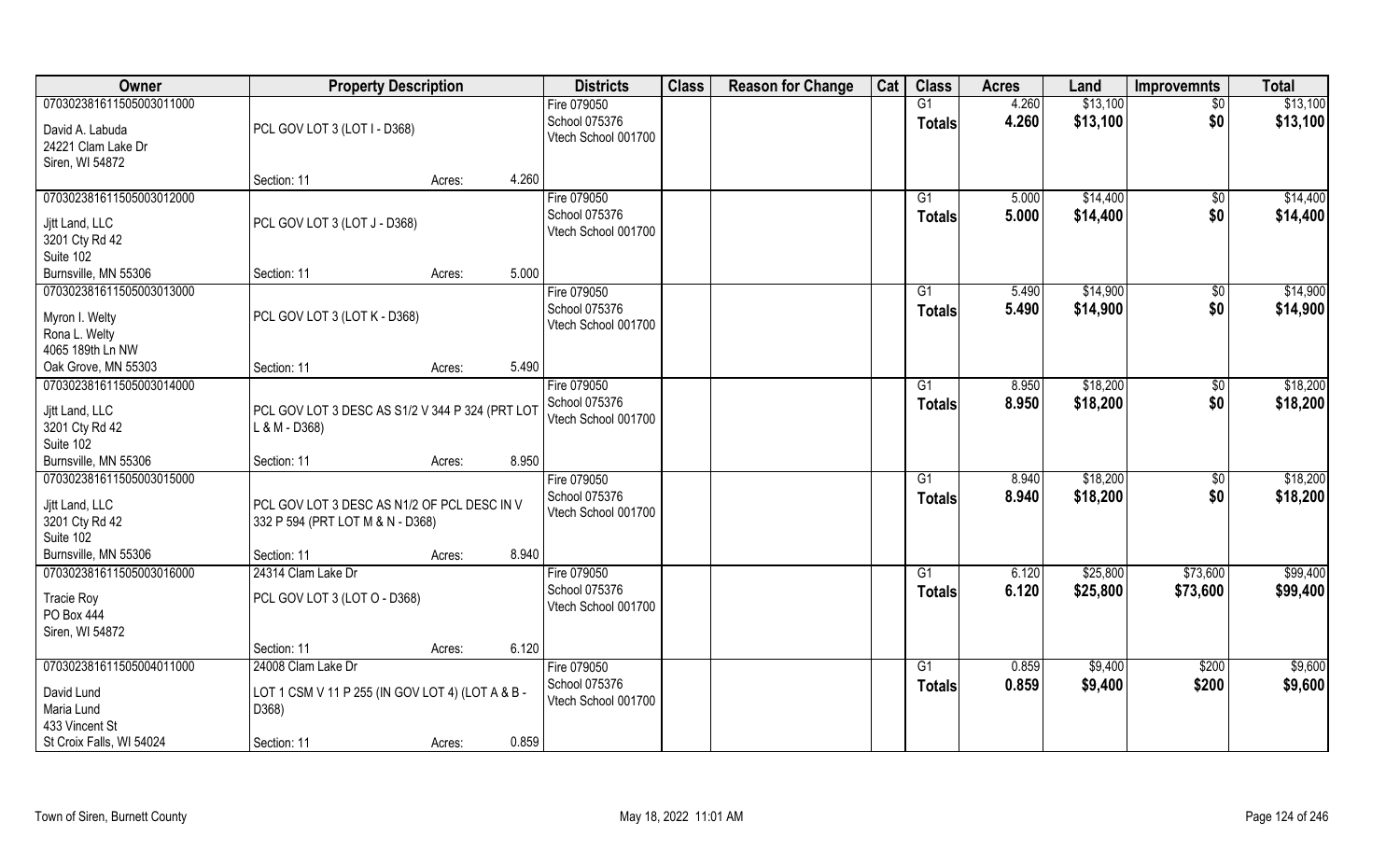| Owner                    | <b>Property Description</b>                      |                 | <b>Districts</b>                     | <b>Class</b> | <b>Reason for Change</b> | Cat | <b>Class</b>   | <b>Acres</b> | Land     | <b>Improvemnts</b> | <b>Total</b> |
|--------------------------|--------------------------------------------------|-----------------|--------------------------------------|--------------|--------------------------|-----|----------------|--------------|----------|--------------------|--------------|
| 070302381611505003011000 |                                                  |                 | Fire 079050                          |              |                          |     | G1             | 4.260        | \$13,100 | \$0                | \$13,100     |
| David A. Labuda          | PCL GOV LOT 3 (LOT I - D368)                     |                 | School 075376                        |              |                          |     | <b>Totals</b>  | 4.260        | \$13,100 | \$0                | \$13,100     |
| 24221 Clam Lake Dr       |                                                  |                 | Vtech School 001700                  |              |                          |     |                |              |          |                    |              |
| Siren, WI 54872          |                                                  |                 |                                      |              |                          |     |                |              |          |                    |              |
|                          | Section: 11                                      | 4.260<br>Acres: |                                      |              |                          |     |                |              |          |                    |              |
| 070302381611505003012000 |                                                  |                 | Fire 079050                          |              |                          |     | G1             | 5.000        | \$14,400 | $\sqrt{6}$         | \$14,400     |
| Jitt Land, LLC           | PCL GOV LOT 3 (LOT J - D368)                     |                 | School 075376<br>Vtech School 001700 |              |                          |     | <b>Totals</b>  | 5.000        | \$14,400 | \$0                | \$14,400     |
| 3201 Cty Rd 42           |                                                  |                 |                                      |              |                          |     |                |              |          |                    |              |
| Suite 102                |                                                  |                 |                                      |              |                          |     |                |              |          |                    |              |
| Burnsville, MN 55306     | Section: 11                                      | 5.000<br>Acres: |                                      |              |                          |     |                |              |          |                    |              |
| 070302381611505003013000 |                                                  |                 | Fire 079050<br>School 075376         |              |                          |     | G1             | 5.490        | \$14,900 | \$0                | \$14,900     |
| Myron I. Welty           | PCL GOV LOT 3 (LOT K - D368)                     |                 | Vtech School 001700                  |              |                          |     | <b>Totals</b>  | 5.490        | \$14,900 | \$0                | \$14,900     |
| Rona L. Welty            |                                                  |                 |                                      |              |                          |     |                |              |          |                    |              |
| 4065 189th Ln NW         |                                                  |                 |                                      |              |                          |     |                |              |          |                    |              |
| Oak Grove, MN 55303      | Section: 11                                      | 5.490<br>Acres: |                                      |              |                          |     |                |              |          |                    |              |
| 070302381611505003014000 |                                                  |                 | Fire 079050                          |              |                          |     | G <sub>1</sub> | 8.950        | \$18,200 | $\sqrt[6]{}$       | \$18,200     |
| Jitt Land, LLC           | PCL GOV LOT 3 DESC AS S1/2 V 344 P 324 (PRT LOT  |                 | School 075376<br>Vtech School 001700 |              |                          |     | <b>Totals</b>  | 8.950        | \$18,200 | \$0                | \$18,200     |
| 3201 Cty Rd 42           | L & M - D368)                                    |                 |                                      |              |                          |     |                |              |          |                    |              |
| Suite 102                |                                                  |                 |                                      |              |                          |     |                |              |          |                    |              |
| Burnsville, MN 55306     | Section: 11                                      | 8.950<br>Acres: |                                      |              |                          |     |                |              |          |                    |              |
| 070302381611505003015000 |                                                  |                 | Fire 079050                          |              |                          |     | G1             | 8.940        | \$18,200 | \$0                | \$18,200     |
| Jitt Land, LLC           | PCL GOV LOT 3 DESC AS N1/2 OF PCL DESC IN V      |                 | School 075376<br>Vtech School 001700 |              |                          |     | <b>Totals</b>  | 8.940        | \$18,200 | \$0                | \$18,200     |
| 3201 Cty Rd 42           | 332 P 594 (PRT LOT M & N - D368)                 |                 |                                      |              |                          |     |                |              |          |                    |              |
| Suite 102                |                                                  |                 |                                      |              |                          |     |                |              |          |                    |              |
| Burnsville, MN 55306     | Section: 11                                      | 8.940<br>Acres: |                                      |              |                          |     |                |              |          |                    |              |
| 070302381611505003016000 | 24314 Clam Lake Dr                               |                 | Fire 079050                          |              |                          |     | G1             | 6.120        | \$25,800 | \$73,600           | \$99,400     |
| Tracie Roy               | PCL GOV LOT 3 (LOT O - D368)                     |                 | School 075376                        |              |                          |     | <b>Totals</b>  | 6.120        | \$25,800 | \$73,600           | \$99,400     |
| PO Box 444               |                                                  |                 | Vtech School 001700                  |              |                          |     |                |              |          |                    |              |
| Siren, WI 54872          |                                                  |                 |                                      |              |                          |     |                |              |          |                    |              |
|                          | Section: 11                                      | 6.120<br>Acres: |                                      |              |                          |     |                |              |          |                    |              |
| 070302381611505004011000 | 24008 Clam Lake Dr                               |                 | Fire 079050                          |              |                          |     | G1             | 0.859        | \$9,400  | \$200              | \$9,600      |
| David Lund               | LOT 1 CSM V 11 P 255 (IN GOV LOT 4) (LOT A & B - |                 | School 075376                        |              |                          |     | <b>Totals</b>  | 0.859        | \$9,400  | \$200              | \$9,600      |
| Maria Lund               | D368)                                            |                 | Vtech School 001700                  |              |                          |     |                |              |          |                    |              |
| 433 Vincent St           |                                                  |                 |                                      |              |                          |     |                |              |          |                    |              |
| St Croix Falls, WI 54024 | Section: 11                                      | 0.859<br>Acres: |                                      |              |                          |     |                |              |          |                    |              |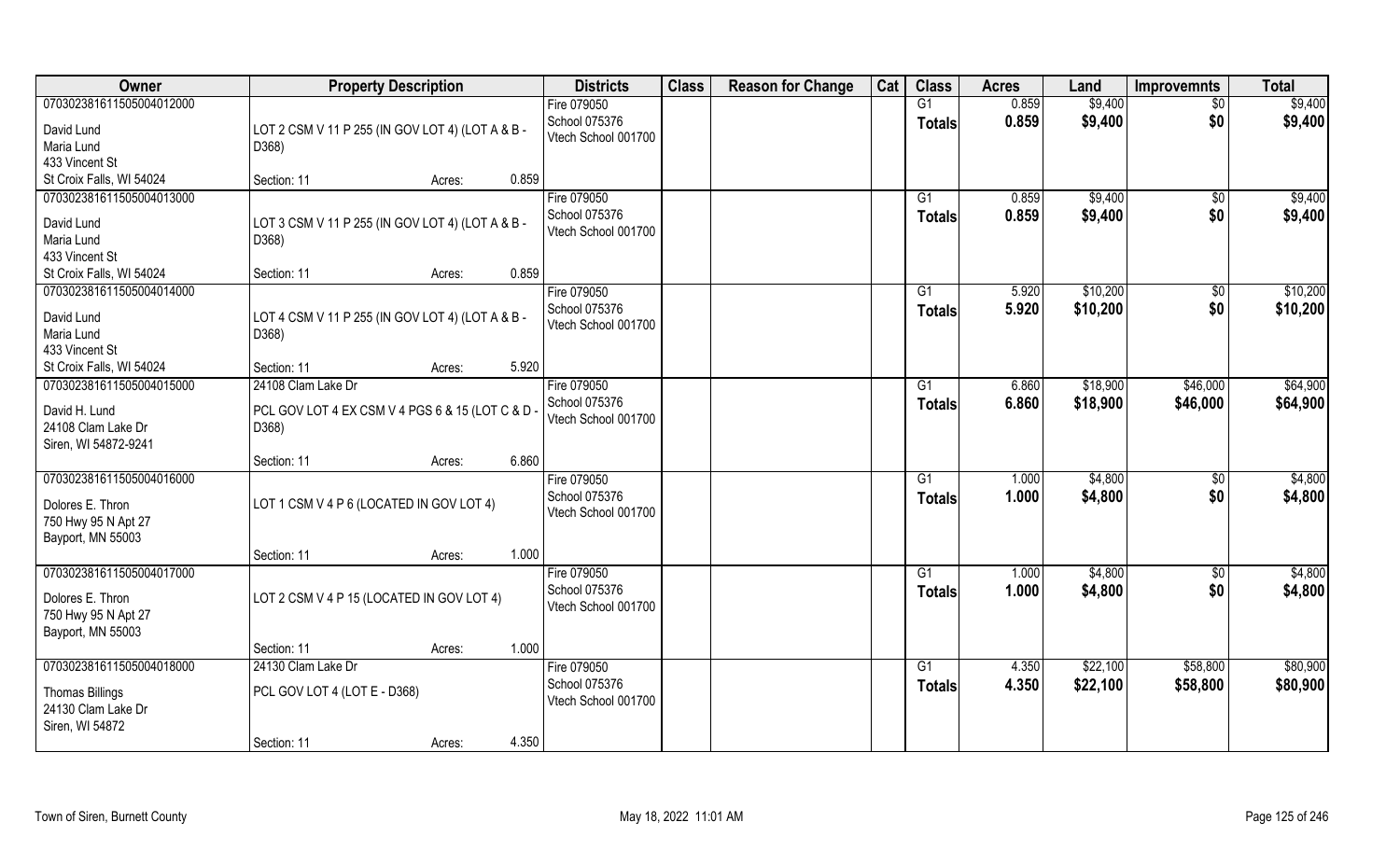| Owner                        | <b>Property Description</b>                      | <b>Districts</b>    | <b>Class</b> | <b>Reason for Change</b> | Cat | <b>Class</b>    | <b>Acres</b> | Land     | <b>Improvemnts</b> | <b>Total</b> |
|------------------------------|--------------------------------------------------|---------------------|--------------|--------------------------|-----|-----------------|--------------|----------|--------------------|--------------|
| 070302381611505004012000     |                                                  | Fire 079050         |              |                          |     | G1              | 0.859        | \$9,400  | $\overline{30}$    | \$9,400      |
| David Lund                   | LOT 2 CSM V 11 P 255 (IN GOV LOT 4) (LOT A & B - | School 075376       |              |                          |     | <b>Totals</b>   | 0.859        | \$9,400  | \$0                | \$9,400      |
| Maria Lund                   | D368)                                            | Vtech School 001700 |              |                          |     |                 |              |          |                    |              |
| 433 Vincent St               |                                                  |                     |              |                          |     |                 |              |          |                    |              |
| St Croix Falls, WI 54024     | 0.859<br>Section: 11<br>Acres:                   |                     |              |                          |     |                 |              |          |                    |              |
| 070302381611505004013000     |                                                  | Fire 079050         |              |                          |     | G1              | 0.859        | \$9,400  | $\overline{50}$    | \$9,400      |
|                              |                                                  | School 075376       |              |                          |     | <b>Totals</b>   | 0.859        | \$9,400  | \$0                | \$9,400      |
| David Lund                   | LOT 3 CSM V 11 P 255 (IN GOV LOT 4) (LOT A & B - | Vtech School 001700 |              |                          |     |                 |              |          |                    |              |
| Maria Lund<br>433 Vincent St | D368)                                            |                     |              |                          |     |                 |              |          |                    |              |
| St Croix Falls, WI 54024     | 0.859<br>Section: 11<br>Acres:                   |                     |              |                          |     |                 |              |          |                    |              |
| 070302381611505004014000     |                                                  | Fire 079050         |              |                          |     | G1              | 5.920        | \$10,200 | \$0                | \$10,200     |
|                              |                                                  | School 075376       |              |                          |     | <b>Totals</b>   | 5.920        | \$10,200 | \$0                | \$10,200     |
| David Lund                   | LOT 4 CSM V 11 P 255 (IN GOV LOT 4) (LOT A & B - | Vtech School 001700 |              |                          |     |                 |              |          |                    |              |
| Maria Lund                   | D368)                                            |                     |              |                          |     |                 |              |          |                    |              |
| 433 Vincent St               |                                                  |                     |              |                          |     |                 |              |          |                    |              |
| St Croix Falls, WI 54024     | 5.920<br>Section: 11<br>Acres:                   |                     |              |                          |     |                 |              |          |                    |              |
| 070302381611505004015000     | 24108 Clam Lake Dr                               | Fire 079050         |              |                          |     | G <sub>1</sub>  | 6.860        | \$18,900 | \$46,000           | \$64,900     |
| David H. Lund                | PCL GOV LOT 4 EX CSM V 4 PGS 6 & 15 (LOT C & D - | School 075376       |              |                          |     | <b>Totals</b>   | 6.860        | \$18,900 | \$46,000           | \$64,900     |
| 24108 Clam Lake Dr           | D368)                                            | Vtech School 001700 |              |                          |     |                 |              |          |                    |              |
| Siren, WI 54872-9241         |                                                  |                     |              |                          |     |                 |              |          |                    |              |
|                              | 6.860<br>Section: 11<br>Acres:                   |                     |              |                          |     |                 |              |          |                    |              |
| 070302381611505004016000     |                                                  | Fire 079050         |              |                          |     | G1              | 1.000        | \$4,800  | \$0                | \$4,800      |
| Dolores E. Thron             | LOT 1 CSM V 4 P 6 (LOCATED IN GOV LOT 4)         | School 075376       |              |                          |     | <b>Totals</b>   | 1.000        | \$4,800  | \$0                | \$4,800      |
| 750 Hwy 95 N Apt 27          |                                                  | Vtech School 001700 |              |                          |     |                 |              |          |                    |              |
| Bayport, MN 55003            |                                                  |                     |              |                          |     |                 |              |          |                    |              |
|                              | 1.000<br>Section: 11<br>Acres:                   |                     |              |                          |     |                 |              |          |                    |              |
| 070302381611505004017000     |                                                  | Fire 079050         |              |                          |     | G1              | 1.000        | \$4,800  | \$0                | \$4,800      |
|                              |                                                  | School 075376       |              |                          |     | <b>Totals</b>   | 1.000        | \$4,800  | \$0                | \$4,800      |
| Dolores E. Thron             | LOT 2 CSM V 4 P 15 (LOCATED IN GOV LOT 4)        | Vtech School 001700 |              |                          |     |                 |              |          |                    |              |
| 750 Hwy 95 N Apt 27          |                                                  |                     |              |                          |     |                 |              |          |                    |              |
| Bayport, MN 55003            |                                                  |                     |              |                          |     |                 |              |          |                    |              |
|                              | 1.000<br>Section: 11<br>Acres:                   |                     |              |                          |     |                 |              |          |                    |              |
| 070302381611505004018000     | 24130 Clam Lake Dr                               | Fire 079050         |              |                          |     | $\overline{G1}$ | 4.350        | \$22,100 | \$58,800           | \$80,900     |
| <b>Thomas Billings</b>       | PCL GOV LOT 4 (LOT E - D368)                     | School 075376       |              |                          |     | <b>Totals</b>   | 4.350        | \$22,100 | \$58,800           | \$80,900     |
| 24130 Clam Lake Dr           |                                                  | Vtech School 001700 |              |                          |     |                 |              |          |                    |              |
| Siren, WI 54872              |                                                  |                     |              |                          |     |                 |              |          |                    |              |
|                              | 4.350<br>Section: 11<br>Acres:                   |                     |              |                          |     |                 |              |          |                    |              |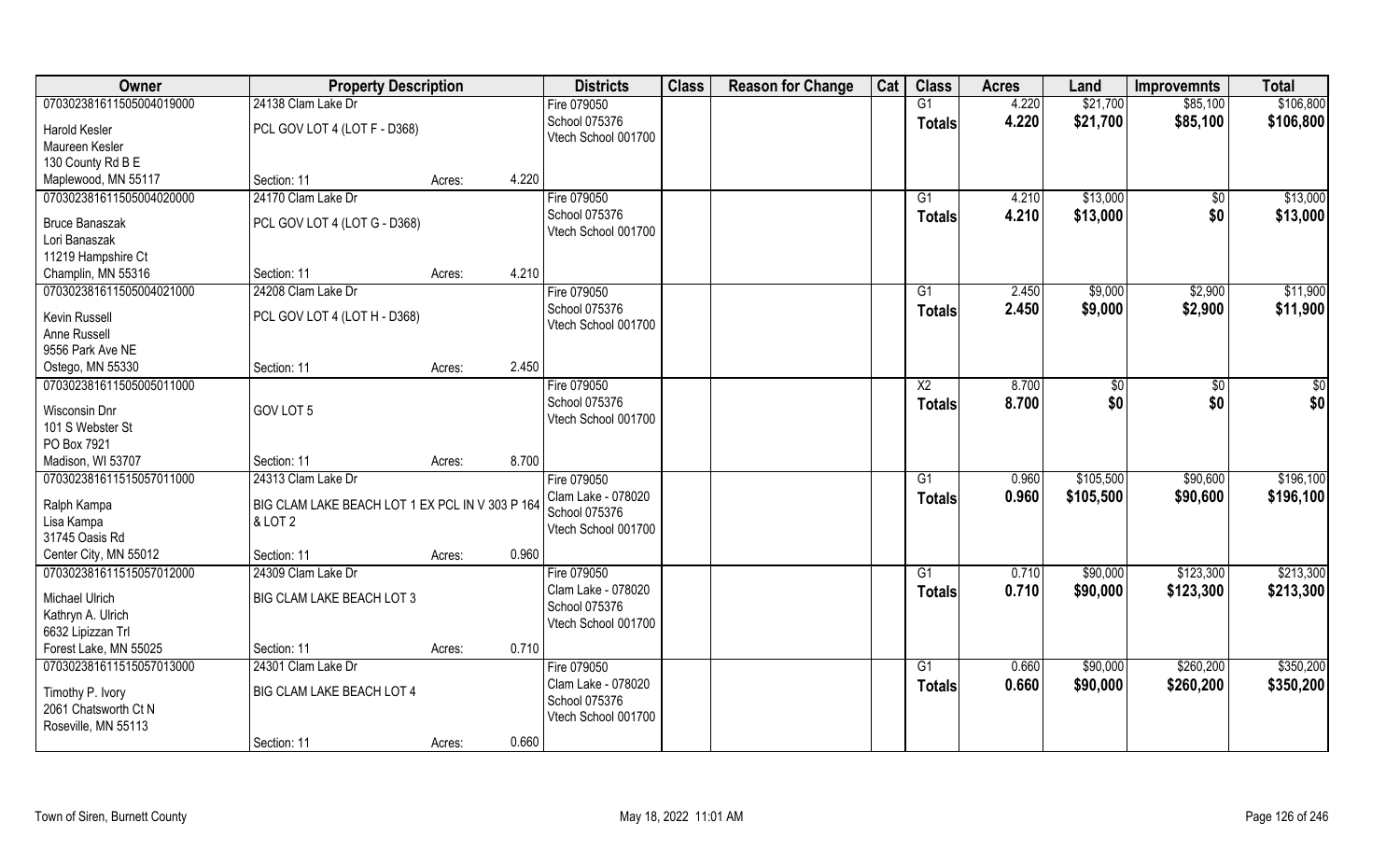| Owner                                                           | <b>Property Description</b>                     |                 | <b>Districts</b>                                           | <b>Class</b> | <b>Reason for Change</b> | Cat | <b>Class</b>    | <b>Acres</b> | Land      | <b>Improvemnts</b> | <b>Total</b> |
|-----------------------------------------------------------------|-------------------------------------------------|-----------------|------------------------------------------------------------|--------------|--------------------------|-----|-----------------|--------------|-----------|--------------------|--------------|
| 070302381611505004019000                                        | 24138 Clam Lake Dr                              |                 | Fire 079050                                                |              |                          |     | G1              | 4.220        | \$21,700  | \$85,100           | \$106,800    |
| Harold Kesler<br>Maureen Kesler                                 | PCL GOV LOT 4 (LOT F - D368)                    |                 | School 075376<br>Vtech School 001700                       |              |                          |     | <b>Totals</b>   | 4.220        | \$21,700  | \$85,100           | \$106,800    |
| 130 County Rd B E                                               |                                                 |                 |                                                            |              |                          |     |                 |              |           |                    |              |
| Maplewood, MN 55117                                             | Section: 11                                     | 4.220<br>Acres: |                                                            |              |                          |     |                 |              |           |                    |              |
| 070302381611505004020000                                        | 24170 Clam Lake Dr                              |                 | Fire 079050                                                |              |                          |     | G1              | 4.210        | \$13,000  | $\overline{50}$    | \$13,000     |
| <b>Bruce Banaszak</b>                                           | PCL GOV LOT 4 (LOT G - D368)                    |                 | School 075376                                              |              |                          |     | <b>Totals</b>   | 4.210        | \$13,000  | \$0                | \$13,000     |
| Lori Banaszak                                                   |                                                 |                 | Vtech School 001700                                        |              |                          |     |                 |              |           |                    |              |
| 11219 Hampshire Ct                                              |                                                 |                 |                                                            |              |                          |     |                 |              |           |                    |              |
| Champlin, MN 55316                                              | Section: 11                                     | 4.210<br>Acres: |                                                            |              |                          |     |                 |              |           |                    |              |
| 070302381611505004021000                                        | 24208 Clam Lake Dr                              |                 | Fire 079050                                                |              |                          |     | G1              | 2.450        | \$9,000   | \$2,900            | \$11,900     |
| Kevin Russell                                                   | PCL GOV LOT 4 (LOT H - D368)                    |                 | School 075376                                              |              |                          |     | <b>Totals</b>   | 2.450        | \$9,000   | \$2,900            | \$11,900     |
| Anne Russell                                                    |                                                 |                 | Vtech School 001700                                        |              |                          |     |                 |              |           |                    |              |
| 9556 Park Ave NE                                                |                                                 |                 |                                                            |              |                          |     |                 |              |           |                    |              |
| Ostego, MN 55330                                                | Section: 11                                     | 2.450<br>Acres: |                                                            |              |                          |     |                 |              |           |                    |              |
| 070302381611505005011000                                        |                                                 |                 | Fire 079050                                                |              |                          |     | X <sub>2</sub>  | 8.700        | \$0       | \$0                | \$0          |
| Wisconsin Dnr<br>101 S Webster St                               | GOV LOT 5                                       |                 | School 075376<br>Vtech School 001700                       |              |                          |     | <b>Totals</b>   | 8.700        | \$0       | \$0                | \$0          |
| PO Box 7921<br>Madison, WI 53707                                | Section: 11                                     | 8.700<br>Acres: |                                                            |              |                          |     |                 |              |           |                    |              |
| 070302381611515057011000                                        | 24313 Clam Lake Dr                              |                 | Fire 079050                                                |              |                          |     | G1              | 0.960        | \$105,500 | \$90,600           | \$196,100    |
|                                                                 |                                                 |                 | Clam Lake - 078020                                         |              |                          |     | <b>Totals</b>   | 0.960        | \$105,500 | \$90,600           | \$196,100    |
| Ralph Kampa                                                     | BIG CLAM LAKE BEACH LOT 1 EX PCL IN V 303 P 164 |                 | <b>School 075376</b>                                       |              |                          |     |                 |              |           |                    |              |
| Lisa Kampa                                                      | & LOT 2                                         |                 | Vtech School 001700                                        |              |                          |     |                 |              |           |                    |              |
| 31745 Oasis Rd                                                  |                                                 |                 |                                                            |              |                          |     |                 |              |           |                    |              |
| Center City, MN 55012                                           | Section: 11                                     | 0.960<br>Acres: |                                                            |              |                          |     |                 |              |           |                    |              |
| 070302381611515057012000                                        | 24309 Clam Lake Dr                              |                 | Fire 079050                                                |              |                          |     | G1              | 0.710        | \$90,000  | \$123,300          | \$213,300    |
| Michael Ulrich                                                  | BIG CLAM LAKE BEACH LOT 3                       |                 | Clam Lake - 078020<br>School 075376                        |              |                          |     | <b>Totals</b>   | 0.710        | \$90,000  | \$123,300          | \$213,300    |
| Kathryn A. Ulrich                                               |                                                 |                 | Vtech School 001700                                        |              |                          |     |                 |              |           |                    |              |
| 6632 Lipizzan Trl                                               |                                                 |                 |                                                            |              |                          |     |                 |              |           |                    |              |
| Forest Lake, MN 55025                                           | Section: 11                                     | 0.710<br>Acres: |                                                            |              |                          |     |                 |              |           |                    |              |
| 070302381611515057013000                                        | 24301 Clam Lake Dr                              |                 | Fire 079050                                                |              |                          |     | $\overline{G1}$ | 0.660        | \$90,000  | \$260,200          | \$350,200    |
| Timothy P. Ivory<br>2061 Chatsworth Ct N<br>Roseville, MN 55113 | BIG CLAM LAKE BEACH LOT 4<br>Section: 11        | 0.660           | Clam Lake - 078020<br>School 075376<br>Vtech School 001700 |              |                          |     | <b>Totals</b>   | 0.660        | \$90,000  | \$260,200          | \$350,200    |
|                                                                 |                                                 | Acres:          |                                                            |              |                          |     |                 |              |           |                    |              |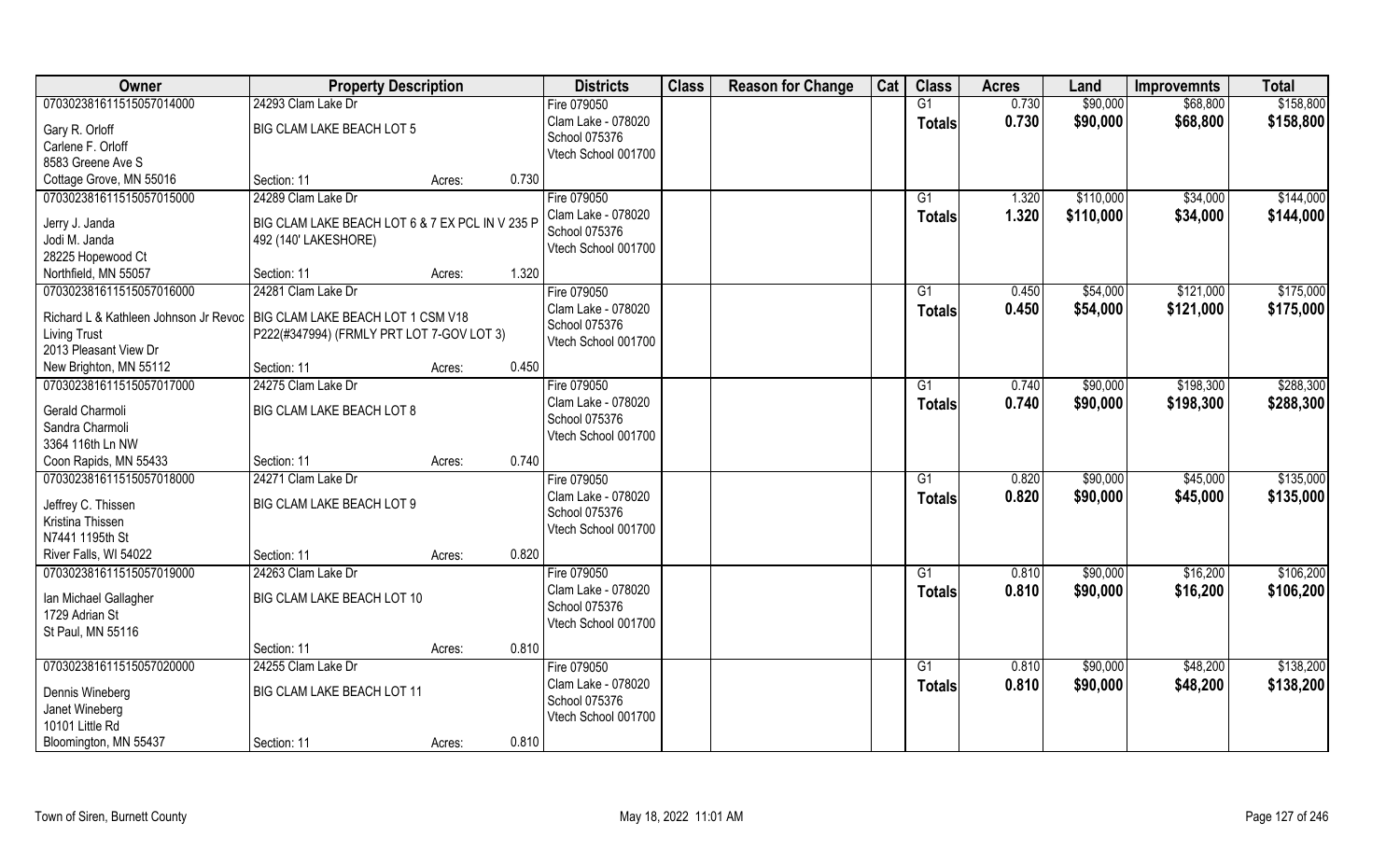| Owner                                                                     | <b>Property Description</b>                     |                 | <b>Districts</b>                    | <b>Class</b> | <b>Reason for Change</b> | Cat | <b>Class</b>    | <b>Acres</b> | Land      | <b>Improvemnts</b> | <b>Total</b> |
|---------------------------------------------------------------------------|-------------------------------------------------|-----------------|-------------------------------------|--------------|--------------------------|-----|-----------------|--------------|-----------|--------------------|--------------|
| 070302381611515057014000                                                  | 24293 Clam Lake Dr                              |                 | Fire 079050                         |              |                          |     | G1              | 0.730        | \$90,000  | \$68,800           | \$158,800    |
| Gary R. Orloff                                                            | BIG CLAM LAKE BEACH LOT 5                       |                 | Clam Lake - 078020                  |              |                          |     | <b>Totals</b>   | 0.730        | \$90,000  | \$68,800           | \$158,800    |
| Carlene F. Orloff                                                         |                                                 |                 | School 075376                       |              |                          |     |                 |              |           |                    |              |
| 8583 Greene Ave S                                                         |                                                 |                 | Vtech School 001700                 |              |                          |     |                 |              |           |                    |              |
| Cottage Grove, MN 55016                                                   | Section: 11                                     | 0.730<br>Acres: |                                     |              |                          |     |                 |              |           |                    |              |
| 070302381611515057015000                                                  | 24289 Clam Lake Dr                              |                 | Fire 079050                         |              |                          |     | G1              | 1.320        | \$110,000 | \$34,000           | \$144,000    |
|                                                                           | BIG CLAM LAKE BEACH LOT 6 & 7 EX PCL IN V 235 P |                 | Clam Lake - 078020                  |              |                          |     | Totals          | 1.320        | \$110,000 | \$34,000           | \$144,000    |
| Jerry J. Janda<br>Jodi M. Janda                                           | 492 (140' LAKESHORE)                            |                 | School 075376                       |              |                          |     |                 |              |           |                    |              |
| 28225 Hopewood Ct                                                         |                                                 |                 | Vtech School 001700                 |              |                          |     |                 |              |           |                    |              |
| Northfield, MN 55057                                                      | Section: 11                                     | 1.320<br>Acres: |                                     |              |                          |     |                 |              |           |                    |              |
| 070302381611515057016000                                                  | 24281 Clam Lake Dr                              |                 | Fire 079050                         |              |                          |     | G1              | 0.450        | \$54,000  | \$121,000          | \$175,000    |
|                                                                           |                                                 |                 | Clam Lake - 078020                  |              |                          |     | <b>Totals</b>   | 0.450        | \$54,000  | \$121,000          | \$175,000    |
| Richard L & Kathleen Johnson Jr Revoc   BIG CLAM LAKE BEACH LOT 1 CSM V18 |                                                 |                 | School 075376                       |              |                          |     |                 |              |           |                    |              |
| <b>Living Trust</b>                                                       | P222(#347994) (FRMLY PRT LOT 7-GOV LOT 3)       |                 | Vtech School 001700                 |              |                          |     |                 |              |           |                    |              |
| 2013 Pleasant View Dr                                                     |                                                 |                 |                                     |              |                          |     |                 |              |           |                    |              |
| New Brighton, MN 55112                                                    | Section: 11                                     | 0.450<br>Acres: |                                     |              |                          |     |                 |              |           |                    |              |
| 070302381611515057017000                                                  | 24275 Clam Lake Dr                              |                 | Fire 079050                         |              |                          |     | G1              | 0.740        | \$90,000  | \$198,300          | \$288,300    |
| Gerald Charmoli                                                           | BIG CLAM LAKE BEACH LOT 8                       |                 | Clam Lake - 078020                  |              |                          |     | Totals          | 0.740        | \$90,000  | \$198,300          | \$288,300    |
| Sandra Charmoli                                                           |                                                 |                 | School 075376                       |              |                          |     |                 |              |           |                    |              |
| 3364 116th Ln NW                                                          |                                                 |                 | Vtech School 001700                 |              |                          |     |                 |              |           |                    |              |
| Coon Rapids, MN 55433                                                     | Section: 11                                     | 0.740<br>Acres: |                                     |              |                          |     |                 |              |           |                    |              |
| 070302381611515057018000                                                  | 24271 Clam Lake Dr                              |                 | Fire 079050                         |              |                          |     | $\overline{G1}$ | 0.820        | \$90,000  | \$45,000           | \$135,000    |
| Jeffrey C. Thissen                                                        | BIG CLAM LAKE BEACH LOT 9                       |                 | Clam Lake - 078020                  |              |                          |     | <b>Totals</b>   | 0.820        | \$90,000  | \$45,000           | \$135,000    |
| Kristina Thissen                                                          |                                                 |                 | School 075376                       |              |                          |     |                 |              |           |                    |              |
| N7441 1195th St                                                           |                                                 |                 | Vtech School 001700                 |              |                          |     |                 |              |           |                    |              |
| River Falls, WI 54022                                                     | Section: 11                                     | 0.820<br>Acres: |                                     |              |                          |     |                 |              |           |                    |              |
| 070302381611515057019000                                                  | 24263 Clam Lake Dr                              |                 | Fire 079050                         |              |                          |     | G1              | 0.810        | \$90,000  | \$16,200           | \$106,200    |
|                                                                           |                                                 |                 | Clam Lake - 078020                  |              |                          |     | <b>Totals</b>   | 0.810        | \$90,000  | \$16,200           | \$106,200    |
| Ian Michael Gallagher                                                     | BIG CLAM LAKE BEACH LOT 10                      |                 | School 075376                       |              |                          |     |                 |              |           |                    |              |
| 1729 Adrian St                                                            |                                                 |                 | Vtech School 001700                 |              |                          |     |                 |              |           |                    |              |
| St Paul, MN 55116                                                         |                                                 |                 |                                     |              |                          |     |                 |              |           |                    |              |
|                                                                           | Section: 11                                     | 0.810<br>Acres: |                                     |              |                          |     |                 |              |           |                    |              |
| 070302381611515057020000                                                  | 24255 Clam Lake Dr                              |                 | Fire 079050                         |              |                          |     | $\overline{G1}$ | 0.810        | \$90,000  | \$48,200           | \$138,200    |
| Dennis Wineberg                                                           | BIG CLAM LAKE BEACH LOT 11                      |                 | Clam Lake - 078020<br>School 075376 |              |                          |     | <b>Totals</b>   | 0.810        | \$90,000  | \$48,200           | \$138,200    |
| Janet Wineberg                                                            |                                                 |                 | Vtech School 001700                 |              |                          |     |                 |              |           |                    |              |
| 10101 Little Rd                                                           |                                                 |                 |                                     |              |                          |     |                 |              |           |                    |              |
| Bloomington, MN 55437                                                     | Section: 11                                     | 0.810<br>Acres: |                                     |              |                          |     |                 |              |           |                    |              |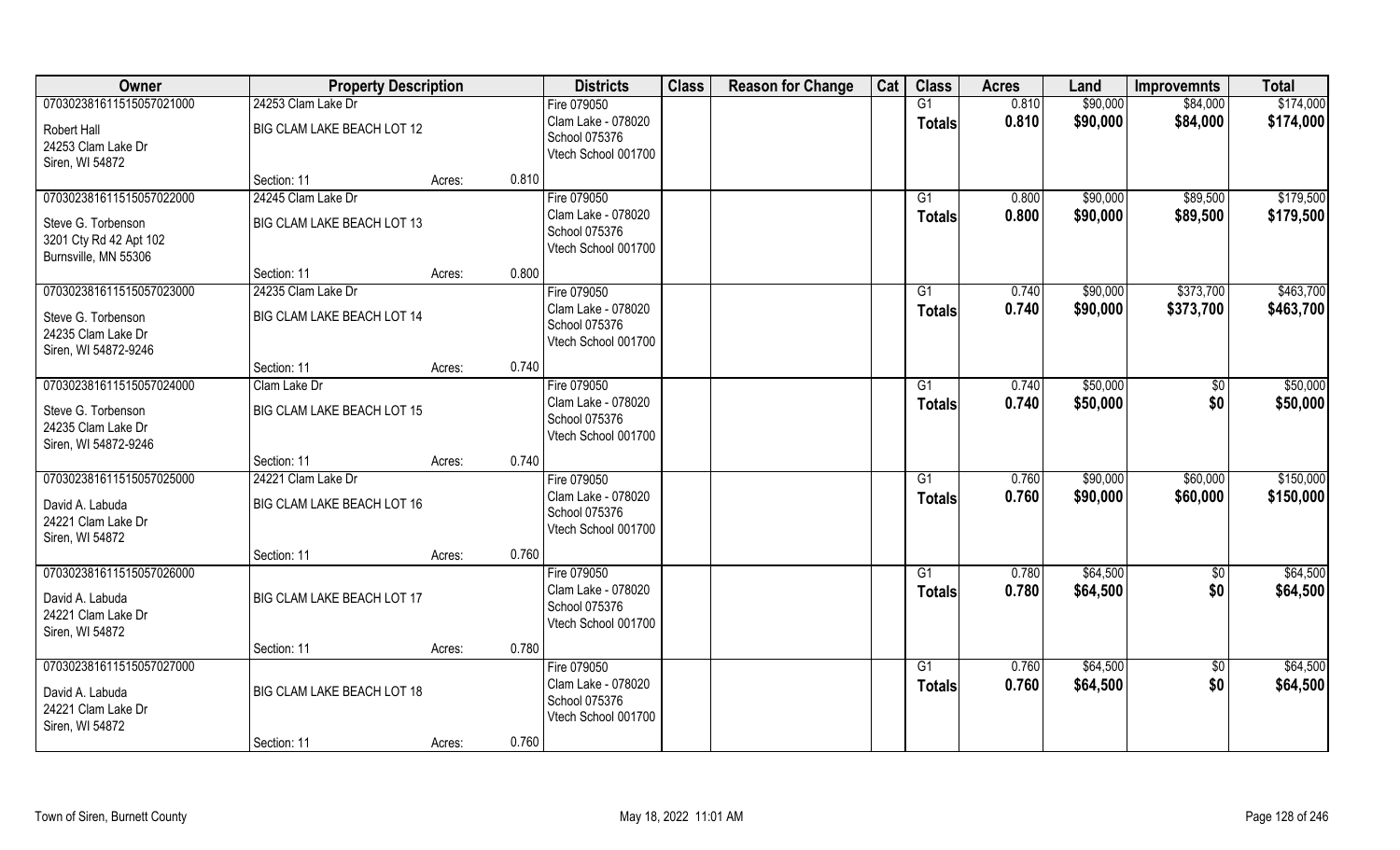| Owner                                                                                            | <b>Property Description</b>                      |                 | <b>Districts</b>                                                          | <b>Class</b> | <b>Reason for Change</b> | Cat | <b>Class</b>        | <b>Acres</b>   | Land                 | <b>Improvemnts</b>     | <b>Total</b>           |
|--------------------------------------------------------------------------------------------------|--------------------------------------------------|-----------------|---------------------------------------------------------------------------|--------------|--------------------------|-----|---------------------|----------------|----------------------|------------------------|------------------------|
| 070302381611515057021000<br><b>Robert Hall</b><br>24253 Clam Lake Dr<br>Siren, WI 54872          | 24253 Clam Lake Dr<br>BIG CLAM LAKE BEACH LOT 12 |                 | Fire 079050<br>Clam Lake - 078020<br>School 075376<br>Vtech School 001700 |              |                          |     | G1<br><b>Totals</b> | 0.810<br>0.810 | \$90,000<br>\$90,000 | \$84,000<br>\$84,000   | \$174,000<br>\$174,000 |
|                                                                                                  | Section: 11                                      | 0.810<br>Acres: |                                                                           |              |                          |     |                     |                |                      |                        |                        |
| 070302381611515057022000<br>Steve G. Torbenson<br>3201 Cty Rd 42 Apt 102<br>Burnsville, MN 55306 | 24245 Clam Lake Dr<br>BIG CLAM LAKE BEACH LOT 13 |                 | Fire 079050<br>Clam Lake - 078020<br>School 075376<br>Vtech School 001700 |              |                          |     | G1<br>Totals        | 0.800<br>0.800 | \$90,000<br>\$90,000 | \$89,500<br>\$89,500   | \$179,500<br>\$179,500 |
|                                                                                                  | Section: 11                                      | 0.800<br>Acres: |                                                                           |              |                          |     |                     |                |                      |                        |                        |
| 070302381611515057023000<br>Steve G. Torbenson<br>24235 Clam Lake Dr<br>Siren, WI 54872-9246     | 24235 Clam Lake Dr<br>BIG CLAM LAKE BEACH LOT 14 |                 | Fire 079050<br>Clam Lake - 078020<br>School 075376<br>Vtech School 001700 |              |                          |     | G1<br><b>Totals</b> | 0.740<br>0.740 | \$90,000<br>\$90,000 | \$373,700<br>\$373,700 | \$463,700<br>\$463,700 |
|                                                                                                  | Section: 11                                      | 0.740<br>Acres: |                                                                           |              |                          |     |                     |                |                      |                        |                        |
| 070302381611515057024000<br>Steve G. Torbenson<br>24235 Clam Lake Dr<br>Siren, WI 54872-9246     | Clam Lake Dr<br>BIG CLAM LAKE BEACH LOT 15       |                 | Fire 079050<br>Clam Lake - 078020<br>School 075376<br>Vtech School 001700 |              |                          |     | G1<br><b>Totals</b> | 0.740<br>0.740 | \$50,000<br>\$50,000 | $\sqrt{50}$<br>\$0     | \$50,000<br>\$50,000   |
|                                                                                                  | Section: 11                                      | 0.740<br>Acres: |                                                                           |              |                          |     |                     |                |                      |                        |                        |
| 070302381611515057025000<br>David A. Labuda<br>24221 Clam Lake Dr<br>Siren, WI 54872             | 24221 Clam Lake Dr<br>BIG CLAM LAKE BEACH LOT 16 |                 | Fire 079050<br>Clam Lake - 078020<br>School 075376<br>Vtech School 001700 |              |                          |     | G1<br><b>Totals</b> | 0.760<br>0.760 | \$90,000<br>\$90,000 | \$60,000<br>\$60,000   | \$150,000<br>\$150,000 |
|                                                                                                  | Section: 11                                      | 0.760<br>Acres: |                                                                           |              |                          |     |                     |                |                      |                        |                        |
| 070302381611515057026000<br>David A. Labuda<br>24221 Clam Lake Dr<br>Siren, WI 54872             | BIG CLAM LAKE BEACH LOT 17                       |                 | Fire 079050<br>Clam Lake - 078020<br>School 075376<br>Vtech School 001700 |              |                          |     | G1<br><b>Totals</b> | 0.780<br>0.780 | \$64,500<br>\$64,500 | $\overline{50}$<br>\$0 | \$64,500<br>\$64,500   |
|                                                                                                  | Section: 11                                      | 0.780<br>Acres: |                                                                           |              |                          |     |                     |                |                      |                        |                        |
| 070302381611515057027000<br>David A. Labuda<br>24221 Clam Lake Dr<br>Siren, WI 54872             | BIG CLAM LAKE BEACH LOT 18<br>Section: 11        | 0.760<br>Acres: | Fire 079050<br>Clam Lake - 078020<br>School 075376<br>Vtech School 001700 |              |                          |     | G1<br><b>Totals</b> | 0.760<br>0.760 | \$64,500<br>\$64,500 | $\overline{50}$<br>\$0 | \$64,500<br>\$64,500   |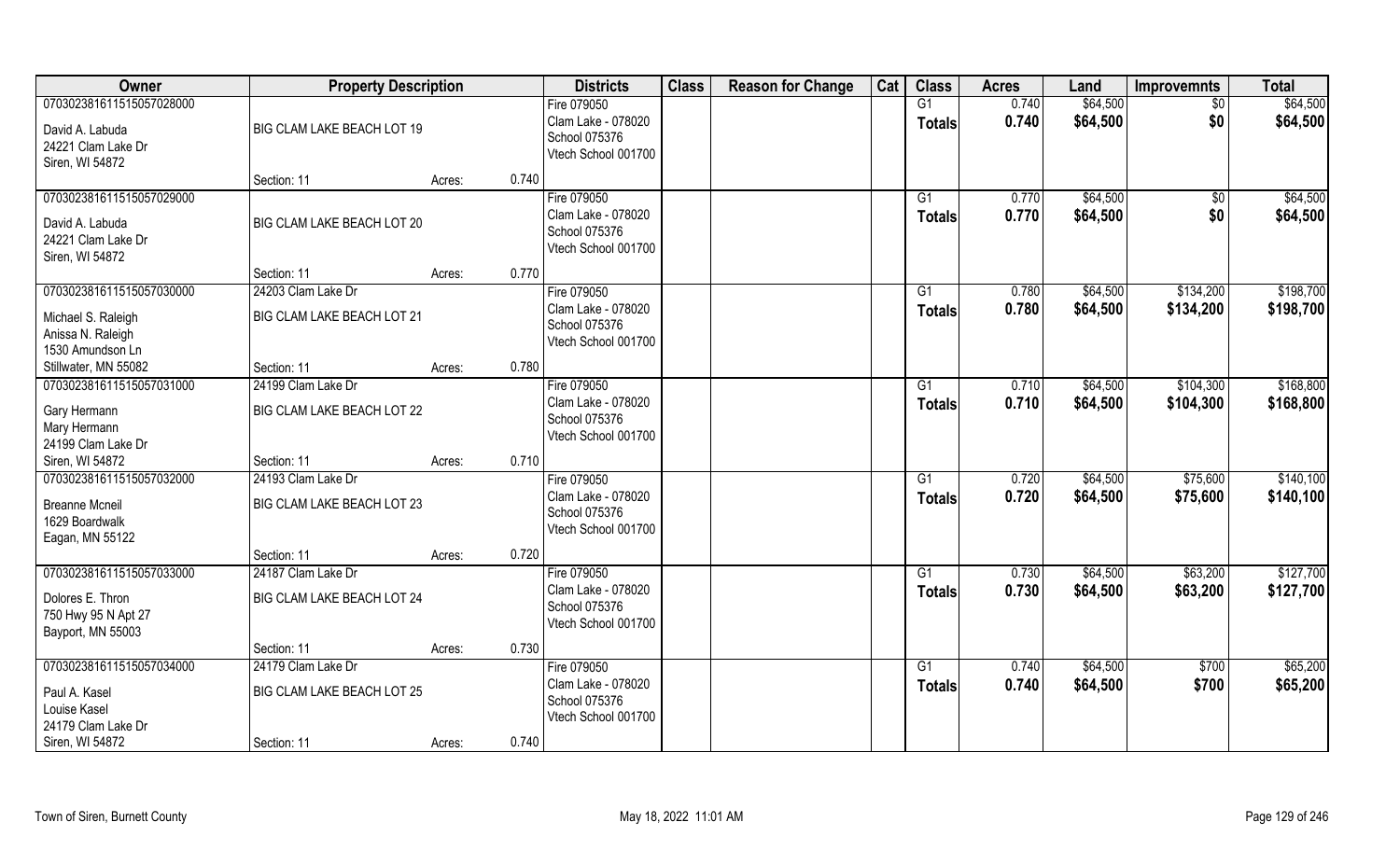| Owner                                                                                              | <b>Property Description</b>                                     |                 | <b>Districts</b>                                                          | <b>Class</b> | <b>Reason for Change</b> | Cat | <b>Class</b>                     | <b>Acres</b>   | Land                 | <b>Improvemnts</b>     | <b>Total</b>           |
|----------------------------------------------------------------------------------------------------|-----------------------------------------------------------------|-----------------|---------------------------------------------------------------------------|--------------|--------------------------|-----|----------------------------------|----------------|----------------------|------------------------|------------------------|
| 070302381611515057028000<br>David A. Labuda<br>24221 Clam Lake Dr<br>Siren, WI 54872               | BIG CLAM LAKE BEACH LOT 19                                      |                 | Fire 079050<br>Clam Lake - 078020<br>School 075376<br>Vtech School 001700 |              |                          |     | G1<br><b>Totals</b>              | 0.740<br>0.740 | \$64,500<br>\$64,500 | $\sqrt{6}$<br>\$0      | \$64,500<br>\$64,500   |
|                                                                                                    | Section: 11                                                     | 0.740<br>Acres: |                                                                           |              |                          |     |                                  |                |                      |                        |                        |
| 070302381611515057029000<br>David A. Labuda<br>24221 Clam Lake Dr<br>Siren, WI 54872               | BIG CLAM LAKE BEACH LOT 20                                      |                 | Fire 079050<br>Clam Lake - 078020<br>School 075376<br>Vtech School 001700 |              |                          |     | G1<br>Totals                     | 0.770<br>0.770 | \$64,500<br>\$64,500 | $\overline{50}$<br>\$0 | \$64,500<br>\$64,500   |
|                                                                                                    | Section: 11                                                     | 0.770<br>Acres: |                                                                           |              |                          |     |                                  |                |                      |                        |                        |
| 070302381611515057030000<br>Michael S. Raleigh<br>Anissa N. Raleigh<br>1530 Amundson Ln            | 24203 Clam Lake Dr<br>BIG CLAM LAKE BEACH LOT 21                |                 | Fire 079050<br>Clam Lake - 078020<br>School 075376<br>Vtech School 001700 |              |                          |     | G1<br><b>Totals</b>              | 0.780<br>0.780 | \$64,500<br>\$64,500 | \$134,200<br>\$134,200 | \$198,700<br>\$198,700 |
| Stillwater, MN 55082                                                                               | Section: 11                                                     | 0.780<br>Acres: |                                                                           |              |                          |     |                                  |                |                      |                        |                        |
| 070302381611515057031000<br>Gary Hermann<br>Mary Hermann<br>24199 Clam Lake Dr                     | 24199 Clam Lake Dr<br>BIG CLAM LAKE BEACH LOT 22                |                 | Fire 079050<br>Clam Lake - 078020<br>School 075376<br>Vtech School 001700 |              |                          |     | G1<br><b>Totals</b>              | 0.710<br>0.710 | \$64,500<br>\$64,500 | \$104,300<br>\$104,300 | \$168,800<br>\$168,800 |
| Siren, WI 54872                                                                                    | Section: 11                                                     | 0.710<br>Acres: |                                                                           |              |                          |     |                                  |                |                      |                        |                        |
| 070302381611515057032000<br><b>Breanne Mcneil</b><br>1629 Boardwalk<br>Eagan, MN 55122             | 24193 Clam Lake Dr<br>BIG CLAM LAKE BEACH LOT 23                |                 | Fire 079050<br>Clam Lake - 078020<br>School 075376<br>Vtech School 001700 |              |                          |     | $\overline{G1}$<br><b>Totals</b> | 0.720<br>0.720 | \$64,500<br>\$64,500 | \$75,600<br>\$75,600   | \$140,100<br>\$140,100 |
|                                                                                                    | Section: 11                                                     | 0.720<br>Acres: |                                                                           |              |                          |     |                                  |                |                      |                        |                        |
| 070302381611515057033000<br>Dolores E. Thron<br>750 Hwy 95 N Apt 27<br>Bayport, MN 55003           | 24187 Clam Lake Dr<br>BIG CLAM LAKE BEACH LOT 24                |                 | Fire 079050<br>Clam Lake - 078020<br>School 075376<br>Vtech School 001700 |              |                          |     | G1<br><b>Totals</b>              | 0.730<br>0.730 | \$64,500<br>\$64,500 | \$63,200<br>\$63,200   | \$127,700<br>\$127,700 |
|                                                                                                    | Section: 11                                                     | 0.730<br>Acres: |                                                                           |              |                          |     |                                  |                |                      |                        |                        |
| 070302381611515057034000<br>Paul A. Kasel<br>Louise Kasel<br>24179 Clam Lake Dr<br>Siren, WI 54872 | 24179 Clam Lake Dr<br>BIG CLAM LAKE BEACH LOT 25<br>Section: 11 | 0.740<br>Acres: | Fire 079050<br>Clam Lake - 078020<br>School 075376<br>Vtech School 001700 |              |                          |     | $\overline{G1}$<br><b>Totals</b> | 0.740<br>0.740 | \$64,500<br>\$64,500 | \$700<br>\$700         | \$65,200<br>\$65,200   |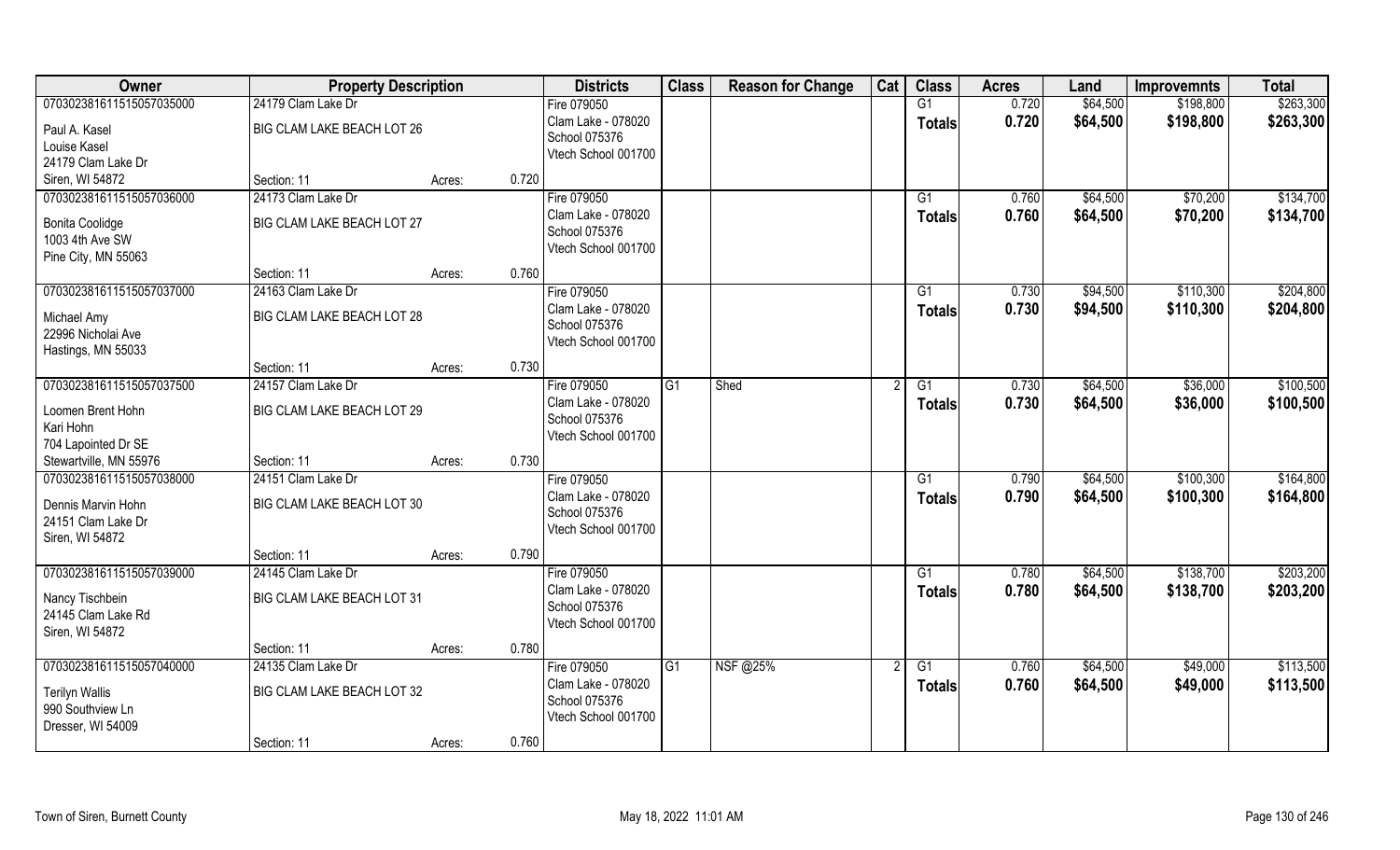| Owner                    | <b>Property Description</b> |                 | <b>Districts</b>                    | <b>Class</b>    | <b>Reason for Change</b> | Cat | <b>Class</b>    | <b>Acres</b> | Land     | <b>Improvemnts</b> | <b>Total</b> |
|--------------------------|-----------------------------|-----------------|-------------------------------------|-----------------|--------------------------|-----|-----------------|--------------|----------|--------------------|--------------|
| 070302381611515057035000 | 24179 Clam Lake Dr          |                 | Fire 079050                         |                 |                          |     | G1              | 0.720        | \$64,500 | \$198,800          | \$263,300    |
| Paul A. Kasel            | BIG CLAM LAKE BEACH LOT 26  |                 | Clam Lake - 078020                  |                 |                          |     | <b>Totals</b>   | 0.720        | \$64,500 | \$198,800          | \$263,300    |
| Louise Kasel             |                             |                 | School 075376                       |                 |                          |     |                 |              |          |                    |              |
| 24179 Clam Lake Dr       |                             |                 | Vtech School 001700                 |                 |                          |     |                 |              |          |                    |              |
| Siren, WI 54872          | Section: 11                 | 0.720<br>Acres: |                                     |                 |                          |     |                 |              |          |                    |              |
| 070302381611515057036000 | 24173 Clam Lake Dr          |                 | Fire 079050                         |                 |                          |     | G1              | 0.760        | \$64,500 | \$70,200           | \$134,700    |
| <b>Bonita Coolidge</b>   | BIG CLAM LAKE BEACH LOT 27  |                 | Clam Lake - 078020                  |                 |                          |     | Totals          | 0.760        | \$64,500 | \$70,200           | \$134,700    |
| 1003 4th Ave SW          |                             |                 | School 075376                       |                 |                          |     |                 |              |          |                    |              |
| Pine City, MN 55063      |                             |                 | Vtech School 001700                 |                 |                          |     |                 |              |          |                    |              |
|                          | Section: 11                 | 0.760<br>Acres: |                                     |                 |                          |     |                 |              |          |                    |              |
| 070302381611515057037000 | 24163 Clam Lake Dr          |                 | Fire 079050                         |                 |                          |     | G1              | 0.730        | \$94,500 | \$110,300          | \$204,800    |
|                          |                             |                 | Clam Lake - 078020                  |                 |                          |     | <b>Totals</b>   | 0.730        | \$94,500 | \$110,300          | \$204,800    |
| Michael Amy              | BIG CLAM LAKE BEACH LOT 28  |                 | School 075376                       |                 |                          |     |                 |              |          |                    |              |
| 22996 Nicholai Ave       |                             |                 | Vtech School 001700                 |                 |                          |     |                 |              |          |                    |              |
| Hastings, MN 55033       | Section: 11                 | 0.730<br>Acres: |                                     |                 |                          |     |                 |              |          |                    |              |
| 070302381611515057037500 | 24157 Clam Lake Dr          |                 | Fire 079050                         | G <sub>1</sub>  | Shed                     |     | G1              | 0.730        | \$64,500 | \$36,000           | \$100,500    |
|                          |                             |                 | Clam Lake - 078020                  |                 |                          |     | <b>Totals</b>   | 0.730        | \$64,500 | \$36,000           | \$100,500    |
| Loomen Brent Hohn        | BIG CLAM LAKE BEACH LOT 29  |                 | School 075376                       |                 |                          |     |                 |              |          |                    |              |
| Kari Hohn                |                             |                 | Vtech School 001700                 |                 |                          |     |                 |              |          |                    |              |
| 704 Lapointed Dr SE      |                             |                 |                                     |                 |                          |     |                 |              |          |                    |              |
| Stewartville, MN 55976   | Section: 11                 | 0.730<br>Acres: |                                     |                 |                          |     |                 |              |          |                    |              |
| 070302381611515057038000 | 24151 Clam Lake Dr          |                 | Fire 079050                         |                 |                          |     | $\overline{G1}$ | 0.790        | \$64,500 | \$100,300          | \$164,800    |
| Dennis Marvin Hohn       | BIG CLAM LAKE BEACH LOT 30  |                 | Clam Lake - 078020<br>School 075376 |                 |                          |     | <b>Totals</b>   | 0.790        | \$64,500 | \$100,300          | \$164,800    |
| 24151 Clam Lake Dr       |                             |                 | Vtech School 001700                 |                 |                          |     |                 |              |          |                    |              |
| Siren, WI 54872          |                             |                 |                                     |                 |                          |     |                 |              |          |                    |              |
|                          | Section: 11                 | 0.790<br>Acres: |                                     |                 |                          |     |                 |              |          |                    |              |
| 070302381611515057039000 | 24145 Clam Lake Dr          |                 | Fire 079050                         |                 |                          |     | G1              | 0.780        | \$64,500 | \$138,700          | \$203,200    |
| Nancy Tischbein          | BIG CLAM LAKE BEACH LOT 31  |                 | Clam Lake - 078020                  |                 |                          |     | <b>Totals</b>   | 0.780        | \$64,500 | \$138,700          | \$203,200    |
| 24145 Clam Lake Rd       |                             |                 | School 075376                       |                 |                          |     |                 |              |          |                    |              |
| Siren, WI 54872          |                             |                 | Vtech School 001700                 |                 |                          |     |                 |              |          |                    |              |
|                          | Section: 11                 | 0.780<br>Acres: |                                     |                 |                          |     |                 |              |          |                    |              |
| 070302381611515057040000 | 24135 Clam Lake Dr          |                 | Fire 079050                         | $\overline{G1}$ | NSF @25%                 |     | $\overline{G1}$ | 0.760        | \$64,500 | \$49,000           | \$113,500    |
| <b>Terilyn Wallis</b>    | BIG CLAM LAKE BEACH LOT 32  |                 | Clam Lake - 078020                  |                 |                          |     | <b>Totals</b>   | 0.760        | \$64,500 | \$49,000           | \$113,500    |
| 990 Southview Ln         |                             |                 | School 075376                       |                 |                          |     |                 |              |          |                    |              |
| Dresser, WI 54009        |                             |                 | Vtech School 001700                 |                 |                          |     |                 |              |          |                    |              |
|                          | Section: 11                 | 0.760<br>Acres: |                                     |                 |                          |     |                 |              |          |                    |              |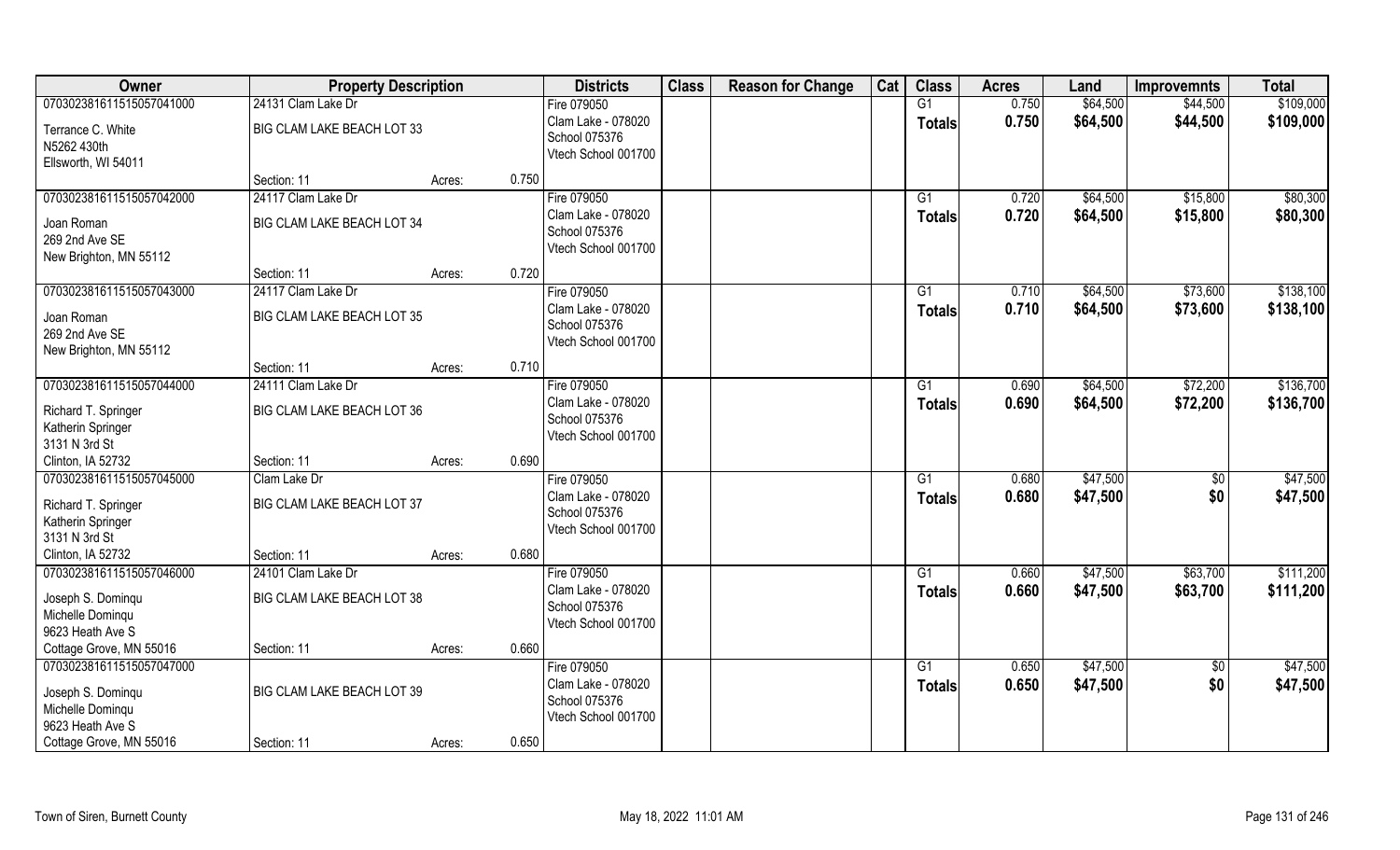| Owner                    | <b>Property Description</b> |                 | <b>Districts</b>                     | <b>Class</b> | <b>Reason for Change</b> | Cat | <b>Class</b>    | <b>Acres</b> | Land     | <b>Improvemnts</b> | <b>Total</b> |
|--------------------------|-----------------------------|-----------------|--------------------------------------|--------------|--------------------------|-----|-----------------|--------------|----------|--------------------|--------------|
| 070302381611515057041000 | 24131 Clam Lake Dr          |                 | Fire 079050                          |              |                          |     | G1              | 0.750        | \$64,500 | \$44,500           | \$109,000    |
| Terrance C. White        | BIG CLAM LAKE BEACH LOT 33  |                 | Clam Lake - 078020                   |              |                          |     | <b>Totals</b>   | 0.750        | \$64,500 | \$44,500           | \$109,000    |
| N5262 430th              |                             |                 | School 075376                        |              |                          |     |                 |              |          |                    |              |
| Ellsworth, WI 54011      |                             |                 | Vtech School 001700                  |              |                          |     |                 |              |          |                    |              |
|                          | Section: 11                 | 0.750<br>Acres: |                                      |              |                          |     |                 |              |          |                    |              |
| 070302381611515057042000 | 24117 Clam Lake Dr          |                 | Fire 079050                          |              |                          |     | G1              | 0.720        | \$64,500 | \$15,800           | \$80,300     |
| Joan Roman               | BIG CLAM LAKE BEACH LOT 34  |                 | Clam Lake - 078020                   |              |                          |     | Totals          | 0.720        | \$64,500 | \$15,800           | \$80,300     |
| 269 2nd Ave SE           |                             |                 | School 075376<br>Vtech School 001700 |              |                          |     |                 |              |          |                    |              |
| New Brighton, MN 55112   |                             |                 |                                      |              |                          |     |                 |              |          |                    |              |
|                          | Section: 11                 | 0.720<br>Acres: |                                      |              |                          |     |                 |              |          |                    |              |
| 070302381611515057043000 | 24117 Clam Lake Dr          |                 | Fire 079050                          |              |                          |     | G1              | 0.710        | \$64,500 | \$73,600           | \$138,100    |
| Joan Roman               | BIG CLAM LAKE BEACH LOT 35  |                 | Clam Lake - 078020                   |              |                          |     | <b>Totals</b>   | 0.710        | \$64,500 | \$73,600           | \$138,100    |
| 269 2nd Ave SE           |                             |                 | School 075376<br>Vtech School 001700 |              |                          |     |                 |              |          |                    |              |
| New Brighton, MN 55112   |                             |                 |                                      |              |                          |     |                 |              |          |                    |              |
|                          | Section: 11                 | 0.710<br>Acres: |                                      |              |                          |     |                 |              |          |                    |              |
| 070302381611515057044000 | 24111 Clam Lake Dr          |                 | Fire 079050                          |              |                          |     | G1              | 0.690        | \$64,500 | \$72,200           | \$136,700    |
| Richard T. Springer      | BIG CLAM LAKE BEACH LOT 36  |                 | Clam Lake - 078020<br>School 075376  |              |                          |     | <b>Totals</b>   | 0.690        | \$64,500 | \$72,200           | \$136,700    |
| Katherin Springer        |                             |                 | Vtech School 001700                  |              |                          |     |                 |              |          |                    |              |
| 3131 N 3rd St            |                             |                 |                                      |              |                          |     |                 |              |          |                    |              |
| Clinton, IA 52732        | Section: 11                 | 0.690<br>Acres: |                                      |              |                          |     |                 |              |          |                    |              |
| 070302381611515057045000 | Clam Lake Dr                |                 | Fire 079050                          |              |                          |     | $\overline{G1}$ | 0.680        | \$47,500 | \$0                | \$47,500     |
| Richard T. Springer      | BIG CLAM LAKE BEACH LOT 37  |                 | Clam Lake - 078020<br>School 075376  |              |                          |     | <b>Totals</b>   | 0.680        | \$47,500 | \$0                | \$47,500     |
| Katherin Springer        |                             |                 | Vtech School 001700                  |              |                          |     |                 |              |          |                    |              |
| 3131 N 3rd St            |                             |                 |                                      |              |                          |     |                 |              |          |                    |              |
| Clinton, IA 52732        | Section: 11                 | 0.680<br>Acres: |                                      |              |                          |     |                 |              |          |                    |              |
| 070302381611515057046000 | 24101 Clam Lake Dr          |                 | Fire 079050                          |              |                          |     | G1              | 0.660        | \$47,500 | \$63,700           | \$111,200    |
| Joseph S. Dominqu        | BIG CLAM LAKE BEACH LOT 38  |                 | Clam Lake - 078020<br>School 075376  |              |                          |     | <b>Totals</b>   | 0.660        | \$47,500 | \$63,700           | \$111,200    |
| Michelle Domingu         |                             |                 | Vtech School 001700                  |              |                          |     |                 |              |          |                    |              |
| 9623 Heath Ave S         |                             |                 |                                      |              |                          |     |                 |              |          |                    |              |
| Cottage Grove, MN 55016  | Section: 11                 | 0.660<br>Acres: |                                      |              |                          |     |                 |              |          |                    |              |
| 070302381611515057047000 |                             |                 | Fire 079050<br>Clam Lake - 078020    |              |                          |     | G1              | 0.650        | \$47,500 | $\overline{50}$    | \$47,500     |
| Joseph S. Dominqu        | BIG CLAM LAKE BEACH LOT 39  |                 | School 075376                        |              |                          |     | <b>Totals</b>   | 0.650        | \$47,500 | \$0                | \$47,500     |
| Michelle Domingu         |                             |                 | Vtech School 001700                  |              |                          |     |                 |              |          |                    |              |
| 9623 Heath Ave S         |                             |                 |                                      |              |                          |     |                 |              |          |                    |              |
| Cottage Grove, MN 55016  | Section: 11                 | 0.650<br>Acres: |                                      |              |                          |     |                 |              |          |                    |              |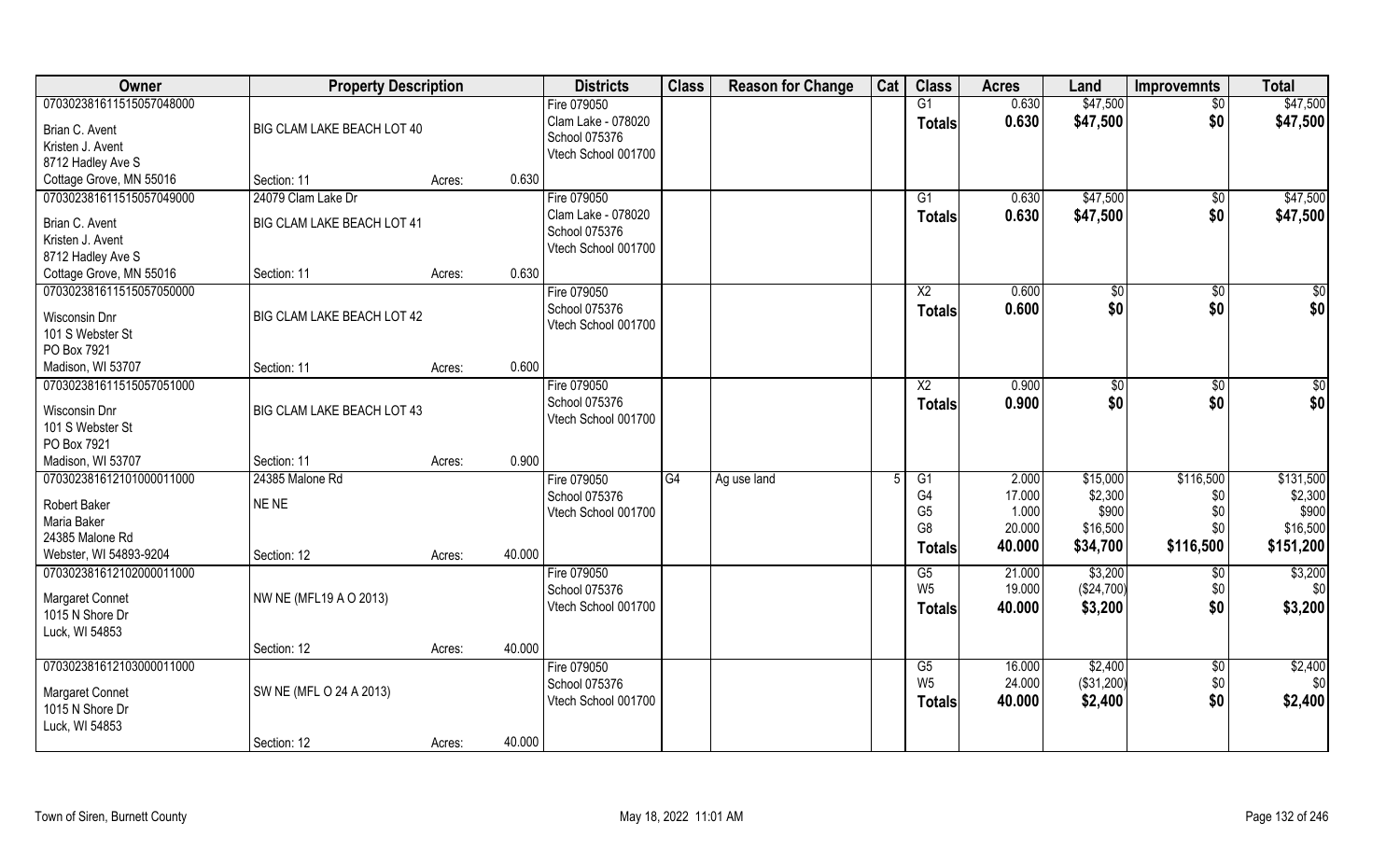| Owner                                                                                                | <b>Property Description</b>                      |                  | <b>Districts</b>                                                          | <b>Class</b> | <b>Reason for Change</b> | Cat | <b>Class</b>                                            | <b>Acres</b>                                 | Land                                                 | <b>Improvemnts</b>                          | <b>Total</b>                                           |
|------------------------------------------------------------------------------------------------------|--------------------------------------------------|------------------|---------------------------------------------------------------------------|--------------|--------------------------|-----|---------------------------------------------------------|----------------------------------------------|------------------------------------------------------|---------------------------------------------|--------------------------------------------------------|
| 070302381611515057048000<br>Brian C. Avent<br>Kristen J. Avent<br>8712 Hadley Ave S                  | BIG CLAM LAKE BEACH LOT 40                       |                  | Fire 079050<br>Clam Lake - 078020<br>School 075376<br>Vtech School 001700 |              |                          |     | G1<br><b>Totals</b>                                     | 0.630<br>0.630                               | \$47,500<br>\$47,500                                 | $\sqrt{$0}$<br>\$0                          | \$47,500<br>\$47,500                                   |
| Cottage Grove, MN 55016                                                                              | Section: 11                                      | 0.630<br>Acres:  |                                                                           |              |                          |     |                                                         |                                              |                                                      |                                             |                                                        |
| 070302381611515057049000<br>Brian C. Avent<br>Kristen J. Avent<br>8712 Hadley Ave S                  | 24079 Clam Lake Dr<br>BIG CLAM LAKE BEACH LOT 41 |                  | Fire 079050<br>Clam Lake - 078020<br>School 075376<br>Vtech School 001700 |              |                          |     | $\overline{G1}$<br><b>Totals</b>                        | 0.630<br>0.630                               | \$47,500<br>\$47,500                                 | \$0<br>\$0                                  | \$47,500<br>\$47,500                                   |
| Cottage Grove, MN 55016                                                                              | Section: 11                                      | 0.630<br>Acres:  |                                                                           |              |                          |     |                                                         |                                              |                                                      |                                             |                                                        |
| 070302381611515057050000<br>Wisconsin Dnr<br>101 S Webster St<br>PO Box 7921                         | BIG CLAM LAKE BEACH LOT 42                       |                  | Fire 079050<br>School 075376<br>Vtech School 001700                       |              |                          |     | X <sub>2</sub><br><b>Totals</b>                         | 0.600<br>0.600                               | \$0<br>\$0                                           | $\sqrt[6]{3}$<br>\$0                        | \$0<br>\$0                                             |
| Madison, WI 53707                                                                                    | Section: 11                                      | 0.600<br>Acres:  |                                                                           |              |                          |     |                                                         |                                              |                                                      |                                             |                                                        |
| 070302381611515057051000<br>Wisconsin Dnr<br>101 S Webster St<br>PO Box 7921                         | BIG CLAM LAKE BEACH LOT 43                       |                  | Fire 079050<br>School 075376<br>Vtech School 001700                       |              |                          |     | $\overline{\text{X2}}$<br><b>Totals</b>                 | 0.900<br>0.900                               | \$0<br>\$0                                           | $\sqrt[6]{3}$<br>\$0                        | \$0<br>\$0                                             |
| Madison, WI 53707                                                                                    | Section: 11                                      | 0.900<br>Acres:  |                                                                           |              |                          |     |                                                         |                                              |                                                      |                                             |                                                        |
| 070302381612101000011000<br>Robert Baker<br>Maria Baker<br>24385 Malone Rd<br>Webster, WI 54893-9204 | 24385 Malone Rd<br>NE NE<br>Section: 12          | 40.000<br>Acres: | Fire 079050<br>School 075376<br>Vtech School 001700                       | G4           | Ag use land              |     | $\overline{G1}$<br>G4<br>G <sub>5</sub><br>G8<br>Totals | 2.000<br>17.000<br>1.000<br>20.000<br>40.000 | \$15,000<br>\$2,300<br>\$900<br>\$16,500<br>\$34,700 | \$116,500<br>\$0<br>\$0<br>\$0<br>\$116,500 | \$131,500<br>\$2,300<br>\$900<br>\$16,500<br>\$151,200 |
| 070302381612102000011000<br>Margaret Connet<br>1015 N Shore Dr<br>Luck, WI 54853                     | NW NE (MFL19 A O 2013)                           |                  | Fire 079050<br>School 075376<br>Vtech School 001700                       |              |                          |     | G5<br>W <sub>5</sub><br><b>Totals</b>                   | 21.000<br>19.000<br>40.000                   | \$3,200<br>(\$24,700)<br>\$3,200                     | \$0<br>\$0<br>\$0                           | \$3,200<br>\$0<br>\$3,200                              |
|                                                                                                      | Section: 12                                      | 40.000<br>Acres: |                                                                           |              |                          |     |                                                         |                                              |                                                      |                                             |                                                        |
| 070302381612103000011000<br><b>Margaret Connet</b><br>1015 N Shore Dr<br>Luck, WI 54853              | SW NE (MFL O 24 A 2013)                          |                  | Fire 079050<br>School 075376<br>Vtech School 001700                       |              |                          |     | G5<br>W <sub>5</sub><br><b>Totals</b>                   | 16.000<br>24.000<br>40.000                   | \$2,400<br>(\$31,200)<br>\$2,400                     | $\sqrt{$0}$<br>\$0<br>\$0                   | \$2,400<br>\$0<br>\$2,400                              |
|                                                                                                      | Section: 12                                      | 40.000<br>Acres: |                                                                           |              |                          |     |                                                         |                                              |                                                      |                                             |                                                        |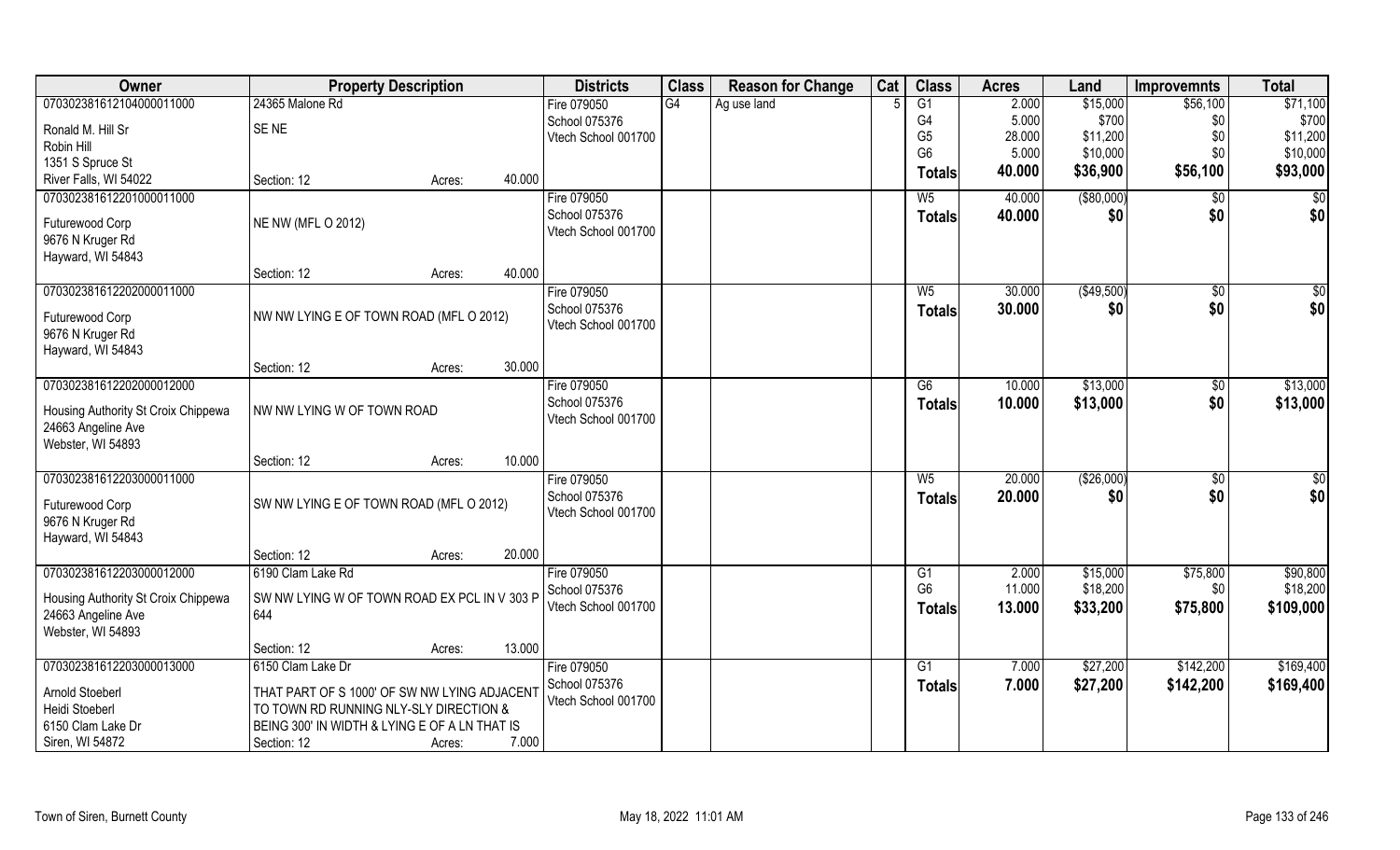| Owner                                 | <b>Property Description</b>                   |        |        | <b>Districts</b>    | <b>Class</b> | <b>Reason for Change</b> | Cat | <b>Class</b>   | <b>Acres</b> | Land        | <b>Improvemnts</b> | <b>Total</b>    |
|---------------------------------------|-----------------------------------------------|--------|--------|---------------------|--------------|--------------------------|-----|----------------|--------------|-------------|--------------------|-----------------|
| 070302381612104000011000              | 24365 Malone Rd                               |        |        | Fire 079050         | G4           | Ag use land              |     | G1             | 2.000        | \$15,000    | \$56,100           | \$71,100        |
| Ronald M. Hill Sr                     | SE <sub>NE</sub>                              |        |        | School 075376       |              |                          |     | G <sub>4</sub> | 5.000        | \$700       | \$0                | \$700           |
| Robin Hill                            |                                               |        |        | Vtech School 001700 |              |                          |     | G <sub>5</sub> | 28.000       | \$11,200    | \$0                | \$11,200        |
| 1351 S Spruce St                      |                                               |        |        |                     |              |                          |     | G <sub>6</sub> | 5.000        | \$10,000    | \$0                | \$10,000        |
| River Falls, WI 54022                 | Section: 12                                   | Acres: | 40.000 |                     |              |                          |     | <b>Totals</b>  | 40.000       | \$36,900    | \$56,100           | \$93,000        |
| 070302381612201000011000              |                                               |        |        | Fire 079050         |              |                          |     | W <sub>5</sub> | 40.000       | ( \$80,000) | $\sqrt{$0}$        | $\overline{50}$ |
|                                       |                                               |        |        | School 075376       |              |                          |     | Totals         | 40.000       | \$0         | \$0                | \$0             |
| Futurewood Corp                       | NE NW (MFL O 2012)                            |        |        | Vtech School 001700 |              |                          |     |                |              |             |                    |                 |
| 9676 N Kruger Rd<br>Hayward, WI 54843 |                                               |        |        |                     |              |                          |     |                |              |             |                    |                 |
|                                       | Section: 12                                   | Acres: | 40.000 |                     |              |                          |     |                |              |             |                    |                 |
| 070302381612202000011000              |                                               |        |        | Fire 079050         |              |                          |     | W <sub>5</sub> | 30.000       | (\$49,500)  | \$0                | \$0             |
|                                       |                                               |        |        | School 075376       |              |                          |     |                | 30.000       | \$0         | \$0                | \$0             |
| Futurewood Corp                       | NW NW LYING E OF TOWN ROAD (MFL O 2012)       |        |        | Vtech School 001700 |              |                          |     | <b>Totals</b>  |              |             |                    |                 |
| 9676 N Kruger Rd                      |                                               |        |        |                     |              |                          |     |                |              |             |                    |                 |
| Hayward, WI 54843                     |                                               |        |        |                     |              |                          |     |                |              |             |                    |                 |
|                                       | Section: 12                                   | Acres: | 30.000 |                     |              |                          |     |                |              |             |                    |                 |
| 070302381612202000012000              |                                               |        |        | Fire 079050         |              |                          |     | G6             | 10.000       | \$13,000    | \$0                | \$13,000        |
| Housing Authority St Croix Chippewa   | NW NW LYING W OF TOWN ROAD                    |        |        | School 075376       |              |                          |     | <b>Totals</b>  | 10.000       | \$13,000    | \$0                | \$13,000        |
| 24663 Angeline Ave                    |                                               |        |        | Vtech School 001700 |              |                          |     |                |              |             |                    |                 |
| Webster, WI 54893                     |                                               |        |        |                     |              |                          |     |                |              |             |                    |                 |
|                                       | Section: 12                                   | Acres: | 10.000 |                     |              |                          |     |                |              |             |                    |                 |
| 070302381612203000011000              |                                               |        |        | Fire 079050         |              |                          |     | $W_5$          | 20.000       | (\$26,000)  | $\overline{50}$    | \$0             |
|                                       |                                               |        |        | School 075376       |              |                          |     | <b>Totals</b>  | 20.000       | \$0         | \$0                | \$0             |
| Futurewood Corp                       | SW NW LYING E OF TOWN ROAD (MFL O 2012)       |        |        | Vtech School 001700 |              |                          |     |                |              |             |                    |                 |
| 9676 N Kruger Rd                      |                                               |        |        |                     |              |                          |     |                |              |             |                    |                 |
| Hayward, WI 54843                     |                                               |        |        |                     |              |                          |     |                |              |             |                    |                 |
|                                       | Section: 12                                   | Acres: | 20.000 |                     |              |                          |     |                |              |             |                    |                 |
| 070302381612203000012000              | 6190 Clam Lake Rd                             |        |        | Fire 079050         |              |                          |     | G1             | 2.000        | \$15,000    | \$75,800           | \$90,800        |
| Housing Authority St Croix Chippewa   | SW NW LYING W OF TOWN ROAD EX PCL IN V 303 P  |        |        | School 075376       |              |                          |     | G <sub>6</sub> | 11.000       | \$18,200    | \$0                | \$18,200        |
| 24663 Angeline Ave                    | 644                                           |        |        | Vtech School 001700 |              |                          |     | <b>Totals</b>  | 13.000       | \$33,200    | \$75,800           | \$109,000       |
| Webster, WI 54893                     |                                               |        |        |                     |              |                          |     |                |              |             |                    |                 |
|                                       | Section: 12                                   | Acres: | 13.000 |                     |              |                          |     |                |              |             |                    |                 |
| 070302381612203000013000              | 6150 Clam Lake Dr                             |        |        | Fire 079050         |              |                          |     | G <sub>1</sub> | 7.000        | \$27,200    | \$142,200          | \$169,400       |
| Arnold Stoeberl                       | THAT PART OF S 1000' OF SW NW LYING ADJACENT  |        |        | School 075376       |              |                          |     | <b>Totals</b>  | 7.000        | \$27,200    | \$142,200          | \$169,400       |
| Heidi Stoeberl                        | TO TOWN RD RUNNING NLY-SLY DIRECTION &        |        |        | Vtech School 001700 |              |                          |     |                |              |             |                    |                 |
| 6150 Clam Lake Dr                     | BEING 300' IN WIDTH & LYING E OF A LN THAT IS |        |        |                     |              |                          |     |                |              |             |                    |                 |
|                                       |                                               |        |        |                     |              |                          |     |                |              |             |                    |                 |
| Siren, WI 54872                       | Section: 12                                   | Acres: | 7.000  |                     |              |                          |     |                |              |             |                    |                 |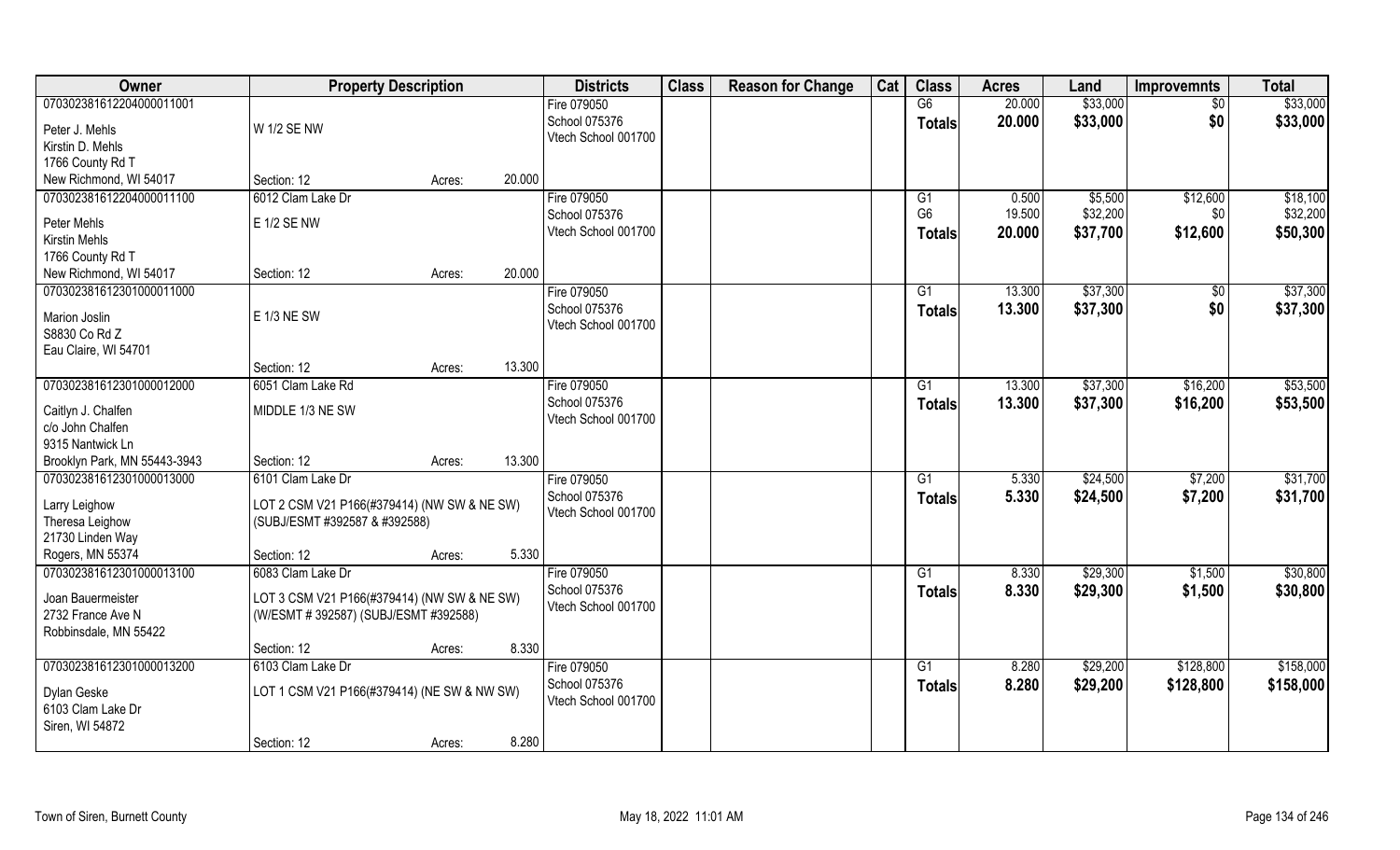| Owner                                  | <b>Property Description</b>                                                         |        |        | <b>Districts</b>    | <b>Class</b> | <b>Reason for Change</b> | Cat | <b>Class</b>   | <b>Acres</b> | Land     | <b>Improvemnts</b> | <b>Total</b> |
|----------------------------------------|-------------------------------------------------------------------------------------|--------|--------|---------------------|--------------|--------------------------|-----|----------------|--------------|----------|--------------------|--------------|
| 070302381612204000011001               |                                                                                     |        |        | Fire 079050         |              |                          |     | G6             | 20.000       | \$33,000 | \$0                | \$33,000     |
| Peter J. Mehls                         | W 1/2 SE NW                                                                         |        |        | School 075376       |              |                          |     | <b>Totals</b>  | 20.000       | \$33,000 | \$0                | \$33,000     |
| Kirstin D. Mehls                       |                                                                                     |        |        | Vtech School 001700 |              |                          |     |                |              |          |                    |              |
| 1766 County Rd T                       |                                                                                     |        |        |                     |              |                          |     |                |              |          |                    |              |
| New Richmond, WI 54017                 | Section: 12                                                                         | Acres: | 20.000 |                     |              |                          |     |                |              |          |                    |              |
| 070302381612204000011100               | 6012 Clam Lake Dr                                                                   |        |        | Fire 079050         |              |                          |     | G1             | 0.500        | \$5,500  | \$12,600           | \$18,100     |
|                                        |                                                                                     |        |        | School 075376       |              |                          |     | G <sub>6</sub> | 19.500       | \$32,200 | \$0                | \$32,200     |
| Peter Mehls<br>Kirstin Mehls           | E 1/2 SE NW                                                                         |        |        | Vtech School 001700 |              |                          |     | <b>Totals</b>  | 20.000       | \$37,700 | \$12,600           | \$50,300     |
| 1766 County Rd T                       |                                                                                     |        |        |                     |              |                          |     |                |              |          |                    |              |
| New Richmond, WI 54017                 | Section: 12                                                                         | Acres: | 20.000 |                     |              |                          |     |                |              |          |                    |              |
| 070302381612301000011000               |                                                                                     |        |        | Fire 079050         |              |                          |     | G1             | 13.300       | \$37,300 | $\sqrt[6]{}$       | \$37,300     |
|                                        |                                                                                     |        |        | School 075376       |              |                          |     | <b>Totals</b>  | 13.300       | \$37,300 | \$0                | \$37,300     |
| Marion Joslin                          | E 1/3 NE SW                                                                         |        |        | Vtech School 001700 |              |                          |     |                |              |          |                    |              |
| S8830 Co Rd Z                          |                                                                                     |        |        |                     |              |                          |     |                |              |          |                    |              |
| Eau Claire, WI 54701                   |                                                                                     |        |        |                     |              |                          |     |                |              |          |                    |              |
|                                        | Section: 12                                                                         | Acres: | 13.300 |                     |              |                          |     |                |              |          |                    |              |
| 070302381612301000012000               | 6051 Clam Lake Rd                                                                   |        |        | Fire 079050         |              |                          |     | G1             | 13.300       | \$37,300 | \$16,200           | \$53,500     |
| Caitlyn J. Chalfen                     | MIDDLE 1/3 NE SW                                                                    |        |        | School 075376       |              |                          |     | <b>Totals</b>  | 13.300       | \$37,300 | \$16,200           | \$53,500     |
| c/o John Chalfen                       |                                                                                     |        |        | Vtech School 001700 |              |                          |     |                |              |          |                    |              |
| 9315 Nantwick Ln                       |                                                                                     |        |        |                     |              |                          |     |                |              |          |                    |              |
| Brooklyn Park, MN 55443-3943           | Section: 12                                                                         | Acres: | 13.300 |                     |              |                          |     |                |              |          |                    |              |
| 070302381612301000013000               | 6101 Clam Lake Dr                                                                   |        |        | Fire 079050         |              |                          |     | G1             | 5.330        | \$24,500 | \$7,200            | \$31,700     |
| Larry Leighow                          | LOT 2 CSM V21 P166(#379414) (NW SW & NE SW)                                         |        |        | School 075376       |              |                          |     | <b>Totals</b>  | 5.330        | \$24,500 | \$7,200            | \$31,700     |
| Theresa Leighow                        | (SUBJ/ESMT #392587 & #392588)                                                       |        |        | Vtech School 001700 |              |                          |     |                |              |          |                    |              |
| 21730 Linden Way                       |                                                                                     |        |        |                     |              |                          |     |                |              |          |                    |              |
| Rogers, MN 55374                       | Section: 12                                                                         | Acres: | 5.330  |                     |              |                          |     |                |              |          |                    |              |
| 070302381612301000013100               | 6083 Clam Lake Dr                                                                   |        |        | Fire 079050         |              |                          |     | G1             | 8.330        | \$29,300 | \$1,500            | \$30,800     |
|                                        |                                                                                     |        |        | School 075376       |              |                          |     | <b>Totals</b>  | 8.330        | \$29,300 | \$1,500            | \$30,800     |
| Joan Bauermeister<br>2732 France Ave N | LOT 3 CSM V21 P166(#379414) (NW SW & NE SW)<br>(W/ESMT #392587) (SUBJ/ESMT #392588) |        |        | Vtech School 001700 |              |                          |     |                |              |          |                    |              |
| Robbinsdale, MN 55422                  |                                                                                     |        |        |                     |              |                          |     |                |              |          |                    |              |
|                                        | Section: 12                                                                         | Acres: | 8.330  |                     |              |                          |     |                |              |          |                    |              |
| 070302381612301000013200               | 6103 Clam Lake Dr                                                                   |        |        | Fire 079050         |              |                          |     | G1             | 8.280        | \$29,200 | \$128,800          | \$158,000    |
|                                        |                                                                                     |        |        | School 075376       |              |                          |     | <b>Totals</b>  | 8.280        | \$29,200 | \$128,800          | \$158,000    |
| Dylan Geske                            | LOT 1 CSM V21 P166(#379414) (NE SW & NW SW)                                         |        |        | Vtech School 001700 |              |                          |     |                |              |          |                    |              |
| 6103 Clam Lake Dr                      |                                                                                     |        |        |                     |              |                          |     |                |              |          |                    |              |
| Siren, WI 54872                        |                                                                                     |        |        |                     |              |                          |     |                |              |          |                    |              |
|                                        | Section: 12                                                                         | Acres: | 8.280  |                     |              |                          |     |                |              |          |                    |              |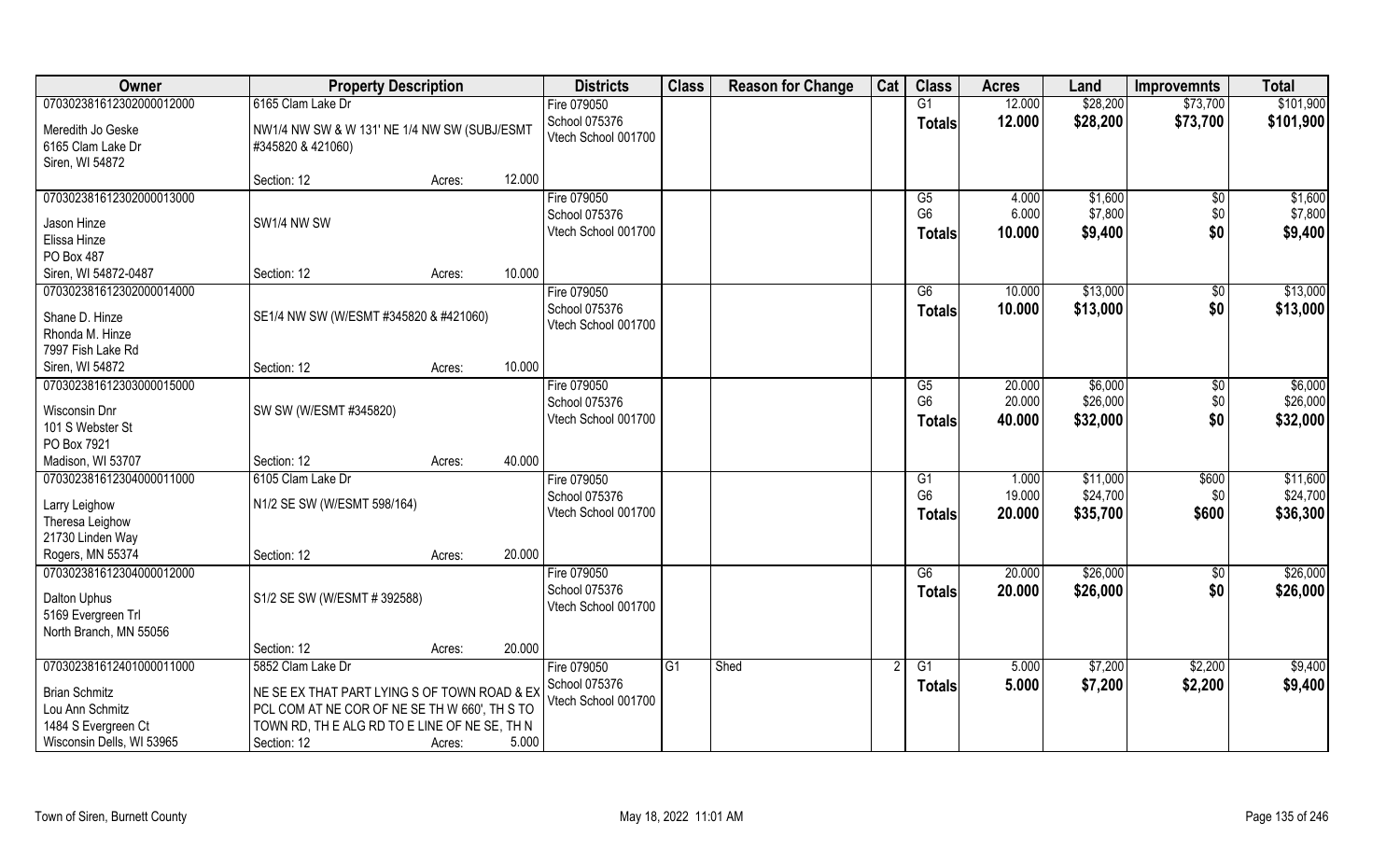| Owner                                        | <b>Property Description</b>                   |                  | <b>Districts</b>             | <b>Class</b> | <b>Reason for Change</b> | Cat | <b>Class</b>    | <b>Acres</b> | Land     | <b>Improvemnts</b> | <b>Total</b> |
|----------------------------------------------|-----------------------------------------------|------------------|------------------------------|--------------|--------------------------|-----|-----------------|--------------|----------|--------------------|--------------|
| 070302381612302000012000                     | 6165 Clam Lake Dr                             |                  | Fire 079050                  |              |                          |     | G1              | 12.000       | \$28,200 | \$73,700           | \$101,900    |
| Meredith Jo Geske                            | NW1/4 NW SW & W 131' NE 1/4 NW SW (SUBJ/ESMT  |                  | School 075376                |              |                          |     | <b>Totals</b>   | 12.000       | \$28,200 | \$73,700           | \$101,900    |
| 6165 Clam Lake Dr                            | #345820 & 421060)                             |                  | Vtech School 001700          |              |                          |     |                 |              |          |                    |              |
| Siren, WI 54872                              |                                               |                  |                              |              |                          |     |                 |              |          |                    |              |
|                                              | Section: 12                                   | 12.000<br>Acres: |                              |              |                          |     |                 |              |          |                    |              |
| 070302381612302000013000                     |                                               |                  | Fire 079050                  |              |                          |     | $\overline{G5}$ | 4.000        | \$1,600  | \$0                | \$1,600      |
| Jason Hinze                                  | SW1/4 NW SW                                   |                  | School 075376                |              |                          |     | G <sub>6</sub>  | 6.000        | \$7,800  | \$0                | \$7,800      |
| Elissa Hinze                                 |                                               |                  | Vtech School 001700          |              |                          |     | Totals          | 10.000       | \$9,400  | \$0                | \$9,400      |
| PO Box 487                                   |                                               |                  |                              |              |                          |     |                 |              |          |                    |              |
| Siren, WI 54872-0487                         | Section: 12                                   | 10.000<br>Acres: |                              |              |                          |     |                 |              |          |                    |              |
| 070302381612302000014000                     |                                               |                  | Fire 079050                  |              |                          |     | G6              | 10.000       | \$13,000 | $\sqrt[6]{3}$      | \$13,000     |
| Shane D. Hinze                               | SE1/4 NW SW (W/ESMT #345820 & #421060)        |                  | School 075376                |              |                          |     | <b>Totals</b>   | 10.000       | \$13,000 | \$0                | \$13,000     |
| Rhonda M. Hinze                              |                                               |                  | Vtech School 001700          |              |                          |     |                 |              |          |                    |              |
| 7997 Fish Lake Rd                            |                                               |                  |                              |              |                          |     |                 |              |          |                    |              |
| Siren, WI 54872                              | Section: 12                                   | 10.000<br>Acres: |                              |              |                          |     |                 |              |          |                    |              |
| 070302381612303000015000                     |                                               |                  | Fire 079050                  |              |                          |     | G5              | 20.000       | \$6,000  | \$0                | \$6,000      |
|                                              |                                               |                  | School 075376                |              |                          |     | G <sub>6</sub>  | 20.000       | \$26,000 | \$0                | \$26,000     |
| Wisconsin Dnr<br>101 S Webster St            | SW SW (W/ESMT #345820)                        |                  | Vtech School 001700          |              |                          |     | <b>Totals</b>   | 40.000       | \$32,000 | \$0                | \$32,000     |
| PO Box 7921                                  |                                               |                  |                              |              |                          |     |                 |              |          |                    |              |
| Madison, WI 53707                            | Section: 12                                   | 40.000<br>Acres: |                              |              |                          |     |                 |              |          |                    |              |
| 070302381612304000011000                     | 6105 Clam Lake Dr                             |                  | Fire 079050                  |              |                          |     | G1              | 1.000        | \$11,000 | \$600              | \$11,600     |
|                                              |                                               |                  | School 075376                |              |                          |     | G <sub>6</sub>  | 19.000       | \$24,700 | \$0                | \$24,700     |
| Larry Leighow                                | N1/2 SE SW (W/ESMT 598/164)                   |                  | Vtech School 001700          |              |                          |     | <b>Totals</b>   | 20.000       | \$35,700 | \$600              | \$36,300     |
| Theresa Leighow                              |                                               |                  |                              |              |                          |     |                 |              |          |                    |              |
| 21730 Linden Way                             |                                               |                  |                              |              |                          |     |                 |              |          |                    |              |
| Rogers, MN 55374<br>070302381612304000012000 | Section: 12                                   | 20.000<br>Acres: |                              |              |                          |     |                 |              | \$26,000 |                    | \$26,000     |
|                                              |                                               |                  | Fire 079050<br>School 075376 |              |                          |     | G6              | 20.000       |          | \$0<br>\$0         |              |
| Dalton Uphus                                 | S1/2 SE SW (W/ESMT # 392588)                  |                  | Vtech School 001700          |              |                          |     | <b>Totals</b>   | 20.000       | \$26,000 |                    | \$26,000     |
| 5169 Evergreen Trl                           |                                               |                  |                              |              |                          |     |                 |              |          |                    |              |
| North Branch, MN 55056                       |                                               |                  |                              |              |                          |     |                 |              |          |                    |              |
|                                              | Section: 12                                   | 20.000<br>Acres: |                              |              |                          |     |                 |              |          |                    |              |
| 070302381612401000011000                     | 5852 Clam Lake Dr                             |                  | Fire 079050                  | G1           | Shed                     |     | G1              | 5.000        | \$7,200  | \$2,200            | \$9,400      |
| <b>Brian Schmitz</b>                         | NE SE EX THAT PART LYING S OF TOWN ROAD & EX  |                  | School 075376                |              |                          |     | <b>Totals</b>   | 5.000        | \$7,200  | \$2,200            | \$9,400      |
| Lou Ann Schmitz                              | PCL COM AT NE COR OF NE SE TH W 660', TH S TO |                  | Vtech School 001700          |              |                          |     |                 |              |          |                    |              |
| 1484 S Evergreen Ct                          | TOWN RD, TH E ALG RD TO E LINE OF NE SE, TH N |                  |                              |              |                          |     |                 |              |          |                    |              |
| Wisconsin Dells, WI 53965                    | Section: 12                                   | 5.000<br>Acres:  |                              |              |                          |     |                 |              |          |                    |              |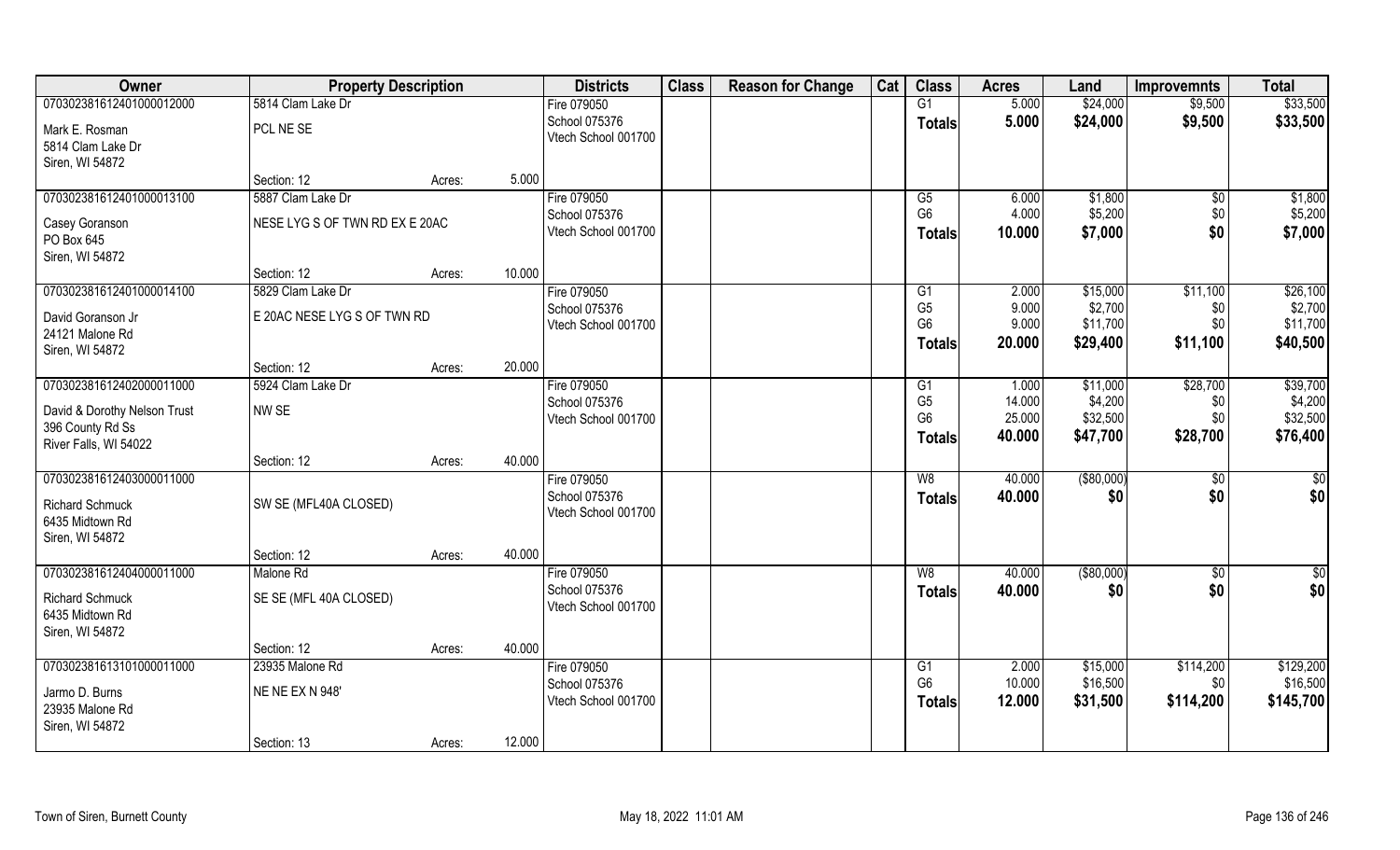| Owner                        | <b>Property Description</b>    |        |        | <b>Districts</b>    | <b>Class</b> | <b>Reason for Change</b> | Cat | <b>Class</b>   | <b>Acres</b> | Land          | <b>Improvemnts</b> | <b>Total</b>  |
|------------------------------|--------------------------------|--------|--------|---------------------|--------------|--------------------------|-----|----------------|--------------|---------------|--------------------|---------------|
| 070302381612401000012000     | 5814 Clam Lake Dr              |        |        | Fire 079050         |              |                          |     | G1             | 5.000        | \$24,000      | \$9,500            | \$33,500      |
| Mark E. Rosman               | PCL NE SE                      |        |        | School 075376       |              |                          |     | <b>Totals</b>  | 5.000        | \$24,000      | \$9,500            | \$33,500      |
| 5814 Clam Lake Dr            |                                |        |        | Vtech School 001700 |              |                          |     |                |              |               |                    |               |
| Siren, WI 54872              |                                |        |        |                     |              |                          |     |                |              |               |                    |               |
|                              | Section: 12                    | Acres: | 5.000  |                     |              |                          |     |                |              |               |                    |               |
| 070302381612401000013100     | 5887 Clam Lake Dr              |        |        | Fire 079050         |              |                          |     | G5             | 6.000        | \$1,800       | $\sqrt{6}$         | \$1,800       |
| Casey Goranson               | NESE LYG S OF TWN RD EX E 20AC |        |        | School 075376       |              |                          |     | G <sub>6</sub> | 4.000        | \$5,200       | \$0                | \$5,200       |
| PO Box 645                   |                                |        |        | Vtech School 001700 |              |                          |     | <b>Totals</b>  | 10.000       | \$7,000       | \$0                | \$7,000       |
| Siren, WI 54872              |                                |        |        |                     |              |                          |     |                |              |               |                    |               |
|                              | Section: 12                    | Acres: | 10.000 |                     |              |                          |     |                |              |               |                    |               |
| 070302381612401000014100     | 5829 Clam Lake Dr              |        |        | Fire 079050         |              |                          |     | G1             | 2.000        | \$15,000      | \$11,100           | \$26,100      |
| David Goranson Jr            | E 20AC NESE LYG S OF TWN RD    |        |        | School 075376       |              |                          |     | G <sub>5</sub> | 9.000        | \$2,700       | \$0                | \$2,700       |
| 24121 Malone Rd              |                                |        |        | Vtech School 001700 |              |                          |     | G <sub>6</sub> | 9.000        | \$11,700      | \$0                | \$11,700      |
| Siren, WI 54872              |                                |        |        |                     |              |                          |     | Totals         | 20.000       | \$29,400      | \$11,100           | \$40,500      |
|                              | Section: 12                    | Acres: | 20.000 |                     |              |                          |     |                |              |               |                    |               |
| 070302381612402000011000     | 5924 Clam Lake Dr              |        |        | Fire 079050         |              |                          |     | G1             | 1.000        | \$11,000      | \$28,700           | \$39,700      |
| David & Dorothy Nelson Trust | NW SE                          |        |        | School 075376       |              |                          |     | G <sub>5</sub> | 14.000       | \$4,200       | \$0                | \$4,200       |
| 396 County Rd Ss             |                                |        |        | Vtech School 001700 |              |                          |     | G <sub>6</sub> | 25.000       | \$32,500      | \$0                | \$32,500      |
| River Falls, WI 54022        |                                |        |        |                     |              |                          |     | <b>Totals</b>  | 40.000       | \$47,700      | \$28,700           | \$76,400      |
|                              | Section: 12                    | Acres: | 40.000 |                     |              |                          |     |                |              |               |                    |               |
| 070302381612403000011000     |                                |        |        | Fire 079050         |              |                          |     | W8             | 40.000       | $($ \$80,000) | \$0                | \$0           |
| <b>Richard Schmuck</b>       | SW SE (MFL40A CLOSED)          |        |        | School 075376       |              |                          |     | <b>Totals</b>  | 40.000       | \$0           | \$0                | \$0           |
| 6435 Midtown Rd              |                                |        |        | Vtech School 001700 |              |                          |     |                |              |               |                    |               |
| Siren, WI 54872              |                                |        |        |                     |              |                          |     |                |              |               |                    |               |
|                              | Section: 12                    | Acres: | 40.000 |                     |              |                          |     |                |              |               |                    |               |
| 070302381612404000011000     | Malone Rd                      |        |        | Fire 079050         |              |                          |     | W8             | 40.000       | ( \$80,000)   | \$0                | $\frac{6}{3}$ |
| <b>Richard Schmuck</b>       | SE SE (MFL 40A CLOSED)         |        |        | School 075376       |              |                          |     | <b>Totals</b>  | 40.000       | \$0           | \$0                | \$0           |
| 6435 Midtown Rd              |                                |        |        | Vtech School 001700 |              |                          |     |                |              |               |                    |               |
| Siren, WI 54872              |                                |        |        |                     |              |                          |     |                |              |               |                    |               |
|                              | Section: 12                    | Acres: | 40.000 |                     |              |                          |     |                |              |               |                    |               |
| 070302381613101000011000     | 23935 Malone Rd                |        |        | Fire 079050         |              |                          |     | G1             | 2.000        | \$15,000      | \$114,200          | \$129,200     |
| Jarmo D. Burns               | NE NE EX N 948'                |        |        | School 075376       |              |                          |     | G <sub>6</sub> | 10.000       | \$16,500      | \$0                | \$16,500      |
| 23935 Malone Rd              |                                |        |        | Vtech School 001700 |              |                          |     | <b>Totals</b>  | 12.000       | \$31,500      | \$114,200          | \$145,700     |
| Siren, WI 54872              |                                |        |        |                     |              |                          |     |                |              |               |                    |               |
|                              | Section: 13                    | Acres: | 12.000 |                     |              |                          |     |                |              |               |                    |               |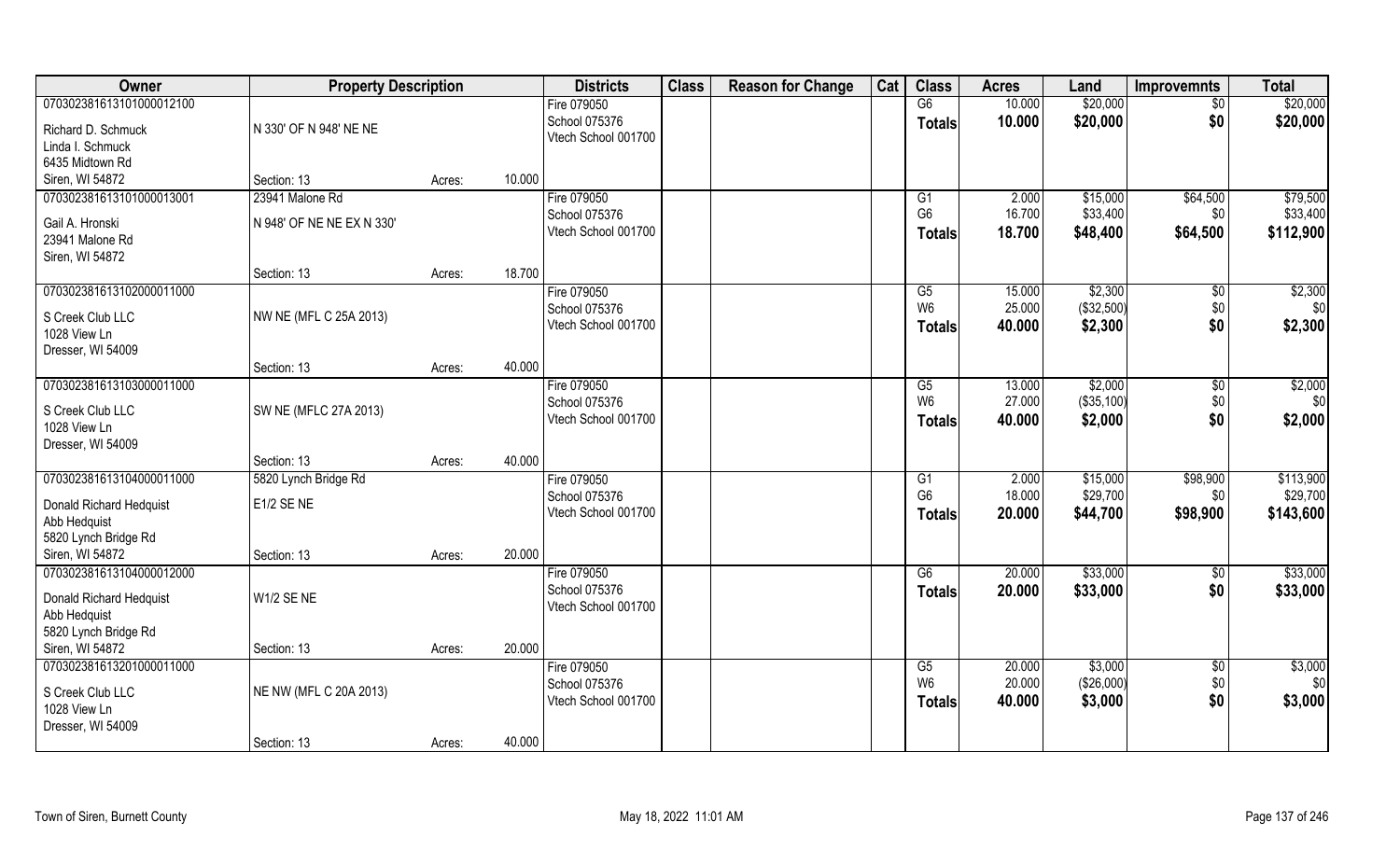| Owner                                   | <b>Property Description</b> |        |        | <b>Districts</b>    | <b>Class</b> | <b>Reason for Change</b> | Cat | <b>Class</b>   | <b>Acres</b> | Land       | <b>Improvemnts</b> | <b>Total</b> |
|-----------------------------------------|-----------------------------|--------|--------|---------------------|--------------|--------------------------|-----|----------------|--------------|------------|--------------------|--------------|
| 070302381613101000012100                |                             |        |        | Fire 079050         |              |                          |     | G6             | 10.000       | \$20,000   | $\sqrt{6}$         | \$20,000     |
| Richard D. Schmuck                      | N 330' OF N 948' NE NE      |        |        | School 075376       |              |                          |     | <b>Totals</b>  | 10.000       | \$20,000   | \$0                | \$20,000     |
| Linda I. Schmuck                        |                             |        |        | Vtech School 001700 |              |                          |     |                |              |            |                    |              |
| 6435 Midtown Rd                         |                             |        |        |                     |              |                          |     |                |              |            |                    |              |
| Siren, WI 54872                         | Section: 13                 | Acres: | 10.000 |                     |              |                          |     |                |              |            |                    |              |
| 070302381613101000013001                | 23941 Malone Rd             |        |        | Fire 079050         |              |                          |     | G1             | 2.000        | \$15,000   | \$64,500           | \$79,500     |
| Gail A. Hronski                         | N 948' OF NE NE EX N 330'   |        |        | School 075376       |              |                          |     | G <sub>6</sub> | 16.700       | \$33,400   | \$0                | \$33,400     |
| 23941 Malone Rd                         |                             |        |        | Vtech School 001700 |              |                          |     | <b>Totals</b>  | 18.700       | \$48,400   | \$64,500           | \$112,900    |
| Siren, WI 54872                         |                             |        |        |                     |              |                          |     |                |              |            |                    |              |
|                                         | Section: 13                 | Acres: | 18.700 |                     |              |                          |     |                |              |            |                    |              |
| 070302381613102000011000                |                             |        |        | Fire 079050         |              |                          |     | G5             | 15.000       | \$2,300    | $\sqrt[6]{30}$     | \$2,300      |
| S Creek Club LLC                        | NW NE (MFL C 25A 2013)      |        |        | School 075376       |              |                          |     | W <sub>6</sub> | 25.000       | (\$32,500) | \$0                | \$0          |
| 1028 View Ln                            |                             |        |        | Vtech School 001700 |              |                          |     | <b>Totals</b>  | 40.000       | \$2,300    | \$0                | \$2,300      |
| Dresser, WI 54009                       |                             |        |        |                     |              |                          |     |                |              |            |                    |              |
|                                         | Section: 13                 | Acres: | 40.000 |                     |              |                          |     |                |              |            |                    |              |
| 070302381613103000011000                |                             |        |        | Fire 079050         |              |                          |     | G5             | 13.000       | \$2,000    | $\sqrt[6]{3}$      | \$2,000      |
| S Creek Club LLC                        | SW NE (MFLC 27A 2013)       |        |        | School 075376       |              |                          |     | W <sub>6</sub> | 27.000       | (\$35,100) | \$0                | \$0          |
| 1028 View Ln                            |                             |        |        | Vtech School 001700 |              |                          |     | <b>Totals</b>  | 40.000       | \$2,000    | \$0                | \$2,000      |
| Dresser, WI 54009                       |                             |        |        |                     |              |                          |     |                |              |            |                    |              |
|                                         | Section: 13                 | Acres: | 40.000 |                     |              |                          |     |                |              |            |                    |              |
| 070302381613104000011000                | 5820 Lynch Bridge Rd        |        |        | Fire 079050         |              |                          |     | G1             | 2.000        | \$15,000   | \$98,900           | \$113,900    |
|                                         | E1/2 SE NE                  |        |        | School 075376       |              |                          |     | G <sub>6</sub> | 18.000       | \$29,700   | \$0                | \$29,700     |
| Donald Richard Hedquist<br>Abb Hedquist |                             |        |        | Vtech School 001700 |              |                          |     | Totals         | 20.000       | \$44,700   | \$98,900           | \$143,600    |
| 5820 Lynch Bridge Rd                    |                             |        |        |                     |              |                          |     |                |              |            |                    |              |
| Siren, WI 54872                         | Section: 13                 | Acres: | 20.000 |                     |              |                          |     |                |              |            |                    |              |
| 070302381613104000012000                |                             |        |        | Fire 079050         |              |                          |     | G6             | 20.000       | \$33,000   | $\sqrt{$0}$        | \$33,000     |
|                                         |                             |        |        | School 075376       |              |                          |     | <b>Totals</b>  | 20.000       | \$33,000   | \$0                | \$33,000     |
| Donald Richard Hedquist<br>Abb Hedquist | <b>W1/2 SE NE</b>           |        |        | Vtech School 001700 |              |                          |     |                |              |            |                    |              |
| 5820 Lynch Bridge Rd                    |                             |        |        |                     |              |                          |     |                |              |            |                    |              |
| Siren, WI 54872                         | Section: 13                 | Acres: | 20.000 |                     |              |                          |     |                |              |            |                    |              |
| 070302381613201000011000                |                             |        |        | Fire 079050         |              |                          |     | G5             | 20.000       | \$3,000    | $\sqrt{$0}$        | \$3,000      |
|                                         |                             |        |        | School 075376       |              |                          |     | W <sub>6</sub> | 20.000       | (\$26,000) | \$0                | \$0          |
| S Creek Club LLC<br>1028 View Ln        | NE NW (MFL C 20A 2013)      |        |        | Vtech School 001700 |              |                          |     | <b>Totals</b>  | 40.000       | \$3,000    | \$0                | \$3,000      |
| Dresser, WI 54009                       |                             |        |        |                     |              |                          |     |                |              |            |                    |              |
|                                         | Section: 13                 | Acres: | 40.000 |                     |              |                          |     |                |              |            |                    |              |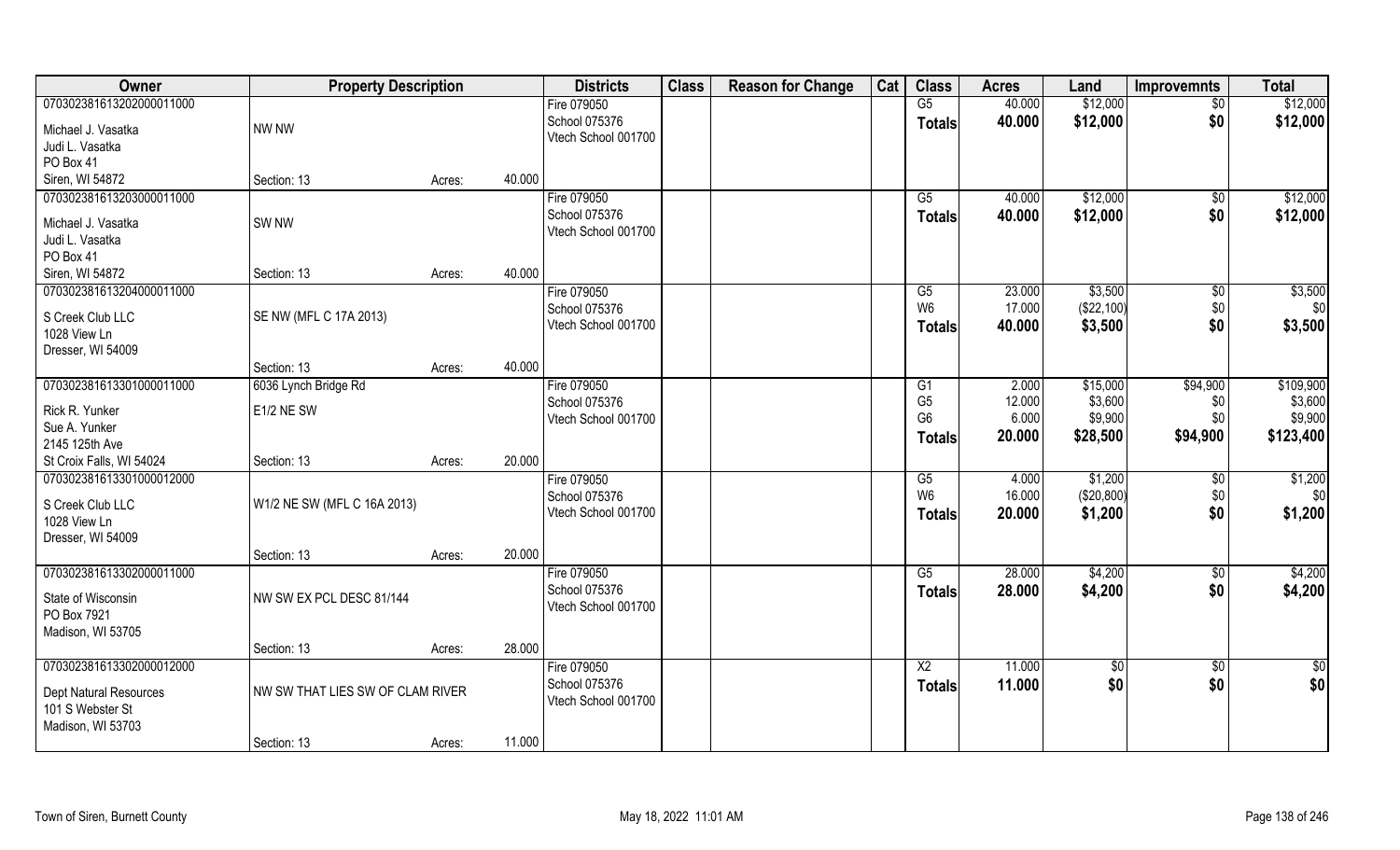| Owner                         | <b>Property Description</b>      |        |        | <b>Districts</b>    | <b>Class</b> | <b>Reason for Change</b> | Cat | <b>Class</b>                             | <b>Acres</b> | Land       | <b>Improvemnts</b> | <b>Total</b>    |
|-------------------------------|----------------------------------|--------|--------|---------------------|--------------|--------------------------|-----|------------------------------------------|--------------|------------|--------------------|-----------------|
| 070302381613202000011000      |                                  |        |        | Fire 079050         |              |                          |     | G5                                       | 40.000       | \$12,000   | $\sqrt{$0}$        | \$12,000        |
| Michael J. Vasatka            | NW NW                            |        |        | School 075376       |              |                          |     | <b>Totals</b>                            | 40.000       | \$12,000   | \$0                | \$12,000        |
| Judi L. Vasatka               |                                  |        |        | Vtech School 001700 |              |                          |     |                                          |              |            |                    |                 |
| PO Box 41                     |                                  |        |        |                     |              |                          |     |                                          |              |            |                    |                 |
| Siren, WI 54872               | Section: 13                      | Acres: | 40.000 |                     |              |                          |     |                                          |              |            |                    |                 |
| 070302381613203000011000      |                                  |        |        | Fire 079050         |              |                          |     | G5                                       | 40.000       | \$12,000   | $\sqrt[6]{}$       | \$12,000        |
|                               |                                  |        |        | School 075376       |              |                          |     | Totals                                   | 40.000       | \$12,000   | \$0                | \$12,000        |
| Michael J. Vasatka            | SW <sub>NW</sub>                 |        |        | Vtech School 001700 |              |                          |     |                                          |              |            |                    |                 |
| Judi L. Vasatka               |                                  |        |        |                     |              |                          |     |                                          |              |            |                    |                 |
| PO Box 41                     |                                  |        |        |                     |              |                          |     |                                          |              |            |                    |                 |
| Siren, WI 54872               | Section: 13                      | Acres: | 40.000 |                     |              |                          |     |                                          |              |            |                    |                 |
| 070302381613204000011000      |                                  |        |        | Fire 079050         |              |                          |     | G5                                       | 23.000       | \$3,500    | $\sqrt[6]{3}$      | \$3,500         |
| S Creek Club LLC              | SE NW (MFL C 17A 2013)           |        |        | School 075376       |              |                          |     | W <sub>6</sub>                           | 17.000       | (\$22,100) | \$0                | \$0             |
| 1028 View Ln                  |                                  |        |        | Vtech School 001700 |              |                          |     | <b>Totals</b>                            | 40.000       | \$3,500    | \$0                | \$3,500         |
| Dresser, WI 54009             |                                  |        |        |                     |              |                          |     |                                          |              |            |                    |                 |
|                               | Section: 13                      | Acres: | 40.000 |                     |              |                          |     |                                          |              |            |                    |                 |
| 070302381613301000011000      | 6036 Lynch Bridge Rd             |        |        | Fire 079050         |              |                          |     | G1                                       | 2.000        | \$15,000   | \$94,900           | \$109,900       |
|                               |                                  |        |        | School 075376       |              |                          |     | G <sub>5</sub>                           | 12.000       | \$3,600    | \$0                | \$3,600         |
| Rick R. Yunker                | E1/2 NE SW                       |        |        | Vtech School 001700 |              |                          |     | G <sub>6</sub>                           | 6.000        | \$9,900    | \$0                | \$9,900         |
| Sue A. Yunker                 |                                  |        |        |                     |              |                          |     | <b>Totals</b>                            | 20.000       | \$28,500   | \$94,900           | \$123,400       |
| 2145 125th Ave                |                                  |        |        |                     |              |                          |     |                                          |              |            |                    |                 |
| St Croix Falls, WI 54024      | Section: 13                      | Acres: | 20.000 |                     |              |                          |     |                                          |              |            |                    |                 |
| 070302381613301000012000      |                                  |        |        | Fire 079050         |              |                          |     | $\overline{\text{G5}}$<br>W <sub>6</sub> | 4.000        | \$1,200    | $\sqrt[6]{30}$     | \$1,200         |
| S Creek Club LLC              | W1/2 NE SW (MFL C 16A 2013)      |        |        | School 075376       |              |                          |     |                                          | 16.000       | (\$20,800) | \$0                | \$0             |
| 1028 View Ln                  |                                  |        |        | Vtech School 001700 |              |                          |     | Totals                                   | 20.000       | \$1,200    | \$0                | \$1,200         |
| Dresser, WI 54009             |                                  |        |        |                     |              |                          |     |                                          |              |            |                    |                 |
|                               | Section: 13                      | Acres: | 20.000 |                     |              |                          |     |                                          |              |            |                    |                 |
| 070302381613302000011000      |                                  |        |        | Fire 079050         |              |                          |     | G5                                       | 28.000       | \$4,200    | $\sqrt{$0}$        | \$4,200         |
| State of Wisconsin            | NW SW EX PCL DESC 81/144         |        |        | School 075376       |              |                          |     | <b>Totals</b>                            | 28.000       | \$4,200    | \$0                | \$4,200         |
| PO Box 7921                   |                                  |        |        | Vtech School 001700 |              |                          |     |                                          |              |            |                    |                 |
| Madison, WI 53705             |                                  |        |        |                     |              |                          |     |                                          |              |            |                    |                 |
|                               | Section: 13                      | Acres: | 28.000 |                     |              |                          |     |                                          |              |            |                    |                 |
| 070302381613302000012000      |                                  |        |        | Fire 079050         |              |                          |     | $\overline{X2}$                          | 11.000       | \$0        | $\sqrt{$0}$        | $\overline{50}$ |
|                               |                                  |        |        | School 075376       |              |                          |     |                                          | 11.000       | \$0        | \$0                |                 |
| <b>Dept Natural Resources</b> | NW SW THAT LIES SW OF CLAM RIVER |        |        | Vtech School 001700 |              |                          |     | Totals                                   |              |            |                    | \$0             |
| 101 S Webster St              |                                  |        |        |                     |              |                          |     |                                          |              |            |                    |                 |
| Madison, WI 53703             |                                  |        |        |                     |              |                          |     |                                          |              |            |                    |                 |
|                               | Section: 13                      | Acres: | 11.000 |                     |              |                          |     |                                          |              |            |                    |                 |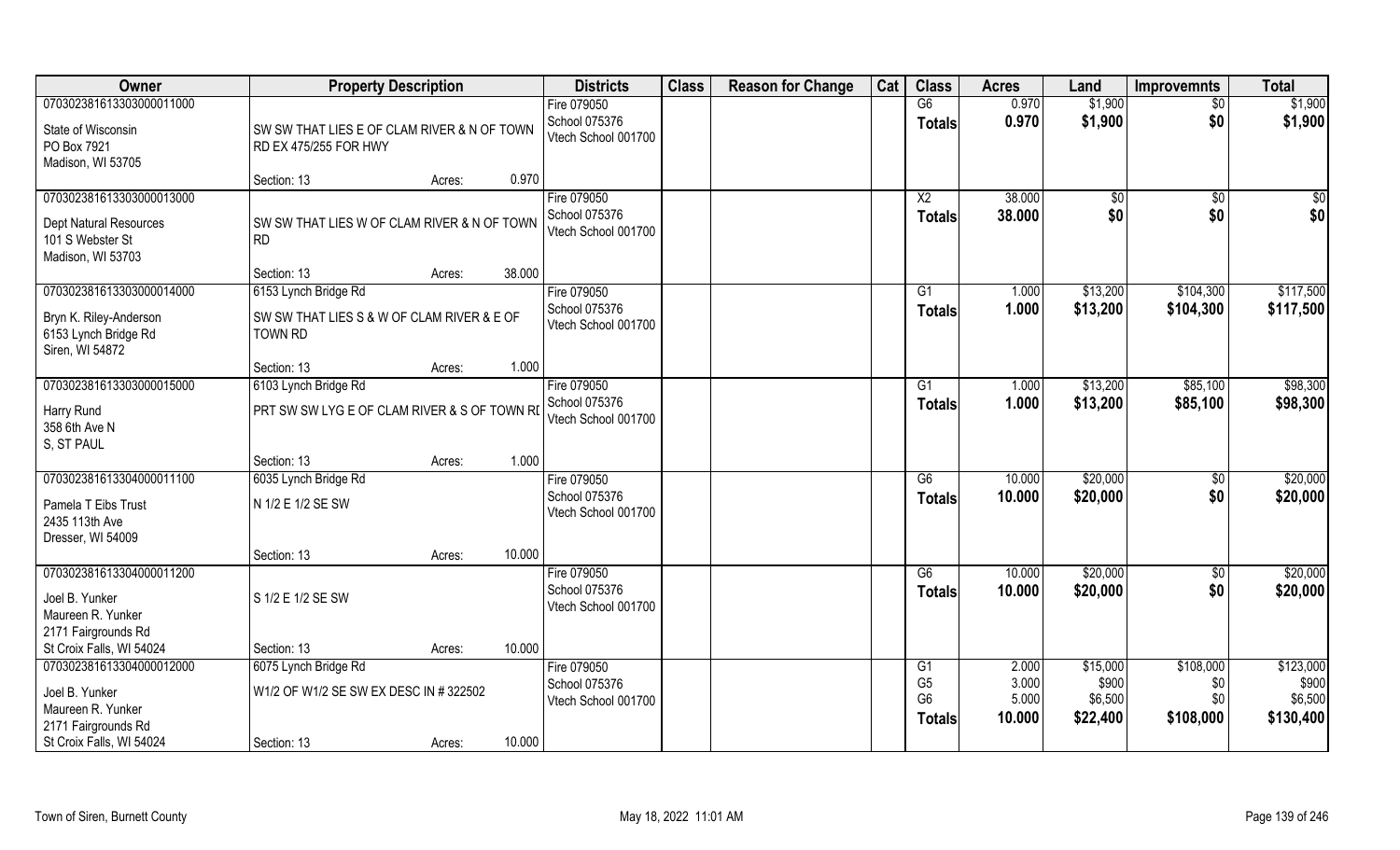| Owner                                                                                                              | <b>Property Description</b>                                                            |        | <b>Districts</b>                                    | <b>Class</b> | <b>Reason for Change</b> | Cat | <b>Class</b>                                            | <b>Acres</b>                      | Land                                     | <b>Improvemnts</b>                   | <b>Total</b>                               |
|--------------------------------------------------------------------------------------------------------------------|----------------------------------------------------------------------------------------|--------|-----------------------------------------------------|--------------|--------------------------|-----|---------------------------------------------------------|-----------------------------------|------------------------------------------|--------------------------------------|--------------------------------------------|
| 070302381613303000011000<br>State of Wisconsin<br>PO Box 7921<br>Madison, WI 53705                                 | SW SW THAT LIES E OF CLAM RIVER & N OF TOWN<br>RD EX 475/255 FOR HWY                   |        | Fire 079050<br>School 075376<br>Vtech School 001700 |              |                          |     | G6<br><b>Totals</b>                                     | 0.970<br>0.970                    | \$1,900<br>\$1,900                       | $\sqrt{6}$<br>\$0                    | \$1,900<br>\$1,900                         |
|                                                                                                                    | Section: 13<br>Acres:                                                                  | 0.970  |                                                     |              |                          |     |                                                         |                                   |                                          |                                      |                                            |
| 070302381613303000013000<br>Dept Natural Resources<br>101 S Webster St<br>Madison, WI 53703                        | SW SW THAT LIES W OF CLAM RIVER & N OF TOWN<br><b>RD</b>                               |        | Fire 079050<br>School 075376<br>Vtech School 001700 |              |                          |     | $\overline{X2}$<br>Totals                               | 38.000<br>38.000                  | $\sqrt{$0}$<br>\$0                       | \$0<br>\$0                           | \$0<br>\$0                                 |
|                                                                                                                    | Section: 13<br>Acres:                                                                  | 38.000 |                                                     |              |                          |     |                                                         |                                   |                                          |                                      |                                            |
| 070302381613303000014000<br>Bryn K. Riley-Anderson<br>6153 Lynch Bridge Rd<br>Siren, WI 54872                      | 6153 Lynch Bridge Rd<br>SW SW THAT LIES S & W OF CLAM RIVER & E OF<br><b>TOWN RD</b>   |        | Fire 079050<br>School 075376<br>Vtech School 001700 |              |                          |     | G1<br><b>Totals</b>                                     | 1.000<br>1.000                    | \$13,200<br>\$13,200                     | \$104,300<br>\$104,300               | \$117,500<br>\$117,500                     |
|                                                                                                                    | Section: 13<br>Acres:                                                                  | 1.000  |                                                     |              |                          |     |                                                         |                                   |                                          |                                      |                                            |
| 070302381613303000015000<br>Harry Rund<br>358 6th Ave N<br>S, ST PAUL                                              | 6103 Lynch Bridge Rd<br>PRT SW SW LYG E OF CLAM RIVER & S OF TOWN RD                   |        | Fire 079050<br>School 075376<br>Vtech School 001700 |              |                          |     | G1<br><b>Totals</b>                                     | 1.000<br>1.000                    | \$13,200<br>\$13,200                     | \$85,100<br>\$85,100                 | \$98,300<br>\$98,300                       |
|                                                                                                                    | Section: 13<br>Acres:                                                                  | 1.000  |                                                     |              |                          |     |                                                         |                                   |                                          |                                      |                                            |
| 070302381613304000011100<br>Pamela T Eibs Trust<br>2435 113th Ave<br>Dresser, WI 54009                             | 6035 Lynch Bridge Rd<br>N 1/2 E 1/2 SE SW                                              |        | Fire 079050<br>School 075376<br>Vtech School 001700 |              |                          |     | $\overline{G6}$<br><b>Totals</b>                        | 10.000<br>10.000                  | \$20,000<br>\$20,000                     | $\overline{50}$<br>\$0               | \$20,000<br>\$20,000                       |
| 070302381613304000011200                                                                                           | Section: 13<br>Acres:                                                                  | 10.000 | Fire 079050                                         |              |                          |     | G6                                                      | 10.000                            | \$20,000                                 | \$0                                  | \$20,000                                   |
| Joel B. Yunker<br>Maureen R. Yunker<br>2171 Fairgrounds Rd                                                         | S 1/2 E 1/2 SE SW                                                                      |        | School 075376<br>Vtech School 001700                |              |                          |     | <b>Totals</b>                                           | 10.000                            | \$20,000                                 | \$0                                  | \$20,000                                   |
| St Croix Falls, WI 54024                                                                                           | Section: 13<br>Acres:                                                                  | 10.000 |                                                     |              |                          |     |                                                         |                                   |                                          |                                      |                                            |
| 070302381613304000012000<br>Joel B. Yunker<br>Maureen R. Yunker<br>2171 Fairgrounds Rd<br>St Croix Falls, WI 54024 | 6075 Lynch Bridge Rd<br>W1/2 OF W1/2 SE SW EX DESC IN #322502<br>Section: 13<br>Acres: | 10.000 | Fire 079050<br>School 075376<br>Vtech School 001700 |              |                          |     | G1<br>G <sub>5</sub><br>G <sub>6</sub><br><b>Totals</b> | 2.000<br>3.000<br>5.000<br>10.000 | \$15,000<br>\$900<br>\$6,500<br>\$22,400 | \$108,000<br>\$0<br>\$0<br>\$108,000 | \$123,000<br>\$900<br>\$6,500<br>\$130,400 |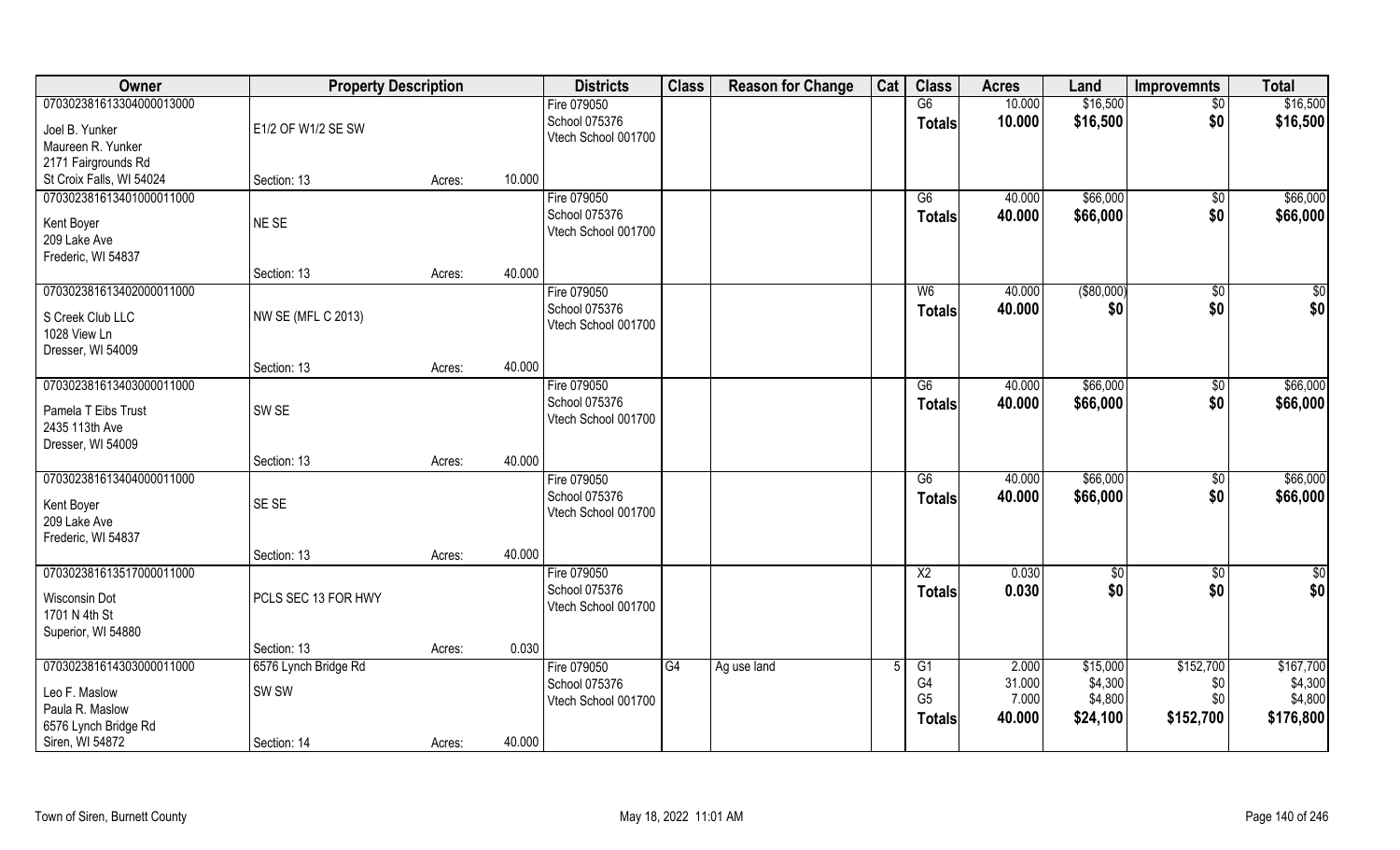| Owner                    | <b>Property Description</b> |        |        | <b>Districts</b>    | <b>Class</b> | <b>Reason for Change</b> | Cat | <b>Class</b>         | <b>Acres</b>    | Land        | <b>Improvemnts</b> | <b>Total</b>         |
|--------------------------|-----------------------------|--------|--------|---------------------|--------------|--------------------------|-----|----------------------|-----------------|-------------|--------------------|----------------------|
| 070302381613304000013000 |                             |        |        | Fire 079050         |              |                          |     | G6                   | 10.000          | \$16,500    | $\sqrt{$0}$        | \$16,500             |
| Joel B. Yunker           | E1/2 OF W1/2 SE SW          |        |        | School 075376       |              |                          |     | <b>Totals</b>        | 10.000          | \$16,500    | \$0                | \$16,500             |
| Maureen R. Yunker        |                             |        |        | Vtech School 001700 |              |                          |     |                      |                 |             |                    |                      |
| 2171 Fairgrounds Rd      |                             |        |        |                     |              |                          |     |                      |                 |             |                    |                      |
| St Croix Falls, WI 54024 | Section: 13                 | Acres: | 10.000 |                     |              |                          |     |                      |                 |             |                    |                      |
| 070302381613401000011000 |                             |        |        | Fire 079050         |              |                          |     | G6                   | 40.000          | \$66,000    | $\sqrt[6]{}$       | \$66,000             |
| Kent Boyer               | NE SE                       |        |        | School 075376       |              |                          |     | Totals               | 40.000          | \$66,000    | \$0                | \$66,000             |
| 209 Lake Ave             |                             |        |        | Vtech School 001700 |              |                          |     |                      |                 |             |                    |                      |
| Frederic, WI 54837       |                             |        |        |                     |              |                          |     |                      |                 |             |                    |                      |
|                          | Section: 13                 | Acres: | 40.000 |                     |              |                          |     |                      |                 |             |                    |                      |
| 070302381613402000011000 |                             |        |        | Fire 079050         |              |                          |     | W <sub>6</sub>       | 40.000          | ( \$80,000) | $\overline{50}$    | $\sqrt{50}$          |
| S Creek Club LLC         | NW SE (MFL C 2013)          |        |        | School 075376       |              |                          |     | <b>Totals</b>        | 40.000          | \$0         | \$0                | \$0                  |
| 1028 View Ln             |                             |        |        | Vtech School 001700 |              |                          |     |                      |                 |             |                    |                      |
| Dresser, WI 54009        |                             |        |        |                     |              |                          |     |                      |                 |             |                    |                      |
|                          | Section: 13                 | Acres: | 40.000 |                     |              |                          |     |                      |                 |             |                    |                      |
| 070302381613403000011000 |                             |        |        | Fire 079050         |              |                          |     | G6                   | 40.000          | \$66,000    | $\sqrt[6]{3}$      | \$66,000             |
| Pamela T Eibs Trust      | SW <sub>SE</sub>            |        |        | School 075376       |              |                          |     | <b>Totals</b>        | 40.000          | \$66,000    | \$0                | \$66,000             |
| 2435 113th Ave           |                             |        |        | Vtech School 001700 |              |                          |     |                      |                 |             |                    |                      |
| Dresser, WI 54009        |                             |        |        |                     |              |                          |     |                      |                 |             |                    |                      |
|                          | Section: 13                 | Acres: | 40.000 |                     |              |                          |     |                      |                 |             |                    |                      |
| 070302381613404000011000 |                             |        |        | Fire 079050         |              |                          |     | $\overline{G6}$      | 40.000          | \$66,000    | $\overline{50}$    | \$66,000             |
| Kent Boyer               | SE SE                       |        |        | School 075376       |              |                          |     | <b>Totals</b>        | 40.000          | \$66,000    | \$0                | \$66,000             |
| 209 Lake Ave             |                             |        |        | Vtech School 001700 |              |                          |     |                      |                 |             |                    |                      |
| Frederic, WI 54837       |                             |        |        |                     |              |                          |     |                      |                 |             |                    |                      |
|                          | Section: 13                 | Acres: | 40.000 |                     |              |                          |     |                      |                 |             |                    |                      |
| 070302381613517000011000 |                             |        |        | Fire 079050         |              |                          |     | $\overline{X2}$      | 0.030           | \$0         | $\sqrt{$0}$        | \$0                  |
| Wisconsin Dot            | PCLS SEC 13 FOR HWY         |        |        | School 075376       |              |                          |     | <b>Totals</b>        | 0.030           | \$0         | \$0                | \$0                  |
| 1701 N 4th St            |                             |        |        | Vtech School 001700 |              |                          |     |                      |                 |             |                    |                      |
| Superior, WI 54880       |                             |        |        |                     |              |                          |     |                      |                 |             |                    |                      |
|                          | Section: 13                 | Acres: | 0.030  |                     |              |                          |     |                      |                 |             |                    |                      |
| 070302381614303000011000 | 6576 Lynch Bridge Rd        |        |        | Fire 079050         | G4           | Ag use land              |     | G1                   | 2.000           | \$15,000    | \$152,700          | \$167,700            |
| Leo F. Maslow            | SW <sub>SW</sub>            |        |        | School 075376       |              |                          |     | G4<br>G <sub>5</sub> | 31.000<br>7.000 | \$4,300     | \$0                | \$4,300              |
| Paula R. Maslow          |                             |        |        | Vtech School 001700 |              |                          |     |                      | 40.000          | \$4,800     | \$0<br>\$152,700   | \$4,800<br>\$176,800 |
| 6576 Lynch Bridge Rd     |                             |        |        |                     |              |                          |     | <b>Totals</b>        |                 | \$24,100    |                    |                      |
| Siren, WI 54872          | Section: 14                 | Acres: | 40.000 |                     |              |                          |     |                      |                 |             |                    |                      |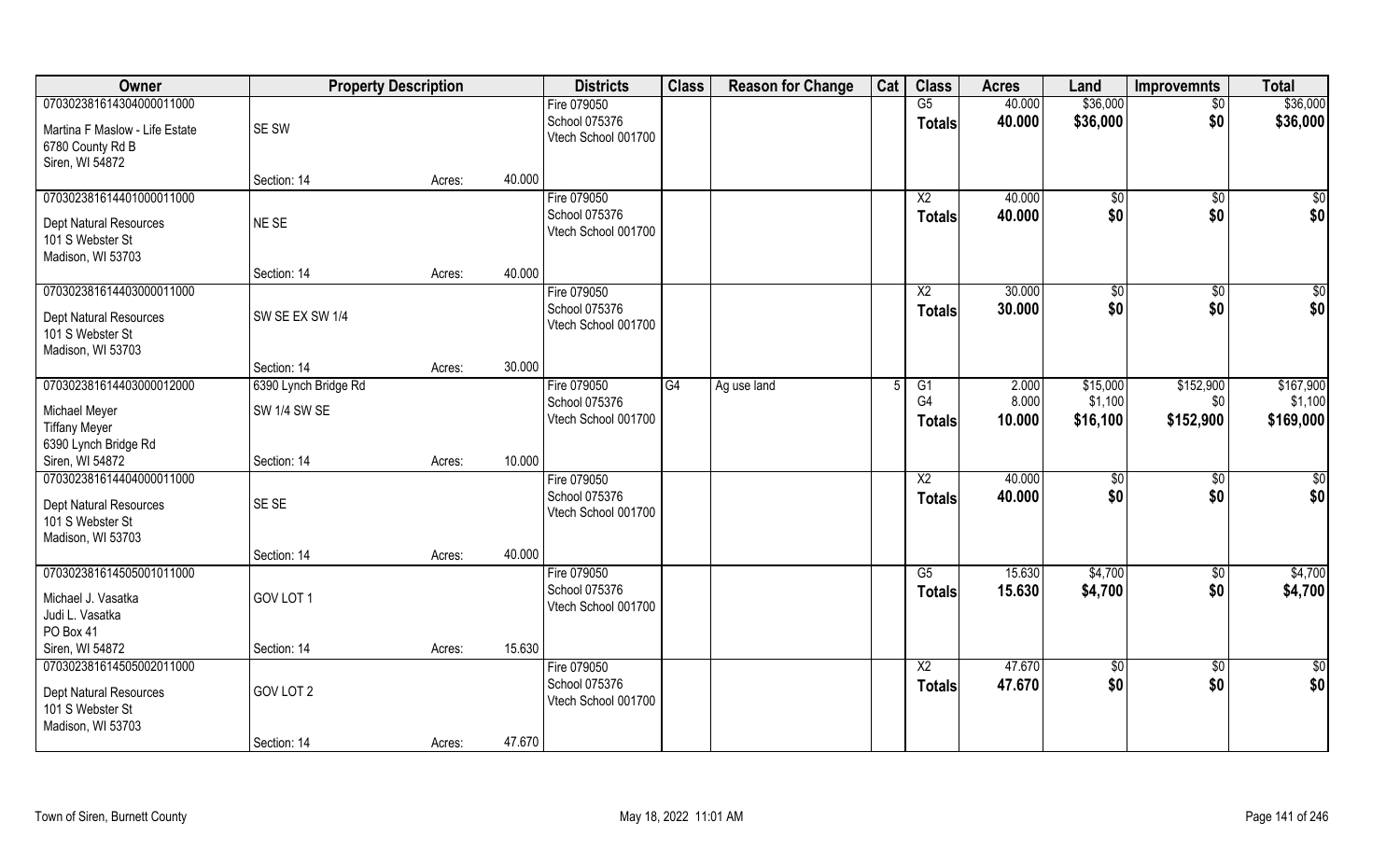| Owner                                                                                              |                          | <b>Property Description</b> |        | <b>Districts</b>                                    | <b>Class</b> | <b>Reason for Change</b> | Cat | <b>Class</b>                     | <b>Acres</b>     | Land                   | <b>Improvemnts</b>    | <b>Total</b>           |
|----------------------------------------------------------------------------------------------------|--------------------------|-----------------------------|--------|-----------------------------------------------------|--------------|--------------------------|-----|----------------------------------|------------------|------------------------|-----------------------|------------------------|
| 070302381614304000011000                                                                           |                          |                             |        | Fire 079050                                         |              |                          |     | G5                               | 40.000           | \$36,000               | $\overline{50}$       | \$36,000               |
| Martina F Maslow - Life Estate<br>6780 County Rd B                                                 | SE SW                    |                             |        | School 075376<br>Vtech School 001700                |              |                          |     | <b>Totals</b>                    | 40.000           | \$36,000               | \$0                   | \$36,000               |
| Siren, WI 54872                                                                                    |                          |                             |        |                                                     |              |                          |     |                                  |                  |                        |                       |                        |
|                                                                                                    | Section: 14              | Acres:                      | 40.000 |                                                     |              |                          |     |                                  |                  |                        |                       |                        |
| 070302381614401000011000<br><b>Dept Natural Resources</b><br>101 S Webster St<br>Madison, WI 53703 | NESE                     |                             |        | Fire 079050<br>School 075376<br>Vtech School 001700 |              |                          |     | X <sub>2</sub><br><b>Totals</b>  | 40.000<br>40.000 | $\sqrt[6]{}$<br>\$0    | $\sqrt{50}$<br>\$0    | $\sqrt{50}$<br>\$0     |
|                                                                                                    | Section: 14              | Acres:                      | 40.000 |                                                     |              |                          |     |                                  |                  |                        |                       |                        |
| 070302381614403000011000<br><b>Dept Natural Resources</b><br>101 S Webster St<br>Madison, WI 53703 | SW SE EX SW 1/4          |                             |        | Fire 079050<br>School 075376<br>Vtech School 001700 |              |                          |     | $\overline{X2}$<br>Totals        | 30.000<br>30.000 | \$0<br>\$0             | \$0<br>\$0            | $\sqrt{50}$<br>\$0     |
|                                                                                                    | Section: 14              | Acres:                      | 30.000 |                                                     |              |                          |     |                                  |                  |                        |                       |                        |
| 070302381614403000012000                                                                           | 6390 Lynch Bridge Rd     |                             |        | Fire 079050                                         | G4           | Ag use land              |     | G1                               | 2.000            | \$15,000               | \$152,900             | \$167,900              |
| Michael Meyer<br><b>Tiffany Meyer</b><br>6390 Lynch Bridge Rd                                      | <b>SW 1/4 SW SE</b>      |                             |        | School 075376<br>Vtech School 001700                |              |                          |     | G4<br><b>Totals</b>              | 8.000<br>10.000  | \$1,100<br>\$16,100    | \$0<br>\$152,900      | \$1,100<br>\$169,000   |
| Siren, WI 54872                                                                                    | Section: 14              | Acres:                      | 10.000 |                                                     |              |                          |     |                                  |                  |                        |                       |                        |
| 070302381614404000011000<br>Dept Natural Resources<br>101 S Webster St<br>Madison, WI 53703        | SE SE                    |                             |        | Fire 079050<br>School 075376<br>Vtech School 001700 |              |                          |     | $\overline{X2}$<br><b>Totals</b> | 40.000<br>40.000 | \$0<br>\$0             | $\sqrt[6]{30}$<br>\$0 | $\overline{50}$<br>\$0 |
|                                                                                                    | Section: 14              | Acres:                      | 40.000 |                                                     |              |                          |     |                                  |                  |                        |                       |                        |
| 070302381614505001011000<br>Michael J. Vasatka<br>Judi L. Vasatka<br>PO Box 41                     | GOV LOT 1                |                             |        | Fire 079050<br>School 075376<br>Vtech School 001700 |              |                          |     | G5<br><b>Totals</b>              | 15.630<br>15.630 | \$4,700<br>\$4,700     | \$0<br>\$0            | \$4,700<br>\$4,700     |
| Siren, WI 54872                                                                                    | Section: 14              | Acres:                      | 15.630 |                                                     |              |                          |     |                                  |                  |                        |                       |                        |
| 070302381614505002011000<br>Dept Natural Resources<br>101 S Webster St<br>Madison, WI 53703        | GOV LOT 2<br>Section: 14 | Acres:                      | 47.670 | Fire 079050<br>School 075376<br>Vtech School 001700 |              |                          |     | X2<br><b>Totals</b>              | 47.670<br>47.670 | $\overline{50}$<br>\$0 | $\sqrt{6}$<br>\$0     | $\overline{50}$<br>\$0 |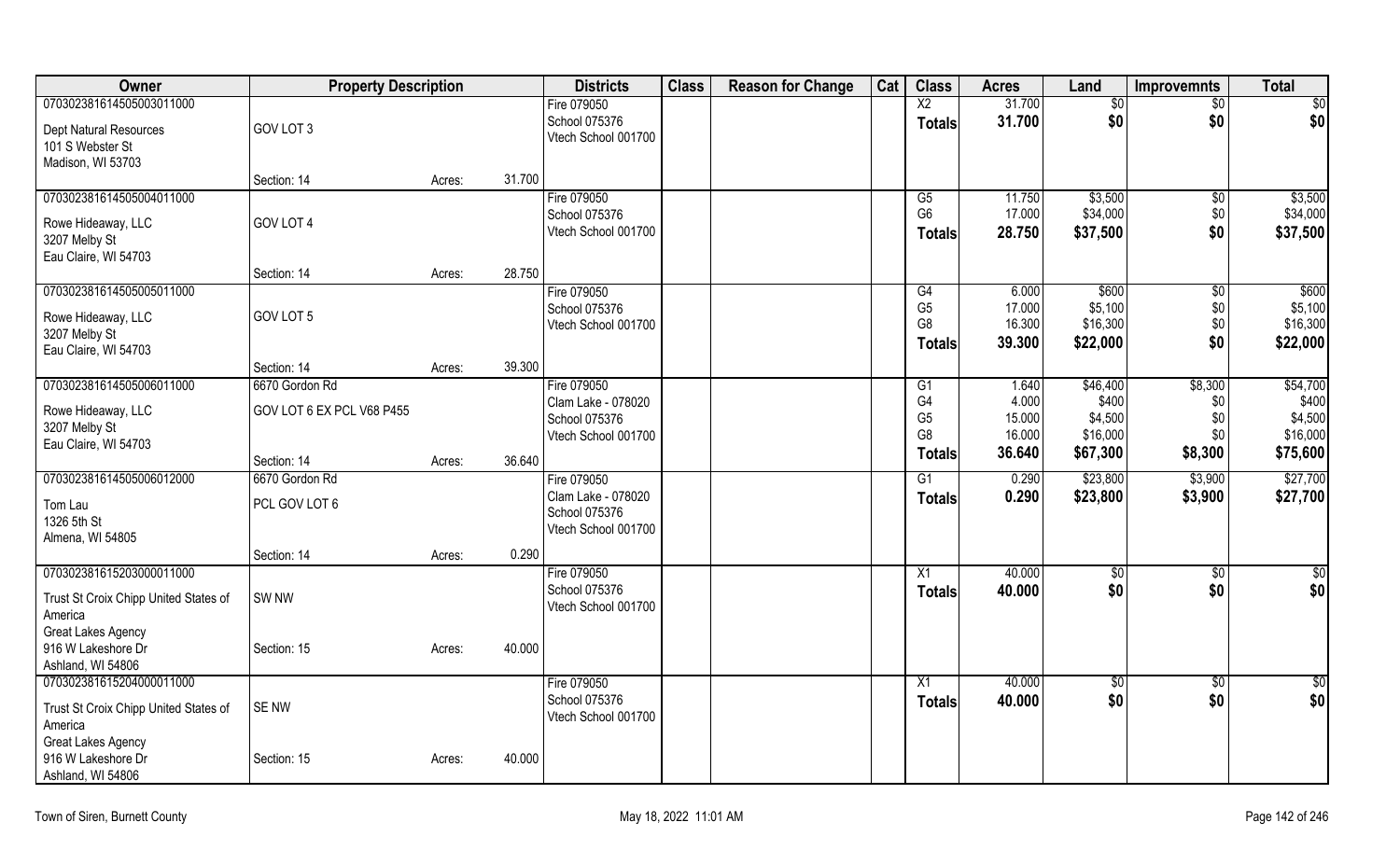| Owner                                                                                                                                                | <b>Property Description</b>                                |        |        | <b>Districts</b>                                                          | <b>Class</b> | <b>Reason for Change</b> | Cat | <b>Class</b>                                                  | <b>Acres</b>                                 | Land                                                 | <b>Improvemnts</b>                      | <b>Total</b>                                         |
|------------------------------------------------------------------------------------------------------------------------------------------------------|------------------------------------------------------------|--------|--------|---------------------------------------------------------------------------|--------------|--------------------------|-----|---------------------------------------------------------------|----------------------------------------------|------------------------------------------------------|-----------------------------------------|------------------------------------------------------|
| 070302381614505003011000<br>Dept Natural Resources<br>101 S Webster St                                                                               | GOV LOT 3                                                  |        |        | Fire 079050<br>School 075376<br>Vtech School 001700                       |              |                          |     | X <sub>2</sub><br><b>Totals</b>                               | 31.700<br>31.700                             | $\sqrt{6}$<br>\$0                                    | $\overline{50}$<br>\$0                  | \$0<br>\$0                                           |
| Madison, WI 53703                                                                                                                                    | Section: 14                                                | Acres: | 31.700 |                                                                           |              |                          |     |                                                               |                                              |                                                      |                                         |                                                      |
| 070302381614505004011000<br>Rowe Hideaway, LLC<br>3207 Melby St<br>Eau Claire, WI 54703                                                              | GOV LOT 4<br>Section: 14                                   | Acres: | 28.750 | Fire 079050<br>School 075376<br>Vtech School 001700                       |              |                          |     | G5<br>G <sub>6</sub><br><b>Totals</b>                         | 11.750<br>17.000<br>28.750                   | \$3,500<br>\$34,000<br>\$37,500                      | $\sqrt{6}$<br>\$0<br>\$0                | \$3,500<br>\$34,000<br>\$37,500                      |
| 070302381614505005011000<br>Rowe Hideaway, LLC<br>3207 Melby St<br>Eau Claire, WI 54703                                                              | GOV LOT 5<br>Section: 14                                   | Acres: | 39.300 | Fire 079050<br>School 075376<br>Vtech School 001700                       |              |                          |     | G4<br>G <sub>5</sub><br>G8<br>Totals                          | 6.000<br>17.000<br>16.300<br>39.300          | \$600<br>\$5,100<br>\$16,300<br>\$22,000             | \$0<br>\$0<br>\$0<br>\$0                | \$600<br>\$5,100<br>\$16,300<br>\$22,000             |
| 070302381614505006011000<br>Rowe Hideaway, LLC<br>3207 Melby St<br>Eau Claire, WI 54703                                                              | 6670 Gordon Rd<br>GOV LOT 6 EX PCL V68 P455<br>Section: 14 | Acres: | 36.640 | Fire 079050<br>Clam Lake - 078020<br>School 075376<br>Vtech School 001700 |              |                          |     | G1<br>G4<br>G <sub>5</sub><br>G <sub>8</sub><br><b>Totals</b> | 1.640<br>4.000<br>15.000<br>16.000<br>36.640 | \$46,400<br>\$400<br>\$4,500<br>\$16,000<br>\$67,300 | \$8,300<br>\$0<br>\$0<br>\$0<br>\$8,300 | \$54,700<br>\$400<br>\$4,500<br>\$16,000<br>\$75,600 |
| 070302381614505006012000<br>Tom Lau<br>1326 5th St<br>Almena, WI 54805                                                                               | 6670 Gordon Rd<br>PCL GOV LOT 6<br>Section: 14             | Acres: | 0.290  | Fire 079050<br>Clam Lake - 078020<br>School 075376<br>Vtech School 001700 |              |                          |     | G1<br><b>Totals</b>                                           | 0.290<br>0.290                               | \$23,800<br>\$23,800                                 | \$3,900<br>\$3,900                      | \$27,700<br>\$27,700                                 |
| 070302381615203000011000<br>Trust St Croix Chipp United States of<br>America<br><b>Great Lakes Agency</b><br>916 W Lakeshore Dr<br>Ashland, WI 54806 | SW <sub>NW</sub><br>Section: 15                            | Acres: | 40.000 | Fire 079050<br>School 075376<br>Vtech School 001700                       |              |                          |     | X1<br>Totals                                                  | 40.000<br>40.000                             | $\sqrt{6}$<br>\$0                                    | $\overline{50}$<br>\$0                  | \$0<br>\$0                                           |
| 070302381615204000011000<br>Trust St Croix Chipp United States of<br>America<br>Great Lakes Agency<br>916 W Lakeshore Dr<br>Ashland, WI 54806        | <b>SENW</b><br>Section: 15                                 | Acres: | 40.000 | Fire 079050<br>School 075376<br>Vtech School 001700                       |              |                          |     | X1<br><b>Totals</b>                                           | 40.000<br>40.000                             | \$0<br>\$0                                           | \$0<br>\$0                              | $\frac{6}{3}$<br>\$0                                 |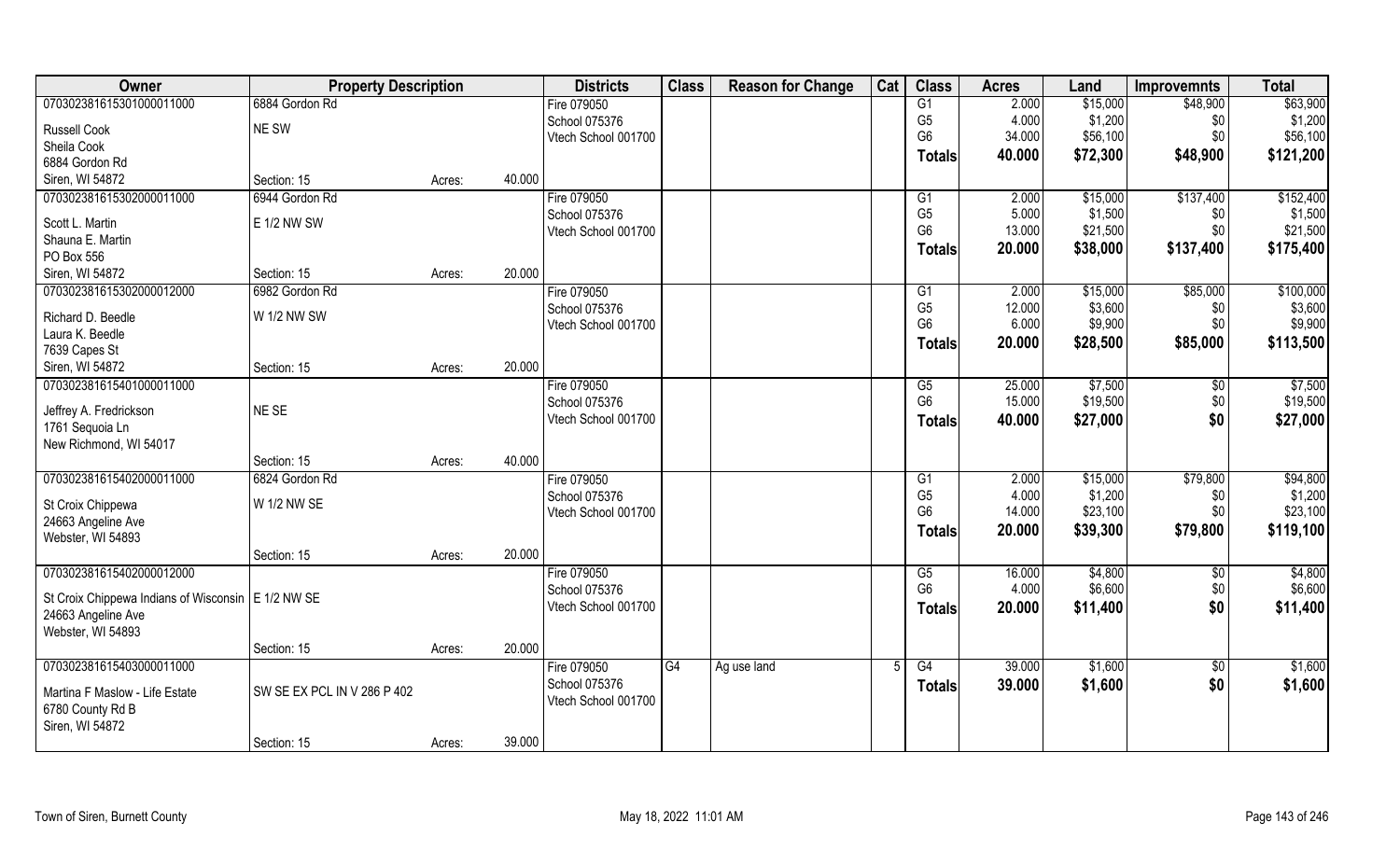| Owner                                                | <b>Property Description</b> |                  | <b>Districts</b>    | <b>Class</b> | <b>Reason for Change</b> | Cat | <b>Class</b>   | <b>Acres</b> | Land     | <b>Improvemnts</b> | <b>Total</b> |
|------------------------------------------------------|-----------------------------|------------------|---------------------|--------------|--------------------------|-----|----------------|--------------|----------|--------------------|--------------|
| 070302381615301000011000                             | 6884 Gordon Rd              |                  | Fire 079050         |              |                          |     | G1             | 2.000        | \$15,000 | \$48,900           | \$63,900     |
| <b>Russell Cook</b>                                  | NE SW                       |                  | School 075376       |              |                          |     | G <sub>5</sub> | 4.000        | \$1,200  | \$0                | \$1,200      |
| Sheila Cook                                          |                             |                  | Vtech School 001700 |              |                          |     | G <sub>6</sub> | 34.000       | \$56,100 | \$0                | \$56,100     |
| 6884 Gordon Rd                                       |                             |                  |                     |              |                          |     | <b>Totals</b>  | 40.000       | \$72,300 | \$48,900           | \$121,200    |
| Siren, WI 54872                                      | Section: 15                 | 40.000<br>Acres: |                     |              |                          |     |                |              |          |                    |              |
| 070302381615302000011000                             | 6944 Gordon Rd              |                  | Fire 079050         |              |                          |     | G1             | 2.000        | \$15,000 | \$137,400          | \$152,400    |
|                                                      |                             |                  | School 075376       |              |                          |     | G <sub>5</sub> | 5.000        | \$1,500  | \$0                | \$1,500      |
| Scott L. Martin                                      | E 1/2 NW SW                 |                  | Vtech School 001700 |              |                          |     | G <sub>6</sub> | 13.000       | \$21,500 | \$0                | \$21,500     |
| Shauna E. Martin                                     |                             |                  |                     |              |                          |     | Totals         | 20.000       | \$38,000 | \$137,400          | \$175,400    |
| PO Box 556                                           |                             |                  |                     |              |                          |     |                |              |          |                    |              |
| Siren, WI 54872                                      | Section: 15                 | 20.000<br>Acres: |                     |              |                          |     |                |              |          |                    |              |
| 070302381615302000012000                             | 6982 Gordon Rd              |                  | Fire 079050         |              |                          |     | G1             | 2.000        | \$15,000 | \$85,000           | \$100,000    |
| Richard D. Beedle                                    | W 1/2 NW SW                 |                  | School 075376       |              |                          |     | G <sub>5</sub> | 12.000       | \$3,600  | \$0                | \$3,600      |
| Laura K. Beedle                                      |                             |                  | Vtech School 001700 |              |                          |     | G <sub>6</sub> | 6.000        | \$9,900  | \$0                | \$9,900      |
| 7639 Capes St                                        |                             |                  |                     |              |                          |     | Totals         | 20.000       | \$28,500 | \$85,000           | \$113,500    |
| Siren, WI 54872                                      | Section: 15                 | 20.000<br>Acres: |                     |              |                          |     |                |              |          |                    |              |
| 070302381615401000011000                             |                             |                  | Fire 079050         |              |                          |     | G5             | 25.000       | \$7,500  | \$0                | \$7,500      |
|                                                      |                             |                  | School 075376       |              |                          |     | G <sub>6</sub> | 15.000       | \$19,500 | \$0                | \$19,500     |
| Jeffrey A. Fredrickson                               | NE SE                       |                  | Vtech School 001700 |              |                          |     | <b>Totals</b>  | 40.000       | \$27,000 | \$0                | \$27,000     |
| 1761 Sequoia Ln                                      |                             |                  |                     |              |                          |     |                |              |          |                    |              |
| New Richmond, WI 54017                               |                             |                  |                     |              |                          |     |                |              |          |                    |              |
|                                                      | Section: 15                 | 40.000<br>Acres: |                     |              |                          |     |                |              |          |                    |              |
| 070302381615402000011000                             | 6824 Gordon Rd              |                  | Fire 079050         |              |                          |     | G1             | 2.000        | \$15,000 | \$79,800           | \$94,800     |
| St Croix Chippewa                                    | W 1/2 NW SE                 |                  | School 075376       |              |                          |     | G <sub>5</sub> | 4.000        | \$1,200  | \$0                | \$1,200      |
| 24663 Angeline Ave                                   |                             |                  | Vtech School 001700 |              |                          |     | G <sub>6</sub> | 14.000       | \$23,100 | \$0                | \$23,100     |
| Webster, WI 54893                                    |                             |                  |                     |              |                          |     | <b>Totals</b>  | 20.000       | \$39,300 | \$79,800           | \$119,100    |
|                                                      | Section: 15                 | 20.000<br>Acres: |                     |              |                          |     |                |              |          |                    |              |
| 070302381615402000012000                             |                             |                  | Fire 079050         |              |                          |     | G5             | 16.000       | \$4,800  | \$0                | \$4,800      |
|                                                      |                             |                  | School 075376       |              |                          |     | G <sub>6</sub> | 4.000        | \$6,600  | \$0                | \$6,600      |
| St Croix Chippewa Indians of Wisconsin   E 1/2 NW SE |                             |                  | Vtech School 001700 |              |                          |     | <b>Totals</b>  | 20.000       | \$11,400 | \$0                | \$11,400     |
| 24663 Angeline Ave                                   |                             |                  |                     |              |                          |     |                |              |          |                    |              |
| Webster, WI 54893                                    |                             |                  |                     |              |                          |     |                |              |          |                    |              |
|                                                      | Section: 15                 | 20.000<br>Acres: |                     |              |                          |     |                |              |          |                    |              |
| 070302381615403000011000                             |                             |                  | Fire 079050         | G4           | Ag use land              |     | G4             | 39.000       | \$1,600  | $\sqrt{$0}$        | \$1,600      |
| Martina F Maslow - Life Estate                       | SW SE EX PCL IN V 286 P 402 |                  | School 075376       |              |                          |     | <b>Totals</b>  | 39.000       | \$1,600  | \$0                | \$1,600      |
| 6780 County Rd B                                     |                             |                  | Vtech School 001700 |              |                          |     |                |              |          |                    |              |
| Siren, WI 54872                                      |                             |                  |                     |              |                          |     |                |              |          |                    |              |
|                                                      | Section: 15                 | 39.000<br>Acres: |                     |              |                          |     |                |              |          |                    |              |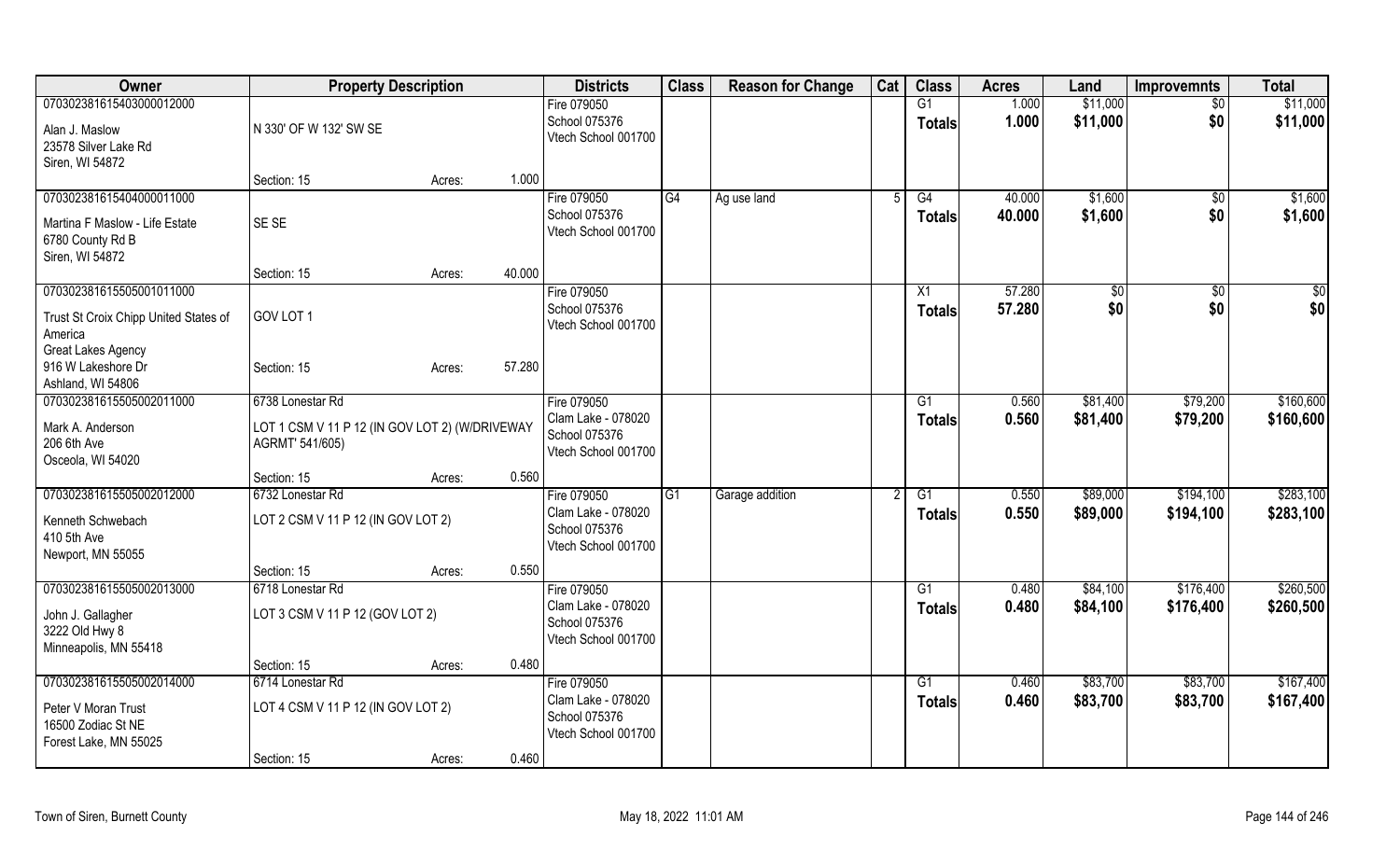| Owner                                                                          |                                                                   | <b>Property Description</b> |        | <b>Districts</b>                                           | <b>Class</b> | <b>Reason for Change</b> | Cat | <b>Class</b>        | <b>Acres</b>     | Land               | <b>Improvemnts</b> | <b>Total</b>       |
|--------------------------------------------------------------------------------|-------------------------------------------------------------------|-----------------------------|--------|------------------------------------------------------------|--------------|--------------------------|-----|---------------------|------------------|--------------------|--------------------|--------------------|
| 070302381615403000012000                                                       |                                                                   |                             |        | Fire 079050                                                |              |                          |     | $\overline{G1}$     | 1.000            | \$11,000           | $\sqrt{50}$        | \$11,000           |
| Alan J. Maslow<br>23578 Silver Lake Rd<br>Siren, WI 54872                      | N 330' OF W 132' SW SE                                            |                             |        | School 075376<br>Vtech School 001700                       |              |                          |     | <b>Totals</b>       | 1.000            | \$11,000           | \$0                | \$11,000           |
|                                                                                | Section: 15                                                       | Acres:                      | 1.000  |                                                            |              |                          |     |                     |                  |                    |                    |                    |
| 070302381615404000011000<br>Martina F Maslow - Life Estate<br>6780 County Rd B | SE SE                                                             |                             |        | Fire 079050<br>School 075376<br>Vtech School 001700        | G4           | Ag use land              |     | G4<br><b>Totals</b> | 40.000<br>40.000 | \$1,600<br>\$1,600 | $\sqrt{6}$<br>\$0  | \$1,600<br>\$1,600 |
| Siren, WI 54872                                                                | Section: 15                                                       | Acres:                      | 40.000 |                                                            |              |                          |     |                     |                  |                    |                    |                    |
| 070302381615505001011000                                                       |                                                                   |                             |        | Fire 079050                                                |              |                          |     | X1                  | 57.280           | \$0                | \$0                | \$0                |
| Trust St Croix Chipp United States of<br>America                               | GOV LOT 1                                                         |                             |        | School 075376<br>Vtech School 001700                       |              |                          |     | <b>Totals</b>       | 57.280           | \$0                | \$0                | \$0                |
| Great Lakes Agency<br>916 W Lakeshore Dr<br>Ashland, WI 54806                  | Section: 15                                                       | Acres:                      | 57.280 |                                                            |              |                          |     |                     |                  |                    |                    |                    |
| 070302381615505002011000                                                       | 6738 Lonestar Rd                                                  |                             |        | Fire 079050                                                |              |                          |     | G1                  | 0.560            | \$81,400           | \$79,200           | \$160,600          |
| Mark A. Anderson<br>206 6th Ave<br>Osceola, WI 54020                           | LOT 1 CSM V 11 P 12 (IN GOV LOT 2) (W/DRIVEWAY<br>AGRMT' 541/605) |                             |        | Clam Lake - 078020<br>School 075376<br>Vtech School 001700 |              |                          |     | <b>Totals</b>       | 0.560            | \$81,400           | \$79,200           | \$160,600          |
|                                                                                | Section: 15                                                       | Acres:                      | 0.560  |                                                            |              |                          |     |                     |                  |                    |                    |                    |
| 070302381615505002012000                                                       | 6732 Lonestar Rd                                                  |                             |        | Fire 079050                                                | G1           | Garage addition          |     | G1                  | 0.550            | \$89,000           | \$194,100          | \$283,100          |
| Kenneth Schwebach<br>410 5th Ave<br>Newport, MN 55055                          | LOT 2 CSM V 11 P 12 (IN GOV LOT 2)                                |                             |        | Clam Lake - 078020<br>School 075376<br>Vtech School 001700 |              |                          |     | <b>Totals</b>       | 0.550            | \$89,000           | \$194,100          | \$283,100          |
|                                                                                | Section: 15                                                       | Acres:                      | 0.550  |                                                            |              |                          |     |                     |                  |                    |                    |                    |
| 070302381615505002013000                                                       | 6718 Lonestar Rd                                                  |                             |        | Fire 079050                                                |              |                          |     | G1                  | 0.480            | \$84,100           | \$176,400          | \$260,500          |
| John J. Gallagher<br>3222 Old Hwy 8<br>Minneapolis, MN 55418                   | LOT 3 CSM V 11 P 12 (GOV LOT 2)                                   |                             |        | Clam Lake - 078020<br>School 075376<br>Vtech School 001700 |              |                          |     | <b>Totals</b>       | 0.480            | \$84,100           | \$176,400          | \$260,500          |
|                                                                                | Section: 15                                                       | Acres:                      | 0.480  |                                                            |              |                          |     |                     |                  |                    |                    |                    |
| 070302381615505002014000                                                       | 6714 Lonestar Rd                                                  |                             |        | Fire 079050                                                |              |                          |     | G1                  | 0.460            | \$83,700           | \$83,700           | \$167,400          |
| Peter V Moran Trust<br>16500 Zodiac St NE<br>Forest Lake, MN 55025             | LOT 4 CSM V 11 P 12 (IN GOV LOT 2)                                |                             |        | Clam Lake - 078020<br>School 075376<br>Vtech School 001700 |              |                          |     | <b>Totals</b>       | 0.460            | \$83,700           | \$83,700           | \$167,400          |
|                                                                                | Section: 15                                                       | Acres:                      | 0.460  |                                                            |              |                          |     |                     |                  |                    |                    |                    |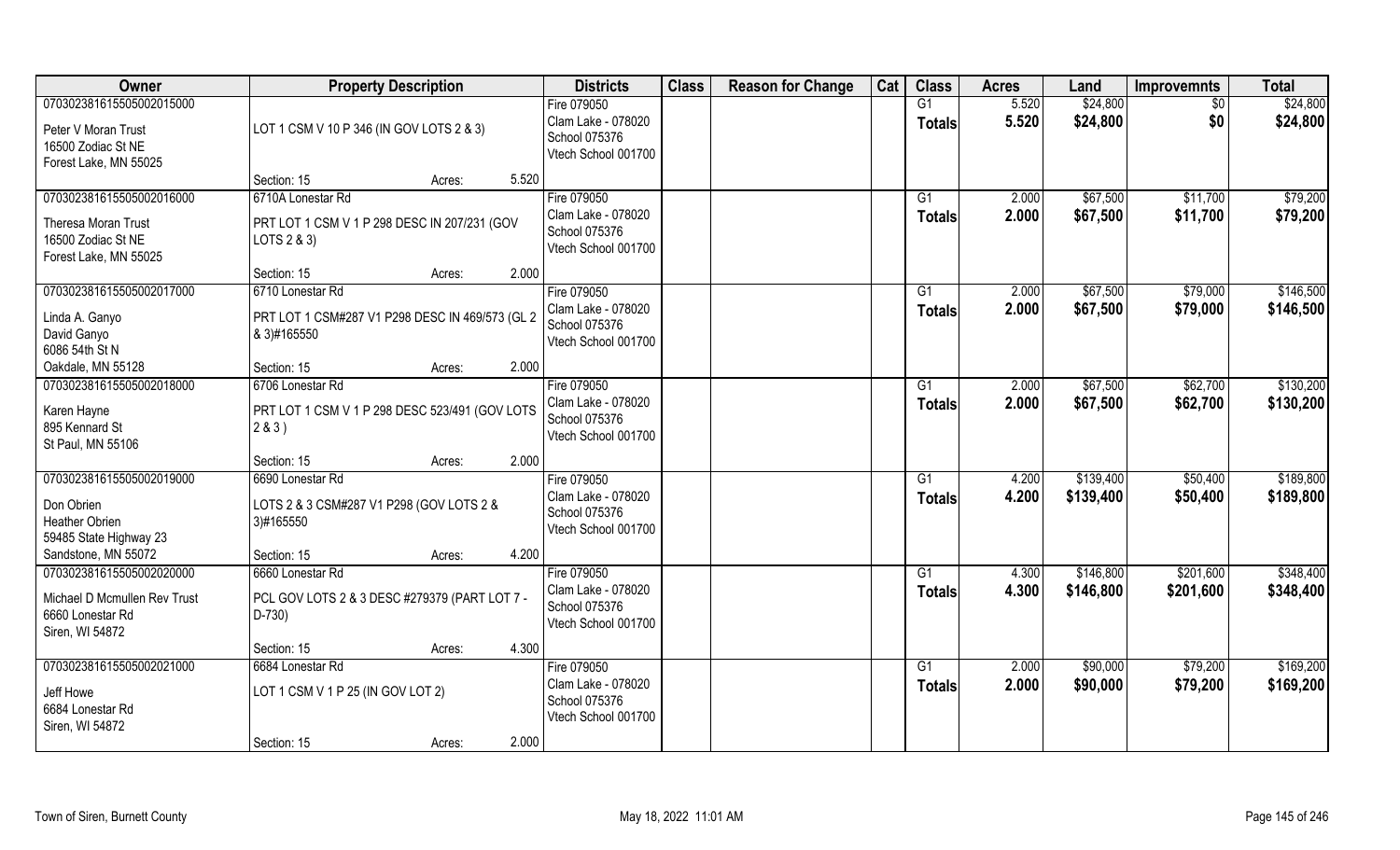| Owner                                                                                           | <b>Property Description</b>                                                             | <b>Districts</b>                                                          | <b>Class</b> | <b>Reason for Change</b> | Cat | <b>Class</b>        | <b>Acres</b>   | Land                   | <b>Improvemnts</b>     | <b>Total</b>           |
|-------------------------------------------------------------------------------------------------|-----------------------------------------------------------------------------------------|---------------------------------------------------------------------------|--------------|--------------------------|-----|---------------------|----------------|------------------------|------------------------|------------------------|
| 070302381615505002015000<br>Peter V Moran Trust<br>16500 Zodiac St NE<br>Forest Lake, MN 55025  | LOT 1 CSM V 10 P 346 (IN GOV LOTS 2 & 3)                                                | Fire 079050<br>Clam Lake - 078020<br>School 075376<br>Vtech School 001700 |              |                          |     | G1<br><b>Totals</b> | 5.520<br>5.520 | \$24,800<br>\$24,800   | $\sqrt{6}$<br>\$0      | \$24,800<br>\$24,800   |
|                                                                                                 | Section: 15<br>5.520<br>Acres:                                                          |                                                                           |              |                          |     |                     |                |                        |                        |                        |
| 070302381615505002016000<br>Theresa Moran Trust<br>16500 Zodiac St NE<br>Forest Lake, MN 55025  | 6710A Lonestar Rd<br>PRT LOT 1 CSM V 1 P 298 DESC IN 207/231 (GOV<br>LOTS 2 & 3)        | Fire 079050<br>Clam Lake - 078020<br>School 075376<br>Vtech School 001700 |              |                          |     | G1<br>Totals        | 2.000<br>2.000 | \$67,500<br>\$67,500   | \$11,700<br>\$11,700   | \$79,200<br>\$79,200   |
|                                                                                                 | 2.000<br>Section: 15<br>Acres:                                                          |                                                                           |              |                          |     |                     |                |                        |                        |                        |
| 070302381615505002017000<br>Linda A. Ganyo<br>David Ganyo<br>6086 54th St N                     | 6710 Lonestar Rd<br>PRT LOT 1 CSM#287 V1 P298 DESC IN 469/573 (GL 2<br>& 3)#165550      | Fire 079050<br>Clam Lake - 078020<br>School 075376<br>Vtech School 001700 |              |                          |     | G1<br><b>Totals</b> | 2.000<br>2.000 | \$67,500<br>\$67,500   | \$79,000<br>\$79,000   | \$146,500<br>\$146,500 |
| Oakdale, MN 55128                                                                               | 2.000<br>Section: 15<br>Acres:                                                          |                                                                           |              |                          |     |                     |                |                        |                        |                        |
| 070302381615505002018000<br>Karen Hayne<br>895 Kennard St<br>St Paul, MN 55106                  | 6706 Lonestar Rd<br>PRT LOT 1 CSM V 1 P 298 DESC 523/491 (GOV LOTS<br>283)              | Fire 079050<br>Clam Lake - 078020<br>School 075376<br>Vtech School 001700 |              |                          |     | G1<br><b>Totals</b> | 2.000<br>2.000 | \$67,500<br>\$67,500   | \$62,700<br>\$62,700   | \$130,200<br>\$130,200 |
|                                                                                                 | 2.000<br>Section: 15<br>Acres:                                                          |                                                                           |              |                          |     |                     |                |                        |                        |                        |
| 070302381615505002019000<br>Don Obrien<br><b>Heather Obrien</b><br>59485 State Highway 23       | 6690 Lonestar Rd<br>LOTS 2 & 3 CSM#287 V1 P298 (GOV LOTS 2 &<br>3)#165550               | Fire 079050<br>Clam Lake - 078020<br>School 075376<br>Vtech School 001700 |              |                          |     | G1<br><b>Totals</b> | 4.200<br>4.200 | \$139,400<br>\$139,400 | \$50,400<br>\$50,400   | \$189,800<br>\$189,800 |
| Sandstone, MN 55072                                                                             | 4.200<br>Section: 15<br>Acres:                                                          |                                                                           |              |                          |     |                     |                |                        |                        |                        |
| 070302381615505002020000<br>Michael D Mcmullen Rev Trust<br>6660 Lonestar Rd<br>Siren, WI 54872 | 6660 Lonestar Rd<br>PCL GOV LOTS 2 & 3 DESC #279379 (PART LOT 7 -<br>$D-730)$           | Fire 079050<br>Clam Lake - 078020<br>School 075376<br>Vtech School 001700 |              |                          |     | G1<br><b>Totals</b> | 4.300<br>4.300 | \$146,800<br>\$146,800 | \$201,600<br>\$201,600 | \$348,400<br>\$348,400 |
|                                                                                                 | 4.300<br>Section: 15<br>Acres:                                                          |                                                                           |              |                          |     |                     |                |                        |                        |                        |
| 070302381615505002021000<br>Jeff Howe<br>6684 Lonestar Rd<br>Siren, WI 54872                    | 6684 Lonestar Rd<br>LOT 1 CSM V 1 P 25 (IN GOV LOT 2)<br>2.000<br>Section: 15<br>Acres: | Fire 079050<br>Clam Lake - 078020<br>School 075376<br>Vtech School 001700 |              |                          |     | G1<br><b>Totals</b> | 2.000<br>2.000 | \$90,000<br>\$90,000   | \$79,200<br>\$79,200   | \$169,200<br>\$169,200 |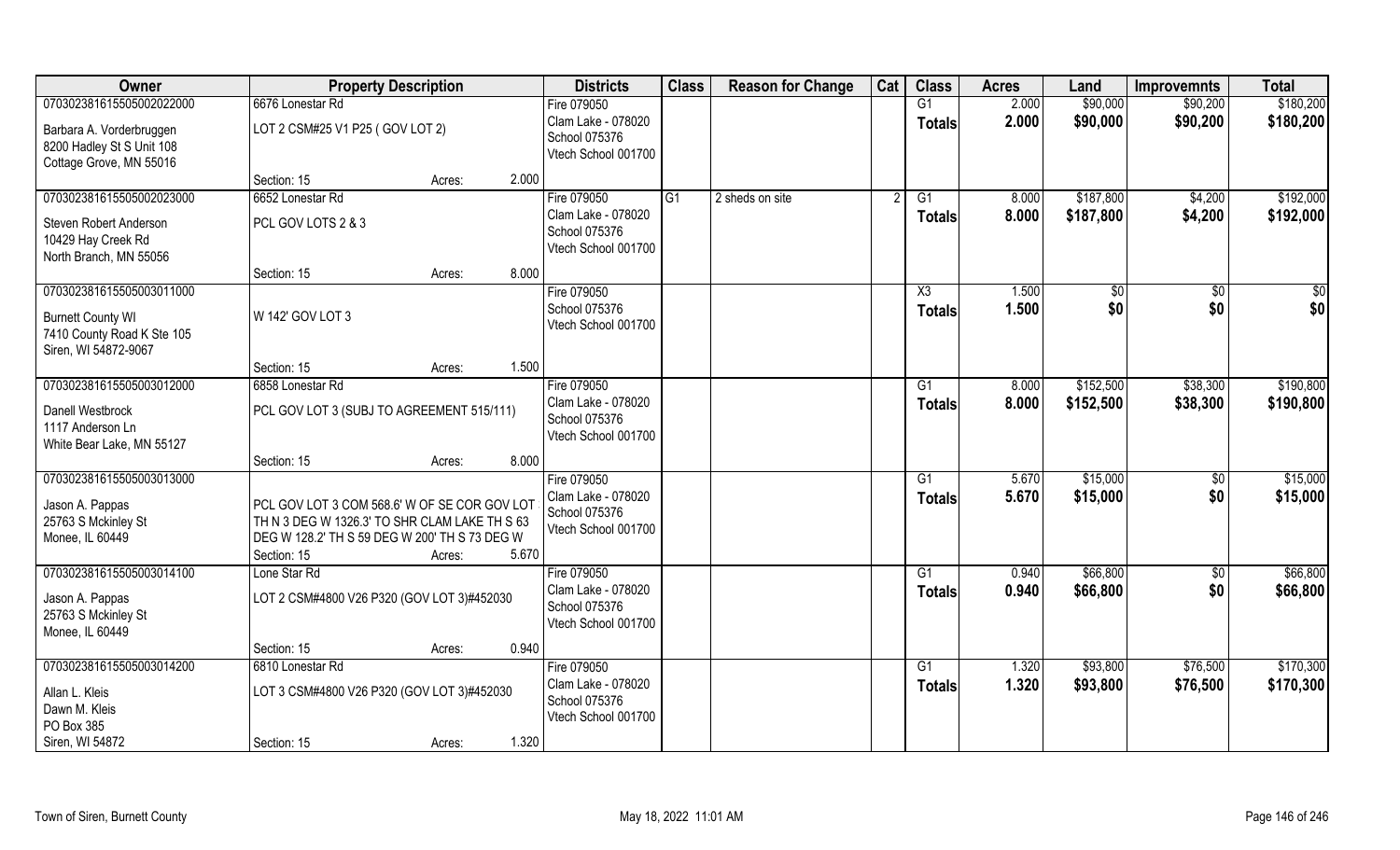| Owner                                                                                                        |                                                                                                                                                               | <b>Property Description</b> |       |                                                                           | <b>Class</b>   | <b>Reason for Change</b> | Cat | <b>Class</b>                     | <b>Acres</b>   | Land                   | <b>Improvemnts</b>     | <b>Total</b>           |
|--------------------------------------------------------------------------------------------------------------|---------------------------------------------------------------------------------------------------------------------------------------------------------------|-----------------------------|-------|---------------------------------------------------------------------------|----------------|--------------------------|-----|----------------------------------|----------------|------------------------|------------------------|------------------------|
| 070302381615505002022000<br>Barbara A. Vorderbruggen<br>8200 Hadley St S Unit 108<br>Cottage Grove, MN 55016 | 6676 Lonestar Rd<br>LOT 2 CSM#25 V1 P25 (GOV LOT 2)                                                                                                           |                             |       | Fire 079050<br>Clam Lake - 078020<br>School 075376<br>Vtech School 001700 |                |                          |     | G1<br><b>Totals</b>              | 2.000<br>2.000 | \$90,000<br>\$90,000   | \$90,200<br>\$90,200   | \$180,200<br>\$180,200 |
|                                                                                                              | Section: 15                                                                                                                                                   | Acres:                      | 2.000 |                                                                           |                |                          |     |                                  |                |                        |                        |                        |
| 070302381615505002023000<br>Steven Robert Anderson<br>10429 Hay Creek Rd<br>North Branch, MN 55056           | 6652 Lonestar Rd<br>PCL GOV LOTS 2 & 3                                                                                                                        |                             |       | Fire 079050<br>Clam Lake - 078020<br>School 075376<br>Vtech School 001700 | G <sub>1</sub> | 2 sheds on site          |     | G1<br>Totals                     | 8.000<br>8.000 | \$187,800<br>\$187,800 | \$4,200<br>\$4,200     | \$192,000<br>\$192,000 |
|                                                                                                              | Section: 15                                                                                                                                                   | Acres:                      | 8.000 |                                                                           |                |                          |     |                                  |                |                        |                        |                        |
| 070302381615505003011000<br><b>Burnett County WI</b><br>7410 County Road K Ste 105<br>Siren, WI 54872-9067   | W 142' GOV LOT 3                                                                                                                                              |                             |       | Fire 079050<br>School 075376<br>Vtech School 001700                       |                |                          |     | X3<br><b>Totals</b>              | 1.500<br>1.500 | \$0<br>\$0             | \$0<br>\$0             | \$0<br>\$0             |
|                                                                                                              | Section: 15                                                                                                                                                   | Acres:                      | 1.500 |                                                                           |                |                          |     |                                  |                |                        |                        |                        |
| 070302381615505003012000<br>Danell Westbrock<br>1117 Anderson Ln<br>White Bear Lake, MN 55127                | 6858 Lonestar Rd<br>PCL GOV LOT 3 (SUBJ TO AGREEMENT 515/111)                                                                                                 |                             |       | Fire 079050<br>Clam Lake - 078020<br>School 075376<br>Vtech School 001700 |                |                          |     | G1<br><b>Totals</b>              | 8.000<br>8.000 | \$152,500<br>\$152,500 | \$38,300<br>\$38,300   | \$190,800<br>\$190,800 |
|                                                                                                              | Section: 15                                                                                                                                                   | Acres:                      | 8.000 |                                                                           |                |                          |     |                                  |                |                        |                        |                        |
| 070302381615505003013000<br>Jason A. Pappas<br>25763 S Mckinley St<br>Monee, IL 60449                        | PCL GOV LOT 3 COM 568.6' W OF SE COR GOV LOT<br>TH N 3 DEG W 1326.3' TO SHR CLAM LAKE TH S 63<br>DEG W 128.2' TH S 59 DEG W 200' TH S 73 DEG W<br>Section: 15 | Acres:                      | 5.670 | Fire 079050<br>Clam Lake - 078020<br>School 075376<br>Vtech School 001700 |                |                          |     | $\overline{G1}$<br><b>Totals</b> | 5.670<br>5.670 | \$15,000<br>\$15,000   | $\overline{50}$<br>\$0 | \$15,000<br>\$15,000   |
| 070302381615505003014100                                                                                     | Lone Star Rd                                                                                                                                                  |                             |       | Fire 079050                                                               |                |                          |     | G1                               | 0.940          | \$66,800               | \$0                    | \$66,800               |
| Jason A. Pappas<br>25763 S Mckinley St<br>Monee, IL 60449                                                    | LOT 2 CSM#4800 V26 P320 (GOV LOT 3)#452030                                                                                                                    |                             |       | Clam Lake - 078020<br>School 075376<br>Vtech School 001700                |                |                          |     | <b>Totals</b>                    | 0.940          | \$66,800               | \$0                    | \$66,800               |
|                                                                                                              | Section: 15                                                                                                                                                   | Acres:                      | 0.940 |                                                                           |                |                          |     |                                  |                |                        |                        |                        |
| 070302381615505003014200<br>Allan L. Kleis<br>Dawn M. Kleis<br>PO Box 385<br>Siren, WI 54872                 | 6810 Lonestar Rd<br>LOT 3 CSM#4800 V26 P320 (GOV LOT 3)#452030<br>Section: 15                                                                                 | Acres:                      | 1.320 | Fire 079050<br>Clam Lake - 078020<br>School 075376<br>Vtech School 001700 |                |                          |     | G1<br><b>Totals</b>              | 1.320<br>1.320 | \$93,800<br>\$93,800   | \$76,500<br>\$76,500   | \$170,300<br>\$170,300 |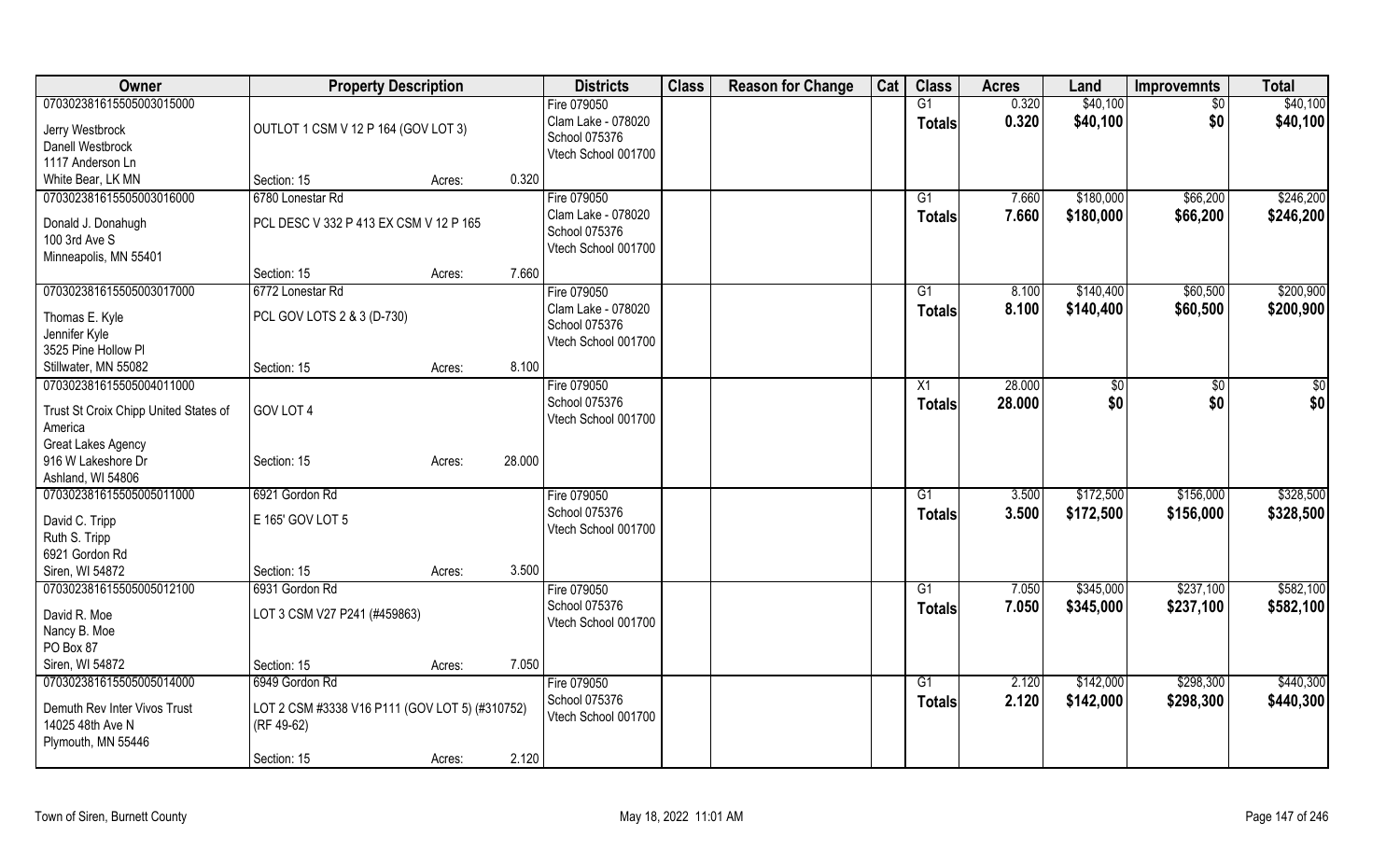| Owner                                                                                              | <b>Property Description</b>                                  |        |        | <b>Districts</b>                                                          | <b>Class</b> | <b>Reason for Change</b> | Cat | <b>Class</b>        | <b>Acres</b>     | Land                   | <b>Improvemnts</b>   | <b>Total</b>           |
|----------------------------------------------------------------------------------------------------|--------------------------------------------------------------|--------|--------|---------------------------------------------------------------------------|--------------|--------------------------|-----|---------------------|------------------|------------------------|----------------------|------------------------|
| 070302381615505003015000<br>Jerry Westbrock<br>Danell Westbrock<br>1117 Anderson Ln                | OUTLOT 1 CSM V 12 P 164 (GOV LOT 3)                          |        |        | Fire 079050<br>Clam Lake - 078020<br>School 075376<br>Vtech School 001700 |              |                          |     | G1<br><b>Totals</b> | 0.320<br>0.320   | \$40,100<br>\$40,100   | $\sqrt{50}$<br>\$0   | \$40,100<br>\$40,100   |
| White Bear, LK MN                                                                                  | Section: 15                                                  | Acres: | 0.320  |                                                                           |              |                          |     |                     |                  |                        |                      |                        |
| 070302381615505003016000<br>Donald J. Donahugh<br>100 3rd Ave S<br>Minneapolis, MN 55401           | 6780 Lonestar Rd<br>PCL DESC V 332 P 413 EX CSM V 12 P 165   |        |        | Fire 079050<br>Clam Lake - 078020<br>School 075376<br>Vtech School 001700 |              |                          |     | G1<br><b>Totals</b> | 7.660<br>7.660   | \$180,000<br>\$180,000 | \$66,200<br>\$66,200 | \$246,200<br>\$246,200 |
|                                                                                                    | Section: 15                                                  | Acres: | 7.660  |                                                                           |              |                          |     |                     |                  |                        |                      |                        |
| 070302381615505003017000<br>Thomas E. Kyle<br>Jennifer Kyle<br>3525 Pine Hollow Pl                 | 6772 Lonestar Rd<br>PCL GOV LOTS 2 & 3 (D-730)               |        |        | Fire 079050<br>Clam Lake - 078020<br>School 075376<br>Vtech School 001700 |              |                          |     | G1<br><b>Totals</b> | 8.100<br>8.100   | \$140,400<br>\$140,400 | \$60,500<br>\$60,500 | \$200,900<br>\$200,900 |
| Stillwater, MN 55082                                                                               | Section: 15                                                  | Acres: | 8.100  |                                                                           |              |                          |     |                     |                  |                        |                      |                        |
| 070302381615505004011000<br>Trust St Croix Chipp United States of<br>America<br>Great Lakes Agency | GOV LOT 4                                                    |        |        | Fire 079050<br>School 075376<br>Vtech School 001700                       |              |                          |     | X1<br>Totals        | 28.000<br>28.000 | \$0<br>\$0             | \$0<br>\$0           | $\frac{6}{3}$<br>\$0   |
| 916 W Lakeshore Dr<br>Ashland, WI 54806                                                            | Section: 15                                                  | Acres: | 28.000 |                                                                           |              |                          |     |                     |                  |                        |                      |                        |
| 070302381615505005011000                                                                           | 6921 Gordon Rd                                               |        |        | Fire 079050                                                               |              |                          |     | G1                  | 3.500            | \$172,500              | \$156,000            | \$328,500              |
| David C. Tripp<br>Ruth S. Tripp<br>6921 Gordon Rd                                                  | E 165' GOV LOT 5                                             |        |        | School 075376<br>Vtech School 001700                                      |              |                          |     | <b>Totals</b>       | 3.500            | \$172,500              | \$156,000            | \$328,500              |
| Siren, WI 54872                                                                                    | Section: 15                                                  | Acres: | 3.500  |                                                                           |              |                          |     |                     |                  |                        |                      |                        |
| 070302381615505005012100                                                                           | 6931 Gordon Rd                                               |        |        | Fire 079050                                                               |              |                          |     | G1                  | 7.050            | \$345,000              | \$237,100            | \$582,100              |
| David R. Moe<br>Nancy B. Moe<br>PO Box 87                                                          | LOT 3 CSM V27 P241 (#459863)                                 |        |        | School 075376<br>Vtech School 001700                                      |              |                          |     | Totals              | 7.050            | \$345,000              | \$237,100            | \$582,100              |
| Siren, WI 54872                                                                                    | Section: 15                                                  | Acres: | 7.050  |                                                                           |              |                          |     |                     |                  |                        |                      |                        |
| 070302381615505005014000                                                                           | 6949 Gordon Rd                                               |        |        | Fire 079050                                                               |              |                          |     | G1                  | 2.120            | \$142,000              | \$298,300            | \$440,300              |
| Demuth Rev Inter Vivos Trust<br>14025 48th Ave N<br>Plymouth, MN 55446                             | LOT 2 CSM #3338 V16 P111 (GOV LOT 5) (#310752)<br>(RF 49-62) |        |        | School 075376<br>Vtech School 001700                                      |              |                          |     | <b>Totals</b>       | 2.120            | \$142,000              | \$298,300            | \$440,300              |
|                                                                                                    | Section: 15                                                  | Acres: | 2.120  |                                                                           |              |                          |     |                     |                  |                        |                      |                        |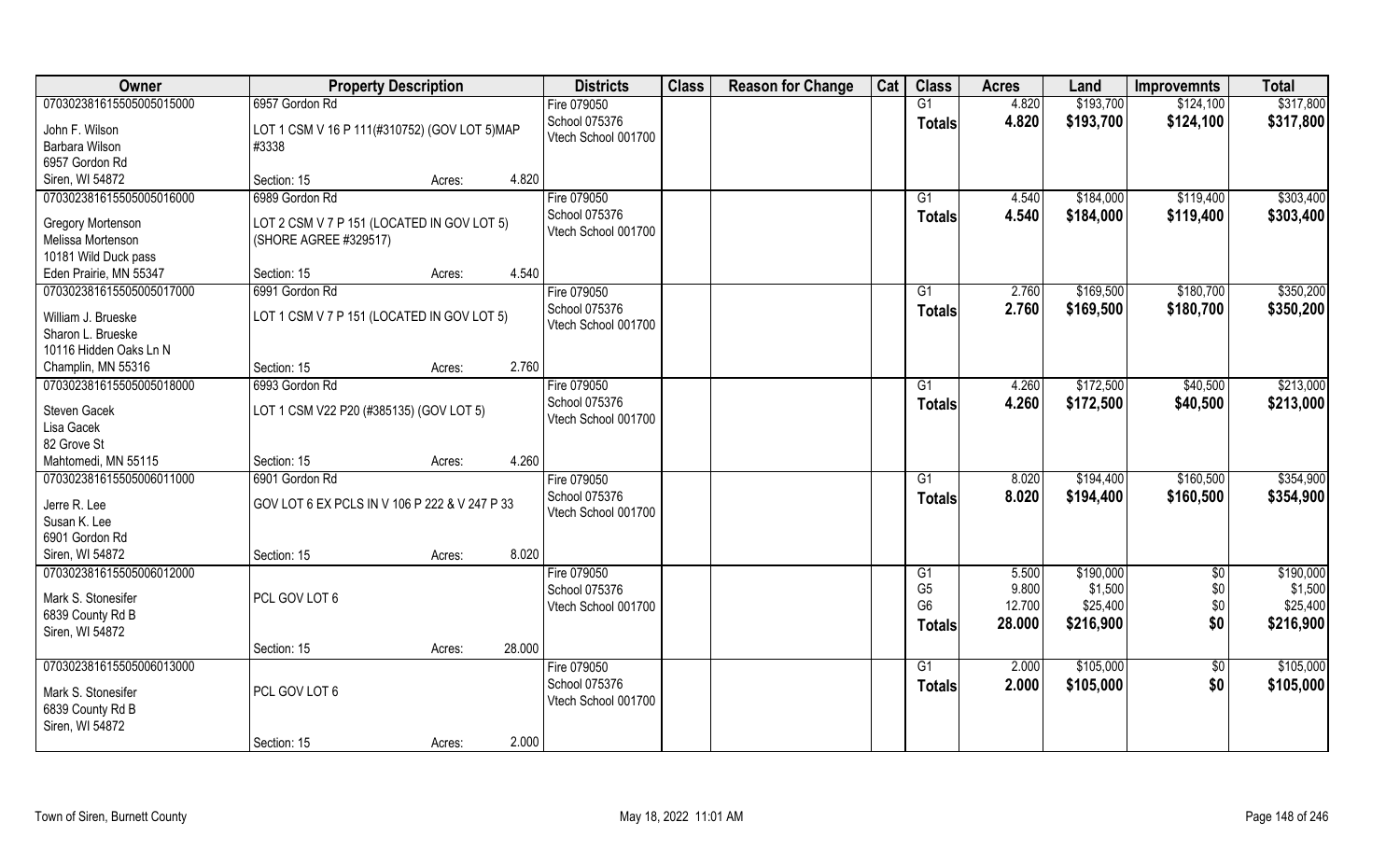| Owner                    | <b>Property Description</b>                   |        |        | <b>Districts</b>    | <b>Class</b> | <b>Reason for Change</b> | Cat | <b>Class</b>    | <b>Acres</b> | Land      | <b>Improvemnts</b> | <b>Total</b> |
|--------------------------|-----------------------------------------------|--------|--------|---------------------|--------------|--------------------------|-----|-----------------|--------------|-----------|--------------------|--------------|
| 070302381615505005015000 | 6957 Gordon Rd                                |        |        | Fire 079050         |              |                          |     | G1              | 4.820        | \$193,700 | \$124,100          | \$317,800    |
| John F. Wilson           | LOT 1 CSM V 16 P 111(#310752) (GOV LOT 5) MAP |        |        | School 075376       |              |                          |     | <b>Totals</b>   | 4.820        | \$193,700 | \$124,100          | \$317,800    |
| Barbara Wilson           | #3338                                         |        |        | Vtech School 001700 |              |                          |     |                 |              |           |                    |              |
| 6957 Gordon Rd           |                                               |        |        |                     |              |                          |     |                 |              |           |                    |              |
| Siren, WI 54872          | Section: 15                                   | Acres: | 4.820  |                     |              |                          |     |                 |              |           |                    |              |
| 070302381615505005016000 | 6989 Gordon Rd                                |        |        | Fire 079050         |              |                          |     | G1              | 4.540        | \$184,000 | \$119,400          | \$303,400    |
|                          |                                               |        |        | School 075376       |              |                          |     | Totals          | 4.540        | \$184,000 | \$119,400          | \$303,400    |
| <b>Gregory Mortenson</b> | LOT 2 CSM V 7 P 151 (LOCATED IN GOV LOT 5)    |        |        | Vtech School 001700 |              |                          |     |                 |              |           |                    |              |
| Melissa Mortenson        | (SHORE AGREE #329517)                         |        |        |                     |              |                          |     |                 |              |           |                    |              |
| 10181 Wild Duck pass     |                                               |        |        |                     |              |                          |     |                 |              |           |                    |              |
| Eden Prairie, MN 55347   | Section: 15                                   | Acres: | 4.540  |                     |              |                          |     |                 |              |           |                    |              |
| 070302381615505005017000 | 6991 Gordon Rd                                |        |        | Fire 079050         |              |                          |     | G1              | 2.760        | \$169,500 | \$180,700          | \$350,200    |
| William J. Brueske       | LOT 1 CSM V 7 P 151 (LOCATED IN GOV LOT 5)    |        |        | School 075376       |              |                          |     | <b>Totals</b>   | 2.760        | \$169,500 | \$180,700          | \$350,200    |
| Sharon L. Brueske        |                                               |        |        | Vtech School 001700 |              |                          |     |                 |              |           |                    |              |
| 10116 Hidden Oaks Ln N   |                                               |        |        |                     |              |                          |     |                 |              |           |                    |              |
| Champlin, MN 55316       | Section: 15                                   | Acres: | 2.760  |                     |              |                          |     |                 |              |           |                    |              |
| 070302381615505005018000 | 6993 Gordon Rd                                |        |        | Fire 079050         |              |                          |     | G1              | 4.260        | \$172,500 | \$40,500           | \$213,000    |
|                          |                                               |        |        | School 075376       |              |                          |     | <b>Totals</b>   | 4.260        | \$172,500 | \$40,500           | \$213,000    |
| <b>Steven Gacek</b>      | LOT 1 CSM V22 P20 (#385135) (GOV LOT 5)       |        |        | Vtech School 001700 |              |                          |     |                 |              |           |                    |              |
| Lisa Gacek               |                                               |        |        |                     |              |                          |     |                 |              |           |                    |              |
| 82 Grove St              |                                               |        |        |                     |              |                          |     |                 |              |           |                    |              |
| Mahtomedi, MN 55115      | Section: 15                                   | Acres: | 4.260  |                     |              |                          |     |                 |              |           |                    |              |
| 070302381615505006011000 | 6901 Gordon Rd                                |        |        | Fire 079050         |              |                          |     | $\overline{G1}$ | 8.020        | \$194,400 | \$160,500          | \$354,900    |
| Jerre R. Lee             | GOV LOT 6 EX PCLS IN V 106 P 222 & V 247 P 33 |        |        | School 075376       |              |                          |     | <b>Totals</b>   | 8.020        | \$194,400 | \$160,500          | \$354,900    |
| Susan K. Lee             |                                               |        |        | Vtech School 001700 |              |                          |     |                 |              |           |                    |              |
| 6901 Gordon Rd           |                                               |        |        |                     |              |                          |     |                 |              |           |                    |              |
| Siren, WI 54872          | Section: 15                                   | Acres: | 8.020  |                     |              |                          |     |                 |              |           |                    |              |
| 070302381615505006012000 |                                               |        |        | Fire 079050         |              |                          |     | G1              | 5.500        | \$190,000 | $\overline{50}$    | \$190,000    |
|                          |                                               |        |        | School 075376       |              |                          |     | G <sub>5</sub>  | 9.800        | \$1,500   | \$0                | \$1,500      |
| Mark S. Stonesifer       | PCL GOV LOT 6                                 |        |        | Vtech School 001700 |              |                          |     | G <sub>6</sub>  | 12.700       | \$25,400  | \$0\$              | \$25,400     |
| 6839 County Rd B         |                                               |        |        |                     |              |                          |     | <b>Totals</b>   | 28.000       | \$216,900 | \$0                | \$216,900    |
| Siren, WI 54872          |                                               |        |        |                     |              |                          |     |                 |              |           |                    |              |
|                          | Section: 15                                   | Acres: | 28.000 |                     |              |                          |     |                 |              |           |                    |              |
| 070302381615505006013000 |                                               |        |        | Fire 079050         |              |                          |     | G1              | 2.000        | \$105,000 | $\overline{50}$    | \$105,000    |
| Mark S. Stonesifer       | PCL GOV LOT 6                                 |        |        | School 075376       |              |                          |     | <b>Totals</b>   | 2.000        | \$105,000 | \$0                | \$105,000    |
| 6839 County Rd B         |                                               |        |        | Vtech School 001700 |              |                          |     |                 |              |           |                    |              |
| Siren, WI 54872          |                                               |        |        |                     |              |                          |     |                 |              |           |                    |              |
|                          | Section: 15                                   | Acres: | 2.000  |                     |              |                          |     |                 |              |           |                    |              |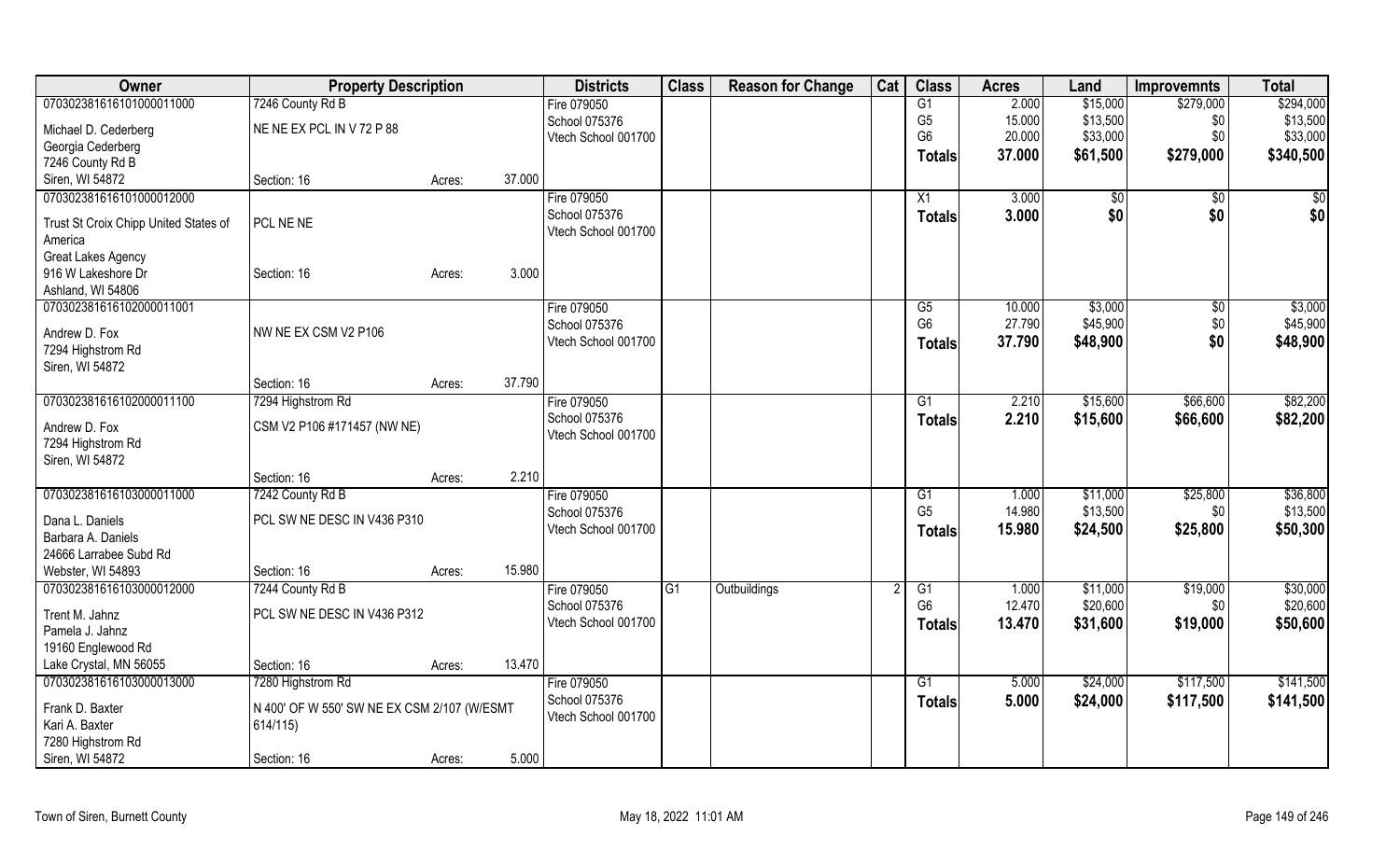| Owner                                            | <b>Property Description</b>                             |        |                     | <b>Districts</b>                     | <b>Class</b>   | <b>Reason for Change</b> | Cat           | <b>Class</b>         | <b>Acres</b>    | Land      | <b>Improvemnts</b> | <b>Total</b> |
|--------------------------------------------------|---------------------------------------------------------|--------|---------------------|--------------------------------------|----------------|--------------------------|---------------|----------------------|-----------------|-----------|--------------------|--------------|
| 070302381616101000011000                         | 7246 County Rd B                                        |        |                     | Fire 079050                          |                |                          |               | G1                   | 2.000           | \$15,000  | \$279,000          | \$294,000    |
| Michael D. Cederberg                             | NE NE EX PCL IN V 72 P 88                               |        |                     | School 075376                        |                |                          |               | G <sub>5</sub>       | 15.000          | \$13,500  | \$0                | \$13,500     |
| Georgia Cederberg                                |                                                         |        |                     | Vtech School 001700                  |                |                          |               | G <sub>6</sub>       | 20.000          | \$33,000  | \$0                | \$33,000     |
| 7246 County Rd B                                 |                                                         |        |                     |                                      |                |                          |               | <b>Totals</b>        | 37.000          | \$61,500  | \$279,000          | \$340,500    |
| Siren, WI 54872                                  | Section: 16                                             | Acres: | 37.000              |                                      |                |                          |               |                      |                 |           |                    |              |
| 070302381616101000012000                         |                                                         |        |                     | Fire 079050                          |                |                          |               | $\overline{X1}$      | 3.000           | \$0       | \$0                | \$0          |
|                                                  | PCL NE NE                                               |        |                     | School 075376                        |                |                          |               | <b>Totals</b>        | 3.000           | \$0       | \$0                | \$0          |
| Trust St Croix Chipp United States of<br>America |                                                         |        |                     | Vtech School 001700                  |                |                          |               |                      |                 |           |                    |              |
| <b>Great Lakes Agency</b>                        |                                                         |        |                     |                                      |                |                          |               |                      |                 |           |                    |              |
| 916 W Lakeshore Dr                               | Section: 16                                             | Acres: | 3.000               |                                      |                |                          |               |                      |                 |           |                    |              |
| Ashland, WI 54806                                |                                                         |        |                     |                                      |                |                          |               |                      |                 |           |                    |              |
| 070302381616102000011001                         |                                                         |        |                     | Fire 079050                          |                |                          |               | G5                   | 10.000          | \$3,000   | $\sqrt[6]{30}$     | \$3,000      |
|                                                  |                                                         |        |                     | School 075376                        |                |                          |               | G <sub>6</sub>       | 27.790          | \$45,900  | $$0$$              | \$45,900     |
| Andrew D. Fox                                    | NW NE EX CSM V2 P106                                    |        |                     | Vtech School 001700                  |                |                          |               | <b>Totals</b>        | 37.790          | \$48,900  | \$0                | \$48,900     |
| 7294 Highstrom Rd<br>Siren, WI 54872             |                                                         |        |                     |                                      |                |                          |               |                      |                 |           |                    |              |
|                                                  | Section: 16                                             | Acres: | 37.790              |                                      |                |                          |               |                      |                 |           |                    |              |
| 070302381616102000011100                         | 7294 Highstrom Rd                                       |        |                     | Fire 079050                          |                |                          |               | G1                   | 2.210           | \$15,600  | \$66,600           | \$82,200     |
|                                                  |                                                         |        |                     | School 075376                        |                |                          |               | <b>Totals</b>        | 2.210           | \$15,600  | \$66,600           | \$82,200     |
| Andrew D. Fox                                    | CSM V2 P106 #171457 (NW NE)                             |        |                     | Vtech School 001700                  |                |                          |               |                      |                 |           |                    |              |
| 7294 Highstrom Rd                                |                                                         |        |                     |                                      |                |                          |               |                      |                 |           |                    |              |
| Siren, WI 54872                                  |                                                         |        |                     |                                      |                |                          |               |                      |                 |           |                    |              |
|                                                  | Section: 16                                             | Acres: | 2.210               |                                      |                |                          |               |                      |                 |           |                    |              |
| 070302381616103000011000                         | 7242 County Rd B                                        |        |                     | Fire 079050                          |                |                          |               | G1<br>G <sub>5</sub> | 1.000<br>14.980 | \$11,000  | \$25,800           | \$36,800     |
| Dana L. Daniels                                  | PCL SW NE DESC IN V436 P310                             |        |                     | School 075376<br>Vtech School 001700 |                |                          |               |                      |                 | \$13,500  | \$0                | \$13,500     |
| Barbara A. Daniels                               |                                                         |        |                     |                                      |                |                          |               | <b>Totals</b>        | 15.980          | \$24,500  | \$25,800           | \$50,300     |
| 24666 Larrabee Subd Rd                           |                                                         |        |                     |                                      |                |                          |               |                      |                 |           |                    |              |
| Webster, WI 54893                                | Section: 16                                             | Acres: | 15.980              |                                      |                |                          |               |                      |                 |           |                    |              |
| 070302381616103000012000                         | 7244 County Rd B                                        |        |                     | Fire 079050                          | G <sub>1</sub> | Outbuildings             |               | G1                   | 1.000           | \$11,000  | \$19,000           | \$30,000     |
| Trent M. Jahnz                                   | PCL SW NE DESC IN V436 P312                             |        |                     | School 075376                        |                |                          |               | G <sub>6</sub>       | 12.470          | \$20,600  | \$0                | \$20,600     |
| Pamela J. Jahnz                                  |                                                         |        |                     | Vtech School 001700                  |                |                          |               | <b>Totals</b>        | 13.470          | \$31,600  | \$19,000           | \$50,600     |
| 19160 Englewood Rd                               |                                                         |        |                     |                                      |                |                          |               |                      |                 |           |                    |              |
| Lake Crystal, MN 56055                           | Section: 16                                             | Acres: | 13.470              |                                      |                |                          |               |                      |                 |           |                    |              |
| 070302381616103000013000                         | 7280 Highstrom Rd                                       |        |                     | Fire 079050                          |                |                          |               | $\overline{G1}$      | 5.000           | \$24,000  | \$117,500          | \$141,500    |
| Frank D. Baxter                                  |                                                         |        | School 075376       |                                      |                |                          | <b>Totals</b> | 5.000                | \$24,000        | \$117,500 | \$141,500          |              |
| Kari A. Baxter                                   | N 400' OF W 550' SW NE EX CSM 2/107 (W/ESMT<br>614/115) |        | Vtech School 001700 |                                      |                |                          |               |                      |                 |           |                    |              |
| 7280 Highstrom Rd                                |                                                         |        |                     |                                      |                |                          |               |                      |                 |           |                    |              |
| Siren, WI 54872                                  | Section: 16                                             | Acres: | 5.000               |                                      |                |                          |               |                      |                 |           |                    |              |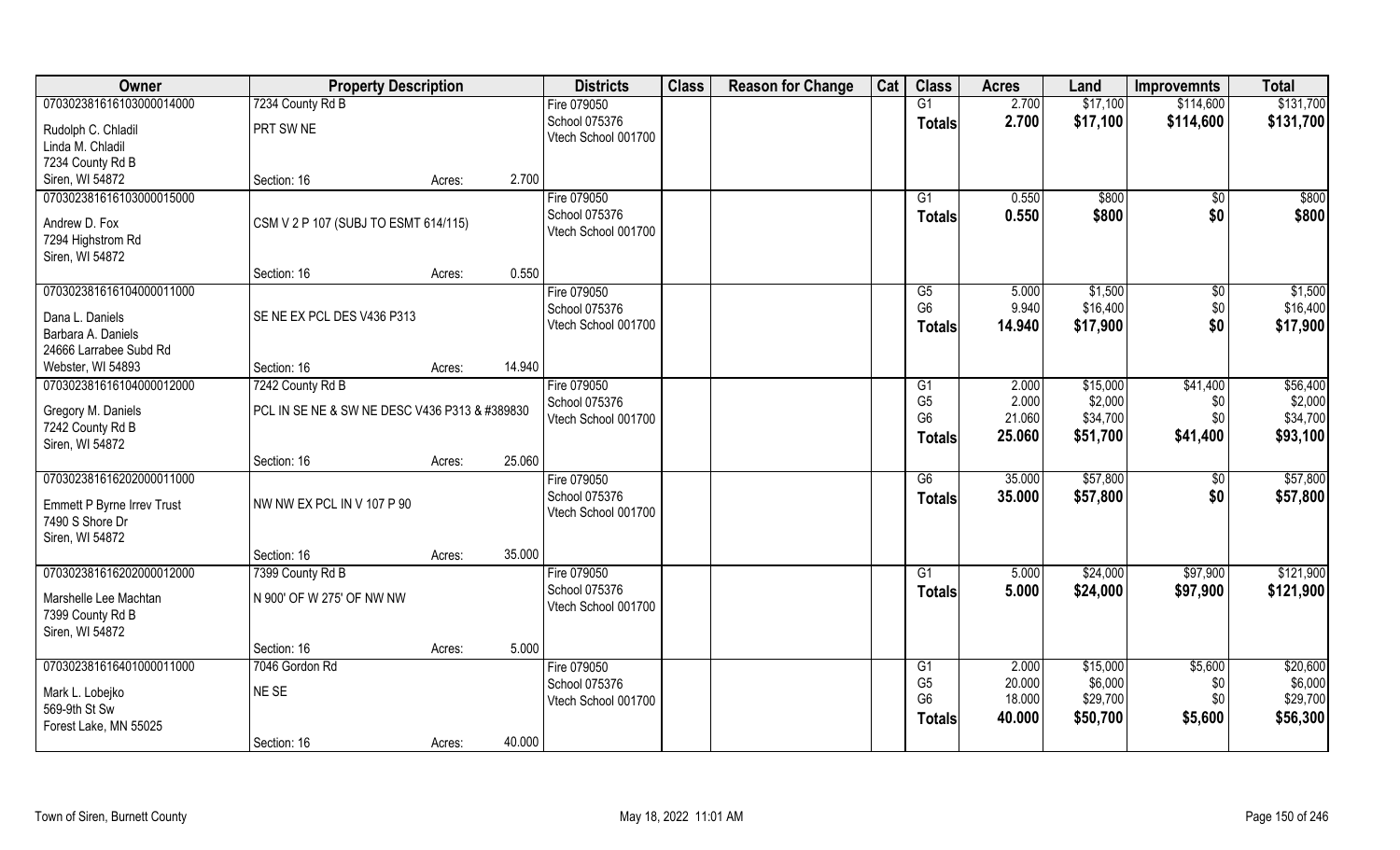| Owner                                                | <b>Property Description</b>                   | <b>Districts</b> | <b>Class</b>        | <b>Reason for Change</b> | Cat | <b>Class</b> | <b>Acres</b>    | Land   | <b>Improvemnts</b> | <b>Total</b> |           |
|------------------------------------------------------|-----------------------------------------------|------------------|---------------------|--------------------------|-----|--------------|-----------------|--------|--------------------|--------------|-----------|
| 070302381616103000014000                             | 7234 County Rd B                              |                  | Fire 079050         |                          |     |              | G1              | 2.700  | \$17,100           | \$114,600    | \$131,700 |
| Rudolph C. Chladil                                   | PRT SW NE                                     |                  | School 075376       |                          |     |              | <b>Totals</b>   | 2.700  | \$17,100           | \$114,600    | \$131,700 |
| Linda M. Chladil                                     |                                               |                  | Vtech School 001700 |                          |     |              |                 |        |                    |              |           |
| 7234 County Rd B                                     |                                               |                  |                     |                          |     |              |                 |        |                    |              |           |
| Siren, WI 54872                                      | Section: 16                                   | 2.700<br>Acres:  |                     |                          |     |              |                 |        |                    |              |           |
| 070302381616103000015000                             |                                               |                  | Fire 079050         |                          |     |              | G1              | 0.550  | \$800              | $\sqrt[6]{}$ | \$800     |
| Andrew D. Fox                                        | CSM V 2 P 107 (SUBJ TO ESMT 614/115)          |                  | School 075376       |                          |     |              | <b>Totals</b>   | 0.550  | \$800              | \$0          | \$800     |
| 7294 Highstrom Rd                                    |                                               |                  | Vtech School 001700 |                          |     |              |                 |        |                    |              |           |
| Siren, WI 54872                                      |                                               |                  |                     |                          |     |              |                 |        |                    |              |           |
|                                                      | Section: 16                                   | 0.550<br>Acres:  |                     |                          |     |              |                 |        |                    |              |           |
| 070302381616104000011000                             |                                               |                  | Fire 079050         |                          |     |              | G5              | 5.000  | \$1,500            | $\sqrt[6]{}$ | \$1,500   |
| Dana L. Daniels                                      | SE NE EX PCL DES V436 P313                    |                  | School 075376       |                          |     |              | G <sub>6</sub>  | 9.940  | \$16,400           | \$0          | \$16,400  |
| Barbara A. Daniels                                   |                                               |                  | Vtech School 001700 |                          |     |              | <b>Totals</b>   | 14.940 | \$17,900           | \$0          | \$17,900  |
| 24666 Larrabee Subd Rd                               |                                               |                  |                     |                          |     |              |                 |        |                    |              |           |
| Webster, WI 54893                                    | Section: 16                                   | 14.940<br>Acres: |                     |                          |     |              |                 |        |                    |              |           |
| 070302381616104000012000                             | 7242 County Rd B                              |                  | Fire 079050         |                          |     |              | G1              | 2.000  | \$15,000           | \$41,400     | \$56,400  |
| Gregory M. Daniels                                   | PCL IN SE NE & SW NE DESC V436 P313 & #389830 |                  | School 075376       |                          |     |              | G <sub>5</sub>  | 2.000  | \$2,000            | \$0          | \$2,000   |
| 7242 County Rd B                                     |                                               |                  | Vtech School 001700 |                          |     |              | G <sub>6</sub>  | 21.060 | \$34,700           | \$0          | \$34,700  |
| Siren, WI 54872                                      |                                               |                  |                     |                          |     |              | <b>Totals</b>   | 25.060 | \$51,700           | \$41,400     | \$93,100  |
|                                                      | Section: 16                                   | 25.060<br>Acres: |                     |                          |     |              |                 |        |                    |              |           |
| 070302381616202000011000                             |                                               |                  | Fire 079050         |                          |     |              | $\overline{G6}$ | 35.000 | \$57,800           | \$0          | \$57,800  |
|                                                      | NW NW EX PCL IN V 107 P 90                    |                  | School 075376       |                          |     |              | <b>Totals</b>   | 35.000 | \$57,800           | \$0          | \$57,800  |
| <b>Emmett P Byrne Irrev Trust</b><br>7490 S Shore Dr |                                               |                  | Vtech School 001700 |                          |     |              |                 |        |                    |              |           |
| Siren, WI 54872                                      |                                               |                  |                     |                          |     |              |                 |        |                    |              |           |
|                                                      | Section: 16                                   | 35.000<br>Acres: |                     |                          |     |              |                 |        |                    |              |           |
| 070302381616202000012000                             | 7399 County Rd B                              |                  | Fire 079050         |                          |     |              | G1              | 5.000  | \$24,000           | \$97,900     | \$121,900 |
|                                                      | N 900' OF W 275' OF NW NW                     |                  | School 075376       |                          |     |              | <b>Totals</b>   | 5.000  | \$24,000           | \$97,900     | \$121,900 |
| Marshelle Lee Machtan<br>7399 County Rd B            |                                               |                  | Vtech School 001700 |                          |     |              |                 |        |                    |              |           |
| Siren, WI 54872                                      |                                               |                  |                     |                          |     |              |                 |        |                    |              |           |
|                                                      | Section: 16                                   | 5.000<br>Acres:  |                     |                          |     |              |                 |        |                    |              |           |
| 070302381616401000011000                             | 7046 Gordon Rd                                |                  | Fire 079050         |                          |     |              | G1              | 2.000  | \$15,000           | \$5,600      | \$20,600  |
|                                                      |                                               |                  | School 075376       |                          |     |              | G <sub>5</sub>  | 20.000 | \$6,000            | \$0          | \$6,000   |
| Mark L. Lobejko<br>569-9th St Sw                     | NE SE                                         |                  | Vtech School 001700 |                          |     |              | G <sub>6</sub>  | 18.000 | \$29,700           | \$0          | \$29,700  |
| Forest Lake, MN 55025                                |                                               |                  |                     |                          |     |              | <b>Totals</b>   | 40.000 | \$50,700           | \$5,600      | \$56,300  |
|                                                      | Section: 16                                   | 40.000<br>Acres: |                     |                          |     |              |                 |        |                    |              |           |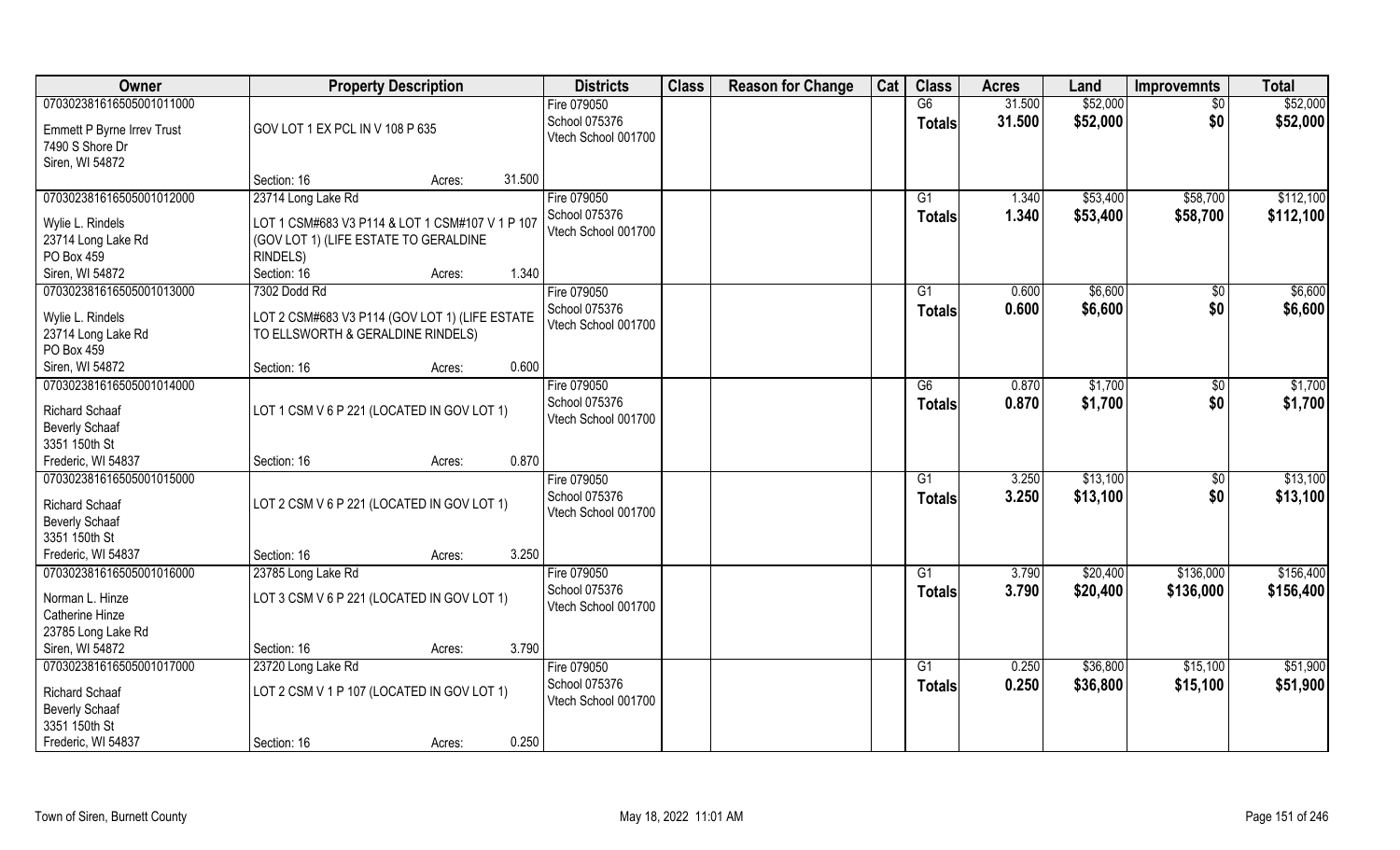| Owner                                  | <b>Property Description</b>                     |        | <b>Districts</b>             | <b>Class</b> | <b>Reason for Change</b> | Cat | <b>Class</b>  | <b>Acres</b> | Land     | <b>Improvemnts</b> | <b>Total</b> |
|----------------------------------------|-------------------------------------------------|--------|------------------------------|--------------|--------------------------|-----|---------------|--------------|----------|--------------------|--------------|
| 070302381616505001011000               |                                                 |        | Fire 079050                  |              |                          |     | G6            | 31.500       | \$52,000 | \$0                | \$52,000     |
| <b>Emmett P Byrne Irrev Trust</b>      | GOV LOT 1 EX PCL IN V 108 P 635                 |        | School 075376                |              |                          |     | <b>Totals</b> | 31.500       | \$52,000 | \$0                | \$52,000     |
| 7490 S Shore Dr                        |                                                 |        | Vtech School 001700          |              |                          |     |               |              |          |                    |              |
| Siren, WI 54872                        |                                                 |        |                              |              |                          |     |               |              |          |                    |              |
|                                        | Section: 16<br>Acres:                           | 31.500 |                              |              |                          |     |               |              |          |                    |              |
| 070302381616505001012000               | 23714 Long Lake Rd                              |        | Fire 079050                  |              |                          |     | G1            | 1.340        | \$53,400 | \$58,700           | \$112,100    |
| Wylie L. Rindels                       | LOT 1 CSM#683 V3 P114 & LOT 1 CSM#107 V 1 P 107 |        | School 075376                |              |                          |     | <b>Totals</b> | 1.340        | \$53,400 | \$58,700           | \$112,100    |
| 23714 Long Lake Rd                     | (GOV LOT 1) (LIFE ESTATE TO GERALDINE           |        | Vtech School 001700          |              |                          |     |               |              |          |                    |              |
| PO Box 459                             | RINDELS)                                        |        |                              |              |                          |     |               |              |          |                    |              |
| Siren, WI 54872                        | Section: 16<br>Acres:                           | 1.340  |                              |              |                          |     |               |              |          |                    |              |
| 070302381616505001013000               | 7302 Dodd Rd                                    |        | Fire 079050                  |              |                          |     | G1            | 0.600        | \$6,600  | $\sqrt[6]{}$       | \$6,600      |
| Wylie L. Rindels                       | LOT 2 CSM#683 V3 P114 (GOV LOT 1) (LIFE ESTATE  |        | School 075376                |              |                          |     | <b>Totals</b> | 0.600        | \$6,600  | \$0                | \$6,600      |
| 23714 Long Lake Rd                     | TO ELLSWORTH & GERALDINE RINDELS)               |        | Vtech School 001700          |              |                          |     |               |              |          |                    |              |
| PO Box 459                             |                                                 |        |                              |              |                          |     |               |              |          |                    |              |
| Siren, WI 54872                        | Section: 16<br>Acres:                           | 0.600  |                              |              |                          |     |               |              |          |                    |              |
| 070302381616505001014000               |                                                 |        | Fire 079050                  |              |                          |     | G6            | 0.870        | \$1,700  | \$0                | \$1,700      |
|                                        |                                                 |        | School 075376                |              |                          |     | <b>Totals</b> | 0.870        | \$1,700  | \$0                | \$1,700      |
| <b>Richard Schaaf</b>                  | LOT 1 CSM V 6 P 221 (LOCATED IN GOV LOT 1)      |        | Vtech School 001700          |              |                          |     |               |              |          |                    |              |
| <b>Beverly Schaaf</b><br>3351 150th St |                                                 |        |                              |              |                          |     |               |              |          |                    |              |
| Frederic, WI 54837                     | Section: 16<br>Acres:                           | 0.870  |                              |              |                          |     |               |              |          |                    |              |
| 070302381616505001015000               |                                                 |        | Fire 079050                  |              |                          |     | G1            | 3.250        | \$13,100 | \$0                | \$13,100     |
|                                        |                                                 |        | School 075376                |              |                          |     | <b>Totals</b> | 3.250        | \$13,100 | \$0                | \$13,100     |
| <b>Richard Schaaf</b>                  | LOT 2 CSM V 6 P 221 (LOCATED IN GOV LOT 1)      |        | Vtech School 001700          |              |                          |     |               |              |          |                    |              |
| <b>Beverly Schaaf</b>                  |                                                 |        |                              |              |                          |     |               |              |          |                    |              |
| 3351 150th St                          |                                                 |        |                              |              |                          |     |               |              |          |                    |              |
| Frederic, WI 54837                     | Section: 16<br>Acres:                           | 3.250  |                              |              |                          |     |               |              |          |                    |              |
| 070302381616505001016000               | 23785 Long Lake Rd                              |        | Fire 079050<br>School 075376 |              |                          |     | G1            | 3.790        | \$20,400 | \$136,000          | \$156,400    |
| Norman L. Hinze                        | LOT 3 CSM V 6 P 221 (LOCATED IN GOV LOT 1)      |        | Vtech School 001700          |              |                          |     | <b>Totals</b> | 3.790        | \$20,400 | \$136,000          | \$156,400    |
| Catherine Hinze                        |                                                 |        |                              |              |                          |     |               |              |          |                    |              |
| 23785 Long Lake Rd                     |                                                 |        |                              |              |                          |     |               |              |          |                    |              |
| Siren, WI 54872                        | Section: 16<br>Acres:                           | 3.790  |                              |              |                          |     |               |              |          |                    |              |
| 070302381616505001017000               | 23720 Long Lake Rd                              |        | Fire 079050                  |              |                          |     | G1            | 0.250        | \$36,800 | \$15,100           | \$51,900     |
| <b>Richard Schaaf</b>                  | LOT 2 CSM V 1 P 107 (LOCATED IN GOV LOT 1)      |        | School 075376                |              |                          |     | <b>Totals</b> | 0.250        | \$36,800 | \$15,100           | \$51,900     |
| <b>Beverly Schaaf</b>                  |                                                 |        | Vtech School 001700          |              |                          |     |               |              |          |                    |              |
| 3351 150th St                          |                                                 |        |                              |              |                          |     |               |              |          |                    |              |
| Frederic, WI 54837                     | Section: 16<br>Acres:                           | 0.250  |                              |              |                          |     |               |              |          |                    |              |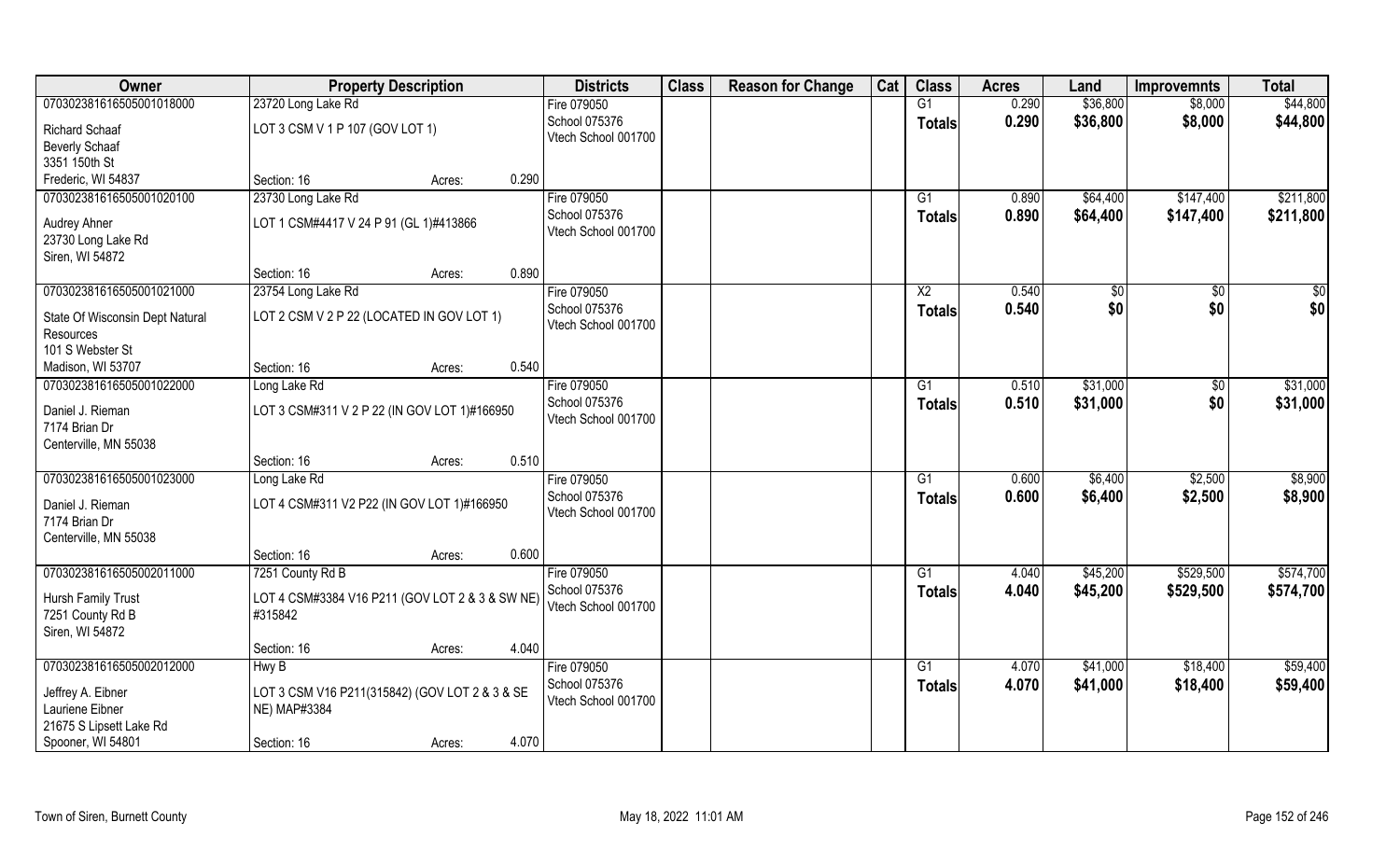| Owner                                          | <b>Property Description</b>                                |        |       | <b>Districts</b>                     | <b>Class</b> | <b>Reason for Change</b> | Cat | <b>Class</b>    | <b>Acres</b> | Land     | <b>Improvemnts</b> | <b>Total</b> |
|------------------------------------------------|------------------------------------------------------------|--------|-------|--------------------------------------|--------------|--------------------------|-----|-----------------|--------------|----------|--------------------|--------------|
| 070302381616505001018000                       | 23720 Long Lake Rd                                         |        |       | Fire 079050                          |              |                          |     | G1              | 0.290        | \$36,800 | \$8,000            | \$44,800     |
| <b>Richard Schaaf</b><br><b>Beverly Schaaf</b> | LOT 3 CSM V 1 P 107 (GOV LOT 1)                            |        |       | School 075376<br>Vtech School 001700 |              |                          |     | <b>Totals</b>   | 0.290        | \$36,800 | \$8,000            | \$44,800     |
| 3351 150th St                                  |                                                            |        |       |                                      |              |                          |     |                 |              |          |                    |              |
| Frederic, WI 54837                             | Section: 16                                                | Acres: | 0.290 |                                      |              |                          |     |                 |              |          |                    |              |
| 070302381616505001020100                       | 23730 Long Lake Rd                                         |        |       | Fire 079050                          |              |                          |     | G1              | 0.890        | \$64,400 | \$147,400          | \$211,800    |
| Audrey Ahner                                   | LOT 1 CSM#4417 V 24 P 91 (GL 1)#413866                     |        |       | School 075376                        |              |                          |     | <b>Totals</b>   | 0.890        | \$64,400 | \$147,400          | \$211,800    |
| 23730 Long Lake Rd                             |                                                            |        |       | Vtech School 001700                  |              |                          |     |                 |              |          |                    |              |
| Siren, WI 54872                                |                                                            |        |       |                                      |              |                          |     |                 |              |          |                    |              |
|                                                | Section: 16                                                | Acres: | 0.890 |                                      |              |                          |     |                 |              |          |                    |              |
| 070302381616505001021000                       | 23754 Long Lake Rd                                         |        |       | Fire 079050                          |              |                          |     | $\overline{X2}$ | 0.540        | \$0      | \$0                | \$0          |
|                                                |                                                            |        |       | School 075376                        |              |                          |     | <b>Totals</b>   | 0.540        | \$0      | \$0                | \$0          |
| State Of Wisconsin Dept Natural<br>Resources   | LOT 2 CSM V 2 P 22 (LOCATED IN GOV LOT 1)                  |        |       | Vtech School 001700                  |              |                          |     |                 |              |          |                    |              |
| 101 S Webster St                               |                                                            |        |       |                                      |              |                          |     |                 |              |          |                    |              |
| Madison, WI 53707                              | Section: 16                                                | Acres: | 0.540 |                                      |              |                          |     |                 |              |          |                    |              |
| 070302381616505001022000                       | Long Lake Rd                                               |        |       | Fire 079050                          |              |                          |     | G <sub>1</sub>  | 0.510        | \$31,000 | $\sqrt[6]{30}$     | \$31,000     |
|                                                |                                                            |        |       | School 075376                        |              |                          |     | <b>Totals</b>   | 0.510        | \$31,000 | \$0                | \$31,000     |
| Daniel J. Rieman                               | LOT 3 CSM#311 V 2 P 22 (IN GOV LOT 1)#166950               |        |       | Vtech School 001700                  |              |                          |     |                 |              |          |                    |              |
| 7174 Brian Dr                                  |                                                            |        |       |                                      |              |                          |     |                 |              |          |                    |              |
| Centerville, MN 55038                          |                                                            |        |       |                                      |              |                          |     |                 |              |          |                    |              |
|                                                | Section: 16                                                | Acres: | 0.510 |                                      |              |                          |     |                 |              |          |                    |              |
| 070302381616505001023000                       | Long Lake Rd                                               |        |       | Fire 079050                          |              |                          |     | G1              | 0.600        | \$6,400  | \$2,500            | \$8,900      |
| Daniel J. Rieman                               | LOT 4 CSM#311 V2 P22 (IN GOV LOT 1)#166950                 |        |       | School 075376                        |              |                          |     | <b>Totals</b>   | 0.600        | \$6,400  | \$2,500            | \$8,900      |
| 7174 Brian Dr                                  |                                                            |        |       | Vtech School 001700                  |              |                          |     |                 |              |          |                    |              |
| Centerville, MN 55038                          |                                                            |        |       |                                      |              |                          |     |                 |              |          |                    |              |
|                                                | Section: 16                                                | Acres: | 0.600 |                                      |              |                          |     |                 |              |          |                    |              |
| 070302381616505002011000                       | 7251 County Rd B                                           |        |       | Fire 079050                          |              |                          |     | G1              | 4.040        | \$45,200 | \$529,500          | \$574,700    |
|                                                |                                                            |        |       | School 075376                        |              |                          |     | <b>Totals</b>   | 4.040        | \$45,200 | \$529,500          | \$574,700    |
| Hursh Family Trust<br>7251 County Rd B         | LOT 4 CSM#3384 V16 P211 (GOV LOT 2 & 3 & SW NE)<br>#315842 |        |       | Vtech School 001700                  |              |                          |     |                 |              |          |                    |              |
| Siren, WI 54872                                |                                                            |        |       |                                      |              |                          |     |                 |              |          |                    |              |
|                                                | Section: 16                                                | Acres: | 4.040 |                                      |              |                          |     |                 |              |          |                    |              |
| 070302381616505002012000                       | Hwy B                                                      |        |       | Fire 079050                          |              |                          |     | G1              | 4.070        | \$41,000 | \$18,400           | \$59,400     |
|                                                |                                                            |        |       | School 075376                        |              |                          |     | <b>Totals</b>   | 4.070        | \$41,000 | \$18,400           | \$59,400     |
| Jeffrey A. Eibner                              | LOT 3 CSM V16 P211(315842) (GOV LOT 2 & 3 & SE             |        |       | Vtech School 001700                  |              |                          |     |                 |              |          |                    |              |
| Lauriene Eibner                                | NE) MAP#3384                                               |        |       |                                      |              |                          |     |                 |              |          |                    |              |
| 21675 S Lipsett Lake Rd                        |                                                            |        |       |                                      |              |                          |     |                 |              |          |                    |              |
| Spooner, WI 54801                              | Section: 16                                                | Acres: | 4.070 |                                      |              |                          |     |                 |              |          |                    |              |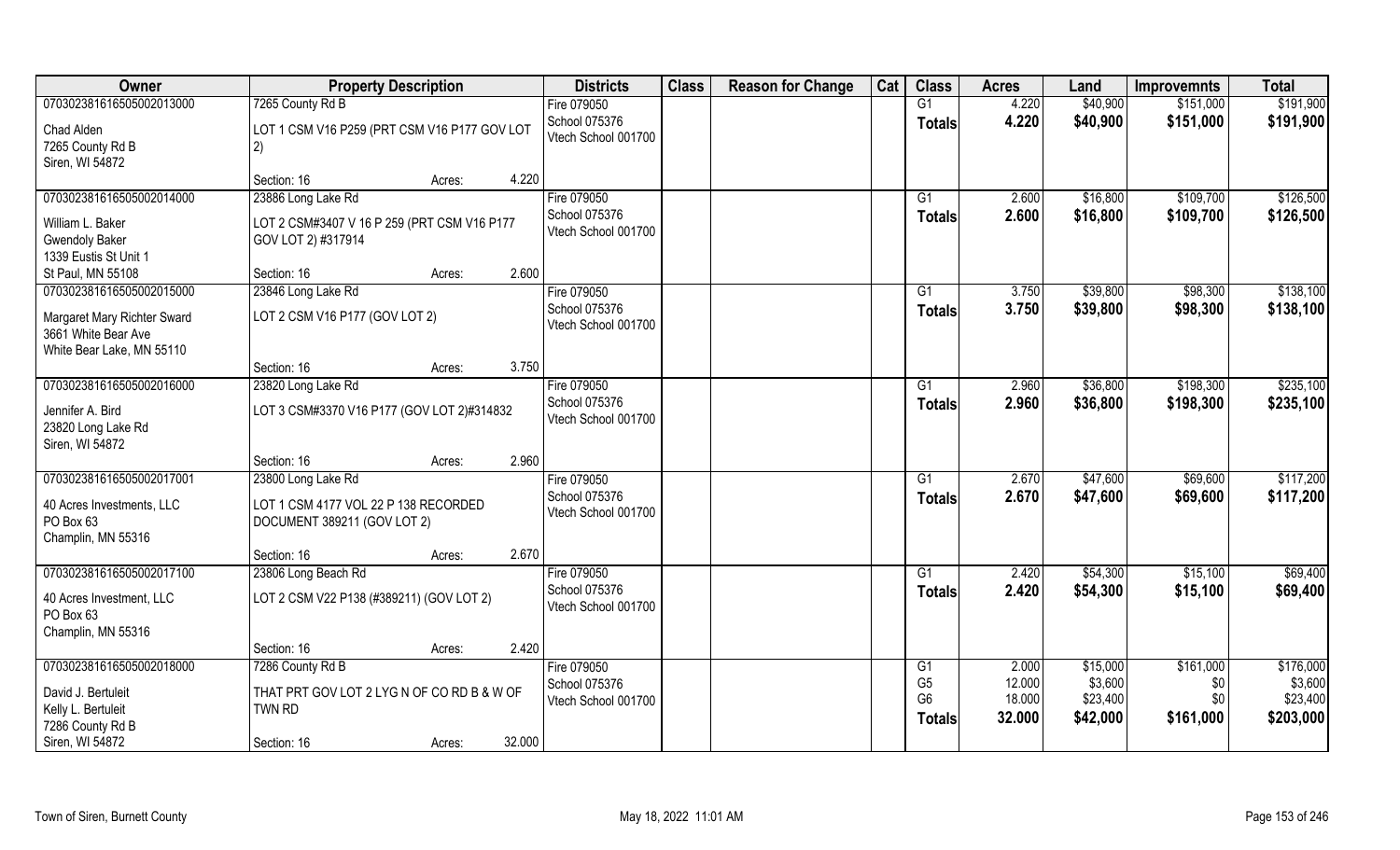| Owner                                              | <b>Property Description</b>                  | <b>Districts</b>    | <b>Class</b> | <b>Reason for Change</b> | Cat | <b>Class</b>    | <b>Acres</b> | Land     | <b>Improvemnts</b> | <b>Total</b> |
|----------------------------------------------------|----------------------------------------------|---------------------|--------------|--------------------------|-----|-----------------|--------------|----------|--------------------|--------------|
| 070302381616505002013000                           | 7265 County Rd B                             | Fire 079050         |              |                          |     | $\overline{G1}$ | 4.220        | \$40,900 | \$151,000          | \$191,900    |
| Chad Alden                                         | LOT 1 CSM V16 P259 (PRT CSM V16 P177 GOV LOT | School 075376       |              |                          |     | <b>Totals</b>   | 4.220        | \$40,900 | \$151,000          | \$191,900    |
| 7265 County Rd B                                   | 2)                                           | Vtech School 001700 |              |                          |     |                 |              |          |                    |              |
| Siren, WI 54872                                    |                                              |                     |              |                          |     |                 |              |          |                    |              |
|                                                    | 4.220<br>Section: 16<br>Acres:               |                     |              |                          |     |                 |              |          |                    |              |
| 070302381616505002014000                           | 23886 Long Lake Rd                           | Fire 079050         |              |                          |     | $\overline{G1}$ | 2.600        | \$16,800 | \$109,700          | \$126,500    |
| William L. Baker                                   | LOT 2 CSM#3407 V 16 P 259 (PRT CSM V16 P177  | School 075376       |              |                          |     | Totals          | 2.600        | \$16,800 | \$109,700          | \$126,500    |
| <b>Gwendoly Baker</b>                              | GOV LOT 2) #317914                           | Vtech School 001700 |              |                          |     |                 |              |          |                    |              |
| 1339 Eustis St Unit 1                              |                                              |                     |              |                          |     |                 |              |          |                    |              |
| St Paul, MN 55108                                  | 2.600<br>Section: 16<br>Acres:               |                     |              |                          |     |                 |              |          |                    |              |
| 070302381616505002015000                           | 23846 Long Lake Rd                           | Fire 079050         |              |                          |     | G1              | 3.750        | \$39,800 | \$98,300           | \$138,100    |
|                                                    | LOT 2 CSM V16 P177 (GOV LOT 2)               | School 075376       |              |                          |     | <b>Totals</b>   | 3.750        | \$39,800 | \$98,300           | \$138,100    |
| Margaret Mary Richter Sward<br>3661 White Bear Ave |                                              | Vtech School 001700 |              |                          |     |                 |              |          |                    |              |
| White Bear Lake, MN 55110                          |                                              |                     |              |                          |     |                 |              |          |                    |              |
|                                                    | 3.750<br>Section: 16<br>Acres:               |                     |              |                          |     |                 |              |          |                    |              |
| 070302381616505002016000                           | 23820 Long Lake Rd                           | Fire 079050         |              |                          |     | G1              | 2.960        | \$36,800 | \$198,300          | \$235,100    |
|                                                    |                                              | School 075376       |              |                          |     | <b>Totals</b>   | 2.960        | \$36,800 | \$198,300          | \$235,100    |
| Jennifer A. Bird<br>23820 Long Lake Rd             | LOT 3 CSM#3370 V16 P177 (GOV LOT 2)#314832   | Vtech School 001700 |              |                          |     |                 |              |          |                    |              |
| Siren, WI 54872                                    |                                              |                     |              |                          |     |                 |              |          |                    |              |
|                                                    | 2.960<br>Section: 16<br>Acres:               |                     |              |                          |     |                 |              |          |                    |              |
| 070302381616505002017001                           | 23800 Long Lake Rd                           | Fire 079050         |              |                          |     | $\overline{G1}$ | 2.670        | \$47,600 | \$69,600           | \$117,200    |
|                                                    |                                              | School 075376       |              |                          |     | <b>Totals</b>   | 2.670        | \$47,600 | \$69,600           | \$117,200    |
| 40 Acres Investments, LLC                          | LOT 1 CSM 4177 VOL 22 P 138 RECORDED         | Vtech School 001700 |              |                          |     |                 |              |          |                    |              |
| PO Box 63<br>Champlin, MN 55316                    | DOCUMENT 389211 (GOV LOT 2)                  |                     |              |                          |     |                 |              |          |                    |              |
|                                                    | 2.670<br>Section: 16<br>Acres:               |                     |              |                          |     |                 |              |          |                    |              |
| 070302381616505002017100                           | 23806 Long Beach Rd                          | Fire 079050         |              |                          |     | G1              | 2.420        | \$54,300 | \$15,100           | \$69,400     |
|                                                    |                                              | School 075376       |              |                          |     | <b>Totals</b>   | 2.420        | \$54,300 | \$15,100           | \$69,400     |
| 40 Acres Investment, LLC                           | LOT 2 CSM V22 P138 (#389211) (GOV LOT 2)     | Vtech School 001700 |              |                          |     |                 |              |          |                    |              |
| PO Box 63                                          |                                              |                     |              |                          |     |                 |              |          |                    |              |
| Champlin, MN 55316                                 | 2.420<br>Section: 16                         |                     |              |                          |     |                 |              |          |                    |              |
| 070302381616505002018000                           | Acres:<br>7286 County Rd B                   | Fire 079050         |              |                          |     | G1              | 2.000        | \$15,000 | \$161,000          | \$176,000    |
|                                                    |                                              | School 075376       |              |                          |     | G <sub>5</sub>  | 12.000       | \$3,600  | \$0                | \$3,600      |
| David J. Bertuleit                                 | THAT PRT GOV LOT 2 LYG N OF CO RD B & W OF   | Vtech School 001700 |              |                          |     | G <sub>6</sub>  | 18.000       | \$23,400 | \$0                | \$23,400     |
| Kelly L. Bertuleit                                 | TWN RD                                       |                     |              |                          |     | <b>Totals</b>   | 32.000       | \$42,000 | \$161,000          | \$203,000    |
| 7286 County Rd B                                   |                                              |                     |              |                          |     |                 |              |          |                    |              |
| Siren, WI 54872                                    | 32.000<br>Section: 16<br>Acres:              |                     |              |                          |     |                 |              |          |                    |              |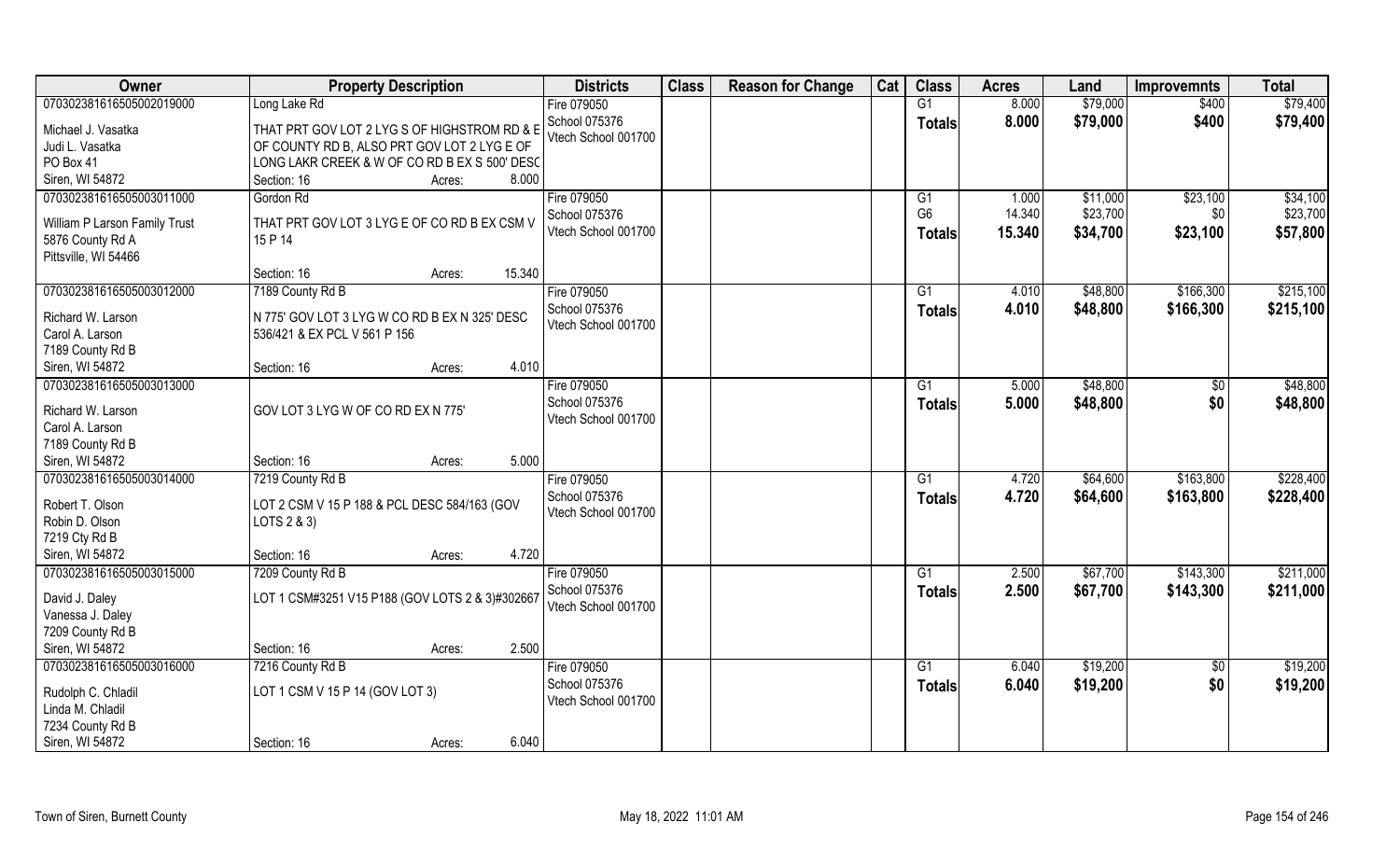| Owner                         | <b>Property Description</b>                     | <b>Districts</b>    | <b>Class</b> | <b>Reason for Change</b> | Cat | <b>Class</b>    | <b>Acres</b> | Land     | <b>Improvemnts</b> | <b>Total</b> |
|-------------------------------|-------------------------------------------------|---------------------|--------------|--------------------------|-----|-----------------|--------------|----------|--------------------|--------------|
| 070302381616505002019000      | Long Lake Rd                                    | Fire 079050         |              |                          |     | G1              | 8.000        | \$79,000 | \$400              | \$79,400     |
| Michael J. Vasatka            | THAT PRT GOV LOT 2 LYG S OF HIGHSTROM RD & E    | School 075376       |              |                          |     | <b>Totals</b>   | 8.000        | \$79,000 | \$400              | \$79,400     |
| Judi L. Vasatka               | OF COUNTY RD B, ALSO PRT GOV LOT 2 LYG E OF     | Vtech School 001700 |              |                          |     |                 |              |          |                    |              |
| PO Box 41                     | LONG LAKR CREEK & W OF CO RD B EX S 500' DESC   |                     |              |                          |     |                 |              |          |                    |              |
| Siren, WI 54872               | Section: 16<br>Acres:                           | 8.000               |              |                          |     |                 |              |          |                    |              |
| 070302381616505003011000      | Gordon Rd                                       | Fire 079050         |              |                          |     | G1              | 1.000        | \$11,000 | \$23,100           | \$34,100     |
|                               |                                                 | School 075376       |              |                          |     | G <sub>6</sub>  | 14.340       | \$23,700 | \$0                | \$23,700     |
| William P Larson Family Trust | THAT PRT GOV LOT 3 LYG E OF CO RD B EX CSM V    | Vtech School 001700 |              |                          |     |                 | 15.340       |          |                    |              |
| 5876 County Rd A              | 15 P 14                                         |                     |              |                          |     | Totals          |              | \$34,700 | \$23,100           | \$57,800     |
| Pittsville, WI 54466          |                                                 |                     |              |                          |     |                 |              |          |                    |              |
|                               | 15.340<br>Section: 16<br>Acres:                 |                     |              |                          |     |                 |              |          |                    |              |
| 070302381616505003012000      | 7189 County Rd B                                | Fire 079050         |              |                          |     | G1              | 4.010        | \$48,800 | \$166,300          | \$215,100    |
|                               |                                                 | School 075376       |              |                          |     | <b>Totals</b>   | 4.010        | \$48,800 | \$166,300          | \$215,100    |
| Richard W. Larson             | N 775' GOV LOT 3 LYG W CO RD B EX N 325' DESC   | Vtech School 001700 |              |                          |     |                 |              |          |                    |              |
| Carol A. Larson               | 536/421 & EX PCL V 561 P 156                    |                     |              |                          |     |                 |              |          |                    |              |
| 7189 County Rd B              |                                                 | 4.010               |              |                          |     |                 |              |          |                    |              |
| Siren, WI 54872               | Section: 16<br>Acres:                           |                     |              |                          |     |                 |              |          |                    |              |
| 070302381616505003013000      |                                                 | Fire 079050         |              |                          |     | G <sub>1</sub>  | 5.000        | \$48,800 | $\sqrt[6]{3}$      | \$48,800     |
| Richard W. Larson             | GOV LOT 3 LYG W OF CO RD EX N 775'              | School 075376       |              |                          |     | <b>Totals</b>   | 5.000        | \$48,800 | \$0                | \$48,800     |
| Carol A. Larson               |                                                 | Vtech School 001700 |              |                          |     |                 |              |          |                    |              |
| 7189 County Rd B              |                                                 |                     |              |                          |     |                 |              |          |                    |              |
| Siren, WI 54872               | Section: 16<br>Acres:                           | 5.000               |              |                          |     |                 |              |          |                    |              |
| 070302381616505003014000      | 7219 County Rd B                                | Fire 079050         |              |                          |     | G1              | 4.720        | \$64,600 | \$163,800          | \$228,400    |
|                               |                                                 | School 075376       |              |                          |     | <b>Totals</b>   | 4.720        | \$64,600 | \$163,800          | \$228,400    |
| Robert T. Olson               | LOT 2 CSM V 15 P 188 & PCL DESC 584/163 (GOV    | Vtech School 001700 |              |                          |     |                 |              |          |                    |              |
| Robin D. Olson                | LOTS 2 & 3)                                     |                     |              |                          |     |                 |              |          |                    |              |
| 7219 Cty Rd B                 |                                                 |                     |              |                          |     |                 |              |          |                    |              |
| Siren, WI 54872               | Section: 16<br>Acres:                           | 4.720               |              |                          |     |                 |              |          |                    |              |
| 070302381616505003015000      | 7209 County Rd B                                | Fire 079050         |              |                          |     | G1              | 2.500        | \$67,700 | \$143,300          | \$211,000    |
| David J. Daley                | LOT 1 CSM#3251 V15 P188 (GOV LOTS 2 & 3)#302667 | School 075376       |              |                          |     | <b>Totals</b>   | 2.500        | \$67,700 | \$143,300          | \$211,000    |
| Vanessa J. Daley              |                                                 | Vtech School 001700 |              |                          |     |                 |              |          |                    |              |
| 7209 County Rd B              |                                                 |                     |              |                          |     |                 |              |          |                    |              |
| Siren, WI 54872               | Section: 16<br>Acres:                           | 2.500               |              |                          |     |                 |              |          |                    |              |
| 070302381616505003016000      | 7216 County Rd B                                | Fire 079050         |              |                          |     | $\overline{G1}$ | 6.040        | \$19,200 | $\sqrt{$0}$        | \$19,200     |
|                               |                                                 | School 075376       |              |                          |     | <b>Totals</b>   | 6.040        | \$19,200 | \$0                | \$19,200     |
| Rudolph C. Chladil            | LOT 1 CSM V 15 P 14 (GOV LOT 3)                 | Vtech School 001700 |              |                          |     |                 |              |          |                    |              |
| Linda M. Chladil              |                                                 |                     |              |                          |     |                 |              |          |                    |              |
| 7234 County Rd B              |                                                 |                     |              |                          |     |                 |              |          |                    |              |
| Siren, WI 54872               | Section: 16<br>Acres:                           | 6.040               |              |                          |     |                 |              |          |                    |              |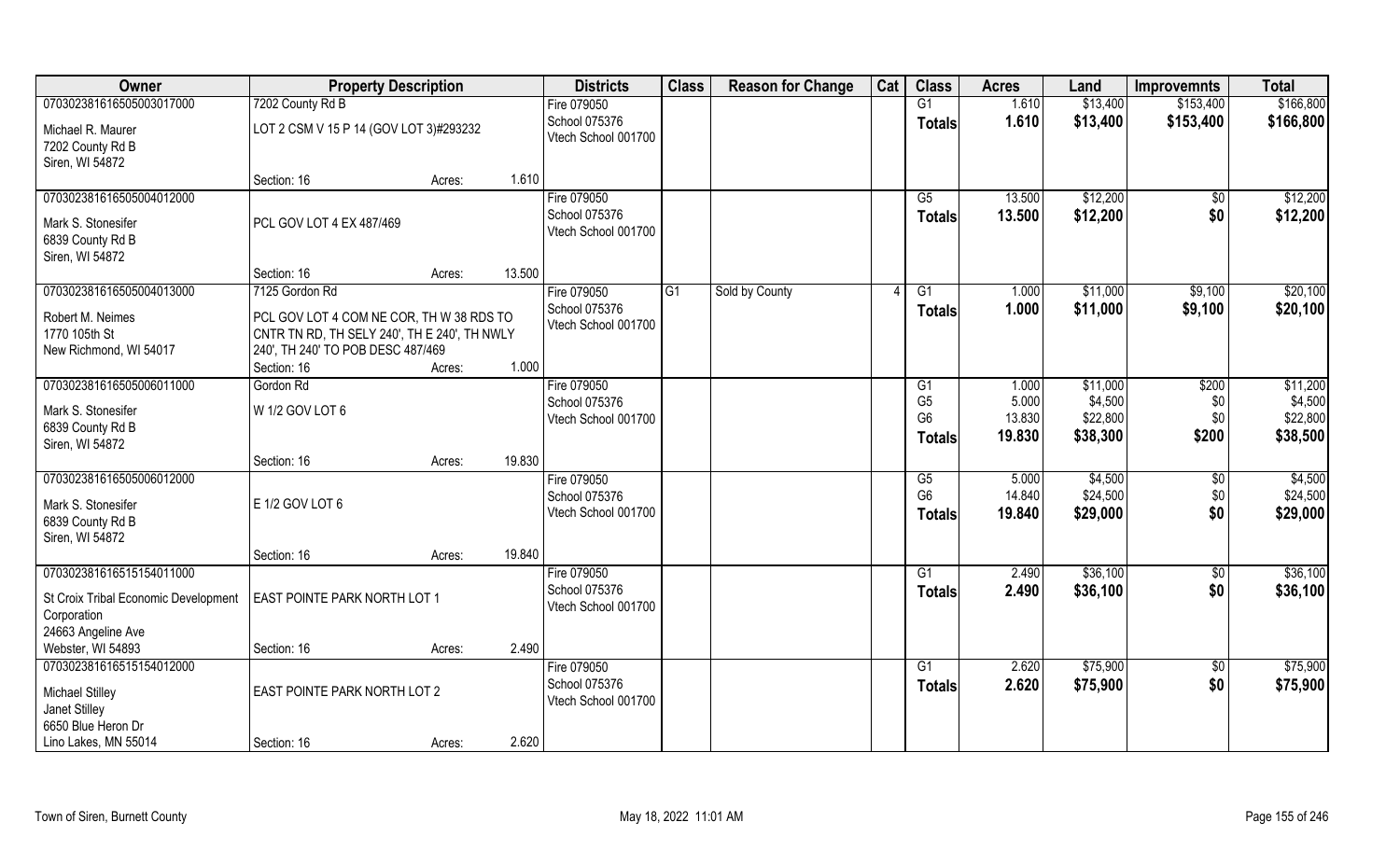| Owner                                                                                                             |                                                                                                                                              | <b>Districts</b><br><b>Property Description</b> |        |                                                     | <b>Class</b>   | <b>Reason for Change</b> | Cat | <b>Class</b>                                      | <b>Acres</b>              | Land                            | <b>Improvemnts</b>     | <b>Total</b>                    |
|-------------------------------------------------------------------------------------------------------------------|----------------------------------------------------------------------------------------------------------------------------------------------|-------------------------------------------------|--------|-----------------------------------------------------|----------------|--------------------------|-----|---------------------------------------------------|---------------------------|---------------------------------|------------------------|---------------------------------|
| 070302381616505003017000                                                                                          | 7202 County Rd B                                                                                                                             |                                                 |        | Fire 079050                                         |                |                          |     | G1                                                | 1.610                     | \$13,400                        | \$153,400              | \$166,800                       |
| Michael R. Maurer<br>7202 County Rd B<br>Siren, WI 54872                                                          | LOT 2 CSM V 15 P 14 (GOV LOT 3)#293232                                                                                                       |                                                 |        | School 075376<br>Vtech School 001700                |                |                          |     | <b>Totals</b>                                     | 1.610                     | \$13,400                        | \$153,400              | \$166,800                       |
|                                                                                                                   | Section: 16                                                                                                                                  | Acres:                                          | 1.610  |                                                     |                |                          |     |                                                   |                           |                                 |                        |                                 |
| 070302381616505004012000<br>Mark S. Stonesifer<br>6839 County Rd B<br>Siren, WI 54872                             | PCL GOV LOT 4 EX 487/469                                                                                                                     |                                                 |        | Fire 079050<br>School 075376<br>Vtech School 001700 |                |                          |     | G5<br>Totals                                      | 13.500<br>13.500          | \$12,200<br>\$12,200            | $\overline{50}$<br>\$0 | \$12,200<br>\$12,200            |
|                                                                                                                   | Section: 16                                                                                                                                  | Acres:                                          | 13.500 |                                                     |                |                          |     |                                                   |                           |                                 |                        |                                 |
| 070302381616505004013000                                                                                          | 7125 Gordon Rd                                                                                                                               |                                                 |        | Fire 079050                                         | G <sub>1</sub> | Sold by County           |     | G1                                                | 1.000                     | \$11,000                        | \$9,100                | \$20,100                        |
| Robert M. Neimes<br>1770 105th St<br>New Richmond, WI 54017                                                       | PCL GOV LOT 4 COM NE COR, TH W 38 RDS TO<br>CNTR TN RD, TH SELY 240', TH E 240', TH NWLY<br>240', TH 240' TO POB DESC 487/469<br>Section: 16 | Acres:                                          | 1.000  | School 075376<br>Vtech School 001700                |                |                          |     | <b>Totals</b>                                     | 1.000                     | \$11,000                        | \$9,100                | \$20,100                        |
| 070302381616505006011000                                                                                          | Gordon Rd                                                                                                                                    |                                                 |        | Fire 079050                                         |                |                          |     | G <sub>1</sub>                                    | 1.000                     | \$11,000                        | \$200                  | \$11,200                        |
| Mark S. Stonesifer<br>6839 County Rd B<br>Siren, WI 54872                                                         | W 1/2 GOV LOT 6                                                                                                                              |                                                 |        | School 075376<br>Vtech School 001700                |                |                          |     | G <sub>5</sub><br>G <sub>6</sub><br><b>Totals</b> | 5.000<br>13.830<br>19.830 | \$4,500<br>\$22,800<br>\$38,300 | \$0<br>\$0<br>\$200    | \$4,500<br>\$22,800<br>\$38,500 |
|                                                                                                                   | Section: 16                                                                                                                                  | Acres:                                          | 19.830 |                                                     |                |                          |     |                                                   |                           |                                 |                        |                                 |
| 070302381616505006012000<br>Mark S. Stonesifer<br>6839 County Rd B<br>Siren, WI 54872                             | E 1/2 GOV LOT 6                                                                                                                              |                                                 |        | Fire 079050<br>School 075376<br>Vtech School 001700 |                |                          |     | G5<br>G <sub>6</sub><br><b>Totals</b>             | 5.000<br>14.840<br>19.840 | \$4,500<br>\$24,500<br>\$29,000 | \$0<br>\$0<br>\$0      | \$4,500<br>\$24,500<br>\$29,000 |
|                                                                                                                   | Section: 16                                                                                                                                  | Acres:                                          | 19.840 |                                                     |                |                          |     |                                                   |                           |                                 |                        |                                 |
| 070302381616515154011000<br>St Croix Tribal Economic Development<br>Corporation<br>24663 Angeline Ave             | EAST POINTE PARK NORTH LOT 1                                                                                                                 |                                                 |        | Fire 079050<br>School 075376<br>Vtech School 001700 |                |                          |     | G1<br><b>Totals</b>                               | 2.490<br>2.490            | \$36,100<br>\$36,100            | \$0<br>\$0             | \$36,100<br>\$36,100            |
| Webster, WI 54893                                                                                                 | Section: 16                                                                                                                                  | Acres:                                          | 2.490  |                                                     |                |                          |     |                                                   |                           |                                 |                        |                                 |
| 070302381616515154012000<br><b>Michael Stilley</b><br>Janet Stilley<br>6650 Blue Heron Dr<br>Lino Lakes, MN 55014 | EAST POINTE PARK NORTH LOT 2<br>Section: 16                                                                                                  | Acres:                                          | 2.620  | Fire 079050<br>School 075376<br>Vtech School 001700 |                |                          |     | G1<br>Totals                                      | 2.620<br>2.620            | \$75,900<br>\$75,900            | $\overline{50}$<br>\$0 | \$75,900<br>\$75,900            |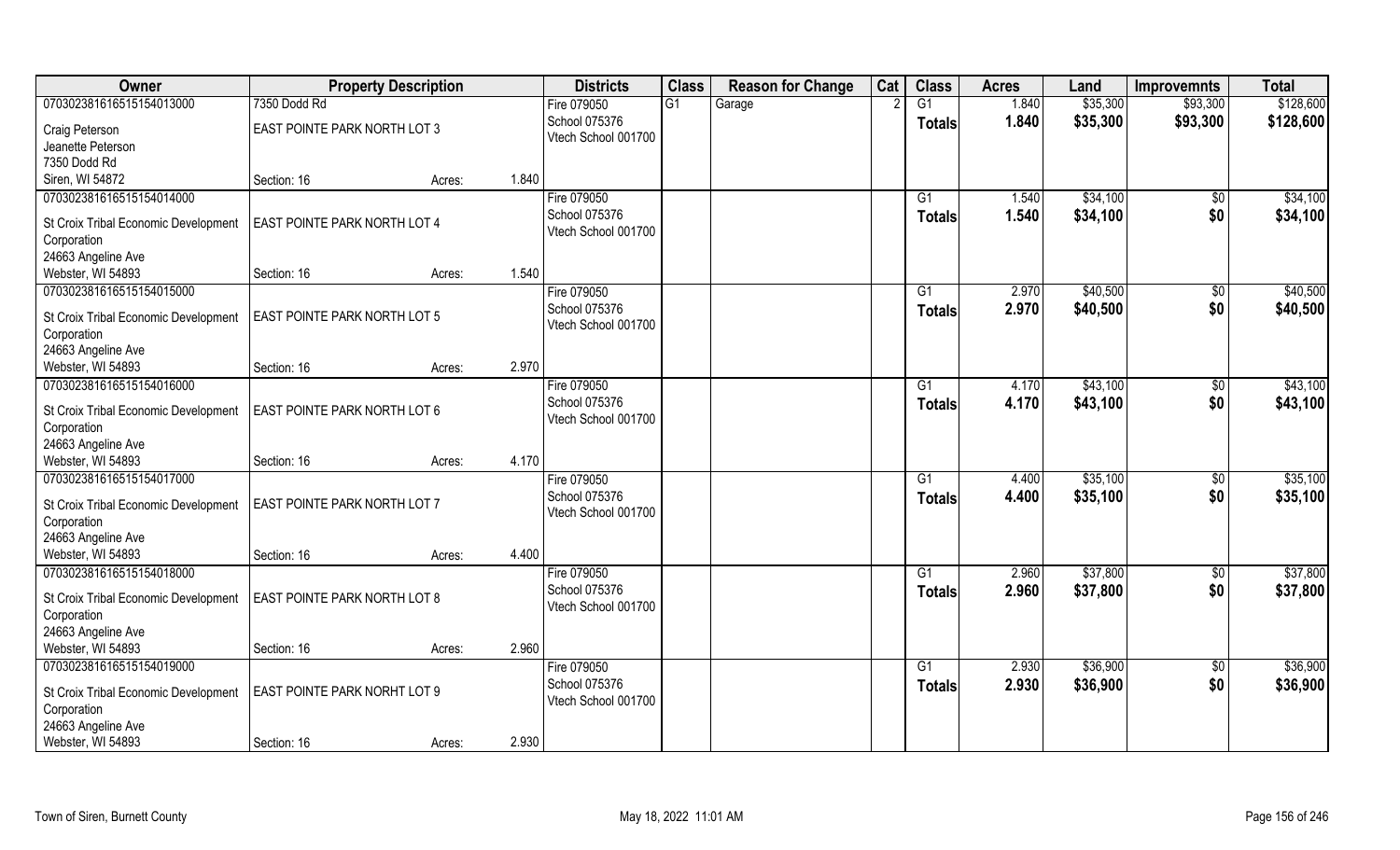| Owner                                               | <b>Property Description</b>  |        |       | <b>Districts</b>    | <b>Class</b> | <b>Reason for Change</b> | Cat | <b>Class</b>    | <b>Acres</b> | Land     | <b>Improvemnts</b> | <b>Total</b> |
|-----------------------------------------------------|------------------------------|--------|-------|---------------------|--------------|--------------------------|-----|-----------------|--------------|----------|--------------------|--------------|
| 070302381616515154013000                            | 7350 Dodd Rd                 |        |       | Fire 079050         | G1           | Garage                   |     | G1              | 1.840        | \$35,300 | \$93,300           | \$128,600    |
| Craig Peterson                                      | EAST POINTE PARK NORTH LOT 3 |        |       | School 075376       |              |                          |     | <b>Totals</b>   | 1.840        | \$35,300 | \$93,300           | \$128,600    |
| Jeanette Peterson                                   |                              |        |       | Vtech School 001700 |              |                          |     |                 |              |          |                    |              |
| 7350 Dodd Rd                                        |                              |        |       |                     |              |                          |     |                 |              |          |                    |              |
| Siren, WI 54872                                     | Section: 16                  | Acres: | 1.840 |                     |              |                          |     |                 |              |          |                    |              |
| 070302381616515154014000                            |                              |        |       | Fire 079050         |              |                          |     | G1              | 1.540        | \$34,100 | \$0                | \$34,100     |
| St Croix Tribal Economic Development                | EAST POINTE PARK NORTH LOT 4 |        |       | School 075376       |              |                          |     | <b>Totals</b>   | 1.540        | \$34,100 | \$0                | \$34,100     |
| Corporation                                         |                              |        |       | Vtech School 001700 |              |                          |     |                 |              |          |                    |              |
| 24663 Angeline Ave                                  |                              |        |       |                     |              |                          |     |                 |              |          |                    |              |
| Webster, WI 54893                                   | Section: 16                  | Acres: | 1.540 |                     |              |                          |     |                 |              |          |                    |              |
| 070302381616515154015000                            |                              |        |       | Fire 079050         |              |                          |     | G1              | 2.970        | \$40,500 | \$0                | \$40,500     |
|                                                     | EAST POINTE PARK NORTH LOT 5 |        |       | School 075376       |              |                          |     | <b>Totals</b>   | 2.970        | \$40,500 | \$0                | \$40,500     |
| St Croix Tribal Economic Development<br>Corporation |                              |        |       | Vtech School 001700 |              |                          |     |                 |              |          |                    |              |
| 24663 Angeline Ave                                  |                              |        |       |                     |              |                          |     |                 |              |          |                    |              |
| Webster, WI 54893                                   | Section: 16                  | Acres: | 2.970 |                     |              |                          |     |                 |              |          |                    |              |
| 070302381616515154016000                            |                              |        |       | Fire 079050         |              |                          |     | G1              | 4.170        | \$43,100 | \$0                | \$43,100     |
|                                                     |                              |        |       | School 075376       |              |                          |     | <b>Totals</b>   | 4.170        | \$43,100 | \$0                | \$43,100     |
| St Croix Tribal Economic Development                | EAST POINTE PARK NORTH LOT 6 |        |       | Vtech School 001700 |              |                          |     |                 |              |          |                    |              |
| Corporation<br>24663 Angeline Ave                   |                              |        |       |                     |              |                          |     |                 |              |          |                    |              |
| Webster, WI 54893                                   | Section: 16                  | Acres: | 4.170 |                     |              |                          |     |                 |              |          |                    |              |
| 070302381616515154017000                            |                              |        |       | Fire 079050         |              |                          |     | $\overline{G1}$ | 4.400        | \$35,100 | $\overline{50}$    | \$35,100     |
|                                                     |                              |        |       | School 075376       |              |                          |     | <b>Totals</b>   | 4.400        | \$35,100 | \$0                | \$35,100     |
| St Croix Tribal Economic Development                | EAST POINTE PARK NORTH LOT 7 |        |       | Vtech School 001700 |              |                          |     |                 |              |          |                    |              |
| Corporation                                         |                              |        |       |                     |              |                          |     |                 |              |          |                    |              |
| 24663 Angeline Ave<br>Webster, WI 54893             | Section: 16                  |        | 4.400 |                     |              |                          |     |                 |              |          |                    |              |
| 070302381616515154018000                            |                              | Acres: |       | Fire 079050         |              |                          |     | G1              | 2.960        | \$37,800 | $\sqrt{6}$         | \$37,800     |
|                                                     |                              |        |       | School 075376       |              |                          |     |                 | 2.960        | \$37,800 | \$0                | \$37,800     |
| St Croix Tribal Economic Development                | EAST POINTE PARK NORTH LOT 8 |        |       | Vtech School 001700 |              |                          |     | <b>Totals</b>   |              |          |                    |              |
| Corporation                                         |                              |        |       |                     |              |                          |     |                 |              |          |                    |              |
| 24663 Angeline Ave                                  |                              |        |       |                     |              |                          |     |                 |              |          |                    |              |
| Webster, WI 54893                                   | Section: 16                  | Acres: | 2.960 |                     |              |                          |     |                 |              |          |                    |              |
| 070302381616515154019000                            |                              |        |       | Fire 079050         |              |                          |     | $\overline{G1}$ | 2.930        | \$36,900 | $\overline{50}$    | \$36,900     |
| St Croix Tribal Economic Development                | EAST POINTE PARK NORHT LOT 9 |        |       | School 075376       |              |                          |     | <b>Totals</b>   | 2.930        | \$36,900 | \$0                | \$36,900     |
| Corporation                                         |                              |        |       | Vtech School 001700 |              |                          |     |                 |              |          |                    |              |
| 24663 Angeline Ave                                  |                              |        |       |                     |              |                          |     |                 |              |          |                    |              |
| Webster, WI 54893                                   | Section: 16                  | Acres: | 2.930 |                     |              |                          |     |                 |              |          |                    |              |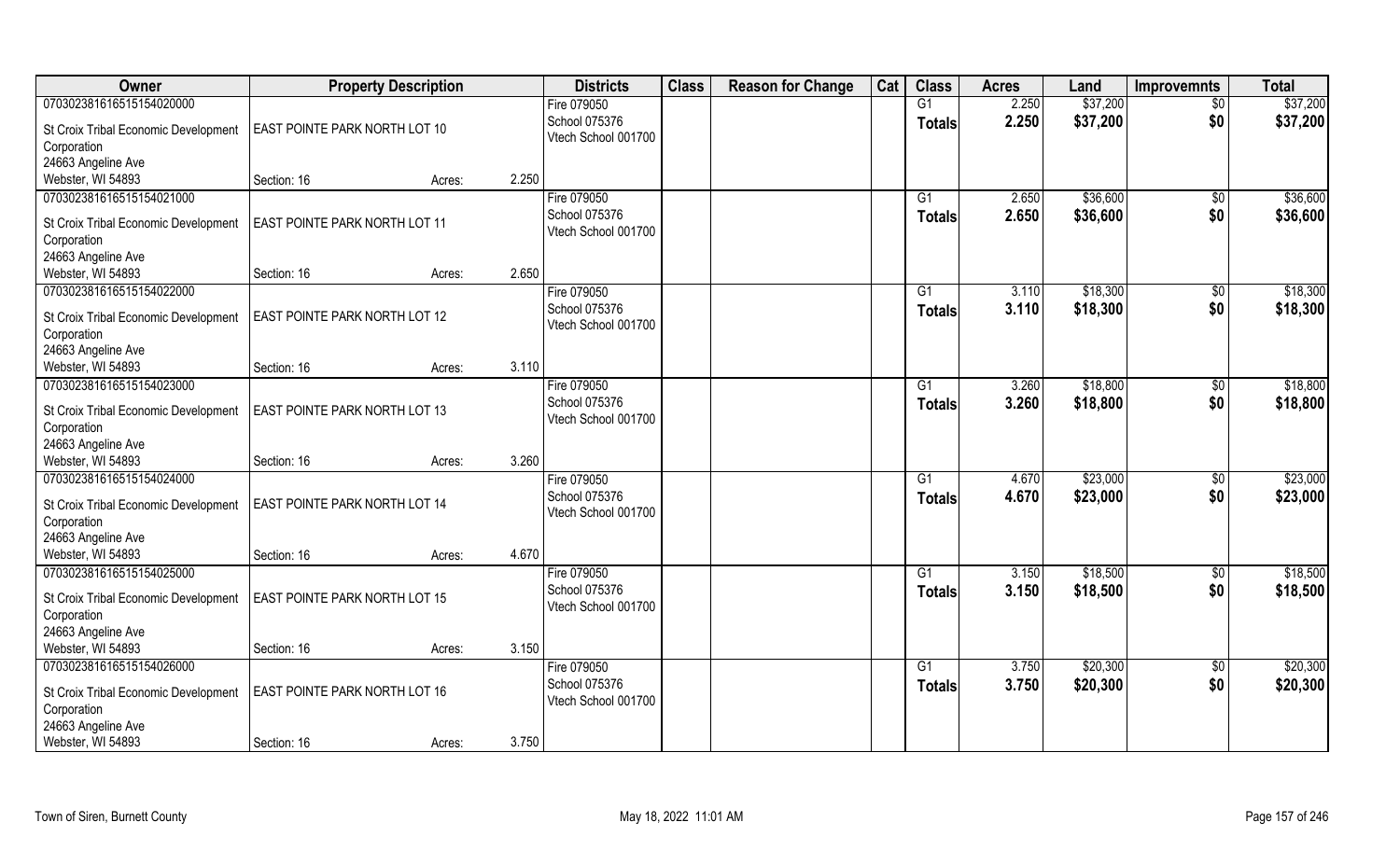| Owner                                   | <b>Property Description</b>          |        |       | <b>Districts</b>                     | <b>Class</b> | <b>Reason for Change</b> | Cat | <b>Class</b>    | <b>Acres</b> | Land     | <b>Improvemnts</b> | <b>Total</b> |
|-----------------------------------------|--------------------------------------|--------|-------|--------------------------------------|--------------|--------------------------|-----|-----------------|--------------|----------|--------------------|--------------|
| 070302381616515154020000                |                                      |        |       | Fire 079050                          |              |                          |     | G1              | 2.250        | \$37,200 | $\sqrt{6}$         | \$37,200     |
| St Croix Tribal Economic Development    | EAST POINTE PARK NORTH LOT 10        |        |       | School 075376<br>Vtech School 001700 |              |                          |     | <b>Totals</b>   | 2.250        | \$37,200 | \$0                | \$37,200     |
| Corporation                             |                                      |        |       |                                      |              |                          |     |                 |              |          |                    |              |
| 24663 Angeline Ave                      |                                      |        |       |                                      |              |                          |     |                 |              |          |                    |              |
| Webster, WI 54893                       | Section: 16                          | Acres: | 2.250 |                                      |              |                          |     |                 |              |          |                    |              |
| 070302381616515154021000                |                                      |        |       | Fire 079050                          |              |                          |     | G1              | 2.650        | \$36,600 | $\sqrt[6]{}$       | \$36,600     |
| St Croix Tribal Economic Development    | EAST POINTE PARK NORTH LOT 11        |        |       | School 075376                        |              |                          |     | <b>Totals</b>   | 2.650        | \$36,600 | \$0                | \$36,600     |
| Corporation                             |                                      |        |       | Vtech School 001700                  |              |                          |     |                 |              |          |                    |              |
| 24663 Angeline Ave                      |                                      |        |       |                                      |              |                          |     |                 |              |          |                    |              |
| Webster, WI 54893                       | Section: 16                          | Acres: | 2.650 |                                      |              |                          |     |                 |              |          |                    |              |
| 070302381616515154022000                |                                      |        |       | Fire 079050                          |              |                          |     | G1              | 3.110        | \$18,300 | \$0                | \$18,300     |
|                                         |                                      |        |       | School 075376                        |              |                          |     | <b>Totals</b>   | 3.110        | \$18,300 | \$0                | \$18,300     |
| St Croix Tribal Economic Development    | EAST POINTE PARK NORTH LOT 12        |        |       | Vtech School 001700                  |              |                          |     |                 |              |          |                    |              |
| Corporation                             |                                      |        |       |                                      |              |                          |     |                 |              |          |                    |              |
| 24663 Angeline Ave<br>Webster, WI 54893 | Section: 16                          |        | 3.110 |                                      |              |                          |     |                 |              |          |                    |              |
| 070302381616515154023000                |                                      | Acres: |       | Fire 079050                          |              |                          |     |                 | 3.260        | \$18,800 |                    | \$18,800     |
|                                         |                                      |        |       | School 075376                        |              |                          |     | G <sub>1</sub>  |              |          | $\sqrt[6]{3}$      |              |
| St Croix Tribal Economic Development    | EAST POINTE PARK NORTH LOT 13        |        |       | Vtech School 001700                  |              |                          |     | <b>Totals</b>   | 3.260        | \$18,800 | \$0                | \$18,800     |
| Corporation                             |                                      |        |       |                                      |              |                          |     |                 |              |          |                    |              |
| 24663 Angeline Ave                      |                                      |        |       |                                      |              |                          |     |                 |              |          |                    |              |
| Webster, WI 54893                       | Section: 16                          | Acres: | 3.260 |                                      |              |                          |     |                 |              |          |                    |              |
| 070302381616515154024000                |                                      |        |       | Fire 079050                          |              |                          |     | G1              | 4.670        | \$23,000 | \$0                | \$23,000     |
| St Croix Tribal Economic Development    | <b>EAST POINTE PARK NORTH LOT 14</b> |        |       | School 075376                        |              |                          |     | <b>Totals</b>   | 4.670        | \$23,000 | \$0                | \$23,000     |
| Corporation                             |                                      |        |       | Vtech School 001700                  |              |                          |     |                 |              |          |                    |              |
| 24663 Angeline Ave                      |                                      |        |       |                                      |              |                          |     |                 |              |          |                    |              |
| Webster, WI 54893                       | Section: 16                          | Acres: | 4.670 |                                      |              |                          |     |                 |              |          |                    |              |
| 070302381616515154025000                |                                      |        |       | Fire 079050                          |              |                          |     | G1              | 3.150        | \$18,500 | \$0                | \$18,500     |
|                                         |                                      |        |       | School 075376                        |              |                          |     | <b>Totals</b>   | 3.150        | \$18,500 | \$0                | \$18,500     |
| St Croix Tribal Economic Development    | EAST POINTE PARK NORTH LOT 15        |        |       | Vtech School 001700                  |              |                          |     |                 |              |          |                    |              |
| Corporation                             |                                      |        |       |                                      |              |                          |     |                 |              |          |                    |              |
| 24663 Angeline Ave                      |                                      |        |       |                                      |              |                          |     |                 |              |          |                    |              |
| Webster, WI 54893                       | Section: 16                          | Acres: | 3.150 |                                      |              |                          |     |                 |              |          |                    |              |
| 070302381616515154026000                |                                      |        |       | Fire 079050                          |              |                          |     | $\overline{G1}$ | 3.750        | \$20,300 | $\overline{50}$    | \$20,300     |
| St Croix Tribal Economic Development    | EAST POINTE PARK NORTH LOT 16        |        |       | School 075376                        |              |                          |     | <b>Totals</b>   | 3.750        | \$20,300 | \$0                | \$20,300     |
| Corporation                             |                                      |        |       | Vtech School 001700                  |              |                          |     |                 |              |          |                    |              |
| 24663 Angeline Ave                      |                                      |        |       |                                      |              |                          |     |                 |              |          |                    |              |
| Webster, WI 54893                       | Section: 16                          | Acres: | 3.750 |                                      |              |                          |     |                 |              |          |                    |              |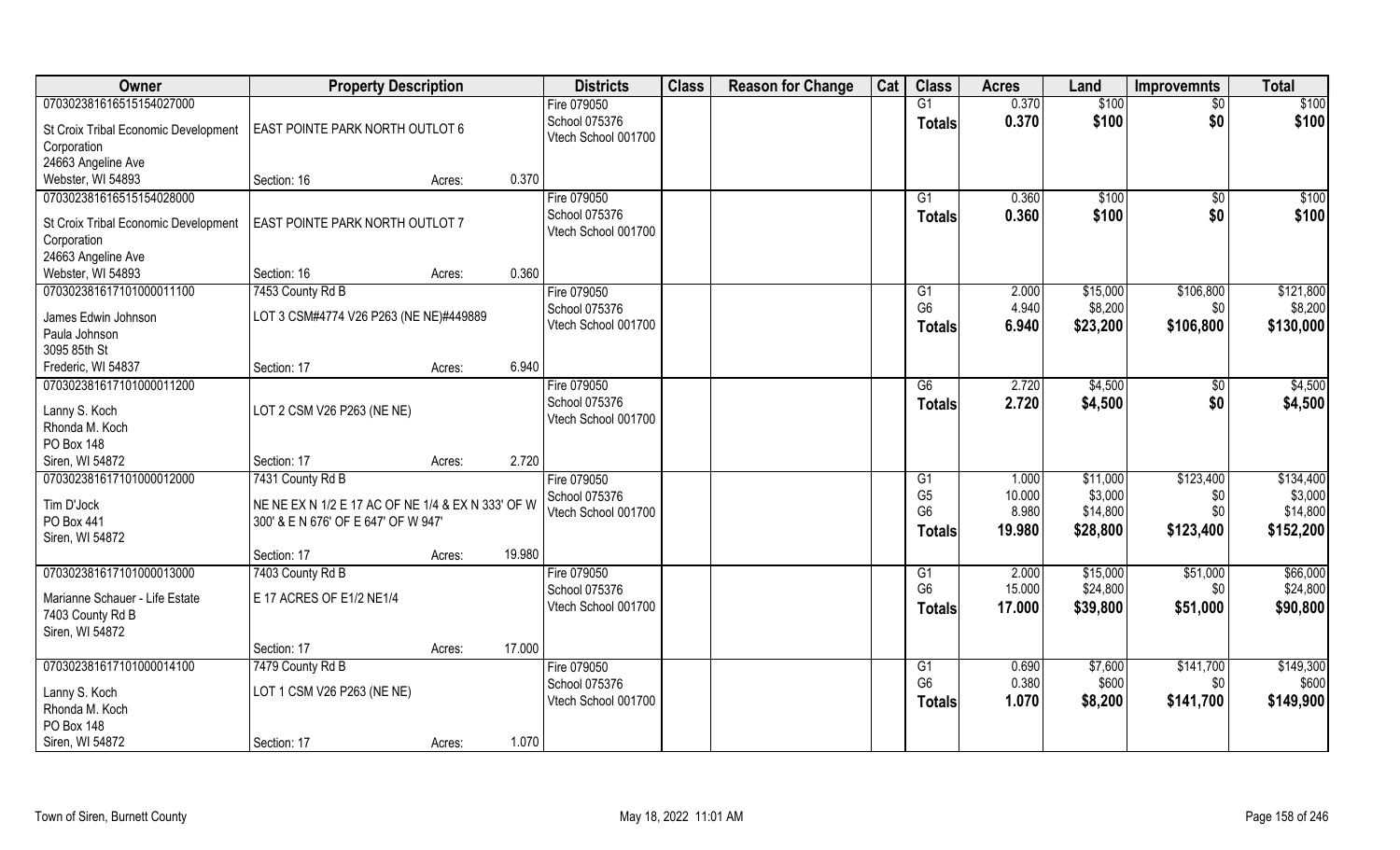| 0.370<br>070302381616515154027000<br>Fire 079050<br>G1<br>\$100<br>$\sqrt{6}$<br>\$0<br>School 075376<br>0.370<br>\$100<br><b>Totals</b><br>EAST POINTE PARK NORTH OUTLOT 6<br>St Croix Tribal Economic Development<br>Vtech School 001700<br>Corporation<br>24663 Angeline Ave<br>0.370<br>Webster, WI 54893<br>Section: 16<br>Acres:<br>070302381616515154028000<br>Fire 079050<br>0.360<br>\$100<br>\$0<br>G1 | Owner | <b>Property Description</b> |  | <b>Districts</b> | <b>Class</b> | <b>Reason for Change</b> | Cat | <b>Class</b> | <b>Acres</b> | Land | <b>Improvemnts</b> | <b>Total</b> |
|------------------------------------------------------------------------------------------------------------------------------------------------------------------------------------------------------------------------------------------------------------------------------------------------------------------------------------------------------------------------------------------------------------------|-------|-----------------------------|--|------------------|--------------|--------------------------|-----|--------------|--------------|------|--------------------|--------------|
|                                                                                                                                                                                                                                                                                                                                                                                                                  |       |                             |  |                  |              |                          |     |              |              |      |                    | \$100        |
|                                                                                                                                                                                                                                                                                                                                                                                                                  |       |                             |  |                  |              |                          |     |              |              |      |                    | \$100        |
|                                                                                                                                                                                                                                                                                                                                                                                                                  |       |                             |  |                  |              |                          |     |              |              |      |                    |              |
|                                                                                                                                                                                                                                                                                                                                                                                                                  |       |                             |  |                  |              |                          |     |              |              |      |                    |              |
|                                                                                                                                                                                                                                                                                                                                                                                                                  |       |                             |  |                  |              |                          |     |              |              |      |                    |              |
|                                                                                                                                                                                                                                                                                                                                                                                                                  |       |                             |  |                  |              |                          |     |              |              |      |                    | \$100        |
| School 075376<br>\$0<br>0.360<br>\$100<br><b>Totals</b>                                                                                                                                                                                                                                                                                                                                                          |       |                             |  |                  |              |                          |     |              |              |      |                    | \$100        |
| EAST POINTE PARK NORTH OUTLOT 7<br>St Croix Tribal Economic Development<br>Vtech School 001700                                                                                                                                                                                                                                                                                                                   |       |                             |  |                  |              |                          |     |              |              |      |                    |              |
| Corporation                                                                                                                                                                                                                                                                                                                                                                                                      |       |                             |  |                  |              |                          |     |              |              |      |                    |              |
| 24663 Angeline Ave                                                                                                                                                                                                                                                                                                                                                                                               |       |                             |  |                  |              |                          |     |              |              |      |                    |              |
| 0.360<br>Webster, WI 54893<br>Section: 16<br>Acres:                                                                                                                                                                                                                                                                                                                                                              |       |                             |  |                  |              |                          |     |              |              |      |                    |              |
| 070302381617101000011100<br>\$106,800<br>7453 County Rd B<br>Fire 079050<br>2.000<br>\$15,000<br>G1                                                                                                                                                                                                                                                                                                              |       |                             |  |                  |              |                          |     |              |              |      |                    | \$121,800    |
| G <sub>6</sub><br>4.940<br>\$8,200<br>\$0<br>School 075376<br>James Edwin Johnson<br>LOT 3 CSM#4774 V26 P263 (NE NE)#449889                                                                                                                                                                                                                                                                                      |       |                             |  |                  |              |                          |     |              |              |      |                    | \$8,200      |
| Vtech School 001700<br>\$23,200<br>6.940<br>\$106,800<br><b>Totals</b><br>Paula Johnson                                                                                                                                                                                                                                                                                                                          |       |                             |  |                  |              |                          |     |              |              |      |                    | \$130,000    |
| 3095 85th St                                                                                                                                                                                                                                                                                                                                                                                                     |       |                             |  |                  |              |                          |     |              |              |      |                    |              |
| 6.940<br>Frederic, WI 54837<br>Section: 17<br>Acres:                                                                                                                                                                                                                                                                                                                                                             |       |                             |  |                  |              |                          |     |              |              |      |                    |              |
| 070302381617101000011200<br>Fire 079050<br>G6<br>2.720<br>\$4,500<br>\$0                                                                                                                                                                                                                                                                                                                                         |       |                             |  |                  |              |                          |     |              |              |      |                    | \$4,500      |
| School 075376<br>2.720<br>\$0<br>\$4,500<br><b>Totals</b><br>Lanny S. Koch<br>LOT 2 CSM V26 P263 (NE NE)                                                                                                                                                                                                                                                                                                         |       |                             |  |                  |              |                          |     |              |              |      |                    | \$4,500      |
| Vtech School 001700<br>Rhonda M. Koch                                                                                                                                                                                                                                                                                                                                                                            |       |                             |  |                  |              |                          |     |              |              |      |                    |              |
| PO Box 148                                                                                                                                                                                                                                                                                                                                                                                                       |       |                             |  |                  |              |                          |     |              |              |      |                    |              |
| Siren, WI 54872<br>2.720<br>Section: 17<br>Acres:                                                                                                                                                                                                                                                                                                                                                                |       |                             |  |                  |              |                          |     |              |              |      |                    |              |
| \$123,400<br>070302381617101000012000<br>\$11,000<br>7431 County Rd B<br>Fire 079050<br>G1<br>1.000                                                                                                                                                                                                                                                                                                              |       |                             |  |                  |              |                          |     |              |              |      |                    | \$134,400    |
| G <sub>5</sub><br>\$3,000<br>10.000<br>\$0<br>School 075376                                                                                                                                                                                                                                                                                                                                                      |       |                             |  |                  |              |                          |     |              |              |      |                    | \$3,000      |
| Tim D'Jock<br>NE NE EX N 1/2 E 17 AC OF NE 1/4 & EX N 333' OF W<br>G <sub>6</sub><br>8.980<br>\$0<br>\$14,800<br>Vtech School 001700                                                                                                                                                                                                                                                                             |       |                             |  |                  |              |                          |     |              |              |      |                    | \$14,800     |
| PO Box 441<br>300' & E N 676' OF E 647' OF W 947'<br>\$123,400<br>19.980<br>\$28,800<br><b>Totals</b>                                                                                                                                                                                                                                                                                                            |       |                             |  |                  |              |                          |     |              |              |      |                    | \$152,200    |
| Siren, WI 54872                                                                                                                                                                                                                                                                                                                                                                                                  |       |                             |  |                  |              |                          |     |              |              |      |                    |              |
| 19.980<br>Section: 17<br>Acres:                                                                                                                                                                                                                                                                                                                                                                                  |       |                             |  |                  |              |                          |     |              |              |      |                    |              |
| Fire 079050<br>\$15,000<br>\$51,000<br>070302381617101000013000<br>7403 County Rd B<br>2.000<br>G1                                                                                                                                                                                                                                                                                                               |       |                             |  |                  |              |                          |     |              |              |      |                    | \$66,000     |
| G <sub>6</sub><br>\$24,800<br>15.000<br>School 075376<br>\$0<br>E 17 ACRES OF E1/2 NE1/4<br>Marianne Schauer - Life Estate                                                                                                                                                                                                                                                                                       |       |                             |  |                  |              |                          |     |              |              |      |                    | \$24,800     |
| \$51,000<br>Vtech School 001700<br>17.000<br>\$39,800<br><b>Totals</b><br>7403 County Rd B                                                                                                                                                                                                                                                                                                                       |       |                             |  |                  |              |                          |     |              |              |      |                    | \$90,800     |
| Siren, WI 54872                                                                                                                                                                                                                                                                                                                                                                                                  |       |                             |  |                  |              |                          |     |              |              |      |                    |              |
| 17.000<br>Section: 17<br>Acres:                                                                                                                                                                                                                                                                                                                                                                                  |       |                             |  |                  |              |                          |     |              |              |      |                    |              |
| 070302381617101000014100<br>7479 County Rd B<br>Fire 079050<br>\$141,700<br>G1<br>0.690<br>\$7,600                                                                                                                                                                                                                                                                                                               |       |                             |  |                  |              |                          |     |              |              |      |                    | \$149,300    |
| G <sub>6</sub><br>0.380<br>\$600<br>\$0<br>School 075376                                                                                                                                                                                                                                                                                                                                                         |       |                             |  |                  |              |                          |     |              |              |      |                    | \$600        |
| Lanny S. Koch<br>LOT 1 CSM V26 P263 (NE NE)<br>1.070<br>Vtech School 001700<br>\$8,200<br>\$141,700<br><b>Totals</b><br>Rhonda M. Koch                                                                                                                                                                                                                                                                           |       |                             |  |                  |              |                          |     |              |              |      |                    | \$149,900    |
| PO Box 148                                                                                                                                                                                                                                                                                                                                                                                                       |       |                             |  |                  |              |                          |     |              |              |      |                    |              |
| Siren, WI 54872<br>1.070<br>Section: 17<br>Acres:                                                                                                                                                                                                                                                                                                                                                                |       |                             |  |                  |              |                          |     |              |              |      |                    |              |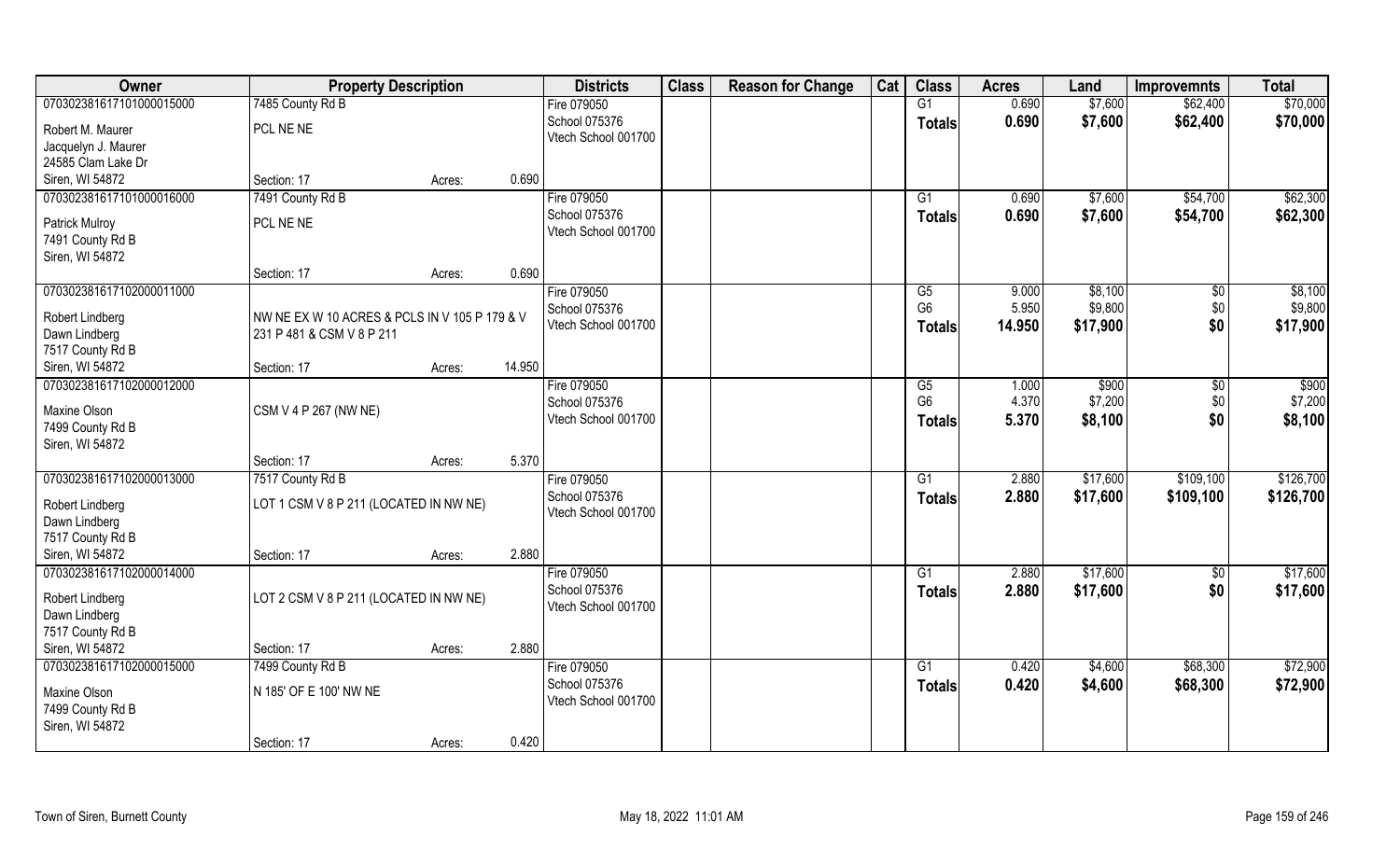| Owner                    | <b>Property Description</b>                   |        |        | <b>Districts</b>    | <b>Class</b> | <b>Reason for Change</b> | Cat | <b>Class</b>    | <b>Acres</b> | Land     | <b>Improvemnts</b> | <b>Total</b> |
|--------------------------|-----------------------------------------------|--------|--------|---------------------|--------------|--------------------------|-----|-----------------|--------------|----------|--------------------|--------------|
| 070302381617101000015000 | 7485 County Rd B                              |        |        | Fire 079050         |              |                          |     | G1              | 0.690        | \$7,600  | \$62,400           | \$70,000     |
| Robert M. Maurer         | PCL NE NE                                     |        |        | School 075376       |              |                          |     | <b>Totals</b>   | 0.690        | \$7,600  | \$62,400           | \$70,000     |
| Jacquelyn J. Maurer      |                                               |        |        | Vtech School 001700 |              |                          |     |                 |              |          |                    |              |
| 24585 Clam Lake Dr       |                                               |        |        |                     |              |                          |     |                 |              |          |                    |              |
| Siren, WI 54872          | Section: 17                                   | Acres: | 0.690  |                     |              |                          |     |                 |              |          |                    |              |
| 070302381617101000016000 | 7491 County Rd B                              |        |        | Fire 079050         |              |                          |     | G1              | 0.690        | \$7,600  | \$54,700           | \$62,300     |
| <b>Patrick Mulroy</b>    | PCL NE NE                                     |        |        | School 075376       |              |                          |     | <b>Totals</b>   | 0.690        | \$7,600  | \$54,700           | \$62,300     |
| 7491 County Rd B         |                                               |        |        | Vtech School 001700 |              |                          |     |                 |              |          |                    |              |
| Siren, WI 54872          |                                               |        |        |                     |              |                          |     |                 |              |          |                    |              |
|                          | Section: 17                                   | Acres: | 0.690  |                     |              |                          |     |                 |              |          |                    |              |
| 070302381617102000011000 |                                               |        |        | Fire 079050         |              |                          |     | G5              | 9.000        | \$8,100  | \$0                | \$8,100      |
| Robert Lindberg          | NW NE EX W 10 ACRES & PCLS IN V 105 P 179 & V |        |        | School 075376       |              |                          |     | G <sub>6</sub>  | 5.950        | \$9,800  | \$0                | \$9,800      |
| Dawn Lindberg            | 231 P 481 & CSM V 8 P 211                     |        |        | Vtech School 001700 |              |                          |     | <b>Totals</b>   | 14.950       | \$17,900 | \$0                | \$17,900     |
| 7517 County Rd B         |                                               |        |        |                     |              |                          |     |                 |              |          |                    |              |
| Siren, WI 54872          | Section: 17                                   | Acres: | 14.950 |                     |              |                          |     |                 |              |          |                    |              |
| 070302381617102000012000 |                                               |        |        | Fire 079050         |              |                          |     | G5              | 1.000        | \$900    | $\sqrt[6]{3}$      | \$900        |
| Maxine Olson             | CSM V 4 P 267 (NW NE)                         |        |        | School 075376       |              |                          |     | G <sub>6</sub>  | 4.370        | \$7,200  | \$0                | \$7,200      |
| 7499 County Rd B         |                                               |        |        | Vtech School 001700 |              |                          |     | <b>Totals</b>   | 5.370        | \$8,100  | \$0                | \$8,100      |
| Siren, WI 54872          |                                               |        |        |                     |              |                          |     |                 |              |          |                    |              |
|                          | Section: 17                                   | Acres: | 5.370  |                     |              |                          |     |                 |              |          |                    |              |
| 070302381617102000013000 | 7517 County Rd B                              |        |        | Fire 079050         |              |                          |     | G1              | 2.880        | \$17,600 | \$109,100          | \$126,700    |
| Robert Lindberg          | LOT 1 CSM V 8 P 211 (LOCATED IN NW NE)        |        |        | School 075376       |              |                          |     | <b>Totals</b>   | 2.880        | \$17,600 | \$109,100          | \$126,700    |
| Dawn Lindberg            |                                               |        |        | Vtech School 001700 |              |                          |     |                 |              |          |                    |              |
| 7517 County Rd B         |                                               |        |        |                     |              |                          |     |                 |              |          |                    |              |
| Siren, WI 54872          | Section: 17                                   | Acres: | 2.880  |                     |              |                          |     |                 |              |          |                    |              |
| 070302381617102000014000 |                                               |        |        | Fire 079050         |              |                          |     | G1              | 2.880        | \$17,600 | $\sqrt{50}$        | \$17,600     |
| Robert Lindberg          | LOT 2 CSM V 8 P 211 (LOCATED IN NW NE)        |        |        | School 075376       |              |                          |     | <b>Totals</b>   | 2.880        | \$17,600 | \$0                | \$17,600     |
| Dawn Lindberg            |                                               |        |        | Vtech School 001700 |              |                          |     |                 |              |          |                    |              |
| 7517 County Rd B         |                                               |        |        |                     |              |                          |     |                 |              |          |                    |              |
| Siren, WI 54872          | Section: 17                                   | Acres: | 2.880  |                     |              |                          |     |                 |              |          |                    |              |
| 070302381617102000015000 | 7499 County Rd B                              |        |        | Fire 079050         |              |                          |     | $\overline{G1}$ | 0.420        | \$4,600  | \$68,300           | \$72,900     |
| Maxine Olson             | N 185' OF E 100' NW NE                        |        |        | School 075376       |              |                          |     | <b>Totals</b>   | 0.420        | \$4,600  | \$68,300           | \$72,900     |
| 7499 County Rd B         |                                               |        |        | Vtech School 001700 |              |                          |     |                 |              |          |                    |              |
| Siren, WI 54872          |                                               |        |        |                     |              |                          |     |                 |              |          |                    |              |
|                          | Section: 17                                   | Acres: | 0.420  |                     |              |                          |     |                 |              |          |                    |              |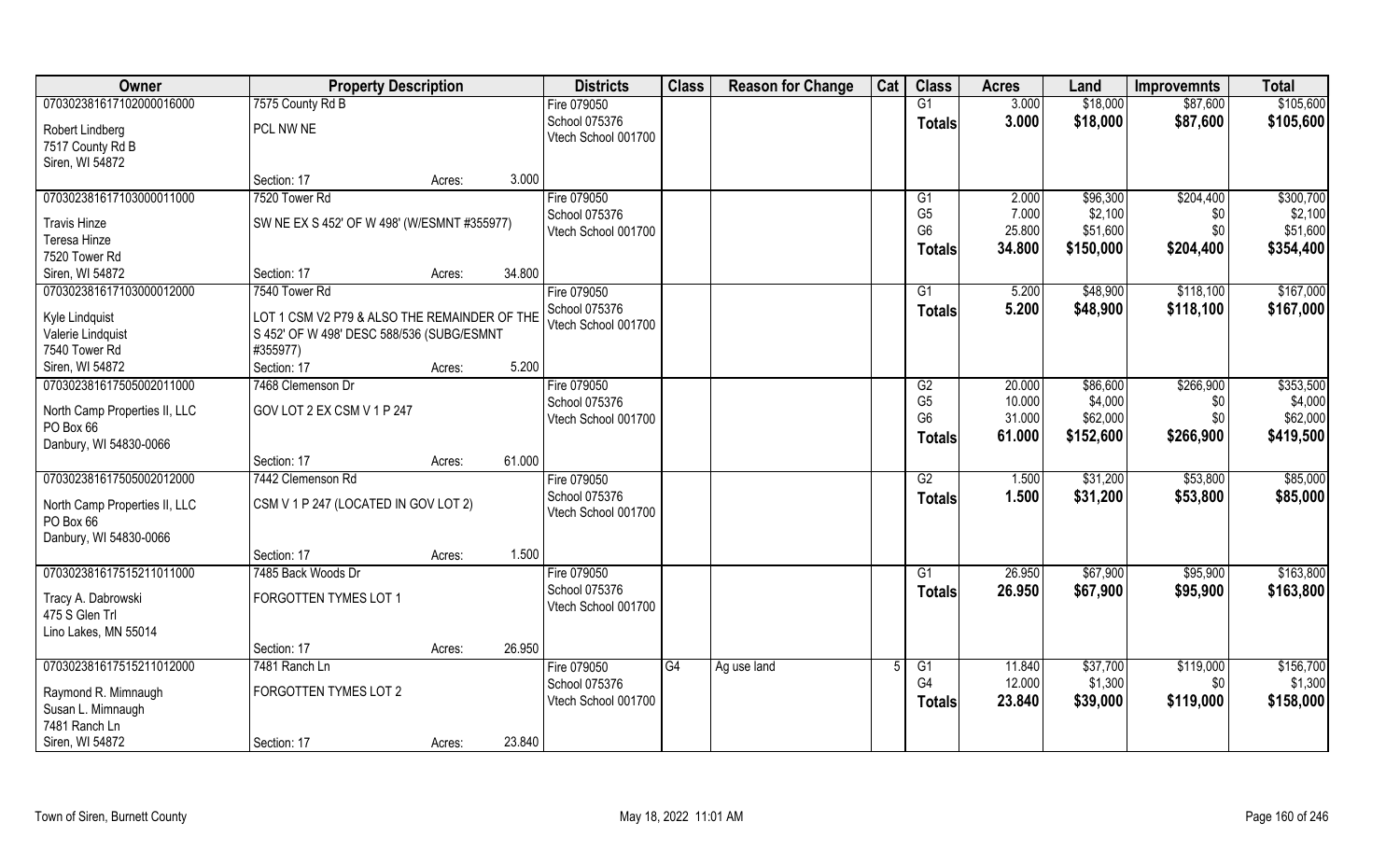| Owner                                                  | <b>Property Description</b>                  |                  | <b>Districts</b>                     | <b>Class</b> | <b>Reason for Change</b> | Cat | <b>Class</b>    | <b>Acres</b> | Land      | <b>Improvemnts</b> | <b>Total</b> |
|--------------------------------------------------------|----------------------------------------------|------------------|--------------------------------------|--------------|--------------------------|-----|-----------------|--------------|-----------|--------------------|--------------|
| 070302381617102000016000                               | 7575 County Rd B                             |                  | Fire 079050                          |              |                          |     | G1              | 3.000        | \$18,000  | \$87,600           | \$105,600    |
| Robert Lindberg<br>7517 County Rd B<br>Siren, WI 54872 | PCL NW NE                                    |                  | School 075376<br>Vtech School 001700 |              |                          |     | <b>Totals</b>   | 3.000        | \$18,000  | \$87,600           | \$105,600    |
|                                                        | Section: 17                                  | 3.000<br>Acres:  |                                      |              |                          |     |                 |              |           |                    |              |
| 070302381617103000011000                               | 7520 Tower Rd                                |                  | Fire 079050                          |              |                          |     | G1              | 2.000        | \$96,300  | \$204,400          | \$300,700    |
| <b>Travis Hinze</b>                                    | SW NE EX S 452' OF W 498' (W/ESMNT #355977)  |                  | School 075376                        |              |                          |     | G <sub>5</sub>  | 7.000        | \$2,100   | \$0                | \$2,100      |
| Teresa Hinze                                           |                                              |                  | Vtech School 001700                  |              |                          |     | G <sub>6</sub>  | 25.800       | \$51,600  | \$0                | \$51,600     |
| 7520 Tower Rd                                          |                                              |                  |                                      |              |                          |     | <b>Totals</b>   | 34.800       | \$150,000 | \$204,400          | \$354,400    |
| Siren, WI 54872                                        | Section: 17                                  | 34.800<br>Acres: |                                      |              |                          |     |                 |              |           |                    |              |
| 070302381617103000012000                               | 7540 Tower Rd                                |                  | Fire 079050                          |              |                          |     | G1              | 5.200        | \$48,900  | \$118,100          | \$167,000    |
| Kyle Lindquist                                         | LOT 1 CSM V2 P79 & ALSO THE REMAINDER OF THE |                  | School 075376                        |              |                          |     | <b>Totals</b>   | 5.200        | \$48,900  | \$118,100          | \$167,000    |
| Valerie Lindquist                                      | S 452' OF W 498' DESC 588/536 (SUBG/ESMNT    |                  | Vtech School 001700                  |              |                          |     |                 |              |           |                    |              |
| 7540 Tower Rd                                          | #355977)                                     |                  |                                      |              |                          |     |                 |              |           |                    |              |
| Siren, WI 54872                                        | Section: 17                                  | 5.200<br>Acres:  |                                      |              |                          |     |                 |              |           |                    |              |
| 070302381617505002011000                               | 7468 Clemenson Dr                            |                  | Fire 079050                          |              |                          |     | G2              | 20.000       | \$86,600  | \$266,900          | \$353,500    |
| North Camp Properties II, LLC                          | GOV LOT 2 EX CSM V 1 P 247                   |                  | School 075376                        |              |                          |     | G <sub>5</sub>  | 10.000       | \$4,000   | \$0                | \$4,000      |
| PO Box 66                                              |                                              |                  | Vtech School 001700                  |              |                          |     | G <sub>6</sub>  | 31.000       | \$62,000  | \$0                | \$62,000     |
| Danbury, WI 54830-0066                                 |                                              |                  |                                      |              |                          |     | <b>Totals</b>   | 61.000       | \$152,600 | \$266,900          | \$419,500    |
|                                                        | Section: 17                                  | 61.000<br>Acres: |                                      |              |                          |     |                 |              |           |                    |              |
| 070302381617505002012000                               | 7442 Clemenson Rd                            |                  | Fire 079050                          |              |                          |     | $\overline{G2}$ | 1.500        | \$31,200  | \$53,800           | \$85,000     |
| North Camp Properties II, LLC                          | CSM V 1 P 247 (LOCATED IN GOV LOT 2)         |                  | School 075376                        |              |                          |     | <b>Totals</b>   | 1.500        | \$31,200  | \$53,800           | \$85,000     |
| PO Box 66                                              |                                              |                  | Vtech School 001700                  |              |                          |     |                 |              |           |                    |              |
| Danbury, WI 54830-0066                                 |                                              |                  |                                      |              |                          |     |                 |              |           |                    |              |
|                                                        | Section: 17                                  | 1.500<br>Acres:  |                                      |              |                          |     |                 |              |           |                    |              |
| 070302381617515211011000                               | 7485 Back Woods Dr                           |                  | Fire 079050                          |              |                          |     | G1              | 26.950       | \$67,900  | \$95,900           | \$163,800    |
| Tracy A. Dabrowski<br>475 S Glen Trl                   | FORGOTTEN TYMES LOT 1                        |                  | School 075376<br>Vtech School 001700 |              |                          |     | <b>Totals</b>   | 26.950       | \$67,900  | \$95,900           | \$163,800    |
| Lino Lakes, MN 55014                                   |                                              |                  |                                      |              |                          |     |                 |              |           |                    |              |
|                                                        | Section: 17                                  | 26.950<br>Acres: |                                      |              |                          |     |                 |              |           |                    |              |
| 070302381617515211012000                               | 7481 Ranch Ln                                |                  | Fire 079050                          | G4           | Ag use land              |     | G1              | 11.840       | \$37,700  | \$119,000          | \$156,700    |
| Raymond R. Mimnaugh                                    | FORGOTTEN TYMES LOT 2                        |                  | School 075376                        |              |                          |     | G4              | 12.000       | \$1,300   | \$0                | \$1,300      |
| Susan L. Mimnaugh                                      |                                              |                  | Vtech School 001700                  |              |                          |     | <b>Totals</b>   | 23.840       | \$39,000  | \$119,000          | \$158,000    |
| 7481 Ranch Ln                                          |                                              |                  |                                      |              |                          |     |                 |              |           |                    |              |
| Siren, WI 54872                                        | Section: 17                                  | 23.840<br>Acres: |                                      |              |                          |     |                 |              |           |                    |              |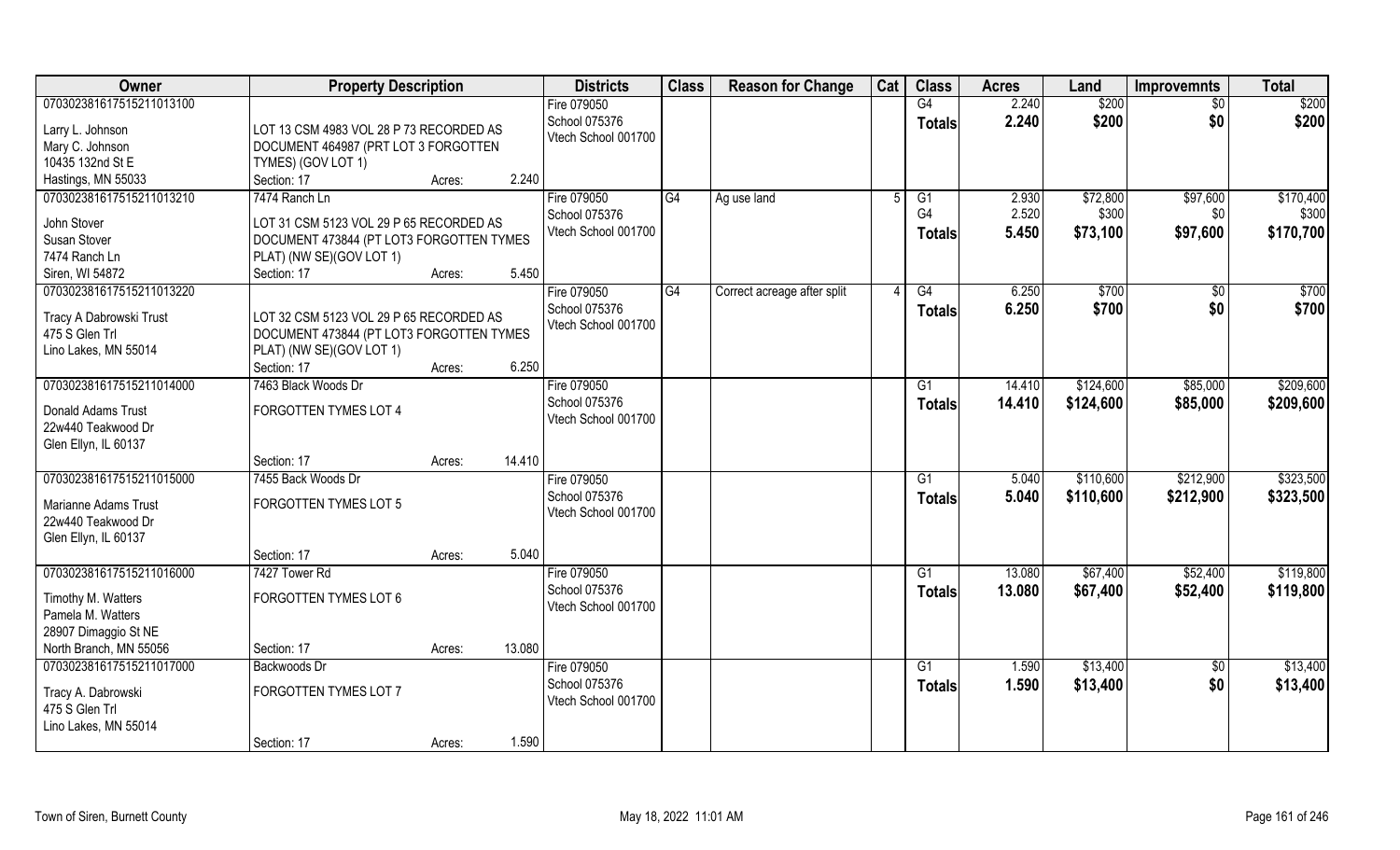| Owner                                             | <b>Property Description</b>                                          |        |        | <b>Districts</b>    | <b>Class</b> | <b>Reason for Change</b>    | Cat | <b>Class</b>  | <b>Acres</b> | Land      | <b>Improvemnts</b> | <b>Total</b> |
|---------------------------------------------------|----------------------------------------------------------------------|--------|--------|---------------------|--------------|-----------------------------|-----|---------------|--------------|-----------|--------------------|--------------|
| 070302381617515211013100                          |                                                                      |        |        | Fire 079050         |              |                             |     | G4            | 2.240        | \$200     | \$0                | \$200        |
| Larry L. Johnson                                  | LOT 13 CSM 4983 VOL 28 P 73 RECORDED AS                              |        |        | School 075376       |              |                             |     | <b>Totals</b> | 2.240        | \$200     | \$0                | \$200        |
| Mary C. Johnson                                   | DOCUMENT 464987 (PRT LOT 3 FORGOTTEN                                 |        |        | Vtech School 001700 |              |                             |     |               |              |           |                    |              |
| 10435 132nd St E                                  | TYMES) (GOV LOT 1)                                                   |        |        |                     |              |                             |     |               |              |           |                    |              |
| Hastings, MN 55033                                | Section: 17                                                          | Acres: | 2.240  |                     |              |                             |     |               |              |           |                    |              |
| 070302381617515211013210                          | 7474 Ranch Ln                                                        |        |        | Fire 079050         | G4           | Ag use land                 |     | G1            | 2.930        | \$72,800  | \$97,600           | \$170,400    |
|                                                   |                                                                      |        |        | School 075376       |              |                             |     | G4            | 2.520        | \$300     | \$0                | \$300        |
| John Stover                                       | LOT 31 CSM 5123 VOL 29 P 65 RECORDED AS                              |        |        | Vtech School 001700 |              |                             |     | <b>Totals</b> | 5.450        | \$73,100  | \$97,600           | \$170,700    |
| Susan Stover<br>7474 Ranch Ln                     | DOCUMENT 473844 (PT LOT3 FORGOTTEN TYMES<br>PLAT) (NW SE)(GOV LOT 1) |        |        |                     |              |                             |     |               |              |           |                    |              |
| Siren, WI 54872                                   | Section: 17                                                          | Acres: | 5.450  |                     |              |                             |     |               |              |           |                    |              |
| 070302381617515211013220                          |                                                                      |        |        | Fire 079050         | G4           | Correct acreage after split |     | G4            | 6.250        | \$700     | $\sqrt[6]{}$       | \$700        |
|                                                   |                                                                      |        |        | School 075376       |              |                             |     |               | 6.250        | \$700     | \$0                | \$700        |
| Tracy A Dabrowski Trust                           | LOT 32 CSM 5123 VOL 29 P 65 RECORDED AS                              |        |        | Vtech School 001700 |              |                             |     | <b>Totals</b> |              |           |                    |              |
| 475 S Glen Trl                                    | DOCUMENT 473844 (PT LOT3 FORGOTTEN TYMES                             |        |        |                     |              |                             |     |               |              |           |                    |              |
| Lino Lakes, MN 55014                              | PLAT) (NW SE)(GOV LOT 1)                                             |        |        |                     |              |                             |     |               |              |           |                    |              |
|                                                   | Section: 17                                                          | Acres: | 6.250  |                     |              |                             |     |               |              |           |                    |              |
| 070302381617515211014000                          | 7463 Black Woods Dr                                                  |        |        | Fire 079050         |              |                             |     | G1            | 14.410       | \$124,600 | \$85,000           | \$209,600    |
| Donald Adams Trust                                | FORGOTTEN TYMES LOT 4                                                |        |        | School 075376       |              |                             |     | <b>Totals</b> | 14.410       | \$124,600 | \$85,000           | \$209,600    |
| 22w440 Teakwood Dr                                |                                                                      |        |        | Vtech School 001700 |              |                             |     |               |              |           |                    |              |
| Glen Ellyn, IL 60137                              |                                                                      |        |        |                     |              |                             |     |               |              |           |                    |              |
|                                                   | Section: 17                                                          | Acres: | 14.410 |                     |              |                             |     |               |              |           |                    |              |
| 070302381617515211015000                          | 7455 Back Woods Dr                                                   |        |        | Fire 079050         |              |                             |     | G1            | 5.040        | \$110,600 | \$212,900          | \$323,500    |
|                                                   |                                                                      |        |        | School 075376       |              |                             |     | <b>Totals</b> | 5.040        | \$110,600 | \$212,900          | \$323,500    |
| <b>Marianne Adams Trust</b><br>22w440 Teakwood Dr | FORGOTTEN TYMES LOT 5                                                |        |        | Vtech School 001700 |              |                             |     |               |              |           |                    |              |
| Glen Ellyn, IL 60137                              |                                                                      |        |        |                     |              |                             |     |               |              |           |                    |              |
|                                                   | Section: 17                                                          | Acres: | 5.040  |                     |              |                             |     |               |              |           |                    |              |
| 070302381617515211016000                          | 7427 Tower Rd                                                        |        |        | Fire 079050         |              |                             |     | G1            | 13.080       | \$67,400  | \$52,400           | \$119,800    |
|                                                   |                                                                      |        |        | School 075376       |              |                             |     |               | 13.080       | \$67,400  | \$52,400           | \$119,800    |
| Timothy M. Watters                                | FORGOTTEN TYMES LOT 6                                                |        |        | Vtech School 001700 |              |                             |     | <b>Totals</b> |              |           |                    |              |
| Pamela M. Watters                                 |                                                                      |        |        |                     |              |                             |     |               |              |           |                    |              |
| 28907 Dimaggio St NE                              |                                                                      |        |        |                     |              |                             |     |               |              |           |                    |              |
| North Branch, MN 55056                            | Section: 17                                                          | Acres: | 13.080 |                     |              |                             |     |               |              |           |                    |              |
| 070302381617515211017000                          | Backwoods Dr                                                         |        |        | Fire 079050         |              |                             |     | G1            | 1.590        | \$13,400  | $\overline{50}$    | \$13,400     |
| Tracy A. Dabrowski                                | FORGOTTEN TYMES LOT 7                                                |        |        | School 075376       |              |                             |     | <b>Totals</b> | 1.590        | \$13,400  | \$0                | \$13,400     |
| 475 S Glen Trl                                    |                                                                      |        |        | Vtech School 001700 |              |                             |     |               |              |           |                    |              |
| Lino Lakes, MN 55014                              |                                                                      |        |        |                     |              |                             |     |               |              |           |                    |              |
|                                                   | Section: 17                                                          | Acres: | 1.590  |                     |              |                             |     |               |              |           |                    |              |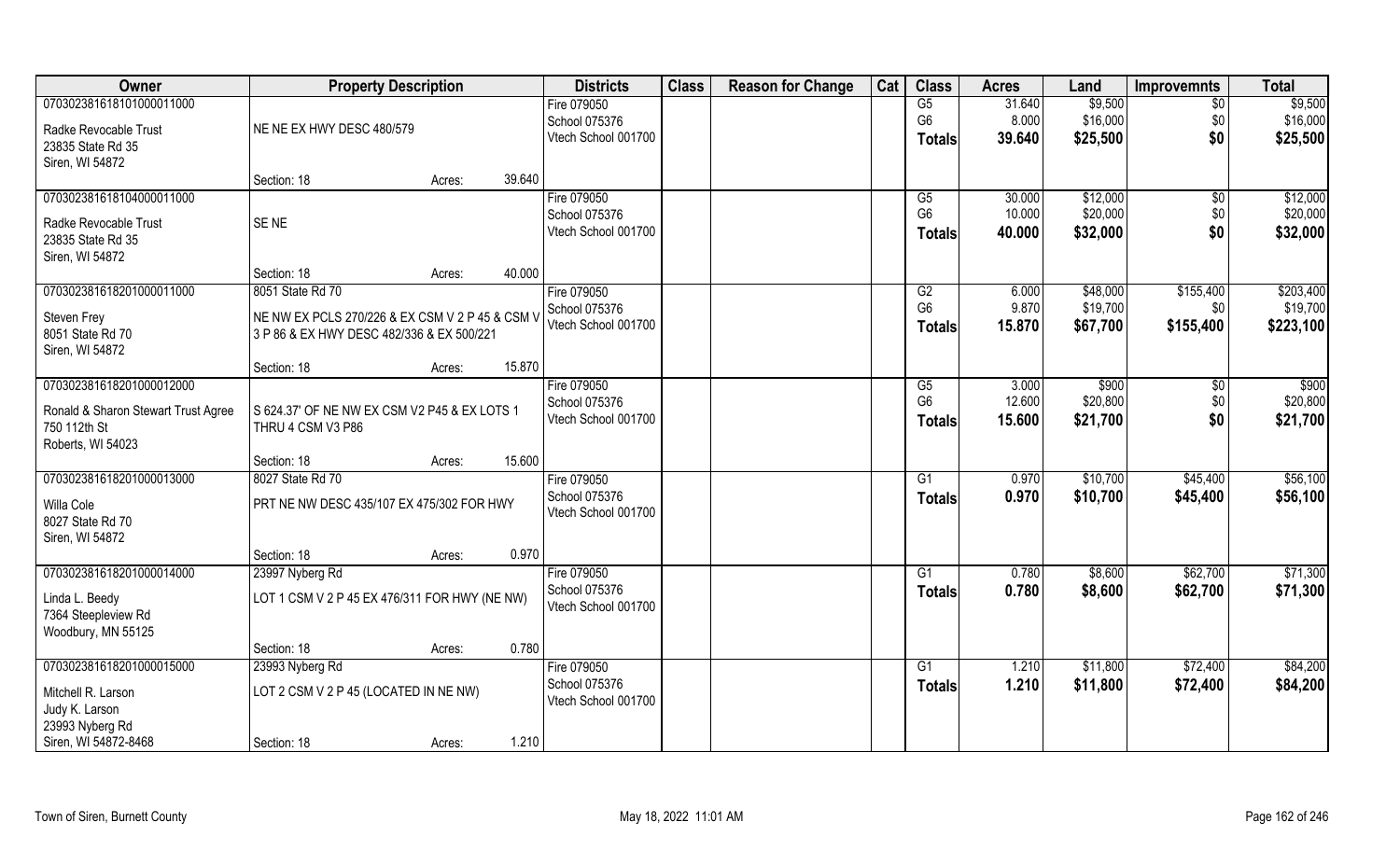| Owner                                | <b>Property Description</b>                     |        |        | <b>Districts</b>    | <b>Class</b> | <b>Reason for Change</b> | Cat | <b>Class</b>    | <b>Acres</b> | Land     | <b>Improvemnts</b> | <b>Total</b> |
|--------------------------------------|-------------------------------------------------|--------|--------|---------------------|--------------|--------------------------|-----|-----------------|--------------|----------|--------------------|--------------|
| 070302381618101000011000             |                                                 |        |        | Fire 079050         |              |                          |     | $\overline{G5}$ | 31.640       | \$9,500  | $\sqrt{6}$         | \$9,500      |
| Radke Revocable Trust                | NE NE EX HWY DESC 480/579                       |        |        | School 075376       |              |                          |     | G <sub>6</sub>  | 8.000        | \$16,000 | \$0                | \$16,000     |
| 23835 State Rd 35                    |                                                 |        |        | Vtech School 001700 |              |                          |     | <b>Totals</b>   | 39.640       | \$25,500 | \$0                | \$25,500     |
| Siren, WI 54872                      |                                                 |        |        |                     |              |                          |     |                 |              |          |                    |              |
|                                      | Section: 18                                     | Acres: | 39.640 |                     |              |                          |     |                 |              |          |                    |              |
| 070302381618104000011000             |                                                 |        |        | Fire 079050         |              |                          |     | G5              | 30.000       | \$12,000 | $\sqrt[6]{}$       | \$12,000     |
| Radke Revocable Trust                | SE <sub>NE</sub>                                |        |        | School 075376       |              |                          |     | G <sub>6</sub>  | 10.000       | \$20,000 | \$0                | \$20,000     |
| 23835 State Rd 35                    |                                                 |        |        | Vtech School 001700 |              |                          |     | <b>Totals</b>   | 40.000       | \$32,000 | \$0                | \$32,000     |
| Siren, WI 54872                      |                                                 |        |        |                     |              |                          |     |                 |              |          |                    |              |
|                                      | Section: 18                                     | Acres: | 40.000 |                     |              |                          |     |                 |              |          |                    |              |
| 070302381618201000011000             | 8051 State Rd 70                                |        |        | Fire 079050         |              |                          |     | G2              | 6.000        | \$48,000 | \$155,400          | \$203,400    |
| Steven Frey                          | NE NW EX PCLS 270/226 & EX CSM V 2 P 45 & CSM V |        |        | School 075376       |              |                          |     | G <sub>6</sub>  | 9.870        | \$19,700 | \$0                | \$19,700     |
| 8051 State Rd 70                     | 3 P 86 & EX HWY DESC 482/336 & EX 500/221       |        |        | Vtech School 001700 |              |                          |     | <b>Totals</b>   | 15.870       | \$67,700 | \$155,400          | \$223,100    |
| Siren, WI 54872                      |                                                 |        |        |                     |              |                          |     |                 |              |          |                    |              |
|                                      | Section: 18                                     | Acres: | 15.870 |                     |              |                          |     |                 |              |          |                    |              |
| 070302381618201000012000             |                                                 |        |        | Fire 079050         |              |                          |     | G5              | 3.000        | \$900    | \$0                | \$900        |
| Ronald & Sharon Stewart Trust Agree  | S 624.37' OF NE NW EX CSM V2 P45 & EX LOTS 1    |        |        | School 075376       |              |                          |     | G <sub>6</sub>  | 12.600       | \$20,800 | \$0                | \$20,800     |
| 750 112th St                         | THRU 4 CSM V3 P86                               |        |        | Vtech School 001700 |              |                          |     | <b>Totals</b>   | 15.600       | \$21,700 | \$0                | \$21,700     |
| Roberts, WI 54023                    |                                                 |        |        |                     |              |                          |     |                 |              |          |                    |              |
|                                      | Section: 18                                     | Acres: | 15.600 |                     |              |                          |     |                 |              |          |                    |              |
| 070302381618201000013000             | 8027 State Rd 70                                |        |        | Fire 079050         |              |                          |     | $\overline{G1}$ | 0.970        | \$10,700 | \$45,400           | \$56,100     |
| Willa Cole                           | PRT NE NW DESC 435/107 EX 475/302 FOR HWY       |        |        | School 075376       |              |                          |     | <b>Totals</b>   | 0.970        | \$10,700 | \$45,400           | \$56,100     |
| 8027 State Rd 70                     |                                                 |        |        | Vtech School 001700 |              |                          |     |                 |              |          |                    |              |
| Siren, WI 54872                      |                                                 |        |        |                     |              |                          |     |                 |              |          |                    |              |
|                                      | Section: 18                                     | Acres: | 0.970  |                     |              |                          |     |                 |              |          |                    |              |
| 070302381618201000014000             | 23997 Nyberg Rd                                 |        |        | Fire 079050         |              |                          |     | G1              | 0.780        | \$8,600  | \$62,700           | \$71,300     |
| Linda L. Beedy                       | LOT 1 CSM V 2 P 45 EX 476/311 FOR HWY (NE NW)   |        |        | School 075376       |              |                          |     | <b>Totals</b>   | 0.780        | \$8,600  | \$62,700           | \$71,300     |
| 7364 Steepleview Rd                  |                                                 |        |        | Vtech School 001700 |              |                          |     |                 |              |          |                    |              |
| Woodbury, MN 55125                   |                                                 |        |        |                     |              |                          |     |                 |              |          |                    |              |
|                                      | Section: 18                                     | Acres: | 0.780  |                     |              |                          |     |                 |              |          |                    |              |
| 070302381618201000015000             | 23993 Nyberg Rd                                 |        |        | Fire 079050         |              |                          |     | $\overline{G1}$ | 1.210        | \$11,800 | \$72,400           | \$84,200     |
|                                      |                                                 |        |        | School 075376       |              |                          |     | <b>Totals</b>   | 1.210        | \$11,800 | \$72,400           | \$84,200     |
| Mitchell R. Larson<br>Judy K. Larson | LOT 2 CSM V 2 P 45 (LOCATED IN NE NW)           |        |        | Vtech School 001700 |              |                          |     |                 |              |          |                    |              |
| 23993 Nyberg Rd                      |                                                 |        |        |                     |              |                          |     |                 |              |          |                    |              |
| Siren, WI 54872-8468                 | Section: 18                                     | Acres: | 1.210  |                     |              |                          |     |                 |              |          |                    |              |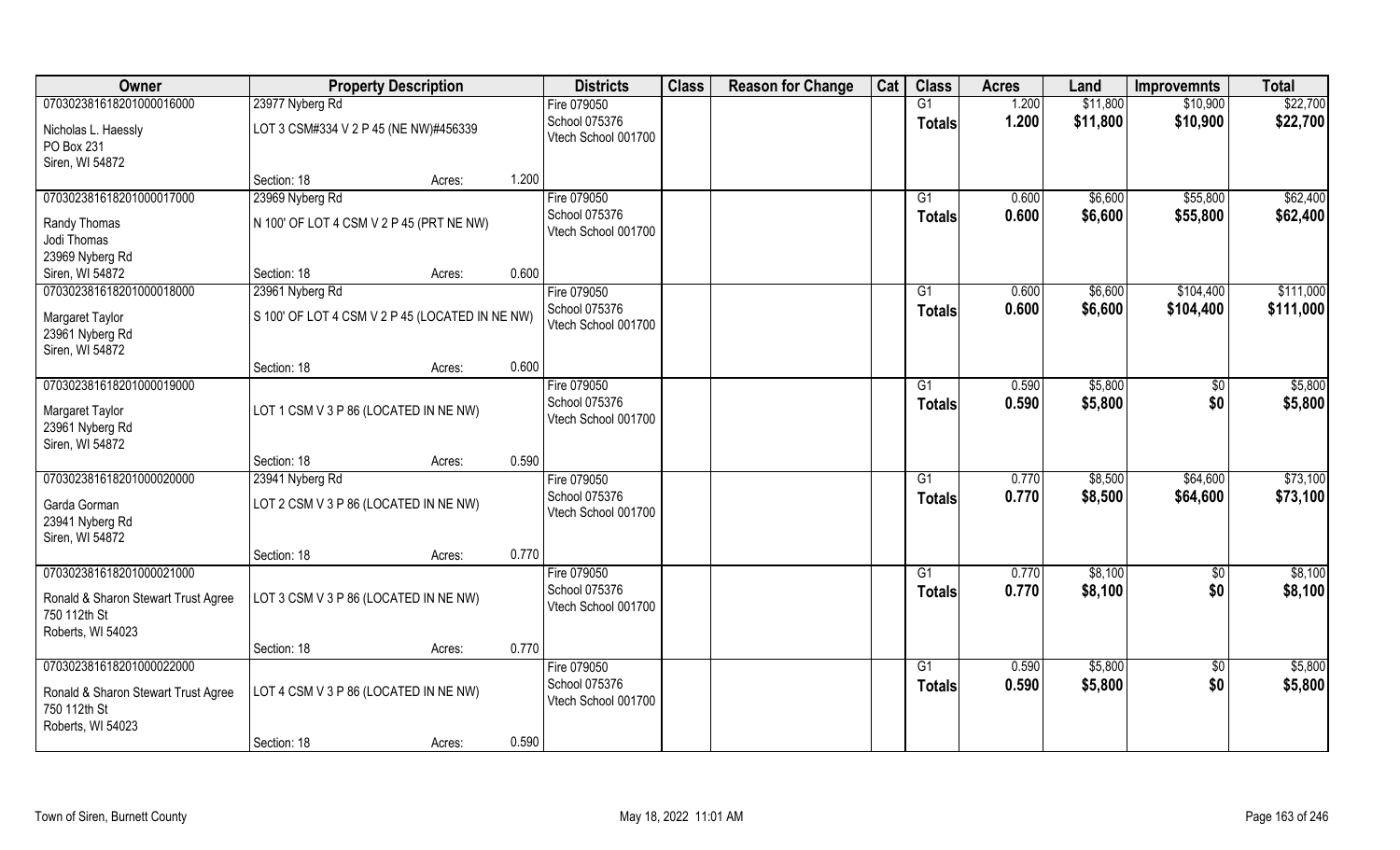| Owner                                                                                                | <b>Property Description</b>                     |        |       | <b>Districts</b>                                    | <b>Class</b> | <b>Reason for Change</b> | Cat | <b>Class</b>                     | <b>Acres</b>   | Land               | <b>Improvemnts</b>     | <b>Total</b>       |
|------------------------------------------------------------------------------------------------------|-------------------------------------------------|--------|-------|-----------------------------------------------------|--------------|--------------------------|-----|----------------------------------|----------------|--------------------|------------------------|--------------------|
| 070302381618201000016000                                                                             | 23977 Nyberg Rd                                 |        |       | Fire 079050                                         |              |                          |     | $\overline{G1}$                  | 1.200          | \$11,800           | \$10,900               | \$22,700           |
| Nicholas L. Haessly<br>PO Box 231<br>Siren, WI 54872                                                 | LOT 3 CSM#334 V 2 P 45 (NE NW)#456339           |        |       | School 075376<br>Vtech School 001700                |              |                          |     | <b>Totals</b>                    | 1.200          | \$11,800           | \$10,900               | \$22,700           |
|                                                                                                      | Section: 18                                     | Acres: | 1.200 |                                                     |              |                          |     |                                  |                |                    |                        |                    |
| 070302381618201000017000                                                                             | 23969 Nyberg Rd                                 |        |       | Fire 079050                                         |              |                          |     | G1                               | 0.600          | \$6,600            | \$55,800               | \$62,400           |
| Randy Thomas<br>Jodi Thomas<br>23969 Nyberg Rd                                                       | N 100' OF LOT 4 CSM V 2 P 45 (PRT NE NW)        |        |       | School 075376<br>Vtech School 001700                |              |                          |     | <b>Totals</b>                    | 0.600          | \$6,600            | \$55,800               | \$62,400           |
| Siren, WI 54872                                                                                      | Section: 18                                     | Acres: | 0.600 |                                                     |              |                          |     |                                  |                |                    |                        |                    |
| 070302381618201000018000                                                                             | 23961 Nyberg Rd                                 |        |       | Fire 079050                                         |              |                          |     | G1                               | 0.600          | \$6,600            | \$104,400              | \$111,000          |
| Margaret Taylor<br>23961 Nyberg Rd<br>Siren, WI 54872                                                | S 100' OF LOT 4 CSM V 2 P 45 (LOCATED IN NE NW) |        |       | School 075376<br>Vtech School 001700                |              |                          |     | <b>Totals</b>                    | 0.600          | \$6,600            | \$104,400              | \$111,000          |
|                                                                                                      | Section: 18                                     | Acres: | 0.600 |                                                     |              |                          |     |                                  |                |                    |                        |                    |
| 070302381618201000019000<br>Margaret Taylor<br>23961 Nyberg Rd<br>Siren, WI 54872                    | LOT 1 CSM V 3 P 86 (LOCATED IN NE NW)           |        |       | Fire 079050<br>School 075376<br>Vtech School 001700 |              |                          |     | G1<br><b>Totals</b>              | 0.590<br>0.590 | \$5,800<br>\$5,800 | \$0<br>\$0             | \$5,800<br>\$5,800 |
|                                                                                                      | Section: 18                                     | Acres: | 0.590 |                                                     |              |                          |     |                                  |                |                    |                        |                    |
| 070302381618201000020000                                                                             | 23941 Nyberg Rd                                 |        |       | Fire 079050                                         |              |                          |     | $\overline{G1}$                  | 0.770          | \$8,500            | \$64,600               | \$73,100           |
| Garda Gorman<br>23941 Nyberg Rd<br>Siren, WI 54872                                                   | LOT 2 CSM V 3 P 86 (LOCATED IN NE NW)           |        |       | School 075376<br>Vtech School 001700                |              |                          |     | <b>Totals</b>                    | 0.770          | \$8,500            | \$64,600               | \$73,100           |
|                                                                                                      | Section: 18                                     | Acres: | 0.770 |                                                     |              |                          |     |                                  |                |                    |                        |                    |
| 070302381618201000021000                                                                             |                                                 |        |       | Fire 079050                                         |              |                          |     | G1                               | 0.770          | \$8,100            | \$0                    | \$8,100            |
| Ronald & Sharon Stewart Trust Agree<br>750 112th St<br>Roberts, WI 54023                             | LOT 3 CSM V 3 P 86 (LOCATED IN NE NW)           |        |       | School 075376<br>Vtech School 001700                |              |                          |     | <b>Totals</b>                    | 0.770          | \$8,100            | \$0                    | \$8,100            |
|                                                                                                      | Section: 18                                     | Acres: | 0.770 |                                                     |              |                          |     |                                  |                |                    |                        |                    |
| 070302381618201000022000<br>Ronald & Sharon Stewart Trust Agree<br>750 112th St<br>Roberts, WI 54023 | LOT 4 CSM V 3 P 86 (LOCATED IN NE NW)           |        |       | Fire 079050<br>School 075376<br>Vtech School 001700 |              |                          |     | $\overline{G1}$<br><b>Totals</b> | 0.590<br>0.590 | \$5,800<br>\$5,800 | $\overline{60}$<br>\$0 | \$5,800<br>\$5,800 |
|                                                                                                      | Section: 18                                     | Acres: | 0.590 |                                                     |              |                          |     |                                  |                |                    |                        |                    |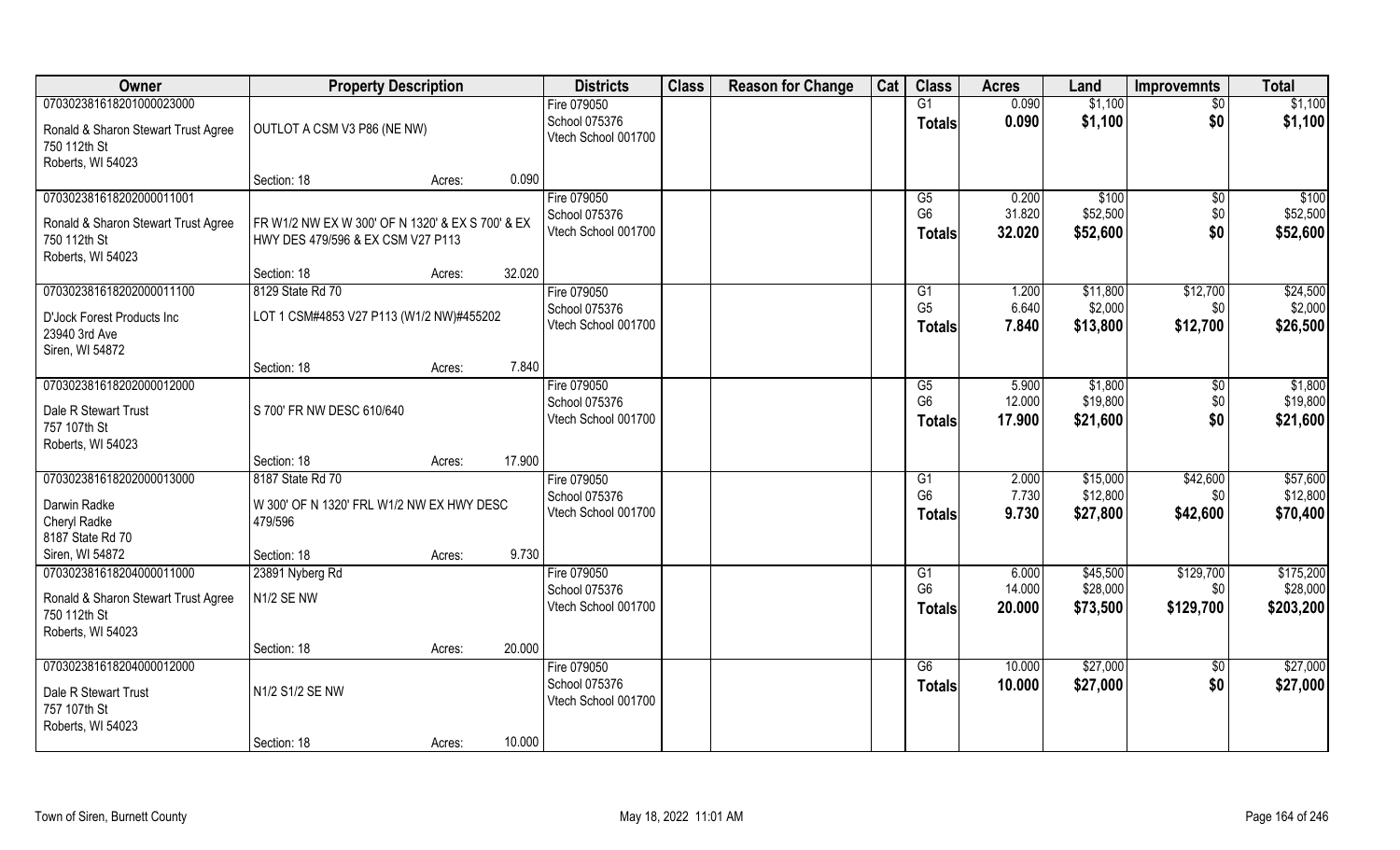| Owner                                                                    | <b>Property Description</b>                                                           |        |        | <b>Districts</b>                     | <b>Class</b> | <b>Reason for Change</b> | Cat | <b>Class</b>                    | <b>Acres</b>     | Land                 | <b>Improvemnts</b>  | <b>Total</b>          |
|--------------------------------------------------------------------------|---------------------------------------------------------------------------------------|--------|--------|--------------------------------------|--------------|--------------------------|-----|---------------------------------|------------------|----------------------|---------------------|-----------------------|
| 070302381618201000023000                                                 |                                                                                       |        |        | Fire 079050                          |              |                          |     | G1                              | 0.090            | \$1,100              | \$0                 | \$1,100               |
| Ronald & Sharon Stewart Trust Agree<br>750 112th St                      | OUTLOT A CSM V3 P86 (NE NW)                                                           |        |        | School 075376<br>Vtech School 001700 |              |                          |     | <b>Totals</b>                   | 0.090            | \$1,100              | \$0                 | \$1,100               |
| Roberts, WI 54023                                                        |                                                                                       |        |        |                                      |              |                          |     |                                 |                  |                      |                     |                       |
|                                                                          | Section: 18                                                                           | Acres: | 0.090  |                                      |              |                          |     |                                 |                  |                      |                     |                       |
| 070302381618202000011001                                                 |                                                                                       |        |        | Fire 079050<br>School 075376         |              |                          |     | G5<br>G <sub>6</sub>            | 0.200<br>31.820  | \$100<br>\$52,500    | $\sqrt[6]{}$<br>\$0 | \$100<br>\$52,500     |
| Ronald & Sharon Stewart Trust Agree<br>750 112th St<br>Roberts, WI 54023 | FR W1/2 NW EX W 300' OF N 1320' & EX S 700' & EX<br>HWY DES 479/596 & EX CSM V27 P113 |        |        | Vtech School 001700                  |              |                          |     | <b>Totals</b>                   | 32.020           | \$52,600             | \$0                 | \$52,600              |
|                                                                          | Section: 18                                                                           | Acres: | 32.020 |                                      |              |                          |     |                                 |                  |                      |                     |                       |
| 070302381618202000011100                                                 | 8129 State Rd 70                                                                      |        |        | Fire 079050                          |              |                          |     | G1                              | 1.200            | \$11,800             | \$12,700            | \$24,500              |
| D'Jock Forest Products Inc<br>23940 3rd Ave<br>Siren, WI 54872           | LOT 1 CSM#4853 V27 P113 (W1/2 NW)#455202                                              |        |        | School 075376<br>Vtech School 001700 |              |                          |     | G <sub>5</sub><br><b>Totals</b> | 6.640<br>7.840   | \$2,000<br>\$13,800  | \$0<br>\$12,700     | \$2,000<br>\$26,500   |
|                                                                          | Section: 18                                                                           | Acres: | 7.840  |                                      |              |                          |     |                                 |                  |                      |                     |                       |
| 070302381618202000012000                                                 |                                                                                       |        |        | Fire 079050                          |              |                          |     | G5                              | 5.900            | \$1,800              | \$0                 | \$1,800               |
| Dale R Stewart Trust<br>757 107th St                                     | S 700' FR NW DESC 610/640                                                             |        |        | School 075376<br>Vtech School 001700 |              |                          |     | G <sub>6</sub><br><b>Totals</b> | 12.000<br>17.900 | \$19,800<br>\$21,600 | \$0<br>\$0          | \$19,800<br>\$21,600  |
| Roberts, WI 54023                                                        | Section: 18                                                                           | Acres: | 17.900 |                                      |              |                          |     |                                 |                  |                      |                     |                       |
| 070302381618202000013000                                                 | 8187 State Rd 70                                                                      |        |        | Fire 079050                          |              |                          |     | G1                              | 2.000            | \$15,000             | \$42,600            | \$57,600              |
| Darwin Radke<br>Cheryl Radke<br>8187 State Rd 70                         | W 300' OF N 1320' FRL W1/2 NW EX HWY DESC<br>479/596                                  |        |        | School 075376<br>Vtech School 001700 |              |                          |     | G <sub>6</sub><br><b>Totals</b> | 7.730<br>9.730   | \$12,800<br>\$27,800 | \$0<br>\$42,600     | \$12,800<br>\$70,400  |
| Siren, WI 54872                                                          | Section: 18                                                                           | Acres: | 9.730  |                                      |              |                          |     |                                 |                  |                      |                     |                       |
| 070302381618204000011000                                                 | 23891 Nyberg Rd                                                                       |        |        | Fire 079050                          |              |                          |     | G1                              | 6.000            | \$45,500             | \$129,700           | \$175,200             |
| Ronald & Sharon Stewart Trust Agree<br>750 112th St<br>Roberts, WI 54023 | N1/2 SE NW                                                                            |        |        | School 075376<br>Vtech School 001700 |              |                          |     | G <sub>6</sub><br><b>Totals</b> | 14.000<br>20.000 | \$28,000<br>\$73,500 | \$0<br>\$129,700    | \$28,000<br>\$203,200 |
|                                                                          | Section: 18                                                                           | Acres: | 20.000 |                                      |              |                          |     |                                 |                  |                      |                     |                       |
| 070302381618204000012000                                                 |                                                                                       |        |        | Fire 079050                          |              |                          |     | G6                              | 10.000           | \$27,000             | $\overline{50}$     | \$27,000              |
| Dale R Stewart Trust<br>757 107th St<br>Roberts, WI 54023                | N1/2 S1/2 SE NW                                                                       |        |        | School 075376<br>Vtech School 001700 |              |                          |     | <b>Totals</b>                   | 10.000           | \$27,000             | \$0                 | \$27,000              |
|                                                                          | Section: 18                                                                           | Acres: | 10.000 |                                      |              |                          |     |                                 |                  |                      |                     |                       |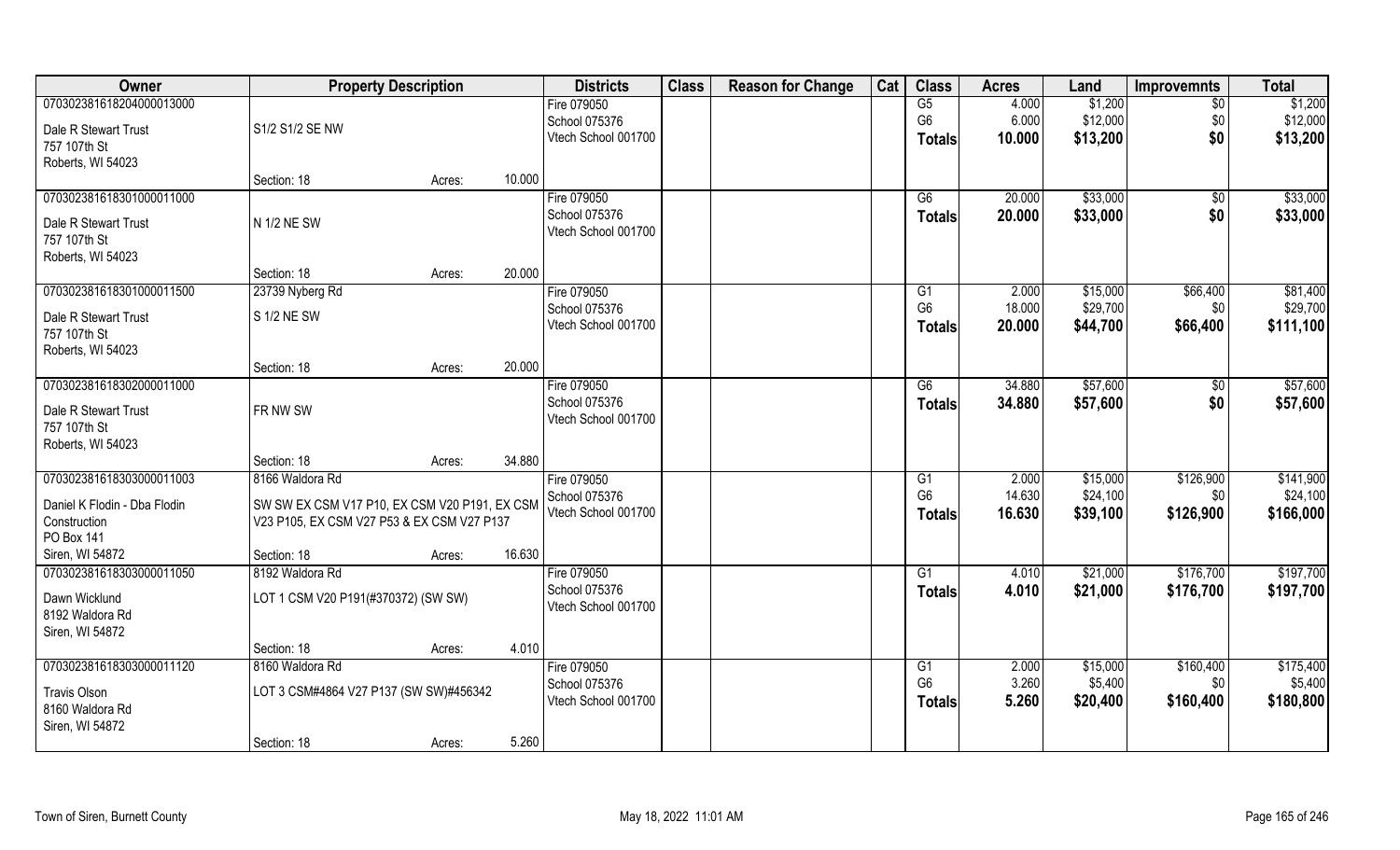| Owner                        | <b>Property Description</b>                   |        |        | <b>Districts</b>    | <b>Class</b> | <b>Reason for Change</b> | Cat | <b>Class</b>   | <b>Acres</b> | Land     | <b>Improvemnts</b> | <b>Total</b> |
|------------------------------|-----------------------------------------------|--------|--------|---------------------|--------------|--------------------------|-----|----------------|--------------|----------|--------------------|--------------|
| 070302381618204000013000     |                                               |        |        | Fire 079050         |              |                          |     | G5             | 4.000        | \$1,200  | \$0                | \$1,200      |
| Dale R Stewart Trust         | S1/2 S1/2 SE NW                               |        |        | School 075376       |              |                          |     | G <sub>6</sub> | 6.000        | \$12,000 | \$0                | \$12,000     |
| 757 107th St                 |                                               |        |        | Vtech School 001700 |              |                          |     | <b>Totals</b>  | 10.000       | \$13,200 | \$0                | \$13,200     |
| Roberts, WI 54023            |                                               |        |        |                     |              |                          |     |                |              |          |                    |              |
|                              | Section: 18                                   | Acres: | 10.000 |                     |              |                          |     |                |              |          |                    |              |
| 070302381618301000011000     |                                               |        |        | Fire 079050         |              |                          |     | G6             | 20.000       | \$33,000 | $\sqrt{6}$         | \$33,000     |
| Dale R Stewart Trust         | N 1/2 NE SW                                   |        |        | School 075376       |              |                          |     | <b>Totals</b>  | 20.000       | \$33,000 | \$0                | \$33,000     |
| 757 107th St                 |                                               |        |        | Vtech School 001700 |              |                          |     |                |              |          |                    |              |
| Roberts, WI 54023            |                                               |        |        |                     |              |                          |     |                |              |          |                    |              |
|                              | Section: 18                                   | Acres: | 20.000 |                     |              |                          |     |                |              |          |                    |              |
| 070302381618301000011500     | 23739 Nyberg Rd                               |        |        | Fire 079050         |              |                          |     | G1             | 2.000        | \$15,000 | \$66,400           | \$81,400     |
| Dale R Stewart Trust         | S 1/2 NE SW                                   |        |        | School 075376       |              |                          |     | G <sub>6</sub> | 18.000       | \$29,700 | \$0                | \$29,700     |
| 757 107th St                 |                                               |        |        | Vtech School 001700 |              |                          |     | <b>Totals</b>  | 20.000       | \$44,700 | \$66,400           | \$111,100    |
| Roberts, WI 54023            |                                               |        |        |                     |              |                          |     |                |              |          |                    |              |
|                              | Section: 18                                   | Acres: | 20.000 |                     |              |                          |     |                |              |          |                    |              |
| 070302381618302000011000     |                                               |        |        | Fire 079050         |              |                          |     | G6             | 34.880       | \$57,600 | $\sqrt[6]{}$       | \$57,600     |
| Dale R Stewart Trust         | FR NW SW                                      |        |        | School 075376       |              |                          |     | <b>Totals</b>  | 34.880       | \$57,600 | \$0                | \$57,600     |
| 757 107th St                 |                                               |        |        | Vtech School 001700 |              |                          |     |                |              |          |                    |              |
| Roberts, WI 54023            |                                               |        |        |                     |              |                          |     |                |              |          |                    |              |
|                              | Section: 18                                   | Acres: | 34.880 |                     |              |                          |     |                |              |          |                    |              |
| 070302381618303000011003     | 8166 Waldora Rd                               |        |        | Fire 079050         |              |                          |     | G1             | 2.000        | \$15,000 | \$126,900          | \$141,900    |
| Daniel K Flodin - Dba Flodin | SW SW EX CSM V17 P10, EX CSM V20 P191, EX CSM |        |        | School 075376       |              |                          |     | G <sub>6</sub> | 14.630       | \$24,100 | \$0                | \$24,100     |
| Construction                 | V23 P105, EX CSM V27 P53 & EX CSM V27 P137    |        |        | Vtech School 001700 |              |                          |     | <b>Totals</b>  | 16.630       | \$39,100 | \$126,900          | \$166,000    |
| PO Box 141                   |                                               |        |        |                     |              |                          |     |                |              |          |                    |              |
| Siren, WI 54872              | Section: 18                                   | Acres: | 16.630 |                     |              |                          |     |                |              |          |                    |              |
| 070302381618303000011050     | 8192 Waldora Rd                               |        |        | Fire 079050         |              |                          |     | G1             | 4.010        | \$21,000 | \$176,700          | \$197,700    |
| Dawn Wicklund                | LOT 1 CSM V20 P191(#370372) (SW SW)           |        |        | School 075376       |              |                          |     | <b>Totals</b>  | 4.010        | \$21,000 | \$176,700          | \$197,700    |
| 8192 Waldora Rd              |                                               |        |        | Vtech School 001700 |              |                          |     |                |              |          |                    |              |
| Siren, WI 54872              |                                               |        |        |                     |              |                          |     |                |              |          |                    |              |
|                              | Section: 18                                   | Acres: | 4.010  |                     |              |                          |     |                |              |          |                    |              |
| 070302381618303000011120     | 8160 Waldora Rd                               |        |        | Fire 079050         |              |                          |     | G1             | 2.000        | \$15,000 | \$160,400          | \$175,400    |
| Travis Olson                 | LOT 3 CSM#4864 V27 P137 (SW SW)#456342        |        |        | School 075376       |              |                          |     | G <sub>6</sub> | 3.260        | \$5,400  | \$0                | \$5,400      |
| 8160 Waldora Rd              |                                               |        |        | Vtech School 001700 |              |                          |     | <b>Totals</b>  | 5.260        | \$20,400 | \$160,400          | \$180,800    |
| Siren, WI 54872              |                                               |        |        |                     |              |                          |     |                |              |          |                    |              |
|                              | Section: 18                                   | Acres: | 5.260  |                     |              |                          |     |                |              |          |                    |              |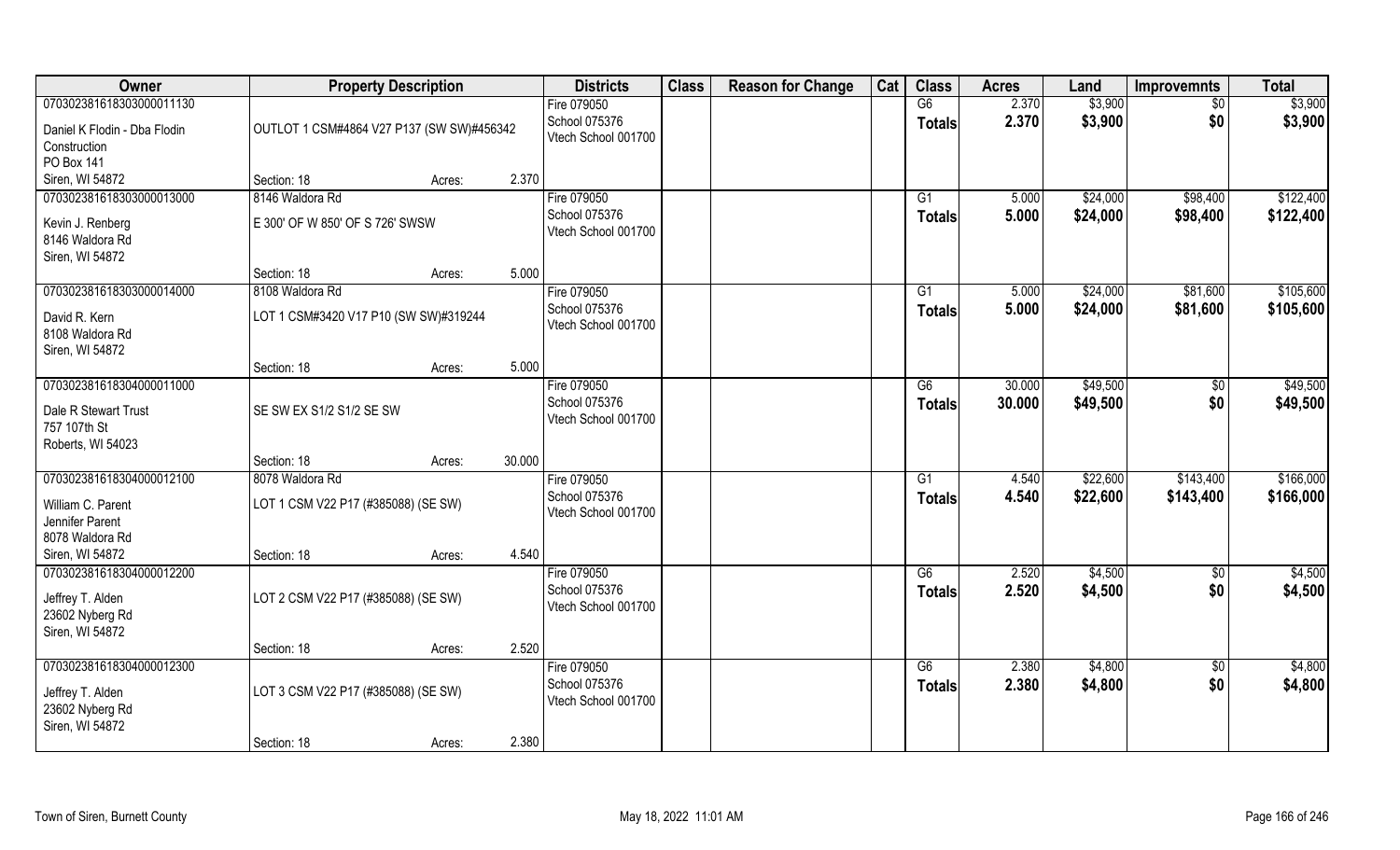| Owner                                                                                                  | <b>Property Description</b>                                           |        |        | <b>Districts</b>                                    | <b>Class</b> | <b>Reason for Change</b> | Cat | <b>Class</b>                     | <b>Acres</b>     | Land                 | <b>Improvemnts</b>     | <b>Total</b>           |
|--------------------------------------------------------------------------------------------------------|-----------------------------------------------------------------------|--------|--------|-----------------------------------------------------|--------------|--------------------------|-----|----------------------------------|------------------|----------------------|------------------------|------------------------|
| 070302381618303000011130<br>Daniel K Flodin - Dba Flodin<br>Construction<br>PO Box 141                 | OUTLOT 1 CSM#4864 V27 P137 (SW SW)#456342                             |        |        | Fire 079050<br>School 075376<br>Vtech School 001700 |              |                          |     | G6<br><b>Totals</b>              | 2.370<br>2.370   | \$3,900<br>\$3,900   | \$0<br>\$0             | \$3,900<br>\$3,900     |
| Siren, WI 54872                                                                                        | Section: 18                                                           | Acres: | 2.370  |                                                     |              |                          |     |                                  |                  |                      |                        |                        |
| 070302381618303000013000<br>Kevin J. Renberg<br>8146 Waldora Rd<br>Siren, WI 54872                     | 8146 Waldora Rd<br>E 300' OF W 850' OF S 726' SWSW                    |        |        | Fire 079050<br>School 075376<br>Vtech School 001700 |              |                          |     | G1<br>Totals                     | 5.000<br>5.000   | \$24,000<br>\$24,000 | \$98,400<br>\$98,400   | \$122,400<br>\$122,400 |
|                                                                                                        | Section: 18                                                           | Acres: | 5.000  |                                                     |              |                          |     |                                  |                  |                      |                        |                        |
| 070302381618303000014000<br>David R. Kern<br>8108 Waldora Rd<br>Siren, WI 54872                        | 8108 Waldora Rd<br>LOT 1 CSM#3420 V17 P10 (SW SW)#319244              |        |        | Fire 079050<br>School 075376<br>Vtech School 001700 |              |                          |     | G1<br><b>Totals</b>              | 5.000<br>5.000   | \$24,000<br>\$24,000 | \$81,600<br>\$81,600   | \$105,600<br>\$105,600 |
|                                                                                                        | Section: 18                                                           | Acres: | 5.000  |                                                     |              |                          |     |                                  |                  |                      |                        |                        |
| 070302381618304000011000<br>Dale R Stewart Trust<br>757 107th St<br>Roberts, WI 54023                  | SE SW EX S1/2 S1/2 SE SW                                              |        |        | Fire 079050<br>School 075376<br>Vtech School 001700 |              |                          |     | G6<br><b>Totals</b>              | 30.000<br>30.000 | \$49,500<br>\$49,500 | \$0<br>\$0             | \$49,500<br>\$49,500   |
|                                                                                                        | Section: 18                                                           | Acres: | 30.000 |                                                     |              |                          |     |                                  |                  |                      |                        |                        |
| 070302381618304000012100<br>William C. Parent<br>Jennifer Parent<br>8078 Waldora Rd<br>Siren, WI 54872 | 8078 Waldora Rd<br>LOT 1 CSM V22 P17 (#385088) (SE SW)<br>Section: 18 | Acres: | 4.540  | Fire 079050<br>School 075376<br>Vtech School 001700 |              |                          |     | $\overline{G1}$<br><b>Totals</b> | 4.540<br>4.540   | \$22,600<br>\$22,600 | \$143,400<br>\$143,400 | \$166,000<br>\$166,000 |
| 070302381618304000012200                                                                               |                                                                       |        |        | Fire 079050                                         |              |                          |     | G6                               | 2.520            | \$4,500              | \$0                    | \$4,500                |
| Jeffrey T. Alden<br>23602 Nyberg Rd<br>Siren, WI 54872                                                 | LOT 2 CSM V22 P17 (#385088) (SE SW)                                   |        |        | School 075376<br>Vtech School 001700                |              |                          |     | <b>Totals</b>                    | 2.520            | \$4,500              | \$0                    | \$4,500                |
|                                                                                                        | Section: 18                                                           | Acres: | 2.520  |                                                     |              |                          |     |                                  |                  |                      |                        |                        |
| 070302381618304000012300<br>Jeffrey T. Alden<br>23602 Nyberg Rd<br>Siren, WI 54872                     | LOT 3 CSM V22 P17 (#385088) (SE SW)<br>Section: 18                    | Acres: | 2.380  | Fire 079050<br>School 075376<br>Vtech School 001700 |              |                          |     | G6<br>Totals                     | 2.380<br>2.380   | \$4,800<br>\$4,800   | $\sqrt{6}$<br>\$0      | \$4,800<br>\$4,800     |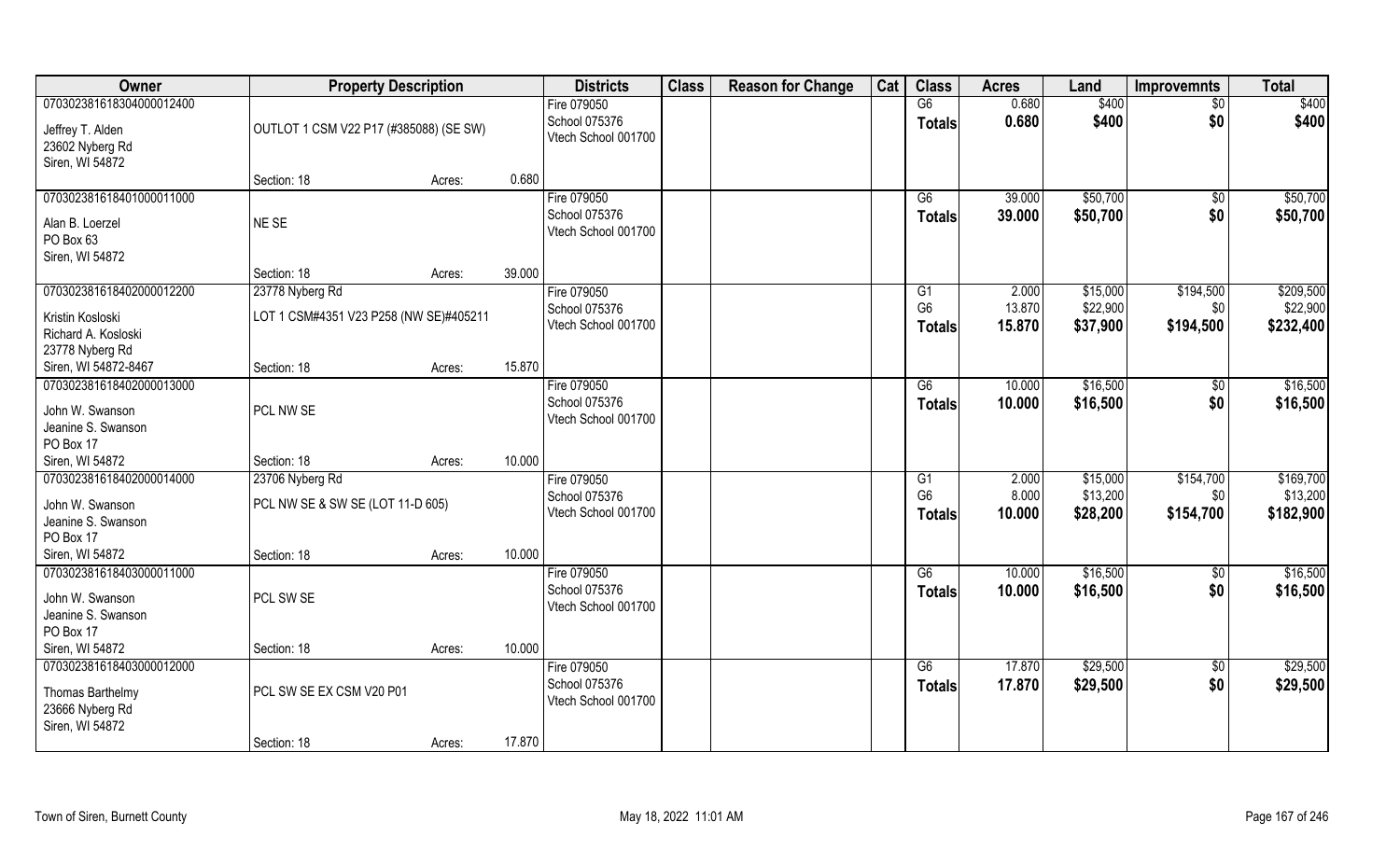| Owner                                                                                  | <b>Property Description</b>                               |        |        | <b>Districts</b>                                    | <b>Class</b> | <b>Reason for Change</b> | Cat | <b>Class</b>                          | <b>Acres</b>              | Land                             | <b>Improvemnts</b>            | <b>Total</b>                       |
|----------------------------------------------------------------------------------------|-----------------------------------------------------------|--------|--------|-----------------------------------------------------|--------------|--------------------------|-----|---------------------------------------|---------------------------|----------------------------------|-------------------------------|------------------------------------|
| 070302381618304000012400<br>Jeffrey T. Alden<br>23602 Nyberg Rd<br>Siren, WI 54872     | OUTLOT 1 CSM V22 P17 (#385088) (SE SW)                    |        |        | Fire 079050<br>School 075376<br>Vtech School 001700 |              |                          |     | G6<br><b>Totals</b>                   | 0.680<br>0.680            | \$400<br>\$400                   | $\sqrt{6}$<br>\$0             | \$400<br>\$400                     |
|                                                                                        | Section: 18                                               | Acres: | 0.680  |                                                     |              |                          |     |                                       |                           |                                  |                               |                                    |
| 070302381618401000011000<br>Alan B. Loerzel<br>PO Box 63<br>Siren, WI 54872            | NE SE                                                     |        |        | Fire 079050<br>School 075376<br>Vtech School 001700 |              |                          |     | G6<br>Totals                          | 39.000<br>39.000          | \$50,700<br>\$50,700             | \$0<br>\$0                    | \$50,700<br>\$50,700               |
|                                                                                        | Section: 18                                               | Acres: | 39.000 |                                                     |              |                          |     |                                       |                           |                                  |                               |                                    |
| 070302381618402000012200<br>Kristin Kosloski<br>Richard A. Kosloski<br>23778 Nyberg Rd | 23778 Nyberg Rd<br>LOT 1 CSM#4351 V23 P258 (NW SE)#405211 |        |        | Fire 079050<br>School 075376<br>Vtech School 001700 |              |                          |     | G1<br>G <sub>6</sub><br><b>Totals</b> | 2.000<br>13.870<br>15.870 | \$15,000<br>\$22,900<br>\$37,900 | \$194,500<br>\$0<br>\$194,500 | \$209,500<br>\$22,900<br>\$232,400 |
| Siren, WI 54872-8467                                                                   | Section: 18                                               | Acres: | 15.870 |                                                     |              |                          |     |                                       |                           |                                  |                               |                                    |
| 070302381618402000013000<br>John W. Swanson<br>Jeanine S. Swanson<br>PO Box 17         | PCL NW SE                                                 |        |        | Fire 079050<br>School 075376<br>Vtech School 001700 |              |                          |     | G6<br><b>Totals</b>                   | 10.000<br>10.000          | \$16,500<br>\$16,500             | $\sqrt{50}$<br>\$0            | \$16,500<br>\$16,500               |
| Siren, WI 54872                                                                        | Section: 18                                               | Acres: | 10.000 |                                                     |              |                          |     |                                       |                           |                                  |                               |                                    |
| 070302381618402000014000<br>John W. Swanson<br>Jeanine S. Swanson<br>PO Box 17         | 23706 Nyberg Rd<br>PCL NW SE & SW SE (LOT 11-D 605)       |        |        | Fire 079050<br>School 075376<br>Vtech School 001700 |              |                          |     | G1<br>G <sub>6</sub><br><b>Totals</b> | 2.000<br>8.000<br>10.000  | \$15,000<br>\$13,200<br>\$28,200 | \$154,700<br>\$0<br>\$154,700 | \$169,700<br>\$13,200<br>\$182,900 |
| Siren, WI 54872                                                                        | Section: 18                                               | Acres: | 10.000 |                                                     |              |                          |     |                                       |                           |                                  |                               |                                    |
| 070302381618403000011000<br>John W. Swanson<br>Jeanine S. Swanson<br>PO Box 17         | PCL SW SE                                                 |        |        | Fire 079050<br>School 075376<br>Vtech School 001700 |              |                          |     | G6<br><b>Totals</b>                   | 10.000<br>10.000          | \$16,500<br>\$16,500             | $\overline{50}$<br>\$0        | \$16,500<br>\$16,500               |
| Siren, WI 54872                                                                        | Section: 18                                               | Acres: | 10.000 |                                                     |              |                          |     |                                       |                           |                                  |                               |                                    |
| 070302381618403000012000<br>Thomas Barthelmy<br>23666 Nyberg Rd<br>Siren, WI 54872     | PCL SW SE EX CSM V20 P01<br>Section: 18                   | Acres: | 17.870 | Fire 079050<br>School 075376<br>Vtech School 001700 |              |                          |     | G6<br><b>Totals</b>                   | 17.870<br>17.870          | \$29,500<br>\$29,500             | $\overline{50}$<br>\$0        | \$29,500<br>\$29,500               |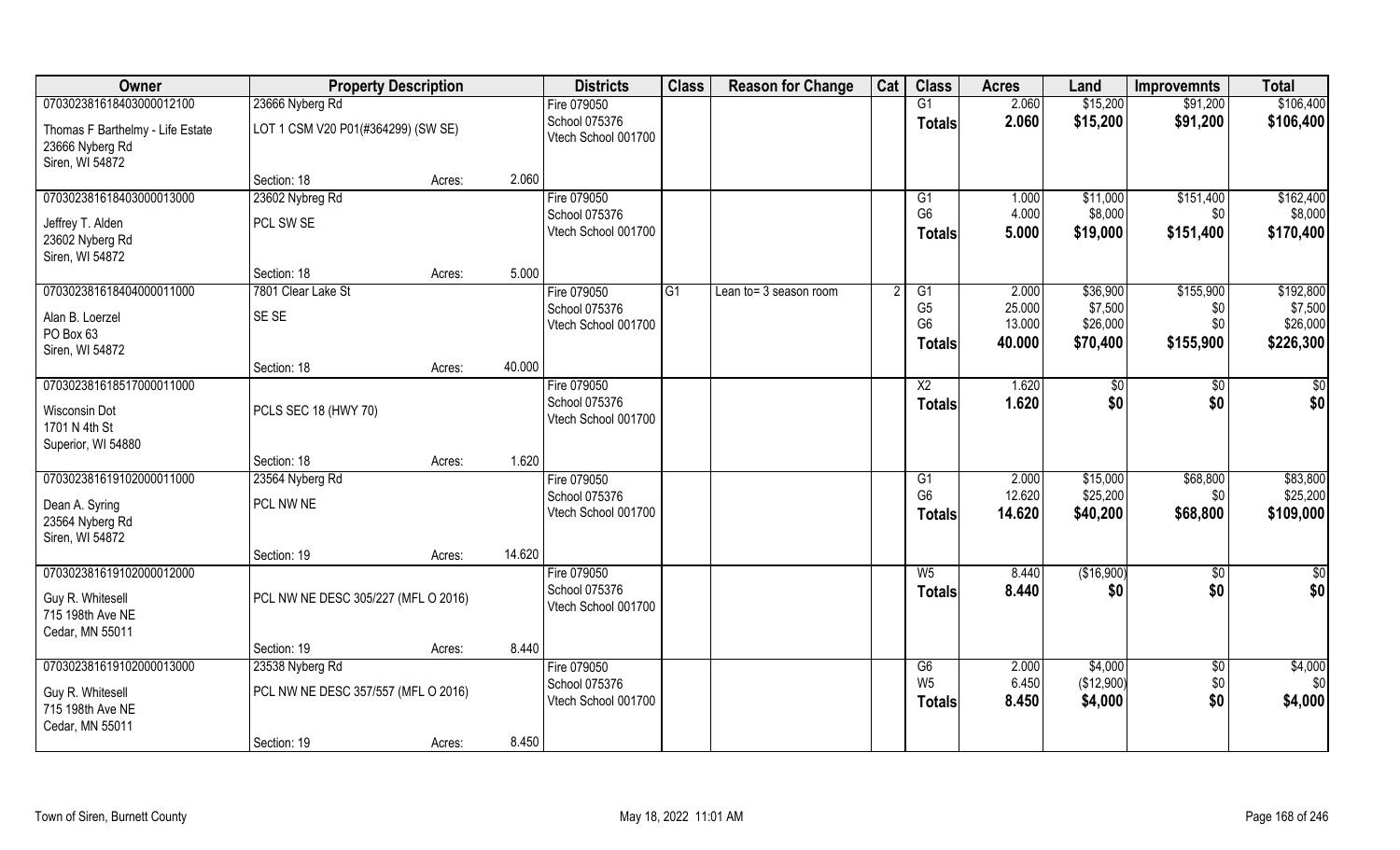| Owner                                                                            |                                     | <b>Property Description</b> |        | <b>Districts</b>                                    | <b>Class</b> | <b>Reason for Change</b> | Cat | <b>Class</b>                                      | <b>Acres</b>               | Land                            | <b>Improvemnts</b>      | <b>Total</b>                     |
|----------------------------------------------------------------------------------|-------------------------------------|-----------------------------|--------|-----------------------------------------------------|--------------|--------------------------|-----|---------------------------------------------------|----------------------------|---------------------------------|-------------------------|----------------------------------|
| 070302381618403000012100                                                         | 23666 Nyberg Rd                     |                             |        | Fire 079050                                         |              |                          |     | G1                                                | 2.060                      | \$15,200                        | \$91,200                | \$106,400                        |
| Thomas F Barthelmy - Life Estate<br>23666 Nyberg Rd<br>Siren, WI 54872           | LOT 1 CSM V20 P01(#364299) (SW SE)  |                             |        | School 075376<br>Vtech School 001700                |              |                          |     | <b>Totals</b>                                     | 2.060                      | \$15,200                        | \$91,200                | \$106,400                        |
|                                                                                  | Section: 18                         | Acres:                      | 2.060  |                                                     |              |                          |     |                                                   |                            |                                 |                         |                                  |
| 070302381618403000013000                                                         | 23602 Nybreg Rd                     |                             |        | Fire 079050                                         |              |                          |     | G1                                                | 1.000                      | \$11,000                        | \$151,400               | \$162,400                        |
| Jeffrey T. Alden<br>23602 Nyberg Rd<br>Siren, WI 54872                           | PCL SW SE                           |                             |        | School 075376<br>Vtech School 001700                |              |                          |     | G <sub>6</sub><br><b>Totals</b>                   | 4.000<br>5.000             | \$8,000<br>\$19,000             | \$0<br>\$151,400        | \$8,000<br>\$170,400             |
|                                                                                  | Section: 18                         | Acres:                      | 5.000  |                                                     |              |                          |     |                                                   |                            |                                 |                         |                                  |
| 070302381618404000011000                                                         | 7801 Clear Lake St                  |                             |        | Fire 079050                                         | l G1         | Lean to= 3 season room   |     | G1                                                | 2.000                      | \$36,900                        | \$155,900               | \$192,800                        |
| Alan B. Loerzel<br>PO Box 63<br>Siren, WI 54872                                  | SE <sub>SE</sub>                    |                             |        | School 075376<br>Vtech School 001700                |              |                          |     | G <sub>5</sub><br>G <sub>6</sub><br><b>Totals</b> | 25.000<br>13.000<br>40.000 | \$7,500<br>\$26,000<br>\$70,400 | \$0<br>\$0<br>\$155,900 | \$7,500<br>\$26,000<br>\$226,300 |
|                                                                                  | Section: 18                         | Acres:                      | 40.000 |                                                     |              |                          |     |                                                   |                            |                                 |                         |                                  |
| 070302381618517000011000<br>Wisconsin Dot<br>1701 N 4th St<br>Superior, WI 54880 | PCLS SEC 18 (HWY 70)                |                             |        | Fire 079050<br>School 075376<br>Vtech School 001700 |              |                          |     | X <sub>2</sub><br><b>Totals</b>                   | 1.620<br>1.620             | \$0<br>\$0                      | \$0<br>\$0              | $\frac{6}{3}$<br>\$0             |
|                                                                                  | Section: 18                         | Acres:                      | 1.620  |                                                     |              |                          |     |                                                   |                            |                                 |                         |                                  |
| 070302381619102000011000                                                         | 23564 Nyberg Rd                     |                             |        | Fire 079050                                         |              |                          |     | G1                                                | 2.000                      | \$15,000                        | \$68,800                | \$83,800                         |
| Dean A. Syring<br>23564 Nyberg Rd<br>Siren, WI 54872                             | PCL NW NE                           |                             |        | School 075376<br>Vtech School 001700                |              |                          |     | G <sub>6</sub><br><b>Totals</b>                   | 12.620<br>14.620           | \$25,200<br>\$40,200            | \$0<br>\$68,800         | \$25,200<br>\$109,000            |
|                                                                                  | Section: 19                         | Acres:                      | 14.620 |                                                     |              |                          |     |                                                   |                            |                                 |                         |                                  |
| 070302381619102000012000<br>Guy R. Whitesell                                     | PCL NW NE DESC 305/227 (MFL O 2016) |                             |        | Fire 079050<br>School 075376                        |              |                          |     | W <sub>5</sub><br><b>Totals</b>                   | 8.440<br>8.440             | (\$16,900)<br>\$0               | $\sqrt{50}$<br>\$0      | $\frac{1}{2}$<br>\$0             |
| 715 198th Ave NE<br>Cedar, MN 55011                                              |                                     |                             |        | Vtech School 001700                                 |              |                          |     |                                                   |                            |                                 |                         |                                  |
|                                                                                  | Section: 19                         | Acres:                      | 8.440  |                                                     |              |                          |     |                                                   |                            |                                 |                         |                                  |
| 070302381619102000013000                                                         | 23538 Nyberg Rd                     |                             |        | Fire 079050                                         |              |                          |     | G6                                                | 2.000                      | \$4,000                         | $\overline{50}$         | \$4,000                          |
| Guy R. Whitesell<br>715 198th Ave NE<br>Cedar, MN 55011                          | PCL NW NE DESC 357/557 (MFL O 2016) |                             |        | School 075376<br>Vtech School 001700                |              |                          |     | W <sub>5</sub><br><b>Totals</b>                   | 6.450<br>8.450             | (\$12,900)<br>\$4,000           | \$0<br>\$0              | \$0<br>\$4,000                   |
|                                                                                  | Section: 19                         | Acres:                      | 8.450  |                                                     |              |                          |     |                                                   |                            |                                 |                         |                                  |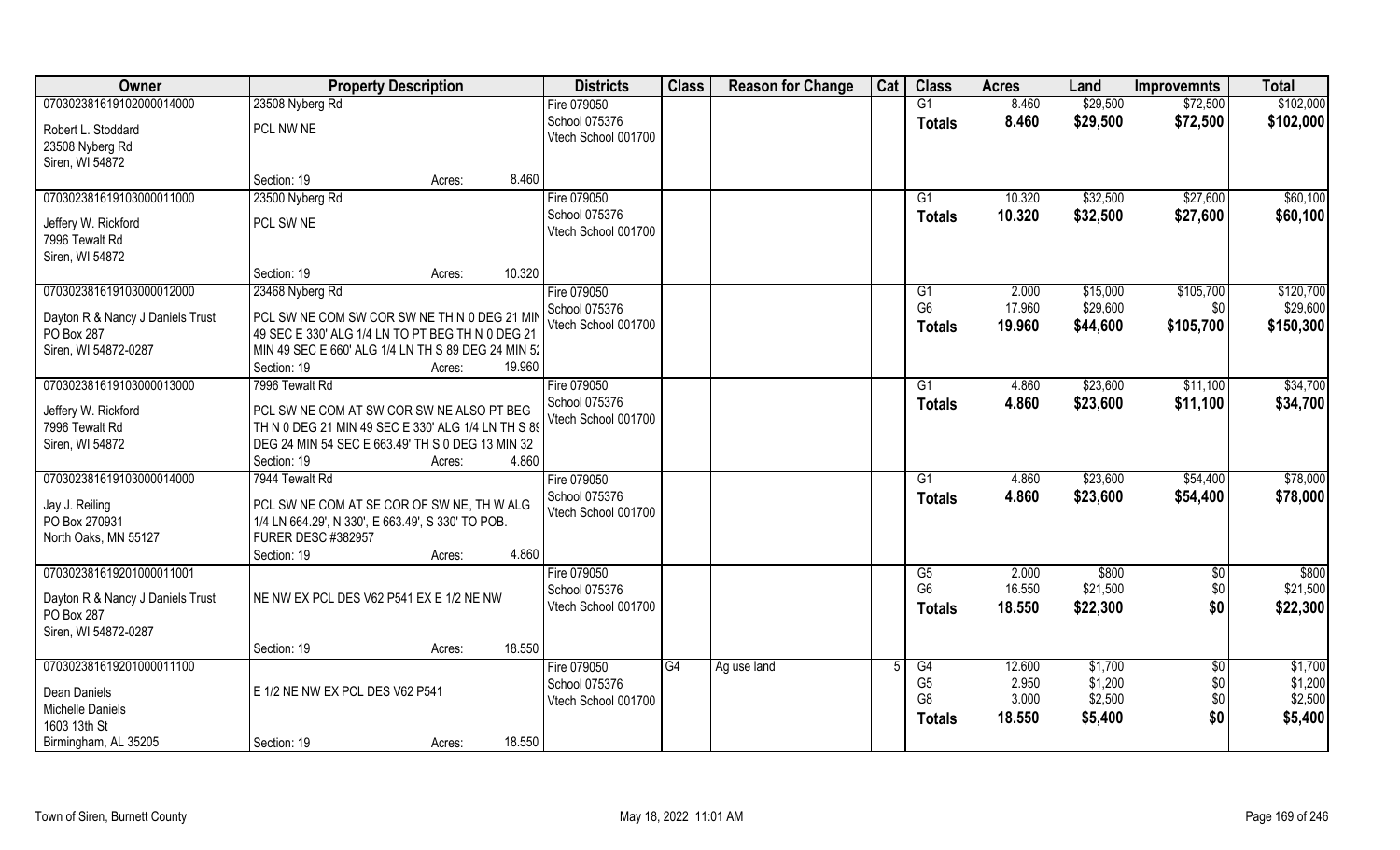| Owner                                                                  |                                                                                                                                                                       | <b>Property Description</b> |        | <b>Districts</b>                                    | <b>Class</b> | <b>Reason for Change</b> | Cat | <b>Class</b>                                | <b>Acres</b>                       | Land                                     | <b>Improvemnts</b>                   | <b>Total</b>                             |
|------------------------------------------------------------------------|-----------------------------------------------------------------------------------------------------------------------------------------------------------------------|-----------------------------|--------|-----------------------------------------------------|--------------|--------------------------|-----|---------------------------------------------|------------------------------------|------------------------------------------|--------------------------------------|------------------------------------------|
| 070302381619102000014000                                               | 23508 Nyberg Rd                                                                                                                                                       |                             |        | Fire 079050                                         |              |                          |     | $\overline{G1}$                             | 8.460                              | \$29,500                                 | \$72,500                             | \$102,000                                |
| Robert L. Stoddard<br>23508 Nyberg Rd<br>Siren, WI 54872               | PCL NW NE                                                                                                                                                             |                             |        | School 075376<br>Vtech School 001700                |              |                          |     | <b>Totals</b>                               | 8.460                              | \$29,500                                 | \$72,500                             | \$102,000                                |
|                                                                        | Section: 19                                                                                                                                                           | Acres:                      | 8.460  |                                                     |              |                          |     |                                             |                                    |                                          |                                      |                                          |
| 070302381619103000011000                                               | 23500 Nyberg Rd                                                                                                                                                       |                             |        | Fire 079050<br>School 075376                        |              |                          |     | G1                                          | 10.320                             | \$32,500                                 | \$27,600                             | \$60,100                                 |
| Jeffery W. Rickford<br>7996 Tewalt Rd<br>Siren, WI 54872               | PCL SW NE                                                                                                                                                             |                             |        | Vtech School 001700                                 |              |                          |     | <b>Totals</b>                               | 10.320                             | \$32,500                                 | \$27,600                             | \$60,100                                 |
|                                                                        | Section: 19                                                                                                                                                           | Acres:                      | 10.320 |                                                     |              |                          |     |                                             |                                    |                                          |                                      |                                          |
| 070302381619103000012000                                               | 23468 Nyberg Rd                                                                                                                                                       |                             |        | Fire 079050                                         |              |                          |     | G1                                          | 2.000                              | \$15,000                                 | \$105,700                            | \$120,700                                |
| Dayton R & Nancy J Daniels Trust<br>PO Box 287<br>Siren, WI 54872-0287 | PCL SW NE COM SW COR SW NE TH N 0 DEG 21 MIN<br>49 SEC E 330' ALG 1/4 LN TO PT BEG TH N 0 DEG 21<br>MIN 49 SEC E 660' ALG 1/4 LN TH S 89 DEG 24 MIN 52<br>Section: 19 | Acres:                      | 19.960 | School 075376<br>Vtech School 001700                |              |                          |     | G <sub>6</sub><br><b>Totals</b>             | 17.960<br>19.960                   | \$29,600<br>\$44,600                     | \$0<br>\$105,700                     | \$29,600<br>\$150,300                    |
| 070302381619103000013000                                               | 7996 Tewalt Rd                                                                                                                                                        |                             |        | Fire 079050                                         |              |                          |     | G1                                          | 4.860                              | \$23,600                                 | \$11,100                             | \$34,700                                 |
| Jeffery W. Rickford<br>7996 Tewalt Rd<br>Siren, WI 54872               | PCL SW NE COM AT SW COR SW NE ALSO PT BEG<br>TH N 0 DEG 21 MIN 49 SEC E 330' ALG 1/4 LN TH S 89<br>DEG 24 MIN 54 SEC E 663.49' TH S 0 DEG 13 MIN 32<br>Section: 19    | Acres:                      | 4.860  | School 075376<br>Vtech School 001700                |              |                          |     | <b>Totals</b>                               | 4.860                              | \$23,600                                 | \$11,100                             | \$34,700                                 |
| 070302381619103000014000                                               | 7944 Tewalt Rd                                                                                                                                                        |                             |        | Fire 079050                                         |              |                          |     | $\overline{G1}$                             | 4.860                              | \$23,600                                 | \$54,400                             | \$78,000                                 |
| Jay J. Reiling<br>PO Box 270931<br>North Oaks, MN 55127                | PCL SW NE COM AT SE COR OF SW NE, TH W ALG<br>1/4 LN 664.29', N 330', E 663.49', S 330' TO POB.<br><b>FURER DESC #382957</b><br>Section: 19                           | Acres:                      | 4.860  | School 075376<br>Vtech School 001700                |              |                          |     | <b>Totals</b>                               | 4.860                              | \$23,600                                 | \$54,400                             | \$78,000                                 |
| 070302381619201000011001                                               |                                                                                                                                                                       |                             |        | Fire 079050                                         |              |                          |     | G5                                          | 2.000                              | \$800                                    | \$0                                  | \$800                                    |
| Dayton R & Nancy J Daniels Trust<br>PO Box 287<br>Siren, WI 54872-0287 | NE NW EX PCL DES V62 P541 EX E 1/2 NE NW                                                                                                                              |                             |        | School 075376<br>Vtech School 001700                |              |                          |     | G <sub>6</sub><br><b>Totals</b>             | 16.550<br>18.550                   | \$21,500<br>\$22,300                     | \$0<br>\$0                           | \$21,500<br>\$22,300                     |
|                                                                        | Section: 19                                                                                                                                                           | Acres:                      | 18.550 |                                                     |              |                          |     |                                             |                                    |                                          |                                      |                                          |
| 070302381619201000011100<br>Dean Daniels<br>Michelle Daniels           | E 1/2 NE NW EX PCL DES V62 P541                                                                                                                                       |                             |        | Fire 079050<br>School 075376<br>Vtech School 001700 | G4           | Ag use land              |     | G4<br>G <sub>5</sub><br>G8<br><b>Totals</b> | 12.600<br>2.950<br>3.000<br>18.550 | \$1,700<br>\$1,200<br>\$2,500<br>\$5,400 | $\overline{50}$<br>\$0<br>\$0<br>\$0 | \$1,700<br>\$1,200<br>\$2,500<br>\$5,400 |
| 1603 13th St<br>Birmingham, AL 35205                                   | Section: 19                                                                                                                                                           | Acres:                      | 18.550 |                                                     |              |                          |     |                                             |                                    |                                          |                                      |                                          |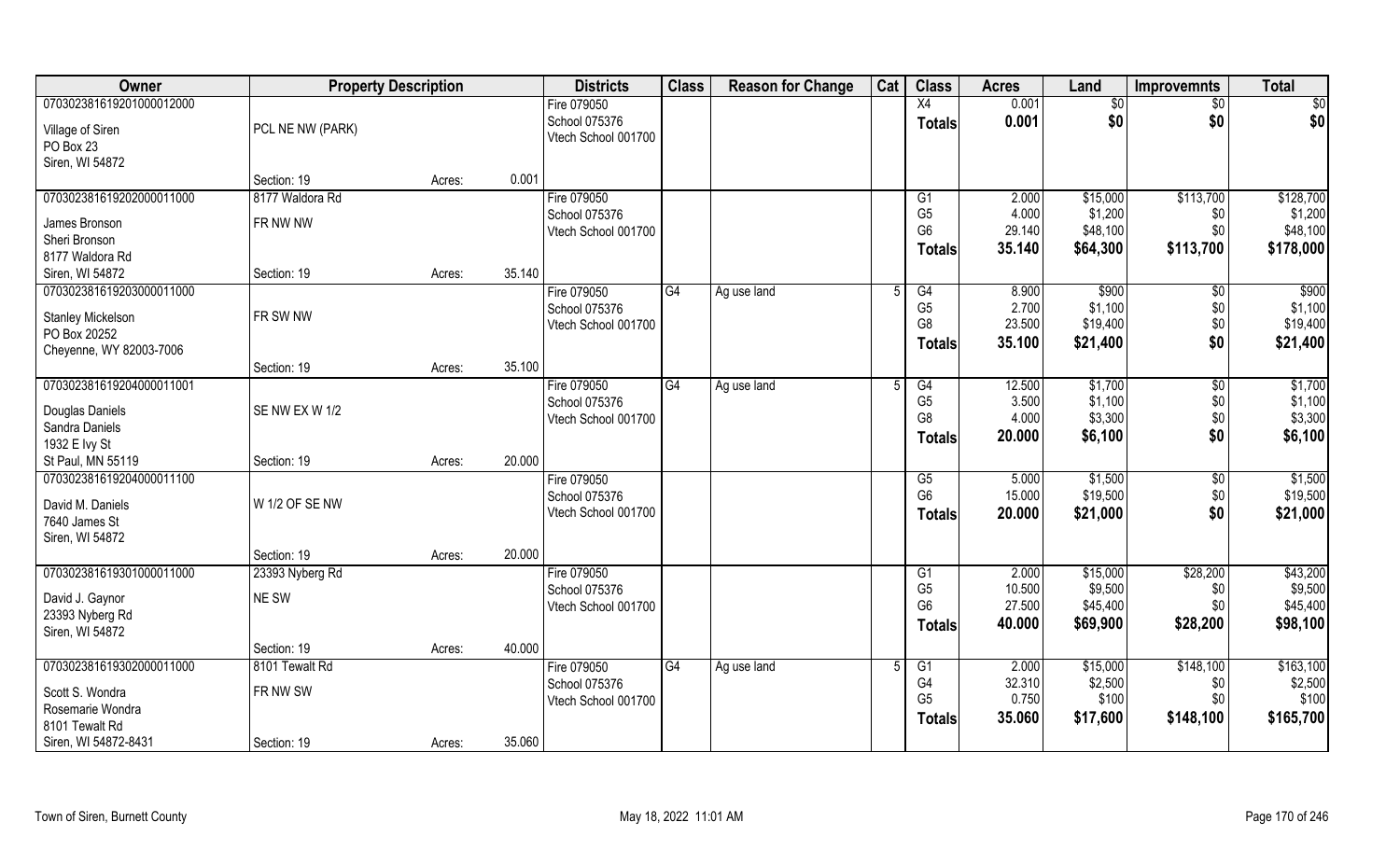| Owner                             |                               | <b>Property Description</b> |        | <b>Districts</b>    | <b>Class</b>   | <b>Reason for Change</b> | Cat | <b>Class</b>    | <b>Acres</b> | Land     | <b>Improvemnts</b> | <b>Total</b> |
|-----------------------------------|-------------------------------|-----------------------------|--------|---------------------|----------------|--------------------------|-----|-----------------|--------------|----------|--------------------|--------------|
| 070302381619201000012000          |                               |                             |        | Fire 079050         |                |                          |     | $\overline{X4}$ | 0.001        | \$0      | $\sqrt{6}$         | \$0          |
| Village of Siren                  | PCL NE NW (PARK)              |                             |        | School 075376       |                |                          |     | <b>Totals</b>   | 0.001        | \$0      | \$0                | \$0          |
| PO Box 23                         |                               |                             |        | Vtech School 001700 |                |                          |     |                 |              |          |                    |              |
| Siren, WI 54872                   |                               |                             |        |                     |                |                          |     |                 |              |          |                    |              |
|                                   | Section: 19                   | Acres:                      | 0.001  |                     |                |                          |     |                 |              |          |                    |              |
| 070302381619202000011000          | 8177 Waldora Rd               |                             |        | Fire 079050         |                |                          |     | G1              | 2.000        | \$15,000 | \$113,700          | \$128,700    |
| James Bronson                     | FR NW NW                      |                             |        | School 075376       |                |                          |     | G <sub>5</sub>  | 4.000        | \$1,200  | \$0                | \$1,200      |
| Sheri Bronson                     |                               |                             |        | Vtech School 001700 |                |                          |     | G <sub>6</sub>  | 29.140       | \$48,100 | \$0                | \$48,100     |
| 8177 Waldora Rd                   |                               |                             |        |                     |                |                          |     | <b>Totals</b>   | 35.140       | \$64,300 | \$113,700          | \$178,000    |
| Siren, WI 54872                   | Section: 19                   | Acres:                      | 35.140 |                     |                |                          |     |                 |              |          |                    |              |
| 070302381619203000011000          |                               |                             |        | Fire 079050         | G4             | Ag use land              |     | G4              | 8.900        | \$900    | $\sqrt{50}$        | \$900        |
|                                   | FR SW NW                      |                             |        | School 075376       |                |                          |     | G <sub>5</sub>  | 2.700        | \$1,100  | \$0                | \$1,100      |
| Stanley Mickelson<br>PO Box 20252 |                               |                             |        | Vtech School 001700 |                |                          |     | G <sub>8</sub>  | 23.500       | \$19,400 | \$0                | \$19,400     |
| Cheyenne, WY 82003-7006           |                               |                             |        |                     |                |                          |     | <b>Totals</b>   | 35.100       | \$21,400 | \$0                | \$21,400     |
|                                   | Section: 19                   | Acres:                      | 35.100 |                     |                |                          |     |                 |              |          |                    |              |
| 070302381619204000011001          |                               |                             |        | Fire 079050         | G <sub>4</sub> | Ag use land              |     | G4              | 12.500       | \$1,700  | \$0                | \$1,700      |
|                                   |                               |                             |        | School 075376       |                |                          |     | G <sub>5</sub>  | 3.500        | \$1,100  | \$0                | \$1,100      |
| Douglas Daniels                   | SE NW EX W 1/2                |                             |        | Vtech School 001700 |                |                          |     | G <sub>8</sub>  | 4.000        | \$3,300  | \$0                | \$3,300      |
| Sandra Daniels<br>1932 E Ivy St   |                               |                             |        |                     |                |                          |     | <b>Totals</b>   | 20.000       | \$6,100  | \$0                | \$6,100      |
| St Paul, MN 55119                 | Section: 19                   | Acres:                      | 20.000 |                     |                |                          |     |                 |              |          |                    |              |
| 070302381619204000011100          |                               |                             |        | Fire 079050         |                |                          |     | G5              | 5.000        | \$1,500  | $\overline{50}$    | \$1,500      |
|                                   |                               |                             |        | School 075376       |                |                          |     | G <sub>6</sub>  | 15.000       | \$19,500 | \$0                | \$19,500     |
| David M. Daniels                  | W 1/2 OF SE NW                |                             |        | Vtech School 001700 |                |                          |     | <b>Totals</b>   | 20.000       | \$21,000 | \$0                | \$21,000     |
| 7640 James St                     |                               |                             |        |                     |                |                          |     |                 |              |          |                    |              |
| Siren, WI 54872                   | Section: 19                   | Acres:                      | 20.000 |                     |                |                          |     |                 |              |          |                    |              |
| 070302381619301000011000          | 23393 Nyberg Rd               |                             |        | Fire 079050         |                |                          |     | G1              | 2.000        | \$15,000 | \$28,200           | \$43,200     |
|                                   |                               |                             |        | School 075376       |                |                          |     | G <sub>5</sub>  | 10.500       | \$9,500  | \$0                | \$9,500      |
| David J. Gaynor                   | NE SW                         |                             |        | Vtech School 001700 |                |                          |     | G <sub>6</sub>  | 27.500       | \$45,400 | \$0\$              | \$45,400     |
| 23393 Nyberg Rd                   |                               |                             |        |                     |                |                          |     | <b>Totals</b>   | 40.000       | \$69,900 | \$28,200           | \$98,100     |
| Siren, WI 54872                   |                               |                             | 40.000 |                     |                |                          |     |                 |              |          |                    |              |
| 070302381619302000011000          | Section: 19<br>8101 Tewalt Rd | Acres:                      |        | Fire 079050         | G4             | Ag use land              |     | G1              | 2.000        | \$15,000 | \$148,100          | \$163,100    |
|                                   |                               |                             |        | School 075376       |                |                          |     | G4              | 32.310       | \$2,500  | \$0                | \$2,500      |
| Scott S. Wondra                   | FR NW SW                      |                             |        | Vtech School 001700 |                |                          |     | G <sub>5</sub>  | 0.750        | \$100    | \$0                | \$100        |
| Rosemarie Wondra                  |                               |                             |        |                     |                |                          |     | <b>Totals</b>   | 35.060       | \$17,600 | \$148,100          | \$165,700    |
| 8101 Tewalt Rd                    |                               |                             |        |                     |                |                          |     |                 |              |          |                    |              |
| Siren, WI 54872-8431              | Section: 19                   | Acres:                      | 35.060 |                     |                |                          |     |                 |              |          |                    |              |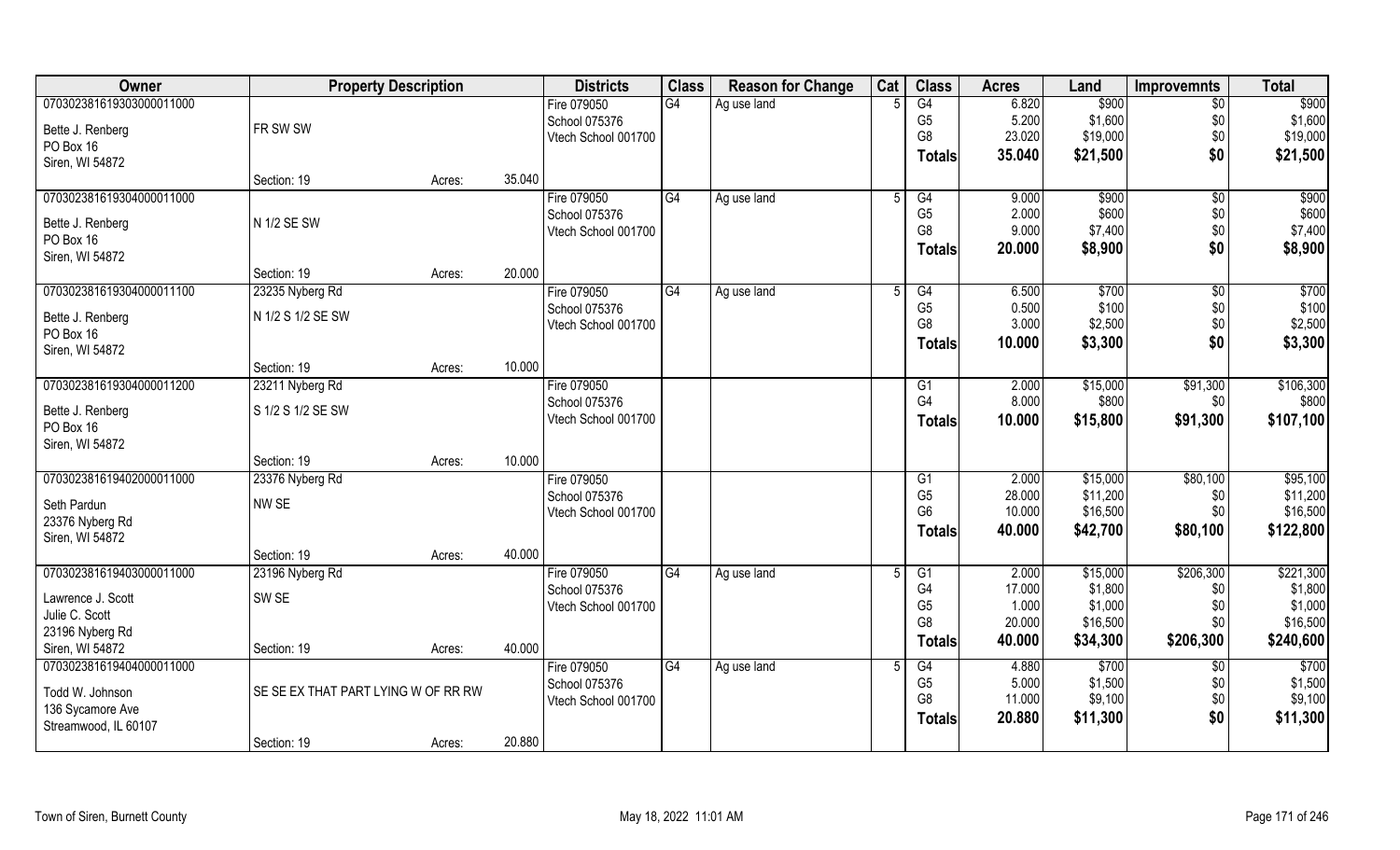| Owner                    | <b>Property Description</b>         |        |        | <b>Districts</b>    | <b>Class</b> | <b>Reason for Change</b> | Cat | <b>Class</b>   | <b>Acres</b> | Land     | <b>Improvemnts</b> | <b>Total</b> |
|--------------------------|-------------------------------------|--------|--------|---------------------|--------------|--------------------------|-----|----------------|--------------|----------|--------------------|--------------|
| 070302381619303000011000 |                                     |        |        | Fire 079050         | G4           | Ag use land              |     | G4             | 6.820        | \$900    | $\sqrt[6]{30}$     | \$900        |
| Bette J. Renberg         | FR SW SW                            |        |        | School 075376       |              |                          |     | G <sub>5</sub> | 5.200        | \$1,600  | \$0                | \$1,600      |
| PO Box 16                |                                     |        |        | Vtech School 001700 |              |                          |     | G8             | 23.020       | \$19,000 | \$0                | \$19,000     |
| Siren, WI 54872          |                                     |        |        |                     |              |                          |     | <b>Totals</b>  | 35.040       | \$21,500 | \$0                | \$21,500     |
|                          | Section: 19                         | Acres: | 35.040 |                     |              |                          |     |                |              |          |                    |              |
| 070302381619304000011000 |                                     |        |        | Fire 079050         | G4           | Ag use land              | 5   | G4             | 9.000        | \$900    | \$0                | \$900        |
| Bette J. Renberg         | N 1/2 SE SW                         |        |        | School 075376       |              |                          |     | G <sub>5</sub> | 2.000        | \$600    | \$0                | \$600        |
| PO Box 16                |                                     |        |        | Vtech School 001700 |              |                          |     | G <sub>8</sub> | 9.000        | \$7,400  | \$0                | \$7,400      |
| Siren, WI 54872          |                                     |        |        |                     |              |                          |     | <b>Totals</b>  | 20.000       | \$8,900  | \$0                | \$8,900      |
|                          | Section: 19                         | Acres: | 20.000 |                     |              |                          |     |                |              |          |                    |              |
| 070302381619304000011100 | 23235 Nyberg Rd                     |        |        | Fire 079050         | G4           | Ag use land              |     | G4             | 6.500        | \$700    | $\sqrt[6]{}$       | \$700        |
| Bette J. Renberg         | N 1/2 S 1/2 SE SW                   |        |        | School 075376       |              |                          |     | G <sub>5</sub> | 0.500        | \$100    | \$0                | \$100        |
| PO Box 16                |                                     |        |        | Vtech School 001700 |              |                          |     | G <sub>8</sub> | 3.000        | \$2,500  | \$0                | \$2,500      |
| Siren, WI 54872          |                                     |        |        |                     |              |                          |     | <b>Totals</b>  | 10.000       | \$3,300  | \$0                | \$3,300      |
|                          | Section: 19                         | Acres: | 10.000 |                     |              |                          |     |                |              |          |                    |              |
| 070302381619304000011200 | 23211 Nyberg Rd                     |        |        | Fire 079050         |              |                          |     | G1             | 2.000        | \$15,000 | \$91,300           | \$106,300    |
| Bette J. Renberg         | S 1/2 S 1/2 SE SW                   |        |        | School 075376       |              |                          |     | G4             | 8.000        | \$800    | \$0                | \$800        |
| PO Box 16                |                                     |        |        | Vtech School 001700 |              |                          |     | <b>Totals</b>  | 10.000       | \$15,800 | \$91,300           | \$107,100    |
| Siren, WI 54872          |                                     |        |        |                     |              |                          |     |                |              |          |                    |              |
|                          | Section: 19                         | Acres: | 10.000 |                     |              |                          |     |                |              |          |                    |              |
| 070302381619402000011000 | 23376 Nyberg Rd                     |        |        | Fire 079050         |              |                          |     | G <sub>1</sub> | 2.000        | \$15,000 | \$80,100           | \$95,100     |
| Seth Pardun              | NW SE                               |        |        | School 075376       |              |                          |     | G <sub>5</sub> | 28.000       | \$11,200 | \$0                | \$11,200     |
| 23376 Nyberg Rd          |                                     |        |        | Vtech School 001700 |              |                          |     | G <sub>6</sub> | 10.000       | \$16,500 | \$0                | \$16,500     |
| Siren, WI 54872          |                                     |        |        |                     |              |                          |     | <b>Totals</b>  | 40.000       | \$42,700 | \$80,100           | \$122,800    |
|                          | Section: 19                         | Acres: | 40.000 |                     |              |                          |     |                |              |          |                    |              |
| 070302381619403000011000 | 23196 Nyberg Rd                     |        |        | Fire 079050         | G4           | Ag use land              |     | G1             | 2.000        | \$15,000 | \$206,300          | \$221,300    |
| Lawrence J. Scott        | SW <sub>SE</sub>                    |        |        | School 075376       |              |                          |     | G <sub>4</sub> | 17.000       | \$1,800  | \$0                | \$1,800      |
| Julie C. Scott           |                                     |        |        | Vtech School 001700 |              |                          |     | G <sub>5</sub> | 1.000        | \$1,000  | \$0                | \$1,000      |
| 23196 Nyberg Rd          |                                     |        |        |                     |              |                          |     | G <sub>8</sub> | 20.000       | \$16,500 | \$0                | \$16,500     |
| Siren, WI 54872          | Section: 19                         | Acres: | 40.000 |                     |              |                          |     | <b>Totals</b>  | 40.000       | \$34,300 | \$206,300          | \$240,600    |
| 070302381619404000011000 |                                     |        |        | Fire 079050         | G4           | Ag use land              |     | G4             | 4.880        | \$700    | $\overline{50}$    | \$700        |
| Todd W. Johnson          | SE SE EX THAT PART LYING W OF RR RW |        |        | School 075376       |              |                          |     | G <sub>5</sub> | 5.000        | \$1,500  | \$0                | \$1,500      |
| 136 Sycamore Ave         |                                     |        |        | Vtech School 001700 |              |                          |     | G <sub>8</sub> | 11.000       | \$9,100  | \$0                | \$9,100      |
| Streamwood, IL 60107     |                                     |        |        |                     |              |                          |     | <b>Totals</b>  | 20.880       | \$11,300 | \$0                | \$11,300     |
|                          | Section: 19                         | Acres: | 20.880 |                     |              |                          |     |                |              |          |                    |              |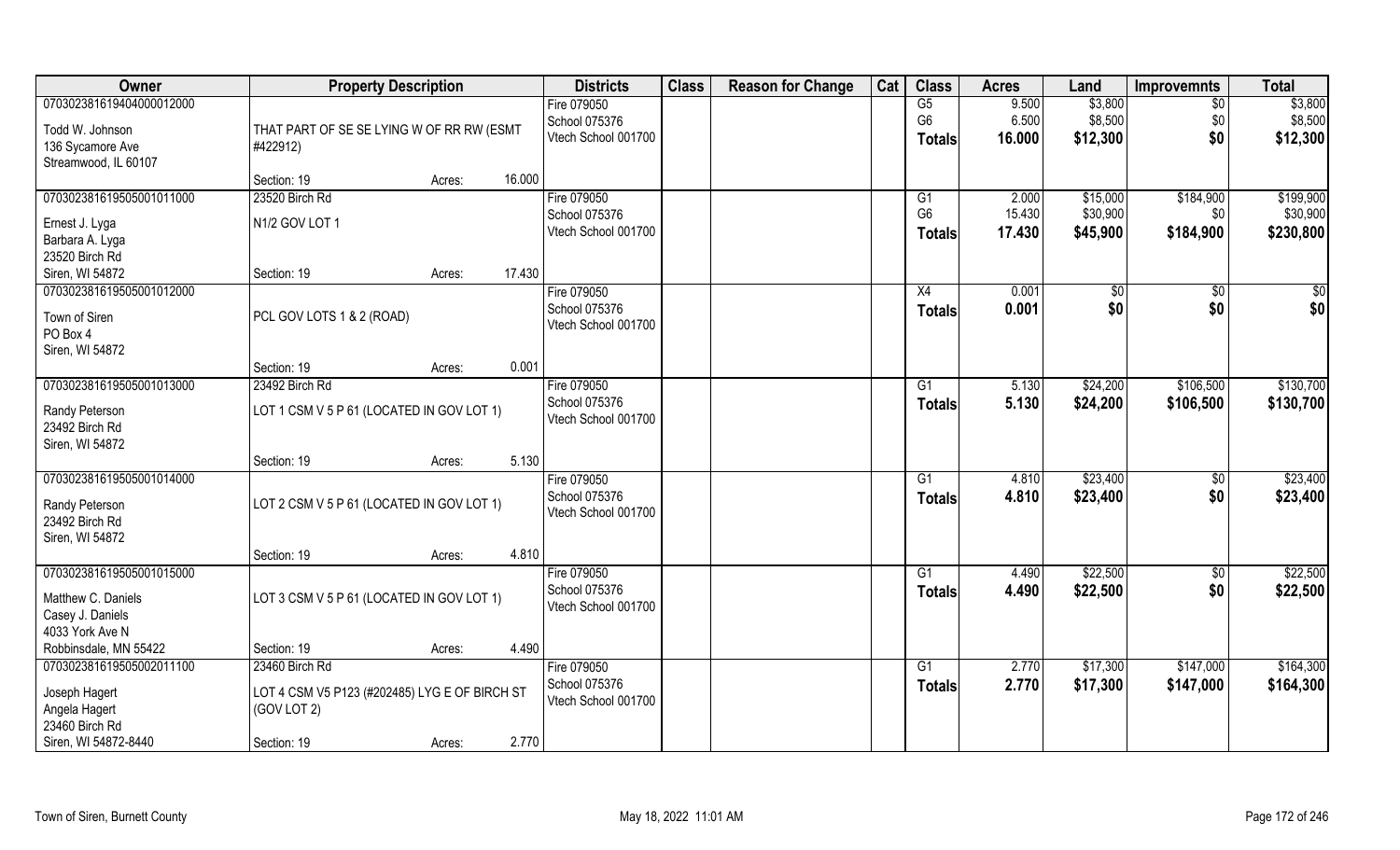| Owner                            | <b>Property Description</b>                   |        |        | <b>Districts</b>                     | <b>Class</b> | <b>Reason for Change</b> | Cat | <b>Class</b>         | <b>Acres</b>    | Land                 | <b>Improvemnts</b>     | <b>Total</b>          |
|----------------------------------|-----------------------------------------------|--------|--------|--------------------------------------|--------------|--------------------------|-----|----------------------|-----------------|----------------------|------------------------|-----------------------|
| 070302381619404000012000         |                                               |        |        | Fire 079050<br>School 075376         |              |                          |     | G5<br>G <sub>6</sub> | 9.500<br>6.500  | \$3,800<br>\$8,500   | $\overline{50}$<br>\$0 | \$3,800<br>\$8,500    |
| Todd W. Johnson                  | THAT PART OF SE SE LYING W OF RR RW (ESMT     |        |        | Vtech School 001700                  |              |                          |     | <b>Totals</b>        | 16.000          | \$12,300             | \$0                    | \$12,300              |
| 136 Sycamore Ave                 | #422912)                                      |        |        |                                      |              |                          |     |                      |                 |                      |                        |                       |
| Streamwood, IL 60107             |                                               |        | 16.000 |                                      |              |                          |     |                      |                 |                      |                        |                       |
|                                  | Section: 19                                   | Acres: |        |                                      |              |                          |     |                      |                 |                      |                        |                       |
| 070302381619505001011000         | 23520 Birch Rd                                |        |        | Fire 079050<br>School 075376         |              |                          |     | G1<br>G <sub>6</sub> | 2.000<br>15.430 | \$15,000<br>\$30,900 | \$184,900<br>\$0       | \$199,900<br>\$30,900 |
| Ernest J. Lyga                   | N1/2 GOV LOT 1                                |        |        | Vtech School 001700                  |              |                          |     |                      | 17.430          | \$45,900             | \$184,900              | \$230,800             |
| Barbara A. Lyga                  |                                               |        |        |                                      |              |                          |     | Totals               |                 |                      |                        |                       |
| 23520 Birch Rd                   |                                               |        |        |                                      |              |                          |     |                      |                 |                      |                        |                       |
| Siren, WI 54872                  | Section: 19                                   | Acres: | 17.430 |                                      |              |                          |     |                      |                 |                      |                        |                       |
| 070302381619505001012000         |                                               |        |        | Fire 079050                          |              |                          |     | X4                   | 0.001           | \$0                  | $\sqrt[6]{30}$         | \$0                   |
| Town of Siren                    | PCL GOV LOTS 1 & 2 (ROAD)                     |        |        | School 075376                        |              |                          |     | <b>Totals</b>        | 0.001           | \$0                  | \$0                    | \$0                   |
| PO Box 4                         |                                               |        |        | Vtech School 001700                  |              |                          |     |                      |                 |                      |                        |                       |
| Siren, WI 54872                  |                                               |        |        |                                      |              |                          |     |                      |                 |                      |                        |                       |
|                                  | Section: 19                                   | Acres: | 0.001  |                                      |              |                          |     |                      |                 |                      |                        |                       |
| 070302381619505001013000         | 23492 Birch Rd                                |        |        | Fire 079050                          |              |                          |     | G1                   | 5.130           | \$24,200             | \$106,500              | \$130,700             |
| Randy Peterson<br>23492 Birch Rd | LOT 1 CSM V 5 P 61 (LOCATED IN GOV LOT 1)     |        |        | School 075376<br>Vtech School 001700 |              |                          |     | <b>Totals</b>        | 5.130           | \$24,200             | \$106,500              | \$130,700             |
| Siren, WI 54872                  | Section: 19                                   | Acres: | 5.130  |                                      |              |                          |     |                      |                 |                      |                        |                       |
| 070302381619505001014000         |                                               |        |        | Fire 079050                          |              |                          |     | G1                   | 4.810           | \$23,400             | $\sqrt[6]{30}$         | \$23,400              |
|                                  |                                               |        |        | School 075376                        |              |                          |     | <b>Totals</b>        | 4.810           | \$23,400             | \$0                    | \$23,400              |
| Randy Peterson                   | LOT 2 CSM V 5 P 61 (LOCATED IN GOV LOT 1)     |        |        | Vtech School 001700                  |              |                          |     |                      |                 |                      |                        |                       |
| 23492 Birch Rd                   |                                               |        |        |                                      |              |                          |     |                      |                 |                      |                        |                       |
| Siren, WI 54872                  |                                               |        |        |                                      |              |                          |     |                      |                 |                      |                        |                       |
|                                  | Section: 19                                   | Acres: | 4.810  |                                      |              |                          |     |                      |                 |                      |                        |                       |
| 070302381619505001015000         |                                               |        |        | Fire 079050                          |              |                          |     | G1                   | 4.490           | \$22,500             | \$0                    | \$22,500              |
| Matthew C. Daniels               | LOT 3 CSM V 5 P 61 (LOCATED IN GOV LOT 1)     |        |        | School 075376                        |              |                          |     | <b>Totals</b>        | 4.490           | \$22,500             | \$0                    | \$22,500              |
| Casey J. Daniels                 |                                               |        |        | Vtech School 001700                  |              |                          |     |                      |                 |                      |                        |                       |
| 4033 York Ave N                  |                                               |        |        |                                      |              |                          |     |                      |                 |                      |                        |                       |
| Robbinsdale, MN 55422            | Section: 19                                   | Acres: | 4.490  |                                      |              |                          |     |                      |                 |                      |                        |                       |
| 070302381619505002011100         | 23460 Birch Rd                                |        |        | Fire 079050                          |              |                          |     | G1                   | 2.770           | \$17,300             | \$147,000              | \$164,300             |
| Joseph Hagert                    | LOT 4 CSM V5 P123 (#202485) LYG E OF BIRCH ST |        |        | School 075376                        |              |                          |     | <b>Totals</b>        | 2.770           | \$17,300             | \$147,000              | \$164,300             |
| Angela Hagert                    | (GOV LOT 2)                                   |        |        | Vtech School 001700                  |              |                          |     |                      |                 |                      |                        |                       |
| 23460 Birch Rd                   |                                               |        |        |                                      |              |                          |     |                      |                 |                      |                        |                       |
| Siren, WI 54872-8440             | Section: 19                                   | Acres: | 2.770  |                                      |              |                          |     |                      |                 |                      |                        |                       |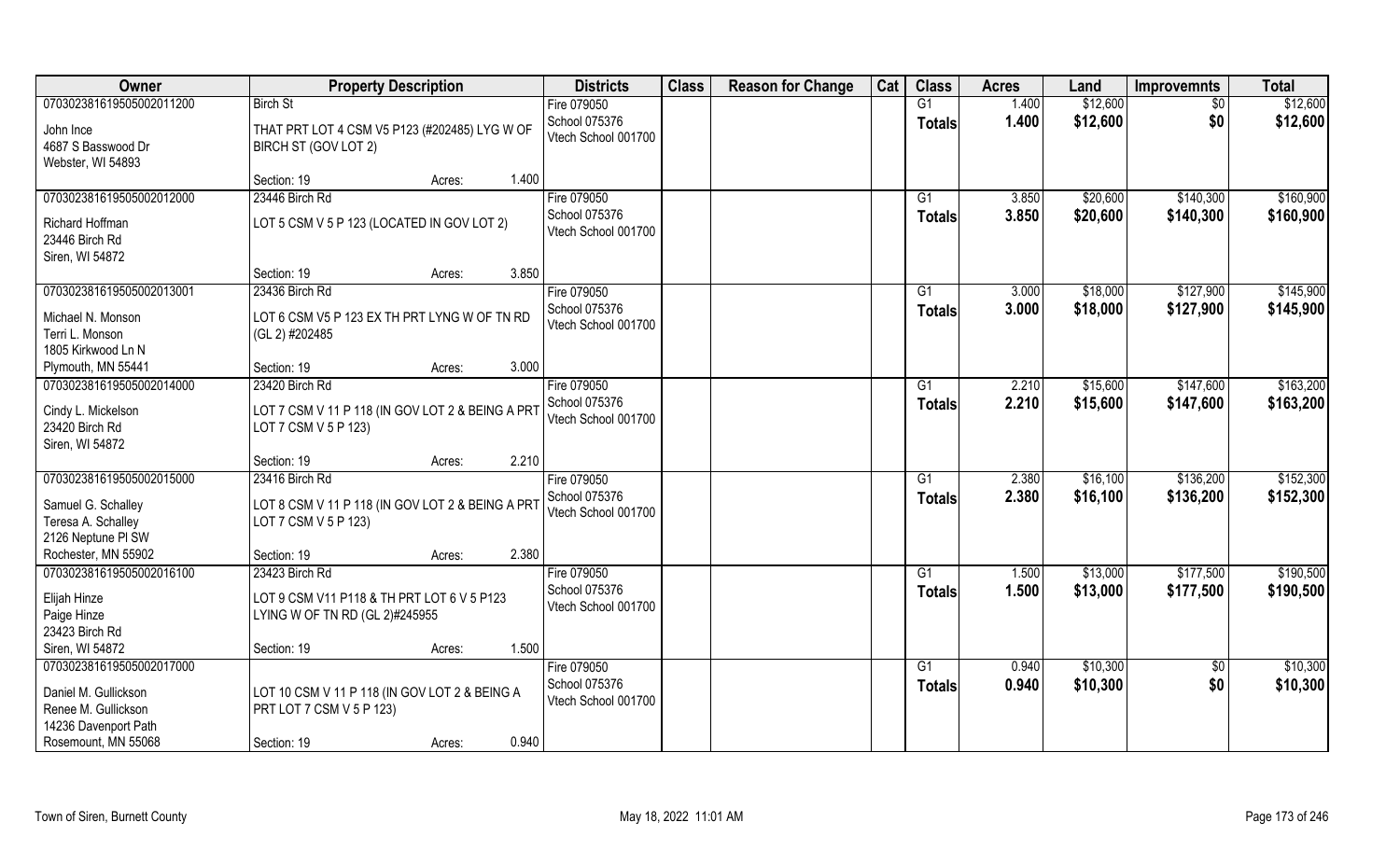| Owner                                     | <b>Property Description</b>                      | <b>Districts</b>             | <b>Class</b> | <b>Reason for Change</b> | Cat | <b>Class</b>  | <b>Acres</b>   | Land     | <b>Improvemnts</b> | <b>Total</b> |
|-------------------------------------------|--------------------------------------------------|------------------------------|--------------|--------------------------|-----|---------------|----------------|----------|--------------------|--------------|
| 070302381619505002011200                  | <b>Birch St</b>                                  | Fire 079050                  |              |                          |     | G1            | 1.400          | \$12,600 | $\sqrt{$0}$        | \$12,600     |
| John Ince                                 | THAT PRT LOT 4 CSM V5 P123 (#202485) LYG W OF    | School 075376                |              |                          |     | <b>Totals</b> | 1.400          | \$12,600 | \$0                | \$12,600     |
| 4687 S Basswood Dr                        | BIRCH ST (GOV LOT 2)                             | Vtech School 001700          |              |                          |     |               |                |          |                    |              |
| Webster, WI 54893                         |                                                  |                              |              |                          |     |               |                |          |                    |              |
|                                           | 1.400<br>Section: 19<br>Acres:                   |                              |              |                          |     |               |                |          |                    |              |
| 070302381619505002012000                  | 23446 Birch Rd                                   | Fire 079050                  |              |                          |     | G1            | 3.850          | \$20,600 | \$140,300          | \$160,900    |
|                                           |                                                  | School 075376                |              |                          |     | <b>Totals</b> | 3.850          | \$20,600 | \$140,300          | \$160,900    |
| Richard Hoffman                           | LOT 5 CSM V 5 P 123 (LOCATED IN GOV LOT 2)       | Vtech School 001700          |              |                          |     |               |                |          |                    |              |
| 23446 Birch Rd                            |                                                  |                              |              |                          |     |               |                |          |                    |              |
| Siren, WI 54872                           | 3.850<br>Section: 19                             |                              |              |                          |     |               |                |          |                    |              |
| 070302381619505002013001                  | Acres:<br>23436 Birch Rd                         | Fire 079050                  |              |                          |     | G1            | 3.000          | \$18,000 | \$127,900          | \$145,900    |
|                                           |                                                  | School 075376                |              |                          |     |               |                |          |                    |              |
| Michael N. Monson                         | LOT 6 CSM V5 P 123 EX TH PRT LYNG W OF TN RD     | Vtech School 001700          |              |                          |     | <b>Totals</b> | 3.000          | \$18,000 | \$127,900          | \$145,900    |
| Terri L. Monson                           | (GL 2) #202485                                   |                              |              |                          |     |               |                |          |                    |              |
| 1805 Kirkwood Ln N                        |                                                  |                              |              |                          |     |               |                |          |                    |              |
| Plymouth, MN 55441                        | 3.000<br>Section: 19<br>Acres:                   |                              |              |                          |     |               |                |          |                    |              |
| 070302381619505002014000                  | 23420 Birch Rd                                   | Fire 079050                  |              |                          |     | G1            | 2.210          | \$15,600 | \$147,600          | \$163,200    |
| Cindy L. Mickelson                        | LOT 7 CSM V 11 P 118 (IN GOV LOT 2 & BEING A PRT | School 075376                |              |                          |     | <b>Totals</b> | 2.210          | \$15,600 | \$147,600          | \$163,200    |
| 23420 Birch Rd                            | LOT 7 CSM V 5 P 123)                             | Vtech School 001700          |              |                          |     |               |                |          |                    |              |
| Siren, WI 54872                           |                                                  |                              |              |                          |     |               |                |          |                    |              |
|                                           | 2.210<br>Section: 19<br>Acres:                   |                              |              |                          |     |               |                |          |                    |              |
| 070302381619505002015000                  | 23416 Birch Rd                                   | Fire 079050                  |              |                          |     | G1            | 2.380          | \$16,100 | \$136,200          | \$152,300    |
|                                           |                                                  | School 075376                |              |                          |     | Totals        | 2.380          | \$16,100 | \$136,200          | \$152,300    |
| Samuel G. Schalley                        | LOT 8 CSM V 11 P 118 (IN GOV LOT 2 & BEING A PRT | Vtech School 001700          |              |                          |     |               |                |          |                    |              |
| Teresa A. Schalley                        | LOT 7 CSM V 5 P 123)                             |                              |              |                          |     |               |                |          |                    |              |
| 2126 Neptune PI SW<br>Rochester, MN 55902 | 2.380<br>Section: 19                             |                              |              |                          |     |               |                |          |                    |              |
|                                           | Acres:                                           |                              |              |                          |     |               |                |          |                    |              |
| 070302381619505002016100                  | 23423 Birch Rd                                   | Fire 079050<br>School 075376 |              |                          |     | G1            | 1.500<br>1.500 | \$13,000 | \$177,500          | \$190,500    |
| Elijah Hinze                              | LOT 9 CSM V11 P118 & TH PRT LOT 6 V 5 P123       | Vtech School 001700          |              |                          |     | <b>Totals</b> |                | \$13,000 | \$177,500          | \$190,500    |
| Paige Hinze                               | LYING W OF TN RD (GL 2)#245955                   |                              |              |                          |     |               |                |          |                    |              |
| 23423 Birch Rd                            |                                                  |                              |              |                          |     |               |                |          |                    |              |
| Siren, WI 54872                           | 1.500<br>Section: 19<br>Acres:                   |                              |              |                          |     |               |                |          |                    |              |
| 070302381619505002017000                  |                                                  | Fire 079050                  |              |                          |     | G1            | 0.940          | \$10,300 | $\sqrt{$0}$        | \$10,300     |
| Daniel M. Gullickson                      | LOT 10 CSM V 11 P 118 (IN GOV LOT 2 & BEING A    | School 075376                |              |                          |     | Totals        | 0.940          | \$10,300 | \$0                | \$10,300     |
| Renee M. Gullickson                       | PRT LOT 7 CSM V 5 P 123)                         | Vtech School 001700          |              |                          |     |               |                |          |                    |              |
| 14236 Davenport Path                      |                                                  |                              |              |                          |     |               |                |          |                    |              |
| Rosemount, MN 55068                       | 0.940<br>Section: 19<br>Acres:                   |                              |              |                          |     |               |                |          |                    |              |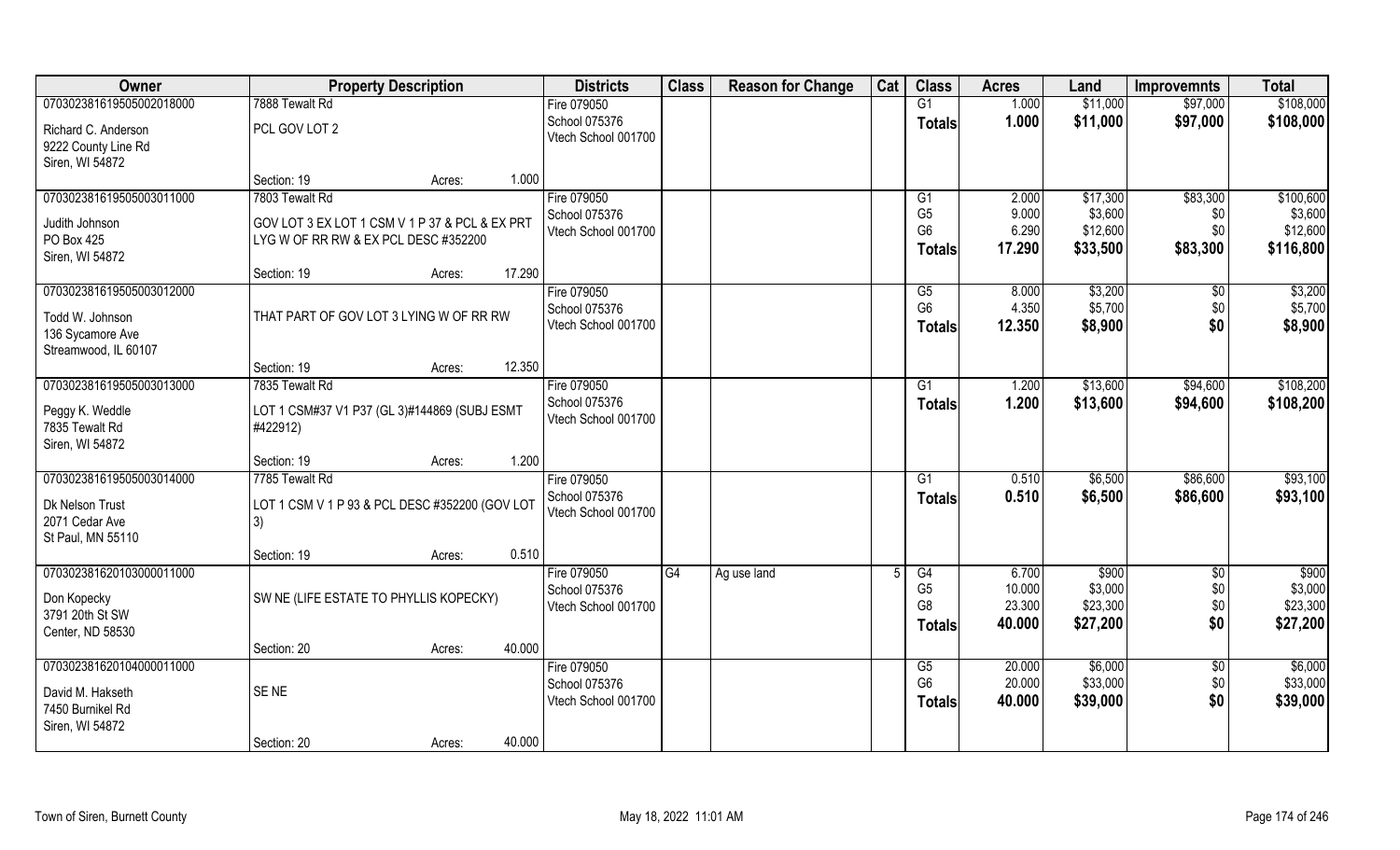| Owner                                                                                   | <b>Property Description</b>                                      |        |        | <b>Districts</b>                                    | <b>Class</b> | <b>Reason for Change</b> | Cat | <b>Class</b>                                            | <b>Acres</b>                        | Land                                     | <b>Improvemnts</b>         | <b>Total</b>                             |
|-----------------------------------------------------------------------------------------|------------------------------------------------------------------|--------|--------|-----------------------------------------------------|--------------|--------------------------|-----|---------------------------------------------------------|-------------------------------------|------------------------------------------|----------------------------|------------------------------------------|
| 070302381619505002018000                                                                | 7888 Tewalt Rd                                                   |        |        | Fire 079050                                         |              |                          |     | $\overline{G1}$                                         | 1.000                               | \$11,000                                 | \$97,000                   | \$108,000                                |
| Richard C. Anderson<br>9222 County Line Rd<br>Siren, WI 54872                           | PCL GOV LOT 2                                                    |        |        | School 075376<br>Vtech School 001700                |              |                          |     | <b>Totals</b>                                           | 1.000                               | \$11,000                                 | \$97,000                   | \$108,000                                |
|                                                                                         | Section: 19                                                      | Acres: | 1.000  |                                                     |              |                          |     |                                                         |                                     |                                          |                            |                                          |
| 070302381619505003011000<br>Judith Johnson                                              | 7803 Tewalt Rd<br>GOV LOT 3 EX LOT 1 CSM V 1 P 37 & PCL & EX PRT |        |        | Fire 079050<br>School 075376                        |              |                          |     | G <sub>1</sub><br>G <sub>5</sub>                        | 2.000<br>9.000                      | \$17,300<br>\$3,600                      | \$83,300<br>\$0            | \$100,600<br>\$3,600                     |
| PO Box 425<br>Siren, WI 54872                                                           | LYG W OF RR RW & EX PCL DESC #352200                             |        |        | Vtech School 001700                                 |              |                          |     | G <sub>6</sub><br><b>Totals</b>                         | 6.290<br>17.290                     | \$12,600<br>\$33,500                     | \$0<br>\$83,300            | \$12,600<br>\$116,800                    |
|                                                                                         | Section: 19                                                      | Acres: | 17.290 |                                                     |              |                          |     |                                                         |                                     |                                          |                            |                                          |
| 070302381619505003012000<br>Todd W. Johnson<br>136 Sycamore Ave<br>Streamwood, IL 60107 | THAT PART OF GOV LOT 3 LYING W OF RR RW                          |        |        | Fire 079050<br>School 075376<br>Vtech School 001700 |              |                          |     | G5<br>G <sub>6</sub><br><b>Totals</b>                   | 8.000<br>4.350<br>12.350            | \$3,200<br>\$5,700<br>\$8,900            | \$0<br>\$0<br>\$0          | \$3,200<br>\$5,700<br>\$8,900            |
|                                                                                         | Section: 19                                                      | Acres: | 12.350 |                                                     |              |                          |     |                                                         |                                     |                                          |                            |                                          |
| 070302381619505003013000                                                                | 7835 Tewalt Rd                                                   |        |        | Fire 079050                                         |              |                          |     | G <sub>1</sub>                                          | 1.200                               | \$13,600                                 | \$94,600                   | \$108,200                                |
| Peggy K. Weddle<br>7835 Tewalt Rd<br>Siren, WI 54872                                    | LOT 1 CSM#37 V1 P37 (GL 3)#144869 (SUBJ ESMT<br>#422912)         |        |        | School 075376<br>Vtech School 001700                |              |                          |     | <b>Totals</b>                                           | 1.200                               | \$13,600                                 | \$94,600                   | \$108,200                                |
|                                                                                         | Section: 19                                                      | Acres: | 1.200  |                                                     |              |                          |     |                                                         |                                     |                                          |                            |                                          |
| 070302381619505003014000                                                                | 7785 Tewalt Rd                                                   |        |        | Fire 079050                                         |              |                          |     | $\overline{G1}$                                         | 0.510                               | \$6,500                                  | \$86,600                   | \$93,100                                 |
| Dk Nelson Trust<br>2071 Cedar Ave<br>St Paul, MN 55110                                  | LOT 1 CSM V 1 P 93 & PCL DESC #352200 (GOV LOT<br>3)             |        |        | School 075376<br>Vtech School 001700                |              |                          |     | <b>Totals</b>                                           | 0.510                               | \$6,500                                  | \$86,600                   | \$93,100                                 |
|                                                                                         | Section: 19                                                      | Acres: | 0.510  |                                                     |              |                          |     |                                                         |                                     |                                          |                            |                                          |
| 070302381620103000011000<br>Don Kopecky<br>3791 20th St SW                              | SW NE (LIFE ESTATE TO PHYLLIS KOPECKY)                           |        |        | Fire 079050<br>School 075376<br>Vtech School 001700 | G4           | Ag use land              |     | G4<br>G <sub>5</sub><br>G <sub>8</sub><br><b>Totals</b> | 6.700<br>10.000<br>23.300<br>40.000 | \$900<br>\$3,000<br>\$23,300<br>\$27,200 | \$0<br>\$0<br>\$0\$<br>\$0 | \$900<br>\$3,000<br>\$23,300<br>\$27,200 |
| Center, ND 58530                                                                        |                                                                  |        | 40.000 |                                                     |              |                          |     |                                                         |                                     |                                          |                            |                                          |
| 070302381620104000011000                                                                | Section: 20                                                      | Acres: |        | Fire 079050                                         |              |                          |     | G5                                                      | 20.000                              | \$6,000                                  | $\sqrt[6]{}$               | \$6,000                                  |
| David M. Hakseth<br>7450 Burnikel Rd<br>Siren, WI 54872                                 | SE <sub>NE</sub>                                                 |        |        | School 075376<br>Vtech School 001700                |              |                          |     | G <sub>6</sub><br><b>Totals</b>                         | 20.000<br>40.000                    | \$33,000<br>\$39,000                     | \$0<br>\$0                 | \$33,000<br>\$39,000                     |
|                                                                                         | Section: 20                                                      | Acres: | 40.000 |                                                     |              |                          |     |                                                         |                                     |                                          |                            |                                          |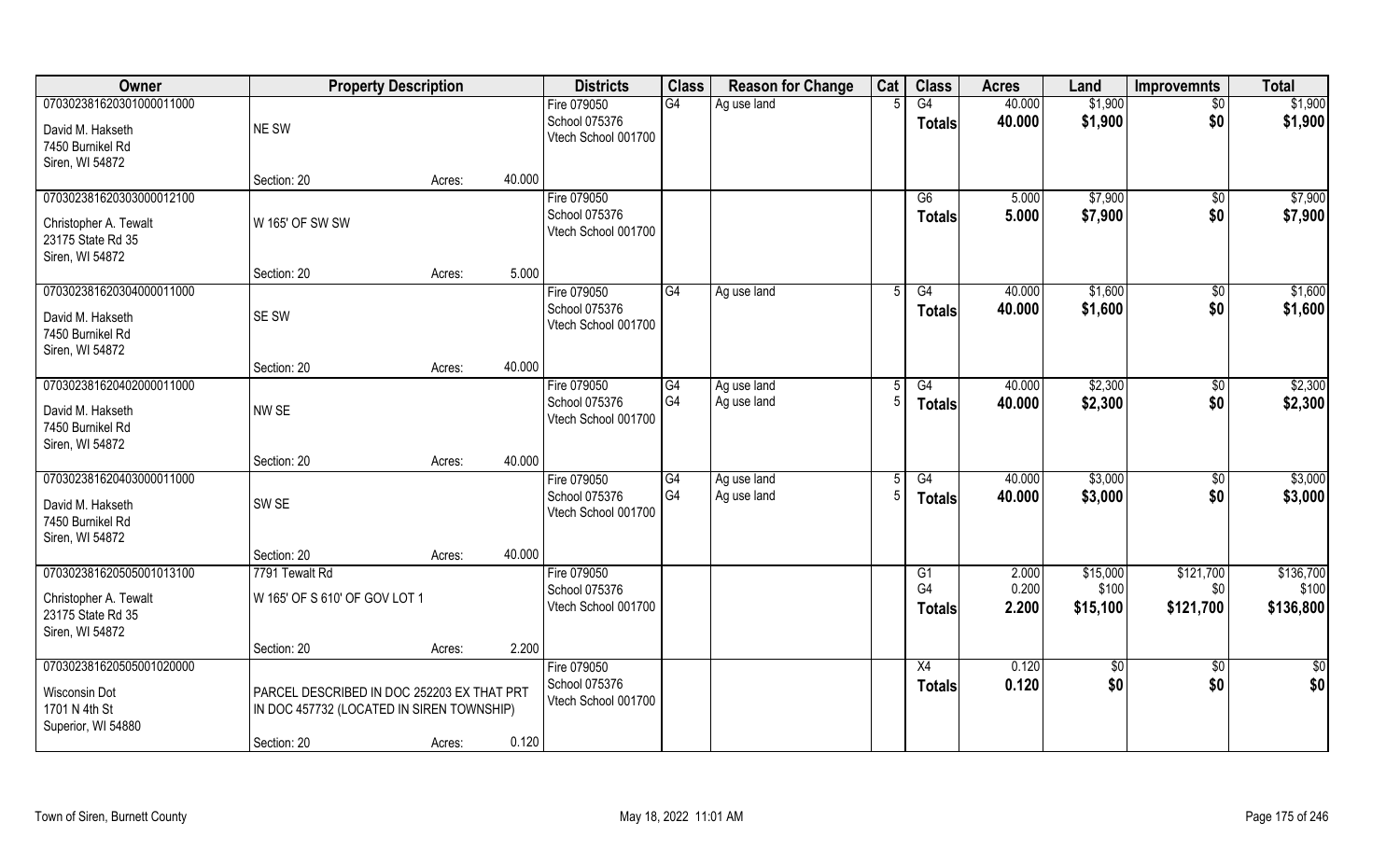| Owner                                                                               | <b>Property Description</b>                                                             |        |        | <b>Districts</b>                                    | <b>Class</b>   | <b>Reason for Change</b>   | Cat | <b>Class</b>        | <b>Acres</b>     | Land               | <b>Improvemnts</b> | <b>Total</b>       |
|-------------------------------------------------------------------------------------|-----------------------------------------------------------------------------------------|--------|--------|-----------------------------------------------------|----------------|----------------------------|-----|---------------------|------------------|--------------------|--------------------|--------------------|
| 070302381620301000011000                                                            |                                                                                         |        |        | Fire 079050                                         | G4             | Ag use land                |     | G4                  | 40.000           | \$1,900            | $\sqrt{6}$         | \$1,900            |
| David M. Hakseth<br>7450 Burnikel Rd                                                | NE SW                                                                                   |        |        | School 075376<br>Vtech School 001700                |                |                            |     | <b>Totals</b>       | 40.000           | \$1,900            | \$0                | \$1,900            |
| Siren, WI 54872                                                                     |                                                                                         |        |        |                                                     |                |                            |     |                     |                  |                    |                    |                    |
|                                                                                     | Section: 20                                                                             | Acres: | 40.000 |                                                     |                |                            |     |                     |                  |                    |                    |                    |
| 070302381620303000012100                                                            |                                                                                         |        |        | Fire 079050                                         |                |                            |     | G6                  | 5.000            | \$7,900            | \$0                | \$7,900            |
| Christopher A. Tewalt<br>23175 State Rd 35<br>Siren, WI 54872                       | W 165' OF SW SW                                                                         |        |        | School 075376<br>Vtech School 001700                |                |                            |     | Totals              | 5.000            | \$7,900            | \$0                | \$7,900            |
|                                                                                     | Section: 20                                                                             | Acres: | 5.000  |                                                     |                |                            |     |                     |                  |                    |                    |                    |
| 070302381620304000011000                                                            |                                                                                         |        |        | Fire 079050                                         | G4             | Ag use land                | .5  | G4                  | 40.000           | \$1,600            | \$0                | \$1,600            |
| David M. Hakseth<br>7450 Burnikel Rd                                                | SE SW                                                                                   |        |        | School 075376<br>Vtech School 001700                |                |                            |     | <b>Totals</b>       | 40.000           | \$1,600            | \$0                | \$1,600            |
| Siren, WI 54872                                                                     | Section: 20                                                                             |        | 40.000 |                                                     |                |                            |     |                     |                  |                    |                    |                    |
| 070302381620402000011000                                                            |                                                                                         | Acres: |        | Fire 079050                                         | G4             | Ag use land                |     | G4                  | 40.000           | \$2,300            | $\sqrt[6]{3}$      | \$2,300            |
| David M. Hakseth<br>7450 Burnikel Rd                                                | NW SE                                                                                   |        |        | School 075376<br>Vtech School 001700                | G <sub>4</sub> | Ag use land                |     | <b>Totals</b>       | 40.000           | \$2,300            | \$0                | \$2,300            |
| Siren, WI 54872                                                                     |                                                                                         |        |        |                                                     |                |                            |     |                     |                  |                    |                    |                    |
|                                                                                     | Section: 20                                                                             | Acres: | 40.000 |                                                     |                |                            |     |                     |                  |                    |                    |                    |
| 070302381620403000011000<br>David M. Hakseth<br>7450 Burnikel Rd<br>Siren, WI 54872 | SW <sub>SE</sub>                                                                        |        |        | Fire 079050<br>School 075376<br>Vtech School 001700 | G4<br>G4       | Ag use land<br>Ag use land |     | G4<br><b>Totals</b> | 40.000<br>40.000 | \$3,000<br>\$3,000 | \$0<br>\$0         | \$3,000<br>\$3,000 |
|                                                                                     | Section: 20                                                                             | Acres: | 40.000 |                                                     |                |                            |     |                     |                  |                    |                    |                    |
| 070302381620505001013100                                                            | 7791 Tewalt Rd                                                                          |        |        | Fire 079050                                         |                |                            |     | G1                  | 2.000            | \$15,000           | \$121,700          | \$136,700          |
| Christopher A. Tewalt<br>23175 State Rd 35<br>Siren, WI 54872                       | W 165' OF S 610' OF GOV LOT 1                                                           |        |        | School 075376<br>Vtech School 001700                |                |                            |     | G4<br><b>Totals</b> | 0.200<br>2.200   | \$100<br>\$15,100  | \$0<br>\$121,700   | \$100<br>\$136,800 |
|                                                                                     | Section: 20                                                                             | Acres: | 2.200  |                                                     |                |                            |     |                     |                  |                    |                    |                    |
| 070302381620505001020000                                                            |                                                                                         |        |        | Fire 079050                                         |                |                            |     | X4                  | 0.120            | \$0                | $\overline{50}$    | \$0                |
| Wisconsin Dot<br>1701 N 4th St<br>Superior, WI 54880                                | PARCEL DESCRIBED IN DOC 252203 EX THAT PRT<br>IN DOC 457732 (LOCATED IN SIREN TOWNSHIP) |        |        | School 075376<br>Vtech School 001700                |                |                            |     | <b>Totals</b>       | 0.120            | \$0                | \$0                | \$0                |
|                                                                                     | Section: 20                                                                             | Acres: | 0.120  |                                                     |                |                            |     |                     |                  |                    |                    |                    |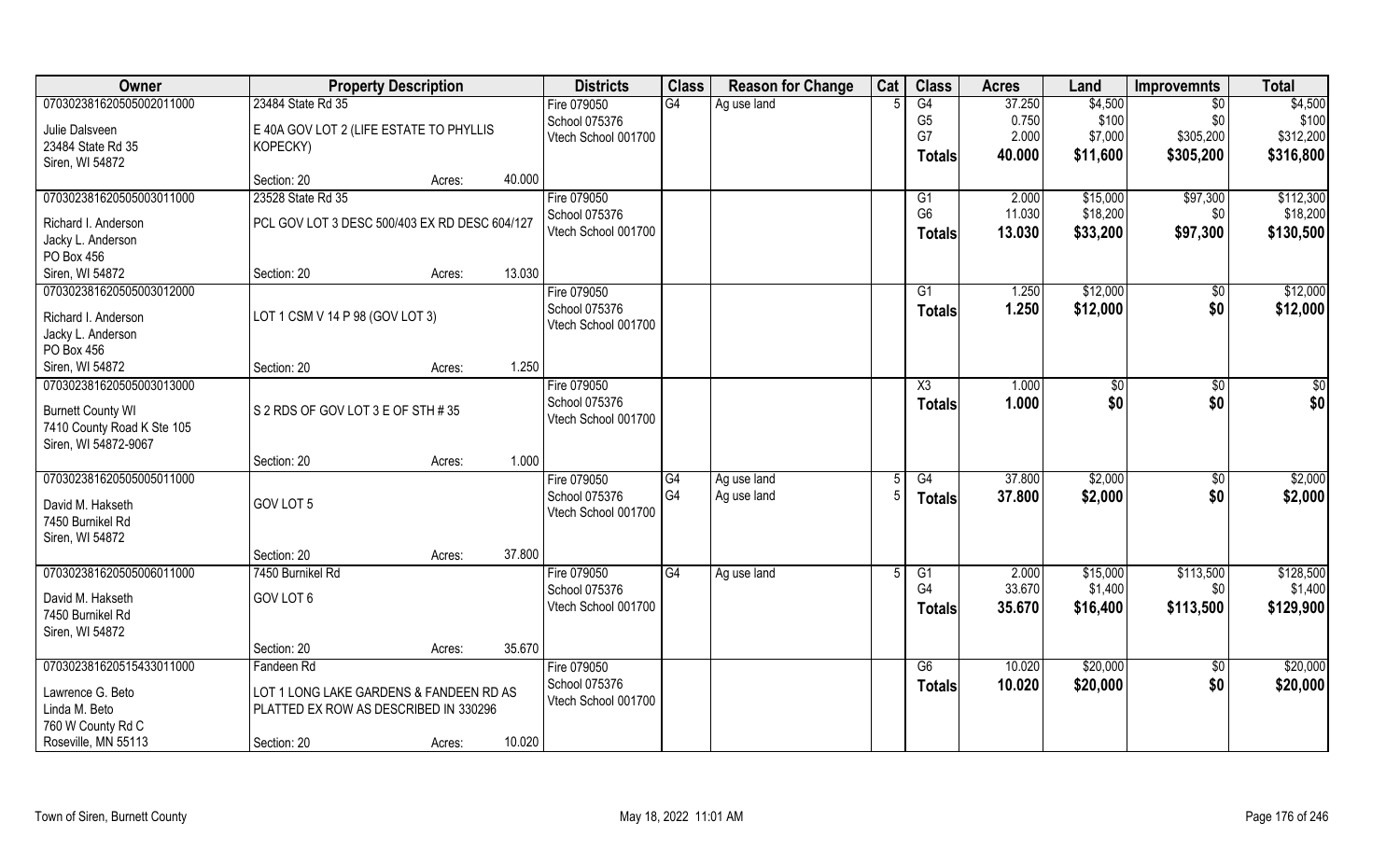| Owner                             | <b>Property Description</b>                                                      |        |        | <b>Districts</b>    | <b>Class</b>    | <b>Reason for Change</b> | Cat | <b>Class</b>   | <b>Acres</b> | Land     | <b>Improvemnts</b> | <b>Total</b> |
|-----------------------------------|----------------------------------------------------------------------------------|--------|--------|---------------------|-----------------|--------------------------|-----|----------------|--------------|----------|--------------------|--------------|
| 070302381620505002011000          | 23484 State Rd 35                                                                |        |        | Fire 079050         | $\overline{G4}$ | Ag use land              |     | G4             | 37.250       | \$4,500  | $\sqrt{50}$        | \$4,500      |
| Julie Dalsveen                    | E 40A GOV LOT 2 (LIFE ESTATE TO PHYLLIS                                          |        |        | School 075376       |                 |                          |     | G <sub>5</sub> | 0.750        | \$100    | \$0                | \$100        |
| 23484 State Rd 35                 | KOPECKY)                                                                         |        |        | Vtech School 001700 |                 |                          |     | G7             | 2.000        | \$7,000  | \$305,200          | \$312,200    |
| Siren, WI 54872                   |                                                                                  |        |        |                     |                 |                          |     | <b>Totals</b>  | 40.000       | \$11,600 | \$305,200          | \$316,800    |
|                                   | Section: 20                                                                      | Acres: | 40.000 |                     |                 |                          |     |                |              |          |                    |              |
| 070302381620505003011000          | 23528 State Rd 35                                                                |        |        | Fire 079050         |                 |                          |     | G1             | 2.000        | \$15,000 | \$97,300           | \$112,300    |
| Richard I. Anderson               | PCL GOV LOT 3 DESC 500/403 EX RD DESC 604/127                                    |        |        | School 075376       |                 |                          |     | G <sub>6</sub> | 11.030       | \$18,200 | \$0                | \$18,200     |
| Jacky L. Anderson                 |                                                                                  |        |        | Vtech School 001700 |                 |                          |     | <b>Totals</b>  | 13.030       | \$33,200 | \$97,300           | \$130,500    |
| PO Box 456                        |                                                                                  |        |        |                     |                 |                          |     |                |              |          |                    |              |
| Siren, WI 54872                   | Section: 20                                                                      | Acres: | 13.030 |                     |                 |                          |     |                |              |          |                    |              |
| 070302381620505003012000          |                                                                                  |        |        | Fire 079050         |                 |                          |     | G1             | 1.250        | \$12,000 | \$0                | \$12,000     |
| Richard I. Anderson               | LOT 1 CSM V 14 P 98 (GOV LOT 3)                                                  |        |        | School 075376       |                 |                          |     | <b>Totals</b>  | 1.250        | \$12,000 | \$0                | \$12,000     |
| Jacky L. Anderson                 |                                                                                  |        |        | Vtech School 001700 |                 |                          |     |                |              |          |                    |              |
| PO Box 456                        |                                                                                  |        |        |                     |                 |                          |     |                |              |          |                    |              |
| Siren, WI 54872                   | Section: 20                                                                      | Acres: | 1.250  |                     |                 |                          |     |                |              |          |                    |              |
| 070302381620505003013000          |                                                                                  |        |        | Fire 079050         |                 |                          |     | X3             | 1.000        | \$0      | $\sqrt{50}$        | $rac{1}{2}$  |
| <b>Burnett County WI</b>          | S 2 RDS OF GOV LOT 3 E OF STH # 35                                               |        |        | School 075376       |                 |                          |     | <b>Totals</b>  | 1.000        | \$0      | \$0                | \$0          |
| 7410 County Road K Ste 105        |                                                                                  |        |        | Vtech School 001700 |                 |                          |     |                |              |          |                    |              |
| Siren, WI 54872-9067              |                                                                                  |        |        |                     |                 |                          |     |                |              |          |                    |              |
|                                   | Section: 20                                                                      | Acres: | 1.000  |                     |                 |                          |     |                |              |          |                    |              |
| 070302381620505005011000          |                                                                                  |        |        | Fire 079050         | G4              | Ag use land              |     | G4             | 37.800       | \$2,000  | \$0                | \$2,000      |
| David M. Hakseth                  | GOV LOT 5                                                                        |        |        | School 075376       | G <sub>4</sub>  | Ag use land              |     | <b>Totals</b>  | 37.800       | \$2,000  | \$0                | \$2,000      |
| 7450 Burnikel Rd                  |                                                                                  |        |        | Vtech School 001700 |                 |                          |     |                |              |          |                    |              |
| Siren, WI 54872                   |                                                                                  |        |        |                     |                 |                          |     |                |              |          |                    |              |
|                                   | Section: 20                                                                      | Acres: | 37.800 |                     |                 |                          |     |                |              |          |                    |              |
| 070302381620505006011000          | 7450 Burnikel Rd                                                                 |        |        | Fire 079050         | G4              | Ag use land              |     | G1             | 2.000        | \$15,000 | \$113,500          | \$128,500    |
| David M. Hakseth                  | GOV LOT 6                                                                        |        |        | School 075376       |                 |                          |     | G4             | 33.670       | \$1,400  | \$0                | \$1,400      |
| 7450 Burnikel Rd                  |                                                                                  |        |        | Vtech School 001700 |                 |                          |     | <b>Totals</b>  | 35.670       | \$16,400 | \$113,500          | \$129,900    |
| Siren, WI 54872                   |                                                                                  |        |        |                     |                 |                          |     |                |              |          |                    |              |
|                                   | Section: 20                                                                      | Acres: | 35.670 |                     |                 |                          |     |                |              |          |                    |              |
| 070302381620515433011000          | Fandeen Rd                                                                       |        |        | Fire 079050         |                 |                          |     | G6             | 10.020       | \$20,000 | $\overline{50}$    | \$20,000     |
|                                   |                                                                                  |        |        | School 075376       |                 |                          |     | <b>Totals</b>  | 10.020       | \$20,000 | \$0                | \$20,000     |
| Lawrence G. Beto<br>Linda M. Beto | LOT 1 LONG LAKE GARDENS & FANDEEN RD AS<br>PLATTED EX ROW AS DESCRIBED IN 330296 |        |        | Vtech School 001700 |                 |                          |     |                |              |          |                    |              |
| 760 W County Rd C                 |                                                                                  |        |        |                     |                 |                          |     |                |              |          |                    |              |
| Roseville, MN 55113               | Section: 20                                                                      | Acres: | 10.020 |                     |                 |                          |     |                |              |          |                    |              |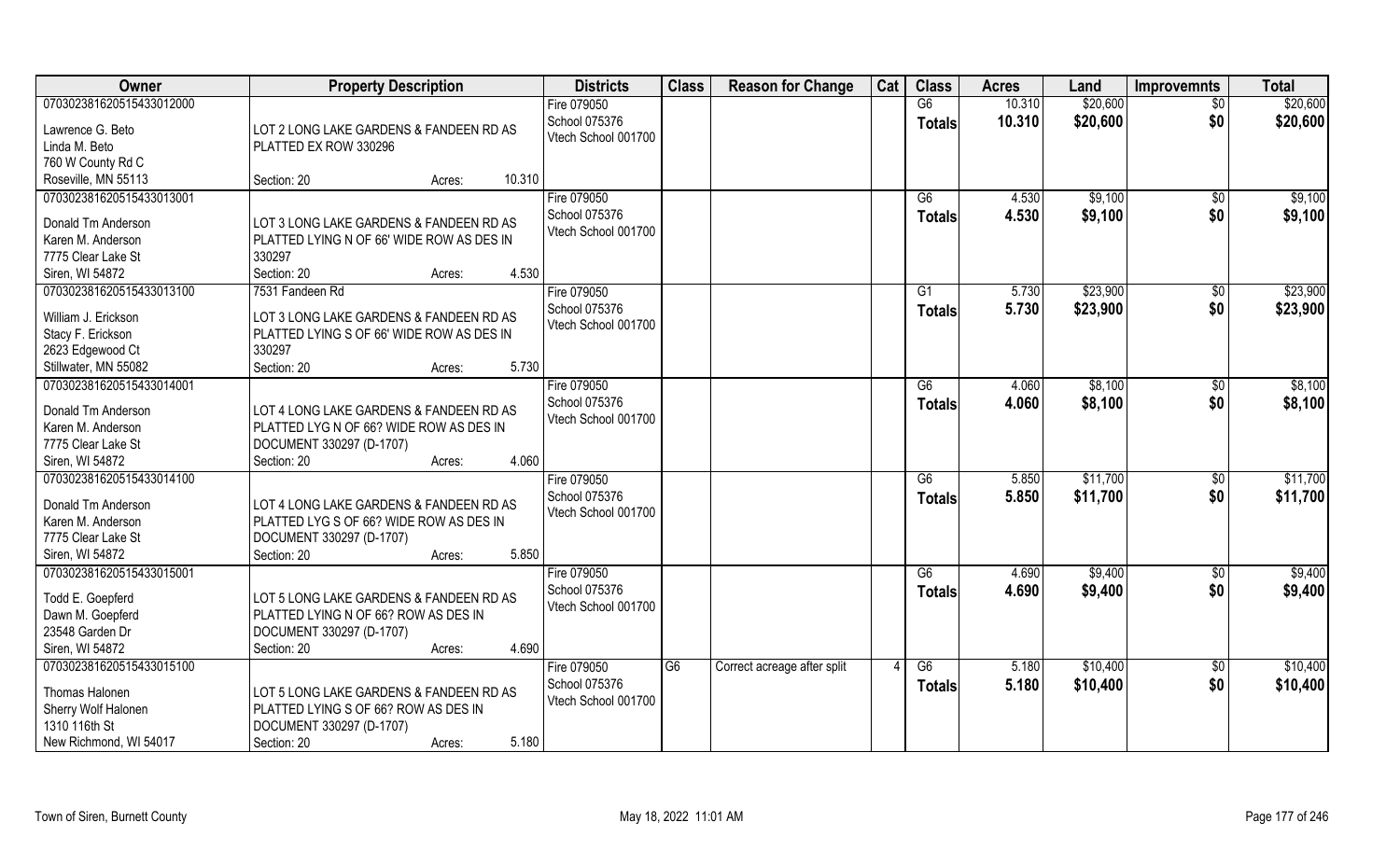| <b>Owner</b>                            | <b>Property Description</b>               | <b>Districts</b>    | <b>Class</b>   | <b>Reason for Change</b>    | Cat | <b>Class</b>  | <b>Acres</b> | Land     | <b>Improvemnts</b> | <b>Total</b> |
|-----------------------------------------|-------------------------------------------|---------------------|----------------|-----------------------------|-----|---------------|--------------|----------|--------------------|--------------|
| 070302381620515433012000                |                                           | Fire 079050         |                |                             |     | G6            | 10.310       | \$20,600 | $\sqrt{6}$         | \$20,600     |
| Lawrence G. Beto                        | LOT 2 LONG LAKE GARDENS & FANDEEN RD AS   | School 075376       |                |                             |     | <b>Totals</b> | 10.310       | \$20,600 | \$0                | \$20,600     |
| Linda M. Beto                           | PLATTED EX ROW 330296                     | Vtech School 001700 |                |                             |     |               |              |          |                    |              |
| 760 W County Rd C                       |                                           |                     |                |                             |     |               |              |          |                    |              |
| Roseville, MN 55113                     | 10.310<br>Section: 20<br>Acres:           |                     |                |                             |     |               |              |          |                    |              |
| 070302381620515433013001                |                                           | Fire 079050         |                |                             |     | G6            | 4.530        | \$9,100  | $\sqrt{$0}$        | \$9,100      |
|                                         |                                           | School 075376       |                |                             |     | Totals        | 4.530        | \$9,100  | \$0                | \$9,100      |
| Donald Tm Anderson                      | LOT 3 LONG LAKE GARDENS & FANDEEN RD AS   | Vtech School 001700 |                |                             |     |               |              |          |                    |              |
| Karen M. Anderson                       | PLATTED LYING N OF 66' WIDE ROW AS DES IN |                     |                |                             |     |               |              |          |                    |              |
| 7775 Clear Lake St                      | 330297                                    |                     |                |                             |     |               |              |          |                    |              |
| Siren, WI 54872                         | 4.530<br>Section: 20<br>Acres:            |                     |                |                             |     |               |              |          |                    |              |
| 070302381620515433013100                | 7531 Fandeen Rd                           | Fire 079050         |                |                             |     | G1            | 5.730        | \$23,900 | $\sqrt{50}$        | \$23,900     |
| William J. Erickson                     | LOT 3 LONG LAKE GARDENS & FANDEEN RD AS   | School 075376       |                |                             |     | <b>Totals</b> | 5.730        | \$23,900 | \$0                | \$23,900     |
| Stacy F. Erickson                       | PLATTED LYING S OF 66' WIDE ROW AS DES IN | Vtech School 001700 |                |                             |     |               |              |          |                    |              |
| 2623 Edgewood Ct                        | 330297                                    |                     |                |                             |     |               |              |          |                    |              |
| Stillwater, MN 55082                    | 5.730<br>Section: 20<br>Acres:            |                     |                |                             |     |               |              |          |                    |              |
| 070302381620515433014001                |                                           | Fire 079050         |                |                             |     | G6            | 4.060        | \$8,100  | \$0                | \$8,100      |
| Donald Tm Anderson                      | LOT 4 LONG LAKE GARDENS & FANDEEN RD AS   | School 075376       |                |                             |     | <b>Totals</b> | 4.060        | \$8,100  | \$0                | \$8,100      |
| Karen M. Anderson                       | PLATTED LYG N OF 66? WIDE ROW AS DES IN   | Vtech School 001700 |                |                             |     |               |              |          |                    |              |
| 7775 Clear Lake St                      | DOCUMENT 330297 (D-1707)                  |                     |                |                             |     |               |              |          |                    |              |
| Siren, WI 54872                         | 4.060<br>Section: 20<br>Acres:            |                     |                |                             |     |               |              |          |                    |              |
| 070302381620515433014100                |                                           | Fire 079050         |                |                             |     | G6            | 5.850        | \$11,700 | $\sqrt[6]{30}$     | \$11,700     |
|                                         |                                           | School 075376       |                |                             |     |               | 5.850        | \$11,700 | \$0                | \$11,700     |
| Donald Tm Anderson                      | LOT 4 LONG LAKE GARDENS & FANDEEN RD AS   | Vtech School 001700 |                |                             |     | <b>Totals</b> |              |          |                    |              |
| Karen M. Anderson                       | PLATTED LYG S OF 66? WIDE ROW AS DES IN   |                     |                |                             |     |               |              |          |                    |              |
| 7775 Clear Lake St                      | DOCUMENT 330297 (D-1707)                  |                     |                |                             |     |               |              |          |                    |              |
| Siren, WI 54872                         | 5.850<br>Section: 20<br>Acres:            |                     |                |                             |     |               |              |          |                    |              |
| 070302381620515433015001                |                                           | Fire 079050         |                |                             |     | G6            | 4.690        | \$9,400  | \$0                | \$9,400      |
| Todd E. Goepferd                        | LOT 5 LONG LAKE GARDENS & FANDEEN RD AS   | School 075376       |                |                             |     | <b>Totals</b> | 4.690        | \$9,400  | \$0                | \$9,400      |
| Dawn M. Goepferd                        | PLATTED LYING N OF 66? ROW AS DES IN      | Vtech School 001700 |                |                             |     |               |              |          |                    |              |
| 23548 Garden Dr                         | DOCUMENT 330297 (D-1707)                  |                     |                |                             |     |               |              |          |                    |              |
| Siren, WI 54872                         | 4.690<br>Section: 20<br>Acres:            |                     |                |                             |     |               |              |          |                    |              |
| 070302381620515433015100                |                                           | Fire 079050         | G <sub>6</sub> | Correct acreage after split |     | G6            | 5.180        | \$10,400 | $\sqrt{$0}$        | \$10,400     |
|                                         |                                           | School 075376       |                |                             |     | <b>Totals</b> | 5.180        | \$10,400 | \$0                | \$10,400     |
| Thomas Halonen                          | LOT 5 LONG LAKE GARDENS & FANDEEN RD AS   | Vtech School 001700 |                |                             |     |               |              |          |                    |              |
| Sherry Wolf Halonen                     | PLATTED LYING S OF 66? ROW AS DES IN      |                     |                |                             |     |               |              |          |                    |              |
| 1310 116th St<br>New Richmond, WI 54017 | DOCUMENT 330297 (D-1707)<br>5.180         |                     |                |                             |     |               |              |          |                    |              |
|                                         | Section: 20<br>Acres:                     |                     |                |                             |     |               |              |          |                    |              |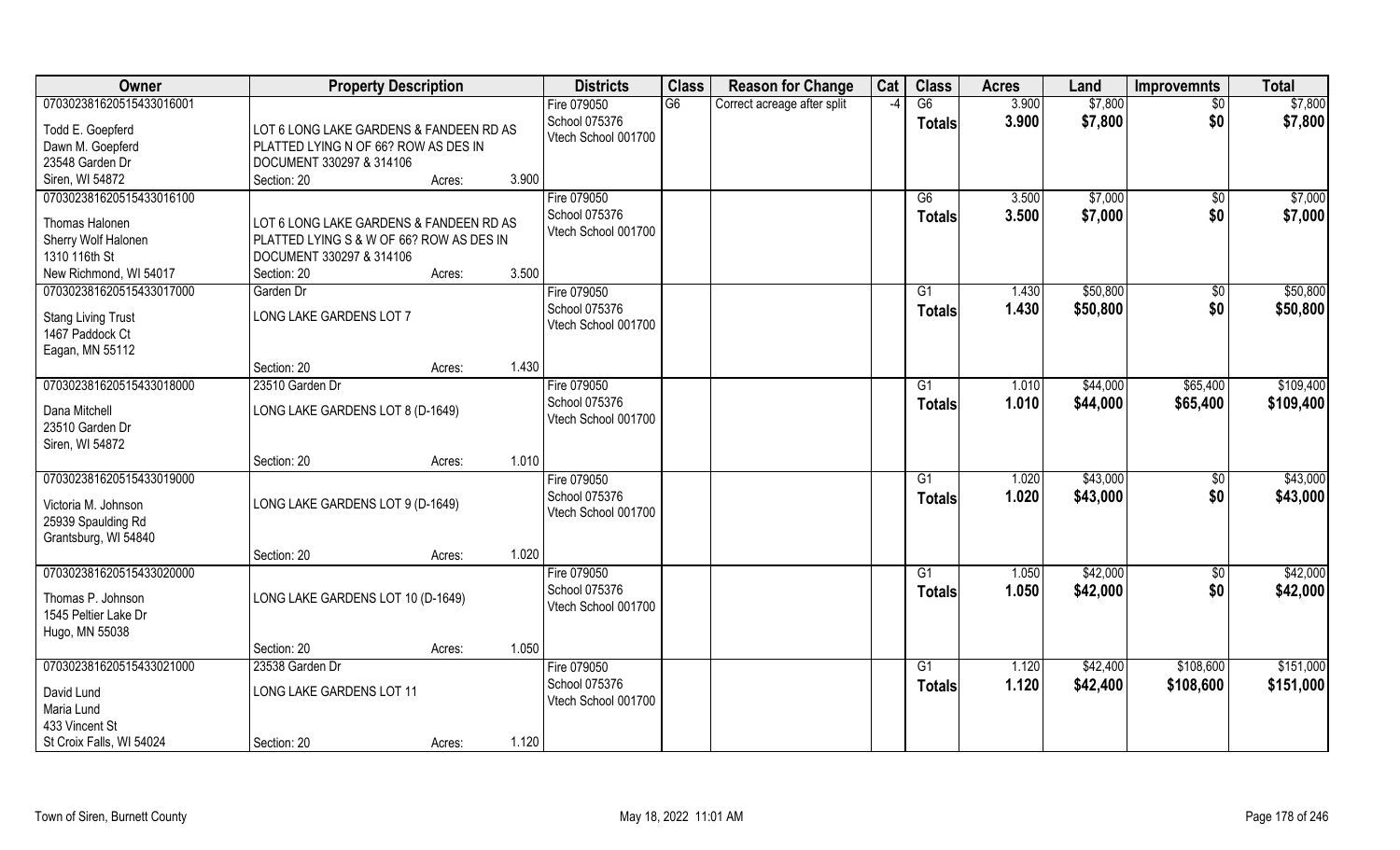| Owner                     | <b>Property Description</b>              |        |       | <b>Districts</b>    | <b>Class</b> | <b>Reason for Change</b>    | Cat           | <b>Class</b>    | <b>Acres</b> | Land     | <b>Improvemnts</b> | <b>Total</b> |
|---------------------------|------------------------------------------|--------|-------|---------------------|--------------|-----------------------------|---------------|-----------------|--------------|----------|--------------------|--------------|
| 070302381620515433016001  |                                          |        |       | Fire 079050         | G6           | Correct acreage after split | $\mathcal{L}$ | G6              | 3.900        | \$7,800  | $\sqrt{6}$         | \$7,800      |
| Todd E. Goepferd          | LOT 6 LONG LAKE GARDENS & FANDEEN RD AS  |        |       | School 075376       |              |                             |               | <b>Totals</b>   | 3.900        | \$7,800  | \$0                | \$7,800      |
| Dawn M. Goepferd          | PLATTED LYING N OF 66? ROW AS DES IN     |        |       | Vtech School 001700 |              |                             |               |                 |              |          |                    |              |
| 23548 Garden Dr           | DOCUMENT 330297 & 314106                 |        |       |                     |              |                             |               |                 |              |          |                    |              |
| Siren, WI 54872           | Section: 20                              | Acres: | 3.900 |                     |              |                             |               |                 |              |          |                    |              |
| 070302381620515433016100  |                                          |        |       | Fire 079050         |              |                             |               | G6              | 3.500        | \$7,000  | $\sqrt{$0}$        | \$7,000      |
|                           |                                          |        |       | School 075376       |              |                             |               | Totals          | 3.500        | \$7,000  | \$0                | \$7,000      |
| Thomas Halonen            | LOT 6 LONG LAKE GARDENS & FANDEEN RD AS  |        |       | Vtech School 001700 |              |                             |               |                 |              |          |                    |              |
| Sherry Wolf Halonen       | PLATTED LYING S & W OF 66? ROW AS DES IN |        |       |                     |              |                             |               |                 |              |          |                    |              |
| 1310 116th St             | DOCUMENT 330297 & 314106                 |        |       |                     |              |                             |               |                 |              |          |                    |              |
| New Richmond, WI 54017    | Section: 20                              | Acres: | 3.500 |                     |              |                             |               |                 |              |          |                    |              |
| 070302381620515433017000  | Garden Dr                                |        |       | Fire 079050         |              |                             |               | G1              | 1.430        | \$50,800 | \$0                | \$50,800     |
| <b>Stang Living Trust</b> | LONG LAKE GARDENS LOT 7                  |        |       | School 075376       |              |                             |               | <b>Totals</b>   | 1.430        | \$50,800 | \$0                | \$50,800     |
| 1467 Paddock Ct           |                                          |        |       | Vtech School 001700 |              |                             |               |                 |              |          |                    |              |
| Eagan, MN 55112           |                                          |        |       |                     |              |                             |               |                 |              |          |                    |              |
|                           | Section: 20                              | Acres: | 1.430 |                     |              |                             |               |                 |              |          |                    |              |
| 070302381620515433018000  | 23510 Garden Dr                          |        |       | Fire 079050         |              |                             |               | G1              | 1.010        | \$44,000 | \$65,400           | \$109,400    |
|                           |                                          |        |       | School 075376       |              |                             |               |                 | 1.010        | \$44,000 | \$65,400           | \$109,400    |
| Dana Mitchell             | LONG LAKE GARDENS LOT 8 (D-1649)         |        |       | Vtech School 001700 |              |                             |               | Totals          |              |          |                    |              |
| 23510 Garden Dr           |                                          |        |       |                     |              |                             |               |                 |              |          |                    |              |
| Siren, WI 54872           |                                          |        |       |                     |              |                             |               |                 |              |          |                    |              |
|                           | Section: 20                              | Acres: | 1.010 |                     |              |                             |               |                 |              |          |                    |              |
| 070302381620515433019000  |                                          |        |       | Fire 079050         |              |                             |               | $\overline{G1}$ | 1.020        | \$43,000 | $\overline{50}$    | \$43,000     |
| Victoria M. Johnson       | LONG LAKE GARDENS LOT 9 (D-1649)         |        |       | School 075376       |              |                             |               | Totals          | 1.020        | \$43,000 | \$0                | \$43,000     |
| 25939 Spaulding Rd        |                                          |        |       | Vtech School 001700 |              |                             |               |                 |              |          |                    |              |
| Grantsburg, WI 54840      |                                          |        |       |                     |              |                             |               |                 |              |          |                    |              |
|                           | Section: 20                              | Acres: | 1.020 |                     |              |                             |               |                 |              |          |                    |              |
| 070302381620515433020000  |                                          |        |       | Fire 079050         |              |                             |               | G1              | 1.050        | \$42,000 | $\sqrt{$0}$        | \$42,000     |
|                           |                                          |        |       | School 075376       |              |                             |               |                 | 1.050        | \$42,000 | \$0                | \$42,000     |
| Thomas P. Johnson         | LONG LAKE GARDENS LOT 10 (D-1649)        |        |       | Vtech School 001700 |              |                             |               | <b>Totals</b>   |              |          |                    |              |
| 1545 Peltier Lake Dr      |                                          |        |       |                     |              |                             |               |                 |              |          |                    |              |
| Hugo, MN 55038            |                                          |        |       |                     |              |                             |               |                 |              |          |                    |              |
|                           | Section: 20                              | Acres: | 1.050 |                     |              |                             |               |                 |              |          |                    |              |
| 070302381620515433021000  | 23538 Garden Dr                          |        |       | Fire 079050         |              |                             |               | G1              | 1.120        | \$42,400 | \$108,600          | \$151,000    |
| David Lund                | LONG LAKE GARDENS LOT 11                 |        |       | School 075376       |              |                             |               | Totals          | 1.120        | \$42,400 | \$108,600          | \$151,000    |
| Maria Lund                |                                          |        |       | Vtech School 001700 |              |                             |               |                 |              |          |                    |              |
| 433 Vincent St            |                                          |        |       |                     |              |                             |               |                 |              |          |                    |              |
| St Croix Falls, WI 54024  | Section: 20                              | Acres: | 1.120 |                     |              |                             |               |                 |              |          |                    |              |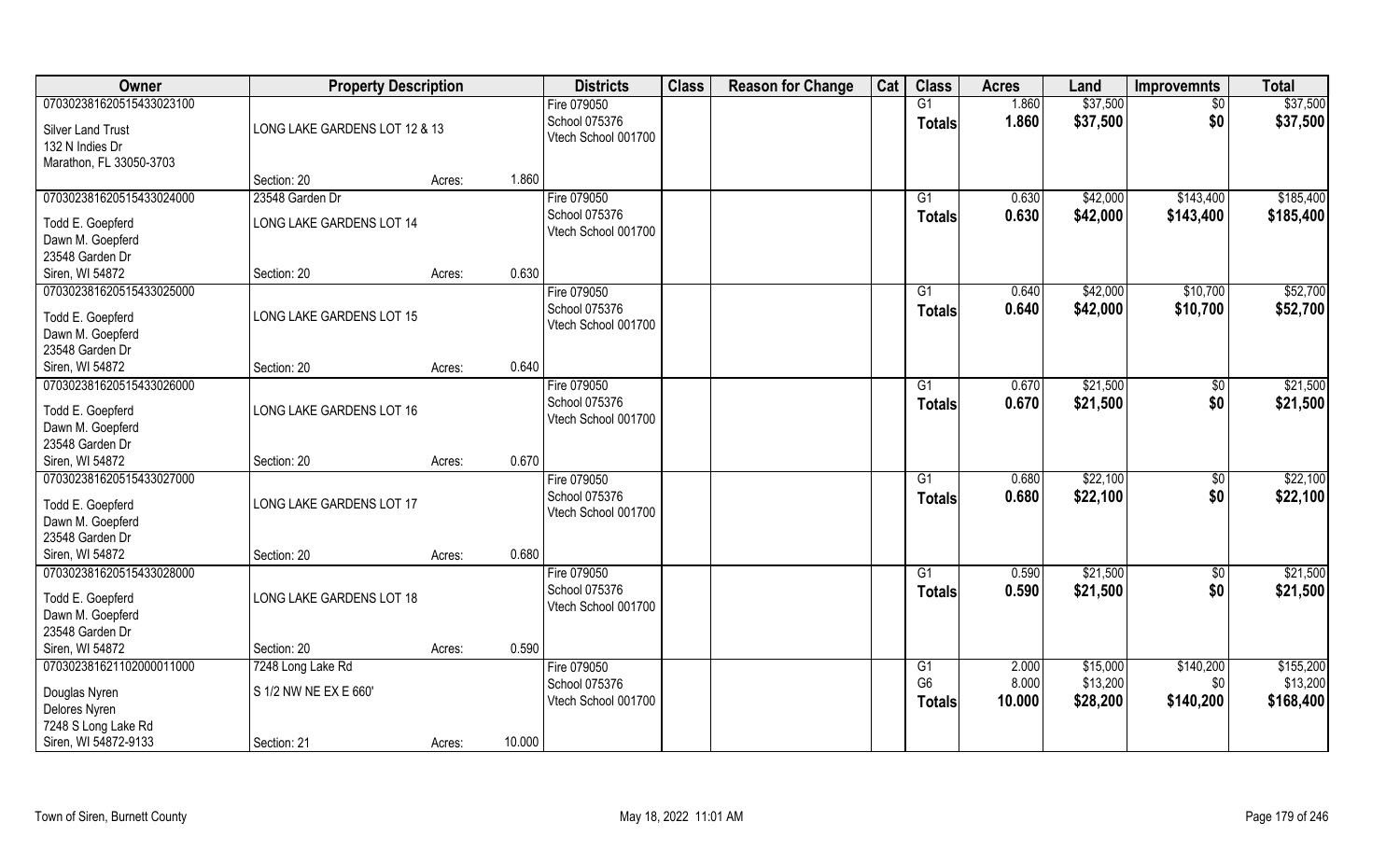| 1.860<br>\$37,500<br>070302381620515433023100<br>Fire 079050<br>G1<br>$\sqrt{50}$<br>1.860<br>\$0<br>School 075376<br>\$37,500<br><b>Totals</b><br>LONG LAKE GARDENS LOT 12 & 13<br>Silver Land Trust<br>Vtech School 001700<br>132 N Indies Dr<br>Marathon, FL 33050-3703<br>1.860<br>Section: 20<br>Acres:<br>070302381620515433024000<br>23548 Garden Dr<br>Fire 079050<br>0.630<br>\$42,000<br>\$143,400<br>G1<br>School 075376<br>0.630<br>\$42,000<br>\$143,400<br><b>Totals</b><br>LONG LAKE GARDENS LOT 14<br>Todd E. Goepferd<br>Vtech School 001700<br>Dawn M. Goepferd<br>23548 Garden Dr<br>0.630<br>Siren, WI 54872<br>Section: 20<br>Acres:<br>070302381620515433025000<br>\$42,000<br>\$10,700<br>Fire 079050<br>G1<br>0.640<br>School 075376<br>0.640<br>\$42,000<br>\$10,700<br><b>Totals</b><br>LONG LAKE GARDENS LOT 15<br>Todd E. Goepferd<br>Vtech School 001700<br>Dawn M. Goepferd<br>23548 Garden Dr<br>0.640<br>Siren, WI 54872<br>Section: 20<br>Acres:<br>070302381620515433026000<br>Fire 079050<br>\$21,500<br>0.670<br>G1<br>$\sqrt{50}$<br>School 075376<br>\$0<br>0.670<br>\$21,500<br><b>Totals</b><br>Todd E. Goepferd<br>LONG LAKE GARDENS LOT 16<br>Vtech School 001700<br>Dawn M. Goepferd<br>23548 Garden Dr<br>0.670<br>Siren, WI 54872<br>Section: 20<br>Acres:<br>070302381620515433027000<br>0.680<br>\$22,100<br>Fire 079050<br>$\overline{G1}$<br>$\overline{50}$<br>School 075376<br>0.680<br>\$22,100<br>\$0<br><b>Totals</b><br>Todd E. Goepferd<br>LONG LAKE GARDENS LOT 17<br>Vtech School 001700<br>Dawn M. Goepferd<br>23548 Garden Dr<br>Siren, WI 54872<br>0.680<br>Section: 20<br>Acres:<br>\$21,500<br>070302381620515433028000<br>Fire 079050<br>G1<br>0.590<br>$\overline{50}$<br>\$0<br>School 075376<br>\$21,500<br>0.590<br><b>Totals</b><br>LONG LAKE GARDENS LOT 18<br>Todd E. Goepferd<br>Vtech School 001700<br>Dawn M. Goepferd<br>23548 Garden Dr<br>Siren, WI 54872<br>0.590<br>Section: 20<br>Acres:<br>070302381621102000011000<br>Fire 079050<br>\$140,200<br>7248 Long Lake Rd<br>G1<br>2.000<br>\$15,000<br>G <sub>6</sub><br>\$13,200<br>8.000<br>School 075376<br>\$0<br>S 1/2 NW NE EX E 660'<br>Douglas Nyren<br>\$140,200<br>Vtech School 001700<br>10.000<br>\$28,200<br><b>Totals</b><br>Delores Nyren | Owner               | <b>Property Description</b> | <b>Districts</b> | <b>Class</b> | <b>Reason for Change</b> | Cat | <b>Class</b> | <b>Acres</b> | Land | <b>Improvemnts</b> | <b>Total</b>                       |
|---------------------------------------------------------------------------------------------------------------------------------------------------------------------------------------------------------------------------------------------------------------------------------------------------------------------------------------------------------------------------------------------------------------------------------------------------------------------------------------------------------------------------------------------------------------------------------------------------------------------------------------------------------------------------------------------------------------------------------------------------------------------------------------------------------------------------------------------------------------------------------------------------------------------------------------------------------------------------------------------------------------------------------------------------------------------------------------------------------------------------------------------------------------------------------------------------------------------------------------------------------------------------------------------------------------------------------------------------------------------------------------------------------------------------------------------------------------------------------------------------------------------------------------------------------------------------------------------------------------------------------------------------------------------------------------------------------------------------------------------------------------------------------------------------------------------------------------------------------------------------------------------------------------------------------------------------------------------------------------------------------------------------------------------------------------------------------------------------------------------------------------------------------------------------------------------------------------------------------------------------------------------------------------|---------------------|-----------------------------|------------------|--------------|--------------------------|-----|--------------|--------------|------|--------------------|------------------------------------|
|                                                                                                                                                                                                                                                                                                                                                                                                                                                                                                                                                                                                                                                                                                                                                                                                                                                                                                                                                                                                                                                                                                                                                                                                                                                                                                                                                                                                                                                                                                                                                                                                                                                                                                                                                                                                                                                                                                                                                                                                                                                                                                                                                                                                                                                                                       |                     |                             |                  |              |                          |     |              |              |      |                    | \$37,500<br>\$37,500               |
|                                                                                                                                                                                                                                                                                                                                                                                                                                                                                                                                                                                                                                                                                                                                                                                                                                                                                                                                                                                                                                                                                                                                                                                                                                                                                                                                                                                                                                                                                                                                                                                                                                                                                                                                                                                                                                                                                                                                                                                                                                                                                                                                                                                                                                                                                       |                     |                             |                  |              |                          |     |              |              |      |                    |                                    |
|                                                                                                                                                                                                                                                                                                                                                                                                                                                                                                                                                                                                                                                                                                                                                                                                                                                                                                                                                                                                                                                                                                                                                                                                                                                                                                                                                                                                                                                                                                                                                                                                                                                                                                                                                                                                                                                                                                                                                                                                                                                                                                                                                                                                                                                                                       |                     |                             |                  |              |                          |     |              |              |      |                    | \$185,400<br>\$185,400             |
|                                                                                                                                                                                                                                                                                                                                                                                                                                                                                                                                                                                                                                                                                                                                                                                                                                                                                                                                                                                                                                                                                                                                                                                                                                                                                                                                                                                                                                                                                                                                                                                                                                                                                                                                                                                                                                                                                                                                                                                                                                                                                                                                                                                                                                                                                       |                     |                             |                  |              |                          |     |              |              |      |                    |                                    |
|                                                                                                                                                                                                                                                                                                                                                                                                                                                                                                                                                                                                                                                                                                                                                                                                                                                                                                                                                                                                                                                                                                                                                                                                                                                                                                                                                                                                                                                                                                                                                                                                                                                                                                                                                                                                                                                                                                                                                                                                                                                                                                                                                                                                                                                                                       |                     |                             |                  |              |                          |     |              |              |      |                    | \$52,700<br>\$52,700               |
|                                                                                                                                                                                                                                                                                                                                                                                                                                                                                                                                                                                                                                                                                                                                                                                                                                                                                                                                                                                                                                                                                                                                                                                                                                                                                                                                                                                                                                                                                                                                                                                                                                                                                                                                                                                                                                                                                                                                                                                                                                                                                                                                                                                                                                                                                       |                     |                             |                  |              |                          |     |              |              |      |                    |                                    |
|                                                                                                                                                                                                                                                                                                                                                                                                                                                                                                                                                                                                                                                                                                                                                                                                                                                                                                                                                                                                                                                                                                                                                                                                                                                                                                                                                                                                                                                                                                                                                                                                                                                                                                                                                                                                                                                                                                                                                                                                                                                                                                                                                                                                                                                                                       |                     |                             |                  |              |                          |     |              |              |      |                    | \$21,500<br>\$21,500               |
|                                                                                                                                                                                                                                                                                                                                                                                                                                                                                                                                                                                                                                                                                                                                                                                                                                                                                                                                                                                                                                                                                                                                                                                                                                                                                                                                                                                                                                                                                                                                                                                                                                                                                                                                                                                                                                                                                                                                                                                                                                                                                                                                                                                                                                                                                       |                     |                             |                  |              |                          |     |              |              |      |                    |                                    |
|                                                                                                                                                                                                                                                                                                                                                                                                                                                                                                                                                                                                                                                                                                                                                                                                                                                                                                                                                                                                                                                                                                                                                                                                                                                                                                                                                                                                                                                                                                                                                                                                                                                                                                                                                                                                                                                                                                                                                                                                                                                                                                                                                                                                                                                                                       |                     |                             |                  |              |                          |     |              |              |      |                    | \$22,100<br>\$22,100               |
|                                                                                                                                                                                                                                                                                                                                                                                                                                                                                                                                                                                                                                                                                                                                                                                                                                                                                                                                                                                                                                                                                                                                                                                                                                                                                                                                                                                                                                                                                                                                                                                                                                                                                                                                                                                                                                                                                                                                                                                                                                                                                                                                                                                                                                                                                       |                     |                             |                  |              |                          |     |              |              |      |                    |                                    |
|                                                                                                                                                                                                                                                                                                                                                                                                                                                                                                                                                                                                                                                                                                                                                                                                                                                                                                                                                                                                                                                                                                                                                                                                                                                                                                                                                                                                                                                                                                                                                                                                                                                                                                                                                                                                                                                                                                                                                                                                                                                                                                                                                                                                                                                                                       |                     |                             |                  |              |                          |     |              |              |      |                    | \$21,500<br>\$21,500               |
|                                                                                                                                                                                                                                                                                                                                                                                                                                                                                                                                                                                                                                                                                                                                                                                                                                                                                                                                                                                                                                                                                                                                                                                                                                                                                                                                                                                                                                                                                                                                                                                                                                                                                                                                                                                                                                                                                                                                                                                                                                                                                                                                                                                                                                                                                       |                     |                             |                  |              |                          |     |              |              |      |                    |                                    |
| Siren, WI 54872-9133<br>10.000<br>Section: 21<br>Acres:                                                                                                                                                                                                                                                                                                                                                                                                                                                                                                                                                                                                                                                                                                                                                                                                                                                                                                                                                                                                                                                                                                                                                                                                                                                                                                                                                                                                                                                                                                                                                                                                                                                                                                                                                                                                                                                                                                                                                                                                                                                                                                                                                                                                                               | 7248 S Long Lake Rd |                             |                  |              |                          |     |              |              |      |                    | \$155,200<br>\$13,200<br>\$168,400 |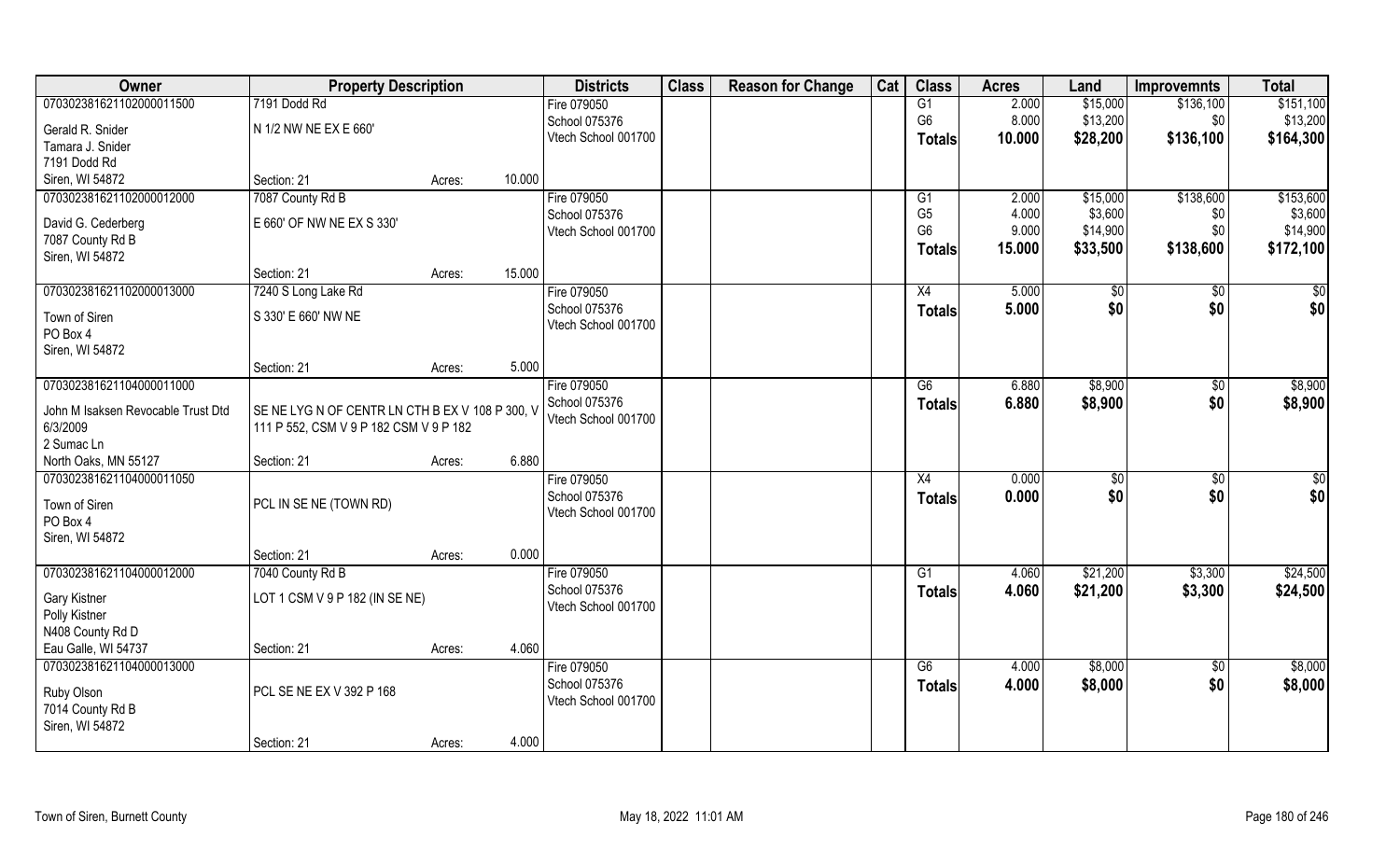| Owner                              | <b>Property Description</b>                     |        |        | <b>Districts</b>                     | <b>Class</b> | <b>Reason for Change</b> | Cat | <b>Class</b>   | <b>Acres</b> | Land     | <b>Improvemnts</b> | <b>Total</b>    |
|------------------------------------|-------------------------------------------------|--------|--------|--------------------------------------|--------------|--------------------------|-----|----------------|--------------|----------|--------------------|-----------------|
| 070302381621102000011500           | 7191 Dodd Rd                                    |        |        | Fire 079050                          |              |                          |     | G1             | 2.000        | \$15,000 | \$136,100          | \$151,100       |
| Gerald R. Snider                   | N 1/2 NW NE EX E 660'                           |        |        | School 075376                        |              |                          |     | G <sub>6</sub> | 8.000        | \$13,200 | \$0                | \$13,200        |
| Tamara J. Snider                   |                                                 |        |        | Vtech School 001700                  |              |                          |     | <b>Totals</b>  | 10.000       | \$28,200 | \$136,100          | \$164,300       |
| 7191 Dodd Rd                       |                                                 |        |        |                                      |              |                          |     |                |              |          |                    |                 |
| Siren, WI 54872                    | Section: 21                                     | Acres: | 10.000 |                                      |              |                          |     |                |              |          |                    |                 |
| 070302381621102000012000           | 7087 County Rd B                                |        |        | Fire 079050                          |              |                          |     | G1             | 2.000        | \$15,000 | \$138,600          | \$153,600       |
|                                    |                                                 |        |        | School 075376                        |              |                          |     | G <sub>5</sub> | 4.000        | \$3,600  | \$0                | \$3,600         |
| David G. Cederberg                 | E 660' OF NW NE EX S 330'                       |        |        | Vtech School 001700                  |              |                          |     | G <sub>6</sub> | 9.000        | \$14,900 | \$0                | \$14,900        |
| 7087 County Rd B                   |                                                 |        |        |                                      |              |                          |     | Totals         | 15.000       | \$33,500 | \$138,600          | \$172,100       |
| Siren, WI 54872                    |                                                 |        |        |                                      |              |                          |     |                |              |          |                    |                 |
|                                    | Section: 21                                     | Acres: | 15.000 |                                      |              |                          |     |                |              |          |                    |                 |
| 070302381621102000013000           | 7240 S Long Lake Rd                             |        |        | Fire 079050                          |              |                          |     | X4             | 5.000        | \$0      | \$0                | \$0             |
| Town of Siren                      | S 330' E 660' NW NE                             |        |        | School 075376<br>Vtech School 001700 |              |                          |     | <b>Totals</b>  | 5.000        | \$0      | \$0                | \$0             |
| PO Box 4                           |                                                 |        |        |                                      |              |                          |     |                |              |          |                    |                 |
| Siren, WI 54872                    |                                                 |        |        |                                      |              |                          |     |                |              |          |                    |                 |
|                                    | Section: 21                                     | Acres: | 5.000  |                                      |              |                          |     |                |              |          |                    |                 |
| 070302381621104000011000           |                                                 |        |        | Fire 079050                          |              |                          |     | G6             | 6.880        | \$8,900  | \$0                | \$8,900         |
| John M Isaksen Revocable Trust Dtd | SE NE LYG N OF CENTR LN CTH B EX V 108 P 300, V |        |        | School 075376                        |              |                          |     | Totals         | 6.880        | \$8,900  | \$0                | \$8,900         |
| 6/3/2009                           | 111 P 552, CSM V 9 P 182 CSM V 9 P 182          |        |        | Vtech School 001700                  |              |                          |     |                |              |          |                    |                 |
| 2 Sumac Ln                         |                                                 |        |        |                                      |              |                          |     |                |              |          |                    |                 |
| North Oaks, MN 55127               | Section: 21                                     | Acres: | 6.880  |                                      |              |                          |     |                |              |          |                    |                 |
| 070302381621104000011050           |                                                 |        |        | Fire 079050                          |              |                          |     | X4             | 0.000        | \$0      | $\overline{50}$    | $\overline{50}$ |
|                                    |                                                 |        |        | School 075376                        |              |                          |     | <b>Totals</b>  | 0.000        | \$0      | \$0                | \$0             |
| Town of Siren                      | PCL IN SE NE (TOWN RD)                          |        |        | Vtech School 001700                  |              |                          |     |                |              |          |                    |                 |
| PO Box 4                           |                                                 |        |        |                                      |              |                          |     |                |              |          |                    |                 |
| Siren, WI 54872                    |                                                 |        | 0.000  |                                      |              |                          |     |                |              |          |                    |                 |
|                                    | Section: 21                                     | Acres: |        | Fire 079050                          |              |                          |     |                | 4.060        | \$21,200 |                    | \$24,500        |
| 070302381621104000012000           | 7040 County Rd B                                |        |        | School 075376                        |              |                          |     | G1             |              |          | \$3,300            |                 |
| <b>Gary Kistner</b>                | LOT 1 CSM V 9 P 182 (IN SE NE)                  |        |        | Vtech School 001700                  |              |                          |     | <b>Totals</b>  | 4.060        | \$21,200 | \$3,300            | \$24,500        |
| Polly Kistner                      |                                                 |        |        |                                      |              |                          |     |                |              |          |                    |                 |
| N408 County Rd D                   |                                                 |        |        |                                      |              |                          |     |                |              |          |                    |                 |
| Eau Galle, WI 54737                | Section: 21                                     | Acres: | 4.060  |                                      |              |                          |     |                |              |          |                    |                 |
| 070302381621104000013000           |                                                 |        |        | Fire 079050                          |              |                          |     | G6             | 4.000        | \$8,000  | $\sqrt{$0}$        | \$8,000         |
| Ruby Olson                         | PCL SE NE EX V 392 P 168                        |        |        | School 075376                        |              |                          |     | <b>Totals</b>  | 4.000        | \$8,000  | \$0                | \$8,000         |
| 7014 County Rd B                   |                                                 |        |        | Vtech School 001700                  |              |                          |     |                |              |          |                    |                 |
| Siren, WI 54872                    |                                                 |        |        |                                      |              |                          |     |                |              |          |                    |                 |
|                                    | Section: 21                                     | Acres: | 4.000  |                                      |              |                          |     |                |              |          |                    |                 |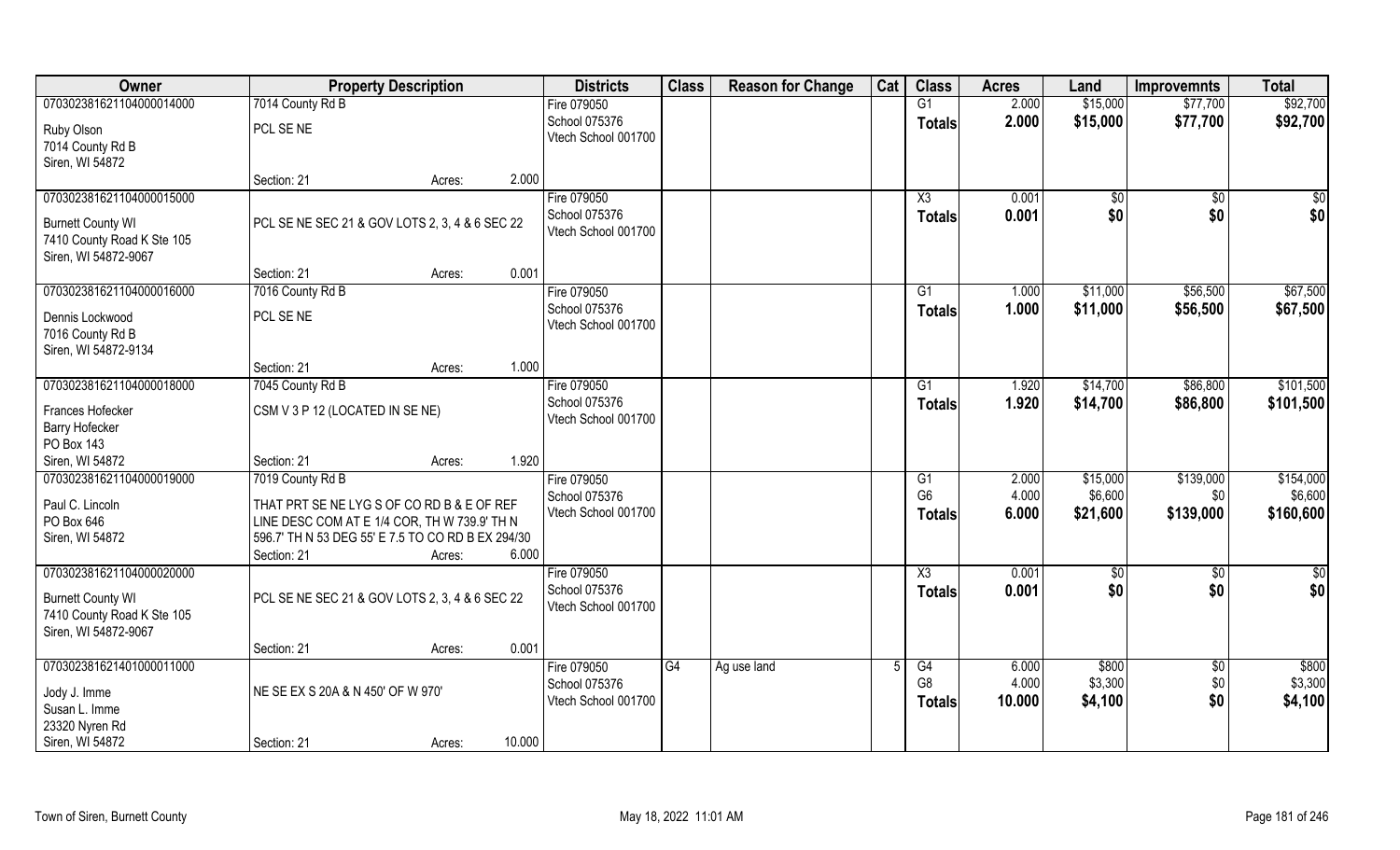| Owner                               |                                                   | <b>Property Description</b> |        | <b>Districts</b>                     | <b>Class</b> | <b>Reason for Change</b> | Cat | <b>Class</b>           | <b>Acres</b> | Land     | <b>Improvemnts</b> | <b>Total</b>   |
|-------------------------------------|---------------------------------------------------|-----------------------------|--------|--------------------------------------|--------------|--------------------------|-----|------------------------|--------------|----------|--------------------|----------------|
| 070302381621104000014000            | 7014 County Rd B                                  |                             |        | Fire 079050                          |              |                          |     | G1                     | 2.000        | \$15,000 | \$77,700           | \$92,700       |
| Ruby Olson<br>7014 County Rd B      | PCL SENE                                          |                             |        | School 075376<br>Vtech School 001700 |              |                          |     | <b>Totals</b>          | 2.000        | \$15,000 | \$77,700           | \$92,700       |
| Siren, WI 54872                     |                                                   |                             |        |                                      |              |                          |     |                        |              |          |                    |                |
|                                     | Section: 21                                       | Acres:                      | 2.000  |                                      |              |                          |     |                        |              |          |                    |                |
| 070302381621104000015000            |                                                   |                             |        | Fire 079050                          |              |                          |     | $\overline{\text{X3}}$ | 0.001        | \$0      | $\sqrt{$0}$        | \$0            |
| <b>Burnett County WI</b>            | PCL SE NE SEC 21 & GOV LOTS 2, 3, 4 & 6 SEC 22    |                             |        | School 075376                        |              |                          |     | <b>Totals</b>          | 0.001        | \$0      | \$0                | \$0            |
| 7410 County Road K Ste 105          |                                                   |                             |        | Vtech School 001700                  |              |                          |     |                        |              |          |                    |                |
| Siren, WI 54872-9067                |                                                   |                             |        |                                      |              |                          |     |                        |              |          |                    |                |
|                                     | Section: 21                                       | Acres:                      | 0.001  |                                      |              |                          |     |                        |              |          |                    |                |
| 070302381621104000016000            | 7016 County Rd B                                  |                             |        | Fire 079050                          |              |                          |     | G1                     | 1.000        | \$11,000 | \$56,500           | \$67,500       |
| Dennis Lockwood                     | PCL SENE                                          |                             |        | School 075376                        |              |                          |     | <b>Totals</b>          | 1.000        | \$11,000 | \$56,500           | \$67,500       |
| 7016 County Rd B                    |                                                   |                             |        | Vtech School 001700                  |              |                          |     |                        |              |          |                    |                |
| Siren, WI 54872-9134                |                                                   |                             |        |                                      |              |                          |     |                        |              |          |                    |                |
|                                     | Section: 21                                       | Acres:                      | 1.000  |                                      |              |                          |     |                        |              |          |                    |                |
| 070302381621104000018000            | 7045 County Rd B                                  |                             |        | Fire 079050                          |              |                          |     | G1                     | 1.920        | \$14,700 | \$86,800           | \$101,500      |
|                                     |                                                   |                             |        | School 075376                        |              |                          |     | <b>Totals</b>          | 1.920        | \$14,700 | \$86,800           | \$101,500      |
| Frances Hofecker                    | CSM V 3 P 12 (LOCATED IN SE NE)                   |                             |        | Vtech School 001700                  |              |                          |     |                        |              |          |                    |                |
| <b>Barry Hofecker</b><br>PO Box 143 |                                                   |                             |        |                                      |              |                          |     |                        |              |          |                    |                |
| Siren, WI 54872                     | Section: 21                                       | Acres:                      | 1.920  |                                      |              |                          |     |                        |              |          |                    |                |
| 070302381621104000019000            | 7019 County Rd B                                  |                             |        | Fire 079050                          |              |                          |     | G1                     | 2.000        | \$15,000 | \$139,000          | \$154,000      |
|                                     |                                                   |                             |        | School 075376                        |              |                          |     | G <sub>6</sub>         | 4.000        | \$6,600  | \$0                | \$6,600        |
| Paul C. Lincoln                     | THAT PRT SE NE LYG S OF CO RD B & E OF REF        |                             |        | Vtech School 001700                  |              |                          |     | <b>Totals</b>          | 6.000        | \$21,600 | \$139,000          | \$160,600      |
| PO Box 646                          | LINE DESC COM AT E 1/4 COR, TH W 739.9' TH N      |                             |        |                                      |              |                          |     |                        |              |          |                    |                |
| Siren, WI 54872                     | 596.7' TH N 53 DEG 55' E 7.5 TO CO RD B EX 294/30 |                             |        |                                      |              |                          |     |                        |              |          |                    |                |
|                                     | Section: 21                                       | Acres:                      | 6.000  |                                      |              |                          |     |                        |              |          |                    |                |
| 070302381621104000020000            |                                                   |                             |        | Fire 079050<br>School 075376         |              |                          |     | $\overline{\text{X3}}$ | 0.001        | \$0      | \$0                | $\frac{1}{30}$ |
| <b>Burnett County WI</b>            | PCL SE NE SEC 21 & GOV LOTS 2, 3, 4 & 6 SEC 22    |                             |        | Vtech School 001700                  |              |                          |     | <b>Totals</b>          | 0.001        | \$0      | \$0                | \$0            |
| 7410 County Road K Ste 105          |                                                   |                             |        |                                      |              |                          |     |                        |              |          |                    |                |
| Siren, WI 54872-9067                |                                                   |                             |        |                                      |              |                          |     |                        |              |          |                    |                |
|                                     | Section: 21                                       | Acres:                      | 0.001  |                                      |              |                          |     |                        |              |          |                    |                |
| 070302381621401000011000            |                                                   |                             |        | Fire 079050                          | G4           | Ag use land              |     | G4                     | 6.000        | \$800    | $\overline{60}$    | \$800          |
| Jody J. Imme                        | NE SE EX S 20A & N 450' OF W 970'                 |                             |        | School 075376                        |              |                          |     | G <sub>8</sub>         | 4.000        | \$3,300  | \$0                | \$3,300        |
| Susan L. Imme                       |                                                   |                             |        | Vtech School 001700                  |              |                          |     | <b>Totals</b>          | 10.000       | \$4,100  | \$0                | \$4,100        |
| 23320 Nyren Rd                      |                                                   |                             |        |                                      |              |                          |     |                        |              |          |                    |                |
| Siren, WI 54872                     | Section: 21                                       | Acres:                      | 10.000 |                                      |              |                          |     |                        |              |          |                    |                |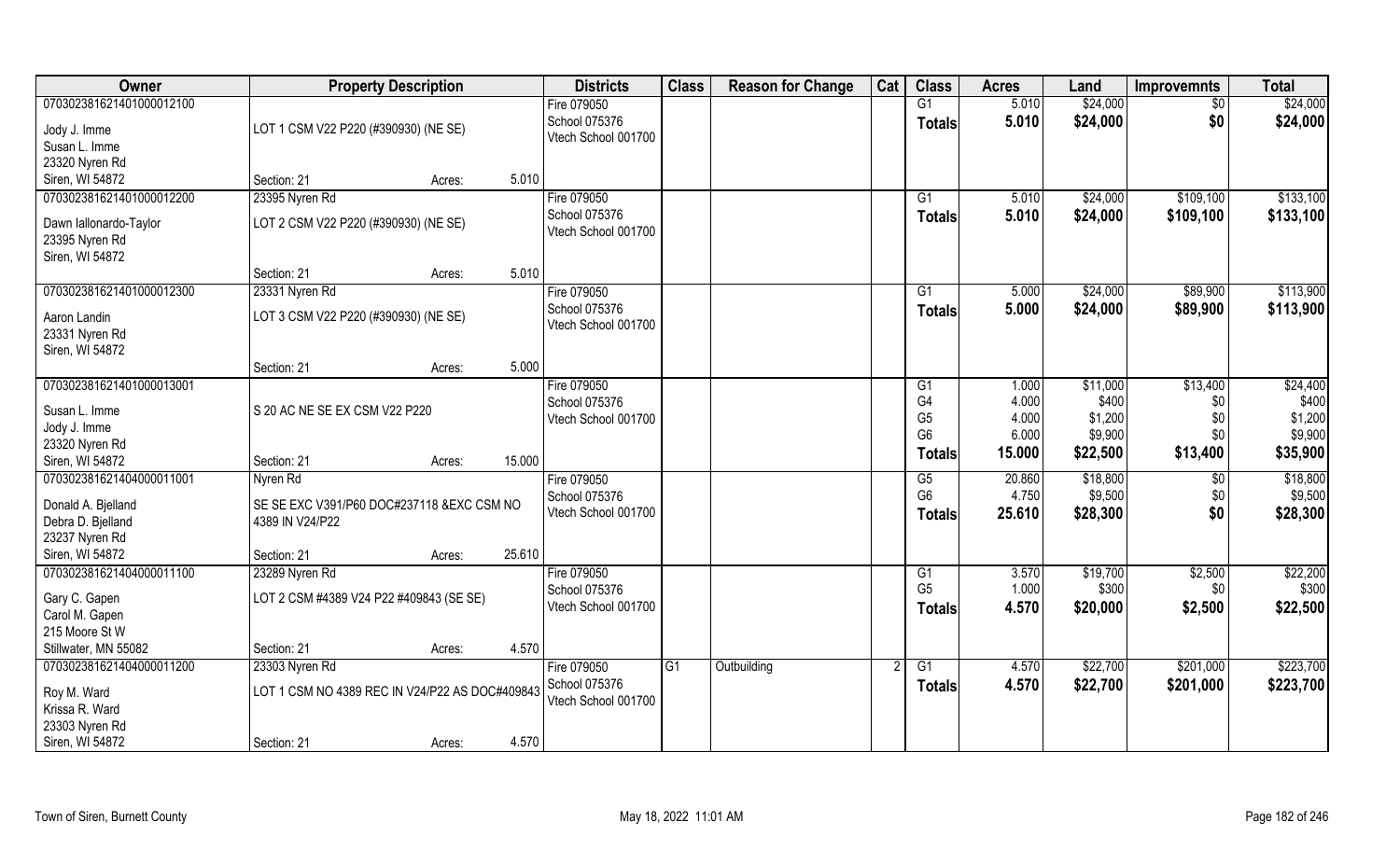| <b>Owner</b>                                                                                   |                                                                                 | <b>Property Description</b> |        | <b>Districts</b>                                    | <b>Class</b> | <b>Reason for Change</b> | Cat | <b>Class</b>                                                         | <b>Acres</b>                     | Land                                    | <b>Improvemnts</b>            | <b>Total</b>                            |
|------------------------------------------------------------------------------------------------|---------------------------------------------------------------------------------|-----------------------------|--------|-----------------------------------------------------|--------------|--------------------------|-----|----------------------------------------------------------------------|----------------------------------|-----------------------------------------|-------------------------------|-----------------------------------------|
| 070302381621401000012100<br>Jody J. Imme<br>Susan L. Imme<br>23320 Nyren Rd                    | LOT 1 CSM V22 P220 (#390930) (NE SE)                                            |                             |        | Fire 079050<br>School 075376<br>Vtech School 001700 |              |                          |     | G1<br><b>Totals</b>                                                  | 5.010<br>5.010                   | \$24,000<br>\$24,000                    | $\sqrt{6}$<br>\$0             | \$24,000<br>\$24,000                    |
| Siren, WI 54872                                                                                | Section: 21                                                                     | Acres:                      | 5.010  |                                                     |              |                          |     |                                                                      |                                  |                                         |                               |                                         |
| 070302381621401000012200<br>Dawn Iallonardo-Taylor<br>23395 Nyren Rd<br>Siren, WI 54872        | 23395 Nyren Rd<br>LOT 2 CSM V22 P220 (#390930) (NE SE)                          |                             |        | Fire 079050<br>School 075376<br>Vtech School 001700 |              |                          |     | G1<br>Totals                                                         | 5.010<br>5.010                   | \$24,000<br>\$24,000                    | \$109,100<br>\$109,100        | \$133,100<br>\$133,100                  |
|                                                                                                | Section: 21                                                                     | Acres:                      | 5.010  |                                                     |              |                          |     |                                                                      |                                  |                                         |                               |                                         |
| 070302381621401000012300<br>Aaron Landin<br>23331 Nyren Rd<br>Siren, WI 54872                  | 23331 Nyren Rd<br>LOT 3 CSM V22 P220 (#390930) (NE SE)                          |                             |        | Fire 079050<br>School 075376<br>Vtech School 001700 |              |                          |     | G1<br><b>Totals</b>                                                  | 5.000<br>5.000                   | \$24,000<br>\$24,000                    | \$89,900<br>\$89,900          | \$113,900<br>\$113,900                  |
|                                                                                                | Section: 21                                                                     | Acres:                      | 5.000  |                                                     |              |                          |     |                                                                      |                                  |                                         |                               |                                         |
| 070302381621401000013001<br>Susan L. Imme<br>Jody J. Imme<br>23320 Nyren Rd                    | S 20 AC NE SE EX CSM V22 P220                                                   |                             |        | Fire 079050<br>School 075376<br>Vtech School 001700 |              |                          |     | G <sub>1</sub><br>G <sub>4</sub><br>G <sub>5</sub><br>G <sub>6</sub> | 1.000<br>4.000<br>4.000<br>6.000 | \$11,000<br>\$400<br>\$1,200<br>\$9,900 | \$13,400<br>\$0<br>\$0<br>\$0 | \$24,400<br>\$400<br>\$1,200<br>\$9,900 |
| Siren, WI 54872                                                                                | Section: 21                                                                     | Acres:                      | 15.000 |                                                     |              |                          |     | Totals                                                               | 15.000                           | \$22,500                                | \$13,400                      | \$35,900                                |
| 070302381621404000011001<br>Donald A. Bjelland<br>Debra D. Bjelland<br>23237 Nyren Rd          | Nyren Rd<br>SE SE EXC V391/P60 DOC#237118 & EXC CSM NO<br>4389 IN V24/P22       |                             |        | Fire 079050<br>School 075376<br>Vtech School 001700 |              |                          |     | G5<br>G <sub>6</sub><br>Totals                                       | 20.860<br>4.750<br>25.610        | \$18,800<br>\$9,500<br>\$28,300         | \$0<br>\$0<br>\$0             | \$18,800<br>\$9,500<br>\$28,300         |
| Siren, WI 54872                                                                                | Section: 21                                                                     | Acres:                      | 25.610 |                                                     |              |                          |     |                                                                      |                                  |                                         |                               |                                         |
| 070302381621404000011100<br>Gary C. Gapen<br>Carol M. Gapen<br>215 Moore St W                  | 23289 Nyren Rd<br>LOT 2 CSM #4389 V24 P22 #409843 (SE SE)                       |                             |        | Fire 079050<br>School 075376<br>Vtech School 001700 |              |                          |     | G1<br>G <sub>5</sub><br><b>Totals</b>                                | 3.570<br>1.000<br>4.570          | \$19,700<br>\$300<br>\$20,000           | \$2,500<br>\$0<br>\$2,500     | \$22,200<br>\$300<br>\$22,500           |
| Stillwater, MN 55082                                                                           | Section: 21                                                                     | Acres:                      | 4.570  |                                                     |              |                          |     |                                                                      |                                  |                                         |                               |                                         |
| 070302381621404000011200<br>Roy M. Ward<br>Krissa R. Ward<br>23303 Nyren Rd<br>Siren, WI 54872 | 23303 Nyren Rd<br>LOT 1 CSM NO 4389 REC IN V24/P22 AS DOC#409843<br>Section: 21 | Acres:                      | 4.570  | Fire 079050<br>School 075376<br>Vtech School 001700 | G1           | Outbuilding              |     | $\overline{G1}$<br>Totals                                            | 4.570<br>4.570                   | \$22,700<br>\$22,700                    | \$201,000<br>\$201,000        | \$223,700<br>\$223,700                  |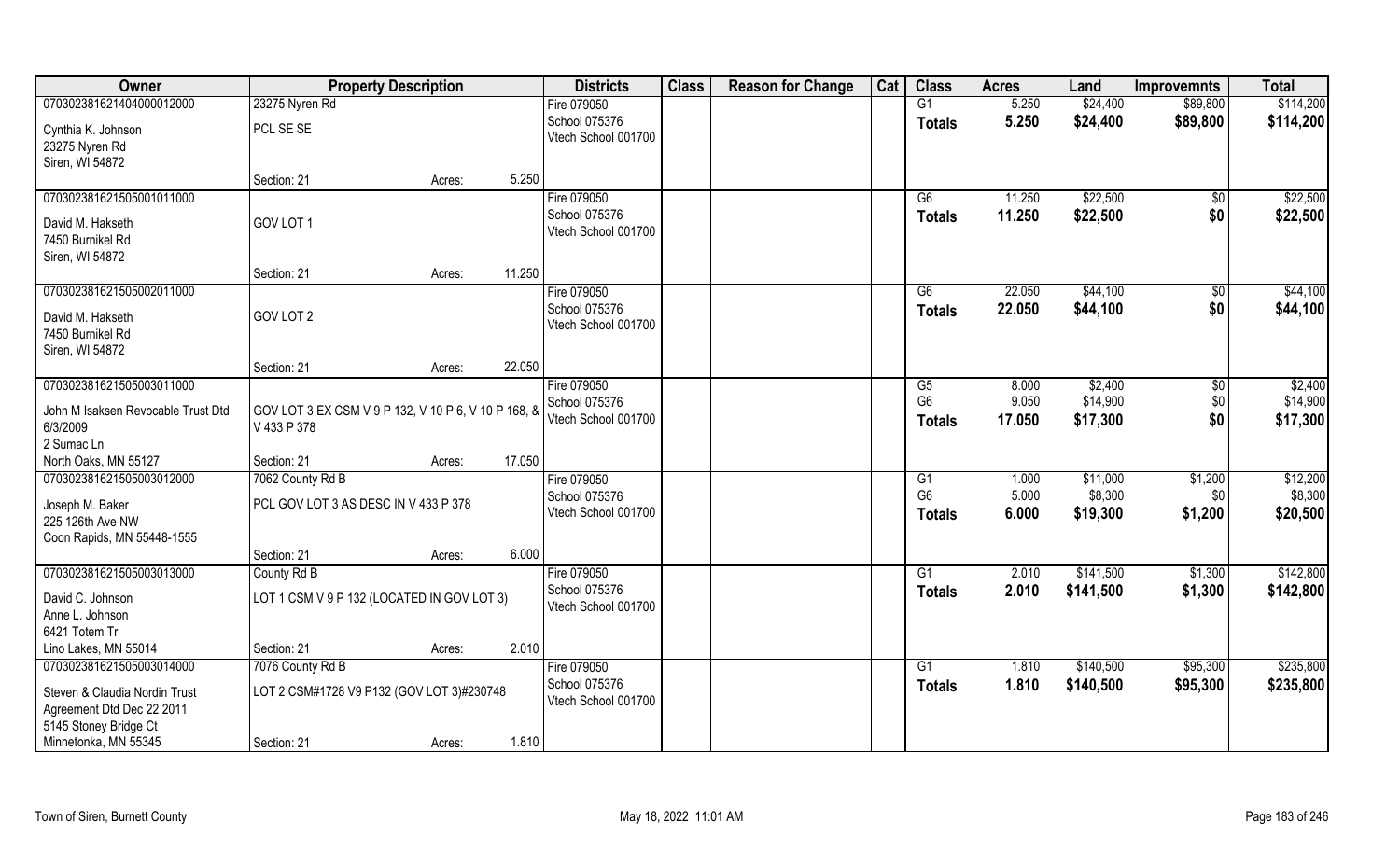| Owner                                          | <b>Property Description</b>                                        |        |        | <b>Districts</b>                     | <b>Class</b> | <b>Reason for Change</b> | Cat | <b>Class</b>    | <b>Acres</b> | Land      | <b>Improvemnts</b> | <b>Total</b> |
|------------------------------------------------|--------------------------------------------------------------------|--------|--------|--------------------------------------|--------------|--------------------------|-----|-----------------|--------------|-----------|--------------------|--------------|
| 070302381621404000012000                       | 23275 Nyren Rd                                                     |        |        | Fire 079050                          |              |                          |     | G1              | 5.250        | \$24,400  | \$89,800           | \$114,200    |
| Cynthia K. Johnson<br>23275 Nyren Rd           | PCL SE SE                                                          |        |        | School 075376<br>Vtech School 001700 |              |                          |     | <b>Totals</b>   | 5.250        | \$24,400  | \$89,800           | \$114,200    |
| Siren, WI 54872                                |                                                                    |        |        |                                      |              |                          |     |                 |              |           |                    |              |
|                                                | Section: 21                                                        | Acres: | 5.250  |                                      |              |                          |     |                 |              |           |                    |              |
| 070302381621505001011000                       |                                                                    |        |        | Fire 079050                          |              |                          |     | G6              | 11.250       | \$22,500  | $\sqrt{6}$         | \$22,500     |
| David M. Hakseth                               | GOV LOT 1                                                          |        |        | School 075376                        |              |                          |     | <b>Totals</b>   | 11.250       | \$22,500  | \$0                | \$22,500     |
| 7450 Burnikel Rd                               |                                                                    |        |        | Vtech School 001700                  |              |                          |     |                 |              |           |                    |              |
| Siren, WI 54872                                |                                                                    |        |        |                                      |              |                          |     |                 |              |           |                    |              |
|                                                | Section: 21                                                        | Acres: | 11.250 |                                      |              |                          |     |                 |              |           |                    |              |
| 070302381621505002011000                       |                                                                    |        |        | Fire 079050                          |              |                          |     | G6              | 22.050       | \$44,100  | \$0                | \$44,100     |
| David M. Hakseth                               | GOV LOT 2                                                          |        |        | School 075376                        |              |                          |     | <b>Totals</b>   | 22.050       | \$44,100  | \$0                | \$44,100     |
| 7450 Burnikel Rd                               |                                                                    |        |        | Vtech School 001700                  |              |                          |     |                 |              |           |                    |              |
| Siren, WI 54872                                |                                                                    |        |        |                                      |              |                          |     |                 |              |           |                    |              |
|                                                | Section: 21                                                        | Acres: | 22.050 |                                      |              |                          |     |                 |              |           |                    |              |
| 070302381621505003011000                       |                                                                    |        |        | Fire 079050                          |              |                          |     | G5              | 8.000        | \$2,400   | $\sqrt[6]{3}$      | \$2,400      |
|                                                |                                                                    |        |        | School 075376                        |              |                          |     | G <sub>6</sub>  | 9.050        | \$14,900  | \$0                | \$14,900     |
| John M Isaksen Revocable Trust Dtd<br>6/3/2009 | GOV LOT 3 EX CSM V 9 P 132, V 10 P 6, V 10 P 168, &<br>V 433 P 378 |        |        | Vtech School 001700                  |              |                          |     | <b>Totals</b>   | 17.050       | \$17,300  | \$0                | \$17,300     |
| 2 Sumac Ln                                     |                                                                    |        |        |                                      |              |                          |     |                 |              |           |                    |              |
| North Oaks, MN 55127                           | Section: 21                                                        | Acres: | 17.050 |                                      |              |                          |     |                 |              |           |                    |              |
| 070302381621505003012000                       | 7062 County Rd B                                                   |        |        | Fire 079050                          |              |                          |     | G1              | 1.000        | \$11,000  | \$1,200            | \$12,200     |
|                                                |                                                                    |        |        | School 075376                        |              |                          |     | G <sub>6</sub>  | 5.000        | \$8,300   | \$0                | \$8,300      |
| Joseph M. Baker                                | PCL GOV LOT 3 AS DESC IN V 433 P 378                               |        |        | Vtech School 001700                  |              |                          |     | <b>Totals</b>   | 6.000        | \$19,300  | \$1,200            | \$20,500     |
| 225 126th Ave NW                               |                                                                    |        |        |                                      |              |                          |     |                 |              |           |                    |              |
| Coon Rapids, MN 55448-1555                     |                                                                    |        |        |                                      |              |                          |     |                 |              |           |                    |              |
|                                                | Section: 21                                                        | Acres: | 6.000  |                                      |              |                          |     |                 |              |           |                    |              |
| 070302381621505003013000                       | County Rd B                                                        |        |        | Fire 079050<br>School 075376         |              |                          |     | G1              | 2.010        | \$141,500 | \$1,300            | \$142,800    |
| David C. Johnson                               | LOT 1 CSM V 9 P 132 (LOCATED IN GOV LOT 3)                         |        |        | Vtech School 001700                  |              |                          |     | <b>Totals</b>   | 2.010        | \$141,500 | \$1,300            | \$142,800    |
| Anne L. Johnson                                |                                                                    |        |        |                                      |              |                          |     |                 |              |           |                    |              |
| 6421 Totem Tr                                  |                                                                    |        |        |                                      |              |                          |     |                 |              |           |                    |              |
| Lino Lakes, MN 55014                           | Section: 21                                                        | Acres: | 2.010  |                                      |              |                          |     |                 |              |           |                    |              |
| 070302381621505003014000                       | 7076 County Rd B                                                   |        |        | Fire 079050                          |              |                          |     | $\overline{G1}$ | 1.810        | \$140,500 | \$95,300           | \$235,800    |
| Steven & Claudia Nordin Trust                  | LOT 2 CSM#1728 V9 P132 (GOV LOT 3)#230748                          |        |        | School 075376                        |              |                          |     | <b>Totals</b>   | 1.810        | \$140,500 | \$95,300           | \$235,800    |
| Agreement Dtd Dec 22 2011                      |                                                                    |        |        | Vtech School 001700                  |              |                          |     |                 |              |           |                    |              |
| 5145 Stoney Bridge Ct                          |                                                                    |        |        |                                      |              |                          |     |                 |              |           |                    |              |
| Minnetonka, MN 55345                           | Section: 21                                                        | Acres: | 1.810  |                                      |              |                          |     |                 |              |           |                    |              |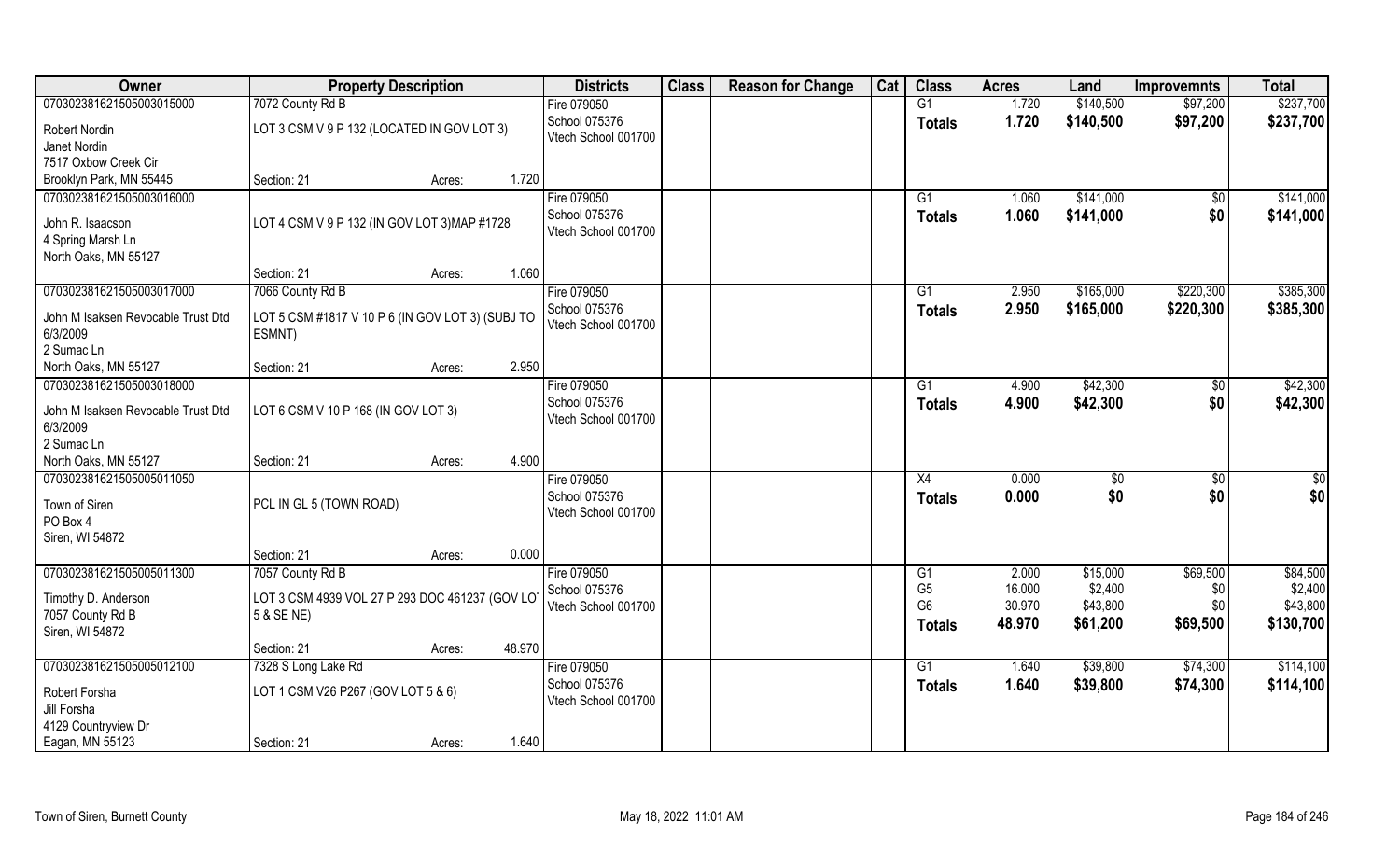| Owner                              | <b>Property Description</b>                      |                  | <b>Districts</b>    | <b>Class</b> | <b>Reason for Change</b> | Cat | <b>Class</b>   | <b>Acres</b> | Land      | <b>Improvemnts</b> | <b>Total</b> |
|------------------------------------|--------------------------------------------------|------------------|---------------------|--------------|--------------------------|-----|----------------|--------------|-----------|--------------------|--------------|
| 070302381621505003015000           | 7072 County Rd B                                 |                  | Fire 079050         |              |                          |     | G1             | 1.720        | \$140,500 | \$97,200           | \$237,700    |
| Robert Nordin                      | LOT 3 CSM V 9 P 132 (LOCATED IN GOV LOT 3)       |                  | School 075376       |              |                          |     | <b>Totals</b>  | 1.720        | \$140,500 | \$97,200           | \$237,700    |
| Janet Nordin                       |                                                  |                  | Vtech School 001700 |              |                          |     |                |              |           |                    |              |
| 7517 Oxbow Creek Cir               |                                                  |                  |                     |              |                          |     |                |              |           |                    |              |
| Brooklyn Park, MN 55445            | Section: 21                                      | 1.720<br>Acres:  |                     |              |                          |     |                |              |           |                    |              |
| 070302381621505003016000           |                                                  |                  | Fire 079050         |              |                          |     | G1             | 1.060        | \$141,000 | $\sqrt{6}$         | \$141,000    |
| John R. Isaacson                   | LOT 4 CSM V 9 P 132 (IN GOV LOT 3) MAP #1728     |                  | School 075376       |              |                          |     | Totals         | 1.060        | \$141,000 | \$0                | \$141,000    |
| 4 Spring Marsh Ln                  |                                                  |                  | Vtech School 001700 |              |                          |     |                |              |           |                    |              |
| North Oaks, MN 55127               |                                                  |                  |                     |              |                          |     |                |              |           |                    |              |
|                                    | Section: 21                                      | 1.060<br>Acres:  |                     |              |                          |     |                |              |           |                    |              |
| 070302381621505003017000           | 7066 County Rd B                                 |                  | Fire 079050         |              |                          |     | G1             | 2.950        | \$165,000 | \$220,300          | \$385,300    |
| John M Isaksen Revocable Trust Dtd | LOT 5 CSM #1817 V 10 P 6 (IN GOV LOT 3) (SUBJ TO |                  | School 075376       |              |                          |     | <b>Totals</b>  | 2.950        | \$165,000 | \$220,300          | \$385,300    |
| 6/3/2009                           | ESMNT)                                           |                  | Vtech School 001700 |              |                          |     |                |              |           |                    |              |
| 2 Sumac Ln                         |                                                  |                  |                     |              |                          |     |                |              |           |                    |              |
| North Oaks, MN 55127               | Section: 21                                      | 2.950<br>Acres:  |                     |              |                          |     |                |              |           |                    |              |
| 070302381621505003018000           |                                                  |                  | Fire 079050         |              |                          |     | G1             | 4.900        | \$42,300  | $\sqrt{50}$        | \$42,300     |
| John M Isaksen Revocable Trust Dtd | LOT 6 CSM V 10 P 168 (IN GOV LOT 3)              |                  | School 075376       |              |                          |     | <b>Totals</b>  | 4.900        | \$42,300  | \$0                | \$42,300     |
| 6/3/2009                           |                                                  |                  | Vtech School 001700 |              |                          |     |                |              |           |                    |              |
| 2 Sumac Ln                         |                                                  |                  |                     |              |                          |     |                |              |           |                    |              |
| North Oaks, MN 55127               | Section: 21                                      | 4.900<br>Acres:  |                     |              |                          |     |                |              |           |                    |              |
| 070302381621505005011050           |                                                  |                  | Fire 079050         |              |                          |     | X4             | 0.000        | \$0       | \$0                | \$0          |
| Town of Siren                      | PCL IN GL 5 (TOWN ROAD)                          |                  | School 075376       |              |                          |     | <b>Totals</b>  | 0.000        | \$0       | \$0                | \$0          |
| PO Box 4                           |                                                  |                  | Vtech School 001700 |              |                          |     |                |              |           |                    |              |
| Siren, WI 54872                    |                                                  |                  |                     |              |                          |     |                |              |           |                    |              |
|                                    | Section: 21                                      | 0.000<br>Acres:  |                     |              |                          |     |                |              |           |                    |              |
| 070302381621505005011300           | 7057 County Rd B                                 |                  | Fire 079050         |              |                          |     | G1             | 2.000        | \$15,000  | \$69,500           | \$84,500     |
| Timothy D. Anderson                | LOT 3 CSM 4939 VOL 27 P 293 DOC 461237 (GOV LO'  |                  | School 075376       |              |                          |     | G <sub>5</sub> | 16.000       | \$2,400   | \$0                | \$2,400      |
| 7057 County Rd B                   | 5 & SE NE)                                       |                  | Vtech School 001700 |              |                          |     | G <sub>6</sub> | 30.970       | \$43,800  | \$0\$              | \$43,800     |
| Siren, WI 54872                    |                                                  |                  |                     |              |                          |     | <b>Totals</b>  | 48.970       | \$61,200  | \$69,500           | \$130,700    |
|                                    | Section: 21                                      | 48.970<br>Acres: |                     |              |                          |     |                |              |           |                    |              |
| 070302381621505005012100           | 7328 S Long Lake Rd                              |                  | Fire 079050         |              |                          |     | G1             | 1.640        | \$39,800  | \$74,300           | \$114,100    |
| Robert Forsha                      | LOT 1 CSM V26 P267 (GOV LOT 5 & 6)               |                  | School 075376       |              |                          |     | <b>Totals</b>  | 1.640        | \$39,800  | \$74,300           | \$114,100    |
| Jill Forsha                        |                                                  |                  | Vtech School 001700 |              |                          |     |                |              |           |                    |              |
| 4129 Countryview Dr                |                                                  |                  |                     |              |                          |     |                |              |           |                    |              |
| Eagan, MN 55123                    | Section: 21                                      | 1.640<br>Acres:  |                     |              |                          |     |                |              |           |                    |              |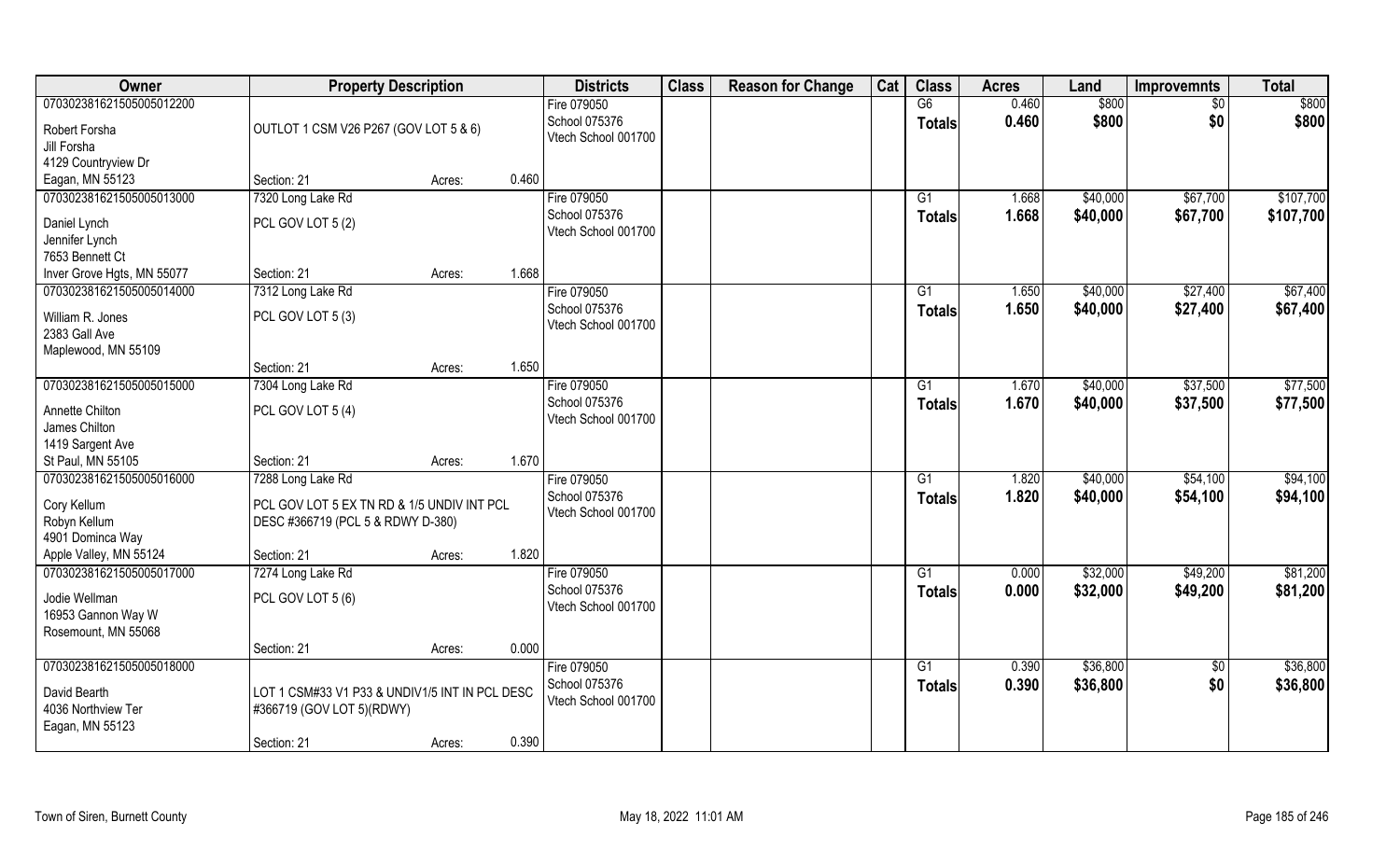| Owner                             | <b>Property Description</b>                    |        |       | <b>Districts</b>    | <b>Class</b> | <b>Reason for Change</b> | Cat | <b>Class</b>    | <b>Acres</b> | Land     | <b>Improvemnts</b> | <b>Total</b> |
|-----------------------------------|------------------------------------------------|--------|-------|---------------------|--------------|--------------------------|-----|-----------------|--------------|----------|--------------------|--------------|
| 070302381621505005012200          |                                                |        |       | Fire 079050         |              |                          |     | G6              | 0.460        | \$800    | $\sqrt{6}$         | \$800        |
| Robert Forsha                     | OUTLOT 1 CSM V26 P267 (GOV LOT 5 & 6)          |        |       | School 075376       |              |                          |     | <b>Totals</b>   | 0.460        | \$800    | \$0                | \$800        |
| Jill Forsha                       |                                                |        |       | Vtech School 001700 |              |                          |     |                 |              |          |                    |              |
| 4129 Countryview Dr               |                                                |        |       |                     |              |                          |     |                 |              |          |                    |              |
| Eagan, MN 55123                   | Section: 21                                    | Acres: | 0.460 |                     |              |                          |     |                 |              |          |                    |              |
| 070302381621505005013000          | 7320 Long Lake Rd                              |        |       | Fire 079050         |              |                          |     | G1              | 1.668        | \$40,000 | \$67,700           | \$107,700    |
| Daniel Lynch                      | PCL GOV LOT 5 (2)                              |        |       | School 075376       |              |                          |     | Totals          | 1.668        | \$40,000 | \$67,700           | \$107,700    |
| Jennifer Lynch                    |                                                |        |       | Vtech School 001700 |              |                          |     |                 |              |          |                    |              |
| 7653 Bennett Ct                   |                                                |        |       |                     |              |                          |     |                 |              |          |                    |              |
| Inver Grove Hgts, MN 55077        | Section: 21                                    | Acres: | 1.668 |                     |              |                          |     |                 |              |          |                    |              |
| 070302381621505005014000          | 7312 Long Lake Rd                              |        |       | Fire 079050         |              |                          |     | G1              | 1.650        | \$40,000 | \$27,400           | \$67,400     |
| William R. Jones                  | PCL GOV LOT 5 (3)                              |        |       | School 075376       |              |                          |     | <b>Totals</b>   | 1.650        | \$40,000 | \$27,400           | \$67,400     |
| 2383 Gall Ave                     |                                                |        |       | Vtech School 001700 |              |                          |     |                 |              |          |                    |              |
| Maplewood, MN 55109               |                                                |        |       |                     |              |                          |     |                 |              |          |                    |              |
|                                   | Section: 21                                    | Acres: | 1.650 |                     |              |                          |     |                 |              |          |                    |              |
| 070302381621505005015000          | 7304 Long Lake Rd                              |        |       | Fire 079050         |              |                          |     | G1              | 1.670        | \$40,000 | \$37,500           | \$77,500     |
|                                   |                                                |        |       | School 075376       |              |                          |     | <b>Totals</b>   | 1.670        | \$40,000 | \$37,500           | \$77,500     |
| Annette Chilton                   | PCL GOV LOT 5 (4)                              |        |       | Vtech School 001700 |              |                          |     |                 |              |          |                    |              |
| James Chilton<br>1419 Sargent Ave |                                                |        |       |                     |              |                          |     |                 |              |          |                    |              |
| St Paul, MN 55105                 | Section: 21                                    | Acres: | 1.670 |                     |              |                          |     |                 |              |          |                    |              |
| 070302381621505005016000          | 7288 Long Lake Rd                              |        |       | Fire 079050         |              |                          |     | $\overline{G1}$ | 1.820        | \$40,000 | \$54,100           | \$94,100     |
|                                   |                                                |        |       | School 075376       |              |                          |     | <b>Totals</b>   | 1.820        | \$40,000 | \$54,100           | \$94,100     |
| Cory Kellum                       | PCL GOV LOT 5 EX TN RD & 1/5 UNDIV INT PCL     |        |       | Vtech School 001700 |              |                          |     |                 |              |          |                    |              |
| Robyn Kellum                      | DESC #366719 (PCL 5 & RDWY D-380)              |        |       |                     |              |                          |     |                 |              |          |                    |              |
| 4901 Dominca Way                  |                                                |        |       |                     |              |                          |     |                 |              |          |                    |              |
| Apple Valley, MN 55124            | Section: 21                                    | Acres: | 1.820 |                     |              |                          |     |                 |              |          |                    |              |
| 070302381621505005017000          | 7274 Long Lake Rd                              |        |       | Fire 079050         |              |                          |     | G1              | 0.000        | \$32,000 | \$49,200           | \$81,200     |
| Jodie Wellman                     | PCL GOV LOT 5 (6)                              |        |       | School 075376       |              |                          |     | <b>Totals</b>   | 0.000        | \$32,000 | \$49,200           | \$81,200     |
| 16953 Gannon Way W                |                                                |        |       | Vtech School 001700 |              |                          |     |                 |              |          |                    |              |
| Rosemount, MN 55068               |                                                |        |       |                     |              |                          |     |                 |              |          |                    |              |
|                                   | Section: 21                                    | Acres: | 0.000 |                     |              |                          |     |                 |              |          |                    |              |
| 070302381621505005018000          |                                                |        |       | Fire 079050         |              |                          |     | $\overline{G1}$ | 0.390        | \$36,800 | $\overline{50}$    | \$36,800     |
| David Bearth                      | LOT 1 CSM#33 V1 P33 & UNDIV1/5 INT IN PCL DESC |        |       | School 075376       |              |                          |     | <b>Totals</b>   | 0.390        | \$36,800 | \$0                | \$36,800     |
| 4036 Northview Ter                | #366719 (GOV LOT 5)(RDWY)                      |        |       | Vtech School 001700 |              |                          |     |                 |              |          |                    |              |
| Eagan, MN 55123                   |                                                |        |       |                     |              |                          |     |                 |              |          |                    |              |
|                                   | Section: 21                                    | Acres: | 0.390 |                     |              |                          |     |                 |              |          |                    |              |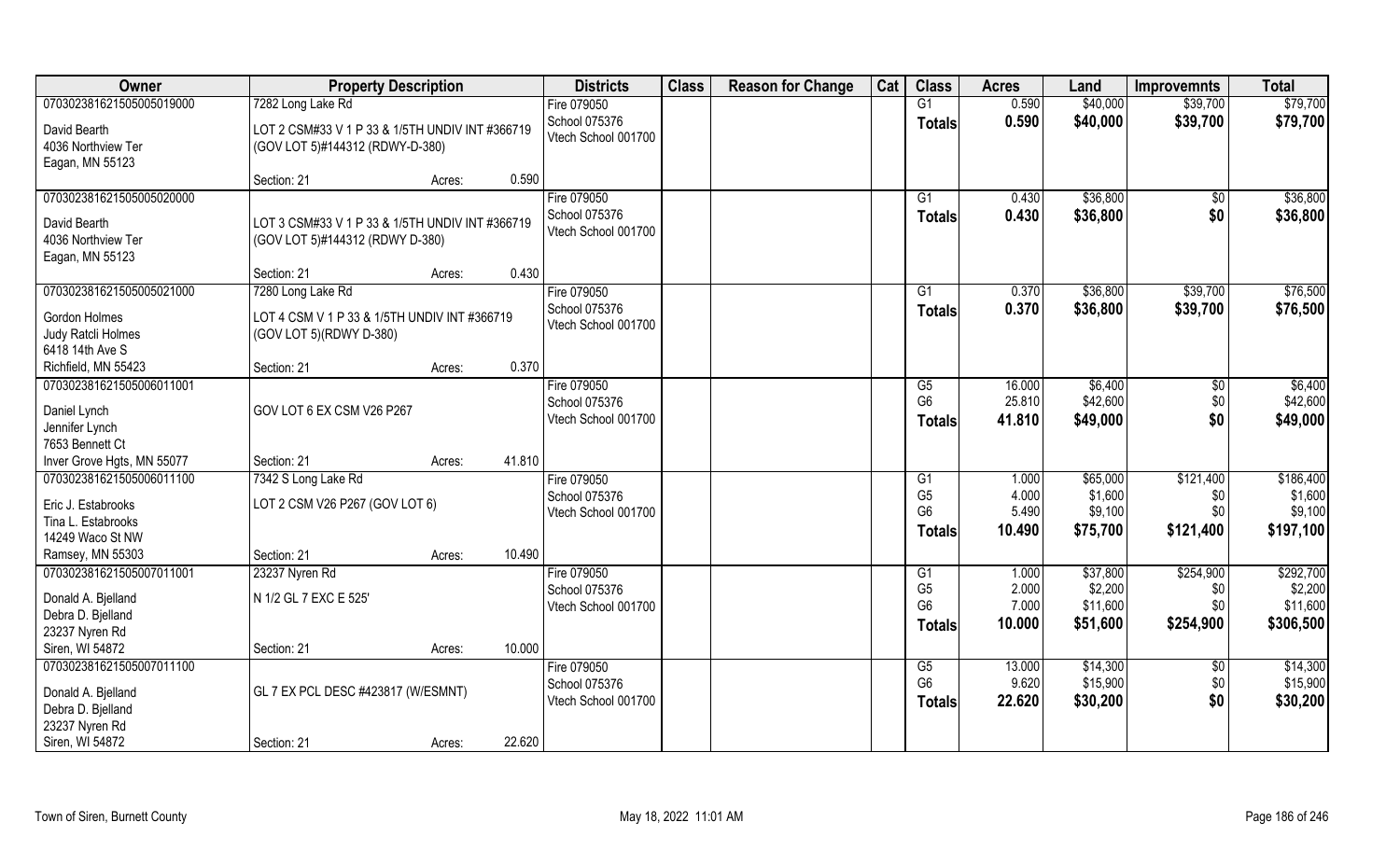| Owner                                | <b>Property Description</b>                     |        |        | <b>Districts</b>                     | <b>Class</b> | <b>Reason for Change</b> | Cat | <b>Class</b>   | <b>Acres</b> | Land     | <b>Improvemnts</b> | <b>Total</b> |
|--------------------------------------|-------------------------------------------------|--------|--------|--------------------------------------|--------------|--------------------------|-----|----------------|--------------|----------|--------------------|--------------|
| 070302381621505005019000             | 7282 Long Lake Rd                               |        |        | Fire 079050                          |              |                          |     | G1             | 0.590        | \$40,000 | \$39,700           | \$79,700     |
| David Bearth                         | LOT 2 CSM#33 V 1 P 33 & 1/5TH UNDIV INT #366719 |        |        | School 075376<br>Vtech School 001700 |              |                          |     | <b>Totals</b>  | 0.590        | \$40,000 | \$39,700           | \$79,700     |
| 4036 Northview Ter                   | (GOV LOT 5)#144312 (RDWY-D-380)                 |        |        |                                      |              |                          |     |                |              |          |                    |              |
| Eagan, MN 55123                      | Section: 21                                     | Acres: | 0.590  |                                      |              |                          |     |                |              |          |                    |              |
| 070302381621505005020000             |                                                 |        |        | Fire 079050                          |              |                          |     | G1             | 0.430        | \$36,800 | $\sqrt{6}$         | \$36,800     |
|                                      |                                                 |        |        | School 075376                        |              |                          |     | <b>Totals</b>  | 0.430        | \$36,800 | \$0                | \$36,800     |
| David Bearth                         | LOT 3 CSM#33 V 1 P 33 & 1/5TH UNDIV INT #366719 |        |        | Vtech School 001700                  |              |                          |     |                |              |          |                    |              |
| 4036 Northview Ter                   | (GOV LOT 5)#144312 (RDWY D-380)                 |        |        |                                      |              |                          |     |                |              |          |                    |              |
| Eagan, MN 55123                      |                                                 |        |        |                                      |              |                          |     |                |              |          |                    |              |
|                                      | Section: 21                                     | Acres: | 0.430  |                                      |              |                          |     |                |              |          |                    |              |
| 070302381621505005021000             | 7280 Long Lake Rd                               |        |        | Fire 079050                          |              |                          |     | G1             | 0.370        | \$36,800 | \$39,700           | \$76,500     |
| Gordon Holmes                        | LOT 4 CSM V 1 P 33 & 1/5TH UNDIV INT #366719    |        |        | School 075376                        |              |                          |     | <b>Totals</b>  | 0.370        | \$36,800 | \$39,700           | \$76,500     |
| Judy Ratcli Holmes                   | (GOV LOT 5)(RDWY D-380)                         |        |        | Vtech School 001700                  |              |                          |     |                |              |          |                    |              |
| 6418 14th Ave S                      |                                                 |        |        |                                      |              |                          |     |                |              |          |                    |              |
| Richfield, MN 55423                  | Section: 21                                     | Acres: | 0.370  |                                      |              |                          |     |                |              |          |                    |              |
| 070302381621505006011001             |                                                 |        |        | Fire 079050                          |              |                          |     | G5             | 16.000       | \$6,400  | $\sqrt[6]{3}$      | \$6,400      |
| Daniel Lynch                         | GOV LOT 6 EX CSM V26 P267                       |        |        | School 075376                        |              |                          |     | G <sub>6</sub> | 25.810       | \$42,600 | \$0                | \$42,600     |
| Jennifer Lynch                       |                                                 |        |        | Vtech School 001700                  |              |                          |     | <b>Totals</b>  | 41.810       | \$49,000 | \$0                | \$49,000     |
| 7653 Bennett Ct                      |                                                 |        |        |                                      |              |                          |     |                |              |          |                    |              |
| Inver Grove Hgts, MN 55077           | Section: 21                                     | Acres: | 41.810 |                                      |              |                          |     |                |              |          |                    |              |
| 070302381621505006011100             | 7342 S Long Lake Rd                             |        |        | Fire 079050                          |              |                          |     | G1             | 1.000        | \$65,000 | \$121,400          | \$186,400    |
|                                      |                                                 |        |        | School 075376                        |              |                          |     | G <sub>5</sub> | 4.000        | \$1,600  | \$0                | \$1,600      |
| Eric J. Estabrooks                   | LOT 2 CSM V26 P267 (GOV LOT 6)                  |        |        | Vtech School 001700                  |              |                          |     | G <sub>6</sub> | 5.490        | \$9,100  | \$0                | \$9,100      |
| Tina L. Estabrooks                   |                                                 |        |        |                                      |              |                          |     | <b>Totals</b>  | 10.490       | \$75,700 | \$121,400          | \$197,100    |
| 14249 Waco St NW<br>Ramsey, MN 55303 | Section: 21                                     |        | 10.490 |                                      |              |                          |     |                |              |          |                    |              |
| 070302381621505007011001             | 23237 Nyren Rd                                  | Acres: |        | Fire 079050                          |              |                          |     | G1             | 1.000        | \$37,800 | \$254,900          | \$292,700    |
|                                      |                                                 |        |        | School 075376                        |              |                          |     | G <sub>5</sub> | 2.000        | \$2,200  | \$0                | \$2,200      |
| Donald A. Bjelland                   | N 1/2 GL 7 EXC E 525'                           |        |        | Vtech School 001700                  |              |                          |     | G <sub>6</sub> | 7.000        | \$11,600 | \$0\$              | \$11,600     |
| Debra D. Bjelland                    |                                                 |        |        |                                      |              |                          |     | <b>Totals</b>  | 10.000       | \$51,600 | \$254,900          | \$306,500    |
| 23237 Nyren Rd                       |                                                 |        |        |                                      |              |                          |     |                |              |          |                    |              |
| Siren, WI 54872                      | Section: 21                                     | Acres: | 10.000 |                                      |              |                          |     |                |              |          |                    |              |
| 070302381621505007011100             |                                                 |        |        | Fire 079050                          |              |                          |     | G5             | 13.000       | \$14,300 | $\sqrt[6]{30}$     | \$14,300     |
| Donald A. Bjelland                   | GL 7 EX PCL DESC #423817 (W/ESMNT)              |        |        | School 075376                        |              |                          |     | G <sub>6</sub> | 9.620        | \$15,900 | \$0                | \$15,900     |
| Debra D. Bjelland                    |                                                 |        |        | Vtech School 001700                  |              |                          |     | <b>Totals</b>  | 22.620       | \$30,200 | \$0                | \$30,200     |
| 23237 Nyren Rd                       |                                                 |        |        |                                      |              |                          |     |                |              |          |                    |              |
| Siren, WI 54872                      | Section: 21                                     | Acres: | 22.620 |                                      |              |                          |     |                |              |          |                    |              |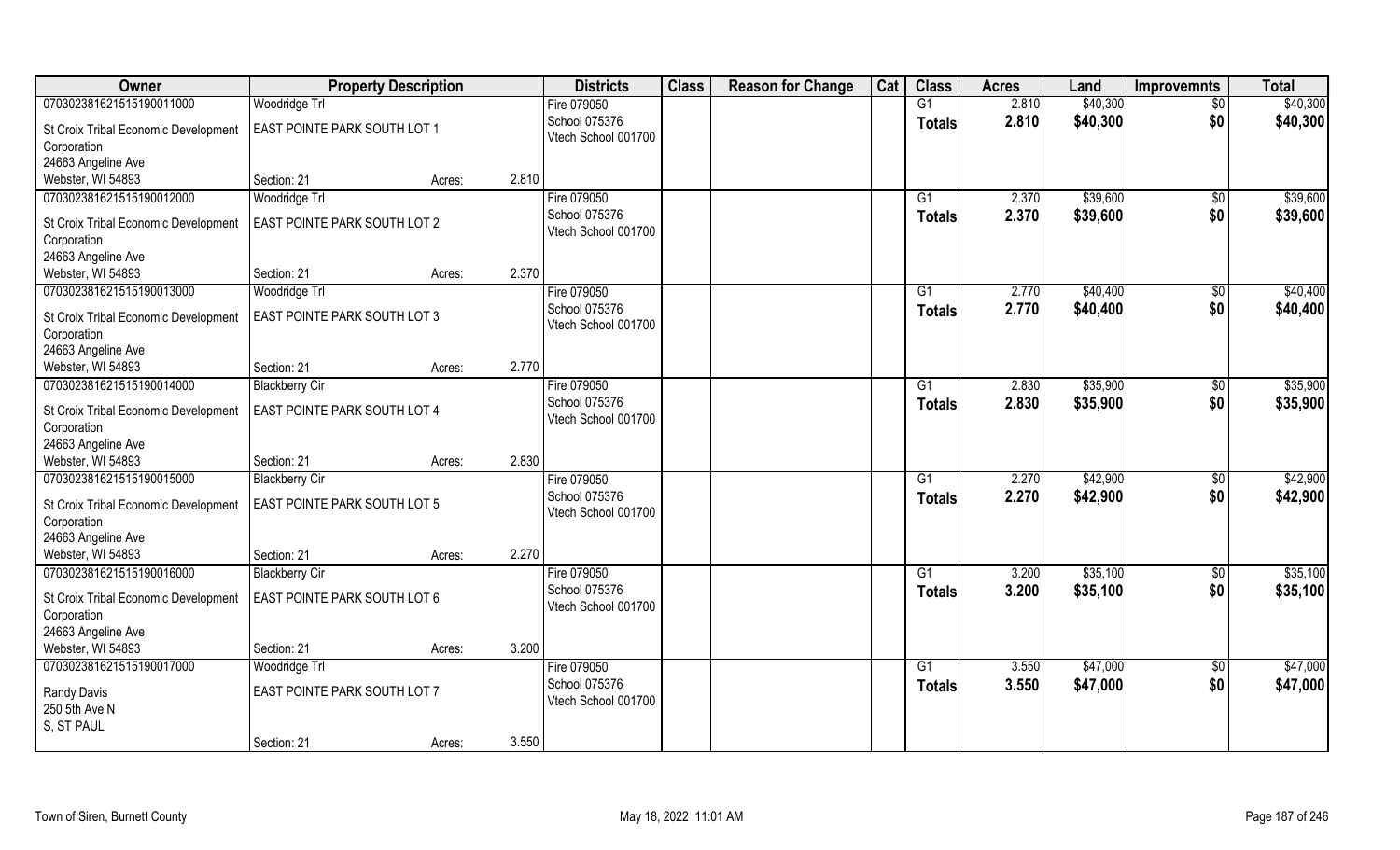| Owner                                               | <b>Property Description</b>         |        |       | <b>Districts</b>                     | <b>Class</b> | <b>Reason for Change</b> | Cat | <b>Class</b>    | <b>Acres</b> | Land     | <b>Improvemnts</b> | <b>Total</b> |
|-----------------------------------------------------|-------------------------------------|--------|-------|--------------------------------------|--------------|--------------------------|-----|-----------------|--------------|----------|--------------------|--------------|
| 070302381621515190011000                            | Woodridge Trl                       |        |       | Fire 079050                          |              |                          |     | G1              | 2.810        | \$40,300 | $\sqrt{6}$         | \$40,300     |
| St Croix Tribal Economic Development<br>Corporation | EAST POINTE PARK SOUTH LOT 1        |        |       | School 075376<br>Vtech School 001700 |              |                          |     | <b>Totals</b>   | 2.810        | \$40,300 | \$0                | \$40,300     |
| 24663 Angeline Ave                                  |                                     |        |       |                                      |              |                          |     |                 |              |          |                    |              |
| Webster, WI 54893                                   | Section: 21                         | Acres: | 2.810 |                                      |              |                          |     |                 |              |          |                    |              |
| 070302381621515190012000                            | Woodridge Trl                       |        |       | Fire 079050                          |              |                          |     | G1              | 2.370        | \$39,600 | $\sqrt[6]{}$       | \$39,600     |
| St Croix Tribal Economic Development                | EAST POINTE PARK SOUTH LOT 2        |        |       | School 075376<br>Vtech School 001700 |              |                          |     | <b>Totals</b>   | 2.370        | \$39,600 | \$0                | \$39,600     |
| Corporation                                         |                                     |        |       |                                      |              |                          |     |                 |              |          |                    |              |
| 24663 Angeline Ave                                  |                                     |        |       |                                      |              |                          |     |                 |              |          |                    |              |
| Webster, WI 54893                                   | Section: 21                         | Acres: | 2.370 |                                      |              |                          |     |                 |              |          |                    |              |
| 070302381621515190013000                            | Woodridge Trl                       |        |       | Fire 079050                          |              |                          |     | G1              | 2.770        | \$40,400 | \$0                | \$40,400     |
| St Croix Tribal Economic Development                | EAST POINTE PARK SOUTH LOT 3        |        |       | School 075376<br>Vtech School 001700 |              |                          |     | <b>Totals</b>   | 2.770        | \$40,400 | \$0                | \$40,400     |
| Corporation                                         |                                     |        |       |                                      |              |                          |     |                 |              |          |                    |              |
| 24663 Angeline Ave                                  |                                     |        |       |                                      |              |                          |     |                 |              |          |                    |              |
| Webster, WI 54893                                   | Section: 21                         | Acres: | 2.770 |                                      |              |                          |     |                 |              |          |                    |              |
| 070302381621515190014000                            | <b>Blackberry Cir</b>               |        |       | Fire 079050                          |              |                          |     | G <sub>1</sub>  | 2.830        | \$35,900 | $\sqrt[6]{3}$      | \$35,900     |
| St Croix Tribal Economic Development                | EAST POINTE PARK SOUTH LOT 4        |        |       | School 075376<br>Vtech School 001700 |              |                          |     | <b>Totals</b>   | 2.830        | \$35,900 | \$0                | \$35,900     |
| Corporation                                         |                                     |        |       |                                      |              |                          |     |                 |              |          |                    |              |
| 24663 Angeline Ave                                  |                                     |        |       |                                      |              |                          |     |                 |              |          |                    |              |
| Webster, WI 54893                                   | Section: 21                         | Acres: | 2.830 |                                      |              |                          |     |                 |              |          |                    |              |
| 070302381621515190015000                            | <b>Blackberry Cir</b>               |        |       | Fire 079050                          |              |                          |     | G1              | 2.270        | \$42,900 | $\overline{50}$    | \$42,900     |
| St Croix Tribal Economic Development                | <b>EAST POINTE PARK SOUTH LOT 5</b> |        |       | School 075376                        |              |                          |     | <b>Totals</b>   | 2.270        | \$42,900 | \$0                | \$42,900     |
| Corporation                                         |                                     |        |       | Vtech School 001700                  |              |                          |     |                 |              |          |                    |              |
| 24663 Angeline Ave                                  |                                     |        |       |                                      |              |                          |     |                 |              |          |                    |              |
| Webster, WI 54893                                   | Section: 21                         | Acres: | 2.270 |                                      |              |                          |     |                 |              |          |                    |              |
| 070302381621515190016000                            | <b>Blackberry Cir</b>               |        |       | Fire 079050                          |              |                          |     | G1              | 3.200        | \$35,100 | $\sqrt{6}$         | \$35,100     |
| St Croix Tribal Economic Development                | EAST POINTE PARK SOUTH LOT 6        |        |       | School 075376<br>Vtech School 001700 |              |                          |     | <b>Totals</b>   | 3.200        | \$35,100 | \$0                | \$35,100     |
| Corporation                                         |                                     |        |       |                                      |              |                          |     |                 |              |          |                    |              |
| 24663 Angeline Ave                                  |                                     |        |       |                                      |              |                          |     |                 |              |          |                    |              |
| Webster, WI 54893                                   | Section: 21                         | Acres: | 3.200 |                                      |              |                          |     |                 |              |          |                    |              |
| 070302381621515190017000                            | Woodridge Trl                       |        |       | Fire 079050<br>School 075376         |              |                          |     | $\overline{G1}$ | 3.550        | \$47,000 | $\overline{50}$    | \$47,000     |
| Randy Davis                                         | EAST POINTE PARK SOUTH LOT 7        |        |       | Vtech School 001700                  |              |                          |     | <b>Totals</b>   | 3.550        | \$47,000 | \$0                | \$47,000     |
| 250 5th Ave N                                       |                                     |        |       |                                      |              |                          |     |                 |              |          |                    |              |
| S, ST PAUL                                          |                                     |        |       |                                      |              |                          |     |                 |              |          |                    |              |
|                                                     | Section: 21                         | Acres: | 3.550 |                                      |              |                          |     |                 |              |          |                    |              |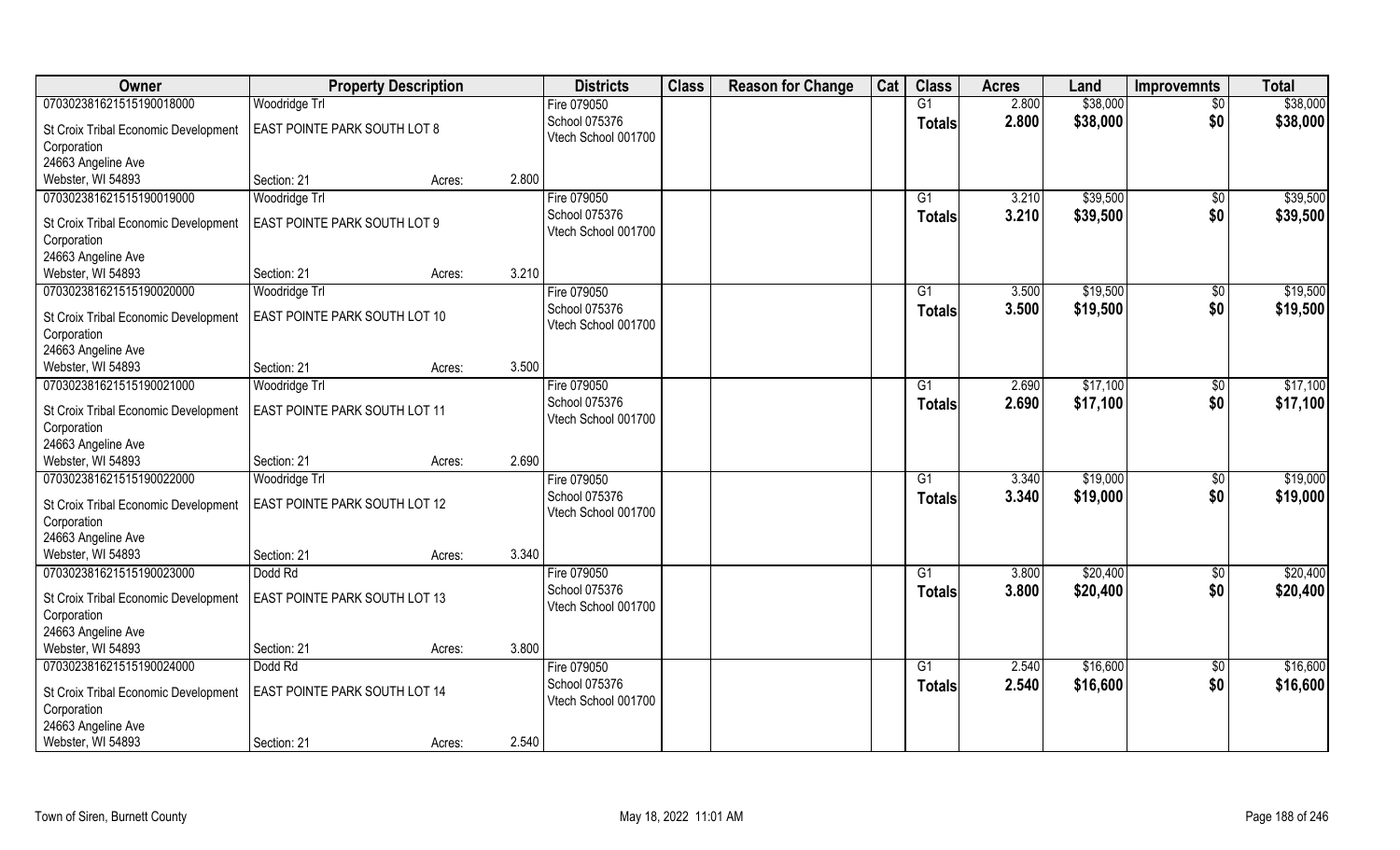| Owner                                               | <b>Property Description</b>          |                 | <b>Districts</b>                     | <b>Class</b> | <b>Reason for Change</b> | Cat | <b>Class</b>    | <b>Acres</b> | Land     | <b>Improvemnts</b> | <b>Total</b> |
|-----------------------------------------------------|--------------------------------------|-----------------|--------------------------------------|--------------|--------------------------|-----|-----------------|--------------|----------|--------------------|--------------|
| 070302381621515190018000                            | Woodridge Trl                        |                 | Fire 079050                          |              |                          |     | G1              | 2.800        | \$38,000 | $\sqrt{6}$         | \$38,000     |
| St Croix Tribal Economic Development<br>Corporation | EAST POINTE PARK SOUTH LOT 8         |                 | School 075376<br>Vtech School 001700 |              |                          |     | <b>Totals</b>   | 2.800        | \$38,000 | \$0                | \$38,000     |
| 24663 Angeline Ave                                  |                                      |                 |                                      |              |                          |     |                 |              |          |                    |              |
| Webster, WI 54893                                   | Section: 21                          | 2.800<br>Acres: |                                      |              |                          |     |                 |              |          |                    |              |
| 070302381621515190019000                            | Woodridge Trl                        |                 | Fire 079050                          |              |                          |     | G1              | 3.210        | \$39,500 | $\sqrt[6]{}$       | \$39,500     |
| St Croix Tribal Economic Development                | EAST POINTE PARK SOUTH LOT 9         |                 | School 075376                        |              |                          |     | <b>Totals</b>   | 3.210        | \$39,500 | \$0                | \$39,500     |
| Corporation                                         |                                      |                 | Vtech School 001700                  |              |                          |     |                 |              |          |                    |              |
| 24663 Angeline Ave                                  |                                      |                 |                                      |              |                          |     |                 |              |          |                    |              |
| Webster, WI 54893                                   | Section: 21                          | 3.210<br>Acres: |                                      |              |                          |     |                 |              |          |                    |              |
| 070302381621515190020000                            | Woodridge Trl                        |                 | Fire 079050                          |              |                          |     | G1              | 3.500        | \$19,500 | $\sqrt[6]{}$       | \$19,500     |
|                                                     |                                      |                 | School 075376                        |              |                          |     | <b>Totals</b>   | 3.500        | \$19,500 | \$0                | \$19,500     |
| St Croix Tribal Economic Development                | EAST POINTE PARK SOUTH LOT 10        |                 | Vtech School 001700                  |              |                          |     |                 |              |          |                    |              |
| Corporation<br>24663 Angeline Ave                   |                                      |                 |                                      |              |                          |     |                 |              |          |                    |              |
| Webster, WI 54893                                   | Section: 21                          | 3.500<br>Acres: |                                      |              |                          |     |                 |              |          |                    |              |
| 070302381621515190021000                            | Woodridge Trl                        |                 | Fire 079050                          |              |                          |     | G <sub>1</sub>  | 2.690        | \$17,100 | $\sqrt[6]{3}$      | \$17,100     |
|                                                     |                                      |                 | School 075376                        |              |                          |     | <b>Totals</b>   | 2.690        | \$17,100 | \$0                | \$17,100     |
| St Croix Tribal Economic Development                | EAST POINTE PARK SOUTH LOT 11        |                 | Vtech School 001700                  |              |                          |     |                 |              |          |                    |              |
| Corporation                                         |                                      |                 |                                      |              |                          |     |                 |              |          |                    |              |
| 24663 Angeline Ave                                  |                                      |                 |                                      |              |                          |     |                 |              |          |                    |              |
| Webster, WI 54893                                   | Section: 21                          | 2.690<br>Acres: |                                      |              |                          |     |                 |              |          |                    |              |
| 070302381621515190022000                            | Woodridge Trl                        |                 | Fire 079050                          |              |                          |     | G1              | 3.340        | \$19,000 | $\overline{50}$    | \$19,000     |
| St Croix Tribal Economic Development                | EAST POINTE PARK SOUTH LOT 12        |                 | School 075376<br>Vtech School 001700 |              |                          |     | <b>Totals</b>   | 3.340        | \$19,000 | \$0                | \$19,000     |
| Corporation                                         |                                      |                 |                                      |              |                          |     |                 |              |          |                    |              |
| 24663 Angeline Ave                                  |                                      |                 |                                      |              |                          |     |                 |              |          |                    |              |
| Webster, WI 54893                                   | Section: 21                          | 3.340<br>Acres: |                                      |              |                          |     |                 |              |          |                    |              |
| 070302381621515190023000                            | Dodd Rd                              |                 | Fire 079050                          |              |                          |     | G1              | 3.800        | \$20,400 | $\sqrt{6}$         | \$20,400     |
| St Croix Tribal Economic Development                | EAST POINTE PARK SOUTH LOT 13        |                 | School 075376                        |              |                          |     | <b>Totals</b>   | 3.800        | \$20,400 | \$0                | \$20,400     |
| Corporation                                         |                                      |                 | Vtech School 001700                  |              |                          |     |                 |              |          |                    |              |
| 24663 Angeline Ave                                  |                                      |                 |                                      |              |                          |     |                 |              |          |                    |              |
| Webster, WI 54893                                   | Section: 21                          | 3.800<br>Acres: |                                      |              |                          |     |                 |              |          |                    |              |
| 070302381621515190024000                            | Dodd Rd                              |                 | Fire 079050                          |              |                          |     | $\overline{G1}$ | 2.540        | \$16,600 | $\overline{60}$    | \$16,600     |
| St Croix Tribal Economic Development                | <b>EAST POINTE PARK SOUTH LOT 14</b> |                 | School 075376                        |              |                          |     | <b>Totals</b>   | 2.540        | \$16,600 | \$0                | \$16,600     |
| Corporation                                         |                                      |                 | Vtech School 001700                  |              |                          |     |                 |              |          |                    |              |
| 24663 Angeline Ave                                  |                                      |                 |                                      |              |                          |     |                 |              |          |                    |              |
| Webster, WI 54893                                   | Section: 21                          | 2.540<br>Acres: |                                      |              |                          |     |                 |              |          |                    |              |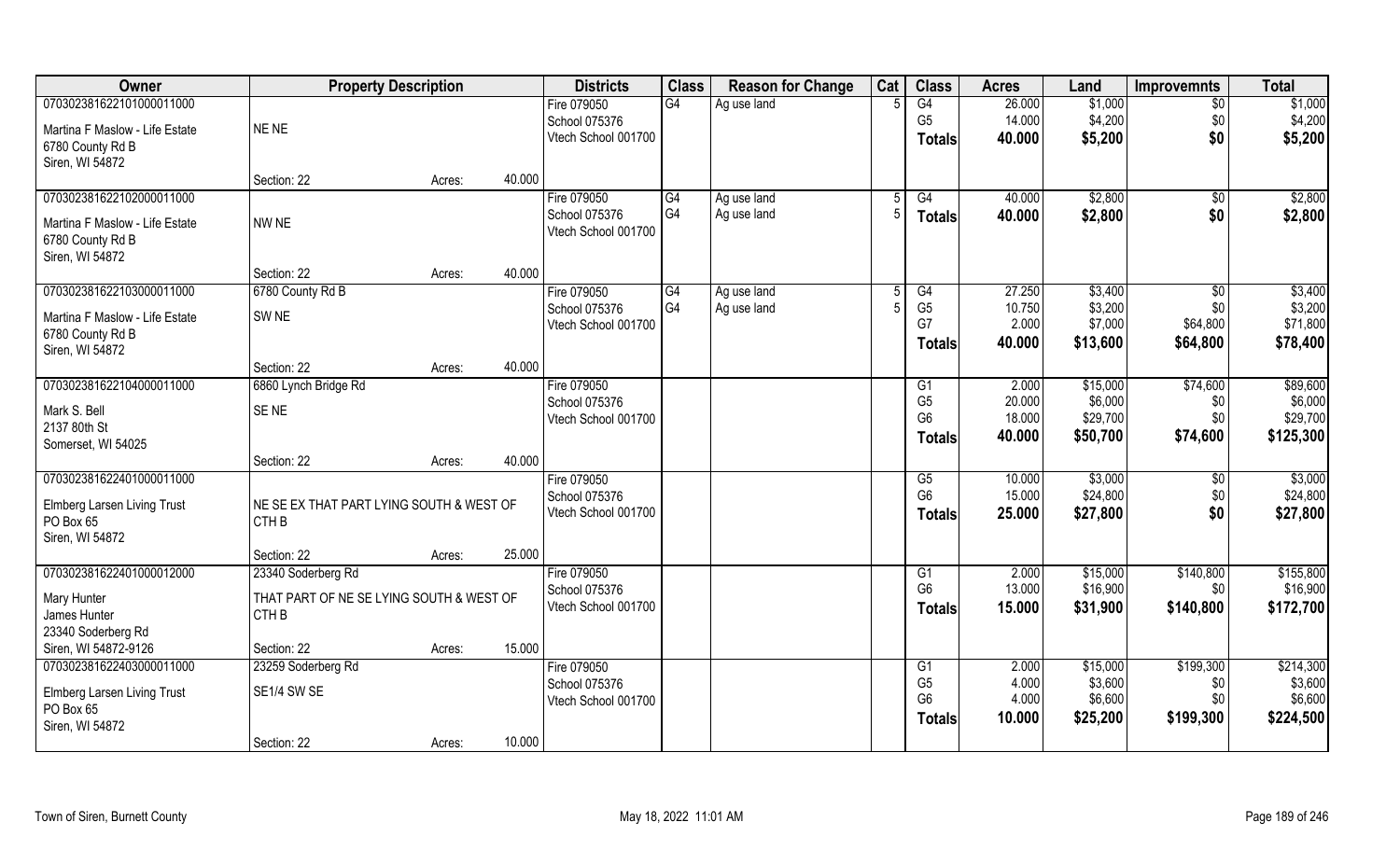| Owner                          | <b>Property Description</b>              |        |        | <b>Districts</b>    | <b>Class</b>   | <b>Reason for Change</b> | Cat | <b>Class</b>   | <b>Acres</b> | Land     | <b>Improvemnts</b> | <b>Total</b> |
|--------------------------------|------------------------------------------|--------|--------|---------------------|----------------|--------------------------|-----|----------------|--------------|----------|--------------------|--------------|
| 070302381622101000011000       |                                          |        |        | Fire 079050         | G4             | Ag use land              |     | G4             | 26.000       | \$1,000  | $\sqrt{6}$         | \$1,000      |
| Martina F Maslow - Life Estate | NE NE                                    |        |        | School 075376       |                |                          |     | G <sub>5</sub> | 14.000       | \$4,200  | \$0                | \$4,200      |
| 6780 County Rd B               |                                          |        |        | Vtech School 001700 |                |                          |     | <b>Totals</b>  | 40.000       | \$5,200  | \$0                | \$5,200      |
| Siren, WI 54872                |                                          |        |        |                     |                |                          |     |                |              |          |                    |              |
|                                | Section: 22                              | Acres: | 40.000 |                     |                |                          |     |                |              |          |                    |              |
| 070302381622102000011000       |                                          |        |        | Fire 079050         | G4             | Ag use land              |     | G4             | 40.000       | \$2,800  | \$0                | \$2,800      |
| Martina F Maslow - Life Estate | NW NE                                    |        |        | School 075376       | G <sub>4</sub> | Ag use land              |     | Totals         | 40.000       | \$2,800  | \$0                | \$2,800      |
| 6780 County Rd B               |                                          |        |        | Vtech School 001700 |                |                          |     |                |              |          |                    |              |
| Siren, WI 54872                |                                          |        |        |                     |                |                          |     |                |              |          |                    |              |
|                                | Section: 22                              | Acres: | 40.000 |                     |                |                          |     |                |              |          |                    |              |
| 070302381622103000011000       | 6780 County Rd B                         |        |        | Fire 079050         | G4             | Ag use land              |     | G4             | 27.250       | \$3,400  | $\sqrt[6]{30}$     | \$3,400      |
| Martina F Maslow - Life Estate | SW <sub>NE</sub>                         |        |        | School 075376       | G <sub>4</sub> | Ag use land              |     | G <sub>5</sub> | 10.750       | \$3,200  | \$0                | \$3,200      |
| 6780 County Rd B               |                                          |        |        | Vtech School 001700 |                |                          |     | G7             | 2.000        | \$7,000  | \$64,800           | \$71,800     |
| Siren, WI 54872                |                                          |        |        |                     |                |                          |     | <b>Totals</b>  | 40.000       | \$13,600 | \$64,800           | \$78,400     |
|                                | Section: 22                              | Acres: | 40.000 |                     |                |                          |     |                |              |          |                    |              |
| 070302381622104000011000       | 6860 Lynch Bridge Rd                     |        |        | Fire 079050         |                |                          |     | G1             | 2.000        | \$15,000 | \$74,600           | \$89,600     |
| Mark S. Bell                   | SE <sub>NE</sub>                         |        |        | School 075376       |                |                          |     | G <sub>5</sub> | 20.000       | \$6,000  | \$0                | \$6,000      |
| 2137 80th St                   |                                          |        |        | Vtech School 001700 |                |                          |     | G <sub>6</sub> | 18.000       | \$29,700 | \$0                | \$29,700     |
| Somerset, WI 54025             |                                          |        |        |                     |                |                          |     | <b>Totals</b>  | 40.000       | \$50,700 | \$74,600           | \$125,300    |
|                                | Section: 22                              | Acres: | 40.000 |                     |                |                          |     |                |              |          |                    |              |
| 070302381622401000011000       |                                          |        |        | Fire 079050         |                |                          |     | G5             | 10.000       | \$3,000  | \$0                | \$3,000      |
| Elmberg Larsen Living Trust    | NE SE EX THAT PART LYING SOUTH & WEST OF |        |        | School 075376       |                |                          |     | G <sub>6</sub> | 15.000       | \$24,800 | \$0                | \$24,800     |
| PO Box 65                      | CTH <sub>B</sub>                         |        |        | Vtech School 001700 |                |                          |     | <b>Totals</b>  | 25.000       | \$27,800 | \$0                | \$27,800     |
| Siren, WI 54872                |                                          |        |        |                     |                |                          |     |                |              |          |                    |              |
|                                | Section: 22                              | Acres: | 25.000 |                     |                |                          |     |                |              |          |                    |              |
| 070302381622401000012000       | 23340 Soderberg Rd                       |        |        | Fire 079050         |                |                          |     | G1             | 2.000        | \$15,000 | \$140,800          | \$155,800    |
| Mary Hunter                    | THAT PART OF NE SE LYING SOUTH & WEST OF |        |        | School 075376       |                |                          |     | G <sub>6</sub> | 13.000       | \$16,900 | \$0                | \$16,900     |
| James Hunter                   | CTH <sub>B</sub>                         |        |        | Vtech School 001700 |                |                          |     | <b>Totals</b>  | 15.000       | \$31,900 | \$140,800          | \$172,700    |
| 23340 Soderberg Rd             |                                          |        |        |                     |                |                          |     |                |              |          |                    |              |
| Siren, WI 54872-9126           | Section: 22                              | Acres: | 15.000 |                     |                |                          |     |                |              |          |                    |              |
| 070302381622403000011000       | 23259 Soderberg Rd                       |        |        | Fire 079050         |                |                          |     | G1             | 2.000        | \$15,000 | \$199,300          | \$214,300    |
| Elmberg Larsen Living Trust    | SE1/4 SW SE                              |        |        | School 075376       |                |                          |     | G <sub>5</sub> | 4.000        | \$3,600  | \$0                | \$3,600      |
| PO Box 65                      |                                          |        |        | Vtech School 001700 |                |                          |     | G <sub>6</sub> | 4.000        | \$6,600  | \$0\$              | \$6,600      |
| Siren, WI 54872                |                                          |        |        |                     |                |                          |     | <b>Totals</b>  | 10.000       | \$25,200 | \$199,300          | \$224,500    |
|                                | Section: 22                              | Acres: | 10.000 |                     |                |                          |     |                |              |          |                    |              |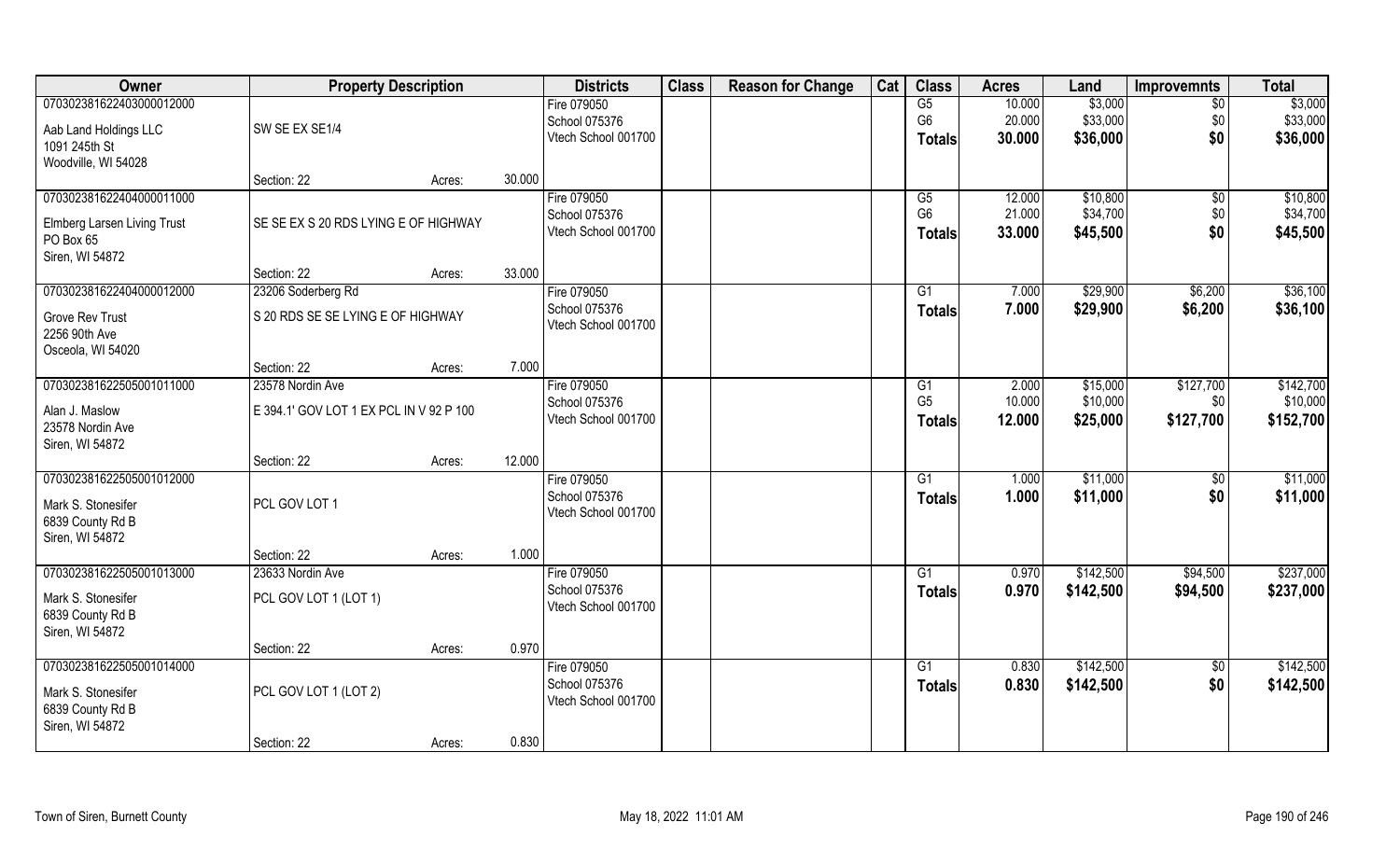| Owner                       | <b>Property Description</b>             |        |        | <b>Districts</b>                     | <b>Class</b> | <b>Reason for Change</b> | Cat | <b>Class</b>   | <b>Acres</b> | Land      | <b>Improvemnts</b> | <b>Total</b> |
|-----------------------------|-----------------------------------------|--------|--------|--------------------------------------|--------------|--------------------------|-----|----------------|--------------|-----------|--------------------|--------------|
| 070302381622403000012000    |                                         |        |        | Fire 079050                          |              |                          |     | G5             | 10.000       | \$3,000   | $\sqrt{6}$         | \$3,000      |
| Aab Land Holdings LLC       | SW SE EX SE1/4                          |        |        | School 075376                        |              |                          |     | G <sub>6</sub> | 20.000       | \$33,000  | \$0                | \$33,000     |
| 1091 245th St               |                                         |        |        | Vtech School 001700                  |              |                          |     | <b>Totals</b>  | 30.000       | \$36,000  | \$0                | \$36,000     |
| Woodville, WI 54028         |                                         |        |        |                                      |              |                          |     |                |              |           |                    |              |
|                             | Section: 22                             | Acres: | 30.000 |                                      |              |                          |     |                |              |           |                    |              |
| 070302381622404000011000    |                                         |        |        | Fire 079050                          |              |                          |     | G5             | 12.000       | \$10,800  | $\sqrt{$0}$        | \$10,800     |
| Elmberg Larsen Living Trust | SE SE EX S 20 RDS LYING E OF HIGHWAY    |        |        | School 075376                        |              |                          |     | G <sub>6</sub> | 21.000       | \$34,700  | \$0                | \$34,700     |
| PO Box 65                   |                                         |        |        | Vtech School 001700                  |              |                          |     | <b>Totals</b>  | 33.000       | \$45,500  | \$0                | \$45,500     |
| Siren, WI 54872             |                                         |        |        |                                      |              |                          |     |                |              |           |                    |              |
|                             | Section: 22                             | Acres: | 33.000 |                                      |              |                          |     |                |              |           |                    |              |
| 070302381622404000012000    | 23206 Soderberg Rd                      |        |        | Fire 079050                          |              |                          |     | G1             | 7.000        | \$29,900  | \$6,200            | \$36,100     |
| Grove Rev Trust             | S 20 RDS SE SE LYING E OF HIGHWAY       |        |        | School 075376                        |              |                          |     | <b>Totals</b>  | 7.000        | \$29,900  | \$6,200            | \$36,100     |
| 2256 90th Ave               |                                         |        |        | Vtech School 001700                  |              |                          |     |                |              |           |                    |              |
| Osceola, WI 54020           |                                         |        |        |                                      |              |                          |     |                |              |           |                    |              |
|                             | Section: 22                             | Acres: | 7.000  |                                      |              |                          |     |                |              |           |                    |              |
| 070302381622505001011000    | 23578 Nordin Ave                        |        |        | Fire 079050                          |              |                          |     | G1             | 2.000        | \$15,000  | \$127,700          | \$142,700    |
| Alan J. Maslow              | E 394.1' GOV LOT 1 EX PCL IN V 92 P 100 |        |        | School 075376                        |              |                          |     | G <sub>5</sub> | 10.000       | \$10,000  | \$0                | \$10,000     |
| 23578 Nordin Ave            |                                         |        |        | Vtech School 001700                  |              |                          |     | <b>Totals</b>  | 12.000       | \$25,000  | \$127,700          | \$152,700    |
| Siren, WI 54872             |                                         |        |        |                                      |              |                          |     |                |              |           |                    |              |
|                             | Section: 22                             | Acres: | 12.000 |                                      |              |                          |     |                |              |           |                    |              |
| 070302381622505001012000    |                                         |        |        | Fire 079050                          |              |                          |     | G1             | 1.000        | \$11,000  | $\overline{50}$    | \$11,000     |
| Mark S. Stonesifer          | PCL GOV LOT 1                           |        |        | School 075376<br>Vtech School 001700 |              |                          |     | <b>Totals</b>  | 1.000        | \$11,000  | \$0                | \$11,000     |
| 6839 County Rd B            |                                         |        |        |                                      |              |                          |     |                |              |           |                    |              |
| Siren, WI 54872             |                                         |        |        |                                      |              |                          |     |                |              |           |                    |              |
|                             | Section: 22                             | Acres: | 1.000  |                                      |              |                          |     |                |              |           |                    |              |
| 070302381622505001013000    | 23633 Nordin Ave                        |        |        | Fire 079050                          |              |                          |     | G1             | 0.970        | \$142,500 | \$94,500           | \$237,000    |
| Mark S. Stonesifer          | PCL GOV LOT 1 (LOT 1)                   |        |        | School 075376<br>Vtech School 001700 |              |                          |     | <b>Totals</b>  | 0.970        | \$142,500 | \$94,500           | \$237,000    |
| 6839 County Rd B            |                                         |        |        |                                      |              |                          |     |                |              |           |                    |              |
| Siren, WI 54872             |                                         |        |        |                                      |              |                          |     |                |              |           |                    |              |
|                             | Section: 22                             | Acres: | 0.970  |                                      |              |                          |     |                |              |           |                    |              |
| 070302381622505001014000    |                                         |        |        | Fire 079050<br>School 075376         |              |                          |     | G1             | 0.830        | \$142,500 | $\overline{50}$    | \$142,500    |
| Mark S. Stonesifer          | PCL GOV LOT 1 (LOT 2)                   |        |        | Vtech School 001700                  |              |                          |     | <b>Totals</b>  | 0.830        | \$142,500 | \$0                | \$142,500    |
| 6839 County Rd B            |                                         |        |        |                                      |              |                          |     |                |              |           |                    |              |
| Siren, WI 54872             |                                         |        |        |                                      |              |                          |     |                |              |           |                    |              |
|                             | Section: 22                             | Acres: | 0.830  |                                      |              |                          |     |                |              |           |                    |              |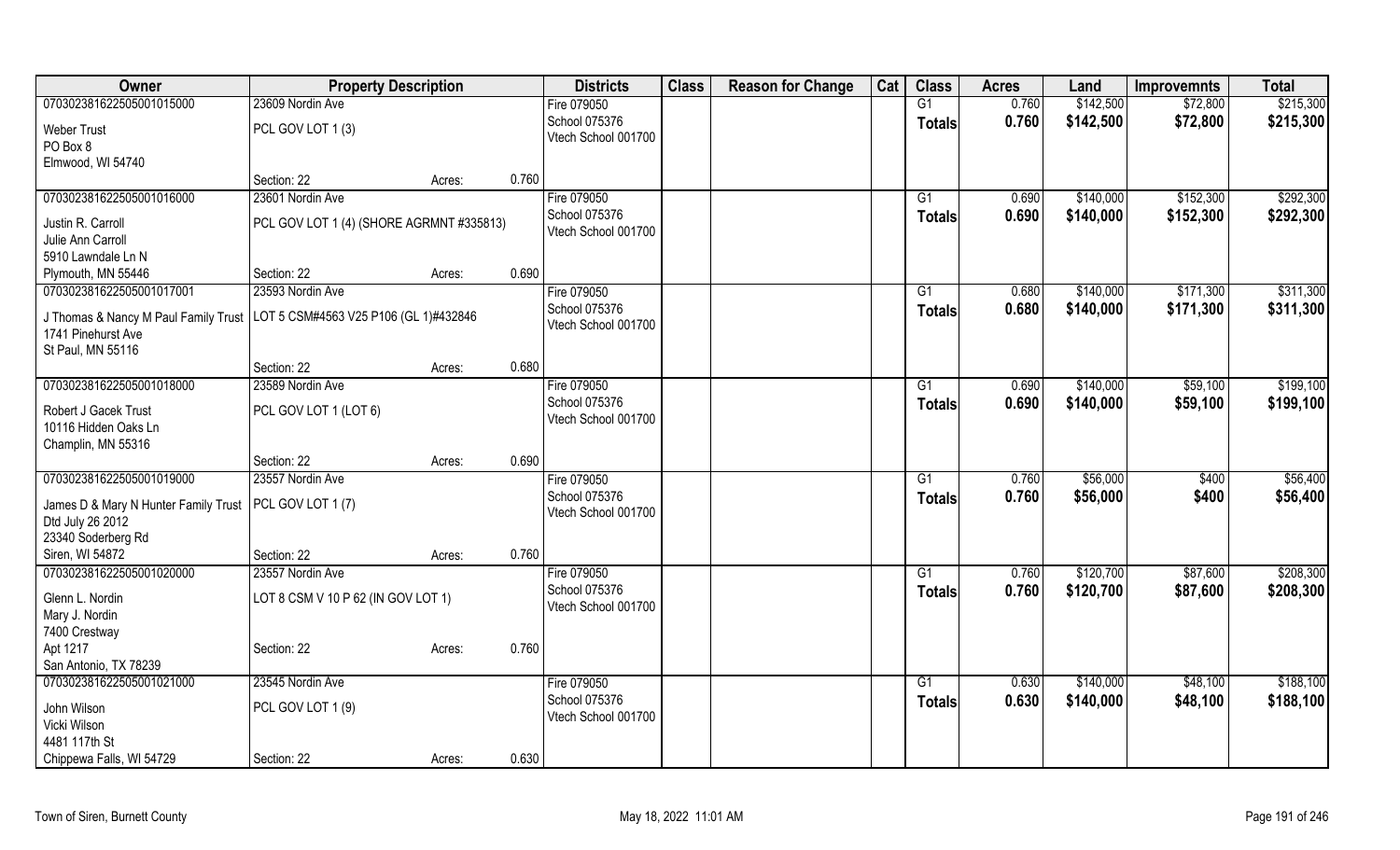| Owner                                | <b>Property Description</b>              |                 | <b>Districts</b>    | <b>Class</b> | <b>Reason for Change</b> | Cat | <b>Class</b>  | <b>Acres</b> | Land      | <b>Improvemnts</b> | <b>Total</b> |
|--------------------------------------|------------------------------------------|-----------------|---------------------|--------------|--------------------------|-----|---------------|--------------|-----------|--------------------|--------------|
| 070302381622505001015000             | 23609 Nordin Ave                         |                 | Fire 079050         |              |                          |     | G1            | 0.760        | \$142,500 | \$72,800           | \$215,300    |
| <b>Weber Trust</b>                   | PCL GOV LOT 1 (3)                        |                 | School 075376       |              |                          |     | <b>Totals</b> | 0.760        | \$142,500 | \$72,800           | \$215,300    |
| PO Box 8                             |                                          |                 | Vtech School 001700 |              |                          |     |               |              |           |                    |              |
| Elmwood, WI 54740                    |                                          |                 |                     |              |                          |     |               |              |           |                    |              |
|                                      | Section: 22                              | 0.760<br>Acres: |                     |              |                          |     |               |              |           |                    |              |
| 070302381622505001016000             | 23601 Nordin Ave                         |                 | Fire 079050         |              |                          |     | G1            | 0.690        | \$140,000 | \$152,300          | \$292,300    |
| Justin R. Carroll                    | PCL GOV LOT 1 (4) (SHORE AGRMNT #335813) |                 | School 075376       |              |                          |     | <b>Totals</b> | 0.690        | \$140,000 | \$152,300          | \$292,300    |
| Julie Ann Carroll                    |                                          |                 | Vtech School 001700 |              |                          |     |               |              |           |                    |              |
| 5910 Lawndale Ln N                   |                                          |                 |                     |              |                          |     |               |              |           |                    |              |
| Plymouth, MN 55446                   | Section: 22                              | Acres:          | 0.690               |              |                          |     |               |              |           |                    |              |
| 070302381622505001017001             | 23593 Nordin Ave                         |                 | Fire 079050         |              |                          |     | G1            | 0.680        | \$140,000 | \$171,300          | \$311,300    |
|                                      |                                          |                 | School 075376       |              |                          |     | <b>Totals</b> | 0.680        | \$140,000 | \$171,300          | \$311,300    |
| J Thomas & Nancy M Paul Family Trust | LOT 5 CSM#4563 V25 P106 (GL 1)#432846    |                 | Vtech School 001700 |              |                          |     |               |              |           |                    |              |
| 1741 Pinehurst Ave                   |                                          |                 |                     |              |                          |     |               |              |           |                    |              |
| St Paul, MN 55116                    |                                          |                 |                     |              |                          |     |               |              |           |                    |              |
|                                      | Section: 22                              | Acres:          | 0.680               |              |                          |     |               |              |           |                    |              |
| 070302381622505001018000             | 23589 Nordin Ave                         |                 | Fire 079050         |              |                          |     | G1            | 0.690        | \$140,000 | \$59,100           | \$199,100    |
| Robert J Gacek Trust                 | PCL GOV LOT 1 (LOT 6)                    |                 | School 075376       |              |                          |     | <b>Totals</b> | 0.690        | \$140,000 | \$59,100           | \$199,100    |
| 10116 Hidden Oaks Ln                 |                                          |                 | Vtech School 001700 |              |                          |     |               |              |           |                    |              |
| Champlin, MN 55316                   |                                          |                 |                     |              |                          |     |               |              |           |                    |              |
|                                      | Section: 22                              | 0.690<br>Acres: |                     |              |                          |     |               |              |           |                    |              |
| 070302381622505001019000             | 23557 Nordin Ave                         |                 | Fire 079050         |              |                          |     | G1            | 0.760        | \$56,000  | \$400              | \$56,400     |
| James D & Mary N Hunter Family Trust | PCL GOVLOT 1(7)                          |                 | School 075376       |              |                          |     | <b>Totals</b> | 0.760        | \$56,000  | \$400              | \$56,400     |
| Dtd July 26 2012                     |                                          |                 | Vtech School 001700 |              |                          |     |               |              |           |                    |              |
| 23340 Soderberg Rd                   |                                          |                 |                     |              |                          |     |               |              |           |                    |              |
| Siren, WI 54872                      | Section: 22                              | Acres:          | 0.760               |              |                          |     |               |              |           |                    |              |
| 070302381622505001020000             | 23557 Nordin Ave                         |                 | Fire 079050         |              |                          |     | G1            | 0.760        | \$120,700 | \$87,600           | \$208,300    |
|                                      |                                          |                 | School 075376       |              |                          |     | <b>Totals</b> | 0.760        | \$120,700 | \$87,600           | \$208,300    |
| Glenn L. Nordin                      | LOT 8 CSM V 10 P 62 (IN GOV LOT 1)       |                 | Vtech School 001700 |              |                          |     |               |              |           |                    |              |
| Mary J. Nordin                       |                                          |                 |                     |              |                          |     |               |              |           |                    |              |
| 7400 Crestway                        |                                          |                 |                     |              |                          |     |               |              |           |                    |              |
| Apt 1217                             | Section: 22                              | 0.760<br>Acres: |                     |              |                          |     |               |              |           |                    |              |
| San Antonio, TX 78239                |                                          |                 |                     |              |                          |     |               |              |           |                    |              |
| 070302381622505001021000             | 23545 Nordin Ave                         |                 | Fire 079050         |              |                          |     | G1            | 0.630        | \$140,000 | \$48,100           | \$188,100    |
| John Wilson                          | PCL GOV LOT 1 (9)                        |                 | School 075376       |              |                          |     | <b>Totals</b> | 0.630        | \$140,000 | \$48,100           | \$188,100    |
| Vicki Wilson                         |                                          |                 | Vtech School 001700 |              |                          |     |               |              |           |                    |              |
| 4481 117th St                        |                                          |                 |                     |              |                          |     |               |              |           |                    |              |
| Chippewa Falls, WI 54729             | Section: 22                              | Acres:          | 0.630               |              |                          |     |               |              |           |                    |              |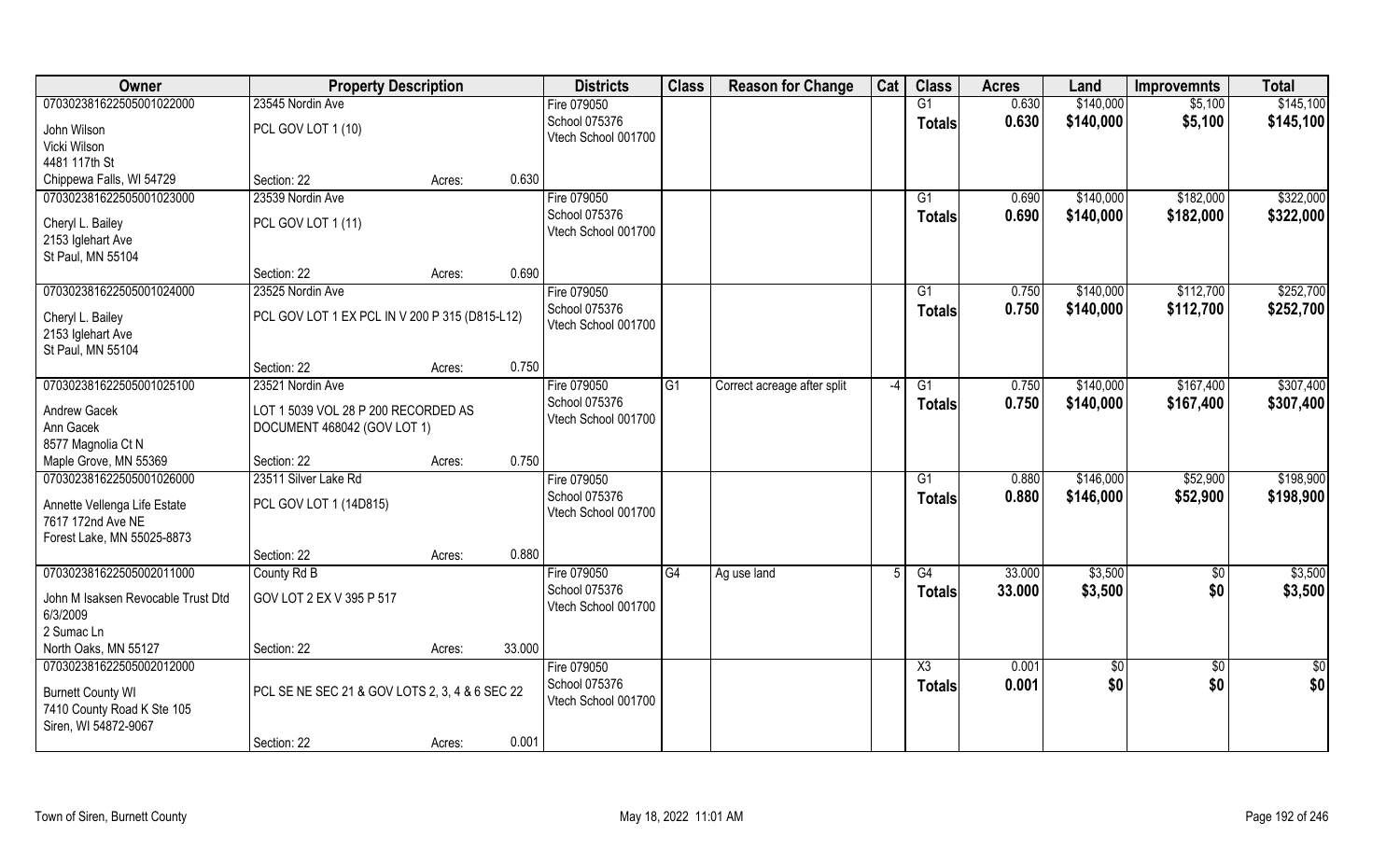| Owner                                            | <b>Property Description</b>                                        |                 | <b>Districts</b>    | <b>Class</b> | <b>Reason for Change</b>    | Cat | <b>Class</b>           | <b>Acres</b>   | Land                   | <b>Improvemnts</b>     | <b>Total</b> |
|--------------------------------------------------|--------------------------------------------------------------------|-----------------|---------------------|--------------|-----------------------------|-----|------------------------|----------------|------------------------|------------------------|--------------|
| 070302381622505001022000                         | 23545 Nordin Ave                                                   |                 | Fire 079050         |              |                             |     | G1                     | 0.630          | \$140,000              | \$5,100                | \$145,100    |
| John Wilson                                      | PCL GOV LOT 1 (10)                                                 |                 | School 075376       |              |                             |     | <b>Totals</b>          | 0.630          | \$140,000              | \$5,100                | \$145,100    |
| Vicki Wilson                                     |                                                                    |                 | Vtech School 001700 |              |                             |     |                        |                |                        |                        |              |
| 4481 117th St                                    |                                                                    |                 |                     |              |                             |     |                        |                |                        |                        |              |
| Chippewa Falls, WI 54729                         | Section: 22                                                        | 0.630<br>Acres: |                     |              |                             |     |                        |                |                        |                        |              |
| 070302381622505001023000                         | 23539 Nordin Ave                                                   |                 | Fire 079050         |              |                             |     | G <sub>1</sub>         | 0.690          | \$140,000              | \$182,000              | \$322,000    |
| Cheryl L. Bailey                                 | PCL GOV LOT 1 (11)                                                 |                 | School 075376       |              |                             |     | <b>Totals</b>          | 0.690          | \$140,000              | \$182,000              | \$322,000    |
| 2153 Iglehart Ave                                |                                                                    |                 | Vtech School 001700 |              |                             |     |                        |                |                        |                        |              |
| St Paul, MN 55104                                |                                                                    |                 |                     |              |                             |     |                        |                |                        |                        |              |
|                                                  | Section: 22                                                        | 0.690<br>Acres: |                     |              |                             |     |                        |                |                        |                        |              |
| 070302381622505001024000                         | 23525 Nordin Ave                                                   |                 | Fire 079050         |              |                             |     | G1                     | 0.750          | \$140,000              | \$112,700              | \$252,700    |
| Cheryl L. Bailey                                 | PCL GOV LOT 1 EX PCL IN V 200 P 315 (D815-L12)                     |                 | School 075376       |              |                             |     | <b>Totals</b>          | 0.750          | \$140,000              | \$112,700              | \$252,700    |
| 2153 Iglehart Ave                                |                                                                    |                 | Vtech School 001700 |              |                             |     |                        |                |                        |                        |              |
| St Paul, MN 55104                                |                                                                    |                 |                     |              |                             |     |                        |                |                        |                        |              |
|                                                  | Section: 22                                                        | 0.750<br>Acres: |                     |              |                             |     |                        |                |                        |                        |              |
| 070302381622505001025100                         | 23521 Nordin Ave                                                   |                 | Fire 079050         | G1           | Correct acreage after split | -4  | G1                     | 0.750          | \$140,000              | \$167,400              | \$307,400    |
| Andrew Gacek                                     |                                                                    |                 | School 075376       |              |                             |     | <b>Totals</b>          | 0.750          | \$140,000              | \$167,400              | \$307,400    |
| Ann Gacek                                        | LOT 1 5039 VOL 28 P 200 RECORDED AS<br>DOCUMENT 468042 (GOV LOT 1) |                 | Vtech School 001700 |              |                             |     |                        |                |                        |                        |              |
| 8577 Magnolia Ct N                               |                                                                    |                 |                     |              |                             |     |                        |                |                        |                        |              |
| Maple Grove, MN 55369                            | Section: 22                                                        | 0.750<br>Acres: |                     |              |                             |     |                        |                |                        |                        |              |
| 070302381622505001026000                         | 23511 Silver Lake Rd                                               |                 | Fire 079050         |              |                             |     | G1                     | 0.880          | \$146,000              | \$52,900               | \$198,900    |
|                                                  |                                                                    |                 | School 075376       |              |                             |     | <b>Totals</b>          | 0.880          | \$146,000              | \$52,900               | \$198,900    |
| Annette Vellenga Life Estate                     | PCL GOV LOT 1 (14D815)                                             |                 | Vtech School 001700 |              |                             |     |                        |                |                        |                        |              |
| 7617 172nd Ave NE<br>Forest Lake, MN 55025-8873  |                                                                    |                 |                     |              |                             |     |                        |                |                        |                        |              |
|                                                  | Section: 22                                                        | 0.880<br>Acres: |                     |              |                             |     |                        |                |                        |                        |              |
| 070302381622505002011000                         | County Rd B                                                        |                 | Fire 079050         | G4           | Ag use land                 |     | G4                     | 33.000         | \$3,500                | $\sqrt{6}$             | \$3,500      |
|                                                  |                                                                    |                 | School 075376       |              |                             |     | <b>Totals</b>          | 33.000         | \$3,500                | \$0                    | \$3,500      |
| John M Isaksen Revocable Trust Dtd               | GOV LOT 2 EX V 395 P 517                                           |                 | Vtech School 001700 |              |                             |     |                        |                |                        |                        |              |
| 6/3/2009                                         |                                                                    |                 |                     |              |                             |     |                        |                |                        |                        |              |
| 2 Sumac Ln                                       |                                                                    | 33.000          |                     |              |                             |     |                        |                |                        |                        |              |
| North Oaks, MN 55127<br>070302381622505002012000 | Section: 22                                                        | Acres:          | Fire 079050         |              |                             |     | $\overline{\text{X3}}$ |                |                        |                        |              |
|                                                  |                                                                    |                 | School 075376       |              |                             |     |                        | 0.001<br>0.001 | $\overline{50}$<br>\$0 | $\overline{60}$<br>\$0 | \$0<br>\$0   |
| <b>Burnett County WI</b>                         | PCL SE NE SEC 21 & GOV LOTS 2, 3, 4 & 6 SEC 22                     |                 | Vtech School 001700 |              |                             |     | <b>Totals</b>          |                |                        |                        |              |
| 7410 County Road K Ste 105                       |                                                                    |                 |                     |              |                             |     |                        |                |                        |                        |              |
| Siren, WI 54872-9067                             |                                                                    |                 |                     |              |                             |     |                        |                |                        |                        |              |
|                                                  | Section: 22                                                        | 0.001<br>Acres: |                     |              |                             |     |                        |                |                        |                        |              |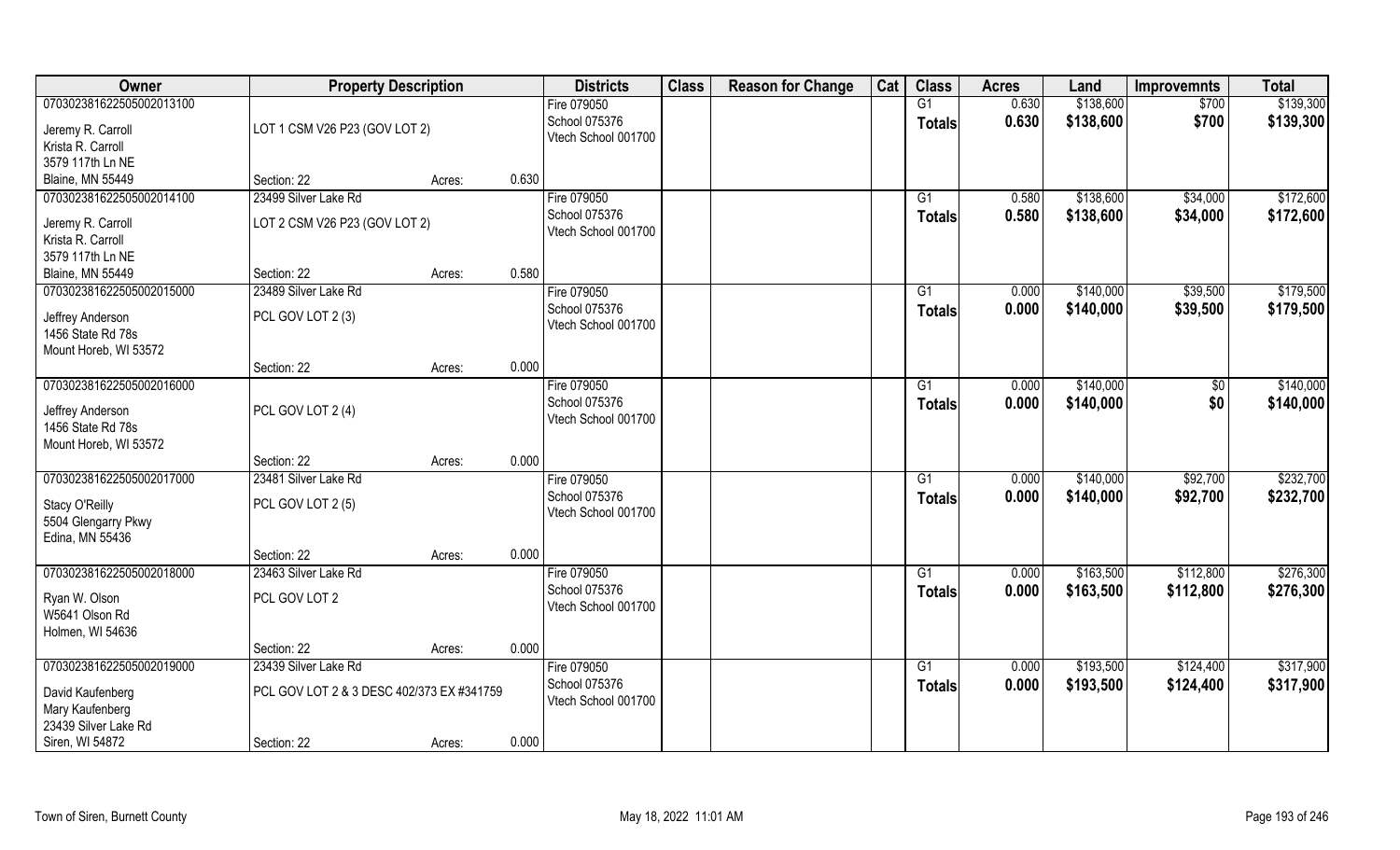| Owner                                                                                      | <b>Property Description</b>                           |        |       | <b>Districts</b>                                    | <b>Class</b> | <b>Reason for Change</b> | Cat | <b>Class</b>        | <b>Acres</b>   | Land                   | <b>Improvemnts</b>   | <b>Total</b>           |
|--------------------------------------------------------------------------------------------|-------------------------------------------------------|--------|-------|-----------------------------------------------------|--------------|--------------------------|-----|---------------------|----------------|------------------------|----------------------|------------------------|
| 070302381622505002013100<br>Jeremy R. Carroll<br>Krista R. Carroll<br>3579 117th Ln NE     | LOT 1 CSM V26 P23 (GOV LOT 2)                         |        |       | Fire 079050<br>School 075376<br>Vtech School 001700 |              |                          |     | G1<br><b>Totals</b> | 0.630<br>0.630 | \$138,600<br>\$138,600 | \$700<br>\$700       | \$139,300<br>\$139,300 |
| <b>Blaine, MN 55449</b>                                                                    | Section: 22                                           | Acres: | 0.630 |                                                     |              |                          |     |                     |                |                        |                      |                        |
| 070302381622505002014100<br>Jeremy R. Carroll                                              | 23499 Silver Lake Rd<br>LOT 2 CSM V26 P23 (GOV LOT 2) |        |       | Fire 079050<br>School 075376                        |              |                          |     | G1<br><b>Totals</b> | 0.580<br>0.580 | \$138,600<br>\$138,600 | \$34,000<br>\$34,000 | \$172,600<br>\$172,600 |
| Krista R. Carroll<br>3579 117th Ln NE                                                      |                                                       |        |       | Vtech School 001700                                 |              |                          |     |                     |                |                        |                      |                        |
| <b>Blaine, MN 55449</b>                                                                    | Section: 22                                           | Acres: | 0.580 |                                                     |              |                          |     |                     |                |                        |                      |                        |
| 070302381622505002015000<br>Jeffrey Anderson<br>1456 State Rd 78s<br>Mount Horeb, WI 53572 | 23489 Silver Lake Rd<br>PCL GOV LOT 2 (3)             |        |       | Fire 079050<br>School 075376<br>Vtech School 001700 |              |                          |     | G1<br><b>Totals</b> | 0.000<br>0.000 | \$140,000<br>\$140,000 | \$39,500<br>\$39,500 | \$179,500<br>\$179,500 |
|                                                                                            | Section: 22                                           | Acres: | 0.000 |                                                     |              |                          |     |                     |                |                        |                      |                        |
| 070302381622505002016000<br>Jeffrey Anderson<br>1456 State Rd 78s<br>Mount Horeb, WI 53572 | PCL GOV LOT 2 (4)                                     |        |       | Fire 079050<br>School 075376<br>Vtech School 001700 |              |                          |     | G1<br><b>Totals</b> | 0.000<br>0.000 | \$140,000<br>\$140,000 | \$0<br>\$0           | \$140,000<br>\$140,000 |
|                                                                                            | Section: 22                                           | Acres: | 0.000 |                                                     |              |                          |     |                     |                |                        |                      |                        |
| 070302381622505002017000                                                                   | 23481 Silver Lake Rd                                  |        |       | Fire 079050                                         |              |                          |     | G1                  | 0.000          | \$140,000              | \$92,700             | \$232,700              |
| Stacy O'Reilly<br>5504 Glengarry Pkwy<br>Edina, MN 55436                                   | PCL GOV LOT 2 (5)                                     |        |       | School 075376<br>Vtech School 001700                |              |                          |     | <b>Totals</b>       | 0.000          | \$140,000              | \$92,700             | \$232,700              |
|                                                                                            | Section: 22                                           | Acres: | 0.000 |                                                     |              |                          |     |                     |                |                        |                      |                        |
| 070302381622505002018000                                                                   | 23463 Silver Lake Rd                                  |        |       | Fire 079050                                         |              |                          |     | G1                  | 0.000          | \$163,500              | \$112,800            | \$276,300              |
| Ryan W. Olson<br>W5641 Olson Rd<br>Holmen, WI 54636                                        | PCL GOV LOT 2                                         |        |       | School 075376<br>Vtech School 001700                |              |                          |     | <b>Totals</b>       | 0.000          | \$163,500              | \$112,800            | \$276,300              |
|                                                                                            | Section: 22                                           | Acres: | 0.000 |                                                     |              |                          |     |                     |                |                        |                      |                        |
| 070302381622505002019000                                                                   | 23439 Silver Lake Rd                                  |        |       | Fire 079050                                         |              |                          |     | $\overline{G1}$     | 0.000          | \$193,500              | \$124,400            | \$317,900              |
| David Kaufenberg<br>Mary Kaufenberg<br>23439 Silver Lake Rd                                | PCL GOV LOT 2 & 3 DESC 402/373 EX #341759             |        |       | School 075376<br>Vtech School 001700                |              |                          |     | <b>Totals</b>       | 0.000          | \$193,500              | \$124,400            | \$317,900              |
| Siren, WI 54872                                                                            | Section: 22                                           | Acres: | 0.000 |                                                     |              |                          |     |                     |                |                        |                      |                        |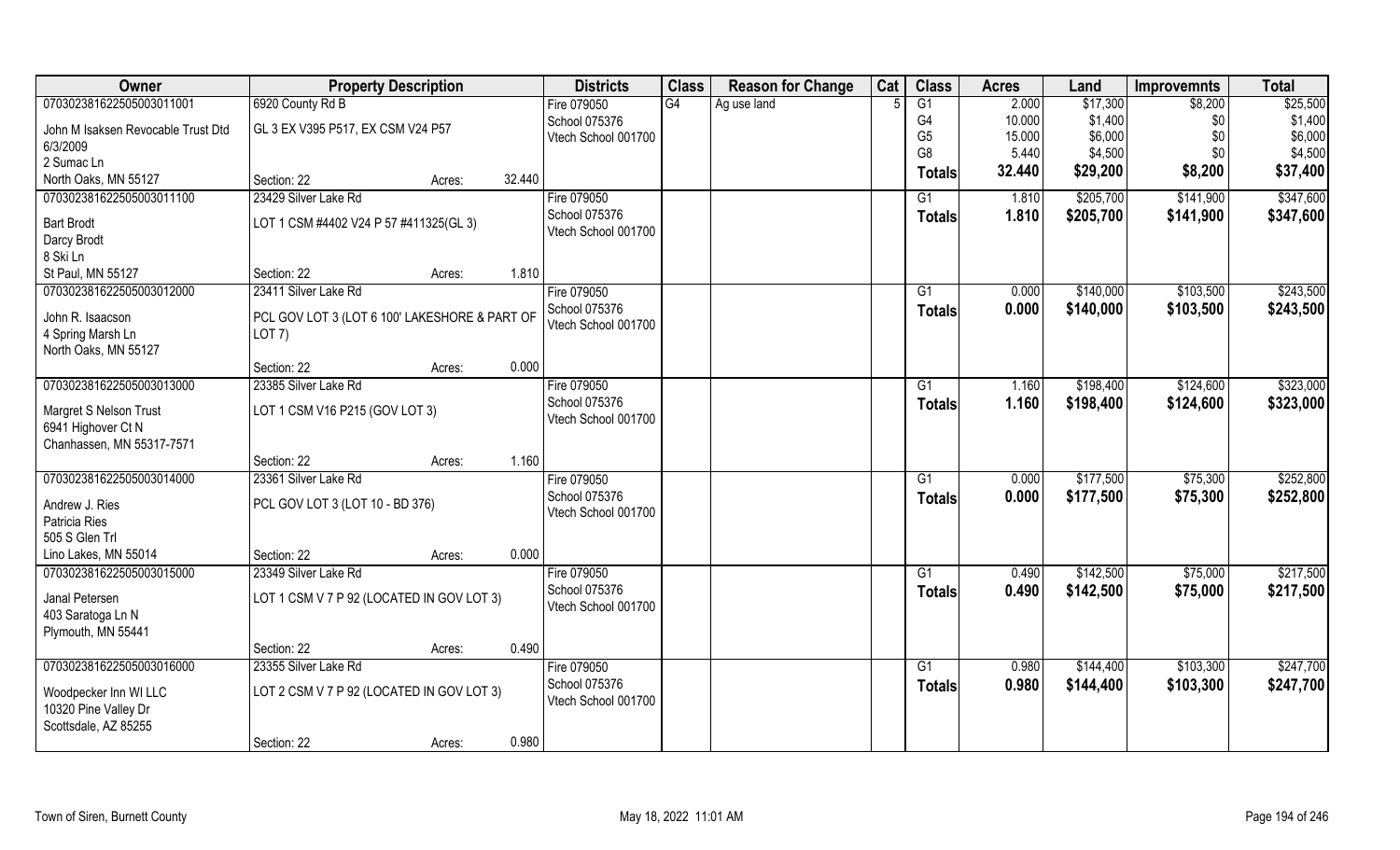| Owner                                 | <b>Property Description</b>                             |                  | <b>Districts</b>                     | <b>Class</b> | <b>Reason for Change</b> | Cat | <b>Class</b>    | <b>Acres</b> | Land      | <b>Improvemnts</b> | <b>Total</b> |
|---------------------------------------|---------------------------------------------------------|------------------|--------------------------------------|--------------|--------------------------|-----|-----------------|--------------|-----------|--------------------|--------------|
| 070302381622505003011001              | 6920 County Rd B                                        |                  | Fire 079050                          | G4           | Ag use land              |     | $\overline{G1}$ | 2.000        | \$17,300  | \$8,200            | \$25,500     |
| John M Isaksen Revocable Trust Dtd    | GL 3 EX V395 P517, EX CSM V24 P57                       |                  | School 075376                        |              |                          |     | G <sub>4</sub>  | 10.000       | \$1,400   | \$0                | \$1,400      |
| 6/3/2009                              |                                                         |                  | Vtech School 001700                  |              |                          |     | G <sub>5</sub>  | 15.000       | \$6,000   | \$0                | \$6,000      |
| 2 Sumac Ln                            |                                                         |                  |                                      |              |                          |     | G <sub>8</sub>  | 5.440        | \$4,500   | \$0                | \$4,500      |
| North Oaks, MN 55127                  | Section: 22                                             | 32.440<br>Acres: |                                      |              |                          |     | <b>Totals</b>   | 32.440       | \$29,200  | \$8,200            | \$37,400     |
| 070302381622505003011100              | 23429 Silver Lake Rd                                    |                  | Fire 079050                          |              |                          |     | G1              | 1.810        | \$205,700 | \$141,900          | \$347,600    |
| <b>Bart Brodt</b>                     | LOT 1 CSM #4402 V24 P 57 #411325(GL 3)                  |                  | School 075376                        |              |                          |     | <b>Totals</b>   | 1.810        | \$205,700 | \$141,900          | \$347,600    |
| Darcy Brodt                           |                                                         |                  | Vtech School 001700                  |              |                          |     |                 |              |           |                    |              |
| 8 Ski Ln                              |                                                         |                  |                                      |              |                          |     |                 |              |           |                    |              |
| St Paul, MN 55127                     | Section: 22                                             | 1.810<br>Acres:  |                                      |              |                          |     |                 |              |           |                    |              |
| 070302381622505003012000              | 23411 Silver Lake Rd                                    |                  | Fire 079050                          |              |                          |     | G1              | 0.000        | \$140,000 | \$103,500          | \$243,500    |
|                                       |                                                         |                  | School 075376                        |              |                          |     | <b>Totals</b>   | 0.000        | \$140,000 | \$103,500          | \$243,500    |
| John R. Isaacson<br>4 Spring Marsh Ln | PCL GOV LOT 3 (LOT 6 100' LAKESHORE & PART OF<br>LOT 7) |                  | Vtech School 001700                  |              |                          |     |                 |              |           |                    |              |
| North Oaks, MN 55127                  |                                                         |                  |                                      |              |                          |     |                 |              |           |                    |              |
|                                       | Section: 22                                             | 0.000<br>Acres:  |                                      |              |                          |     |                 |              |           |                    |              |
| 070302381622505003013000              | 23385 Silver Lake Rd                                    |                  | Fire 079050                          |              |                          |     | G1              | 1.160        | \$198,400 | \$124,600          | \$323,000    |
|                                       |                                                         |                  | School 075376                        |              |                          |     | <b>Totals</b>   | 1.160        | \$198,400 | \$124,600          | \$323,000    |
| Margret S Nelson Trust                | LOT 1 CSM V16 P215 (GOV LOT 3)                          |                  | Vtech School 001700                  |              |                          |     |                 |              |           |                    |              |
| 6941 Highover Ct N                    |                                                         |                  |                                      |              |                          |     |                 |              |           |                    |              |
| Chanhassen, MN 55317-7571             | Section: 22                                             | 1.160<br>Acres:  |                                      |              |                          |     |                 |              |           |                    |              |
| 070302381622505003014000              | 23361 Silver Lake Rd                                    |                  | Fire 079050                          |              |                          |     | G1              | 0.000        | \$177,500 | \$75,300           | \$252,800    |
|                                       |                                                         |                  | School 075376                        |              |                          |     | <b>Totals</b>   | 0.000        | \$177,500 | \$75,300           | \$252,800    |
| Andrew J. Ries                        | PCL GOV LOT 3 (LOT 10 - BD 376)                         |                  | Vtech School 001700                  |              |                          |     |                 |              |           |                    |              |
| Patricia Ries                         |                                                         |                  |                                      |              |                          |     |                 |              |           |                    |              |
| 505 S Glen Trl                        |                                                         |                  |                                      |              |                          |     |                 |              |           |                    |              |
| Lino Lakes, MN 55014                  | Section: 22                                             | 0.000<br>Acres:  |                                      |              |                          |     |                 |              |           |                    |              |
| 070302381622505003015000              | 23349 Silver Lake Rd                                    |                  | Fire 079050                          |              |                          |     | $\overline{G1}$ | 0.490        | \$142,500 | \$75,000           | \$217,500    |
| Janal Petersen                        | LOT 1 CSM V 7 P 92 (LOCATED IN GOV LOT 3)               |                  | School 075376<br>Vtech School 001700 |              |                          |     | <b>Totals</b>   | 0.490        | \$142,500 | \$75,000           | \$217,500    |
| 403 Saratoga Ln N                     |                                                         |                  |                                      |              |                          |     |                 |              |           |                    |              |
| Plymouth, MN 55441                    |                                                         |                  |                                      |              |                          |     |                 |              |           |                    |              |
|                                       | Section: 22                                             | 0.490<br>Acres:  |                                      |              |                          |     |                 |              |           |                    |              |
| 070302381622505003016000              | 23355 Silver Lake Rd                                    |                  | Fire 079050                          |              |                          |     | G1              | 0.980        | \$144,400 | \$103,300          | \$247,700    |
| Woodpecker Inn WI LLC                 | LOT 2 CSM V 7 P 92 (LOCATED IN GOV LOT 3)               |                  | School 075376                        |              |                          |     | <b>Totals</b>   | 0.980        | \$144,400 | \$103,300          | \$247,700    |
| 10320 Pine Valley Dr                  |                                                         |                  | Vtech School 001700                  |              |                          |     |                 |              |           |                    |              |
| Scottsdale, AZ 85255                  |                                                         |                  |                                      |              |                          |     |                 |              |           |                    |              |
|                                       | Section: 22                                             | 0.980<br>Acres:  |                                      |              |                          |     |                 |              |           |                    |              |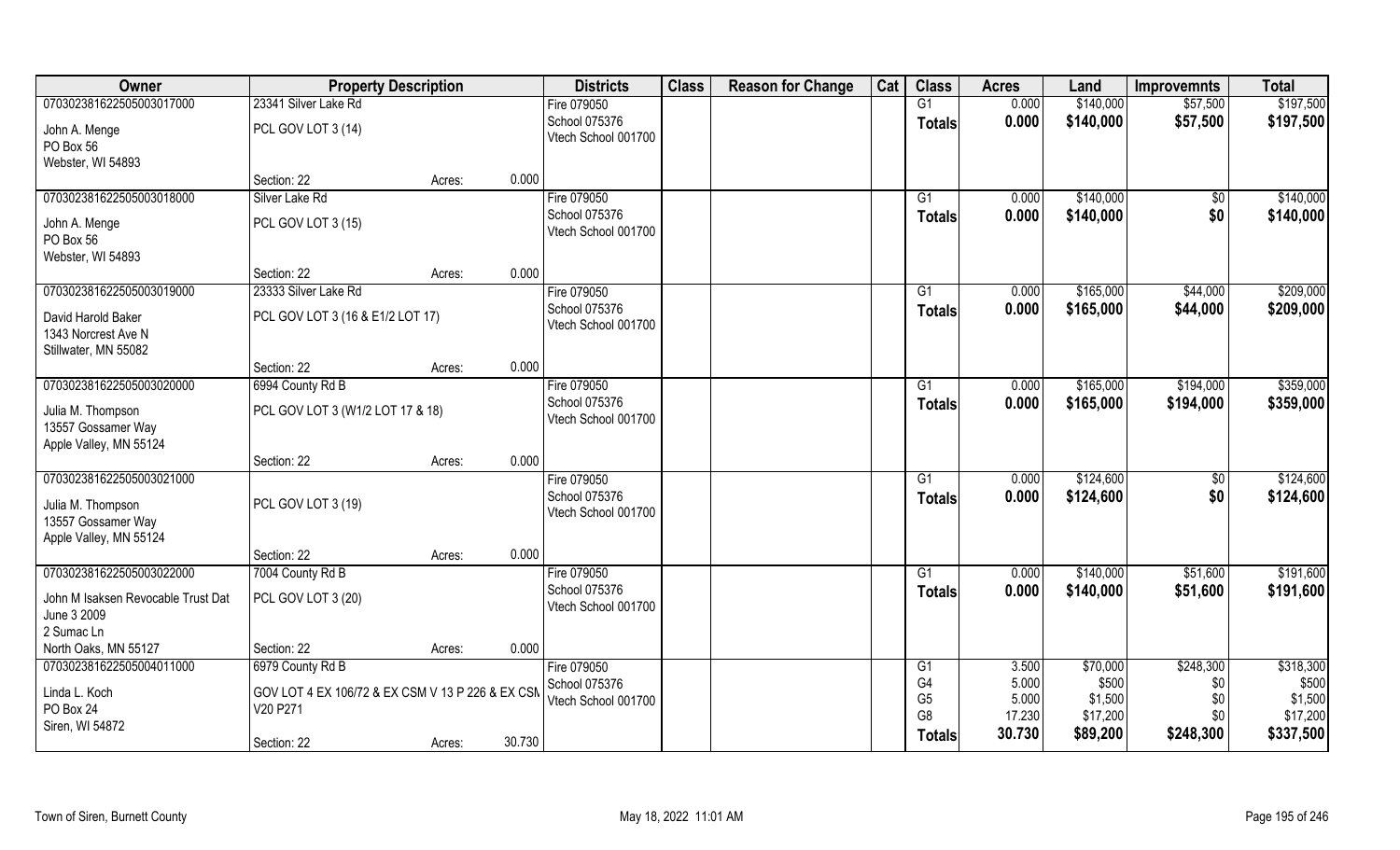| Owner                              | <b>Property Description</b>                      |        |        | <b>Districts</b>                     | <b>Class</b> | <b>Reason for Change</b> | Cat | <b>Class</b>         | <b>Acres</b>   | Land             | <b>Improvemnts</b> | <b>Total</b>       |
|------------------------------------|--------------------------------------------------|--------|--------|--------------------------------------|--------------|--------------------------|-----|----------------------|----------------|------------------|--------------------|--------------------|
| 070302381622505003017000           | 23341 Silver Lake Rd                             |        |        | Fire 079050                          |              |                          |     | G1                   | 0.000          | \$140,000        | \$57,500           | \$197,500          |
| John A. Menge                      | PCL GOV LOT 3 (14)                               |        |        | School 075376                        |              |                          |     | <b>Totals</b>        | 0.000          | \$140,000        | \$57,500           | \$197,500          |
| PO Box 56                          |                                                  |        |        | Vtech School 001700                  |              |                          |     |                      |                |                  |                    |                    |
| Webster, WI 54893                  |                                                  |        |        |                                      |              |                          |     |                      |                |                  |                    |                    |
|                                    | Section: 22                                      | Acres: | 0.000  |                                      |              |                          |     |                      |                |                  |                    |                    |
| 070302381622505003018000           | Silver Lake Rd                                   |        |        | Fire 079050                          |              |                          |     | G1                   | 0.000          | \$140,000        | \$0                | \$140,000          |
| John A. Menge                      | PCL GOV LOT 3 (15)                               |        |        | School 075376                        |              |                          |     | <b>Totals</b>        | 0.000          | \$140,000        | \$0                | \$140,000          |
| PO Box 56                          |                                                  |        |        | Vtech School 001700                  |              |                          |     |                      |                |                  |                    |                    |
| Webster, WI 54893                  |                                                  |        |        |                                      |              |                          |     |                      |                |                  |                    |                    |
|                                    | Section: 22                                      | Acres: | 0.000  |                                      |              |                          |     |                      |                |                  |                    |                    |
| 070302381622505003019000           | 23333 Silver Lake Rd                             |        |        | Fire 079050                          |              |                          |     | G <sub>1</sub>       | 0.000          | \$165,000        | \$44,000           | \$209,000          |
| David Harold Baker                 | PCL GOV LOT 3 (16 & E1/2 LOT 17)                 |        |        | School 075376                        |              |                          |     | <b>Totals</b>        | 0.000          | \$165,000        | \$44,000           | \$209,000          |
| 1343 Norcrest Ave N                |                                                  |        |        | Vtech School 001700                  |              |                          |     |                      |                |                  |                    |                    |
| Stillwater, MN 55082               |                                                  |        |        |                                      |              |                          |     |                      |                |                  |                    |                    |
|                                    | Section: 22                                      | Acres: | 0.000  |                                      |              |                          |     |                      |                |                  |                    |                    |
| 070302381622505003020000           | 6994 County Rd B                                 |        |        | Fire 079050                          |              |                          |     | G1                   | 0.000          | \$165,000        | \$194,000          | \$359,000          |
| Julia M. Thompson                  | PCL GOV LOT 3 (W1/2 LOT 17 & 18)                 |        |        | School 075376                        |              |                          |     | <b>Totals</b>        | 0.000          | \$165,000        | \$194,000          | \$359,000          |
| 13557 Gossamer Way                 |                                                  |        |        | Vtech School 001700                  |              |                          |     |                      |                |                  |                    |                    |
| Apple Valley, MN 55124             |                                                  |        |        |                                      |              |                          |     |                      |                |                  |                    |                    |
|                                    | Section: 22                                      | Acres: | 0.000  |                                      |              |                          |     |                      |                |                  |                    |                    |
| 070302381622505003021000           |                                                  |        |        | Fire 079050                          |              |                          |     | G1                   | 0.000          | \$124,600        | \$0                | \$124,600          |
| Julia M. Thompson                  | PCL GOV LOT 3 (19)                               |        |        | School 075376<br>Vtech School 001700 |              |                          |     | <b>Totals</b>        | 0.000          | \$124,600        | \$0                | \$124,600          |
| 13557 Gossamer Way                 |                                                  |        |        |                                      |              |                          |     |                      |                |                  |                    |                    |
| Apple Valley, MN 55124             |                                                  |        |        |                                      |              |                          |     |                      |                |                  |                    |                    |
|                                    | Section: 22                                      | Acres: | 0.000  |                                      |              |                          |     |                      |                |                  |                    |                    |
| 070302381622505003022000           | 7004 County Rd B                                 |        |        | Fire 079050                          |              |                          |     | $\overline{G1}$      | 0.000          | \$140,000        | \$51,600           | \$191,600          |
| John M Isaksen Revocable Trust Dat | PCL GOV LOT 3 (20)                               |        |        | School 075376<br>Vtech School 001700 |              |                          |     | <b>Totals</b>        | 0.000          | \$140,000        | \$51,600           | \$191,600          |
| June 3 2009                        |                                                  |        |        |                                      |              |                          |     |                      |                |                  |                    |                    |
| 2 Sumac Ln                         |                                                  |        |        |                                      |              |                          |     |                      |                |                  |                    |                    |
| North Oaks, MN 55127               | Section: 22                                      | Acres: | 0.000  |                                      |              |                          |     |                      |                |                  |                    |                    |
| 070302381622505004011000           | 6979 County Rd B                                 |        |        | Fire 079050                          |              |                          |     | G1                   | 3.500<br>5.000 | \$70,000         | \$248,300          | \$318,300<br>\$500 |
| Linda L. Koch                      | GOV LOT 4 EX 106/72 & EX CSM V 13 P 226 & EX CSM |        |        | School 075376<br>Vtech School 001700 |              |                          |     | G4<br>G <sub>5</sub> | 5.000          | \$500<br>\$1,500 | \$0<br>\$0         | \$1,500            |
| PO Box 24                          | V20 P271                                         |        |        |                                      |              |                          |     | G <sub>8</sub>       | 17.230         | \$17,200         | \$0                | \$17,200           |
| Siren, WI 54872                    |                                                  |        |        |                                      |              |                          |     | Totals               | 30.730         | \$89,200         | \$248,300          | \$337,500          |
|                                    | Section: 22                                      | Acres: | 30.730 |                                      |              |                          |     |                      |                |                  |                    |                    |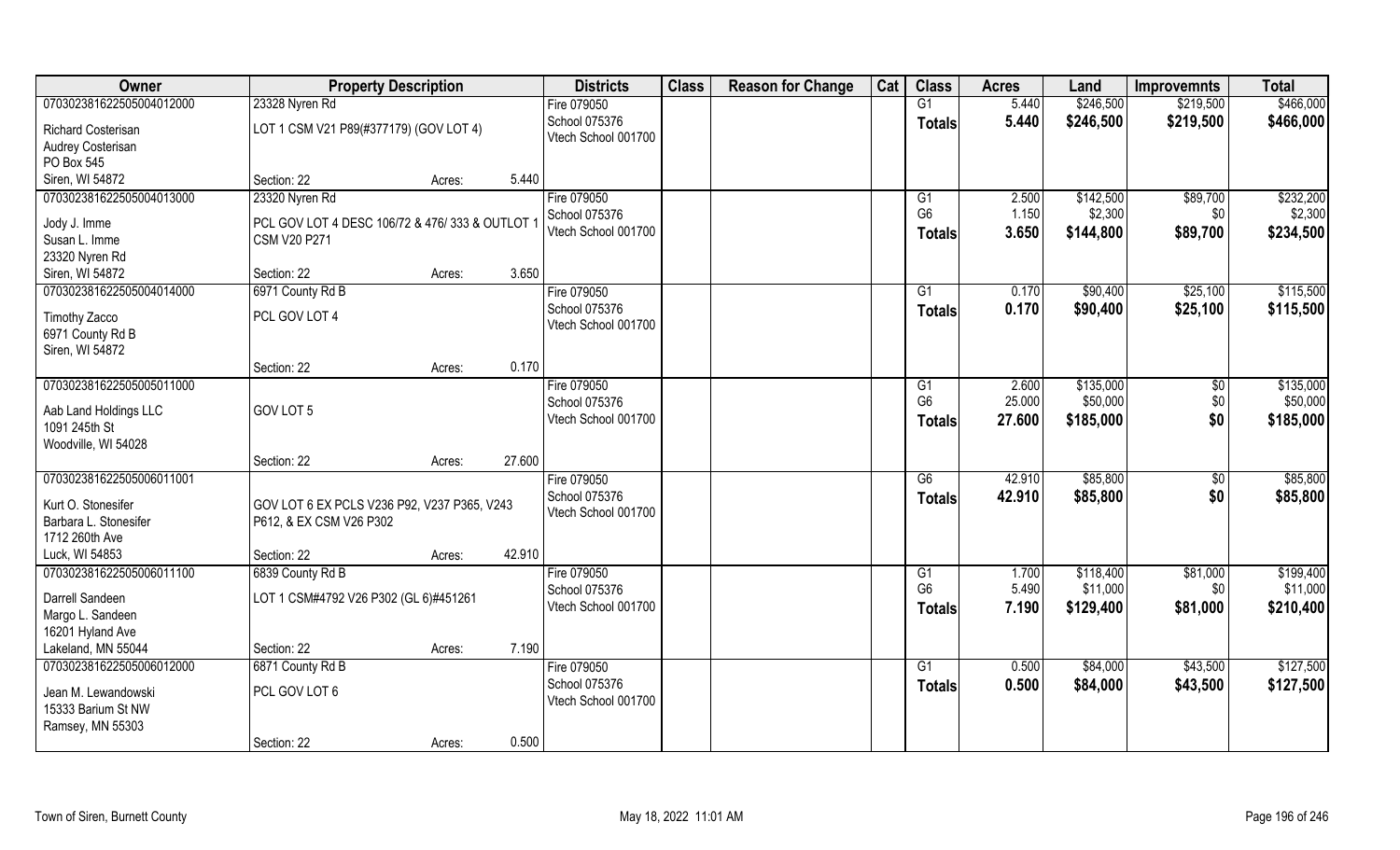| Owner                               | <b>Property Description</b>                  |        |        | <b>Districts</b>                     | <b>Class</b> | <b>Reason for Change</b> | Cat | <b>Class</b>         | <b>Acres</b>   | Land                  | <b>Improvemnts</b> | <b>Total</b>          |
|-------------------------------------|----------------------------------------------|--------|--------|--------------------------------------|--------------|--------------------------|-----|----------------------|----------------|-----------------------|--------------------|-----------------------|
| 070302381622505004012000            | 23328 Nyren Rd                               |        |        | Fire 079050                          |              |                          |     | G1                   | 5.440          | \$246,500             | \$219,500          | \$466,000             |
| Richard Costerisan                  | LOT 1 CSM V21 P89(#377179) (GOV LOT 4)       |        |        | School 075376                        |              |                          |     | <b>Totals</b>        | 5.440          | \$246,500             | \$219,500          | \$466,000             |
| Audrey Costerisan                   |                                              |        |        | Vtech School 001700                  |              |                          |     |                      |                |                       |                    |                       |
| PO Box 545                          |                                              |        |        |                                      |              |                          |     |                      |                |                       |                    |                       |
| Siren, WI 54872                     | Section: 22                                  | Acres: | 5.440  |                                      |              |                          |     |                      |                |                       |                    |                       |
| 070302381622505004013000            | 23320 Nyren Rd                               |        |        | Fire 079050                          |              |                          |     | G1                   | 2.500          | \$142,500             | \$89,700           | \$232,200             |
| Jody J. Imme                        | PCL GOV LOT 4 DESC 106/72 & 476/333 & OUTLOT |        |        | School 075376                        |              |                          |     | G <sub>6</sub>       | 1.150          | \$2,300               | \$0                | \$2,300               |
| Susan L. Imme                       | <b>CSM V20 P271</b>                          |        |        | Vtech School 001700                  |              |                          |     | <b>Totals</b>        | 3.650          | \$144,800             | \$89,700           | \$234,500             |
| 23320 Nyren Rd                      |                                              |        |        |                                      |              |                          |     |                      |                |                       |                    |                       |
| Siren, WI 54872                     | Section: 22                                  | Acres: | 3.650  |                                      |              |                          |     |                      |                |                       |                    |                       |
| 070302381622505004014000            | 6971 County Rd B                             |        |        | Fire 079050                          |              |                          |     | G1                   | 0.170          | \$90,400              | \$25,100           | \$115,500             |
|                                     |                                              |        |        | School 075376                        |              |                          |     | <b>Totals</b>        | 0.170          | \$90,400              | \$25,100           | \$115,500             |
| Timothy Zacco                       | PCL GOV LOT 4                                |        |        | Vtech School 001700                  |              |                          |     |                      |                |                       |                    |                       |
| 6971 County Rd B<br>Siren, WI 54872 |                                              |        |        |                                      |              |                          |     |                      |                |                       |                    |                       |
|                                     | Section: 22                                  | Acres: | 0.170  |                                      |              |                          |     |                      |                |                       |                    |                       |
| 070302381622505005011000            |                                              |        |        | Fire 079050                          |              |                          |     | G1                   | 2.600          | \$135,000             | $\sqrt[6]{3}$      | \$135,000             |
|                                     |                                              |        |        | School 075376                        |              |                          |     | G <sub>6</sub>       | 25.000         | \$50,000              | \$0                | \$50,000              |
| Aab Land Holdings LLC               | GOV LOT 5                                    |        |        | Vtech School 001700                  |              |                          |     | <b>Totals</b>        | 27.600         | \$185,000             | \$0                | \$185,000             |
| 1091 245th St                       |                                              |        |        |                                      |              |                          |     |                      |                |                       |                    |                       |
| Woodville, WI 54028                 | Section: 22                                  |        | 27.600 |                                      |              |                          |     |                      |                |                       |                    |                       |
| 070302381622505006011001            |                                              | Acres: |        | Fire 079050                          |              |                          |     | $\overline{G6}$      | 42.910         | \$85,800              | \$0                | \$85,800              |
|                                     |                                              |        |        | School 075376                        |              |                          |     | <b>Totals</b>        | 42.910         | \$85,800              | \$0                | \$85,800              |
| Kurt O. Stonesifer                  | GOV LOT 6 EX PCLS V236 P92, V237 P365, V243  |        |        | Vtech School 001700                  |              |                          |     |                      |                |                       |                    |                       |
| Barbara L. Stonesifer               | P612, & EX CSM V26 P302                      |        |        |                                      |              |                          |     |                      |                |                       |                    |                       |
| 1712 260th Ave                      |                                              |        |        |                                      |              |                          |     |                      |                |                       |                    |                       |
| Luck, WI 54853                      | Section: 22                                  | Acres: | 42.910 |                                      |              |                          |     |                      |                |                       |                    |                       |
| 070302381622505006011100            | 6839 County Rd B                             |        |        | Fire 079050                          |              |                          |     | G1<br>G <sub>6</sub> | 1.700<br>5.490 | \$118,400<br>\$11,000 | \$81,000           | \$199,400<br>\$11,000 |
| Darrell Sandeen                     | LOT 1 CSM#4792 V26 P302 (GL 6)#451261        |        |        | School 075376<br>Vtech School 001700 |              |                          |     |                      |                |                       | \$0                |                       |
| Margo L. Sandeen                    |                                              |        |        |                                      |              |                          |     | <b>Totals</b>        | 7.190          | \$129,400             | \$81,000           | \$210,400             |
| 16201 Hyland Ave                    |                                              |        |        |                                      |              |                          |     |                      |                |                       |                    |                       |
| Lakeland, MN 55044                  | Section: 22                                  | Acres: | 7.190  |                                      |              |                          |     |                      |                |                       |                    |                       |
| 070302381622505006012000            | 6871 County Rd B                             |        |        | Fire 079050                          |              |                          |     | G1                   | 0.500          | \$84,000              | \$43,500           | \$127,500             |
| Jean M. Lewandowski                 | PCL GOV LOT 6                                |        |        | School 075376                        |              |                          |     | <b>Totals</b>        | 0.500          | \$84,000              | \$43,500           | \$127,500             |
| 15333 Barium St NW                  |                                              |        |        | Vtech School 001700                  |              |                          |     |                      |                |                       |                    |                       |
| Ramsey, MN 55303                    |                                              |        |        |                                      |              |                          |     |                      |                |                       |                    |                       |
|                                     | Section: 22                                  | Acres: | 0.500  |                                      |              |                          |     |                      |                |                       |                    |                       |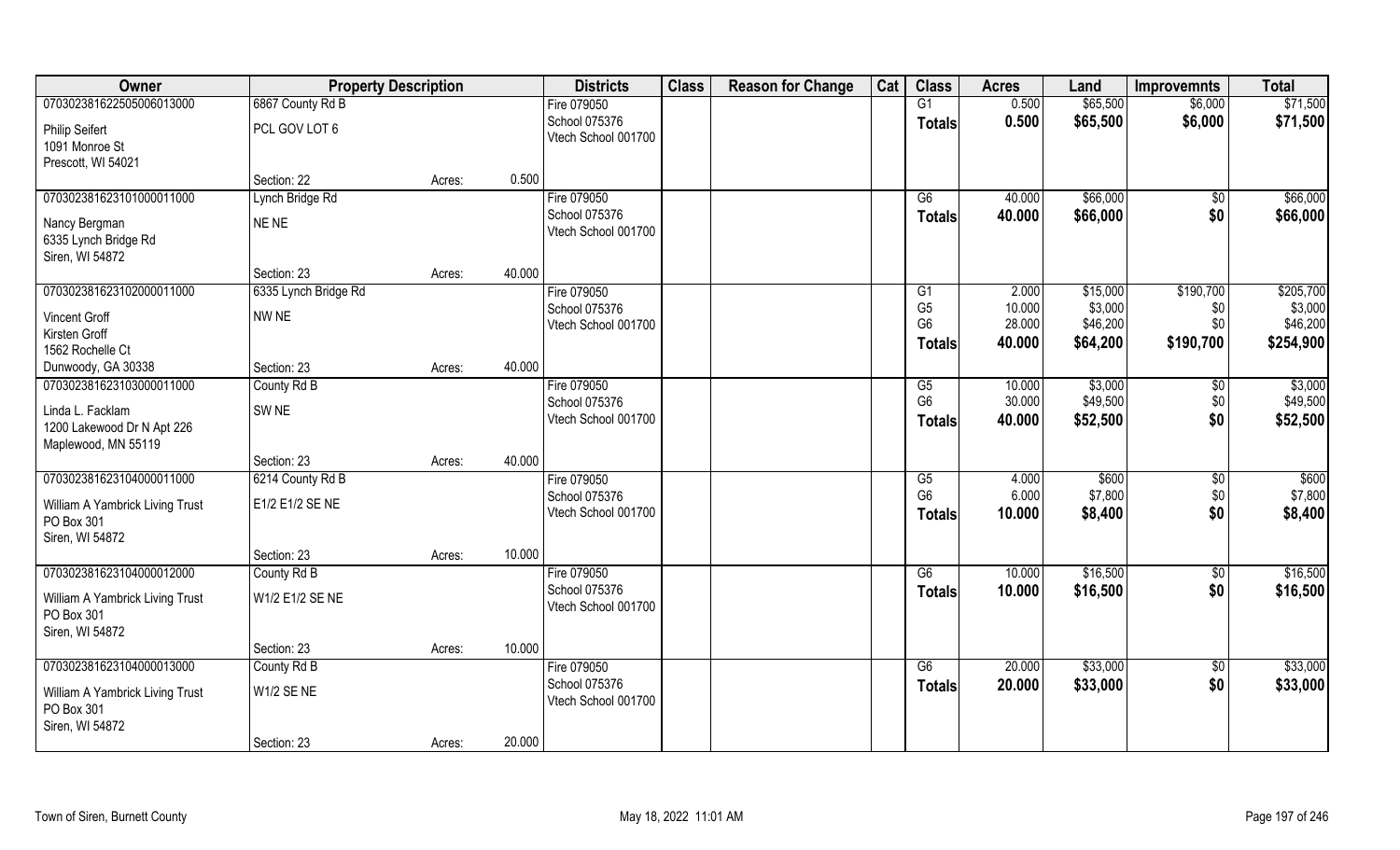| Owner                           |                      | <b>Property Description</b> |        | <b>Districts</b>    | <b>Class</b> | <b>Reason for Change</b> | Cat | <b>Class</b>           | <b>Acres</b> | Land     | <b>Improvemnts</b> | <b>Total</b> |
|---------------------------------|----------------------|-----------------------------|--------|---------------------|--------------|--------------------------|-----|------------------------|--------------|----------|--------------------|--------------|
| 070302381622505006013000        | 6867 County Rd B     |                             |        | Fire 079050         |              |                          |     | G1                     | 0.500        | \$65,500 | \$6,000            | \$71,500     |
| <b>Philip Seifert</b>           | PCL GOV LOT 6        |                             |        | School 075376       |              |                          |     | <b>Totals</b>          | 0.500        | \$65,500 | \$6,000            | \$71,500     |
| 1091 Monroe St                  |                      |                             |        | Vtech School 001700 |              |                          |     |                        |              |          |                    |              |
| Prescott, WI 54021              |                      |                             |        |                     |              |                          |     |                        |              |          |                    |              |
|                                 | Section: 22          | Acres:                      | 0.500  |                     |              |                          |     |                        |              |          |                    |              |
| 070302381623101000011000        | Lynch Bridge Rd      |                             |        | Fire 079050         |              |                          |     | $\overline{G6}$        | 40.000       | \$66,000 | \$0                | \$66,000     |
| Nancy Bergman                   | NE NE                |                             |        | School 075376       |              |                          |     | Totals                 | 40.000       | \$66,000 | \$0                | \$66,000     |
| 6335 Lynch Bridge Rd            |                      |                             |        | Vtech School 001700 |              |                          |     |                        |              |          |                    |              |
| Siren, WI 54872                 |                      |                             |        |                     |              |                          |     |                        |              |          |                    |              |
|                                 | Section: 23          | Acres:                      | 40.000 |                     |              |                          |     |                        |              |          |                    |              |
| 070302381623102000011000        | 6335 Lynch Bridge Rd |                             |        | Fire 079050         |              |                          |     | G1                     | 2.000        | \$15,000 | \$190,700          | \$205,700    |
| <b>Vincent Groff</b>            | NW NE                |                             |        | School 075376       |              |                          |     | G <sub>5</sub>         | 10.000       | \$3,000  | \$0                | \$3,000      |
| Kirsten Groff                   |                      |                             |        | Vtech School 001700 |              |                          |     | G <sub>6</sub>         | 28.000       | \$46,200 | \$0                | \$46,200     |
| 1562 Rochelle Ct                |                      |                             |        |                     |              |                          |     | Totals                 | 40.000       | \$64,200 | \$190,700          | \$254,900    |
| Dunwoody, GA 30338              | Section: 23          | Acres:                      | 40.000 |                     |              |                          |     |                        |              |          |                    |              |
| 070302381623103000011000        | County Rd B          |                             |        | Fire 079050         |              |                          |     | G5                     | 10.000       | \$3,000  | \$0                | \$3,000      |
| Linda L. Facklam                | SW <sub>NE</sub>     |                             |        | School 075376       |              |                          |     | G <sub>6</sub>         | 30.000       | \$49,500 | \$0                | \$49,500     |
| 1200 Lakewood Dr N Apt 226      |                      |                             |        | Vtech School 001700 |              |                          |     | <b>Totals</b>          | 40.000       | \$52,500 | \$0                | \$52,500     |
| Maplewood, MN 55119             |                      |                             |        |                     |              |                          |     |                        |              |          |                    |              |
|                                 | Section: 23          | Acres:                      | 40.000 |                     |              |                          |     |                        |              |          |                    |              |
| 070302381623104000011000        | 6214 County Rd B     |                             |        | Fire 079050         |              |                          |     | $\overline{\text{G5}}$ | 4.000        | \$600    | $\overline{50}$    | \$600        |
| William A Yambrick Living Trust | E1/2 E1/2 SE NE      |                             |        | School 075376       |              |                          |     | G <sub>6</sub>         | 6.000        | \$7,800  | \$0                | \$7,800      |
| PO Box 301                      |                      |                             |        | Vtech School 001700 |              |                          |     | <b>Totals</b>          | 10.000       | \$8,400  | \$0                | \$8,400      |
| Siren, WI 54872                 |                      |                             |        |                     |              |                          |     |                        |              |          |                    |              |
|                                 | Section: 23          | Acres:                      | 10.000 |                     |              |                          |     |                        |              |          |                    |              |
| 070302381623104000012000        | County Rd B          |                             |        | Fire 079050         |              |                          |     | G6                     | 10.000       | \$16,500 | $\sqrt{$0}$        | \$16,500     |
| William A Yambrick Living Trust | W1/2 E1/2 SE NE      |                             |        | School 075376       |              |                          |     | <b>Totals</b>          | 10.000       | \$16,500 | \$0                | \$16,500     |
| PO Box 301                      |                      |                             |        | Vtech School 001700 |              |                          |     |                        |              |          |                    |              |
| Siren, WI 54872                 |                      |                             |        |                     |              |                          |     |                        |              |          |                    |              |
|                                 | Section: 23          | Acres:                      | 10.000 |                     |              |                          |     |                        |              |          |                    |              |
| 070302381623104000013000        | County Rd B          |                             |        | Fire 079050         |              |                          |     | G6                     | 20.000       | \$33,000 | $\overline{30}$    | \$33,000     |
| William A Yambrick Living Trust | <b>W1/2 SE NE</b>    |                             |        | School 075376       |              |                          |     | <b>Totals</b>          | 20.000       | \$33,000 | \$0                | \$33,000     |
| PO Box 301                      |                      |                             |        | Vtech School 001700 |              |                          |     |                        |              |          |                    |              |
| Siren, WI 54872                 |                      |                             |        |                     |              |                          |     |                        |              |          |                    |              |
|                                 | Section: 23          | Acres:                      | 20.000 |                     |              |                          |     |                        |              |          |                    |              |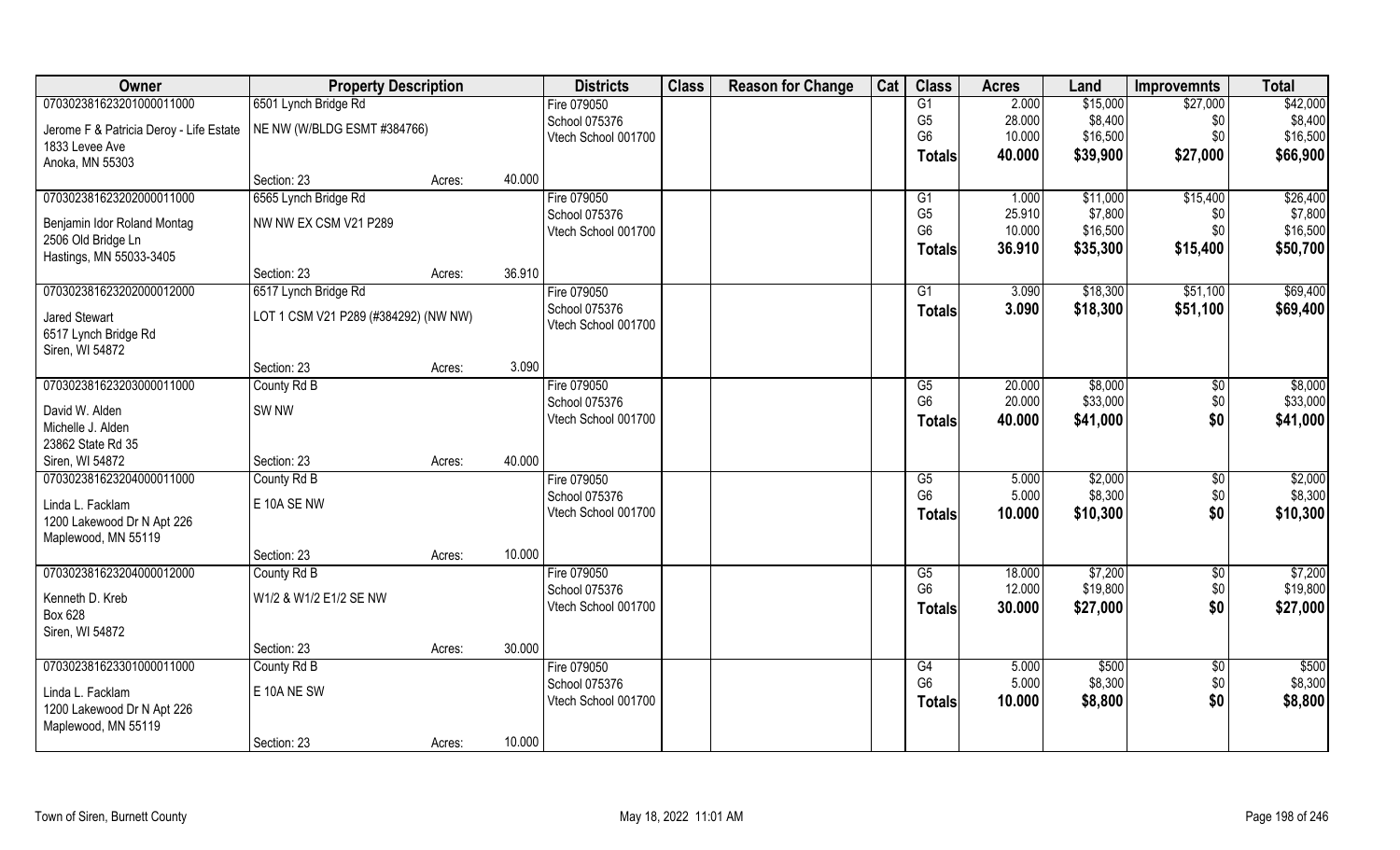| Owner                                   | <b>Property Description</b>          |        |        | <b>Districts</b>    | <b>Class</b> | <b>Reason for Change</b> | Cat | <b>Class</b>           | <b>Acres</b> | Land     | <b>Improvemnts</b> | <b>Total</b> |
|-----------------------------------------|--------------------------------------|--------|--------|---------------------|--------------|--------------------------|-----|------------------------|--------------|----------|--------------------|--------------|
| 070302381623201000011000                | 6501 Lynch Bridge Rd                 |        |        | Fire 079050         |              |                          |     | G1                     | 2.000        | \$15,000 | \$27,000           | \$42,000     |
| Jerome F & Patricia Deroy - Life Estate | NE NW (W/BLDG ESMT #384766)          |        |        | School 075376       |              |                          |     | G <sub>5</sub>         | 28.000       | \$8,400  | \$0                | \$8,400      |
| 1833 Levee Ave                          |                                      |        |        | Vtech School 001700 |              |                          |     | G <sub>6</sub>         | 10.000       | \$16,500 | \$0                | \$16,500     |
| Anoka, MN 55303                         |                                      |        |        |                     |              |                          |     | <b>Totals</b>          | 40.000       | \$39,900 | \$27,000           | \$66,900     |
|                                         | Section: 23                          | Acres: | 40.000 |                     |              |                          |     |                        |              |          |                    |              |
| 070302381623202000011000                | 6565 Lynch Bridge Rd                 |        |        | Fire 079050         |              |                          |     | G <sub>1</sub>         | 1.000        | \$11,000 | \$15,400           | \$26,400     |
| Benjamin Idor Roland Montag             | NW NW EX CSM V21 P289                |        |        | School 075376       |              |                          |     | G <sub>5</sub>         | 25.910       | \$7,800  | \$0                | \$7,800      |
| 2506 Old Bridge Ln                      |                                      |        |        | Vtech School 001700 |              |                          |     | G <sub>6</sub>         | 10.000       | \$16,500 | \$0                | \$16,500     |
| Hastings, MN 55033-3405                 |                                      |        |        |                     |              |                          |     | <b>Totals</b>          | 36.910       | \$35,300 | \$15,400           | \$50,700     |
|                                         | Section: 23                          | Acres: | 36.910 |                     |              |                          |     |                        |              |          |                    |              |
| 070302381623202000012000                | 6517 Lynch Bridge Rd                 |        |        | Fire 079050         |              |                          |     | G1                     | 3.090        | \$18,300 | \$51,100           | \$69,400     |
| <b>Jared Stewart</b>                    | LOT 1 CSM V21 P289 (#384292) (NW NW) |        |        | School 075376       |              |                          |     | <b>Totals</b>          | 3.090        | \$18,300 | \$51,100           | \$69,400     |
| 6517 Lynch Bridge Rd                    |                                      |        |        | Vtech School 001700 |              |                          |     |                        |              |          |                    |              |
| Siren, WI 54872                         |                                      |        |        |                     |              |                          |     |                        |              |          |                    |              |
|                                         | Section: 23                          | Acres: | 3.090  |                     |              |                          |     |                        |              |          |                    |              |
| 070302381623203000011000                | County Rd B                          |        |        | Fire 079050         |              |                          |     | G5                     | 20.000       | \$8,000  | \$0                | \$8,000      |
| David W. Alden                          | SW <sub>NW</sub>                     |        |        | School 075376       |              |                          |     | G <sub>6</sub>         | 20.000       | \$33,000 | \$0                | \$33,000     |
| Michelle J. Alden                       |                                      |        |        | Vtech School 001700 |              |                          |     | <b>Totals</b>          | 40.000       | \$41,000 | \$0                | \$41,000     |
| 23862 State Rd 35                       |                                      |        |        |                     |              |                          |     |                        |              |          |                    |              |
| Siren, WI 54872                         | Section: 23                          | Acres: | 40.000 |                     |              |                          |     |                        |              |          |                    |              |
| 070302381623204000011000                | County Rd B                          |        |        | Fire 079050         |              |                          |     | $\overline{\text{G5}}$ | 5.000        | \$2,000  | $\overline{50}$    | \$2,000      |
| Linda L. Facklam                        | E 10A SE NW                          |        |        | School 075376       |              |                          |     | G <sub>6</sub>         | 5.000        | \$8,300  | \$0                | \$8,300      |
| 1200 Lakewood Dr N Apt 226              |                                      |        |        | Vtech School 001700 |              |                          |     | <b>Totals</b>          | 10.000       | \$10,300 | \$0                | \$10,300     |
| Maplewood, MN 55119                     |                                      |        |        |                     |              |                          |     |                        |              |          |                    |              |
|                                         | Section: 23                          | Acres: | 10.000 |                     |              |                          |     |                        |              |          |                    |              |
| 070302381623204000012000                | County Rd B                          |        |        | Fire 079050         |              |                          |     | G5                     | 18.000       | \$7,200  | \$0                | \$7,200      |
| Kenneth D. Kreb                         | W1/2 & W1/2 E1/2 SE NW               |        |        | School 075376       |              |                          |     | G <sub>6</sub>         | 12.000       | \$19,800 | $$0$$              | \$19,800     |
| Box 628                                 |                                      |        |        | Vtech School 001700 |              |                          |     | <b>Totals</b>          | 30.000       | \$27,000 | \$0                | \$27,000     |
| Siren, WI 54872                         |                                      |        |        |                     |              |                          |     |                        |              |          |                    |              |
|                                         | Section: 23                          | Acres: | 30.000 |                     |              |                          |     |                        |              |          |                    |              |
| 070302381623301000011000                | County Rd B                          |        |        | Fire 079050         |              |                          |     | G4                     | 5.000        | \$500    | $\overline{60}$    | \$500        |
| Linda L. Facklam                        | E 10A NE SW                          |        |        | School 075376       |              |                          |     | G <sub>6</sub>         | 5.000        | \$8,300  | \$0                | \$8,300      |
| 1200 Lakewood Dr N Apt 226              |                                      |        |        | Vtech School 001700 |              |                          |     | <b>Totals</b>          | 10.000       | \$8,800  | \$0                | \$8,800      |
| Maplewood, MN 55119                     |                                      |        |        |                     |              |                          |     |                        |              |          |                    |              |
|                                         | Section: 23                          | Acres: | 10.000 |                     |              |                          |     |                        |              |          |                    |              |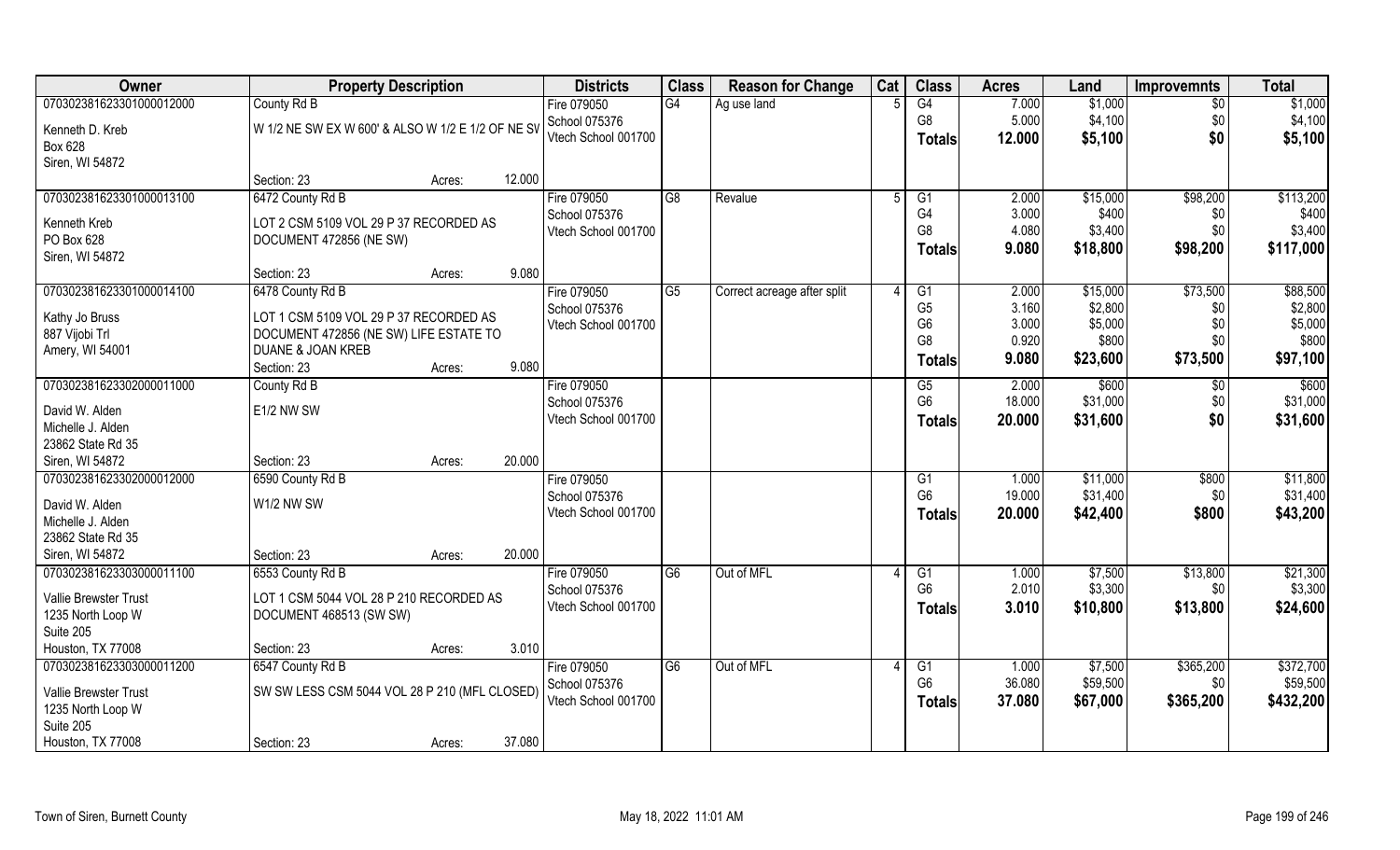| Owner                    | <b>Property Description</b>                       |        |        | <b>Districts</b>    | <b>Class</b>    | <b>Reason for Change</b>    | Cat | <b>Class</b>   | <b>Acres</b>   | Land     | <b>Improvemnts</b> | <b>Total</b> |
|--------------------------|---------------------------------------------------|--------|--------|---------------------|-----------------|-----------------------------|-----|----------------|----------------|----------|--------------------|--------------|
| 070302381623301000012000 | County Rd B                                       |        |        | Fire 079050         | G4              | Ag use land                 |     | G4             | 7.000          | \$1,000  | $\sqrt{6}$         | \$1,000      |
| Kenneth D. Kreb          | W 1/2 NE SW EX W 600' & ALSO W 1/2 E 1/2 OF NE SV |        |        | School 075376       |                 |                             |     | G <sub>8</sub> | 5.000          | \$4,100  | \$0                | \$4,100      |
| Box 628                  |                                                   |        |        | Vtech School 001700 |                 |                             |     | <b>Totals</b>  | 12.000         | \$5,100  | \$0                | \$5,100      |
| Siren, WI 54872          |                                                   |        |        |                     |                 |                             |     |                |                |          |                    |              |
|                          | Section: 23                                       | Acres: | 12.000 |                     |                 |                             |     |                |                |          |                    |              |
| 070302381623301000013100 | 6472 County Rd B                                  |        |        | Fire 079050         | G8              | Revalue                     |     | G1             | 2.000          | \$15,000 | \$98,200           | \$113,200    |
| Kenneth Kreb             | LOT 2 CSM 5109 VOL 29 P 37 RECORDED AS            |        |        | School 075376       |                 |                             |     | G4             | 3.000          | \$400    | \$0                | \$400        |
| PO Box 628               | DOCUMENT 472856 (NE SW)                           |        |        | Vtech School 001700 |                 |                             |     | G <sub>8</sub> | 4.080          | \$3,400  | \$0                | \$3,400      |
| Siren, WI 54872          |                                                   |        |        |                     |                 |                             |     | <b>Totals</b>  | 9.080          | \$18,800 | \$98,200           | \$117,000    |
|                          | Section: 23                                       | Acres: | 9.080  |                     |                 |                             |     |                |                |          |                    |              |
| 070302381623301000014100 | 6478 County Rd B                                  |        |        | Fire 079050         | $\overline{G5}$ | Correct acreage after split |     | G1             | 2.000          | \$15,000 | \$73,500           | \$88,500     |
| Kathy Jo Bruss           | LOT 1 CSM 5109 VOL 29 P 37 RECORDED AS            |        |        | School 075376       |                 |                             |     | G <sub>5</sub> | 3.160          | \$2,800  | \$0                | \$2,800      |
| 887 Vijobi Trl           | DOCUMENT 472856 (NE SW) LIFE ESTATE TO            |        |        | Vtech School 001700 |                 |                             |     | G <sub>6</sub> | 3.000          | \$5,000  | \$0                | \$5,000      |
| Amery, WI 54001          | <b>DUANE &amp; JOAN KREB</b>                      |        |        |                     |                 |                             |     | G <sub>8</sub> | 0.920<br>9.080 | \$800    | \$0                | \$800        |
|                          | Section: 23                                       | Acres: | 9.080  |                     |                 |                             |     | <b>Totals</b>  |                | \$23,600 | \$73,500           | \$97,100     |
| 070302381623302000011000 | County Rd B                                       |        |        | Fire 079050         |                 |                             |     | G5             | 2.000          | \$600    | \$0                | \$600        |
| David W. Alden           | <b>E1/2 NW SW</b>                                 |        |        | School 075376       |                 |                             |     | G <sub>6</sub> | 18.000         | \$31,000 | \$0                | \$31,000     |
| Michelle J. Alden        |                                                   |        |        | Vtech School 001700 |                 |                             |     | <b>Totals</b>  | 20.000         | \$31,600 | \$0                | \$31,600     |
| 23862 State Rd 35        |                                                   |        |        |                     |                 |                             |     |                |                |          |                    |              |
| Siren, WI 54872          | Section: 23                                       | Acres: | 20.000 |                     |                 |                             |     |                |                |          |                    |              |
| 070302381623302000012000 | 6590 County Rd B                                  |        |        | Fire 079050         |                 |                             |     | G1             | 1.000          | \$11,000 | \$800              | \$11,800     |
| David W. Alden           | W1/2 NW SW                                        |        |        | School 075376       |                 |                             |     | G <sub>6</sub> | 19.000         | \$31,400 | \$0                | \$31,400     |
| Michelle J. Alden        |                                                   |        |        | Vtech School 001700 |                 |                             |     | <b>Totals</b>  | 20.000         | \$42,400 | \$800              | \$43,200     |
| 23862 State Rd 35        |                                                   |        |        |                     |                 |                             |     |                |                |          |                    |              |
| Siren, WI 54872          | Section: 23                                       | Acres: | 20.000 |                     |                 |                             |     |                |                |          |                    |              |
| 070302381623303000011100 | 6553 County Rd B                                  |        |        | Fire 079050         | G <sub>6</sub>  | Out of MFL                  |     | G1             | 1.000          | \$7,500  | \$13,800           | \$21,300     |
| Vallie Brewster Trust    | LOT 1 CSM 5044 VOL 28 P 210 RECORDED AS           |        |        | School 075376       |                 |                             |     | G <sub>6</sub> | 2.010          | \$3,300  | \$0                | \$3,300      |
| 1235 North Loop W        | DOCUMENT 468513 (SW SW)                           |        |        | Vtech School 001700 |                 |                             |     | <b>Totals</b>  | 3.010          | \$10,800 | \$13,800           | \$24,600     |
| Suite 205                |                                                   |        |        |                     |                 |                             |     |                |                |          |                    |              |
| Houston, TX 77008        | Section: 23                                       | Acres: | 3.010  |                     |                 |                             |     |                |                |          |                    |              |
| 070302381623303000011200 | 6547 County Rd B                                  |        |        | Fire 079050         | $\overline{G6}$ | Out of MFL                  |     | G1             | 1.000          | \$7,500  | \$365,200          | \$372,700    |
| Vallie Brewster Trust    | SW SW LESS CSM 5044 VOL 28 P 210 (MFL CLOSED)     |        |        | School 075376       |                 |                             |     | G <sub>6</sub> | 36.080         | \$59,500 | \$0                | \$59,500     |
| 1235 North Loop W        |                                                   |        |        | Vtech School 001700 |                 |                             |     | <b>Totals</b>  | 37.080         | \$67,000 | \$365,200          | \$432,200    |
| Suite 205                |                                                   |        |        |                     |                 |                             |     |                |                |          |                    |              |
| Houston, TX 77008        | Section: 23                                       | Acres: | 37.080 |                     |                 |                             |     |                |                |          |                    |              |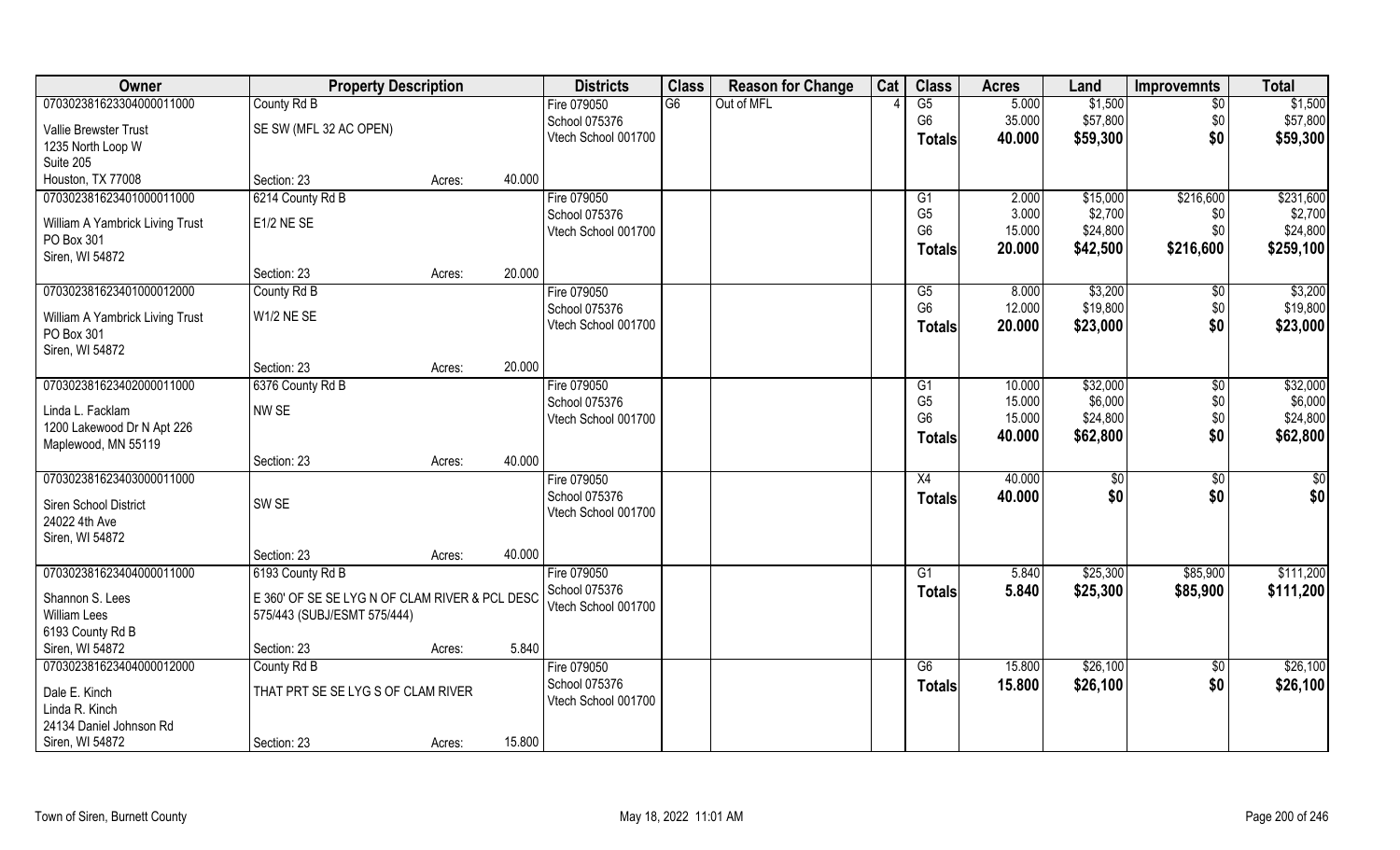| Owner                           | <b>Property Description</b>                    |        |        | <b>Districts</b>    | <b>Class</b>    | <b>Reason for Change</b> | Cat | <b>Class</b>   | <b>Acres</b> | Land     | <b>Improvemnts</b> | <b>Total</b>    |
|---------------------------------|------------------------------------------------|--------|--------|---------------------|-----------------|--------------------------|-----|----------------|--------------|----------|--------------------|-----------------|
| 070302381623304000011000        | County Rd B                                    |        |        | Fire 079050         | $\overline{G6}$ | Out of MFL               |     | G5             | 5.000        | \$1,500  | $\overline{50}$    | \$1,500         |
| <b>Vallie Brewster Trust</b>    | SE SW (MFL 32 AC OPEN)                         |        |        | School 075376       |                 |                          |     | G <sub>6</sub> | 35.000       | \$57,800 | \$0                | \$57,800        |
| 1235 North Loop W               |                                                |        |        | Vtech School 001700 |                 |                          |     | <b>Totals</b>  | 40.000       | \$59,300 | \$0                | \$59,300        |
| Suite 205                       |                                                |        |        |                     |                 |                          |     |                |              |          |                    |                 |
| Houston, TX 77008               | Section: 23                                    | Acres: | 40.000 |                     |                 |                          |     |                |              |          |                    |                 |
| 070302381623401000011000        | 6214 County Rd B                               |        |        | Fire 079050         |                 |                          |     | G1             | 2.000        | \$15,000 | \$216,600          | \$231,600       |
| William A Yambrick Living Trust | E1/2 NE SE                                     |        |        | School 075376       |                 |                          |     | G <sub>5</sub> | 3.000        | \$2,700  | \$0                | \$2,700         |
| PO Box 301                      |                                                |        |        | Vtech School 001700 |                 |                          |     | G <sub>6</sub> | 15.000       | \$24,800 | \$0                | \$24,800        |
| Siren, WI 54872                 |                                                |        |        |                     |                 |                          |     | <b>Totals</b>  | 20.000       | \$42,500 | \$216,600          | \$259,100       |
|                                 | Section: 23                                    | Acres: | 20.000 |                     |                 |                          |     |                |              |          |                    |                 |
| 070302381623401000012000        | County Rd B                                    |        |        | Fire 079050         |                 |                          |     | G5             | 8.000        | \$3,200  | \$0                | \$3,200         |
| William A Yambrick Living Trust | W1/2 NE SE                                     |        |        | School 075376       |                 |                          |     | G <sub>6</sub> | 12.000       | \$19,800 | \$0                | \$19,800        |
| PO Box 301                      |                                                |        |        | Vtech School 001700 |                 |                          |     | <b>Totals</b>  | 20.000       | \$23,000 | \$0                | \$23,000        |
| Siren, WI 54872                 |                                                |        |        |                     |                 |                          |     |                |              |          |                    |                 |
|                                 | Section: 23                                    | Acres: | 20.000 |                     |                 |                          |     |                |              |          |                    |                 |
| 070302381623402000011000        | 6376 County Rd B                               |        |        | Fire 079050         |                 |                          |     | G <sub>1</sub> | 10.000       | \$32,000 | $\sqrt[6]{}$       | \$32,000        |
| Linda L. Facklam                | NW SE                                          |        |        | School 075376       |                 |                          |     | G <sub>5</sub> | 15.000       | \$6,000  | \$0                | \$6,000         |
| 1200 Lakewood Dr N Apt 226      |                                                |        |        | Vtech School 001700 |                 |                          |     | G <sub>6</sub> | 15.000       | \$24,800 | \$0                | \$24,800        |
| Maplewood, MN 55119             |                                                |        |        |                     |                 |                          |     | <b>Totals</b>  | 40.000       | \$62,800 | \$0                | \$62,800        |
|                                 | Section: 23                                    | Acres: | 40.000 |                     |                 |                          |     |                |              |          |                    |                 |
| 070302381623403000011000        |                                                |        |        | Fire 079050         |                 |                          |     | X4             | 40.000       | \$0      | $\overline{50}$    | $\overline{50}$ |
| Siren School District           | SW <sub>SE</sub>                               |        |        | School 075376       |                 |                          |     | <b>Totals</b>  | 40.000       | \$0      | \$0                | \$0             |
| 24022 4th Ave                   |                                                |        |        | Vtech School 001700 |                 |                          |     |                |              |          |                    |                 |
| Siren, WI 54872                 |                                                |        |        |                     |                 |                          |     |                |              |          |                    |                 |
|                                 | Section: 23                                    | Acres: | 40.000 |                     |                 |                          |     |                |              |          |                    |                 |
| 070302381623404000011000        | 6193 County Rd B                               |        |        | Fire 079050         |                 |                          |     | G1             | 5.840        | \$25,300 | \$85,900           | \$111,200       |
| Shannon S. Lees                 | E 360' OF SE SE LYG N OF CLAM RIVER & PCL DESC |        |        | School 075376       |                 |                          |     | <b>Totals</b>  | 5.840        | \$25,300 | \$85,900           | \$111,200       |
| <b>William Lees</b>             | 575/443 (SUBJ/ESMT 575/444)                    |        |        | Vtech School 001700 |                 |                          |     |                |              |          |                    |                 |
| 6193 County Rd B                |                                                |        |        |                     |                 |                          |     |                |              |          |                    |                 |
| Siren, WI 54872                 | Section: 23                                    | Acres: | 5.840  |                     |                 |                          |     |                |              |          |                    |                 |
| 070302381623404000012000        | County Rd B                                    |        |        | Fire 079050         |                 |                          |     | G6             | 15.800       | \$26,100 | $\sqrt{$0}$        | \$26,100        |
| Dale E. Kinch                   | THAT PRT SE SE LYG S OF CLAM RIVER             |        |        | School 075376       |                 |                          |     | <b>Totals</b>  | 15.800       | \$26,100 | \$0                | \$26,100        |
| Linda R. Kinch                  |                                                |        |        | Vtech School 001700 |                 |                          |     |                |              |          |                    |                 |
| 24134 Daniel Johnson Rd         |                                                |        |        |                     |                 |                          |     |                |              |          |                    |                 |
| Siren, WI 54872                 | Section: 23                                    | Acres: | 15.800 |                     |                 |                          |     |                |              |          |                    |                 |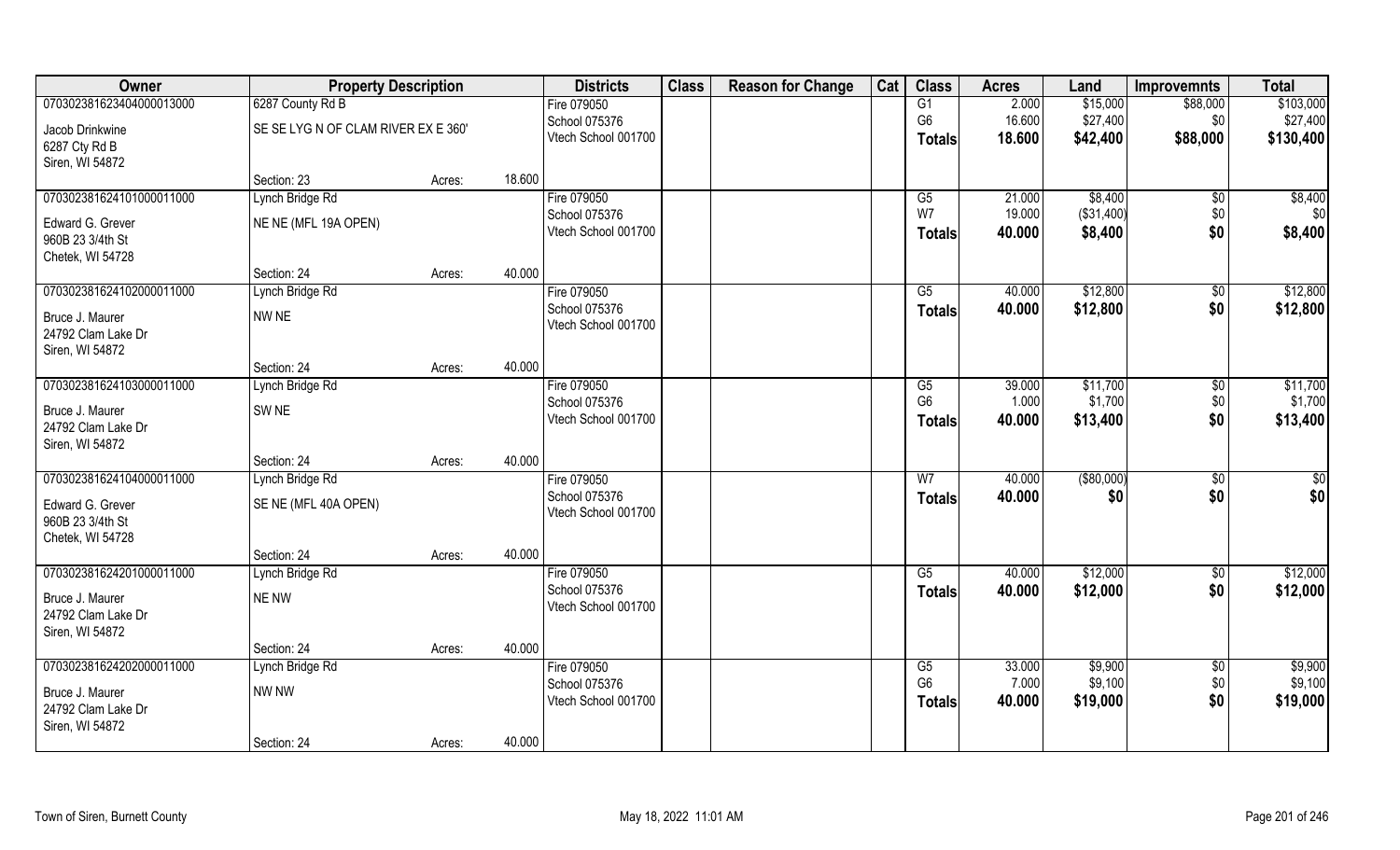| Owner                    | <b>Property Description</b>         |        |        | <b>Districts</b>    | <b>Class</b> | <b>Reason for Change</b> | Cat | <b>Class</b>   | <b>Acres</b> | Land        | <b>Improvemnts</b> | <b>Total</b>    |
|--------------------------|-------------------------------------|--------|--------|---------------------|--------------|--------------------------|-----|----------------|--------------|-------------|--------------------|-----------------|
| 070302381623404000013000 | 6287 County Rd B                    |        |        | Fire 079050         |              |                          |     | G1             | 2.000        | \$15,000    | \$88,000           | \$103,000       |
| Jacob Drinkwine          | SE SE LYG N OF CLAM RIVER EX E 360' |        |        | School 075376       |              |                          |     | G <sub>6</sub> | 16.600       | \$27,400    | \$0                | \$27,400        |
| 6287 Cty Rd B            |                                     |        |        | Vtech School 001700 |              |                          |     | <b>Totals</b>  | 18.600       | \$42,400    | \$88,000           | \$130,400       |
| Siren, WI 54872          |                                     |        |        |                     |              |                          |     |                |              |             |                    |                 |
|                          | Section: 23                         | Acres: | 18.600 |                     |              |                          |     |                |              |             |                    |                 |
| 070302381624101000011000 | Lynch Bridge Rd                     |        |        | Fire 079050         |              |                          |     | G5             | 21.000       | \$8,400     | $\sqrt{6}$         | \$8,400         |
| Edward G. Grever         | NE NE (MFL 19A OPEN)                |        |        | School 075376       |              |                          |     | W7             | 19.000       | (\$31,400)  | \$0                | \$0             |
| 960B 23 3/4th St         |                                     |        |        | Vtech School 001700 |              |                          |     | <b>Totals</b>  | 40.000       | \$8,400     | \$0                | \$8,400         |
| Chetek, WI 54728         |                                     |        |        |                     |              |                          |     |                |              |             |                    |                 |
|                          | Section: 24                         | Acres: | 40.000 |                     |              |                          |     |                |              |             |                    |                 |
| 070302381624102000011000 | Lynch Bridge Rd                     |        |        | Fire 079050         |              |                          |     | G5             | 40.000       | \$12,800    | \$0                | \$12,800        |
| Bruce J. Maurer          | NW NE                               |        |        | School 075376       |              |                          |     | <b>Totals</b>  | 40.000       | \$12,800    | \$0                | \$12,800        |
| 24792 Clam Lake Dr       |                                     |        |        | Vtech School 001700 |              |                          |     |                |              |             |                    |                 |
| Siren, WI 54872          |                                     |        |        |                     |              |                          |     |                |              |             |                    |                 |
|                          | Section: 24                         | Acres: | 40.000 |                     |              |                          |     |                |              |             |                    |                 |
| 070302381624103000011000 | Lynch Bridge Rd                     |        |        | Fire 079050         |              |                          |     | G5             | 39.000       | \$11,700    | \$0                | \$11,700        |
| Bruce J. Maurer          | SW <sub>NE</sub>                    |        |        | School 075376       |              |                          |     | G <sub>6</sub> | 1.000        | \$1,700     | \$0                | \$1,700         |
| 24792 Clam Lake Dr       |                                     |        |        | Vtech School 001700 |              |                          |     | <b>Totals</b>  | 40.000       | \$13,400    | \$0                | \$13,400        |
| Siren, WI 54872          |                                     |        |        |                     |              |                          |     |                |              |             |                    |                 |
|                          | Section: 24                         | Acres: | 40.000 |                     |              |                          |     |                |              |             |                    |                 |
| 070302381624104000011000 | Lynch Bridge Rd                     |        |        | Fire 079050         |              |                          |     | W <sub>7</sub> | 40.000       | ( \$80,000) | \$0                | $\overline{50}$ |
| Edward G. Grever         | SE NE (MFL 40A OPEN)                |        |        | School 075376       |              |                          |     | <b>Totals</b>  | 40.000       | \$0         | \$0                | \$0             |
| 960B 23 3/4th St         |                                     |        |        | Vtech School 001700 |              |                          |     |                |              |             |                    |                 |
| Chetek, WI 54728         |                                     |        |        |                     |              |                          |     |                |              |             |                    |                 |
|                          | Section: 24                         | Acres: | 40.000 |                     |              |                          |     |                |              |             |                    |                 |
| 070302381624201000011000 | Lynch Bridge Rd                     |        |        | Fire 079050         |              |                          |     | G5             | 40.000       | \$12,000    | \$0                | \$12,000        |
| Bruce J. Maurer          | NE NW                               |        |        | School 075376       |              |                          |     | <b>Totals</b>  | 40.000       | \$12,000    | \$0                | \$12,000        |
| 24792 Clam Lake Dr       |                                     |        |        | Vtech School 001700 |              |                          |     |                |              |             |                    |                 |
| Siren, WI 54872          |                                     |        |        |                     |              |                          |     |                |              |             |                    |                 |
|                          | Section: 24                         | Acres: | 40.000 |                     |              |                          |     |                |              |             |                    |                 |
| 070302381624202000011000 | Lynch Bridge Rd                     |        |        | Fire 079050         |              |                          |     | G5             | 33.000       | \$9,900     | $\overline{50}$    | \$9,900         |
| Bruce J. Maurer          | NW NW                               |        |        | School 075376       |              |                          |     | G <sub>6</sub> | 7.000        | \$9,100     | \$0                | \$9,100         |
| 24792 Clam Lake Dr       |                                     |        |        | Vtech School 001700 |              |                          |     | <b>Totals</b>  | 40.000       | \$19,000    | \$0                | \$19,000        |
| Siren, WI 54872          |                                     |        |        |                     |              |                          |     |                |              |             |                    |                 |
|                          | Section: 24                         | Acres: | 40.000 |                     |              |                          |     |                |              |             |                    |                 |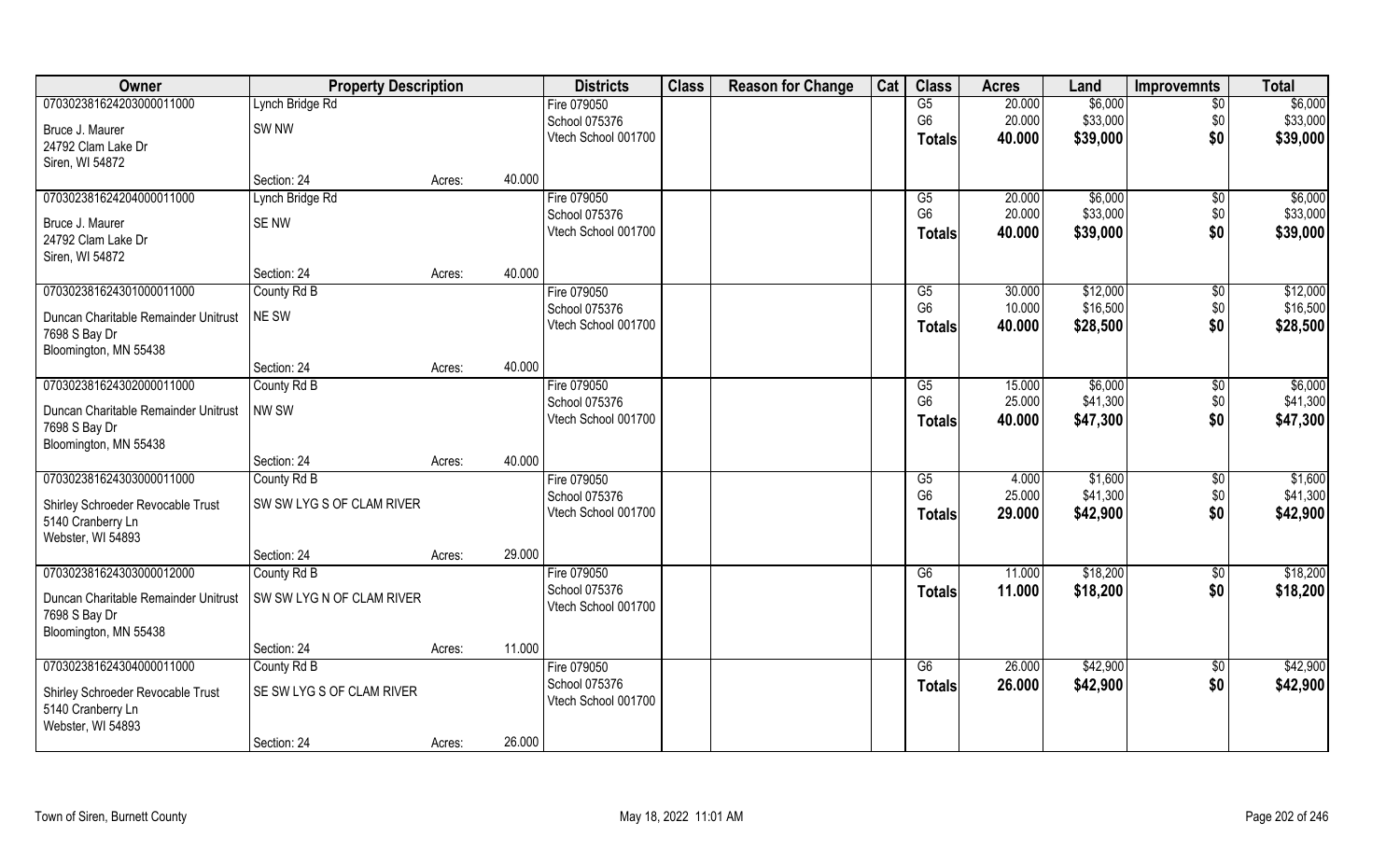| Owner                                | <b>Property Description</b> |        |        | <b>Districts</b>                     | <b>Class</b> | <b>Reason for Change</b> | Cat | <b>Class</b>           | <b>Acres</b> | Land     | <b>Improvemnts</b> | <b>Total</b> |
|--------------------------------------|-----------------------------|--------|--------|--------------------------------------|--------------|--------------------------|-----|------------------------|--------------|----------|--------------------|--------------|
| 070302381624203000011000             | Lynch Bridge Rd             |        |        | Fire 079050                          |              |                          |     | $\overline{G5}$        | 20.000       | \$6,000  | $\overline{50}$    | \$6,000      |
| Bruce J. Maurer                      | SW <sub>NW</sub>            |        |        | School 075376                        |              |                          |     | G <sub>6</sub>         | 20.000       | \$33,000 | \$0                | \$33,000     |
| 24792 Clam Lake Dr                   |                             |        |        | Vtech School 001700                  |              |                          |     | <b>Totals</b>          | 40.000       | \$39,000 | \$0                | \$39,000     |
| Siren, WI 54872                      |                             |        |        |                                      |              |                          |     |                        |              |          |                    |              |
|                                      | Section: 24                 | Acres: | 40.000 |                                      |              |                          |     |                        |              |          |                    |              |
| 070302381624204000011000             | Lynch Bridge Rd             |        |        | Fire 079050                          |              |                          |     | G5                     | 20.000       | \$6,000  | \$0                | \$6,000      |
| Bruce J. Maurer                      | <b>SENW</b>                 |        |        | School 075376                        |              |                          |     | G <sub>6</sub>         | 20.000       | \$33,000 | \$0                | \$33,000     |
| 24792 Clam Lake Dr                   |                             |        |        | Vtech School 001700                  |              |                          |     | <b>Totals</b>          | 40.000       | \$39,000 | \$0                | \$39,000     |
| Siren, WI 54872                      |                             |        |        |                                      |              |                          |     |                        |              |          |                    |              |
|                                      | Section: 24                 | Acres: | 40.000 |                                      |              |                          |     |                        |              |          |                    |              |
| 070302381624301000011000             | County Rd B                 |        |        | Fire 079050                          |              |                          |     | G5                     | 30.000       | \$12,000 | $\sqrt[6]{3}$      | \$12,000     |
| Duncan Charitable Remainder Unitrust | NE SW                       |        |        | School 075376                        |              |                          |     | G <sub>6</sub>         | 10.000       | \$16,500 | \$0                | \$16,500     |
| 7698 S Bay Dr                        |                             |        |        | Vtech School 001700                  |              |                          |     | <b>Totals</b>          | 40.000       | \$28,500 | \$0                | \$28,500     |
| Bloomington, MN 55438                |                             |        |        |                                      |              |                          |     |                        |              |          |                    |              |
|                                      | Section: 24                 | Acres: | 40.000 |                                      |              |                          |     |                        |              |          |                    |              |
| 070302381624302000011000             | County Rd B                 |        |        | Fire 079050                          |              |                          |     | G5                     | 15.000       | \$6,000  | $\sqrt[6]{3}$      | \$6,000      |
| Duncan Charitable Remainder Unitrust | NW SW                       |        |        | School 075376                        |              |                          |     | G <sub>6</sub>         | 25.000       | \$41,300 | \$0                | \$41,300     |
| 7698 S Bay Dr                        |                             |        |        | Vtech School 001700                  |              |                          |     | <b>Totals</b>          | 40.000       | \$47,300 | \$0                | \$47,300     |
| Bloomington, MN 55438                |                             |        |        |                                      |              |                          |     |                        |              |          |                    |              |
|                                      | Section: 24                 | Acres: | 40.000 |                                      |              |                          |     |                        |              |          |                    |              |
| 070302381624303000011000             | County Rd B                 |        |        | Fire 079050                          |              |                          |     | $\overline{\text{G5}}$ | 4.000        | \$1,600  | $\overline{50}$    | \$1,600      |
| Shirley Schroeder Revocable Trust    | SW SW LYG S OF CLAM RIVER   |        |        | School 075376                        |              |                          |     | G <sub>6</sub>         | 25.000       | \$41,300 | \$0                | \$41,300     |
| 5140 Cranberry Ln                    |                             |        |        | Vtech School 001700                  |              |                          |     | Totals                 | 29.000       | \$42,900 | \$0                | \$42,900     |
| Webster, WI 54893                    |                             |        |        |                                      |              |                          |     |                        |              |          |                    |              |
|                                      | Section: 24                 | Acres: | 29.000 |                                      |              |                          |     |                        |              |          |                    |              |
| 070302381624303000012000             | County Rd B                 |        |        | Fire 079050                          |              |                          |     | G6                     | 11.000       | \$18,200 | $\sqrt{$0}$        | \$18,200     |
| Duncan Charitable Remainder Unitrust | SW SW LYG N OF CLAM RIVER   |        |        | School 075376                        |              |                          |     | <b>Totals</b>          | 11.000       | \$18,200 | \$0                | \$18,200     |
| 7698 S Bay Dr                        |                             |        |        | Vtech School 001700                  |              |                          |     |                        |              |          |                    |              |
| Bloomington, MN 55438                |                             |        |        |                                      |              |                          |     |                        |              |          |                    |              |
|                                      | Section: 24                 | Acres: | 11.000 |                                      |              |                          |     |                        |              |          |                    |              |
| 070302381624304000011000             | County Rd B                 |        |        | Fire 079050                          |              |                          |     | G6                     | 26.000       | \$42,900 | \$0                | \$42,900     |
| Shirley Schroeder Revocable Trust    | SE SW LYG S OF CLAM RIVER   |        |        | School 075376<br>Vtech School 001700 |              |                          |     | <b>Totals</b>          | 26.000       | \$42,900 | \$0                | \$42,900     |
| 5140 Cranberry Ln                    |                             |        |        |                                      |              |                          |     |                        |              |          |                    |              |
| Webster, WI 54893                    |                             |        |        |                                      |              |                          |     |                        |              |          |                    |              |
|                                      | Section: 24                 | Acres: | 26.000 |                                      |              |                          |     |                        |              |          |                    |              |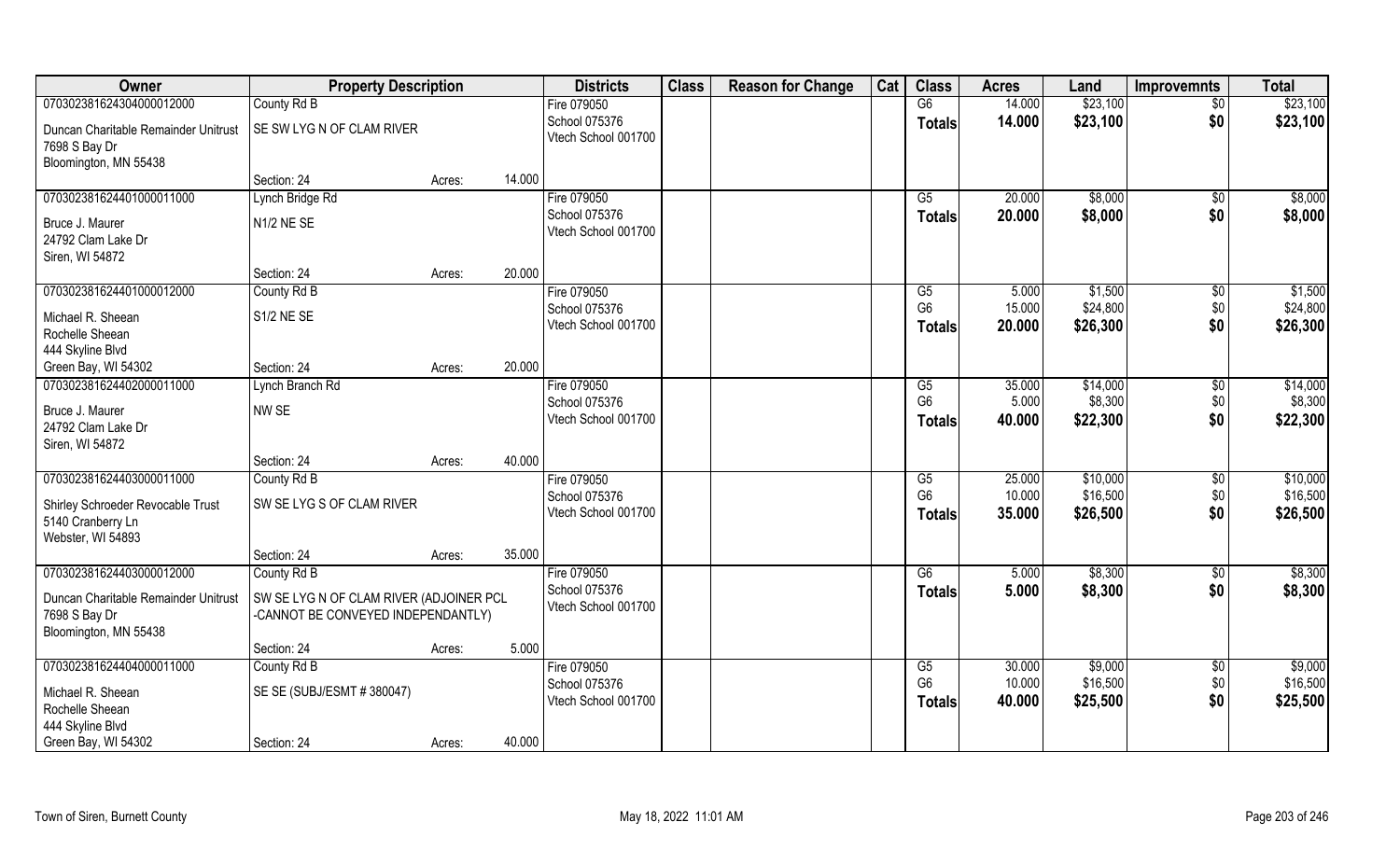| Owner                                                                          | <b>Property Description</b>                                                   |        |        | <b>Districts</b>                     | <b>Class</b> | <b>Reason for Change</b> | Cat | <b>Class</b>             | <b>Acres</b>     | Land                 | <b>Improvemnts</b>   | <b>Total</b>         |
|--------------------------------------------------------------------------------|-------------------------------------------------------------------------------|--------|--------|--------------------------------------|--------------|--------------------------|-----|--------------------------|------------------|----------------------|----------------------|----------------------|
| 070302381624304000012000                                                       | County Rd B                                                                   |        |        | Fire 079050                          |              |                          |     | $\overline{G6}$          | 14.000           | \$23,100             | \$0                  | \$23,100             |
| Duncan Charitable Remainder Unitrust<br>7698 S Bay Dr                          | SE SW LYG N OF CLAM RIVER                                                     |        |        | School 075376<br>Vtech School 001700 |              |                          |     | <b>Totals</b>            | 14.000           | \$23,100             | \$0                  | \$23,100             |
| Bloomington, MN 55438                                                          | Section: 24                                                                   | Acres: | 14.000 |                                      |              |                          |     |                          |                  |                      |                      |                      |
| 070302381624401000011000                                                       | Lynch Bridge Rd                                                               |        |        | Fire 079050                          |              |                          |     | G5                       | 20.000           | \$8,000              | $\sqrt[6]{}$         | \$8,000              |
| Bruce J. Maurer                                                                | N <sub>1/2</sub> NE SE                                                        |        |        | School 075376                        |              |                          |     | <b>Totals</b>            | 20.000           | \$8,000              | \$0                  | \$8,000              |
| 24792 Clam Lake Dr<br>Siren, WI 54872                                          |                                                                               |        |        | Vtech School 001700                  |              |                          |     |                          |                  |                      |                      |                      |
|                                                                                | Section: 24                                                                   | Acres: | 20.000 |                                      |              |                          |     |                          |                  |                      |                      |                      |
| 070302381624401000012000                                                       | County Rd B                                                                   |        |        | Fire 079050                          |              |                          |     | G5                       | 5.000            | \$1,500              | $\sqrt[6]{}$         | \$1,500              |
| Michael R. Sheean                                                              | S1/2 NE SE                                                                    |        |        | School 075376                        |              |                          |     | G <sub>6</sub>           | 15.000           | \$24,800             | \$0                  | \$24,800             |
| Rochelle Sheean                                                                |                                                                               |        |        | Vtech School 001700                  |              |                          |     | <b>Totals</b>            | 20.000           | \$26,300             | \$0                  | \$26,300             |
| 444 Skyline Blvd                                                               |                                                                               |        |        |                                      |              |                          |     |                          |                  |                      |                      |                      |
| Green Bay, WI 54302                                                            | Section: 24                                                                   | Acres: | 20.000 |                                      |              |                          |     |                          |                  |                      |                      |                      |
| 070302381624402000011000                                                       | Lynch Branch Rd                                                               |        |        | Fire 079050<br>School 075376         |              |                          |     | G5<br>G <sub>6</sub>     | 35.000<br>5.000  | \$14,000<br>\$8,300  | $\sqrt[6]{3}$<br>\$0 | \$14,000<br>\$8,300  |
| Bruce J. Maurer<br>24792 Clam Lake Dr<br>Siren, WI 54872                       | NW SE                                                                         |        |        | Vtech School 001700                  |              |                          |     | <b>Totals</b>            | 40.000           | \$22,300             | \$0                  | \$22,300             |
|                                                                                | Section: 24                                                                   | Acres: | 40.000 |                                      |              |                          |     |                          |                  |                      |                      |                      |
| 070302381624403000011000                                                       | County Rd B                                                                   |        |        | Fire 079050                          |              |                          |     | G5                       | 25.000           | \$10,000             | $\overline{50}$      | \$10,000             |
| Shirley Schroeder Revocable Trust                                              | SW SE LYG S OF CLAM RIVER                                                     |        |        | School 075376                        |              |                          |     | G <sub>6</sub>           | 10.000           | \$16,500             | \$0                  | \$16,500             |
| 5140 Cranberry Ln<br>Webster, WI 54893                                         |                                                                               |        |        | Vtech School 001700                  |              |                          |     | <b>Totals</b>            | 35.000           | \$26,500             | \$0                  | \$26,500             |
|                                                                                | Section: 24                                                                   | Acres: | 35.000 |                                      |              |                          |     |                          |                  |                      |                      |                      |
| 070302381624403000012000                                                       | County Rd B                                                                   |        |        | Fire 079050                          |              |                          |     | G6                       | 5.000            | \$8,300              | \$0                  | \$8,300              |
| Duncan Charitable Remainder Unitrust<br>7698 S Bay Dr<br>Bloomington, MN 55438 | SW SE LYG N OF CLAM RIVER (ADJOINER PCL<br>-CANNOT BE CONVEYED INDEPENDANTLY) |        |        | School 075376<br>Vtech School 001700 |              |                          |     | <b>Totals</b>            | 5.000            | \$8,300              | \$0                  | \$8,300              |
|                                                                                | Section: 24                                                                   | Acres: | 5.000  |                                      |              |                          |     |                          |                  |                      |                      |                      |
| 070302381624404000011000                                                       | County Rd B                                                                   |        |        | Fire 079050                          |              |                          |     | G5                       | 30.000           | \$9,000              | $\overline{60}$      | \$9,000              |
| Michael R. Sheean<br>Rochelle Sheean                                           | SE SE (SUBJ/ESMT #380047)                                                     |        |        | School 075376<br>Vtech School 001700 |              |                          |     | G <sub>6</sub><br>Totals | 10.000<br>40.000 | \$16,500<br>\$25,500 | \$0<br>\$0           | \$16,500<br>\$25,500 |
| 444 Skyline Blvd<br>Green Bay, WI 54302                                        | Section: 24                                                                   | Acres: | 40.000 |                                      |              |                          |     |                          |                  |                      |                      |                      |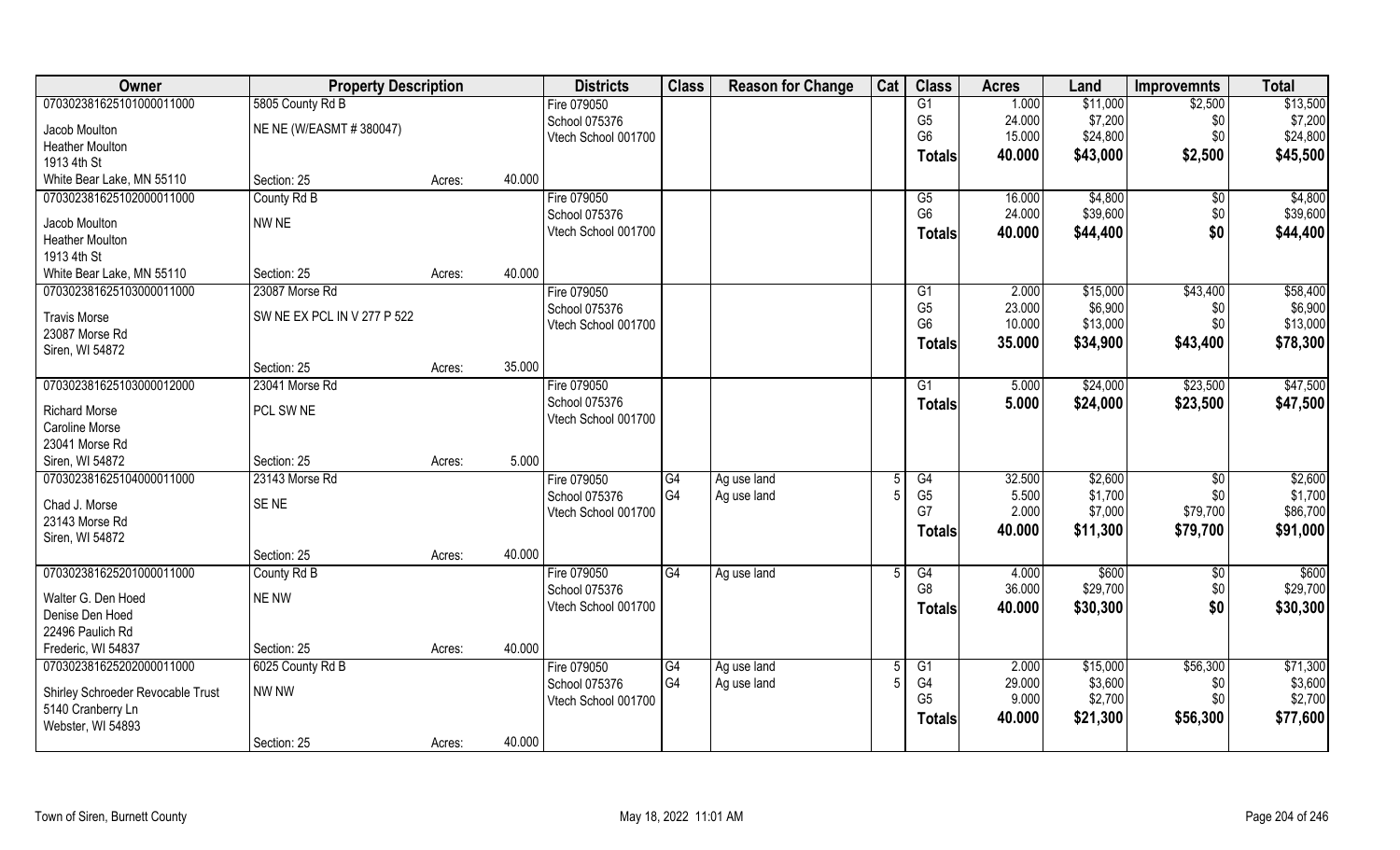| Owner                             | <b>Property Description</b> |        |        | <b>Districts</b>    | <b>Class</b>           | <b>Reason for Change</b> | Cat | <b>Class</b>    | <b>Acres</b> | Land     | <b>Improvemnts</b> | <b>Total</b> |
|-----------------------------------|-----------------------------|--------|--------|---------------------|------------------------|--------------------------|-----|-----------------|--------------|----------|--------------------|--------------|
| 070302381625101000011000          | 5805 County Rd B            |        |        | Fire 079050         |                        |                          |     | $\overline{G1}$ | 1.000        | \$11,000 | \$2,500            | \$13,500     |
| Jacob Moulton                     | NE NE (W/EASMT #380047)     |        |        | School 075376       |                        |                          |     | G <sub>5</sub>  | 24.000       | \$7,200  | \$0                | \$7,200      |
| <b>Heather Moulton</b>            |                             |        |        | Vtech School 001700 |                        |                          |     | G <sub>6</sub>  | 15.000       | \$24,800 | \$0                | \$24,800     |
| 1913 4th St                       |                             |        |        |                     |                        |                          |     | <b>Totals</b>   | 40.000       | \$43,000 | \$2,500            | \$45,500     |
| White Bear Lake, MN 55110         | Section: 25                 | Acres: | 40.000 |                     |                        |                          |     |                 |              |          |                    |              |
| 070302381625102000011000          | County Rd B                 |        |        | Fire 079050         |                        |                          |     | G5              | 16.000       | \$4,800  | $\sqrt[6]{}$       | \$4,800      |
| Jacob Moulton                     | NW <sub>NE</sub>            |        |        | School 075376       |                        |                          |     | G <sub>6</sub>  | 24.000       | \$39,600 | \$0                | \$39,600     |
| <b>Heather Moulton</b>            |                             |        |        | Vtech School 001700 |                        |                          |     | <b>Totals</b>   | 40.000       | \$44,400 | \$0                | \$44,400     |
| 1913 4th St                       |                             |        |        |                     |                        |                          |     |                 |              |          |                    |              |
| White Bear Lake, MN 55110         | Section: 25                 | Acres: | 40.000 |                     |                        |                          |     |                 |              |          |                    |              |
| 070302381625103000011000          | 23087 Morse Rd              |        |        | Fire 079050         |                        |                          |     | G <sub>1</sub>  | 2.000        | \$15,000 | \$43,400           | \$58,400     |
| <b>Travis Morse</b>               | SW NE EX PCL IN V 277 P 522 |        |        | School 075376       |                        |                          |     | G <sub>5</sub>  | 23.000       | \$6,900  | \$0                | \$6,900      |
| 23087 Morse Rd                    |                             |        |        | Vtech School 001700 |                        |                          |     | G <sub>6</sub>  | 10.000       | \$13,000 | \$0                | \$13,000     |
| Siren, WI 54872                   |                             |        |        |                     |                        |                          |     | <b>Totals</b>   | 35.000       | \$34,900 | \$43,400           | \$78,300     |
|                                   | Section: 25                 | Acres: | 35.000 |                     |                        |                          |     |                 |              |          |                    |              |
| 070302381625103000012000          | 23041 Morse Rd              |        |        | Fire 079050         |                        |                          |     | G1              | 5.000        | \$24,000 | \$23,500           | \$47,500     |
| <b>Richard Morse</b>              | PCL SW NE                   |        |        | School 075376       |                        |                          |     | <b>Totals</b>   | 5.000        | \$24,000 | \$23,500           | \$47,500     |
| Caroline Morse                    |                             |        |        | Vtech School 001700 |                        |                          |     |                 |              |          |                    |              |
| 23041 Morse Rd                    |                             |        |        |                     |                        |                          |     |                 |              |          |                    |              |
| Siren, WI 54872                   | Section: 25                 | Acres: | 5.000  |                     |                        |                          |     |                 |              |          |                    |              |
| 070302381625104000011000          | 23143 Morse Rd              |        |        | Fire 079050         | G4                     | Ag use land              |     | G4              | 32.500       | \$2,600  | \$0                | \$2,600      |
| Chad J. Morse                     | SE <sub>NE</sub>            |        |        | School 075376       | G <sub>4</sub>         | Ag use land              |     | G <sub>5</sub>  | 5.500        | \$1,700  | \$0                | \$1,700      |
| 23143 Morse Rd                    |                             |        |        | Vtech School 001700 |                        |                          |     | G7              | 2.000        | \$7,000  | \$79,700           | \$86,700     |
| Siren, WI 54872                   |                             |        |        |                     |                        |                          |     | <b>Totals</b>   | 40.000       | \$11,300 | \$79,700           | \$91,000     |
|                                   | Section: 25                 | Acres: | 40.000 |                     |                        |                          |     |                 |              |          |                    |              |
| 070302381625201000011000          | County Rd B                 |        |        | Fire 079050         | G4                     | Ag use land              |     | G4              | 4.000        | \$600    | \$0                | \$600        |
| Walter G. Den Hoed                | NE NW                       |        |        | School 075376       |                        |                          |     | G <sub>8</sub>  | 36.000       | \$29,700 | \$0                | \$29,700     |
| Denise Den Hoed                   |                             |        |        | Vtech School 001700 |                        |                          |     | <b>Totals</b>   | 40.000       | \$30,300 | \$0                | \$30,300     |
| 22496 Paulich Rd                  |                             |        |        |                     |                        |                          |     |                 |              |          |                    |              |
| Frederic, WI 54837                | Section: 25                 | Acres: | 40.000 |                     |                        |                          |     |                 |              |          |                    |              |
| 070302381625202000011000          | 6025 County Rd B            |        |        | Fire 079050         | $\overline{\text{G4}}$ | Ag use land              |     | G1              | 2.000        | \$15,000 | \$56,300           | \$71,300     |
| Shirley Schroeder Revocable Trust | NW NW                       |        |        | School 075376       | G <sub>4</sub>         | Ag use land              |     | G4              | 29.000       | \$3,600  | \$0                | \$3,600      |
| 5140 Cranberry Ln                 |                             |        |        | Vtech School 001700 |                        |                          |     | G <sub>5</sub>  | 9.000        | \$2,700  | \$0                | \$2,700      |
| Webster, WI 54893                 |                             |        |        |                     |                        |                          |     | <b>Totals</b>   | 40.000       | \$21,300 | \$56,300           | \$77,600     |
|                                   | Section: 25                 | Acres: | 40.000 |                     |                        |                          |     |                 |              |          |                    |              |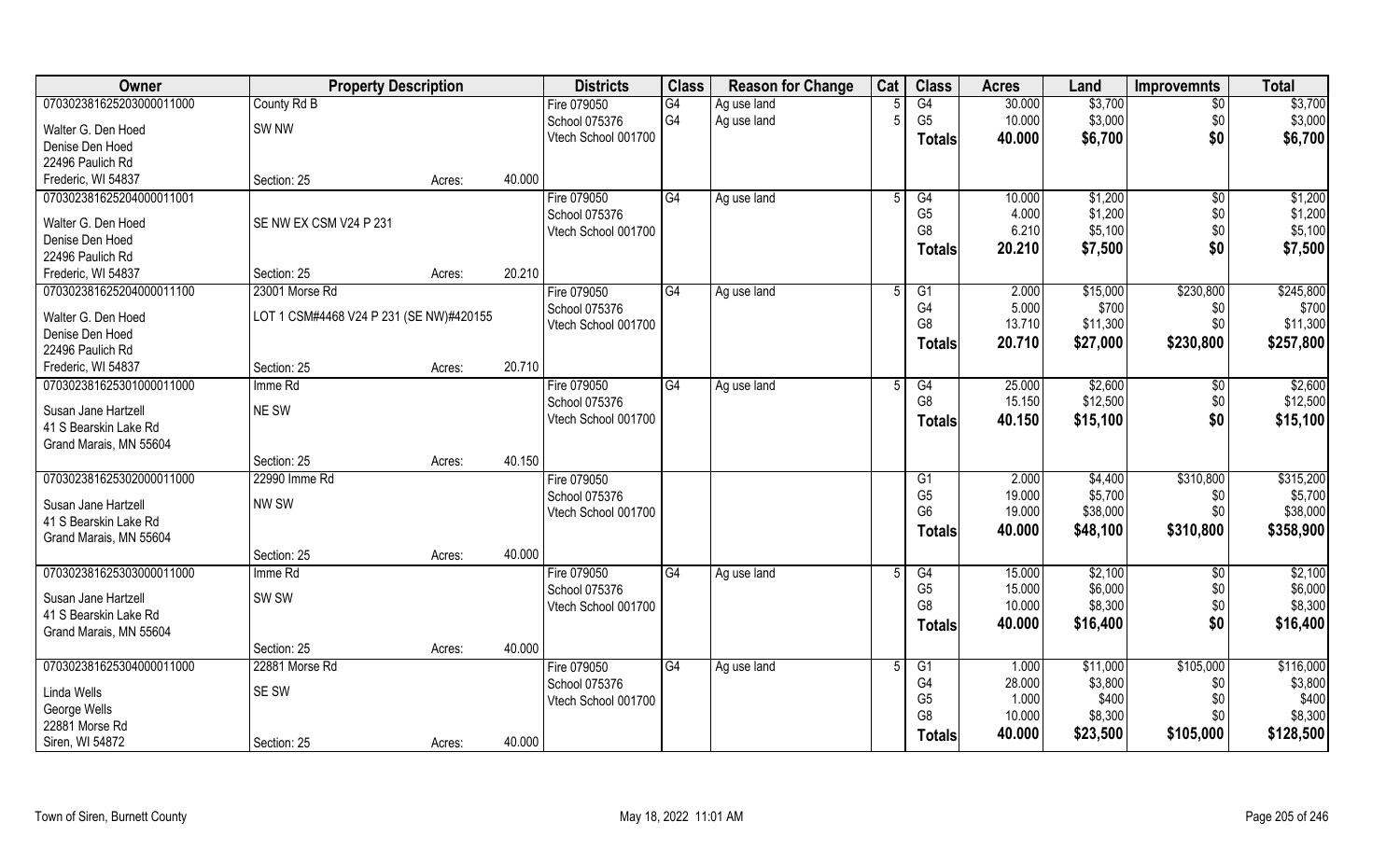| Owner                    | <b>Property Description</b>             |                  | <b>Districts</b>    | <b>Class</b> | <b>Reason for Change</b> | Cat | <b>Class</b>   | <b>Acres</b> | Land     | <b>Improvemnts</b> | <b>Total</b> |
|--------------------------|-----------------------------------------|------------------|---------------------|--------------|--------------------------|-----|----------------|--------------|----------|--------------------|--------------|
| 070302381625203000011000 | County Rd B                             |                  | Fire 079050         | G4           | Ag use land              |     | G4             | 30.000       | \$3,700  | \$0                | \$3,700      |
| Walter G. Den Hoed       | SW <sub>NW</sub>                        |                  | School 075376       | G4           | Ag use land              | 5   | G <sub>5</sub> | 10.000       | \$3,000  | \$0                | \$3,000      |
| Denise Den Hoed          |                                         |                  | Vtech School 001700 |              |                          |     | <b>Totals</b>  | 40.000       | \$6,700  | \$0                | \$6,700      |
| 22496 Paulich Rd         |                                         |                  |                     |              |                          |     |                |              |          |                    |              |
| Frederic, WI 54837       | Section: 25                             | 40.000<br>Acres: |                     |              |                          |     |                |              |          |                    |              |
| 070302381625204000011001 |                                         |                  | Fire 079050         | G4           | Ag use land              |     | G4             | 10.000       | \$1,200  | $\overline{50}$    | \$1,200      |
|                          |                                         |                  | School 075376       |              |                          |     | G <sub>5</sub> | 4.000        | \$1,200  | \$0                | \$1,200      |
| Walter G. Den Hoed       | SE NW EX CSM V24 P 231                  |                  | Vtech School 001700 |              |                          |     | G <sub>8</sub> | 6.210        | \$5,100  | \$0                | \$5,100      |
| Denise Den Hoed          |                                         |                  |                     |              |                          |     | <b>Totals</b>  | 20.210       | \$7,500  | \$0                | \$7,500      |
| 22496 Paulich Rd         |                                         |                  |                     |              |                          |     |                |              |          |                    |              |
| Frederic, WI 54837       | Section: 25                             | 20.210<br>Acres: |                     |              |                          |     |                |              |          |                    |              |
| 070302381625204000011100 | 23001 Morse Rd                          |                  | Fire 079050         | G4           | Ag use land              | 5   | G1             | 2.000        | \$15,000 | \$230,800          | \$245,800    |
| Walter G. Den Hoed       | LOT 1 CSM#4468 V24 P 231 (SE NW)#420155 |                  | School 075376       |              |                          |     | G4             | 5.000        | \$700    | \$0                | \$700        |
| Denise Den Hoed          |                                         |                  | Vtech School 001700 |              |                          |     | G <sub>8</sub> | 13.710       | \$11,300 | \$0                | \$11,300     |
| 22496 Paulich Rd         |                                         |                  |                     |              |                          |     | Totals         | 20.710       | \$27,000 | \$230,800          | \$257,800    |
| Frederic, WI 54837       | Section: 25                             | 20.710<br>Acres: |                     |              |                          |     |                |              |          |                    |              |
| 070302381625301000011000 | Imme Rd                                 |                  | Fire 079050         | G4           | Ag use land              |     | G4             | 25.000       | \$2,600  | \$0                | \$2,600      |
|                          |                                         |                  | School 075376       |              |                          |     | G <sub>8</sub> | 15.150       | \$12,500 | \$0                | \$12,500     |
| Susan Jane Hartzell      | NE SW                                   |                  | Vtech School 001700 |              |                          |     | <b>Totals</b>  | 40.150       | \$15,100 | \$0                | \$15,100     |
| 41 S Bearskin Lake Rd    |                                         |                  |                     |              |                          |     |                |              |          |                    |              |
| Grand Marais, MN 55604   |                                         |                  |                     |              |                          |     |                |              |          |                    |              |
|                          | Section: 25                             | 40.150<br>Acres: |                     |              |                          |     |                |              |          |                    |              |
| 070302381625302000011000 | 22990 Imme Rd                           |                  | Fire 079050         |              |                          |     | G <sub>1</sub> | 2.000        | \$4,400  | \$310,800          | \$315,200    |
| Susan Jane Hartzell      | NW SW                                   |                  | School 075376       |              |                          |     | G <sub>5</sub> | 19.000       | \$5,700  | \$0                | \$5,700      |
| 41 S Bearskin Lake Rd    |                                         |                  | Vtech School 001700 |              |                          |     | G <sub>6</sub> | 19.000       | \$38,000 | \$0                | \$38,000     |
| Grand Marais, MN 55604   |                                         |                  |                     |              |                          |     | Totals         | 40.000       | \$48,100 | \$310,800          | \$358,900    |
|                          | Section: 25                             | 40.000<br>Acres: |                     |              |                          |     |                |              |          |                    |              |
| 070302381625303000011000 | Imme Rd                                 |                  | Fire 079050         | G4           | Ag use land              |     | G4             | 15.000       | \$2,100  | \$0                | \$2,100      |
| Susan Jane Hartzell      | SW <sub>SW</sub>                        |                  | School 075376       |              |                          |     | G <sub>5</sub> | 15.000       | \$6,000  | \$0                | \$6,000      |
| 41 S Bearskin Lake Rd    |                                         |                  | Vtech School 001700 |              |                          |     | G <sub>8</sub> | 10.000       | \$8,300  | \$0                | \$8,300      |
| Grand Marais, MN 55604   |                                         |                  |                     |              |                          |     | <b>Totals</b>  | 40.000       | \$16,400 | \$0                | \$16,400     |
|                          | Section: 25                             | 40.000<br>Acres: |                     |              |                          |     |                |              |          |                    |              |
| 070302381625304000011000 | 22881 Morse Rd                          |                  | Fire 079050         | G4           | Ag use land              |     | G1             | 1.000        | \$11,000 | \$105,000          | \$116,000    |
|                          |                                         |                  | School 075376       |              |                          |     | G4             | 28.000       | \$3,800  | \$0                | \$3,800      |
| Linda Wells              | SE SW                                   |                  | Vtech School 001700 |              |                          |     | G <sub>5</sub> | 1.000        | \$400    | \$0                | \$400        |
| George Wells             |                                         |                  |                     |              |                          |     | G <sub>8</sub> | 10.000       | \$8,300  | \$0                | \$8,300      |
| 22881 Morse Rd           |                                         |                  |                     |              |                          |     | <b>Totals</b>  | 40.000       | \$23,500 | \$105,000          | \$128,500    |
| Siren, WI 54872          | Section: 25                             | 40.000<br>Acres: |                     |              |                          |     |                |              |          |                    |              |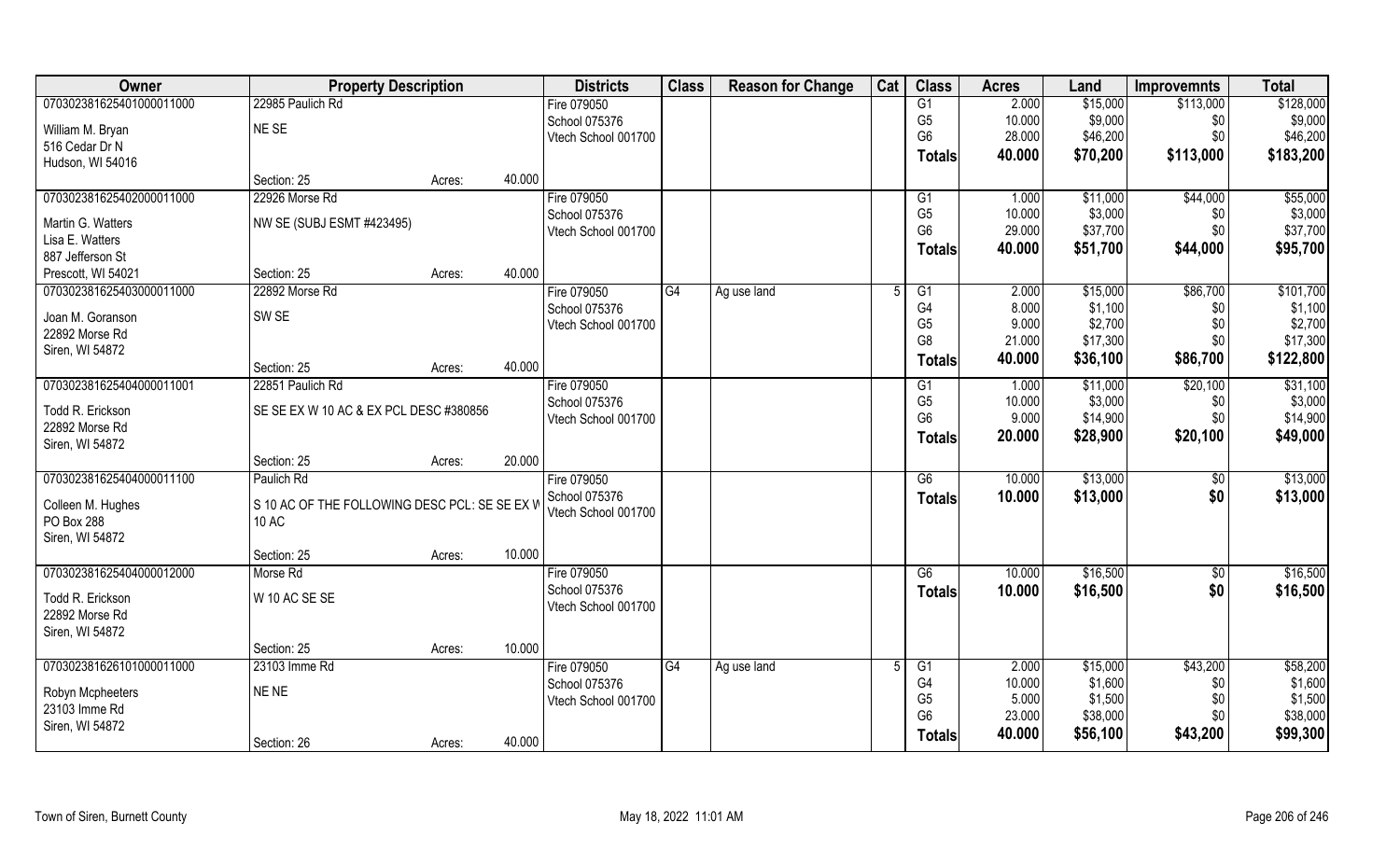| Owner                           | <b>Property Description</b>                                   |        |        | <b>Districts</b>    | <b>Class</b> | <b>Reason for Change</b> | Cat | <b>Class</b>    | <b>Acres</b> | Land     | <b>Improvemnts</b> | <b>Total</b> |
|---------------------------------|---------------------------------------------------------------|--------|--------|---------------------|--------------|--------------------------|-----|-----------------|--------------|----------|--------------------|--------------|
| 070302381625401000011000        | 22985 Paulich Rd                                              |        |        | Fire 079050         |              |                          |     | $\overline{G1}$ | 2.000        | \$15,000 | \$113,000          | \$128,000    |
| William M. Bryan                | NE SE                                                         |        |        | School 075376       |              |                          |     | G <sub>5</sub>  | 10.000       | \$9,000  | \$0                | \$9,000      |
| 516 Cedar Dr N                  |                                                               |        |        | Vtech School 001700 |              |                          |     | G <sub>6</sub>  | 28.000       | \$46,200 | \$0                | \$46,200     |
| Hudson, WI 54016                |                                                               |        |        |                     |              |                          |     | <b>Totals</b>   | 40.000       | \$70,200 | \$113,000          | \$183,200    |
|                                 | Section: 25                                                   | Acres: | 40.000 |                     |              |                          |     |                 |              |          |                    |              |
| 070302381625402000011000        | 22926 Morse Rd                                                |        |        | Fire 079050         |              |                          |     | G1              | 1.000        | \$11,000 | \$44,000           | \$55,000     |
| Martin G. Watters               | NW SE (SUBJ ESMT #423495)                                     |        |        | School 075376       |              |                          |     | G <sub>5</sub>  | 10.000       | \$3,000  | \$0                | \$3,000      |
| Lisa E. Watters                 |                                                               |        |        | Vtech School 001700 |              |                          |     | G <sub>6</sub>  | 29.000       | \$37,700 | \$0                | \$37,700     |
| 887 Jefferson St                |                                                               |        |        |                     |              |                          |     | <b>Totals</b>   | 40.000       | \$51,700 | \$44,000           | \$95,700     |
| Prescott, WI 54021              | Section: 25                                                   | Acres: | 40.000 |                     |              |                          |     |                 |              |          |                    |              |
| 070302381625403000011000        | 22892 Morse Rd                                                |        |        | Fire 079050         | G4           | Ag use land              |     | G1              | 2.000        | \$15,000 | \$86,700           | \$101,700    |
| Joan M. Goranson                | SW <sub>SE</sub>                                              |        |        | School 075376       |              |                          |     | G4              | 8.000        | \$1,100  | \$0                | \$1,100      |
| 22892 Morse Rd                  |                                                               |        |        | Vtech School 001700 |              |                          |     | G <sub>5</sub>  | 9.000        | \$2,700  | \$0                | \$2,700      |
| Siren, WI 54872                 |                                                               |        |        |                     |              |                          |     | G8              | 21.000       | \$17,300 | \$0                | \$17,300     |
|                                 | Section: 25                                                   | Acres: | 40.000 |                     |              |                          |     | <b>Totals</b>   | 40.000       | \$36,100 | \$86,700           | \$122,800    |
| 070302381625404000011001        | 22851 Paulich Rd                                              |        |        | Fire 079050         |              |                          |     | G1              | 1.000        | \$11,000 | \$20,100           | \$31,100     |
| Todd R. Erickson                | SE SE EX W 10 AC & EX PCL DESC #380856                        |        |        | School 075376       |              |                          |     | G <sub>5</sub>  | 10.000       | \$3,000  | \$0                | \$3,000      |
| 22892 Morse Rd                  |                                                               |        |        | Vtech School 001700 |              |                          |     | G <sub>6</sub>  | 9.000        | \$14,900 | \$0                | \$14,900     |
| Siren, WI 54872                 |                                                               |        |        |                     |              |                          |     | <b>Totals</b>   | 20.000       | \$28,900 | \$20,100           | \$49,000     |
|                                 | Section: 25                                                   | Acres: | 20.000 |                     |              |                          |     |                 |              |          |                    |              |
| 070302381625404000011100        | Paulich Rd                                                    |        |        | Fire 079050         |              |                          |     | $\overline{G6}$ | 10.000       | \$13,000 | \$0                | \$13,000     |
|                                 |                                                               |        |        | School 075376       |              |                          |     | <b>Totals</b>   | 10.000       | \$13,000 | \$0                | \$13,000     |
| Colleen M. Hughes<br>PO Box 288 | S 10 AC OF THE FOLLOWING DESC PCL: SE SE EX V<br><b>10 AC</b> |        |        | Vtech School 001700 |              |                          |     |                 |              |          |                    |              |
| Siren, WI 54872                 |                                                               |        |        |                     |              |                          |     |                 |              |          |                    |              |
|                                 | Section: 25                                                   | Acres: | 10.000 |                     |              |                          |     |                 |              |          |                    |              |
| 070302381625404000012000        | Morse Rd                                                      |        |        | Fire 079050         |              |                          |     | G6              | 10.000       | \$16,500 | $\sqrt{6}$         | \$16,500     |
| Todd R. Erickson                | W 10 AC SE SE                                                 |        |        | School 075376       |              |                          |     | <b>Totals</b>   | 10.000       | \$16,500 | \$0                | \$16,500     |
| 22892 Morse Rd                  |                                                               |        |        | Vtech School 001700 |              |                          |     |                 |              |          |                    |              |
| Siren, WI 54872                 |                                                               |        |        |                     |              |                          |     |                 |              |          |                    |              |
|                                 | Section: 25                                                   | Acres: | 10.000 |                     |              |                          |     |                 |              |          |                    |              |
| 070302381626101000011000        | 23103 Imme Rd                                                 |        |        | Fire 079050         | G4           | Ag use land              |     | G1              | 2.000        | \$15,000 | \$43,200           | \$58,200     |
| Robyn Mcpheeters                | NE NE                                                         |        |        | School 075376       |              |                          |     | G4              | 10.000       | \$1,600  | \$0                | \$1,600      |
| 23103 Imme Rd                   |                                                               |        |        | Vtech School 001700 |              |                          |     | G <sub>5</sub>  | 5.000        | \$1,500  | \$0                | \$1,500      |
| Siren, WI 54872                 |                                                               |        |        |                     |              |                          |     | G <sub>6</sub>  | 23.000       | \$38,000 | \$0                | \$38,000     |
|                                 | Section: 26                                                   | Acres: | 40.000 |                     |              |                          |     | <b>Totals</b>   | 40.000       | \$56,100 | \$43,200           | \$99,300     |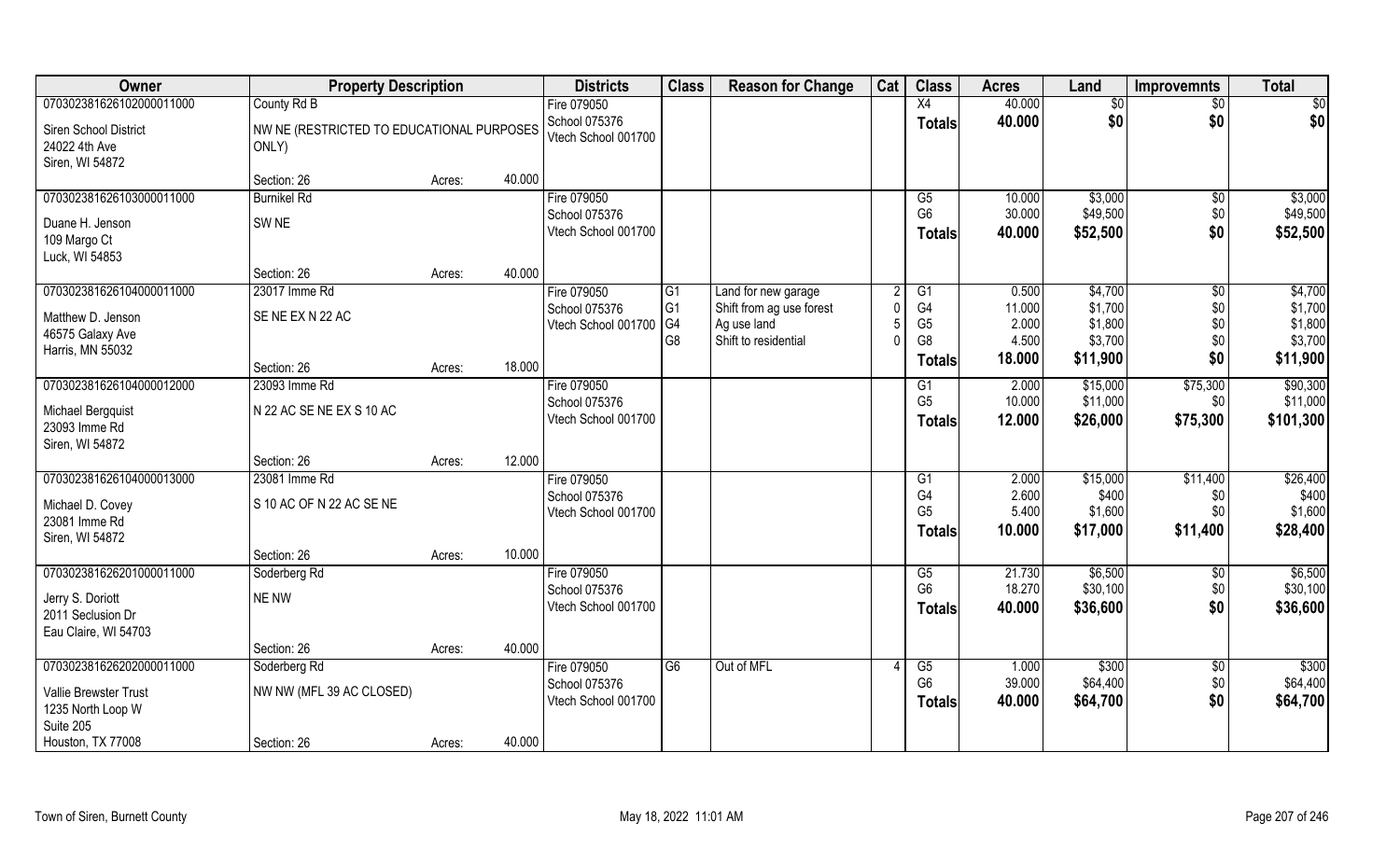| Owner                                                            | <b>Property Description</b>                        |        |        | <b>Districts</b>                     | <b>Class</b>                                       | <b>Reason for Change</b>                                        | Cat | <b>Class</b>                           | <b>Acres</b>             | Land                          | <b>Improvemnts</b>     | <b>Total</b>                  |
|------------------------------------------------------------------|----------------------------------------------------|--------|--------|--------------------------------------|----------------------------------------------------|-----------------------------------------------------------------|-----|----------------------------------------|--------------------------|-------------------------------|------------------------|-------------------------------|
| 070302381626102000011000                                         | County Rd B                                        |        |        | Fire 079050                          |                                                    |                                                                 |     | $\overline{X4}$                        | 40.000                   | $\sqrt{$0}$                   | $\overline{50}$        | $\sqrt{50}$                   |
| <b>Siren School District</b><br>24022 4th Ave<br>Siren, WI 54872 | NW NE (RESTRICTED TO EDUCATIONAL PURPOSES<br>ONLY) |        |        | School 075376<br>Vtech School 001700 |                                                    |                                                                 |     | <b>Totals</b>                          | 40.000                   | \$0                           | \$0                    | \$0                           |
|                                                                  | Section: 26                                        | Acres: | 40.000 |                                      |                                                    |                                                                 |     |                                        |                          |                               |                        |                               |
| 070302381626103000011000                                         | <b>Burnikel Rd</b>                                 |        |        | Fire 079050                          |                                                    |                                                                 |     | G5                                     | 10.000                   | \$3,000                       | \$0                    | \$3,000                       |
| Duane H. Jenson<br>109 Margo Ct<br>Luck, WI 54853                | SW <sub>NE</sub>                                   |        |        | School 075376<br>Vtech School 001700 |                                                    |                                                                 |     | G <sub>6</sub><br><b>Totals</b>        | 30.000<br>40.000         | \$49,500<br>\$52,500          | \$0<br>\$0             | \$49,500<br>\$52,500          |
|                                                                  | Section: 26                                        | Acres: | 40.000 |                                      |                                                    |                                                                 |     |                                        |                          |                               |                        |                               |
| 070302381626104000011000                                         | 23017 Imme Rd                                      |        |        | Fire 079050                          | G1                                                 | Land for new garage                                             |     | G1                                     | 0.500                    | \$4,700                       | $\sqrt{6}$             | \$4,700                       |
| Matthew D. Jenson<br>46575 Galaxy Ave<br>Harris, MN 55032        | SE NE EX N 22 AC                                   |        |        | School 075376<br>Vtech School 001700 | G <sub>1</sub><br>G <sub>4</sub><br>G <sub>8</sub> | Shift from ag use forest<br>Ag use land<br>Shift to residential |     | G4<br>G <sub>5</sub><br>G <sub>8</sub> | 11.000<br>2.000<br>4.500 | \$1,700<br>\$1,800<br>\$3,700 | \$0<br>\$0\$<br>\$0    | \$1,700<br>\$1,800<br>\$3,700 |
|                                                                  | Section: 26                                        | Acres: | 18.000 |                                      |                                                    |                                                                 |     | <b>Totals</b>                          | 18.000                   | \$11,900                      | \$0                    | \$11,900                      |
| 070302381626104000012000                                         | 23093 Imme Rd                                      |        |        | Fire 079050                          |                                                    |                                                                 |     | G1                                     | 2.000                    | \$15,000                      | \$75,300               | \$90,300                      |
| Michael Bergquist<br>23093 Imme Rd<br>Siren, WI 54872            | N 22 AC SE NE EX S 10 AC                           |        |        | School 075376<br>Vtech School 001700 |                                                    |                                                                 |     | G <sub>5</sub><br><b>Totals</b>        | 10.000<br>12.000         | \$11,000<br>\$26,000          | \$0<br>\$75,300        | \$11,000<br>\$101,300         |
|                                                                  | Section: 26                                        | Acres: | 12.000 |                                      |                                                    |                                                                 |     |                                        |                          |                               |                        |                               |
| 070302381626104000013000                                         | 23081 Imme Rd                                      |        |        | Fire 079050                          |                                                    |                                                                 |     | G1                                     | 2.000                    | \$15,000                      | \$11,400               | \$26,400                      |
| Michael D. Covey<br>23081 Imme Rd<br>Siren, WI 54872             | S 10 AC OF N 22 AC SE NE                           |        |        | School 075376<br>Vtech School 001700 |                                                    |                                                                 |     | G4<br>G <sub>5</sub><br><b>Totals</b>  | 2.600<br>5.400<br>10.000 | \$400<br>\$1,600<br>\$17,000  | \$0<br>\$0<br>\$11,400 | \$400<br>\$1,600<br>\$28,400  |
|                                                                  | Section: 26                                        | Acres: | 10.000 |                                      |                                                    |                                                                 |     |                                        |                          |                               |                        |                               |
| 070302381626201000011000                                         | Soderberg Rd                                       |        |        | Fire 079050                          |                                                    |                                                                 |     | G5                                     | 21.730                   | \$6,500                       | $\sqrt{$0}$            | \$6,500                       |
| Jerry S. Doriott<br>2011 Seclusion Dr<br>Eau Claire, WI 54703    | <b>NE NW</b>                                       |        |        | School 075376<br>Vtech School 001700 |                                                    |                                                                 |     | G <sub>6</sub><br><b>Totals</b>        | 18.270<br>40.000         | \$30,100<br>\$36,600          | \$0<br>\$0             | \$30,100<br>\$36,600          |
|                                                                  | Section: 26                                        | Acres: | 40.000 |                                      |                                                    |                                                                 |     |                                        |                          |                               |                        |                               |
| 070302381626202000011000                                         | Soderberg Rd                                       |        |        | Fire 079050                          | $\overline{G6}$                                    | Out of MFL                                                      |     | G5                                     | 1.000                    | \$300                         | $\sqrt{$0}$            | $\overline{$300}$             |
| Vallie Brewster Trust<br>1235 North Loop W<br>Suite 205          | NW NW (MFL 39 AC CLOSED)                           |        |        | School 075376<br>Vtech School 001700 |                                                    |                                                                 |     | G <sub>6</sub><br><b>Totals</b>        | 39.000<br>40.000         | \$64,400<br>\$64,700          | \$0<br>\$0             | \$64,400<br>\$64,700          |
| Houston, TX 77008                                                | Section: 26                                        | Acres: | 40.000 |                                      |                                                    |                                                                 |     |                                        |                          |                               |                        |                               |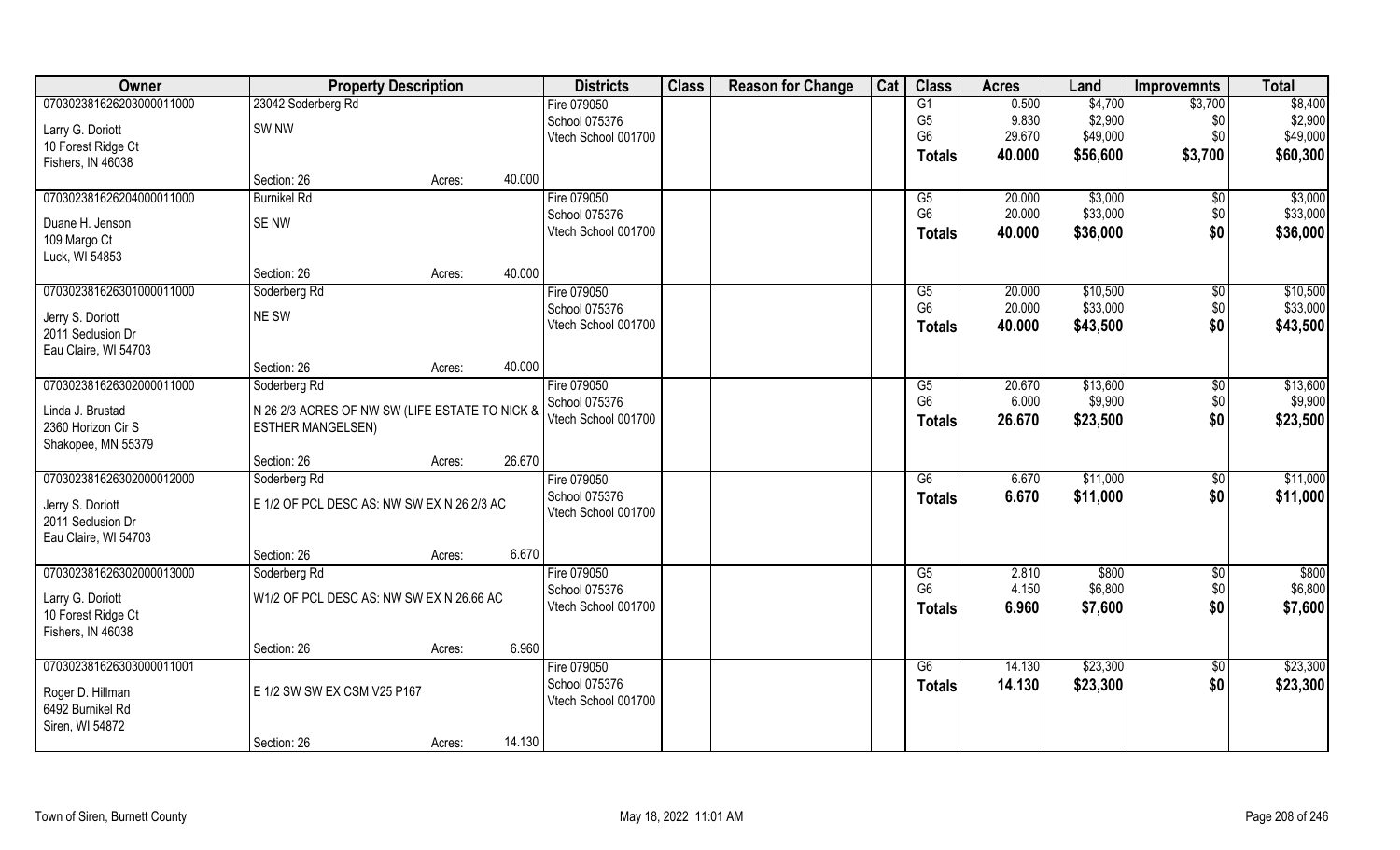| Owner                    | <b>Property Description</b>                    |        |        | <b>Districts</b>    | <b>Class</b> | <b>Reason for Change</b> | Cat | <b>Class</b>    | <b>Acres</b> | Land     | <b>Improvemnts</b> | <b>Total</b> |
|--------------------------|------------------------------------------------|--------|--------|---------------------|--------------|--------------------------|-----|-----------------|--------------|----------|--------------------|--------------|
| 070302381626203000011000 | 23042 Soderberg Rd                             |        |        | Fire 079050         |              |                          |     | $\overline{G1}$ | 0.500        | \$4,700  | \$3,700            | \$8,400      |
| Larry G. Doriott         | <b>SW NW</b>                                   |        |        | School 075376       |              |                          |     | G <sub>5</sub>  | 9.830        | \$2,900  | \$0                | \$2,900      |
| 10 Forest Ridge Ct       |                                                |        |        | Vtech School 001700 |              |                          |     | G <sub>6</sub>  | 29.670       | \$49,000 | \$0                | \$49,000     |
| Fishers, IN 46038        |                                                |        |        |                     |              |                          |     | <b>Totals</b>   | 40.000       | \$56,600 | \$3,700            | \$60,300     |
|                          | Section: 26                                    | Acres: | 40.000 |                     |              |                          |     |                 |              |          |                    |              |
| 070302381626204000011000 | <b>Burnikel Rd</b>                             |        |        | Fire 079050         |              |                          |     | G5              | 20.000       | \$3,000  | $\sqrt[6]{}$       | \$3,000      |
| Duane H. Jenson          | <b>SENW</b>                                    |        |        | School 075376       |              |                          |     | G <sub>6</sub>  | 20.000       | \$33,000 | \$0                | \$33,000     |
| 109 Margo Ct             |                                                |        |        | Vtech School 001700 |              |                          |     | <b>Totals</b>   | 40.000       | \$36,000 | \$0                | \$36,000     |
| Luck, WI 54853           |                                                |        |        |                     |              |                          |     |                 |              |          |                    |              |
|                          | Section: 26                                    | Acres: | 40.000 |                     |              |                          |     |                 |              |          |                    |              |
| 070302381626301000011000 | Soderberg Rd                                   |        |        | Fire 079050         |              |                          |     | G5              | 20.000       | \$10,500 | \$0                | \$10,500     |
| Jerry S. Doriott         | NE SW                                          |        |        | School 075376       |              |                          |     | G <sub>6</sub>  | 20.000       | \$33,000 | \$0                | \$33,000     |
| 2011 Seclusion Dr        |                                                |        |        | Vtech School 001700 |              |                          |     | <b>Totals</b>   | 40.000       | \$43,500 | \$0                | \$43,500     |
| Eau Claire, WI 54703     |                                                |        |        |                     |              |                          |     |                 |              |          |                    |              |
|                          | Section: 26                                    | Acres: | 40.000 |                     |              |                          |     |                 |              |          |                    |              |
| 070302381626302000011000 | Soderberg Rd                                   |        |        | Fire 079050         |              |                          |     | G <sub>5</sub>  | 20.670       | \$13,600 | \$0                | \$13,600     |
| Linda J. Brustad         | N 26 2/3 ACRES OF NW SW (LIFE ESTATE TO NICK & |        |        | School 075376       |              |                          |     | G <sub>6</sub>  | 6.000        | \$9,900  | \$0                | \$9,900      |
| 2360 Horizon Cir S       | <b>ESTHER MANGELSEN)</b>                       |        |        | Vtech School 001700 |              |                          |     | <b>Totals</b>   | 26.670       | \$23,500 | \$0                | \$23,500     |
| Shakopee, MN 55379       |                                                |        |        |                     |              |                          |     |                 |              |          |                    |              |
|                          | Section: 26                                    | Acres: | 26.670 |                     |              |                          |     |                 |              |          |                    |              |
| 070302381626302000012000 | Soderberg Rd                                   |        |        | Fire 079050         |              |                          |     | $\overline{G6}$ | 6.670        | \$11,000 | \$0                | \$11,000     |
| Jerry S. Doriott         | E 1/2 OF PCL DESC AS: NW SW EX N 26 2/3 AC     |        |        | School 075376       |              |                          |     | <b>Totals</b>   | 6.670        | \$11,000 | \$0                | \$11,000     |
| 2011 Seclusion Dr        |                                                |        |        | Vtech School 001700 |              |                          |     |                 |              |          |                    |              |
| Eau Claire, WI 54703     |                                                |        |        |                     |              |                          |     |                 |              |          |                    |              |
|                          | Section: 26                                    | Acres: | 6.670  |                     |              |                          |     |                 |              |          |                    |              |
| 070302381626302000013000 | Soderberg Rd                                   |        |        | Fire 079050         |              |                          |     | G5              | 2.810        | \$800    | \$0                | \$800        |
| Larry G. Doriott         | W1/2 OF PCL DESC AS: NW SW EX N 26.66 AC       |        |        | School 075376       |              |                          |     | G <sub>6</sub>  | 4.150        | \$6,800  | \$0                | \$6,800      |
| 10 Forest Ridge Ct       |                                                |        |        | Vtech School 001700 |              |                          |     | <b>Totals</b>   | 6.960        | \$7,600  | \$0                | \$7,600      |
| Fishers, IN 46038        |                                                |        |        |                     |              |                          |     |                 |              |          |                    |              |
|                          | Section: 26                                    | Acres: | 6.960  |                     |              |                          |     |                 |              |          |                    |              |
| 070302381626303000011001 |                                                |        |        | Fire 079050         |              |                          |     | G6              | 14.130       | \$23,300 | $\overline{50}$    | \$23,300     |
| Roger D. Hillman         | E 1/2 SW SW EX CSM V25 P167                    |        |        | School 075376       |              |                          |     | <b>Totals</b>   | 14.130       | \$23,300 | \$0                | \$23,300     |
| 6492 Burnikel Rd         |                                                |        |        | Vtech School 001700 |              |                          |     |                 |              |          |                    |              |
| Siren, WI 54872          |                                                |        |        |                     |              |                          |     |                 |              |          |                    |              |
|                          | Section: 26                                    | Acres: | 14.130 |                     |              |                          |     |                 |              |          |                    |              |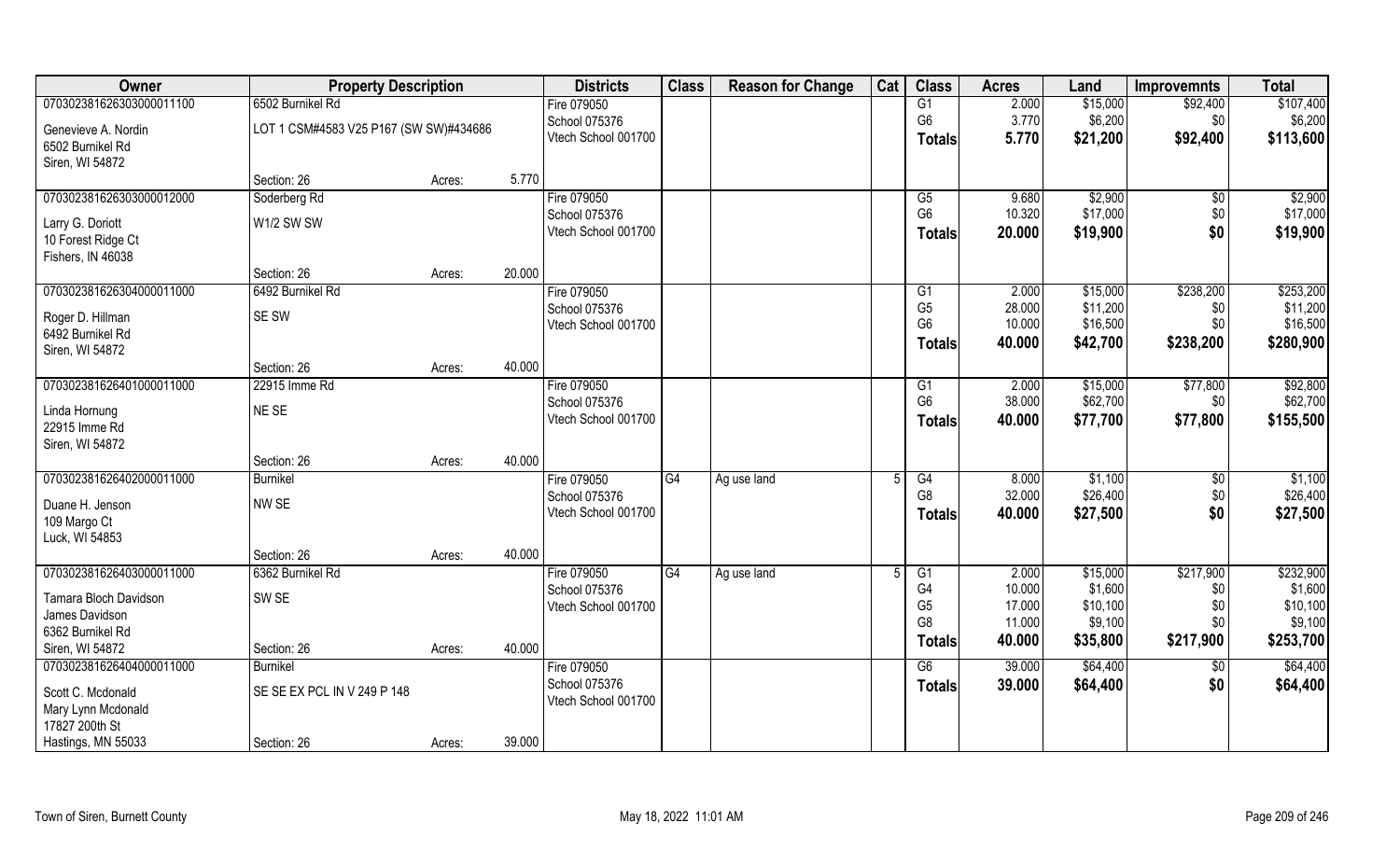| Owner                    | <b>Property Description</b>            |        |        | <b>Districts</b>    | <b>Class</b> | <b>Reason for Change</b> | Cat | <b>Class</b>                     | <b>Acres</b> | Land     | <b>Improvemnts</b> | <b>Total</b> |
|--------------------------|----------------------------------------|--------|--------|---------------------|--------------|--------------------------|-----|----------------------------------|--------------|----------|--------------------|--------------|
| 070302381626303000011100 | 6502 Burnikel Rd                       |        |        | Fire 079050         |              |                          |     | G1                               | 2.000        | \$15,000 | \$92,400           | \$107,400    |
| Genevieve A. Nordin      | LOT 1 CSM#4583 V25 P167 (SW SW)#434686 |        |        | School 075376       |              |                          |     | G <sub>6</sub>                   | 3.770        | \$6,200  | \$0                | \$6,200      |
| 6502 Burnikel Rd         |                                        |        |        | Vtech School 001700 |              |                          |     | <b>Totals</b>                    | 5.770        | \$21,200 | \$92,400           | \$113,600    |
| Siren, WI 54872          |                                        |        |        |                     |              |                          |     |                                  |              |          |                    |              |
|                          | Section: 26                            | Acres: | 5.770  |                     |              |                          |     |                                  |              |          |                    |              |
| 070302381626303000012000 | Soderberg Rd                           |        |        | Fire 079050         |              |                          |     | G5                               | 9.680        | \$2,900  | $\sqrt[6]{}$       | \$2,900      |
| Larry G. Doriott         | W1/2 SW SW                             |        |        | School 075376       |              |                          |     | G <sub>6</sub>                   | 10.320       | \$17,000 | \$0                | \$17,000     |
| 10 Forest Ridge Ct       |                                        |        |        | Vtech School 001700 |              |                          |     | <b>Totals</b>                    | 20.000       | \$19,900 | \$0                | \$19,900     |
| Fishers, IN 46038        |                                        |        |        |                     |              |                          |     |                                  |              |          |                    |              |
|                          | Section: 26                            | Acres: | 20.000 |                     |              |                          |     |                                  |              |          |                    |              |
| 070302381626304000011000 | 6492 Burnikel Rd                       |        |        | Fire 079050         |              |                          |     | G1                               | 2.000        | \$15,000 | \$238,200          | \$253,200    |
| Roger D. Hillman         | SE SW                                  |        |        | School 075376       |              |                          |     | G <sub>5</sub>                   | 28.000       | \$11,200 | \$0                | \$11,200     |
| 6492 Burnikel Rd         |                                        |        |        | Vtech School 001700 |              |                          |     | G <sub>6</sub>                   | 10.000       | \$16,500 | \$0                | \$16,500     |
| Siren, WI 54872          |                                        |        |        |                     |              |                          |     | Totals                           | 40.000       | \$42,700 | \$238,200          | \$280,900    |
|                          | Section: 26                            | Acres: | 40.000 |                     |              |                          |     |                                  |              |          |                    |              |
| 070302381626401000011000 | 22915 Imme Rd                          |        |        | Fire 079050         |              |                          |     | G <sub>1</sub>                   | 2.000        | \$15,000 | \$77,800           | \$92,800     |
| Linda Hornung            | NE SE                                  |        |        | School 075376       |              |                          |     | G <sub>6</sub>                   | 38.000       | \$62,700 | \$0                | \$62,700     |
| 22915 Imme Rd            |                                        |        |        | Vtech School 001700 |              |                          |     | <b>Totals</b>                    | 40.000       | \$77,700 | \$77,800           | \$155,500    |
| Siren, WI 54872          |                                        |        |        |                     |              |                          |     |                                  |              |          |                    |              |
|                          | Section: 26                            | Acres: | 40.000 |                     |              |                          |     |                                  |              |          |                    |              |
| 070302381626402000011000 | Burnikel                               |        |        | Fire 079050         | G4           | Ag use land              |     | G4                               | 8.000        | \$1,100  | \$0                | \$1,100      |
| Duane H. Jenson          | NW SE                                  |        |        | School 075376       |              |                          |     | G <sub>8</sub>                   | 32.000       | \$26,400 | \$0                | \$26,400     |
| 109 Margo Ct             |                                        |        |        | Vtech School 001700 |              |                          |     | <b>Totals</b>                    | 40.000       | \$27,500 | \$0                | \$27,500     |
| Luck, WI 54853           |                                        |        |        |                     |              |                          |     |                                  |              |          |                    |              |
|                          | Section: 26                            | Acres: | 40.000 |                     |              |                          |     |                                  |              |          |                    |              |
| 070302381626403000011000 | 6362 Burnikel Rd                       |        |        | Fire 079050         | G4           | Ag use land              |     | G1                               | 2.000        | \$15,000 | \$217,900          | \$232,900    |
| Tamara Bloch Davidson    | SW <sub>SE</sub>                       |        |        | School 075376       |              |                          |     | G <sub>4</sub>                   | 10.000       | \$1,600  | \$0                | \$1,600      |
| James Davidson           |                                        |        |        | Vtech School 001700 |              |                          |     | G <sub>5</sub><br>G <sub>8</sub> | 17.000       | \$10,100 | \$0                | \$10,100     |
| 6362 Burnikel Rd         |                                        |        |        |                     |              |                          |     |                                  | 11.000       | \$9,100  | \$0                | \$9,100      |
| Siren, WI 54872          | Section: 26                            | Acres: | 40.000 |                     |              |                          |     | <b>Totals</b>                    | 40.000       | \$35,800 | \$217,900          | \$253,700    |
| 070302381626404000011000 | Burnikel                               |        |        | Fire 079050         |              |                          |     | G6                               | 39.000       | \$64,400 | $\sqrt{$0}$        | \$64,400     |
| Scott C. Mcdonald        | SE SE EX PCL IN V 249 P 148            |        |        | School 075376       |              |                          |     | <b>Totals</b>                    | 39.000       | \$64,400 | \$0                | \$64,400     |
| Mary Lynn Mcdonald       |                                        |        |        | Vtech School 001700 |              |                          |     |                                  |              |          |                    |              |
| 17827 200th St           |                                        |        |        |                     |              |                          |     |                                  |              |          |                    |              |
| Hastings, MN 55033       | Section: 26                            | Acres: | 39.000 |                     |              |                          |     |                                  |              |          |                    |              |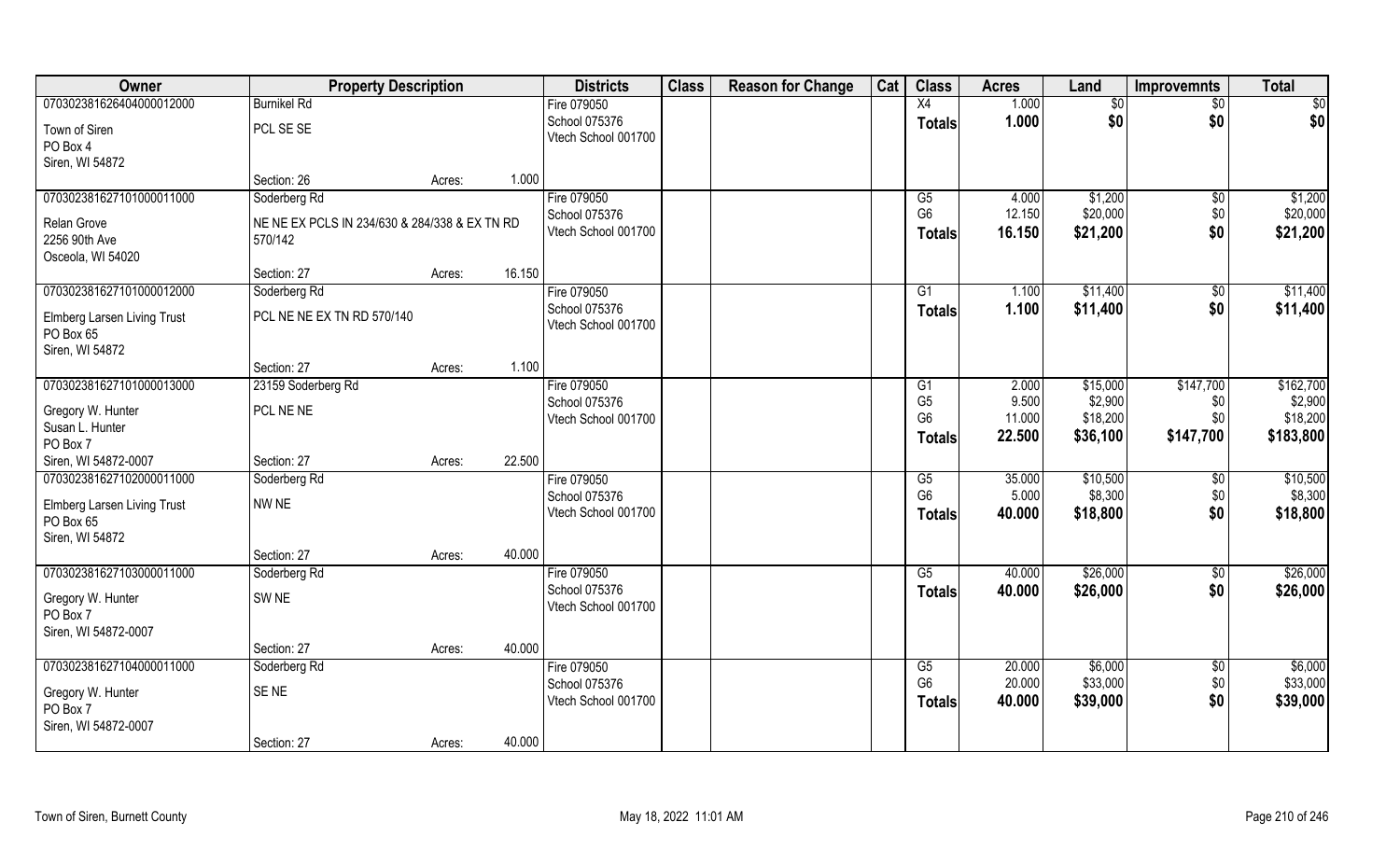| Owner                                                       | <b>Property Description</b>                              |        |        | <b>Districts</b>                     | <b>Class</b> | <b>Reason for Change</b> | Cat | <b>Class</b>                                      | <b>Acres</b>              | Land                            | <b>Improvemnts</b>      | <b>Total</b>                     |
|-------------------------------------------------------------|----------------------------------------------------------|--------|--------|--------------------------------------|--------------|--------------------------|-----|---------------------------------------------------|---------------------------|---------------------------------|-------------------------|----------------------------------|
| 070302381626404000012000                                    | <b>Burnikel Rd</b>                                       |        |        | Fire 079050                          |              |                          |     | X4                                                | 1.000                     | \$0                             | $\sqrt{6}$              | \$0                              |
| Town of Siren<br>PO Box 4<br>Siren, WI 54872                | PCL SE SE                                                |        |        | School 075376<br>Vtech School 001700 |              |                          |     | <b>Totals</b>                                     | 1.000                     | \$0                             | \$0                     | \$0                              |
|                                                             | Section: 26                                              | Acres: | 1.000  |                                      |              |                          |     |                                                   |                           |                                 |                         |                                  |
| 070302381627101000011000                                    | Soderberg Rd                                             |        |        | Fire 079050                          |              |                          |     | G5                                                | 4.000                     | \$1,200                         | \$0                     | \$1,200                          |
| Relan Grove<br>2256 90th Ave<br>Osceola, WI 54020           | NE NE EX PCLS IN 234/630 & 284/338 & EX TN RD<br>570/142 |        |        | School 075376<br>Vtech School 001700 |              |                          |     | G <sub>6</sub><br><b>Totals</b>                   | 12.150<br>16.150          | \$20,000<br>\$21,200            | \$0<br>\$0              | \$20,000<br>\$21,200             |
|                                                             | Section: 27                                              | Acres: | 16.150 |                                      |              |                          |     |                                                   |                           |                                 |                         |                                  |
| 070302381627101000012000                                    | Soderberg Rd                                             |        |        | Fire 079050                          |              |                          |     | G1                                                | 1.100                     | \$11,400                        | \$0                     | \$11,400                         |
| Elmberg Larsen Living Trust<br>PO Box 65<br>Siren, WI 54872 | PCL NE NE EX TN RD 570/140                               |        |        | School 075376<br>Vtech School 001700 |              |                          |     | <b>Totals</b>                                     | 1.100                     | \$11,400                        | \$0                     | \$11,400                         |
|                                                             | Section: 27                                              | Acres: | 1.100  |                                      |              |                          |     |                                                   |                           |                                 |                         |                                  |
| 070302381627101000013000                                    | 23159 Soderberg Rd                                       |        |        | Fire 079050                          |              |                          |     | G1                                                | 2.000                     | \$15,000                        | \$147,700               | \$162,700                        |
| Gregory W. Hunter<br>Susan L. Hunter<br>PO Box 7            | PCL NE NE                                                |        |        | School 075376<br>Vtech School 001700 |              |                          |     | G <sub>5</sub><br>G <sub>6</sub><br><b>Totals</b> | 9.500<br>11.000<br>22.500 | \$2,900<br>\$18,200<br>\$36,100 | \$0<br>\$0<br>\$147,700 | \$2,900<br>\$18,200<br>\$183,800 |
| Siren, WI 54872-0007                                        | Section: 27                                              | Acres: | 22.500 |                                      |              |                          |     |                                                   |                           |                                 |                         |                                  |
| 070302381627102000011000                                    | Soderberg Rd                                             |        |        | Fire 079050                          |              |                          |     | $\overline{\text{G5}}$                            | 35.000                    | \$10,500                        | \$0                     | \$10,500                         |
| Elmberg Larsen Living Trust<br>PO Box 65<br>Siren, WI 54872 | NW NE                                                    |        |        | School 075376<br>Vtech School 001700 |              |                          |     | G <sub>6</sub><br><b>Totals</b>                   | 5.000<br>40.000           | \$8,300<br>\$18,800             | \$0<br>\$0              | \$8,300<br>\$18,800              |
|                                                             | Section: 27                                              | Acres: | 40.000 |                                      |              |                          |     |                                                   |                           |                                 |                         |                                  |
| 070302381627103000011000                                    | Soderberg Rd                                             |        |        | Fire 079050                          |              |                          |     | G5                                                | 40.000                    | \$26,000                        | \$0                     | \$26,000                         |
| Gregory W. Hunter<br>PO Box 7                               | SW <sub>NE</sub>                                         |        |        | School 075376<br>Vtech School 001700 |              |                          |     | <b>Totals</b>                                     | 40.000                    | \$26,000                        | \$0                     | \$26,000                         |
| Siren, WI 54872-0007                                        | Section: 27                                              | Acres: | 40.000 |                                      |              |                          |     |                                                   |                           |                                 |                         |                                  |
| 070302381627104000011000                                    | Soderberg Rd                                             |        |        | Fire 079050                          |              |                          |     | G5                                                | 20.000                    | \$6,000                         | $\overline{60}$         | \$6,000                          |
| Gregory W. Hunter<br>PO Box 7<br>Siren, WI 54872-0007       | SE <sub>NE</sub>                                         |        |        | School 075376<br>Vtech School 001700 |              |                          |     | G <sub>6</sub><br><b>Totals</b>                   | 20.000<br>40.000          | \$33,000<br>\$39,000            | \$0<br>\$0              | \$33,000<br>\$39,000             |
|                                                             | Section: 27                                              | Acres: | 40.000 |                                      |              |                          |     |                                                   |                           |                                 |                         |                                  |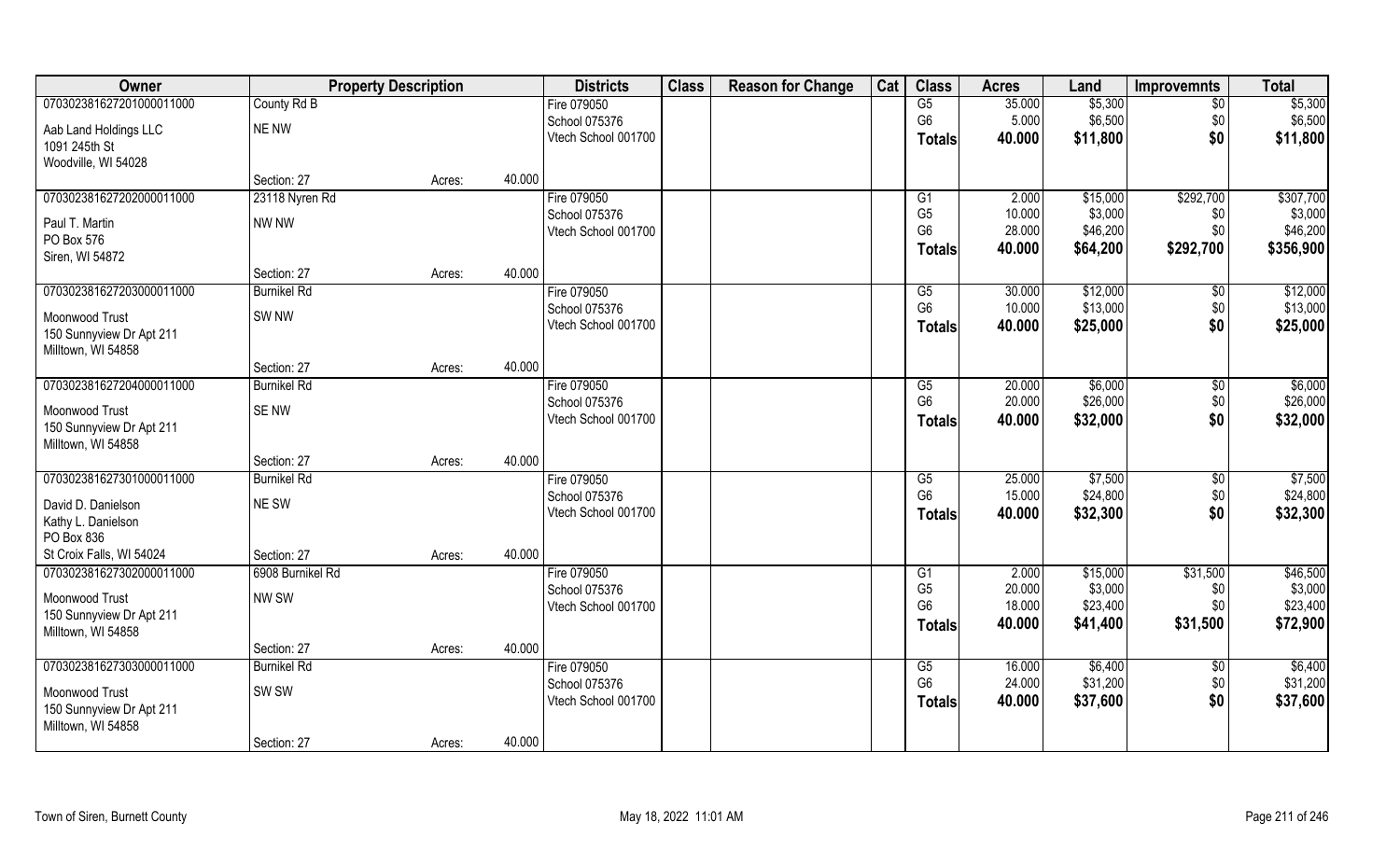| Owner                    |                    | <b>Property Description</b> |        | <b>Districts</b>    | <b>Class</b> | <b>Reason for Change</b> | Cat | <b>Class</b>                     | <b>Acres</b>     | Land     | <b>Improvemnts</b> | <b>Total</b>         |
|--------------------------|--------------------|-----------------------------|--------|---------------------|--------------|--------------------------|-----|----------------------------------|------------------|----------|--------------------|----------------------|
| 070302381627201000011000 | County Rd B        |                             |        | Fire 079050         |              |                          |     | G5                               | 35.000           | \$5,300  | $\overline{50}$    | \$5,300              |
| Aab Land Holdings LLC    | <b>NE NW</b>       |                             |        | School 075376       |              |                          |     | G <sub>6</sub>                   | 5.000            | \$6,500  | \$0                | \$6,500              |
| 1091 245th St            |                    |                             |        | Vtech School 001700 |              |                          |     | <b>Totals</b>                    | 40.000           | \$11,800 | \$0                | \$11,800             |
| Woodville, WI 54028      |                    |                             |        |                     |              |                          |     |                                  |                  |          |                    |                      |
|                          | Section: 27        | Acres:                      | 40.000 |                     |              |                          |     |                                  |                  |          |                    |                      |
| 070302381627202000011000 | 23118 Nyren Rd     |                             |        | Fire 079050         |              |                          |     | G1                               | 2.000            | \$15,000 | \$292,700          | \$307,700            |
| Paul T. Martin           | <b>NW NW</b>       |                             |        | School 075376       |              |                          |     | G <sub>5</sub><br>G <sub>6</sub> | 10.000<br>28.000 | \$3,000  | \$0\$              | \$3,000              |
| PO Box 576               |                    |                             |        | Vtech School 001700 |              |                          |     |                                  |                  | \$46,200 | \$0                | \$46,200             |
| Siren, WI 54872          |                    |                             |        |                     |              |                          |     | <b>Totals</b>                    | 40.000           | \$64,200 | \$292,700          | \$356,900            |
|                          | Section: 27        | Acres:                      | 40.000 |                     |              |                          |     |                                  |                  |          |                    |                      |
| 070302381627203000011000 | <b>Burnikel Rd</b> |                             |        | Fire 079050         |              |                          |     | G5                               | 30.000           | \$12,000 | \$0                | \$12,000             |
| Moonwood Trust           | <b>SW NW</b>       |                             |        | School 075376       |              |                          |     | G <sub>6</sub>                   | 10.000           | \$13,000 | \$0                | \$13,000             |
| 150 Sunnyview Dr Apt 211 |                    |                             |        | Vtech School 001700 |              |                          |     | <b>Totals</b>                    | 40.000           | \$25,000 | \$0                | \$25,000             |
| Milltown, WI 54858       |                    |                             |        |                     |              |                          |     |                                  |                  |          |                    |                      |
|                          | Section: 27        | Acres:                      | 40.000 |                     |              |                          |     |                                  |                  |          |                    |                      |
| 070302381627204000011000 | <b>Burnikel Rd</b> |                             |        | Fire 079050         |              |                          |     | G5                               | 20.000           | \$6,000  | \$0                | \$6,000              |
| Moonwood Trust           | SE NW              |                             |        | School 075376       |              |                          |     | G <sub>6</sub>                   | 20.000           | \$26,000 | \$0                | \$26,000             |
| 150 Sunnyview Dr Apt 211 |                    |                             |        | Vtech School 001700 |              |                          |     | <b>Totals</b>                    | 40.000           | \$32,000 | \$0                | \$32,000             |
| Milltown, WI 54858       |                    |                             |        |                     |              |                          |     |                                  |                  |          |                    |                      |
|                          | Section: 27        | Acres:                      | 40.000 |                     |              |                          |     |                                  |                  |          |                    |                      |
| 070302381627301000011000 | <b>Burnikel Rd</b> |                             |        | Fire 079050         |              |                          |     | $\overline{G5}$                  | 25.000           | \$7,500  | $\overline{50}$    | \$7,500              |
| David D. Danielson       | NE SW              |                             |        | School 075376       |              |                          |     | G <sub>6</sub>                   | 15.000           | \$24,800 | \$0                | \$24,800             |
| Kathy L. Danielson       |                    |                             |        | Vtech School 001700 |              |                          |     | Totals                           | 40.000           | \$32,300 | \$0                | \$32,300             |
| PO Box 836               |                    |                             |        |                     |              |                          |     |                                  |                  |          |                    |                      |
| St Croix Falls, WI 54024 | Section: 27        | Acres:                      | 40.000 |                     |              |                          |     |                                  |                  |          |                    |                      |
| 070302381627302000011000 | 6908 Burnikel Rd   |                             |        | Fire 079050         |              |                          |     | G1                               | 2.000            | \$15,000 | \$31,500           | \$46,500             |
| Moonwood Trust           | NW SW              |                             |        | School 075376       |              |                          |     | G <sub>5</sub><br>G <sub>6</sub> | 20.000           | \$3,000  | \$0                | \$3,000              |
| 150 Sunnyview Dr Apt 211 |                    |                             |        | Vtech School 001700 |              |                          |     |                                  | 18.000<br>40.000 | \$23,400 | \$0<br>\$31,500    | \$23,400<br>\$72,900 |
| Milltown, WI 54858       |                    |                             |        |                     |              |                          |     | <b>Totals</b>                    |                  | \$41,400 |                    |                      |
|                          | Section: 27        | Acres:                      | 40.000 |                     |              |                          |     |                                  |                  |          |                    |                      |
| 070302381627303000011000 | <b>Burnikel Rd</b> |                             |        | Fire 079050         |              |                          |     | G5                               | 16.000           | \$6,400  | $\overline{50}$    | \$6,400              |
| Moonwood Trust           | SW <sub>SW</sub>   |                             |        | School 075376       |              |                          |     | G <sub>6</sub>                   | 24.000           | \$31,200 | \$0                | \$31,200             |
| 150 Sunnyview Dr Apt 211 |                    |                             |        | Vtech School 001700 |              |                          |     | <b>Totals</b>                    | 40.000           | \$37,600 | \$0                | \$37,600             |
| Milltown, WI 54858       |                    |                             |        |                     |              |                          |     |                                  |                  |          |                    |                      |
|                          | Section: 27        | Acres:                      | 40.000 |                     |              |                          |     |                                  |                  |          |                    |                      |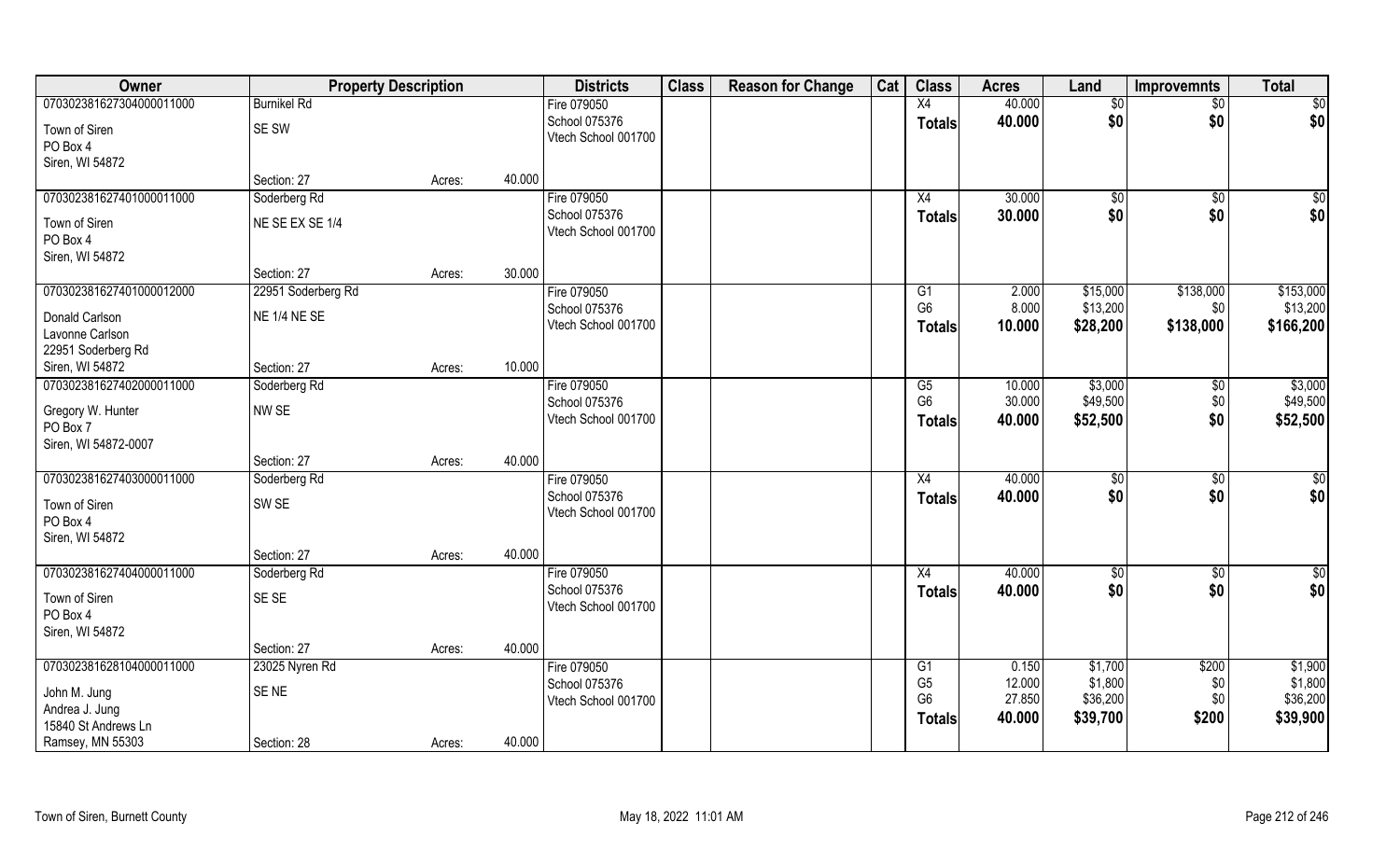| Owner                    |                    | <b>Property Description</b> |        | <b>Districts</b>                     | <b>Class</b> | <b>Reason for Change</b> | Cat | <b>Class</b>   | <b>Acres</b> | Land            | <b>Improvemnts</b> | <b>Total</b>    |
|--------------------------|--------------------|-----------------------------|--------|--------------------------------------|--------------|--------------------------|-----|----------------|--------------|-----------------|--------------------|-----------------|
| 070302381627304000011000 | <b>Burnikel Rd</b> |                             |        | Fire 079050                          |              |                          |     | X4             | 40.000       | $\overline{50}$ | $\sqrt{$0}$        | $\sqrt{50}$     |
| Town of Siren            | SE SW              |                             |        | School 075376<br>Vtech School 001700 |              |                          |     | <b>Totals</b>  | 40.000       | \$0             | \$0                | \$0             |
| PO Box 4                 |                    |                             |        |                                      |              |                          |     |                |              |                 |                    |                 |
| Siren, WI 54872          |                    |                             |        |                                      |              |                          |     |                |              |                 |                    |                 |
|                          | Section: 27        | Acres:                      | 40.000 |                                      |              |                          |     |                |              |                 |                    |                 |
| 070302381627401000011000 | Soderberg Rd       |                             |        | Fire 079050                          |              |                          |     | X4             | 30.000       | $\sqrt{50}$     | \$0                | \$0             |
| Town of Siren            | NE SE EX SE 1/4    |                             |        | School 075376                        |              |                          |     | <b>Totals</b>  | 30.000       | \$0             | \$0                | \$0             |
| PO Box 4                 |                    |                             |        | Vtech School 001700                  |              |                          |     |                |              |                 |                    |                 |
| Siren, WI 54872          |                    |                             |        |                                      |              |                          |     |                |              |                 |                    |                 |
|                          | Section: 27        | Acres:                      | 30.000 |                                      |              |                          |     |                |              |                 |                    |                 |
| 070302381627401000012000 | 22951 Soderberg Rd |                             |        | Fire 079050                          |              |                          |     | G1             | 2.000        | \$15,000        | \$138,000          | \$153,000       |
| Donald Carlson           | NE 1/4 NE SE       |                             |        | School 075376                        |              |                          |     | G <sub>6</sub> | 8.000        | \$13,200        | \$0                | \$13,200        |
| Lavonne Carlson          |                    |                             |        | Vtech School 001700                  |              |                          |     | <b>Totals</b>  | 10.000       | \$28,200        | \$138,000          | \$166,200       |
| 22951 Soderberg Rd       |                    |                             |        |                                      |              |                          |     |                |              |                 |                    |                 |
| Siren, WI 54872          | Section: 27        | Acres:                      | 10.000 |                                      |              |                          |     |                |              |                 |                    |                 |
| 070302381627402000011000 | Soderberg Rd       |                             |        | Fire 079050                          |              |                          |     | G5             | 10.000       | \$3,000         | $\sqrt[6]{3}$      | \$3,000         |
| Gregory W. Hunter        | NW SE              |                             |        | School 075376                        |              |                          |     | G <sub>6</sub> | 30.000       | \$49,500        | \$0                | \$49,500        |
| PO Box 7                 |                    |                             |        | Vtech School 001700                  |              |                          |     | <b>Totals</b>  | 40.000       | \$52,500        | \$0                | \$52,500        |
| Siren, WI 54872-0007     |                    |                             |        |                                      |              |                          |     |                |              |                 |                    |                 |
|                          | Section: 27        | Acres:                      | 40.000 |                                      |              |                          |     |                |              |                 |                    |                 |
| 070302381627403000011000 | Soderberg Rd       |                             |        | Fire 079050                          |              |                          |     | X4             | 40.000       | \$0             | \$0                | $\sqrt{50}$     |
| Town of Siren            | SW <sub>SE</sub>   |                             |        | School 075376                        |              |                          |     | <b>Totals</b>  | 40.000       | \$0             | \$0                | \$0             |
| PO Box 4                 |                    |                             |        | Vtech School 001700                  |              |                          |     |                |              |                 |                    |                 |
| Siren, WI 54872          |                    |                             |        |                                      |              |                          |     |                |              |                 |                    |                 |
|                          | Section: 27        | Acres:                      | 40.000 |                                      |              |                          |     |                |              |                 |                    |                 |
| 070302381627404000011000 | Soderberg Rd       |                             |        | Fire 079050                          |              |                          |     | X4             | 40.000       | \$0             | \$0                | $\overline{50}$ |
| Town of Siren            | SE SE              |                             |        | School 075376                        |              |                          |     | <b>Totals</b>  | 40.000       | \$0             | \$0                | \$0             |
| PO Box 4                 |                    |                             |        | Vtech School 001700                  |              |                          |     |                |              |                 |                    |                 |
| Siren, WI 54872          |                    |                             |        |                                      |              |                          |     |                |              |                 |                    |                 |
|                          | Section: 27        | Acres:                      | 40.000 |                                      |              |                          |     |                |              |                 |                    |                 |
| 070302381628104000011000 | 23025 Nyren Rd     |                             |        | Fire 079050                          |              |                          |     | G1             | 0.150        | \$1,700         | \$200              | \$1,900         |
| John M. Jung             | SE <sub>NE</sub>   |                             |        | School 075376                        |              |                          |     | G <sub>5</sub> | 12.000       | \$1,800         | \$0                | \$1,800         |
| Andrea J. Jung           |                    |                             |        | Vtech School 001700                  |              |                          |     | G <sub>6</sub> | 27.850       | \$36,200        | \$0                | \$36,200        |
| 15840 St Andrews Ln      |                    |                             |        |                                      |              |                          |     | <b>Totals</b>  | 40.000       | \$39,700        | \$200              | \$39,900        |
| Ramsey, MN 55303         | Section: 28        | Acres:                      | 40.000 |                                      |              |                          |     |                |              |                 |                    |                 |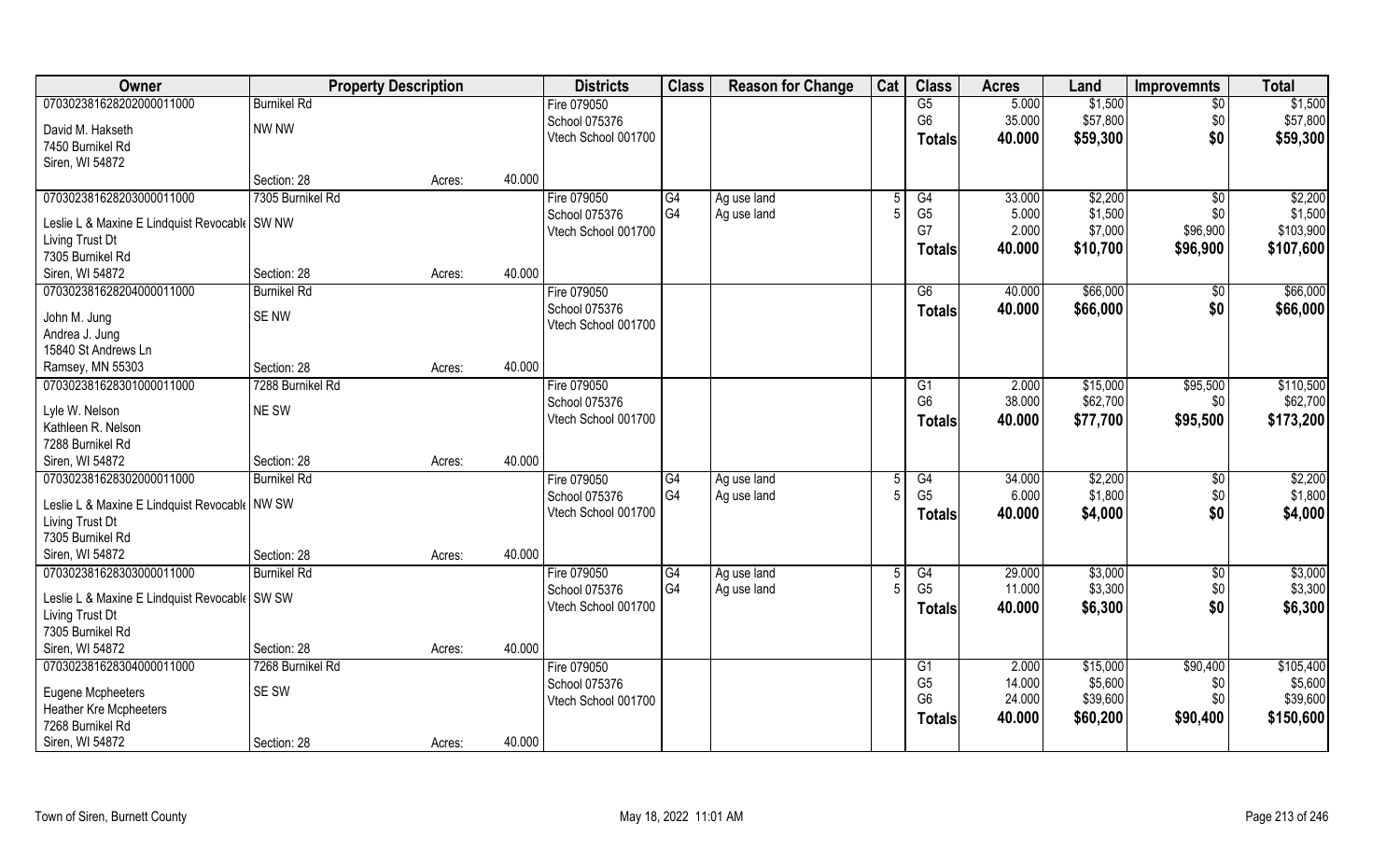| 070302381628202000011000<br><b>Burnikel Rd</b><br>G5<br>\$1,500<br>Fire 079050<br>5.000<br>\$0<br>G <sub>6</sub><br>35.000<br>\$57,800<br>\$0<br>School 075376<br>NW NW<br>David M. Hakseth<br>\$0<br>\$59,300<br>Vtech School 001700<br>40.000<br><b>Totals</b><br>7450 Burnikel Rd<br>Siren, WI 54872 | \$1,500<br>\$57,800 |  |  |  |        | <b>Property Description</b> |  |
|---------------------------------------------------------------------------------------------------------------------------------------------------------------------------------------------------------------------------------------------------------------------------------------------------------|---------------------|--|--|--|--------|-----------------------------|--|
|                                                                                                                                                                                                                                                                                                         |                     |  |  |  |        |                             |  |
|                                                                                                                                                                                                                                                                                                         |                     |  |  |  |        |                             |  |
|                                                                                                                                                                                                                                                                                                         | \$59,300            |  |  |  |        |                             |  |
|                                                                                                                                                                                                                                                                                                         |                     |  |  |  |        |                             |  |
|                                                                                                                                                                                                                                                                                                         |                     |  |  |  | 40.000 | Section: 28<br>Acres:       |  |
| 070302381628203000011000<br>7305 Burnikel Rd<br>Fire 079050<br>\$2,200<br>G4<br>Ag use land<br>G4<br>33.000<br>$\overline{30}$                                                                                                                                                                          | \$2,200             |  |  |  |        |                             |  |
| G <sub>4</sub><br>G <sub>5</sub><br>Ag use land<br>\$1,500<br>School 075376<br>5.000<br>\$0<br>Leslie L & Maxine E Lindquist Revocable SW NW                                                                                                                                                            | \$1,500             |  |  |  |        |                             |  |
| G7<br>2.000<br>\$96,900<br>\$7,000<br>Vtech School 001700<br>Living Trust Dt                                                                                                                                                                                                                            | \$103,900           |  |  |  |        |                             |  |
| 40.000<br>\$10,700<br>\$96,900<br><b>Totals</b><br>7305 Burnikel Rd                                                                                                                                                                                                                                     | \$107,600           |  |  |  |        |                             |  |
| 40.000<br>Siren, WI 54872<br>Section: 28<br>Acres:                                                                                                                                                                                                                                                      |                     |  |  |  |        |                             |  |
| 070302381628204000011000<br>\$66,000<br><b>Burnikel Rd</b><br>Fire 079050<br>40.000<br>G6<br>$\sqrt[6]{30}$                                                                                                                                                                                             | \$66,000            |  |  |  |        |                             |  |
| \$0<br>School 075376<br>\$66,000<br>40.000<br><b>Totals</b><br><b>SENW</b>                                                                                                                                                                                                                              | \$66,000            |  |  |  |        |                             |  |
| John M. Jung<br>Vtech School 001700<br>Andrea J. Jung                                                                                                                                                                                                                                                   |                     |  |  |  |        |                             |  |
| 15840 St Andrews Ln                                                                                                                                                                                                                                                                                     |                     |  |  |  |        |                             |  |
| 40.000<br>Ramsey, MN 55303<br>Section: 28<br>Acres:                                                                                                                                                                                                                                                     |                     |  |  |  |        |                             |  |
| 070302381628301000011000<br>7288 Burnikel Rd<br>Fire 079050<br>\$15,000<br>\$95,500<br>2.000<br>G1                                                                                                                                                                                                      | \$110,500           |  |  |  |        |                             |  |
| G <sub>6</sub><br>38.000<br>\$62,700<br>School 075376<br>\$0                                                                                                                                                                                                                                            | \$62,700            |  |  |  |        |                             |  |
| NE SW<br>Lyle W. Nelson<br>Vtech School 001700<br>40.000<br>\$77,700<br>\$95,500<br><b>Totals</b>                                                                                                                                                                                                       | \$173,200           |  |  |  |        |                             |  |
| Kathleen R. Nelson                                                                                                                                                                                                                                                                                      |                     |  |  |  |        |                             |  |
| 7288 Burnikel Rd                                                                                                                                                                                                                                                                                        |                     |  |  |  |        |                             |  |
| Siren, WI 54872<br>40.000<br>Section: 28<br>Acres:                                                                                                                                                                                                                                                      |                     |  |  |  |        |                             |  |
| 070302381628302000011000<br><b>Burnikel Rd</b><br>\$2,200<br>Fire 079050<br>G4<br>Ag use land<br>G4<br>34.000<br>$\sqrt[6]{30}$                                                                                                                                                                         | \$2,200             |  |  |  |        |                             |  |
| G <sub>4</sub><br>G <sub>5</sub><br>\$1,800<br>\$0<br>Ag use land<br>6.000<br>School 075376<br>Leslie L & Maxine E Lindquist Revocable NW SW                                                                                                                                                            | \$1,800             |  |  |  |        |                             |  |
| \$0<br>\$4,000<br>Vtech School 001700<br>40.000<br>Totals<br>Living Trust Dt                                                                                                                                                                                                                            | \$4,000             |  |  |  |        |                             |  |
| 7305 Burnikel Rd                                                                                                                                                                                                                                                                                        |                     |  |  |  |        |                             |  |
| Siren, WI 54872<br>40.000<br>Section: 28<br>Acres:                                                                                                                                                                                                                                                      |                     |  |  |  |        |                             |  |
| 070302381628303000011000<br><b>Burnikel Rd</b><br>Fire 079050<br>G4<br>G4<br>29.000<br>\$3,000<br>Ag use land<br>\$0                                                                                                                                                                                    | \$3,000             |  |  |  |        |                             |  |
| G <sub>5</sub><br>G <sub>4</sub><br>11.000<br>\$3,300<br>\$0<br>Ag use land<br>School 075376<br>Leslie L & Maxine E Lindquist Revocable SW SW                                                                                                                                                           | \$3,300             |  |  |  |        |                             |  |
| \$0<br>Vtech School 001700<br>\$6,300<br>40.000<br><b>Totals</b><br>Living Trust Dt                                                                                                                                                                                                                     | \$6,300             |  |  |  |        |                             |  |
| 7305 Burnikel Rd                                                                                                                                                                                                                                                                                        |                     |  |  |  |        |                             |  |
| Siren, WI 54872<br>40.000<br>Section: 28<br>Acres:                                                                                                                                                                                                                                                      |                     |  |  |  |        |                             |  |
| 070302381628304000011000<br>Fire 079050<br>\$90,400<br>7268 Burnikel Rd<br>G1<br>2.000<br>\$15,000                                                                                                                                                                                                      | \$105,400           |  |  |  |        |                             |  |
| G <sub>5</sub><br>\$5,600<br>14.000<br>School 075376<br>\$0                                                                                                                                                                                                                                             | \$5,600             |  |  |  |        |                             |  |
| SE SW<br>Eugene Mcpheeters<br>G <sub>6</sub><br>24.000<br>\$39,600<br>\$0<br>Vtech School 001700                                                                                                                                                                                                        | \$39,600            |  |  |  |        |                             |  |
| <b>Heather Kre Mcpheeters</b><br>40.000<br>\$60,200<br>\$90,400<br><b>Totals</b><br>7268 Burnikel Rd                                                                                                                                                                                                    | \$150,600           |  |  |  |        |                             |  |
| Siren, WI 54872<br>40.000<br>Section: 28<br>Acres:                                                                                                                                                                                                                                                      |                     |  |  |  |        |                             |  |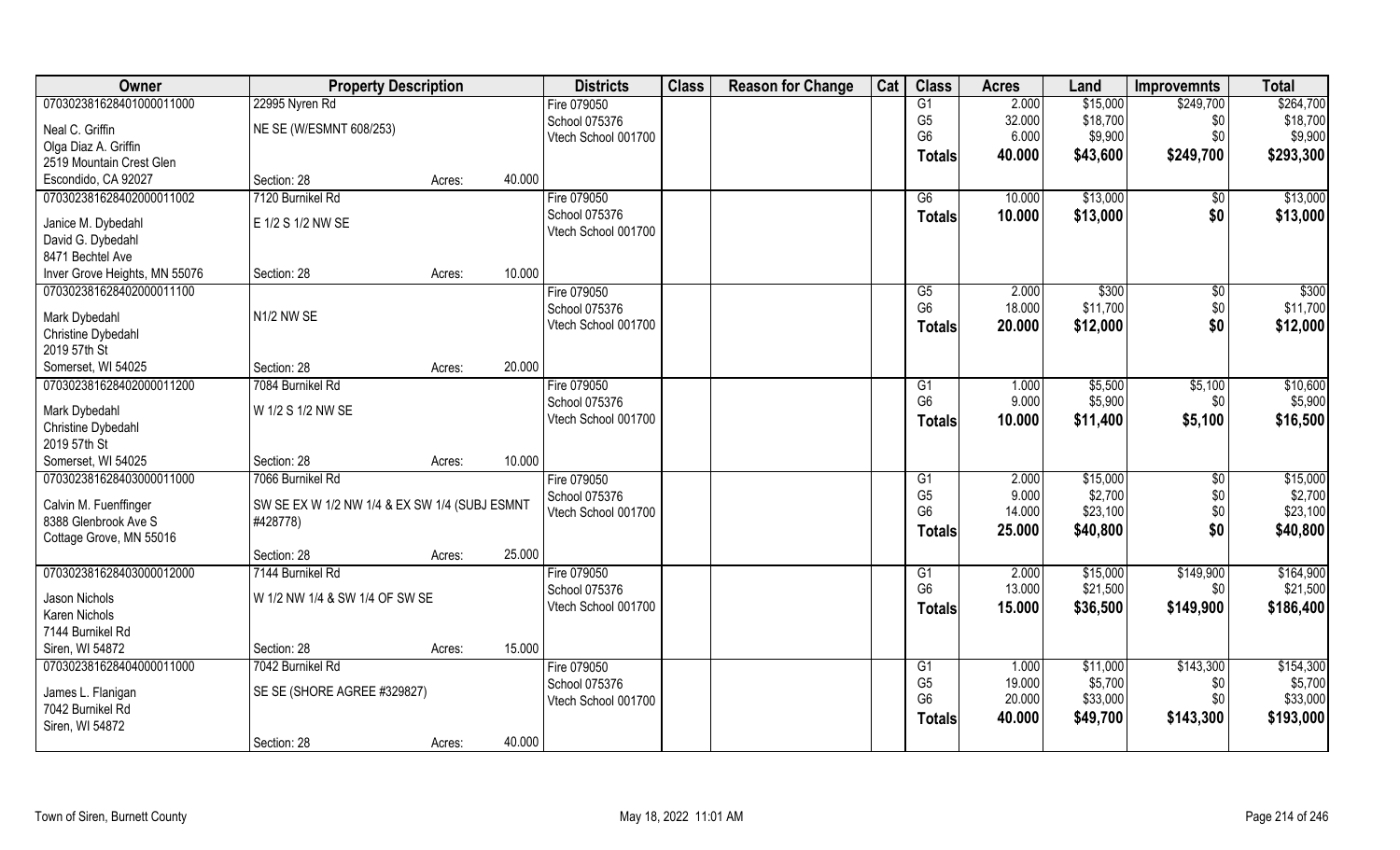| Owner                                 | <b>Property Description</b>                   |        |        | <b>Districts</b>    | <b>Class</b> | <b>Reason for Change</b> | Cat | <b>Class</b>   | <b>Acres</b> | Land     | <b>Improvemnts</b> | <b>Total</b> |
|---------------------------------------|-----------------------------------------------|--------|--------|---------------------|--------------|--------------------------|-----|----------------|--------------|----------|--------------------|--------------|
| 070302381628401000011000              | 22995 Nyren Rd                                |        |        | Fire 079050         |              |                          |     | G1             | 2.000        | \$15,000 | \$249,700          | \$264,700    |
| Neal C. Griffin                       | NE SE (W/ESMNT 608/253)                       |        |        | School 075376       |              |                          |     | G <sub>5</sub> | 32.000       | \$18,700 | \$0                | \$18,700     |
| Olga Diaz A. Griffin                  |                                               |        |        | Vtech School 001700 |              |                          |     | G <sub>6</sub> | 6.000        | \$9,900  | \$0                | \$9,900      |
| 2519 Mountain Crest Glen              |                                               |        |        |                     |              |                          |     | Totals         | 40.000       | \$43,600 | \$249,700          | \$293,300    |
| Escondido, CA 92027                   | Section: 28                                   | Acres: | 40.000 |                     |              |                          |     |                |              |          |                    |              |
| 070302381628402000011002              | 7120 Burnikel Rd                              |        |        | Fire 079050         |              |                          |     | G6             | 10.000       | \$13,000 | $\sqrt{6}$         | \$13,000     |
|                                       | E 1/2 S 1/2 NW SE                             |        |        | School 075376       |              |                          |     | Totals         | 10.000       | \$13,000 | \$0                | \$13,000     |
| Janice M. Dybedahl                    |                                               |        |        | Vtech School 001700 |              |                          |     |                |              |          |                    |              |
| David G. Dybedahl<br>8471 Bechtel Ave |                                               |        |        |                     |              |                          |     |                |              |          |                    |              |
| Inver Grove Heights, MN 55076         | Section: 28                                   | Acres: | 10.000 |                     |              |                          |     |                |              |          |                    |              |
| 070302381628402000011100              |                                               |        |        | Fire 079050         |              |                          |     | G5             | 2.000        | \$300    | \$0                | \$300        |
|                                       |                                               |        |        | School 075376       |              |                          |     | G <sub>6</sub> | 18.000       | \$11,700 | \$0                | \$11,700     |
| Mark Dybedahl                         | N1/2 NW SE                                    |        |        | Vtech School 001700 |              |                          |     | <b>Totals</b>  | 20.000       | \$12,000 | \$0                | \$12,000     |
| Christine Dybedahl                    |                                               |        |        |                     |              |                          |     |                |              |          |                    |              |
| 2019 57th St                          |                                               |        |        |                     |              |                          |     |                |              |          |                    |              |
| Somerset, WI 54025                    | Section: 28                                   | Acres: | 20.000 |                     |              |                          |     |                |              |          |                    |              |
| 070302381628402000011200              | 7084 Burnikel Rd                              |        |        | Fire 079050         |              |                          |     | G <sub>1</sub> | 1.000        | \$5,500  | \$5,100            | \$10,600     |
| Mark Dybedahl                         | W 1/2 S 1/2 NW SE                             |        |        | School 075376       |              |                          |     | G <sub>6</sub> | 9.000        | \$5,900  | \$0                | \$5,900      |
| Christine Dybedahl                    |                                               |        |        | Vtech School 001700 |              |                          |     | <b>Totals</b>  | 10.000       | \$11,400 | \$5,100            | \$16,500     |
| 2019 57th St                          |                                               |        |        |                     |              |                          |     |                |              |          |                    |              |
| Somerset, WI 54025                    | Section: 28                                   | Acres: | 10.000 |                     |              |                          |     |                |              |          |                    |              |
| 070302381628403000011000              | 7066 Burnikel Rd                              |        |        | Fire 079050         |              |                          |     | G1             | 2.000        | \$15,000 | \$0                | \$15,000     |
| Calvin M. Fuenffinger                 | SW SE EX W 1/2 NW 1/4 & EX SW 1/4 (SUBJ ESMNT |        |        | School 075376       |              |                          |     | G <sub>5</sub> | 9.000        | \$2,700  | \$0                | \$2,700      |
| 8388 Glenbrook Ave S                  | #428778)                                      |        |        | Vtech School 001700 |              |                          |     | G <sub>6</sub> | 14.000       | \$23,100 | \$0                | \$23,100     |
| Cottage Grove, MN 55016               |                                               |        |        |                     |              |                          |     | <b>Totals</b>  | 25.000       | \$40,800 | \$0                | \$40,800     |
|                                       | Section: 28                                   | Acres: | 25.000 |                     |              |                          |     |                |              |          |                    |              |
| 070302381628403000012000              | 7144 Burnikel Rd                              |        |        | Fire 079050         |              |                          |     | G1             | 2.000        | \$15,000 | \$149,900          | \$164,900    |
|                                       |                                               |        |        | School 075376       |              |                          |     | G <sub>6</sub> | 13.000       | \$21,500 | \$0                | \$21,500     |
| Jason Nichols                         | W 1/2 NW 1/4 & SW 1/4 OF SW SE                |        |        | Vtech School 001700 |              |                          |     | <b>Totals</b>  | 15.000       | \$36,500 | \$149,900          | \$186,400    |
| Karen Nichols<br>7144 Burnikel Rd     |                                               |        |        |                     |              |                          |     |                |              |          |                    |              |
| Siren, WI 54872                       | Section: 28                                   | Acres: | 15.000 |                     |              |                          |     |                |              |          |                    |              |
| 070302381628404000011000              | 7042 Burnikel Rd                              |        |        | Fire 079050         |              |                          |     | G1             | 1.000        | \$11,000 | \$143,300          | \$154,300    |
|                                       |                                               |        |        | School 075376       |              |                          |     | G <sub>5</sub> | 19.000       | \$5,700  | \$0                | \$5,700      |
| James L. Flanigan                     | SE SE (SHORE AGREE #329827)                   |        |        | Vtech School 001700 |              |                          |     | G <sub>6</sub> | 20.000       | \$33,000 | \$0                | \$33,000     |
| 7042 Burnikel Rd                      |                                               |        |        |                     |              |                          |     | <b>Totals</b>  | 40.000       | \$49,700 | \$143,300          | \$193,000    |
| Siren, WI 54872                       |                                               |        |        |                     |              |                          |     |                |              |          |                    |              |
|                                       | Section: 28                                   | Acres: | 40.000 |                     |              |                          |     |                |              |          |                    |              |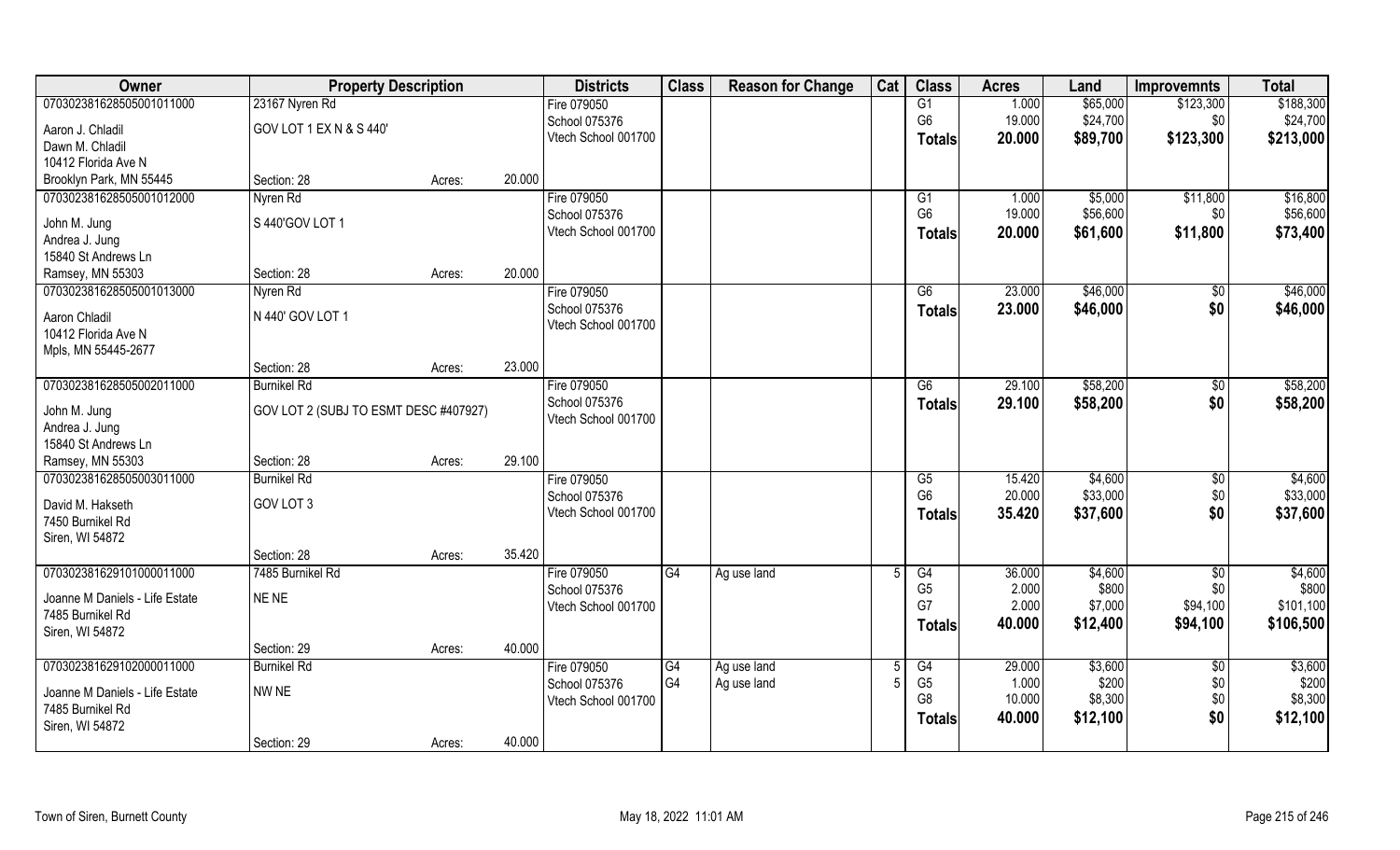| Owner                          | <b>Property Description</b>           |                  | <b>Districts</b>    | <b>Class</b>   | <b>Reason for Change</b> | Cat | <b>Class</b>   | <b>Acres</b> | Land     | <b>Improvemnts</b> | <b>Total</b> |
|--------------------------------|---------------------------------------|------------------|---------------------|----------------|--------------------------|-----|----------------|--------------|----------|--------------------|--------------|
| 070302381628505001011000       | 23167 Nyren Rd                        |                  | Fire 079050         |                |                          |     | G1             | 1.000        | \$65,000 | \$123,300          | \$188,300    |
| Aaron J. Chladil               | GOV LOT 1 EX N & S 440'               |                  | School 075376       |                |                          |     | G <sub>6</sub> | 19.000       | \$24,700 | \$0                | \$24,700     |
| Dawn M. Chladil                |                                       |                  | Vtech School 001700 |                |                          |     | <b>Totals</b>  | 20.000       | \$89,700 | \$123,300          | \$213,000    |
| 10412 Florida Ave N            |                                       |                  |                     |                |                          |     |                |              |          |                    |              |
| Brooklyn Park, MN 55445        | Section: 28                           | 20.000<br>Acres: |                     |                |                          |     |                |              |          |                    |              |
| 070302381628505001012000       | Nyren Rd                              |                  | Fire 079050         |                |                          |     | G1             | 1.000        | \$5,000  | \$11,800           | \$16,800     |
| John M. Jung                   | S 440'GOV LOT 1                       |                  | School 075376       |                |                          |     | G <sub>6</sub> | 19.000       | \$56,600 | \$0                | \$56,600     |
| Andrea J. Jung                 |                                       |                  | Vtech School 001700 |                |                          |     | <b>Totals</b>  | 20.000       | \$61,600 | \$11,800           | \$73,400     |
| 15840 St Andrews Ln            |                                       |                  |                     |                |                          |     |                |              |          |                    |              |
| Ramsey, MN 55303               | Section: 28                           | 20.000<br>Acres: |                     |                |                          |     |                |              |          |                    |              |
| 070302381628505001013000       | Nyren Rd                              |                  | Fire 079050         |                |                          |     | G6             | 23.000       | \$46,000 | \$0                | \$46,000     |
| Aaron Chladil                  | N 440' GOV LOT 1                      |                  | School 075376       |                |                          |     | <b>Totals</b>  | 23.000       | \$46,000 | \$0                | \$46,000     |
| 10412 Florida Ave N            |                                       |                  | Vtech School 001700 |                |                          |     |                |              |          |                    |              |
| Mpls, MN 55445-2677            |                                       |                  |                     |                |                          |     |                |              |          |                    |              |
|                                | Section: 28                           | 23.000<br>Acres: |                     |                |                          |     |                |              |          |                    |              |
| 070302381628505002011000       | <b>Burnikel Rd</b>                    |                  | Fire 079050         |                |                          |     | G6             | 29.100       | \$58,200 | $\sqrt[6]{}$       | \$58,200     |
| John M. Jung                   | GOV LOT 2 (SUBJ TO ESMT DESC #407927) |                  | School 075376       |                |                          |     | <b>Totals</b>  | 29.100       | \$58,200 | \$0                | \$58,200     |
| Andrea J. Jung                 |                                       |                  | Vtech School 001700 |                |                          |     |                |              |          |                    |              |
| 15840 St Andrews Ln            |                                       |                  |                     |                |                          |     |                |              |          |                    |              |
| Ramsey, MN 55303               | Section: 28                           | 29.100<br>Acres: |                     |                |                          |     |                |              |          |                    |              |
| 070302381628505003011000       | <b>Burnikel Rd</b>                    |                  | Fire 079050         |                |                          |     | G5             | 15.420       | \$4,600  | \$0                | \$4,600      |
| David M. Hakseth               | GOV LOT 3                             |                  | School 075376       |                |                          |     | G <sub>6</sub> | 20.000       | \$33,000 | \$0                | \$33,000     |
| 7450 Burnikel Rd               |                                       |                  | Vtech School 001700 |                |                          |     | <b>Totals</b>  | 35.420       | \$37,600 | \$0                | \$37,600     |
| Siren, WI 54872                |                                       |                  |                     |                |                          |     |                |              |          |                    |              |
|                                | Section: 28                           | 35.420<br>Acres: |                     |                |                          |     |                |              |          |                    |              |
| 070302381629101000011000       | 7485 Burnikel Rd                      |                  | Fire 079050         | G4             | Ag use land              |     | G4             | 36.000       | \$4,600  | \$0                | \$4,600      |
| Joanne M Daniels - Life Estate | NE NE                                 |                  | School 075376       |                |                          |     | G <sub>5</sub> | 2.000        | \$800    | \$0                | \$800        |
| 7485 Burnikel Rd               |                                       |                  | Vtech School 001700 |                |                          |     | G7             | 2.000        | \$7,000  | \$94,100           | \$101,100    |
| Siren, WI 54872                |                                       |                  |                     |                |                          |     | <b>Totals</b>  | 40.000       | \$12,400 | \$94,100           | \$106,500    |
|                                | Section: 29                           | 40.000<br>Acres: |                     |                |                          |     |                |              |          |                    |              |
| 070302381629102000011000       | <b>Burnikel Rd</b>                    |                  | Fire 079050         | G4             | Ag use land              |     | G4             | 29.000       | \$3,600  | $\overline{60}$    | \$3,600      |
| Joanne M Daniels - Life Estate | NW NE                                 |                  | School 075376       | G <sub>4</sub> | Ag use land              |     | G <sub>5</sub> | 1.000        | \$200    | \$0\$              | \$200        |
| 7485 Burnikel Rd               |                                       |                  | Vtech School 001700 |                |                          |     | G <sub>8</sub> | 10.000       | \$8,300  | \$0                | \$8,300      |
| Siren, WI 54872                |                                       |                  |                     |                |                          |     | <b>Totals</b>  | 40.000       | \$12,100 | \$0                | \$12,100     |
|                                | Section: 29                           | 40.000<br>Acres: |                     |                |                          |     |                |              |          |                    |              |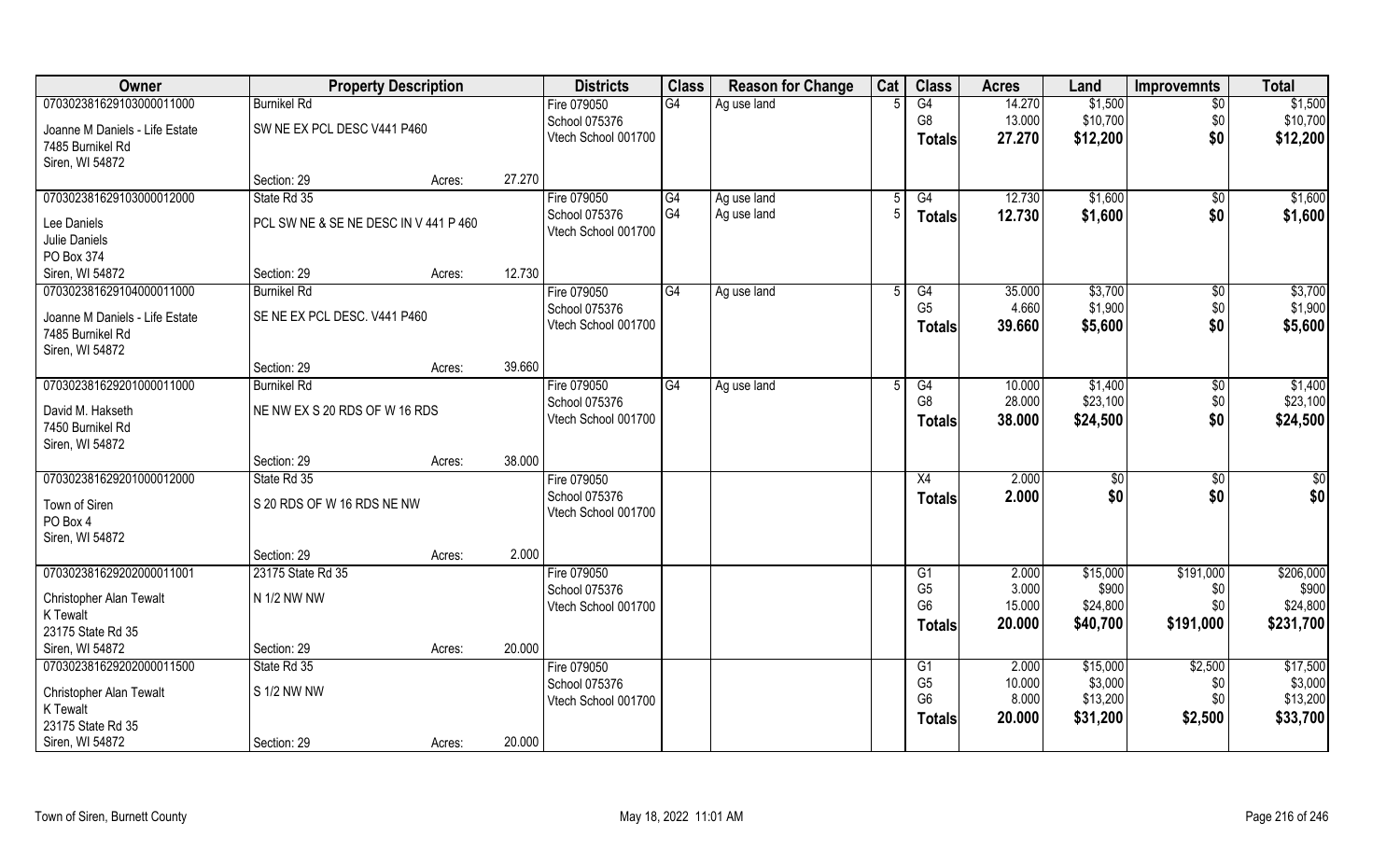| Owner                          |                                       | <b>Property Description</b> |        | <b>Districts</b>    | <b>Class</b>    | <b>Reason for Change</b> | Cat | <b>Class</b>   | <b>Acres</b> | Land         | <b>Improvemnts</b> | <b>Total</b> |
|--------------------------------|---------------------------------------|-----------------------------|--------|---------------------|-----------------|--------------------------|-----|----------------|--------------|--------------|--------------------|--------------|
| 070302381629103000011000       | <b>Burnikel Rd</b>                    |                             |        | Fire 079050         | $\overline{G4}$ | Ag use land              |     | G4             | 14.270       | \$1,500      | $\overline{60}$    | \$1,500      |
| Joanne M Daniels - Life Estate | SW NE EX PCL DESC V441 P460           |                             |        | School 075376       |                 |                          |     | G8             | 13.000       | \$10,700     | \$0                | \$10,700     |
| 7485 Burnikel Rd               |                                       |                             |        | Vtech School 001700 |                 |                          |     | <b>Totals</b>  | 27.270       | \$12,200     | \$0                | \$12,200     |
| Siren, WI 54872                |                                       |                             |        |                     |                 |                          |     |                |              |              |                    |              |
|                                | Section: 29                           | Acres:                      | 27.270 |                     |                 |                          |     |                |              |              |                    |              |
| 070302381629103000012000       | State Rd 35                           |                             |        | Fire 079050         | G4              | Ag use land              |     | G4             | 12.730       | \$1,600      | $\sqrt{6}$         | \$1,600      |
| Lee Daniels                    | PCL SW NE & SE NE DESC IN V 441 P 460 |                             |        | School 075376       | G <sub>4</sub>  | Ag use land              |     | Totals         | 12.730       | \$1,600      | \$0                | \$1,600      |
| Julie Daniels                  |                                       |                             |        | Vtech School 001700 |                 |                          |     |                |              |              |                    |              |
| PO Box 374                     |                                       |                             |        |                     |                 |                          |     |                |              |              |                    |              |
| Siren, WI 54872                | Section: 29                           | Acres:                      | 12.730 |                     |                 |                          |     |                |              |              |                    |              |
| 070302381629104000011000       | <b>Burnikel Rd</b>                    |                             |        | Fire 079050         | G4              | Ag use land              |     | G4             | 35.000       | \$3,700      | \$0                | \$3,700      |
| Joanne M Daniels - Life Estate | SE NE EX PCL DESC. V441 P460          |                             |        | School 075376       |                 |                          |     | G <sub>5</sub> | 4.660        | \$1,900      | \$0                | \$1,900      |
| 7485 Burnikel Rd               |                                       |                             |        | Vtech School 001700 |                 |                          |     | <b>Totals</b>  | 39.660       | \$5,600      | \$0                | \$5,600      |
| Siren, WI 54872                |                                       |                             |        |                     |                 |                          |     |                |              |              |                    |              |
|                                | Section: 29                           | Acres:                      | 39.660 |                     |                 |                          |     |                |              |              |                    |              |
| 070302381629201000011000       | <b>Burnikel Rd</b>                    |                             |        | Fire 079050         | G4              | Ag use land              |     | G4             | 10.000       | \$1,400      | \$0                | \$1,400      |
| David M. Hakseth               | NE NW EX S 20 RDS OF W 16 RDS         |                             |        | School 075376       |                 |                          |     | G <sub>8</sub> | 28.000       | \$23,100     | \$0                | \$23,100     |
| 7450 Burnikel Rd               |                                       |                             |        | Vtech School 001700 |                 |                          |     | <b>Totals</b>  | 38.000       | \$24,500     | \$0                | \$24,500     |
| Siren, WI 54872                |                                       |                             |        |                     |                 |                          |     |                |              |              |                    |              |
|                                | Section: 29                           | Acres:                      | 38.000 |                     |                 |                          |     |                |              |              |                    |              |
| 070302381629201000012000       | State Rd 35                           |                             |        | Fire 079050         |                 |                          |     | X4             | 2.000        | $\sqrt[6]{}$ | $\overline{50}$    | \$0          |
| Town of Siren                  | S 20 RDS OF W 16 RDS NE NW            |                             |        | School 075376       |                 |                          |     | <b>Totals</b>  | 2.000        | \$0          | \$0                | \$0          |
| PO Box 4                       |                                       |                             |        | Vtech School 001700 |                 |                          |     |                |              |              |                    |              |
| Siren, WI 54872                |                                       |                             |        |                     |                 |                          |     |                |              |              |                    |              |
|                                | Section: 29                           | Acres:                      | 2.000  |                     |                 |                          |     |                |              |              |                    |              |
| 070302381629202000011001       | 23175 State Rd 35                     |                             |        | Fire 079050         |                 |                          |     | G1             | 2.000        | \$15,000     | \$191,000          | \$206,000    |
| Christopher Alan Tewalt        | N 1/2 NW NW                           |                             |        | School 075376       |                 |                          |     | G <sub>5</sub> | 3.000        | \$900        | \$0                | \$900        |
| K Tewalt                       |                                       |                             |        | Vtech School 001700 |                 |                          |     | G <sub>6</sub> | 15.000       | \$24,800     | \$0                | \$24,800     |
| 23175 State Rd 35              |                                       |                             |        |                     |                 |                          |     | Totals         | 20.000       | \$40,700     | \$191,000          | \$231,700    |
| Siren, WI 54872                | Section: 29                           | Acres:                      | 20.000 |                     |                 |                          |     |                |              |              |                    |              |
| 070302381629202000011500       | State Rd 35                           |                             |        | Fire 079050         |                 |                          |     | G1             | 2.000        | \$15,000     | \$2,500            | \$17,500     |
| Christopher Alan Tewalt        | S 1/2 NW NW                           |                             |        | School 075376       |                 |                          |     | G <sub>5</sub> | 10.000       | \$3,000      | \$0                | \$3,000      |
| K Tewalt                       |                                       |                             |        | Vtech School 001700 |                 |                          |     | G <sub>6</sub> | 8.000        | \$13,200     | \$0                | \$13,200     |
| 23175 State Rd 35              |                                       |                             |        |                     |                 |                          |     | Totals         | 20.000       | \$31,200     | \$2,500            | \$33,700     |
| Siren, WI 54872                | Section: 29                           | Acres:                      | 20.000 |                     |                 |                          |     |                |              |              |                    |              |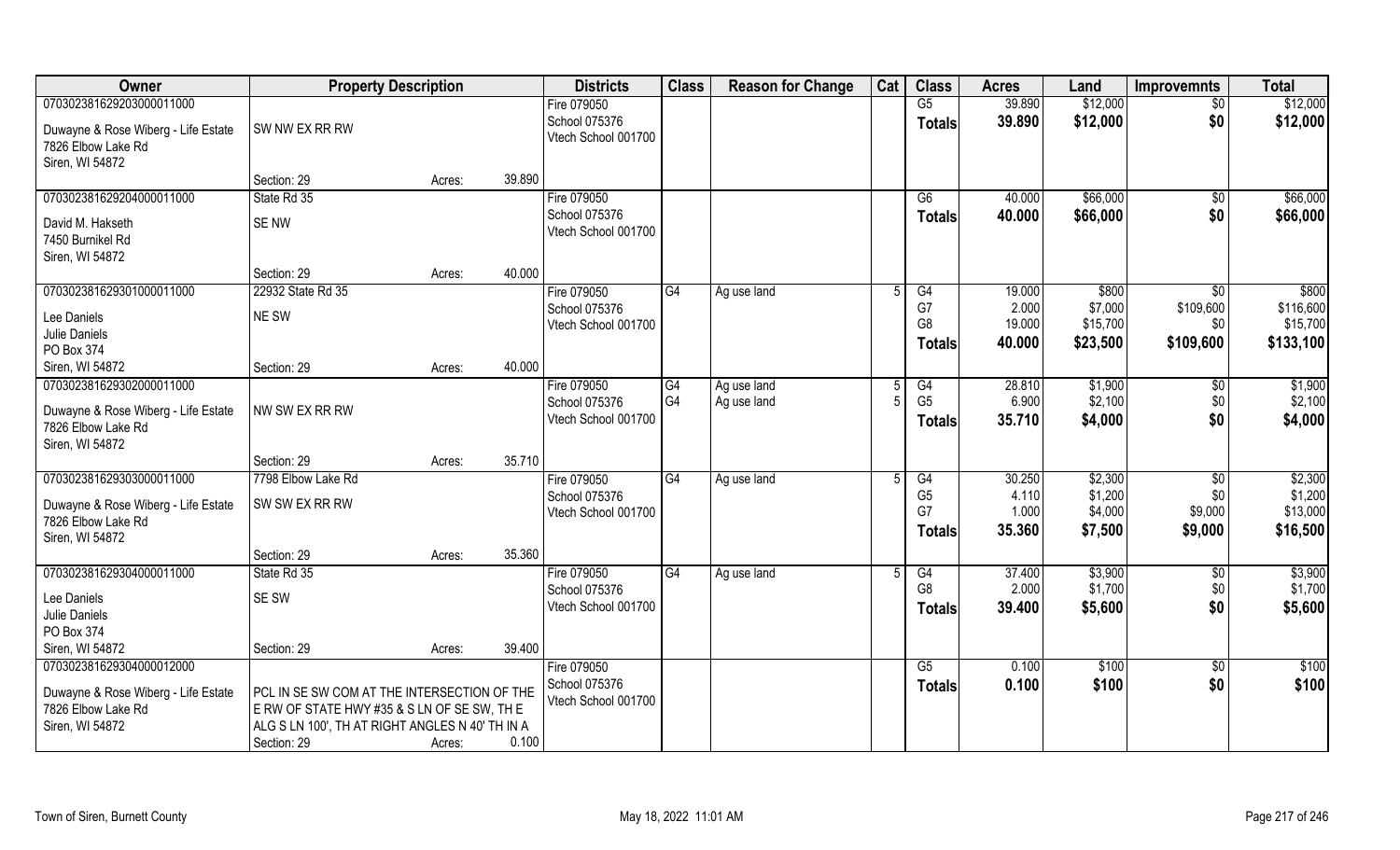| Owner                                                                        | <b>Property Description</b>                                    |        |        | <b>Districts</b>                     | <b>Class</b>   | <b>Reason for Change</b> | Cat | <b>Class</b>   | <b>Acres</b> | Land     | <b>Improvemnts</b> | <b>Total</b> |
|------------------------------------------------------------------------------|----------------------------------------------------------------|--------|--------|--------------------------------------|----------------|--------------------------|-----|----------------|--------------|----------|--------------------|--------------|
| 070302381629203000011000                                                     |                                                                |        |        | Fire 079050                          |                |                          |     | G5             | 39.890       | \$12,000 | $\sqrt{6}$         | \$12,000     |
| Duwayne & Rose Wiberg - Life Estate<br>7826 Elbow Lake Rd<br>Siren, WI 54872 | SW NW EX RR RW                                                 |        |        | School 075376<br>Vtech School 001700 |                |                          |     | <b>Totals</b>  | 39.890       | \$12,000 | \$0                | \$12,000     |
|                                                                              | Section: 29                                                    | Acres: | 39.890 |                                      |                |                          |     |                |              |          |                    |              |
| 070302381629204000011000                                                     | State Rd 35                                                    |        |        | Fire 079050                          |                |                          |     | G6             | 40.000       | \$66,000 | \$0                | \$66,000     |
|                                                                              | <b>SENW</b>                                                    |        |        | School 075376                        |                |                          |     | <b>Totals</b>  | 40.000       | \$66,000 | \$0                | \$66,000     |
| David M. Hakseth<br>7450 Burnikel Rd                                         |                                                                |        |        | Vtech School 001700                  |                |                          |     |                |              |          |                    |              |
| Siren, WI 54872                                                              |                                                                |        |        |                                      |                |                          |     |                |              |          |                    |              |
|                                                                              | Section: 29                                                    | Acres: | 40.000 |                                      |                |                          |     |                |              |          |                    |              |
| 070302381629301000011000                                                     | 22932 State Rd 35                                              |        |        | Fire 079050                          | G4             | Ag use land              | 5   | G4             | 19.000       | \$800    | $\overline{50}$    | \$800        |
| Lee Daniels                                                                  | NE SW                                                          |        |        | School 075376                        |                |                          |     | G7             | 2.000        | \$7,000  | \$109,600          | \$116,600    |
| Julie Daniels                                                                |                                                                |        |        | Vtech School 001700                  |                |                          |     | G <sub>8</sub> | 19.000       | \$15,700 | \$0                | \$15,700     |
| PO Box 374                                                                   |                                                                |        |        |                                      |                |                          |     | Totals         | 40.000       | \$23,500 | \$109,600          | \$133,100    |
| Siren, WI 54872                                                              | Section: 29                                                    | Acres: | 40.000 |                                      |                |                          |     |                |              |          |                    |              |
| 070302381629302000011000                                                     |                                                                |        |        | Fire 079050                          | G4             | Ag use land              |     | G4             | 28.810       | \$1,900  | \$0                | \$1,900      |
| Duwayne & Rose Wiberg - Life Estate                                          | NW SW EX RR RW                                                 |        |        | School 075376                        | G <sub>4</sub> | Ag use land              |     | G <sub>5</sub> | 6.900        | \$2,100  | \$0                | \$2,100      |
| 7826 Elbow Lake Rd                                                           |                                                                |        |        | Vtech School 001700                  |                |                          |     | <b>Totals</b>  | 35.710       | \$4,000  | \$0                | \$4,000      |
| Siren, WI 54872                                                              | Section: 29                                                    | Acres: | 35.710 |                                      |                |                          |     |                |              |          |                    |              |
| 070302381629303000011000                                                     | 7798 Elbow Lake Rd                                             |        |        | Fire 079050                          | G4             | Ag use land              |     | G4             | 30.250       | \$2,300  | \$0                | \$2,300      |
|                                                                              |                                                                |        |        | School 075376                        |                |                          |     | G <sub>5</sub> | 4.110        | \$1,200  | \$0                | \$1,200      |
| Duwayne & Rose Wiberg - Life Estate                                          | SW SW EX RR RW                                                 |        |        | Vtech School 001700                  |                |                          |     | G7             | 1.000        | \$4,000  | \$9,000            | \$13,000     |
| 7826 Elbow Lake Rd                                                           |                                                                |        |        |                                      |                |                          |     | <b>Totals</b>  | 35.360       | \$7,500  | \$9,000            | \$16,500     |
| Siren, WI 54872                                                              | Section: 29                                                    | Acres: | 35.360 |                                      |                |                          |     |                |              |          |                    |              |
| 070302381629304000011000                                                     | State Rd 35                                                    |        |        | Fire 079050                          | G4             | Ag use land              |     | G4             | 37.400       | \$3,900  | $\sqrt{$0}$        | \$3,900      |
|                                                                              |                                                                |        |        | School 075376                        |                |                          |     | G <sub>8</sub> | 2.000        | \$1,700  | \$0                | \$1,700      |
| Lee Daniels                                                                  | <b>SE SW</b>                                                   |        |        | Vtech School 001700                  |                |                          |     | <b>Totals</b>  | 39.400       | \$5,600  | \$0                | \$5,600      |
| Julie Daniels                                                                |                                                                |        |        |                                      |                |                          |     |                |              |          |                    |              |
| PO Box 374<br>Siren, WI 54872                                                | Section: 29                                                    | Acres: | 39.400 |                                      |                |                          |     |                |              |          |                    |              |
| 070302381629304000012000                                                     |                                                                |        |        | Fire 079050                          |                |                          |     | G5             | 0.100        | \$100    | $\overline{50}$    | \$100        |
|                                                                              |                                                                |        |        | School 075376                        |                |                          |     | <b>Totals</b>  | 0.100        | \$100    | \$0                | \$100        |
| Duwayne & Rose Wiberg - Life Estate                                          | PCL IN SE SW COM AT THE INTERSECTION OF THE                    |        |        | Vtech School 001700                  |                |                          |     |                |              |          |                    |              |
| 7826 Elbow Lake Rd                                                           | E RW OF STATE HWY #35 & S LN OF SE SW, TH E                    |        |        |                                      |                |                          |     |                |              |          |                    |              |
| Siren, WI 54872                                                              | ALG S LN 100', TH AT RIGHT ANGLES N 40' TH IN A<br>Section: 29 | Acres: | 0.100  |                                      |                |                          |     |                |              |          |                    |              |
|                                                                              |                                                                |        |        |                                      |                |                          |     |                |              |          |                    |              |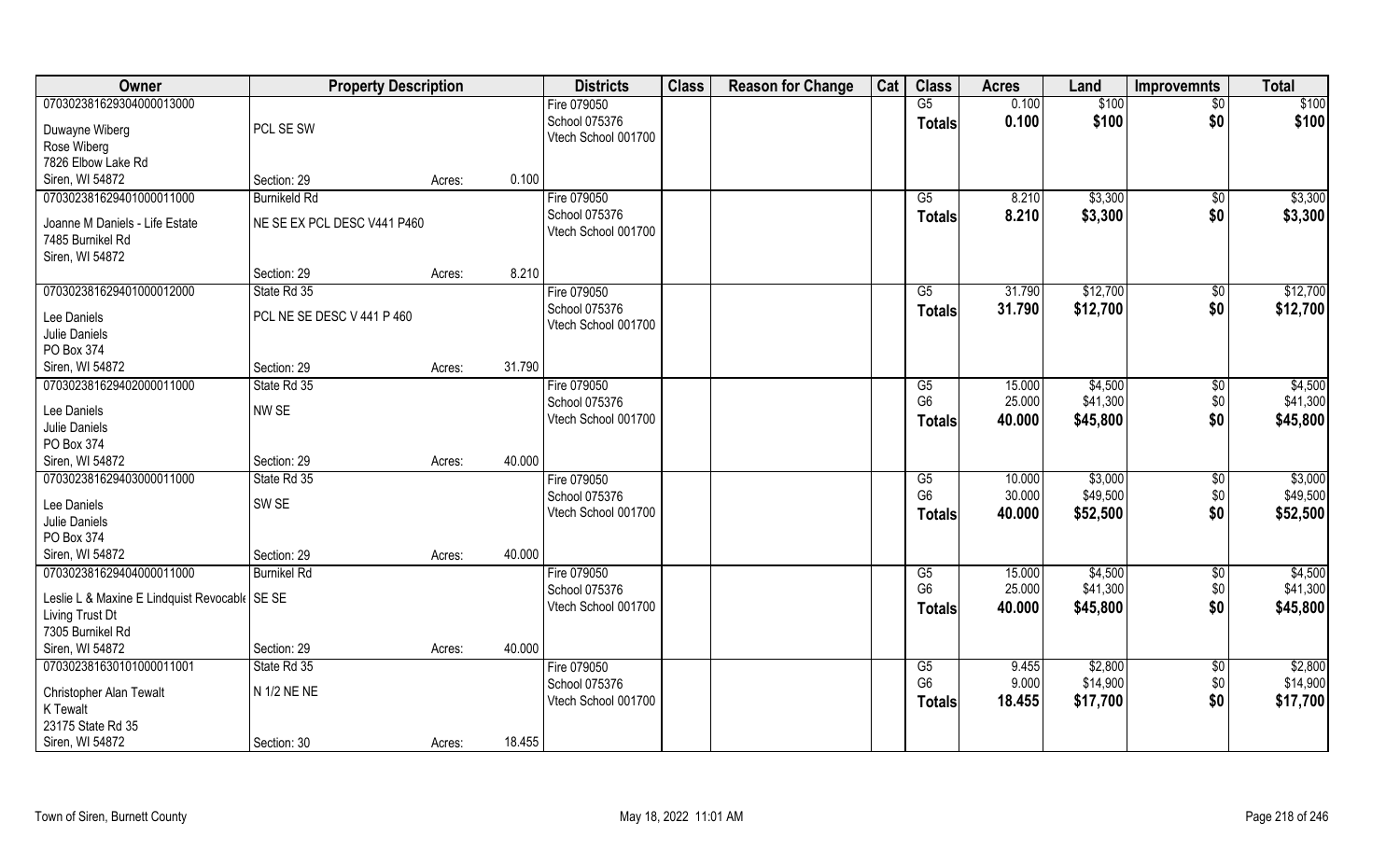| Owner                                         | <b>Property Description</b> |                  | <b>Districts</b>    | <b>Class</b> | <b>Reason for Change</b> | Cat | <b>Class</b>   | <b>Acres</b> | Land     | <b>Improvemnts</b> | <b>Total</b> |
|-----------------------------------------------|-----------------------------|------------------|---------------------|--------------|--------------------------|-----|----------------|--------------|----------|--------------------|--------------|
| 070302381629304000013000                      |                             |                  | Fire 079050         |              |                          |     | G5             | 0.100        | \$100    | $\overline{50}$    | \$100        |
| Duwayne Wiberg                                | PCL SE SW                   |                  | School 075376       |              |                          |     | <b>Totals</b>  | 0.100        | \$100    | \$0                | \$100        |
| Rose Wiberg                                   |                             |                  | Vtech School 001700 |              |                          |     |                |              |          |                    |              |
| 7826 Elbow Lake Rd                            |                             |                  |                     |              |                          |     |                |              |          |                    |              |
| Siren, WI 54872                               | Section: 29                 | 0.100<br>Acres:  |                     |              |                          |     |                |              |          |                    |              |
| 070302381629401000011000                      | <b>Burnikeld Rd</b>         |                  | Fire 079050         |              |                          |     | G5             | 8.210        | \$3,300  | $\sqrt{$0}$        | \$3,300      |
|                                               |                             |                  | School 075376       |              |                          |     |                | 8.210        | \$3,300  | \$0                | \$3,300      |
| Joanne M Daniels - Life Estate                | NE SE EX PCL DESC V441 P460 |                  | Vtech School 001700 |              |                          |     | <b>Totals</b>  |              |          |                    |              |
| 7485 Burnikel Rd                              |                             |                  |                     |              |                          |     |                |              |          |                    |              |
| Siren, WI 54872                               |                             |                  |                     |              |                          |     |                |              |          |                    |              |
|                                               | Section: 29                 | 8.210<br>Acres:  |                     |              |                          |     |                |              |          |                    |              |
| 070302381629401000012000                      | State Rd 35                 |                  | Fire 079050         |              |                          |     | G5             | 31.790       | \$12,700 | $\sqrt[6]{3}$      | \$12,700     |
| Lee Daniels                                   | PCL NE SE DESC V 441 P 460  |                  | School 075376       |              |                          |     | <b>Totals</b>  | 31.790       | \$12,700 | \$0                | \$12,700     |
| Julie Daniels                                 |                             |                  | Vtech School 001700 |              |                          |     |                |              |          |                    |              |
| PO Box 374                                    |                             |                  |                     |              |                          |     |                |              |          |                    |              |
| Siren, WI 54872                               | Section: 29                 | 31.790<br>Acres: |                     |              |                          |     |                |              |          |                    |              |
| 070302381629402000011000                      | State Rd 35                 |                  | Fire 079050         |              |                          |     | G5             | 15.000       | \$4,500  | \$0                | \$4,500      |
|                                               |                             |                  | School 075376       |              |                          |     | G <sub>6</sub> | 25.000       | \$41,300 | \$0                | \$41,300     |
| Lee Daniels                                   | NW SE                       |                  | Vtech School 001700 |              |                          |     |                | 40.000       | \$45,800 | \$0                | \$45,800     |
| Julie Daniels                                 |                             |                  |                     |              |                          |     | <b>Totals</b>  |              |          |                    |              |
| PO Box 374                                    |                             |                  |                     |              |                          |     |                |              |          |                    |              |
| Siren, WI 54872                               | Section: 29                 | 40.000<br>Acres: |                     |              |                          |     |                |              |          |                    |              |
| 070302381629403000011000                      | State Rd 35                 |                  | Fire 079050         |              |                          |     | G5             | 10.000       | \$3,000  | \$0                | \$3,000      |
| Lee Daniels                                   | SW SE                       |                  | School 075376       |              |                          |     | G <sub>6</sub> | 30.000       | \$49,500 | \$0                | \$49,500     |
| Julie Daniels                                 |                             |                  | Vtech School 001700 |              |                          |     | Totals         | 40.000       | \$52,500 | \$0                | \$52,500     |
| PO Box 374                                    |                             |                  |                     |              |                          |     |                |              |          |                    |              |
| Siren, WI 54872                               | Section: 29                 | 40.000<br>Acres: |                     |              |                          |     |                |              |          |                    |              |
| 070302381629404000011000                      | <b>Burnikel Rd</b>          |                  | Fire 079050         |              |                          |     | G5             | 15.000       | \$4,500  | \$0                | \$4,500      |
|                                               |                             |                  | School 075376       |              |                          |     | G <sub>6</sub> | 25.000       | \$41,300 | \$0                | \$41,300     |
| Leslie L & Maxine E Lindquist Revocable SE SE |                             |                  | Vtech School 001700 |              |                          |     | <b>Totals</b>  | 40.000       | \$45,800 | \$0                | \$45,800     |
| Living Trust Dt                               |                             |                  |                     |              |                          |     |                |              |          |                    |              |
| 7305 Burnikel Rd                              |                             |                  |                     |              |                          |     |                |              |          |                    |              |
| Siren, WI 54872                               | Section: 29                 | 40.000<br>Acres: |                     |              |                          |     |                |              |          |                    |              |
| 070302381630101000011001                      | State Rd 35                 |                  | Fire 079050         |              |                          |     | G5             | 9.455        | \$2,800  | $\overline{50}$    | \$2,800      |
| Christopher Alan Tewalt                       | N 1/2 NE NE                 |                  | School 075376       |              |                          |     | G <sub>6</sub> | 9.000        | \$14,900 | \$0                | \$14,900     |
| K Tewalt                                      |                             |                  | Vtech School 001700 |              |                          |     | <b>Totals</b>  | 18.455       | \$17,700 | \$0                | \$17,700     |
| 23175 State Rd 35                             |                             |                  |                     |              |                          |     |                |              |          |                    |              |
| Siren, WI 54872                               | Section: 30                 | 18.455<br>Acres: |                     |              |                          |     |                |              |          |                    |              |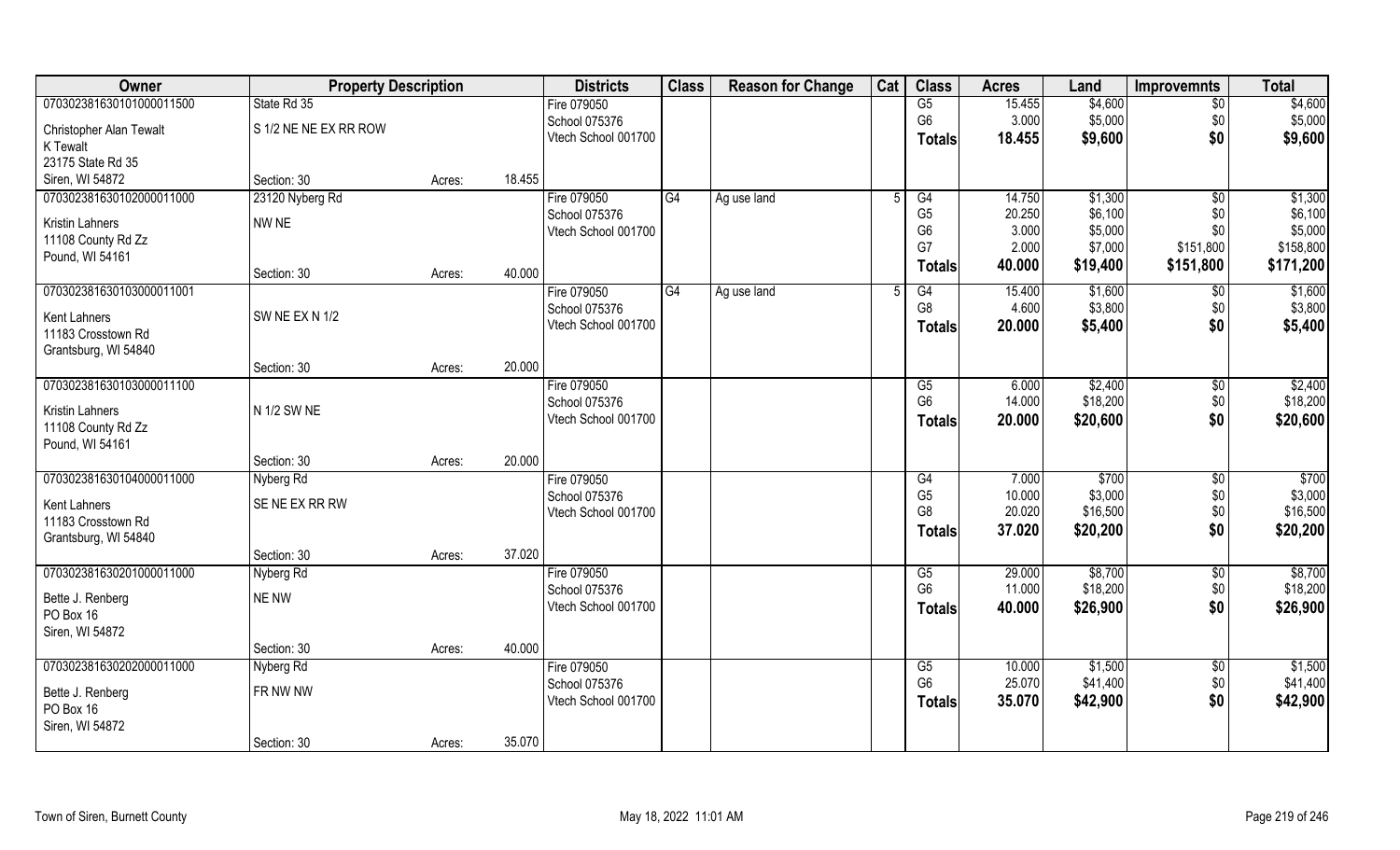| Owner                    | <b>Property Description</b> |        |        | <b>Districts</b>    | <b>Class</b> | <b>Reason for Change</b> | Cat | <b>Class</b>         | <b>Acres</b>   | Land               | <b>Improvemnts</b> | <b>Total</b>         |
|--------------------------|-----------------------------|--------|--------|---------------------|--------------|--------------------------|-----|----------------------|----------------|--------------------|--------------------|----------------------|
| 070302381630101000011500 | State Rd 35                 |        |        | Fire 079050         |              |                          |     | G5                   | 15.455         | \$4,600            | $\sqrt{6}$         | \$4,600              |
| Christopher Alan Tewalt  | S 1/2 NE NE EX RR ROW       |        |        | School 075376       |              |                          |     | G <sub>6</sub>       | 3.000          | \$5,000            | \$0                | \$5,000              |
| K Tewalt                 |                             |        |        | Vtech School 001700 |              |                          |     | <b>Totals</b>        | 18.455         | \$9,600            | \$0                | \$9,600              |
| 23175 State Rd 35        |                             |        |        |                     |              |                          |     |                      |                |                    |                    |                      |
| Siren, WI 54872          | Section: 30                 | Acres: | 18.455 |                     |              |                          |     |                      |                |                    |                    |                      |
| 070302381630102000011000 | 23120 Nyberg Rd             |        |        | Fire 079050         | G4           | Ag use land              |     | G4                   | 14.750         | \$1,300            | $\overline{50}$    | \$1,300              |
| Kristin Lahners          | NW NE                       |        |        | School 075376       |              |                          |     | G <sub>5</sub>       | 20.250         | \$6,100            | \$0                | \$6,100              |
| 11108 County Rd Zz       |                             |        |        | Vtech School 001700 |              |                          |     | G <sub>6</sub><br>G7 | 3.000<br>2.000 | \$5,000<br>\$7,000 | \$0<br>\$151,800   | \$5,000<br>\$158,800 |
| Pound, WI 54161          |                             |        |        |                     |              |                          |     |                      | 40.000         | \$19,400           | \$151,800          | \$171,200            |
|                          | Section: 30                 | Acres: | 40.000 |                     |              |                          |     | Totals               |                |                    |                    |                      |
| 070302381630103000011001 |                             |        |        | Fire 079050         | G4           | Ag use land              |     | G4                   | 15.400         | \$1,600            | \$0                | \$1,600              |
| Kent Lahners             | SW NE EX N 1/2              |        |        | School 075376       |              |                          |     | G <sub>8</sub>       | 4.600          | \$3,800            | \$0                | \$3,800              |
| 11183 Crosstown Rd       |                             |        |        | Vtech School 001700 |              |                          |     | <b>Totals</b>        | 20.000         | \$5,400            | \$0                | \$5,400              |
| Grantsburg, WI 54840     |                             |        |        |                     |              |                          |     |                      |                |                    |                    |                      |
|                          | Section: 30                 | Acres: | 20.000 |                     |              |                          |     |                      |                |                    |                    |                      |
| 070302381630103000011100 |                             |        |        | Fire 079050         |              |                          |     | G5                   | 6.000          | \$2,400            | \$0                | \$2,400              |
| <b>Kristin Lahners</b>   | N 1/2 SW NE                 |        |        | School 075376       |              |                          |     | G <sub>6</sub>       | 14.000         | \$18,200           | \$0                | \$18,200             |
| 11108 County Rd Zz       |                             |        |        | Vtech School 001700 |              |                          |     | <b>Totals</b>        | 20.000         | \$20,600           | \$0                | \$20,600             |
| Pound, WI 54161          |                             |        |        |                     |              |                          |     |                      |                |                    |                    |                      |
|                          | Section: 30                 | Acres: | 20.000 |                     |              |                          |     |                      |                |                    |                    |                      |
| 070302381630104000011000 | Nyberg Rd                   |        |        | Fire 079050         |              |                          |     | G4                   | 7.000          | \$700              | \$0                | \$700                |
| Kent Lahners             | SE NE EX RR RW              |        |        | School 075376       |              |                          |     | G <sub>5</sub>       | 10.000         | \$3,000            | \$0                | \$3,000              |
| 11183 Crosstown Rd       |                             |        |        | Vtech School 001700 |              |                          |     | G <sub>8</sub>       | 20.020         | \$16,500           | \$0<br>\$0         | \$16,500             |
| Grantsburg, WI 54840     |                             |        |        |                     |              |                          |     | <b>Totals</b>        | 37.020         | \$20,200           |                    | \$20,200             |
|                          | Section: 30                 | Acres: | 37.020 |                     |              |                          |     |                      |                |                    |                    |                      |
| 070302381630201000011000 | Nyberg Rd                   |        |        | Fire 079050         |              |                          |     | G5                   | 29.000         | \$8,700            | \$0                | \$8,700              |
| Bette J. Renberg         | NE NW                       |        |        | School 075376       |              |                          |     | G <sub>6</sub>       | 11.000         | \$18,200           | \$0                | \$18,200             |
| PO Box 16                |                             |        |        | Vtech School 001700 |              |                          |     | <b>Totals</b>        | 40.000         | \$26,900           | \$0                | \$26,900             |
| Siren, WI 54872          |                             |        |        |                     |              |                          |     |                      |                |                    |                    |                      |
|                          | Section: 30                 | Acres: | 40.000 |                     |              |                          |     |                      |                |                    |                    |                      |
| 070302381630202000011000 | Nyberg Rd                   |        |        | Fire 079050         |              |                          |     | G5                   | 10.000         | \$1,500            | $\overline{50}$    | \$1,500              |
| Bette J. Renberg         | FR NW NW                    |        |        | School 075376       |              |                          |     | G <sub>6</sub>       | 25.070         | \$41,400           | \$0                | \$41,400             |
| PO Box 16                |                             |        |        | Vtech School 001700 |              |                          |     | <b>Totals</b>        | 35.070         | \$42,900           | \$0                | \$42,900             |
| Siren, WI 54872          |                             |        |        |                     |              |                          |     |                      |                |                    |                    |                      |
|                          | Section: 30                 | Acres: | 35.070 |                     |              |                          |     |                      |                |                    |                    |                      |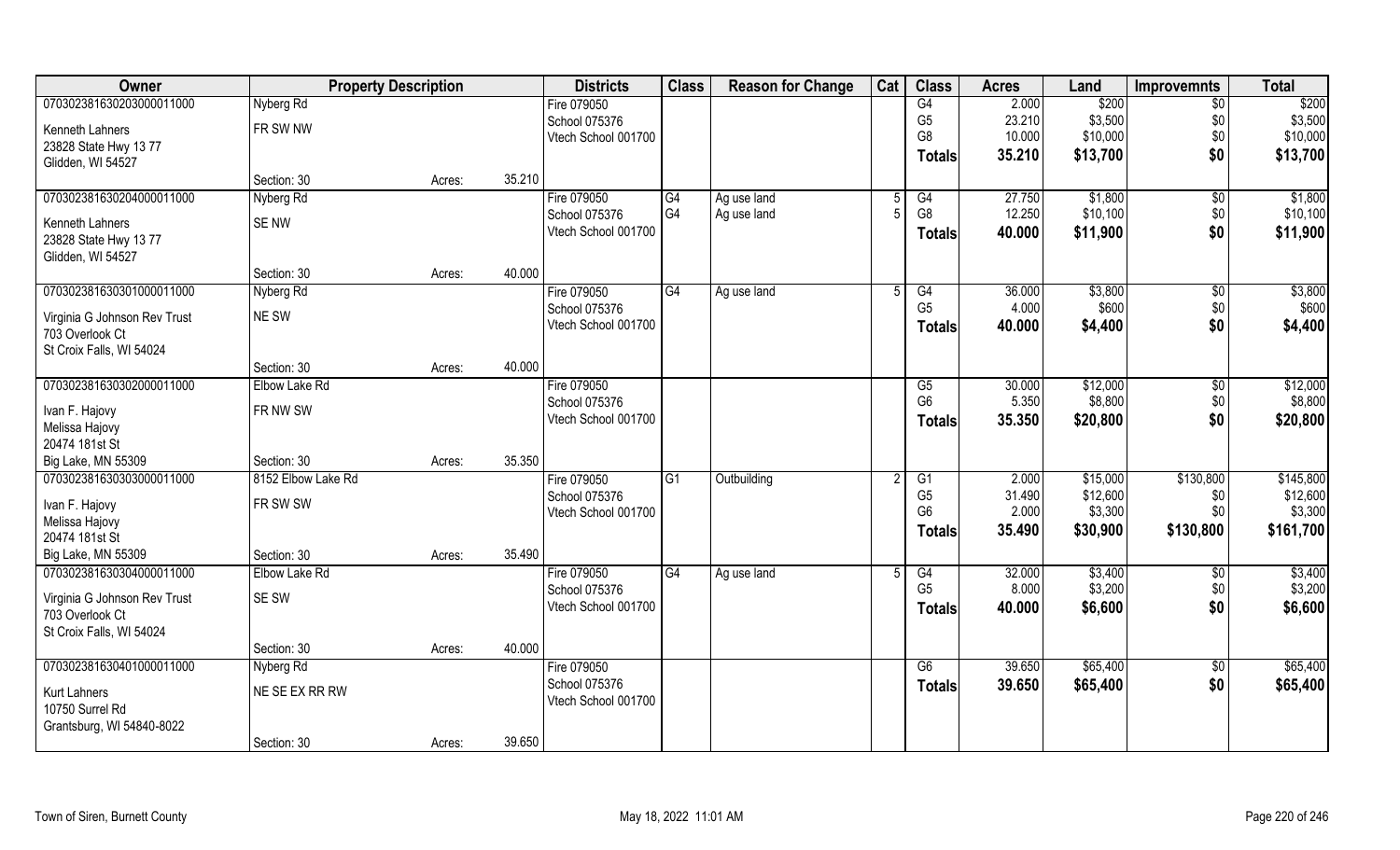| Owner                        |                    | <b>Property Description</b> |        | <b>Districts</b>    | <b>Class</b>   | <b>Reason for Change</b> | Cat | <b>Class</b>    | <b>Acres</b> | Land     | <b>Improvemnts</b> | <b>Total</b> |
|------------------------------|--------------------|-----------------------------|--------|---------------------|----------------|--------------------------|-----|-----------------|--------------|----------|--------------------|--------------|
| 070302381630203000011000     | Nyberg Rd          |                             |        | Fire 079050         |                |                          |     | G4              | 2.000        | \$200    | $\overline{50}$    | \$200        |
| Kenneth Lahners              | FR SW NW           |                             |        | School 075376       |                |                          |     | G <sub>5</sub>  | 23.210       | \$3,500  | \$0                | \$3,500      |
| 23828 State Hwy 13 77        |                    |                             |        | Vtech School 001700 |                |                          |     | G8              | 10.000       | \$10,000 | \$0                | \$10,000     |
| Glidden, WI 54527            |                    |                             |        |                     |                |                          |     | <b>Totals</b>   | 35.210       | \$13,700 | \$0                | \$13,700     |
|                              | Section: 30        | Acres:                      | 35.210 |                     |                |                          |     |                 |              |          |                    |              |
| 070302381630204000011000     | Nyberg Rd          |                             |        | Fire 079050         | G4             | Ag use land              |     | G4              | 27.750       | \$1,800  | \$0                | \$1,800      |
| Kenneth Lahners              | <b>SENW</b>        |                             |        | School 075376       | G <sub>4</sub> | Ag use land              |     | G <sub>8</sub>  | 12.250       | \$10,100 | \$0                | \$10,100     |
| 23828 State Hwy 13 77        |                    |                             |        | Vtech School 001700 |                |                          |     | Totals          | 40.000       | \$11,900 | \$0                | \$11,900     |
| Glidden, WI 54527            |                    |                             |        |                     |                |                          |     |                 |              |          |                    |              |
|                              | Section: 30        | Acres:                      | 40.000 |                     |                |                          |     |                 |              |          |                    |              |
| 070302381630301000011000     | Nyberg Rd          |                             |        | Fire 079050         | IG4            | Ag use land              |     | G4              | 36.000       | \$3,800  | $\sqrt[6]{3}$      | \$3,800      |
| Virginia G Johnson Rev Trust | NE SW              |                             |        | School 075376       |                |                          |     | G <sub>5</sub>  | 4.000        | \$600    | \$0                | \$600        |
| 703 Overlook Ct              |                    |                             |        | Vtech School 001700 |                |                          |     | <b>Totals</b>   | 40.000       | \$4,400  | \$0                | \$4,400      |
| St Croix Falls, WI 54024     |                    |                             |        |                     |                |                          |     |                 |              |          |                    |              |
|                              | Section: 30        | Acres:                      | 40.000 |                     |                |                          |     |                 |              |          |                    |              |
| 070302381630302000011000     | Elbow Lake Rd      |                             |        | Fire 079050         |                |                          |     | G5              | 30.000       | \$12,000 | $\sqrt[6]{3}$      | \$12,000     |
| Ivan F. Hajovy               | FR NW SW           |                             |        | School 075376       |                |                          |     | G <sub>6</sub>  | 5.350        | \$8,800  | \$0                | \$8,800      |
| Melissa Hajovy               |                    |                             |        | Vtech School 001700 |                |                          |     | <b>Totals</b>   | 35.350       | \$20,800 | \$0                | \$20,800     |
| 20474 181st St               |                    |                             |        |                     |                |                          |     |                 |              |          |                    |              |
| Big Lake, MN 55309           | Section: 30        | Acres:                      | 35.350 |                     |                |                          |     |                 |              |          |                    |              |
| 070302381630303000011000     | 8152 Elbow Lake Rd |                             |        | Fire 079050         | G1             | Outbuilding              |     | $\overline{G1}$ | 2.000        | \$15,000 | \$130,800          | \$145,800    |
| Ivan F. Hajovy               | FR SW SW           |                             |        | School 075376       |                |                          |     | G <sub>5</sub>  | 31.490       | \$12,600 | \$0                | \$12,600     |
| Melissa Hajovy               |                    |                             |        | Vtech School 001700 |                |                          |     | G <sub>6</sub>  | 2.000        | \$3,300  | \$0\$              | \$3,300      |
| 20474 181st St               |                    |                             |        |                     |                |                          |     | <b>Totals</b>   | 35.490       | \$30,900 | \$130,800          | \$161,700    |
| Big Lake, MN 55309           | Section: 30        | Acres:                      | 35.490 |                     |                |                          |     |                 |              |          |                    |              |
| 070302381630304000011000     | Elbow Lake Rd      |                             |        | Fire 079050         | G4             | Ag use land              |     | G4              | 32.000       | \$3,400  | $\sqrt{$0}$        | \$3,400      |
| Virginia G Johnson Rev Trust | <b>SE SW</b>       |                             |        | School 075376       |                |                          |     | G <sub>5</sub>  | 8.000        | \$3,200  | \$0                | \$3,200      |
| 703 Overlook Ct              |                    |                             |        | Vtech School 001700 |                |                          |     | <b>Totals</b>   | 40.000       | \$6,600  | \$0                | \$6,600      |
| St Croix Falls, WI 54024     |                    |                             |        |                     |                |                          |     |                 |              |          |                    |              |
|                              | Section: 30        | Acres:                      | 40.000 |                     |                |                          |     |                 |              |          |                    |              |
| 070302381630401000011000     | Nyberg Rd          |                             |        | Fire 079050         |                |                          |     | G6              | 39.650       | \$65,400 | \$0                | \$65,400     |
| Kurt Lahners                 | NE SE EX RR RW     |                             |        | School 075376       |                |                          |     | <b>Totals</b>   | 39.650       | \$65,400 | \$0                | \$65,400     |
| 10750 Surrel Rd              |                    |                             |        | Vtech School 001700 |                |                          |     |                 |              |          |                    |              |
| Grantsburg, WI 54840-8022    |                    |                             |        |                     |                |                          |     |                 |              |          |                    |              |
|                              | Section: 30        | Acres:                      | 39.650 |                     |                |                          |     |                 |              |          |                    |              |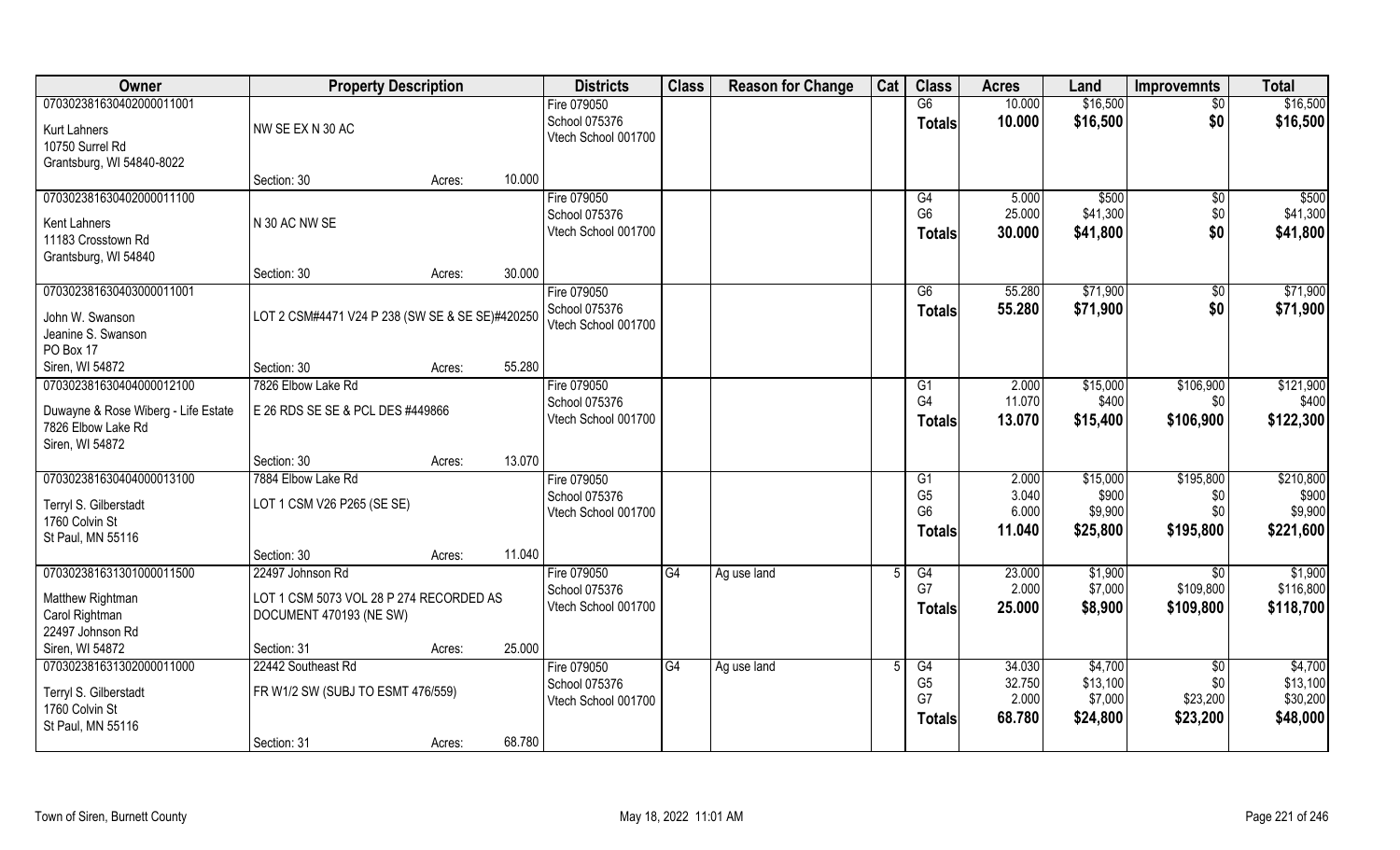| Owner                                   | <b>Property Description</b>                     |        |        | <b>Districts</b>                     | <b>Class</b> | <b>Reason for Change</b> | Cat | <b>Class</b>   | <b>Acres</b>    | Land               | <b>Improvemnts</b>     | <b>Total</b>           |
|-----------------------------------------|-------------------------------------------------|--------|--------|--------------------------------------|--------------|--------------------------|-----|----------------|-----------------|--------------------|------------------------|------------------------|
| 070302381630402000011001                |                                                 |        |        | Fire 079050                          |              |                          |     | G6             | 10.000          | \$16,500           | \$0                    | \$16,500               |
| Kurt Lahners                            | NW SE EX N 30 AC                                |        |        | School 075376<br>Vtech School 001700 |              |                          |     | <b>Totals</b>  | 10.000          | \$16,500           | \$0                    | \$16,500               |
| 10750 Surrel Rd                         |                                                 |        |        |                                      |              |                          |     |                |                 |                    |                        |                        |
| Grantsburg, WI 54840-8022               | Section: 30                                     | Acres: | 10.000 |                                      |              |                          |     |                |                 |                    |                        |                        |
| 070302381630402000011100                |                                                 |        |        | Fire 079050                          |              |                          |     | G4             | 5.000           | \$500              | $\sqrt[6]{}$           | \$500                  |
| Kent Lahners                            | N 30 AC NW SE                                   |        |        | School 075376                        |              |                          |     | G <sub>6</sub> | 25.000          | \$41,300           | \$0                    | \$41,300               |
| 11183 Crosstown Rd                      |                                                 |        |        | Vtech School 001700                  |              |                          |     | <b>Totals</b>  | 30.000          | \$41,800           | \$0                    | \$41,800               |
| Grantsburg, WI 54840                    |                                                 |        |        |                                      |              |                          |     |                |                 |                    |                        |                        |
| 070302381630403000011001                | Section: 30                                     | Acres: | 30.000 | Fire 079050                          |              |                          |     | G6             | 55.280          | \$71,900           |                        | \$71,900               |
|                                         |                                                 |        |        | School 075376                        |              |                          |     | <b>Totals</b>  | 55.280          | \$71,900           | $\sqrt[6]{}$<br>\$0    | \$71,900               |
| John W. Swanson<br>Jeanine S. Swanson   | LOT 2 CSM#4471 V24 P 238 (SW SE & SE SE)#420250 |        |        | Vtech School 001700                  |              |                          |     |                |                 |                    |                        |                        |
| PO Box 17                               |                                                 |        |        |                                      |              |                          |     |                |                 |                    |                        |                        |
| Siren, WI 54872                         | Section: 30                                     | Acres: | 55.280 |                                      |              |                          |     |                |                 |                    |                        |                        |
| 070302381630404000012100                | 7826 Elbow Lake Rd                              |        |        | Fire 079050                          |              |                          |     | G <sub>1</sub> | 2.000           | \$15,000           | \$106,900              | \$121,900              |
| Duwayne & Rose Wiberg - Life Estate     | E 26 RDS SE SE & PCL DES #449866                |        |        | School 075376<br>Vtech School 001700 |              |                          |     | G <sub>4</sub> | 11.070          | \$400              | \$0                    | \$400                  |
| 7826 Elbow Lake Rd                      |                                                 |        |        |                                      |              |                          |     | <b>Totals</b>  | 13.070          | \$15,400           | \$106,900              | \$122,300              |
| Siren, WI 54872                         | Section: 30                                     |        | 13.070 |                                      |              |                          |     |                |                 |                    |                        |                        |
| 070302381630404000013100                | 7884 Elbow Lake Rd                              | Acres: |        | Fire 079050                          |              |                          |     | G1             | 2.000           | \$15,000           | \$195,800              | \$210,800              |
|                                         |                                                 |        |        | School 075376                        |              |                          |     | G <sub>5</sub> | 3.040           | \$900              | \$0                    | \$900                  |
| Terryl S. Gilberstadt<br>1760 Colvin St | LOT 1 CSM V26 P265 (SE SE)                      |        |        | Vtech School 001700                  |              |                          |     | G <sub>6</sub> | 6.000           | \$9,900            | \$0                    | \$9,900                |
| St Paul, MN 55116                       |                                                 |        |        |                                      |              |                          |     | Totals         | 11.040          | \$25,800           | \$195,800              | \$221,600              |
|                                         | Section: 30                                     | Acres: | 11.040 |                                      |              |                          |     |                |                 |                    |                        |                        |
| 070302381631301000011500                | 22497 Johnson Rd                                |        |        | Fire 079050                          | G4           | Ag use land              |     | G4             | 23.000          | \$1,900            | \$0                    | \$1,900                |
| Matthew Rightman                        | LOT 1 CSM 5073 VOL 28 P 274 RECORDED AS         |        |        | School 075376<br>Vtech School 001700 |              |                          |     | G7             | 2.000<br>25.000 | \$7,000<br>\$8,900 | \$109,800<br>\$109,800 | \$116,800<br>\$118,700 |
| Carol Rightman                          | DOCUMENT 470193 (NE SW)                         |        |        |                                      |              |                          |     | <b>Totals</b>  |                 |                    |                        |                        |
| 22497 Johnson Rd<br>Siren, WI 54872     | Section: 31                                     | Acres: | 25.000 |                                      |              |                          |     |                |                 |                    |                        |                        |
| 070302381631302000011000                | 22442 Southeast Rd                              |        |        | Fire 079050                          | G4           | Ag use land              |     | G4             | 34.030          | \$4,700            | $\sqrt[6]{}$           | \$4,700                |
|                                         |                                                 |        |        | School 075376                        |              |                          |     | G <sub>5</sub> | 32.750          | \$13,100           | \$0                    | \$13,100               |
| Terryl S. Gilberstadt<br>1760 Colvin St | FR W1/2 SW (SUBJ TO ESMT 476/559)               |        |        | Vtech School 001700                  |              |                          |     | G7             | 2.000           | \$7,000            | \$23,200               | \$30,200               |
| St Paul, MN 55116                       |                                                 |        |        |                                      |              |                          |     | <b>Totals</b>  | 68.780          | \$24,800           | \$23,200               | \$48,000               |
|                                         | Section: 31                                     | Acres: | 68.780 |                                      |              |                          |     |                |                 |                    |                        |                        |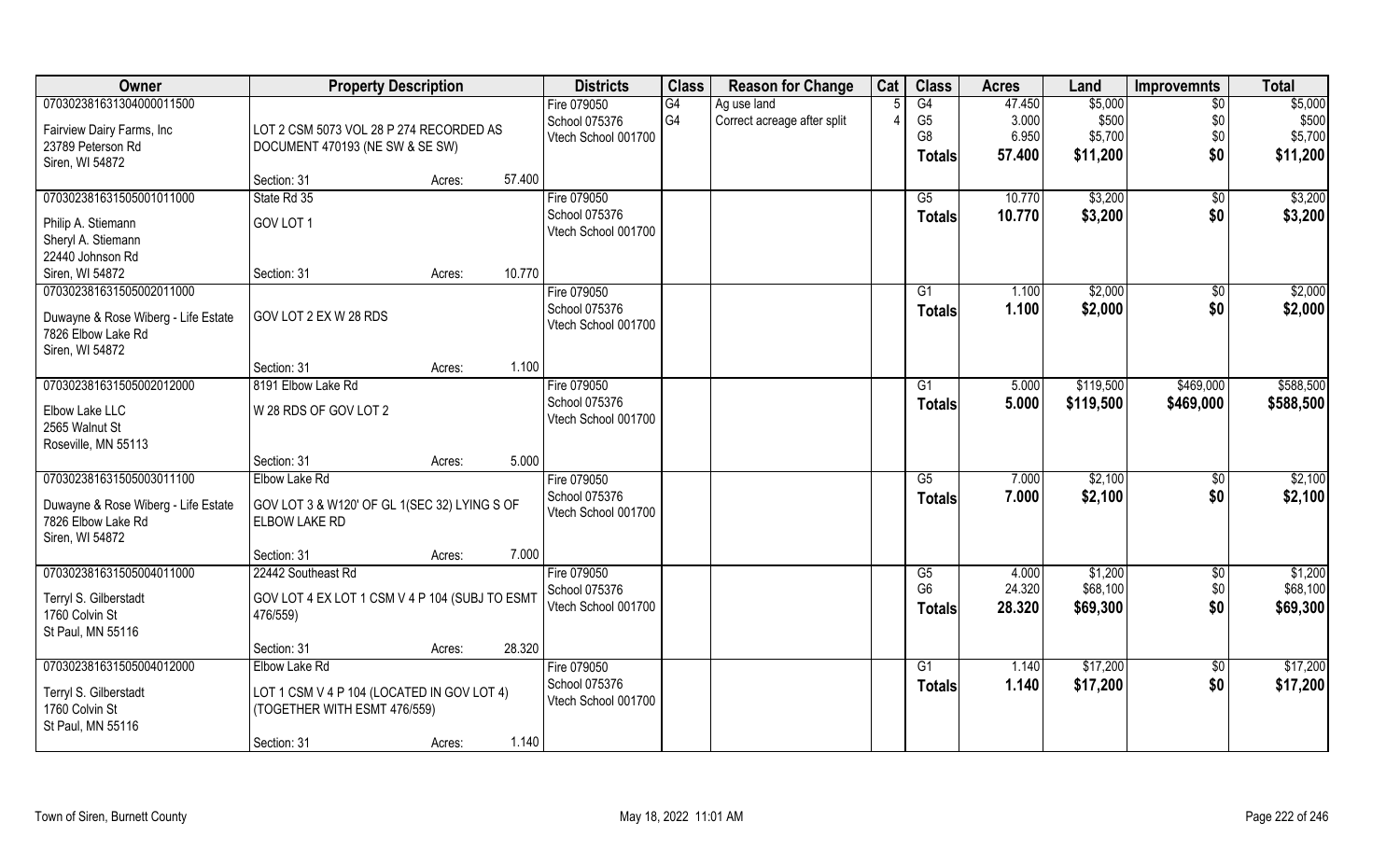| Owner                               | <b>Property Description</b>                    |        |        | <b>Districts</b>    | <b>Class</b>   | <b>Reason for Change</b>    | Cat | <b>Class</b>   | <b>Acres</b> | Land      | <b>Improvemnts</b> | <b>Total</b> |
|-------------------------------------|------------------------------------------------|--------|--------|---------------------|----------------|-----------------------------|-----|----------------|--------------|-----------|--------------------|--------------|
| 070302381631304000011500            |                                                |        |        | Fire 079050         | G4             | Ag use land                 |     | G4             | 47.450       | \$5,000   | $\sqrt{6}$         | \$5,000      |
| Fairview Dairy Farms, Inc           | LOT 2 CSM 5073 VOL 28 P 274 RECORDED AS        |        |        | School 075376       | G <sub>4</sub> | Correct acreage after split |     | G <sub>5</sub> | 3.000        | \$500     | \$0                | \$500        |
| 23789 Peterson Rd                   | DOCUMENT 470193 (NE SW & SE SW)                |        |        | Vtech School 001700 |                |                             |     | G8             | 6.950        | \$5,700   | \$0\$              | \$5,700      |
| Siren, WI 54872                     |                                                |        |        |                     |                |                             |     | <b>Totals</b>  | 57.400       | \$11,200  | \$0                | \$11,200     |
|                                     | Section: 31                                    | Acres: | 57.400 |                     |                |                             |     |                |              |           |                    |              |
| 070302381631505001011000            | State Rd 35                                    |        |        | Fire 079050         |                |                             |     | G5             | 10.770       | \$3,200   | \$0                | \$3,200      |
| Philip A. Stiemann                  | GOV LOT 1                                      |        |        | School 075376       |                |                             |     | <b>Totals</b>  | 10.770       | \$3,200   | \$0                | \$3,200      |
| Sheryl A. Stiemann                  |                                                |        |        | Vtech School 001700 |                |                             |     |                |              |           |                    |              |
| 22440 Johnson Rd                    |                                                |        |        |                     |                |                             |     |                |              |           |                    |              |
| Siren, WI 54872                     | Section: 31                                    | Acres: | 10.770 |                     |                |                             |     |                |              |           |                    |              |
| 070302381631505002011000            |                                                |        |        | Fire 079050         |                |                             |     | G1             | 1.100        | \$2,000   | $\sqrt[6]{}$       | \$2,000      |
|                                     |                                                |        |        | School 075376       |                |                             |     | <b>Totals</b>  | 1.100        | \$2,000   | \$0                | \$2,000      |
| Duwayne & Rose Wiberg - Life Estate | GOV LOT 2 EX W 28 RDS                          |        |        | Vtech School 001700 |                |                             |     |                |              |           |                    |              |
| 7826 Elbow Lake Rd                  |                                                |        |        |                     |                |                             |     |                |              |           |                    |              |
| Siren, WI 54872                     |                                                |        |        |                     |                |                             |     |                |              |           |                    |              |
|                                     | Section: 31                                    | Acres: | 1.100  |                     |                |                             |     |                |              |           |                    |              |
| 070302381631505002012000            | 8191 Elbow Lake Rd                             |        |        | Fire 079050         |                |                             |     | G1             | 5.000        | \$119,500 | \$469,000          | \$588,500    |
| Elbow Lake LLC                      | W 28 RDS OF GOV LOT 2                          |        |        | School 075376       |                |                             |     | <b>Totals</b>  | 5.000        | \$119,500 | \$469,000          | \$588,500    |
| 2565 Walnut St                      |                                                |        |        | Vtech School 001700 |                |                             |     |                |              |           |                    |              |
| Roseville, MN 55113                 |                                                |        |        |                     |                |                             |     |                |              |           |                    |              |
|                                     | Section: 31                                    | Acres: | 5.000  |                     |                |                             |     |                |              |           |                    |              |
| 070302381631505003011100            | Elbow Lake Rd                                  |        |        | Fire 079050         |                |                             |     | G5             | 7.000        | \$2,100   | \$0                | \$2,100      |
| Duwayne & Rose Wiberg - Life Estate | GOV LOT 3 & W120' OF GL 1(SEC 32) LYING S OF   |        |        | School 075376       |                |                             |     | <b>Totals</b>  | 7.000        | \$2,100   | \$0                | \$2,100      |
| 7826 Elbow Lake Rd                  | ELBOW LAKE RD                                  |        |        | Vtech School 001700 |                |                             |     |                |              |           |                    |              |
| Siren, WI 54872                     |                                                |        |        |                     |                |                             |     |                |              |           |                    |              |
|                                     | Section: 31                                    | Acres: | 7.000  |                     |                |                             |     |                |              |           |                    |              |
| 070302381631505004011000            | 22442 Southeast Rd                             |        |        | Fire 079050         |                |                             |     | G5             | 4.000        | \$1,200   | \$0                | \$1,200      |
|                                     |                                                |        |        | School 075376       |                |                             |     | G <sub>6</sub> | 24.320       | \$68,100  | \$0                | \$68,100     |
| Terryl S. Gilberstadt               | GOV LOT 4 EX LOT 1 CSM V 4 P 104 (SUBJ TO ESMT |        |        | Vtech School 001700 |                |                             |     | <b>Totals</b>  | 28.320       | \$69,300  | \$0                | \$69,300     |
| 1760 Colvin St                      | 476/559)                                       |        |        |                     |                |                             |     |                |              |           |                    |              |
| St Paul, MN 55116                   |                                                |        |        |                     |                |                             |     |                |              |           |                    |              |
|                                     | Section: 31                                    | Acres: | 28.320 |                     |                |                             |     |                |              |           |                    |              |
| 070302381631505004012000            | Elbow Lake Rd                                  |        |        | Fire 079050         |                |                             |     | G1             | 1.140        | \$17,200  | $\sqrt{6}$         | \$17,200     |
| Terryl S. Gilberstadt               | LOT 1 CSM V 4 P 104 (LOCATED IN GOV LOT 4)     |        |        | School 075376       |                |                             |     | <b>Totals</b>  | 1.140        | \$17,200  | \$0                | \$17,200     |
| 1760 Colvin St                      | (TOGETHER WITH ESMT 476/559)                   |        |        | Vtech School 001700 |                |                             |     |                |              |           |                    |              |
| St Paul, MN 55116                   |                                                |        |        |                     |                |                             |     |                |              |           |                    |              |
|                                     | Section: 31                                    | Acres: | 1.140  |                     |                |                             |     |                |              |           |                    |              |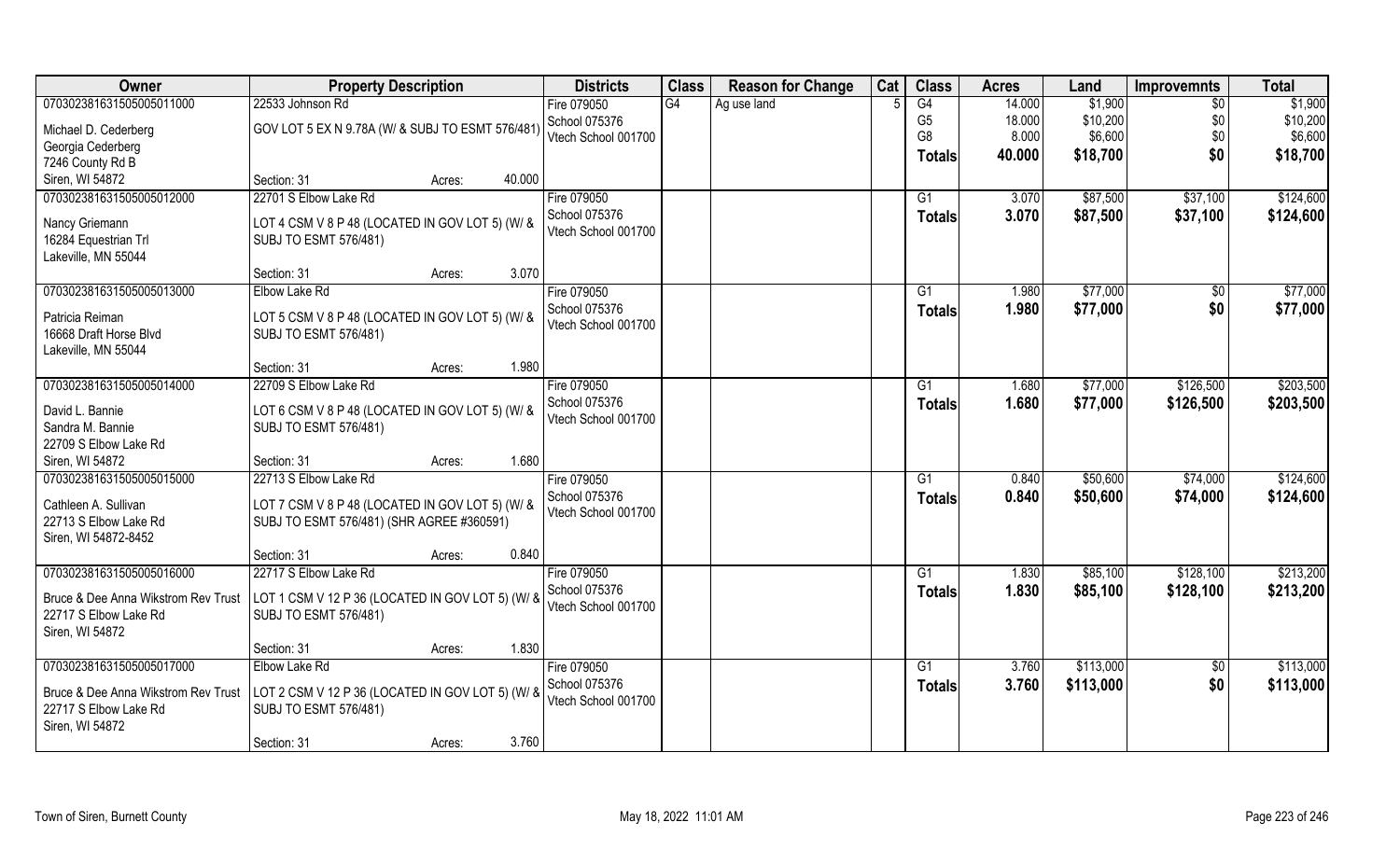| Owner                                         | <b>Property Description</b>                      |        |        | <b>Districts</b>    | <b>Class</b> | <b>Reason for Change</b> | Cat | <b>Class</b>    | <b>Acres</b> | Land      | <b>Improvemnts</b> | <b>Total</b> |
|-----------------------------------------------|--------------------------------------------------|--------|--------|---------------------|--------------|--------------------------|-----|-----------------|--------------|-----------|--------------------|--------------|
| 070302381631505005011000                      | 22533 Johnson Rd                                 |        |        | Fire 079050         | G4           | Ag use land              |     | G4              | 14.000       | \$1,900   | $\sqrt{6}$         | \$1,900      |
| Michael D. Cederberg                          | GOV LOT 5 EX N 9.78A (W/ & SUBJ TO ESMT 576/481) |        |        | School 075376       |              |                          |     | G <sub>5</sub>  | 18.000       | \$10,200  | \$0                | \$10,200     |
| Georgia Cederberg                             |                                                  |        |        | Vtech School 001700 |              |                          |     | G <sub>8</sub>  | 8.000        | \$6,600   | \$0                | \$6,600      |
| 7246 County Rd B                              |                                                  |        |        |                     |              |                          |     | <b>Totals</b>   | 40.000       | \$18,700  | \$0                | \$18,700     |
| Siren, WI 54872                               | Section: 31                                      | Acres: | 40.000 |                     |              |                          |     |                 |              |           |                    |              |
| 070302381631505005012000                      | 22701 S Elbow Lake Rd                            |        |        | Fire 079050         |              |                          |     | G1              | 3.070        | \$87,500  | \$37,100           | \$124,600    |
|                                               |                                                  |        |        | School 075376       |              |                          |     | Totals          | 3.070        | \$87,500  | \$37,100           | \$124,600    |
| Nancy Griemann                                | LOT 4 CSM V 8 P 48 (LOCATED IN GOV LOT 5) (W/ &  |        |        | Vtech School 001700 |              |                          |     |                 |              |           |                    |              |
| 16284 Equestrian Trl<br>Lakeville, MN 55044   | SUBJ TO ESMT 576/481)                            |        |        |                     |              |                          |     |                 |              |           |                    |              |
|                                               | Section: 31                                      | Acres: | 3.070  |                     |              |                          |     |                 |              |           |                    |              |
| 070302381631505005013000                      | Elbow Lake Rd                                    |        |        | Fire 079050         |              |                          |     | G1              | 1.980        | \$77,000  | $\sqrt[6]{}$       | \$77,000     |
|                                               |                                                  |        |        | School 075376       |              |                          |     |                 | 1.980        | \$77,000  | \$0                | \$77,000     |
| Patricia Reiman                               | LOT 5 CSM V 8 P 48 (LOCATED IN GOV LOT 5) (W/ &  |        |        | Vtech School 001700 |              |                          |     | <b>Totals</b>   |              |           |                    |              |
| 16668 Draft Horse Blvd                        | SUBJ TO ESMT 576/481)                            |        |        |                     |              |                          |     |                 |              |           |                    |              |
| Lakeville, MN 55044                           |                                                  |        |        |                     |              |                          |     |                 |              |           |                    |              |
|                                               | Section: 31                                      | Acres: | 1.980  |                     |              |                          |     |                 |              |           |                    |              |
| 070302381631505005014000                      | 22709 S Elbow Lake Rd                            |        |        | Fire 079050         |              |                          |     | G1              | 1.680        | \$77,000  | \$126,500          | \$203,500    |
| David L. Bannie                               | LOT 6 CSM V 8 P 48 (LOCATED IN GOV LOT 5) (W/ &  |        |        | School 075376       |              |                          |     | <b>Totals</b>   | 1.680        | \$77,000  | \$126,500          | \$203,500    |
| Sandra M. Bannie                              | <b>SUBJ TO ESMT 576/481)</b>                     |        |        | Vtech School 001700 |              |                          |     |                 |              |           |                    |              |
| 22709 S Elbow Lake Rd                         |                                                  |        |        |                     |              |                          |     |                 |              |           |                    |              |
| Siren, WI 54872                               | Section: 31                                      | Acres: | 1.680  |                     |              |                          |     |                 |              |           |                    |              |
| 070302381631505005015000                      | 22713 S Elbow Lake Rd                            |        |        | Fire 079050         |              |                          |     | $\overline{G1}$ | 0.840        | \$50,600  | \$74,000           | \$124,600    |
|                                               |                                                  |        |        | School 075376       |              |                          |     | <b>Totals</b>   | 0.840        | \$50,600  | \$74,000           | \$124,600    |
| Cathleen A. Sullivan                          | LOT 7 CSM V 8 P 48 (LOCATED IN GOV LOT 5) (W/ &  |        |        | Vtech School 001700 |              |                          |     |                 |              |           |                    |              |
| 22713 S Elbow Lake Rd<br>Siren, WI 54872-8452 | SUBJ TO ESMT 576/481) (SHR AGREE #360591)        |        |        |                     |              |                          |     |                 |              |           |                    |              |
|                                               | Section: 31                                      | Acres: | 0.840  |                     |              |                          |     |                 |              |           |                    |              |
| 070302381631505005016000                      | 22717 S Elbow Lake Rd                            |        |        | Fire 079050         |              |                          |     | G1              | 1.830        | \$85,100  | \$128,100          | \$213,200    |
|                                               |                                                  |        |        | School 075376       |              |                          |     |                 | 1.830        | \$85,100  | \$128,100          | \$213,200    |
| Bruce & Dee Anna Wikstrom Rev Trust           | LOT 1 CSM V 12 P 36 (LOCATED IN GOV LOT 5) (W/ & |        |        | Vtech School 001700 |              |                          |     | <b>Totals</b>   |              |           |                    |              |
| 22717 S Elbow Lake Rd                         | <b>SUBJ TO ESMT 576/481)</b>                     |        |        |                     |              |                          |     |                 |              |           |                    |              |
| Siren, WI 54872                               |                                                  |        |        |                     |              |                          |     |                 |              |           |                    |              |
|                                               | Section: 31                                      | Acres: | 1.830  |                     |              |                          |     |                 |              |           |                    |              |
| 070302381631505005017000                      | Elbow Lake Rd                                    |        |        | Fire 079050         |              |                          |     | G1              | 3.760        | \$113,000 | $\sqrt{6}$         | \$113,000    |
| Bruce & Dee Anna Wikstrom Rev Trust           | LOT 2 CSM V 12 P 36 (LOCATED IN GOV LOT 5) (W/ & |        |        | School 075376       |              |                          |     | <b>Totals</b>   | 3.760        | \$113,000 | \$0                | \$113,000    |
| 22717 S Elbow Lake Rd                         | <b>SUBJ TO ESMT 576/481)</b>                     |        |        | Vtech School 001700 |              |                          |     |                 |              |           |                    |              |
| Siren, WI 54872                               |                                                  |        |        |                     |              |                          |     |                 |              |           |                    |              |
|                                               | Section: 31                                      | Acres: | 3.760  |                     |              |                          |     |                 |              |           |                    |              |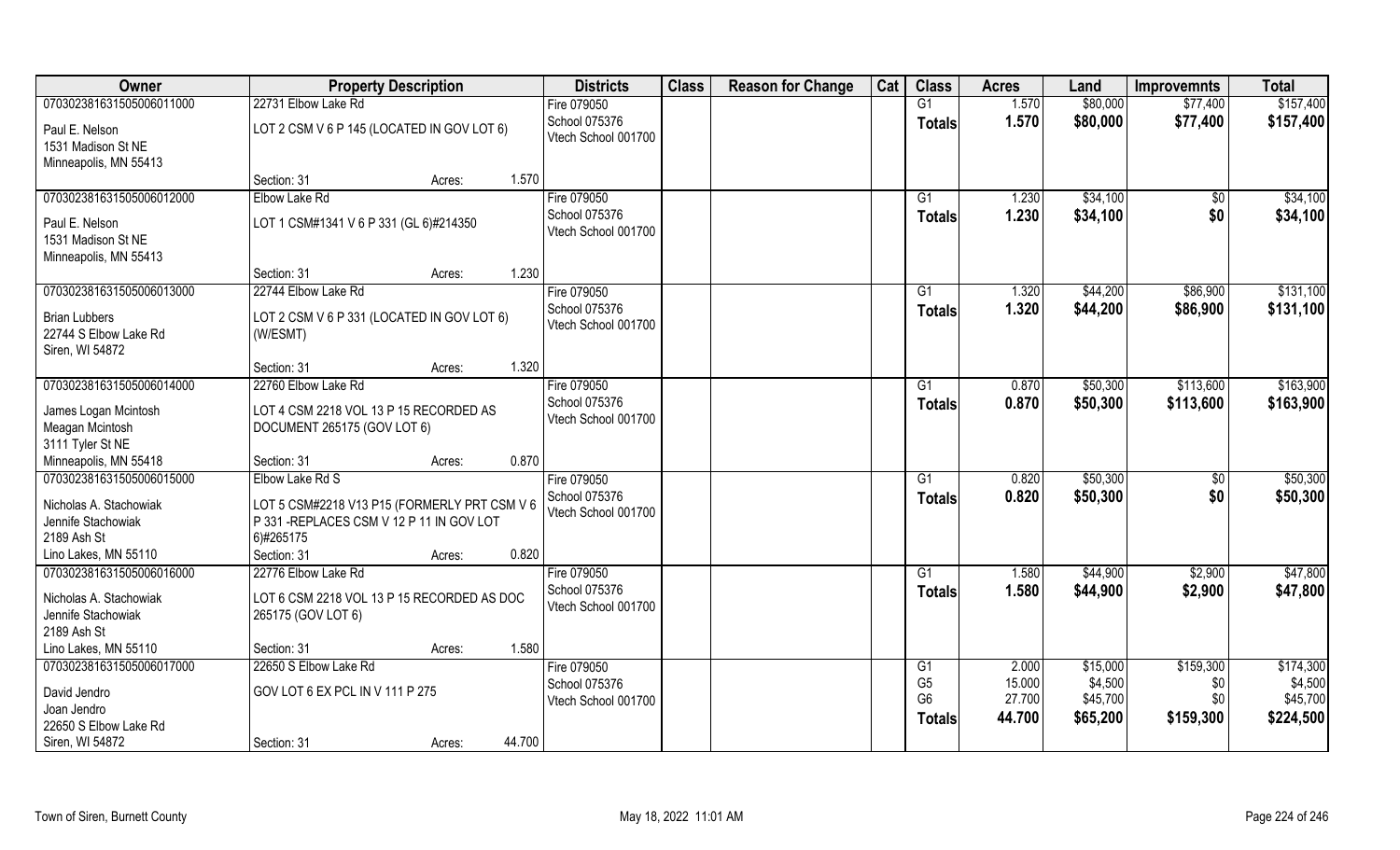| Owner                    | <b>Property Description</b>                  | <b>Districts</b>                     | <b>Class</b> | <b>Reason for Change</b> | Cat | <b>Class</b>                     | <b>Acres</b>     | Land                | <b>Improvemnts</b> | <b>Total</b>        |
|--------------------------|----------------------------------------------|--------------------------------------|--------------|--------------------------|-----|----------------------------------|------------------|---------------------|--------------------|---------------------|
| 070302381631505006011000 | 22731 Elbow Lake Rd                          | Fire 079050                          |              |                          |     | G1                               | 1.570            | \$80,000            | \$77,400           | \$157,400           |
| Paul E. Nelson           | LOT 2 CSM V 6 P 145 (LOCATED IN GOV LOT 6)   | School 075376                        |              |                          |     | <b>Totals</b>                    | 1.570            | \$80,000            | \$77,400           | \$157,400           |
| 1531 Madison St NE       |                                              | Vtech School 001700                  |              |                          |     |                                  |                  |                     |                    |                     |
| Minneapolis, MN 55413    |                                              |                                      |              |                          |     |                                  |                  |                     |                    |                     |
|                          | 1.570<br>Section: 31<br>Acres:               |                                      |              |                          |     |                                  |                  |                     |                    |                     |
| 070302381631505006012000 | Elbow Lake Rd                                | Fire 079050                          |              |                          |     | G1                               | 1.230            | \$34,100            | $\sqrt{6}$         | \$34,100            |
| Paul E. Nelson           | LOT 1 CSM#1341 V 6 P 331 (GL 6)#214350       | School 075376                        |              |                          |     | Totals                           | 1.230            | \$34,100            | \$0                | \$34,100            |
| 1531 Madison St NE       |                                              | Vtech School 001700                  |              |                          |     |                                  |                  |                     |                    |                     |
| Minneapolis, MN 55413    |                                              |                                      |              |                          |     |                                  |                  |                     |                    |                     |
|                          | 1.230<br>Section: 31<br>Acres:               |                                      |              |                          |     |                                  |                  |                     |                    |                     |
| 070302381631505006013000 | 22744 Elbow Lake Rd                          | Fire 079050                          |              |                          |     | G1                               | 1.320            | \$44,200            | \$86,900           | \$131,100           |
| <b>Brian Lubbers</b>     | LOT 2 CSM V 6 P 331 (LOCATED IN GOV LOT 6)   | School 075376                        |              |                          |     | <b>Totals</b>                    | 1.320            | \$44,200            | \$86,900           | \$131,100           |
| 22744 S Elbow Lake Rd    | (W/ESMT)                                     | Vtech School 001700                  |              |                          |     |                                  |                  |                     |                    |                     |
| Siren, WI 54872          |                                              |                                      |              |                          |     |                                  |                  |                     |                    |                     |
|                          | 1.320<br>Section: 31<br>Acres:               |                                      |              |                          |     |                                  |                  |                     |                    |                     |
| 070302381631505006014000 | 22760 Elbow Lake Rd                          | Fire 079050                          |              |                          |     | G1                               | 0.870            | \$50,300            | \$113,600          | \$163,900           |
| James Logan Mcintosh     | LOT 4 CSM 2218 VOL 13 P 15 RECORDED AS       | School 075376                        |              |                          |     | <b>Totals</b>                    | 0.870            | \$50,300            | \$113,600          | \$163,900           |
| Meagan Mcintosh          | DOCUMENT 265175 (GOV LOT 6)                  | Vtech School 001700                  |              |                          |     |                                  |                  |                     |                    |                     |
| 3111 Tyler St NE         |                                              |                                      |              |                          |     |                                  |                  |                     |                    |                     |
| Minneapolis, MN 55418    | 0.870<br>Section: 31<br>Acres:               |                                      |              |                          |     |                                  |                  |                     |                    |                     |
| 070302381631505006015000 | Elbow Lake Rd S                              | Fire 079050                          |              |                          |     | $\overline{G1}$                  | 0.820            | \$50,300            | \$0                | \$50,300            |
| Nicholas A. Stachowiak   | LOT 5 CSM#2218 V13 P15 (FORMERLY PRT CSM V 6 | School 075376<br>Vtech School 001700 |              |                          |     | <b>Totals</b>                    | 0.820            | \$50,300            | \$0                | \$50,300            |
| Jennife Stachowiak       | P 331 - REPLACES CSM V 12 P 11 IN GOV LOT    |                                      |              |                          |     |                                  |                  |                     |                    |                     |
| 2189 Ash St              | 6)#265175                                    |                                      |              |                          |     |                                  |                  |                     |                    |                     |
| Lino Lakes, MN 55110     | 0.820<br>Section: 31<br>Acres:               |                                      |              |                          |     |                                  |                  |                     |                    |                     |
| 070302381631505006016000 | 22776 Elbow Lake Rd                          | Fire 079050                          |              |                          |     | G1                               | 1.580            | \$44,900            | \$2,900            | \$47,800            |
| Nicholas A. Stachowiak   | LOT 6 CSM 2218 VOL 13 P 15 RECORDED AS DOC   | School 075376<br>Vtech School 001700 |              |                          |     | <b>Totals</b>                    | 1.580            | \$44,900            | \$2,900            | \$47,800            |
| Jennife Stachowiak       | 265175 (GOV LOT 6)                           |                                      |              |                          |     |                                  |                  |                     |                    |                     |
| 2189 Ash St              |                                              |                                      |              |                          |     |                                  |                  |                     |                    |                     |
| Lino Lakes, MN 55110     | 1.580<br>Section: 31<br>Acres:               |                                      |              |                          |     |                                  |                  |                     |                    |                     |
| 070302381631505006017000 | 22650 S Elbow Lake Rd                        | Fire 079050                          |              |                          |     | G1                               | 2.000            | \$15,000            | \$159,300          | \$174,300           |
| David Jendro             | GOV LOT 6 EX PCL IN V 111 P 275              | School 075376                        |              |                          |     | G <sub>5</sub><br>G <sub>6</sub> | 15.000<br>27.700 | \$4,500<br>\$45,700 | \$0<br>\$0         | \$4,500<br>\$45,700 |
| Joan Jendro              |                                              | Vtech School 001700                  |              |                          |     |                                  | 44.700           | \$65,200            | \$159,300          | \$224,500           |
| 22650 S Elbow Lake Rd    |                                              |                                      |              |                          |     | <b>Totals</b>                    |                  |                     |                    |                     |
| Siren, WI 54872          | 44.700<br>Section: 31<br>Acres:              |                                      |              |                          |     |                                  |                  |                     |                    |                     |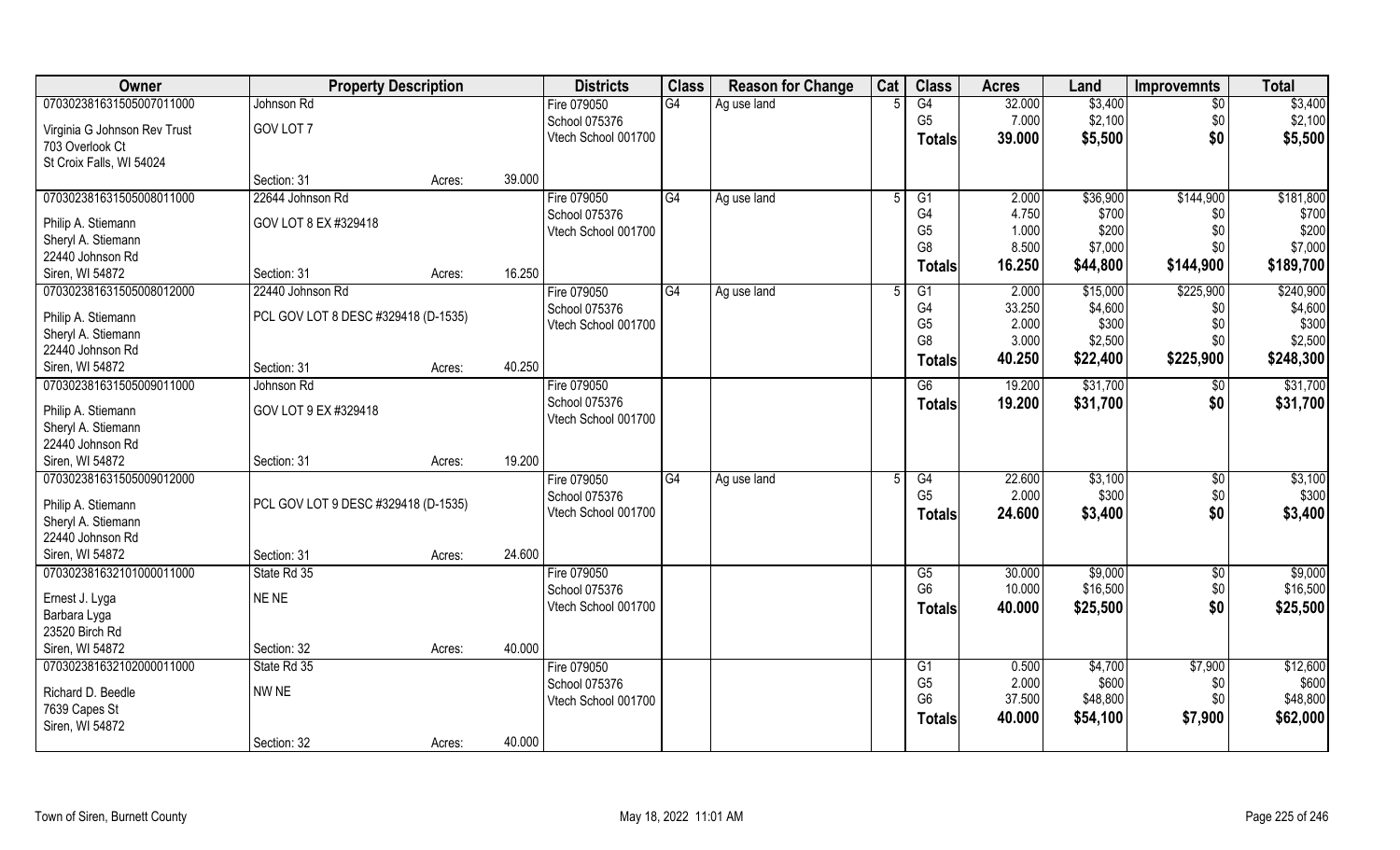| Owner                              | <b>Property Description</b>         |        |        | <b>Districts</b>                     | <b>Class</b> | <b>Reason for Change</b> | Cat            | <b>Class</b>         | <b>Acres</b>    | Land             | <b>Improvemnts</b> | <b>Total</b>     |
|------------------------------------|-------------------------------------|--------|--------|--------------------------------------|--------------|--------------------------|----------------|----------------------|-----------------|------------------|--------------------|------------------|
| 070302381631505007011000           | Johnson Rd                          |        |        | Fire 079050                          | G4           | Ag use land              |                | G4                   | 32.000          | \$3,400          | $\overline{50}$    | \$3,400          |
| Virginia G Johnson Rev Trust       | GOV LOT 7                           |        |        | School 075376                        |              |                          |                | G <sub>5</sub>       | 7.000           | \$2,100          | \$0                | \$2,100          |
| 703 Overlook Ct                    |                                     |        |        | Vtech School 001700                  |              |                          |                | <b>Totals</b>        | 39.000          | \$5,500          | \$0                | \$5,500          |
| St Croix Falls, WI 54024           |                                     |        |        |                                      |              |                          |                |                      |                 |                  |                    |                  |
|                                    | Section: 31                         | Acres: | 39.000 |                                      |              |                          |                |                      |                 |                  |                    |                  |
| 070302381631505008011000           | 22644 Johnson Rd                    |        |        | Fire 079050                          | G4           | Ag use land              |                | G1                   | 2.000           | \$36,900         | \$144,900          | \$181,800        |
| Philip A. Stiemann                 | GOV LOT 8 EX #329418                |        |        | School 075376                        |              |                          |                | G4                   | 4.750           | \$700            | \$0                | \$700            |
| Sheryl A. Stiemann                 |                                     |        |        | Vtech School 001700                  |              |                          |                | G <sub>5</sub>       | 1.000           | \$200            | \$0                | \$200            |
| 22440 Johnson Rd                   |                                     |        |        |                                      |              |                          |                | G <sub>8</sub>       | 8.500           | \$7,000          | \$0                | \$7,000          |
| Siren, WI 54872                    | Section: 31                         | Acres: | 16.250 |                                      |              |                          |                | <b>Totals</b>        | 16.250          | \$44,800         | \$144,900          | \$189,700        |
| 070302381631505008012000           | 22440 Johnson Rd                    |        |        | Fire 079050                          | G4           | Ag use land              | $\overline{5}$ | G1                   | 2.000           | \$15,000         | \$225,900          | \$240,900        |
| Philip A. Stiemann                 | PCL GOV LOT 8 DESC #329418 (D-1535) |        |        | School 075376                        |              |                          |                | G4                   | 33.250          | \$4,600          | \$0                | \$4,600          |
| Sheryl A. Stiemann                 |                                     |        |        | Vtech School 001700                  |              |                          |                | G <sub>5</sub>       | 2.000           | \$300            | \$0                | \$300            |
| 22440 Johnson Rd                   |                                     |        |        |                                      |              |                          |                | G <sub>8</sub>       | 3.000           | \$2,500          | \$0                | \$2,500          |
| Siren, WI 54872                    | Section: 31                         | Acres: | 40.250 |                                      |              |                          |                | <b>Totals</b>        | 40.250          | \$22,400         | \$225,900          | \$248,300        |
| 070302381631505009011000           | Johnson Rd                          |        |        | Fire 079050                          |              |                          |                | G6                   | 19.200          | \$31,700         | \$0                | \$31,700         |
|                                    |                                     |        |        | School 075376                        |              |                          |                | <b>Totals</b>        | 19.200          | \$31,700         | \$0                | \$31,700         |
| Philip A. Stiemann                 | GOV LOT 9 EX #329418                |        |        | Vtech School 001700                  |              |                          |                |                      |                 |                  |                    |                  |
| Sheryl A. Stiemann                 |                                     |        |        |                                      |              |                          |                |                      |                 |                  |                    |                  |
| 22440 Johnson Rd                   |                                     |        |        |                                      |              |                          |                |                      |                 |                  |                    |                  |
| Siren, WI 54872                    | Section: 31                         | Acres: | 19.200 |                                      |              |                          |                |                      |                 |                  |                    |                  |
| 070302381631505009012000           |                                     |        |        | Fire 079050                          | G4           | Ag use land              | $\sqrt{2}$     | G4<br>G <sub>5</sub> | 22.600<br>2.000 | \$3,100<br>\$300 | $\sqrt[6]{30}$     | \$3,100<br>\$300 |
| Philip A. Stiemann                 | PCL GOV LOT 9 DESC #329418 (D-1535) |        |        | School 075376<br>Vtech School 001700 |              |                          |                |                      |                 |                  | \$0                |                  |
| Sheryl A. Stiemann                 |                                     |        |        |                                      |              |                          |                | <b>Totals</b>        | 24.600          | \$3,400          | \$0                | \$3,400          |
| 22440 Johnson Rd                   |                                     |        |        |                                      |              |                          |                |                      |                 |                  |                    |                  |
| Siren, WI 54872                    | Section: 31                         | Acres: | 24.600 |                                      |              |                          |                |                      |                 |                  |                    |                  |
| 070302381632101000011000           | State Rd 35                         |        |        | Fire 079050                          |              |                          |                | G5                   | 30.000          | \$9,000          | \$0                | \$9,000          |
| Ernest J. Lyga                     | NE NE                               |        |        | School 075376                        |              |                          |                | G <sub>6</sub>       | 10.000          | \$16,500         | \$0                | \$16,500         |
| Barbara Lyga                       |                                     |        |        | Vtech School 001700                  |              |                          |                | <b>Totals</b>        | 40.000          | \$25,500         | \$0                | \$25,500         |
| 23520 Birch Rd                     |                                     |        |        |                                      |              |                          |                |                      |                 |                  |                    |                  |
| Siren, WI 54872                    | Section: 32                         | Acres: | 40.000 |                                      |              |                          |                |                      |                 |                  |                    |                  |
| 070302381632102000011000           | State Rd 35                         |        |        | Fire 079050                          |              |                          |                | G1                   | 0.500           | \$4,700          | \$7,900            | \$12,600         |
|                                    | NW NE                               |        |        | School 075376                        |              |                          |                | G <sub>5</sub>       | 2.000           | \$600            | \$0                | \$600            |
| Richard D. Beedle<br>7639 Capes St |                                     |        |        | Vtech School 001700                  |              |                          |                | G <sub>6</sub>       | 37.500          | \$48,800         | \$0                | \$48,800         |
| Siren, WI 54872                    |                                     |        |        |                                      |              |                          |                | Totals               | 40.000          | \$54,100         | \$7,900            | \$62,000         |
|                                    | Section: 32                         | Acres: | 40.000 |                                      |              |                          |                |                      |                 |                  |                    |                  |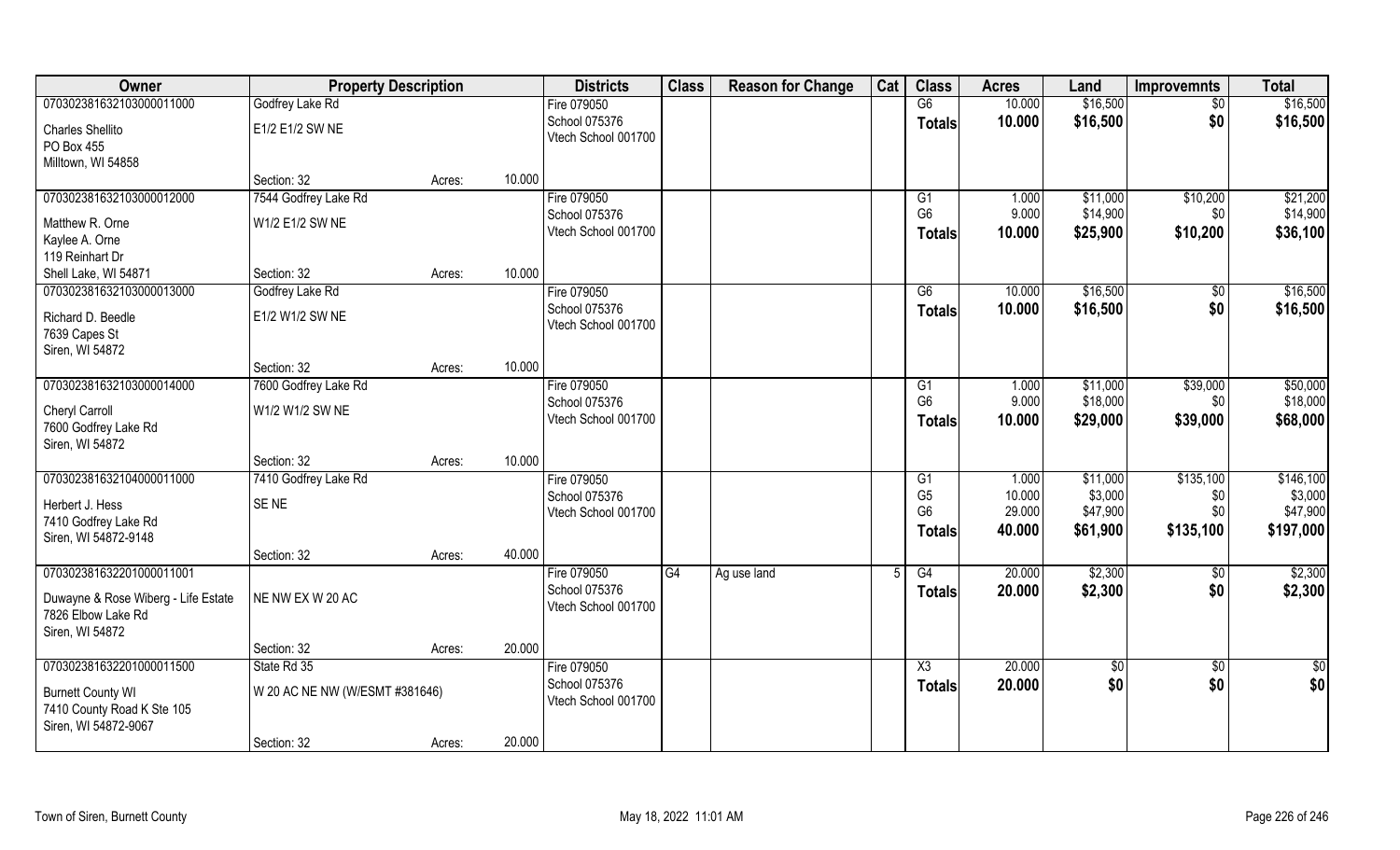| Owner                                   | <b>Property Description</b>    |        | <b>Districts</b>                     | <b>Class</b> | <b>Reason for Change</b> | Cat | <b>Class</b>           | <b>Acres</b>   | Land                 | <b>Improvemnts</b> | <b>Total</b>         |
|-----------------------------------------|--------------------------------|--------|--------------------------------------|--------------|--------------------------|-----|------------------------|----------------|----------------------|--------------------|----------------------|
| 070302381632103000011000                | Godfrey Lake Rd                |        | Fire 079050                          |              |                          |     | G6                     | 10.000         | \$16,500             | \$0                | \$16,500             |
| Charles Shellito                        | E1/2 E1/2 SW NE                |        | School 075376<br>Vtech School 001700 |              |                          |     | <b>Totals</b>          | 10.000         | \$16,500             | \$0                | \$16,500             |
| PO Box 455<br>Milltown, WI 54858        |                                |        |                                      |              |                          |     |                        |                |                      |                    |                      |
|                                         | Section: 32                    | Acres: | 10.000                               |              |                          |     |                        |                |                      |                    |                      |
| 070302381632103000012000                | 7544 Godfrey Lake Rd           |        | Fire 079050                          |              |                          |     | G1                     | 1.000          | \$11,000             | \$10,200           | \$21,200             |
|                                         |                                |        | School 075376                        |              |                          |     | G <sub>6</sub>         | 9.000          | \$14,900             | \$0                | \$14,900             |
| Matthew R. Orne                         | W1/2 E1/2 SW NE                |        | Vtech School 001700                  |              |                          |     | <b>Totals</b>          | 10.000         | \$25,900             | \$10,200           | \$36,100             |
| Kaylee A. Orne                          |                                |        |                                      |              |                          |     |                        |                |                      |                    |                      |
| 119 Reinhart Dr<br>Shell Lake, WI 54871 | Section: 32                    | Acres: | 10.000                               |              |                          |     |                        |                |                      |                    |                      |
| 070302381632103000013000                | Godfrey Lake Rd                |        | Fire 079050                          |              |                          |     | G6                     | 10.000         | \$16,500             | \$0                | \$16,500             |
|                                         |                                |        | School 075376                        |              |                          |     | <b>Totals</b>          | 10.000         | \$16,500             | \$0                | \$16,500             |
| Richard D. Beedle                       | E1/2 W1/2 SW NE                |        | Vtech School 001700                  |              |                          |     |                        |                |                      |                    |                      |
| 7639 Capes St                           |                                |        |                                      |              |                          |     |                        |                |                      |                    |                      |
| Siren, WI 54872                         |                                |        |                                      |              |                          |     |                        |                |                      |                    |                      |
|                                         | Section: 32                    | Acres: | 10.000                               |              |                          |     |                        |                |                      |                    |                      |
| 070302381632103000014000                | 7600 Godfrey Lake Rd           |        | Fire 079050                          |              |                          |     | G1<br>G <sub>6</sub>   | 1.000<br>9.000 | \$11,000<br>\$18,000 | \$39,000           | \$50,000             |
| Cheryl Carroll<br>7600 Godfrey Lake Rd  | W1/2 W1/2 SW NE                |        | School 075376<br>Vtech School 001700 |              |                          |     | <b>Totals</b>          | 10.000         | \$29,000             | \$0<br>\$39,000    | \$18,000<br>\$68,000 |
| Siren, WI 54872                         |                                |        |                                      |              |                          |     |                        |                |                      |                    |                      |
|                                         | Section: 32                    | Acres: | 10.000                               |              |                          |     |                        |                |                      |                    |                      |
| 070302381632104000011000                | 7410 Godfrey Lake Rd           |        | Fire 079050                          |              |                          |     | G1                     | 1.000          | \$11,000             | \$135,100          | \$146,100            |
|                                         |                                |        | School 075376                        |              |                          |     | G <sub>5</sub>         | 10.000         | \$3,000              | \$0                | \$3,000              |
| Herbert J. Hess                         | SE <sub>NE</sub>               |        | Vtech School 001700                  |              |                          |     | G <sub>6</sub>         | 29.000         | \$47,900             | \$0                | \$47,900             |
| 7410 Godfrey Lake Rd                    |                                |        |                                      |              |                          |     | <b>Totals</b>          | 40.000         | \$61,900             | \$135,100          | \$197,000            |
| Siren, WI 54872-9148                    | Section: 32                    | Acres: | 40.000                               |              |                          |     |                        |                |                      |                    |                      |
| 070302381632201000011001                |                                |        | Fire 079050                          | G4           | Ag use land              |     | G4                     | 20.000         | \$2,300              | \$0                | \$2,300              |
|                                         |                                |        | School 075376                        |              |                          |     | <b>Totals</b>          | 20.000         | \$2,300              | \$0                | \$2,300              |
| Duwayne & Rose Wiberg - Life Estate     | NE NW EX W 20 AC               |        | Vtech School 001700                  |              |                          |     |                        |                |                      |                    |                      |
| 7826 Elbow Lake Rd                      |                                |        |                                      |              |                          |     |                        |                |                      |                    |                      |
| Siren, WI 54872                         |                                |        |                                      |              |                          |     |                        |                |                      |                    |                      |
|                                         | Section: 32                    | Acres: | 20.000                               |              |                          |     |                        |                |                      |                    |                      |
| 070302381632201000011500                | State Rd 35                    |        | Fire 079050                          |              |                          |     | $\overline{\text{X3}}$ | 20.000         | $\sqrt{6}$           | $\overline{50}$    | $\frac{1}{6}$        |
| <b>Burnett County WI</b>                | W 20 AC NE NW (W/ESMT #381646) |        | School 075376<br>Vtech School 001700 |              |                          |     | <b>Totals</b>          | 20.000         | \$0                  | \$0                | \$0                  |
| 7410 County Road K Ste 105              |                                |        |                                      |              |                          |     |                        |                |                      |                    |                      |
| Siren, WI 54872-9067                    |                                |        |                                      |              |                          |     |                        |                |                      |                    |                      |
|                                         | Section: 32                    | Acres: | 20.000                               |              |                          |     |                        |                |                      |                    |                      |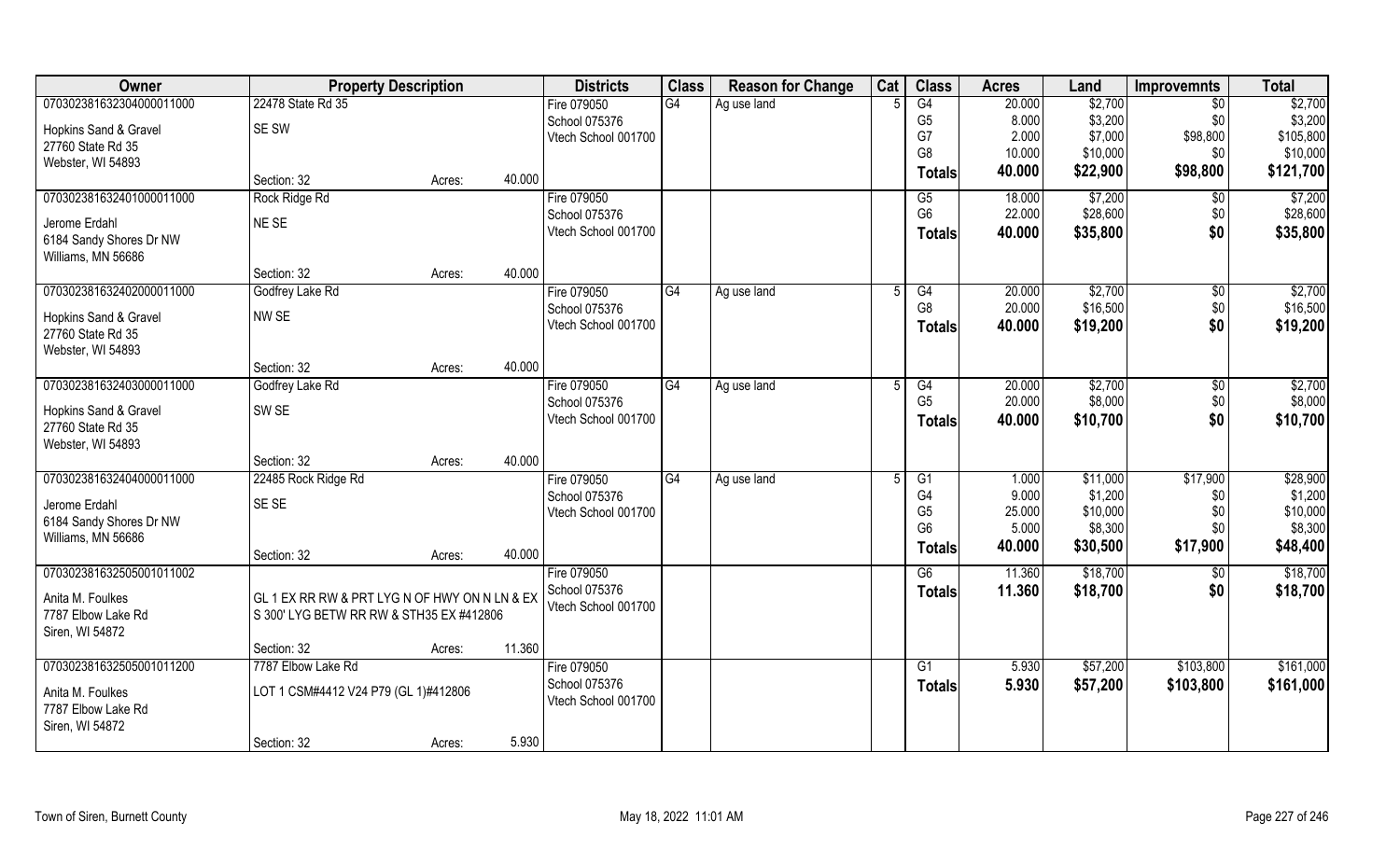| Owner                    | <b>Property Description</b>                   |        |        | <b>Districts</b>    | <b>Class</b>   | <b>Reason for Change</b> | Cat | <b>Class</b>    | <b>Acres</b> | Land     | <b>Improvemnts</b> | <b>Total</b> |
|--------------------------|-----------------------------------------------|--------|--------|---------------------|----------------|--------------------------|-----|-----------------|--------------|----------|--------------------|--------------|
| 070302381632304000011000 | 22478 State Rd 35                             |        |        | Fire 079050         | G4             | Ag use land              |     | G4              | 20.000       | \$2,700  | $\sqrt{6}$         | \$2,700      |
| Hopkins Sand & Gravel    | <b>SE SW</b>                                  |        |        | School 075376       |                |                          |     | G <sub>5</sub>  | 8.000        | \$3,200  | \$0                | \$3,200      |
| 27760 State Rd 35        |                                               |        |        | Vtech School 001700 |                |                          |     | G7              | 2.000        | \$7,000  | \$98,800           | \$105,800    |
| Webster, WI 54893        |                                               |        |        |                     |                |                          |     | G <sub>8</sub>  | 10.000       | \$10,000 | \$0                | \$10,000     |
|                          | Section: 32                                   | Acres: | 40.000 |                     |                |                          |     | <b>Totals</b>   | 40.000       | \$22,900 | \$98,800           | \$121,700    |
| 070302381632401000011000 | Rock Ridge Rd                                 |        |        | Fire 079050         |                |                          |     | G5              | 18.000       | \$7,200  | $\sqrt[6]{}$       | \$7,200      |
| Jerome Erdahl            | NE SE                                         |        |        | School 075376       |                |                          |     | G <sub>6</sub>  | 22.000       | \$28,600 | \$0                | \$28,600     |
| 6184 Sandy Shores Dr NW  |                                               |        |        | Vtech School 001700 |                |                          |     | <b>Totals</b>   | 40.000       | \$35,800 | \$0                | \$35,800     |
| Williams, MN 56686       |                                               |        |        |                     |                |                          |     |                 |              |          |                    |              |
|                          | Section: 32                                   | Acres: | 40.000 |                     |                |                          |     |                 |              |          |                    |              |
| 070302381632402000011000 | Godfrey Lake Rd                               |        |        | Fire 079050         | IG4            | Ag use land              |     | G4              | 20.000       | \$2,700  | \$0                | \$2,700      |
| Hopkins Sand & Gravel    | NW SE                                         |        |        | School 075376       |                |                          |     | G8              | 20.000       | \$16,500 | \$0                | \$16,500     |
| 27760 State Rd 35        |                                               |        |        | Vtech School 001700 |                |                          |     | <b>Totals</b>   | 40.000       | \$19,200 | \$0                | \$19,200     |
| Webster, WI 54893        |                                               |        |        |                     |                |                          |     |                 |              |          |                    |              |
|                          | Section: 32                                   | Acres: | 40.000 |                     |                |                          |     |                 |              |          |                    |              |
| 070302381632403000011000 | Godfrey Lake Rd                               |        |        | Fire 079050         | G <sub>4</sub> | Ag use land              |     | G4              | 20.000       | \$2,700  | \$0                | \$2,700      |
| Hopkins Sand & Gravel    | SW <sub>SE</sub>                              |        |        | School 075376       |                |                          |     | G <sub>5</sub>  | 20.000       | \$8,000  | \$0                | \$8,000      |
| 27760 State Rd 35        |                                               |        |        | Vtech School 001700 |                |                          |     | <b>Totals</b>   | 40.000       | \$10,700 | \$0                | \$10,700     |
| Webster, WI 54893        |                                               |        |        |                     |                |                          |     |                 |              |          |                    |              |
|                          | Section: 32                                   | Acres: | 40.000 |                     |                |                          |     |                 |              |          |                    |              |
| 070302381632404000011000 | 22485 Rock Ridge Rd                           |        |        | Fire 079050         | G4             | Ag use land              | 5   | $\overline{G1}$ | 1.000        | \$11,000 | \$17,900           | \$28,900     |
| Jerome Erdahl            | SE SE                                         |        |        | School 075376       |                |                          |     | G4              | 9.000        | \$1,200  | \$0                | \$1,200      |
| 6184 Sandy Shores Dr NW  |                                               |        |        | Vtech School 001700 |                |                          |     | G <sub>5</sub>  | 25.000       | \$10,000 | \$0                | \$10,000     |
| Williams, MN 56686       |                                               |        |        |                     |                |                          |     | G <sub>6</sub>  | 5.000        | \$8,300  | \$0                | \$8,300      |
|                          | Section: 32                                   | Acres: | 40.000 |                     |                |                          |     | <b>Totals</b>   | 40.000       | \$30,500 | \$17,900           | \$48,400     |
| 070302381632505001011002 |                                               |        |        | Fire 079050         |                |                          |     | G6              | 11.360       | \$18,700 | \$0                | \$18,700     |
| Anita M. Foulkes         | GL 1 EX RR RW & PRT LYG N OF HWY ON N LN & EX |        |        | School 075376       |                |                          |     | <b>Totals</b>   | 11.360       | \$18,700 | \$0                | \$18,700     |
| 7787 Elbow Lake Rd       | S 300' LYG BETW RR RW & STH35 EX #412806      |        |        | Vtech School 001700 |                |                          |     |                 |              |          |                    |              |
| Siren, WI 54872          |                                               |        |        |                     |                |                          |     |                 |              |          |                    |              |
|                          | Section: 32                                   | Acres: | 11.360 |                     |                |                          |     |                 |              |          |                    |              |
| 070302381632505001011200 | 7787 Elbow Lake Rd                            |        |        | Fire 079050         |                |                          |     | $\overline{G1}$ | 5.930        | \$57,200 | \$103,800          | \$161,000    |
| Anita M. Foulkes         | LOT 1 CSM#4412 V24 P79 (GL 1)#412806          |        |        | School 075376       |                |                          |     | <b>Totals</b>   | 5.930        | \$57,200 | \$103,800          | \$161,000    |
| 7787 Elbow Lake Rd       |                                               |        |        | Vtech School 001700 |                |                          |     |                 |              |          |                    |              |
| Siren, WI 54872          |                                               |        |        |                     |                |                          |     |                 |              |          |                    |              |
|                          | Section: 32                                   | Acres: | 5.930  |                     |                |                          |     |                 |              |          |                    |              |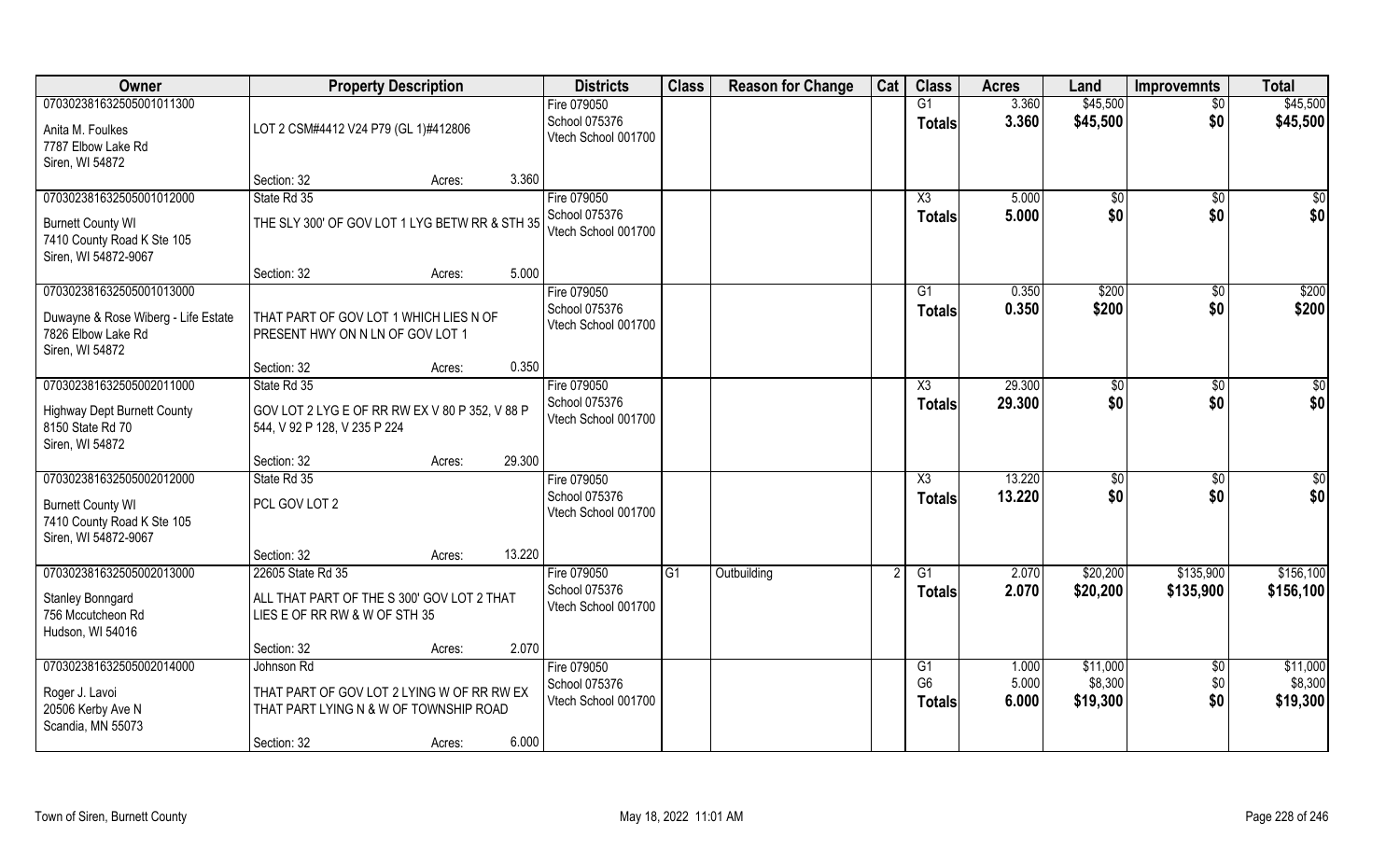| Owner                                                  | <b>Property Description</b>                                                          |        |        | <b>Districts</b>                     | <b>Class</b> | <b>Reason for Change</b> | Cat | <b>Class</b>           | <b>Acres</b> | Land         | <b>Improvemnts</b> | <b>Total</b>    |
|--------------------------------------------------------|--------------------------------------------------------------------------------------|--------|--------|--------------------------------------|--------------|--------------------------|-----|------------------------|--------------|--------------|--------------------|-----------------|
| 070302381632505001011300                               |                                                                                      |        |        | Fire 079050                          |              |                          |     | G1                     | 3.360        | \$45,500     | $\overline{50}$    | \$45,500        |
| Anita M. Foulkes                                       | LOT 2 CSM#4412 V24 P79 (GL 1)#412806                                                 |        |        | School 075376<br>Vtech School 001700 |              |                          |     | <b>Totals</b>          | 3.360        | \$45,500     | \$0                | \$45,500        |
| 7787 Elbow Lake Rd<br>Siren, WI 54872                  |                                                                                      |        |        |                                      |              |                          |     |                        |              |              |                    |                 |
|                                                        | Section: 32                                                                          | Acres: | 3.360  |                                      |              |                          |     |                        |              |              |                    |                 |
| 070302381632505001012000                               | State Rd 35                                                                          |        |        | Fire 079050                          |              |                          |     | X3                     | 5.000        | \$0          | \$0                | \$0             |
| <b>Burnett County WI</b>                               | THE SLY 300' OF GOV LOT 1 LYG BETW RR & STH 35                                       |        |        | School 075376                        |              |                          |     | <b>Totals</b>          | 5.000        | \$0          | \$0                | \$0             |
| 7410 County Road K Ste 105                             |                                                                                      |        |        | Vtech School 001700                  |              |                          |     |                        |              |              |                    |                 |
| Siren, WI 54872-9067                                   |                                                                                      |        |        |                                      |              |                          |     |                        |              |              |                    |                 |
| 070302381632505001013000                               | Section: 32                                                                          | Acres: | 5.000  | Fire 079050                          |              |                          |     | G1                     | 0.350        | \$200        | $\sqrt[6]{30}$     | \$200           |
|                                                        |                                                                                      |        |        | School 075376                        |              |                          |     | <b>Totals</b>          | 0.350        | \$200        | \$0                | \$200           |
| Duwayne & Rose Wiberg - Life Estate                    | THAT PART OF GOV LOT 1 WHICH LIES N OF                                               |        |        | Vtech School 001700                  |              |                          |     |                        |              |              |                    |                 |
| 7826 Elbow Lake Rd<br>Siren, WI 54872                  | PRESENT HWY ON N LN OF GOV LOT 1                                                     |        |        |                                      |              |                          |     |                        |              |              |                    |                 |
|                                                        | Section: 32                                                                          | Acres: | 0.350  |                                      |              |                          |     |                        |              |              |                    |                 |
| 070302381632505002011000                               | State Rd 35                                                                          |        |        | Fire 079050                          |              |                          |     | X3                     | 29.300       | $\sqrt[6]{}$ | $\frac{1}{20}$     | \$0             |
| <b>Highway Dept Burnett County</b>                     | GOV LOT 2 LYG E OF RR RW EX V 80 P 352, V 88 P                                       |        |        | School 075376<br>Vtech School 001700 |              |                          |     | <b>Totals</b>          | 29.300       | \$0          | \$0                | \$0             |
| 8150 State Rd 70                                       | 544, V 92 P 128, V 235 P 224                                                         |        |        |                                      |              |                          |     |                        |              |              |                    |                 |
| Siren, WI 54872                                        |                                                                                      |        | 29.300 |                                      |              |                          |     |                        |              |              |                    |                 |
| 070302381632505002012000                               | Section: 32<br>State Rd 35                                                           | Acres: |        | Fire 079050                          |              |                          |     | $\overline{\text{X3}}$ | 13.220       | $\sqrt[6]{}$ | \$0                | $\overline{50}$ |
|                                                        |                                                                                      |        |        | School 075376                        |              |                          |     | <b>Totals</b>          | 13.220       | \$0          | \$0                | \$0             |
| <b>Burnett County WI</b><br>7410 County Road K Ste 105 | PCL GOV LOT 2                                                                        |        |        | Vtech School 001700                  |              |                          |     |                        |              |              |                    |                 |
| Siren, WI 54872-9067                                   |                                                                                      |        |        |                                      |              |                          |     |                        |              |              |                    |                 |
|                                                        | Section: 32                                                                          | Acres: | 13.220 |                                      |              |                          |     |                        |              |              |                    |                 |
| 070302381632505002013000                               | 22605 State Rd 35                                                                    |        |        | Fire 079050                          | G1           | Outbuilding              |     | G1                     | 2.070        | \$20,200     | \$135,900          | \$156,100       |
| <b>Stanley Bonngard</b>                                | ALL THAT PART OF THE S 300' GOV LOT 2 THAT                                           |        |        | School 075376                        |              |                          |     | <b>Totals</b>          | 2.070        | \$20,200     | \$135,900          | \$156,100       |
| 756 Mccutcheon Rd                                      | LIES E OF RR RW & W OF STH 35                                                        |        |        | Vtech School 001700                  |              |                          |     |                        |              |              |                    |                 |
| Hudson, WI 54016                                       |                                                                                      |        |        |                                      |              |                          |     |                        |              |              |                    |                 |
| 070302381632505002014000                               | Section: 32<br>Johnson Rd                                                            | Acres: | 2.070  | Fire 079050                          |              |                          |     | G1                     | 1.000        | \$11,000     | $\overline{50}$    | \$11,000        |
|                                                        |                                                                                      |        |        | School 075376                        |              |                          |     | G <sub>6</sub>         | 5.000        | \$8,300      | \$0                | \$8,300         |
| Roger J. Lavoi<br>20506 Kerby Ave N                    | THAT PART OF GOV LOT 2 LYING W OF RR RW EX<br>THAT PART LYING N & W OF TOWNSHIP ROAD |        |        | Vtech School 001700                  |              |                          |     | <b>Totals</b>          | 6.000        | \$19,300     | \$0                | \$19,300        |
| Scandia, MN 55073                                      |                                                                                      |        |        |                                      |              |                          |     |                        |              |              |                    |                 |
|                                                        | Section: 32                                                                          | Acres: | 6.000  |                                      |              |                          |     |                        |              |              |                    |                 |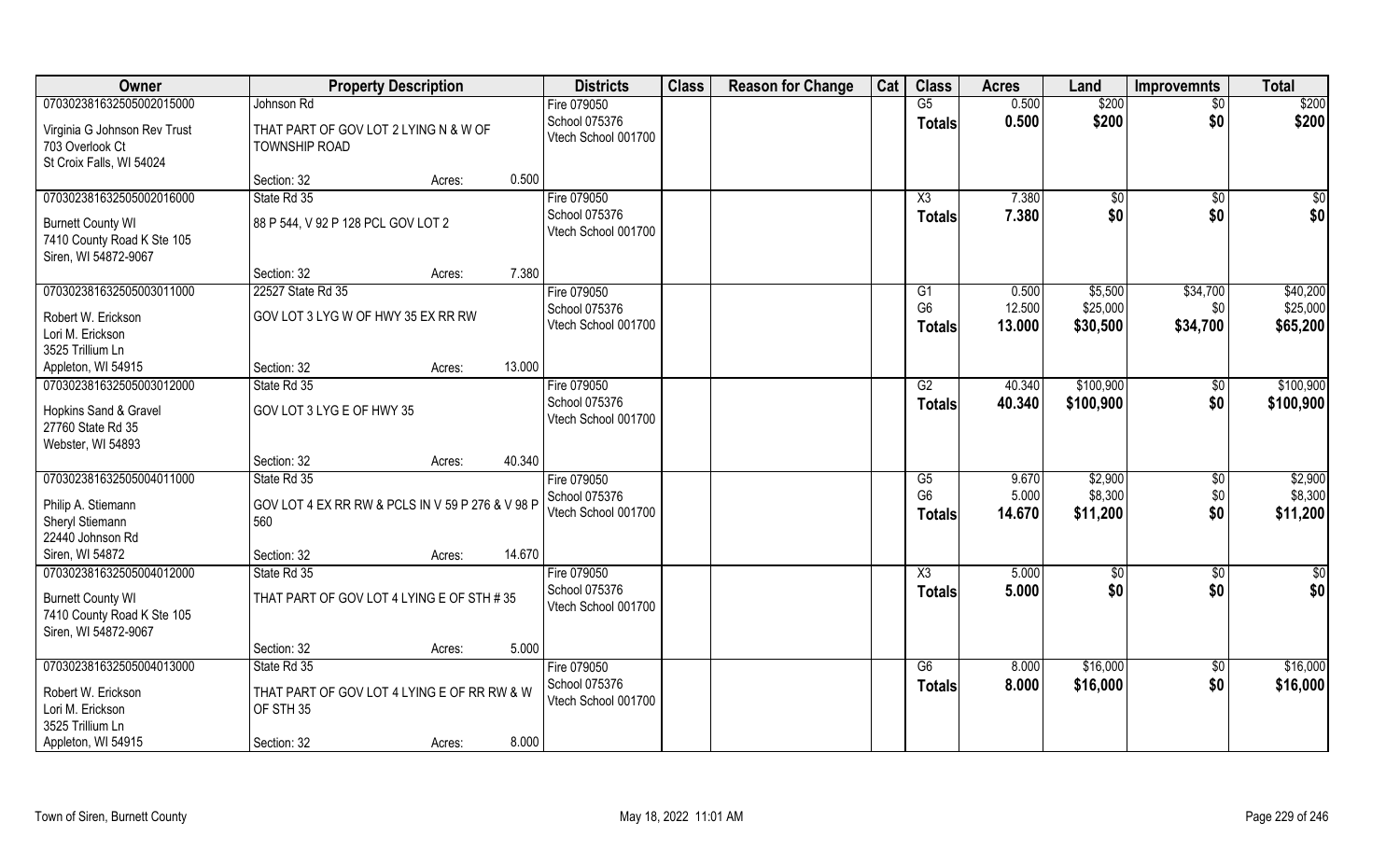| Owner                                                  | <b>Property Description</b>                      |        |        | <b>Districts</b>    | <b>Class</b> | <b>Reason for Change</b> | Cat | <b>Class</b>   | <b>Acres</b> | Land      | <b>Improvemnts</b> | <b>Total</b>  |
|--------------------------------------------------------|--------------------------------------------------|--------|--------|---------------------|--------------|--------------------------|-----|----------------|--------------|-----------|--------------------|---------------|
| 070302381632505002015000                               | Johnson Rd                                       |        |        | Fire 079050         |              |                          |     | G5             | 0.500        | \$200     | $\overline{50}$    | \$200         |
| Virginia G Johnson Rev Trust                           | THAT PART OF GOV LOT 2 LYING N & W OF            |        |        | School 075376       |              |                          |     | <b>Totals</b>  | 0.500        | \$200     | \$0                | \$200         |
| 703 Overlook Ct                                        | <b>TOWNSHIP ROAD</b>                             |        |        | Vtech School 001700 |              |                          |     |                |              |           |                    |               |
| St Croix Falls, WI 54024                               |                                                  |        |        |                     |              |                          |     |                |              |           |                    |               |
|                                                        | Section: 32                                      | Acres: | 0.500  |                     |              |                          |     |                |              |           |                    |               |
| 070302381632505002016000                               | State Rd 35                                      |        |        | Fire 079050         |              |                          |     | X3             | 7.380        | \$0       | \$0                | $\sqrt{50}$   |
| <b>Burnett County WI</b>                               | 88 P 544, V 92 P 128 PCL GOV LOT 2               |        |        | School 075376       |              |                          |     | <b>Totals</b>  | 7.380        | \$0       | \$0                | \$0           |
| 7410 County Road K Ste 105                             |                                                  |        |        | Vtech School 001700 |              |                          |     |                |              |           |                    |               |
| Siren, WI 54872-9067                                   |                                                  |        |        |                     |              |                          |     |                |              |           |                    |               |
|                                                        | Section: 32                                      | Acres: | 7.380  |                     |              |                          |     |                |              |           |                    |               |
| 070302381632505003011000                               | 22527 State Rd 35                                |        |        | Fire 079050         |              |                          |     | G1             | 0.500        | \$5,500   | \$34,700           | \$40,200      |
| Robert W. Erickson                                     | GOV LOT 3 LYG W OF HWY 35 EX RR RW               |        |        | School 075376       |              |                          |     | G <sub>6</sub> | 12.500       | \$25,000  | \$0                | \$25,000      |
| Lori M. Erickson                                       |                                                  |        |        | Vtech School 001700 |              |                          |     | <b>Totals</b>  | 13.000       | \$30,500  | \$34,700           | \$65,200      |
| 3525 Trillium Ln                                       |                                                  |        |        |                     |              |                          |     |                |              |           |                    |               |
| Appleton, WI 54915                                     | Section: 32                                      | Acres: | 13.000 |                     |              |                          |     |                |              |           |                    |               |
| 070302381632505003012000                               | State Rd 35                                      |        |        | Fire 079050         |              |                          |     | G2             | 40.340       | \$100,900 | \$0                | \$100,900     |
| Hopkins Sand & Gravel                                  | GOV LOT 3 LYG E OF HWY 35                        |        |        | School 075376       |              |                          |     | <b>Totals</b>  | 40.340       | \$100,900 | \$0                | \$100,900     |
| 27760 State Rd 35                                      |                                                  |        |        | Vtech School 001700 |              |                          |     |                |              |           |                    |               |
| Webster, WI 54893                                      |                                                  |        |        |                     |              |                          |     |                |              |           |                    |               |
|                                                        | Section: 32                                      | Acres: | 40.340 |                     |              |                          |     |                |              |           |                    |               |
| 070302381632505004011000                               | State Rd 35                                      |        |        | Fire 079050         |              |                          |     | G5             | 9.670        | \$2,900   | $\sqrt[6]{30}$     | \$2,900       |
|                                                        | GOV LOT 4 EX RR RW & PCLS IN V 59 P 276 & V 98 P |        |        | School 075376       |              |                          |     | G <sub>6</sub> | 5.000        | \$8,300   | \$0                | \$8,300       |
| Philip A. Stiemann<br>Sheryl Stiemann                  | 560                                              |        |        | Vtech School 001700 |              |                          |     | Totals         | 14.670       | \$11,200  | \$0                | \$11,200      |
| 22440 Johnson Rd                                       |                                                  |        |        |                     |              |                          |     |                |              |           |                    |               |
| Siren, WI 54872                                        | Section: 32                                      | Acres: | 14.670 |                     |              |                          |     |                |              |           |                    |               |
| 070302381632505004012000                               | State Rd 35                                      |        |        | Fire 079050         |              |                          |     | X3             | 5.000        | \$0       | \$0                | $\frac{6}{3}$ |
|                                                        | THAT PART OF GOV LOT 4 LYING E OF STH #35        |        |        | School 075376       |              |                          |     | <b>Totals</b>  | 5.000        | \$0       | \$0                | \$0           |
| <b>Burnett County WI</b><br>7410 County Road K Ste 105 |                                                  |        |        | Vtech School 001700 |              |                          |     |                |              |           |                    |               |
| Siren, WI 54872-9067                                   |                                                  |        |        |                     |              |                          |     |                |              |           |                    |               |
|                                                        | Section: 32                                      | Acres: | 5.000  |                     |              |                          |     |                |              |           |                    |               |
| 070302381632505004013000                               | State Rd 35                                      |        |        | Fire 079050         |              |                          |     | G6             | 8.000        | \$16,000  | $\overline{50}$    | \$16,000      |
|                                                        |                                                  |        |        | School 075376       |              |                          |     | <b>Totals</b>  | 8.000        | \$16,000  | \$0                | \$16,000      |
| Robert W. Erickson                                     | THAT PART OF GOV LOT 4 LYING E OF RR RW & W      |        |        | Vtech School 001700 |              |                          |     |                |              |           |                    |               |
| Lori M. Erickson<br>3525 Trillium Ln                   | OF STH 35                                        |        |        |                     |              |                          |     |                |              |           |                    |               |
| Appleton, WI 54915                                     | Section: 32                                      | Acres: | 8.000  |                     |              |                          |     |                |              |           |                    |               |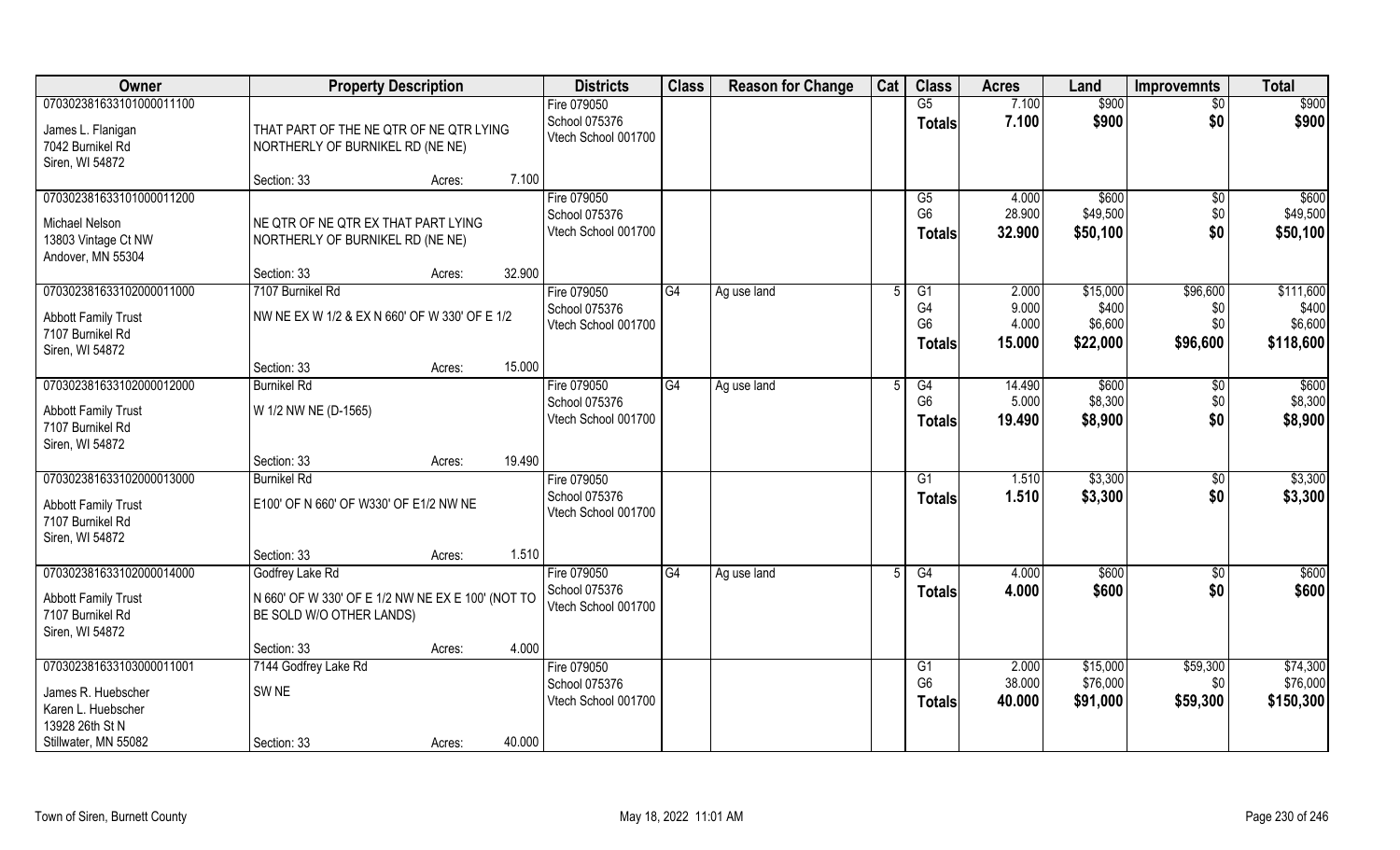| Owner                                          | <b>Property Description</b>                       |        |        | <b>Districts</b>             | <b>Class</b> | <b>Reason for Change</b> | Cat | <b>Class</b>         | <b>Acres</b>    | Land              | <b>Improvemnts</b>     | <b>Total</b>      |
|------------------------------------------------|---------------------------------------------------|--------|--------|------------------------------|--------------|--------------------------|-----|----------------------|-----------------|-------------------|------------------------|-------------------|
| 070302381633101000011100                       |                                                   |        |        | Fire 079050                  |              |                          |     | G5                   | 7.100           | \$900             | $\overline{50}$        | \$900             |
| James L. Flanigan                              | THAT PART OF THE NE QTR OF NE QTR LYING           |        |        | School 075376                |              |                          |     | <b>Totals</b>        | 7.100           | \$900             | \$0                    | \$900             |
| 7042 Burnikel Rd                               | NORTHERLY OF BURNIKEL RD (NE NE)                  |        |        | Vtech School 001700          |              |                          |     |                      |                 |                   |                        |                   |
| Siren, WI 54872                                |                                                   |        |        |                              |              |                          |     |                      |                 |                   |                        |                   |
|                                                | Section: 33                                       | Acres: | 7.100  |                              |              |                          |     |                      |                 |                   |                        |                   |
| 070302381633101000011200                       |                                                   |        |        | Fire 079050<br>School 075376 |              |                          |     | G5<br>G <sub>6</sub> | 4.000<br>28.900 | \$600<br>\$49,500 | $\overline{50}$<br>\$0 | \$600<br>\$49,500 |
| Michael Nelson                                 | NE QTR OF NE QTR EX THAT PART LYING               |        |        | Vtech School 001700          |              |                          |     | <b>Totals</b>        | 32.900          | \$50,100          | \$0                    | \$50,100          |
| 13803 Vintage Ct NW                            | NORTHERLY OF BURNIKEL RD (NE NE)                  |        |        |                              |              |                          |     |                      |                 |                   |                        |                   |
| Andover, MN 55304                              | Section: 33                                       | Acres: | 32.900 |                              |              |                          |     |                      |                 |                   |                        |                   |
| 070302381633102000011000                       | 7107 Burnikel Rd                                  |        |        | Fire 079050                  | G4           | Ag use land              | 5   | G1                   | 2.000           | \$15,000          | \$96,600               | \$111,600         |
|                                                |                                                   |        |        | School 075376                |              |                          |     | G4                   | 9.000           | \$400             | \$0                    | \$400             |
| <b>Abbott Family Trust</b><br>7107 Burnikel Rd | NW NE EX W 1/2 & EX N 660' OF W 330' OF E 1/2     |        |        | Vtech School 001700          |              |                          |     | G <sub>6</sub>       | 4.000           | \$6,600           | \$0                    | \$6,600           |
| Siren, WI 54872                                |                                                   |        |        |                              |              |                          |     | <b>Totals</b>        | 15,000          | \$22,000          | \$96,600               | \$118,600         |
|                                                | Section: 33                                       | Acres: | 15.000 |                              |              |                          |     |                      |                 |                   |                        |                   |
| 070302381633102000012000                       | <b>Burnikel Rd</b>                                |        |        | Fire 079050                  | G4           | Ag use land              |     | G4                   | 14.490          | \$600             | \$0                    | \$600             |
| <b>Abbott Family Trust</b>                     | W 1/2 NW NE (D-1565)                              |        |        | School 075376                |              |                          |     | G <sub>6</sub>       | 5.000           | \$8,300           | \$0                    | \$8,300           |
| 7107 Burnikel Rd                               |                                                   |        |        | Vtech School 001700          |              |                          |     | <b>Totals</b>        | 19.490          | \$8,900           | \$0                    | \$8,900           |
| Siren, WI 54872                                |                                                   |        |        |                              |              |                          |     |                      |                 |                   |                        |                   |
|                                                | Section: 33                                       | Acres: | 19.490 |                              |              |                          |     |                      |                 |                   |                        |                   |
| 070302381633102000013000                       | <b>Burnikel Rd</b>                                |        |        | Fire 079050                  |              |                          |     | G1                   | 1.510           | \$3,300           | \$0                    | \$3,300           |
| <b>Abbott Family Trust</b>                     | E100' OF N 660' OF W330' OF E1/2 NW NE            |        |        | School 075376                |              |                          |     | <b>Totals</b>        | 1.510           | \$3,300           | \$0                    | \$3,300           |
| 7107 Burnikel Rd                               |                                                   |        |        | Vtech School 001700          |              |                          |     |                      |                 |                   |                        |                   |
| Siren, WI 54872                                |                                                   |        |        |                              |              |                          |     |                      |                 |                   |                        |                   |
|                                                | Section: 33                                       | Acres: | 1.510  |                              |              |                          |     |                      |                 |                   |                        |                   |
| 070302381633102000014000                       | Godfrey Lake Rd                                   |        |        | Fire 079050<br>School 075376 | G4           | Ag use land              |     | G4                   | 4.000<br>4.000  | \$600<br>\$600    | \$0<br>\$0             | \$600<br>\$600    |
| <b>Abbott Family Trust</b>                     | N 660' OF W 330' OF E 1/2 NW NE EX E 100' (NOT TO |        |        | Vtech School 001700          |              |                          |     | <b>Totals</b>        |                 |                   |                        |                   |
| 7107 Burnikel Rd                               | BE SOLD W/O OTHER LANDS)                          |        |        |                              |              |                          |     |                      |                 |                   |                        |                   |
| Siren, WI 54872                                | Section: 33                                       | Acres: | 4.000  |                              |              |                          |     |                      |                 |                   |                        |                   |
| 070302381633103000011001                       | 7144 Godfrey Lake Rd                              |        |        | Fire 079050                  |              |                          |     | G1                   | 2.000           | \$15,000          | \$59,300               | \$74,300          |
|                                                |                                                   |        |        | School 075376                |              |                          |     | G <sub>6</sub>       | 38.000          | \$76,000          | \$0                    | \$76,000          |
| James R. Huebscher<br>Karen L. Huebscher       | SW <sub>NE</sub>                                  |        |        | Vtech School 001700          |              |                          |     | <b>Totals</b>        | 40.000          | \$91,000          | \$59,300               | \$150,300         |
| 13928 26th St N                                |                                                   |        |        |                              |              |                          |     |                      |                 |                   |                        |                   |
| Stillwater, MN 55082                           | Section: 33                                       | Acres: | 40.000 |                              |              |                          |     |                      |                 |                   |                        |                   |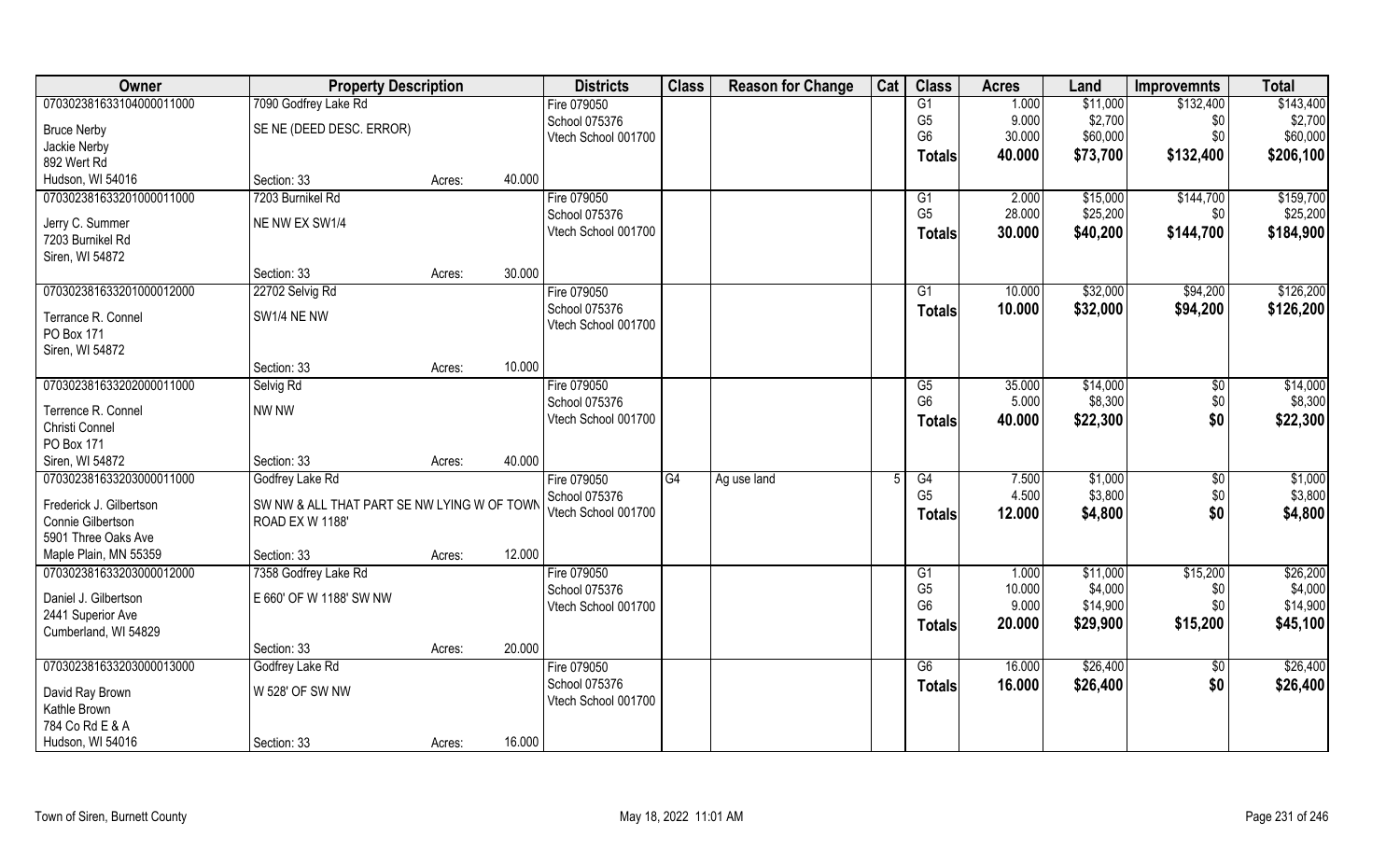| Owner                                     | <b>Property Description</b>                 |        |        | <b>Districts</b>    | <b>Class</b> | <b>Reason for Change</b> | Cat | <b>Class</b>   | <b>Acres</b> | Land     | <b>Improvemnts</b> | <b>Total</b> |
|-------------------------------------------|---------------------------------------------|--------|--------|---------------------|--------------|--------------------------|-----|----------------|--------------|----------|--------------------|--------------|
| 070302381633104000011000                  | 7090 Godfrey Lake Rd                        |        |        | Fire 079050         |              |                          |     | G1             | 1.000        | \$11,000 | \$132,400          | \$143,400    |
| <b>Bruce Nerby</b>                        | SE NE (DEED DESC. ERROR)                    |        |        | School 075376       |              |                          |     | G <sub>5</sub> | 9.000        | \$2,700  | \$0                | \$2,700      |
| Jackie Nerby                              |                                             |        |        | Vtech School 001700 |              |                          |     | G <sub>6</sub> | 30.000       | \$60,000 | \$0                | \$60,000     |
| 892 Wert Rd                               |                                             |        |        |                     |              |                          |     | <b>Totals</b>  | 40.000       | \$73,700 | \$132,400          | \$206,100    |
| Hudson, WI 54016                          | Section: 33                                 | Acres: | 40.000 |                     |              |                          |     |                |              |          |                    |              |
| 070302381633201000011000                  | 7203 Burnikel Rd                            |        |        | Fire 079050         |              |                          |     | G1             | 2.000        | \$15,000 | \$144,700          | \$159,700    |
| Jerry C. Summer                           | NE NW EX SW1/4                              |        |        | School 075376       |              |                          |     | G <sub>5</sub> | 28.000       | \$25,200 | \$0                | \$25,200     |
| 7203 Burnikel Rd                          |                                             |        |        | Vtech School 001700 |              |                          |     | <b>Totals</b>  | 30.000       | \$40,200 | \$144,700          | \$184,900    |
| Siren, WI 54872                           |                                             |        |        |                     |              |                          |     |                |              |          |                    |              |
|                                           | Section: 33                                 | Acres: | 30.000 |                     |              |                          |     |                |              |          |                    |              |
| 070302381633201000012000                  | 22702 Selvig Rd                             |        |        | Fire 079050         |              |                          |     | G1             | 10.000       | \$32,000 | \$94,200           | \$126,200    |
| Terrance R. Connel                        | SW1/4 NE NW                                 |        |        | School 075376       |              |                          |     | <b>Totals</b>  | 10.000       | \$32,000 | \$94,200           | \$126,200    |
| PO Box 171                                |                                             |        |        | Vtech School 001700 |              |                          |     |                |              |          |                    |              |
| Siren, WI 54872                           |                                             |        |        |                     |              |                          |     |                |              |          |                    |              |
|                                           | Section: 33                                 | Acres: | 10.000 |                     |              |                          |     |                |              |          |                    |              |
| 070302381633202000011000                  | Selvig Rd                                   |        |        | Fire 079050         |              |                          |     | G5             | 35.000       | \$14,000 | \$0                | \$14,000     |
| Terrence R. Connel                        | NW NW                                       |        |        | School 075376       |              |                          |     | G <sub>6</sub> | 5.000        | \$8,300  | \$0                | \$8,300      |
| Christi Connel                            |                                             |        |        | Vtech School 001700 |              |                          |     | <b>Totals</b>  | 40.000       | \$22,300 | \$0                | \$22,300     |
| PO Box 171                                |                                             |        |        |                     |              |                          |     |                |              |          |                    |              |
| Siren, WI 54872                           | Section: 33                                 | Acres: | 40.000 |                     |              |                          |     |                |              |          |                    |              |
| 070302381633203000011000                  | Godfrey Lake Rd                             |        |        | Fire 079050         | G4           | Ag use land              |     | G4             | 7.500        | \$1,000  | $\overline{50}$    | \$1,000      |
| Frederick J. Gilbertson                   | SW NW & ALL THAT PART SE NW LYING W OF TOWN |        |        | School 075376       |              |                          |     | G <sub>5</sub> | 4.500        | \$3,800  | \$0                | \$3,800      |
| Connie Gilbertson                         | ROAD EX W 1188'                             |        |        | Vtech School 001700 |              |                          |     | <b>Totals</b>  | 12.000       | \$4,800  | \$0                | \$4,800      |
| 5901 Three Oaks Ave                       |                                             |        |        |                     |              |                          |     |                |              |          |                    |              |
| Maple Plain, MN 55359                     | Section: 33                                 | Acres: | 12.000 |                     |              |                          |     |                |              |          |                    |              |
| 070302381633203000012000                  | 7358 Godfrey Lake Rd                        |        |        | Fire 079050         |              |                          |     | G1             | 1.000        | \$11,000 | \$15,200           | \$26,200     |
|                                           |                                             |        |        | School 075376       |              |                          |     | G <sub>5</sub> | 10.000       | \$4,000  | \$0                | \$4,000      |
| Daniel J. Gilbertson                      | E 660' OF W 1188' SW NW                     |        |        | Vtech School 001700 |              |                          |     | G <sub>6</sub> | 9.000        | \$14,900 | \$0\$              | \$14,900     |
| 2441 Superior Ave<br>Cumberland, WI 54829 |                                             |        |        |                     |              |                          |     | Totals         | 20.000       | \$29,900 | \$15,200           | \$45,100     |
|                                           | Section: 33                                 | Acres: | 20.000 |                     |              |                          |     |                |              |          |                    |              |
| 070302381633203000013000                  | Godfrey Lake Rd                             |        |        | Fire 079050         |              |                          |     | G6             | 16.000       | \$26,400 | $\sqrt{6}$         | \$26,400     |
|                                           | W 528' OF SW NW                             |        |        | School 075376       |              |                          |     | <b>Totals</b>  | 16.000       | \$26,400 | \$0                | \$26,400     |
| David Ray Brown<br>Kathle Brown           |                                             |        |        | Vtech School 001700 |              |                          |     |                |              |          |                    |              |
| 784 Co Rd E & A                           |                                             |        |        |                     |              |                          |     |                |              |          |                    |              |
| Hudson, WI 54016                          | Section: 33                                 | Acres: | 16.000 |                     |              |                          |     |                |              |          |                    |              |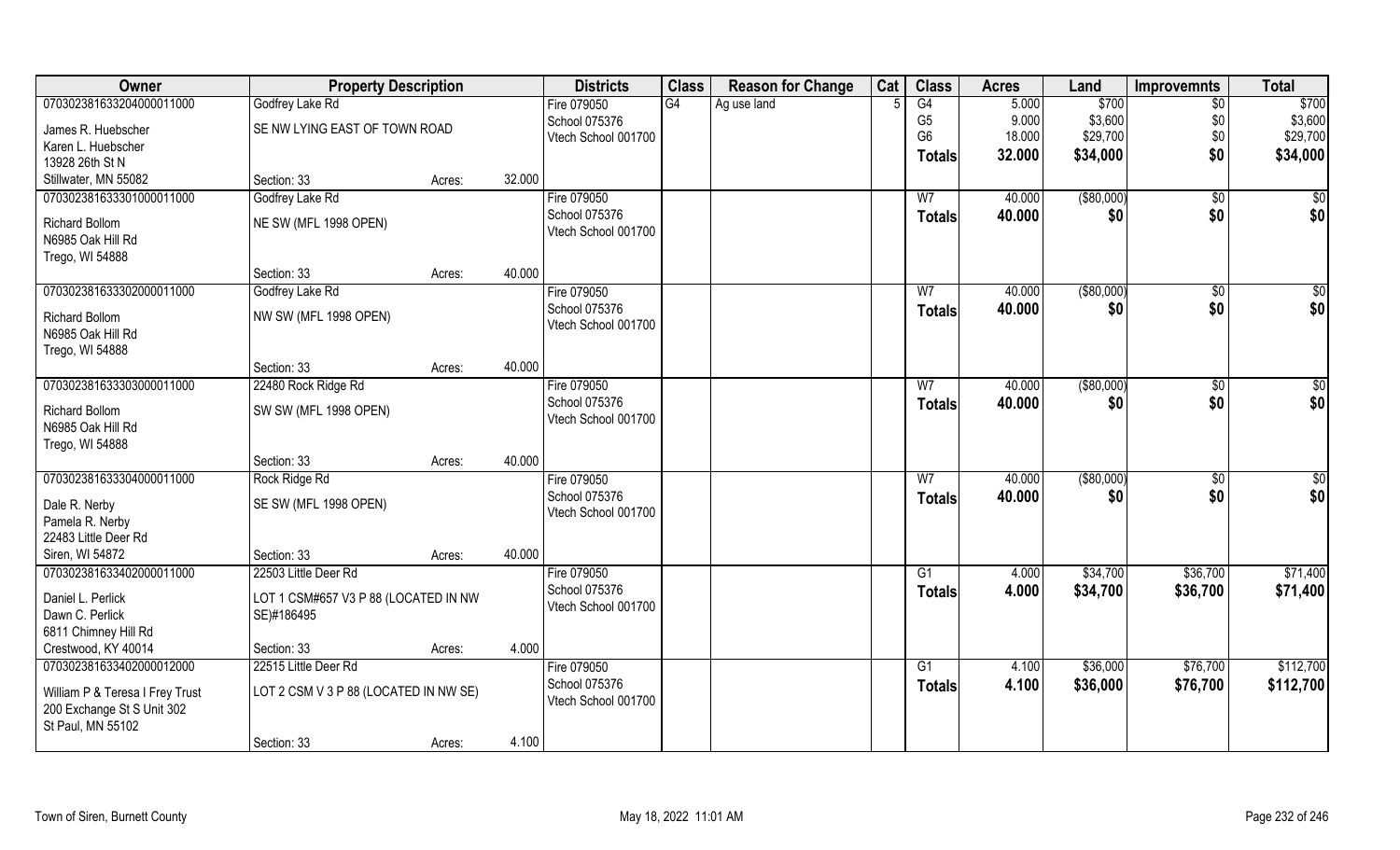| Owner                                       | <b>Property Description</b>           |        |        | <b>Districts</b>    | <b>Class</b>    | <b>Reason for Change</b> | Cat | <b>Class</b>    | <b>Acres</b> | Land        | <b>Improvemnts</b> | <b>Total</b> |
|---------------------------------------------|---------------------------------------|--------|--------|---------------------|-----------------|--------------------------|-----|-----------------|--------------|-------------|--------------------|--------------|
| 070302381633204000011000                    | Godfrey Lake Rd                       |        |        | Fire 079050         | $\overline{G4}$ | Ag use land              |     | G4              | 5.000        | \$700       | $\sqrt{6}$         | \$700        |
| James R. Huebscher                          | SE NW LYING EAST OF TOWN ROAD         |        |        | School 075376       |                 |                          |     | G <sub>5</sub>  | 9.000        | \$3,600     | \$0                | \$3,600      |
| Karen L. Huebscher                          |                                       |        |        | Vtech School 001700 |                 |                          |     | G <sub>6</sub>  | 18.000       | \$29,700    | \$0                | \$29,700     |
| 13928 26th St N                             |                                       |        |        |                     |                 |                          |     | Totals          | 32.000       | \$34,000    | \$0                | \$34,000     |
| Stillwater, MN 55082                        | Section: 33                           | Acres: | 32.000 |                     |                 |                          |     |                 |              |             |                    |              |
| 070302381633301000011000                    | Godfrey Lake Rd                       |        |        | Fire 079050         |                 |                          |     | W <sub>7</sub>  | 40.000       | ( \$80,000) | $\sqrt{$0}$        | \$0          |
| <b>Richard Bollom</b>                       | NE SW (MFL 1998 OPEN)                 |        |        | School 075376       |                 |                          |     | <b>Totals</b>   | 40.000       | \$0         | \$0                | \$0          |
| N6985 Oak Hill Rd                           |                                       |        |        | Vtech School 001700 |                 |                          |     |                 |              |             |                    |              |
| Trego, WI 54888                             |                                       |        |        |                     |                 |                          |     |                 |              |             |                    |              |
|                                             | Section: 33                           | Acres: | 40.000 |                     |                 |                          |     |                 |              |             |                    |              |
| 070302381633302000011000                    | Godfrey Lake Rd                       |        |        | Fire 079050         |                 |                          |     | W7              | 40.000       | ( \$80,000) | $\overline{50}$    | $\sqrt{50}$  |
| <b>Richard Bollom</b>                       | NW SW (MFL 1998 OPEN)                 |        |        | School 075376       |                 |                          |     | <b>Totals</b>   | 40.000       | \$0         | \$0                | \$0          |
| N6985 Oak Hill Rd                           |                                       |        |        | Vtech School 001700 |                 |                          |     |                 |              |             |                    |              |
| Trego, WI 54888                             |                                       |        |        |                     |                 |                          |     |                 |              |             |                    |              |
|                                             | Section: 33                           | Acres: | 40.000 |                     |                 |                          |     |                 |              |             |                    |              |
| 070302381633303000011000                    | 22480 Rock Ridge Rd                   |        |        | Fire 079050         |                 |                          |     | W7              | 40.000       | ( \$80,000) | \$0                | $\sqrt{50}$  |
|                                             |                                       |        |        | School 075376       |                 |                          |     | <b>Totals</b>   | 40.000       | \$0         | \$0                | \$0          |
| <b>Richard Bollom</b><br>N6985 Oak Hill Rd  | SW SW (MFL 1998 OPEN)                 |        |        | Vtech School 001700 |                 |                          |     |                 |              |             |                    |              |
| Trego, WI 54888                             |                                       |        |        |                     |                 |                          |     |                 |              |             |                    |              |
|                                             | Section: 33                           | Acres: | 40.000 |                     |                 |                          |     |                 |              |             |                    |              |
| 070302381633304000011000                    | Rock Ridge Rd                         |        |        | Fire 079050         |                 |                          |     | W <sub>7</sub>  | 40.000       | ( \$80,000) | $\overline{50}$    | $\sqrt{50}$  |
|                                             |                                       |        |        | School 075376       |                 |                          |     | <b>Totals</b>   | 40.000       | \$0         | \$0                | \$0          |
| Dale R. Nerby<br>Pamela R. Nerby            | SE SW (MFL 1998 OPEN)                 |        |        | Vtech School 001700 |                 |                          |     |                 |              |             |                    |              |
| 22483 Little Deer Rd                        |                                       |        |        |                     |                 |                          |     |                 |              |             |                    |              |
| Siren, WI 54872                             | Section: 33                           | Acres: | 40.000 |                     |                 |                          |     |                 |              |             |                    |              |
| 070302381633402000011000                    | 22503 Little Deer Rd                  |        |        | Fire 079050         |                 |                          |     | G1              | 4.000        | \$34,700    | \$36,700           | \$71,400     |
|                                             |                                       |        |        | School 075376       |                 |                          |     | <b>Totals</b>   | 4.000        | \$34,700    | \$36,700           | \$71,400     |
| Daniel L. Perlick                           | LOT 1 CSM#657 V3 P 88 (LOCATED IN NW  |        |        | Vtech School 001700 |                 |                          |     |                 |              |             |                    |              |
| Dawn C. Perlick                             | SE)#186495                            |        |        |                     |                 |                          |     |                 |              |             |                    |              |
| 6811 Chimney Hill Rd<br>Crestwood, KY 40014 | Section: 33                           | Acres: | 4.000  |                     |                 |                          |     |                 |              |             |                    |              |
| 070302381633402000012000                    | 22515 Little Deer Rd                  |        |        | Fire 079050         |                 |                          |     | $\overline{G1}$ | 4.100        | \$36,000    | \$76,700           | \$112,700    |
|                                             |                                       |        |        | School 075376       |                 |                          |     | <b>Totals</b>   | 4.100        | \$36,000    | \$76,700           | \$112,700    |
| William P & Teresa I Frey Trust             | LOT 2 CSM V 3 P 88 (LOCATED IN NW SE) |        |        | Vtech School 001700 |                 |                          |     |                 |              |             |                    |              |
| 200 Exchange St S Unit 302                  |                                       |        |        |                     |                 |                          |     |                 |              |             |                    |              |
| St Paul, MN 55102                           |                                       |        | 4.100  |                     |                 |                          |     |                 |              |             |                    |              |
|                                             | Section: 33                           | Acres: |        |                     |                 |                          |     |                 |              |             |                    |              |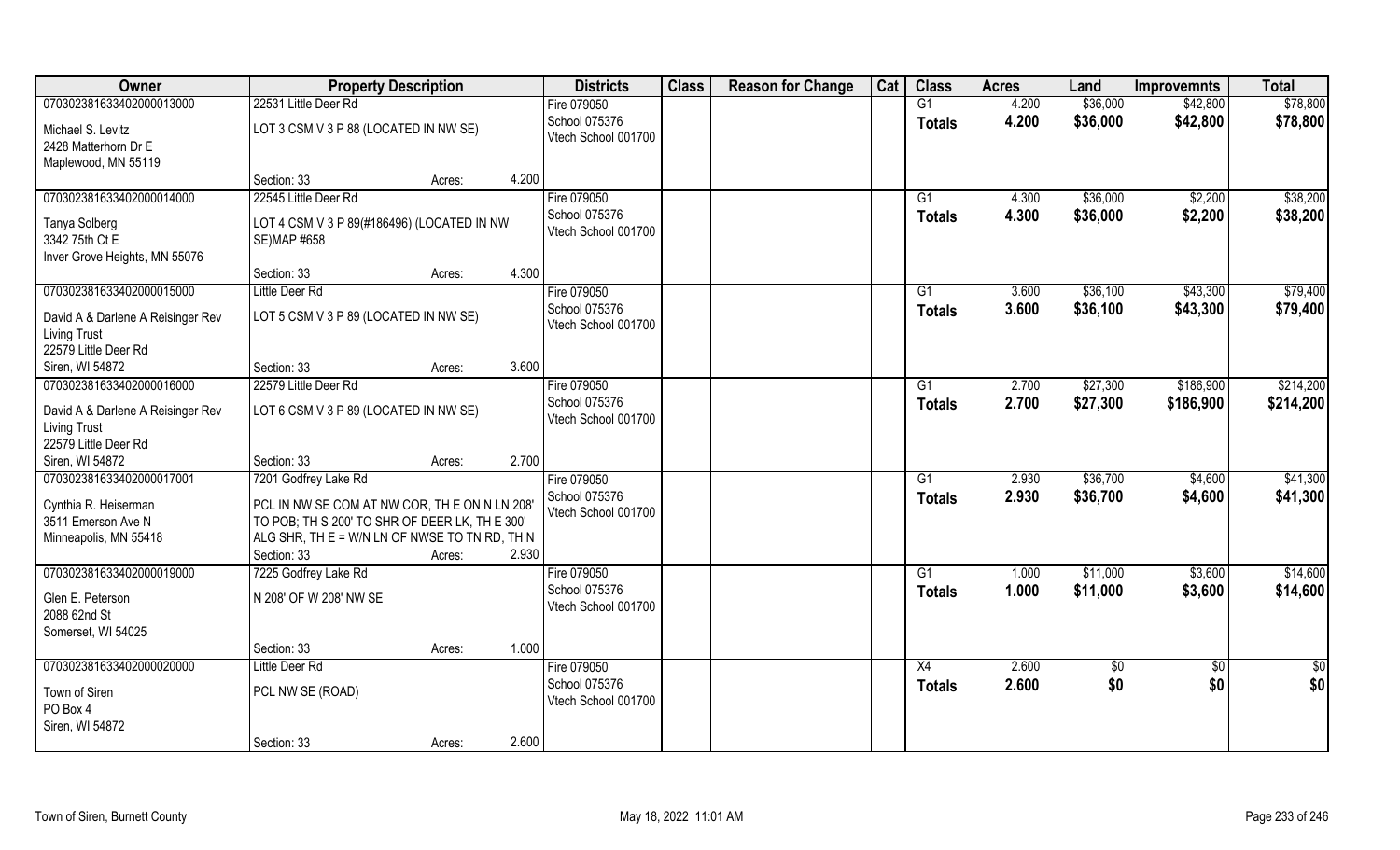| Owner                             | <b>Property Description</b>                    |        |       | <b>Districts</b>    | <b>Class</b> | <b>Reason for Change</b> | Cat | <b>Class</b>  | <b>Acres</b> | Land       | <b>Improvemnts</b> | <b>Total</b>  |
|-----------------------------------|------------------------------------------------|--------|-------|---------------------|--------------|--------------------------|-----|---------------|--------------|------------|--------------------|---------------|
| 070302381633402000013000          | 22531 Little Deer Rd                           |        |       | Fire 079050         |              |                          |     | G1            | 4.200        | \$36,000   | \$42,800           | \$78,800      |
| Michael S. Levitz                 | LOT 3 CSM V 3 P 88 (LOCATED IN NW SE)          |        |       | School 075376       |              |                          |     | <b>Totals</b> | 4.200        | \$36,000   | \$42,800           | \$78,800      |
| 2428 Matterhorn Dr E              |                                                |        |       | Vtech School 001700 |              |                          |     |               |              |            |                    |               |
| Maplewood, MN 55119               |                                                |        |       |                     |              |                          |     |               |              |            |                    |               |
|                                   | Section: 33                                    | Acres: | 4.200 |                     |              |                          |     |               |              |            |                    |               |
| 070302381633402000014000          | 22545 Little Deer Rd                           |        |       | Fire 079050         |              |                          |     | G1            | 4.300        | \$36,000   | \$2,200            | \$38,200      |
| Tanya Solberg                     | LOT 4 CSM V 3 P 89(#186496) (LOCATED IN NW     |        |       | School 075376       |              |                          |     | <b>Totals</b> | 4.300        | \$36,000   | \$2,200            | \$38,200      |
| 3342 75th Ct E                    | SE)MAP #658                                    |        |       | Vtech School 001700 |              |                          |     |               |              |            |                    |               |
| Inver Grove Heights, MN 55076     |                                                |        |       |                     |              |                          |     |               |              |            |                    |               |
|                                   | Section: 33                                    | Acres: | 4.300 |                     |              |                          |     |               |              |            |                    |               |
| 070302381633402000015000          | <b>Little Deer Rd</b>                          |        |       | Fire 079050         |              |                          |     | G1            | 3.600        | \$36,100   | \$43,300           | \$79,400      |
| David A & Darlene A Reisinger Rev | LOT 5 CSM V 3 P 89 (LOCATED IN NW SE)          |        |       | School 075376       |              |                          |     | <b>Totals</b> | 3.600        | \$36,100   | \$43,300           | \$79,400      |
| <b>Living Trust</b>               |                                                |        |       | Vtech School 001700 |              |                          |     |               |              |            |                    |               |
| 22579 Little Deer Rd              |                                                |        |       |                     |              |                          |     |               |              |            |                    |               |
| Siren, WI 54872                   | Section: 33                                    | Acres: | 3.600 |                     |              |                          |     |               |              |            |                    |               |
| 070302381633402000016000          | 22579 Little Deer Rd                           |        |       | Fire 079050         |              |                          |     | G1            | 2.700        | \$27,300   | \$186,900          | \$214,200     |
| David A & Darlene A Reisinger Rev | LOT 6 CSM V 3 P 89 (LOCATED IN NW SE)          |        |       | School 075376       |              |                          |     | <b>Totals</b> | 2.700        | \$27,300   | \$186,900          | \$214,200     |
| <b>Living Trust</b>               |                                                |        |       | Vtech School 001700 |              |                          |     |               |              |            |                    |               |
| 22579 Little Deer Rd              |                                                |        |       |                     |              |                          |     |               |              |            |                    |               |
| Siren, WI 54872                   | Section: 33                                    | Acres: | 2.700 |                     |              |                          |     |               |              |            |                    |               |
| 070302381633402000017001          | 7201 Godfrey Lake Rd                           |        |       | Fire 079050         |              |                          |     | G1            | 2.930        | \$36,700   | \$4,600            | \$41,300      |
| Cynthia R. Heiserman              | PCL IN NW SE COM AT NW COR, THE ON N LN 208'   |        |       | School 075376       |              |                          |     | <b>Totals</b> | 2.930        | \$36,700   | \$4,600            | \$41,300      |
| 3511 Emerson Ave N                | TO POB; TH S 200' TO SHR OF DEER LK, TH E 300' |        |       | Vtech School 001700 |              |                          |     |               |              |            |                    |               |
| Minneapolis, MN 55418             | ALG SHR, TH E = W/N LN OF NWSE TO TN RD, TH N  |        |       |                     |              |                          |     |               |              |            |                    |               |
|                                   | Section: 33                                    | Acres: | 2.930 |                     |              |                          |     |               |              |            |                    |               |
| 070302381633402000019000          | 7225 Godfrey Lake Rd                           |        |       | Fire 079050         |              |                          |     | G1            | 1.000        | \$11,000   | \$3,600            | \$14,600      |
| Glen E. Peterson                  | N 208' OF W 208' NW SE                         |        |       | School 075376       |              |                          |     | <b>Totals</b> | 1.000        | \$11,000   | \$3,600            | \$14,600      |
| 2088 62nd St                      |                                                |        |       | Vtech School 001700 |              |                          |     |               |              |            |                    |               |
| Somerset, WI 54025                |                                                |        |       |                     |              |                          |     |               |              |            |                    |               |
|                                   | Section: 33                                    | Acres: | 1.000 |                     |              |                          |     |               |              |            |                    |               |
| 070302381633402000020000          | <b>Little Deer Rd</b>                          |        |       | Fire 079050         |              |                          |     | X4            | 2.600        | $\sqrt{6}$ | $\overline{50}$    | $\frac{1}{2}$ |
| Town of Siren                     | PCL NW SE (ROAD)                               |        |       | School 075376       |              |                          |     | <b>Totals</b> | 2.600        | \$0        | \$0                | \$0           |
| PO Box 4                          |                                                |        |       | Vtech School 001700 |              |                          |     |               |              |            |                    |               |
| Siren, WI 54872                   |                                                |        |       |                     |              |                          |     |               |              |            |                    |               |
|                                   | Section: 33                                    | Acres: | 2.600 |                     |              |                          |     |               |              |            |                    |               |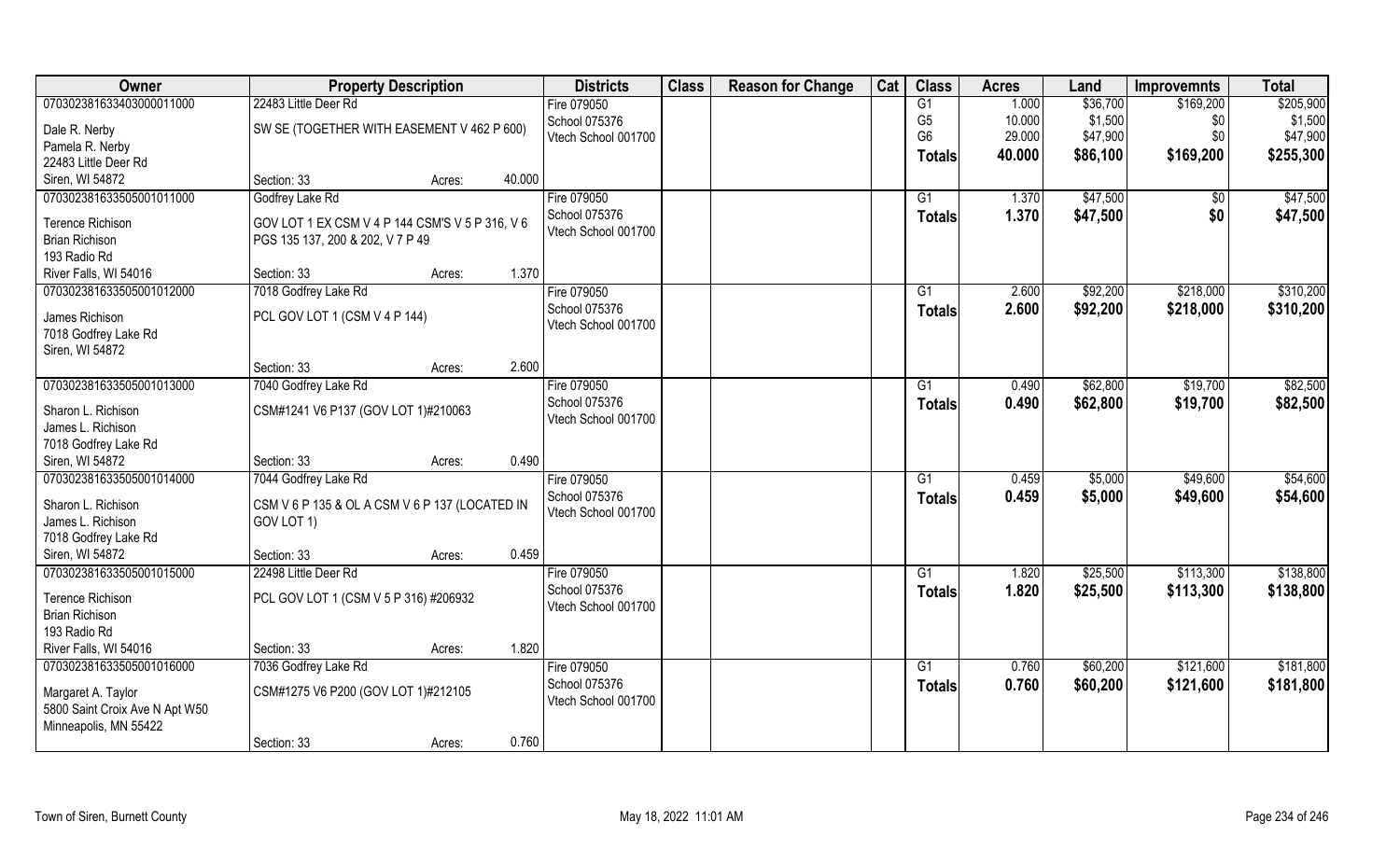| Owner                                                | <b>Property Description</b>                     |        |        | <b>Districts</b>    | <b>Class</b> | <b>Reason for Change</b> | Cat | <b>Class</b>    | <b>Acres</b> | Land     | <b>Improvemnts</b> | <b>Total</b> |
|------------------------------------------------------|-------------------------------------------------|--------|--------|---------------------|--------------|--------------------------|-----|-----------------|--------------|----------|--------------------|--------------|
| 070302381633403000011000                             | 22483 Little Deer Rd                            |        |        | Fire 079050         |              |                          |     | G1              | 1.000        | \$36,700 | \$169,200          | \$205,900    |
| Dale R. Nerby                                        | SW SE (TOGETHER WITH EASEMENT V 462 P 600)      |        |        | School 075376       |              |                          |     | G <sub>5</sub>  | 10.000       | \$1,500  | \$0                | \$1,500      |
| Pamela R. Nerby                                      |                                                 |        |        | Vtech School 001700 |              |                          |     | G <sub>6</sub>  | 29.000       | \$47,900 | \$0                | \$47,900     |
| 22483 Little Deer Rd                                 |                                                 |        |        |                     |              |                          |     | <b>Totals</b>   | 40.000       | \$86,100 | \$169,200          | \$255,300    |
| Siren, WI 54872                                      | Section: 33                                     | Acres: | 40.000 |                     |              |                          |     |                 |              |          |                    |              |
| 070302381633505001011000                             | Godfrey Lake Rd                                 |        |        | Fire 079050         |              |                          |     | G <sub>1</sub>  | 1.370        | \$47,500 | $\sqrt{6}$         | \$47,500     |
| Terence Richison                                     | GOV LOT 1 EX CSM V 4 P 144 CSM'S V 5 P 316, V 6 |        |        | School 075376       |              |                          |     | Totals          | 1.370        | \$47,500 | \$0                | \$47,500     |
| <b>Brian Richison</b>                                | PGS 135 137, 200 & 202, V 7 P 49                |        |        | Vtech School 001700 |              |                          |     |                 |              |          |                    |              |
| 193 Radio Rd                                         |                                                 |        |        |                     |              |                          |     |                 |              |          |                    |              |
| River Falls, WI 54016                                | Section: 33                                     | Acres: | 1.370  |                     |              |                          |     |                 |              |          |                    |              |
| 070302381633505001012000                             | 7018 Godfrey Lake Rd                            |        |        | Fire 079050         |              |                          |     | G1              | 2.600        | \$92,200 | \$218,000          | \$310,200    |
|                                                      |                                                 |        |        | School 075376       |              |                          |     | <b>Totals</b>   | 2.600        | \$92,200 | \$218,000          | \$310,200    |
| James Richison                                       | PCL GOV LOT 1 (CSM V 4 P 144)                   |        |        | Vtech School 001700 |              |                          |     |                 |              |          |                    |              |
| 7018 Godfrey Lake Rd                                 |                                                 |        |        |                     |              |                          |     |                 |              |          |                    |              |
| Siren, WI 54872                                      |                                                 |        |        |                     |              |                          |     |                 |              |          |                    |              |
| 070302381633505001013000                             | Section: 33                                     | Acres: | 2.600  | Fire 079050         |              |                          |     |                 |              |          |                    | \$82,500     |
|                                                      | 7040 Godfrey Lake Rd                            |        |        | School 075376       |              |                          |     | G1              | 0.490        | \$62,800 | \$19,700           |              |
| Sharon L. Richison                                   | CSM#1241 V6 P137 (GOV LOT 1)#210063             |        |        | Vtech School 001700 |              |                          |     | Totals          | 0.490        | \$62,800 | \$19,700           | \$82,500     |
| James L. Richison                                    |                                                 |        |        |                     |              |                          |     |                 |              |          |                    |              |
| 7018 Godfrey Lake Rd                                 |                                                 |        |        |                     |              |                          |     |                 |              |          |                    |              |
| Siren, WI 54872                                      | Section: 33                                     | Acres: | 0.490  |                     |              |                          |     |                 |              |          |                    |              |
| 070302381633505001014000                             | 7044 Godfrey Lake Rd                            |        |        | Fire 079050         |              |                          |     | $\overline{G1}$ | 0.459        | \$5,000  | \$49,600           | \$54,600     |
| Sharon L. Richison                                   | CSM V 6 P 135 & OL A CSM V 6 P 137 (LOCATED IN  |        |        | School 075376       |              |                          |     | <b>Totals</b>   | 0.459        | \$5,000  | \$49,600           | \$54,600     |
| James L. Richison                                    | GOV LOT 1)                                      |        |        | Vtech School 001700 |              |                          |     |                 |              |          |                    |              |
| 7018 Godfrey Lake Rd                                 |                                                 |        |        |                     |              |                          |     |                 |              |          |                    |              |
| Siren, WI 54872                                      | Section: 33                                     | Acres: | 0.459  |                     |              |                          |     |                 |              |          |                    |              |
| 070302381633505001015000                             | 22498 Little Deer Rd                            |        |        | Fire 079050         |              |                          |     | G1              | 1.820        | \$25,500 | \$113,300          | \$138,800    |
| Terence Richison                                     | PCL GOV LOT 1 (CSM V 5 P 316) #206932           |        |        | School 075376       |              |                          |     | <b>Totals</b>   | 1.820        | \$25,500 | \$113,300          | \$138,800    |
| <b>Brian Richison</b>                                |                                                 |        |        | Vtech School 001700 |              |                          |     |                 |              |          |                    |              |
| 193 Radio Rd                                         |                                                 |        |        |                     |              |                          |     |                 |              |          |                    |              |
| River Falls, WI 54016                                | Section: 33                                     | Acres: | 1.820  |                     |              |                          |     |                 |              |          |                    |              |
| 070302381633505001016000                             | 7036 Godfrey Lake Rd                            |        |        | Fire 079050         |              |                          |     | $\overline{G1}$ | 0.760        | \$60,200 | \$121,600          | \$181,800    |
|                                                      |                                                 |        |        | School 075376       |              |                          |     | <b>Totals</b>   | 0.760        | \$60,200 | \$121,600          | \$181,800    |
| Margaret A. Taylor<br>5800 Saint Croix Ave N Apt W50 | CSM#1275 V6 P200 (GOV LOT 1)#212105             |        |        | Vtech School 001700 |              |                          |     |                 |              |          |                    |              |
| Minneapolis, MN 55422                                |                                                 |        |        |                     |              |                          |     |                 |              |          |                    |              |
|                                                      | Section: 33                                     | Acres: | 0.760  |                     |              |                          |     |                 |              |          |                    |              |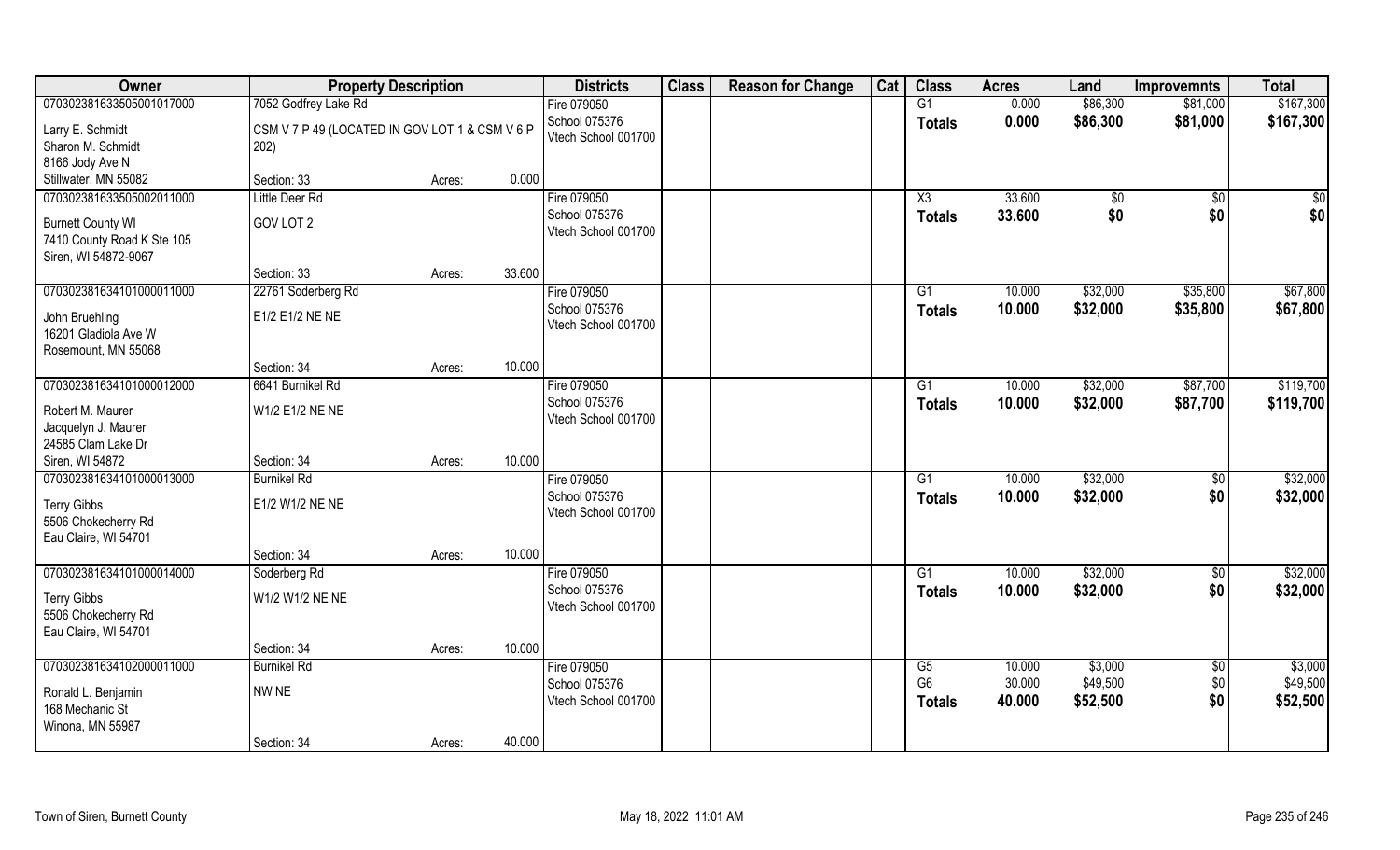| Owner                                                             |                                                        | <b>Property Description</b> |        | <b>Districts</b>                     | <b>Class</b> | <b>Reason for Change</b> | Cat | <b>Class</b>                    | <b>Acres</b>     | Land                 | <b>Improvemnts</b> | <b>Total</b>         |
|-------------------------------------------------------------------|--------------------------------------------------------|-----------------------------|--------|--------------------------------------|--------------|--------------------------|-----|---------------------------------|------------------|----------------------|--------------------|----------------------|
| 070302381633505001017000                                          | 7052 Godfrey Lake Rd                                   |                             |        | Fire 079050                          |              |                          |     | G1                              | 0.000            | \$86,300             | \$81,000           | \$167,300            |
| Larry E. Schmidt<br>Sharon M. Schmidt                             | CSM V 7 P 49 (LOCATED IN GOV LOT 1 & CSM V 6 P<br>202) |                             |        | School 075376<br>Vtech School 001700 |              |                          |     | <b>Totals</b>                   | 0.000            | \$86,300             | \$81,000           | \$167,300            |
| 8166 Jody Ave N                                                   |                                                        |                             |        |                                      |              |                          |     |                                 |                  |                      |                    |                      |
| Stillwater, MN 55082                                              | Section: 33                                            | Acres:                      | 0.000  |                                      |              |                          |     |                                 |                  |                      |                    |                      |
| 070302381633505002011000                                          | <b>Little Deer Rd</b>                                  |                             |        | Fire 079050<br>School 075376         |              |                          |     | $\overline{\text{X3}}$          | 33.600           | \$0                  | \$0                | \$0                  |
| <b>Burnett County WI</b>                                          | GOV LOT 2                                              |                             |        | Vtech School 001700                  |              |                          |     | <b>Totals</b>                   | 33.600           | \$0                  | \$0                | \$0                  |
| 7410 County Road K Ste 105<br>Siren, WI 54872-9067                |                                                        |                             |        |                                      |              |                          |     |                                 |                  |                      |                    |                      |
|                                                                   | Section: 33                                            | Acres:                      | 33.600 |                                      |              |                          |     |                                 |                  |                      |                    |                      |
| 070302381634101000011000                                          | 22761 Soderberg Rd                                     |                             |        | Fire 079050                          |              |                          |     | G1                              | 10.000           | \$32,000             | \$35,800           | \$67,800             |
| John Bruehling<br>16201 Gladiola Ave W<br>Rosemount, MN 55068     | E1/2 E1/2 NE NE                                        |                             |        | School 075376<br>Vtech School 001700 |              |                          |     | <b>Totals</b>                   | 10.000           | \$32,000             | \$35,800           | \$67,800             |
|                                                                   | Section: 34                                            | Acres:                      | 10.000 |                                      |              |                          |     |                                 |                  |                      |                    |                      |
| 070302381634101000012000                                          | 6641 Burnikel Rd                                       |                             |        | Fire 079050                          |              |                          |     | G1                              | 10.000           | \$32,000             | \$87,700           | \$119,700            |
| Robert M. Maurer<br>Jacquelyn J. Maurer<br>24585 Clam Lake Dr     | W1/2 E1/2 NE NE                                        |                             |        | School 075376<br>Vtech School 001700 |              |                          |     | <b>Totals</b>                   | 10.000           | \$32,000             | \$87,700           | \$119,700            |
| Siren, WI 54872                                                   | Section: 34                                            | Acres:                      | 10.000 |                                      |              |                          |     |                                 |                  |                      |                    |                      |
| 070302381634101000013000                                          | <b>Burnikel Rd</b>                                     |                             |        | Fire 079050                          |              |                          |     | $\overline{G1}$                 | 10.000           | \$32,000             | $\overline{50}$    | \$32,000             |
|                                                                   |                                                        |                             |        | School 075376                        |              |                          |     | <b>Totals</b>                   | 10.000           | \$32,000             | \$0                | \$32,000             |
| <b>Terry Gibbs</b><br>5506 Chokecherry Rd<br>Eau Claire, WI 54701 | E1/2 W1/2 NE NE                                        |                             |        | Vtech School 001700                  |              |                          |     |                                 |                  |                      |                    |                      |
|                                                                   | Section: 34                                            | Acres:                      | 10.000 |                                      |              |                          |     |                                 |                  |                      |                    |                      |
| 070302381634101000014000                                          | Soderberg Rd                                           |                             |        | Fire 079050                          |              |                          |     | G1                              | 10.000           | \$32,000             | $\overline{60}$    | \$32,000             |
| <b>Terry Gibbs</b><br>5506 Chokecherry Rd<br>Eau Claire, WI 54701 | W1/2 W1/2 NE NE                                        |                             |        | School 075376<br>Vtech School 001700 |              |                          |     | <b>Totals</b>                   | 10.000           | \$32,000             | \$0                | \$32,000             |
|                                                                   | Section: 34                                            | Acres:                      | 10.000 |                                      |              |                          |     |                                 |                  |                      |                    |                      |
| 070302381634102000011000                                          | <b>Burnikel Rd</b>                                     |                             |        | Fire 079050                          |              |                          |     | G5                              | 10.000           | \$3,000              | $\overline{60}$    | \$3,000              |
| Ronald L. Benjamin<br>168 Mechanic St<br>Winona, MN 55987         | NW NE                                                  |                             |        | School 075376<br>Vtech School 001700 |              |                          |     | G <sub>6</sub><br><b>Totals</b> | 30.000<br>40.000 | \$49,500<br>\$52,500 | \$0<br>\$0         | \$49,500<br>\$52,500 |
|                                                                   | Section: 34                                            | Acres:                      | 40.000 |                                      |              |                          |     |                                 |                  |                      |                    |                      |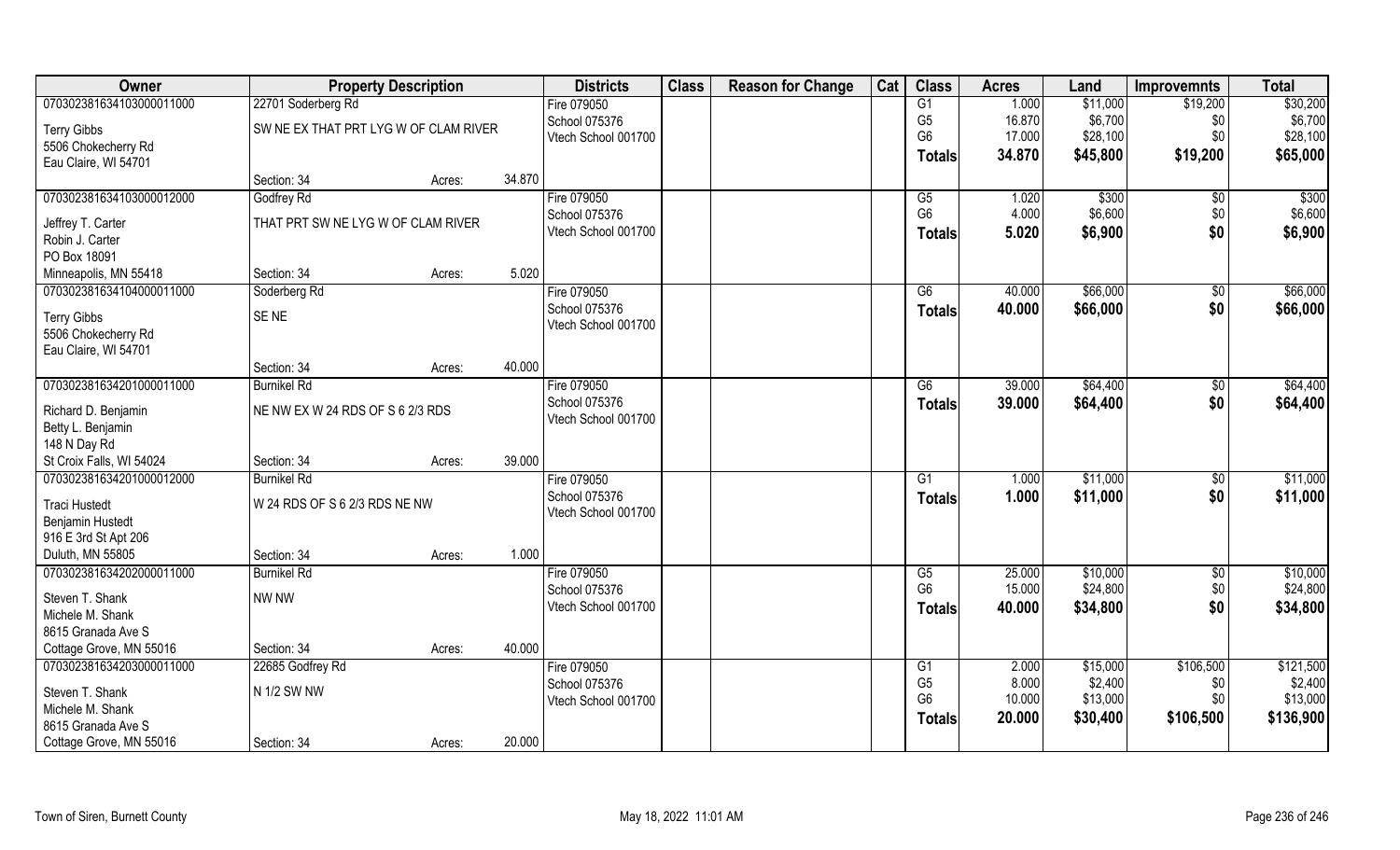| Owner                    |                                       | <b>Property Description</b> |        | <b>Districts</b>    | <b>Class</b> | <b>Reason for Change</b> | Cat | <b>Class</b>    | <b>Acres</b> | Land     | <b>Improvemnts</b> | <b>Total</b> |
|--------------------------|---------------------------------------|-----------------------------|--------|---------------------|--------------|--------------------------|-----|-----------------|--------------|----------|--------------------|--------------|
| 070302381634103000011000 | 22701 Soderberg Rd                    |                             |        | Fire 079050         |              |                          |     | G1              | 1.000        | \$11,000 | \$19,200           | \$30,200     |
| <b>Terry Gibbs</b>       | SW NE EX THAT PRT LYG W OF CLAM RIVER |                             |        | School 075376       |              |                          |     | G <sub>5</sub>  | 16.870       | \$6,700  | \$0                | \$6,700      |
| 5506 Chokecherry Rd      |                                       |                             |        | Vtech School 001700 |              |                          |     | G <sub>6</sub>  | 17.000       | \$28,100 | \$0                | \$28,100     |
| Eau Claire, WI 54701     |                                       |                             |        |                     |              |                          |     | <b>Totals</b>   | 34.870       | \$45,800 | \$19,200           | \$65,000     |
|                          | Section: 34                           | Acres:                      | 34.870 |                     |              |                          |     |                 |              |          |                    |              |
| 070302381634103000012000 | Godfrey Rd                            |                             |        | Fire 079050         |              |                          |     | G5              | 1.020        | \$300    | $\sqrt{$0}$        | \$300        |
| Jeffrey T. Carter        | THAT PRT SW NE LYG W OF CLAM RIVER    |                             |        | School 075376       |              |                          |     | G <sub>6</sub>  | 4.000        | \$6,600  | \$0                | \$6,600      |
| Robin J. Carter          |                                       |                             |        | Vtech School 001700 |              |                          |     | <b>Totals</b>   | 5.020        | \$6,900  | \$0                | \$6,900      |
| PO Box 18091             |                                       |                             |        |                     |              |                          |     |                 |              |          |                    |              |
| Minneapolis, MN 55418    | Section: 34                           | Acres:                      | 5.020  |                     |              |                          |     |                 |              |          |                    |              |
| 070302381634104000011000 | Soderberg Rd                          |                             |        | Fire 079050         |              |                          |     | $\overline{G6}$ | 40.000       | \$66,000 | $\overline{50}$    | \$66,000     |
| <b>Terry Gibbs</b>       | SE <sub>NE</sub>                      |                             |        | School 075376       |              |                          |     | <b>Totals</b>   | 40.000       | \$66,000 | \$0                | \$66,000     |
| 5506 Chokecherry Rd      |                                       |                             |        | Vtech School 001700 |              |                          |     |                 |              |          |                    |              |
| Eau Claire, WI 54701     |                                       |                             |        |                     |              |                          |     |                 |              |          |                    |              |
|                          | Section: 34                           | Acres:                      | 40.000 |                     |              |                          |     |                 |              |          |                    |              |
| 070302381634201000011000 | <b>Burnikel Rd</b>                    |                             |        | Fire 079050         |              |                          |     | G6              | 39.000       | \$64,400 | $\sqrt[6]{3}$      | \$64,400     |
| Richard D. Benjamin      | NE NW EX W 24 RDS OF S 6 2/3 RDS      |                             |        | School 075376       |              |                          |     | <b>Totals</b>   | 39.000       | \$64,400 | \$0                | \$64,400     |
| Betty L. Benjamin        |                                       |                             |        | Vtech School 001700 |              |                          |     |                 |              |          |                    |              |
| 148 N Day Rd             |                                       |                             |        |                     |              |                          |     |                 |              |          |                    |              |
| St Croix Falls, WI 54024 | Section: 34                           | Acres:                      | 39.000 |                     |              |                          |     |                 |              |          |                    |              |
| 070302381634201000012000 | <b>Burnikel Rd</b>                    |                             |        | Fire 079050         |              |                          |     | G1              | 1.000        | \$11,000 | \$0                | \$11,000     |
| <b>Traci Hustedt</b>     | W 24 RDS OF S 6 2/3 RDS NE NW         |                             |        | School 075376       |              |                          |     | <b>Totals</b>   | 1.000        | \$11,000 | \$0                | \$11,000     |
| Benjamin Hustedt         |                                       |                             |        | Vtech School 001700 |              |                          |     |                 |              |          |                    |              |
| 916 E 3rd St Apt 206     |                                       |                             |        |                     |              |                          |     |                 |              |          |                    |              |
| Duluth, MN 55805         | Section: 34                           | Acres:                      | 1.000  |                     |              |                          |     |                 |              |          |                    |              |
| 070302381634202000011000 | <b>Burnikel Rd</b>                    |                             |        | Fire 079050         |              |                          |     | G5              | 25.000       | \$10,000 | \$0                | \$10,000     |
| Steven T. Shank          | NW NW                                 |                             |        | School 075376       |              |                          |     | G <sub>6</sub>  | 15.000       | \$24,800 | \$0                | \$24,800     |
| Michele M. Shank         |                                       |                             |        | Vtech School 001700 |              |                          |     | <b>Totals</b>   | 40.000       | \$34,800 | \$0                | \$34,800     |
| 8615 Granada Ave S       |                                       |                             |        |                     |              |                          |     |                 |              |          |                    |              |
| Cottage Grove, MN 55016  | Section: 34                           | Acres:                      | 40.000 |                     |              |                          |     |                 |              |          |                    |              |
| 070302381634203000011000 | 22685 Godfrey Rd                      |                             |        | Fire 079050         |              |                          |     | G1              | 2.000        | \$15,000 | \$106,500          | \$121,500    |
| Steven T. Shank          | N 1/2 SW NW                           |                             |        | School 075376       |              |                          |     | G <sub>5</sub>  | 8.000        | \$2,400  | \$0                | \$2,400      |
| Michele M. Shank         |                                       |                             |        | Vtech School 001700 |              |                          |     | G <sub>6</sub>  | 10.000       | \$13,000 | \$0                | \$13,000     |
| 8615 Granada Ave S       |                                       |                             |        |                     |              |                          |     | <b>Totals</b>   | 20.000       | \$30,400 | \$106,500          | \$136,900    |
| Cottage Grove, MN 55016  | Section: 34                           | Acres:                      | 20.000 |                     |              |                          |     |                 |              |          |                    |              |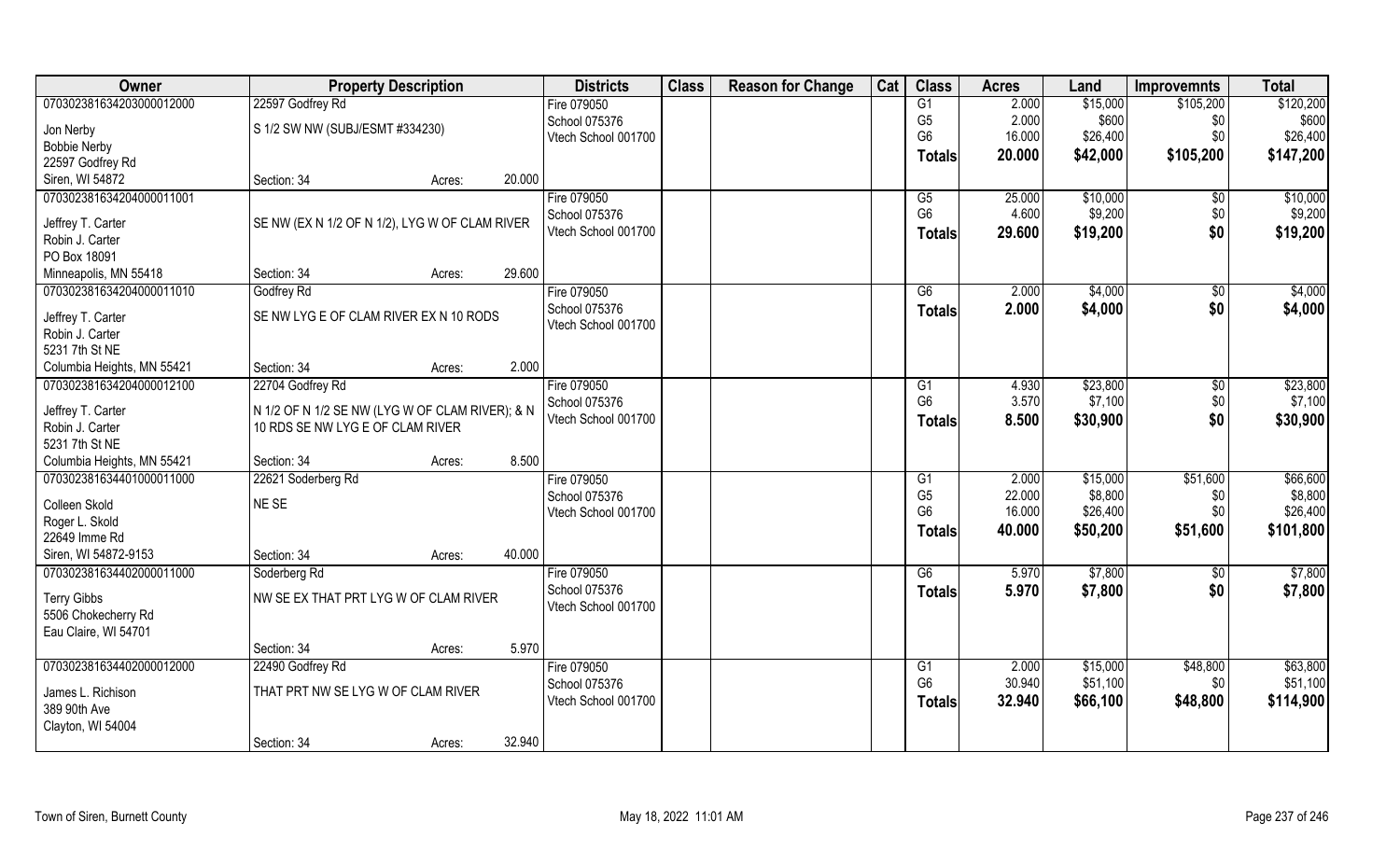| Owner                                     |                                                 | <b>Property Description</b> |        | <b>Districts</b>     | <b>Class</b> | <b>Reason for Change</b> | Cat | <b>Class</b>   | <b>Acres</b> | Land     | <b>Improvemnts</b> | <b>Total</b> |
|-------------------------------------------|-------------------------------------------------|-----------------------------|--------|----------------------|--------------|--------------------------|-----|----------------|--------------|----------|--------------------|--------------|
| 070302381634203000012000                  | 22597 Godfrey Rd                                |                             |        | Fire 079050          |              |                          |     | G1             | 2.000        | \$15,000 | \$105,200          | \$120,200    |
| Jon Nerby                                 | S 1/2 SW NW (SUBJ/ESMT #334230)                 |                             |        | School 075376        |              |                          |     | G <sub>5</sub> | 2.000        | \$600    | \$0                | \$600        |
| <b>Bobbie Nerby</b>                       |                                                 |                             |        | Vtech School 001700  |              |                          |     | G <sub>6</sub> | 16.000       | \$26,400 | \$0                | \$26,400     |
| 22597 Godfrey Rd                          |                                                 |                             |        |                      |              |                          |     | Totals         | 20.000       | \$42,000 | \$105,200          | \$147,200    |
| Siren, WI 54872                           | Section: 34                                     | Acres:                      | 20.000 |                      |              |                          |     |                |              |          |                    |              |
| 070302381634204000011001                  |                                                 |                             |        | Fire 079050          |              |                          |     | G5             | 25.000       | \$10,000 | $\sqrt[6]{}$       | \$10,000     |
|                                           |                                                 |                             |        | School 075376        |              |                          |     | G <sub>6</sub> | 4.600        | \$9,200  | \$0                | \$9,200      |
| Jeffrey T. Carter<br>Robin J. Carter      | SE NW (EX N 1/2 OF N 1/2), LYG W OF CLAM RIVER  |                             |        | Vtech School 001700  |              |                          |     | <b>Totals</b>  | 29.600       | \$19,200 | \$0                | \$19,200     |
| PO Box 18091                              |                                                 |                             |        |                      |              |                          |     |                |              |          |                    |              |
| Minneapolis, MN 55418                     | Section: 34                                     | Acres:                      | 29.600 |                      |              |                          |     |                |              |          |                    |              |
| 070302381634204000011010                  | Godfrey Rd                                      |                             |        | Fire 079050          |              |                          |     | G6             | 2.000        | \$4,000  | \$0                | \$4,000      |
|                                           |                                                 |                             |        | School 075376        |              |                          |     | <b>Totals</b>  | 2.000        | \$4,000  | \$0                | \$4,000      |
| Jeffrey T. Carter                         | SE NW LYG E OF CLAM RIVER EX N 10 RODS          |                             |        | Vtech School 001700  |              |                          |     |                |              |          |                    |              |
| Robin J. Carter                           |                                                 |                             |        |                      |              |                          |     |                |              |          |                    |              |
| 5231 7th St NE                            |                                                 |                             |        |                      |              |                          |     |                |              |          |                    |              |
| Columbia Heights, MN 55421                | Section: 34                                     | Acres:                      | 2.000  |                      |              |                          |     |                |              |          |                    |              |
| 070302381634204000012100                  | 22704 Godfrey Rd                                |                             |        | Fire 079050          |              |                          |     | G <sub>1</sub> | 4.930        | \$23,800 | \$0                | \$23,800     |
| Jeffrey T. Carter                         | N 1/2 OF N 1/2 SE NW (LYG W OF CLAM RIVER); & N |                             |        | <b>School 075376</b> |              |                          |     | G <sub>6</sub> | 3.570        | \$7,100  | \$0                | \$7,100      |
| Robin J. Carter                           | 10 RDS SE NW LYG E OF CLAM RIVER                |                             |        | Vtech School 001700  |              |                          |     | <b>Totals</b>  | 8.500        | \$30,900 | \$0                | \$30,900     |
| 5231 7th St NE                            |                                                 |                             |        |                      |              |                          |     |                |              |          |                    |              |
| Columbia Heights, MN 55421                | Section: 34                                     | Acres:                      | 8.500  |                      |              |                          |     |                |              |          |                    |              |
| 070302381634401000011000                  | 22621 Soderberg Rd                              |                             |        | Fire 079050          |              |                          |     | G1             | 2.000        | \$15,000 | \$51,600           | \$66,600     |
| Colleen Skold                             | NE SE                                           |                             |        | School 075376        |              |                          |     | G <sub>5</sub> | 22.000       | \$8,800  | \$0                | \$8,800      |
| Roger L. Skold                            |                                                 |                             |        | Vtech School 001700  |              |                          |     | G <sub>6</sub> | 16.000       | \$26,400 | \$0                | \$26,400     |
| 22649 Imme Rd                             |                                                 |                             |        |                      |              |                          |     | <b>Totals</b>  | 40.000       | \$50,200 | \$51,600           | \$101,800    |
| Siren, WI 54872-9153                      | Section: 34                                     | Acres:                      | 40.000 |                      |              |                          |     |                |              |          |                    |              |
| 070302381634402000011000                  | Soderberg Rd                                    |                             |        | Fire 079050          |              |                          |     | G6             | 5.970        | \$7,800  | \$0                | \$7,800      |
|                                           | NW SE EX THAT PRT LYG W OF CLAM RIVER           |                             |        | School 075376        |              |                          |     | <b>Totals</b>  | 5.970        | \$7,800  | \$0                | \$7,800      |
| <b>Terry Gibbs</b><br>5506 Chokecherry Rd |                                                 |                             |        | Vtech School 001700  |              |                          |     |                |              |          |                    |              |
| Eau Claire, WI 54701                      |                                                 |                             |        |                      |              |                          |     |                |              |          |                    |              |
|                                           | Section: 34                                     | Acres:                      | 5.970  |                      |              |                          |     |                |              |          |                    |              |
| 070302381634402000012000                  | 22490 Godfrey Rd                                |                             |        | Fire 079050          |              |                          |     | G1             | 2.000        | \$15,000 | \$48,800           | \$63,800     |
|                                           |                                                 |                             |        | School 075376        |              |                          |     | G <sub>6</sub> | 30.940       | \$51,100 | \$0                | \$51,100     |
| James L. Richison                         | THAT PRT NW SE LYG W OF CLAM RIVER              |                             |        | Vtech School 001700  |              |                          |     | <b>Totals</b>  | 32.940       | \$66,100 | \$48,800           | \$114,900    |
| 389 90th Ave                              |                                                 |                             |        |                      |              |                          |     |                |              |          |                    |              |
| Clayton, WI 54004                         |                                                 |                             |        |                      |              |                          |     |                |              |          |                    |              |
|                                           | Section: 34                                     | Acres:                      | 32.940 |                      |              |                          |     |                |              |          |                    |              |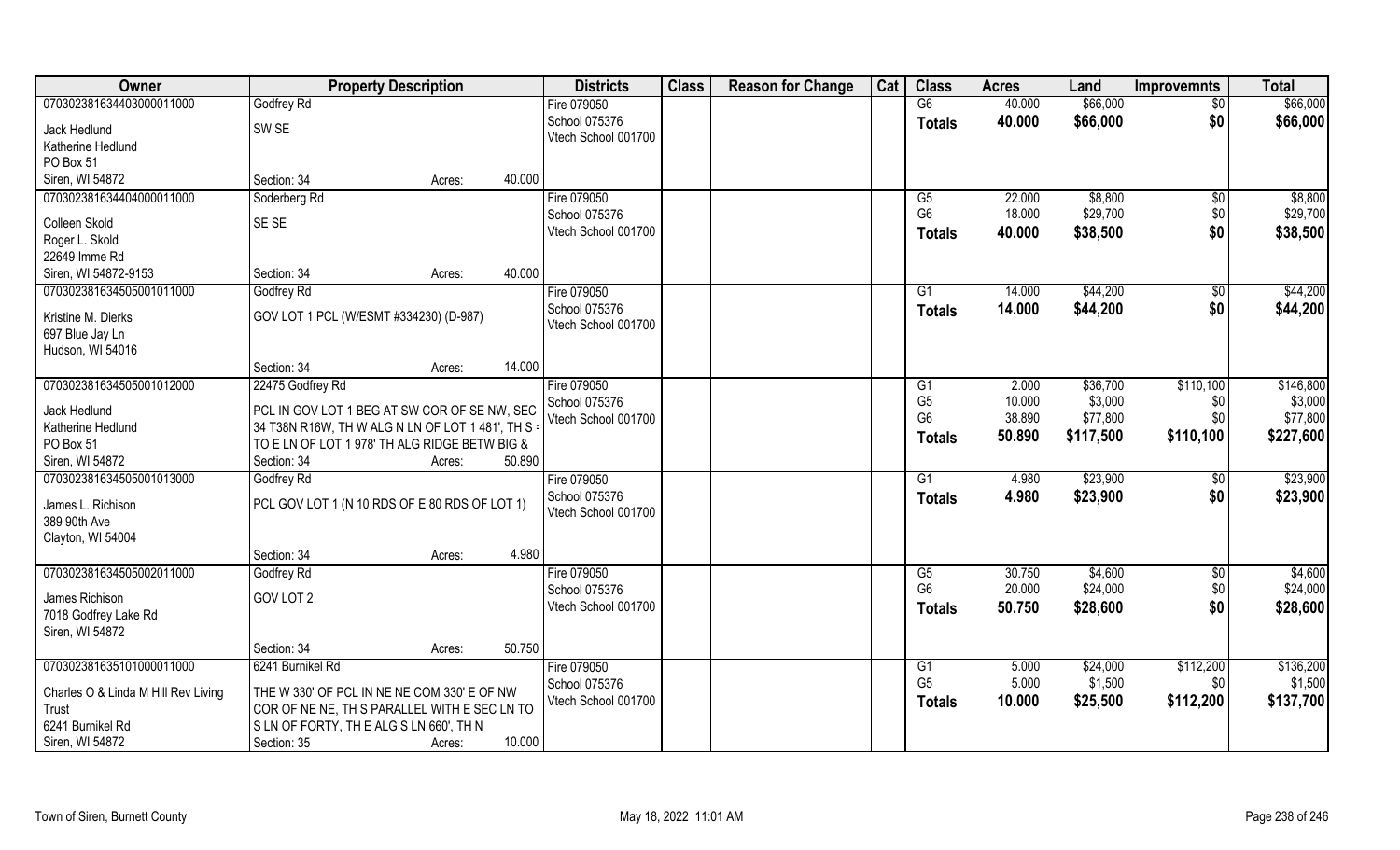| Owner                               | <b>Property Description</b>                       |        |        | <b>Districts</b>    | <b>Class</b> | <b>Reason for Change</b> | Cat | <b>Class</b>         | <b>Acres</b> | Land      | <b>Improvemnts</b> | <b>Total</b> |
|-------------------------------------|---------------------------------------------------|--------|--------|---------------------|--------------|--------------------------|-----|----------------------|--------------|-----------|--------------------|--------------|
| 070302381634403000011000            | Godfrey Rd                                        |        |        | Fire 079050         |              |                          |     | G6                   | 40.000       | \$66,000  | $\sqrt{$0}$        | \$66,000     |
| Jack Hedlund                        | SW SE                                             |        |        | School 075376       |              |                          |     | <b>Totals</b>        | 40.000       | \$66,000  | \$0                | \$66,000     |
| Katherine Hedlund                   |                                                   |        |        | Vtech School 001700 |              |                          |     |                      |              |           |                    |              |
| PO Box 51                           |                                                   |        |        |                     |              |                          |     |                      |              |           |                    |              |
| Siren, WI 54872                     | Section: 34                                       | Acres: | 40.000 |                     |              |                          |     |                      |              |           |                    |              |
| 070302381634404000011000            | Soderberg Rd                                      |        |        | Fire 079050         |              |                          |     | G5                   | 22.000       | \$8,800   | \$0                | \$8,800      |
|                                     |                                                   |        |        | School 075376       |              |                          |     | G <sub>6</sub>       | 18.000       | \$29,700  | \$0                | \$29,700     |
| Colleen Skold                       | SE SE                                             |        |        | Vtech School 001700 |              |                          |     |                      | 40.000       | \$38,500  | \$0                | \$38,500     |
| Roger L. Skold                      |                                                   |        |        |                     |              |                          |     | Totals               |              |           |                    |              |
| 22649 Imme Rd                       |                                                   |        |        |                     |              |                          |     |                      |              |           |                    |              |
| Siren, WI 54872-9153                | Section: 34                                       | Acres: | 40.000 |                     |              |                          |     |                      |              |           |                    |              |
| 070302381634505001011000            | Godfrey Rd                                        |        |        | Fire 079050         |              |                          |     | G1                   | 14.000       | \$44,200  | \$0                | \$44,200     |
| Kristine M. Dierks                  | GOV LOT 1 PCL (W/ESMT #334230) (D-987)            |        |        | School 075376       |              |                          |     | <b>Totals</b>        | 14.000       | \$44,200  | \$0                | \$44,200     |
|                                     |                                                   |        |        | Vtech School 001700 |              |                          |     |                      |              |           |                    |              |
| 697 Blue Jay Ln<br>Hudson, WI 54016 |                                                   |        |        |                     |              |                          |     |                      |              |           |                    |              |
|                                     | Section: 34                                       | Acres: | 14.000 |                     |              |                          |     |                      |              |           |                    |              |
| 070302381634505001012000            | 22475 Godfrey Rd                                  |        |        | Fire 079050         |              |                          |     |                      | 2.000        | \$36,700  | \$110,100          | \$146,800    |
|                                     |                                                   |        |        | School 075376       |              |                          |     | G1<br>G <sub>5</sub> | 10.000       | \$3,000   |                    | \$3,000      |
| Jack Hedlund                        | PCL IN GOV LOT 1 BEG AT SW COR OF SE NW, SEC      |        |        |                     |              |                          |     | G <sub>6</sub>       | 38.890       | \$77,800  | \$0<br>\$0         | \$77,800     |
| Katherine Hedlund                   | 34 T38N R16W, TH W ALG N LN OF LOT 1 481', TH S = |        |        | Vtech School 001700 |              |                          |     |                      |              |           |                    |              |
| PO Box 51                           | TO E LN OF LOT 1 978' TH ALG RIDGE BETW BIG &     |        |        |                     |              |                          |     | <b>Totals</b>        | 50.890       | \$117,500 | \$110,100          | \$227,600    |
| Siren, WI 54872                     | Section: 34                                       | Acres: | 50.890 |                     |              |                          |     |                      |              |           |                    |              |
| 070302381634505001013000            | Godfrey Rd                                        |        |        | Fire 079050         |              |                          |     | $\overline{G1}$      | 4.980        | \$23,900  | \$0                | \$23,900     |
|                                     |                                                   |        |        | School 075376       |              |                          |     | Totals               | 4.980        | \$23,900  | \$0                | \$23,900     |
| James L. Richison                   | PCL GOV LOT 1 (N 10 RDS OF E 80 RDS OF LOT 1)     |        |        | Vtech School 001700 |              |                          |     |                      |              |           |                    |              |
| 389 90th Ave                        |                                                   |        |        |                     |              |                          |     |                      |              |           |                    |              |
| Clayton, WI 54004                   |                                                   |        |        |                     |              |                          |     |                      |              |           |                    |              |
|                                     | Section: 34                                       | Acres: | 4.980  |                     |              |                          |     |                      |              |           |                    |              |
| 070302381634505002011000            | Godfrey Rd                                        |        |        | Fire 079050         |              |                          |     | G5                   | 30.750       | \$4,600   | $\sqrt{$0}$        | \$4,600      |
| James Richison                      | GOV LOT 2                                         |        |        | School 075376       |              |                          |     | G <sub>6</sub>       | 20.000       | \$24,000  | \$0                | \$24,000     |
| 7018 Godfrey Lake Rd                |                                                   |        |        | Vtech School 001700 |              |                          |     | Totals               | 50.750       | \$28,600  | \$0                | \$28,600     |
| Siren, WI 54872                     |                                                   |        |        |                     |              |                          |     |                      |              |           |                    |              |
|                                     | Section: 34                                       | Acres: | 50.750 |                     |              |                          |     |                      |              |           |                    |              |
| 070302381635101000011000            | 6241 Burnikel Rd                                  |        |        | Fire 079050         |              |                          |     | G1                   | 5.000        | \$24,000  | \$112,200          | \$136,200    |
|                                     |                                                   |        |        | School 075376       |              |                          |     | G <sub>5</sub>       | 5.000        | \$1,500   | \$0                | \$1,500      |
| Charles O & Linda M Hill Rev Living | THE W 330' OF PCL IN NE NE COM 330' E OF NW       |        |        | Vtech School 001700 |              |                          |     | <b>Totals</b>        | 10.000       | \$25,500  | \$112,200          | \$137,700    |
| Trust                               | COR OF NE NE, TH S PARALLEL WITH E SEC LN TO      |        |        |                     |              |                          |     |                      |              |           |                    |              |
| 6241 Burnikel Rd                    | SLN OF FORTY, THE ALG SLN 660', THN               |        |        |                     |              |                          |     |                      |              |           |                    |              |
| Siren, WI 54872                     | Section: 35                                       | Acres: | 10.000 |                     |              |                          |     |                      |              |           |                    |              |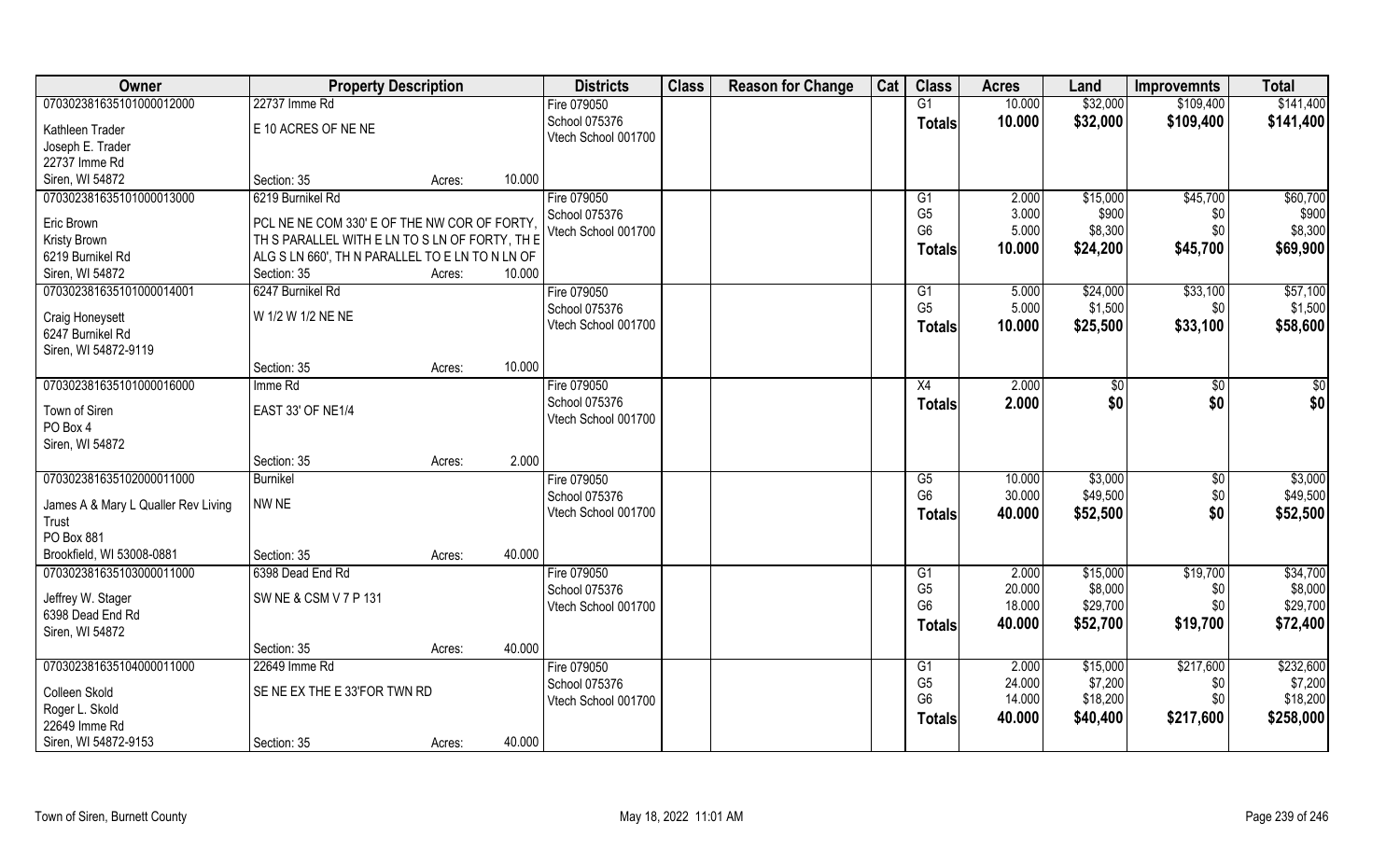| Owner                               | <b>Property Description</b>                     |        |        | <b>Districts</b>    | <b>Class</b> | <b>Reason for Change</b> | Cat | <b>Class</b>    | <b>Acres</b> | Land     | <b>Improvemnts</b> | <b>Total</b>  |
|-------------------------------------|-------------------------------------------------|--------|--------|---------------------|--------------|--------------------------|-----|-----------------|--------------|----------|--------------------|---------------|
| 070302381635101000012000            | 22737 Imme Rd                                   |        |        | Fire 079050         |              |                          |     | G1              | 10.000       | \$32,000 | \$109,400          | \$141,400     |
| Kathleen Trader                     | E 10 ACRES OF NE NE                             |        |        | School 075376       |              |                          |     | <b>Totals</b>   | 10.000       | \$32,000 | \$109,400          | \$141,400     |
| Joseph E. Trader                    |                                                 |        |        | Vtech School 001700 |              |                          |     |                 |              |          |                    |               |
| 22737 Imme Rd                       |                                                 |        |        |                     |              |                          |     |                 |              |          |                    |               |
| Siren, WI 54872                     | Section: 35                                     | Acres: | 10.000 |                     |              |                          |     |                 |              |          |                    |               |
| 070302381635101000013000            | 6219 Burnikel Rd                                |        |        | Fire 079050         |              |                          |     | G1              | 2.000        | \$15,000 | \$45,700           | \$60,700      |
|                                     |                                                 |        |        | School 075376       |              |                          |     | G <sub>5</sub>  | 3.000        | \$900    | \$0                | \$900         |
| Eric Brown                          | PCL NE NE COM 330' E OF THE NW COR OF FORTY     |        |        | Vtech School 001700 |              |                          |     | G <sub>6</sub>  | 5.000        | \$8,300  | \$0                | \$8,300       |
| Kristy Brown                        | TH S PARALLEL WITH E LN TO S LN OF FORTY, TH E  |        |        |                     |              |                          |     | <b>Totals</b>   | 10.000       | \$24,200 | \$45,700           | \$69,900      |
| 6219 Burnikel Rd                    | ALG S LN 660', TH N PARALLEL TO E LN TO N LN OF |        |        |                     |              |                          |     |                 |              |          |                    |               |
| Siren, WI 54872                     | Section: 35                                     | Acres: | 10.000 |                     |              |                          |     |                 |              |          |                    |               |
| 070302381635101000014001            | 6247 Burnikel Rd                                |        |        | Fire 079050         |              |                          |     | G1              | 5.000        | \$24,000 | \$33,100           | \$57,100      |
| Craig Honeysett                     | W 1/2 W 1/2 NE NE                               |        |        | School 075376       |              |                          |     | G <sub>5</sub>  | 5.000        | \$1,500  | \$0                | \$1,500       |
| 6247 Burnikel Rd                    |                                                 |        |        | Vtech School 001700 |              |                          |     | <b>Totals</b>   | 10.000       | \$25,500 | \$33,100           | \$58,600      |
| Siren, WI 54872-9119                |                                                 |        |        |                     |              |                          |     |                 |              |          |                    |               |
|                                     | Section: 35                                     | Acres: | 10.000 |                     |              |                          |     |                 |              |          |                    |               |
| 070302381635101000016000            | Imme Rd                                         |        |        | Fire 079050         |              |                          |     | X4              | 2.000        | \$0      | $\sqrt{50}$        | $\frac{6}{3}$ |
|                                     |                                                 |        |        | School 075376       |              |                          |     | <b>Totals</b>   | 2.000        | \$0      | \$0                | \$0           |
| Town of Siren<br>PO Box 4           | EAST 33' OF NE1/4                               |        |        | Vtech School 001700 |              |                          |     |                 |              |          |                    |               |
| Siren, WI 54872                     |                                                 |        |        |                     |              |                          |     |                 |              |          |                    |               |
|                                     | Section: 35                                     | Acres: | 2.000  |                     |              |                          |     |                 |              |          |                    |               |
| 070302381635102000011000            | Burnikel                                        |        |        | Fire 079050         |              |                          |     | $\overline{G5}$ | 10.000       | \$3,000  | $\overline{50}$    | \$3,000       |
|                                     |                                                 |        |        | School 075376       |              |                          |     | G <sub>6</sub>  | 30.000       | \$49,500 | \$0                | \$49,500      |
| James A & Mary L Qualler Rev Living | NW NE                                           |        |        | Vtech School 001700 |              |                          |     |                 | 40.000       | \$52,500 | \$0                | \$52,500      |
| Trust                               |                                                 |        |        |                     |              |                          |     | <b>Totals</b>   |              |          |                    |               |
| PO Box 881                          |                                                 |        |        |                     |              |                          |     |                 |              |          |                    |               |
| Brookfield, WI 53008-0881           | Section: 35                                     | Acres: | 40.000 |                     |              |                          |     |                 |              |          |                    |               |
| 070302381635103000011000            | 6398 Dead End Rd                                |        |        | Fire 079050         |              |                          |     | G1              | 2.000        | \$15,000 | \$19,700           | \$34,700      |
| Jeffrey W. Stager                   | SW NE & CSM V 7 P 131                           |        |        | School 075376       |              |                          |     | G <sub>5</sub>  | 20.000       | \$8,000  | \$0                | \$8,000       |
| 6398 Dead End Rd                    |                                                 |        |        | Vtech School 001700 |              |                          |     | G <sub>6</sub>  | 18.000       | \$29,700 | \$0\$              | \$29,700      |
| Siren, WI 54872                     |                                                 |        |        |                     |              |                          |     | <b>Totals</b>   | 40.000       | \$52,700 | \$19,700           | \$72,400      |
|                                     | Section: 35                                     | Acres: | 40.000 |                     |              |                          |     |                 |              |          |                    |               |
| 070302381635104000011000            | 22649 Imme Rd                                   |        |        | Fire 079050         |              |                          |     | G1              | 2.000        | \$15,000 | \$217,600          | \$232,600     |
|                                     |                                                 |        |        | School 075376       |              |                          |     | G <sub>5</sub>  | 24.000       | \$7,200  | \$0                | \$7,200       |
| Colleen Skold                       | SE NE EX THE E 33'FOR TWN RD                    |        |        | Vtech School 001700 |              |                          |     | G <sub>6</sub>  | 14.000       | \$18,200 | \$0                | \$18,200      |
| Roger L. Skold                      |                                                 |        |        |                     |              |                          |     | <b>Totals</b>   | 40.000       | \$40,400 | \$217,600          | \$258,000     |
| 22649 Imme Rd                       |                                                 |        |        |                     |              |                          |     |                 |              |          |                    |               |
| Siren, WI 54872-9153                | Section: 35                                     | Acres: | 40.000 |                     |              |                          |     |                 |              |          |                    |               |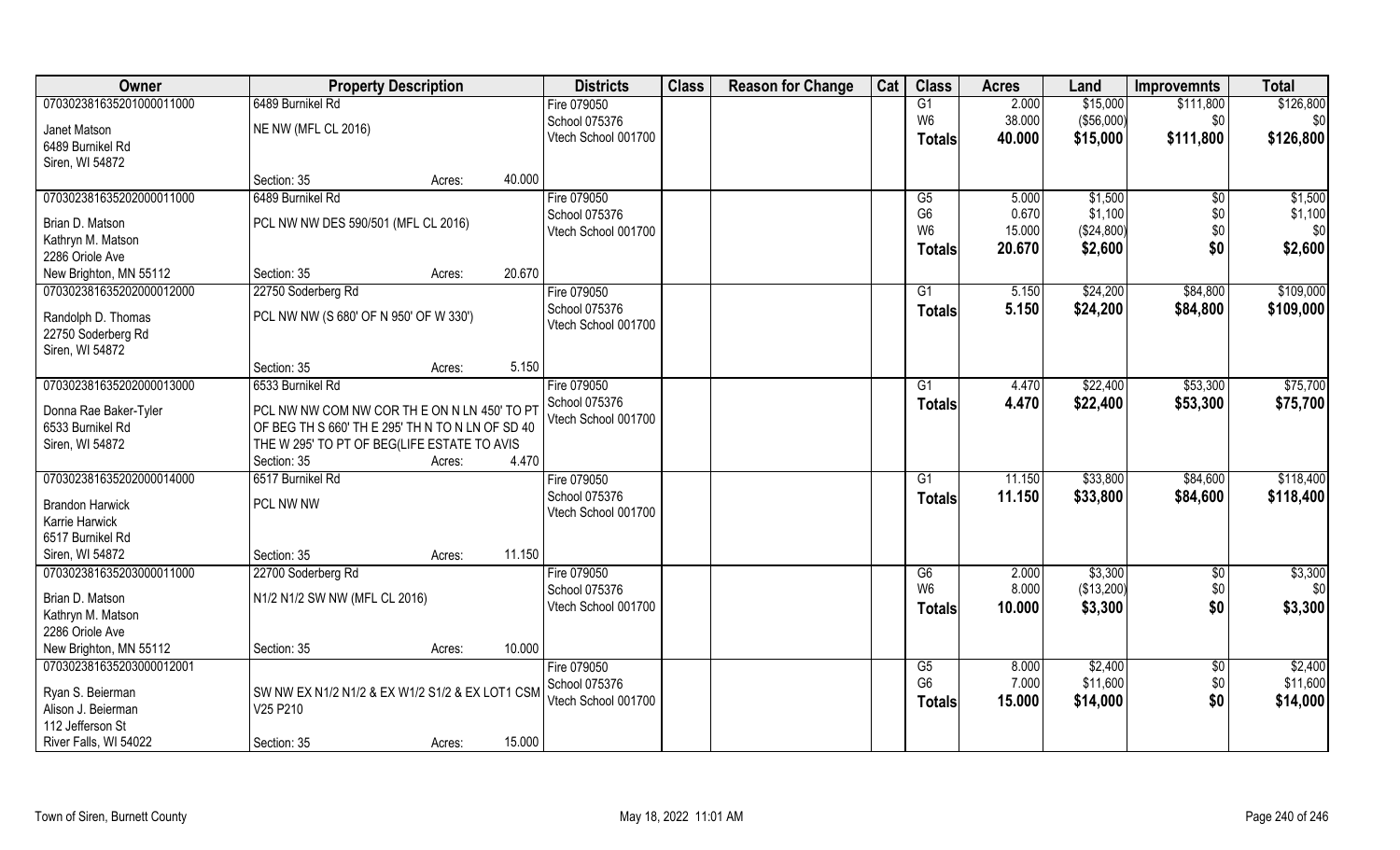| Owner                                | <b>Property Description</b>                      |        |        | <b>Districts</b>    | <b>Class</b> | <b>Reason for Change</b> | Cat | <b>Class</b>   | <b>Acres</b> | Land       | <b>Improvemnts</b> | <b>Total</b>   |
|--------------------------------------|--------------------------------------------------|--------|--------|---------------------|--------------|--------------------------|-----|----------------|--------------|------------|--------------------|----------------|
| 070302381635201000011000             | 6489 Burnikel Rd                                 |        |        | Fire 079050         |              |                          |     | G1             | 2.000        | \$15,000   | \$111,800          | \$126,800      |
| Janet Matson                         | NE NW (MFL CL 2016)                              |        |        | School 075376       |              |                          |     | W <sub>6</sub> | 38.000       | (\$56,000) | \$0                | \$0            |
| 6489 Burnikel Rd                     |                                                  |        |        | Vtech School 001700 |              |                          |     | <b>Totals</b>  | 40.000       | \$15,000   | \$111,800          | \$126,800      |
| Siren, WI 54872                      |                                                  |        |        |                     |              |                          |     |                |              |            |                    |                |
|                                      | Section: 35                                      | Acres: | 40.000 |                     |              |                          |     |                |              |            |                    |                |
| 070302381635202000011000             | 6489 Burnikel Rd                                 |        |        | Fire 079050         |              |                          |     | G5             | 5.000        | \$1,500    | \$0                | \$1,500        |
|                                      |                                                  |        |        | School 075376       |              |                          |     | G <sub>6</sub> | 0.670        | \$1,100    | \$0                | \$1,100        |
| Brian D. Matson                      | PCL NW NW DES 590/501 (MFL CL 2016)              |        |        | Vtech School 001700 |              |                          |     | W <sub>6</sub> | 15.000       | (\$24,800) | \$0                | \$0            |
| Kathryn M. Matson<br>2286 Oriole Ave |                                                  |        |        |                     |              |                          |     | <b>Totals</b>  | 20.670       | \$2,600    | \$0                | \$2,600        |
| New Brighton, MN 55112               | Section: 35                                      | Acres: | 20.670 |                     |              |                          |     |                |              |            |                    |                |
| 070302381635202000012000             | 22750 Soderberg Rd                               |        |        | Fire 079050         |              |                          |     | G1             | 5.150        | \$24,200   | \$84,800           | \$109,000      |
|                                      |                                                  |        |        | School 075376       |              |                          |     |                | 5.150        | \$24,200   | \$84,800           | \$109,000      |
| Randolph D. Thomas                   | PCL NW NW (S 680' OF N 950' OF W 330')           |        |        | Vtech School 001700 |              |                          |     | <b>Totals</b>  |              |            |                    |                |
| 22750 Soderberg Rd                   |                                                  |        |        |                     |              |                          |     |                |              |            |                    |                |
| Siren, WI 54872                      |                                                  |        |        |                     |              |                          |     |                |              |            |                    |                |
|                                      | Section: 35                                      | Acres: | 5.150  |                     |              |                          |     |                |              |            |                    |                |
| 070302381635202000013000             | 6533 Burnikel Rd                                 |        |        | Fire 079050         |              |                          |     | G1             | 4.470        | \$22,400   | \$53,300           | \$75,700       |
| Donna Rae Baker-Tyler                | PCL NW NW COM NW COR THE ON N LN 450' TO PT      |        |        | School 075376       |              |                          |     | <b>Totals</b>  | 4.470        | \$22,400   | \$53,300           | \$75,700       |
| 6533 Burnikel Rd                     | OF BEG TH S 660' TH E 295' TH N TO N LN OF SD 40 |        |        | Vtech School 001700 |              |                          |     |                |              |            |                    |                |
| Siren, WI 54872                      | THE W 295' TO PT OF BEG(LIFE ESTATE TO AVIS      |        |        |                     |              |                          |     |                |              |            |                    |                |
|                                      | Section: 35                                      | Acres: | 4.470  |                     |              |                          |     |                |              |            |                    |                |
| 070302381635202000014000             | 6517 Burnikel Rd                                 |        |        | Fire 079050         |              |                          |     | G1             | 11.150       | \$33,800   | \$84,600           | \$118,400      |
|                                      |                                                  |        |        | School 075376       |              |                          |     | <b>Totals</b>  | 11.150       | \$33,800   | \$84,600           | \$118,400      |
| <b>Brandon Harwick</b>               | PCL NW NW                                        |        |        | Vtech School 001700 |              |                          |     |                |              |            |                    |                |
| Karrie Harwick                       |                                                  |        |        |                     |              |                          |     |                |              |            |                    |                |
| 6517 Burnikel Rd<br>Siren, WI 54872  | Section: 35                                      |        | 11.150 |                     |              |                          |     |                |              |            |                    |                |
| 070302381635203000011000             |                                                  | Acres: |        | Fire 079050         |              |                          |     | G6             | 2.000        | \$3,300    |                    |                |
|                                      | 22700 Soderberg Rd                               |        |        | School 075376       |              |                          |     | W <sub>6</sub> | 8.000        | (\$13,200) | \$0<br>\$0         | \$3,300<br>\$0 |
| Brian D. Matson                      | N1/2 N1/2 SW NW (MFL CL 2016)                    |        |        | Vtech School 001700 |              |                          |     |                | 10.000       | \$3,300    | \$0                | \$3,300        |
| Kathryn M. Matson                    |                                                  |        |        |                     |              |                          |     | <b>Totals</b>  |              |            |                    |                |
| 2286 Oriole Ave                      |                                                  |        |        |                     |              |                          |     |                |              |            |                    |                |
| New Brighton, MN 55112               | Section: 35                                      | Acres: | 10.000 |                     |              |                          |     |                |              |            |                    |                |
| 070302381635203000012001             |                                                  |        |        | Fire 079050         |              |                          |     | G5             | 8.000        | \$2,400    | $\sqrt{6}$         | \$2,400        |
| Ryan S. Beierman                     | SW NW EX N1/2 N1/2 & EX W1/2 S1/2 & EX LOT1 CSM  |        |        | School 075376       |              |                          |     | G <sub>6</sub> | 7.000        | \$11,600   | \$0                | \$11,600       |
| Alison J. Beierman                   | V25 P210                                         |        |        | Vtech School 001700 |              |                          |     | Totals         | 15.000       | \$14,000   | \$0                | \$14,000       |
| 112 Jefferson St                     |                                                  |        |        |                     |              |                          |     |                |              |            |                    |                |
| River Falls, WI 54022                | Section: 35                                      | Acres: | 15.000 |                     |              |                          |     |                |              |            |                    |                |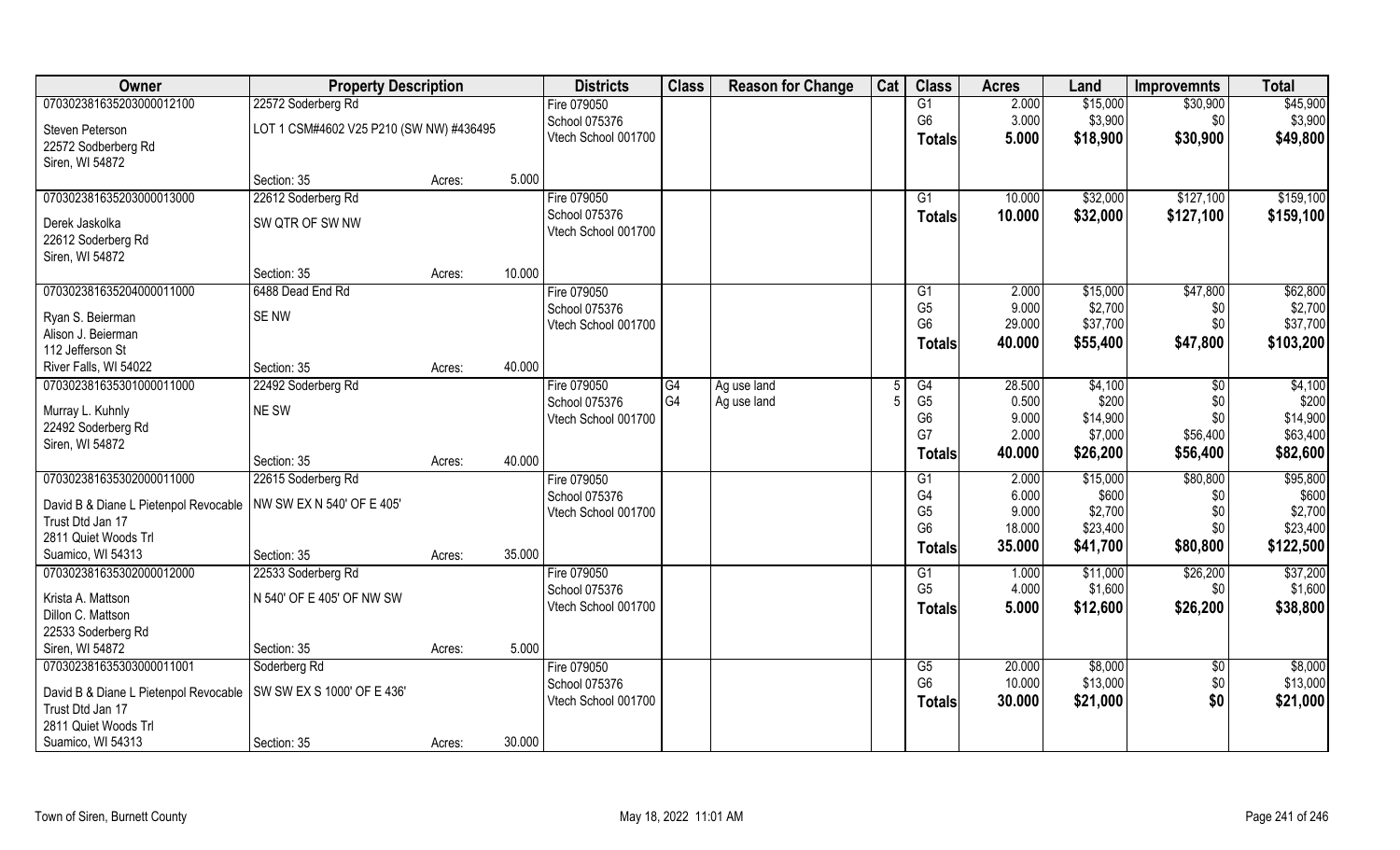| Owner                                                     | <b>Property Description</b>             |        |        | <b>Districts</b>    | <b>Class</b>   | <b>Reason for Change</b> | Cat | <b>Class</b>    | <b>Acres</b> | Land     | <b>Improvemnts</b> | <b>Total</b> |
|-----------------------------------------------------------|-----------------------------------------|--------|--------|---------------------|----------------|--------------------------|-----|-----------------|--------------|----------|--------------------|--------------|
| 070302381635203000012100                                  | 22572 Soderberg Rd                      |        |        | Fire 079050         |                |                          |     | $\overline{G1}$ | 2.000        | \$15,000 | \$30,900           | \$45,900     |
| Steven Peterson                                           | LOT 1 CSM#4602 V25 P210 (SW NW) #436495 |        |        | School 075376       |                |                          |     | G <sub>6</sub>  | 3.000        | \$3,900  | \$0                | \$3,900      |
| 22572 Sodberberg Rd                                       |                                         |        |        | Vtech School 001700 |                |                          |     | <b>Totals</b>   | 5.000        | \$18,900 | \$30,900           | \$49,800     |
| Siren, WI 54872                                           |                                         |        |        |                     |                |                          |     |                 |              |          |                    |              |
|                                                           | Section: 35                             | Acres: | 5.000  |                     |                |                          |     |                 |              |          |                    |              |
| 070302381635203000013000                                  | 22612 Soderberg Rd                      |        |        | Fire 079050         |                |                          |     | G1              | 10.000       | \$32,000 | \$127,100          | \$159,100    |
| Derek Jaskolka                                            | SW QTR OF SW NW                         |        |        | School 075376       |                |                          |     | <b>Totals</b>   | 10.000       | \$32,000 | \$127,100          | \$159,100    |
| 22612 Soderberg Rd                                        |                                         |        |        | Vtech School 001700 |                |                          |     |                 |              |          |                    |              |
| Siren, WI 54872                                           |                                         |        |        |                     |                |                          |     |                 |              |          |                    |              |
|                                                           | Section: 35                             | Acres: | 10.000 |                     |                |                          |     |                 |              |          |                    |              |
| 070302381635204000011000                                  | 6488 Dead End Rd                        |        |        | Fire 079050         |                |                          |     | G <sub>1</sub>  | 2.000        | \$15,000 | \$47,800           | \$62,800     |
| Ryan S. Beierman                                          | SE NW                                   |        |        | School 075376       |                |                          |     | G <sub>5</sub>  | 9.000        | \$2,700  | \$0                | \$2,700      |
| Alison J. Beierman                                        |                                         |        |        | Vtech School 001700 |                |                          |     | G <sub>6</sub>  | 29.000       | \$37,700 | \$0                | \$37,700     |
| 112 Jefferson St                                          |                                         |        |        |                     |                |                          |     | <b>Totals</b>   | 40.000       | \$55,400 | \$47,800           | \$103,200    |
| River Falls, WI 54022                                     | Section: 35                             | Acres: | 40.000 |                     |                |                          |     |                 |              |          |                    |              |
| 070302381635301000011000                                  | 22492 Soderberg Rd                      |        |        | Fire 079050         | G4             | Ag use land              |     | G4              | 28.500       | \$4,100  | \$0                | \$4,100      |
|                                                           | NE SW                                   |        |        | School 075376       | G <sub>4</sub> | Ag use land              |     | G <sub>5</sub>  | 0.500        | \$200    | \$0                | \$200        |
| Murray L. Kuhnly<br>22492 Soderberg Rd                    |                                         |        |        | Vtech School 001700 |                |                          |     | G <sub>6</sub>  | 9.000        | \$14,900 | \$0                | \$14,900     |
| Siren, WI 54872                                           |                                         |        |        |                     |                |                          |     | G7              | 2.000        | \$7,000  | \$56,400           | \$63,400     |
|                                                           | Section: 35                             | Acres: | 40.000 |                     |                |                          |     | <b>Totals</b>   | 40.000       | \$26,200 | \$56,400           | \$82,600     |
| 070302381635302000011000                                  | 22615 Soderberg Rd                      |        |        | Fire 079050         |                |                          |     | G1              | 2.000        | \$15,000 | \$80,800           | \$95,800     |
|                                                           | NW SW EX N 540' OF E 405'               |        |        | School 075376       |                |                          |     | G4              | 6.000        | \$600    | \$0                | \$600        |
| David B & Diane L Pietenpol Revocable<br>Trust Dtd Jan 17 |                                         |        |        | Vtech School 001700 |                |                          |     | G <sub>5</sub>  | 9.000        | \$2,700  | \$0                | \$2,700      |
| 2811 Quiet Woods Trl                                      |                                         |        |        |                     |                |                          |     | G <sub>6</sub>  | 18.000       | \$23,400 | \$0                | \$23,400     |
| Suamico, WI 54313                                         | Section: 35                             | Acres: | 35.000 |                     |                |                          |     | <b>Totals</b>   | 35.000       | \$41,700 | \$80,800           | \$122,500    |
| 070302381635302000012000                                  | 22533 Soderberg Rd                      |        |        | Fire 079050         |                |                          |     | G1              | 1.000        | \$11,000 | \$26,200           | \$37,200     |
|                                                           | N 540' OF E 405' OF NW SW               |        |        | School 075376       |                |                          |     | G <sub>5</sub>  | 4.000        | \$1,600  | \$0                | \$1,600      |
| Krista A. Mattson<br>Dillon C. Mattson                    |                                         |        |        | Vtech School 001700 |                |                          |     | <b>Totals</b>   | 5.000        | \$12,600 | \$26,200           | \$38,800     |
| 22533 Soderberg Rd                                        |                                         |        |        |                     |                |                          |     |                 |              |          |                    |              |
| Siren, WI 54872                                           | Section: 35                             | Acres: | 5.000  |                     |                |                          |     |                 |              |          |                    |              |
| 070302381635303000011001                                  | Soderberg Rd                            |        |        | Fire 079050         |                |                          |     | G5              | 20.000       | \$8,000  | $\sqrt[6]{30}$     | \$8,000      |
|                                                           |                                         |        |        | School 075376       |                |                          |     | G <sub>6</sub>  | 10.000       | \$13,000 | \$0                | \$13,000     |
| David B & Diane L Pietenpol Revocable<br>Trust Dtd Jan 17 | SW SW EX S 1000' OF E 436'              |        |        | Vtech School 001700 |                |                          |     | <b>Totals</b>   | 30.000       | \$21,000 | \$0                | \$21,000     |
| 2811 Quiet Woods Trl                                      |                                         |        |        |                     |                |                          |     |                 |              |          |                    |              |
| Suamico, WI 54313                                         | Section: 35                             | Acres: | 30.000 |                     |                |                          |     |                 |              |          |                    |              |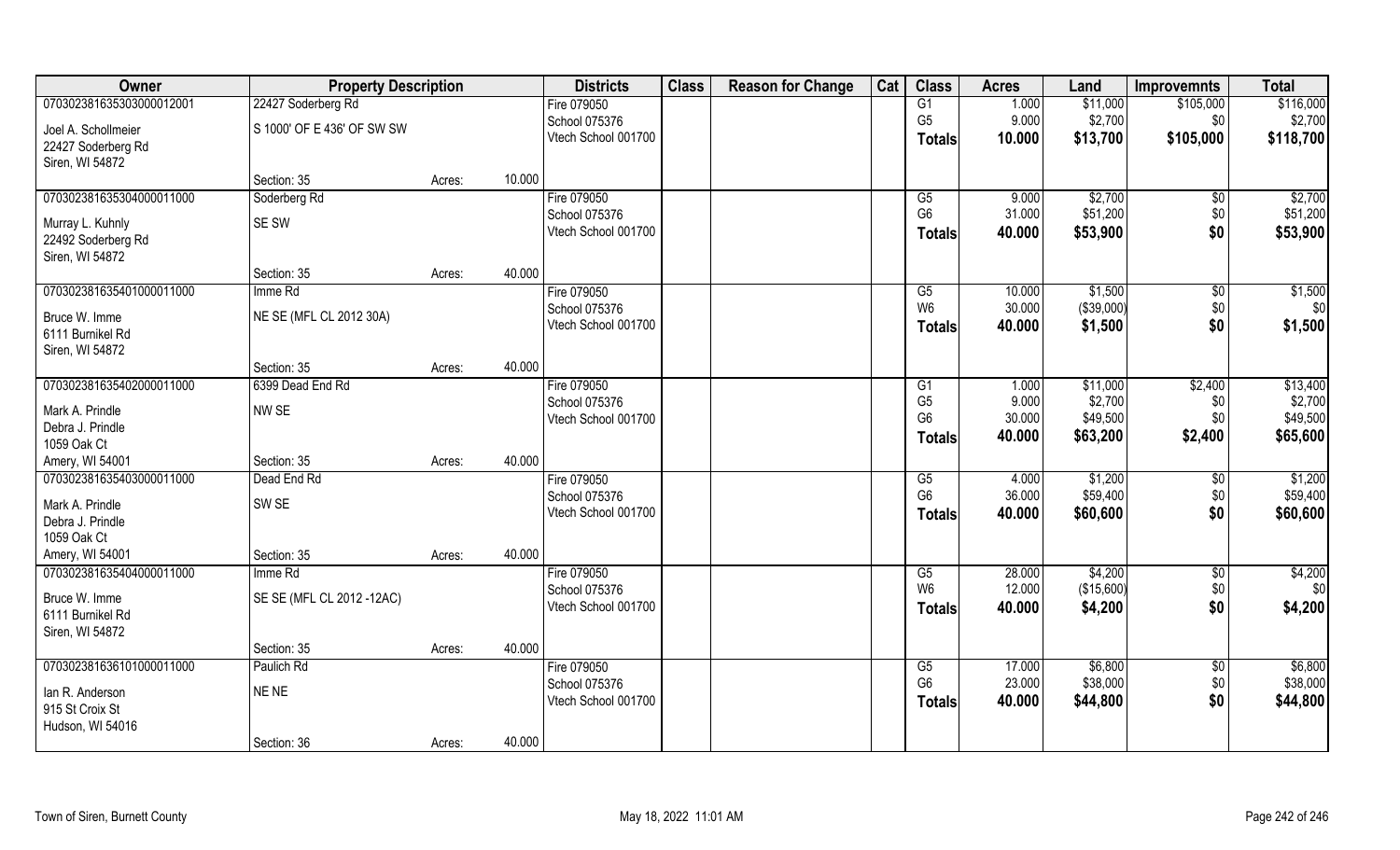| Owner                    | <b>Property Description</b> |        |        | <b>Districts</b>    | <b>Class</b> | <b>Reason for Change</b> | Cat | <b>Class</b>   | <b>Acres</b> | Land       | <b>Improvemnts</b> | <b>Total</b> |
|--------------------------|-----------------------------|--------|--------|---------------------|--------------|--------------------------|-----|----------------|--------------|------------|--------------------|--------------|
| 070302381635303000012001 | 22427 Soderberg Rd          |        |        | Fire 079050         |              |                          |     | G1             | 1.000        | \$11,000   | \$105,000          | \$116,000    |
| Joel A. Schollmeier      | S 1000' OF E 436' OF SW SW  |        |        | School 075376       |              |                          |     | G <sub>5</sub> | 9.000        | \$2,700    | \$0                | \$2,700      |
| 22427 Soderberg Rd       |                             |        |        | Vtech School 001700 |              |                          |     | <b>Totals</b>  | 10.000       | \$13,700   | \$105,000          | \$118,700    |
| Siren, WI 54872          |                             |        |        |                     |              |                          |     |                |              |            |                    |              |
|                          | Section: 35                 | Acres: | 10.000 |                     |              |                          |     |                |              |            |                    |              |
| 070302381635304000011000 | Soderberg Rd                |        |        | Fire 079050         |              |                          |     | G5             | 9.000        | \$2,700    | $\overline{50}$    | \$2,700      |
| Murray L. Kuhnly         | SE SW                       |        |        | School 075376       |              |                          |     | G <sub>6</sub> | 31.000       | \$51,200   | \$0                | \$51,200     |
| 22492 Soderberg Rd       |                             |        |        | Vtech School 001700 |              |                          |     | Totals         | 40.000       | \$53,900   | \$0                | \$53,900     |
| Siren, WI 54872          |                             |        |        |                     |              |                          |     |                |              |            |                    |              |
|                          | Section: 35                 | Acres: | 40.000 |                     |              |                          |     |                |              |            |                    |              |
| 070302381635401000011000 | Imme Rd                     |        |        | Fire 079050         |              |                          |     | G5             | 10.000       | \$1,500    | \$0                | \$1,500      |
| Bruce W. Imme            | NE SE (MFL CL 2012 30A)     |        |        | School 075376       |              |                          |     | W <sub>6</sub> | 30.000       | (\$39,000) | \$0                | \$0          |
| 6111 Burnikel Rd         |                             |        |        | Vtech School 001700 |              |                          |     | <b>Totals</b>  | 40.000       | \$1,500    | \$0                | \$1,500      |
| Siren, WI 54872          |                             |        |        |                     |              |                          |     |                |              |            |                    |              |
|                          | Section: 35                 | Acres: | 40.000 |                     |              |                          |     |                |              |            |                    |              |
| 070302381635402000011000 | 6399 Dead End Rd            |        |        | Fire 079050         |              |                          |     | G1             | 1.000        | \$11,000   | \$2,400            | \$13,400     |
| Mark A. Prindle          | NW SE                       |        |        | School 075376       |              |                          |     | G <sub>5</sub> | 9.000        | \$2,700    | \$0                | \$2,700      |
| Debra J. Prindle         |                             |        |        | Vtech School 001700 |              |                          |     | G <sub>6</sub> | 30.000       | \$49,500   | \$0                | \$49,500     |
| 1059 Oak Ct              |                             |        |        |                     |              |                          |     | Totals         | 40.000       | \$63,200   | \$2,400            | \$65,600     |
| Amery, WI 54001          | Section: 35                 | Acres: | 40.000 |                     |              |                          |     |                |              |            |                    |              |
| 070302381635403000011000 | Dead End Rd                 |        |        | Fire 079050         |              |                          |     | G5             | 4.000        | \$1,200    | $\sqrt[6]{30}$     | \$1,200      |
| Mark A. Prindle          | SW <sub>SE</sub>            |        |        | School 075376       |              |                          |     | G <sub>6</sub> | 36.000       | \$59,400   | \$0                | \$59,400     |
| Debra J. Prindle         |                             |        |        | Vtech School 001700 |              |                          |     | <b>Totals</b>  | 40.000       | \$60,600   | \$0                | \$60,600     |
| 1059 Oak Ct              |                             |        |        |                     |              |                          |     |                |              |            |                    |              |
| Amery, WI 54001          | Section: 35                 | Acres: | 40.000 |                     |              |                          |     |                |              |            |                    |              |
| 070302381635404000011000 | Imme Rd                     |        |        | Fire 079050         |              |                          |     | G5             | 28.000       | \$4,200    | \$0                | \$4,200      |
| Bruce W. Imme            | SE SE (MFL CL 2012 -12AC)   |        |        | School 075376       |              |                          |     | W <sub>6</sub> | 12.000       | (\$15,600) | $\$0$              | \$0          |
| 6111 Burnikel Rd         |                             |        |        | Vtech School 001700 |              |                          |     | <b>Totals</b>  | 40.000       | \$4,200    | \$0                | \$4,200      |
| Siren, WI 54872          |                             |        |        |                     |              |                          |     |                |              |            |                    |              |
|                          | Section: 35                 | Acres: | 40.000 |                     |              |                          |     |                |              |            |                    |              |
| 070302381636101000011000 | Paulich Rd                  |        |        | Fire 079050         |              |                          |     | G5             | 17.000       | \$6,800    | $\overline{50}$    | \$6,800      |
| lan R. Anderson          | NE NE                       |        |        | School 075376       |              |                          |     | G <sub>6</sub> | 23.000       | \$38,000   | \$0                | \$38,000     |
| 915 St Croix St          |                             |        |        | Vtech School 001700 |              |                          |     | <b>Totals</b>  | 40.000       | \$44,800   | \$0                | \$44,800     |
| Hudson, WI 54016         |                             |        |        |                     |              |                          |     |                |              |            |                    |              |
|                          | Section: 36                 | Acres: | 40.000 |                     |              |                          |     |                |              |            |                    |              |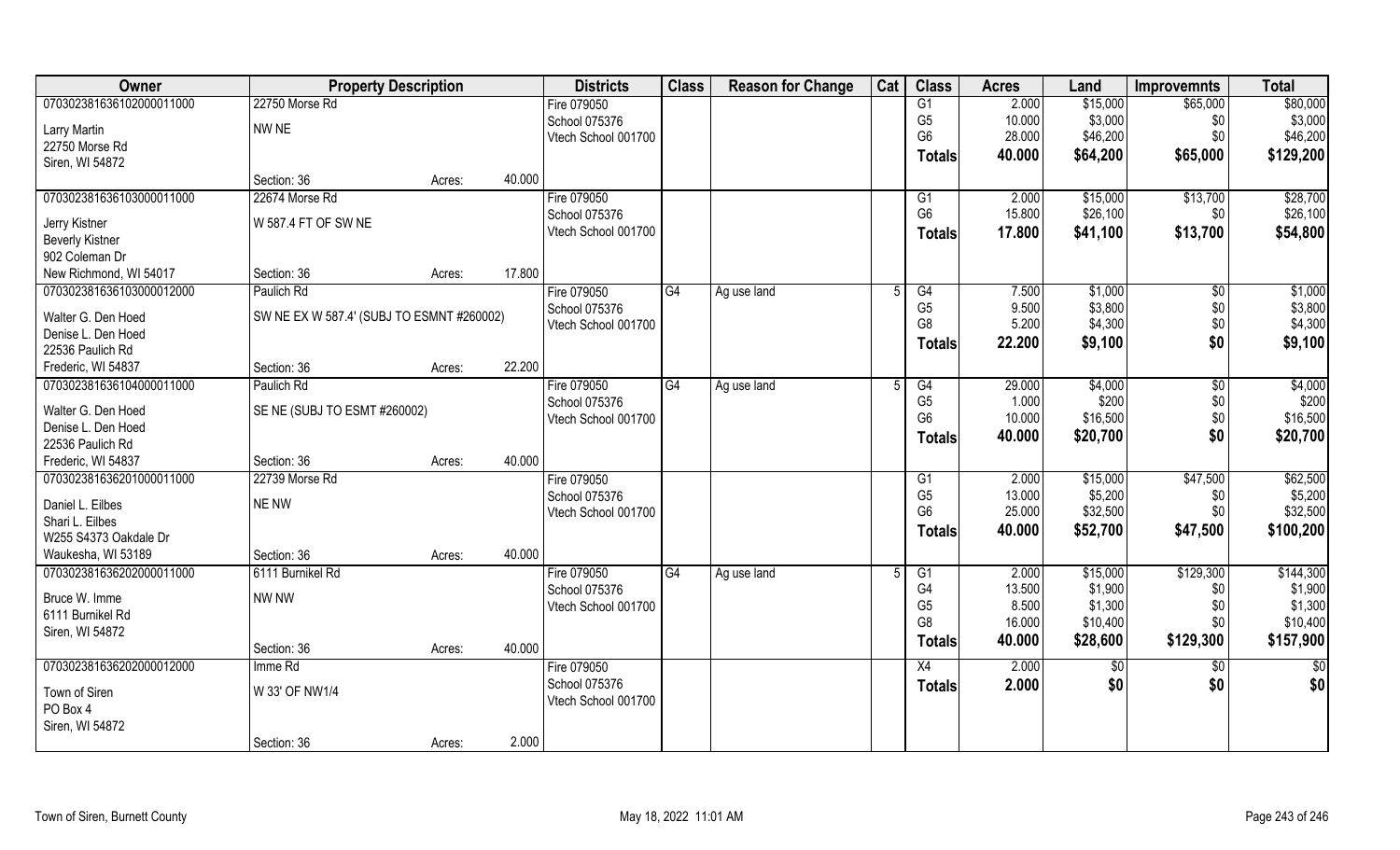| Owner                    | <b>Property Description</b>               |        |        | <b>Districts</b>                     | <b>Class</b> | <b>Reason for Change</b> | Cat | <b>Class</b>         | <b>Acres</b>    | Land             | <b>Improvemnts</b> | <b>Total</b>     |
|--------------------------|-------------------------------------------|--------|--------|--------------------------------------|--------------|--------------------------|-----|----------------------|-----------------|------------------|--------------------|------------------|
| 070302381636102000011000 | 22750 Morse Rd                            |        |        | Fire 079050                          |              |                          |     | G1                   | 2.000           | \$15,000         | \$65,000           | \$80,000         |
| Larry Martin             | NW NE                                     |        |        | School 075376                        |              |                          |     | G <sub>5</sub>       | 10.000          | \$3,000          | \$0                | \$3,000          |
| 22750 Morse Rd           |                                           |        |        | Vtech School 001700                  |              |                          |     | G <sub>6</sub>       | 28.000          | \$46,200         | \$0                | \$46,200         |
| Siren, WI 54872          |                                           |        |        |                                      |              |                          |     | <b>Totals</b>        | 40.000          | \$64,200         | \$65,000           | \$129,200        |
|                          | Section: 36                               | Acres: | 40.000 |                                      |              |                          |     |                      |                 |                  |                    |                  |
| 070302381636103000011000 | 22674 Morse Rd                            |        |        | Fire 079050                          |              |                          |     | G1                   | 2.000           | \$15,000         | \$13,700           | \$28,700         |
| Jerry Kistner            | W 587.4 FT OF SW NE                       |        |        | School 075376                        |              |                          |     | G <sub>6</sub>       | 15.800          | \$26,100         | \$0                | \$26,100         |
| <b>Beverly Kistner</b>   |                                           |        |        | Vtech School 001700                  |              |                          |     | <b>Totals</b>        | 17.800          | \$41,100         | \$13,700           | \$54,800         |
| 902 Coleman Dr           |                                           |        |        |                                      |              |                          |     |                      |                 |                  |                    |                  |
| New Richmond, WI 54017   | Section: 36                               | Acres: | 17.800 |                                      |              |                          |     |                      |                 |                  |                    |                  |
| 070302381636103000012000 | Paulich Rd                                |        |        | Fire 079050                          | G4           | Ag use land              | 5   | G4                   | 7.500           | \$1,000          | \$0                | \$1,000          |
|                          |                                           |        |        | School 075376                        |              |                          |     | G <sub>5</sub>       | 9.500           | \$3,800          | \$0                | \$3,800          |
| Walter G. Den Hoed       | SW NE EX W 587.4' (SUBJ TO ESMNT #260002) |        |        | Vtech School 001700                  |              |                          |     | G <sub>8</sub>       | 5.200           | \$4,300          | \$0                | \$4,300          |
| Denise L. Den Hoed       |                                           |        |        |                                      |              |                          |     | <b>Totals</b>        | 22.200          | \$9,100          | \$0                | \$9,100          |
| 22536 Paulich Rd         |                                           |        | 22.200 |                                      |              |                          |     |                      |                 |                  |                    |                  |
| Frederic, WI 54837       | Section: 36                               | Acres: |        |                                      |              |                          |     |                      |                 |                  |                    |                  |
| 070302381636104000011000 | Paulich Rd                                |        |        | Fire 079050                          | G4           | Ag use land              |     | G4<br>G <sub>5</sub> | 29.000<br>1.000 | \$4,000<br>\$200 | $\sqrt[6]{3}$      | \$4,000<br>\$200 |
| Walter G. Den Hoed       | SE NE (SUBJ TO ESMT #260002)              |        |        | School 075376<br>Vtech School 001700 |              |                          |     | G <sub>6</sub>       | 10.000          | \$16,500         | \$0<br>\$0         | \$16,500         |
| Denise L. Den Hoed       |                                           |        |        |                                      |              |                          |     |                      | 40.000          | \$20,700         | \$0                |                  |
| 22536 Paulich Rd         |                                           |        |        |                                      |              |                          |     | <b>Totals</b>        |                 |                  |                    | \$20,700         |
| Frederic, WI 54837       | Section: 36                               | Acres: | 40.000 |                                      |              |                          |     |                      |                 |                  |                    |                  |
| 070302381636201000011000 | 22739 Morse Rd                            |        |        | Fire 079050                          |              |                          |     | G1                   | 2.000           | \$15,000         | \$47,500           | \$62,500         |
| Daniel L. Eilbes         | <b>NE NW</b>                              |        |        | School 075376                        |              |                          |     | G <sub>5</sub>       | 13.000          | \$5,200          | \$0                | \$5,200          |
| Shari L. Eilbes          |                                           |        |        | Vtech School 001700                  |              |                          |     | G <sub>6</sub>       | 25.000          | \$32,500         | \$0                | \$32,500         |
| W255 S4373 Oakdale Dr    |                                           |        |        |                                      |              |                          |     | <b>Totals</b>        | 40.000          | \$52,700         | \$47,500           | \$100,200        |
| Waukesha, WI 53189       | Section: 36                               | Acres: | 40.000 |                                      |              |                          |     |                      |                 |                  |                    |                  |
| 070302381636202000011000 | 6111 Burnikel Rd                          |        |        | Fire 079050                          | G4           | Ag use land              |     | G1                   | 2.000           | \$15,000         | \$129,300          | \$144,300        |
| Bruce W. Imme            | NW NW                                     |        |        | School 075376                        |              |                          |     | G4                   | 13.500          | \$1,900          | \$0                | \$1,900          |
| 6111 Burnikel Rd         |                                           |        |        | Vtech School 001700                  |              |                          |     | G <sub>5</sub>       | 8.500           | \$1,300          | \$0                | \$1,300          |
| Siren, WI 54872          |                                           |        |        |                                      |              |                          |     | G <sub>8</sub>       | 16.000          | \$10,400         | \$0                | \$10,400         |
|                          | Section: 36                               | Acres: | 40.000 |                                      |              |                          |     | <b>Totals</b>        | 40.000          | \$28,600         | \$129,300          | \$157,900        |
| 070302381636202000012000 | Imme Rd                                   |        |        | Fire 079050                          |              |                          |     | X4                   | 2.000           | \$0              | $\overline{60}$    | $\frac{1}{2}$    |
| Town of Siren            | W 33' OF NW1/4                            |        |        | School 075376                        |              |                          |     | <b>Totals</b>        | 2.000           | \$0              | \$0                | \$0              |
| PO Box 4                 |                                           |        |        | Vtech School 001700                  |              |                          |     |                      |                 |                  |                    |                  |
| Siren, WI 54872          |                                           |        |        |                                      |              |                          |     |                      |                 |                  |                    |                  |
|                          | Section: 36                               | Acres: | 2.000  |                                      |              |                          |     |                      |                 |                  |                    |                  |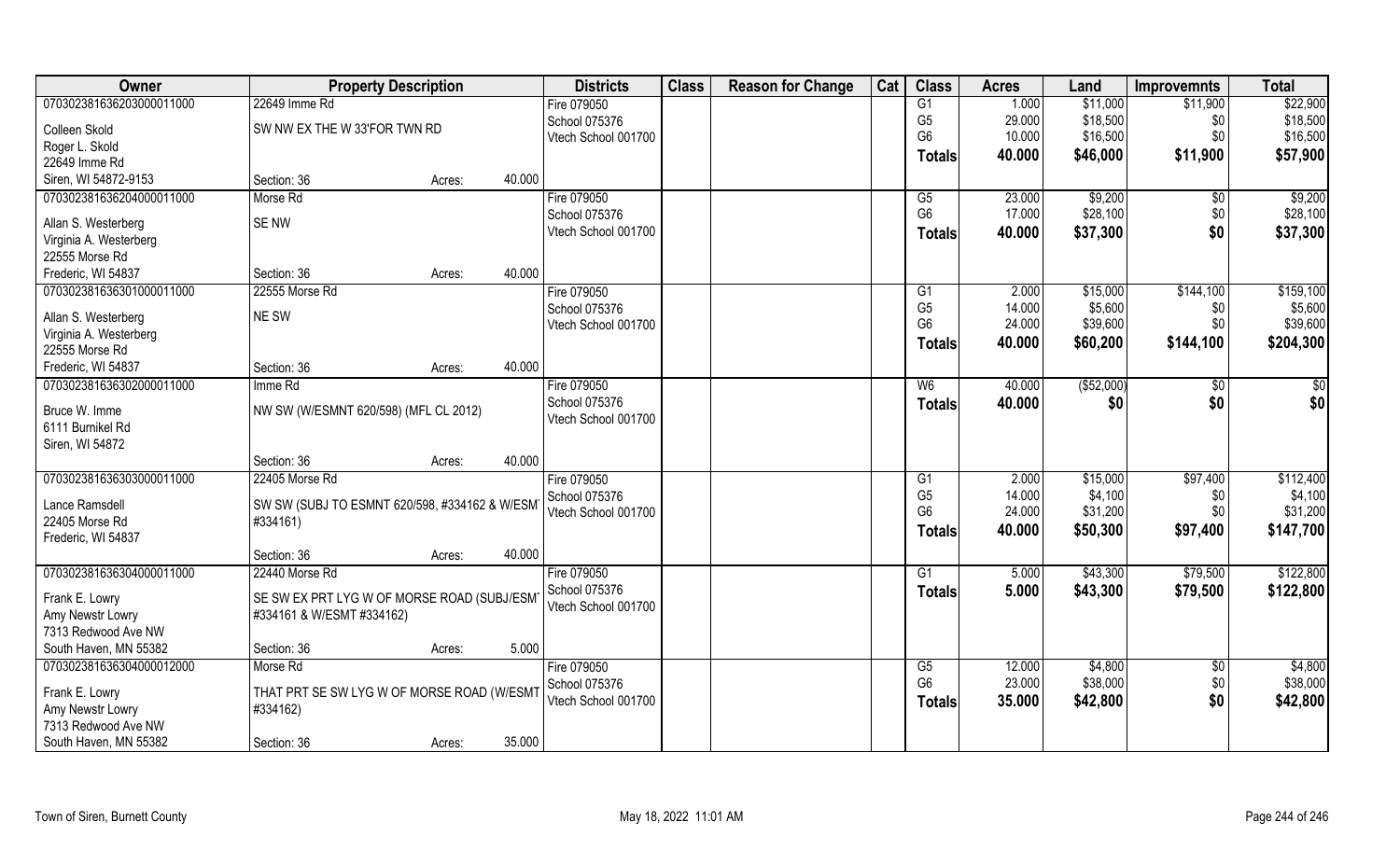| Owner                    | <b>Property Description</b>                   |        |        | <b>Districts</b>    | <b>Class</b> | <b>Reason for Change</b> | Cat | <b>Class</b>         | <b>Acres</b>     | Land       | <b>Improvemnts</b> | <b>Total</b>        |
|--------------------------|-----------------------------------------------|--------|--------|---------------------|--------------|--------------------------|-----|----------------------|------------------|------------|--------------------|---------------------|
| 070302381636203000011000 | 22649 Imme Rd                                 |        |        | Fire 079050         |              |                          |     | G1                   | 1.000            | \$11,000   | \$11,900           | \$22,900            |
| Colleen Skold            | SW NW EX THE W 33'FOR TWN RD                  |        |        | School 075376       |              |                          |     | G <sub>5</sub>       | 29.000           | \$18,500   | \$0                | \$18,500            |
| Roger L. Skold           |                                               |        |        | Vtech School 001700 |              |                          |     | G <sub>6</sub>       | 10.000           | \$16,500   | \$0                | \$16,500            |
| 22649 Imme Rd            |                                               |        |        |                     |              |                          |     | <b>Totals</b>        | 40.000           | \$46,000   | \$11,900           | \$57,900            |
| Siren, WI 54872-9153     | Section: 36                                   | Acres: | 40.000 |                     |              |                          |     |                      |                  |            |                    |                     |
| 070302381636204000011000 | Morse Rd                                      |        |        | Fire 079050         |              |                          |     | G5                   | 23.000           | \$9,200    | $\sqrt[6]{}$       | \$9,200             |
|                          |                                               |        |        | School 075376       |              |                          |     | G <sub>6</sub>       | 17.000           | \$28,100   | \$0                | \$28,100            |
| Allan S. Westerberg      | SE NW                                         |        |        | Vtech School 001700 |              |                          |     | <b>Totals</b>        | 40.000           | \$37,300   | \$0                | \$37,300            |
| Virginia A. Westerberg   |                                               |        |        |                     |              |                          |     |                      |                  |            |                    |                     |
| 22555 Morse Rd           |                                               |        | 40.000 |                     |              |                          |     |                      |                  |            |                    |                     |
| Frederic, WI 54837       | Section: 36                                   | Acres: |        |                     |              |                          |     |                      |                  |            |                    |                     |
| 070302381636301000011000 | 22555 Morse Rd                                |        |        | Fire 079050         |              |                          |     | G1<br>G <sub>5</sub> | 2.000            | \$15,000   | \$144,100          | \$159,100           |
| Allan S. Westerberg      | NE SW                                         |        |        | School 075376       |              |                          |     | G <sub>6</sub>       | 14.000<br>24.000 | \$5,600    | \$0<br>\$0         | \$5,600<br>\$39,600 |
| Virginia A. Westerberg   |                                               |        |        | Vtech School 001700 |              |                          |     |                      |                  | \$39,600   |                    |                     |
| 22555 Morse Rd           |                                               |        |        |                     |              |                          |     | Totals               | 40.000           | \$60,200   | \$144,100          | \$204,300           |
| Frederic, WI 54837       | Section: 36                                   | Acres: | 40.000 |                     |              |                          |     |                      |                  |            |                    |                     |
| 070302381636302000011000 | Imme Rd                                       |        |        | Fire 079050         |              |                          |     | W <sub>6</sub>       | 40.000           | (\$52,000) | \$0                | \$0                 |
|                          |                                               |        |        | School 075376       |              |                          |     | <b>Totals</b>        | 40.000           | \$0        | \$0                | \$0                 |
| Bruce W. Imme            | NW SW (W/ESMNT 620/598) (MFL CL 2012)         |        |        | Vtech School 001700 |              |                          |     |                      |                  |            |                    |                     |
| 6111 Burnikel Rd         |                                               |        |        |                     |              |                          |     |                      |                  |            |                    |                     |
| Siren, WI 54872          |                                               |        | 40.000 |                     |              |                          |     |                      |                  |            |                    |                     |
| 070302381636303000011000 | Section: 36<br>22405 Morse Rd                 | Acres: |        |                     |              |                          |     | G1                   | 2.000            | \$15,000   | \$97,400           | \$112,400           |
|                          |                                               |        |        | Fire 079050         |              |                          |     | G <sub>5</sub>       | 14.000           | \$4,100    |                    | \$4,100             |
| Lance Ramsdell           | SW SW (SUBJ TO ESMNT 620/598, #334162 & W/ESM |        |        | School 075376       |              |                          |     | G <sub>6</sub>       | 24.000           | \$31,200   | \$0<br>\$0         | \$31,200            |
| 22405 Morse Rd           | #334161)                                      |        |        | Vtech School 001700 |              |                          |     |                      |                  |            |                    |                     |
| Frederic, WI 54837       |                                               |        |        |                     |              |                          |     | <b>Totals</b>        | 40.000           | \$50,300   | \$97,400           | \$147,700           |
|                          | Section: 36                                   | Acres: | 40.000 |                     |              |                          |     |                      |                  |            |                    |                     |
| 070302381636304000011000 | 22440 Morse Rd                                |        |        | Fire 079050         |              |                          |     | G1                   | 5.000            | \$43,300   | \$79,500           | \$122,800           |
| Frank E. Lowry           | SE SW EX PRT LYG W OF MORSE ROAD (SUBJ/ESM    |        |        | School 075376       |              |                          |     | <b>Totals</b>        | 5.000            | \$43,300   | \$79,500           | \$122,800           |
| Amy Newstr Lowry         | #334161 & W/ESMT #334162)                     |        |        | Vtech School 001700 |              |                          |     |                      |                  |            |                    |                     |
| 7313 Redwood Ave NW      |                                               |        |        |                     |              |                          |     |                      |                  |            |                    |                     |
| South Haven, MN 55382    | Section: 36                                   | Acres: | 5.000  |                     |              |                          |     |                      |                  |            |                    |                     |
| 070302381636304000012000 | Morse Rd                                      |        |        | Fire 079050         |              |                          |     | G5                   | 12.000           | \$4,800    | $\sqrt[6]{}$       | \$4,800             |
|                          |                                               |        |        | School 075376       |              |                          |     | G <sub>6</sub>       | 23.000           | \$38,000   | \$0                | \$38,000            |
| Frank E. Lowry           | THAT PRT SE SW LYG W OF MORSE ROAD (W/ESMT    |        |        | Vtech School 001700 |              |                          |     |                      | 35.000           |            | \$0                | \$42,800            |
| Amy Newstr Lowry         | #334162)                                      |        |        |                     |              |                          |     | <b>Totals</b>        |                  | \$42,800   |                    |                     |
| 7313 Redwood Ave NW      |                                               |        |        |                     |              |                          |     |                      |                  |            |                    |                     |
| South Haven, MN 55382    | Section: 36                                   | Acres: | 35.000 |                     |              |                          |     |                      |                  |            |                    |                     |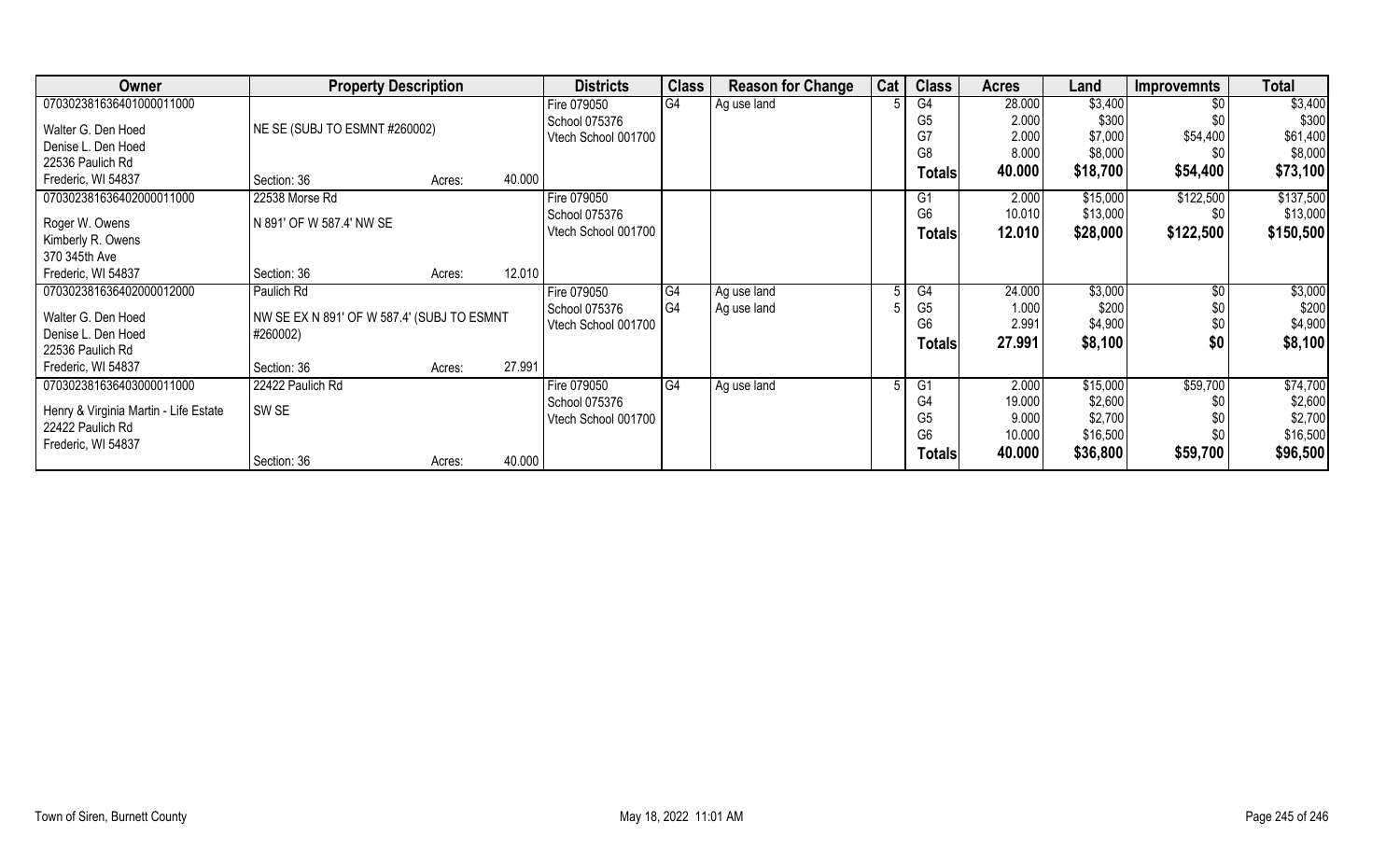| Owner                                 | <b>Property Description</b>                |        |        | <b>Districts</b>    | <b>Class</b>    | <b>Reason for Change</b> | Cat | <b>Class</b>   | Acres  | Land     | Improvemnts   | <b>Total</b> |
|---------------------------------------|--------------------------------------------|--------|--------|---------------------|-----------------|--------------------------|-----|----------------|--------|----------|---------------|--------------|
| 070302381636401000011000              |                                            |        |        | Fire 079050         | G4              | Ag use land              |     | G4             | 28.000 | \$3,400  | \$0           | \$3,400      |
| Walter G. Den Hoed                    | NE SE (SUBJ TO ESMNT #260002)              |        |        | School 075376       |                 |                          |     | G <sub>5</sub> | 2.000  | \$300    | \$0           | \$300        |
| Denise L. Den Hoed                    |                                            |        |        | Vtech School 001700 |                 |                          |     | G7             | 2.000  | \$7,000  | \$54,400      | \$61,400     |
| 22536 Paulich Rd                      |                                            |        |        |                     |                 |                          |     | G8             | 8.000  | \$8,000  |               | \$8,000      |
| Frederic, WI 54837                    | Section: 36                                | Acres: | 40.000 |                     |                 |                          |     | <b>Totals</b>  | 40.000 | \$18,700 | \$54,400      | \$73,100     |
|                                       |                                            |        |        |                     |                 |                          |     |                |        |          |               |              |
| 070302381636402000011000              | 22538 Morse Rd                             |        |        | Fire 079050         |                 |                          |     | G1             | 2.000  | \$15,000 | \$122,500     | \$137,500    |
| Roger W. Owens                        | N 891' OF W 587.4' NW SE                   |        |        | School 075376       |                 |                          |     | G <sub>6</sub> | 10.010 | \$13,000 | \$0           | \$13,000     |
| Kimberly R. Owens                     |                                            |        |        | Vtech School 001700 |                 |                          |     | Totals         | 12.010 | \$28,000 | \$122,500     | \$150,500    |
| 370 345th Ave                         |                                            |        |        |                     |                 |                          |     |                |        |          |               |              |
| Frederic, WI 54837                    | Section: 36                                | Acres: | 12.010 |                     |                 |                          |     |                |        |          |               |              |
| 070302381636402000012000              | Paulich Rd                                 |        |        | Fire 079050         | G4              | Ag use land              |     | G <sub>4</sub> | 24.000 | \$3,000  | $\sqrt[6]{3}$ | \$3,000      |
|                                       |                                            |        |        | School 075376       | G4              | Ag use land              |     | G <sub>5</sub> | 1.000  | \$200    | \$0           | \$200        |
| Walter G. Den Hoed                    | NW SE EX N 891' OF W 587.4' (SUBJ TO ESMNT |        |        | Vtech School 001700 |                 |                          |     | G <sub>6</sub> | 2.991  | \$4,900  | \$0           | \$4,900      |
| Denise L. Den Hoed                    | #260002)                                   |        |        |                     |                 |                          |     | <b>Totals</b>  | 27.991 | \$8,100  | \$0           | \$8,100      |
| 22536 Paulich Rd                      |                                            |        |        |                     |                 |                          |     |                |        |          |               |              |
| Frederic, WI 54837                    | Section: 36                                | Acres: | 27.991 |                     |                 |                          |     |                |        |          |               |              |
| 070302381636403000011000              | 22422 Paulich Rd                           |        |        | Fire 079050         | $\overline{G4}$ | Ag use land              |     | G1             | 2.000  | \$15,000 | \$59,700      | \$74,700     |
| Henry & Virginia Martin - Life Estate | SW SE                                      |        |        | School 075376       |                 |                          |     | G <sub>4</sub> | 19.000 | \$2,600  | \$0           | \$2,600      |
|                                       |                                            |        |        | Vtech School 001700 |                 |                          |     | G <sub>5</sub> | 9.000  | \$2,700  |               | \$2,700      |
| 22422 Paulich Rd                      |                                            |        |        |                     |                 |                          |     | G <sub>6</sub> | 10.000 | \$16,500 |               | \$16,500     |
| Frederic, WI 54837                    |                                            |        |        |                     |                 |                          |     | <b>Totals</b>  | 40.000 | \$36,800 | \$59,700      | \$96,500     |
|                                       | Section: 36                                | Acres: | 40.000 |                     |                 |                          |     |                |        |          |               |              |